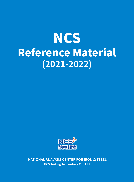



**NATIONAL ANALYSIS CENTER FOR IRON & STEEL NCS Testing Technology Co., Ltd.**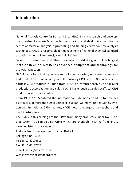## Introduction

National Analysis Centre for Iron and Steel (NACIS ) is a research and development centre of analysis & test technology for iron and steel. It is an arbitration centre of material analysis, a promoting and training centre for new analysis technology. NACIS is responsible for management of national chemical standard analysis methods of iron, steel, alloy in P. R China.

Based on China Iron and Steel Reasearch Institute group, The largest Institute in China, NACIS has advanced equipment and technology for analysis inspection.

NACIS has a long history in research of a wide variety of reference mateals and production of metal, alloy, ore, ferrousalloy CRMs etc.. NACIS which is the earliest CRM producer in China from 1952 is a comprehensive unit for CRM production, accreditation and sales. NACIS has enough qualified staffs tor CRM production and qualiy control.

From 1980, NACIS entered the international CRM market and up to now has distributors in more than 20 countries like Japan, Germany, United States, Sweden etc.. In national CRMs market, NACIS holds the largest market share and has 35 distributors.

The CRMs in this catalog are the CRMs from many producers under NACIS accreditation. You can also get CRMs which are available in China from NACIS even not listed in this catalog.

Address: No. 76 Xueyan Nanlu Haidian District

Beijing China 100081

Tel : 86-10-62176511

Fax: 86-10-62187223

E-mail: nacis @ncscrm. com

Website: www.ncsstandard.com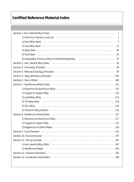# Certified Reference Material Index

| Section 1: Iron, Steel & Alloy (Chip) <b>Contract Contract Contract Contract Contract Contract Contract Contract Contract Contract Contract Contract Contract Contract Contract Contract Contract Contract Contract Contract Con</b>                                             | 1  |
|----------------------------------------------------------------------------------------------------------------------------------------------------------------------------------------------------------------------------------------------------------------------------------|----|
|                                                                                                                                                                                                                                                                                  | 1  |
| 2) Non-Alloy Steel <b>Access 20</b> Non-Alloy Steel <b>20</b> Non-Alloy Steel <b>20</b> Non-Alloy Steel <b>20</b> Non-Alloy Steel <b>20</b> Non-Alloy Steel <b>20</b> Non-Alloy Steel <b>20</b> Non-Alloy Steel <b>20</b> Non-Alloy Steel <b>20</b> Non-Alloy Steel <b>20</b> No | 7  |
|                                                                                                                                                                                                                                                                                  | 11 |
| 4) Alloy Steel <b>Example 20</b> and 20 and 20 and 20 and 20 and 20 and 20 and 20 and 20 and 20 and 20 and 20 and 20 and 20 and 20 and 20 and 20 and 20 and 20 and 20 and 20 and 20 and 20 and 20 and 20 and 20 and 20 and 20 and 2                                              | 20 |
| 5) Tool Steel <b>Executive Steel Executive Steel Executive Steel  CONSTERN STEED BEING STEEL ASSESSED AT A STEEL AND STEEL ASSESSED AT A STEEL AND STEEL AND STEEL ASSESSED AT A STEEL AND STEEL ASSESSED AT A STEEL AND S</b>                                                   | 25 |
| 6) Superalloy, Precious Alloy & Heat Resisting Alloy <b>Construct Act Act 2014</b>                                                                                                                                                                                               | 27 |
| Section 2: Iron, Steel & Alloy (Disk) <b>Construction Control and Section 2: Iron</b> , Steel & Alloy (Disk)                                                                                                                                                                     | 29 |
| Section 3: Ferroalloy (Powder) <b>Communicates</b> 2014 12: 10:00 12:00 13:00 14:00 14:00 14:00 14:00 14:00 14:00 14:00 14:00 14:00 14:00 14:00 14:00 14:00 14:00 14:00 14:00 14:00 14:00 14:00 14:00 14:00 14:00 14:00 14:00 14:00                                              | 44 |
| Section 4: Mineral & Geology (Powder) <b>Contract Contract Contract Contract Contract Contract Contract Contract Contract Contract Contract Contract Contract Contract Contract Contract Contract Contract Contract Contract Con</b>                                             |    |
| Section 5: Slag, Refractory (Powder) <b>Manual Community Contract Contract Contract Contract Contract Contract Contract Contract Contract Contract Contract Contract Contract Contract Contract Contract Contract Contract Contr</b>                                             |    |
| Section 6: Gas In Metal <b>Election 6: Gas In Metal</b> 104                                                                                                                                                                                                                      |    |
| Section 7: Nonferrous Metal (Chip) <b>Example 20</b> 110                                                                                                                                                                                                                         |    |
|                                                                                                                                                                                                                                                                                  |    |
| 2) Copper & Copper Alloy <b>Copper Alloy</b> 2)                                                                                                                                                                                                                                  |    |
|                                                                                                                                                                                                                                                                                  |    |
| 4) Tin Base Alloy <b>Exercise Contract Contract Contract Contract Contract Contract Contract Contract Contract Contract Contract Contract Contract Contract Contract Contract Contract Contract Contract Contract Contract Contr</b>                                             |    |
| 5) Zinc Alloy <u>2000 million</u> 2015                                                                                                                                                                                                                                           |    |
|                                                                                                                                                                                                                                                                                  |    |
| Section 8: Nonferrous Metal (Disk) <b>Accord Accord Accord 217</b> and 217                                                                                                                                                                                                       |    |
|                                                                                                                                                                                                                                                                                  |    |
| 2) Copper & Copper Alloy <b>Copper Alloy</b> 2)                                                                                                                                                                                                                                  |    |
| 3) Magnesium & Other Metal <b>Machinesis</b> 31 Magnesium 230                                                                                                                                                                                                                    |    |
| Section 9: Coal (Powder) <b>COAL</b> (Powder) 232                                                                                                                                                                                                                                |    |
| Section 10: Environmental <b>continuum continuum continuum continuum continuum continuum continuum continuum</b> 137                                                                                                                                                             |    |
| Section 11: Set-up Sample <b>Construction</b> and a set of the set of the set of the 147                                                                                                                                                                                         |    |
| 147 Iron, steel & Alloy (Disk) <b>Alloy</b> (Cisk)                                                                                                                                                                                                                               |    |
|                                                                                                                                                                                                                                                                                  |    |
| Section 12: Solution Standard <b>Election Standard</b> 255                                                                                                                                                                                                                       |    |
| Section 13: Accelerator And Others <b>Entity of the Contract of the Contract of the Contract of the Contract of the Contract of the Contract of the Contract of the Contract of the Contract of the Contract of the Contract of </b>                                             |    |
|                                                                                                                                                                                                                                                                                  |    |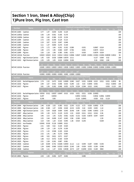| <b>Number</b>                              | <b>Name</b>                           | $\mathsf{C}$ | Si.                                 | Mn              | P              | S                   | Cr              | <b>Chemical Composition</b> (Percent)<br>Ni.  | <b>Cu</b>        | Al             | $\vee$          | TI.       | Mo                                                                                                                                               | Co     | <b>Unit Size</b>           |
|--------------------------------------------|---------------------------------------|--------------|-------------------------------------|-----------------|----------------|---------------------|-----------------|-----------------------------------------------|------------------|----------------|-----------------|-----------|--------------------------------------------------------------------------------------------------------------------------------------------------|--------|----------------------------|
| NCS HC 11003                               | Cast Iron                             | 3.77         | 1.47                                | 0.659           | 0.230          | 0.129               |                 |                                               |                  |                |                 |           |                                                                                                                                                  |        | (in g)<br>100              |
| NCSHC 11003a Cast Iron                     |                                       | 3.36         | 1.39                                | 0.561           | 0.166          | 0.176               |                 |                                               |                  |                |                 |           |                                                                                                                                                  |        | 100                        |
| NCSHC 11003b Cast Iron                     |                                       | 3.36         | 1.82                                | 0.386           | 0.135          | 0.154               |                 |                                               |                  |                |                 |           |                                                                                                                                                  |        | 100                        |
| <b>NCS HC 11004</b>                        | Cast Iron                             | 2.72         | 2.56                                | 0.359           | 0.124          | 0.115               |                 |                                               |                  |                |                 |           |                                                                                                                                                  |        | 100                        |
| <b>NCS HC 11005</b>                        | Cast Iron                             | 2.19         | 3.07                                | 0.219           | 0.047          | 0.048               |                 |                                               |                  |                |                 |           |                                                                                                                                                  |        | 100                        |
| <b>NCS HC 11006</b>                        | Cast Iron                             | 3.11         | 1.37                                | 0.850           | 0.270          | 0.130               |                 |                                               |                  |                |                 |           |                                                                                                                                                  |        | 100                        |
| <b>NCS HC 11007</b>                        | Pig Iron                              | 2.70         | 1.72                                | 1.66            | 0.201          | 0.102               | 0.589           |                                               | 0.031            |                | 0.0067          | 0.014     |                                                                                                                                                  |        | 100                        |
| <b>NCS HC 11008</b>                        | Pig Iron                              | 1.90         | 2.72                                | 1.96            | 0.060          | 0.097               | 0.766           |                                               | 0.041            |                | 0.0075          | 0.013     |                                                                                                                                                  |        | 100                        |
| <b>NCS HC 11009</b>                        | <b>Pig Iron</b>                       | 3.26         | 1.18                                | 1.98            | 0.385          | 0.081               | 0.373           |                                               | 0.020            |                | 0.0074          | 0.024     |                                                                                                                                                  |        | 100                        |
| NCSHC11011b Pure Iron                      |                                       | 0.0023       | 0.0023                              | 0.013           | 0.0014         |                     |                 |                                               |                  |                |                 |           | 0.0014 0.0066 0.0027 0.0045 (<0.0001) (<0.0001) (<0.0001) 0.00030 0.0012                                                                         |        | 50                         |
| <b>NCS HC 11012</b>                        | High Chromium Cast Iron               | 1.95         | 0.59                                | 0.926           |                | 0.0084 0.0079       | 13.11           |                                               |                  |                | 0.137           | 0.064     | 0.52                                                                                                                                             |        | 100                        |
| <b>NCS HC 11013</b>                        | High Chromium Cast Iron               | 2.35         | 1.05                                | 1.05            | 0.010          | 0.0094              | 15.06           |                                               |                  |                | 0.16            | 0.062     | 2.84                                                                                                                                             |        | 100                        |
|                                            |                                       |              |                                     |                 |                |                     |                 |                                               |                  |                |                 |           |                                                                                                                                                  |        |                            |
| NCSHC 11011b Pure Iron                     |                                       | N.           | Zn                                  | <b>Sb</b>       | Sn             | As                  | B.              | Ca                                            | Bi               | Mg             | Pb              | <b>Nb</b> | W.<br>$0.0045$ $0.00015$ $0.00029$ $0.00015$ $0.0026$ $0.00023$ $0.0003$ $(0.00001)$ $(0.00006)$ $(0.00002)$ $(0.00004)$ $(0.00004)$ $(0.00004)$ | Ta     |                            |
|                                            |                                       |              |                                     |                 |                |                     |                 |                                               |                  |                |                 |           |                                                                                                                                                  |        |                            |
|                                            |                                       | $La^*$       | $Se^{#}$                            | Cd <sup>#</sup> | $Te^{\#}$      | $Zr^{\#}$           | Ce <sup>#</sup> | $Hf^{\#}$                                     |                  |                |                 |           |                                                                                                                                                  |        |                            |
| NCSHC 11011b Pure Iron                     |                                       | < 0.00001    | $< 0.00001$ $< 0.00001$ $< 0.00001$ |                 |                | < 0.00001           |                 | < 0.00001 < 0.00002                           |                  |                |                 |           |                                                                                                                                                  |        |                            |
| <b>Number</b>                              | <b>Name</b>                           | $\mathsf{C}$ | Si.                                 | Mn              | P              | S                   | Cr              | <b>Chemical Composition (Percent)</b><br>Ni.  | Cu               | B.             | Ti.             | Co        | V                                                                                                                                                | W.     | <b>Unit Size</b><br>(in g) |
| <b>NCS HC 11015</b>                        | Rare Earth Magnesium Cast Iron        | 2.74         | 2.32                                | 0.473           | 0.022          | 0.0009              | 0.040           | 0.627                                         | 0.031            | 0.0030         | 0.015           | 0.011     | 0.031                                                                                                                                            | 0.0032 | 80                         |
| <b>NCSHC11016</b>                          | Pig Iron                              | 2.99         | 1.67                                | 0.431           | 0.048          | 0.033               | 0.249           | 1.02                                          | 0.03             | 0.0045         | 0.092           |           | 0.012                                                                                                                                            | 0.0043 | 100                        |
| <b>NCSHC11017</b>                          | Pig Iron                              | 3.81         | 1.56                                | 0.262           | 0.048          | 0.055               | 0.278           | 0.324                                         | 0.394            | 0.015          | 0.042           |           | 0.093                                                                                                                                            | 0.119  | 100                        |
|                                            |                                       |              |                                     |                 |                |                     |                 |                                               |                  |                |                 |           |                                                                                                                                                  |        |                            |
|                                            |                                       | Mo           | Mg                                  | Sn              | N              | La                  | Ce.             | Als                                           | <b>As</b>        | R <sub>F</sub> | S <sub>b</sub>  | <b>Nb</b> | Alt                                                                                                                                              |        |                            |
| <b>NCS HC 11015</b>                        | Rare Earth Magnesium Cast Iron 0.0016 |              | 0.012                               | 0.0037          | 0.0047         | 0.013               | 0.019           | 0.021                                         | 0.011            | 0.036          | (0.0005)        |           |                                                                                                                                                  |        |                            |
| <b>NCS HC 11016</b>                        | Pig Iron                              | 0.297        |                                     | 0.0054<br>0.06  |                |                     |                 | 0.0053                                        | 0.0101<br>0.0043 |                | 0.0032<br>0.026 | 0.0061    | 0.0059                                                                                                                                           |        |                            |
| <b>NCS HC 11017</b>                        | Pig Iron                              | 0.196        |                                     |                 |                |                     |                 | 0.116<br><b>Chemical Composition(Percent)</b> |                  |                |                 | 0.02      | 0.119                                                                                                                                            |        | <b>Unit Size</b>           |
| <b>Number</b>                              | <b>Name</b>                           | $\mathsf{C}$ | Si.                                 | Mn              | P              | $S_{-}$             | Cr              | Ni.                                           | Cu               | $\vee$         | TL.             | Mo        |                                                                                                                                                  |        | (in g)_                    |
| <b>NCS HC 13004</b>                        | High Chromium Cast Iron               | 2.46         | 0.320                               | 1.63            | 0.383          | 0.012               | 12.95           | 0.122                                         | 0.73             | 0.026          | 0.0092          | 0.76      |                                                                                                                                                  |        | 100                        |
| <b>NCS HC 13005</b>                        | High Chromium Cast Iron               | 2.86         | 0.365                               | 1.07            | 0.058          | 0.028               | 22.53           | 0.250                                         | 0.42             | 0.039          | 0.005           | 1.14      |                                                                                                                                                  |        | 100                        |
| <b>NCS HC 13006</b>                        | High Chromium Cast Iron               | 2.31         | 0.59                                | 0.828           | 0.064          | 0.043               | 26.48           | 0.49                                          | 0.355            | 0.040          | 0.0053          | 2.70      |                                                                                                                                                  |        | 100                        |
| <b>NCS HC 13007</b>                        | Alloy Cast Iron                       | 3.95         | 1.30                                | 0.271           | 0.129          | 0.233               | 4.31            | 0.029                                         | 0.011            | 0.012          | 0.016           | 0.36      |                                                                                                                                                  |        | 100                        |
| <b>NCS HC 13008</b>                        | Alloy Cast Iron                       | 3.46         | 3.15                                | 1.05            | 0.252          | 0.062               | 0.202           | 0.132                                         | 0.263            | 0.0070         | 0.047           | 0.047     |                                                                                                                                                  |        | 100                        |
| <b>NCS HC 13010</b>                        | Alloy Cast Iron                       | 3.35         | 2.44                                | 0.699           | 0.147          | 0.045               | 0.96            | 0.300                                         | 0.018            |                |                 | 2.39      |                                                                                                                                                  |        | 100                        |
| <b>NCS HC 13011</b>                        | Alloy Cast Iron                       | 3.23         | 4.30                                | 1.20            | 0.310          | 0.045               | 1.36            | 0.919                                         | 0.243            |                |                 | 0.639     |                                                                                                                                                  |        | 100                        |
| <b>NCS HC 13013</b>                        | Iron Powder                           | 0.0041       | 0.018                               | 0.126           | 0.0085         | 0.021               |                 |                                               |                  |                |                 |           |                                                                                                                                                  |        | 150                        |
| <b>NCS HC 13015</b>                        | Pig Iron                              | 2.51         | 4.08                                | 0.62            | 0.104          | 0.020               |                 |                                               |                  |                |                 |           |                                                                                                                                                  |        | 150                        |
| <b>NCS HC 13016</b><br><b>NCS HC 13020</b> | Pig Iron<br>Pig Iron                  | 2.99<br>2.72 | 1.29<br>1.32                        | 1.30            | 0.278<br>0.105 | 0.100<br>0.024      |                 |                                               |                  |                |                 |           |                                                                                                                                                  |        | 150<br>100                 |
| <b>NCS HC 13021</b>                        |                                       | 2.52         |                                     | 0.508           | 0.273          | 0.060               |                 |                                               |                  |                |                 |           |                                                                                                                                                  |        | 100                        |
| <b>NCS HC 13022</b>                        | Pig Iron                              | 2.85         | 1.41<br>3.02                        | 1.46            | 0.071          | 0.027               |                 |                                               |                  |                |                 |           |                                                                                                                                                  |        |                            |
| <b>NCS HC 13024</b>                        | Pig Iron<br>Pig Iron                  | 1.88         | 4.13                                | 0.821<br>0.472  | 0.160          | 0.034               |                 |                                               |                  |                |                 |           |                                                                                                                                                  |        | 100<br>100                 |
| <b>NCS HC 13025</b>                        | Pig Iron                              | 2.51         | 2.28                                | 0.301           | 0.087          | 0.081               |                 |                                               |                  |                |                 |           |                                                                                                                                                  |        | 100                        |
| NCSHC13026                                 | Cast Iron                             | 1.28         | 0.644                               | 0.741           |                | 0.0285 0.0054 21.12 |                 | 1.12                                          | 0.044            | 0.287          | 0.060           | 0.335     |                                                                                                                                                  |        | 100                        |
| NCSHC13027                                 | Cast Iron                             | 1.34         | 0.843                               | 0.969           |                | 0.0310 0.0035 22.40 |                 | 1.60                                          | 0.028            | 0.035          | 0.106           | 0.546     |                                                                                                                                                  |        | 100                        |
| <b>NCS HC 13028</b>                        | Cast Iron                             | 1.58         | 1.11                                | 1.37            | 0.032          | 0.0038              | 24.73           | 2.07                                          | 0.0290           | 0.032          | 0.184           | 0842      |                                                                                                                                                  |        | 100                        |
|                                            |                                       |              |                                     |                 |                |                     |                 | <b>Chemical Composition(Percent)</b>          |                  |                |                 |           |                                                                                                                                                  |        | <b>Unit Size</b>           |
| Number                                     | Name                                  | $\mathsf{C}$ | Si.                                 | Mn              | P              | S.                  | Cr              | Ni.                                           | Cu               | Als            | V               | Ti.       | Mo                                                                                                                                               | Co     | (in g)                     |
| NCS HC 14003                               | Pig Iron                              | 2.03         | 1.50                                | 0.402           | 0.077          | 0.042               |                 |                                               | 0.085            |                |                 |           |                                                                                                                                                  |        | 100                        |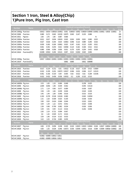| <b>Number</b>           |                     |              |                                                                                                 |                               |               |           | <b>Chemical Composition (Percent)</b>       |        |                      |                                                  |           |     |                         |                | <b>Unit Size</b>           |
|-------------------------|---------------------|--------------|-------------------------------------------------------------------------------------------------|-------------------------------|---------------|-----------|---------------------------------------------|--------|----------------------|--------------------------------------------------|-----------|-----|-------------------------|----------------|----------------------------|
|                         | Name                | $\mathsf{C}$ | Si.                                                                                             | Mn                            | P             | S         | Cr                                          | Ni     | Cu                   | Al                                               | $\vee$    | TI. | <b>Mo</b>               | Co             | (in g)                     |
| NCS HC 15002g Pure Iron |                     | 0.0013       |                                                                                                 | $0.0014$ $0.00018$ $(0.0001)$ |               | 0.001     |                                             |        |                      | 0.00019 0.0052 0.00024 0.00065 (0.0001) (0.0001) |           |     | 0.0033                  | (0.0001)       | 15                         |
| <b>NCS HC 15006</b>     | Pure Iron           | 0.080        | 0.171                                                                                           | 0.043                         | 0.0159        | 0.0075    | 0.043                                       | 0.147  | 0.135                | 0.088                                            |           |     |                         |                | 100                        |
| <b>NCS HC 15011</b>     | Pig Iron            | 2.58         | 2.76                                                                                            | 1.00                          | 0.087         | 0.068     |                                             |        |                      |                                                  | Ν         |     |                         |                | 100                        |
| NCS HC 15003a Pure Iron |                     | 0.012        | 0.017                                                                                           | 0.034                         | 0.0019        | 0.020     | 0.016                                       | 0.030  | 0.021                | 0.060                                            | 0.015     |     |                         |                | 100                        |
| NCS HC 15004a Pure Iron |                     | 0.027        | 0.018                                                                                           | 0.195                         | 0.014         | 0.0063    | 0.048                                       | 0.116  | 0.089                | 0.290                                            | 0.016     |     |                         |                | 100                        |
| NCS HC 15005a Pure Iron |                     | 0.030        | 0.182                                                                                           | 0.106                         | 0.0061        | 0.025     | 0.147                                       | 0.162  | 0.123                | 0.205                                            | 0.011     |     |                         |                | 100                        |
| NCS HC 15006a Pure Iron |                     | 0.061        | 0.341                                                                                           | 0.254                         | 0.021         | 0.0058    | 0.114                                       | 0.182  | 0.168                | 0.412                                            | 0.012     |     |                         |                | 100                        |
| NCS HC 15007a Pure Iron |                     | 0.080        | 0.506                                                                                           | 0.358                         | 0.036         | 0.031     | 0.170                                       | 0.203  | 0.254                | 0.432                                            | 0.018     |     |                         |                | 100                        |
| <b>NCS HC 15014</b>     | Pure Iron( $DT_4$ ) | 0.0208       | 0.0922                                                                                          | 0.246                         | 0.0121        | 0.007     | 0.013                                       | 0.0202 | 0.020                | 0.046                                            |           |     |                         |                | 100                        |
|                         |                     |              |                                                                                                 |                               |               |           | <b>Chemical Composition (Percent)</b>       |        |                      |                                                  |           |     |                         |                |                            |
|                         |                     | Ca           | Mg                                                                                              | Cd                            | Zn            | <b>As</b> | <b>Sb</b>                                   | Bi     | Sn                   | <b>Pb</b>                                        |           |     |                         |                |                            |
| NCS HC 15002g Pure Iron |                     |              | $0.0017$ $0.00022$ $(0.0001)$ $(0.0001)$ $(0.0001)$ $(0.0001)$ $(0.0001)$ $(0.0001)$ $(0.0001)$ |                               |               |           |                                             |        |                      |                                                  |           |     |                         |                |                            |
| <b>NCS HC 15014</b>     | Pure $lron(DT_A)$   |              |                                                                                                 |                               |               | 0.0002    | 0.0005                                      |        | 0.0012               | 0.000085                                         |           |     |                         |                |                            |
| Number                  | Name                |              |                                                                                                 |                               |               |           | <b>Chemical Composition (Percent)</b>       |        |                      |                                                  |           |     |                         |                |                            |
|                         |                     | $\mathsf{C}$ | Si.                                                                                             | Mn                            | P             | S         | Cu                                          | Cr     | Ni.                  | Ai.                                              | N         |     |                         |                |                            |
| <b>NCS HC 15015</b>     | Pure Iron           | 0.017        | 0.214                                                                                           | 0.151                         | 0.01          | 0.0022    | 0.118                                       | 0.017  | 0.105                | 0.413                                            | 0.0064    |     |                         |                | 100                        |
| <b>NCS HC 15016</b>     | Pure Iron           | 0.022        | 0.199                                                                                           | 0.201                         | 0.0072 0.0027 |           | 0.066                                       | 0.032  | 0.066                | 0.217                                            | 0.0123    |     |                         |                | 100                        |
| <b>NCS HC 15017</b>     | Pure Iron           | 0.061        | 0.166                                                                                           | 0.319                         | 0.04          | 0.005     | 0.02                                        | 0.022  | 0.02                 | 0.284                                            | 0.0146    |     |                         |                | 100                        |
| <b>NCSHC15018</b>       | Pure Iron           | 0.022        | 0.422                                                                                           | 0.436                         | 0.036         | 0.0032    | 0.2                                         | 0.205  | 0.323                | 0.515                                            |           |     |                         |                | 100                        |
| <b>Number</b>           | Name                | $\mathsf{C}$ | Si.                                                                                             | Mn                            | P             | S         | <b>Chemical Composition (Percent)</b><br>Cr | Ni.    | Cu                   | m.                                               | <b>Mo</b> | Sn  | As.                     | S <sub>b</sub> | <b>Unit Size</b><br>(in g) |
| NCSHC16003b Pig Iron    |                     | 3.53         | 1.83                                                                                            | 1.10                          | 0.066         | 0.048     |                                             |        | 0.258                | 0.025                                            |           |     |                         |                | 100                        |
| <b>NCS HC 16006</b>     | Pig Iron            | 2.809        | 0.856                                                                                           | 1.48                          | 0.039         | 0.062     |                                             |        | 0.045                | 0.0118                                           |           |     |                         |                | 100                        |
| NCSHC16006b Pig Iron    |                     | 2.71         | 1.14                                                                                            | 0.98                          | 0.077         | 0.089     |                                             |        | 0.036                | 0.007                                            |           |     |                         |                | 100                        |
| <b>NCS HC 16008</b>     | Pig Iron            | 3.58         | 1.59                                                                                            | 1.66                          | 0.039         | 0.044     |                                             |        | 0.024                | 0.030                                            |           |     |                         |                | 100                        |
| NCSHC16008b Pig Iron    |                     | 3.45         | 1.44                                                                                            | 1.84                          | 0.046         | 0.018     |                                             |        | 0.015                | 0.019                                            |           |     |                         |                | 100                        |
| <b>NCS HC 16009</b>     | Pig Iron            | 2.202        | 0.378                                                                                           | 0.528                         | 0.0226        | 0.080     |                                             |        | 0.063                | 0.0094                                           |           |     |                         |                | 100                        |
| NCSHC16009b Pig Iron    |                     | 2.31         | 2.28                                                                                            | 0.509                         | 0.025         | 0.100     |                                             |        | 0.038                | 0.030                                            |           |     |                         |                | 100                        |
| NCSHC16010b Pig Iron    |                     | 3.90         | 0.93                                                                                            | 0.414                         | 0.044         | 0.044     |                                             |        | 0.010                | 0.001                                            |           |     |                         |                | 100                        |
| NCSHC16001b Pig Iron    |                     | 3.04         | 1.34                                                                                            | 1.22                          | 0.072         | 0.052     |                                             |        | 0.025                | 0.008                                            |           |     |                         |                | 100                        |
| NCSHC16002b Pig Iron    |                     | 2.38         | 0.48                                                                                            | 0.700                         | 0.082         | 0.034     |                                             |        | 0.026                | 0.006                                            |           |     |                         |                | 100                        |
| NCSHC16004b Pig Iron    |                     | 3.39         | 3.41                                                                                            | 0.94                          | 0.113         | 0.016     |                                             |        | 0.202                | 0.058                                            |           |     |                         |                | 100                        |
| <b>NCS HC 16022</b>     | Pig Iron            | 2.83         | 2.19                                                                                            | 0.721                         | 0.094         | 0.067     |                                             |        |                      |                                                  |           |     |                         |                | 100                        |
| <b>NCS HC 16023</b>     | Pig Iron            | 3.8          | 1.42                                                                                            | 0.929                         | 0.171         | 0.016     |                                             |        |                      |                                                  |           |     |                         |                | 150                        |
| <b>NCS HC 16024</b>     | Pig Iron            | 3.59         | 1.96                                                                                            | 0.514                         | 0.315         | 0.033     |                                             |        |                      |                                                  |           |     |                         |                | 150                        |
| <b>NCS HC 16026</b>     | Pig Iron            | 3.22         | 2.25                                                                                            | 0.726                         | 0.085         | 0.059     |                                             |        |                      |                                                  |           |     |                         |                | 150                        |
|                         |                     |              |                                                                                                 |                               |               |           | <b>Chemical Composition (Percent)</b>       |        |                      |                                                  |           |     |                         |                | <b>Unit Size</b>           |
| <b>Number</b>           | Name                | $\mathsf{C}$ | Si.                                                                                             | Mn                            | P             | S         | Cr                                          | Ni     | Cu                   |                                                  | Ti.       | Mo  | Sn                      | Zn             | (in g)                     |
| <b>NCS HC 16027</b>     | Pig Iron            | 4.06         | 0.725                                                                                           | 0.094                         | 0.038         | 0.029     | 0.010                                       |        | 0.0023 0.0023 0.0064 |                                                  | 0.026     |     | 0.0027 0.00014 (0.0003) |                | 100                        |
| <b>NCS HC 16028</b>     | Pig Iron            | 4.00         | 1.55                                                                                            | 0.634                         | 0.046         | 0.0073    | 0.036                                       |        | 0.0045 0.0051        | 0.018                                            | 0.084     |     | 0.0089 0.00018 (0.0002) |                | 100                        |
|                         |                     |              |                                                                                                 |                               |               |           |                                             |        |                      |                                                  |           |     |                         |                |                            |
|                         |                     | Pb           | Bi                                                                                              | Sb                            | <b>As</b>     |           |                                             |        |                      |                                                  |           |     |                         |                |                            |
| <b>NCS HC 16027</b>     | Pig Iron            |              | $\leq 0.0002$ $\leq 0.00005$ 0.00013 0.0011                                                     |                               |               |           |                                             |        |                      |                                                  |           |     |                         |                |                            |
| <b>NCS HC 16028</b>     | Pig Iron            |              | $\leq 0.0002$ $\leq 0.00005$ 0.00016 0.0012                                                     |                               |               |           |                                             |        |                      |                                                  |           |     |                         |                |                            |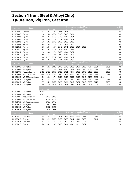| <b>Number</b>       | Name                     |              |        |        |       |        |        | <b>Chemical Composition(Percent)</b>        |       |        |              |           |       |    | <b>Unit Size</b>           |
|---------------------|--------------------------|--------------|--------|--------|-------|--------|--------|---------------------------------------------|-------|--------|--------------|-----------|-------|----|----------------------------|
|                     |                          | $\mathsf{C}$ | Si.    | Mn     | P     | S      | As     | RE.                                         | Mg    |        |              |           |       |    | (in g)                     |
| <b>NCS HC 18002</b> | Cast Iron                | 2.67         | 2.94   | 1.36   | 0.051 | 0.031  |        |                                             |       |        |              |           |       |    | 150                        |
| <b>NCS HC 18003</b> | Pig Iron                 | 3.18         | 1.43   | 0.0732 | 0.243 | 0.049  | 0.064  |                                             |       |        |              |           |       |    | 100                        |
| <b>NCS HC 18005</b> | Pig Iron                 | 2.89         | 2.01   | 0.733  | 0.108 | 0.0058 | 0.091  |                                             |       |        |              |           |       |    | 100                        |
| <b>NCS HC 18006</b> | Pig Iron                 | 2.65         | 1.99   | 0.75   | 0.114 | 0.0057 | 0.092  |                                             |       |        |              |           |       |    | 100                        |
| <b>NCS HC 18008</b> | Pig Iron                 | 4.13         | 1.02   | 0.348  | 0.078 | 0.023  | 0.016  |                                             |       |        |              |           |       |    | 100                        |
| <b>NCS HC 18009</b> | Pig Iron                 | 3.83         | 1.88   | 0.74   | 0.186 | 0.023  | 0.025  |                                             |       |        |              |           |       |    | 100                        |
| <b>NCS HC 18010</b> | Pig Iron                 | 3.66         | 2.40   | 0.59   | 0.145 | 0.041  | 0.036  | 0.024                                       | 0.030 |        |              |           |       |    | 100                        |
| <b>NCS HC 18011</b> | Pig Iron                 | 3.43         | 1.93   | 0.729  | 0.079 | 0.0082 | 0.036  |                                             |       |        |              |           |       |    | 100                        |
| <b>NCS HC 18012</b> | Pig Iron                 | 3.23         | 1.93   | 0.74   | 0.079 | 0.0080 | 0.037  |                                             |       |        |              |           |       |    | 100                        |
| <b>NCS HC 18013</b> | Pig Iron                 | 3.40         | 2.12   | 0.79   | 0.049 | 0.0087 | 0.013  |                                             |       |        |              |           |       |    | 100                        |
| <b>NCS HC 18014</b> | Pig Iron                 | 3.36         | 2.136  | 0.792  | 0.049 | 0.0087 | 0.012  |                                             |       |        |              |           |       |    | 100                        |
| <b>NCSHC18016</b>   | Pig Iron                 | 3.20         | 2.91   | 0.42   | 0.104 | 0.0092 | 0.092  |                                             |       |        |              |           |       |    | 100                        |
| <b>Number</b>       | Name                     |              |        |        |       |        |        | <b>Chemical Composition(Percent)</b>        |       |        |              |           |       |    | <b>Unit Size</b>           |
|                     |                          | $\mathsf{C}$ | Si.    | Mn     | P     | S      | Cr     | Ni.                                         | Cu    | V      | Ti.          | <b>Mo</b> | Co    |    | (in g)                     |
| <b>NCS HC 19002</b> | V Ti Pig Iron            | 3.00         | 1.42   | 0.869  | 0.048 | 0.145  | 0.033  | 0.027                                       | 0.066 | 0.29   | 0.254        |           | 0.033 |    | 100                        |
| NCSHC 19004         | V Ti Pig Iron            | 2.38         | 2.12   | 1.28   | 0.069 | 0.0077 | 0.039  | 0.028                                       | 0.070 | 0.40   | 0.314        |           | 0.034 |    | 100                        |
| <b>NCS HC 19007</b> | Nodular Cast Iron        | 2.855        | 2.615  | 0.977  | 0.050 | 0.021  | 0.0433 | 0.032                                       | 0.046 | 0.536  | 0.106        |           | 0.036 |    | 100                        |
| <b>NCS HC 19008</b> | Nodular Cast Iron        | 2.486        | 2.529  | 0.734  | 0.080 | 0.015  | 0.0425 | 0.030                                       | 0.044 | 0.394  | 0.096        |           | 0.035 |    | 100                        |
| <b>NCS HC 19010</b> | V Ti RE Spherulitic Iron | 2.69         | 2.92   | 0.79   | 0.029 | 0.023  | 0.227  | 0.025                                       | 0.042 | 0.236  | 0.109        | 0.0016    |       |    | 100                        |
| <b>NCS HC 19016</b> | V Ti Pig Iron            | 2.21         | 3.78   | 0.420  | 0.014 | 0.012  | 0.040  | 0.032                                       | 0.047 | 0.310  | 0.066        |           | 0.037 |    | 100                        |
| <b>NCS HC 19017</b> | V Ti Pig Iron            | 2.77         | 2.52   | 0.570  | 0.015 | 0.014  | 0.042  | 0.031                                       | 0.046 | 0.356  | 0.072        |           | 0.037 |    | 100                        |
| <b>NCS HC 19018</b> | V Ti Pig Iron            | 2.70         | 3.10   | 0.625  | 0.024 | 0.011  | 0.043  | 0.031                                       | 0.049 | 0.405  | 0.125        |           | 0.035 |    | 100                        |
|                     |                          |              |        |        |       |        |        |                                             |       |        |              |           |       |    |                            |
|                     |                          | Ca           | Mg     | RE.    |       |        |        |                                             |       |        |              |           |       |    |                            |
| <b>NCS HC 19002</b> | V Ti Pig Iron            | 0.0079       |        |        |       |        |        |                                             |       |        |              |           |       |    |                            |
| <b>NCS HC 19004</b> | V Ti Pig Iron            | 0.0073       |        |        |       |        |        |                                             |       |        |              |           |       |    |                            |
| <b>NCS HC 19007</b> | Nodular Cast Iron        |              | 0.036  | 0.040  |       |        |        |                                             |       |        |              |           |       |    |                            |
| <b>NCS HC 19008</b> | Nodular Cast Iron        |              | 0.0106 | 0.0185 |       |        |        |                                             |       |        |              |           |       |    |                            |
| <b>NCS HC 19010</b> | V Ti RE Spherulitic Iron |              | 0.028  | 0.040  |       |        |        |                                             |       |        |              |           |       |    |                            |
| <b>NCS HC 19016</b> | V Ti Pig Iron            |              | 0.090  | 0.099  |       |        |        |                                             |       |        |              |           |       |    |                            |
| <b>NCS HC 19017</b> | V Ti Pig Iron            |              | 0.067  | 0.070  |       |        |        |                                             |       |        |              |           |       |    |                            |
| <b>NCS HC 19018</b> | V Ti Pig Iron            |              | 0.071  | 0.083  |       |        |        |                                             |       |        |              |           |       |    |                            |
| <b>Number</b>       | Name                     | $\mathsf{C}$ | Si     | Mn     | P     | S      | Cr     | <b>Chemical Composition (Percent)</b><br>Ni | Cu.   | $\vee$ | $\mathsf{T}$ | Mo        | Co    | Sn | <b>Unit Size</b><br>(in g) |
| <b>NCS HC 28012</b> | Cast Iron                | 3.06         | 1.36   | 0.77   | 0.071 | 0.094  | 0.0325 | 0.0415                                      | 0.068 |        | 0.032        |           |       |    | 150                        |
| <b>NCS HC 28013</b> | Cast Iron                | 2.65         | 2.29   | 0.575  | 0.450 | 0.098  | 0.041  | 0.0675                                      | 0.086 |        | 0.041        |           |       |    | 150                        |
| <b>NCS HC 28014</b> | Cast Iron                | 3.05         | 2.67   | 0.57   | 0.300 | 0.079  | 0.022  | 0.018                                       | 0.194 |        |              |           |       |    | 150                        |
| NCSHC 28015         | Cast Iron                | 3.58         | 3.02   | 0.97   | 0.080 | 0.014  |        | 0.0075 0.0125                               | 0.091 |        |              |           |       |    | 150                        |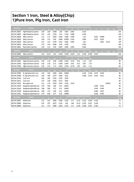|                        |                                     |                |              |       |       |               |       | <b>Chemical Composition(Percent)</b>               |                |              |                |                |             |     | <b>Unit Size</b>           |
|------------------------|-------------------------------------|----------------|--------------|-------|-------|---------------|-------|----------------------------------------------------|----------------|--------------|----------------|----------------|-------------|-----|----------------------------|
| <b>Number</b>          | Name                                | $\mathsf{C}$   | Si           | Mn    | P     | S.            | Cr    | Ni                                                 | $\overline{C}$ | $\mathsf{A}$ | $\overline{V}$ | Ti             | <b>Mo</b>   | Sn. | (in g)                     |
| NCS HC 28025           | High Phosphorus Cast Iron           | 2.98           | 1.80         | 0.698 | 1.80  | 0.087         | 0.081 |                                                    | 0.201          |              |                |                |             |     | 150                        |
| <b>NCS HC 28026</b>    | High Phosphorus Cast Iron           | 2.91           | 1.81         | 0.702 | 1.91  | 0.124         | 0.086 |                                                    | 0.245          |              |                |                |             |     | 150                        |
| <b>NCS HC 28028</b>    | Alloy Cast Iron                     | 3.11           | 1.71         | 0.605 | 0.250 | 0.088         | 0.280 |                                                    | 1.03           |              | 0.023          | 0.0494         |             |     | 100                        |
| <b>NCS HC 28029</b>    | Alloy Cast Iron                     | 2.84           | 1.91         | 0.85  | 0.086 | 0.0995        | 0.316 |                                                    | 0.865          |              | 0.017          | 0.033          |             |     | 100                        |
| NCSHC 28034            | Alloy Cast Iron                     | 3.15           | 1.67         | 0.795 | 0.321 | 0.082         | 0.464 |                                                    | 1.04           |              |                | 0.053          | 0.515       |     | 100                        |
| NCSHC 28035            | Alloy Cast Iron                     | 3.15           | 1.44         | 0.685 | 0.49  | 0.076         |       |                                                    | 0.915          |              |                |                |             |     | 100                        |
| NCSHC <sub>28041</sub> | Rare Earth Cast Iron                | 1.59           | 2.13         | 0.44  | 0.067 | 0.004         | 0.052 |                                                    | 0.024          |              |                |                |             |     | 150                        |
| <b>Number</b>          | Name                                |                |              |       |       |               |       | <b>Chemical Composition(Percent)</b>               |                |              |                |                |             |     | <b>Unit Size</b>           |
|                        |                                     | $\overline{C}$ | <sub>S</sub> | Si    | Mn    | P             | Cr    | Ni                                                 | Mo             | <b>Nb</b>    | Mg             | Cu.            | $\Sigma$ RE | Ce. | (in g)                     |
| <b>NCS HC 28054</b>    | Alloy Cast Iron                     | 3.01           | 0.011        | 2.03  | 0.645 | 0.188         | 0.619 | 1.19                                               | 0.355          | 0.095        | 0.047          |                |             |     | 100                        |
| <b>Number</b>          | Name                                |                |              |       |       |               |       | <b>Chemical Composition (Percent)</b>              |                |              |                |                |             |     | <b>Unit Size</b>           |
|                        |                                     | $\mathsf{C}$   | Si.          | Mn    | P     | <sub>S</sub>  | Cr    | Ni                                                 | Cu             | Mo           |                |                |             |     | $\overline{\text{(in g)}}$ |
| <b>NCSHC37001</b>      | High Chromium Cast Iron             | 3.40           | 1.35         | 0.89  | 0.060 | 0.054         | 13.54 | 0.63                                               | 1.22           | 1.03         |                |                |             |     | 80                         |
| NCSHC37002             | High Chromium Cast Iron             | 3.42           | 1.05         | 0.71  | 0.058 | 0.064         | 8.93  | 0.23                                               | 0.90           | 1.74         |                |                |             |     | 80                         |
| NCS HC37003            | High Chromium Cast Iron             | 2.95           | 1.32         | 1.72  | 0.062 | 0.034         | 15.39 | 1.05                                               | 1.06           | 1.12         |                |                |             |     | 80                         |
| <b>Number</b>          | Name                                | $\overline{C}$ | Si.          | Mn    | P     | $\mathcal{S}$ | Cr    | <b>Chemical Composition (Percent)</b><br><b>Ni</b> | <b>Cu</b>      | Mo           | $M\sigma$      | R <sub>r</sub> | <b>Bi</b>   |     | <b>Unit Size</b>           |
| <b>NCS HC 37005</b>    | R <sub>F</sub> -Mg Spherulitic Iron | 1.92           | 3.36         | 0.955 | 0.041 | 0.0064        |       |                                                    | 0.181          | 0.128        | 0.073          | 0.059          |             |     | (in g)<br>80               |
| <b>NCS HC 37008</b>    | R <sub>F</sub> -Mg Spherulitic Iron | 2.59           | 3.08         | 0.373 | 0.042 | 0.012         |       |                                                    | 0.288          | 0.514        | 0.014          | 0.011          |             |     | 80                         |
| <b>NCS HC 37010</b>    | Cast Iron                           | 3.63           | 2.82         | 0.762 | 0.187 | 0.070         |       |                                                    |                |              |                |                |             |     | 80                         |
| <b>NCS HC 37011</b>    | Cast Iron                           | 3.73           | 2.58         | 0.565 | 0.117 | 0.067         |       |                                                    |                |              |                |                |             |     | 80                         |
| NCSHC37013             |                                     | 2.11           | 1.70         | 0.353 | 0.167 | 0.139         | 0.119 |                                                    |                |              |                |                | 0.0025      |     | 80                         |
| <b>NCS HC 37018</b>    | Wrought Iron                        | 2.78           | 5.96         | 6.80  | 0.12  | 0.0027        |       |                                                    |                |              | 0.049          | 0.041          |             |     |                            |
| NCSHC37019             | Manganese Spherulitic Iron          | 3.06           | 5.80         | 6.72  | 0.11  | 0.0041        |       |                                                    |                |              | 0.054          | 0.049          |             |     | 80<br>80                   |
|                        | Manganese Spherulitic Iron          |                |              |       |       |               |       |                                                    |                |              |                |                |             |     |                            |
| NCS HC37020            | Manganese Spherulitic Iron          | 2.88           | 3.75         | 6.40  | 0.11  | 0.0035        |       |                                                    |                |              | 0.068          | 0.047          |             |     | 80                         |
| <b>NCS HC 37021</b>    | Manganese Spherulitic Iron          | 2.79           | 6.58         | 8.77  | 0.10  | 0.0060        |       |                                                    |                |              | 0.028          | 0.045          |             |     | 80                         |
| <b>Number</b>          | Name                                | $\overline{C}$ | <b>Si</b>    | Mn    | P     | S.            | Cr    | <b>Chemical Composition (Percent)</b><br>Ni        | Cп             |              | Co             |                |             |     | <b>Unit Size</b>           |
| NCSHC <sub>28057</sub> | Nickel-iron                         | 2.15           | 4.10         | 0.065 | 0.020 | 0.235         | 2.77  | 12.25                                              | 0.022          | 0.034        | 0.226          |                |             |     | (in g)<br>75               |
| NCS HC 28058           | Nickel-iron                         | 2.87           | 2.07         | 0.072 | 0.110 | 1.00          | 1.68  | 10.19                                              | 0.033          | 0.027        | 0.236          |                |             |     | 75                         |
| <b>NCS HC 28059</b>    | Nickel-iron                         | 2.17           | 2.72         | 0.066 | 0.014 | 0.276         | 1.71  | 13.96                                              | 0.038          | 0.027        | 0.320          |                |             |     | 75                         |
|                        |                                     |                |              |       |       |               |       |                                                    |                |              |                |                |             |     |                            |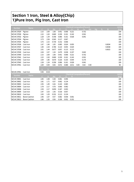| <b>Number</b>       | Name                   | $\mathsf{C}$ | Si.   | Mn    | P     | S.    | Cr    | Ni.  | <b>Chemical Composition (Percent)</b><br>Cu. | Mo   | Mg | $R_{\rm r}$ | Bi.    | <b>Unit Size</b><br>(in g) |
|---------------------|------------------------|--------------|-------|-------|-------|-------|-------|------|----------------------------------------------|------|----|-------------|--------|----------------------------|
| <b>NCS HC 37029</b> | Pig Iron               | 2.15         | 2.69  | 1.08  | 0.451 | 0.068 | 0.221 |      | 0.752                                        |      |    |             |        | 100                        |
| <b>NCS HC 37030</b> | Pig Iron               | 2.22         | 2.20  | 0.869 | 0.339 | 0.101 | 0.142 |      | 0.501                                        |      |    |             |        | 100                        |
| <b>NCS HC 37032</b> | Pig Iron               | 2.28         | 1.34  | 0.358 | 0.086 | 0.161 | 0.028 |      | 0.041                                        |      |    |             |        | 100                        |
| <b>NCS HC 37034</b> | Pig Iron               | 3.73         | 2.58  | 0.565 | 0.117 | 0.067 |       |      |                                              |      |    |             |        | 100                        |
| <b>NCS HC 37035</b> | Pig Iron               | 3.75         | 2.15  | 0.730 | 0.152 | 0.068 |       |      |                                              |      |    |             |        | 100                        |
| <b>NCS HC 37036</b> | Cast Iron              | 1.67         | 1.90  | 1.05  | 0.085 | 0.024 | 0.055 |      |                                              |      |    |             | 0.0034 | 100                        |
| <b>NCS HC 37037</b> | Cast Iron              | 1.90         | 2.34  | 0.780 | 0.110 | 0.055 | 0.024 |      |                                              |      |    |             | 0.0038 | 100                        |
| <b>NCS HC 37038</b> | Cast Iron              | 2.01         | 1.44  | 0.677 | 0.057 | 0.115 | 0.113 |      |                                              |      |    |             | 0.0015 | 100                        |
| <b>NCS HC 37039</b> | Cast Iron              | 2.04         | 3.37  | 1.34  | 0.479 | 0.038 | 0.197 |      | 0.642                                        |      |    |             |        | 100                        |
| <b>NCS HC 37040</b> | Cast Iron              | 2.15         | 2.69  | 1.08  | 0.451 | 0.068 | 0.221 |      | 0.752                                        |      |    |             |        | 100                        |
| <b>NCS HC 37041</b> | Cast Iron              | 2.22         | 2.20  | 0.869 | 0.339 | 0.101 | 0.142 |      | 0.501                                        |      |    |             |        | 100                        |
| NCSHC37042          | Cast Iron              | 2.04         | 1.86  | 0.670 | 0.226 | 0.103 | 0.054 |      | 0.176                                        |      |    |             |        | 100                        |
| NCSHC37043          | Cast Iron              | 2.28         | 1.34  | 0.358 | 0.086 | 0.161 | 0.028 |      | 0.041                                        |      |    |             |        | 100                        |
| NCSHC37051          | Cast Iron              | 2.69         | 0.59  | 0.65  | 0.072 | 0.088 | 10.51 | 0.43 | 0.63                                         | 0.50 |    |             |        | 50                         |
|                     |                        | $\vee$       | -Ti   |       |       |       |       |      |                                              |      |    |             |        |                            |
| <b>NCSHC37051</b>   | Cast Iron              | 0.56         | 0.013 |       |       |       |       |      |                                              |      |    |             |        |                            |
|                     |                        |              |       |       |       |       |       |      | <b>Chemical Composition (Percent)</b>        |      |    |             |        | <b>Unit Size</b>           |
| <b>Number</b>       | Name                   | $\mathsf{C}$ | Si.   | Mn    | P     | S.    | B     |      |                                              |      |    |             |        | (in g)                     |
| <b>NCS HC 39001</b> | Cast Iron              | 2.85         | 2.48  | 0.38  | 0.081 | 0.096 |       |      |                                              |      |    |             |        | 100                        |
| <b>NCS HC 39002</b> | Cast Iron              | 2.81         | 1.71  | 0.57  | 0.062 | 0.134 |       |      |                                              |      |    |             |        | 100                        |
| <b>NCS HC 39003</b> | Cast Iron              | 2.95         | 1.49  | 0.26  | 0.143 | 0.085 |       |      |                                              |      |    |             |        | 100                        |
| <b>NCS HC 39004</b> | Cast Iron              | 2.78         | 2.17  | 0.78  | 0.066 | 0.082 |       |      |                                              |      |    |             |        | 100                        |
| <b>NCS HC 39008</b> | Cast Iron              | 2.59         | 2.17  | 0.859 | 0.187 | 0.093 |       |      |                                              |      |    |             |        | 100                        |
| <b>NCS HC 39009</b> | Cast Iron              | 2.47         | 3.33  | 1.56  | 0.318 | 0.057 |       |      |                                              |      |    |             |        | 100                        |
| <b>NCS HC 39010</b> | Cast Iron              | 2.65         | 1.29  | 0.331 | 0.113 | 0.134 |       |      |                                              |      |    |             |        | 100                        |
| <b>NCS HC 39011</b> | Boron Cast Iron        | 2.96         | 1.67  | 0.57  | 0.082 | 0.058 | 0.061 |      |                                              |      |    |             |        | 100                        |
| NCSHC39013          | <b>Boron Cast Iron</b> | 2.86         | 2.35  | 0.56  | 0.106 | 0.052 | 0.101 |      |                                              |      |    |             |        | 100                        |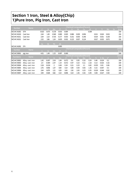| Number              |                 |                |           |       |       |       |       |       | Chemical Composition(Percent)         |       |       |             |             |    | <b>Unit Size</b> |
|---------------------|-----------------|----------------|-----------|-------|-------|-------|-------|-------|---------------------------------------|-------|-------|-------------|-------------|----|------------------|
|                     | <b>Name</b>     | $\overline{C}$ | Si.       | Mn    | P     |       | Сr    |       | Cп                                    | A     |       |             | Mo          | Sn | (in g)           |
| NCSHC41002          | DT4             | 0.023          | 0.075     | 0.178 | 0.016 | 0.009 |       |       |                                       | 0.309 |       |             |             |    | 150              |
| <b>NCSHC41010</b>   | Cast Iron       | 2.64           | 1.49      | 0.540 | 0.089 | 0.029 | 0.086 | 0.030 | 0.056                                 |       | 0.011 | 0.024       | 0.021       |    | 150              |
| NCSHC41011          | Cast Iron       | 2.64           | 2.23      | 0.725 | 0.177 | 0.033 | 0.151 | 0.035 | 0.146                                 |       | 0.014 | 0.031       | 0.105       |    | 150              |
| <b>NCSHC41012</b>   | Cast Iron       | 2.52           | 3.86      | 1.24  | 0.635 | 0.032 | 0.115 | 0.037 | 0.114                                 |       | 0.017 | 0.033       | 0.071       |    | 150              |
|                     |                 |                |           |       |       |       |       |       |                                       |       |       |             |             |    |                  |
|                     |                 | As             | Sb        | Pb    | Ali   |       |       |       |                                       |       |       |             |             |    |                  |
| <b>NCSHC41002</b>   | DT4             |                |           |       | 0.003 |       |       |       |                                       |       |       |             |             |    |                  |
| <b>Number</b>       | <b>Name</b>     |                |           |       |       |       |       |       | <b>Chemical Composition (Percent)</b> |       |       |             |             |    | <b>Unit Size</b> |
|                     |                 | $\subset$      | <b>Si</b> | Mn    | P     |       |       |       |                                       |       |       |             |             |    | (in g)           |
| <b>NCS HC 93001</b> | pig iron        | 4.01           | 1.49      | 1.15  | 0.097 | 0.069 |       |       |                                       |       |       |             |             |    | 100              |
| <b>Numberw</b>      | <b>Name</b>     |                |           |       |       |       |       |       | <b>Chemical Composition (Percent)</b> |       |       |             |             |    | <b>Unit Size</b> |
|                     |                 | $\mathsf{C}$   | S.        | Si    | Mu    |       | Cr    | Ni    | <b>Mo</b>                             | Cu    |       | $\Sigma$ Re | $V^{\star}$ |    | (in g)           |
| <b>NCS HC 93002</b> | Alloy cast iron | 1.82           | 0.097     | 3.54  | 1.84  | 0.072 | 0.6   | 0.95  | 0.16                                  | 0.24  | 0.46  | 0.024       | 0.2         |    | 100              |
| <b>NCS HC 93003</b> | Alloy cast iron | 2.4            | 0.084     | 2.47  | 1.19  | 0.072 | 0.97  | 0.23  | 0.11                                  | 2.18  | 0.13  | 0.025       | 0.16        |    | 100              |
| NCSHC93004          | Alloy cast iron | 3.28           | 0.018     | 2     | 0.48  | 0.34  | 0.21  | 0.33  | 1.1                                   | 0.82  | 0.035 | 0.01        | 0.06        |    | 100              |
| <b>NCSHC93005</b>   | Alloy cast iron | 2.76           | 0.058     | 1.37  | 0.69  | 0.14  | 0.39  | 0.59  | 0.65                                  | 1.36  | 0.15  | 0.007       | 0.3         |    | 100              |
| NCSHC93006          | Alloy cast iron | 2.64           | 0.079     | 1.21  | 0.29  | 0.43  | 1.92  | 2.65  | 0.25                                  | 0.35  | 0.029 | 0.044       | 0.02        |    | 100              |
| NCSHC93007          | Alloy cast iron | 3.94           | 0.028     | 0.82  | 0.14  | 0.058 | 0.14  | 1.56  | 0.42                                  | 0.49  | 0.08  | 0.027       | 0.58        |    | 100              |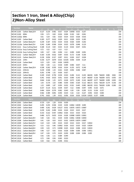| <b>Number</b>                            | Name                            |               |               |              |                |                | Chemical Composition(Percent)         |                      |                |                |        |                      |       |       | <b>Unit Size</b> |
|------------------------------------------|---------------------------------|---------------|---------------|--------------|----------------|----------------|---------------------------------------|----------------------|----------------|----------------|--------|----------------------|-------|-------|------------------|
|                                          |                                 | $\mathsf{C}$  | Si.           | Mn           | P.             | S              | Cr                                    | Ni.                  | Cu.            | Al.            | $\vee$ | Ti.                  | Al.   | Ti.   | (in g)           |
| <b>NCSHC11101</b>                        | Carbon Steel, 10#<br>60Mn       | 0.127<br>0.56 | 0.219<br>0.72 | 0.481        | 0.017          | 0.024<br>0.004 | 0.0058<br>0.102                       | 0.015                | 0.257<br>0.041 |                |        |                      |       |       | 150<br>150       |
| <b>NCS HC 11102</b><br>NCSHC 11102a 60Mn |                                 | 0.61          | 0.24          | 0.69<br>0.82 | 0.016<br>0.023 | 0.014          | 0.015                                 | 0.60<br>0.028        | 0.016          |                |        |                      |       |       | 150              |
| <b>NCS HC 11103</b>                      | Carbon Steel                    | 0.183         | 0.277         | 0.622        | 0.029          | 0.011          | 0.028                                 | 0.033                | 0.185          |                |        |                      |       |       | 150              |
| <b>NCSHC11110</b>                        | Carbon Steel, 25#               | 0.239         | 0.187         | 0.552        | 0.014          | 0.018          | 0.026                                 | 0.039                | 0.202          |                |        |                      |       |       | 150              |
|                                          | NCS HC 11110a Carbon Steel.25 # | 0.242         | 0.260         | 0.506        | 0.014          | 0.023          | 0.078                                 | 0.048                | 0.119          |                |        |                      |       |       | 150              |
| <b>NCSHC11111</b>                        | <b>Easy Cutting Steel</b>       | 0.188         | 0.114         | 0.64         | 0.015          | 0.119          | 0.016                                 | 0.037                | 0.031          |                |        |                      |       |       | 150              |
|                                          | NCSHC 11111a Easy Cutting Steel | 0.72          | 0.22          | 0.37         | 0.13           | 0.13           |                                       |                      |                |                |        |                      |       |       | 150              |
|                                          | NCSHC 11111b Easy Cutting Steel | 0.09          | 0.27          | 0.96         | 0.094          | 0.12           | 0.090                                 | 0.049                | 0.091          |                |        |                      |       |       | 150              |
| <b>NCSHC11112</b>                        | Carbon Steel, 20 #              | 0.183         | 0.105         | 0.632        | 0.007          | 0.016          | 0.172                                 | 0.108                | 0.106          |                |        |                      |       |       | 150              |
| <b>NCS HC 11115</b>                      | Carbon Steel, 15#               | 0.136         | 0.054         | 0.317        | 0.007          | 0.011          | 0.026                                 | 0.017                | 0.028          |                |        |                      |       |       | 150              |
| <b>NCSHC11116</b>                        | 15Mn                            | 0.156         | 0.277         | 0.879        | 0.015          | 0.0105         | 0.058                                 | 0.054                | 0.124          |                |        |                      |       |       | 150              |
| <b>NCSHC11118</b>                        | Carbon Steel                    | 0.23          | 0.25          | 0.55         | 0.026          | 0.0035         |                                       |                      |                |                |        |                      |       |       | 150              |
| <b>NCSHC11119</b>                        | 65Mn                            | 0.68          | 0.30          | 1.11         | 0.018          | 0.009          | 0.066                                 | 0.037                | 0.11           |                |        |                      |       |       | 150              |
| <b>NCSHC11120</b>                        | Carbon Steel, 35#               | 0.338         | 0.262         | 0.555        | 0.016          | 0.014          | 0.155                                 | 0.072                | 0.140          |                |        |                      |       |       | 150              |
| <b>NCSHC11121</b>                        | 25MnSi                          | 0.234         | 0.508         | 1.33         | 0.021          | 0.029          | 0.056                                 | 0.046                | 0.067          |                |        |                      |       |       | 150              |
| <b>NCS HC 11122</b>                      | 20MnSi                          | 0.201         | 0.748         | 1.32         | 0.026          | 0.027          |                                       |                      |                |                |        |                      |       |       | 150              |
| <b>NCS HC 11124</b>                      | Carbon Steel                    | 0.109         | 0.520         | 0.750        | 0.034          | 0.010          | 0.206                                 | 0.121                | 0.243          | Als0.031       | 0.254  | Tis0.015             | 0.036 | 0.016 | 150              |
| <b>NCS HC 11125</b>                      | Carbon Steel                    | 0.341         | 0.416         | 0.923        | 0.051          | 0.010          | 0.069                                 | 0.143                | 0.187          | Als0.067       | 0.136  | Tis0.054             | 0.072 | 0.055 | 150              |
| <b>NCS HC 11126</b>                      | Carbon Steel                    | 0.664         | 0.164         | 1.25         | 0.071          | 0.028          | 0.073                                 | 0.240                |                | 0.142 Als0.097 | 0.077  | Tis0.093             | 0.099 | 0.093 | 150              |
| <b>NCS HC 11127</b>                      | Carbon Steel                    | 1.03          | 0.176         | 1.63         | 0.086          | 0.030          | 0.063                                 | 0.320                | 0.122          | Als0.171       | 0.031  | Tis0.154             | 0.174 | 0.156 | 150              |
| <b>NCS HC 11128</b>                      | Carbon Steel                    | 1.23          | 0.805         | 1.87         | 0.093          | 0.032          | 0.321                                 | 0.445                | 0.082          | Als0.202       |        | 0.011 Tis0.263 0.206 |       | 0.266 | 150              |
| <b>NCS HC 11130</b>                      | Carbon Steel                    | 0.157         | 0.114         | 0.211        | 0.034          | 0.037          | 0.12                                  | 0.066                | 0.047          | 0.045          | 0.163  | 0.071                |       |       | 150              |
| <b>NCS HC 11132</b>                      | Carbon Steel                    | 0.464         | 0.814         | 0.376        | 0.062          | 0.043          | 0.20                                  | 0.36                 | 0.295          | 0.131          | 0.156  | 0.157                |       |       | 150              |
| <b>NCS HC 11133</b>                      | Carbon Steel                    | 0.582         | 0.389         | 0.891        | 0.050          | 0.019          | 0.16                                  | 0.18                 | 0.227          | 0.056          | 0.023  | 0.083                |       |       | 150              |
| <b>NCSHC11134</b>                        | Carbon Steel                    | 0.741         | 0.821         | 1.39         | 0.012          | 0.056          | 0.016                                 | 0.016                |                | 0.0154 0.0025  | 0.157  | 0.006                |       |       | 150              |
|                                          |                                 |               |               |              |                |                | <b>Chemical Composition (Percent)</b> |                      |                |                |        |                      |       |       | <b>Unit Size</b> |
| Number                                   | Name                            | $\mathsf{C}$  | Si.           | Mn           | P              | S              | Cr                                    | Ni.                  | <b>Cu</b>      | As             |        |                      |       |       | (in g)           |
| <b>NCS HC 13101</b>                      | Carbon Steel                    | 0.725         | 0.24          | 1.28         | 0.016          | 0.030          |                                       |                      |                |                |        |                      |       |       | 150              |
| <b>NCS HC 13102</b>                      | Carbon Steel                    | 0.295         | 0.255         | 0.506        | 0.019          | 0.030          |                                       | 0.0062 0.0039        | 0.005          |                |        |                      |       |       | 100              |
| <b>NCS HC 13103</b>                      | Carbon Steel                    | 0.409         | 0.261         | 0.629        | 0.0127         | 0.032          | 0.0076                                | 0.0073 0.0087        |                |                |        |                      |       |       | 100              |
| <b>NCS HC 13104</b>                      | Carbon Steel                    | 0.239         | 0.242         | 0.490        | 0.014          | 0.024          | 0.013                                 | 0.015                | 0.017          |                |        |                      |       |       | 100              |
| <b>NCS HC 13105</b>                      | Carbon Steel                    | 0.153         | 0.222         | 0.457        | 0.0062         | 0.026          | 0.013                                 | 0.010                | 0.023          |                |        |                      |       |       | 100              |
| <b>NCS HC 13106</b>                      | Carbon Steel                    | 0.480         | 0.271         | 0.653        | 0.016          | 0.028          |                                       | 0.0088 0.0055 0.0061 |                |                |        |                      |       |       | 100              |
| <b>NCS HC 13107</b>                      | Carbon Steel, 30#               | 0.30          | 0.26          | 0.51         | 0.019          | 0.030          |                                       | 0.0061 0.0038 0.0054 |                |                |        |                      |       |       | 100              |
| <b>NCS HC 13108</b>                      | Carbon Steel, 40#               | 0.41          | 0.26          | 0.63         | 0.013          | 0.032          | 0.0076                                | 0.0074               | 0.0087         |                |        |                      |       |       | 100              |
| <b>NCS HC 13109</b>                      | Carbon Steel, 25#               | 0.24          | 0.24          | 0.49         | 0.014          | 0.024          | 0.013                                 | 0.015                | 0.017          | 0.0022         |        |                      |       |       | 100              |
| <b>NCS HC 13110</b>                      | Carbon Steel, 15#               | 0.15          | 0.22          | 0.46         | 0.0062         | 0.026          | 0.013                                 | 0.010                | 0.023          | 0.0034         |        |                      |       |       | 100              |
| <b>NCSHC13111</b>                        | Carbon Steel, 60#               | 0.59          | 0.25          | 0.73         | 0.0098         | 0.025          | 0.014                                 | 0.008                | 0.015          | 0.0019         |        |                      |       |       | 100              |
| <b>NCS HC 13112</b>                      | Carbon Steel, 50#               | 0.48          | 0.27          | 0.65         | 0.016          | 0.028          | 0.009                                 | 0.006                | 0.006          | 0.0011         |        |                      |       |       | 100              |
| <b>NCS HC 13114</b>                      | Carbon Steel, 45 #              | 0.47          | 0.26          | 0.70         | 0.019          | 0.030          | 0.008                                 | 0.004                | 0.006          | 0.005          |        |                      |       |       | 100              |
| <b>NCS HC 13116</b>                      | Carbon Steel                    | 0.42          | 0.36          | 1.11         | 0.084          | 0.049          |                                       |                      |                |                |        |                      |       |       | 100              |
| <b>NCS HC 13118</b>                      | Carbon Steel                    | 0.72          | 0.66          | 0.56         | 0.063          | 0.010          |                                       |                      |                |                |        |                      |       |       | 100              |
| NCS HC 13121                             | Carbon Steel                    | 0.33          | 0.62          | 0.41         | 0.036          | 0.012          |                                       |                      |                |                |        |                      |       |       | 100              |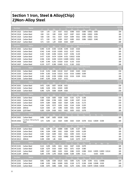| <b>Number</b>       | Name                             |                      |             |            |              |             |                      | Chemical Composition(Percent)                 |              |               |                      |        |       | <b>Unit Size</b>           |
|---------------------|----------------------------------|----------------------|-------------|------------|--------------|-------------|----------------------|-----------------------------------------------|--------------|---------------|----------------------|--------|-------|----------------------------|
| <b>NCS HC 13122</b> | Carbon Steel                     | $\mathsf{C}$<br>0.29 | Si.<br>1.43 | Mn<br>1.16 | P<br>0.017   | S<br>0.012  | Ni.<br>0.008         | Cr<br>0.015                                   | Cu.<br>0.006 | As:<br>0.0022 | Als<br>0.063         |        |       | (in g)<br>100              |
| <b>NCS HC 13124</b> | Carbon Steel                     | 0.60                 | 0.31        | 0.89       | 0.018        | 0.017       | 0.007                | 0.013                                         | 0.006        | 0.0022        | 0.056                |        |       | 100                        |
| <b>NCS HC 13125</b> | Carbon Steel                     | 0.68                 | 0.36        | 0.61       | 0.017        | 0.014       | 0.004                | 0.012                                         | 0.005        | 0.0022        | 0.031                |        |       | 100                        |
| <b>NCS HC 13126</b> | Carbon Steel                     | 0.71                 | 0.30        | 1.02       | 0.020        | 0.017       | 0.005                | 0.013                                         | 0.006        | 0.0023        | 0.040                |        |       | 100                        |
| <b>NCS HC 13127</b> | Carbon Steel                     | 0.71                 | 0.33        | 1.29       | 0.019        | 0.010       | 0.007                |                                               |              |               |                      |        |       | 100                        |
|                     |                                  |                      |             |            |              |             |                      | <b>Chemical Composition(Percent)</b>          |              |               |                      |        |       | <b>Unit Size</b>           |
| <b>Number</b>       | Name                             | $\mathsf{C}$         | Si.         | Mn         | P            | S           | Cr                   | Ni.                                           |              |               |                      |        |       | (in g)                     |
| <b>NCS HC 14101</b> | Carbon Steel                     | 0.090                | 0.154       | 0.403      | 0.0146       | 0.049       | 0.020                | 0.026                                         |              |               |                      |        |       | 100                        |
| <b>NCS HC 14102</b> | Carbon Steel                     | 0.542                | 0.140       | 0.520      | 0.0205       | 0.022       | 0.237                | 0.031                                         |              |               |                      |        |       | 100                        |
| <b>NCS HC 14103</b> | Carbon Steel                     | 0.343                | 0.305       | 0.696      | 0.0231       | 0.037       | 0.056                | 0.130                                         |              |               |                      |        |       | 100                        |
| <b>NCS HC 14104</b> | Carbon Steel                     | 0.477                | 0.203       | 0.674      | 0.0244       | 0.031       | 0.0023               | 0.036                                         |              |               |                      |        |       | 100                        |
| <b>NCSHC14105</b>   | Carbon Steel                     | 0.596                | 0.303       | 0.699      |              |             | 0.0193 0.0085 0.0052 | 0.026                                         |              |               |                      |        |       | 100                        |
| <b>NCSHC14106</b>   | Carbon Steel                     | 0.205                | 0.346       | 0.291      | 0.0320       | 0.020       | 0.155                | 0.010                                         |              |               |                      |        |       | 100                        |
| <b>NCS HC 14107</b> | Carbon Steel                     | 0.219                | 0.377       | 0.280      | 0.0405       | 0.111       | 0.182                | 0.022                                         |              |               |                      |        |       | 100                        |
| Numberw             | Name                             | $\mathsf{C}$         | Si.         | Mn         | P            | S.          | Cr                   | <b>Chemical Composition (Percent)</b><br>Ni.  | <b>Cu</b>    |               |                      |        |       | <b>Unit Size</b><br>(in g) |
| <b>NCS HC 15101</b> | Carbon Steel                     | 0.118                | 0.252       | 0.483      | 0.0132       | 0.017       | 0.020                | 0.020                                         | 0.022        |               |                      |        |       | 150                        |
| <b>NCS HC 15103</b> | Carbon Steel                     | 0.454                | 0.283       | 0.636      | 0.0223       | 0.010       | 0.016                | 0.0083                                        | 0.009        |               |                      |        |       | 150                        |
| <b>NCS HC 15104</b> | <b>Carbon Steel</b>              | 0.265                | 0.282       | 0.590      | 0.0066       | 0.016       | 0.016                | 0.028                                         | 0.012        |               |                      |        |       | 100                        |
| <b>NCS HC 15105</b> | Carbon Steel                     | 0.467                | 0.295       | 0.624      | 0.027        | 0.012       |                      |                                               |              |               |                      |        |       | 100                        |
|                     |                                  |                      |             |            |              |             |                      | <b>Chemical Composition (Percent)</b>         |              |               |                      |        |       | <b>Unit Size</b>           |
| <b>Number</b>       | Name                             | $\mathsf{C}$         | Si.         | Mn         | P            | S.          |                      |                                               |              |               |                      |        |       | (in g)                     |
| <b>NCS HC 16101</b> | Carbon Steel                     | 0.472                | 0.261       | 0.657      | 0.0136       | 0.012       |                      |                                               |              |               |                      |        |       | 150                        |
| <b>NCS HC 16102</b> | Carbon Steel                     | 0.206                | 0.238       | 0.551      | 0.0103       | 0.009       |                      |                                               |              |               |                      |        |       | 150                        |
| <b>NCS HC 16103</b> | Carbon Steel                     | 0.343                | 0.276       | 0.636      | 0.0144       | 0.010       |                      |                                               |              |               |                      |        |       | 150                        |
| <b>Number</b>       | Name                             | $\mathsf{C}$         | Si.         | Mn         | P            | S           | Cr                   | Chemical Composition(Percent)<br>Ni.          | <b>Cu</b>    |               |                      |        |       | <b>Unit Size</b><br>(in g) |
| <b>NCS HC 18101</b> | Carbon Steel                     | 0.168                | 0.318       | 0.605      | 0.028        | 0.019       | 0.315                | 0.275                                         | 0.308        |               |                      |        |       | 150                        |
| <b>NCS HC 18102</b> | Carbon Steel                     | 0.585                | 0.564       | 0.748      | 0.052        | 0.042       | 0.100                | 0.097                                         | 0.116        |               |                      |        |       | 150                        |
| <b>NCS HC 18103</b> | Carbon Steel                     | 0.474                | 0.269       | 0.658      | 0.023        | 0.024       | 0.246                | 0.181                                         | 0.175        |               |                      |        |       | 150                        |
| <b>NCS HC 18104</b> | Carbon Steel                     | 0.324                | 0.252       | 0.573      | 0.033        | 0.016       | 0.124                | 0.036                                         | 0.203        |               |                      |        |       | 150                        |
| <b>NCS HC 18105</b> | 20MnSi                           | 0.219                | 0.545       | 1.54       | 0.046        | 0.035       | 0.031                | 0.029                                         | 0.094        |               |                      |        |       | 100                        |
| <b>NCS HC 18106</b> | Q235 Steel                       | 0.203                | 0.254       | 0.418      | 0.011        | 0.022       | 0.033                | 0.022                                         | 0.078        |               |                      |        |       | 100                        |
| <b>Number</b>       | Name                             |                      |             |            |              |             |                      | <b>Chemical Composition (Percent)</b>         |              |               |                      |        |       | <b>Unit Size</b>           |
|                     |                                  | $\mathsf{C}$         | Si.         | Mn         | P            | S           | Cr                   | Ni.                                           | Cu.          | AL.           | TL.                  | Co     |       | $\overline{(\text{in g})}$ |
| <b>NCS HC 19101</b> | Carbon Steel                     | 0.458                | 0.347       | 0.655      | 0.0195       | 0.016       |                      |                                               |              |               |                      |        |       | 100                        |
| <b>NCS HC 19102</b> | Carbon Structure<br><b>Steel</b> | 0.73                 | 0.243       | 1.22       | 0.014        | 0.030       | 0.015                | 0.029                                         | 0.078        |               | 0.012 0.0034         | 0.038  |       | 100                        |
| <b>Number</b>       | <b>Name</b>                      |                      |             |            |              |             |                      | <b>Chemical Composition (Percent)</b>         |              |               |                      |        |       | <b>Unit Size</b>           |
|                     |                                  | $\mathsf{C}$         | Si.         | Mn         | P            |             | ∣ Uri                | - NE                                          | - Cu         |               |                      |        |       | $(\ln g)$                  |
| <b>NCS HC 20104</b> | Carbon Steel                     | 0.181                | 0.294       | 0.147      | 0.0084       | 0.060       | 0.290                | 0.107                                         | 0.083        |               |                      |        |       | 100                        |
| <b>NCS HC 20106</b> | Carbon Steel                     | 0.341                | 0.194       | 0.585      | 0.012        | 0.028       | 0.220                | 0.055                                         | 0.209        |               |                      |        |       | 100                        |
| <b>NCS HC 20108</b> | Carbon Steel                     | 0.303                | 0.323       | 0.649      | 0.022        | 0.012       | 0.059                | 0.033                                         | 0.114        |               |                      |        |       | 100                        |
| <b>NCS HC 20112</b> | Carbon Steel                     | 0.484                | 0.297       | 0.611      | 0.022        | 0.0082      | 0.052                | 0.0451                                        | 0.088        |               |                      |        |       | 100                        |
| <b>NCS HC 20113</b> | 20MnSi                           | 0.199                | 0.595       | 1.46       | 0.024        |             | 0.143                | 0.079                                         | 0.157        |               |                      |        |       | 100                        |
| <b>Number</b>       | <b>Name</b>                      | $\mathsf{C}$         | Si.         | Mn         | $\mathsf{P}$ | $S_{\perp}$ | Cr                   | <b>Chemical Composition (Percent)</b><br>Ni . | Cu           | Al a          | <b>W</b>             | Mo     | Sn Sn | <b>Unit Size</b><br>(in g) |
| <b>NCS HC 21101</b> | Carbon Steel                     | 0.113                | 0.239       | 0.452      | 0.011        | 0.012       | 0.027                | 0.026                                         | 0.079        |               |                      |        |       | 100                        |
| <b>NCS HC 21102</b> | Carbon Steel                     | 0.228                | 0.279       | 0.516      | 0.020        | 0.021       | 0.071                | 0.029                                         | 0.080        |               |                      |        |       | 100                        |
| <b>NCS HC 21103</b> | Carbon Steel                     | 0.449                | 0.317       | 0.660      | 0.019        | 0.014       | 0.066                | 0.033                                         | 0.088        | 0.012         | 0.0055 0.0093 0.0114 |        |       | 100                        |
| <b>NCS HC 21104</b> | 20MnSi                           | 0.205                | 0.759       | 1.376      | 0.0225       | 0.0268      | 0.108                | 0.096                                         | 0.121        |               | 0.033                | 0.036  |       | 100                        |
|                     |                                  |                      |             |            |              |             |                      | Chemical Composition(Percent)                 |              |               |                      |        |       | <b>Unit Size</b>           |
| <b>Number</b>       | <b>Name</b>                      | $\mathsf{C}$         | Si.         | Mn         | $\mathsf{P}$ | S           | Cr                   | Ni.                                           | <b>Cu</b>    | Al            | $\vee$               | -Ti-   |       | $\overline{(\text{in g})}$ |
| <b>NCS HC 22101</b> | Carbon Steel                     | 0.091                | 0.266       | 0.569      | 0.0123       | 0.031       | 0.093                | 0.241                                         | 0.196        | 0.095         | 0.011                | 0.0098 |       | 100                        |
| <b>NCS HC 22102</b> | Carbon Steel                     | 0.188                | 0.150       | 0.461      | 0.0269       | 0.052       | 0.128                | 0.175                                         | 0.268        | 0.048         | 0.0048               | 0.028  |       | 100                        |
| NCSHC 22103         | Carbon Steel                     | 0.338                | 0.475       | 0.856      | 0.038        | 0.012       | 0.270                | 0.042                                         | 0.053        |               | 0.0079 0.0026 0.0030 |        |       | 100                        |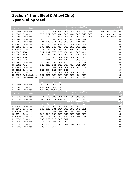| <b>Number</b>              |                                |              |                |                               |              |               |               | <b>Chemical Composition (Percent)</b> |        |               |   |    |                       |       | <b>Unit Size</b>  |
|----------------------------|--------------------------------|--------------|----------------|-------------------------------|--------------|---------------|---------------|---------------------------------------|--------|---------------|---|----|-----------------------|-------|-------------------|
|                            | Name                           | $\mathsf{C}$ | Si             | Mn                            | P            | S             | Cr            | Ni.                                   | Cu     | $\mathsf{Al}$ | V | Mo | Co                    | Sn    | $\frac{1}{\ln g}$ |
| <b>NCS HC 28104</b>        | Carbon Steel                   | 0.327        | 0.300          | 0.511                         | 0.0214       | 0.023         | 0.024         | 0.036                                 | 0.212  | 0.051         |   |    | 0.0060 0.0011         | 0.049 | 100               |
| <b>NCS HC 28106</b>        | Carbon Steel                   | 0.736        | 0.292          | 0.673                         | 0.0320       | 0.019         | 0.0064        | 0.010                                 | 0.028  | 0.036         |   |    | 0.0031 0.0076 0.0013  |       | 100               |
| <b>NCS HC 28107</b>        | Carbon Steel                   | 0.523        | 0.287          | 0.726                         | 0.0101       | 0.017         | 0.026         | 0.022                                 | 0.030  | 0.021         |   |    | 0.0025 0.0077 0.00085 |       | 100               |
| <b>NCS HC 28108</b>        | Carbon Steel                   | 0.090        | 0.153          | 0.600                         | 0.0165       | 0.025         | 0.0125        | 0.0090                                | 0.021  |               |   |    |                       |       | 100               |
| <b>NCS HC 28110</b>        | Carbon Steel                   | 0.204        | 0.253          | 0.441                         | 0.028        | 0.025         | 0.012         | 0.0059 0.0215                         |        |               |   |    |                       |       | 100               |
| <b>NCS HC 28112</b>        | Carbon Steel                   | 0.302        | 0.206          | 0.503                         | 0.0350       | 0.0165        | 0.011         | 0.0078                                | 0.028  |               |   |    |                       |       | 100               |
| <b>NCS HC 28113</b>        | Carbon Steel                   | 0.463        | 0.262          | 0.638                         | 0.0195       | 0.020         | 0.070         | 0.039                                 | 0.115  |               |   |    |                       |       | 100               |
| NCS HC 28114a Carbon Steel |                                | 0.736        | 0.297          | 0.67                          | 0.032        | 0.019         | 0.0065        | 0.010                                 | 0.028  |               |   |    |                       |       | 100               |
| <b>NCS HC 28115</b>        | 15Mn                           | 0.127        | 0.262          | 0.779                         | 0.255        |               | 0.0315 0.0105 | 0.010                                 | 0.0145 |               |   |    |                       |       | 100               |
| <b>NCS HC 28116</b>        | 15Mn                           | 0.157        | 0.351          | 0.854                         | 0.018        | 0.024         | 0.019         | 0.0081                                | 0.016  |               |   |    |                       |       | 100               |
| <b>NCS HC 28117</b>        | 20Mn                           | 0.190        | 0.273          | 0.810                         | 0.034        | 0.0300        | 0.014         | 0.010                                 | 0.018  |               |   |    |                       |       | 100               |
| <b>NCS HC 28118</b>        | 70Mn                           | 0.722        | 0.564          | 1.10                          | 0.041        | 0.0255        | 0.202         | 0.096                                 | 0.109  |               |   |    |                       |       | 100               |
| <b>NCSHC 28119</b>         | Carbon Steel                   | 0.620        | 0.408          | 0.749                         | 0.031        | 0.0255        | 0.333         | 0.227                                 | 0.127  |               |   |    |                       |       | 100               |
| <b>NCS HC 28121</b>        | 45Mn                           | 0.422        | 0.298          | 1.631                         | 0.015        | 0.017         | 0.0115        | 0.021                                 | 0.014  |               |   |    |                       |       | 100               |
| <b>NCS HC 28123</b>        | Carbon Steel                   | 0.152        | 0.175          | 0.491                         | 0.019        | 0.019         | 0.027         | 0.030                                 | 0.108  |               |   |    |                       |       | 150               |
| <b>NCS HC 28125</b>        | Carbon Steel                   | 0.327        | 0.304          | 0.515                         | 0.0079       | 0.026         |               |                                       |        |               |   |    |                       |       | 150               |
| <b>NCS HC 28127</b>        | Carbon Steel                   | 0.170        | 0.475          | 1.00                          | 0.027        | 0.018         | 0.018         | 0.019                                 | 0.029  |               |   |    |                       |       | 150               |
| <b>NCS HC 28128</b>        | Ship Construction Steel        | 0.157        | 0.351          | 0.854                         | 0.018        | 0.024         | 0.019         | 0.0081                                | 0.016  |               |   |    |                       |       | 100               |
| <b>NCS HC 28129</b>        | <b>Ship Construction Steel</b> | 0.190        | 0.273          | 0.810                         | 0.034        | 0.030         | 0.014         | 0.010                                 | 0.018  |               |   |    |                       |       | 100               |
|                            |                                |              |                |                               |              |               |               |                                       |        |               |   |    |                       |       |                   |
|                            |                                | <b>As</b>    | S <sub>b</sub> | P <sub>b</sub>                | <b>Bi</b>    |               |               |                                       |        |               |   |    |                       |       |                   |
| <b>NCS HC 28104</b>        | Carbon Steel                   | 0.010        | 0.012          | $0.00062$ < $0.00001$         |              |               |               |                                       |        |               |   |    |                       |       |                   |
| <b>NCS HC 28106</b>        | Carbon Steel                   | 0.0094       |                | $0.0010$ $0.00062$ <0.00001   |              |               |               |                                       |        |               |   |    |                       |       |                   |
| <b>NCS HC 28107</b>        | Carbon Steel                   | 0.0030       |                | $0.00061$ $0.000027$ <0.00001 |              |               |               |                                       |        |               |   |    |                       |       |                   |
| <b>Number</b>              | <b>Name</b>                    | $\mathsf{C}$ | Si.            | Mn                            | $\mathsf{P}$ | S             | Cr            | <b>Chemical Composition</b> (Percent) | Cu     |               |   |    |                       |       | <b>Unit Size</b>  |
| <b>NCS HC 31103</b>        | Carbon Steel                   | 0.274        | 0.300          | 0.580                         | 0.014        | 0.0064        | 0.08          | Ni.<br>0.056                          | 0.082  |               |   |    |                       |       | (in g)<br>100     |
| <b>NCS HC 31109</b>        | Carbon Steel                   | 0.683        | 0.432          | 0.971                         |              | 0.0452 0.0163 | 0.288         | 0.450                                 | 0.098  |               |   |    |                       |       | 100               |
|                            |                                |              |                |                               |              |               |               | <b>Chemical Composition (Percent)</b> |        |               |   |    |                       |       | <b>Unit Size</b>  |
| <b>Number</b>              | <b>Name</b>                    | $\mathsf{C}$ | Si.            | Mn                            | P            | $S_{\perp}$   | Cr            | Ni.                                   | Cu     |               |   |    |                       |       | (in g)            |
| <b>NCSHC37101</b>          | Carbon Steel                   | 0.518        | 0.344          | 0.616                         | 0.025        | 0.0063        | 0.050         | 0.040                                 |        |               |   |    |                       |       | 100               |
| <b>NCS HC 37102</b>        | Carbon Steel                   | 0.139        | 0.152          | 0.601                         | 0.024        | 0.030         | 0.042         | 0.042                                 | 0.151  |               |   |    |                       |       | 100               |
| <b>NCS HC 37103</b>        | Carbon Steel                   | 0.170        | 0.224          | 0.407                         | 0.036        | 0.049         | 0.052         | 0.044                                 | 0.127  |               |   |    |                       |       | 100               |
| <b>NCSHC37104</b>          | Carbon Steel                   | 0.349        | 0.343          | 0.603                         | 0.015        | 0.022         | 0.016         | 0.029                                 | 0.050  |               |   |    |                       |       | 100               |
| <b>NCS HC 37105</b>        | Carbon Steel                   | 0.659        | 0.275          | 0.742                         | 0.012        | 0.0074        | 0.017         | 0.056                                 | 0.113  |               |   |    |                       |       | 100               |
| <b>NCS HC 37106</b>        | Carbon Steel                   | 0.168        | 0.270          | 0.510                         | 0.013        | 0.027         |               |                                       |        |               |   |    |                       |       | 100               |
| <b>NCS HC 37107</b>        | Carbon Steel                   | 0.236        | 0.274          | 0.595                         | 0.019        | 0.022         |               |                                       |        |               |   |    |                       |       | 100               |
| NCSHC37108                 | Carbon Steel                   | 0.168        | 0.270          | 0.510                         | 0.013        | 0.027         | 0.222         | 0.052                                 | 0.118  |               |   |    |                       |       | 100               |
| <b>NCSHC37109</b>          | Carbon Steel                   | 0.308        | 0.232          | 0.517                         |              |               |               |                                       |        |               |   |    |                       |       | 100               |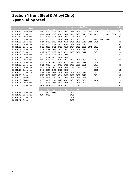|                            |                     |              |       |           |              |           |       | <b>Chemical Composition (Percent)</b> |           |       |         |          |           |       | Unit Size |
|----------------------------|---------------------|--------------|-------|-----------|--------------|-----------|-------|---------------------------------------|-----------|-------|---------|----------|-----------|-------|-----------|
| Number                     | Name                | $\mathsf{C}$ | Si.   | Mn        | $\mathsf{P}$ | S.        | Cr    | Ni                                    | <b>Cu</b> | Al    | V       | <b>W</b> | <b>Mo</b> | Co    | (in g)    |
| <b>NCSHC41102</b>          | Carbon Steel        | 0.652        | 0.160 | 0.416     | 0.038        | 0.050     | 0.054 | 0.028                                 | 0.140     | 0.040 | 0.003   |          | 0.007     |       | 150       |
| <b>NCSHC41109</b>          | Carbon Steel        | 0.064        | 0.601 | 0.246     | 0.0082       | 0.044     | 0.012 | 0.035                                 | 0.072     | 0.173 | 0.0012  |          | 0.0061    | 0.009 | 150       |
| NCSHC41111b                | <b>Carbon Steel</b> | 0.233        | 0.254 | 0.404     | 0.011        | 0.016     | 0.121 | 0.031                                 | 0.132     |       |         |          |           |       | 100       |
| <b>NCSHC41113</b>          | Carbon Steel        | 0.166        | 0.198 | 0.533     | 0.032        | 0.024     | 0.005 | 0.009                                 | 0.007     |       | 0.0007  | 0.0042   | 0.0047    |       | 150       |
| <b>NCSHC41116</b>          | Carbon Steel        | 0.354        | 0.305 | 0.608     | 0.021        | 0.0105    | 0.031 | 0.021                                 | 0.118     | 0.014 | 0.002   |          |           |       | 150       |
| NCS HC 41116c Carbon Steel |                     | 0.364        | 0.250 | 0.572     | 0.010        | 0.0089    | 0.038 | 0.048                                 | 0.110     |       |         |          |           |       | 100       |
| <b>NCSHC41117</b>          | Carbon Steel        | 0.433        | 0.226 | 0.631     | 0.016        | 0.0135    | 0.027 | 0.021                                 | 0.108     | 0.044 | 0.001   |          |           |       | 150       |
| <b>NCSHC41119</b>          | Carbon Steel        | 0.528        | 0.287 | 0.665     | 0.020        | 0.010     | 0.029 | 0.023                                 | 0.081     |       | 0.002   |          |           |       | 100       |
| <b>NCSHC41120</b>          | Carbon Steel        | 0.202        | 0.293 | 0.452     | 0.012        | 0.0125    | 0.056 | 0.031                                 | 0.074     |       | 0.002   |          |           |       | 150       |
| <b>NCSHC41121</b>          | Carbon Steel        | 0.092        | 0.125 | 0.315     | 0.015        | 0.041     |       |                                       |           |       |         |          |           |       | 150       |
| <b>NCS HC 41122</b>        | Carbon Steel        | 0.158        | 0.221 | 0.459     | 0.011        | 0.012     |       |                                       |           |       |         |          |           |       | 150       |
| <b>NCS HC 41123</b>        | Carbon Steel        | 0.083        | 0.107 | 0.275     | 0.0097       | 0.038     | 0.056 | 0.032                                 | 0.089     |       | (0.001) |          |           |       | 150       |
| <b>NCSHC41124</b>          | Carbon Steel        | 0.178        | 0.311 | 0.420     | 0.018        | 0.0135    | 0.047 | 0.029                                 | 0.074     |       | (0.003) |          |           |       | 150       |
| NCSHC41125                 | Carbon Steel        | 0.811        | 0.582 | 1.11      | 0.066        | 0.011     | 0.060 | 0.260                                 | 0.292     |       | (0.005) |          |           |       | 150       |
| <b>NCS HC 41126</b>        | Carbon Steel        | 0.420        | 0.249 | 0.610     | 0.048        | 0.074     | 0.186 | 0.186                                 | 0.205     |       | (0.003) |          |           |       | 150       |
| <b>NCSHC41128</b>          | Carbon Steel        | 0.642        | 0.287 | 0.673     | 0.029        | 0.0042    |       |                                       |           |       | (0.003) |          |           |       | 150       |
| <b>NCSHC41129</b>          | Carbon Steel        | 0.587        | 0.265 | 0.641     | 0.018        | 0.011     | 0.022 | 0.021                                 | 0.087     |       | 0.001   |          |           |       | 150       |
| <b>NCS HC 41130</b>        | Carbon Steel        | 0.706        | 0.297 | 0.508     | 0.0195       | 0.010     | 0.063 | 0.053                                 | 0.078     |       | 0.001   |          |           |       | 150       |
| <b>NCS HC 41132</b>        | 20Mn Si             | 0.207        | 0.536 | 1.45      | 0.029        | 0.012     | 0.034 | 0.035                                 | 0.082     |       |         |          |           |       | 150       |
| <b>NCSHC41133</b>          | 35Si Mn             | 0.335        | 0.612 | 1.33      | 0.020        | 0.0085    | 0.032 | 0.030                                 | 0.068     |       | 0.0020  |          |           |       | 150       |
| <b>NCS HC 41134</b>        | Carbon Steel        | 0.112        | 0.367 | 0.644     | 0.033        | 0.017     | 0.426 | 0.033                                 | 0.030     |       |         |          |           |       | 100       |
| <b>NCSHC41135</b>          | Carbon Steel        | 0.437        | 0.612 | 0.533     | 0.031        | 0.033     | 0.189 | 0.229                                 | 0.185     |       |         |          |           |       | 100       |
|                            |                     |              |       |           |              |           |       |                                       |           |       |         |          |           |       |           |
|                            |                     | Sn           | As    | <b>Sb</b> | Pb           | <b>Ns</b> | Ali   | <b>Nt</b>                             |           |       |         |          |           |       |           |
| <b>NCSHC41102</b>          | Carbon Steel        |              | 0.015 | (0.001)   |              |           | 0.007 |                                       |           |       |         |          |           |       |           |
| <b>NCS HC 41109</b>        | Carbon Steel        | 0.0074       | 0.010 |           |              |           | 0.002 |                                       |           |       |         |          |           |       |           |
| <b>NCSHC41116</b>          | Carbon Steel        |              |       |           |              |           | 0.005 |                                       |           |       |         |          |           |       |           |
| NCSHC41117                 | Carbon Steel        |              |       |           |              |           | 0.005 |                                       |           |       |         |          |           |       |           |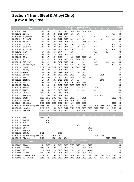|                                            |                            |                      |               |              |                        |            |             | <b>Chemical Composition(Percent)</b> |            |                |           |       |          |              | <b>Unit Size</b>           |
|--------------------------------------------|----------------------------|----------------------|---------------|--------------|------------------------|------------|-------------|--------------------------------------|------------|----------------|-----------|-------|----------|--------------|----------------------------|
| <b>Number</b>                              | <b>Name</b>                | $\mathsf{C}$         | Si.           | Mn           | P                      | S          | Cr          | Ni.                                  | Cu         | $\mathsf{A}$   | V         | TI.   | <b>W</b> | Mo           | $\overline{(\text{in }g)}$ |
| <b>NCS HC 11201</b>                        | MoB                        | 0.24                 | 0.63          | 0.17         | 0.010                  | 0.005      | 0.073       | 0.034                                | 0.052      | 0.65           |           |       |          |              | 150                        |
| <b>NCS HC 11202</b>                        | 5CrNiMo                    | 0.58                 | 0.34          | 0.80         | 0.031                  | 0.004      | 0.54        | 1.71                                 |            |                |           |       |          | 0.29         | 150                        |
| <b>NCS HC 11203</b>                        | 4Cr <sub>3</sub> SiMnWV    | 0.45                 | 1.07          | 1.54         | 0.036                  | 0.004      | 2.78        | 0.10                                 | 0.20       |                | 0.29      |       | 0.95     |              | 150                        |
| <b>NCS HC 11204</b>                        | Cr <sub>2</sub> SiMoTi     | 0.14                 | 1.33          | 0.48         | 0.021                  | 0.006      | 2.17        | 0.24                                 | 0.18       |                |           | 0.19  |          | 0.52         | 150                        |
| <b>NCS HC 11205</b>                        | 38CrWVAI                   | 0.32                 | 0.41          | 0.26         | 0.031                  | 0.011      | 1.64        | 0.13                                 | 0.061      | 0.17           | 0.20      |       |          |              | 150                        |
| <b>NCS HC 11206</b>                        | 38CrMoAl                   | 0.42                 | 0.48          | 0.68         | 0.069                  | 0.005      | 1.67        | 0.28                                 | 0.055      | 0.77           |           |       |          | 0.26         | 150                        |
| <b>NCS HC 11207</b>                        | 30CrSiMoV                  | 0.34                 | 0.90          | 0.70         | 0.016                  | 0.004      | 1.16        | 0.34                                 | 0.21       |                | 0.36      |       |          | 0.45         | 150                        |
| <b>NCS HC 11208</b>                        | 20Cr <sub>3</sub> MoWV     | 0.17                 | 0.14          | 0.36         | 0.013                  | 0.008      | 2.59        | 0.18                                 | 0.17       |                | 0.79      |       | 0.38     | 0.64         | 150                        |
| <b>NCS HC 11209</b>                        | W <sub>3</sub> CrV         | 1.60                 | 0.41          | 0.59         | 0.044                  |            | 0.38        |                                      |            |                | 0.26      |       | 2.70     |              | 100                        |
| NCS HC 11209a W3MoV                        |                            | 1.56                 | 0.41          | 0.76         | 0.029                  | 0.006      | 0.47        |                                      |            |                | 0.36      |       | 3.14     |              | 150                        |
| <b>NCS HC 11210</b>                        | 3CrAl                      | 0.43                 | 0.75          | 0.24         | 0.013                  |            | 1.35        | 0.020                                | 0.020      | 0.62           |           |       |          |              | 150                        |
| <b>NCSHC11211</b>                          | 9V                         | 1.05                 | 0.33          | 0.41         | 0.011                  | 0.009      | 0.63        | 0.021                                | 0.022      |                | 0.23      |       |          |              | 150                        |
| <b>NCS HC 11212</b>                        | 30CrMoWV                   | 0.30                 | 0.22          | 0.55         | 0.017                  | 0.006      | 2.65        |                                      | 0.12       |                | 0.75      |       | 0.65     | 0.56         | 150                        |
| <b>NCS HC 11213</b>                        | 35CrMnSiNi2Mo              | 0.35                 | 0.96          | 1.15         | 0.018                  | 0.004      | 0.84        | 1.96                                 | 0.059      |                | 0.058     |       |          | 0.33         | 150                        |
| <b>NCSHC11214</b>                          | GCr15                      | 0.997                | 0.281         | 0.287        | 0.013                  | 0.007      | 1.53        | 0.019                                | 0.028      |                |           |       |          |              | 150                        |
| <b>NCS HC 11222</b>                        | $40$ SiMn <sub>2</sub>     | 0.38                 | 0.89          | 1.65         | 0.011                  | 0.005      | 0.11        |                                      | 0.045      |                |           |       |          |              | 150                        |
| NCSHC 11222a 40SiMn <sub>2</sub>           |                            | 0.39                 | 0.98          | 1.69         | 0.041                  | 0.012      | 0.17        | 0.35                                 | 0.055      |                |           |       |          |              | 150                        |
| <b>NCS HC 11223</b>                        | 20MnTiB                    | 0.18                 | 0.24          | 1.42         | 0.026                  | 0.007      | 0.020       |                                      | 0.026      |                |           | 0.054 |          |              | 150                        |
| <b>NCS HC 11224</b>                        | 45B                        | 0.43                 | 0.36          | 1.15         | 0.020                  | 0.010      | 0.062       | 0.20                                 | 0.046      | 0.075          |           |       |          |              | 150                        |
| <b>NCS HC 11225</b>                        | 18CrMnTi                   | 0.16                 | 0.33          | 1.01         | 0.020                  | 0.007      | 1.08        | 0.14                                 |            |                |           | 0.049 |          |              | 150                        |
| <b>NCSHC11226</b>                          | 40Cr                       | 0.40                 | 0.26          | 0.79         | 0.014                  | 0.017      | 1.01        | 0.076                                | 0.036      |                |           |       |          |              | 150                        |
| <b>NCSHC11227</b>                          | 60Si <sub>2</sub> Mn       | 0.60                 | 2.05          | 0.84         | 0.051                  | 0.008      | 0.016       | 0.039                                | 0.046      |                |           |       |          |              | 150                        |
| NCSHC11228                                 | 15MnVN                     | 0.18                 | 0.23          | 1.38         | 0.015                  | 0.011      |             | 0.30                                 | 0.18       |                | 0.091     |       |          |              | 150                        |
| NCSHC11229                                 | 40Si <sub>2</sub> V        | 0.44                 | 1.66          | 0.74         | 0.018                  | 0.006      |             | 0.20                                 | 0.13       |                | 0.14      |       |          |              | 150                        |
| <b>NCS HC 11230</b>                        | 08MnPR <sub>F</sub>        | 0.092                | 0.36          | 1.07         | 0.058                  | 0.011      |             |                                      |            |                |           |       |          |              | 150                        |
| <b>NCS HC 11231</b>                        | 14MnVTiR <sub>F</sub>      | 0.22                 | 0.36          | 1.60         | 0.067                  | 0.009      |             |                                      |            |                | 0.067     | 0.10  |          |              | 150                        |
| <b>NCS HC 11232</b>                        | 20CrMo                     | 0.212                | 0.270         | 0.460        | 0.0174                 | 0.0117     | 0.972       |                                      | 0.031      |                |           |       |          | 0.191        | 100                        |
| <b>NCS HC 11233</b>                        | 60Si <sub>2</sub> Mn       | 0.661                | 1.82          | 0.805        | 0.027                  | 0.017      | 0.021       | 0.020                                | 0.136      |                |           |       |          |              | 150                        |
| <b>NCS HC 11234</b>                        | GCr15Si Mn                 | 0.993                | 0.582         | 0.996        | 0.017                  | 0.0060     | 1.47        | 0.053                                | 0.152      |                |           |       |          | 0.029        | 100                        |
| <b>NCS HC 11235</b>                        | Medium Low Alloy Steel     | 0.658                | 0.069         | 0.120        | 0.0044                 | 0.0018     | 0.350       | 0.774                                | 0.385      | 1.51           | 0.447     | 0.483 | 0.897    | 0.266        | 150                        |
| <b>NCS HC 11236</b>                        | Low alloy                  | 0.211                | 0.174         | 1.36         | 0.046                  | 0.021      | 0.124       | 0.487                                | 0.233      | 0.866          | 0.619     | 0.812 | 1.60     | 0.472        | 150                        |
| <b>NCS HC 11240</b>                        | Alloy steel                | 0.747                | 0.46          | 0.801        | 0.014                  | 0.012      | 0.212       | 0.036                                | 0.05       |                | 0.1       |       | 0.121    | 0.088        |                            |
|                                            |                            |                      |               |              |                        |            |             |                                      |            |                |           |       |          |              |                            |
|                                            |                            | Co                   | B             | Sn           | As                     | Ca         | <b>Pb</b>   | N                                    | Bi         | R <sub>F</sub> | <b>Nb</b> | Zr    | Als      | Alt          |                            |
| <b>NCS HC 11201</b>                        | MoB                        | 0.008                | 1.21          |              |                        |            |             |                                      |            |                |           |       |          |              |                            |
| <b>NCS HC 11223</b>                        | 20MnTiB                    |                      | 0.0022        |              |                        |            |             |                                      |            |                |           |       |          |              |                            |
| NCSHC11224                                 | 45B                        |                      | 0.0052        |              |                        |            |             |                                      |            |                |           |       |          |              |                            |
| <b>NCS HC 11228</b>                        | 15MnVN                     |                      |               |              |                        |            |             | 0.009                                |            |                |           |       |          |              |                            |
| <b>NCS HC 11230</b>                        | 08MnPR <sub>E</sub>        |                      |               |              |                        |            |             |                                      |            | 0.028          |           |       |          |              |                            |
| <b>NCS HC 11231</b>                        | 14MnVTiR <sub>E</sub>      |                      |               |              |                        |            |             |                                      |            | 0.069          |           |       |          |              |                            |
| <b>NCS HC 11233</b>                        | 60Si <sub>2</sub> Mn       | 0.011                |               |              | 0.016                  |            |             |                                      |            |                |           |       |          |              |                            |
| <b>NCS HC 11235</b>                        | Medium Low Alloy Steel     | 0.340                |               | 0.011        | 0.012                  |            |             |                                      |            |                | 0.025     | 0.156 |          |              |                            |
| <b>NCS HC 11240</b>                        | Alloy steel                | 0.026                |               |              | 0.0046 0.0066 (0.0004) |            |             |                                      |            |                |           |       | 0.012    | 0.016        |                            |
| Number                                     | Name                       |                      |               |              |                        |            |             | <b>Chemical Composition(Percent)</b> |            |                |           |       |          |              | <b>Unit Size</b>           |
| <b>NCS HC 13201</b>                        | 90Mn <sub>2</sub>          | $\mathsf{C}$<br>0.91 | Si.<br>0.056  | Mn<br>2.09   | P<br>0.054             | S<br>0.030 | Cr<br>0.105 | Ni.<br>0.076                         | Cu<br>0.20 | Al.<br>0.015   | V         | m.    | Mo       | $\mathsf{B}$ | (in g)<br>150              |
|                                            | 09SiMnCr <sub>3</sub>      | 0.056                |               |              | 0.127                  | 0.093      | 2.88        |                                      | 0.073      | 0.405          |           |       |          |              | 150                        |
| <b>NCS HC 13202</b><br><b>NCS HC 13203</b> | 7Cr <sub>2</sub>           | 0.70                 | 1.07<br>0.041 | 1.20<br>0.28 | 0.083                  | 0.064      | 1.45        | 0.66<br>0.93                         | 0.12       | (0.0007)       |           |       |          |              | 150                        |
| <b>NCS HC 13204</b>                        | 09MnCr                     | 0.097                | 0.29          | 0.87         | 0.011                  | 0.096      | 0.76        | 0.29                                 | 0.034      | 0.073          |           |       |          |              | 150                        |
| <b>NCS HC 13207</b>                        | 30Ml <sub>2</sub> MoVTiAlB | 0.294                | 0.070         | 1.48         | 0.036                  | 0.009      | 0.037       | 0.019                                | 0.035      | 0.029          | 0.025     | 0.023 | 0.038    | 0.011        | 150                        |
| <b>NCS HC 13208</b>                        | 9Si <sub>2</sub> MoVTiAlB  | 1.085                | 1.42          | 0.308        | 0.013                  | 0.004      | 0.045       | 0.021                                | 0.036      | 0.115          | 0.50      | 0.30  | 0.89     | 0.016        | 150                        |
|                                            |                            |                      |               |              |                        |            |             |                                      |            |                |           |       |          |              |                            |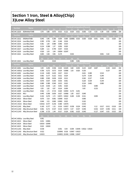| <b>Number</b>        | Name                          |              |        |                |          |                | <b>Chemical Composition (Percent)</b>      |        |                      |               |        |          |           |        | <b>Unit Size</b>           |
|----------------------|-------------------------------|--------------|--------|----------------|----------|----------------|--------------------------------------------|--------|----------------------|---------------|--------|----------|-----------|--------|----------------------------|
|                      |                               | $\mathsf{C}$ | Si.    | Mn             | P.       | $\overline{S}$ | Cr                                         | Ni     | Сu                   | Al            | $\vee$ | Ti.      | <b>Mo</b> | B      | (in g)                     |
| <b>NCS HC 13210</b>  | 8SiMnMoVTiAlB                 | 0.78         | 0.88   | 0.675          | 0.013    | 0.122          | 0.019                                      | 0.021  | 0.036                | 0.10          | 0.33   | 0.39     | 0.65      | 0.0058 | 100                        |
| <b>Number</b>        | <b>Name</b>                   | $\mathsf{C}$ | Si     | Mn             | P        | $\mathcal{L}$  | <b>Chemical Composition(Percent)</b><br>Cr | Ni.    | Cu                   | Al            | V      | $\top$   | Mo        | B      | <b>Unit Size</b><br>(in g) |
| <b>NCS HC 13212</b>  | 09SiMoVTiAlB                  | 0.045        | 0.46   | 0.396          | 0.054    | 0.069          | (0.0095)                                   | 0.016  | 0.030                | 0.028         | 0.051  | 0.041    | 0.11      | 0.028  | 100                        |
| <b>NCS HC 13214</b>  | Low Alloy Steel               | 0.395        | 0.792  | 1.84           | 0.146    | 0.018          |                                            |        |                      |               |        |          |           |        | 100                        |
| <b>NCS HC 13215</b>  | Low Alloy Steel               | 0.361        | 1.69   | 0.989          | 0.096    | 0.019          |                                            |        |                      |               |        |          |           |        | 100                        |
| <b>NCS HC 13216</b>  | Low Alloy Steel               | 0.214        | 0.389  | 1.37           | 0.056    | 0.020          |                                            |        |                      |               |        |          |           |        | 100                        |
| <b>NCS HC 13217</b>  | Low Alloy Steel               | 0.284        | 1.11   | 0.749          | 0.037    | 0.018          |                                            |        |                      |               |        |          |           |        | 100                        |
| <b>NCS HC 13219</b>  | Low Alloy Steel               | 0.520        | 1.03   | 1.04           | 0.0654   | 0.0247         |                                            |        |                      |               |        |          |           |        | 100                        |
| <b>NCS HC 13221</b>  | Low Alloy Steel               | 0.065        | 0.38   | 0.96           | 0.174    |                | 0.016                                      |        |                      |               |        | 0.061    | 0.10      |        | 150                        |
|                      |                               |              |        |                |          |                |                                            |        |                      |               |        |          |           |        |                            |
|                      |                               | <b>Nb</b>    | Zr     | R <sub>c</sub> | Co       | N              | Alt                                        | Als    |                      |               |        |          |           |        |                            |
| <b>NCS HC 13221</b>  | Low Alloy Steel               | 0.165        |        | 0.014          |          |                | 0.085                                      | 0.081  |                      |               |        |          |           |        |                            |
| <b>Number</b>        | Name                          |              |        |                |          |                | <b>Chemical Composition(Percent)</b>       |        |                      |               |        |          |           |        | <b>Unit Size</b>           |
|                      |                               | $\mathsf{C}$ | Si     | Mn             | P        | S              | Cr                                         | Ni.    | <b>Cu</b>            | $\mathsf{Al}$ | $\vee$ | <b>W</b> | Mo        | Co     | (in g)                     |
| <b>NCS HC 14201</b>  | Low Alloy Steel               | 0.39         | 0.293  | 0.558          | 0.019    | 0.0105         | 0.84                                       | 0.035  | 0.215                | 0.047         | 0.007  |          | 0.193     | 0.023  | 150                        |
| <b>NCS HC 14201a</b> | Low Alloy Steel               | 0.358        | 0.272  | 0.573          | 0.014    | 0.0086         | 1.03                                       | 0.020  | 0.150                |               |        |          | 0.137     |        | 100                        |
| <b>NCS HC 14202</b>  | Low Alloy Steel               | 0.118        | 0.405  | 0.433          | 0.017    | 0.012          |                                            |        | 0.421                | 0.389         |        | 0.519    |           |        | 100                        |
| <b>NCS HC 14203</b>  | Low Alloy Steel               | 0.082        | 0.177  | 0.222          | 0.012    | 0.024          |                                            |        | 0.274                | 0.190         |        | 0.249    |           |        | 100                        |
| <b>NCS HC 14204</b>  | Low Alloy Steel               | 0.080        | 0.583  | 0.636          | 0.024    | 0.012          |                                            |        | 0.363                | 0.317         |        | 0.149    |           |        | 100                        |
| <b>NCS HC 14205</b>  | Low Alloy Steel               | 0.076        | 0.037  | 0.303          | 0.033    | 0.061          |                                            |        | 0.220                | 0.334         |        | 0.144    |           |        | 100                        |
| <b>NCS HC 14206</b>  | Low Alloy Steel               | 0.089        | 0.389  | 0.540          | 0.013    | 0.022          |                                            |        | 0.314                | 0.465         |        | 0.089    |           |        | 100                        |
| <b>NCS HC 14207</b>  | Low Alloy Steel               | 0.135        | 0.435  | 1.25           | 0.041    | 0.020          |                                            |        | 0.165                |               | 0.090  |          |           |        | 150                        |
| <b>NCS HC 14208</b>  | Low Alloy Steel               | 0.39         | 1.82   | 0.97           | 0.014    | 0.009          |                                            |        | 0.43                 |               | 0.153  |          |           |        | 150                        |
| <b>NCS HC 14209</b>  | Low Alloy Steel               | 0.562        | 1.72   | 0.714          | 0.020    | 0.0054         | 0.173                                      | 0.201  |                      |               |        |          |           |        | 150                        |
| <b>NCS HC 14210</b>  | 40Cr                          | 0.445        | 0.308  | 0.659          | 0.027    | 0.0068         | 1.00                                       | 0.017  | 0.049                |               |        |          |           |        | 150                        |
| <b>NCS HC 14211</b>  | Low Alloy Steel               | 0.192        | 0.276  | 1.72           | 0.0071   | 0.0022         | 0.283                                      | 0.194  | 0.311                |               | 0.093  |          |           |        | 100                        |
| <b>NCS HC 14213</b>  | Silicon Steel                 | 0.076        | 3.18   | 0.081          | 0.0090   | 0.023          |                                            |        | 0.066                |               |        |          |           |        | 100                        |
| <b>NCS HC 14214</b>  | Silicon Steel                 | 0.044        | 3.15   | 0.060          | 0.0081   | 0.025          |                                            |        | 0.162                |               |        |          |           |        | 100                        |
| <b>NCS HC 14215</b>  | Silicon Steel                 | 0.0032       | 0.477  | 0.256          | 0.080    | 0.0076         |                                            |        | 0.033                |               |        |          |           |        | 100                        |
| <b>NCS HC11241</b>   | <b>Alloy Steel</b>            | 0.185        | 0.377  | 1.32           | 0.016    | 0.0057         | 0.038                                      | 0.024  | 0.042                |               | 0.12   | 0.017    | 0.011     | 0.018  | 100                        |
| <b>NCS HC11242</b>   | Alloy Structure Steel         | 0.081        | 0.271  | 0.537          | 0.014    | 0.0073         | 4.37                                       | 0.037  | 0.046                |               | 0.032  | 0.037    | 0.446     | 0.011  | 100                        |
| <b>NCS HC11243</b>   | Alloy Structure Steel         | 0.398        | 0.725  | 1.44           | 0.017    | 0.024          | 0.081                                      | 0.025  | 0.045                |               | 0.127  | 0.047    | 0.03      | 0.015  | 100                        |
|                      |                               |              |        |                |          |                |                                            |        |                      |               |        |          |           |        |                            |
|                      |                               | Als          | N.     | Ti             | Ca       | Alt            | <b>As</b>                                  | Sn     | <b>Bs</b>            | <b>Bt</b>     |        |          |           |        |                            |
|                      | NCS HC 14201a Low Alloy Steel | 0.061        |        |                |          |                |                                            |        |                      |               |        |          |           |        |                            |
| <b>NCS HC 14213</b>  | Silicon Steel                 | 0.031        | 0.0081 |                |          |                |                                            |        |                      |               |        |          |           |        |                            |
| <b>NCS HC 14214</b>  | Silicon Steel                 | 0.0014       | 0.0040 |                |          |                |                                            |        |                      |               |        |          |           |        |                            |
| <b>NCS HC 14215</b>  | Silicon Steel                 | 0.022        | 0.0020 |                |          |                |                                            |        |                      |               |        |          |           |        |                            |
| <b>NCS HC11241</b>   | <b>Alloy Steel</b>            | 0.038        |        |                | 0.001    | 0.04           | 0.009                                      |        | 0.0045 0.0022 0.0025 |               |        |          |           |        |                            |
| <b>NCS HC11242</b>   | Alloy Structure Steel         | 0.022        |        |                | (0.0004) | 0.026          | 0.0067                                     | 0.0023 |                      |               |        |          |           |        |                            |
| NCS HC11243          | Alloy Structure Steel         | 0.0023       |        |                | (0.0003) | (0.004)        | 0.0086                                     | 0.0047 |                      |               |        |          |           |        |                            |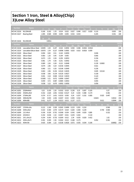|                                            |                                     |               |                |                |                         |               |              |                | <b>Chemical Composition (Percent)</b>              |               |               |          |                |                  | <b>Unit Size</b>           |
|--------------------------------------------|-------------------------------------|---------------|----------------|----------------|-------------------------|---------------|--------------|----------------|----------------------------------------------------|---------------|---------------|----------|----------------|------------------|----------------------------|
| <b>Number</b>                              | <b>Name</b>                         | $\mathsf{C}$  | Si.            | Mn             | P                       | S             | Cr           | Ni.            | Cu.                                                | Al.           | V             | m        | W.             | Mo               | (in g)                     |
| <b>NCS HC 15216</b>                        | ML15MnVB                            | 0.166         | 0.162          | 1.33           | 0.014                   | 0.022         | 0.027        | 0.040          | 0.017                                              | 0.029         | 0.110         |          |                | 0.003            | 100                        |
| <b>NCS HC 15217</b>                        | <b>Bearing Steel</b>                | 1.005         | 0.584          | 0.905          | 0.009                   | 0.005         | 0.032        | 0.033          |                                                    |               | 0.245         |          |                | 0.301            | 100                        |
|                                            |                                     |               |                |                |                         |               |              |                |                                                    |               |               |          |                |                  |                            |
|                                            |                                     | B             | Bi             |                |                         |               |              |                |                                                    |               |               |          |                |                  |                            |
| <b>NCS HC 15216</b>                        | ML15MnVB                            |               | 0.0011         |                |                         |               |              |                |                                                    |               |               |          |                |                  |                            |
| <b>Number</b>                              | Name                                | $\mathsf{C}$  | Si.            | Mn             | P                       | S.            | Alt          | Also           | <b>Chemical Composition (Percent)</b><br><b>Bt</b> | Bs            | $\mathsf{Al}$ | N        |                |                  | <b>Unit Size</b><br>(in g) |
| <b>NCS HC 15218</b>                        | Low carbon Silicon Steel            | 0.0045        | 1.54           | 0.247          | 0.010                   | 0.0054        | 0.050        | 0.048          |                                                    | 0.0026 0.0018 |               |          |                |                  | 100                        |
| <b>NCS HC 15219</b>                        | Low carbon Silicon Steel            | 0.0070        | 1.54           | 0.227          | 0.0098                  | 0.0065        | 0.025        | 0.023          | 0.0026                                             | 0.009         |               |          |                |                  | 100                        |
| <b>NCS HC 15220</b>                        | Silicon Steel                       | 0.094         | 0.83           | 0.51           | 0.163                   | 0.0059        |              |                |                                                    |               | 0.046         |          |                |                  | 100                        |
| <b>NCS HC 15221</b>                        | Silicon Steel                       | 0.083         | 1.26           | 0.45           | 0.194                   | 0.005         |              |                |                                                    |               | 0.066         |          |                |                  | 100                        |
| <b>NCS HC 15222</b>                        | Silicon Steel                       | 0.073         | 1.55           | 0.39           | 0.259                   | 0.0053        |              |                |                                                    |               | 0.156         |          |                |                  | 100                        |
| <b>NCS HC 15223</b>                        | Silicon Steel                       | 0.081         | 1.79           | 0.36           | 0.251                   | 0.0042        |              |                |                                                    |               | 0.101         |          |                |                  | 100                        |
| <b>NCS HC 15224</b>                        | Silicon Steel                       | 0.089         | 2.26           | 0.28           |                         | 0.212 0.0048  |              |                |                                                    |               | 0.130         | 0.0083   |                |                  | 100                        |
| <b>NCS HC 15227</b>                        | Silicon Steel                       | 0.074         | 2.86           | 0.24           |                         | 0.0156 0.0045 |              |                |                                                    |               | 0.021         |          |                |                  | 100                        |
| <b>NCS HC 15228</b>                        | Silicon Steel                       | 0.060         | 3.21           | 0.20           |                         | 0.0146 0.0049 |              |                |                                                    |               | 0.236         |          |                |                  | 100                        |
| <b>NCS HC 15229</b>                        | Silicon Steel                       | 0.063         | 2.96           | 0.192          |                         | 0.0124 0.0035 |              |                |                                                    |               | 0.045         | 0.0118   |                |                  | 100                        |
| <b>NCS HC 15231</b>                        | Silicon Steel                       | 0.038         | 3.66           | 0.154          |                         | 0.0135 0.0027 |              |                |                                                    |               | 0.158         |          |                |                  | 100                        |
| <b>NCS HC 15233</b>                        | Silicon Steel                       | 0.041         | 4.18           | 0.084          |                         | 0.0110 0.0033 |              |                |                                                    |               | 0.124         |          |                |                  | 100                        |
| <b>NCS HC 15234</b>                        | Silicon Steel                       | 0.0385        | 5.21           | 0.072          |                         | 0.0090 0.0047 |              |                |                                                    |               | 0.057         |          |                |                  | 100                        |
| <b>NCS HC 15235</b>                        | Silicon Steel                       | 0.059         | 4.72           | 0.087          |                         | 0.0085 0.0053 |              |                |                                                    |               | 0.055         |          |                |                  | 100                        |
| <b>NCS HC 15236</b>                        | Silicon Steel                       | 0.038         | 5.22           | 0.070          |                         | 0.0092 0.0050 |              |                |                                                    |               | 0.056         |          |                |                  | 100                        |
| <b>Number</b>                              | Name                                |               |                |                |                         |               |              |                | Chemical Composition(Percent)                      |               |               |          |                |                  | <b>Unit Size</b>           |
|                                            |                                     | $\mathsf{C}$  | Si.            | Mn             | P                       | S.            | Cr           | Ni.            | <b>Cu</b>                                          | V             | Ti.           | <b>W</b> | Mo             | B                | (in g)                     |
| <b>NCS HC 16201</b>                        | 25SiMnMoV                           | 0.25          | 0.195          | 2.20           | 0.0192 0.019            |               | 0.236        | 0.25           | 0.097                                              | 0.105         |               |          | 0.37           |                  | 150                        |
| <b>NCS HC 16202</b>                        | 35SiMn <sub>2</sub> MoV             | 0.332         | 1.626          | 1.691<br>1.651 | 0.0182 0.0127<br>0.0233 | 0.056         | 0.24<br>0.24 | 0.242          | 0.388<br>0.192                                     | 0.174         |               |          | 0.381<br>0.447 |                  | 150<br>150                 |
| <b>NCS HC 16204</b><br><b>NCS HC 16205</b> | 37SiMn <sub>2</sub> WV<br>30MnMoTiB | 0.374<br>0.30 | 0.717<br>0.443 | 1.442          | 0.0207                  | 0.015         | 0.305        | 0.257<br>0.316 |                                                    | 0.085         | 0.0625        | 0.925    |                |                  |                            |
| <b>NCS HC 16206</b>                        | 40MnWB                              | 0.411         | 0.277          | 1.154          | 0.0213                  | 0.013         | 0.137        | 0.171          |                                                    |               |               | 0.611    |                | 0.0014<br>0.0044 | 150<br>150                 |
|                                            |                                     |               |                |                |                         |               |              |                | Chemical Composition(Percent)                      |               |               |          |                |                  | <b>Unit Size</b>           |
| <b>Number</b>                              | Name                                | $\mathsf{C}$  | Si.            | Mn             | P                       | S.            | Cr           | <b>Ni</b>      | Cu                                                 |               | TI            | <b>W</b> | Mo             | B.               | (in g)                     |
| <b>NCS HC 16207</b>                        | $15$ SiMn <sub>3</sub> Mo           | 0.121         | 1.160          | 3.320          | 0.0242                  | 0.0490        | 0.215        | 0.201          | 0.210                                              |               |               |          | 0.560          |                  | 150                        |
| <b>NCS HC 16208</b>                        | 30Mn <sub>2</sub> MoV               | 0.310         | 0.300          | 1.970          | 0.0174 0.024            |               | 0.283        | 0.300          | 0.239                                              |               |               | 0.740    | 0.460          |                  | 150                        |
| <b>NCS HC 16209</b>                        | 12CrMoV                             | 0.106         | 0.320          | 0.701          | 0.0268                  | 0.034         | 0.542        | 0.045          | 0.029                                              | 0.269         |               |          | 0.322          |                  | 150                        |
| <b>NCS HC 16210</b>                        | 20SiMnV                             | 0.192         | 0.636          | 1.52           | 0.0207                  | 0.021         | 0.255        | 0.202          |                                                    | 0.110         |               |          |                |                  | 150                        |
| <b>NCS HC 16211</b>                        | 25Cr <sub>2</sub> Mo2V              | 0.254         | 0.303          | 0.753          | 0.0209                  | 0.012         | 2.34         | 0.035          | 0.029                                              | 0.422         |               |          | 1.02           |                  | 150                        |
| <b>NCS HC 16212</b>                        | 30Mn <sub>2</sub> MoTi              | 0.301         | 0.309          | 1.56           | 0.0182                  | 0.013         | 0.188        | 0.175          |                                                    |               | 0.052         |          | 0.361          |                  | 150                        |
| <b>NCS HC 16213</b>                        | 40MnVB                              | 0.425         | 0.364          | 1.22           |                         | 0.0158 0.0020 | 0.072        | 0.035          | 0.034                                              | 0.106         |               |          |                | (0.0002)         | 150                        |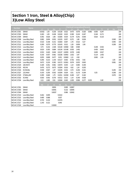|                     |                        |              |       |        |                 |                 | <b>Chemical Composition (Percent</b> |       |       |       |        |       |          |       | <b>Unit Size</b>    |
|---------------------|------------------------|--------------|-------|--------|-----------------|-----------------|--------------------------------------|-------|-------|-------|--------|-------|----------|-------|---------------------|
| <b>Number</b>       | Name                   | $\mathsf{C}$ | Si.   | Mn     | P               | S               | Cr                                   | Ni    | Cu    | Al    | $\vee$ | Ti.   | <b>W</b> | Mo    | $(in \overline{g})$ |
| <b>NCS HC 17201</b> | SiMnB                  | 0.0332       | 1.50  | 0.230  | 0.0128          | 0.022           | 0.473                                | 0.078 | 0.320 | 0.066 | 0.050  | 0.247 |          |       | 100                 |
| <b>NCS HC 17203</b> | SiMnB                  | 0.283        | 1.09  | 0.438  | 0.0220          | 0.023           | 0.300                                | 0.224 | 0.247 |       | 0.144  | 0.171 |          |       | 100                 |
| <b>NCS HC 17204</b> | SiMnB                  | 0.392        | 0.626 | 1.08   | 0.0285          | 0.019           | 0.174                                | 0.241 | 0.030 |       | 0.023  | 0.116 |          |       | 100                 |
| <b>NCS HC 17208</b> | Low Alloy Steel        | 0.082        | 0.694 | 0.952  | 0.0155          | 0.057           | 0.371                                | 1.80  | 0.034 |       |        |       |          | 0.569 | 100                 |
| <b>NCS HC 17211</b> | Low Alloy Steel        | 0.510        | 0.148 | 0.151  | 0.0283          | 0.007           | 1.70                                 | 0.522 | 0.27  |       |        |       |          | 0.445 | 100                 |
| <b>NCS HC 17212</b> | Low Alloy Steel        | 0.290        | 0.579 | 0.770  | 0.0143          | 0.012           | 1.28                                 | 0.858 | 1.06  |       |        |       |          | 0.298 | 100                 |
| <b>NCS HC 17213</b> | Low Alloy Steel        | 0.75         | 0.232 | 1.428  | 0.0128          | 0.0068          | 0.88                                 | 0.984 |       |       | 0.238  | 0.432 |          |       | 100                 |
| <b>NCS HC 17214</b> | Low Alloy Steel        | 0.619        | 0.303 | 0.884  | 0.0134          | 0.0148          | 0.935                                | 1.492 |       |       | 0.430  | 0.643 |          |       | 100                 |
| <b>NCS HC 17215</b> | Low Alloy Steel        | 0.553        | 0.420 | 0.646  | 0.0137          | 0.0059          | 0.978                                | 2.482 |       |       | 0.699  | 0.927 |          |       | 100                 |
| <b>NCS HC 17216</b> | Low Alloy Steel        | 0.156        | 0.557 | 0.481  | 0.0238          | 0.0092          | 1.652                                | 3.47  |       |       | 0.114  | 1.455 |          |       | 100                 |
| <b>NCS HC 17217</b> | Low Alloy Steel        | 0.055        | 0.808 | 0.477  | 0.031           | 0.0069          | 1.21                                 | 4.58  |       |       | 0.065  | 2.34  |          |       | 100                 |
| <b>NCS HC 17218</b> | Low Alloy Steel        | 0.296        | 0.213 | 1.193  | 0.0117          | 0.002           | 0.702                                | 0.431 | 0.42  |       |        |       |          | 1.05  | 100                 |
| <b>NCS HC 17219</b> | Low Alloy Steel        | 0.672        | 0.216 | 0.382  | 0.0172          | 0.0261          | 0.074                                | 0.053 | 0.063 |       |        |       |          | 0.081 | 100                 |
| <b>NCS HC 17224</b> | 18CrMnTi               | 0.184        | 0.351 | 0.981  | 0.0074          | 0.035           | 1.14                                 | 0.085 | 0.190 |       |        |       |          |       | 150                 |
| <b>NCS HC 17225</b> | 45CrNi                 | 0.476        | 0.273 | 0.675  | 0.0204          | 0.016           | 0.62                                 | 1.24  | 0.203 |       |        |       |          |       | 150                 |
| <b>NCS HC 17226</b> | 5CrMnMo                | 0.558        | 0.507 | 1.47   | 0.0235          | 0.032           | 0.74                                 | 0.246 | 0.161 |       |        |       |          | 0.245 | 150                 |
| <b>NCS HC 17227</b> | 12CrMoV                | 0.103        | 0.256 | 0.502  | 0.0204          | 0.024           | 0.51                                 | 0.176 | 0.184 |       | 0.25   |       |          | 0.298 | 150                 |
| <b>NCS HC 17229</b> | 37SiMn <sub>2</sub> WV | 0.399        | 0.684 | 1.79   | 0.0251          | 0.0258          | 0.283                                | 0.27  | 0.182 |       |        |       |          | 0.476 | 150                 |
| <b>NCS HC 17232</b> | 5CrWSi                 | 0.503        | 0.592 | 0.376  | 0.0212          | 0.015           | 1.14                                 | 0.140 | 0.028 |       |        |       |          |       | 150                 |
| <b>NCS HC 17234</b> | Low Alloy Steel        | 0.15         | 1.065 | 0.91   | 0.0044          | 0.045           | 1.035                                | 0.906 | 0.277 | 0.035 |        | 0.40  |          |       | 150                 |
|                     |                        |              |       |        |                 |                 |                                      |       |       |       |        |       |          |       |                     |
|                     |                        | <b>Nb</b>    | Zr    | B.     | RE <sup>1</sup> | Al <sub>r</sub> | <b>Bt</b>                            |       |       |       |        |       |          |       |                     |
| <b>NCS HC 17201</b> | SiMnB                  |              |       | 0.0016 |                 | 0.069           | 0.0067                               |       |       |       |        |       |          |       |                     |
| <b>NCS HC 17203</b> | SiMnB                  |              |       | 0.0041 |                 | 0.132           | 0.0045                               |       |       |       |        |       |          |       |                     |
| <b>NCS HC 17204</b> | SiMnB                  |              |       | 0.0037 |                 | 0.086           | 0.0042                               |       |       |       |        |       |          |       |                     |
| <b>NCS HC 17214</b> | Low Alloy Steel        | 0.262        | 0.049 |        | 0.0222          |                 |                                      |       |       |       |        |       |          |       |                     |
| <b>NCS HC 17215</b> | Low Alloy Steel        | 0.469        | 0.088 |        | 0.037           |                 |                                      |       |       |       |        |       |          |       |                     |
| <b>NCS HC 17216</b> | Low Alloy Steel        | 0.735        | 0.132 |        | 0.0376          |                 |                                      |       |       |       |        |       |          |       |                     |
| <b>NCS HC 17217</b> | Low Alloy Steel        | 1.143        | 0.121 |        | 0.043           |                 |                                      |       |       |       |        |       |          |       |                     |
| NCS HC 17224        | Low Alloy Steel        |              |       | 0.0069 |                 |                 |                                      |       |       |       |        |       |          |       |                     |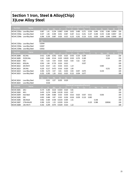| Number             | Name                 |                |       |           |        |                 |             | <b>Chemical Composition (Percent)</b> |                |       |       |          |                 |        | <b>Unit Size</b>   |
|--------------------|----------------------|----------------|-------|-----------|--------|-----------------|-------------|---------------------------------------|----------------|-------|-------|----------|-----------------|--------|--------------------|
|                    |                      | C              | Si.   | Mn        | P      | S               | Cr          | Ni.                                   | $\overline{C}$ |       | Ti.   | $Al_{r}$ | Al <sub>c</sub> | Bt     | (in g)             |
| NCSHC17201a        | Low Alloy Steel      | 0.087          | 1.41  | 0.234     | 0.0067 | 0.049           | 0.653       | 0.480                                 | 0.371          | 0.536 | 0.046 | 0.392    | 0.386           | 0.0054 | 100                |
| NCSHC17203a        | Low Alloy Steel      | 0.337          | 1.06  | 0.449     | 0.031  | 0.067           | 0.267       | 0.111                                 | 0.251          | 0.147 | 0.248 | 0.193    | 0.188           | 0.0057 | 100                |
| NCSHC17204a        | Low Alloy Steel      | 0.396          | 0.195 | 0.887     | 0.026  | 0.015           | 0.215       | 0.262                                 | 0.116          | 0.101 | 0.058 | 0.049    | 0.048           | 0.0040 | 100                |
|                    |                      |                |       |           |        |                 |             |                                       |                |       |       |          |                 |        |                    |
|                    |                      | <b>Bs</b>      |       |           |        |                 |             |                                       |                |       |       |          |                 |        |                    |
| NCSHC17201a        | Low Alloy Steel      | 0.0044         |       |           |        |                 |             |                                       |                |       |       |          |                 |        |                    |
| <b>NCSHC17203a</b> | Low Alloy Steel      | 0.0047         |       |           |        |                 |             |                                       |                |       |       |          |                 |        |                    |
| NCSHC17204a        | Low Alloy Steel      | 0.0032         |       |           |        |                 |             |                                       |                |       |       |          |                 |        |                    |
| <b>Number</b>      | Name                 |                |       |           |        |                 |             | <b>Chemical Composition (Percent)</b> |                |       |       |          |                 |        | <b>Unit Size</b>   |
|                    | 42CrMo               | $\mathsf{C}$   | Si.   | Mn        | P      | S               | Cr<br>0.933 | Ni                                    | CLI            |       | m     | Mo       | <b>Nb</b>       | B      | (in g)             |
| <b>NCSHC18208</b>  |                      | 0.413          | 0.260 | 0.542     | 0.025  | 0.025           |             | 0.319                                 | 0.199          |       |       |          | 0.233           |        | 150                |
| <b>NCSHC18209</b>  | ZG35CrMo             | 0.321          | 0.406 | 0.514     | 0.035  | 0.0029          | 0.933       | 0.376                                 | 0.180          |       |       |          | 0.324           |        | 150                |
| <b>NCSHC18210</b>  | 40Cr                 | 0.41           | 0.26  | 0.54      | 0.025  | 0.025           | 0.93        | 0.32                                  | 0.20           |       |       |          |                 |        | 100                |
| <b>NCSHC18211</b>  | 60Si <sub>2</sub> Mn | 0.592          | 1.84  | 0.735     | 0.016  | 0.022           |             |                                       | 0.037          |       |       |          |                 |        | 100                |
| <b>NCSHC18212</b>  | 20CrMnTi             | 0.219          | 0.417 | 1.02      | 0.016  | 0.015           | 1.14        |                                       |                |       |       | 0.060    |                 |        | 100                |
| <b>NCSHC18213</b>  | 20CrMo               | 0.220          | 0.217 | 0.473     | 0.016  | 0.020           | 1.00        |                                       |                |       |       |          | 0.231           |        | 100                |
| <b>NCSHC18214</b>  | Low Alloy Steel      | 0.355          | 0.273 | 0.57      | 0.01   | 0.033           | 0.93        | 0.057                                 | 0.075          |       |       | 0.154    |                 |        | 100                |
| <b>NCSHC18215</b>  | Low Alloy Steel      | 0.152          | 0.305 | 1.26      | 0.012  | 0.023           | 0.121       | 0.034                                 | 0.077          |       |       |          |                 |        | 100                |
|                    |                      | S <sub>n</sub> | As    | <b>Pb</b> | $Al+$  | Al <sub>c</sub> | Zn          |                                       |                |       |       |          |                 |        |                    |
| <b>NCSHC18214</b>  | Low Alloy Steel      |                | 0.011 | 0.57      | 0.035  | 0.029           |             |                                       |                |       |       |          |                 |        |                    |
| <b>NCSHC18215</b>  | Low Alloy Steel      |                | 0.018 |           |        |                 |             |                                       |                |       |       |          |                 |        |                    |
|                    |                      |                |       |           |        |                 |             | <b>Chemical Composition (Percent)</b> |                |       |       |          |                 |        | <b>Unit Size</b>   |
| <b>Number</b>      | Name                 | $\mathsf{C}$   | Si.   | Mn        | P      | S.              | Cr          | <b>Ni</b>                             | Cu             | V     | Mo    | Co       | B.              |        | $(in\overline{g})$ |
| <b>NCSHC19201</b>  | 20Cr                 | 0.175          | 0.285 | 0.610     | 0.0203 | 0.020           | 0.81        |                                       |                |       |       |          |                 |        | 100                |
| <b>NCSHC19202</b>  | 40Cr                 | 0.435          | 0.274 | 0.698     | 0.0139 | 0.010           | 0.97        |                                       |                |       |       |          |                 |        | 100                |
| <b>NCSHC19204</b>  | <b>Axle Steel</b>    | 0.444          | 0.280 | 0.680     | 0.010  | 0.030           | 0.013       | 0.025                                 | 0.037          | 0.011 |       | 0.036    |                 |        | 100                |
| <b>NCSHC19205</b>  | 09V                  | 0.093          | 0.486 | 0.87      | 0.010  | 0.036           | 0.016       | 0.039                                 | 0.110          | 0.085 |       |          |                 |        | 100                |
| <b>NCSHC19206</b>  | 38CrMoAl             | 0.402          | 0.364 | 0.430     | 0.0154 | 0.009           | 1.51        |                                       |                |       | 0.198 |          |                 |        | 100                |
| <b>NCSHC19207</b>  | 27MnMoVB             | 0.306          | 0.232 | 1.33      | 0.0195 | 0.014           |             |                                       |                | 0.125 | 0.388 |          | (0.0014)        |        | 100                |
| NCSHC19208         | 18CrMnTi             | 0.192          | 0.299 | 0.975     | 0.0104 | 0.010           | 1.22        |                                       |                |       |       |          |                 |        | 100                |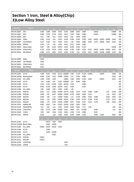| <b>Number</b>                              | Name                    |                |                      |                |                 |                   |                |                | <b>Chemical Composition (Percent)</b> |                |                  |                  |                  |                  | <b>Unit Size</b> |
|--------------------------------------------|-------------------------|----------------|----------------------|----------------|-----------------|-------------------|----------------|----------------|---------------------------------------|----------------|------------------|------------------|------------------|------------------|------------------|
|                                            |                         | $\mathsf{C}$   | Si.                  | Mn             | P               | S                 | Cr             | Ni.            | Cu.                                   | Al.            | V                | Ti.              | <b>W</b>         | Mo               | (in g)           |
| NCS HC 20201<br><b>NCS HC 20202</b>        | 20Cr<br>40Cr            | 0.209<br>0.409 | 0.298<br>0.376       | 0.609<br>0.742 | 0.015<br>0.015  | 0.014<br>0.011    | 0.808<br>1.053 | 0.093<br>0.063 | 0.089<br>0.086                        |                | 0.0032<br>0.0023 |                  |                  | 0.0088<br>0.0088 | 100<br>100       |
| <b>NCS HC 20203</b>                        | 20Cr                    | 0.21           | 0.30                 | 0.61           | 0.015           | 0.014             | 0.81           | 0.094          | 0.090                                 |                |                  |                  |                  |                  | 100              |
| <b>NCS HC 20204</b>                        | 20Mn <sub>2</sub>       | 0.201          | 0.313                | 1.63           | 0.022           | 0.018             | 0.300          | 0.265          | 0.169                                 | 0.021          | 0.0025           | 0.0033           | 0.0081           | 0.043            | 100              |
| <b>NCS HC 20207</b>                        | 15CrMnMoV               | 0.137          | 0.102                | 1.03           | 0.014           | 0.012             | 1.36           | 0.035          | 0.080                                 | 0.031          | 0.272            | 0.0045           | 0.032            | 0.910            | 100              |
| <b>NCS HC 20208</b>                        | 35SiMn                  | 0.374          | 1.15                 | 1.26           | 0.019           | 0.011             | 0.113          | 0.034          | 0.085                                 |                |                  |                  |                  |                  | 100              |
| <b>NCS HC 20210</b>                        | Silicon Steel           | 0.057          | 3.36                 | 0.225          | 0.0072          | 0.019             | 0.259          | 0.316          | 0.314                                 |                |                  |                  |                  | 0.0036           | 100              |
|                                            |                         |                |                      | 0.674          |                 |                   |                |                |                                       |                |                  |                  |                  |                  |                  |
| <b>NCS HC 20214</b><br><b>NCS HC 20215</b> | 15MnCrNiCu<br>40CrNiMoA | 0.123<br>0.385 | 0.314<br>0.271       | 0.667          | 0.022<br>0.013  | 0.024<br>0.020    | 0.782<br>0.781 | 0.387<br>1.54  | 0.254<br>0.150                        | 0.011<br>0.011 | 0.0032<br>0.0062 | 0.0026<br>0.0038 | 0.0052<br>0.0066 | 0.027<br>0.215   | 100<br>100       |
|                                            |                         | Co             |                      |                |                 |                   |                |                |                                       |                |                  |                  |                  |                  |                  |
| <b>NCS HC 20204</b>                        | 20Mn <sub>2</sub>       | 0.019          |                      |                |                 |                   |                |                |                                       |                |                  |                  |                  |                  |                  |
| <b>NCS HC 20207</b>                        | 15CrMnMoV               | 0.010          |                      |                |                 |                   |                |                |                                       |                |                  |                  |                  |                  |                  |
| <b>NCS HC 20214</b>                        | 15MnCrNiCu              | 0.011          |                      |                |                 |                   |                |                |                                       |                |                  |                  |                  |                  |                  |
| <b>NCS HC 20215</b>                        | 40CrNiMoA               | 0.011          |                      |                |                 |                   |                |                |                                       |                |                  |                  |                  |                  |                  |
| <b>Number</b>                              | Name                    | $\mathsf{C}$   | Si.                  | Mn             | P               | S.                |                |                | <b>Chemical Composition (Percent)</b> |                | $\vee$           |                  | W.               | Mo               | <b>Unit Size</b> |
| <b>NCSHC 21201</b>                         | GCr15                   | 1.090          | 0.431                | 0.433          | 0.0112          | (0.0005)          | Cr<br>1.442    | Ni.<br>0.134   | Cu<br>0.158                           | Al<br>0.0363   |                  | Ti.<br>0.0074    |                  | 0.060            | (in g)<br>100    |
| NCSHC21201b                                | <b>Bearing Steel</b>    | 0.990          | 0.239                | 0.315          | 0.0065          | 0.0054            | 1.47           | 0.042          | 0.086                                 |                |                  |                  |                  | 0.032            | 100              |
| <b>NCS HC 21202</b>                        | GCr <sub>15</sub> SiMn  | 1.006          | 0.550                | 1.063          |                 | 0.0065            | 1.506          | 0.046          | 0.126                                 | 0.042          |                  | 0.0072           |                  | 0.011            | 100              |
| <b>NCS HC 21203</b>                        | GCr15                   | 1.01           | 0.305                | 0.37           | 0.012           | (0.0004)          | 1.55           | 0.046          | 0.081                                 |                |                  |                  |                  |                  | 100              |
| <b>NCS HC 21204</b>                        | GCr15                   | 1.019          | 0.151                | 0.338          | 0.020           | (0.019)           | 1.539          |                | 0.086                                 |                |                  |                  |                  |                  | 100              |
| <b>NCS HC 21205</b>                        | GCr15                   | 0.953          | 0.193                | 0.282          | 0.0276          | 0.012             | 1.634          |                | 0.233                                 |                |                  |                  |                  |                  | 100              |
| <b>NCS HC 21206</b>                        | GCr <sub>15</sub> SiMn  | 0.98           | 0.404                | 0.99           | 0.023           | 0.005             | 1.38           |                |                                       |                |                  |                  |                  |                  | 100              |
| <b>NCS HC 21207</b>                        | 60Si <sub>2</sub> Mn    | 0.501          | 2.15                 | 0.600          | 0.0149          | 0.0174            | 0.362          | 0.276          | 0.195                                 | 0.065          | 0.043            |                  | 0.77             | 0.160            | 100              |
| <b>NCS HC 21208</b>                        | 60Si <sub>2</sub> Mn    | 0.400          | 2.91                 | 0.437          | 0.0064          | 0.0029            | 0.159          | 0.064          | 0.064                                 | 0.113          |                  |                  | 1.18             | 0.012            | 100              |
| <b>NCS HC 21209</b>                        | 60Si <sub>2</sub> Mn    | 0.599          | 1.69                 | 1.14           | 0.0209          | 0.0291            | 1.13           | 0.124          | 0.095                                 | 0.018          | 0.084            |                  | 0.025            | 0.091            | 100              |
| <b>NCS HC 21210</b>                        | 60Si <sub>2</sub> Mn    | 0.706          | 1.10                 | 0.857          | 0.0256          | 0.0374            | 0.760          | 0.393          | 0.3.03                                | 0.158          | 0.168            |                  | 0.176            | 0.273            | 100              |
|                                            |                         |                | 1.74                 | 0.752          | 0.0144          | 0.0190            |                | 0.018          |                                       | 0.132          |                  |                  |                  |                  |                  |
| <b>NCSHC 21211</b>                         | 60Si <sub>2</sub> Mn    | 0.666          |                      |                |                 |                   | 0.071          |                | 0.147                                 |                | 0.129            |                  | 0.40             | 0.051            | 100              |
| <b>NCS HC 21212</b>                        | H08Mo <sub>2</sub> SiA  | 0.087          | 0.827<br>0.42        | 1.90           | 0.0107<br>0.013 | 0.0156<br>< 0.001 | 0.035<br>0.030 | 0.061          | 0.091<br>0.13                         | 0.52           |                  |                  |                  |                  | 100              |
| NCSHC21215                                 | 35MoVAlTiR <sub>F</sub> | 0.37           |                      | 1.15           |                 |                   |                | 0.061          |                                       |                |                  |                  |                  | 1.05             | 100              |
| <b>NCS HC 21218</b>                        | CrMnV+Mo                | 0.09           | 0.775                | 9.88           | 0.0464          | 0.012             | 18.80          | 4.97           | 0.0.396                               |                | 0.024            |                  |                  | 3.10             | 100              |
| NCS HC 21220                               | CrMnV                   | 0.09           | 0.82                 | 13.56          | 0.100           | 0.026             | 15.89          | 7.114          | 0.080                                 |                | 0.027            |                  |                  |                  | 100              |
| <b>NCS HC 21221</b>                        | 20MnSi                  | 0.218          |                      | 1.28           | 0.020           | 0.025             | 0.239          | 0.094          | 0.136                                 |                | 0.094            | 0.028            |                  | 0.061            | 100              |
|                                            |                         | $\mathsf{B}$   | <b>Sn</b>            | As             | <b>Sb</b>       | N                 | Ce             |                |                                       |                |                  |                  |                  |                  |                  |
| <b>NCS HC 21201</b>                        | GCr15                   |                | 0.0273               | 0.023          | 0.025           |                   |                |                |                                       |                |                  |                  |                  |                  |                  |
| NCS HC 21201b Bearin Steel                 |                         |                | 0.020                | 0.0092         |                 |                   |                |                |                                       |                |                  |                  |                  |                  |                  |
| <b>NCSHC 21202</b>                         | GCr <sub>15</sub> SiMn  |                | 0.0031 0.0107 0.0110 |                | 0.022           |                   |                |                |                                       |                |                  |                  |                  |                  |                  |
| NCSHC 21204                                | GCr15                   |                | 0.049                |                |                 |                   |                |                |                                       |                |                  |                  |                  |                  |                  |
| <b>NCS HC 21205</b>                        | GCr15                   |                | 0.038                | 0.0334         |                 |                   |                |                |                                       |                |                  |                  |                  |                  |                  |
| <b>NCS HC 21206</b>                        | GCr <sub>15</sub> SiMn  |                |                      | 0.022          |                 |                   |                |                |                                       |                |                  |                  |                  |                  |                  |
| <b>NCS HC 21210</b>                        | 60Si <sub>2</sub> Mn    | 0.0012         |                      |                |                 |                   |                |                |                                       |                |                  |                  |                  |                  |                  |
| <b>NCS HC 21211</b>                        | 60Si <sub>2</sub> Mn    | 0.0013         |                      |                |                 |                   |                |                |                                       |                |                  |                  |                  |                  |                  |
| <b>NCS HC 21218</b>                        | CrMnV+Mo                |                |                      |                |                 | 0.097             |                |                |                                       |                |                  |                  |                  |                  |                  |
| <b>NCS HC 21220</b>                        | CrMnN                   |                |                      |                |                 | 0.29              |                |                |                                       |                |                  |                  |                  |                  |                  |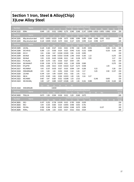| <b>Number</b>      | <b>Name</b>             |                |                |        |              |        |       | <b>Chemical Composition (Percent)</b>       |       |               |           |           |          |       | <b>Unit Size</b>    |
|--------------------|-------------------------|----------------|----------------|--------|--------------|--------|-------|---------------------------------------------|-------|---------------|-----------|-----------|----------|-------|---------------------|
|                    |                         | $\mathsf{C}$   | Mn             | P.     | <sub>S</sub> | Si     | Ni    | Cr                                          | Cu    | Mo            | W         | Als       | Alt      | Sn    | (in g)              |
| <b>NCSHC21222</b>  | 65Mn                    | 0.649          | 1.02           | 0.012  | 0.0062       | 0.279  | 0.040 | 0.048                                       | 0.147 | 0.0069        | 0.0019    | 0.0051    | 0.0061   | 0.014 | 100                 |
| <b>Number</b>      | Name                    |                |                |        |              |        |       | <b>Chemical Composition (Percent)</b>       |       |               |           |           |          |       | Unit Size           |
|                    |                         | $\overline{C}$ | $\overline{S}$ | P.     | Si           | Mn     | Cr    | Ni                                          | Cп    | <b>Nb</b>     | <b>Re</b> | Al(s)     | N        |       | (in g)              |
| <b>NCSHC 22201</b> | Alloy structure steel   | 0.073          | 0.0053         | 0.0253 | 0.438        | 0.675  | 0.090 | 0.096                                       | 0.089 | 0.044         | 0.048     | 0.093     | 0.013    |       | 100                 |
| <b>NCSHC 22203</b> | Alloy structure steel   | 0.124          | 0.0045         | 0.0125 | 0.674        | 0.821  | 0.127 | 0.055                                       | 0.094 | 0.122         | 0.098     | 0.177     |          |       | 100                 |
| <b>Number</b>      | Name                    | $\mathsf{C}$   | Si.            | Mn     | P            | S      | Cr    | <b>Chemical Composition(Percent)</b><br>Ni. | Cu    | $\mathsf{Al}$ | V         | TL.       | <b>W</b> | Mo    | <b>Unit Size</b>    |
| <b>NCSHC23205</b>  | 12CrNi3                 | 0.124          | 0.183          | 0.527  | 0.021        | 0.021  | 0.740 | 2.82                                        | 0.195 | 0.052         |           |           | 0.202    | 0.141 | (in g)<br>100       |
| <b>NCSHC23206</b>  | 30CrMnSi                | 0.289          | 1.15           | 0.930  | 0.014        | 0.023  | 0.943 | 0.162                                       | 0.152 | 0.089         |           |           | 0.216    | 0.150 | 100                 |
| <b>NCSHC23208</b>  | 45CrV                   | 0.41           | 0.364          | 0.67   | 0.0184       | 0.0165 | 0.96  | 0.139                                       | 0.095 |               |           |           |          |       | 150                 |
| <b>NCSHC23209</b>  | 38CrMoAl                | 0.360          | 0.310          | 0.490  | 0.0310       | 0.0140 | 1.540 | 0.410                                       | 0.185 | 1.13          |           |           |          | 0.270 | 150                 |
| <b>NCSHC23210</b>  | 38CrMoAl                | 0.39           | 0.335          | 0.425  | 0.0246       | 0.011  | 1.44  | 0.238                                       | 0.275 | 0.93          |           |           |          | 0.17  | 150                 |
| <b>NCSHC23211</b>  | PCrNi <sub>4</sub> Mo   | 0.367          | 0.375          | 0.56   | 0.018        | 0.027  | 0.957 | 3.95                                        |       |               |           |           |          | 0.43  | 150                 |
|                    |                         |                |                |        |              |        |       |                                             | 0.060 |               |           |           |          |       |                     |
| <b>NCSHC23214</b>  | 30CrMnMoTi              | 0.328          | 0.326          | 0.770  | 0.0205       | 0.021  | 1.160 | 0.058                                       |       |               |           |           |          | 0.270 | 150                 |
| <b>NCSHC23215</b>  | $65Si2MnW$              | 0.691          | 1.836          | 0.813  | 0.019        | 0.0223 | 0.227 | 0.273                                       | 0.038 |               |           |           | 1.03     |       | 150                 |
| <b>NCSHC23217</b>  | 45CrNiMoY               | 0.43           | 0.337          | 0.635  | 0.027        | 0.016  | 0.994 | 1.64                                        | 0.206 |               | 0.15      |           |          | 0.28  | 150                 |
| <b>NCSHC23218</b>  | 35MnWMoVB               | 0.33           | 0.40           | 1.02   | 0.032        | 0.024  | 0.18  | 0.26                                        | 0.17  |               | 0.25      |           | 0.50     | 0.137 | 150                 |
| <b>NCSHC23220</b>  | 12CrNiA                 | 0.144          | 0.24           | 0.49   | 0.0247       | 0.011  | 0.82  | 2.41                                        | 0.11  |               |           |           |          |       | 150                 |
| <b>NCSHC23221</b>  | 38CrA                   | 0.375          | 0.345          | 0.69   | 0.026        | 0.0315 | 1.00  | 0.26                                        | 0.16  | 0.17          |           |           |          |       | 150                 |
| <b>NCSHC23222</b>  | 45CrNiWV                | 0.467          | 0.47           | 0.687  | 0.022        | 0.0248 | 1.03  | 1.515                                       |       |               | 0.146     |           | 0.693    |       | 150                 |
| <b>NCSHC23223</b>  | 30CrMnSiNi <sub>2</sub> | 0.30           | 1.07           | 0.885  | 0.0197       | 0.0186 | 1.03  | 1.56                                        | 0.161 | 0.080         |           |           | 0.195    | 0.126 | 100                 |
|                    |                         | Co             | Nb             | Zr     | B            | N      | RE.   |                                             |       |               |           |           |          |       |                     |
| <b>NCSHC23218</b>  | 35MnWMoVB               |                |                | 0.0034 |              |        |       |                                             |       |               |           |           |          |       |                     |
|                    |                         |                |                |        |              |        |       | <b>Chemical Composition (Percent)</b>       |       |               |           |           |          |       | <b>Unit Size</b>    |
| <b>Number</b>      | Name                    | C.             | Si             | Mn     | P            | S.     | Cr    | Νi                                          | Cп    | Al            | <b>W</b>  | Mo        |          |       | $(in \overline{g})$ |
| <b>NCSHC24202</b>  | 70Si <sub>2</sub> CrA   | 0.673          | 1.58           | 0.504  | 0.018        | 0.012  | 0.29  | 0.040                                       | 0.073 |               |           |           |          |       | 100                 |
| <b>Number</b>      | Name                    |                |                |        |              |        |       | <b>Chemical Composition (Percent)</b>       |       |               |           |           |          |       | <b>Unit Size</b>    |
|                    |                         | $\mathsf{C}$   | Si.            | Mn     | P            | S      | Cr    | Ni                                          | Cu.   | $\mathsf{Al}$ | Ti.       | <b>Mo</b> | B        | Bt    | (in g)              |
| <b>NCSHC28201</b>  | 20Cr                    | 0.197          | 0.252          | 0.738  | 0.0195       | 0.015  | 0.785 | 0.026                                       | 0.029 |               |           |           |          |       | 150                 |
| <b>NCSHC28202</b>  | 40Cr                    | 0.44           | 0.335          | 0.665  | 0.014        | 0.0055 | 0.998 | 0.053                                       | 0.741 |               |           |           |          |       | 150                 |
| <b>NCSHC28204</b>  | 35CrMo                  | 0.390          | 0.304          | 0.558  | 0.029        | 0.0054 | 0.948 | 0.070                                       | 0.096 |               |           | 0.137     |          |       | 100                 |
| <b>NCSHC28205</b>  | 45Mn <sub>2</sub>       | 0.422          | 0.298          | 1.63   | 0.015        | 0.017  | 0.012 | 0.021                                       | 0.014 |               |           |           |          |       | 100                 |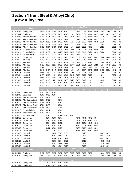| 0.205<br>0.284<br>0.011<br>0.0073<br>1.53<br>0.0026<br>0.0015<br>0.011<br>0.010<br>0.993<br>0.056<br>0.168<br>0.012<br>100<br>NCS HC 28206<br><b>Bearing Steel</b><br>0.232<br>0.0030<br>0.0003<br>100<br><b>NCS HC 28207</b><br>1.08<br>0.284<br>0.019<br>0.0097<br>1.36<br>0.051<br>0.180<br>0.0007<br>0.0093<br>0.0029<br><b>Bearing Steel</b><br>0.221<br>0.502<br>0.020<br>0.018<br>0.907<br>0.050<br>0.181<br>0.0010<br>0.0024<br>0.194<br>100<br><b>NCS HC 28208</b><br>0.203<br>0.012<br>Alloy structure Steel<br>0.202<br>0.225<br>1.02<br>0.011<br>0.0014<br>0.0053<br>0.236<br>0.020<br>100<br><b>NCS HC 28209</b><br>Alloy structure Steel<br>0.017<br>1.21<br>0.047<br>0.141<br>0.0020<br>0.254<br>100<br><b>NCS HC 28210</b><br>0.224<br>0.288<br>0.764<br>0.026<br>0.0083<br>6.21<br>0.452<br>0.175<br>0.0018<br>0.0051<br>Alloy structure Steel<br>0.070<br>0.011<br>100<br><b>NCS HC 28211</b><br>0.265<br>0.312<br>0.934<br>0.013<br>0.014<br>1.13<br>0.082<br>0.148<br>0.018<br>Alloy structure Steel<br><b>NCS HC 28212</b><br>0.506<br>0.304<br>0.664<br>0.014<br>0.022<br>1.04<br>0.109<br>0.208<br>0.0021<br>0.016<br>0.002<br>100<br>Alloy structure Steel<br>Anchor Chain Steel<br>0.014<br>0.082<br>0.024<br>0.017<br>100<br><b>NCS HC 28213</b><br>0.202<br>0.271<br>1.19<br>0.015<br>0.128<br>0.223<br>0.0016<br>0.040<br>Anchor Chain Steel<br>0.023<br>100<br>NCSHC <sub>28214</sub><br>0.312<br>0.292<br>1.35<br>0.023<br>0.017<br>0.069<br>0.117<br>0.243<br>0.0022<br>0.010<br>0.040<br>0.308<br>0.476<br>0.093<br>0.024<br>0.295<br>(0.004)<br>0.0015<br>100<br>NCSHC28215<br>Structural Steel<br>0.104<br>0.016<br>0.011<br>0.0005<br><b>NCS HC 28216</b><br>Carbon Steel<br>0.162<br>0.21<br>0.373<br>0.019<br>0.015<br>0.129<br>0.137<br>0.091<br>0.0047<br>0.024<br>0.0046<br>0.0018<br>100<br><b>Alloy Steel</b><br>0.345<br>0.318<br>0.424<br>0.022<br>0.011<br>1.58<br>0.099<br>0.116<br>0.0036<br>0.0053<br>0.171<br>0.0047<br>0.807<br>100<br><b>NCS HC 28217</b><br>0.21<br>0.013<br>0.0208<br>0.101<br>0.0009<br><b>NCS HC 28218</b><br><b>Alloy Steel</b><br>0.385<br>1.295<br>0.169<br>0.099<br>0.161<br>0.015<br>0.0054<br>0.054<br>100<br><b>Alloy Steel</b><br>0.237<br>0.257<br>0.023<br>0.023<br>0.147<br>0.154<br>0.354<br>0.109<br>0.013<br>0.02<br>0.0048<br>0.101<br>100<br><b>NCS HC 28219</b><br>0.118<br><b>NCS HC 28220</b><br>0.397<br>$\mathbf{1}$<br>0.701<br>0.013<br>0.012<br>1.91<br>1.29<br>0.091<br>0.081<br>$1.2\,$<br>0.446<br>0.0057<br>0.01<br>100<br><b>Alloy Steel</b><br><b>NCS HC 28221</b><br><b>Alloy Steel</b><br>0.249<br>0.464<br>0.444<br>0.016<br>0.021<br>1.64<br>1.73<br>0.097<br>0.043<br>0.583<br>0.426<br>0.021<br>0.0042<br>100<br>0.0024<br>0.022<br>100<br><b>NCS HC 28223</b><br>Line Steel<br>0.055<br>0.29<br>1.81<br>0.011<br>0.283<br>0.201<br>0.205<br>0.116<br>0.026<br>100<br><b>NCS HC 28224</b><br>Line Steel<br>0.058<br>0.202<br>1.41<br>0.0072<br>0.0063<br>0.049<br>0.012<br>0.013<br>0.016<br>0.0014<br>0.026<br>0.01<br>0.003<br>0.002<br>100<br>NCS HC 28225<br>Line Steel<br>0.083<br>0.194<br>0.559<br>0.007<br>0.024<br>0.009<br>0.02<br>0.021<br>0.246<br>1.2<br>0.011<br>0.006<br>0.022<br>0.01<br>0.0012<br>100<br><b>NCS HC 28226</b><br>Line Steel<br>0.086<br>0.008<br>0.015<br>0.015<br>0.0087<br>0.0041<br>0.023<br>0.02<br>100<br><b>NCS HC 28227</b><br>Line Steel<br>0.105<br>0.325<br>1.31<br>0.0089<br>0.016<br>0.0013<br>0.022<br>0.108<br>0.279<br>1.23<br>0.013<br>0.006<br>0.026<br>0.0061<br>0.01<br>0.001<br>0.022<br>100<br><b>NCS HC 28228</b><br>Line Steel<br>0.01<br>Ali<br><b>As</b><br>$\vee$<br><b>Nb</b><br>Sb<br>Alt<br>Co<br>B.<br>Zn<br>Ca<br>N.<br>$R_{r}$<br><b>NCS HC 28206</b><br>0.0013<br>0.013<br>0.0099<br><b>Bearing Steel</b><br>0.0021<br>0.013<br>0.0097<br><b>NCS HC 28207</b><br><b>Bearin Steel</b><br>0.0022<br>0.013<br>0.0025<br><b>NCS HC 28208</b><br>Alloy Stucture Steel<br>0.0020<br>0.013<br>0.0035<br><b>NCS HC 28209</b><br>Alloy Stucture Steel<br><b>NCS HC 28210</b><br>0.0036<br>0.013<br>0.0033<br>Alloy Stucture Steel<br><b>NCS HC 28211</b><br>Alloy Stucture Steel<br>0.0019<br>0.012<br>0.0038<br>0.014<br>0.154<br><b>NCS HC 28212</b><br>0.0029<br>Alloy Stucture Steel<br><b>NCS HC 28213</b><br><b>Anchor Chain Steel</b><br>0.0019<br>0.011<br>0.0013<br>0.013<br>0.0013<br>NCSHC <sub>28214</sub><br>Anchor Chain Steel<br>0.0021<br>0.0057<br>0.0034<br><b>NCS HC 28215</b><br>Structural Steel<br>$< 0.001$ 0.0022<br>0.0011<br><b>NCS HC 28216</b><br>Carbon Steel<br>0.0068<br>0.0019<br>0.0029<br>0.0002<br>0.0004<br>0.0071<br>0.0034<br>0.002<br>0.824<br>0.0003<br>0.02<br><b>NCS HC 28217</b><br><b>Carbon Steel</b><br>0.0092<br>0.0061<br>0.0056<br>0.011<br>0.061<br>0.0003<br><b>NCS HC 28218</b><br>Carbon Steel<br>0.0064<br>0.0019<br>0.0006<br><b>NCS HC 28219</b><br>0.0093<br>0.0067<br>0.0023<br>0.0003<br>Carbon Steel<br>0.0023<br>0.106<br>0.0023<br><b>NCS HC 28220</b><br>Carbon Steel<br>0.0064<br>0.377<br>0.002<br>0.0013 0.0014<br>0.021<br>0.012<br>0.0087<br>0.0003 0.0014<br>0.024<br>0.0087<br>0.218<br>0.0056<br><b>NCS HC 28221</b><br>Carbon Steel<br><b>NCS HC 28223</b><br>Line Steel<br>0.004<br>0.0043<br>0.103<br>0.027<br>0.0009<br>0.0053<br>0.042<br>0.0012 0.004<br>Line Steel<br>0.0032<br>0.05<br>0.028<br><b>NCS HC 28224</b><br>0.0009<br>0.0017 0.0053<br><b>NCS HC 28225</b><br>Line Steel<br>0.0034<br>0.011<br>0.023<br>0.0014<br>0.0059<br><b>NCS HC 28226</b><br>Line Steel<br>0.0043<br>0.022<br>0.016<br>0.0035<br>0.0033<br>0.038<br>0.035<br>0.0067<br>Line Steel<br>0.023<br>0.002<br><b>NCS HC 28227</b><br>0.0013 0.0074 | Number              | <b>Name</b> | $\mathsf{C}$ | Si. | Mn | P. | S     | Cr | <b>Chemical Composition (Percent)</b><br>Ni. | Cu    | m | <b>W</b> | Mo | Sn | Als | <b>Unit Size</b><br>(in g) |
|--------------------------------------------------------------------------------------------------------------------------------------------------------------------------------------------------------------------------------------------------------------------------------------------------------------------------------------------------------------------------------------------------------------------------------------------------------------------------------------------------------------------------------------------------------------------------------------------------------------------------------------------------------------------------------------------------------------------------------------------------------------------------------------------------------------------------------------------------------------------------------------------------------------------------------------------------------------------------------------------------------------------------------------------------------------------------------------------------------------------------------------------------------------------------------------------------------------------------------------------------------------------------------------------------------------------------------------------------------------------------------------------------------------------------------------------------------------------------------------------------------------------------------------------------------------------------------------------------------------------------------------------------------------------------------------------------------------------------------------------------------------------------------------------------------------------------------------------------------------------------------------------------------------------------------------------------------------------------------------------------------------------------------------------------------------------------------------------------------------------------------------------------------------------------------------------------------------------------------------------------------------------------------------------------------------------------------------------------------------------------------------------------------------------------------------------------------------------------------------------------------------------------------------------------------------------------------------------------------------------------------------------------------------------------------------------------------------------------------------------------------------------------------------------------------------------------------------------------------------------------------------------------------------------------------------------------------------------------------------------------------------------------------------------------------------------------------------------------------------------------------------------------------------------------------------------------------------------------------------------------------------------------------------------------------------------------------------------------------------------------------------------------------------------------------------------------------------------------------------------------------------------------------------------------------------------------------------------------------------------------------------------------------------------------------------------------------------------------------------------------------------------------------------------------------------------------------------------------------------------------------------------------------------------------------------------------------------------------------------------------------------------------------------------------------------------------------------------------------------------------------------------------------------------------------------------------------------------------------------------------------------------------------------------------------------------------------------------------------------------------------------------------------------------------------------------------------------------------------------------------------------------------------------------------------------------------------------------------------------------------------------------------------------------------------------------------------------------------------------------------------------------------------------------------------------------------------------------------------------------------------------------------------------------------------------------------------------------------------------------------------------------------------------------------------------------------------------------------------------------------------------------------------------------------------------------------------------------------------------------------------------------------------------------------------------------------------------------------------------------------------------------------------------------------------------------------------------------------------------------------------------------------------------------------------------------------------------------------------------------------------------------------------------------------------|---------------------|-------------|--------------|-----|----|----|-------|----|----------------------------------------------|-------|---|----------|----|----|-----|----------------------------|
|                                                                                                                                                                                                                                                                                                                                                                                                                                                                                                                                                                                                                                                                                                                                                                                                                                                                                                                                                                                                                                                                                                                                                                                                                                                                                                                                                                                                                                                                                                                                                                                                                                                                                                                                                                                                                                                                                                                                                                                                                                                                                                                                                                                                                                                                                                                                                                                                                                                                                                                                                                                                                                                                                                                                                                                                                                                                                                                                                                                                                                                                                                                                                                                                                                                                                                                                                                                                                                                                                                                                                                                                                                                                                                                                                                                                                                                                                                                                                                                                                                                                                                                                                                                                                                                                                                                                                                                                                                                                                                                                                                                                                                                                                                                                                                                                                                                                                                                                                                                                                                                                                                                                                                                                                                                                                                                                                                                                                                                                                                                                                                                                                                                                                |                     |             |              |     |    |    |       |    |                                              |       |   |          |    |    |     |                            |
|                                                                                                                                                                                                                                                                                                                                                                                                                                                                                                                                                                                                                                                                                                                                                                                                                                                                                                                                                                                                                                                                                                                                                                                                                                                                                                                                                                                                                                                                                                                                                                                                                                                                                                                                                                                                                                                                                                                                                                                                                                                                                                                                                                                                                                                                                                                                                                                                                                                                                                                                                                                                                                                                                                                                                                                                                                                                                                                                                                                                                                                                                                                                                                                                                                                                                                                                                                                                                                                                                                                                                                                                                                                                                                                                                                                                                                                                                                                                                                                                                                                                                                                                                                                                                                                                                                                                                                                                                                                                                                                                                                                                                                                                                                                                                                                                                                                                                                                                                                                                                                                                                                                                                                                                                                                                                                                                                                                                                                                                                                                                                                                                                                                                                |                     |             |              |     |    |    |       |    |                                              |       |   |          |    |    |     |                            |
|                                                                                                                                                                                                                                                                                                                                                                                                                                                                                                                                                                                                                                                                                                                                                                                                                                                                                                                                                                                                                                                                                                                                                                                                                                                                                                                                                                                                                                                                                                                                                                                                                                                                                                                                                                                                                                                                                                                                                                                                                                                                                                                                                                                                                                                                                                                                                                                                                                                                                                                                                                                                                                                                                                                                                                                                                                                                                                                                                                                                                                                                                                                                                                                                                                                                                                                                                                                                                                                                                                                                                                                                                                                                                                                                                                                                                                                                                                                                                                                                                                                                                                                                                                                                                                                                                                                                                                                                                                                                                                                                                                                                                                                                                                                                                                                                                                                                                                                                                                                                                                                                                                                                                                                                                                                                                                                                                                                                                                                                                                                                                                                                                                                                                |                     |             |              |     |    |    |       |    |                                              |       |   |          |    |    |     |                            |
|                                                                                                                                                                                                                                                                                                                                                                                                                                                                                                                                                                                                                                                                                                                                                                                                                                                                                                                                                                                                                                                                                                                                                                                                                                                                                                                                                                                                                                                                                                                                                                                                                                                                                                                                                                                                                                                                                                                                                                                                                                                                                                                                                                                                                                                                                                                                                                                                                                                                                                                                                                                                                                                                                                                                                                                                                                                                                                                                                                                                                                                                                                                                                                                                                                                                                                                                                                                                                                                                                                                                                                                                                                                                                                                                                                                                                                                                                                                                                                                                                                                                                                                                                                                                                                                                                                                                                                                                                                                                                                                                                                                                                                                                                                                                                                                                                                                                                                                                                                                                                                                                                                                                                                                                                                                                                                                                                                                                                                                                                                                                                                                                                                                                                |                     |             |              |     |    |    |       |    |                                              |       |   |          |    |    |     |                            |
|                                                                                                                                                                                                                                                                                                                                                                                                                                                                                                                                                                                                                                                                                                                                                                                                                                                                                                                                                                                                                                                                                                                                                                                                                                                                                                                                                                                                                                                                                                                                                                                                                                                                                                                                                                                                                                                                                                                                                                                                                                                                                                                                                                                                                                                                                                                                                                                                                                                                                                                                                                                                                                                                                                                                                                                                                                                                                                                                                                                                                                                                                                                                                                                                                                                                                                                                                                                                                                                                                                                                                                                                                                                                                                                                                                                                                                                                                                                                                                                                                                                                                                                                                                                                                                                                                                                                                                                                                                                                                                                                                                                                                                                                                                                                                                                                                                                                                                                                                                                                                                                                                                                                                                                                                                                                                                                                                                                                                                                                                                                                                                                                                                                                                |                     |             |              |     |    |    |       |    |                                              |       |   |          |    |    |     |                            |
|                                                                                                                                                                                                                                                                                                                                                                                                                                                                                                                                                                                                                                                                                                                                                                                                                                                                                                                                                                                                                                                                                                                                                                                                                                                                                                                                                                                                                                                                                                                                                                                                                                                                                                                                                                                                                                                                                                                                                                                                                                                                                                                                                                                                                                                                                                                                                                                                                                                                                                                                                                                                                                                                                                                                                                                                                                                                                                                                                                                                                                                                                                                                                                                                                                                                                                                                                                                                                                                                                                                                                                                                                                                                                                                                                                                                                                                                                                                                                                                                                                                                                                                                                                                                                                                                                                                                                                                                                                                                                                                                                                                                                                                                                                                                                                                                                                                                                                                                                                                                                                                                                                                                                                                                                                                                                                                                                                                                                                                                                                                                                                                                                                                                                |                     |             |              |     |    |    |       |    |                                              |       |   |          |    |    |     |                            |
|                                                                                                                                                                                                                                                                                                                                                                                                                                                                                                                                                                                                                                                                                                                                                                                                                                                                                                                                                                                                                                                                                                                                                                                                                                                                                                                                                                                                                                                                                                                                                                                                                                                                                                                                                                                                                                                                                                                                                                                                                                                                                                                                                                                                                                                                                                                                                                                                                                                                                                                                                                                                                                                                                                                                                                                                                                                                                                                                                                                                                                                                                                                                                                                                                                                                                                                                                                                                                                                                                                                                                                                                                                                                                                                                                                                                                                                                                                                                                                                                                                                                                                                                                                                                                                                                                                                                                                                                                                                                                                                                                                                                                                                                                                                                                                                                                                                                                                                                                                                                                                                                                                                                                                                                                                                                                                                                                                                                                                                                                                                                                                                                                                                                                |                     |             |              |     |    |    |       |    |                                              |       |   |          |    |    |     |                            |
|                                                                                                                                                                                                                                                                                                                                                                                                                                                                                                                                                                                                                                                                                                                                                                                                                                                                                                                                                                                                                                                                                                                                                                                                                                                                                                                                                                                                                                                                                                                                                                                                                                                                                                                                                                                                                                                                                                                                                                                                                                                                                                                                                                                                                                                                                                                                                                                                                                                                                                                                                                                                                                                                                                                                                                                                                                                                                                                                                                                                                                                                                                                                                                                                                                                                                                                                                                                                                                                                                                                                                                                                                                                                                                                                                                                                                                                                                                                                                                                                                                                                                                                                                                                                                                                                                                                                                                                                                                                                                                                                                                                                                                                                                                                                                                                                                                                                                                                                                                                                                                                                                                                                                                                                                                                                                                                                                                                                                                                                                                                                                                                                                                                                                |                     |             |              |     |    |    |       |    |                                              |       |   |          |    |    |     |                            |
|                                                                                                                                                                                                                                                                                                                                                                                                                                                                                                                                                                                                                                                                                                                                                                                                                                                                                                                                                                                                                                                                                                                                                                                                                                                                                                                                                                                                                                                                                                                                                                                                                                                                                                                                                                                                                                                                                                                                                                                                                                                                                                                                                                                                                                                                                                                                                                                                                                                                                                                                                                                                                                                                                                                                                                                                                                                                                                                                                                                                                                                                                                                                                                                                                                                                                                                                                                                                                                                                                                                                                                                                                                                                                                                                                                                                                                                                                                                                                                                                                                                                                                                                                                                                                                                                                                                                                                                                                                                                                                                                                                                                                                                                                                                                                                                                                                                                                                                                                                                                                                                                                                                                                                                                                                                                                                                                                                                                                                                                                                                                                                                                                                                                                |                     |             |              |     |    |    |       |    |                                              |       |   |          |    |    |     |                            |
|                                                                                                                                                                                                                                                                                                                                                                                                                                                                                                                                                                                                                                                                                                                                                                                                                                                                                                                                                                                                                                                                                                                                                                                                                                                                                                                                                                                                                                                                                                                                                                                                                                                                                                                                                                                                                                                                                                                                                                                                                                                                                                                                                                                                                                                                                                                                                                                                                                                                                                                                                                                                                                                                                                                                                                                                                                                                                                                                                                                                                                                                                                                                                                                                                                                                                                                                                                                                                                                                                                                                                                                                                                                                                                                                                                                                                                                                                                                                                                                                                                                                                                                                                                                                                                                                                                                                                                                                                                                                                                                                                                                                                                                                                                                                                                                                                                                                                                                                                                                                                                                                                                                                                                                                                                                                                                                                                                                                                                                                                                                                                                                                                                                                                |                     |             |              |     |    |    |       |    |                                              |       |   |          |    |    |     |                            |
|                                                                                                                                                                                                                                                                                                                                                                                                                                                                                                                                                                                                                                                                                                                                                                                                                                                                                                                                                                                                                                                                                                                                                                                                                                                                                                                                                                                                                                                                                                                                                                                                                                                                                                                                                                                                                                                                                                                                                                                                                                                                                                                                                                                                                                                                                                                                                                                                                                                                                                                                                                                                                                                                                                                                                                                                                                                                                                                                                                                                                                                                                                                                                                                                                                                                                                                                                                                                                                                                                                                                                                                                                                                                                                                                                                                                                                                                                                                                                                                                                                                                                                                                                                                                                                                                                                                                                                                                                                                                                                                                                                                                                                                                                                                                                                                                                                                                                                                                                                                                                                                                                                                                                                                                                                                                                                                                                                                                                                                                                                                                                                                                                                                                                |                     |             |              |     |    |    |       |    |                                              |       |   |          |    |    |     |                            |
|                                                                                                                                                                                                                                                                                                                                                                                                                                                                                                                                                                                                                                                                                                                                                                                                                                                                                                                                                                                                                                                                                                                                                                                                                                                                                                                                                                                                                                                                                                                                                                                                                                                                                                                                                                                                                                                                                                                                                                                                                                                                                                                                                                                                                                                                                                                                                                                                                                                                                                                                                                                                                                                                                                                                                                                                                                                                                                                                                                                                                                                                                                                                                                                                                                                                                                                                                                                                                                                                                                                                                                                                                                                                                                                                                                                                                                                                                                                                                                                                                                                                                                                                                                                                                                                                                                                                                                                                                                                                                                                                                                                                                                                                                                                                                                                                                                                                                                                                                                                                                                                                                                                                                                                                                                                                                                                                                                                                                                                                                                                                                                                                                                                                                |                     |             |              |     |    |    |       |    |                                              |       |   |          |    |    |     |                            |
|                                                                                                                                                                                                                                                                                                                                                                                                                                                                                                                                                                                                                                                                                                                                                                                                                                                                                                                                                                                                                                                                                                                                                                                                                                                                                                                                                                                                                                                                                                                                                                                                                                                                                                                                                                                                                                                                                                                                                                                                                                                                                                                                                                                                                                                                                                                                                                                                                                                                                                                                                                                                                                                                                                                                                                                                                                                                                                                                                                                                                                                                                                                                                                                                                                                                                                                                                                                                                                                                                                                                                                                                                                                                                                                                                                                                                                                                                                                                                                                                                                                                                                                                                                                                                                                                                                                                                                                                                                                                                                                                                                                                                                                                                                                                                                                                                                                                                                                                                                                                                                                                                                                                                                                                                                                                                                                                                                                                                                                                                                                                                                                                                                                                                |                     |             |              |     |    |    |       |    |                                              |       |   |          |    |    |     |                            |
|                                                                                                                                                                                                                                                                                                                                                                                                                                                                                                                                                                                                                                                                                                                                                                                                                                                                                                                                                                                                                                                                                                                                                                                                                                                                                                                                                                                                                                                                                                                                                                                                                                                                                                                                                                                                                                                                                                                                                                                                                                                                                                                                                                                                                                                                                                                                                                                                                                                                                                                                                                                                                                                                                                                                                                                                                                                                                                                                                                                                                                                                                                                                                                                                                                                                                                                                                                                                                                                                                                                                                                                                                                                                                                                                                                                                                                                                                                                                                                                                                                                                                                                                                                                                                                                                                                                                                                                                                                                                                                                                                                                                                                                                                                                                                                                                                                                                                                                                                                                                                                                                                                                                                                                                                                                                                                                                                                                                                                                                                                                                                                                                                                                                                |                     |             |              |     |    |    |       |    |                                              |       |   |          |    |    |     |                            |
|                                                                                                                                                                                                                                                                                                                                                                                                                                                                                                                                                                                                                                                                                                                                                                                                                                                                                                                                                                                                                                                                                                                                                                                                                                                                                                                                                                                                                                                                                                                                                                                                                                                                                                                                                                                                                                                                                                                                                                                                                                                                                                                                                                                                                                                                                                                                                                                                                                                                                                                                                                                                                                                                                                                                                                                                                                                                                                                                                                                                                                                                                                                                                                                                                                                                                                                                                                                                                                                                                                                                                                                                                                                                                                                                                                                                                                                                                                                                                                                                                                                                                                                                                                                                                                                                                                                                                                                                                                                                                                                                                                                                                                                                                                                                                                                                                                                                                                                                                                                                                                                                                                                                                                                                                                                                                                                                                                                                                                                                                                                                                                                                                                                                                |                     |             |              |     |    |    |       |    |                                              |       |   |          |    |    |     |                            |
|                                                                                                                                                                                                                                                                                                                                                                                                                                                                                                                                                                                                                                                                                                                                                                                                                                                                                                                                                                                                                                                                                                                                                                                                                                                                                                                                                                                                                                                                                                                                                                                                                                                                                                                                                                                                                                                                                                                                                                                                                                                                                                                                                                                                                                                                                                                                                                                                                                                                                                                                                                                                                                                                                                                                                                                                                                                                                                                                                                                                                                                                                                                                                                                                                                                                                                                                                                                                                                                                                                                                                                                                                                                                                                                                                                                                                                                                                                                                                                                                                                                                                                                                                                                                                                                                                                                                                                                                                                                                                                                                                                                                                                                                                                                                                                                                                                                                                                                                                                                                                                                                                                                                                                                                                                                                                                                                                                                                                                                                                                                                                                                                                                                                                |                     |             |              |     |    |    |       |    |                                              |       |   |          |    |    |     |                            |
|                                                                                                                                                                                                                                                                                                                                                                                                                                                                                                                                                                                                                                                                                                                                                                                                                                                                                                                                                                                                                                                                                                                                                                                                                                                                                                                                                                                                                                                                                                                                                                                                                                                                                                                                                                                                                                                                                                                                                                                                                                                                                                                                                                                                                                                                                                                                                                                                                                                                                                                                                                                                                                                                                                                                                                                                                                                                                                                                                                                                                                                                                                                                                                                                                                                                                                                                                                                                                                                                                                                                                                                                                                                                                                                                                                                                                                                                                                                                                                                                                                                                                                                                                                                                                                                                                                                                                                                                                                                                                                                                                                                                                                                                                                                                                                                                                                                                                                                                                                                                                                                                                                                                                                                                                                                                                                                                                                                                                                                                                                                                                                                                                                                                                |                     |             |              |     |    |    |       |    |                                              |       |   |          |    |    |     |                            |
|                                                                                                                                                                                                                                                                                                                                                                                                                                                                                                                                                                                                                                                                                                                                                                                                                                                                                                                                                                                                                                                                                                                                                                                                                                                                                                                                                                                                                                                                                                                                                                                                                                                                                                                                                                                                                                                                                                                                                                                                                                                                                                                                                                                                                                                                                                                                                                                                                                                                                                                                                                                                                                                                                                                                                                                                                                                                                                                                                                                                                                                                                                                                                                                                                                                                                                                                                                                                                                                                                                                                                                                                                                                                                                                                                                                                                                                                                                                                                                                                                                                                                                                                                                                                                                                                                                                                                                                                                                                                                                                                                                                                                                                                                                                                                                                                                                                                                                                                                                                                                                                                                                                                                                                                                                                                                                                                                                                                                                                                                                                                                                                                                                                                                |                     |             |              |     |    |    |       |    |                                              |       |   |          |    |    |     |                            |
|                                                                                                                                                                                                                                                                                                                                                                                                                                                                                                                                                                                                                                                                                                                                                                                                                                                                                                                                                                                                                                                                                                                                                                                                                                                                                                                                                                                                                                                                                                                                                                                                                                                                                                                                                                                                                                                                                                                                                                                                                                                                                                                                                                                                                                                                                                                                                                                                                                                                                                                                                                                                                                                                                                                                                                                                                                                                                                                                                                                                                                                                                                                                                                                                                                                                                                                                                                                                                                                                                                                                                                                                                                                                                                                                                                                                                                                                                                                                                                                                                                                                                                                                                                                                                                                                                                                                                                                                                                                                                                                                                                                                                                                                                                                                                                                                                                                                                                                                                                                                                                                                                                                                                                                                                                                                                                                                                                                                                                                                                                                                                                                                                                                                                |                     |             |              |     |    |    |       |    |                                              |       |   |          |    |    |     |                            |
|                                                                                                                                                                                                                                                                                                                                                                                                                                                                                                                                                                                                                                                                                                                                                                                                                                                                                                                                                                                                                                                                                                                                                                                                                                                                                                                                                                                                                                                                                                                                                                                                                                                                                                                                                                                                                                                                                                                                                                                                                                                                                                                                                                                                                                                                                                                                                                                                                                                                                                                                                                                                                                                                                                                                                                                                                                                                                                                                                                                                                                                                                                                                                                                                                                                                                                                                                                                                                                                                                                                                                                                                                                                                                                                                                                                                                                                                                                                                                                                                                                                                                                                                                                                                                                                                                                                                                                                                                                                                                                                                                                                                                                                                                                                                                                                                                                                                                                                                                                                                                                                                                                                                                                                                                                                                                                                                                                                                                                                                                                                                                                                                                                                                                |                     |             |              |     |    |    |       |    |                                              |       |   |          |    |    |     |                            |
|                                                                                                                                                                                                                                                                                                                                                                                                                                                                                                                                                                                                                                                                                                                                                                                                                                                                                                                                                                                                                                                                                                                                                                                                                                                                                                                                                                                                                                                                                                                                                                                                                                                                                                                                                                                                                                                                                                                                                                                                                                                                                                                                                                                                                                                                                                                                                                                                                                                                                                                                                                                                                                                                                                                                                                                                                                                                                                                                                                                                                                                                                                                                                                                                                                                                                                                                                                                                                                                                                                                                                                                                                                                                                                                                                                                                                                                                                                                                                                                                                                                                                                                                                                                                                                                                                                                                                                                                                                                                                                                                                                                                                                                                                                                                                                                                                                                                                                                                                                                                                                                                                                                                                                                                                                                                                                                                                                                                                                                                                                                                                                                                                                                                                |                     |             |              |     |    |    |       |    |                                              |       |   |          |    |    |     |                            |
|                                                                                                                                                                                                                                                                                                                                                                                                                                                                                                                                                                                                                                                                                                                                                                                                                                                                                                                                                                                                                                                                                                                                                                                                                                                                                                                                                                                                                                                                                                                                                                                                                                                                                                                                                                                                                                                                                                                                                                                                                                                                                                                                                                                                                                                                                                                                                                                                                                                                                                                                                                                                                                                                                                                                                                                                                                                                                                                                                                                                                                                                                                                                                                                                                                                                                                                                                                                                                                                                                                                                                                                                                                                                                                                                                                                                                                                                                                                                                                                                                                                                                                                                                                                                                                                                                                                                                                                                                                                                                                                                                                                                                                                                                                                                                                                                                                                                                                                                                                                                                                                                                                                                                                                                                                                                                                                                                                                                                                                                                                                                                                                                                                                                                |                     |             |              |     |    |    |       |    |                                              |       |   |          |    |    |     |                            |
|                                                                                                                                                                                                                                                                                                                                                                                                                                                                                                                                                                                                                                                                                                                                                                                                                                                                                                                                                                                                                                                                                                                                                                                                                                                                                                                                                                                                                                                                                                                                                                                                                                                                                                                                                                                                                                                                                                                                                                                                                                                                                                                                                                                                                                                                                                                                                                                                                                                                                                                                                                                                                                                                                                                                                                                                                                                                                                                                                                                                                                                                                                                                                                                                                                                                                                                                                                                                                                                                                                                                                                                                                                                                                                                                                                                                                                                                                                                                                                                                                                                                                                                                                                                                                                                                                                                                                                                                                                                                                                                                                                                                                                                                                                                                                                                                                                                                                                                                                                                                                                                                                                                                                                                                                                                                                                                                                                                                                                                                                                                                                                                                                                                                                |                     |             |              |     |    |    |       |    |                                              |       |   |          |    |    |     |                            |
|                                                                                                                                                                                                                                                                                                                                                                                                                                                                                                                                                                                                                                                                                                                                                                                                                                                                                                                                                                                                                                                                                                                                                                                                                                                                                                                                                                                                                                                                                                                                                                                                                                                                                                                                                                                                                                                                                                                                                                                                                                                                                                                                                                                                                                                                                                                                                                                                                                                                                                                                                                                                                                                                                                                                                                                                                                                                                                                                                                                                                                                                                                                                                                                                                                                                                                                                                                                                                                                                                                                                                                                                                                                                                                                                                                                                                                                                                                                                                                                                                                                                                                                                                                                                                                                                                                                                                                                                                                                                                                                                                                                                                                                                                                                                                                                                                                                                                                                                                                                                                                                                                                                                                                                                                                                                                                                                                                                                                                                                                                                                                                                                                                                                                |                     |             |              |     |    |    |       |    |                                              |       |   |          |    |    |     |                            |
|                                                                                                                                                                                                                                                                                                                                                                                                                                                                                                                                                                                                                                                                                                                                                                                                                                                                                                                                                                                                                                                                                                                                                                                                                                                                                                                                                                                                                                                                                                                                                                                                                                                                                                                                                                                                                                                                                                                                                                                                                                                                                                                                                                                                                                                                                                                                                                                                                                                                                                                                                                                                                                                                                                                                                                                                                                                                                                                                                                                                                                                                                                                                                                                                                                                                                                                                                                                                                                                                                                                                                                                                                                                                                                                                                                                                                                                                                                                                                                                                                                                                                                                                                                                                                                                                                                                                                                                                                                                                                                                                                                                                                                                                                                                                                                                                                                                                                                                                                                                                                                                                                                                                                                                                                                                                                                                                                                                                                                                                                                                                                                                                                                                                                |                     |             |              |     |    |    |       |    |                                              |       |   |          |    |    |     |                            |
|                                                                                                                                                                                                                                                                                                                                                                                                                                                                                                                                                                                                                                                                                                                                                                                                                                                                                                                                                                                                                                                                                                                                                                                                                                                                                                                                                                                                                                                                                                                                                                                                                                                                                                                                                                                                                                                                                                                                                                                                                                                                                                                                                                                                                                                                                                                                                                                                                                                                                                                                                                                                                                                                                                                                                                                                                                                                                                                                                                                                                                                                                                                                                                                                                                                                                                                                                                                                                                                                                                                                                                                                                                                                                                                                                                                                                                                                                                                                                                                                                                                                                                                                                                                                                                                                                                                                                                                                                                                                                                                                                                                                                                                                                                                                                                                                                                                                                                                                                                                                                                                                                                                                                                                                                                                                                                                                                                                                                                                                                                                                                                                                                                                                                |                     |             |              |     |    |    |       |    |                                              |       |   |          |    |    |     |                            |
|                                                                                                                                                                                                                                                                                                                                                                                                                                                                                                                                                                                                                                                                                                                                                                                                                                                                                                                                                                                                                                                                                                                                                                                                                                                                                                                                                                                                                                                                                                                                                                                                                                                                                                                                                                                                                                                                                                                                                                                                                                                                                                                                                                                                                                                                                                                                                                                                                                                                                                                                                                                                                                                                                                                                                                                                                                                                                                                                                                                                                                                                                                                                                                                                                                                                                                                                                                                                                                                                                                                                                                                                                                                                                                                                                                                                                                                                                                                                                                                                                                                                                                                                                                                                                                                                                                                                                                                                                                                                                                                                                                                                                                                                                                                                                                                                                                                                                                                                                                                                                                                                                                                                                                                                                                                                                                                                                                                                                                                                                                                                                                                                                                                                                |                     |             |              |     |    |    |       |    |                                              |       |   |          |    |    |     |                            |
|                                                                                                                                                                                                                                                                                                                                                                                                                                                                                                                                                                                                                                                                                                                                                                                                                                                                                                                                                                                                                                                                                                                                                                                                                                                                                                                                                                                                                                                                                                                                                                                                                                                                                                                                                                                                                                                                                                                                                                                                                                                                                                                                                                                                                                                                                                                                                                                                                                                                                                                                                                                                                                                                                                                                                                                                                                                                                                                                                                                                                                                                                                                                                                                                                                                                                                                                                                                                                                                                                                                                                                                                                                                                                                                                                                                                                                                                                                                                                                                                                                                                                                                                                                                                                                                                                                                                                                                                                                                                                                                                                                                                                                                                                                                                                                                                                                                                                                                                                                                                                                                                                                                                                                                                                                                                                                                                                                                                                                                                                                                                                                                                                                                                                |                     |             |              |     |    |    |       |    |                                              |       |   |          |    |    |     |                            |
|                                                                                                                                                                                                                                                                                                                                                                                                                                                                                                                                                                                                                                                                                                                                                                                                                                                                                                                                                                                                                                                                                                                                                                                                                                                                                                                                                                                                                                                                                                                                                                                                                                                                                                                                                                                                                                                                                                                                                                                                                                                                                                                                                                                                                                                                                                                                                                                                                                                                                                                                                                                                                                                                                                                                                                                                                                                                                                                                                                                                                                                                                                                                                                                                                                                                                                                                                                                                                                                                                                                                                                                                                                                                                                                                                                                                                                                                                                                                                                                                                                                                                                                                                                                                                                                                                                                                                                                                                                                                                                                                                                                                                                                                                                                                                                                                                                                                                                                                                                                                                                                                                                                                                                                                                                                                                                                                                                                                                                                                                                                                                                                                                                                                                |                     |             |              |     |    |    |       |    |                                              |       |   |          |    |    |     |                            |
|                                                                                                                                                                                                                                                                                                                                                                                                                                                                                                                                                                                                                                                                                                                                                                                                                                                                                                                                                                                                                                                                                                                                                                                                                                                                                                                                                                                                                                                                                                                                                                                                                                                                                                                                                                                                                                                                                                                                                                                                                                                                                                                                                                                                                                                                                                                                                                                                                                                                                                                                                                                                                                                                                                                                                                                                                                                                                                                                                                                                                                                                                                                                                                                                                                                                                                                                                                                                                                                                                                                                                                                                                                                                                                                                                                                                                                                                                                                                                                                                                                                                                                                                                                                                                                                                                                                                                                                                                                                                                                                                                                                                                                                                                                                                                                                                                                                                                                                                                                                                                                                                                                                                                                                                                                                                                                                                                                                                                                                                                                                                                                                                                                                                                |                     |             |              |     |    |    |       |    |                                              |       |   |          |    |    |     |                            |
|                                                                                                                                                                                                                                                                                                                                                                                                                                                                                                                                                                                                                                                                                                                                                                                                                                                                                                                                                                                                                                                                                                                                                                                                                                                                                                                                                                                                                                                                                                                                                                                                                                                                                                                                                                                                                                                                                                                                                                                                                                                                                                                                                                                                                                                                                                                                                                                                                                                                                                                                                                                                                                                                                                                                                                                                                                                                                                                                                                                                                                                                                                                                                                                                                                                                                                                                                                                                                                                                                                                                                                                                                                                                                                                                                                                                                                                                                                                                                                                                                                                                                                                                                                                                                                                                                                                                                                                                                                                                                                                                                                                                                                                                                                                                                                                                                                                                                                                                                                                                                                                                                                                                                                                                                                                                                                                                                                                                                                                                                                                                                                                                                                                                                |                     |             |              |     |    |    |       |    |                                              |       |   |          |    |    |     |                            |
|                                                                                                                                                                                                                                                                                                                                                                                                                                                                                                                                                                                                                                                                                                                                                                                                                                                                                                                                                                                                                                                                                                                                                                                                                                                                                                                                                                                                                                                                                                                                                                                                                                                                                                                                                                                                                                                                                                                                                                                                                                                                                                                                                                                                                                                                                                                                                                                                                                                                                                                                                                                                                                                                                                                                                                                                                                                                                                                                                                                                                                                                                                                                                                                                                                                                                                                                                                                                                                                                                                                                                                                                                                                                                                                                                                                                                                                                                                                                                                                                                                                                                                                                                                                                                                                                                                                                                                                                                                                                                                                                                                                                                                                                                                                                                                                                                                                                                                                                                                                                                                                                                                                                                                                                                                                                                                                                                                                                                                                                                                                                                                                                                                                                                |                     |             |              |     |    |    |       |    |                                              |       |   |          |    |    |     |                            |
|                                                                                                                                                                                                                                                                                                                                                                                                                                                                                                                                                                                                                                                                                                                                                                                                                                                                                                                                                                                                                                                                                                                                                                                                                                                                                                                                                                                                                                                                                                                                                                                                                                                                                                                                                                                                                                                                                                                                                                                                                                                                                                                                                                                                                                                                                                                                                                                                                                                                                                                                                                                                                                                                                                                                                                                                                                                                                                                                                                                                                                                                                                                                                                                                                                                                                                                                                                                                                                                                                                                                                                                                                                                                                                                                                                                                                                                                                                                                                                                                                                                                                                                                                                                                                                                                                                                                                                                                                                                                                                                                                                                                                                                                                                                                                                                                                                                                                                                                                                                                                                                                                                                                                                                                                                                                                                                                                                                                                                                                                                                                                                                                                                                                                |                     |             |              |     |    |    |       |    |                                              |       |   |          |    |    |     |                            |
|                                                                                                                                                                                                                                                                                                                                                                                                                                                                                                                                                                                                                                                                                                                                                                                                                                                                                                                                                                                                                                                                                                                                                                                                                                                                                                                                                                                                                                                                                                                                                                                                                                                                                                                                                                                                                                                                                                                                                                                                                                                                                                                                                                                                                                                                                                                                                                                                                                                                                                                                                                                                                                                                                                                                                                                                                                                                                                                                                                                                                                                                                                                                                                                                                                                                                                                                                                                                                                                                                                                                                                                                                                                                                                                                                                                                                                                                                                                                                                                                                                                                                                                                                                                                                                                                                                                                                                                                                                                                                                                                                                                                                                                                                                                                                                                                                                                                                                                                                                                                                                                                                                                                                                                                                                                                                                                                                                                                                                                                                                                                                                                                                                                                                |                     |             |              |     |    |    |       |    |                                              |       |   |          |    |    |     |                            |
|                                                                                                                                                                                                                                                                                                                                                                                                                                                                                                                                                                                                                                                                                                                                                                                                                                                                                                                                                                                                                                                                                                                                                                                                                                                                                                                                                                                                                                                                                                                                                                                                                                                                                                                                                                                                                                                                                                                                                                                                                                                                                                                                                                                                                                                                                                                                                                                                                                                                                                                                                                                                                                                                                                                                                                                                                                                                                                                                                                                                                                                                                                                                                                                                                                                                                                                                                                                                                                                                                                                                                                                                                                                                                                                                                                                                                                                                                                                                                                                                                                                                                                                                                                                                                                                                                                                                                                                                                                                                                                                                                                                                                                                                                                                                                                                                                                                                                                                                                                                                                                                                                                                                                                                                                                                                                                                                                                                                                                                                                                                                                                                                                                                                                |                     |             |              |     |    |    |       |    |                                              |       |   |          |    |    |     |                            |
|                                                                                                                                                                                                                                                                                                                                                                                                                                                                                                                                                                                                                                                                                                                                                                                                                                                                                                                                                                                                                                                                                                                                                                                                                                                                                                                                                                                                                                                                                                                                                                                                                                                                                                                                                                                                                                                                                                                                                                                                                                                                                                                                                                                                                                                                                                                                                                                                                                                                                                                                                                                                                                                                                                                                                                                                                                                                                                                                                                                                                                                                                                                                                                                                                                                                                                                                                                                                                                                                                                                                                                                                                                                                                                                                                                                                                                                                                                                                                                                                                                                                                                                                                                                                                                                                                                                                                                                                                                                                                                                                                                                                                                                                                                                                                                                                                                                                                                                                                                                                                                                                                                                                                                                                                                                                                                                                                                                                                                                                                                                                                                                                                                                                                |                     |             |              |     |    |    |       |    |                                              |       |   |          |    |    |     |                            |
|                                                                                                                                                                                                                                                                                                                                                                                                                                                                                                                                                                                                                                                                                                                                                                                                                                                                                                                                                                                                                                                                                                                                                                                                                                                                                                                                                                                                                                                                                                                                                                                                                                                                                                                                                                                                                                                                                                                                                                                                                                                                                                                                                                                                                                                                                                                                                                                                                                                                                                                                                                                                                                                                                                                                                                                                                                                                                                                                                                                                                                                                                                                                                                                                                                                                                                                                                                                                                                                                                                                                                                                                                                                                                                                                                                                                                                                                                                                                                                                                                                                                                                                                                                                                                                                                                                                                                                                                                                                                                                                                                                                                                                                                                                                                                                                                                                                                                                                                                                                                                                                                                                                                                                                                                                                                                                                                                                                                                                                                                                                                                                                                                                                                                |                     |             |              |     |    |    |       |    |                                              |       |   |          |    |    |     |                            |
|                                                                                                                                                                                                                                                                                                                                                                                                                                                                                                                                                                                                                                                                                                                                                                                                                                                                                                                                                                                                                                                                                                                                                                                                                                                                                                                                                                                                                                                                                                                                                                                                                                                                                                                                                                                                                                                                                                                                                                                                                                                                                                                                                                                                                                                                                                                                                                                                                                                                                                                                                                                                                                                                                                                                                                                                                                                                                                                                                                                                                                                                                                                                                                                                                                                                                                                                                                                                                                                                                                                                                                                                                                                                                                                                                                                                                                                                                                                                                                                                                                                                                                                                                                                                                                                                                                                                                                                                                                                                                                                                                                                                                                                                                                                                                                                                                                                                                                                                                                                                                                                                                                                                                                                                                                                                                                                                                                                                                                                                                                                                                                                                                                                                                |                     |             |              |     |    |    |       |    |                                              |       |   |          |    |    |     |                            |
|                                                                                                                                                                                                                                                                                                                                                                                                                                                                                                                                                                                                                                                                                                                                                                                                                                                                                                                                                                                                                                                                                                                                                                                                                                                                                                                                                                                                                                                                                                                                                                                                                                                                                                                                                                                                                                                                                                                                                                                                                                                                                                                                                                                                                                                                                                                                                                                                                                                                                                                                                                                                                                                                                                                                                                                                                                                                                                                                                                                                                                                                                                                                                                                                                                                                                                                                                                                                                                                                                                                                                                                                                                                                                                                                                                                                                                                                                                                                                                                                                                                                                                                                                                                                                                                                                                                                                                                                                                                                                                                                                                                                                                                                                                                                                                                                                                                                                                                                                                                                                                                                                                                                                                                                                                                                                                                                                                                                                                                                                                                                                                                                                                                                                |                     |             |              |     |    |    |       |    |                                              |       |   |          |    |    |     |                            |
|                                                                                                                                                                                                                                                                                                                                                                                                                                                                                                                                                                                                                                                                                                                                                                                                                                                                                                                                                                                                                                                                                                                                                                                                                                                                                                                                                                                                                                                                                                                                                                                                                                                                                                                                                                                                                                                                                                                                                                                                                                                                                                                                                                                                                                                                                                                                                                                                                                                                                                                                                                                                                                                                                                                                                                                                                                                                                                                                                                                                                                                                                                                                                                                                                                                                                                                                                                                                                                                                                                                                                                                                                                                                                                                                                                                                                                                                                                                                                                                                                                                                                                                                                                                                                                                                                                                                                                                                                                                                                                                                                                                                                                                                                                                                                                                                                                                                                                                                                                                                                                                                                                                                                                                                                                                                                                                                                                                                                                                                                                                                                                                                                                                                                |                     |             |              |     |    |    |       |    |                                              |       |   |          |    |    |     |                            |
|                                                                                                                                                                                                                                                                                                                                                                                                                                                                                                                                                                                                                                                                                                                                                                                                                                                                                                                                                                                                                                                                                                                                                                                                                                                                                                                                                                                                                                                                                                                                                                                                                                                                                                                                                                                                                                                                                                                                                                                                                                                                                                                                                                                                                                                                                                                                                                                                                                                                                                                                                                                                                                                                                                                                                                                                                                                                                                                                                                                                                                                                                                                                                                                                                                                                                                                                                                                                                                                                                                                                                                                                                                                                                                                                                                                                                                                                                                                                                                                                                                                                                                                                                                                                                                                                                                                                                                                                                                                                                                                                                                                                                                                                                                                                                                                                                                                                                                                                                                                                                                                                                                                                                                                                                                                                                                                                                                                                                                                                                                                                                                                                                                                                                |                     |             |              |     |    |    |       |    |                                              |       |   |          |    |    |     |                            |
|                                                                                                                                                                                                                                                                                                                                                                                                                                                                                                                                                                                                                                                                                                                                                                                                                                                                                                                                                                                                                                                                                                                                                                                                                                                                                                                                                                                                                                                                                                                                                                                                                                                                                                                                                                                                                                                                                                                                                                                                                                                                                                                                                                                                                                                                                                                                                                                                                                                                                                                                                                                                                                                                                                                                                                                                                                                                                                                                                                                                                                                                                                                                                                                                                                                                                                                                                                                                                                                                                                                                                                                                                                                                                                                                                                                                                                                                                                                                                                                                                                                                                                                                                                                                                                                                                                                                                                                                                                                                                                                                                                                                                                                                                                                                                                                                                                                                                                                                                                                                                                                                                                                                                                                                                                                                                                                                                                                                                                                                                                                                                                                                                                                                                |                     |             |              |     |    |    |       |    |                                              |       |   |          |    |    |     |                            |
|                                                                                                                                                                                                                                                                                                                                                                                                                                                                                                                                                                                                                                                                                                                                                                                                                                                                                                                                                                                                                                                                                                                                                                                                                                                                                                                                                                                                                                                                                                                                                                                                                                                                                                                                                                                                                                                                                                                                                                                                                                                                                                                                                                                                                                                                                                                                                                                                                                                                                                                                                                                                                                                                                                                                                                                                                                                                                                                                                                                                                                                                                                                                                                                                                                                                                                                                                                                                                                                                                                                                                                                                                                                                                                                                                                                                                                                                                                                                                                                                                                                                                                                                                                                                                                                                                                                                                                                                                                                                                                                                                                                                                                                                                                                                                                                                                                                                                                                                                                                                                                                                                                                                                                                                                                                                                                                                                                                                                                                                                                                                                                                                                                                                                |                     |             |              |     |    |    |       |    |                                              |       |   |          |    |    |     |                            |
|                                                                                                                                                                                                                                                                                                                                                                                                                                                                                                                                                                                                                                                                                                                                                                                                                                                                                                                                                                                                                                                                                                                                                                                                                                                                                                                                                                                                                                                                                                                                                                                                                                                                                                                                                                                                                                                                                                                                                                                                                                                                                                                                                                                                                                                                                                                                                                                                                                                                                                                                                                                                                                                                                                                                                                                                                                                                                                                                                                                                                                                                                                                                                                                                                                                                                                                                                                                                                                                                                                                                                                                                                                                                                                                                                                                                                                                                                                                                                                                                                                                                                                                                                                                                                                                                                                                                                                                                                                                                                                                                                                                                                                                                                                                                                                                                                                                                                                                                                                                                                                                                                                                                                                                                                                                                                                                                                                                                                                                                                                                                                                                                                                                                                |                     |             |              |     |    |    |       |    |                                              |       |   |          |    |    |     |                            |
| 0.0044 0.0012                                                                                                                                                                                                                                                                                                                                                                                                                                                                                                                                                                                                                                                                                                                                                                                                                                                                                                                                                                                                                                                                                                                                                                                                                                                                                                                                                                                                                                                                                                                                                                                                                                                                                                                                                                                                                                                                                                                                                                                                                                                                                                                                                                                                                                                                                                                                                                                                                                                                                                                                                                                                                                                                                                                                                                                                                                                                                                                                                                                                                                                                                                                                                                                                                                                                                                                                                                                                                                                                                                                                                                                                                                                                                                                                                                                                                                                                                                                                                                                                                                                                                                                                                                                                                                                                                                                                                                                                                                                                                                                                                                                                                                                                                                                                                                                                                                                                                                                                                                                                                                                                                                                                                                                                                                                                                                                                                                                                                                                                                                                                                                                                                                                                  | <b>NCS HC 28228</b> | Line Steel  |              |     |    |    | 0.023 |    |                                              | 0.023 |   |          |    |    |     |                            |
| <b>Chemical Composition (Percent)</b><br>Number<br>Name                                                                                                                                                                                                                                                                                                                                                                                                                                                                                                                                                                                                                                                                                                                                                                                                                                                                                                                                                                                                                                                                                                                                                                                                                                                                                                                                                                                                                                                                                                                                                                                                                                                                                                                                                                                                                                                                                                                                                                                                                                                                                                                                                                                                                                                                                                                                                                                                                                                                                                                                                                                                                                                                                                                                                                                                                                                                                                                                                                                                                                                                                                                                                                                                                                                                                                                                                                                                                                                                                                                                                                                                                                                                                                                                                                                                                                                                                                                                                                                                                                                                                                                                                                                                                                                                                                                                                                                                                                                                                                                                                                                                                                                                                                                                                                                                                                                                                                                                                                                                                                                                                                                                                                                                                                                                                                                                                                                                                                                                                                                                                                                                                        |                     |             |              |     |    |    |       |    |                                              |       |   |          |    |    |     | <b>Unit Size</b>           |
| Mn<br>Si.<br>P<br>$\mathbf{V}$<br>W<br>Mo<br>$\mathsf{C}$<br>S.<br>Cr<br><b>Cu</b><br>Al.<br>TL.<br>Ni.                                                                                                                                                                                                                                                                                                                                                                                                                                                                                                                                                                                                                                                                                                                                                                                                                                                                                                                                                                                                                                                                                                                                                                                                                                                                                                                                                                                                                                                                                                                                                                                                                                                                                                                                                                                                                                                                                                                                                                                                                                                                                                                                                                                                                                                                                                                                                                                                                                                                                                                                                                                                                                                                                                                                                                                                                                                                                                                                                                                                                                                                                                                                                                                                                                                                                                                                                                                                                                                                                                                                                                                                                                                                                                                                                                                                                                                                                                                                                                                                                                                                                                                                                                                                                                                                                                                                                                                                                                                                                                                                                                                                                                                                                                                                                                                                                                                                                                                                                                                                                                                                                                                                                                                                                                                                                                                                                                                                                                                                                                                                                                        |                     |             |              |     |    |    |       |    |                                              |       |   |          |    |    |     | (in g)                     |
| 0.992<br>0.396<br>0.291<br>0.031<br>0.030<br>0.362<br>0.090<br>NCSHC29215<br><b>Bearing Steel</b><br>0.067<br>0.019<br>0.009<br>0.0086<br>0.010<br>150                                                                                                                                                                                                                                                                                                                                                                                                                                                                                                                                                                                                                                                                                                                                                                                                                                                                                                                                                                                                                                                                                                                                                                                                                                                                                                                                                                                                                                                                                                                                                                                                                                                                                                                                                                                                                                                                                                                                                                                                                                                                                                                                                                                                                                                                                                                                                                                                                                                                                                                                                                                                                                                                                                                                                                                                                                                                                                                                                                                                                                                                                                                                                                                                                                                                                                                                                                                                                                                                                                                                                                                                                                                                                                                                                                                                                                                                                                                                                                                                                                                                                                                                                                                                                                                                                                                                                                                                                                                                                                                                                                                                                                                                                                                                                                                                                                                                                                                                                                                                                                                                                                                                                                                                                                                                                                                                                                                                                                                                                                                         |                     |             |              |     |    |    |       |    |                                              |       |   |          |    |    |     |                            |
| 0.0202 0.0051<br>0.909<br>0.168<br>1.01<br>1.00<br>0.066<br>0.046<br>0.188<br>0.011<br>0.013<br>0.013<br>150<br><b>NCSHC 29216</b><br>Bearing Steel                                                                                                                                                                                                                                                                                                                                                                                                                                                                                                                                                                                                                                                                                                                                                                                                                                                                                                                                                                                                                                                                                                                                                                                                                                                                                                                                                                                                                                                                                                                                                                                                                                                                                                                                                                                                                                                                                                                                                                                                                                                                                                                                                                                                                                                                                                                                                                                                                                                                                                                                                                                                                                                                                                                                                                                                                                                                                                                                                                                                                                                                                                                                                                                                                                                                                                                                                                                                                                                                                                                                                                                                                                                                                                                                                                                                                                                                                                                                                                                                                                                                                                                                                                                                                                                                                                                                                                                                                                                                                                                                                                                                                                                                                                                                                                                                                                                                                                                                                                                                                                                                                                                                                                                                                                                                                                                                                                                                                                                                                                                            |                     |             |              |     |    |    |       |    |                                              |       |   |          |    |    |     |                            |
| Sn<br>As<br>S <sub>b</sub><br>P <sub>b</sub><br><b>Bt</b><br>$\mathsf{B}$                                                                                                                                                                                                                                                                                                                                                                                                                                                                                                                                                                                                                                                                                                                                                                                                                                                                                                                                                                                                                                                                                                                                                                                                                                                                                                                                                                                                                                                                                                                                                                                                                                                                                                                                                                                                                                                                                                                                                                                                                                                                                                                                                                                                                                                                                                                                                                                                                                                                                                                                                                                                                                                                                                                                                                                                                                                                                                                                                                                                                                                                                                                                                                                                                                                                                                                                                                                                                                                                                                                                                                                                                                                                                                                                                                                                                                                                                                                                                                                                                                                                                                                                                                                                                                                                                                                                                                                                                                                                                                                                                                                                                                                                                                                                                                                                                                                                                                                                                                                                                                                                                                                                                                                                                                                                                                                                                                                                                                                                                                                                                                                                      |                     |             |              |     |    |    |       |    |                                              |       |   |          |    |    |     |                            |
| 0.0078 0.0013 0.0005<br>NCSHC29215<br>0.018<br><b>Bearing Steel</b>                                                                                                                                                                                                                                                                                                                                                                                                                                                                                                                                                                                                                                                                                                                                                                                                                                                                                                                                                                                                                                                                                                                                                                                                                                                                                                                                                                                                                                                                                                                                                                                                                                                                                                                                                                                                                                                                                                                                                                                                                                                                                                                                                                                                                                                                                                                                                                                                                                                                                                                                                                                                                                                                                                                                                                                                                                                                                                                                                                                                                                                                                                                                                                                                                                                                                                                                                                                                                                                                                                                                                                                                                                                                                                                                                                                                                                                                                                                                                                                                                                                                                                                                                                                                                                                                                                                                                                                                                                                                                                                                                                                                                                                                                                                                                                                                                                                                                                                                                                                                                                                                                                                                                                                                                                                                                                                                                                                                                                                                                                                                                                                                            |                     |             |              |     |    |    |       |    |                                              |       |   |          |    |    |     |                            |
| NCSHC29216<br>0.013  0.0020  0.0011<br><b>Bearing Steel</b><br>0.0057                                                                                                                                                                                                                                                                                                                                                                                                                                                                                                                                                                                                                                                                                                                                                                                                                                                                                                                                                                                                                                                                                                                                                                                                                                                                                                                                                                                                                                                                                                                                                                                                                                                                                                                                                                                                                                                                                                                                                                                                                                                                                                                                                                                                                                                                                                                                                                                                                                                                                                                                                                                                                                                                                                                                                                                                                                                                                                                                                                                                                                                                                                                                                                                                                                                                                                                                                                                                                                                                                                                                                                                                                                                                                                                                                                                                                                                                                                                                                                                                                                                                                                                                                                                                                                                                                                                                                                                                                                                                                                                                                                                                                                                                                                                                                                                                                                                                                                                                                                                                                                                                                                                                                                                                                                                                                                                                                                                                                                                                                                                                                                                                          |                     |             |              |     |    |    |       |    |                                              |       |   |          |    |    |     |                            |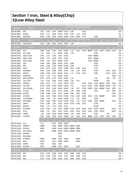| <b>Number</b>                          | <b>Name</b>                                                      |                |                |                |                         |                 | <b>Chemical Composition (Percent)</b>          |               |                |              |                |                 |                |                | <b>Unit Size</b>        |
|----------------------------------------|------------------------------------------------------------------|----------------|----------------|----------------|-------------------------|-----------------|------------------------------------------------|---------------|----------------|--------------|----------------|-----------------|----------------|----------------|-------------------------|
|                                        |                                                                  | $\mathsf{C}$   | Si.            | Mn             | P.                      | S               | Cr                                             | Ni .          | Cu             | V            | W              |                 |                |                | (in g)                  |
| <b>NCSHC30201</b>                      | 40Cr                                                             | 0.42           | 0.325          | 0.614          | 0.0206 0.0123<br>0.0213 |                 | 0.96                                           |               | 0.222          |              |                |                 |                |                | 150                     |
| <b>NCSHC30202</b>                      | 60Si <sub>2</sub> Ni <sub>2</sub>                                | 0.613          | 1.71           | 0.628          |                         | 0.009           | 0.239                                          | 1.54          | 0.218          |              |                |                 |                |                | 150                     |
| <b>NCSHC30204</b>                      | 60Si <sub>2</sub> MnW                                            | 0.638          | 1.502          | 0.834          |                         | 0.0124 0.0258   | 0.132<br><b>Chemical Composition (Percent)</b> | 0.0525        | 0.16           |              | 0.928          |                 |                |                | 150<br><b>Unit Size</b> |
| <b>Number</b>                          | Name                                                             | $\mathsf{C}$   | Si.            | Mn             | P                       | S.              | Cr                                             | Ni .          | Cu             | $\mathbf{V}$ | W.             | Mo              | Co             | Sn.            | (in g)                  |
| <b>NCSHC31202</b>                      | 30CrMoSiA                                                        | 0.313          | 1.245          | 0.952          | 0.0147                  | 0.010           | 1.05                                           |               |                |              |                |                 |                |                | 100                     |
| Number                                 | Name                                                             |                |                |                |                         |                 | <b>Chemical Composition (Percent)</b>          |               |                |              |                |                 |                |                | <b>Unit Size</b>        |
|                                        |                                                                  | $\mathsf{C}$   | Si.            | Mn             | P                       | S.              | Cr                                             | Ni.           | Cu             | Al.          | V              | TT.             | W              | <b>Mo</b>      | (in g)                  |
| <b>NCSHC41202</b>                      | $GCr_{15}$                                                       | 0.982          | 0.301          | 0.282          | 0.014                   | 0.0061          | 1.52                                           | 0.42          | 0.064          | Ali0.040     | 0.002          | 0.0073          | 0.0049         | 0.010          | 150                     |
| NCSHC41203                             | GCr <sub>15</sub> SiMn                                           | 1.01           | 0.529          | 1.11           | 0.0135                  | 0.005           | 1.50                                           |               |                |              | 0.005          |                 |                |                | 150                     |
| <b>NCSHC41204</b>                      | Silicon Steel                                                    | 0.054          | 2.33           | 0.183          | 0.017                   | 0.0325          |                                                |               |                | 0.008        | Ali0.005       |                 |                |                | 150                     |
| <b>NCSHC41205</b>                      | Silicon Steel                                                    | 0.049          | 3.27           | 0.245          | 0.012                   | 0.005           |                                                |               |                | 0.024        | Ali0.006       |                 |                |                | 150                     |
| <b>NCSHC41206</b>                      | Silicon Steel                                                    | 0.050          | 4.38           | 0.091          | 0.0095                  | 0.002           |                                                |               |                | 0.028        | Ali0.002       |                 |                |                | 150                     |
| <b>NCSHC41207</b>                      | 20Cr                                                             | 0.244          | 0.304          | 0.668          | 0.0155                  | 0.010           | 0.881                                          |               |                |              | 0.002          |                 |                |                | 100                     |
| <b>NCSHC41208</b>                      | 40Cr                                                             | 0.443          | 0.282          | 0.795          |                         | 0.0265 0.0105   | 1.004                                          |               |                |              | 0.003          |                 |                |                | 100                     |
| <b>NCSHC41209</b><br><b>NCSHC41210</b> | 45CrV                                                            | 0.425<br>0.446 | 0.277<br>0.239 | 0.667<br>0.680 | 0.024<br>0.018          | 0.0090<br>0.014 | 0.973                                          | 0.083         | 0.146<br>0.057 |              | 0.175          |                 |                |                | 150                     |
| <b>NCSHC41211</b>                      | 45CrNiMoV<br>40CrMo                                              | 0.398          | 0.303          | 0.612          | 0.0225                  | 0.012           | 1.00<br>1.11                                   | 1.56<br>0.139 | 0.162          |              | 0.150<br>0.006 |                 | 0.013<br>0.016 | 0.286<br>0.229 | 150<br>150              |
| <b>NCSHC41212</b>                      | 38SiMnMo                                                         | 0.411          | 1.33           | 1.31           | 0.0205                  | 0.010           |                                                |               |                |              |                |                 |                | 0.254          | 150                     |
| <b>NCSHC41213</b>                      |                                                                  | 0.473          | 0.970          | 0.167          | 0.018                   | 0.0051          | 1.47                                           |               |                |              | 1.05           |                 | 3.85           | 1.29           | 150                     |
| NCSHC41214                             | W4Cr <sub>2</sub> MoVSiAl<br>18Cr <sub>2</sub> ni <sub>4</sub> W | 1.45           | 0.311          | 0.402          | 0.100                   | 0.0060          | 1.45                                           | 4.32          |                |              | 0.0028         |                 | 0.85           |                | 150                     |
| <b>NCSHC41215</b>                      | 20MnMo                                                           | 0.205          | 0.317          | 1.37           | 0.021                   | 0.0079          | 0.137                                          |               | 0.129          | 0.028        |                | 0.002 Ali0.0017 | 0.016          | 0.295          | 150                     |
| <b>NCSHC41216</b>                      | 25CrMoV                                                          | 0.235          | 0.246          | 0.703          |                         | 0.0072 0.0016   | 1.07                                           |               | 0.027          | 0.0011       | 0.294          | Ali0.0029       | 0.0074         | 1.03           | 150                     |
| NCSHC41217                             |                                                                  | 0.237          | 0.011          | 0.240          |                         | 0.0062 0.0062   | 1.62                                           | 3.87          | 0.038          | 0.0005       |                | 0.092 Ali0.0003 | 0.002          | 0.367          | 150                     |
| <b>NCSHC41218</b>                      | 26Cr <sub>2</sub> Ni <sub>4</sub> MoV                            | 0.489          | 0.633          | 0.263          | 0.017                   | 0.0032          | 1.09                                           | 0.058         | 0.082          |              | 0.001          |                 | 2.21           | 0.051          | 150                     |
|                                        | 5CrW <sub>2</sub> Si                                             |                |                | 0.534          | 0.014                   | 0.0085          |                                                |               |                |              |                |                 |                |                |                         |
| NCSHC41219b                            | 35CrMo                                                           | 0.368          | 0.288          |                |                         | 0.0165 0.0063   | 0.934                                          | 0.051         | 0.164<br>0.086 |              |                |                 |                | 0.156          | 100                     |
| <b>NCSHC41220</b><br>NCSHC41221        | 20CrMoA<br>25CrMoNiSiA                                           | 0.188<br>0.309 | 0.272<br>1.08  | 0.538<br>1.14  |                         | 0.0145 0.0060   | 0.931<br>1.13                                  | 0.130<br>1.62 | 0.087          | 0.011        | 0.004          | 0.002 Ali0.0049 |                | 0.202          | 150<br>150              |
| <b>NCSHC41222</b>                      | 40CrNiMoA                                                        | 0.447          | 0.329          | 0.693          |                         | 0.0155 0.0145   | 0.741                                          | 1.31          | 0.197          | 0.008        | 0.003          | Ali0.005        |                | 0.179          | 150                     |
| NCSHC41223                             | 20MnV                                                            | 0.184          | 0.306          | 1.44           | 0.025                   | 0.0154          | 0.035                                          | 0.026         | 0.079          |              | 0.108          |                 |                |                | 150                     |
| <b>NCSHC41224</b>                      | 60Si <sub>2</sub> Mn                                             | 0.603          | 1.76           | 0.710          | 0.019                   | 0.011           |                                                |               |                |              | (0.003)        |                 |                |                | 150                     |
| NCSHC41226                             | 5CrMnMo                                                          | 0.559          | 0.420          | 1.44           | 0.014                   | 0.0080          | 0.743                                          | 0.035         | 0.090          | 0.005        |                | 0.0055 0.0033   |                | 0.237          | 150                     |
| <b>NCSHC41227</b>                      | 9CrSi                                                            | 0.858          | 1.31           | 0.427          | 0.012                   | 0.0071          | 0.976                                          | 0.032         | 0.067          | 0.014        | 0.003          | 0.0070          |                | 0.0077         | 150                     |
| NCSHC41228                             | CrWMn                                                            | 1.00           | 0.238          | 0.925          |                         | 0.0190 0.0036   | 1.08                                           | 0.049         | 0.074          |              | 0.003          |                 | 1.40           |                | 150                     |
| NCSHC41229                             | 35CrMoV                                                          | 0.347          | 0.263          | 0.520          | 0.205                   | 0.0062          | 1.14                                           | 0.059         | 0.070          | Ali0.009     | 0.145          | 0.0017          | 0.033          | 0.259          | 100                     |
|                                        |                                                                  |                |                |                |                         |                 |                                                |               |                |              |                |                 |                |                |                         |
|                                        |                                                                  | Co             | <b>Nb</b>      | <b>Sn</b>      | As                      | S <sub>b</sub>  | P <sub>b</sub>                                 | N             |                |              |                |                 |                |                |                         |
| <b>NCS HC 41202</b>                    | $GCr_{15}$                                                       | 0.11           |                | 0.011          | 0.006                   | 0.0013          |                                                |               |                |              |                |                 |                |                |                         |
| <b>NCSHC41215</b>                      | 20MnMo                                                           | 0.0090         |                | 0.018          |                         |                 | 0.0090 0.0030 0.00056 0.0092                   |               |                |              |                |                 |                |                |                         |
| <b>NCS HC 41216</b>                    | 25CrMoV                                                          | 0.0053         |                |                |                         |                 | 0.0029 0.0041 0.00097 0.00006 0.0065           |               |                |              |                |                 |                |                |                         |
| <b>NCS HC 41217</b>                    | 26Cr <sub>2</sub> Ni <sub>4</sub> Mov                            | 0.006          |                |                |                         |                 | 0.0066 0.0038 0.0019 0.00003 0.0048            |               |                |              |                |                 |                |                |                         |
| NCSHC41220                             | 20CrMoA                                                          |                |                |                | 0.0077                  |                 |                                                |               |                |              |                |                 |                |                |                         |
| <b>NCS HC 41222</b>                    | 40CrNiMoA                                                        |                |                |                | 0.010                   |                 |                                                |               |                |              |                |                 |                |                |                         |
| NCSHC41226                             | 5CrMnMo                                                          | 0.0083         |                | 0.0081         | 0.010                   | 0.0022          |                                                | 0.0067        |                |              |                |                 |                |                |                         |
| NCSHC41227                             | 9CrSi                                                            | 0.0070         |                | 0.011          | 0.0085                  | 0.0020          |                                                | 0.0062        |                |              |                |                 |                |                |                         |
| NCSHC41228                             | CrWMn                                                            | 0.010          |                | 0.010          | 0.010                   |                 |                                                |               |                |              |                |                 |                |                |                         |
| <b>NCS HC 41229</b>                    | 35CrMoV                                                          | 0.012          |                | 0.0030         | 0.013                   | 0.0012          |                                                | 0.012         |                |              |                |                 |                |                |                         |
| Number                                 | Name                                                             |                |                |                |                         |                 | <b>Chemical Composition (Percent)</b>          |               |                |              |                |                 |                |                | <b>Unit Size</b>        |
|                                        |                                                                  | $\mathsf{C}$   | Si.            | Mn             | P                       | S.              | Cr                                             | Ni .          | Cu             |              |                |                 |                |                | (in g)                  |
| <b>NCS HC 37201</b>                    | 40Cr                                                             | 0.414          | 0.220          | 0.638          | 0.026                   | 0.026           | 0.969                                          | 0.038         | 0.135          |              |                |                 |                |                | 100                     |
| <b>NCS HC 37202</b>                    | 20Cr                                                             | 0.233          | 0.356          | 0.683          | 0.023                   | 0.017           | 0.907                                          | 0.084         | 0.124          |              |                |                 |                |                | 100                     |
| <b>NCS HC 37203</b>                    | 50Cr                                                             | 0.527          | 0.312          | 0.599          | 0.018                   | 0.027           | 0.833                                          | 0.046         | 0.126          |              |                |                 |                |                | 100                     |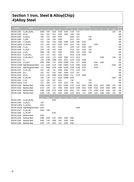|                                                               |                                      |              |           |       |           |           |       |       | <b>Chemical Composition(Percent)</b> |       |       |       |          |       | <b>Unit Size</b> |
|---------------------------------------------------------------|--------------------------------------|--------------|-----------|-------|-----------|-----------|-------|-------|--------------------------------------|-------|-------|-------|----------|-------|------------------|
| <b>Number</b>                                                 | Name                                 | $\mathsf{C}$ | Si.       | Mn    | P         | S         | Cr    | Ni.   | Cu                                   | Al.   | V     | m     | <b>W</b> | Mo    | (in g)           |
| <b>NCS HC 11301</b>                                           | $Cr_{18}Mn_{10}Ni_5Mo_3$             | 0.059        | 0.94      | 10.03 | 0.018     | 0.003     | 17.82 | 5.72  |                                      |       |       |       |          | 2.92  | 100              |
| <b>NCS HC 11302</b>                                           | 4Cr <sub>3</sub> Si <sub>4</sub>     | 0.46         | 4.01      | 0.52  | 0.035     | 0.010     | 3.08  | 0.40  |                                      |       |       |       |          |       | 100              |
| <b>NCS HC 11303</b>                                           | $Cr20Al5Co2$                         | 0.08         | 0.70      | 0.48  | 0.019     |           | 20.09 | 0.51  |                                      | 5.35  |       |       |          |       | 100              |
| <b>NCSHC11304</b>                                             | Cr <sub>24</sub> AlSi                | 0.11         | 1.34      | 1.08  | 0.020     |           | 23.27 | 0.13  |                                      | 2.08  |       |       |          |       | 100              |
| <b>NCS HC 11307</b>                                           | $Cr_{13}Ni_5Mn_9$                    | 0.19         | 0.69      | 9.94  | 0.099     | 0.009     | 12.49 | 4.86  | 0.031                                |       |       |       |          |       | 100              |
| NCSHC 11307a Cr <sub>13</sub> Ni <sub>5</sub> Mn <sub>9</sub> |                                      | 0.17         | 0.47      | 8.14  | 0.043     | 0.021     | 12.07 | 5.02  | 0.031                                |       | 0.022 |       |          |       | 100              |
| <b>NCS HC 11308</b>                                           | $Cr_{13}Al_4$                        | 0.11         | 1.43      | 0.61  | 0.018     |           | 13.54 | 0.10  | 0.019                                | 4.05  |       |       |          |       | 100              |
| <b>NCS HC 11309</b>                                           | $Cr_{17}Al_4Si$                      | 0.09         | 1.95      | 0.55  | 0.019     |           | 17.32 | 0.13  | 0.019                                | 3.34  |       |       |          |       | 100              |
| <b>NCSHC 11310</b>                                            | Cr <sub>25</sub> Al <sub>5</sub>     | 0.094        | 1.86      | 0.51  | 0.020     |           | 26.96 | 0.20  | 0.019                                | 3.54  |       |       |          |       | 100              |
| <b>NCSHC11311</b>                                             | $Cr_{20}Ni_{11}Mn_6$                 | 0.19         | 0.71      | 6.52  | 0.022     |           | 19.32 | 11.18 | 0.044                                |       |       |       |          |       | 100              |
| <b>NCSHC11312</b>                                             | $Cr_{18}Ni_{14}Mo_{3}Ti$             | 0.28         | 0.56      | 1.73  | 0.018     | 0.004     | 17.13 | 14.21 |                                      |       |       | 0.369 |          | 3.38  | 100              |
| <b>NCS HC 11313</b>                                           | $Cr_{12}$                            | 2.03         | 0.306     | 0.268 | 0.021     | 0.012     | 12.34 | 0.102 | 0.100                                |       |       |       |          |       | 100              |
| <b>NCSHC11314</b>                                             | 1Cr <sub>18</sub> Ni <sub>9</sub> Ti | 0.093        | 0.841     | 1.42  | 0.030     | 0.0049    | 17.61 | 9.77  | 0.098                                |       | 0.041 | 0.320 |          |       | 100              |
|                                                               | NCS HC 11315b High Manganese Steel   | 1.14         | 0.666     | 12.34 | 0.059     | 0.0031    | 0.176 | 0.093 | 0.164                                |       | 0.074 |       |          | 0.022 | 100              |
| NCSHC11316                                                    | High Manganese Steel                 | 1.11         | 0.683     | 13.95 | 0.044     | 0.0070    | 0.295 | 0.189 | 0.073                                |       | 0.074 |       |          |       | 100              |
| <b>NCSHC11317</b>                                             | $Cr_{18}Ni_{11}Nb$                   | 0.10         | 1.06      | 1.61  | 0.024     | 0.042     | 17.31 | 11.25 | 0.22                                 |       |       |       |          |       | 100              |
| <b>NCSHC 11318</b>                                            | $3Cr_{13}$                           | 0.31         | 0.57      | 0.35  | 0.057     | 0.008     | 13.27 | 0.11  |                                      |       |       |       |          |       | 100              |
| <b>NCS HC 11319</b>                                           | 4Cr <sub>9</sub> Si <sub>2</sub>     | 0.327        | 2.36      | 0.896 | 0.018     | 0.0084    | 9.11  | 0.129 | 0.068                                |       |       |       |          |       | 100              |
| <b>NCS HC 11320</b>                                           | $Cr_{24}Ni_7SiN$                     | 0.26         | 1.29      | 1.21  | 0.018     | 0.0085    | 24.45 |       |                                      |       |       |       |          | 0.007 | 100              |
| NCSHC 11321 $Cr7Al7$                                          |                                      | 0.12         | 1.02      | 0.47  | 0.011     |           | 7.68  |       |                                      | 7.99  |       |       |          |       | 100              |
| NCSHC 11321a Cr <sub>7</sub> Al <sub>7</sub>                  |                                      | 0.15         | 0.66      | 0.73  | 0.037     | 0.037     | 7.09  | 0.52  |                                      | 7.06  |       |       |          |       | 100              |
| <b>NCS HC 11324</b>                                           | <b>Stainless Steel</b>               | 0.060        | 0.762     | 1.14  | 0.021     | 0.0047    | 17.07 | 12.10 | 0.073                                | 0.086 | 0.037 | 0.321 | 0.096    | 2.93  | 100              |
| <b>NCS HC 11325</b>                                           | <b>Stainless Steel</b>               | 0.315        | 2.00      | 2.42  | 0.004     | 0.006     | 28.30 | 23.99 | 0.651                                | 0.006 | 0.510 | 0.050 | 0.003    | 0.495 | 100              |
| <b>NCS HC 11326</b>                                           | <b>Stainless Steel</b>               | 0.094        | 0.165     | 0.722 | 0.038     | 0.015     | 24.01 | 4.33  | 0.060                                | 1.78  | 0.038 | 0.140 | 0.105    | 1.05  | 100              |
| <b>NCS HC 11330</b>                                           | Stainless Steel                      | 0.205        | 1.39      | 1.95  | 0.010     | 0.050     | 11.61 | 20.10 | 3.12                                 | 0.045 | 0.215 | 0.580 | 0.093    | 3.25  | 100              |
|                                                               |                                      |              |           |       |           |           |       |       |                                      |       |       |       |          |       |                  |
|                                                               |                                      | Co           | <b>Nb</b> | N     | <b>Sn</b> | <b>As</b> | Pb    | Alt   |                                      |       |       |       |          |       |                  |
| <b>NCS HC 11301</b>                                           | $Cr_{18}Mn_{10}Ni_5Mo_3$             |              |           | 0.022 |           |           |       |       |                                      |       |       |       |          |       |                  |
| <b>NCS HC 11303</b>                                           | $Cr20Al5Co2$                         | 2.02         |           |       |           |           |       |       |                                      |       |       |       |          |       |                  |
| NCSHC11307a Cr <sub>13</sub> Ni <sub>5</sub> Mn <sub>9</sub>  |                                      | 0.027        |           |       |           |           |       |       |                                      |       |       |       |          |       |                  |
|                                                               | NCS HC 11315b High Manganese Steel   | 0.021        |           |       |           |           |       | 0.038 |                                      |       |       |       |          |       |                  |
| <b>NCSHC11317</b>                                             | $Cr_{18}Ni_{11}Nb$                   | 0.019        | 0.84      |       |           |           |       |       |                                      |       |       |       |          |       |                  |
| <b>NCS HC 11320</b>                                           | Cr <sub>24</sub> Ni <sub>7</sub> SiN |              |           | 0.261 |           |           |       |       |                                      |       |       |       |          |       |                  |
| <b>NCS HC 11324</b>                                           | <b>Stainless Steel</b>               | 0.081        |           |       |           |           |       |       |                                      |       |       |       |          |       |                  |
| <b>NCS HC 11325</b>                                           | <b>Stainless Steel</b>               | 0.006        | 0.053     | 0.19  | 0.001     | 0.001     | 0.001 |       |                                      |       |       |       |          |       |                  |
| <b>NCS HC 11326</b>                                           | <b>Stainless Steel</b>               | 0.492        | 2.28      | 0.009 | 0.03      | 0.009     | 0.001 |       |                                      |       |       |       |          |       |                  |
| <b>NCSHC11330</b>                                             | <b>Stainless Steel</b>               | 0.070        | 1.33      | 0.013 | 0.01      | 0.004     | 0.001 |       |                                      |       |       |       |          |       |                  |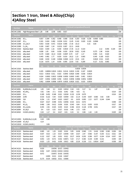| <b>Number</b>                       | Name                                                                       | $\mathsf{C}$          | <b>Si</b>        | Mn                                  | P            | S                                |                     | <b>Chemical Composition(Percent)</b>       |               |              |             |              |               |       | <b>Unit Size</b><br>(in g) |
|-------------------------------------|----------------------------------------------------------------------------|-----------------------|------------------|-------------------------------------|--------------|----------------------------------|---------------------|--------------------------------------------|---------------|--------------|-------------|--------------|---------------|-------|----------------------------|
| <b>NCS HC 13302</b>                 | High Manganese Steel 1.28                                                  |                       | 0.48             | 12.68                               | 0.063        | 0.017                            |                     |                                            |               |              |             |              |               |       | 150                        |
| <b>Number</b>                       | Name                                                                       |                       |                  |                                     |              |                                  |                     | Chemical Composition(Percent)              |               |              |             |              |               |       | <b>Unit Size</b>           |
|                                     |                                                                            | $\mathsf{C}$<br>0.057 | Si.<br>0.344     | Mn<br>0.362                         | P<br>0.048   | S.<br>0.008                      | Cr<br>15.66         | Ni.<br>0.293                               | Cu<br>0.028   | Al.<br>0.238 | m<br>0.0065 | Mo<br>0.085  | N             | Co    | (in g)<br>100              |
| NCS HC 15302<br><b>NCS HC 15307</b> | $0Cr_{13}$<br>$2Cr_{13}$                                                   | 0.181                 | 0.424            | 0.482                               | 0.0194       | 0.012                            | 12.45               | 0.142                                      | 0.020         | 0.103        | 0.0068      |              |               |       | 100                        |
| <b>NCS HC 15308</b>                 | $1Cr_{18}Ni_{9}Ti$                                                         | 0.053                 | 0.630            | 0.971                               | 0.0214       | 0.006                            | 17.35               | 10.13                                      |               | 0.15         | 0.69        |              |               |       | 100                        |
| <b>NCS HC 15309</b>                 | $Cr_{23}Ni_{13}$                                                           | 0.100                 | 0.667            | 1.24                                | 0.0151 0.007 |                                  | 22.11               | 14.60                                      |               |              |             |              |               |       | 100                        |
| <b>NCS HC 15310</b>                 | <b>Stainless Steel</b>                                                     | 0.023                 | 0.659            | 1.16                                | 0.030        | 0.0019 17.35                     |                     | 11.13                                      | 0.314         |              |             | 2.12         | 0.046         | 0.104 | 100                        |
| <b>NCS HC 15311</b>                 | alloy steel                                                                | 0.838                 | 1.05             | 8.00                                | 0.038        | 0.020                            | 20.50               | 0.821                                      | 0.145         |              | 0.275       | 1.98         | 0.026         |       | 100                        |
| <b>NCS HC 15312</b>                 | alloy steel                                                                | 0.170                 | 0.684            | 16.13                               | 0.020        | 0.0047                           | 8.74                | 3.47                                       | 1.17          |              | 0.405       | 3.15         | 0.020         |       | 100                        |
| <b>NCS HC 15313</b>                 | alloy steel                                                                | 0.443                 | 0.481            | 1.77                                | 0.020        | 0.019                            | 29.22               | 1.23                                       | 0.065         |              | 0.545       | 0.185        | 0.023         |       | 100                        |
| NCS <sub>HC</sub> 15314             | alloy steel                                                                | 0.028                 | 0.034            | 0.100                               | 0.0066       | 0.0065                           | 11.53               | 15.01                                      | 2.03          |              | 0.0024      | 0.511        | 0.025         |       | 100                        |
| <b>NCS HC 15315</b>                 | alloy steel                                                                | 0.116                 | 0.675            | 1.14                                | 0.030        | 0.095                            | 22.93               | 7.03                                       | 0.209         |              | 0.117       | 0.151        | 0.065         |       | 100                        |
|                                     |                                                                            |                       |                  |                                     |              |                                  |                     |                                            |               |              |             |              |               |       |                            |
|                                     |                                                                            | <b>Nb</b>             | Ca               | B                                   | Sn           | As                               | Pb                  | Alt                                        | Als           | Bi           |             |              |               |       |                            |
| <b>NCS HC 15310</b>                 | <b>Stainless Steel</b>                                                     |                       |                  |                                     |              |                                  |                     | 0.0039                                     | 0.0034        |              |             |              |               |       |                            |
| <b>NCS HC 15311</b>                 | alloy steel                                                                | 0.205                 |                  | 0.00054 0.0019 0.0011 0.0116 0.0019 |              |                                  |                     | 0.190                                      | 0.187         | 0.0029       |             |              |               |       |                            |
| <b>NCS HC 15312</b>                 | alloy steel                                                                | 0.613                 | $0.0010$ $0.011$ |                                     | 0.023        |                                  | 0.0043 0.0020 0.040 |                                            | 0.038         | 0.0014       |             |              |               |       |                            |
| <b>NCS HC 15313</b>                 | alloy steel                                                                | 0.024                 |                  | 0.0003 0.0015 0.0058 0.0050 0.0003  |              |                                  |                     | 0.403                                      | 0.401         | 0.0013       |             |              |               |       |                            |
| <b>NCS HC 15314</b>                 | alloy steel                                                                | 0.037                 |                  | 0.0002 0.0004 0.058                 |              |                                  | 0.0015 0.0058       | 0.0066                                     | 0.0051 0.0004 |              |             |              |               |       |                            |
| NCS <sub>HC</sub> 15315             | alloy steel                                                                | 0.062                 |                  | 0.0004 0.0008 0.0070                |              | 0.0035 0.0020 0.021              |                     |                                            | 0.019         | 0.0016       |             |              |               |       |                            |
| <b>Number</b>                       | Name                                                                       | $\mathsf{C}$          | Si.              | Mn                                  | $\mathsf{P}$ | S                                | Ni.                 | <b>Chemical Composition(Percent)</b><br>Cr | Cu            | Mo           | $\vee$      | N            | Co            | As    | <b>Unit Size</b><br>(in g) |
| <b>NCS HC18301</b>                  | $M_2$ Al(W <sub>6</sub> Mo <sub>5</sub> Cr <sub>4</sub> V <sub>2</sub> Al) | 1.05                  | 0.44             | 0.3                                 | 0.023        | 0.0014                           | 0.18                | 4.31                                       | 0.17          | 5.1          | 1.87        |              | 0.28          |       | 100                        |
| <b>NCS HC18302</b>                  | 4Cr <sub>4</sub> Mn <sub>18</sub>                                          | 0.42                  | 0.48             | 17.1                                | 0.016        | 0.042                            | 0.06                | 4.03                                       | 0.1           |              |             |              |               | 0.014 | 100                        |
| NCS HC18303                         | $2Cr_{13}$                                                                 | 0.189                 | 0.452            | 0.348                               | 0.021        | 0.0034                           | 0.132               | 12.58                                      | 0.079         |              |             |              |               | 0.014 | 100                        |
| NCS HC18304                         | 214N                                                                       | 0.533                 | 0.222            | 9.34                                | 0.025        | 0.0059                           | 3.92                | 21.14                                      | 0.159         | 0.057        | 0.066       | 0.42         | 0.08          |       | 100                        |
| NCS HC18305                         | 318                                                                        | 0.254                 | 1.31             | 0.547                               | 0.023        | 0.0027                           | 6.6                 | 16.95                                      | 0.095         | 2.13         | 0.077       | 0.144        | 0.044         |       | 100                        |
| <b>NCSHC18306</b>                   | $0Cr_{17}$                                                                 | 0.027                 | 0.617            | 0.408                               | 0.031        | 0.0056                           | 0.415               | 16.51                                      | 0.072         |              |             |              |               | 0.008 | 100                        |
| NCS HC18307                         | 4Cr <sub>9</sub> Si <sub>2</sub>                                           | 0.466                 | 2.08             | 0.612                               | 0.036        | 0.026                            | 0.543               | 8.64                                       | 0.112         | 0.055        | 0.033       |              |               | 0.017 | 100                        |
| NCS HC18308                         | $4Cr_{10}Si2Mo$                                                            | 0.355                 | 2.56             | 0.425                               | 0.035        | 0.023                            | 0.346               | 10.53                                      | 0.128         | 0.798        | 0.051       |              |               | 0.017 | 100                        |
| <b>NCS HC18309</b>                  | 3Cr <sub>2</sub> W <sub>8</sub> V                                          | 0.4                   | 0.25             | 0.25                                | 0.017        | 0.016                            | 0.46                | 2.72                                       | 0.05          |              |             |              |               |       | 100                        |
| <b>NCS HC18310</b>                  | H13(4Cr <sub>5</sub> MoSiV <sub>1</sub> )                                  | 0.34                  | 1.17             | 0.4                                 | 0.017        | 0.01                             | 0.15                | 5.3                                        | 0.08          | 1.18         | 1.04        |              |               | 0.029 | 100                        |
|                                     |                                                                            |                       |                  |                                     |              |                                  |                     |                                            |               |              |             |              |               |       |                            |
|                                     |                                                                            | W                     | $\mathsf{Al}$    |                                     |              |                                  |                     |                                            |               |              |             |              |               |       |                            |
| NCS HC18301                         | $M_2$ Al(W <sub>6</sub> Mo <sub>5</sub> Cr <sub>4</sub> V <sub>2</sub> Al) | 6.18                  | 0.96             |                                     |              |                                  |                     |                                            |               |              |             |              |               |       |                            |
| <b>NCS HC18309</b>                  | 3Cr <sub>2</sub> W <sub>8</sub> V                                          | 8.14                  |                  |                                     |              |                                  |                     |                                            |               |              |             |              |               |       |                            |
| <b>NCS HC18310</b>                  | H13(4Cr <sub>5</sub> MoSiV <sub>1</sub> )                                  |                       | 0.06             |                                     |              |                                  |                     |                                            |               |              |             |              |               |       |                            |
| <b>Number</b>                       | Name                                                                       | $\mathsf{C}$          | Mn               | -Si -                               | $\mathsf{P}$ | S.                               | Ni.                 | Chemical Composition(Percent)<br>Cr        | Cu            | Mo           | - Ti        | Co.          | $\mathsf{Al}$ | V     | Unit Size<br>(in g)        |
| NCS HC 41313                        | Stainless steel                                                            | 0.085                 | 1.63             | 1.29                                | 0.025        | 0.016                            | 9.95                | 16.98                                      | 0.940         | 2.74         | 0.418       | 0.300        | 0.585         | 0.036 | 100                        |
| <b>NCS HC 41314</b>                 | Stainless steel                                                            | 0.037                 | 0.615            | 1.10                                | 0.017        | 0.0040                           | 4.04                | 15.67                                      | 2.97          | 0.983        | 0.147       | 0.105        | 0.111         | 0.021 | 100                        |
| <b>NCS HC 41315</b>                 | Stainless steel                                                            | 0.122                 | 0.927            | 1.85                                | 0.031        | 0.022                            | 19.27               | 24.56                                      | 0.293         | 0.396        | 0.077       | 0.194        | 0.514         | 0.057 | 100                        |
| NCSHC41317                          | Stainless steel                                                            | 0.053                 | 1.03             | 0.571                               | 0.032        | 0.00071                          | 9.19                | 17.17                                      | 0.383         | 0.154        | 0.309       | 0.132        |               | 0.059 | 100                        |
| NCSHC41318                          | Stainless steel                                                            | 0.023                 | 1.25             | 0.421                               | 0.030        | 0.0013                           | 4.85                | 22.26                                      | 0.136         | 3.11         |             | 0.0014 0.047 |               | 0.038 | 100                        |
|                                     |                                                                            |                       |                  |                                     |              |                                  |                     |                                            |               |              |             |              |               |       |                            |
|                                     |                                                                            | N                     | N <sub>b</sub>   | Sn                                  | W            | As                               |                     |                                            |               |              |             |              |               |       |                            |
| NCS HC 41313                        | Stainless steel                                                            | 0.029                 |                  | (0.0034)                            |              | $(0.017)$ $(0.0042)$             |                     |                                            |               |              |             |              |               |       |                            |
| NCSHC41314                          | Stainless steel                                                            | 0.042                 | 0.437            |                                     |              | $(0.0018)$ $(0.0014)$ $(0.0032)$ |                     |                                            |               |              |             |              |               |       |                            |
| NCSHC41315                          | Stainless steel                                                            | 0.072                 |                  |                                     |              | $(0.0057)$ $(0.010)$ $(0.0035)$  |                     |                                            |               |              |             |              |               |       |                            |
| NCSHC41317                          | Stainless steel                                                            |                       | 0.0095           | 0.013                               | 0.018        | 0.0047                           |                     |                                            |               |              |             |              |               |       |                            |
| NCSHC41318                          | Stainless steel                                                            | 0.175                 | 0.014            | 0.0032 0.011 0.0085                 |              |                                  |                     |                                            |               |              |             |              |               |       |                            |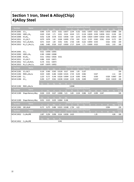|                     |                                                     |              |           |               |                |               |        | <b>Chemical Composition (Percent)</b>       |           |               |                      |        |        |           | <b>Unit Size</b>           |
|---------------------|-----------------------------------------------------|--------------|-----------|---------------|----------------|---------------|--------|---------------------------------------------|-----------|---------------|----------------------|--------|--------|-----------|----------------------------|
| <b>Number</b>       | Name                                                | $\mathsf{C}$ | Si.       | Mn            | P              | S             | Cr     | Ni.                                         | <b>Cu</b> | $\mathsf{Al}$ | $\mathbf{V}$         | m      | W      | <b>Mo</b> | (in g)                     |
| <b>NCS HC 20301</b> | $1Cr_{21}$                                          | 0.090        | 0.375     | 0.573         | 0.021          | 0.0077        | 12.94  | 0.102                                       | 0.051     | 0.0037        | 0.022                | 0.0015 | 0.0019 | 0.0088    | 100                        |
| <b>NCS HC 20302</b> | $H00Cr_{21}Ni_{10}$                                 | 0.029        | 0.520     | 1.71          | 0.031          | 0.014         | 20.49  | 9.72                                        | 0.134     | 0.0035        | 0.034                | 0.0036 | 0.011  | 0.158     | 100                        |
| <b>NCS HC 20306</b> | OCr <sub>4</sub> Ni <sub>22</sub>                   | 0.032        | 0.238     | 0.578         | 0.013          | 0.0036        | 4.04   | 22.43                                       | 0.030     |               | 0.0024 0.0047 0.0018 |        | 0.001  | 0.0019    | 100                        |
| <b>NCS HC 20311</b> | 1Cr <sub>18</sub> Ni <sub>9</sub> Ti                | 0.079        | 0.878     | 1.42          | 0.028          | 0.0095        | 17.92  | 8.83                                        | 0.113     | 0.125         | 0.062                | 0.561  | 0.014  | 0.172     | 100                        |
| <b>NCS HC 20312</b> | $YoCr_{18}Ni_9MoS_1$                                | 0.071        | 0.619     | 1.60          | 0.031          | 0.061         | 17.66  | 8.48                                        | 0.222     | 0.0043        | 0.033                |        | 0.022  | 0.502     | 100                        |
| <b>NCS HC 20313</b> | $Ni_{25}Cr_{18}Mo_{2}Cu_{2}$                        | 0.082        | 0.465     | 0.526         | 0.027          | 0.0050        | 17.37  | 26.44                                       | 1.71      | 0.0099        | 0.023                |        | 0.031  | 2.63      | 100                        |
|                     |                                                     |              |           |               |                |               |        |                                             |           |               |                      |        |        |           |                            |
|                     |                                                     | Co           | <b>Sn</b> | <b>As</b>     | N              |               |        |                                             |           |               |                      |        |        |           |                            |
| <b>NCS HC 20301</b> | $1Cr_{13}$                                          | 0.021        | 0.0056    | 0.0091        |                |               |        |                                             |           |               |                      |        |        |           |                            |
| <b>NCS HC 20302</b> | $H00Cr_{21}Ni_{10}$                                 | 0.369        |           | 0.0060 0.0088 |                |               |        |                                             |           |               |                      |        |        |           |                            |
| <b>NCS HC 20306</b> | OCr <sub>4</sub> Ni <sub>22</sub>                   | 0.011        |           | 0.0022 0.0026 | 0.011          |               |        |                                             |           |               |                      |        |        |           |                            |
| <b>NCS HC 20311</b> | $1Cr_{18}Ni_{9}Ti$                                  | 0.086        | 0.010     | 0.0071        |                |               |        |                                             |           |               |                      |        |        |           |                            |
| <b>NCS HC 20312</b> | YoCr <sub>18</sub> Ni <sub>9</sub> MoS <sub>1</sub> | 0.176        | 0.012     | 0.0073        |                |               |        |                                             |           |               |                      |        |        |           |                            |
| <b>NCS HC 20313</b> | $Ni_{25}Cr_{18}Mo_{2}Cu_{2}$                        | 0.097        |           | 0.0070 0.0052 |                |               |        |                                             |           |               |                      |        |        |           |                            |
| <b>Number</b>       | <b>Name</b>                                         |              |           |               |                |               |        | <b>Chemical Composition(Percent)</b>        |           |               |                      |        |        |           | <b>Unit Size</b>           |
|                     |                                                     | $\mathsf{C}$ | Si.       | Mn            | P              | S.            | Cr     | Ni.                                         | Cu        | $\mathsf{A}$  | V                    | Ti.    | W      | Mo        | (in g)                     |
| NCSHC 21301         | $1Cr_{17}Ni_{2}Ti$                                  | 0.126        | 0.560     | 0.563         | 0.0126         | 0.017         | 16.66  | 1.95                                        | 0.107     |               |                      |        |        |           | 100                        |
| <b>NCS HC 21302</b> | R00Cr <sub>18</sub> Mo <sub>2</sub> Ca              | 0.019        | 0.845     | 0.286         | 0.0284         | 0.0141        | 17.45  | 0.235                                       | 0.082     |               | 0.027                |        |        | 2.11      | 100                        |
| <b>NCS HC 21305</b> | $Cr_{12}$                                           | 2.223        | 0.171     | 0.146         |                | 0.0226 0.0094 | 12.18  | 0.095                                       | 0.041     |               | 0.030                |        | 0.028  | 0.0067    | 100                        |
| <b>NCS HC 21306</b> | $2Cr_{13}$                                          | 0.200        | 0.177     | 0.501         |                | 0.0238 0.0160 | 12.49  | 0.256                                       | 0.009     |               | 0.0167               |        | 0.016  | 0.0219    | 100                        |
|                     |                                                     |              |           |               |                |               |        |                                             |           |               |                      |        |        |           |                            |
|                     |                                                     | Co           | <b>Sn</b> | As            | Pb             | N             | Ca     |                                             |           |               |                      |        |        |           |                            |
| <b>NCS HC 21302</b> | R00Cr <sub>18</sub> Mo <sub>2</sub> Ca              |              |           |               |                |               | 0.0048 |                                             |           |               |                      |        |        |           |                            |
| <b>Number</b>       | Name                                                | $\mathsf{C}$ | Mn        | P             | S              | Si.           | Ni     | <b>Chemical Composition (Percent)</b><br>Cr | Cu        | Mo            | W                    | Als    | Alt    | <b>As</b> | <b>Unit Size</b><br>(in g) |
| <b>NCS HC 21309</b> | Shape Memory Alloy                                  | 0.026        | 15.95     | 0.027         | 0.0008         | 5.21          | 6.69   | 12.04                                       | 0.086     | 0.257         | 0.099                | 0.047  |        |           | 100                        |
|                     |                                                     |              |           |               |                |               |        |                                             |           |               |                      |        |        |           |                            |
|                     |                                                     | Co           | Ti.       | $\mathsf{V}$  | Sn             | <b>Nb</b>     |        |                                             |           |               |                      |        |        |           |                            |
| NCS HC 21309        | Shape Memory Alloy                                  | 0.031        | 0.015     | 0.035         | 0.0064         | 0.108         |        |                                             |           |               |                      |        |        |           |                            |
| Number              | Name                                                |              |           |               |                |               |        | <b>Chemical Composition (Percent)</b>       |           |               |                      |        |        |           | <b>Unit Size</b>           |
|                     |                                                     | $\mathsf{C}$ | Si.       | Mn            | $\mathsf{P}$   | S.            | Cr     | Ni.                                         | Cu        | $\Delta$      | $\mathbf{V}$         | m      | W      | Mo        | $\overline{(\text{in g})}$ |
| <b>NCS HC 23301</b> | 18Cr <sub>2</sub> Ni <sub>4</sub> W                 | 0.171        | 0.273     | 0.486         |                | 0.0215 0.0188 | 1.726  | 4.22                                        |           |               |                      |        | 0.994  |           | 150                        |
| <b>Number</b>       | Name                                                |              |           |               |                |               |        | <b>Chemical Composition(Percent)</b>        |           |               |                      |        |        |           | <b>Unit Size</b>           |
|                     |                                                     | $\mathsf{C}$ | Si.       | Mn            | P              | S             | Cr     | Ni.                                         | Cu        | Al.           | V                    | TI.    | W      | <b>Mo</b> | (in g)                     |
| <b>NCS HC 24312</b> | Cr <sub>14</sub> MO <sub>4</sub> VRE                | 1.067        | 0.254     | 0.098         | 0.014          | 0.0036        | 14.83  |                                             |           |               | 1.35                 |        |        | 4.06      | 100                        |
|                     |                                                     |              | <b>Nb</b> |               |                |               |        |                                             |           |               |                      |        |        |           |                            |
|                     |                                                     | Co           |           | Fe.           | R <sub>c</sub> |               |        |                                             |           |               |                      |        |        |           |                            |
| <b>NCS HC 24312</b> | Cr <sub>14</sub> Mo <sub>4</sub> VRE                |              |           |               | 0.041          |               |        |                                             |           |               |                      |        |        |           |                            |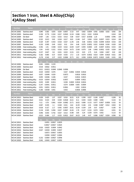| <b>Number</b>       | Name                   |              |              |                           |             |               |        |                      | <b>Chemical Composition (Percent)</b> |          |           |                      |               |        | <b>Unit Size</b> |
|---------------------|------------------------|--------------|--------------|---------------------------|-------------|---------------|--------|----------------------|---------------------------------------|----------|-----------|----------------------|---------------|--------|------------------|
|                     |                        | $\mathsf{C}$ | Si.          | Mn                        | P.          | S             | Cr     | <b>Ni</b>            | Cu                                    | W        | <b>Mo</b> | Sn                   | <b>Als</b>    | $\vee$ | (in g)           |
| <b>NCS HC 28302</b> | Stainless steel        | 0.049        | 0.583        | 0.876                     | 0.024       | 0.0057        | 17.23  | 9.47                 | 0.063                                 | 0.0034   | 0.042     | 0.0036               | 0.033         | 0.042  | 100              |
| <b>NCS HC 28303</b> | Stainless steel        | 0.196        | 0.776        | 0.324                     | 0.017       | 0.0043        | 12.24  | 0.086                | 0.012                                 | 0.022    | 0.0034    |                      |               | 0.024  | 100              |
| <b>NCS HC 28304</b> | Die Steel              | 0.407        | 1.06         | 0.315                     | 0.015       | 0.013         | 5.08   | 0.037                | 0.017                                 | (0.0038) | 1.20      |                      | 0.0056        | 0.946  | 100              |
| <b>NCS HC 28305</b> | Stainless steel        | 0.322        | 0.613        | 0.83                      | 0.018       | 0.017         | 8.63   | 0.148                | 0.47                                  | 0.004    | 0.016     | 0.0037               | 0.023         | 0.014  | 100              |
| <b>NCS HC 28306</b> | Stainless steel        | 0.329        | 0.397        | 0.433                     | 0.018       | 0.027         | 11.95  | 2.66                 | 0.08                                  | 0.0031   | 0.026     |                      | 0.0049 0.0019 | 0.016  | 100              |
| <b>NCS HC 28307</b> | <b>Stainless Steel</b> | 0.193        | 0.905        | 0.49                      | 0.022       | 0.01          | 19.4   | 6.48                 | 0.079                                 | 0.0052   | 0.021     | 0.0028               | 0.034         | 0.029  | 100              |
| <b>NCSHC 28308</b>  | Heat resisting alloy   | 0.392        | 2.41         | 0.508                     | 0.019       | 0.022         | 10.09  | 0.247                | 0.093                                 | 0.0065   | 1.09      |                      | 0.0047 0.0031 | 0.015  | 100              |
| <b>NCSHC 28309</b>  | Heat resisting alloy   | 0.54         | 0.433        | 0.321                     | 0.016       | 0.014         | 14.75  | 13.68                | 0.079                                 | 1.88     | 0.466     | 0.0052               | 0.035         | 0.024  | 100              |
| <b>NCSHC 28310</b>  | Heat resisting alloy   | 0.157        | 0.827        | 0.8                       | 0.021       | 0.023         | 13.31  | 13.9                 | 0.03                                  | 2.75     | 0.24      | 0.004                | 0.067         | 0.02   | 100              |
| <b>NCSHC28311</b>   | Heat resisting alloy   | 0.182        | 0.865        | 0.37                      | 0.019       | 0.025         | 17.3   | 1.33                 | 0.074                                 | 0.0032   | 0.023     | 0.004                | 0.0025        | 0.021  | 100              |
| <b>NCS HC 28312</b> | Heat resisting alloy   | 0.178        | 0.542        | 2.37                      | 0.023       | 0.0084        | 22.71  | 16.2                 | 0.058                                 |          |           | 0.0034 0.0071 0.0023 | 0.045         | 0.031  | 100              |
|                     |                        | Co           | As           | Ti.                       | <b>Alis</b> | Alt           | B      | Zn                   | Sb                                    |          |           |                      |               |        |                  |
| <b>NCS HC 28302</b> | Stainless steel        | 0.041        | 0.0041       | 0.233                     |             |               |        |                      |                                       |          |           |                      |               |        |                  |
| <b>NCS HC 28303</b> | Stainless steel        | 0.018        | 0.0022       | 0.0011                    |             |               |        |                      |                                       |          |           |                      |               |        |                  |
| <b>NCS HC 28304</b> | Die Steel              | 0.011        | (0.0021)     | 0.0049                    |             | 0.0040 0.0096 |        |                      |                                       |          |           |                      |               |        |                  |
| <b>NCS HC 28305</b> | Stainless steel        | 0.019        | 0.0054       | 0.076                     |             | 0.027         |        | 0.0002 0.0034 0.0018 |                                       |          |           |                      |               |        |                  |
| <b>NCS HC 28306</b> | Stainless steel        | 0.057        | 0.0049       | 0.029                     |             | 0.0073        |        |                      | 0.0018 0.0016                         |          |           |                      |               |        |                  |
| <b>NCS HC 28307</b> | <b>Stainless Steel</b> | 0.095        | 0.0046       | 0.206                     |             | 0.037         |        |                      | 0.0016 0.0015                         |          |           |                      |               |        |                  |
| <b>NCS HC 28308</b> | Heat resisting alloy   | 0.019        | 0.0054       | 0.0032                    |             | 0.0057        |        |                      | 0.0009 0.0021                         |          |           |                      |               |        |                  |
| <b>NCS HC 28309</b> | Heat resisting alloy   | 0.035        | 0.009        | 0.0011                    |             | 0.038         |        | 0.0003 0.0018 0.0016 |                                       |          |           |                      |               |        |                  |
| <b>NCS HC 28310</b> | Heat resisting alloy   | 0.147        | 0.0041       | 0.0011                    |             | 0.074         | 0.0004 | 0.005                | 0.0004                                |          |           |                      |               |        |                  |
| <b>NCS HC 28311</b> | Heat resisting alloy   | 0.051        | 0.0051       | 0.0011                    |             | 0.0061        |        | 0.002                | 0.0016                                |          |           |                      |               |        |                  |
| <b>NCS HC 28312</b> | Heat resisting alloy   | 0.186        | 0.0038       | 0.051                     |             | 0.053         |        |                      | 0.0036 0.0006                         |          |           |                      |               |        |                  |
|                     |                        |              |              |                           |             |               |        |                      | <b>Chemical Composition (Percent)</b> |          |           |                      |               |        | <b>Unit Size</b> |
| <b>Number</b>       | Name                   | $\mathsf{C}$ | Si.          | Mn                        | P           | S             | Cr     | Ni.                  | Cu                                    | Mo       | $\vee$    | TI.                  | Al(t)         | Co     | (in g)           |
| <b>NCS HC 28313</b> | <b>Stainless Steel</b> | 0.039        | 0.425        | 1.07                      | 0.037       | 0.016         | 18.31  | 8.19                 | 0.399                                 | 0.027    | 0.106     | $0.002*$             |               | 0.208  | 50               |
| <b>NCS HC 28314</b> | <b>Stainless Steel</b> | 0.021        | 0.414        | 0.94                      | 0.034       | 0.0028        | 18.21  | 8.11                 | 0.043                                 | 0.025    | 0.089     | 0.006                |               | 0.216  | 50               |
| <b>NCS HC 28315</b> | <b>Stainless Steel</b> | 0.11         | 0.78         | 0.841                     | 0.024       | 0.0082        | 23.71  | 18.02                | 0.089                                 | 0.115    | 0.077     | $0.003*$             | 0.0056        | 0.102  | 50               |
| <b>NCS HC 28316</b> | <b>Stainless Steel</b> | 0.067        | 0.435        | 1.1                       | 0.028       | 0.021         | 16.8   | 10.39                | 0.166                                 | 2.01     | 0.048     | $0.006*$             | 0.012         | 0.063  | 50               |
| <b>NCS HC 28317</b> | <b>Stainless Steel</b> | 0.018        | 0.317        | 1.17                      | 0.042       | 0.0057        | 16.61  | 10.34                | 0.334                                 | 2.05     | 0.07      | $0.002*$             |               | 0.185  | 50               |
| <b>NCS HC 28318</b> | <b>Stainless Steel</b> | 0.134        | 0.505        | 0.456                     | 0.027       | 0.0067        | 16.26  | 1.78                 | 0.127                                 | 0.152    | 0.074     | 0.002                |               | 0.051  | 50               |
| <b>NCS HC 28319</b> | <b>Stainless Steel</b> | 0.046        | 0.643        | 0.742                     | 0.027       | 0.013         | 15.88  | 3.85                 | 3.24                                  | 0.259    | 0.075     | 0.002                |               | 0.115  | 50               |
| <b>NCS HC 28320</b> | <b>Stainless Steel</b> | 0.013        | 0.464        | 1.17                      | 0.033       | 0.0021        | 19.67  | 24.23                | 1.49                                  | 4.47     | 0.086     | $0.002*$             | 0.024         | 0.096  | 50               |
|                     |                        |              |              |                           |             |               |        |                      |                                       |          |           |                      |               |        |                  |
| <b>NCS HC 28313</b> | <b>Stainless Steel</b> | <b>Nb</b>    | Sn<br>0.0051 | Pb<br>$0.0001* 0.0035$    | As          |               |        |                      |                                       |          |           |                      |               |        |                  |
| <b>NCS HC 28314</b> | <b>Stainless Steel</b> |              |              | $0.0001* 0.0001* 0.0025$  |             |               |        |                      |                                       |          |           |                      |               |        |                  |
| <b>NCS HC 28315</b> | <b>Stainless Steel</b> | 0.016        | 0.0025       | 0.0004 0.0042             |             |               |        |                      |                                       |          |           |                      |               |        |                  |
| <b>NCS HC 28316</b> | <b>Stainless Steel</b> | 0.027        | 0.0034       | 0.0005 0.0037             |             |               |        |                      |                                       |          |           |                      |               |        |                  |
| <b>NCS HC 28317</b> | <b>Stainless Steel</b> |              |              | 0.0073 0.0001* 0.0055     |             |               |        |                      |                                       |          |           |                      |               |        |                  |
| <b>NCS HC 28318</b> | <b>Stainless Steel</b> |              | 0.0058       | $0.0001* 0.0064$          |             |               |        |                      |                                       |          |           |                      |               |        |                  |
| <b>NCS HC 28319</b> | <b>Stainless Steel</b> | 0.232        |              | 0.0064 0.0002* 0.0048     |             |               |        |                      |                                       |          |           |                      |               |        |                  |
| <b>NCS HC 28320</b> | <b>Stainless Steel</b> | 0.042        |              | $0.0043$ $0.0001*$ 0.0053 |             |               |        |                      |                                       |          |           |                      |               |        |                  |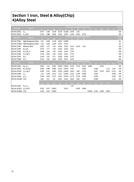| <b>Number</b>          | <b>Name</b>                           |              |           |           |           |        |       | <b>Chemical Composition(Percent)</b>  |           |        |        |              |              |        | <b>Unit Size</b> |
|------------------------|---------------------------------------|--------------|-----------|-----------|-----------|--------|-------|---------------------------------------|-----------|--------|--------|--------------|--------------|--------|------------------|
|                        |                                       | $\mathsf{C}$ | <b>Si</b> | Mn        | P         |        | Сı    |                                       |           |        | Fe     | Mo           | Cu           | $\vee$ | (in g)           |
| NCS HC 29322           | $Cr_{14}$                             | 0.077        | 1.487     | 13.49     | 0.074     | 0.0166 | 14.00 | 1.63                                  |           |        |        |              |              |        | 150              |
| <b>NCS HC 29323</b>    | $Cr_{13}$ SiAl                        | 0.153        | 1.086     | 0.646     | 0.029     | 0.029  | 12.46 | 0.510                                 | 0.702     |        |        |              |              |        | 150              |
| Number                 | Name                                  |              |           |           |           |        |       | <b>Chemical Composition(Percent)</b>  |           |        |        |              |              |        | <b>Unit Size</b> |
|                        |                                       | $\mathsf{C}$ | Si.       | Mn        | P         |        | Cr    | Ni.                                   | <b>Mo</b> |        |        |              |              |        | (in g)           |
| NCS HC 37301           | High Manganese Steel                  | 1.25         | 0.464     | 11.59     | 0.073     | 0.0056 |       |                                       |           |        |        |              |              |        | 20               |
| NCS HC 37302b          | High Manganese Steel                  | 1.26         | 0.595     | 12.00     | 0.079     | 0.013  |       |                                       |           |        |        |              |              |        | 20               |
| NCSHC37303             | <b>Stainless Steel</b>                | 0.032        | 0.78      | 1.45      | 0.026     | 0.019  | 16.14 | 10.30                                 | 2.28      |        |        |              |              |        | 100              |
| NCSHC37304             | $OCr_{18}Ni9$                         | 0.075        | 0.77      | 1.44      | 0.033     | 0.025  | 8.56  |                                       |           |        |        |              |              |        | 100              |
| NCSHC37305             | OCr <sub>18</sub> Ni <sub>10</sub> Ti | 0.086        | 0.84      | 1.45      | 0.032     | 0.014  | 17.45 |                                       |           |        |        |              |              |        | 100              |
| NCSHC37306             | 1Cr <sub>18</sub> Ni <sub>9</sub> Ti  | 0.134        | 0.021     | 1.06      | 0.033     | 0.021  | 17.01 |                                       |           |        |        |              |              |        | 100              |
| NCSHC37307             | $1Cr_{13}$                            | 0.144        | 0.56      | 0.71      | 0.038     | 0.028  | 12.07 |                                       |           |        |        |              |              |        | 100              |
| <b>NCS HC 37308</b>    | $2Cr_{13}$                            | 0.232        | 0.82      | 0.80      | 0.042     | 0.027  | 12.42 |                                       |           |        |        |              |              |        | 100              |
| Number                 | Name                                  |              |           |           |           |        |       | <b>Chemical Composition (Percent)</b> |           |        |        |              |              |        | Unit Size        |
|                        |                                       | $\mathsf{C}$ | Si.       | Mn        | P         |        | Cr    | Ni                                    | Cu        | Al     | $\vee$ | m.           | W            | Mo     | (in g)           |
| <b>NCSHC41301</b>      | $Ni_{80}Cr_{20}$                      | 0.051        | 1.15      | 0.601     | 0.0015    | 0.0023 | 21.50 | 75.10                                 | 0.012     | 0.080  |        | 0.221        |              |        | 150              |
| NCSHC41303             | $6Cr_4W_2MO_2$                        | 0.600        | 0.980     | 0.968     | 0.023     | 0.0079 | 4.45  |                                       | 0.084     |        | 0.938  |              | 2.14         | 2.44   | 150              |
| NCSHC41307c 1Cr18NigTi |                                       | 0.050        | 0.512     | 0.803     | 0.029     | 0.0050 | 18.56 | 9.86                                  | 0.179     |        | 0.057  | 0.473        | 0.057        | 0.151  | 100              |
| <b>NCS HC 41308</b>    | $Cr_{12}$                             | 2.20         | 0.258     | 0.312     | 0.22      | 0.0105 | 12.62 | 0.109                                 | 0.088     |        | 0.054  |              |              | 0.094  | 150              |
| NCSHC41309             | $2Cr_{12}$                            | 0.334        | 0.519     | 0.211     | 0.025     | 0.0073 | 12.79 | 0.126                                 | 0.048     |        | 0.039  |              |              | 0.016  | 150              |
| NCSHC41310b CrNi       |                                       | 0.06         | 0.27      | 0.9       | 0.041     | 0.014  | 18.04 | 8.06                                  | 0.47      |        | 0.066  |              |              | 0.35   | 150              |
|                        |                                       |              |           |           |           |        |       |                                       |           |        |        |              |              |        |                  |
|                        |                                       | Co           | Sn        | <b>As</b> | <b>Sb</b> | N      | Fe    | Alt                                   | Als       | B      | N.     | $Al^{\star}$ | $Ti^{\star}$ |        |                  |
| <b>NCSHC41301</b>      | $Ni_{80}Cr_{20}$                      |              |           |           |           |        | 1.23  |                                       |           |        |        |              |              |        |                  |
| NCSHC41307c 1Cr18NigTi |                                       | 0.052        | 0.017     | 0.0067    |           | 0.015  |       | 0.083                                 | 0.084     |        |        |              |              |        |                  |
| NCSHC41310b CrNi       |                                       | 0.164        | 0.012     | 0.0061    |           |        |       |                                       |           | 0.0053 | 0.125  | 0.005        | 0.001        |        |                  |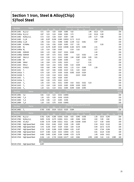|                                          |                                                      |              |       |       |               |              |       | <b>Chemical Composition (Percent)</b> |       |       |       |       |       |       | <b>Unit Size</b>           |
|------------------------------------------|------------------------------------------------------|--------------|-------|-------|---------------|--------------|-------|---------------------------------------|-------|-------|-------|-------|-------|-------|----------------------------|
| <b>Number</b>                            | <b>Name</b>                                          | $\mathsf{C}$ | Si.   | Mn    | P             | S            | Cr    | Ni.                                   | Cu.   | V     | W     | Mo    |       |       | (in g)                     |
| <b>NCS HC 11401</b>                      | $W_{18}Cr_4V$                                        | 0.71         | 0.33  | 0.33  | 0.024         | 0.006        | 4.10  |                                       |       | 1.44  | 16.13 | 0.14  |       |       | 150                        |
| NCS HC 11401a $W_{18}$ Cr <sub>4</sub> V |                                                      | 0.87         | 0.23  | 0.24  | 0.044         | 0.004        | 3.72  |                                       |       | 1.19  | 19.16 | 0.28  |       |       | 150                        |
| <b>NCS HC 11402</b>                      | $W_6$ Mo <sub>5</sub> Cr <sub>4</sub> V <sub>2</sub> | 0.72         | 0.10  | 0.28  | 0.027         | 0.007        | 3.90  |                                       |       | 2.09  | 6.77  | 4.88  |       |       | 150                        |
| <b>NCS HC 11403</b>                      | $Cr_{12}W$                                           | 2.00         | 0.297 | 0.294 | 0.049         | 0.0053       | 11.71 | 0.113                                 |       |       | 0.96  |       |       |       | 150                        |
| NCSHC11403a Cr12W                        |                                                      | 1.96         | 0.18  | 0.31  | 0.048         | 0.088        | 11.99 | 0.12                                  | 0.061 |       | 0.97  |       |       |       | 150                        |
| <b>NCS HC 11404</b>                      | 5CrNiMo                                              | 0.52         | 0.16  | 0.56  | 0.020         | 0.005        | 0.57  | 1.55                                  |       |       |       | 0.20  |       |       | 150                        |
| <b>NCS HC 11405</b>                      | $W_2$                                                | 1.14         | 0.274 | 0.287 | 0.014         | 0.0046       | 0.183 | 0.073                                 | 0.040 |       | 2.31  |       |       |       | 150                        |
| NCS HC 11405a W <sub>2</sub>             |                                                      | 1.25         | 0.16  | 0.38  | 0.035         |              | 0.14  | 0.18                                  |       |       | 2.27  |       |       |       | 150                        |
| NCSHC11406                               | 6SiMnW                                               | 0.65         | 1.23  | 0.65  | 0.017         | 0.016        | 0.026 |                                       |       |       | 1.42  |       |       |       | 150                        |
| NCSHC11406a 6SiMnW                       |                                                      | 0.64         | 0.97  | 0.75  | 0.011         | 0.009        |       | 0.23                                  | 0.032 |       | 1.44  |       |       |       | 150                        |
| <b>NCS HC 11407</b>                      | $3W_4Cr_2V$                                          | 0.34         | 0.30  | 0.11  | 0.013         | 0.009        | 2.44  | 0.087                                 | 0.034 | 0.65  | 3.61  |       |       |       | 150                        |
| NCSHC11408                               | 9V                                                   | 1.07         | 0.18  | 0.44  | 0.044         | 0.006        |       | 0.24                                  |       | 0.41  |       |       |       |       | 150                        |
| <b>NCS HC 11409</b>                      | SiMnV                                                | 1.42         | 0.64  | 0.74  | 0.052         | 0.033        |       | 0.27                                  |       | 0.31  |       |       |       |       | 150                        |
| <b>NCS HC 11410</b>                      | 9Mn <sub>2</sub> V                                   | 0.84         | 0.23  | 2.02  | 0.051         | 0.006        | 0.10  | 0.034                                 |       | 0.16  |       |       |       |       | 150                        |
| <b>NCSHC11411</b>                        | 5CrW <sub>2</sub> Si                                 | 0.50         | 0.60  | 0.40  | 0.030         | 0.031        | 1.15  | 0.14                                  | 0.048 |       | 2.30  |       |       |       | 150                        |
| <b>NCS HC 11412</b>                      | T <sub>7</sub>                                       | 0.66         | 0.27  | 0.66  | 0.030         | 0.019        | 0.31  | 0.24                                  | 0.023 |       |       |       |       |       | 150                        |
| NCS HC 11412a T <sub>7</sub>             |                                                      | 0.70         | 0.26  | 0.79  | 0.035         | 0.028        | 0.005 | 0.019                                 | 0.024 |       |       |       |       |       | 150                        |
| NCSHC 11412b $T_7$                       |                                                      | 0.72         | 0.34  | 0.18  | 0.013         | 0.003        |       | 0.013                                 | 0.024 |       |       |       |       |       | 150                        |
| <b>NCS HC 11413</b>                      | $T_8$                                                | 0.79         | 0.25  | 0.28  | 0.029         | 0.007        |       |                                       |       |       |       |       |       |       | 150                        |
| NCSHC11413a T <sub>8</sub>               |                                                      | 0.82         | 0.30  | 0.78  | 0.021         | 0.015        |       |                                       |       |       |       |       |       |       | 150                        |
| <b>NCS HC 11414</b>                      | $T_{10}$                                             | 1.05         | 0.33  | 0.41  | 0.011         | 0.009        | 0.63  | 0.021                                 | 0.022 | 0.23  |       |       |       |       | 150                        |
| <b>NCS HC 11415</b>                      | $\mathsf{T}_{\mathsf{1}\mathsf{1}}$                  | 1.15         | 0.24  | 0.34  | 0.019         | 0.005        | 0.050 | 0.039                                 | 0.023 |       |       |       |       |       | 150                        |
| <b>NCS HC 11416</b>                      | $T_{12}$                                             | 1.20         | 0.21  | 0.19  | 0.012         | 0.009        | 0.044 | 0.030                                 | 0.095 |       |       |       |       |       | 150                        |
| <b>Number</b>                            | Name                                                 |              |       |       |               |              |       | <b>Chemical Composition (Percent)</b> |       |       |       |       |       |       | <b>Unit Size</b>           |
|                                          |                                                      | $\mathsf{C}$ | Si.   | Mn    | P             | S            |       |                                       |       |       |       |       |       |       | (in g)                     |
| <b>NCS HC 13401</b>                      | $T_8A$                                               | 0.81         | 0.18  | 0.23  | 0.013         | 0.0065       |       |                                       |       |       |       |       |       |       | 150                        |
| <b>NCS HC 13402</b>                      | $T_{13}A$                                            | 1.26         | 0.25  | 0.28  | 0.018         | 0.0105       |       |                                       |       |       |       |       |       |       | 150                        |
| <b>NCS HC 13403</b>                      | $T_{11}A$                                            | 1.155        | 0.46  | 1.14  | 0.043         | 0.038        |       |                                       |       |       |       |       |       |       | 150                        |
| <b>NCS HC 13404</b>                      | $T_{12}A$                                            | 1.18         | 0.32  | 0.70  | 0.010         | 0.0065       |       |                                       |       |       |       |       |       |       | 150                        |
| <b>Number</b>                            | Name                                                 | $\mathsf{C}$ | Si    | Mn    | P             | S            | Cu    | <b>Chemical Composition (Percent)</b> |       |       |       |       |       |       | <b>Unit Size</b><br>(in g) |
| <b>NCS HC 14401</b>                      | $T_8$                                                | 0.785        | 0.563 | 0.614 | 0.0115        | 0.029        | 0.064 |                                       |       |       |       |       |       |       | 150                        |
|                                          |                                                      |              |       |       |               |              |       | Chemical Composition(Percent)         |       |       |       |       |       |       | Unit Size                  |
| <b>Number</b>                            | Name                                                 | $\mathsf{C}$ | Si.   | Mn    | P             | S            | Cr    | Ni.                                   | Cu    | Al.   | V     | W     | Mo    | Co    | (in g)                     |
| <b>NCS HC 17401</b>                      | $W_{18}$ Cr <sub>4</sub> V                           | 0.762        | 0.241 | 0.280 | 0.0241        | 0.026        | 4.03  | 0.040                                 | 0.038 |       | 1.30  | 18.16 | 0.245 |       | 100                        |
| <b>NCS HC 17402</b>                      | $W_6MO_5Cr_4V_2$                                     | 0.855        | 0.232 | 0.275 | 0.0261        | 0.011        | 4.08  | 0.046                                 | 0.041 |       | 2.02  | 5.99  | 4.84  |       | 100                        |
| <b>NCS HC 17403</b>                      | 3Cr <sub>2</sub> W <sub>8</sub> V                    | 0.359        | 0.170 | 0.298 | 0.0211        | 0.021        | 2.48  | 0.0208                                | 0.030 |       | 0.27  | 8.39  | 0.055 |       | 100                        |
| <b>NCS HC 17405</b>                      | High Speed Steel                                     | 0.941        | 0.521 | 0.441 | 0.023         | 0.028        | 1.99  | 0.095                                 |       |       | 0.18  | 19.22 | 0.122 |       | 100                        |
| <b>NCSHC17406</b>                        | High Speed Steel                                     | 0.78         | 0.230 | 0.427 | 0.024         | 0.020        | 3.64  | 0.134                                 |       |       | 0.44  | 18.72 | 0.176 |       | 100                        |
| <b>NCSHC17407</b>                        | High Speed Steel                                     | 0.710        | 0.183 | 0.268 | 0.029         | 0.0064       | 4.29  | 0.187                                 |       |       | 1.05  | 17.64 | 0.266 |       | 100                        |
| <b>NCSHC17408</b>                        | High Speed Steel                                     | 0.577        | 0.383 | 0.233 | 0.015         | 0.0043       | 2.70  | 0.231                                 |       |       | 0.81  | 16.24 | 0.330 |       | 100                        |
| <b>NCS HC 17409</b>                      | High Speed Steel                                     | 0.493        | 0.493 | 0.343 |               | 0.304 0.0048 | 4.78  | 0.278                                 |       |       | 1.49  | 14.96 | 0.411 |       | 100                        |
| <b>NCS HC 17414</b>                      | <b>High Speed Steel</b>                              | 0.332        | 1.16  | 2.719 | 0.0228 0.0177 |              | 4.43  | 0.862                                 |       | 1.955 | 1.083 | 9.22  | 6.16  | 2.989 | 100                        |
|                                          |                                                      | <b>Nb</b>    |       |       |               |              |       |                                       |       |       |       |       |       |       |                            |
| NCSHC17414                               | High Speed Steel                                     | 0.497        |       |       |               |              |       |                                       |       |       |       |       |       |       |                            |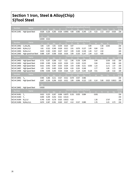| <b>Number</b>       | Name                                             |              |       |       |       |        |       |           | <b>Chemical Composition(Percent)</b>         |               |                |      |                |           | <b>Unit Size</b> |
|---------------------|--------------------------------------------------|--------------|-------|-------|-------|--------|-------|-----------|----------------------------------------------|---------------|----------------|------|----------------|-----------|------------------|
|                     |                                                  | $\mathsf{C}$ | Si.   | Mn    | P.    | S.     | Cr    | Ni        | Cu                                           |               | <b>W</b>       | Mo   | Sn.            | Co        | (in g)           |
| <b>NCS HC 21401</b> | <b>High Speed Steel</b>                          | 0.828        | 0.226 | 0.283 | 0.028 | 0.0065 | 4.08  | 0.083     | 0.140                                        | 1.33          | 9.23           | 3.13 | 0.017          | 0.018     | 150              |
|                     |                                                  |              |       |       |       |        |       |           |                                              |               |                |      |                |           |                  |
|                     |                                                  | TT.          | Als   |       |       |        |       |           |                                              |               |                |      |                |           |                  |
|                     |                                                  | 0.0044       | 0.013 |       |       |        |       |           |                                              |               |                |      |                |           |                  |
| Number              | <b>Name</b>                                      | $\mathsf{C}$ | Si    | Mn    | P.    | S.     | Cr    | Ni        | <b>Chemical Composition (Percent)</b><br>CLI |               | W              | Mo   | R <sub>F</sub> |           | <b>Unit Size</b> |
| <b>NCS HC 23402</b> | $Cr_4MO_4VR_F$                                   | 0.85         | 0.39  | 0.35  | 0.034 | 0.014  | 4.07  |           |                                              | 0.99          |                | 4.38 | 0.035          |           | (in g)<br>150    |
| <b>NCS HC 23403</b> | W <sub>9</sub> Mo <sub>3</sub> Cr <sub>4</sub> V | 0.81         | 0.322 | 0.349 | 0.028 | 0.012  | 3.91  | 0.076     | 0.137                                        | 1.49          | 8.84           | 2.92 |                |           | 150              |
| <b>NCS HC 23404</b> | W <sub>9</sub> Mo <sub>3</sub> Cr <sub>4</sub> V | 0.823        | 0.303 | 0.303 | 0.027 | 0.017  | 3.99  | 0.100     | 0.138                                        | 1.44          | 9.17           | 2.92 |                |           | 100              |
| <b>NCS HC 23405</b> | High-speed tool Steel                            | 0.888        | 0.267 | 0.308 | 0.026 | 0.018  | 3.99  | 0.103     | 0.147                                        | 1.94          | 6.13           | 4.85 |                |           | 100              |
|                     |                                                  |              |       |       |       |        |       |           | <b>Chemical Composition (Percent)</b>        |               |                |      |                |           | <b>Unit Size</b> |
| <b>Number</b>       | <b>Name</b>                                      | $\mathsf{C}$ | Si    | Mn    | P.    | S.     | Cr    | Ni        | Cu                                           | $\mathsf{Al}$ | $\overline{V}$ | Ti   | <b>W</b>       | <b>Mo</b> | (in g)           |
| <b>NCS HC 24403</b> | <b>High Speed Steel</b>                          | 0.731        | 0.207 | 0.286 | 0.22  | 0.22   | 2.96  | 0.156     | 0.249                                        |               | 0.44           |      | 15.99          | 0.42      | 100              |
| <b>NCS HC 24404</b> | <b>High Speed Steel</b>                          | 0.909        | 0.309 | 0.244 | 0.025 | 0.026  | 3.25  | 0.203     | 0.223                                        |               | 0.84           |      | 14.41          | 0.88      | 100              |
| <b>NCS HC 24405</b> | <b>High Speed Steel</b>                          | 0.821        | 0.443 | 0.307 | 0.025 | 0.024  | 3.54  | 0.383     | 0.211                                        | 0.059         | 1.23           |      | 11.71          | 1.57      | 100              |
| <b>NCSHC 24407</b>  | High Speed Steel                                 | 1.09         | 0.352 | 0.405 | 0.034 | 0.034  | 4.26  | 0.201     | 0.248                                        |               | 2.77           |      | 6.85           | 3.75      | 100              |
| <b>NCS HC 24408</b> | <b>High Speed Steel</b>                          | 0.996        | 0.648 | 0.293 | 0.026 | 0.026  | 5.19  | 0.224     | 0.203                                        | 0.128         | 4.51           |      | 1.80           | 6.52      | 100              |
|                     |                                                  |              |       |       |       |        |       |           | Chemical Composition(Percent)                |               |                |      |                |           | <b>Unit Size</b> |
| <b>Number</b>       | Name                                             | $\mathsf{C}$ | Si.   | Mn    | P     | S.     | Cr    | <b>Ni</b> | Cu                                           |               | W              | Mo   | Co             | Ti.       | (in g)           |
| <b>NCSHC 28401</b>  | $T_{10}$                                         | 0.985        | 0.286 | 0.211 | 0.027 | 0.012  | 0.070 | 0.037     | 0.086                                        |               |                |      |                |           | 100              |
| <b>NCS HC 28402</b> | <b>High Speed Steel</b>                          | 0.847        | 0.190 | 0.296 | 0.023 | 0.012  | 3.99  | 0.096     | 0.122                                        | 1.93          | 6.14           | 5.06 | 0.023          | 0.0013    | 100              |
|                     |                                                  | Als          |       |       |       |        |       |           |                                              |               |                |      |                |           |                  |
| <b>NCS HC 28402</b> | <b>High Speed Steel</b>                          | 0.0020       |       |       |       |        |       |           |                                              |               |                |      |                |           |                  |
| Number              | Name                                             |              |       |       |       |        |       |           | <b>Chemical Composition (Percent)</b>        |               |                |      |                |           | <b>Unit Size</b> |
|                     |                                                  | $\mathsf{C}$ | Si    | Mn    | P     | S      | ۲r    | Ni        | Cп                                           | $\mathsf{A}$  | $\overline{V}$ | Ti   | W              | <b>Mo</b> | (in g)           |
| <b>NCSHC41401</b>   | $T_{\rm R}$                                      | 0.822        | 0.223 | 0.267 | 0.008 | 0.0075 | 0.101 | 0.035     | 0.084                                        |               | 0.001          |      |                |           | 150              |
| <b>NCS HC 41403</b> | $T_{q}$                                          | 0.890        | 0.209 | 0.252 | 0.021 | 0.0115 |       |           |                                              |               |                |      |                |           | 150              |
| <b>NCS HC 41404</b> | $W_{18}$ Cr <sub>4</sub> V                       | 0.740        | 0.165 | 0.178 | 0.025 | 0.0015 | 4.18  |           |                                              |               | 1.30           |      | 17.97          |           | 150              |
| NCSHC41406          | $W_6MO_5Cr_4V_2$                                 | 0.874        | 0.367 | 0.301 | 0.020 | 0.017  | 4.12  | 0.317     | 0.080                                        |               | 1.76           |      | 6.15           | 4.73      | 150              |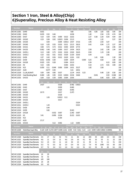### Section 1 Iron, Steel & Alloy(Chip) 6)Superalloy, Precious Alloy & Heat Resisting Alloy

| <b>Number</b>       | Name                                                  | $\mathsf{C}$ | Si.             | Mn    | P        | S.          | Cr     | <b>Chemical Composition (Percent)</b><br>Ni.                                         | Cu             | $\mathsf{Al}$  | V                                         | TL.                  | W    | Mo    | <b>Unit Size</b><br>(in g) |
|---------------------|-------------------------------------------------------|--------------|-----------------|-------|----------|-------------|--------|--------------------------------------------------------------------------------------|----------------|----------------|-------------------------------------------|----------------------|------|-------|----------------------------|
| <b>NCS HC 11501</b> | GH49                                                  | 0.032        |                 |       |          |             | 9.60   |                                                                                      |                | 3.56           | 0.30                                      | 1.83                 | 5.82 | 5.45  | 100                        |
| <b>NCS HC 11502</b> | GH43                                                  | 0.035        | 0.52            | 0.46  |          |             | 16.98  |                                                                                      |                | 1.40           |                                           | 2.54                 | 2.78 | 4.74  | 100                        |
| <b>NCS HC 11503</b> | GH37                                                  | 0.10         | 0.59            | 0.45  | 0.009    | 0.013       | 16.02  |                                                                                      |                | 2.27           | 0.38                                      | 2.29                 | 6.93 | 4.04  | 100                        |
| <b>NCS HC 11505</b> | GH143                                                 | 0.19         | 0.08            | 0.92  | 0.0015   | 0.004       | 15.13  |                                                                                      |                | 4.83           |                                           | 1.32                 |      | 5.57  | 100                        |
| <b>NCS HC 11506</b> | GH130                                                 |              | 0.04            |       | 0.004    | 0.0013      | 14.97  | 37.53                                                                                |                | 1.95           |                                           | 2.93                 | 5.07 |       | 100                        |
| <b>NCS HC 11507</b> | GH140                                                 | 0.10         | 0.35            | 0.55  | 0.016    | 0.011       | 23.15  | 38.16                                                                                |                | 0.42           |                                           | 0.94                 | 1.72 | 2.27  | 100                        |
| <b>NCS HC 11508</b> | GH131                                                 | 0.08         | 0.72            | 0.73  | 0.012    | 0.003       | 20.94  | 27.75                                                                                |                |                |                                           |                      | 5.66 | 2.96  | 100                        |
| <b>NCS HC 11509</b> | GH135                                                 | 0.062        | 0.48            | 0.43  | 0.009    | 0.017       | 14.94  | 34.25                                                                                |                | 2.58           |                                           | 2.42                 | 1.96 | 1.94  | 100                        |
| <b>NCS HC 11510</b> | GH35-1                                                | 0.13         | 0.80            | 0.75  | 0.016    | 0.016       | 23.00  | 36.43                                                                                |                | 0.50           |                                           | 1.19                 | 3.38 |       | 100                        |
| <b>NCSHC11511</b>   | GH35-2                                                | 0.10         | 0.62            | 0.61  | 0.013    | 0.029       | 21.00  | 35.95                                                                                |                | 0.44           |                                           |                      | 2.66 |       | 100                        |
| <b>NCS HC 11512</b> | GH36                                                  | 0.37         | 0.43            | 8.56  | 0.012    | 0.029       | 12.81  | 8.52                                                                                 |                |                | 1.41                                      | 0.06                 |      | 1.28  | 100                        |
| <b>NCSHC11513</b>   | GH39                                                  | 0.031        | 0.056           | 0.30  |          | 0.004       | 18.94  |                                                                                      | 0.009          | 0.25           |                                           | 0.60                 |      | 1.90  | 100                        |
| <b>NCSHC11514</b>   | GH128                                                 | 0.025        | 0.55            | 0.28  |          | 0.004       | 20.10  |                                                                                      |                | 0.34           |                                           |                      | 8.15 | 8.09  | 100                        |
| NCSHC11515          | K3                                                    | 0.15         | 0.06            |       |          | 0.003       | 10.92  |                                                                                      |                | 5.53           |                                           | 2.72                 | 4.91 | 3.98  | 100                        |
| <b>NCSHC11516</b>   | K13                                                   | 0.059        | 0.11            | 0.044 | 0.006    | 0.004       | 14.91  | 35.37                                                                                |                | 1.82           |                                           | 3.58                 |      |       | 100                        |
|                     |                                                       |              |                 |       |          |             |        |                                                                                      |                |                |                                           |                      |      |       |                            |
| NCSHC11517          | 4J29                                                  |              | 0.077           | 0.35  |          |             | 0.21   | 28.91                                                                                |                |                |                                           |                      |      |       | 100                        |
| <b>NCSHC11518</b>   | Cr <sub>14</sub> Ni <sub>14</sub> W <sub>2</sub> MoTi | 0.09         | 0.66            | 0.80  | 0.027    |             | 12.34  | 14.03                                                                                | 0.23           |                |                                           | 0.48                 | 2.20 | 0.58  | 100                        |
| <b>NCS HC 11519</b> | <b>Heat Resisting Steel</b>                           | 0.400        | 1.85            | 0.95  | 0.015    | 0.0041      | 25.58  | 34.86                                                                                |                |                | 0.041                                     |                      | 0.93 | 0.348 | 100                        |
| NCS HC 11531 GH153  |                                                       | 0.04         | 0.18            | 0.34  | 0.005    | 0.004       | 19.96  |                                                                                      |                | 0.48           |                                           | 0.46                 | 8.03 | 8.00  | 100                        |
|                     |                                                       | Co           | <b>Nb</b>       | Zr    | B        | $\mathsf N$ | Fe     | Ce.                                                                                  |                |                |                                           |                      |      |       |                            |
| <b>NCS HC 11501</b> | GH49                                                  | 14.87        |                 |       | 0.028    |             | (0.48) | 0.0023                                                                               |                |                |                                           |                      |      |       |                            |
| <b>NCS HC 11502</b> | GH43                                                  |              | 1.01            |       | 0.030    |             | (4.84) |                                                                                      |                |                |                                           |                      |      |       |                            |
| <b>NCS HC 11503</b> | GH37                                                  |              |                 |       | 0.025    |             | (4.09) |                                                                                      |                |                |                                           |                      |      |       |                            |
| <b>NCS HC 11505</b> | GH143                                                 | 19.73        |                 |       | 0.017    |             | (1.07) |                                                                                      |                |                |                                           |                      |      |       |                            |
| <b>NCS HC 11506</b> | GH130                                                 |              |                 |       | 0.018    |             |        |                                                                                      |                |                |                                           |                      |      |       |                            |
| <b>NCS HC 11508</b> | GH131                                                 |              | 1.03            |       | 0.0015   | 0.11        |        |                                                                                      |                |                |                                           |                      |      |       |                            |
| <b>NCS HC 11509</b> | GH135                                                 |              |                 |       | 0.017    |             |        |                                                                                      |                |                |                                           |                      |      |       |                            |
| <b>NCSHC11510</b>   | GH35-1                                                |              |                 |       |          |             |        | 0.014                                                                                |                |                |                                           |                      |      |       |                            |
| <b>NCS HC 11511</b> | GH35-2                                                |              | 1.43            |       |          |             |        | 0.013                                                                                |                |                |                                           |                      |      |       |                            |
| NCSHC11512          | GH36                                                  |              | 0.44            |       |          |             |        |                                                                                      |                |                |                                           |                      |      |       |                            |
| NCSHC11513          | GH39                                                  |              | 0.82            |       |          |             | (0.42) |                                                                                      |                |                |                                           |                      |      |       |                            |
| <b>NCS HC 11514</b> | GH128                                                 |              |                 | 0.032 | 0.007    |             | (1.94) | 0.007                                                                                |                |                |                                           |                      |      |       |                            |
| NCSHC11515          | K3                                                    | 5.41         |                 | 0.096 | 0.034    |             | (0.22) | 0.015                                                                                |                |                |                                           |                      |      |       |                            |
| NCSHC11516          | K13                                                   |              |                 |       | 0.100    |             |        |                                                                                      |                |                |                                           |                      |      |       |                            |
| NCSHC11517          | 4J29                                                  | 17.17        |                 |       |          |             |        |                                                                                      |                |                |                                           |                      |      |       |                            |
| <b>NCS HC 11531</b> | GH153                                                 |              |                 | 0.12  | 0.002    |             | 1.12   | 0.005                                                                                |                |                |                                           |                      |      |       |                            |
| Number              | Name                                                  |              |                 |       |          |             |        | <b>Chemical Composition(Percent)</b>                                                 |                |                |                                           |                      |      |       | <b>Unit Size</b>           |
| <b>NCS HC 11530</b> | Nickel Base Super Alloy                               | $\mathsf{C}$ | <b>Si</b><br>Mn | P     | S.<br>Cr | Fe i        | Mo     | B.<br>Al <sub>2</sub><br>0.120 0.249 0.276 0.0077 0.0046 12.81 0.454 4.53 0.011 6.14 | N <sub>b</sub> | Zr             | TI.<br>2.15 0.094 0.850 0.00023 (0.00006) | Bi<br>P <sub>b</sub> |      |       | $(in g)$  <br>50           |
|                     |                                                       |              |                 |       |          |             |        | Chemical Composition(µg/g)                                                           |                |                |                                           |                      |      |       | <b>Unit Size</b>           |
| Number              | Name                                                  | Ag           | <b>As</b>       | Bi.   | Ca       | Cd          | $\ln$  | Mg                                                                                   | <b>Pb</b>      | S <sub>b</sub> | So                                        | Sn                   | Te   | TI.   | (in g)                     |
| NCS HC 11520        | Superalloy Trace Elements                             | 3.5          | 17              | 4.2   | 42       | 7.0         | 11     | 82                                                                                   | 12             | 204            | 43                                        | 103                  | 3.0  | 8.5   | 150                        |
| <b>NCS HC 11521</b> | Superalloy Trace Elements                             | 4.6          | 11              | 0.4   | 21       | 4.6         | 2.6    | 16                                                                                   | 4.1            | 95             | 16                                        | 53                   | 11   | 22    | 150                        |
| <b>NCS HC 11522</b> | Superalloy Trace Elements                             | 5.3          | 15              | 0.4   | 11       | 1.8         | 30     | 15                                                                                   | 11             | 59             | 11                                        | 72                   | 2.1  | 51    | 150                        |
| <b>NCS HC 11523</b> | Superalloy Trace Elements                             | 0.3          | 72              | 0.5   | 32       | 1.9         | 0.4    | 53                                                                                   | 2.2            | 7.4            | 43                                        | 1040                 | 0.5  | 83    | 150                        |
| <b>NCS HC 11524</b> | Superalloy Trace Elements                             | 0.7          | 72              | 3.4   | 5.3      | 1.6         | 9.2    | 111                                                                                  | 91             | 6.2            | 53                                        | 92                   | 83   | 8.1   | 150                        |
|                     |                                                       | Zn           | Ga              |       |          |             |        |                                                                                      |                |                |                                           |                      |      |       |                            |
| <b>NCS HC 11520</b> | Superalloy Trace Elements                             | 24           | 29              |       |          |             |        |                                                                                      |                |                |                                           |                      |      |       |                            |
| <b>NCS HC 11521</b> | Superalloy Trace Elements                             | 32           | 32              |       |          |             |        |                                                                                      |                |                |                                           |                      |      |       |                            |
| <b>NCS HC 11522</b> | Superalloy Trace Elements                             | 105          | 108             |       |          |             |        |                                                                                      |                |                |                                           |                      |      |       |                            |
| <b>NCS HC 11523</b> | Superalloy Trace Elements                             | 20           | 28              |       |          |             |        |                                                                                      |                |                |                                           |                      |      |       |                            |
| <b>NCS HC 11524</b> | Superalloy Trace Elements                             | 6.0          | 63              |       |          |             |        |                                                                                      |                |                |                                           |                      |      |       |                            |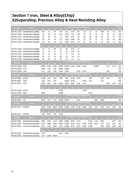### Section 1 Iron, Steel & Alloy(Chip) 6)Superalloy, Precious Alloy & Heat Resisting Alloy

|                     |                              |                         |                      |           |                |                                 |       |            | Chemical Composition(µg/g)                         |               |                |             |       |                | <b>Unit Size</b>        |
|---------------------|------------------------------|-------------------------|----------------------|-----------|----------------|---------------------------------|-------|------------|----------------------------------------------------|---------------|----------------|-------------|-------|----------------|-------------------------|
| <b>Number</b>       | Name                         | Ag                      | As                   | B.        | Bi.            | Cd                              | Ce    | Ci.        | Hf                                                 | Ga            | Ge             | $\ln$       | P.    | P <sub>b</sub> | (in g)                  |
| <b>NCS HC 11525</b> | Trace elements in superalloy | 0.78                    | 6.7                  | 90        | 0.14           | 0.31                            | 0.38  | 571        | 3.5                                                | 31            | 13             | 0.88        | 41    | 3.4            | 100                     |
| <b>NCS HC 11526</b> | Trace elements in superalloy | 1.0                     | 14                   | 47        | 0.19           | < 0.02                          | 1.8   | 363        | 7.4                                                | 34            | 24             | 7.2         | 36    | 3.7            | 100                     |
| <b>NCS HC 11527</b> | Trace elements in superalloy | 2.5                     | 96                   | 25        | 1.2            | < 0.02                          | 0.45  | 172        | 3.8                                                | 38            | 38             | 2.6         | 55    | 4.7            | 100                     |
| <b>NCS HC 11528</b> | Trace elements in superalloy | 4.4                     | 44                   | 24        | 2.0            | < 0.02                          | 0.028 | 94         | 33                                                 | 52            | 75             | 31          | 131   | 8.2            | 100                     |
| <b>NCS HC 11529</b> | Trace elements in superalloy | 5.4                     | 25                   | 13        | 1.8            | < 0.02                          | 0.19  | 53         | 12                                                 | 49            | 27             | 10          | 80    | 11             | 100                     |
|                     |                              |                         |                      |           |                |                                 |       |            |                                                    |               |                |             |       |                |                         |
|                     |                              | Sb                      | <b>Sc</b>            | Se        | Sn             | Te                              | Ti.   | Zn         |                                                    |               |                |             |       |                |                         |
| <b>NCS HC 11525</b> | Trace elements in superalloy | 1.4                     | 1.3                  | 9.8       | 3.2            | 28                              | 0.13  | 12         |                                                    |               |                |             |       |                |                         |
| <b>NCS HC 11526</b> | Trace elements in superalloy | 3.3                     | 2.7                  | 12        | 8.3            | 31                              | 0.16  | 13         |                                                    |               |                |             |       |                |                         |
| <b>NCS HC 11527</b> | Trace elements in superalloy | 16                      | 1.2                  | 4.1       | 18             | 7.5                             | 4.3   | 14         |                                                    |               |                |             |       |                |                         |
| <b>NCS HC 11528</b> | Trace elements in superalloy | 49                      | 1.2                  | 2.5       | 45             | 2.3                             | 3.9   | 15         |                                                    |               |                |             |       |                |                         |
| <b>NCS HC 11529</b> | Trace elements in superalloy | 33                      | 0.6                  | 2.2       | 43             | 1.3                             | 1.1   | 13         |                                                    |               |                |             |       |                |                         |
| <b>Number</b>       | Name                         | $\mathsf{C}$            | Si.                  | Mn        | P              | S.                              | Cr    | Ni.        | <b>Chemical Composition</b> (Percent)<br><b>Cu</b> | Ai            | Ti.            | W           | Mo    | Co             | <b>Unit Size</b>        |
| <b>NCS HC 20503</b> | 4J29                         | 0.0015                  | 0.106                | 0.307     | 0.0019         | 0.0056                          | 0.148 | 28.80      | 0.072                                              |               | 0.0040         |             | 4.13  | 17.77          | (in g)<br>100           |
| <b>NCS HC 20504</b> | 1J79                         | 0.008                   | 0.36                 | 1.08      | 0.0009         | 0.0030                          |       |            |                                                    |               |                |             |       |                | 150                     |
| <b>NCS HC 20505</b> | 2J64                         | 0.73                    | 0.25                 | 0.26      | 0.009          | 0.004                           |       | 79.56      | 0.072                                              |               |                |             | 3.98  |                | 150                     |
|                     |                              |                         |                      |           |                |                                 |       |            | <b>Chemical Composition (Percent)</b>              |               |                |             |       |                | <b>Unit Size</b>        |
| <b>Number</b>       | Name                         | $\mathsf{C}$            | Si                   | Mn        | P              | S.                              | Cr    | Ni.        | <b>Cu</b>                                          | $\mathsf{Al}$ | $\vee$         | TI.         | W     | Mo             | (in g)                  |
| <b>NCS HC 23505</b> | GH130                        | 0.038                   | 0.19                 | 0.28      | 0.08           | 0.05                            | 14.28 | 37.83      |                                                    | 1.88          |                | 2.89        | 5.87  |                | 100                     |
| <b>NCS HC 23507</b> | G263                         | 0.06                    | 0.26                 | 0.47      |                | 0.0028                          | 20.08 |            | 0.078                                              | 0.33          |                | 2.15        |       |                | 100                     |
| <b>NCS HC 23511</b> | F176                         | 0.057                   | 0.61                 | 0.91      | 0.023          | 0.059                           | 16.05 | 9.20       | 0.12                                               |               |                |             | 0.04  | 0.75           | 100                     |
|                     |                              |                         |                      |           |                |                                 |       |            |                                                    |               |                |             |       |                |                         |
|                     |                              | Co                      | <b>N<sub>b</sub></b> | Zr        | $\overline{B}$ | Sb                              | N     | Ce.        | <b>Se</b>                                          | Fe i          | In.            | Ga          |       |                |                         |
| <b>NCS HC 23505</b> | GH130                        |                         |                      |           | 0.016          |                                 |       |            | 0.106                                              |               |                |             |       |                |                         |
| NCS HC 23507 G263   |                              | 20.58                   |                      |           | 0.0038         |                                 |       |            |                                                    | 0.255         |                |             |       |                |                         |
| <b>Number</b>       | Name                         |                         |                      |           |                |                                 |       |            | <b>Chemical Composition (Percent)</b>              |               |                |             |       |                | <b>Unit Size</b>        |
|                     |                              | $\overline{C}$<br>0.070 | Si.                  | Mn        | P              | $\overline{S}$<br>0.0038 0.0079 | Cr    | Ni<br>0.93 | Cп                                                 | $\mathsf{A}$  | $\vee$         | Co<br>52.08 | W     | <b>Mo</b>      | (in g)                  |
| <b>NCS HC 24513</b> | 2J9                          |                         | 0.61                 | 0.74      |                |                                 |       |            | <b>Chemical Composition (Percent)</b>              |               | 8.82           |             |       |                | 100<br><b>Unit Size</b> |
| <b>Number</b>       | Name                         | $\overline{C}$          | Si.                  | Mn        | P              | $\mathcal{L}$                   | Cr    | Ni.        | Cп                                                 | Al            | $\overline{V}$ | -Till       | W     | Mo             | (in g)                  |
| <b>NCS HC 57511</b> | GH4169                       | 0.019                   | 0.084                | $0.0016*$ |                | 0.0012 0.0056                   | 18.59 | 52.36      | 0.0021                                             | 0.42          | 0.16           | 0.93        | 0.23  | 3.08           | 100                     |
|                     |                              |                         |                      |           |                |                                 |       |            |                                                    |               |                |             |       |                |                         |
|                     |                              | Co                      | B                    | <b>Nb</b> | <b>Zr</b>      |                                 |       |            |                                                    |               |                |             |       |                |                         |
| <b>NCSHC57511</b>   | GH4169                       | 1.03                    | 0.011                | 5.09      | 0.018          |                                 |       |            |                                                    |               |                |             |       |                |                         |
| <b>Number</b>       | Name                         |                         |                      |           |                |                                 |       |            | <b>Chemical Composition (Percent)</b>              |               |                |             |       |                | <b>Unit Size</b>        |
|                     |                              | $\overline{C}$          | Si.                  | Mn        | P              | S                               | Cr    | Ni.        | Cu.                                                | $\mathsf{Al}$ | Fe.            | Ti.         | Co    | <b>Mo</b>      | (in g)                  |
| <b>NCS HC 41501</b> | Nickel-based superalloy      | 0.043                   | 0.071                | 0.124     | 0.0023         | 0.0006                          | 20.69 | 63.72      |                                                    | 0.016         | 3.50           | 0.011       |       | 8.37           | 100                     |
| <b>NCS HC 41502</b> | Nickel-based superalloy      | 0.027                   | 0.080                | 0.057     | 0.0033         | 0.0005                          | 18.56 | 52.27      | 0.023                                              | 0.635         | 18.54          | 1.03        | 0.111 | 3.28           | 100                     |
| <b>NCS HC 41503</b> | Corrosion-resisting alloy    | 0.071                   | 0.36                 | 0.807     | 0.015          | 0.0006                          | 20.72 | 32.27      | 0.038                                              | 0.299         |                | 0.49        | 0.050 | 0.297          | 100                     |
|                     |                              | <b>Nb</b>               |                      | B         | $Co*$          |                                 |       |            |                                                    |               |                |             |       |                |                         |
| <b>NCS HC 41501</b> | Nickel-based superalloy      | 3.19                    | $Ta^*$               |           | 0.011          | $Ta^{\star\star}$<br>0.001      |       |            |                                                    |               |                |             |       |                |                         |
| <b>NCS HC 41502</b> | Nickel-based superalloy      | 5.15                    | 0.008                | 0.0025    |                |                                 |       |            |                                                    |               |                |             |       |                |                         |
|                     |                              |                         |                      |           |                |                                 |       |            |                                                    |               |                |             |       |                |                         |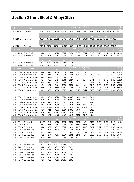| <b>Number</b>       | Name                   | $\mathsf{C}$           | Si.        | Mn            | P.          | S.                  | Cr             | <b>Chemical Composition(Percent)</b><br>Mo         | Ni.         | Cu           | Zn         | <b>Sb</b>   | <b>Unit Size</b><br>(mm) |
|---------------------|------------------------|------------------------|------------|---------------|-------------|---------------------|----------------|----------------------------------------------------|-------------|--------------|------------|-------------|--------------------------|
| NCS HS11011b        | Pure iron              | 0.0023                 | 0.0023     | 0.013         | 0.0014      | 0.0014              | 0.0066         | 0.0003                                             | 0.0027      | 0.0045       | 0.00015    | 0.00029     | ø38×40                   |
|                     |                        |                        |            |               |             |                     |                |                                                    |             |              |            |             |                          |
|                     |                        | Sn                     | <b>As</b>  | B             | Ca          |                     | N              | $\mathsf{V}$                                       | AI          | Bi.          | Mg         | Ti.         |                          |
| <b>NCS HS11011b</b> | Pure iron              | 0.00015                | 0.0026     | 0.00023       | 0.0003      | 0.0012              | 0.0045         | (0.0001)                                           | (<0.0001)   | (<0.00001)   | (0.00006)  | (<0.0001)   |                          |
|                     |                        |                        |            |               |             |                     |                |                                                    |             |              |            |             |                          |
|                     |                        | <b>Pb</b>              | <b>Nb</b>  | <b>W</b>      | Ta          | Ce#                 | Hf#            | La <sup>#</sup>                                    | Se#         | Cd#          | Te#        | Zr#         |                          |
| <b>NCS HS11011b</b> | Pure iron              | (0.00002)              | (0.00004)  | (0.00004)     | (0.00001)   | < 0.00001           | < 0.00002      | < 0.00001<br><b>Chemical Composition (Percent)</b> | < 0.00001   | < 0.00001    | < 0.00001  | < 0.00001   | <b>Unit Size</b>         |
| <b>Number</b>       | Name                   | $\mathsf{C}$           | Si         | Mn            | P.          | S.                  | Cr             | Ni.                                                | Cu          | Ti.          | Zr         | B           | (mm)                     |
| NCS HS 11706-3      | Silicon Steel          | 0.106                  | 1.03       | 0.546         | 0.045       | 0.029               | 0.187          | 0.571                                              | 0.146       | 0.026        | 0.017      | 0.012       | ø38×30                   |
| NCS HS 11706-5      | Silicon Steel          | 0.040                  | 4.16       | 1.10          | 0.020       | 0.031               | 0.042          | 0.101                                              | 0.063       | 0.010        | 0.0035     | 0.0054      | ø38×30                   |
|                     |                        |                        |            |               |             |                     |                |                                                    |             |              |            |             |                          |
|                     |                        | Sn                     | Sb         | N             | Als         | $\overline{Al}_{1}$ |                |                                                    |             |              |            |             |                          |
| NCS HS 11706-3      | Silicon Steel          | 0.019                  | 0.0012     | (0.0058)      | 0.779       | 0.783               |                |                                                    |             |              |            |             |                          |
| NCS HS 11706-5      | Silicon Steel          | 0.0055                 | 0.022      | 0.0026        | 0.065       | 0.068               |                | <b>Chemical Composition(Percent)</b>               |             |              |            |             | <b>Unit Size</b>         |
| <b>Number</b>       | Name                   | $\mathsf{C}$           | Si.        | Mn            | P.          | S.                  | Cr             | Ni.                                                | Cu          | Mo           | $\vee$     | Ti .        | (mm)                     |
| NCS HS 11708a-1     | Alloy structure steel  | 0.200                  | 0.222      | 0.680         | 0.038       | 0.0084              | 2.97           | 3.53                                               | 0.355       | 0.210        | 0.189      | 0.161       | ø38X30                   |
| NCS HS 11708a-2     | Alloy structure steel  | 0.144                  | 0.132      | 3.60          | 0.053       | 0.074               | 0.95           | 4.33                                               | 0.016       | 0.019        | 0.478      | 0.226       | ø38X30                   |
| NCS HS 11708a-3     | Alloy structure steel  | 0.288                  | 0.290      | 0.89          | 0.035       | 0.027               | 2.27           | 1.29                                               | 0.136       | 0.556        | 0.346      | 0.296       | ø38X30                   |
| NCS HS 11708a-4     | Alloy structure steel  | 0.046                  | 0.051      | 2.42          | 0.048       | 0.017               | 4.40           | 2.54                                               | 0.441       | 1.40         | 0.449      | 0.035       | ø38X30                   |
| NCS HS 11708a-5     | Alloy structure steel  | 0.251                  | 0.605      | 1.04          | 0.025       | 0.031               | 1.36           | 1.77                                               | 0.046       | 0.864        | 0.118      | 0.073       | ø38X30                   |
| NCS HS 11708a-6     | Alloy structure steel  | 0.315                  | 0.391      | 1.88          | 0.029       | 0.049               | 3.27           | 1.02                                               | 0.245       | 0.118        | 0.273      | 0.136       | ø38X30                   |
| NCS HS 11708a-7     | Alloy structure steel  | 0.505                  | 1.10       | 0.325         | 0.0062      | 0.065               | 0.703          | 0.773                                              | 0.518       | 0.305        | 0.013      | 0.028       | ø38X30                   |
| NCS HS 11708a-8     | Alloy structure steel  | 0.425                  | 0.830      | 0.553         | 0.017       | 0.0009              | 0.177          | 0.621                                              | 0.636       | 0.423        | 0.055      | 0.061       | ø38X30                   |
|                     |                        | W                      | Alt        | <b>As</b>     | Sn          | P <sub>b</sub>      | $\overline{B}$ | Ce                                                 | N           |              |            |             |                          |
| NCS HS 11708a-1     | Alloy structure steel  | 0.429                  | 0.016      | 0.048         | 0.048       | (0.0008)            | 0.0064         | (0.0002)                                           | 0.014       |              |            |             |                          |
| NCS HS 11708a-2     | Alloy structure steel  | 0.092                  | 0.012      | 0.054         | 0.057       | (0.0003)            | 0.0006         |                                                    | 0.007       |              |            |             |                          |
| NCS HS 11708a-3     | Alloy structure steel  | 0.804                  | 0.100      | 0.021         | 0.017       | 0.0034              | 0.0029         |                                                    | 0.0085      |              |            |             |                          |
| NCS HS 11708a-4     | Alloy structure steel  | 1.98                   | 0.0067     | 0.032         | 0.036       | 0.0015              | 0.0016         | (0.0001)                                           | 0.020       |              |            |             |                          |
| NCS HS 11708a-5     | Alloy structure steel  | 1.23                   | 0.0098     | 0.093         | 0.011       | 0.0024              | 0.0055         | (0.00009)                                          | 0.010       |              |            |             |                          |
| NCS HS 11708a-6     | Alloy structure steel  | 0.201                  | 0.147      | 0.056         | 0.027       | (0.0002)            | 0.0096         |                                                    | 0.015       |              |            |             |                          |
| NCS HS 11708a-7     | Alloy structure steel  | 0.602                  | 0.311      | 0.0067        | 0.0042      | 0.0019              | 0.025          | (0.0001)                                           | 0.0027      |              |            |             |                          |
| NCS HS 11708a-8     | Alloy structure steel  | 0.362                  | 0.602      | 0.0086        | 0.0087      | 0.0013              | 0.019          | 0.045                                              | 0.0028      |              |            |             |                          |
| <b>Number</b>       | Name                   |                        |            |               |             |                     |                | <b>Chemical Composition (Percent)</b>              |             |              |            |             | <b>Unit Size</b>         |
| NCS HS 11709a-1     | <b>Stainless Steel</b> | $\mathsf{C}$<br>0.0035 | Si<br>1.13 | Mn            | P.<br>0.065 | S.<br>0.049         | Cr<br>28.00    | Ni.<br>4.76                                        | Cu<br>0.202 | TL.<br>0.053 | W<br>0.032 | Mo<br>0.040 | (mm)<br>ø38×30           |
| NCS HS 11709a-2     | <b>Stainless Steel</b> | 0.139                  | 0.555      | 0.343<br>1.06 | 0.022       | 0.013               | 14.37          | 14.58                                              | 0.133       | 0.475        | 0.577      | 0.305       | ø38×30                   |
| NCS HS 11709a-3     | <b>Stainless Steel</b> | 0.183                  | 0.352      | 0.981         | 0.015       | 0.0098              | 10.66          | 19.13                                              | 0.057       | 0.577        | 0.735      | 0.606       | ø38×30                   |
| NCS HS 11709a-4     | Stainless Steel        | 0.060                  | 0.971      | 0.704         | 0.035       | 0.032               | 19.73          | 11.24                                              | 0.258       | 0.253        | 0.198      | 0.169       | ø38×30                   |
| NCS HS 11709a-5     | <b>Stainless Steel</b> | 0.224                  | 0.154      | 1.92          | 0.0057      | 0.0045              | 7.65           | 22.77                                              | 0.014       | 0.774        | 0.432      | 0.809       | ø38×30                   |
| NCS HS 11709a-6     | <b>Stainless Steel</b> | 0.027                  | 1.06       | 0.595         | 0.057       | 0.042               | 24.40          | 7.34                                               | 0.326       | 0.170        | 0.078      | 0.053       | ø38×30                   |
| NCS HS 11709a-7     | <b>Stainless Steel</b> | 0.084                  | 0.765      | 1.31          | 0.039       | 0.025               | 17.57          | 8.72                                               | 0.405       | 0.336        | 0.873      | 0.973       | ø38×30                   |
|                     |                        |                        |            |               |             |                     |                |                                                    |             |              |            |             |                          |
|                     |                        | Co                     | Sn         | As            | Pb          | $Al_{t}$            |                |                                                    |             |              |            |             |                          |
| NCS HS 11709a-1     | Stainless Steel        | 0.012                  | 0.051      | 0.0027        | 0.0004      | 0.107               |                |                                                    |             |              |            |             |                          |
| NCSHS11709a-2       | <b>Stainless Steel</b> | 0.166                  | 0.015      | 0.021         | 0.00017     | 0.029               |                |                                                    |             |              |            |             |                          |
| NCS HS 11709a-3     | <b>Stainless Steel</b> | 0.222                  | 0.0089     | 0.024         | 0.00013     | 0.019               |                |                                                    |             |              |            |             |                          |
| NCS HS 11709a-4     | <b>Stainless Steel</b> | 0.078                  | 0.033      | 0.011         | 0.00030     | 0.096               |                |                                                    |             |              |            |             |                          |
| NCS HS 11709a-5     | <b>Stainless Steel</b> | 0.131                  | 0.0027     | 0.030         | 0.0003      | 0.015               |                |                                                    |             |              |            |             |                          |
| NCS HS 11709a-6     | <b>Stainless Steel</b> | 0.031                  | 0.042      | 0.0066        | 0.0002      | 0.174               |                |                                                    |             |              |            |             |                          |
| NCS HS 11709a-7     | <b>Stainless Steel</b> | 0.265                  | 0.018      | 0.016         | 0.00017     | 0.041               |                |                                                    |             |              |            |             |                          |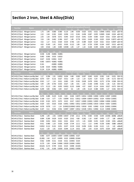| Number                             | Name                                  |              |                    |                             |          |           | <b>Chemical Composition (Percent)</b>                  |            |                |                                                    |           |           |             |                              | <b>Unit Size</b> |
|------------------------------------|---------------------------------------|--------------|--------------------|-----------------------------|----------|-----------|--------------------------------------------------------|------------|----------------|----------------------------------------------------|-----------|-----------|-------------|------------------------------|------------------|
|                                    |                                       | $\mathsf{C}$ | Si.                | Mn                          | P        | S         | Cr                                                     | Ni.        | Cu.            | <b>Mo</b>                                          | V         | Mg        | Sn          | N                            | (mm)             |
| NCS HS 11712a-1 Nitrogen Cast Iron |                                       | 1.75         | 3.40               | 0.080                       | 0.580    | 0.119     | 2.48                                                   | 0.030      | 0.025          | 0.031                                              | 0.021     | 0.0006    | 0.0031      | 0.015                        | ø28×30           |
| NCS HS 11712a-2 Nitrogen Cast Iron |                                       | 2.22         | 2.44               | 0.301                       | 0.043    | 0.058     | 2.13                                                   | 0.341      | 0.458          | 0.087                                              | 0.055     | 0.0085    | 0.044       | 0.024                        | ø28×30           |
| NCS HS 11712a-3 Nitrogen Cast Iron |                                       | 2.55         | 1.50               | 0.878                       | 0.071    | 0.045     | 0.417                                                  | 0.519      | 0.641          | 0.354                                              | 0.085     | 0.024     | 0.021       | 0.024                        | ø28×30           |
| NCS HS 11712a-4 Nitrogen Cast Iron |                                       | 3.16         | 1.96               | 0.462                       | 0.396    | 0.017     | 1.40                                                   | 0.778      | 0.921          | 0.428                                              | 0.166     | 0.025     | 0.024       |                              | 0.0073 ø28×30    |
| NCS HS 11712a-5 Nitrogen Cast Iron |                                       | 3.52         | 1.17               | 0.311                       | 0.420    | 0.019     | 0.766                                                  | 1.03       | 0.389          | 0.629                                              | 0.324     | 0.021     | 0.013       | 0.0047                       | ø28×30           |
| NCSHS 11712a-6                     | Nitrogen Cast Iron                    | 4.02         | 0.163              | 1.41                        | 0.021    | 0.026     | 0.112                                                  | 1.89       | 1.83           | 0.726                                              | 0.509     | 0.104     | 0.057       | 0.013                        | ø28×30           |
| NCS HS 11712a-7 Nitrogen Cast Iron |                                       | 3.94         | 0.918              | 1.38                        | 0.085    | 0.0048    | 1.05                                                   | 1.37       | 1.10           | 0.168                                              | 0.309     | 0.056     | 0.134       | $0.0063$ $\varnothing$ 28×30 |                  |
|                                    |                                       | TI.          | $\mathsf{Al}$      | La                          | Ce       |           |                                                        |            |                |                                                    |           |           |             |                              |                  |
| NCS HS 11712a-1 Nitrogen Cast Iron |                                       | 0.038        | 0.248              | < 0.0001                    | < 0.0001 |           |                                                        |            |                |                                                    |           |           |             |                              |                  |
| NCS HS 11712a-2 Nitrogen Cast Iron |                                       | 0.065        | 0.060              | 0.010                       | 0.0010   |           |                                                        |            |                |                                                    |           |           |             |                              |                  |
| NCS HS 11712a-3 Nitrogen Cast Iron |                                       | 0.027        | 0.034              | 0.0061                      | 0.027    |           |                                                        |            |                |                                                    |           |           |             |                              |                  |
| NCSHS 11712a-4                     | Nitrogen Cast Iron                    | 0.065        | 0.0073             | $\leq 0.0001 \leq 0.0001$   |          |           |                                                        |            |                |                                                    |           |           |             |                              |                  |
| NCS HS 11712a-5 Nitrogen Cast Iron |                                       | 0.161        |                    | $\leq 0.0001 \leq 0.0001$   |          |           |                                                        |            |                |                                                    |           |           |             |                              |                  |
| NCSHS 11712a-6                     | Nitrogen Cast Iron                    | 0.238        | 0.019              | $\leq 0.0001$ $\leq 0.0001$ |          |           |                                                        |            |                |                                                    |           |           |             |                              |                  |
| NCS HS 11712a-7 Nitrogen Cast Iron |                                       | 0.114        | 0.214              | $\leq 0.0001$ $\leq 0.0001$ |          |           |                                                        |            |                |                                                    |           |           |             |                              |                  |
|                                    |                                       |              |                    |                             |          |           | <b>Chemical Composition (Percent)</b>                  |            |                |                                                    |           |           |             |                              | <b>Unit Size</b> |
| Number                             | Name                                  | $\mathsf{C}$ | Si.                | Mn                          | P        | S         | Cr                                                     | <b>Mo</b>  | Ni.            | Cu.                                                | V         | <b>Nb</b> | W           | Co                           | (mm)             |
|                                    | NCS HS11714a-1 Medium-Low Alloy Steel | 1.17         | 0.394              | 1.91                        | 0.0052   | 0.034     | 4.48                                                   | 0.063      | 0.097          | 0.045                                              | 0.033     | 0.302     | 0.42        | 0.031                        | $D38 \times 30$  |
|                                    | NCS HS11714a-2 Medium-Low Alloy Steel | 0.075        | 0.97               | 0.131                       | 0.027    | 0.012     | 1.99                                                   | 1.23       | 1.19           | 0.253                                              | 0.24      | 0.191     | 1.94        | 0.172                        | D38×30           |
|                                    | NCS HS11714a-3 Medium-Low Alloy Steel | 0.921        | 1.17               | 1.14                        | 0.011    | 0.065     | 3.39                                                   | 0.301      | 0.628          | 0.478                                              | 0.061     | 0.272     | 0.754       | 0.508                        | $D38 \times 30$  |
|                                    | NCS HS11714a-4 Medium-Low Alloy Steel | 0.44         | 1.99               | 0.793                       | 0.033    | 0.027     | 1.06                                                   | 0.91       | 2.05           | 0.338                                              | 0.498     | 0.142     | 1.58        | 0.25                         | D38×30           |
|                                    | NCS HS11714a-5 Medium-Low Alloy Steel | 0.73         | 0.113              | 1.58                        | 0.055    | 0.0051    | 0.215                                                  | 0.606      | 4.57           | 0.607                                              | 0.114     | 0.016     | 0.027       | 0.073                        | D38×30           |
|                                    | NCS HS11714a-6 Medium-Low Alloy Steel | 0.249        | 0.85               | 0.402                       | 0.04     | 0.017     | 0.6                                                    | 1.49       | 2.95           | 0.123                                              | 0.388     | 0.045     | 1.17        | 0.361                        | $D38 \times 30$  |
|                                    |                                       |              |                    |                             |          |           |                                                        |            |                |                                                    |           |           |             |                              |                  |
|                                    |                                       | <b>Tis</b>   | <b>Tit</b>         | $\mathsf{Als}\xspace$       | Alt      | <b>Bs</b> | <b>Bt</b>                                              | As         | S <sub>n</sub> | Pb                                                 | <b>Sb</b> | Zr        | Bi          | Ca                           |                  |
|                                    | NCS HS11714a-1 Medium-Low Alloy Steel | 0.478        | 0.489              | 0.223                       | 0.226    | 0.02      | 0.026                                                  | 0.0073     |                | 0.0012 0.0006                                      | 0.0004    | 0.0054    | 0.0007      | (0.0004)                     |                  |
|                                    | NCS HS11714a-2 Medium-Low Alloy Steel | 0.188        | 0.19               | 0.77                        | 0.78     | 0.0094    | 0.011                                                  |            |                | 0.0012 0.0004 0.00007# (0.0002)                    |           | 0.024     |             | < 0.0001# (0.0005)           |                  |
|                                    | NCS HS11714a-3 Medium-Low Alloy Steel | 0.319        | 0.322              | 0.071                       | 0.072    | 0.013     | 0.017                                                  | 0.0017     |                | 0.0069 (0.0001) 0.0003                             |           | 0.0064    | 0.0004      | (0.0005)                     |                  |
|                                    | NCS HS11714a-4 Medium-Low Alloy Steel | 0.029        | 0.03               | 0.025                       | 0.026    | 0.0051    |                                                        |            |                | 0.0063 0.0012 (0.0007) (0.0006) 0.0019             |           | 0.0019    | $< 0.0001*$ | (0.0005)                     |                  |
|                                    | NCS HS11714a-5 Medium-Low Alloy Steel | 0.078        | 0.078              | 1.13                        | 1.14     |           | $(0.0002)$ $(0.0004)$ $0.0031$ $0.0018$                |            |                | 0.003<br>0.0007 0.0007 0.0012 0.0106 0.0011 0.0082 | 0.0082    | 0.218     | (0.0001)    | (0.0004)                     |                  |
|                                    | NCS HS11714a-6 Medium-Low Alloy Steel | 0.107        | 0.11               | 0.542                       | 0.552    |           | <b>Chemical Composition (Percent)</b>                  |            |                |                                                    |           | 0.113     |             | $0.0006$ $(0.0005)$          | <b>Unit Size</b> |
| Number                             | Name                                  | $\mathsf{C}$ | Si.                | Mn                          | P        | S.        | Cr                                                     | Ni.        | Cu             | <b>Mo</b>                                          | V         | Co        | Als         | Alt                          | (mm)             |
| NCSHS11715a-1                      | <b>Stainless Steel</b>                | 0.298        | 1.89               | 2.56                        | 0.0069   | 0.0037    | 27.89                                                  | 23.11      | 0.791          | 0.483                                              | 0.558     | 0.039     | (0.004)     | (0.006)                      | ø36x30           |
| NCSHS11715a-2                      | <b>Stainless Steel</b>                | 0.084        | 0.289              | 0.629                       | 0.033    | 0.020     | 23.62                                                  | 4.68       | 0.282          | 1.10                                               | 0.087     | 0.459     | 1.77        | 1.80                         | ø36x30           |
| NCSHS11715a-3                      | <b>Stainless Steel</b>                | 0.040        | 0.652              | 0.821                       | 0.021    | 0.021     | 20.62                                                  | 8.72       | 1.41           | 0.069                                              | 0.252     | 0.229     | 0.344       | 0.351                        | ø36x30           |
| NCS HS 11715a-4 Stainless Steel    |                                       | 0.011        | 0.980              | 1.19                        | 0.026    | 0.028     | 17.94                                                  | 12.11      | 4.13           | 2.13                                               | 0.440     | 0.158     | 0.085       | 0.088                        | ø36x30           |
| NCSHS11715a-5 Stainless Steel      |                                       | 0.0052       | 0.112              | 0.221                       | 0.051    | 0.037     | 15.39                                                  | 15.02      | 0.458          | 0.281                                              | 0.106     | 0.212     | 1.21        | 1.22                         | ø36x30           |
| NCS HS11715a-6 Stainless Steel     |                                       | 0.213        | 1.50               | 1.91                        | 0.019    | 0.044     | 11.14                                                  | 19.01      | 3.05           | 2.93                                               | 0.319     | 0.075     | 0.034       | 0.037                        | ø36x30           |
|                                    |                                       |              |                    |                             |          |           |                                                        |            |                |                                                    |           |           |             |                              |                  |
| NCSHS11715a-1 Stainless Steel      |                                       | TL.<br>0.080 | <b>Nb</b><br>0.077 | W                           | As       | Sn        | P <sub>b</sub><br>$(0.0007)$ 0.0007 0.0005 $(0.00005)$ | N<br>0.027 |                |                                                    |           |           |             |                              |                  |
| NCS HS 11715a-2 Stainless Steel    |                                       | (0.280)      | 2.42               | 0.217                       | 0.0095   | 0.023     | $(0.00009)$ $(0.064)$                                  |            |                |                                                    |           |           |             |                              |                  |
| NCSHS11715a-3 Stainless Steel      |                                       | 0.562        |                    | 0.311                       | 0.018    | 0.012     | $(0.0003)$ 0.019                                       |            |                |                                                    |           |           |             |                              |                  |
| NCS HS11715a-4 Stainless Steel     |                                       | 0.170        | 0.494              | 0.544                       |          |           | 0.0066 0.0029 (0.0004) 0.0091                          |            |                |                                                    |           |           |             |                              |                  |
| NCSHS11715a-5 Stainless Steel      |                                       | (0.623)      | 1.04               | 0.709                       | 0.016    | 0.014     | 0.0008                                                 | (0.020)    |                |                                                    |           |           |             |                              |                  |
|                                    |                                       |              | 0.173              |                             |          |           |                                                        |            |                |                                                    |           |           |             |                              |                  |
| NCSHS11715a-6 Stainless Steel      |                                       | 0.742        | 1.41               | 0.160                       | 0.0058   | 0.018     | $(0.0002)$ 0.0058                                      |            |                |                                                    |           |           |             |                              |                  |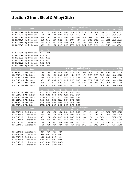|                                 |                         |              |               |                                  |               |        |        | <b>Chemical Composition(Percent)</b>  |       |        |        |               |           |                | <b>Unit Size</b> |
|---------------------------------|-------------------------|--------------|---------------|----------------------------------|---------------|--------|--------|---------------------------------------|-------|--------|--------|---------------|-----------|----------------|------------------|
| <b>Number</b>                   | <b>Name</b>             | $\mathsf{C}$ | Si.           | Mn                               | P             | S      | Cr     | <b>Ni</b>                             | Cu    | $\vee$ | TL.    | Mo            | <b>Nb</b> | Alt            | (mm)             |
| NCSHS 11716a-1                  | High Chromium Cast Iron | 1.8          | 2.72          | 0.687                            | 0.106         | 0.046  | 32.6   | 0.272                                 | 0.314 | 0.217  | 0.081  | 0.201         | 0.12      | 0.075          | ø33x21           |
| NCSHS 11716a-2                  | High Chromium Cast Iron | 1.99         | 1.12          | 1.19                             | 0.051         | 0.015  | 10.97  | 0.319                                 | 1.34  | 0.15   | 0.04   | 0.716         | 0.272     | 0.051          | ø33x21           |
| NCS HS 11716a-3                 | High Chromium Cast Iron | 3.35         | 1.42          | 1.25                             | 0.056         | 0.046  | 25.83  | 0.662                                 | 0.877 | 0.447  | 0.188  | 0.461         | 0.068     | 0.141          | ø33x21           |
| NCSHS 11716a-4                  | High Chromium Cast Iron | 2.63         | 0.572         | 2.09                             | 0.021         | 0.05   | 14.64  | 1.49                                  | 1.64  | 0.086  | 0.086  | 3.51          | 0.261     | 0.139          | ø33x21           |
| NCSHS 11716a-5                  | High Chromium Cast Iron | 2.27         | 0.713         | 1.4                              | 0.186         | 0.046  | 18.28  | 2.16                                  | 0.884 | 0.607  | 0.028  | 2.42          | 0.437     | 0.044          | ø33x21           |
| NCSHS 11716a-6                  | High Chromium Cast Iron | 3.02         | 1.72          | 1.76                             | 0.249         | 0.093  | 23.76  | 0.811                                 | 0.617 | 0.479  | 0.114  | 1.29          | 0.128     | 0.18           | ø33x21           |
|                                 |                         |              |               |                                  |               |        |        |                                       |       |        |        |               |           |                |                  |
|                                 |                         | Co           | W             |                                  |               |        |        |                                       |       |        |        |               |           |                |                  |
| NCSHS 11716a-1                  | High Chromium Cast Iron | 0.037        | 0.29          |                                  |               |        |        |                                       |       |        |        |               |           |                |                  |
| NCSHS 11716a-2                  | High Chromium Cast Iron | 0.018        | 0.352         |                                  |               |        |        |                                       |       |        |        |               |           |                |                  |
| NCSHS 11716a-3                  | High Chromium Cast Iron | 0.357        | 0.519         |                                  |               |        |        |                                       |       |        |        |               |           |                |                  |
| NCS HS 11716a-4                 | High Chromium Cast Iron | 0.124        | 0.025         |                                  |               |        |        |                                       |       |        |        |               |           |                |                  |
| NCSHS 11716a-5                  | High Chromium Cast Iron | 0.031        | 0.071         |                                  |               |        |        |                                       |       |        |        |               |           |                |                  |
| NCSHS 11716a-6                  | High Chromium Cast Iron | 0.206        | 0.18          |                                  |               |        |        |                                       |       |        |        |               |           |                |                  |
| <b>Number</b>                   | Name                    |              |               |                                  |               |        |        | <b>Chemical Composition (Percent)</b> |       |        |        |               |           |                | <b>Unit Size</b> |
|                                 |                         | $\mathsf{C}$ | Si.           | Mn                               | P             | S      | Cr     | Ni.                                   | Сu    | Mo     | V      | m.            | Co        | P <sub>b</sub> | (mm)             |
| NCS HS 11718a-1 Alloy Cast Iron |                         | 1.84         | 3.52          | 1.52                             | 0.036         | 0.060  | 0.815  | 0.740                                 | 0.085 | 0.071  | 0.107  | 0.082         |           | 0.0059 0.0008  | ø32X20           |
| NCS HS 11718a-2 Alloy Cast Iron |                         | 2.53         | 2.59          | 1.04                             | 0.066         | 0.029  | 1.49   | 0.118                                 | 1.79  | 0.153  | 0.158  | 0.042         |           | 0.0062 0.0008  | ø32X20           |
| NCS HS 11718a-3 Alloy Cast Iron |                         | 3.70         | 2.04          | 0.520                            | 0.270         | 0.039  | 0.211  | 0.288                                 | 0.767 | 0.600  | 0.059  | 0.140         |           | 0.0027 0.0010  | ø32X20           |
| NCS HS 11718a-4 Alloy Cast Iron |                         | 3.32         | 1.47          | 0.762                            | 0.151         | 0.017  | 0.523  | 0.489                                 | 1.03  | 0.791  | 0.322  | 0.160         |           | 0.0037 0.0004  | ø32X20           |
| NCS HS 11718a-5 Alloy Cast Iron |                         | 2.88         | 1.01          | 0.331                            | 0.703         | 0.172  | 1.98   | 1.53                                  | 0.407 | 0.301  | 0.066  | 0.033         | 0.011     | 0.0002         | ø32X20           |
| NCS HS 11718a-6 Alloy Cast Iron |                         | 4.03         | 0.570         | 0.103                            | 0.042         | 0.019  | 0.058  | 1.20                                  | 1.26  | 1.18   | 0.579  | 0.057         | 0.020     | 0.0004 ø32X20  |                  |
|                                 |                         | As           | Alt           | W                                | <b>Nb</b>     | Sb     | B      | Sn                                    |       |        |        |               |           |                |                  |
| NCS HS 11718a-1 Alloy Cast Iron |                         | 0.012        | 0.018         | 0.76                             | 0.114         | 0.103  | 0.0078 | 0.098                                 |       |        |        |               |           |                |                  |
| NCS HS 11718a-2 Alloy Cast Iron |                         | 0.030        | 0.098         | 0.076                            | 0.068         | 0.0041 | 0.012  | 0.034                                 |       |        |        |               |           |                |                  |
| NCS HS 11718a-3 Alloy Cast Iron |                         | 0.0080       | 0.113         | 0.025                            | 0.250         | 0.084  | 0.043  | 0.143                                 |       |        |        |               |           |                |                  |
| NCS HS 11718a-4                 | Alloy Cast Iron         | 0.013        | 0.154         | 0.283                            | 0.5114        | 0.084  | 0.071  | 0.0068                                |       |        |        |               |           |                |                  |
| NCS HS 11718a-5                 | Alloy Cast Iron         | 0.016        | 0.058         | 0.494                            | 0.045         | 0.025  | 0.026  | 0.069                                 |       |        |        |               |           |                |                  |
| NCS HS 11718a-6 Alloy Cast Iron |                         | 0.0053       | 0.172         | 0.103                            | 0.092         | 0.198  | 0.072  | 0.051                                 |       |        |        |               |           |                |                  |
|                                 |                         |              |               |                                  |               |        |        | Chemical Composition(Percent)         |       |        |        |               |           |                | <b>Unit Size</b> |
| <b>Number</b>                   | <b>Name</b>             | $\mathsf{C}$ | Si            | Mn                               | P             | S      | Cr     | Ni.                                   | Mo    | Cu     | $\top$ | $\mathsf{Al}$ | V         | Sb             | (mm)             |
| NCS HS 11722-1                  | Ductile Cast Iron       | 2.12         | 3.88          | 0.26                             | 0.38          | 0.004  | 0.040  | 0.026                                 | 0.77  | 0.21   | 0.37   | 0.17          | 0.031     | 0.003          | ø36X15           |
| NCS HS 11722-2                  | Ductile Cast Iron       | 2.46         | 1.44          | 1.09                             | 0.074         | 0.035  | 0.083  | 0.025                                 | 0.56  | 1.51   | 0.143  | 0.070         | 0.067     | 0.052          | ø36X15           |
| NCS HS 11722-3                  | Ductile Cast Iron       | 3.62         | 1.85          | 0.60                             | 0.049         | 0.012  | 0.069  | 0.017                                 | 0.38  | 0.76   | 0.13   | 0.094         | 0.10      | 0.094          | ø36X15           |
| NCS HS 11722-4                  | Ductile Cast Iron       | 3.24         | 2.84          | 0.46                             | 0.049         | 0.016  | 0.093  | 0.078                                 | 0.16  | 0.24   | 0.082  | 0.083         | 0.11      | 0.038          | ø36X15           |
| NCS HS 11722-5                  | Ductile Cast Iron       | 2.70         | 2.03          | 0.77                             | 0.16          | 0.087  | 0.045  | 0.023                                 | 0.12  | 1.23   | 0.20   | 0.13          | 0.30      | 0.12           | ø36X15           |
| <b>NCS HS 11722-6</b>           | Ductile Cast Iron       | 4.04         | 0.88          | 0.89                             | 0.29          | 0.14   | 0.13   | 0.035                                 | 0.079 | 0.61   | 0.053  | 0.044         | 0.50      | 0.20           | ø36X15           |
|                                 |                         |              |               |                                  |               |        |        |                                       |       |        |        |               |           |                |                  |
| NCS HS 11722-1                  | Ductile Cast Iron       | Sn.          | Mg            | La                               | Ce.           |        |        |                                       |       |        |        |               |           |                |                  |
| NCS HS 11722-2                  | Ductile Cast Iron       | 0.30<br>0.24 | 0.07<br>0.041 | 0.06<br>0.018                    | 0.20<br>0.062 |        |        |                                       |       |        |        |               |           |                |                  |
|                                 |                         |              |               |                                  |               |        |        |                                       |       |        |        |               |           |                |                  |
| NCS HS 11722-3                  | Ductile Cast Iron       | 0.18         | 0.060         | 0.045                            | 0.11          |        |        |                                       |       |        |        |               |           |                |                  |
| NCS HS 11722-4                  | Ductile Cast Iron       | 0.090        | 0.033         | 0.002                            | 0.004         |        |        |                                       |       |        |        |               |           |                |                  |
| <b>NCS HS 11722-5</b>           | Ductile Cast Iron       | 0.065        | 0.004         | $(0.0005)$ $(0.003)$<br>(0.0005) |               |        |        |                                       |       |        |        |               |           |                |                  |
| NCS HS 11722-6                  | Ductile Cast Iron       | 0.016        | 0.007         |                                  | (0.003)       |        |        |                                       |       |        |        |               |           |                |                  |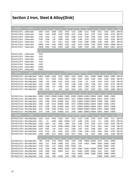| Number                                                               | Name              | $\mathsf{C}$   | Si             | Mn             | P                               | S.             | Cr             | <b>Chemical Composition (Percent)</b><br>Ni. | Cu.                              | V.                       | <b>Als</b>       | Alt              | <b>Tis</b>       | <b>Unit Size</b><br>(mm) |
|----------------------------------------------------------------------|-------------------|----------------|----------------|----------------|---------------------------------|----------------|----------------|----------------------------------------------|----------------------------------|--------------------------|------------------|------------------|------------------|--------------------------|
| NCS HS 11719-1                                                       | Carbon steel      | 0.963          | 0.241          | 0.586          | 0.022                           | 0.010          | 0.131          | 0.206                                        | 0.111                            | 0.035                    | 0.017            | 0.019            | 0.015            | ø38×30                   |
| NCS HS 11719-2                                                       | Carbon steel      | 0.042          | 0.154          | 0.048          | 0.105                           | 0.0053         | 0.247          | 0.432                                        | 0.411                            | 0.207                    | 0.292            | 0.296            | 0.154            | ø38×30                   |
| NCS HS 11719-3                                                       | Carbon steel      | 0.435          | 0.163          | 1.14           | 0.045                           | 0.020          | 0.086          | 0.114                                        | 0.160                            | 0.099                    | 0.016            | 0.019            | 0.023            | ø38×30                   |
| NCS HS 11719-4                                                       | Carbon steel      | 0.140          | 0.526          | 1.30           | 0.084                           | 0.020          | 0.198          | 0.344                                        | 0.276                            | 0.153                    | 0.155            | 0.160            | 0.128            | ø38×30                   |
| NCS HS 11719-5                                                       | Carbon steel      | 1.19           | 0.751          | 2.20           | 0.011                           | 0.013          | 0.439          | 0.164                                        | 0.046                            | 0.0082                   | 0.034            | 0.036            | 0.028            | ø38×30                   |
| NCS HS 11719-6                                                       | Carbon steel      | 0.0060         | 0.014          | 0.163          | 0.0053                          | 0.035          | 0.021          | 0.013                                        | 0.0032                           | 0.363                    | 0.0016           | 0.0021           | 0.0008           | ø38×30                   |
| NCS HS 11719-7                                                       | Carbon steel      | 0.0048         | 0.055          | 0.145          | 0.0076                          | 0.069          | 0.061          | 0.048                                        | 0.018                            | 0.362                    | 0.0011           | 0.0014           | 0.0012           | ø38×30                   |
|                                                                      |                   | <b>Tit</b>     |                |                |                                 |                |                |                                              |                                  |                          |                  |                  |                  |                          |
| NCS HS 11719-1                                                       | Carbon steel      | 0.016          |                |                |                                 |                |                |                                              |                                  |                          |                  |                  |                  |                          |
| NCS HS 11719-2                                                       | Carbon steel      | 0.161          |                |                |                                 |                |                |                                              |                                  |                          |                  |                  |                  |                          |
| NCS HS 11719-3                                                       | Carbon steel      | 0.024          |                |                |                                 |                |                |                                              |                                  |                          |                  |                  |                  |                          |
| NCS HS 11719-4                                                       | Carbon steel      | 0.132          |                |                |                                 |                |                |                                              |                                  |                          |                  |                  |                  |                          |
| NCS HS 11719-5                                                       | Carbon steel      | 0.029          |                |                |                                 |                |                |                                              |                                  |                          |                  |                  |                  |                          |
| NCS HS 11719-6                                                       | Carbon steel      | 0.0010         |                |                |                                 |                |                |                                              |                                  |                          |                  |                  |                  |                          |
| NCS HS 11719-7                                                       | Carbon steel      | 0.0014         |                |                |                                 |                |                |                                              |                                  |                          |                  |                  |                  |                          |
| Number                                                               | Name              |                |                |                |                                 |                |                | <b>Chemical Composition (Percent)</b>        |                                  |                          |                  |                  |                  | <b>Unit Size</b>         |
|                                                                      |                   | $\mathsf{C}$   | Si.            | Mn             | P                               | S.             | Cr             | Mo                                           | Ni.                              | Cu                       | Als              | Alt              | TI.              | (mm)                     |
| NCS HS11717a-1                                                       | Micro Alloy Steel | 0.0023         | 0.0054         | 0.018          | 0.012                           | 0.0027         | 0.023          | 0.0053                                       | 0.011                            | 0.0036                   | 0.0069           | 0.0078           | 0.0002           | $D38\times30$            |
| NCS HS11717a-3                                                       | Micro Alloy Steel | 0.032          | 1.55           | 0.303          | 0.018                           | 0.067          | 0.236          | 0.034                                        | 0.563                            | 0.403                    | 0.295            | 0.298            | 0.049            | D38×30                   |
| NCS HS11717a-4 Micro Alloy Steel                                     |                   | 0.096          | 1.09           | 0.669          | 0.012                           | (0.05)         | 0.102          | 0.144                                        | 0.4                              | 0.316                    | 0.214            | 0.216            | 0.202            | $D38 \times 30$          |
| NCS HS11717a-5                                                       | Micro Alloy Steel | 0.243          | 0.769          | 1.04           | 0.03                            | 0.042          | 0.106          | 0.105                                        | 0.393                            | 0.248                    | 0.101            | 0.104            | 0.178            | D38×30                   |
| NCS HS11717a-6 Micro Alloy Steel                                     |                   | 0.387          | 0.436          | 1.47           | 0.038                           | 0.03           | 0.409          | 0.071                                        | 0.206                            | 0.167                    | 0.05             | 0.051            | 0.124            | D38×30                   |
| NCS HS11717a-7 Micro Alloy Steel                                     |                   | 0.498          | 0.176          | 2.1            | 0.05                            | 0.022          | 0.612          | 0.196                                        | 0.107                            | 0.075                    | 0.022            | 0.024            | 0.088            | D38×30                   |
|                                                                      |                   |                |                |                |                                 |                |                |                                              |                                  |                          |                  |                  |                  |                          |
|                                                                      |                   |                |                |                |                                 |                |                |                                              |                                  |                          |                  |                  |                  |                          |
|                                                                      |                   | $\vee$         | Co             | <b>Nb</b>      | P <sub>b</sub>                  | Sn             | As             | <b>Sb</b>                                    | <b>Bi</b>                        | Ca                       | <b>Bs</b>        | <b>Bt</b>        | N                |                          |
| NCS HS11717a-1 Micro Alloy Steel                                     |                   | $-0.0001$      | 0.0015         |                | $(\leq 0.0005)$ $(\leq 0.0001)$ | 0.0002         | 0.0034         |                                              | $0.00041$ (<0.00001) $0.0001$ #  |                          | 0.0002           | 0.0004           | 0.0016           |                          |
| NCS HS11717a-2 Micro Alloy Steel                                     |                   | 0.011          | 0.058          | 0.031          | (<0.0001)                       | 0.0073         | 0.011          |                                              | $0.00031$ (<0.00001) $0.0001$ #  |                          | 0.0011           | 0.0012           | 0.0017           |                          |
| NCS HS11717a-3 Micro Alloy Steel                                     |                   | 0.052          | 0.099          | 0.079          | (0.0001)                        | 0.016          | 0.019          |                                              | $0.00041$ (<0.00001) $0.0001$ #  |                          | 0.0018           | 0.002            | 0.0032           |                          |
| NCS HS11717a-4 Micro Alloy Steel                                     |                   | 0.098          | 0.146          | 0.223          | (0.0001)                        | 0.049          | 0.073          |                                              | $0.00044$ $(0.00001)$ $0.0001$ # |                          | 0.0085           | 0.0096           | 0.0031           |                          |
| NCS HS11717a-5 Micro Alloy Steel                                     |                   | 0.257          | 0.296          | 0.318          | (<0.0001)                       | 0.099          | 0.071          |                                              | $0.00052$ $(0.00001)$ $0.0001$ # |                          | 0.0071           | 0.0074           | 0.0048           |                          |
| NCS HS11717a-6 Micro Alloy Steel                                     |                   | 0.201          | 0.248          | 0.106          | (<0.0001)                       | 0.151          | 0.045          |                                              | 0.00048 (0.00001) 0.0001#        |                          | 0.0047           | 0.0049           | 0.0049           |                          |
| NCS HS11717a-7 Micro Alloy Steel                                     |                   | 0.147          | 0.198          | 0.153          | (0.0001)                        | 0.197          | 0.034          | 0.0005                                       |                                  | (0.00001) 0.0001# 0.0031 |                  | 0.0033           | 0.0063           |                          |
| Number                                                               | Name              | $\mathsf{C}$   | Si.            | Mn             | P                               | S              | Cr             | <b>Chemical Composition(Percent)</b><br>Mo   | Ni.                              | Cu                       | Als              | Alt              | $\mathsf T$      | <b>Unit Size</b><br>(mm) |
| NCS HS11717b-1 Micro Alloy Steel                                     |                   | 0.452          | 0.161          | 0.414          | 0.035                           | 0.017          | 0.212          | 0.157                                        | 0.432                            | 0.155                    | 0.074            | 0.075            | 0.11             | $D38 \times 30$          |
| NCS HS11717b-2 Micro Alloy Steel                                     |                   | 0.011          | 1.6            | 0.646          | 0.043                           | 0.0049         | 0.127          | 0.208                                        | 0.236                            | 0.116                    | 0.3              | 0.302            | 0.071            | D38×30                   |
| NCS HS11717b-3 Micro Alloy Steel                                     |                   | 0.028          | 0.822          | 1.96           | 0.049                           | 0.048          | 0.64           | 0.306                                        | 0.125                            | 0.026                    | 0.279            | 0.283            | 0.028            | $D38 \times 30$          |
| NCS HS11717b-4 Micro Alloy Steel                                     |                   | 0.0025         | 0.168          | 0.176          | 0.0084                          | 0.0061         | 0.098          | 0.071                                        | 0.048                            | 0.279                    | 0.012            | 0.013            | 0.206            | D38×30                   |
| NCS HS11717b-5 Micro Alloy Steel                                     |                   | 0.078          | 0.567          | 1.64           | 0.015                           | 0.011          | 0.436          | 0.257                                        | 0.332                            | 0.048                    | 0.029            | 0.03             | 0.191            | $D38 \times 30$          |
| NCS HS11717b-6 Micro Alloy Steel                                     |                   | 0.236          | 0.122          | 1.05           | 0.021                           | 0.022          | 0.374          | 0.104                                        | 0.104                            | 0.236                    | 0.061            | 0.061            | 0.159            | D38×30                   |
| NCS HS11717b-7 Micro Alloy Steel                                     |                   | 0.369          | 0.065          | 0.117          | 0.0075                          | 0.043          | 0.077          | 0.029                                        | 0.21                             | 0.367                    | 0.238            | 0.242            | 0.299            | $D38 \times 30$          |
|                                                                      |                   |                |                |                |                                 |                |                |                                              |                                  |                          |                  |                  |                  |                          |
|                                                                      |                   | V              | Co             | <b>Nb</b>      | Pb                              | Sn             | As             | Sb                                           | Bi                               | Ca                       | <b>Bs</b>        | <b>Bt</b>        | N                |                          |
| NCS HS11717a-1 Micro Alloy Steel                                     |                   | 0.01           | 0.145          | 0.125          | 0.0012                          | 0.039          | 0.016          | 0.028                                        | 0.0006                           | 0.0001#                  | 0.015            | 0.016            | 0.0039           |                          |
| NCS HS11717a-2 Micro Alloy Steel                                     |                   | 0.062          | 0.21           | 0.056          | 0.0005                          | 0.027          | 0.021          | 0.016                                        | 0.0015                           | 0.0008                   | 0.0019           | 0.0024           | 0.004            |                          |
| NCS HS11717a-3 Micro Alloy Steel                                     |                   | 0.149          | 0.021          | 0.24           | 0.0038                          | 0.069          | 0.0022         | 0.01                                         |                                  |                          | 0.0031           | 0.0033           | 0.023            |                          |
| NCS HS11717a-4 Micro Alloy Steel                                     |                   | 0.215          | 0.236          | 0.038          | 0.0009                          | 0.0016         | 0.039          | 0.0087                                       |                                  | $0.0007$ $0.0001#$       | 0.0018           | 0.002            | 0.0037           |                          |
| NCS HS11717a-5 Micro Alloy Steel                                     |                   | 0.105          | 0.042          | 0.014          | 0.0051                          | 0.012          | 0.01           | 0.0051                                       | 0.0003                           | 0.0002                   | 0.011            | 0.012            | 0.006            |                          |
| NCS HS11717a-6 Micro Alloy Steel<br>NCS HS11717a-7 Micro Alloy Steel |                   | 0.042<br>0.326 | 0.087<br>0.296 | 0.065<br>0.303 | 0.0003                          | 0.015<br>0.103 | 0.012<br>0.098 | 0.0022<br>0.0004                             | 0.0002                           | 0.0004                   | 0.0056<br>0.0005 | 0.0059<br>0.0006 | 0.0063<br>0.0035 |                          |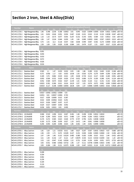| Number                           | <b>Name</b>                                      |                       |                |                  |               |                |            | <b>Chemical Composition(Percent)</b>        |                   |               |                |                 |              |               | <b>Unit Size</b>                    |
|----------------------------------|--------------------------------------------------|-----------------------|----------------|------------------|---------------|----------------|------------|---------------------------------------------|-------------------|---------------|----------------|-----------------|--------------|---------------|-------------------------------------|
| NCS HS 11720-1                   | High Manganese Alloy                             | C.<br>1.96            | Si.<br>0.348   | Mn<br>22.96      | P<br>0.188    | S.<br>0.0063   | Cr<br>3.01 | Ni.<br>0.045                                | Cu<br>0.025       | Co.<br>0.0094 | Mo<br>0.0095   | $\vee$<br>0.034 | B.<br>0.0021 | Ti.<br>0.0041 | (mm)<br>ø30×24                      |
| NCS HS 11720-2                   | High Manganese Alloy                             | 1.61                  | 0.652          | 10.66            | 0.052         | 0.054          | 0.467      | 0.328                                       | 0.221             | 0.010         | 0.118          | 0.132           | 0.0038       | 0.047         | ø30×24                              |
| NCS HS 11720-3                   | High Manganese Alloy                             | 1.16                  | 1.16           | 16.75            | 0.077         | 0.055          | 0.257      | 0.152                                       | 0.143             | 0.091         | 0.589          | 0.53            | 0.0013       | 0.03          | ø30×24                              |
| <b>NCS HS 11720-4</b>            | High Manganese Alloy                             | 1.06                  | 1.47           | 15.04            | 0.044         | 0.059          | 1.45       | 1.66                                        | 0.089             | 0.0093        | 0.881          | 0.567           | 0.0023       | 0.013         | ø30×24                              |
| NCS HS 11720-5                   | High Manganese Alloy                             | 0.75                  | 1.01           | 12.2             | 0.118         | 0.037          | 0.68       | 0.838                                       | 0.449             | 0.007         | 0.302          | 0.273           | 0.0009       | 0.018         | ø30×24                              |
| NCS HS 11720-6                   | High Manganese Alloy                             | 2.38                  | 1.69           | 5.36             | 0.029         | 0.108          | 0.084      | 3.43                                        | 0.474             | 0.107         | 1.51           | 0.837           | 0.017        | 0.218         | ø30×24                              |
|                                  |                                                  |                       |                |                  |               |                |            |                                             |                   |               |                |                 |              |               |                                     |
|                                  |                                                  | $\overline{N}$        |                |                  |               |                |            |                                             |                   |               |                |                 |              |               |                                     |
| NCS HS 11720-1                   | High Manganese Alloy                             | 0.091                 |                |                  |               |                |            |                                             |                   |               |                |                 |              |               |                                     |
| NCS HS 11720-2                   | High Manganese Alloy                             | 0.054                 |                |                  |               |                |            |                                             |                   |               |                |                 |              |               |                                     |
| NCS HS 11720-3                   | High Manganese Alloy                             | 0.033                 |                |                  |               |                |            |                                             |                   |               |                |                 |              |               |                                     |
| NCS HS 11720-4                   | High Manganese Alloy 0.072                       |                       |                |                  |               |                |            |                                             |                   |               |                |                 |              |               |                                     |
| NCS HS 11720-5                   | High Manganese Alloy                             | 0.026                 |                |                  |               |                |            |                                             |                   |               |                |                 |              |               |                                     |
| NCS HS 11720-6                   | High Manganese Alloy 0.016                       |                       |                |                  |               |                |            |                                             |                   |               |                |                 |              |               |                                     |
| Number                           | Name                                             |                       |                |                  |               |                |            | <b>Chemical Composition (Percent)</b>       |                   |               |                |                 |              |               | <b>Unit Size</b>                    |
| NCS HS 11721-1                   | <b>Stainless Steel</b>                           | $\mathsf{C}$<br>0.583 | Si.<br>$1.1\,$ | Mn<br>1.47       | P.<br>0.033   | S<br>0.032     | Cr<br>8.55 | Ni.<br>1.98                                 | <b>Mo</b><br>1.86 | Co<br>0.289   | Cu.<br>0.321   | TL.<br>0.463    | V<br>0.329   | Alt<br>0.248  | (mm)<br>ø38×30                      |
| NCS HS 11721-2                   | <b>Stainless Steel</b>                           | 0.371                 | 0.958          | 1.17             | 0.03          | 0.053          | 10.08      | 1.43                                        | 0.503             | 0.276         | 0.279          | 0.694           | 0.298        | 0.196         | ø38×30                              |
| NCS HS 11721-3                   | <b>Stainless Steel</b>                           | 0.189                 | 0.76           | 0.882            | 0.019         | 0.021          | 2.09       | 0.638                                       | 0.734             | 0.213         | 0.217          | 0.369           | 0.189        | 0.091         | ø38×30                              |
| NCS HS 11721-4                   | <b>Stainless Steel</b>                           | 0.093                 | 0.506          | 0.531            | 0.029         | 0.026          | 17.43      | 0.632                                       | 0.089             | 0.176         | 0.169          | 0.288           | 0.241        | 0.124         | ø38×30                              |
| NCS HS 11721-5                   | <b>Stainless Steel</b>                           | 0.052                 | 0.584          | 0.675            | 0.022         | 0.027          | 21.49      | 1.01                                        | 0.263             | 0.126         | 0.12           | 0.141           | 0.142        | 0.026         | ø38×30                              |
| NCS HS 11721-6                   | <b>Stainless Steel</b>                           | 0.0021                | 0.301          | 0.366            | 0.011         | 0.014          | 26.29      | 0.37                                        | 1.03              | 0.074         | 0.072          | 0.092           | 0.099        | 0.0065        | ø38×30                              |
| NCS HS 11721-7                   | <b>Stainless Steel</b>                           | 0.0014                | 0.117          | 0.198            | 0.0064        | 0.0055         | 28.38      | 0.04                                        | 1.57              | 0.0085        | 0.0045         | 0.0053          | 0.016        |               | $0.0026$ $0.038 \times 30$          |
|                                  |                                                  |                       |                |                  |               |                |            |                                             |                   |               |                |                 |              |               |                                     |
|                                  |                                                  | As                    | Sn             | <b>Pb</b>        | N.            | <b>Nb</b>      |            |                                             |                   |               |                |                 |              |               |                                     |
| NCS HS 11721-1                   | <b>Stainless Steel</b>                           | 0.0027                | 0.0042         | (0.0002)         | 0.0084        | 0.55           |            |                                             |                   |               |                |                 |              |               |                                     |
| NCS HS 11721-2                   | <b>Stainless Steel</b>                           | 0.0051                | 0.01           | 0.00037          | 0.0081        | 0.763          |            |                                             |                   |               |                |                 |              |               |                                     |
| NCS HS 11721-3                   | <b>Stainless Steel</b>                           | 0.017                 | 0.039          | 0.0009           | 0.015         | 0.387          |            |                                             |                   |               |                |                 |              |               |                                     |
| NCS HS 11721-4                   | <b>Stainless Steel</b>                           | 0.022                 | 0.034          | (0.0002)         | 0.023         | 0.291          |            |                                             |                   |               |                |                 |              |               |                                     |
| NCS HS 11721-5                   | <b>Stainless Steel</b>                           | 0.013                 | 0.026          | 0.0007<br>0.0007 | 0.037         | 0.137<br>0.092 |            |                                             |                   |               |                |                 |              |               |                                     |
| NCS HS 11721-6<br>NCS HS 11721-7 | <b>Stainless Steel</b><br><b>Stainless Steel</b> | 0.024<br>0.036        | 0.017<br>0.051 | 0.0021           | 0.043<br>0.01 | 0.009          |            |                                             |                   |               |                |                 |              |               |                                     |
|                                  |                                                  |                       |                |                  |               |                |            | <b>Chemical Composition (Percent)</b>       |                   |               |                |                 |              |               | <b>Unit Size</b>                    |
| Number                           | Name                                             | $\mathsf{C}$          | Si             | Mn               | P             | S.             | Cr         | Mo                                          | W                 | $\vee$        | B <sub>1</sub> | B <sub>2</sub>  |              |               | (mm)                                |
| NCS HS 13704-1                   | 12CrMoWVB                                        | 0.068                 | 0.510          | 1.096            | 0.012         | 0.047          | 0.281      | 1.46                                        | 0.298             | 0.394         | 0.0012         | 0.0010          |              |               | ø35×25                              |
| NCS HS 13704-2                   | 12CrMoWVB                                        | 0.100                 | 0.290          | 0.853            | 0.016         | 0.071          | 0.486      | 1.19                                        | 0.438             | 0.206         |                | 0.0021 0.0016   |              |               | ø35×25                              |
| NCS HS 13704-3                   | 12CrMoWVB                                        | 0.176                 | 0.272          | 0.585            | 0.023         | 0.028          | 0.775      | 0.747                                       | 0.796             | 0.251         | 0.0038         | 0.0030          |              |               | ø35×25                              |
| NCS HS 13704-4                   | 12CrMoWVB                                        | 0.193                 | 0.173          | 0.396            | 0.039         | 0.027          | 1.19       | 0.472                                       | 1.44              | 0.061         |                | 0.0068 0.0058   |              |               | ø35×25                              |
| NCS HS 13704-5 12CrMoWVB         |                                                  | 0.256                 | 0.055          | 0.269            | 0.048         | 0.010          | 1.46       | 0.301                                       | 1.94              | 0.041         | 0.0090 0.0081  |                 |              |               | ø35×25                              |
| <b>Number</b>                    | Name                                             | $\mathsf{C}$          | Si.            | Mn               | P             | S              | Cr         | <b>Chemical Composition (Percent)</b><br>Mo | W                 | V             | B <sub>r</sub> | $B_{s}$         | Ni.          | Cu            | <b>Unit Size</b><br>(mm)            |
| NCS HS 13705-1                   | Alloy Cast Iron                                  | 1.81                  | 3.20           | 1.21             | 0.0233        | 0.011          | 3.08       | 0.627                                       | 0.207             | 0.507         |                | 0.0031 0.0023   | 4.67         | 0.680         | ø30×30                              |
| NCS HS 13705-2                   | Alloy Cast Iron                                  | 2.46                  | 2.59           | 1.72             | 0.472         | 0.0185         | 0.227      | 0.191                                       | 0.404             | 0.406         |                | 0.0065 0.0060   | 1.92         | 0.206         | ø30×30                              |
| NCSHS13705-3                     | Alloy Cast Iron                                  | 2.97                  | 1.99           | 1.48             | 0.313         | 0.0224         | 0.485      | 0.380                                       | 0.303             | 0.308         | 0.015          | 0.012           | 2.44         | 0.432         | ø30×30                              |
| NCSHS13705-4                     | Alloy Cast Iron                                  | 3.21                  | 1.44           | 0.142            | 1.57          | 0.121          | 1.47       | 0.0679                                      | 0.333             | 0.213         |                | 0.0310 0.0294   | 3.02         | 1.24          | ø30×30                              |
| NCSHS13705-5                     | Alloy Cast Iron                                  | 3.33                  | 1.02           | 0.947            | 0.142         | 0.0556         | 1.12       | 0.751                                       | 0.169             | 0.156         | 0.059          | 0.051           | 0.971        | 0.753         | ø30×30                              |
| NCSHS13705-6                     | Alloy Cast Iron                                  | 3.65                  | 0.551          | 0.480            |               | 0.0582 0.0732  | 1.96       | 1.37                                        | 0.111             |               | 0.0746 0.0846  | 0.0815          | 0.446        | 1.03          | ø30×30                              |
| NCS HS 13705-7                   | Alloy Cast Iron                                  | 3.99                  | 0.284          | 1.98             | 0.211         | 0.0375         | 0.208      | 2.20                                        | 0.447             | 0.0321        | 0.124          | 0.105           |              |               | $0.0713$ 0.0609 $\varnothing$ 30×30 |
|                                  |                                                  | TL.                   |                |                  |               |                |            |                                             |                   |               |                |                 |              |               |                                     |
| NCS HS 13705-1                   | Alloy Cast Iron                                  | 0.268                 |                |                  |               |                |            |                                             |                   |               |                |                 |              |               |                                     |
| NCSHS13705-2                     | Alloy Cast Iron                                  | 0.354                 |                |                  |               |                |            |                                             |                   |               |                |                 |              |               |                                     |
| NCSHS13705-3                     | Alloy Cast Iron                                  | 0.462                 |                |                  |               |                |            |                                             |                   |               |                |                 |              |               |                                     |
| NCSHS13705-4                     | Alloy Cast Iron                                  | 0.156                 |                |                  |               |                |            |                                             |                   |               |                |                 |              |               |                                     |
| NCSHS 13705-5                    | Alloy Cast Iron                                  | 0.104                 |                |                  |               |                |            |                                             |                   |               |                |                 |              |               |                                     |
| NCSHS13705-6                     | Alloy Cast Iron                                  | 0.116                 |                |                  |               |                |            |                                             |                   |               |                |                 |              |               |                                     |
| NCSHS13705-7                     | Alloy Cast Iron                                  | 0.0213                |                |                  |               |                |            |                                             |                   |               |                |                 |              |               |                                     |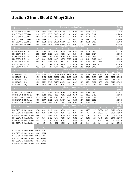| <b>Number</b>                        | <b>Name</b>                   |              |                |                |        |        | <b>Chemical Composition (Percent)</b>         |           |                                       |               |             |        |       |       | <b>Unit Size</b>         |
|--------------------------------------|-------------------------------|--------------|----------------|----------------|--------|--------|-----------------------------------------------|-----------|---------------------------------------|---------------|-------------|--------|-------|-------|--------------------------|
|                                      |                               | $\mathsf{C}$ | <b>Si</b>      | Mn             | P      | S.     | Cr                                            | Ni.       | Cu                                    | $\mathsf{Al}$ | Mo          |        |       |       | (mm)                     |
| NCS HS 16704-1 38CrMoAl              |                               | 0.196        | 0.447<br>0.581 | 0.543<br>0.790 | 0.0106 | 0.0101 | 2.22                                          | 0.460     | 0.082                                 | 0.383         | 0.476       |        |       |       | ø32×48<br>ø32×48         |
| NCS HS 16704-2 38CrMoAl              |                               | 0.141        |                |                | 0.0102 | 0.0100 | 1.86                                          | 0.103     | 0.054                                 | 0.508         | 0.341       |        |       |       |                          |
| NCS HS 16704-3                       | 38CrMoAl                      | 0.370        | 0.239          | 0.469          | 0.0166 | 0.0492 | 1.58                                          | 0.197     | 0.463                                 | 0.790         | 0.148       |        |       |       | ø32×48                   |
| <b>NCS HS 16704-4</b>                | 38CrMoAl                      | 0.706        | 0.224          | 0.196          | 0.0397 | 0.0375 | 1.97                                          | 0.479     | 0.07                                  | 0.247         | 0.391       |        |       |       | ø32×48                   |
| NCS HS 16704-5 38CrMoAl              |                               | 0.238        | 0.364          | 0.546          | 0.0268 | 0.0104 | 1.16                                          | 0.067     | 0.295                                 | 0.962         | 0.092       |        |       |       | ø32×48                   |
| NCS HS 16704-6 38CrMoAl              |                               | 0.532        | 0.310          | 0.421          | 0.0379 | 0.0093 | 0.99<br><b>Chemical Composition</b> (Percent) | 0.045     | 0.120                                 | 1.38          | 0.044       |        |       |       | ø32×48                   |
| <b>Number</b>                        | Name                          | $\mathsf{C}$ | <b>Si</b>      | Mn             | P      | S      | Cr                                            | <b>Ni</b> | $\vee$                                | Ti.           | As          | Mo     |       |       | <b>Unit Size</b><br>(mm) |
| NCS HS 19701-1 Pig Iron              |                               | 2.45         | 0.099          | 0.072          | 0.011  | 0.019  | 0.513                                         | 0.183     | 0.009                                 | 0.006         | 0.005       |        |       |       | ø30×30                   |
| NCS HS 19701-2 Pig Iron              |                               | 2.98         | 0.937          | 0.329          | 0.033  | 0.038  | 0.08                                          | 0.194     | 0.044                                 | 0.216         | 0.024       |        |       |       | ø30×30                   |
| NCS HS 19701-3 Pig Iron              |                               | 3.29         | 0.689          | 1.22           | 0.044  | 0.056  | 0.03                                          | 0.045     | 0.071                                 | 0.043         | 0.009       |        |       |       | ø30×30                   |
| NCS HS 19701-4 Pig Iron              |                               | 3.7          | 0.45           | 0.857          | 0.087  | 0.076  | 0.118                                         | 0.032     | 0.158                                 | 0.03          | 0.002       | 0.031  |       |       | ø30×30                   |
| NCS HS 19701-5 Pig Iron              |                               | 3.67         | 0.18           | 0.596          | 0.072  | 0.117  | 0.17                                          | 0.504     | 0.335                                 | 0.066         | 0.002       | 0.68   |       |       | ø30×30                   |
| NCS HS 19701-6                       | Pig Iron                      | 3.93         | 0.99           | 1.46           | 0.168  | 0.124  | 0.388                                         | 0.094     | 0.506                                 | 0.105         | 0.002       | 0.112  |       |       | ø30×30                   |
| NCS HS 19701-7 Pig Iron              |                               | 4.13         | 1.85           | 2.06           | 0.306  | 0.111  | 0.157                                         | 0.026     | 0.822                                 | 0.403         | 0.043       |        |       |       | ø30×30                   |
|                                      |                               |              |                |                |        |        |                                               |           | <b>Chemical Composition (Percent)</b> |               |             |        |       |       | <b>Unit Size</b>         |
| <b>Number</b>                        | Name                          | $\mathsf{C}$ | Si             | Mn             | P      | S      | Cr                                            | Ni.       | Cu                                    | V             | $\mathsf T$ | W      | Mo    | Co    | (mm)                     |
| NCS HS 23703-1                       | $Cr_{13}$                     | 0.040        | 0.223          | 0.130          | 0.0062 | 0.0028 | 14.26                                         | 0.500     | 0.056                                 | 0.059         | 0.041       | 0.058  | 0.064 | 0.016 | ø33×33                   |
| NCS HS 23703-2                       | $Cr_{13}$                     | 0.245        | 0.420          | 0.337          | 0.0103 | 0.032  | 11.03                                         | 0.393     | 0.284                                 | 0.151         | 0.079       | 0.27   | 0.353 | 0.054 | ø33×33                   |
| NCS HS 23703-3                       | $Cr_{13}$                     | 0.159        | 0.568          | 0.495          | 0.0165 | 0.017  | 12.52                                         | 0.207     | 0.171                                 | 0.089         | 0.091       | 0.19   | 0.157 | 0.036 | ø33×33                   |
| NCS HS 23703-4                       | $Cr_{13}$                     | 0.340        | 0.772          | 0.740          | 0.0262 | 0.0054 | 9.37                                          | 0.461     | 0.374                                 | 0.201         | 0.371       | 0.38   | 0.244 | 0.078 | ø33×33                   |
| NCS HS 23703-5                       | $Cr_{13}$                     | 0.472        | 0.487          | 0.983          | 0.043  | 0.041  | 7.84                                          | 0.771     | 0.522                                 | 0.287         | 0.187       | 0.50   | 0.487 | 0.116 | ø33×33                   |
|                                      |                               |              |                |                |        |        |                                               |           | <b>Chemical Composition (Percent)</b> |               |             |        |       |       | <b>Unit Size</b>         |
| <b>Number</b>                        | Name                          | $\mathsf{C}$ | Si.            | Mn             | P      | S      | Cr                                            | Ni.       | Cu                                    | V             | Mo          |        |       |       | (mm)                     |
| NCS HS 23707a-1 GSiMnMoV             |                               | 1.2          | 0.901          | 0.201          | 0.0036 | 0.048  | 0.108                                         | 0.454     | 0.514                                 | 0.045         | 0.086       |        |       |       | ø35×35                   |
| NCS HS 23707a-2                      | GSiMnMoV                      | 0.471        | 0.318          | 0.922          | 0.03   | 0.031  | 0.351                                         | 0.146     | 0.113                                 | 0.151         | 0.452       |        |       |       | ø35×35                   |
| NCS HS 23707a-3                      | GSiMnMoV                      | 0.176        | 0.083          | 1.25           | 0.043  | 0.011  | 0.45                                          | 0.107     | 0.086                                 | 0.434         | 0.563       |        |       |       | ø35×35                   |
| NCS HS 23707a-4                      | GSiMnMoV                      | 0.936        | 0.747          | 0.511          | 0.012  | 0.0094 | 0.24                                          | 0.356     | 0.274                                 | 0.335         | 0.252       |        |       |       | ø35×35                   |
| NCS HS 23707a-5 GSiMnMoV             |                               | 0.663        | 0.548          | 0.684          | 0.021  | 0.05   | 0.093                                         | 0.303     | 0.438                                 | 0.243         | 0.354       |        |       |       | ø35×35                   |
|                                      |                               |              |                |                |        |        |                                               |           | <b>Chemical Composition (Percent)</b> |               |             |        |       |       | <b>Unit Size</b>         |
| <b>Number</b>                        | <b>Name</b>                   | $\mathsf{C}$ | Si             | Mn             | P      | S      | Cr                                            | Ni.       | Cu                                    | Mo            | V           | Alt    | W     | Co    | (mm)                     |
| NCS HS 23716-1                       | Heat Die Steel                | 0.763        | 0.36           | 0.216          | 0.032  | 0.013  | 3.24                                          | 0.291     | 0.092                                 | 0.767         | 0.27        | 0.0069 | 1.45  | 0.028 | ø35×30                   |
| NCS HS 23716-2 Heat Die Steel        |                               | 1.11         | 0.29           | 0.104          | 0.038  | 0.005  | 5.6                                           | 0.407     | 0.075                                 | 0.5           | 0.05        | 0.0051 | 2     | 0.009 | ø35×30                   |
| NCS HS 23716-3 Heat Die Steel        |                               | 0.393        | 1.37           | 0.842          | 0.017  | 0.029  | 4.38                                          | 0.148     | 0.205                                 | 1.26          | 0.8         | 0.077  | 0.5   | 0.105 | ø35×30                   |
| NCS HS 23716-4 Heat Die Steel        |                               | 0.599        | 0.08           | 0.432          | 0.021  | 0.034  | 3.84                                          | 0.199     | 0.136                                 | 0.946         | 0.66        | 0.019  | 0.97  | 0.049 | ø35×30                   |
| NCS HS 23716-5 Heat Die Steel        |                               | 0.088        | 1.09           | 1.67           | 0.005  | 0.021  | 2.43                                          | 0.084     | 0.474                                 | 1.94          | 1.17        | 0.087  | 0.08  | 1.98  | ø35×30                   |
| NCS HS 23716-6 Heat Die Steel        |                               | 0.2          | 065            | 1.21           | 0.01   | 0.045  | 4.91                                          | 0.095     | 0.301                                 | 1.61          | 1.01        | 0.084  | 0.2   | 1.49  | ø35×30                   |
|                                      |                               |              |                |                |        |        |                                               |           |                                       |               |             |        |       |       |                          |
|                                      |                               | Sn           | Pb             |                |        |        |                                               |           |                                       |               |             |        |       |       |                          |
| NCS HS 23716-1 Heat Die Steel 0.0075 |                               |              | 0.011          |                |        |        |                                               |           |                                       |               |             |        |       |       |                          |
| NCS HS 23716-2 Heat Die Steel        |                               | 0.007        | 0.074          |                |        |        |                                               |           |                                       |               |             |        |       |       |                          |
| NCS HS 23716-3 Heat Die Steel 0.0076 |                               |              | 0.0087         |                |        |        |                                               |           |                                       |               |             |        |       |       |                          |
| NCS HS 23716-4 Heat Die Steel        |                               | 0.02         | (0.0001)       |                |        |        |                                               |           |                                       |               |             |        |       |       |                          |
| NCS HS 23716-5 Heat Die Steel        |                               | 0.052        | 0.0053         |                |        |        |                                               |           |                                       |               |             |        |       |       |                          |
|                                      | NCS HS 23716-6 Heat Die Steel | 0.032        | (0.0001)       |                |        |        |                                               |           |                                       |               |             |        |       |       |                          |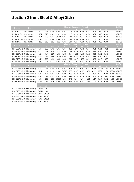|                                         |                                                     |                |                    |       |              |        |      | <b>Chemical Composition(Percent)</b>  |       |       |              |        |          |        | <b>Unit Size</b>         |
|-----------------------------------------|-----------------------------------------------------|----------------|--------------------|-------|--------------|--------|------|---------------------------------------|-------|-------|--------------|--------|----------|--------|--------------------------|
| <b>Number</b>                           | Name                                                | $\mathsf{C}$   | Si                 | Mn    | P            | S.     | Cr   | <b>Ni</b>                             | Cu    | Mo    | $\mathbf{V}$ | W      | Co       |        | (mm)                     |
| NCSHS23717-1                            | <b>Cold Die Steel</b>                               | 2.19           | 0.37               | 0.369 | 0.015        | 0.001  | 11.7 | 0.096                                 | 0.085 | 0.022 | 0.04         | 0.61   | 0.014    |        | ø35×30                   |
| <b>NCSHS23717-2</b>                     | Cold Die Steel                                      | 1.57           | 0.29               | 0.333 | 0.019        | 0.014  | 11.5 | 0.194                                 | 0.172 | 0.574 | 0.64         | 0.47   | 0.064    |        | ø35×30                   |
| <b>NCSHS23717-3</b>                     | Cold Die Steel                                      | 1.31           | 0.38               | 0.473 | 0.0072       | 0.023  | 10.1 | 0.094                                 | 0.131 | 0.854 | 0.48         | 0.69   | 0.035    |        | $\varphi$ 35 $\times$ 30 |
| <b>NCSHS23717-4</b>                     | Cold Die Steel                                      | 0.869          | 0.05               | 0.044 | 0.044        | 0.003  | 14.2 | 0.436                                 | 0.364 | 0.082 | 1.07         | 0.07   | 0.166    |        | ø35×30                   |
| <b>NCSHS23717-5</b>                     | <b>Cold Die Steel</b>                               | 1.88           | 0.18               | 0.16  | 0.03         | 0.005  | 12.7 | 0.297                                 | 0.228 | 0.333 | 0.82         | 0.31   | 0.096    |        | ø35×30                   |
|                                         |                                                     |                |                    |       |              |        |      | <b>Chemical Composition (Percent)</b> |       |       |              |        |          |        | Unit Size                |
| <b>Number</b>                           | Name                                                | $\mathsf{C}$   | Si.                | Mn    | $\mathsf{P}$ | S      | Cr   | <b>Ni</b>                             | Cu    | Mo    | $\vee$       | TL.    | Alt      |        | (mm)                     |
| NCS HS 23718-1                          | Middle-Low alloy                                    | 0.496          | 0.25               | 0.732 | 0.051        | 0.014  | 0.81 | 1.47                                  | 0.439 | 0.504 | 0.52         | 0.325  | 0.02     |        | ø35×30                   |
| <b>NCS HS 23718-2</b>                   | Middle-Low alloy                                    | 0.115          | 0.79               | 2.02  | 0.06         | 0.006  | 1.78 | 0.494                                 | 0.082 | 0.079 | 0.12         | 0.105  | 0.06     |        | $\varphi$ 35 $\times$ 30 |
| NCS HS 23718-3                          | Middle-Low alloy                                    | 0.201          | 0.7                | 1.24  | 0.015        | 0.049  | 0.4  | 1.02                                  | 0.299 | 0.251 | 0.22         | 0.232  | 0.661    |        | ø35×30                   |
| <b>NCS HS 23718-4</b>                   | Middle-Low allov                                    | 0.356          | 0.42               | 1.68  | 0.0042       | 0.089  | 1.35 | 0.238                                 | 0.144 | 0.107 | 0.34         | 0.402  | 0.142    |        | ø35×30                   |
| NCS HS 23718-5                          | Middle-Low alloy                                    | 0.657          | 0.15               | 0.463 | 0.033        | 0.025  | 2.29 | 0.117                                 | 0.07  | 0.974 | 0.06         | 0.497  | 0.27     |        | ø35×30                   |
|                                         | NCS HS 23718-6 Middle-Low alloy                     | 0.048          | 0.07               | 0.102 | 0.018        | 0.003  | 0.1  | 2                                     | 0.561 | 0.686 | 0.03         | 0.011  | 0.569    |        | ø35×30                   |
| <b>Number</b>                           | Name                                                |                |                    |       |              |        |      | <b>Chemical Composition (Percent)</b> |       |       |              |        |          |        | <b>Unit Size</b>         |
|                                         |                                                     | $\mathsf{C}$   | Si                 | Mn    | P            | S.     | Cr   | Ni                                    | Cu    | Mo    | $\mathsf{V}$ | Alt    | <b>W</b> | Co     | (mm)                     |
| NCS HS 23720-1                          | Middle-Low alloy                                    | 0.763          | 0.359              | 0.216 | 0.032        | 0.013  | 3.24 | 0.291                                 | 0.092 | 0.767 | 0.268        | 0.0069 | 1.45     | 0.028  | ø35×30                   |
| NCS HS 23720-2                          | Middle-Low alloy                                    | 1.11           | 0.286              | 0.104 | 0.038        | 0.0047 | 5.60 | 0.407                                 | 0.075 | 0.50  | 0.053        | 0.0051 | 2.00     | 0.0086 | ø35×30                   |
| <b>NCS HS 23720-3</b>                   | Middle-Low alloy                                    | 0.393          | 1.37               | 0.842 | 0.017        | 0.029  | 4.38 | 0.148                                 | 0.205 | 1.26  | 0.80         | 0.077  | 0.496    | 0.105  | ø35×30                   |
| <b>NCS HS 23720-4</b>                   | Middle-Low alloy                                    | 0.599          | 0.080              | 0.432 | 0.021        | 0.034  | 3.94 | 0.199                                 | 0.136 | 0.946 | 0.66         | 0.019  | 0.97     | 0.049  | ø35×30                   |
| <b>NCS HS 23720-5</b>                   | Middle-Low allov                                    | 0.088          | 1.09               | 1.67  | 0.0050       | 0.021  | 2.43 | 0.084                                 | 0.474 | 1.94  | 1.17         | 0.087  | 0.082    | 1.98   | ø35×30                   |
| NCS HS 23720-6                          | Middle-Low alloy                                    | 0.200          | 0.649              | 1.21  | 0.010        | 0.045  | 4.91 | 0.095                                 | 0.301 | 1.61  | 1.01         | 0.084  | 0.204    | 1.49   | ø35×30                   |
|                                         |                                                     |                |                    |       |              |        |      |                                       |       |       |              |        |          |        |                          |
| NCS HS 23720-1                          | Middle-Low alloy                                    | Sn<br>0.0075   | Pb<br>0.011        |       |              |        |      |                                       |       |       |              |        |          |        |                          |
|                                         |                                                     | 0.0070         | 0.074              |       |              |        |      |                                       |       |       |              |        |          |        |                          |
| NCS HS 23720-2<br>NCS HS 23720-3        | Middle-Low alloy<br>Middle-Low alloy                | 0.0076         | 0.0087             |       |              |        |      |                                       |       |       |              |        |          |        |                          |
|                                         |                                                     |                |                    |       |              |        |      |                                       |       |       |              |        |          |        |                          |
| NCS HS 23720-4<br><b>NCS HS 23720-5</b> | Middle-Low alloy                                    | 0.020<br>0.052 | (0.0001)<br>0.0053 |       |              |        |      |                                       |       |       |              |        |          |        |                          |
|                                         | Middle-Low alloy<br>NCS HS 23720-6 Middle-Low alloy |                | (0.0001)           |       |              |        |      |                                       |       |       |              |        |          |        |                          |
|                                         |                                                     | 0.032          |                    |       |              |        |      |                                       |       |       |              |        |          |        |                          |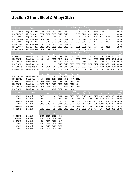|                       |                   |                |        |                 |        |        |               | <b>Chemical Composition(Percent)</b>  |           |               |           |        |        |       | <b>Unit Size</b>             |
|-----------------------|-------------------|----------------|--------|-----------------|--------|--------|---------------|---------------------------------------|-----------|---------------|-----------|--------|--------|-------|------------------------------|
| Number                | Name              | $\overline{C}$ | Si.    | Mn              | P.     | S      | Cr            | Ni                                    | Cu        | Mo            | W.        | $\vee$ | Alt    |       | (mm)                         |
| NCS HS 24703-1        | High Speed steel  | 0.757          | 0.065  | 0.069           | 0.0042 | 0.0043 | 2.55          | 0.072                                 | 0.046     | 0.16          | 18.68     | 0.154  |        |       | ø35×30                       |
| NCS HS 24703-2        | High Speed steel  | 0.731          | 0.207  | 0.286           | 0.022  | 0.022  | 2.96          | 0.156                                 | 0.249     | 0.42          | 15.99     | 0.44   |        |       | ø35×30                       |
| NCS HS 24703-3        | High Speed steel  | 0.909          | 0.309  | 0.244           | 0.025  | 0.026  | 3.25          | 0.203                                 | 0.223     | 0.88          | 14.41     | 0.84   | 0.079  |       | ø35×30                       |
| NCS HS 24703-4        | High Speed steel  | 0.821          | 0.443  | 0.307           | 0.025  | 0.024  | 3.54          | 0.383                                 | 0.211     | 1.57          | 11.71     | 1.23   | 0.059  |       | ø35×30                       |
| NCS HS 24703-5        | High Speed steel  | 1.11           | 0.349  | 0.313           | 0.049  | 0.036  | 3.90          | 0.196                                 | 0.348     | 2.51          | 9.27      | 2.03   | 0.101  |       | ø35×30                       |
| <b>NCS HS 24703-6</b> | High Speed steel  | 1.09           | 0.352  | 0.405           | 0.034  | 0.034  | 4.26          | 0.201                                 | 0.248     | 3.75          | 6.85      | 2.77   |        |       | ø35×30                       |
| NCS HS 24703-7        | High Speed steel  | 0.996          | 0.648  | 0.293           | 0.026  | 0.026  | 5.19          | 0.224                                 | 0.203     | 6.52          | 1.80      | 4.51   | 0.128  |       | ø35×30                       |
| NCS HS 24703-8        | High Speed steel  | 0.917          | 0.281  | 0.616           | 0.020  | 0.040  | 4.59          | 0.245                                 | 0.148     | 4.93          | 4.33      | 3.56   |        |       | ø35×30                       |
| <b>Number</b>         | Name              |                |        |                 |        |        |               | <b>Chemical Composition (Percent)</b> |           |               |           |        |        |       | <b>Unit Size</b>             |
|                       |                   | $\mathsf{C}$   | Si.    | Mn              | P      | S.     | Cr            | <b>Ni</b>                             | Cu        | <b>Mo</b>     | $\vee$    | Ti.    | Nb     | Alt   | (mm)                         |
| NCS HS28702a-1        | Nodular Cast Iron | 2.43           | 3.08   | 0.178           | 0.031  | 0.0037 | 1.98          | 3.7                                   | 1.35      | 2.06          | 0.45      | 0.057  | 0.054  | 0.007 | ø30×30                       |
| NCS HS28702a-2        | Nodular Cast Iron | 2.86           | 1.67   | 0.384           | 0.042  | 0.0068 | 1.54          | 0.985                                 | 0.987     | 1.55          | 0.396     | 0.095  | 0.035  | 0.016 | ø30×30                       |
| NCS HS28702a-3        | Nodular Cast Iron | 3.18           | 2.17   | 0.783           | 0.119  | 0.025  | 1.01          | 2.17                                  | 0.815     | $\mathbf{1}$  | 0.3       | 0.074  | 0.02   | 0.041 | ø30×30                       |
| <b>NCS HS28702a-4</b> | Nodular Cast Iron | 3.59           | 1.25   | 1.17            | 0.076  | 0.028  | 0.755         | 0.705                                 | 0.525     | 0.665         | 0.234     | 0.044  | 0.021  | 0.141 | ø30×30                       |
| NCS HS28702a-5        | Nodular Cast Iron | 3.99           | 0.601  | 1.39            | 0.211  | 0.045  | 0.415         | 0.201                                 | 0.306     | 0.355         | 0.098     | 0.032  | 0.012  | 0.027 | ø30×30                       |
| <b>NCS HS28702a-6</b> | Nodular Cast Iron | 3.48           | 0.275  | 1.69            | 0.554  | 0.052  | 0.164         | 4.18                                  | 0.068     | 0.076         | 0.055     | 0.031  | 0.0041 |       | $0.0051$ $\varnothing$ 30×30 |
|                       |                   | Mg             | Ce     | $\, {\bf B} \,$ | As     | Sb     | Pb            | La                                    |           |               |           |        |        |       |                              |
| NCS HS28702a-1        | Nodular Cast Iron | 0.11           |        | 0.171           | 0.051  | 0.0073 | 0.002         |                                       |           |               |           |        |        |       |                              |
| <b>NCS HS28702a-2</b> | Nodular Cast Iron | 0.04           | 0.088  | 0.114           | 0.033  |        | 0.0062 0.0017 | 0.011                                 |           |               |           |        |        |       |                              |
| NCS HS28702a-3        | Nodular Cast Iron | 0.033          | 0.0089 | 0.053           | 0.037  | 0.0052 | 0.0048        | 0.0017                                |           |               |           |        |        |       |                              |
| <b>NCS HS28702a-4</b> | Nodular Cast Iron | 0.017          | 0.044  | 0.028           | 0.024  | 0.015  | 0.011         | 0.0074                                |           |               |           |        |        |       |                              |
| <b>NCS HS28702a-5</b> | Nodular Cast Iron | 0.011          | 0.017  | 0.012           | 0.032  | 0.0071 | 0.0043 0.0024 |                                       |           |               |           |        |        |       |                              |
| <b>NCS HS28702a-6</b> | Nodular Cast Iron | 0.0039         |        | 0.0077          | 0.081  |        | 0.0022 0.0006 |                                       |           |               |           |        |        |       |                              |
|                       |                   |                |        |                 |        |        |               | <b>Chemical Composition(Percent)</b>  |           |               |           |        |        |       | <b>Unit Size</b>             |
| Number                | Name              | $\mathsf{C}$   | Si.    | Mn              | P      | S      | Cr            | Ni.                                   | <b>Mo</b> | $\vee$        | <b>Cu</b> | N      | Nb     | Ti.   | (mm)                         |
| <b>NCS HS 28706-1</b> | Line steel        | 0.055          | 0.29   | 1.81            | 0.011  | 0.0024 | 0.283         | 0.201                                 | 0.116     | 0.0043        | 0.205     | 0.0053 | 0.103  | 0.022 | ø40×40                       |
| NCS HS 28706-2        | Line steel        | 0.058          | 0.202  | 1.41            | 0.0072 | 0.0063 | 0.049         | 0.012                                 | 0.0014    | 0.042         | 0.013     | 0.004  | 0.05   | 0.016 | ø40×40                       |
| NCS HS 28706-3        | Line steel        | 0.083          | 0.194  | 0.559           | 0.01   | 0.007  | 0.024         | 0.009                                 | 0.002     | 0.0009        | 0.02      | 0.0053 | 0.011  | 0.003 | ø40×40                       |
| <b>NCS HS 28706-4</b> | Line steel        | 0.086          | 0.246  | 1.2             | 0.011  | 0.006  | 0.022         | 0.008                                 |           | 0.0012 0.0014 | 0.015     | 0.0059 | 0.022  | 0.01  | ø40×40                       |
| <b>NCS HS 28706-5</b> | Line steel        | 0.105          | 0.325  | 1.31            | 0.0087 | 0.0041 | 0.023         | 0.0089                                | 0.0013    | 0.038         | 0.016     | 0.0067 | 0.035  | 0.02  | ø40×40                       |
| <b>NCS HS 28706-6</b> | Line steel        | 0.108          | 0.279  | 1.23            | 0.013  | 0.006  | 0.026         | 0.0061                                | 0.001     | 0.0012        | 0.01      | 0.0074 | 0.023  | 0.01  | ø40×40                       |
|                       |                   |                |        |                 |        |        |               |                                       |           |               |           |        |        |       |                              |
|                       |                   | <b>As</b>      | Alt    | Als             | Ca     |        |               |                                       |           |               |           |        |        |       |                              |
| <b>NCS HS 28706-1</b> | Line steel        | 0.004          | 0.027  | 0.026           | 0.0009 |        |               |                                       |           |               |           |        |        |       |                              |
| <b>NCS HS 28706-2</b> | Line steel        | 0.0032         | 0.028  | 0.026           | 0.0012 |        |               |                                       |           |               |           |        |        |       |                              |
| NCS HS 28706-3        | Line steel        | 0.0034         | 0.023  | 0.021           | 0.0017 |        |               |                                       |           |               |           |        |        |       |                              |
| NCS HS 28706-4        | Line steel        | 0.0043         | 0.016  | 0.015           | 0.0035 |        |               |                                       |           |               |           |        |        |       |                              |
| <b>NCS HS 28706-5</b> | Line steel        | 0.0033         | 0.023  | 0.022           | 0.002  |        |               |                                       |           |               |           |        |        |       |                              |
| NCS HS 28706-6        | Line steel        | 0.0044         | 0.023  | 0.022           | 0.0013 |        |               |                                       |           |               |           |        |        |       |                              |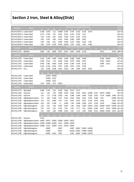| Number                      | Name                                            |                       |                     |             |             |                    | <b>Chemical Composition (Percent)</b> |                    |                    |                     |       |                 |                             |             | <b>Unit Size</b>          |
|-----------------------------|-------------------------------------------------|-----------------------|---------------------|-------------|-------------|--------------------|---------------------------------------|--------------------|--------------------|---------------------|-------|-----------------|-----------------------------|-------------|---------------------------|
|                             |                                                 | $\overline{C}$        | Si.                 | Mn          | P           | S                  | Cr                                    | Ni.                | Cu                 | $\mathsf{Al}$       |       |                 |                             |             | (mm)                      |
| NCS HS 39701-1 Carbon Steel |                                                 | 0.108                 | 0.029               | 1.15        | 0.0038      | 0.070              | 0.379                                 | 0.252              | 0.276              | 0.073               |       |                 |                             |             | ø33×35                    |
| NCS HS 39701-2 Carbon Steel |                                                 | 0.172                 | 0.103               | 1.07        | 0.014       | 0.012              | 0.241                                 | 0.210              | 0.14               |                     |       |                 |                             |             | ø33×35                    |
| NCS HS 39701-3 Carbon Steel |                                                 | 0.29                  | 0.156               | 0.62        | 0.032       | 0.026              | 0.153                                 | 0.181              | 0.193              |                     |       |                 |                             |             | ø33×35                    |
| NCS HS 39701-4 Carbon Steel |                                                 | 0.30                  | 0.247               | 0.86        | 0.023       | 0.040              | 0.092                                 | 0.065              | 0.097              |                     |       |                 |                             |             | ø33×35                    |
| NCS HS 39701-5 Carbon Steel |                                                 | 0.44                  | 0.46                | 0.41        | 0.039       | 0.040              | 0.275                                 | 0.062              | 0.325              | 0.40                |       |                 |                             |             | ø33×35                    |
| NCS HS 39701-6 Carbon Steel |                                                 | 0.58                  | 0.374               | 0.163       | 0.054       | 0.0033             | 0.34                                  | 0.343              | 0.38               | 0.463               |       |                 |                             |             | ø33×35                    |
| Number                      | Name                                            |                       |                     |             |             |                    | <b>Chemical Composition (Percent)</b> |                    |                    |                     |       |                 |                             |             | <b>Unit Size</b>          |
| <b>NCS HS 11751</b>         | 60Si <sub>2</sub> Mn                            | $\mathsf{C}$<br>0.661 | Si<br>1.82          | Mn<br>0.805 | P.<br>0.027 | $\leq$<br>0.017    | Cr<br>0.021                           | Ni<br>0.020        | <b>Cu</b><br>0.136 | $\vee$              | TI.   | Co<br>0.011     | <b>W</b>                    | As<br>0.016 | (mm)<br>ø38×45            |
|                             |                                                 |                       |                     |             |             |                    | <b>Chemical Composition (Percent)</b> |                    |                    |                     |       |                 |                             |             | <b>Unit Size</b>          |
| <b>Number</b>               | Name                                            | $\mathsf{C}$          | Si                  | Mn          | P           | S                  | Cr                                    | Ni.                | Cu.                | $\vee$              | m     | Al <sub>t</sub> | B                           |             | (mm)                      |
| <b>NCS HS 11759</b>         | Carbon Steel                                    | 0.101                 | 0.249               | 0.400       | 0.043       | 0.030              | 0.068                                 | 0.066              | 0.086              |                     |       | 0.264           | 0.0014                      |             | ø37×45                    |
| <b>NCS HS 11760</b>         | Carbon Steel                                    | 0.202                 | 0.512               | 1.34        | 0.046       | 0.032              | 0.078                                 | 0.050              | 0.057              |                     |       | 0.092           | 0.0012                      |             | ø37×45                    |
| <b>NCS HS 11763</b>         | Carbon Steel                                    | 0.543                 | 0.361               | 0.663       | 0.024       | 0.024              | 0.169                                 | 0.164              | 0.118              |                     |       | 0.089           | 0.621                       |             | ø37×45                    |
| <b>NCS HS 11764</b>         | Carbon Steel                                    | 0.235                 | 0.318               | 0.632       | 0.037       | 0.028              | 0.076                                 | 0.103              | 0.106              |                     |       | 0.071           |                             |             | ø37×40                    |
| <b>NCS HS 11774</b>         | $GCr_{15}$                                      | 1.02                  | 0.250               | 0.340       | 0.015       | 0.023              | 1.48                                  | 0.036              | 0.037              | 0.022               |       |                 |                             |             | ø36×50                    |
|                             |                                                 |                       |                     |             |             |                    |                                       |                    |                    |                     |       |                 |                             |             |                           |
|                             |                                                 | Sb                    | Sn                  | <b>As</b>   | Pb          |                    |                                       |                    |                    |                     |       |                 |                             |             |                           |
| <b>NCS HS 11759</b>         | Carbon Steel                                    |                       | 0.0024              | 0.0058      |             |                    |                                       |                    |                    |                     |       |                 |                             |             |                           |
| <b>NCS HS 11760</b>         | Carbon Steel                                    |                       | 0.0059              | 0.012       |             |                    |                                       |                    |                    |                     |       |                 |                             |             |                           |
| <b>NCS HS 11763</b>         | Carbon Steel                                    |                       | 0.0026              | 0.012       |             |                    |                                       |                    |                    |                     |       |                 |                             |             |                           |
| <b>NCS HS 11764</b>         | Carbon Steel                                    | 0.14                  | 0.024               | 0.15        | 0.0011      |                    |                                       |                    |                    |                     |       |                 |                             |             |                           |
| Number                      | Name                                            |                       |                     |             |             |                    | <b>Chemical Composition(Percent)</b>  |                    |                    |                     |       |                 |                             |             | <b>Unit Size</b>          |
|                             |                                                 | $\mathsf{C}$          | Si                  | Mn          | P           | S                  | Cr                                    | Ni.                | Cu                 | Mo                  | m     | $\vee$          | <b>As</b>                   | Sn          | (mm)                      |
| <b>NCS HS 11775</b>         | <b>Alloy Steel</b>                              | 0.084                 | 0.787               | 1.62        | 0.029       | 0.002              | 25.53                                 | 20.72              |                    |                     |       |                 |                             |             | ø35×20                    |
| <b>NCS HS 11782</b>         | Gray Iron                                       | 3.21                  | 1.64                | 1.09        | 0.088       | 0.035              | 0.061                                 | 0.014              | 0.042              | 0.0048              | 0.027 | 0.0079          | 0.0065                      |             | $\varnothing$ 31×28       |
| <b>NCS HS 11783</b>         | Gray Iron                                       | 3.33                  | 1.73                | 0.756       | 0.083       | 0.09               | 0.386                                 | 0.304              | 0.666              | 0.238               | 0.057 | 0.174           | 0.0085                      | 0.066       | ø31×28                    |
| <b>NCS HS 11784</b>         | High phosphorus Cast Iron                       | 3.3                   | 2.68                | 0.528       | 0.78        | 0.031              | 0.812                                 | 0.024              | 0.015              | 0.142               | 0.084 | 0.02            |                             | 0.0005      | ø31×28                    |
| <b>NCS HS 11785</b>         | High phosphorus Cast Iron                       | 3.19                  | 2.52                | 0.482       | 0.79        | 0.03               | 0.817                                 | 0.031              | 0.021              | 0.139               | 0.076 | 0.018           |                             | 0.001       | ø31×28                    |
| <b>NCS HS 11786</b>         | High phosphorus Cast Iron                       | 2.82                  | 2.05                | 0.768       | 1.7         | 0.064              | 1.98                                  | 0.048              | 0.044              | 0.251               | 0.102 | 0.029           |                             |             | $0.0062$ $0.31 \times 28$ |
| <b>NCS HS 11787</b>         | High Nickel pig Iron                            | 2.65                  | 2.07                | 1.08        | 0.067       | 0.037              | 1.98                                  | 19.84              | 0.306              | 0.0014              | 0.022 |                 | 0.0096 0.0075 0.0054 ø31×28 |             |                           |
| <b>NCS HS 11788</b>         | High Nickel pig Iron                            | 2.97                  | 3.29                | 1.62        | 0.191       | 0.01               | 2.56                                  | 17.77              | 0.51               | 0.0013              | 0.043 | 0.017           | 0.014                       |             | $0.0003$ $031 \times 28$  |
| <b>NCS HS 11789</b>         | High Nickel pig Iron                            | 1.97                  | 2.58                | 1.08        | 0.048       | 0.076              | 2.51                                  | 17.8               | 6.39               | 0.062               | 0.011 |                 | 0.0093 0.0076               | 0.014       | $\varnothing$ 31×28       |
|                             |                                                 | Sb                    | <b>Nb</b>           | Pb          | Bi          | <b>As</b>          | Alt                                   | W                  | B                  | Co                  |       |                 |                             |             |                           |
| <b>NCS HS 11783</b>         | Gray Iron                                       | 0.142                 |                     |             |             |                    |                                       |                    |                    |                     |       |                 |                             |             |                           |
| <b>NCS HS 11784</b>         | High phosphorus Cast Iron 0.0007 0.0012* 0.0002 |                       |                     |             | 0.0083      | $0.0041$ $0.0012*$ |                                       |                    |                    |                     |       |                 |                             |             |                           |
| <b>NCS HS 11785</b>         | High phosphorus Cast Iron 0.0005                |                       | $(0.0009)$ $0.0002$ |             | 0.013       |                    | 0.0049 0.0030*                        |                    |                    |                     |       |                 |                             |             |                           |
| <b>NCS HS 11786</b>         | High phosphorus Cast Iron 0.0008                |                       | 0.012               | 0.0003      | 0.015       |                    | 0.0075 0.0094*                        |                    |                    |                     |       |                 |                             |             |                           |
| <b>NCS HS 11787</b>         | High Nickel pig Iron                            |                       | 0.0006*             |             | $0.042*$    |                    | $0.085*$                              | $0.0002*$          |                    | $0.0007$ $(0.0054)$ |       |                 |                             |             |                           |
| <b>NCS HS 11788</b>         | High Nickel pig Iron                            |                       | 0.0006*             |             | $0.031*$    |                    |                                       | $(0.0023) 0.0002*$ |                    | 0.0008 (0.0063)     |       |                 |                             |             |                           |
| <b>NCS HS 11789</b>         | High Nickel pig Iron                            |                       | $0.0005*$           | 0.015       | 0.067       |                    | 0.061                                 | $0.0002*$          |                    | $0.0008$ $(0.0075)$ |       |                 |                             |             |                           |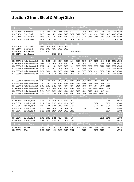| <b>Number</b>       | Name                                  |              |        |                |           |               |                | <b>Chemical Composition(Percent)</b>                          |                |                 |                       |                       |           |           | <b>Unit Size</b> |
|---------------------|---------------------------------------|--------------|--------|----------------|-----------|---------------|----------------|---------------------------------------------------------------|----------------|-----------------|-----------------------|-----------------------|-----------|-----------|------------------|
|                     |                                       | $\mathsf{C}$ | Si.    | Mn             | P         | S             | Cr             | Ni.                                                           | <b>Cu</b>      | Als             | Alt                   | Ti.                   | <b>Nb</b> | V         | (mm)             |
| <b>NCS HS 11790</b> | Silicon Steel                         | 0.338        | 0.841  | 0.386          | 0.081     | 0.0066        | 0.73           | 1.52                                                          | 0.027          | 0.536           | 0.538                 | 0.234                 | 0.278     | 0.035     | ø37×40           |
| <b>NCS HS 11791</b> | Silicon Steel                         | 0.095        | 3.08   | 1.9            | 0.0063    | 0.023         | 0.032          | 0.022                                                         | 0.066          | 0.34            | 0.35                  | 0.012                 | 0.0037    | (0.0006)  | ø37×40           |
| <b>NCS HS 11792</b> | Pipe line steel                       | 0.045        | 0.183  | 1.96           | 0.0075    | 0.0011        | 0.363          | 0.423                                                         | 0.224          | 0.043           | 0.044                 | 0.016                 | 0.097     | 0.011     | ø37×40           |
| <b>NCS HS 11793</b> | Low alloy steel                       | 0.037        | 0.257  | 1.59           | 0.126     | 0.015         | 0.452          | 0.08                                                          | 0.15           |                 |                       | 0.239                 |           | 0.064     | ø37×40           |
|                     |                                       |              |        |                |           |               |                |                                                               |                |                 |                       |                       |           |           |                  |
|                     |                                       | <b>Mo</b>    | As     | S <sub>b</sub> | Sn.       | Zr            | Ca             | <b>Bt</b>                                                     |                |                 |                       |                       |           |           |                  |
| <b>NCS HS 11790</b> | Silicon Steel                         | 0.809        | 0.032  | 0.0011         | 0.00073   | 0.013         |                |                                                               |                |                 |                       |                       |           |           |                  |
| <b>NCS HS 11791</b> | Silicon Steel                         | 0.038        | 0.062  | 0.0018         | 0.023     | 0.023         |                |                                                               |                |                 |                       |                       |           |           |                  |
| <b>NCS HS 11792</b> | Pipe line steel                       | 0.324        | 0.0015 |                |           |               | 0.002          | (0.0003)                                                      |                |                 |                       |                       |           |           |                  |
| <b>NCS HS 11793</b> | Low alloy steel                       |              |        | 0.015          | 0.042     |               |                |                                                               |                |                 |                       |                       |           |           | <b>Unit Size</b> |
| <b>Number</b>       | Name                                  | $\mathsf{C}$ | Si.    | Mn             | P         | S             | Cr             | <b>Chemical Composition(Percent)</b><br>Ni.                   | Cu             | <b>Mo</b>       | <b>W</b>              | V                     | Ti .      | <b>Nb</b> | (mm)             |
| NCS HS 93703-1      | Medium-Low Alloy Steel                | 1.08         | 0.681  | 2.35           | 0.0057    | (0.008)       | 3.98           | 0.028                                                         | 0.048          | 0.0077          | 0.293                 | 0.0090                | 0.473     | 0.351     | ø33×35           |
| NCS HS 93703-2      | Medium-Low Alloy Steel                | 0.055        | 0.827  | 0.021          | 0.027     | 0.0033        | 3.09           | 1.09                                                          | 0.422          | 1.56            | 1.97                  | 0.376                 | 0.346     | 0.254     | ø33×35           |
| NCS HS 93703-3      | Medium-Low Alloy Steel                | 0.792        | 1.09   | 1.34           | 0.013     | 0.038         | 2.11           | 0.533                                                         | 0.532          | 0.397           | 0.755                 | 0.071                 | 0.016     | 0.506     | ø33×35           |
| NCS HS 93703-4      | Medium-Low Alloy Steel                | 0.475        | 2.57   | 0.612          | 0.015     | 0.015         | 1.31           | 2.01                                                          | 0.687          | 0.977           | 1.48                  | 0.709                 | 0.035     | 0.167     | ø33×35           |
| NCS HS 93703-5      | Medium-Low Alloy Steel                | 0.651        | 0.024  | 1.53           | 0.036     | 0.0052        | 0.021          | 2.98                                                          | 0.236          | 0.631           | 0.05                  | 0.231                 | 0.111     | 0.0057    | ø33×35           |
| NCS HS 93703-6      |                                       | 0.246        | 0.274  | 0.211          | 0.045     | 0.0058        | 0.505          | 3.83                                                          | 0.092          | 0.203           | 1.04                  | 0.526                 | 0.246     | 0.070     | ø33×35           |
|                     | Medium-Low Alloy Steel                |              |        |                |           |               |                |                                                               |                |                 |                       |                       |           |           |                  |
|                     |                                       | Alt          | Also   | Co             | <b>Bt</b> | Bs            | P <sub>b</sub> | Sn.                                                           | As             | Sh              | Bi.                   | Ca                    | Zr        |           |                  |
|                     | NCS HS 93703-1 Medium-Low Alloy Steel | 0.387        | 0.381  | 0.0047         | 0.025     | 0.023         | 0.0016         | 0.014                                                         | 0.032          | (0.0001)        | 0.0011                | 0.0009                | 0.0031    |           |                  |
| NCS HS 93703-2      | Medium-Low Alloy Steel                | 0.92         | 0.91   | 0.262          | 0.0083    | 0.0080        | 0.0008         | 0.0069                                                        | 0.0034         | 0.0020          | 0.0006                | 0.0010                | 0.087     |           |                  |
| NCS HS 93703-3      | Medium-Low Alloy Steel                | 0.107        | 0.103  | 0.488          | 0.0041    | 0.0037        | 0.0007         | 0.054                                                         | 0.0019         | 0.0040          | 0.0004                | 0.0010                | 0.014     |           |                  |
| NCS HS 93703-4      | Medium-Low Alloy Steel                | 0.083        | 0.078  | 0.403          | 0.0050    | 0.0048        | 0.0006         | 0.012                                                         | 0.056          | 0.0095          |                       | $(0.0002)$ $(0.0001)$ | 0.069     |           |                  |
| NCS HS 93703-5      | Medium-Low Alloy Steel                | (1.29)       | (1.27) | 0.094          | 0.0017    | 0.0015        | 0.0007         | 0.015                                                         | 0.0064         | 0.010           |                       | 0.0015 0.0007         | 0.41      |           |                  |
| NCS HS 93703-6      | Medium-Low Alloy Steel                | 0.64         | 0.63   | 0.145          |           | 0.0033 0.0030 | 0.0011         | 0.017                                                         | 0.011          | 0.0006          | $(0.0002)$ $(0.0001)$ |                       | 0.22      |           |                  |
|                     |                                       |              |        |                |           |               |                | <b>Chemical Composition (Percent)</b>                         |                |                 |                       |                       |           |           | <b>Unit Size</b> |
| <b>Number</b>       | Name                                  | $\mathsf{C}$ | Si.    | Mn             | P.        | S             | Cr             | $\mathsf{Al}_\varepsilon$                                     | Cп             | Al.             | $\overline{V}$        | TL.                   | Mo        |           | (mm)             |
| <b>NCS HS 13750</b> | Low Alloy Steel                       | 0.131        | 0.175  | 0.523          |           | 0.0126 0.0257 | 0.970          |                                                               |                |                 |                       |                       | 0.172     |           | ø38×38           |
| <b>NCS HS 13752</b> | Low Alloy Steel                       | 0.517        | 0.204  | 0.986          | 0.0261    | 0.0108        | 0.685          |                                                               |                |                 | 0.094                 |                       | 0.258     |           | ø38×38           |
| <b>NCS HS 13753</b> | Low Alloy Steel                       | 0.592        | 0.464  | 0.481          | 0.040     | 0.0397        | 0.752          |                                                               |                |                 | 0.122                 | 0.0084                | 0.302     |           | ø38×38           |
| <b>NCS HS 13754</b> | Low Alloy Steel                       | 0.136        | 0.444  | 0.624          | 0.131     | 0.021         | 0.856          |                                                               | 0.384          |                 | 0.192                 |                       | 0.378     |           | ø38×38           |
| <b>NCS HS 13755</b> | Low Alloy Steel                       | 0.420        | 0.301  | 0.924          | 0.024     | 0.020         | 0.960          |                                                               |                |                 |                       |                       | 0.187     |           | ø38×38           |
| <b>Number</b>       | Name                                  |              |        |                |           |               |                | Chemical Composition(Percent)                                 |                |                 |                       |                       |           |           | <b>Unit Size</b> |
|                     |                                       | $\mathsf{C}$ | Si.    | Mn             | P.        | S             | Cr             | $\mathsf{Al}_{\leq}$                                          | Cu             | Al <sub>r</sub> | $\vee$                | Ti.                   | Mo        |           | (mm)             |
| <b>NCS HS 13758</b> | Low Alloy Steel                       | 0.165        | 0.502  | 1.451          | 0.0176    | 0.0221        | 0.34           |                                                               |                |                 |                       | 0.173                 | 0.143     |           | ø38×35           |
| <b>NCS HS 13759</b> | Low Alloy Steel                       | 0.199        | 0.410  | 1.302          | 0.0171    | 0.022         | 0.384          |                                                               |                |                 |                       |                       | 0.161     |           | ø38×35           |
| <b>Number</b>       | Name                                  | $\mathsf{C}$ | Si.    | Mn             | P         | S             | Cr             | <b>Chemical Composition (Percent)</b><br>$\mathsf{Al}_{\leq}$ | $\overline{C}$ |                 | <b>As</b>             | Ti.                   | <b>Mo</b> |           | <b>Unit Size</b> |
| <b>NCS HS 18741</b> | 35CrMo                                | 0.355        | 0.273  | 0.57           | 0.01      | 0.033         | 0.93           | 0.029                                                         | 0.075          | Al.             | 0.057                 | 0.011                 | 0.154     |           | $\mathsf{m}$     |
|                     |                                       |              |        |                |           |               |                |                                                               |                | 0.035           |                       |                       |           |           | ø37×30           |
| <b>NCS HS 18742</b> | 16Mn                                  | 0.152        | 0.305  | 1.26           | 0.012     | 0.023         | 0.121          |                                                               | 0.077          |                 | 0.034                 | 0.018                 |           |           | ø37×30           |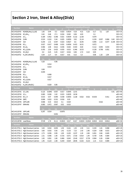|                     |                                                 |              |           |               |          |        |       | <b>Chemical Composition(Percent)</b>       |       |        |       |        |       | <b>Unit Size</b>           |
|---------------------|-------------------------------------------------|--------------|-----------|---------------|----------|--------|-------|--------------------------------------------|-------|--------|-------|--------|-------|----------------------------|
| Number              | Name                                            | $\mathsf{C}$ | Si.       | Mn            | P        | S      | Ni.   | Cr                                         | W     | Cu     | Mo    | V      | N     | (mm)                       |
| <b>NCS HS18743</b>  | $M2Al(W6MO5Cr4V2Al)$                            | 1.05         | 0.44      | 0.3           | 0.023    | 0.0014 | 0.18  | 4.31                                       | 6.18  | 0.17   | 5.1   | 1.87   |       | $D35 \times 35$            |
| <b>NCS HS18744</b>  | 4Cr <sub>4</sub> Mn <sub>18</sub>               | 0.42         | 0.48      | 17.1          | 0.016    | 0.042  | 0.06  | 4.03                                       |       | 0.1    |       |        |       | $D35 \times 35$            |
| <b>NCS HS18745</b>  | $2Cr_{13}$                                      | 0.189        | 0.452     | 0.348         | 0.021    | 0.0034 | 0.132 | 12.58                                      |       | 0.079  |       |        |       | $D35 \times 35$            |
| <b>NCS HS18746</b>  | 214N                                            | 0.533        | 0.222     | 9.34          | 0.025    | 0.0059 | 3.92  | 21.14                                      |       | 0.159  | 0.057 | 0.066  | 0.42  | D35×35                     |
| <b>NCS HS18747</b>  | 318                                             | 0.254        | 1.31      | 0.547         | 0.023    | 0.0027 | 6.6   | 16.95                                      |       | 0.095  | 2.13  | 0.077  | 0.144 | $D35 \times 35$            |
| <b>NCS HS18748</b>  | $0Cr_{17}$                                      | 0.027        | 0.617     | 0.408         | 0.031    | 0.0056 | 0.415 | 16.51                                      |       | 0.072  |       |        |       | $D35 \times 35$            |
| <b>NCS HS18749</b>  | 4Cr <sub>9</sub> Si <sub>2</sub>                | 0.466        | 2.08      | 0.612         | 0.036    | 0.026  | 0.543 | 8.64                                       |       | 0.112  | 0.055 | 0.033  |       | $D35 \times 35$            |
| <b>NCS HS18750</b>  | 4Cr <sub>10</sub> Si <sub>2</sub> Mo            | 0.355        | 2.56      | 0.425         | 0.035    | 0.023  | 0.346 | 10.53                                      |       | 0.128  | 0.798 | 0.051  |       | $D35 \times 35$            |
| <b>NCS HS18751</b>  | 3Cr <sub>2</sub> W <sub>8</sub> V               | 0.4          | 0.25      | 0.25          | 0.017    | 0.016  | 0.46  | 2.72                                       | 8.14  | 0.05   |       |        |       | $D35 \times 35$            |
| <b>NCS HS18752</b>  | $H_{13}$ (4Cr <sub>5</sub> MoSiV <sub>1</sub> ) | 0.34         | 1.17      | 0.4           | 0.017    | 0.01   | 0.15  | 5.3                                        |       | 0.08   | 1.18  | 1.04   |       | $D35 \times 35$            |
|                     |                                                 |              |           |               |          |        |       |                                            |       |        |       |        |       |                            |
|                     |                                                 | Co           | <b>As</b> | $\mathsf{Al}$ |          |        |       |                                            |       |        |       |        |       |                            |
| <b>NCS HS18743</b>  | $M2Al(W6Mo5Cr4V2Al)$                            | 0.28         |           | 0.96          |          |        |       |                                            |       |        |       |        |       |                            |
| <b>NCS HS18744</b>  | 4Cr <sub>4</sub> Mn <sub>18</sub>               |              | 0.014     |               |          |        |       |                                            |       |        |       |        |       |                            |
| <b>NCS HS18745</b>  | $2Cr_{13}$                                      |              | 0.014     |               |          |        |       |                                            |       |        |       |        |       |                            |
| <b>NCS HS18746</b>  | 214N                                            | 0.08         |           |               |          |        |       |                                            |       |        |       |        |       |                            |
| <b>NCS HS18747</b>  | 318                                             | 0.044        |           |               |          |        |       |                                            |       |        |       |        |       |                            |
| <b>NCS HS18748</b>  | $0Cr_{17}$                                      |              | 0.008     |               |          |        |       |                                            |       |        |       |        |       |                            |
| <b>NCS HS18749</b>  | 4Cr <sub>9</sub> Si <sub>2</sub>                |              | 0.017     |               |          |        |       |                                            |       |        |       |        |       |                            |
| <b>NCS HS18750</b>  | $4Cr_{10}Si2Mo$                                 |              | 0.017     |               |          |        |       |                                            |       |        |       |        |       |                            |
| <b>NCS HS18751</b>  | 3Cr <sub>2</sub> W <sub>8</sub> V               |              |           |               |          |        |       |                                            |       |        |       |        |       |                            |
| <b>NCS HS18752</b>  | $H_{13}$ (4Cr <sub>5</sub> MoSiV <sub>1</sub> ) |              | 0.029     | 0.06          |          |        |       |                                            |       |        |       |        |       |                            |
|                     |                                                 |              |           |               |          |        |       |                                            |       |        |       |        |       |                            |
|                     |                                                 |              |           |               |          |        |       | <b>Chemical Composition (Percent)</b>      |       |        |       |        |       | <b>Unit Size</b>           |
| <b>Number</b>       | Name                                            | $\mathsf{C}$ | Si.       | Mn            | P        | S      | Cr    | Alt                                        | Als   | N      | V     | Ti.    | Mo    | (mm)                       |
| NCS HS 20741        | $1Cr_{13}$ Mo                                   | 0.125        | 0.0045    | 0.957         | 0.017    | 0.0045 | 12.91 |                                            |       |        |       |        | 0.41  | ø35×40                     |
| <b>NCS HS 20742</b> | $1Cr_{17}$                                      | 0.083        | 0.636     | 1.02          | 0.015    | 0.0035 | 16.58 |                                            |       |        |       |        |       | ø35×40                     |
| <b>NCS HS 20743</b> | $0Cr_{11}Ti$                                    | 0.015        | 0.97      | 0.949         | 0.038    | 0.0055 | 11.88 | 0.022                                      | 0.021 | 0.0155 |       | 0.411  |       | ø35×40                     |
| <b>NCS HS 20744</b> | (08F)                                           | 0.068        | 0.022     | 0.331         | 0.018    | 0.03   |       |                                            |       |        |       |        |       | ø35×40                     |
| <b>NCS HS 20745</b> | 10PCuRE                                         | 0.068        | 0.33      | 0.813         | 0.1      | 0.024  |       |                                            |       |        | 0.022 |        |       | ø35×40                     |
| NCS HS 20747 09MnNb |                                                 | 0.083        | 0.472     | 0.967         | 0.02     | 0.015  |       |                                            |       |        |       |        |       | ø35×40                     |
|                     |                                                 |              |           |               |          |        |       |                                            |       |        |       |        |       |                            |
|                     |                                                 | Cu           | Ce        | <b>Nb</b>     | La       |        |       |                                            |       |        |       |        |       |                            |
| <b>NCS HS 20745</b> | 10PCuRE                                         | 0.297        | 0.014     |               | 0.0076   |        |       |                                            |       |        |       |        |       |                            |
| <b>NCS HS 20747</b> | 09MnNb                                          |              |           | 0.052         |          |        |       |                                            |       |        |       |        |       |                            |
| Number              | Name                                            |              |           |               |          |        |       | <b>Chemical Composition (Percent)</b>      |       |        |       |        |       | <b>Unit Size</b>           |
|                     |                                                 | Cu           | Pb        | Zn            | P.       | Fe     | Sn    | Sb                                         | Bi    | Mn     | Ni.   | Si.    |       | (mm)                       |
| <b>NCS HS 28749</b> | <b>Lead Brass</b>                               | 57.09        | 1.74      | 41.11         | < 0.0015 | 0.017  | 0.017 | < 0.0015 < 0.0010                          |       | 0.0015 | 0.013 | 0.0012 |       | ø38×30<br><b>Unit Size</b> |
| <b>Number</b>       | Name                                            | $\mathsf{C}$ | S         | Si            | Mn       | P      | Cr    | <b>Chemical Composition(Percent)</b><br>Ni | Mo    | Cu     | V     | Ti.    |       | (mm)                       |
|                     | NCS HS 37701-1 High Chromium Cast Iron          | 3.43         | 0.010     | 0.055         | 1.59     | 0.161  | 1.35  | 1.55                                       | 3.11  | 0.193  | 1.01  | 0.008  |       | ø30×25                     |
|                     | NCS HS 37701-2 High Chromium Cast Iron          | 3.00         | 0.016     | 0.56          | 1.42     | 0.133  | 7.23  | 1.43                                       | 2.48  | 0.324  | 0.88  | 0.015  |       | ø30×25                     |
|                     | NCS HS 37701-3 High Chromium Cast Iron          | 2.73         | 0.036     | 0.99          | 1.09     | 0.105  | 12.97 | 1.20                                       | 2.08  | 0.451  | 0.66  | 0.045  |       | ø30×25                     |
|                     | NCS HS 37701-4 High Chromium Cast Iron          | 2.31         | 0.046     | 1.40          | 0.725    | 0.071  | 17.60 | 0.914                                      | 1.44  | 0.739  | 0.46  | 0.084  |       | ø30×25                     |
|                     | NCS HS 37701-5 High Chromium Cast Iron          | 1.83         | 0.091     | 1.80          | 0.466    | 0.043  | 23.40 | 0.517                                      | 0.739 | 0.904  | 0.26  | 0.068  |       | ø30×25                     |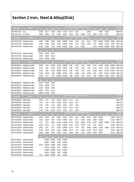| <b>Number</b>                                                | <b>Name</b>                   | $\mathsf{C}$   | Si.           | Mn               | P            | S                | Cr    | <b>Chemical Composition</b> (Percent)<br>Νi       | Al    | Co        | Ti.   | Mo       | Cu        |        | <b>Unit Size</b><br>(mm)  |
|--------------------------------------------------------------|-------------------------------|----------------|---------------|------------------|--------------|------------------|-------|---------------------------------------------------|-------|-----------|-------|----------|-----------|--------|---------------------------|
| <b>NCS HS 31741</b>                                          | $3Cr_{13}$                    | 0.298          | 0.277         | 0.330            | 0.026        | 0.019            | 12.75 | 0.271                                             |       | 0.035     |       | 0.067    | 0.109     |        | ø38×30                    |
| <b>NCS HS 31742</b>                                          | $1Cr_{18}Ni_{9}Ti$            | 0.096          | 0.566         | 1.27             | 0.030        | 0.005            | 17.25 | 8.22                                              | 0.098 | 0.112     | 0.555 | 0.132    | 0.307     |        | ø38×30                    |
|                                                              |                               |                |               |                  |              |                  |       | <b>Chemical Composition(Percent)</b>              |       |           |       |          |           |        | <b>Unit Size</b>          |
| <b>Number</b>                                                | Name                          | $\mathsf{C}$   | Si.           | Mn               | P            | S                | Cr    | <b>Ni</b>                                         | Mo    | <b>Nb</b> | Cu    | As       | Sn.       | V      | (mm)                      |
| <b>NCS HS 41742</b>                                          | Stainless steel               | 0.026          | 0.386         | 0.659            | 0.031        | 0.00052          | 25.05 | 6.38                                              | 3.45  | 0.011     | 0.155 | 0.0045   | 0.0039    | 0.049  | ø38×38                    |
| <b>NCS HS 41743</b>                                          | Stainless steel               | 0.047          | 0.542         | 0.691            | 0.035        | 0.0044           | 15.85 | 3.53                                              | 0.195 | 0.202     | 3.37  | 0.0097   | 0.013     | 0.067  | ø38×38                    |
| <b>NCS HS 41744</b>                                          | Stainless steel               | 0.137          | 0.297         | 7.98             | 0.045        | 0.0091           | 16.01 | 4.12                                              | 0.052 |           | 0.123 | 0.0043   | 0.0046    | 0.049  | ø38×38                    |
|                                                              |                               | Co             | W             | ${\sf N}$        |              |                  |       |                                                   |       |           |       |          |           |        |                           |
| <b>NCS HS 41742</b>                                          | Stainless steel               | 0.063          | 0.018         | 0.237            |              |                  |       |                                                   |       |           |       |          |           |        |                           |
| <b>NCS HS 41743</b>                                          | Stainless steel               | 0.063          | 0.058         | 0.014            |              |                  |       |                                                   |       |           |       |          |           |        |                           |
| <b>NCS HS 41744</b>                                          | Stainless steel               | 0.078          | 0.0055        | 0.049            |              |                  |       |                                                   |       |           |       |          |           |        |                           |
| <b>Number</b>                                                | Name                          |                |               |                  |              |                  |       | <b>Chemical Composition(Percent)</b>              |       |           |       |          |           |        | <b>Unit Size</b>          |
|                                                              |                               | $\mathsf{C}$   | Si            | Mn               | P.           | S                | Cr    | Ni.                                               | Mo    | <b>Nb</b> | Cu    | Pb.      | <b>As</b> | Sn     | (mm)                      |
| NCSHS93701-1                                                 | Middle low alloy              | 0.062          | 1.23          | 0.093            | 0.024        | 0.0060           | 1.85  | 0.30                                              | 4.19  | 0.85      | 0.22  | 0.038    | 0.004     | 0.0020 | ø36×30                    |
|                                                              | NCSHS93701-2 Middle low alloy | 0.111          | 0.32          | 0.934            | 0.015        | 0.0041           | 2.48  | 0.59                                              | 4.05  | 1.04      | 0.177 | 0.017    | 0.011     | 0.0083 | $\alpha$ 36 $\times$ 30   |
|                                                              | NCSHS93701-3 Middle low alloy | 0.164          | 0.98          | 0.379            |              | 0.0099 0.0133    | 3.86  | 0.813                                             | 2.43  | 0.72      | 0.109 | 0.012    | 0.0146    | 0.0215 | ø36×30                    |
|                                                              | NCSHS93701-4 Middle low alloy | 0.309          | 0.198         | 1.06             |              | 0.0081 0.0126    | 4.83  | 0.480                                             | 1.86  | 0.290     | 0.31  | 0.007    | 0.0174    | 0.0180 | ø36×30                    |
|                                                              | NCSHS93701-5 Middle low alloy | 0.429          | 0.71          | 0.76             |              | 0.0082 0.0398    | 3.08  | 0.930                                             | 2.93  | 0.472     | 0.38  | 0.0066   | 0.069     | 0.037  | ø36×30                    |
|                                                              |                               | Sb             | <b>Bi</b>     | Zr               |              |                  |       |                                                   |       |           |       |          |           |        |                           |
|                                                              | NCSHS93701-1 Middle low alloy | 0.0515         | 0.0019        | 0.103            |              |                  |       |                                                   |       |           |       |          |           |        |                           |
|                                                              | NCSHS93701-2 Middle low alloy | 0.035          | 0.0064        | 0.57             |              |                  |       |                                                   |       |           |       |          |           |        |                           |
|                                                              | NCSHS93701-3 Middle low alloy | 0.032          | 0.0102        | 0.436            |              |                  |       |                                                   |       |           |       |          |           |        |                           |
|                                                              | NCSHS93701-4 Middle low alloy | 0.0077         | 0.013         | 0.112            |              |                  |       |                                                   |       |           |       |          |           |        |                           |
|                                                              | NCSHS93701-5 Middle low alloy | 0.00403 0.0203 |               | 0.234            |              |                  |       |                                                   |       |           |       |          |           |        |                           |
|                                                              |                               |                |               |                  |              |                  |       |                                                   |       |           |       |          |           |        |                           |
| <b>Number</b>                                                | Name                          | $\mathsf{C}$   | Si            | Mn               | P            | S                | Cr    | <b>Chemical Composition(Percent)</b><br><b>Ni</b> |       |           |       |          |           |        | <b>Unit Size</b><br>(mm)  |
| NCSHS93702-1 Alloy steel                                     |                               | 0.053          | 1.37          | 5.02             | 0.055        | 0.0027           | 17.51 | 2.44                                              |       |           |       |          |           |        | ø38×30                    |
| NCSHS93702-2 Alloy steel                                     |                               | 0.18           | 1.04          | 6.60             | 0.038        | 0.010            | 15.26 | 3.61                                              |       |           |       |          |           |        | ø38×30                    |
| NCSHS93702-3 Alloy steel                                     |                               | 0.28           | 0.94          | 8.37             | 0.024        | 0.016            | 12.67 | 4.56                                              |       |           |       |          |           |        | ø38×30                    |
| NCSHS93702-4 Alloy steel                                     |                               | 0.35           | 0.74          | 11.00            | 0.018        | 0.025            | 10.72 | 5.67                                              |       |           |       |          |           |        | ø38×30                    |
| NCSHS93702-5 Alloy steel                                     |                               | 0.42           | 0.40          | 12.93            | 0.011        | 0.033            | 8.22  | 6.68                                              |       |           |       |          |           |        | ø38×30                    |
| <b>Number</b>                                                | Name                          |                |               |                  |              |                  |       | <b>Chemical Composition (Percent)</b>             |       |           |       |          |           |        | <b>Unit Size</b>          |
|                                                              |                               | $\mathsf{C}$   | Si.           | Mn               | P            | S                | Cr    | Ni.                                               | Cu    | Mo        | V     | Ti.      | Alt       | Co     | (mm)                      |
| <b>NCS HS 28741</b>                                          | <b>Stainless Steel</b>        | 0.039          | 0.425         | 1.07             | 0.037        | 0.016            | 18.31 | 8.19                                              | 0.399 | 0.027     | 0.106 | $0.002*$ |           | 0.208  | ø38×35                    |
| <b>NCS HS 28742</b>                                          | <b>Stainless Steel</b>        | 0.021          | 0.414         | 0.94             | 0.034        | 0.0028           | 18.2  | 8.11                                              | 0.043 | 0.025     | 0.089 | 0.006    |           | 0.216  | ø38×35                    |
| <b>NCS HS 28743</b>                                          | <b>Stainless Steel</b>        | 0.11           | 0.78          | 0.841            | 0.024        | 0.0082           | 23.71 | 18.02                                             | 0.089 | 0.115     | 0.077 | $0.003*$ | 0.0056    | 0.102  | ø38×35                    |
| <b>NCS HS 28745</b>                                          | <b>Stainless Steel</b>        | 0.018          | 0.317         | 1.17             | 0.042        | 0.0057           | 16.61 | 10.34                                             | 0.334 | 2.05      | 0.07  | $0.002*$ |           | 0.185  | ø38×35                    |
| NCS HS 28746 Stainless Steel                                 |                               | 0.021          | 0.51          | 1.87             |              | 0.031 0.0009     | 17.19 | 8.24                                              | 0.34  | 0.069     | 0.096 | 0.184    | 0.086     |        | $0.191$ $0.88 \times 35$  |
| NCS HS 28747 Stainless Steel                                 |                               | 0.132          | 0.502         | 0.453            | 0.027        | 0.0068           | 16.24 | 1.79                                              | 0.126 | 0.153     | 0.075 | $0.002*$ |           |        | $0.051$ $0.038 \times 35$ |
| NCS HS 28748 Stainless Steel                                 |                               | 0.045          | 0.644         | 0.742            | 0.028        | 0.013            | 15.88 | 3.85                                              | 3.23  | 0.259     | 0.076 | $0.002*$ |           | 0.119  | ø38×35                    |
|                                                              |                               | N <sub>b</sub> |               | Sn Pb            | N            | <b>As</b>        |       |                                                   |       |           |       |          |           |        |                           |
| NCS HS 28741 Stainless Steel                                 |                               |                |               | 0.0051 0.0001    | 0.069        | 0.0035           |       |                                                   |       |           |       |          |           |        |                           |
| NCS HS 28742 Stainless Steel                                 |                               |                |               | $0.0001* 0.0001$ | 0.059        | 0.0025           |       |                                                   |       |           |       |          |           |        |                           |
| NCS HS 28743 Stainless Steel                                 |                               | 0.016          |               | 0.0025 0.0004    | 0.057        | 0.0042           |       |                                                   |       |           |       |          |           |        |                           |
| NCS HS 28745 Stainless Steel                                 |                               |                | 0.0073 0.0001 |                  | 0.07         | 0.0055           |       |                                                   |       |           |       |          |           |        |                           |
| NCS HS 28746 Stainless Steel                                 |                               |                |               | 0.0065 0.0002    | 0.011        | 0.0032           |       |                                                   |       |           |       |          |           |        |                           |
| NCS HS 28747 Stainless Steel<br>NCS HS 28748 Stainless Steel |                               | 0.23           | 0.0057 0.0001 | 0.0063 0.0001    | 0.03<br>0.03 | 0.0063<br>0.0047 |       |                                                   |       |           |       |          |           |        |                           |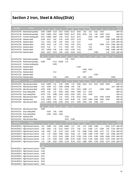| 0.043<br>0.0006<br>0.124<br>0.071<br>0.0023<br>63.72<br>20.69<br>3.50<br>8.37<br>0.011<br>ø40×30<br><b>NCS HS 41745</b><br>Nickel-based superalloy<br>0.016<br><b>NCS HS 41746</b><br>Nickel-based superalloy<br>0.027<br>0.0005<br>0.057<br>0.080<br>0.0033<br>52.27<br>18.56<br>18.54<br>3.28<br>1.03<br>0.635<br>0.023<br>ø40×30<br>0.807<br>0.015<br>32.27<br>20.72<br>0.297<br><b>NCS HS 41747</b><br>0.071<br>0.0006<br>0.36<br>0.49<br>0.299<br>0.038<br>ø38×30<br>Corrosion-resisting alloy<br><b>Stainless Steel</b><br>0.194<br>0.011<br>0.62<br>0.016<br>0.077<br>12.70<br>ø38×38<br><b>NCS HS 41748</b><br>0.54<br>0.010<br>0.008<br>0.048<br>0.21<br>12.27<br><b>NCS HS 41749</b><br><b>Stainless Steel</b><br>0.012<br>0.39<br>0.56<br>0.023<br>1.52<br>1.15<br>0.074<br>ø38×38<br>0.075<br>16.31<br>ø38×38<br><b>NCS HS 41750</b><br><b>Stainless Steel</b><br>0.012<br>1.43<br>0.33<br>0.031<br>6.35<br>0.107<br>0.009<br>0.276<br>0.064<br>NCS HS 41751a Stainless Steel<br>0.075<br>0.16<br>1.7<br>0.71<br>0.035<br>8.07<br>17.41<br>0.33<br>0.26<br>0.068<br>ø38×38<br>0.0016<br>0.023<br>0.057<br>ø38×38<br>NCS HS 41752 Stainless Steel<br>0.97<br>0.46<br>0.48<br>0.192<br>17.61<br>0.082<br>0.088<br>NCS HS 41753a Stainless Steel<br>0.012<br>0.013<br>0.973<br>0.48<br>0.021<br>24.28<br>19.16<br>0.004<br>1.26<br>0.075<br>ø38×38<br><b>Nb</b><br>Mo<br>W<br>$Ta^{\star\star}$<br>B<br>$Al^{\star}$<br>$Nb*$<br>Co<br>$Co*$<br>N.<br>Ti*<br>$Pb^*$<br>$Ta^*$<br><b>NCS HS 41745</b><br>Nickel-based superalloy<br>0.001<br>3.19<br>0.011<br><b>NCS HS 41746</b><br>Nickel-based superalloy<br>0.008<br>0.0025<br>5.15<br>0.111<br><b>NCS HS 41747</b><br>Corrosion-resisting alloy<br>0.050<br><b>Stainless Steel</b><br><b>NCS HS 41749</b><br>0.158<br><b>NCS HS 41750</b><br><b>Stainless Steel</b><br>0.058<br>0.001<br>NCS HS 41751a Stainless Steel<br>0.13<br>0.077<br>0.032<br><b>NCS HS 41752</b><br><b>Stainless Steel</b><br>0.812<br>4.25<br>0.041<br>0.058<br>NCS HS 41753a Stainless Steel<br>0.18<br>0.004<br><b>Chemical Composition (Percent)</b><br><b>Unit Size</b><br>Name<br><b>Number</b><br>$\mathsf{C}$<br>Mn<br>Si.<br>Mo<br>$S_{\rm c}$<br>P.<br>$\mathsf{Al}$<br>$\mathbf{V}$<br>Ti.<br>Cr<br>Ni.<br>Cu<br>Mo<br>(mm)<br>0.0055<br>0.008<br>0.26<br>0.005<br>Alloy Structure Steel<br>0.197<br>1.01<br>0.28<br>0.060<br>0.010<br>0.017<br>0.003<br>ø38×32<br><b>NCS HS 41754</b><br>1.33<br>Alloy Structure Steel<br>0.23<br>0.004<br>0.27<br>0.044<br>0.0046<br>1.64<br>3.40<br>0.37<br>ø38×38<br><b>NCS HS 41755</b><br>Alloy Structure Steel<br>0.205<br>0.60<br>0.25<br>0.011<br>0.93<br>0.008<br>0.17<br>0.004<br>ø38×32<br><b>NCS HS 41756</b><br>0.002<br>0.012<br>0.004<br>0.079<br><b>Easy cutting Steel</b><br>0.28<br>1.01<br>0.018<br>0.055<br>0.047<br>0.058<br>0.17<br>0.012<br>ø38×32<br><b>NCS HS 41757</b><br><b>Easy cutting Steel</b><br>0.079<br>0.30<br>0.015<br>0.056<br>0.023<br>0.051<br>0.049<br>ø38×32<br><b>NCS HS 41758</b><br>0.986<br>0.15<br><b>NCS HS 41759</b><br>Alloy Structure Steel<br>0.21<br>0.008<br>0.57<br>0.21<br>0.012<br>0.78<br>0.015<br>0.025<br>0.017<br>0.003<br>0.0034<br>ø38×32<br><b>NCS HS 41760</b><br>Stainless steel<br>0.153<br>0.0071<br>0.56<br>0.26<br>0.035<br>16.30<br>1.92<br>0.078<br>0.055<br>0.005<br>0.081<br>0.002<br>ø38×38<br>0.121<br>0.0026<br>0.463<br>0.335<br>0.014<br>8.71<br>0.064<br>0.055<br>0.93<br>0.005<br>Alloy Structure Steel<br>0.21<br>ø38×38<br>NCS HS 41761<br>$\mathsf{V}$<br><b>Nb</b><br>Sn<br>Pb<br><b>As</b><br>N<br>Alloy Structure Steel<br>0.080<br><b>NCS HS 41755</b><br>Easy cutting Steel<br>0.019<br>0.26<br>0.025<br><b>NCS HS 41757</b><br>Easy cutting Steel<br>0.020<br>0.018<br>0.026<br><b>NCS HS 41758</b><br>Stainless steel<br><b>NCS HS 41760</b><br>0.012<br>0.040<br>NCS HS 41761 Alloy Structure Steel<br>0.072<br><b>Unit Size</b><br>Chemical Composition(Percent)<br>Name<br><b>Number</b><br>$\mathsf{C}$<br>W<br>Si<br>Mn<br>P.<br>S.<br>B<br>Cr<br>Ni.<br>Mo<br>V<br>Cu.<br>m<br>(mm)<br>NCS HS 92703-1 High Chromium Cast Iron<br>3.31<br>0.098<br>1.54<br>0.369<br>0.004/<br>1.17<br>2.5/<br>1.47<br>0.952<br>0.449<br>0.015<br>0.0077<br>NCS HS 92703-2 High Chromium Cast Iron<br>2.96<br>0.491<br>1.24<br>0.211<br>9.75<br>1.99<br>2.17<br>0.669<br>1.57<br>0.300<br>1.99<br>0.015<br>NCS HS92703-3 High Chromium Cast Iron<br>0.821<br>1.06<br>0.115<br>13.30<br>1.55<br>0.869<br>0.482<br>0.953<br>1.57<br>2.40<br>0.171<br>NCS HS92703-4 High Chromium Cast Iron<br>1.16<br>0.803<br>0.090<br>0.025<br>18.28<br>0.598<br>0.380<br>0.738<br>0.087<br>1.05<br>2.00<br>1.07<br>NCS HS 92703-5 High Chromium Cast Iron<br>0.579<br>0.041<br>0.058<br>22.55<br>0.708<br>0.359<br>0.314<br>0.583<br>0.056<br>0.694<br>1.48<br>1.37<br>NCS HS92703-6 High Chromium Cast Iron<br>0.302<br>0.033<br>0.086<br>25.76<br>0.289<br>0.150<br>0.146<br>0.845<br>0.019<br>0.370<br>1.16<br>1.44<br>NCS HS92703-7 High Chromium Cast Iron<br>0.201<br>0.024<br>0.116<br>31.26<br>0.129<br>0.086<br>0.087<br>0.154<br>0.033<br>3.13<br>2.48<br><b>Nb</b><br>NCS HS 92703-1 High Chromium Cast Iron<br>0.018<br>NCS HS92703-2 High Chromium Cast Iron<br>0.182<br>NCS HS92703-3 High Chromium Cast Iron<br>0.149<br>NCS HS92703-4 High Chromium Cast Iron<br>0.071<br>NCS HS92703-5 High Chromium Cast Iron<br>0.022<br>NCS HS92703-6 High Chromium Cast Iron<br>0.014<br>NCS HS92703-7 High Chromium Cast Iron<br>0.010 | <b>Number</b> | Name |              |   |    |    |   |    | <b>Chemical Composition(Percent)</b> |    |    |     |               |    |        | Unit Size |
|---------------------------------------------------------------------------------------------------------------------------------------------------------------------------------------------------------------------------------------------------------------------------------------------------------------------------------------------------------------------------------------------------------------------------------------------------------------------------------------------------------------------------------------------------------------------------------------------------------------------------------------------------------------------------------------------------------------------------------------------------------------------------------------------------------------------------------------------------------------------------------------------------------------------------------------------------------------------------------------------------------------------------------------------------------------------------------------------------------------------------------------------------------------------------------------------------------------------------------------------------------------------------------------------------------------------------------------------------------------------------------------------------------------------------------------------------------------------------------------------------------------------------------------------------------------------------------------------------------------------------------------------------------------------------------------------------------------------------------------------------------------------------------------------------------------------------------------------------------------------------------------------------------------------------------------------------------------------------------------------------------------------------------------------------------------------------------------------------------------------------------------------------------------------------------------------------------------------------------------------------------------------------------------------------------------------------------------------------------------------------------------------------------------------------------------------------------------------------------------------------------------------------------------------------------------------------------------------------------------------------------------------------------------------------------------------------------------------------------------------------------------------------------------------------------------------------------------------------------------------------------------------------------------------------------------------------------------------------------------------------------------------------------------------------------------------------------------------------------------------------------------------------------------------------------------------------------------------------------------------------------------------------------------------------------------------------------------------------------------------------------------------------------------------------------------------------------------------------------------------------------------------------------------------------------------------------------------------------------------------------------------------------------------------------------------------------------------------------------------------------------------------------------------------------------------------------------------------------------------------------------------------------------------------------------------------------------------------------------------------------------------------------------------------------------------------------------------------------------------------------------------------------------------------------------------------------------------------------------------------------------------------------------------------------------------------------------------------------------------------------------------------------------------------------------------------------------------------------------------------------------------------------------------------------------------------------------------------------------------------------------------------------------------------------------------------------------------------------------------------------------------------------------------------------------------------------------------------------------------------------------------------------------------------------------------------------------------------------------------------------------------------------------------------------------------------------------------------------------------------------------------------------------------------------------------------------------------------------------------------------------------------------------------------------------------------------------------------------------------------------------------------------------------------------------------------------------------------------------------------|---------------|------|--------------|---|----|----|---|----|--------------------------------------|----|----|-----|---------------|----|--------|-----------|
|                                                                                                                                                                                                                                                                                                                                                                                                                                                                                                                                                                                                                                                                                                                                                                                                                                                                                                                                                                                                                                                                                                                                                                                                                                                                                                                                                                                                                                                                                                                                                                                                                                                                                                                                                                                                                                                                                                                                                                                                                                                                                                                                                                                                                                                                                                                                                                                                                                                                                                                                                                                                                                                                                                                                                                                                                                                                                                                                                                                                                                                                                                                                                                                                                                                                                                                                                                                                                                                                                                                                                                                                                                                                                                                                                                                                                                                                                                                                                                                                                                                                                                                                                                                                                                                                                                                                                                                                                                                                                                                                                                                                                                                                                                                                                                                                                                                                                                                                                                                                                                                                                                                                                                                                                                                                                                                                                                                                                                                                                             |               |      | $\mathsf{C}$ | S | Mn | Si | P | Ni | Cr                                   | Fe | Mo | Ti. | $\mathsf{Al}$ | Cu | $\vee$ | (mm)      |
| $0.142$ $0.030 \times 30$<br>$0.102$ $0.30 \times 30$<br>$0.086$ $0.086$<br>$0.076$ $0.078$<br>$0.055$ $0.030 \times 30$<br>$0.175$ 0.015 $\varnothing 30 \times 30$                                                                                                                                                                                                                                                                                                                                                                                                                                                                                                                                                                                                                                                                                                                                                                                                                                                                                                                                                                                                                                                                                                                                                                                                                                                                                                                                                                                                                                                                                                                                                                                                                                                                                                                                                                                                                                                                                                                                                                                                                                                                                                                                                                                                                                                                                                                                                                                                                                                                                                                                                                                                                                                                                                                                                                                                                                                                                                                                                                                                                                                                                                                                                                                                                                                                                                                                                                                                                                                                                                                                                                                                                                                                                                                                                                                                                                                                                                                                                                                                                                                                                                                                                                                                                                                                                                                                                                                                                                                                                                                                                                                                                                                                                                                                                                                                                                                                                                                                                                                                                                                                                                                                                                                                                                                                                                                        |               |      |              |   |    |    |   |    |                                      |    |    |     |               |    |        |           |
|                                                                                                                                                                                                                                                                                                                                                                                                                                                                                                                                                                                                                                                                                                                                                                                                                                                                                                                                                                                                                                                                                                                                                                                                                                                                                                                                                                                                                                                                                                                                                                                                                                                                                                                                                                                                                                                                                                                                                                                                                                                                                                                                                                                                                                                                                                                                                                                                                                                                                                                                                                                                                                                                                                                                                                                                                                                                                                                                                                                                                                                                                                                                                                                                                                                                                                                                                                                                                                                                                                                                                                                                                                                                                                                                                                                                                                                                                                                                                                                                                                                                                                                                                                                                                                                                                                                                                                                                                                                                                                                                                                                                                                                                                                                                                                                                                                                                                                                                                                                                                                                                                                                                                                                                                                                                                                                                                                                                                                                                                             |               |      |              |   |    |    |   |    |                                      |    |    |     |               |    |        |           |
| $0.177$ $0.00 \times 30$                                                                                                                                                                                                                                                                                                                                                                                                                                                                                                                                                                                                                                                                                                                                                                                                                                                                                                                                                                                                                                                                                                                                                                                                                                                                                                                                                                                                                                                                                                                                                                                                                                                                                                                                                                                                                                                                                                                                                                                                                                                                                                                                                                                                                                                                                                                                                                                                                                                                                                                                                                                                                                                                                                                                                                                                                                                                                                                                                                                                                                                                                                                                                                                                                                                                                                                                                                                                                                                                                                                                                                                                                                                                                                                                                                                                                                                                                                                                                                                                                                                                                                                                                                                                                                                                                                                                                                                                                                                                                                                                                                                                                                                                                                                                                                                                                                                                                                                                                                                                                                                                                                                                                                                                                                                                                                                                                                                                                                                                    |               |      |              |   |    |    |   |    |                                      |    |    |     |               |    |        |           |
|                                                                                                                                                                                                                                                                                                                                                                                                                                                                                                                                                                                                                                                                                                                                                                                                                                                                                                                                                                                                                                                                                                                                                                                                                                                                                                                                                                                                                                                                                                                                                                                                                                                                                                                                                                                                                                                                                                                                                                                                                                                                                                                                                                                                                                                                                                                                                                                                                                                                                                                                                                                                                                                                                                                                                                                                                                                                                                                                                                                                                                                                                                                                                                                                                                                                                                                                                                                                                                                                                                                                                                                                                                                                                                                                                                                                                                                                                                                                                                                                                                                                                                                                                                                                                                                                                                                                                                                                                                                                                                                                                                                                                                                                                                                                                                                                                                                                                                                                                                                                                                                                                                                                                                                                                                                                                                                                                                                                                                                                                             |               |      |              |   |    |    |   |    |                                      |    |    |     |               |    |        |           |
|                                                                                                                                                                                                                                                                                                                                                                                                                                                                                                                                                                                                                                                                                                                                                                                                                                                                                                                                                                                                                                                                                                                                                                                                                                                                                                                                                                                                                                                                                                                                                                                                                                                                                                                                                                                                                                                                                                                                                                                                                                                                                                                                                                                                                                                                                                                                                                                                                                                                                                                                                                                                                                                                                                                                                                                                                                                                                                                                                                                                                                                                                                                                                                                                                                                                                                                                                                                                                                                                                                                                                                                                                                                                                                                                                                                                                                                                                                                                                                                                                                                                                                                                                                                                                                                                                                                                                                                                                                                                                                                                                                                                                                                                                                                                                                                                                                                                                                                                                                                                                                                                                                                                                                                                                                                                                                                                                                                                                                                                                             |               |      |              |   |    |    |   |    |                                      |    |    |     |               |    |        |           |
|                                                                                                                                                                                                                                                                                                                                                                                                                                                                                                                                                                                                                                                                                                                                                                                                                                                                                                                                                                                                                                                                                                                                                                                                                                                                                                                                                                                                                                                                                                                                                                                                                                                                                                                                                                                                                                                                                                                                                                                                                                                                                                                                                                                                                                                                                                                                                                                                                                                                                                                                                                                                                                                                                                                                                                                                                                                                                                                                                                                                                                                                                                                                                                                                                                                                                                                                                                                                                                                                                                                                                                                                                                                                                                                                                                                                                                                                                                                                                                                                                                                                                                                                                                                                                                                                                                                                                                                                                                                                                                                                                                                                                                                                                                                                                                                                                                                                                                                                                                                                                                                                                                                                                                                                                                                                                                                                                                                                                                                                                             |               |      |              |   |    |    |   |    |                                      |    |    |     |               |    |        |           |
|                                                                                                                                                                                                                                                                                                                                                                                                                                                                                                                                                                                                                                                                                                                                                                                                                                                                                                                                                                                                                                                                                                                                                                                                                                                                                                                                                                                                                                                                                                                                                                                                                                                                                                                                                                                                                                                                                                                                                                                                                                                                                                                                                                                                                                                                                                                                                                                                                                                                                                                                                                                                                                                                                                                                                                                                                                                                                                                                                                                                                                                                                                                                                                                                                                                                                                                                                                                                                                                                                                                                                                                                                                                                                                                                                                                                                                                                                                                                                                                                                                                                                                                                                                                                                                                                                                                                                                                                                                                                                                                                                                                                                                                                                                                                                                                                                                                                                                                                                                                                                                                                                                                                                                                                                                                                                                                                                                                                                                                                                             |               |      |              |   |    |    |   |    |                                      |    |    |     |               |    |        |           |
|                                                                                                                                                                                                                                                                                                                                                                                                                                                                                                                                                                                                                                                                                                                                                                                                                                                                                                                                                                                                                                                                                                                                                                                                                                                                                                                                                                                                                                                                                                                                                                                                                                                                                                                                                                                                                                                                                                                                                                                                                                                                                                                                                                                                                                                                                                                                                                                                                                                                                                                                                                                                                                                                                                                                                                                                                                                                                                                                                                                                                                                                                                                                                                                                                                                                                                                                                                                                                                                                                                                                                                                                                                                                                                                                                                                                                                                                                                                                                                                                                                                                                                                                                                                                                                                                                                                                                                                                                                                                                                                                                                                                                                                                                                                                                                                                                                                                                                                                                                                                                                                                                                                                                                                                                                                                                                                                                                                                                                                                                             |               |      |              |   |    |    |   |    |                                      |    |    |     |               |    |        |           |
|                                                                                                                                                                                                                                                                                                                                                                                                                                                                                                                                                                                                                                                                                                                                                                                                                                                                                                                                                                                                                                                                                                                                                                                                                                                                                                                                                                                                                                                                                                                                                                                                                                                                                                                                                                                                                                                                                                                                                                                                                                                                                                                                                                                                                                                                                                                                                                                                                                                                                                                                                                                                                                                                                                                                                                                                                                                                                                                                                                                                                                                                                                                                                                                                                                                                                                                                                                                                                                                                                                                                                                                                                                                                                                                                                                                                                                                                                                                                                                                                                                                                                                                                                                                                                                                                                                                                                                                                                                                                                                                                                                                                                                                                                                                                                                                                                                                                                                                                                                                                                                                                                                                                                                                                                                                                                                                                                                                                                                                                                             |               |      |              |   |    |    |   |    |                                      |    |    |     |               |    |        |           |
|                                                                                                                                                                                                                                                                                                                                                                                                                                                                                                                                                                                                                                                                                                                                                                                                                                                                                                                                                                                                                                                                                                                                                                                                                                                                                                                                                                                                                                                                                                                                                                                                                                                                                                                                                                                                                                                                                                                                                                                                                                                                                                                                                                                                                                                                                                                                                                                                                                                                                                                                                                                                                                                                                                                                                                                                                                                                                                                                                                                                                                                                                                                                                                                                                                                                                                                                                                                                                                                                                                                                                                                                                                                                                                                                                                                                                                                                                                                                                                                                                                                                                                                                                                                                                                                                                                                                                                                                                                                                                                                                                                                                                                                                                                                                                                                                                                                                                                                                                                                                                                                                                                                                                                                                                                                                                                                                                                                                                                                                                             |               |      |              |   |    |    |   |    |                                      |    |    |     |               |    |        |           |
|                                                                                                                                                                                                                                                                                                                                                                                                                                                                                                                                                                                                                                                                                                                                                                                                                                                                                                                                                                                                                                                                                                                                                                                                                                                                                                                                                                                                                                                                                                                                                                                                                                                                                                                                                                                                                                                                                                                                                                                                                                                                                                                                                                                                                                                                                                                                                                                                                                                                                                                                                                                                                                                                                                                                                                                                                                                                                                                                                                                                                                                                                                                                                                                                                                                                                                                                                                                                                                                                                                                                                                                                                                                                                                                                                                                                                                                                                                                                                                                                                                                                                                                                                                                                                                                                                                                                                                                                                                                                                                                                                                                                                                                                                                                                                                                                                                                                                                                                                                                                                                                                                                                                                                                                                                                                                                                                                                                                                                                                                             |               |      |              |   |    |    |   |    |                                      |    |    |     |               |    |        |           |
|                                                                                                                                                                                                                                                                                                                                                                                                                                                                                                                                                                                                                                                                                                                                                                                                                                                                                                                                                                                                                                                                                                                                                                                                                                                                                                                                                                                                                                                                                                                                                                                                                                                                                                                                                                                                                                                                                                                                                                                                                                                                                                                                                                                                                                                                                                                                                                                                                                                                                                                                                                                                                                                                                                                                                                                                                                                                                                                                                                                                                                                                                                                                                                                                                                                                                                                                                                                                                                                                                                                                                                                                                                                                                                                                                                                                                                                                                                                                                                                                                                                                                                                                                                                                                                                                                                                                                                                                                                                                                                                                                                                                                                                                                                                                                                                                                                                                                                                                                                                                                                                                                                                                                                                                                                                                                                                                                                                                                                                                                             |               |      |              |   |    |    |   |    |                                      |    |    |     |               |    |        |           |
|                                                                                                                                                                                                                                                                                                                                                                                                                                                                                                                                                                                                                                                                                                                                                                                                                                                                                                                                                                                                                                                                                                                                                                                                                                                                                                                                                                                                                                                                                                                                                                                                                                                                                                                                                                                                                                                                                                                                                                                                                                                                                                                                                                                                                                                                                                                                                                                                                                                                                                                                                                                                                                                                                                                                                                                                                                                                                                                                                                                                                                                                                                                                                                                                                                                                                                                                                                                                                                                                                                                                                                                                                                                                                                                                                                                                                                                                                                                                                                                                                                                                                                                                                                                                                                                                                                                                                                                                                                                                                                                                                                                                                                                                                                                                                                                                                                                                                                                                                                                                                                                                                                                                                                                                                                                                                                                                                                                                                                                                                             |               |      |              |   |    |    |   |    |                                      |    |    |     |               |    |        |           |
|                                                                                                                                                                                                                                                                                                                                                                                                                                                                                                                                                                                                                                                                                                                                                                                                                                                                                                                                                                                                                                                                                                                                                                                                                                                                                                                                                                                                                                                                                                                                                                                                                                                                                                                                                                                                                                                                                                                                                                                                                                                                                                                                                                                                                                                                                                                                                                                                                                                                                                                                                                                                                                                                                                                                                                                                                                                                                                                                                                                                                                                                                                                                                                                                                                                                                                                                                                                                                                                                                                                                                                                                                                                                                                                                                                                                                                                                                                                                                                                                                                                                                                                                                                                                                                                                                                                                                                                                                                                                                                                                                                                                                                                                                                                                                                                                                                                                                                                                                                                                                                                                                                                                                                                                                                                                                                                                                                                                                                                                                             |               |      |              |   |    |    |   |    |                                      |    |    |     |               |    |        |           |
|                                                                                                                                                                                                                                                                                                                                                                                                                                                                                                                                                                                                                                                                                                                                                                                                                                                                                                                                                                                                                                                                                                                                                                                                                                                                                                                                                                                                                                                                                                                                                                                                                                                                                                                                                                                                                                                                                                                                                                                                                                                                                                                                                                                                                                                                                                                                                                                                                                                                                                                                                                                                                                                                                                                                                                                                                                                                                                                                                                                                                                                                                                                                                                                                                                                                                                                                                                                                                                                                                                                                                                                                                                                                                                                                                                                                                                                                                                                                                                                                                                                                                                                                                                                                                                                                                                                                                                                                                                                                                                                                                                                                                                                                                                                                                                                                                                                                                                                                                                                                                                                                                                                                                                                                                                                                                                                                                                                                                                                                                             |               |      |              |   |    |    |   |    |                                      |    |    |     |               |    |        |           |
|                                                                                                                                                                                                                                                                                                                                                                                                                                                                                                                                                                                                                                                                                                                                                                                                                                                                                                                                                                                                                                                                                                                                                                                                                                                                                                                                                                                                                                                                                                                                                                                                                                                                                                                                                                                                                                                                                                                                                                                                                                                                                                                                                                                                                                                                                                                                                                                                                                                                                                                                                                                                                                                                                                                                                                                                                                                                                                                                                                                                                                                                                                                                                                                                                                                                                                                                                                                                                                                                                                                                                                                                                                                                                                                                                                                                                                                                                                                                                                                                                                                                                                                                                                                                                                                                                                                                                                                                                                                                                                                                                                                                                                                                                                                                                                                                                                                                                                                                                                                                                                                                                                                                                                                                                                                                                                                                                                                                                                                                                             |               |      |              |   |    |    |   |    |                                      |    |    |     |               |    |        |           |
|                                                                                                                                                                                                                                                                                                                                                                                                                                                                                                                                                                                                                                                                                                                                                                                                                                                                                                                                                                                                                                                                                                                                                                                                                                                                                                                                                                                                                                                                                                                                                                                                                                                                                                                                                                                                                                                                                                                                                                                                                                                                                                                                                                                                                                                                                                                                                                                                                                                                                                                                                                                                                                                                                                                                                                                                                                                                                                                                                                                                                                                                                                                                                                                                                                                                                                                                                                                                                                                                                                                                                                                                                                                                                                                                                                                                                                                                                                                                                                                                                                                                                                                                                                                                                                                                                                                                                                                                                                                                                                                                                                                                                                                                                                                                                                                                                                                                                                                                                                                                                                                                                                                                                                                                                                                                                                                                                                                                                                                                                             |               |      |              |   |    |    |   |    |                                      |    |    |     |               |    |        |           |
|                                                                                                                                                                                                                                                                                                                                                                                                                                                                                                                                                                                                                                                                                                                                                                                                                                                                                                                                                                                                                                                                                                                                                                                                                                                                                                                                                                                                                                                                                                                                                                                                                                                                                                                                                                                                                                                                                                                                                                                                                                                                                                                                                                                                                                                                                                                                                                                                                                                                                                                                                                                                                                                                                                                                                                                                                                                                                                                                                                                                                                                                                                                                                                                                                                                                                                                                                                                                                                                                                                                                                                                                                                                                                                                                                                                                                                                                                                                                                                                                                                                                                                                                                                                                                                                                                                                                                                                                                                                                                                                                                                                                                                                                                                                                                                                                                                                                                                                                                                                                                                                                                                                                                                                                                                                                                                                                                                                                                                                                                             |               |      |              |   |    |    |   |    |                                      |    |    |     |               |    |        |           |
|                                                                                                                                                                                                                                                                                                                                                                                                                                                                                                                                                                                                                                                                                                                                                                                                                                                                                                                                                                                                                                                                                                                                                                                                                                                                                                                                                                                                                                                                                                                                                                                                                                                                                                                                                                                                                                                                                                                                                                                                                                                                                                                                                                                                                                                                                                                                                                                                                                                                                                                                                                                                                                                                                                                                                                                                                                                                                                                                                                                                                                                                                                                                                                                                                                                                                                                                                                                                                                                                                                                                                                                                                                                                                                                                                                                                                                                                                                                                                                                                                                                                                                                                                                                                                                                                                                                                                                                                                                                                                                                                                                                                                                                                                                                                                                                                                                                                                                                                                                                                                                                                                                                                                                                                                                                                                                                                                                                                                                                                                             |               |      |              |   |    |    |   |    |                                      |    |    |     |               |    |        |           |
|                                                                                                                                                                                                                                                                                                                                                                                                                                                                                                                                                                                                                                                                                                                                                                                                                                                                                                                                                                                                                                                                                                                                                                                                                                                                                                                                                                                                                                                                                                                                                                                                                                                                                                                                                                                                                                                                                                                                                                                                                                                                                                                                                                                                                                                                                                                                                                                                                                                                                                                                                                                                                                                                                                                                                                                                                                                                                                                                                                                                                                                                                                                                                                                                                                                                                                                                                                                                                                                                                                                                                                                                                                                                                                                                                                                                                                                                                                                                                                                                                                                                                                                                                                                                                                                                                                                                                                                                                                                                                                                                                                                                                                                                                                                                                                                                                                                                                                                                                                                                                                                                                                                                                                                                                                                                                                                                                                                                                                                                                             |               |      |              |   |    |    |   |    |                                      |    |    |     |               |    |        |           |
|                                                                                                                                                                                                                                                                                                                                                                                                                                                                                                                                                                                                                                                                                                                                                                                                                                                                                                                                                                                                                                                                                                                                                                                                                                                                                                                                                                                                                                                                                                                                                                                                                                                                                                                                                                                                                                                                                                                                                                                                                                                                                                                                                                                                                                                                                                                                                                                                                                                                                                                                                                                                                                                                                                                                                                                                                                                                                                                                                                                                                                                                                                                                                                                                                                                                                                                                                                                                                                                                                                                                                                                                                                                                                                                                                                                                                                                                                                                                                                                                                                                                                                                                                                                                                                                                                                                                                                                                                                                                                                                                                                                                                                                                                                                                                                                                                                                                                                                                                                                                                                                                                                                                                                                                                                                                                                                                                                                                                                                                                             |               |      |              |   |    |    |   |    |                                      |    |    |     |               |    |        |           |
|                                                                                                                                                                                                                                                                                                                                                                                                                                                                                                                                                                                                                                                                                                                                                                                                                                                                                                                                                                                                                                                                                                                                                                                                                                                                                                                                                                                                                                                                                                                                                                                                                                                                                                                                                                                                                                                                                                                                                                                                                                                                                                                                                                                                                                                                                                                                                                                                                                                                                                                                                                                                                                                                                                                                                                                                                                                                                                                                                                                                                                                                                                                                                                                                                                                                                                                                                                                                                                                                                                                                                                                                                                                                                                                                                                                                                                                                                                                                                                                                                                                                                                                                                                                                                                                                                                                                                                                                                                                                                                                                                                                                                                                                                                                                                                                                                                                                                                                                                                                                                                                                                                                                                                                                                                                                                                                                                                                                                                                                                             |               |      |              |   |    |    |   |    |                                      |    |    |     |               |    |        |           |
|                                                                                                                                                                                                                                                                                                                                                                                                                                                                                                                                                                                                                                                                                                                                                                                                                                                                                                                                                                                                                                                                                                                                                                                                                                                                                                                                                                                                                                                                                                                                                                                                                                                                                                                                                                                                                                                                                                                                                                                                                                                                                                                                                                                                                                                                                                                                                                                                                                                                                                                                                                                                                                                                                                                                                                                                                                                                                                                                                                                                                                                                                                                                                                                                                                                                                                                                                                                                                                                                                                                                                                                                                                                                                                                                                                                                                                                                                                                                                                                                                                                                                                                                                                                                                                                                                                                                                                                                                                                                                                                                                                                                                                                                                                                                                                                                                                                                                                                                                                                                                                                                                                                                                                                                                                                                                                                                                                                                                                                                                             |               |      |              |   |    |    |   |    |                                      |    |    |     |               |    |        |           |
|                                                                                                                                                                                                                                                                                                                                                                                                                                                                                                                                                                                                                                                                                                                                                                                                                                                                                                                                                                                                                                                                                                                                                                                                                                                                                                                                                                                                                                                                                                                                                                                                                                                                                                                                                                                                                                                                                                                                                                                                                                                                                                                                                                                                                                                                                                                                                                                                                                                                                                                                                                                                                                                                                                                                                                                                                                                                                                                                                                                                                                                                                                                                                                                                                                                                                                                                                                                                                                                                                                                                                                                                                                                                                                                                                                                                                                                                                                                                                                                                                                                                                                                                                                                                                                                                                                                                                                                                                                                                                                                                                                                                                                                                                                                                                                                                                                                                                                                                                                                                                                                                                                                                                                                                                                                                                                                                                                                                                                                                                             |               |      |              |   |    |    |   |    |                                      |    |    |     |               |    |        |           |
|                                                                                                                                                                                                                                                                                                                                                                                                                                                                                                                                                                                                                                                                                                                                                                                                                                                                                                                                                                                                                                                                                                                                                                                                                                                                                                                                                                                                                                                                                                                                                                                                                                                                                                                                                                                                                                                                                                                                                                                                                                                                                                                                                                                                                                                                                                                                                                                                                                                                                                                                                                                                                                                                                                                                                                                                                                                                                                                                                                                                                                                                                                                                                                                                                                                                                                                                                                                                                                                                                                                                                                                                                                                                                                                                                                                                                                                                                                                                                                                                                                                                                                                                                                                                                                                                                                                                                                                                                                                                                                                                                                                                                                                                                                                                                                                                                                                                                                                                                                                                                                                                                                                                                                                                                                                                                                                                                                                                                                                                                             |               |      |              |   |    |    |   |    |                                      |    |    |     |               |    |        |           |
|                                                                                                                                                                                                                                                                                                                                                                                                                                                                                                                                                                                                                                                                                                                                                                                                                                                                                                                                                                                                                                                                                                                                                                                                                                                                                                                                                                                                                                                                                                                                                                                                                                                                                                                                                                                                                                                                                                                                                                                                                                                                                                                                                                                                                                                                                                                                                                                                                                                                                                                                                                                                                                                                                                                                                                                                                                                                                                                                                                                                                                                                                                                                                                                                                                                                                                                                                                                                                                                                                                                                                                                                                                                                                                                                                                                                                                                                                                                                                                                                                                                                                                                                                                                                                                                                                                                                                                                                                                                                                                                                                                                                                                                                                                                                                                                                                                                                                                                                                                                                                                                                                                                                                                                                                                                                                                                                                                                                                                                                                             |               |      |              |   |    |    |   |    |                                      |    |    |     |               |    |        |           |
|                                                                                                                                                                                                                                                                                                                                                                                                                                                                                                                                                                                                                                                                                                                                                                                                                                                                                                                                                                                                                                                                                                                                                                                                                                                                                                                                                                                                                                                                                                                                                                                                                                                                                                                                                                                                                                                                                                                                                                                                                                                                                                                                                                                                                                                                                                                                                                                                                                                                                                                                                                                                                                                                                                                                                                                                                                                                                                                                                                                                                                                                                                                                                                                                                                                                                                                                                                                                                                                                                                                                                                                                                                                                                                                                                                                                                                                                                                                                                                                                                                                                                                                                                                                                                                                                                                                                                                                                                                                                                                                                                                                                                                                                                                                                                                                                                                                                                                                                                                                                                                                                                                                                                                                                                                                                                                                                                                                                                                                                                             |               |      |              |   |    |    |   |    |                                      |    |    |     |               |    |        |           |
|                                                                                                                                                                                                                                                                                                                                                                                                                                                                                                                                                                                                                                                                                                                                                                                                                                                                                                                                                                                                                                                                                                                                                                                                                                                                                                                                                                                                                                                                                                                                                                                                                                                                                                                                                                                                                                                                                                                                                                                                                                                                                                                                                                                                                                                                                                                                                                                                                                                                                                                                                                                                                                                                                                                                                                                                                                                                                                                                                                                                                                                                                                                                                                                                                                                                                                                                                                                                                                                                                                                                                                                                                                                                                                                                                                                                                                                                                                                                                                                                                                                                                                                                                                                                                                                                                                                                                                                                                                                                                                                                                                                                                                                                                                                                                                                                                                                                                                                                                                                                                                                                                                                                                                                                                                                                                                                                                                                                                                                                                             |               |      |              |   |    |    |   |    |                                      |    |    |     |               |    |        |           |
|                                                                                                                                                                                                                                                                                                                                                                                                                                                                                                                                                                                                                                                                                                                                                                                                                                                                                                                                                                                                                                                                                                                                                                                                                                                                                                                                                                                                                                                                                                                                                                                                                                                                                                                                                                                                                                                                                                                                                                                                                                                                                                                                                                                                                                                                                                                                                                                                                                                                                                                                                                                                                                                                                                                                                                                                                                                                                                                                                                                                                                                                                                                                                                                                                                                                                                                                                                                                                                                                                                                                                                                                                                                                                                                                                                                                                                                                                                                                                                                                                                                                                                                                                                                                                                                                                                                                                                                                                                                                                                                                                                                                                                                                                                                                                                                                                                                                                                                                                                                                                                                                                                                                                                                                                                                                                                                                                                                                                                                                                             |               |      |              |   |    |    |   |    |                                      |    |    |     |               |    |        |           |
|                                                                                                                                                                                                                                                                                                                                                                                                                                                                                                                                                                                                                                                                                                                                                                                                                                                                                                                                                                                                                                                                                                                                                                                                                                                                                                                                                                                                                                                                                                                                                                                                                                                                                                                                                                                                                                                                                                                                                                                                                                                                                                                                                                                                                                                                                                                                                                                                                                                                                                                                                                                                                                                                                                                                                                                                                                                                                                                                                                                                                                                                                                                                                                                                                                                                                                                                                                                                                                                                                                                                                                                                                                                                                                                                                                                                                                                                                                                                                                                                                                                                                                                                                                                                                                                                                                                                                                                                                                                                                                                                                                                                                                                                                                                                                                                                                                                                                                                                                                                                                                                                                                                                                                                                                                                                                                                                                                                                                                                                                             |               |      |              |   |    |    |   |    |                                      |    |    |     |               |    |        |           |
|                                                                                                                                                                                                                                                                                                                                                                                                                                                                                                                                                                                                                                                                                                                                                                                                                                                                                                                                                                                                                                                                                                                                                                                                                                                                                                                                                                                                                                                                                                                                                                                                                                                                                                                                                                                                                                                                                                                                                                                                                                                                                                                                                                                                                                                                                                                                                                                                                                                                                                                                                                                                                                                                                                                                                                                                                                                                                                                                                                                                                                                                                                                                                                                                                                                                                                                                                                                                                                                                                                                                                                                                                                                                                                                                                                                                                                                                                                                                                                                                                                                                                                                                                                                                                                                                                                                                                                                                                                                                                                                                                                                                                                                                                                                                                                                                                                                                                                                                                                                                                                                                                                                                                                                                                                                                                                                                                                                                                                                                                             |               |      |              |   |    |    |   |    |                                      |    |    |     |               |    |        |           |
|                                                                                                                                                                                                                                                                                                                                                                                                                                                                                                                                                                                                                                                                                                                                                                                                                                                                                                                                                                                                                                                                                                                                                                                                                                                                                                                                                                                                                                                                                                                                                                                                                                                                                                                                                                                                                                                                                                                                                                                                                                                                                                                                                                                                                                                                                                                                                                                                                                                                                                                                                                                                                                                                                                                                                                                                                                                                                                                                                                                                                                                                                                                                                                                                                                                                                                                                                                                                                                                                                                                                                                                                                                                                                                                                                                                                                                                                                                                                                                                                                                                                                                                                                                                                                                                                                                                                                                                                                                                                                                                                                                                                                                                                                                                                                                                                                                                                                                                                                                                                                                                                                                                                                                                                                                                                                                                                                                                                                                                                                             |               |      |              |   |    |    |   |    |                                      |    |    |     |               |    |        |           |
|                                                                                                                                                                                                                                                                                                                                                                                                                                                                                                                                                                                                                                                                                                                                                                                                                                                                                                                                                                                                                                                                                                                                                                                                                                                                                                                                                                                                                                                                                                                                                                                                                                                                                                                                                                                                                                                                                                                                                                                                                                                                                                                                                                                                                                                                                                                                                                                                                                                                                                                                                                                                                                                                                                                                                                                                                                                                                                                                                                                                                                                                                                                                                                                                                                                                                                                                                                                                                                                                                                                                                                                                                                                                                                                                                                                                                                                                                                                                                                                                                                                                                                                                                                                                                                                                                                                                                                                                                                                                                                                                                                                                                                                                                                                                                                                                                                                                                                                                                                                                                                                                                                                                                                                                                                                                                                                                                                                                                                                                                             |               |      |              |   |    |    |   |    |                                      |    |    |     |               |    |        |           |
|                                                                                                                                                                                                                                                                                                                                                                                                                                                                                                                                                                                                                                                                                                                                                                                                                                                                                                                                                                                                                                                                                                                                                                                                                                                                                                                                                                                                                                                                                                                                                                                                                                                                                                                                                                                                                                                                                                                                                                                                                                                                                                                                                                                                                                                                                                                                                                                                                                                                                                                                                                                                                                                                                                                                                                                                                                                                                                                                                                                                                                                                                                                                                                                                                                                                                                                                                                                                                                                                                                                                                                                                                                                                                                                                                                                                                                                                                                                                                                                                                                                                                                                                                                                                                                                                                                                                                                                                                                                                                                                                                                                                                                                                                                                                                                                                                                                                                                                                                                                                                                                                                                                                                                                                                                                                                                                                                                                                                                                                                             |               |      |              |   |    |    |   |    |                                      |    |    |     |               |    |        |           |
|                                                                                                                                                                                                                                                                                                                                                                                                                                                                                                                                                                                                                                                                                                                                                                                                                                                                                                                                                                                                                                                                                                                                                                                                                                                                                                                                                                                                                                                                                                                                                                                                                                                                                                                                                                                                                                                                                                                                                                                                                                                                                                                                                                                                                                                                                                                                                                                                                                                                                                                                                                                                                                                                                                                                                                                                                                                                                                                                                                                                                                                                                                                                                                                                                                                                                                                                                                                                                                                                                                                                                                                                                                                                                                                                                                                                                                                                                                                                                                                                                                                                                                                                                                                                                                                                                                                                                                                                                                                                                                                                                                                                                                                                                                                                                                                                                                                                                                                                                                                                                                                                                                                                                                                                                                                                                                                                                                                                                                                                                             |               |      |              |   |    |    |   |    |                                      |    |    |     |               |    |        |           |
|                                                                                                                                                                                                                                                                                                                                                                                                                                                                                                                                                                                                                                                                                                                                                                                                                                                                                                                                                                                                                                                                                                                                                                                                                                                                                                                                                                                                                                                                                                                                                                                                                                                                                                                                                                                                                                                                                                                                                                                                                                                                                                                                                                                                                                                                                                                                                                                                                                                                                                                                                                                                                                                                                                                                                                                                                                                                                                                                                                                                                                                                                                                                                                                                                                                                                                                                                                                                                                                                                                                                                                                                                                                                                                                                                                                                                                                                                                                                                                                                                                                                                                                                                                                                                                                                                                                                                                                                                                                                                                                                                                                                                                                                                                                                                                                                                                                                                                                                                                                                                                                                                                                                                                                                                                                                                                                                                                                                                                                                                             |               |      |              |   |    |    |   |    |                                      |    |    |     |               |    |        |           |
|                                                                                                                                                                                                                                                                                                                                                                                                                                                                                                                                                                                                                                                                                                                                                                                                                                                                                                                                                                                                                                                                                                                                                                                                                                                                                                                                                                                                                                                                                                                                                                                                                                                                                                                                                                                                                                                                                                                                                                                                                                                                                                                                                                                                                                                                                                                                                                                                                                                                                                                                                                                                                                                                                                                                                                                                                                                                                                                                                                                                                                                                                                                                                                                                                                                                                                                                                                                                                                                                                                                                                                                                                                                                                                                                                                                                                                                                                                                                                                                                                                                                                                                                                                                                                                                                                                                                                                                                                                                                                                                                                                                                                                                                                                                                                                                                                                                                                                                                                                                                                                                                                                                                                                                                                                                                                                                                                                                                                                                                                             |               |      |              |   |    |    |   |    |                                      |    |    |     |               |    |        |           |
|                                                                                                                                                                                                                                                                                                                                                                                                                                                                                                                                                                                                                                                                                                                                                                                                                                                                                                                                                                                                                                                                                                                                                                                                                                                                                                                                                                                                                                                                                                                                                                                                                                                                                                                                                                                                                                                                                                                                                                                                                                                                                                                                                                                                                                                                                                                                                                                                                                                                                                                                                                                                                                                                                                                                                                                                                                                                                                                                                                                                                                                                                                                                                                                                                                                                                                                                                                                                                                                                                                                                                                                                                                                                                                                                                                                                                                                                                                                                                                                                                                                                                                                                                                                                                                                                                                                                                                                                                                                                                                                                                                                                                                                                                                                                                                                                                                                                                                                                                                                                                                                                                                                                                                                                                                                                                                                                                                                                                                                                                             |               |      |              |   |    |    |   |    |                                      |    |    |     |               |    |        |           |
|                                                                                                                                                                                                                                                                                                                                                                                                                                                                                                                                                                                                                                                                                                                                                                                                                                                                                                                                                                                                                                                                                                                                                                                                                                                                                                                                                                                                                                                                                                                                                                                                                                                                                                                                                                                                                                                                                                                                                                                                                                                                                                                                                                                                                                                                                                                                                                                                                                                                                                                                                                                                                                                                                                                                                                                                                                                                                                                                                                                                                                                                                                                                                                                                                                                                                                                                                                                                                                                                                                                                                                                                                                                                                                                                                                                                                                                                                                                                                                                                                                                                                                                                                                                                                                                                                                                                                                                                                                                                                                                                                                                                                                                                                                                                                                                                                                                                                                                                                                                                                                                                                                                                                                                                                                                                                                                                                                                                                                                                                             |               |      |              |   |    |    |   |    |                                      |    |    |     |               |    |        |           |
|                                                                                                                                                                                                                                                                                                                                                                                                                                                                                                                                                                                                                                                                                                                                                                                                                                                                                                                                                                                                                                                                                                                                                                                                                                                                                                                                                                                                                                                                                                                                                                                                                                                                                                                                                                                                                                                                                                                                                                                                                                                                                                                                                                                                                                                                                                                                                                                                                                                                                                                                                                                                                                                                                                                                                                                                                                                                                                                                                                                                                                                                                                                                                                                                                                                                                                                                                                                                                                                                                                                                                                                                                                                                                                                                                                                                                                                                                                                                                                                                                                                                                                                                                                                                                                                                                                                                                                                                                                                                                                                                                                                                                                                                                                                                                                                                                                                                                                                                                                                                                                                                                                                                                                                                                                                                                                                                                                                                                                                                                             |               |      |              |   |    |    |   |    |                                      |    |    |     |               |    |        |           |
|                                                                                                                                                                                                                                                                                                                                                                                                                                                                                                                                                                                                                                                                                                                                                                                                                                                                                                                                                                                                                                                                                                                                                                                                                                                                                                                                                                                                                                                                                                                                                                                                                                                                                                                                                                                                                                                                                                                                                                                                                                                                                                                                                                                                                                                                                                                                                                                                                                                                                                                                                                                                                                                                                                                                                                                                                                                                                                                                                                                                                                                                                                                                                                                                                                                                                                                                                                                                                                                                                                                                                                                                                                                                                                                                                                                                                                                                                                                                                                                                                                                                                                                                                                                                                                                                                                                                                                                                                                                                                                                                                                                                                                                                                                                                                                                                                                                                                                                                                                                                                                                                                                                                                                                                                                                                                                                                                                                                                                                                                             |               |      |              |   |    |    |   |    |                                      |    |    |     |               |    |        |           |
|                                                                                                                                                                                                                                                                                                                                                                                                                                                                                                                                                                                                                                                                                                                                                                                                                                                                                                                                                                                                                                                                                                                                                                                                                                                                                                                                                                                                                                                                                                                                                                                                                                                                                                                                                                                                                                                                                                                                                                                                                                                                                                                                                                                                                                                                                                                                                                                                                                                                                                                                                                                                                                                                                                                                                                                                                                                                                                                                                                                                                                                                                                                                                                                                                                                                                                                                                                                                                                                                                                                                                                                                                                                                                                                                                                                                                                                                                                                                                                                                                                                                                                                                                                                                                                                                                                                                                                                                                                                                                                                                                                                                                                                                                                                                                                                                                                                                                                                                                                                                                                                                                                                                                                                                                                                                                                                                                                                                                                                                                             |               |      |              |   |    |    |   |    |                                      |    |    |     |               |    |        |           |
|                                                                                                                                                                                                                                                                                                                                                                                                                                                                                                                                                                                                                                                                                                                                                                                                                                                                                                                                                                                                                                                                                                                                                                                                                                                                                                                                                                                                                                                                                                                                                                                                                                                                                                                                                                                                                                                                                                                                                                                                                                                                                                                                                                                                                                                                                                                                                                                                                                                                                                                                                                                                                                                                                                                                                                                                                                                                                                                                                                                                                                                                                                                                                                                                                                                                                                                                                                                                                                                                                                                                                                                                                                                                                                                                                                                                                                                                                                                                                                                                                                                                                                                                                                                                                                                                                                                                                                                                                                                                                                                                                                                                                                                                                                                                                                                                                                                                                                                                                                                                                                                                                                                                                                                                                                                                                                                                                                                                                                                                                             |               |      |              |   |    |    |   |    |                                      |    |    |     |               |    |        |           |
|                                                                                                                                                                                                                                                                                                                                                                                                                                                                                                                                                                                                                                                                                                                                                                                                                                                                                                                                                                                                                                                                                                                                                                                                                                                                                                                                                                                                                                                                                                                                                                                                                                                                                                                                                                                                                                                                                                                                                                                                                                                                                                                                                                                                                                                                                                                                                                                                                                                                                                                                                                                                                                                                                                                                                                                                                                                                                                                                                                                                                                                                                                                                                                                                                                                                                                                                                                                                                                                                                                                                                                                                                                                                                                                                                                                                                                                                                                                                                                                                                                                                                                                                                                                                                                                                                                                                                                                                                                                                                                                                                                                                                                                                                                                                                                                                                                                                                                                                                                                                                                                                                                                                                                                                                                                                                                                                                                                                                                                                                             |               |      |              |   |    |    |   |    |                                      |    |    |     |               |    |        |           |
|                                                                                                                                                                                                                                                                                                                                                                                                                                                                                                                                                                                                                                                                                                                                                                                                                                                                                                                                                                                                                                                                                                                                                                                                                                                                                                                                                                                                                                                                                                                                                                                                                                                                                                                                                                                                                                                                                                                                                                                                                                                                                                                                                                                                                                                                                                                                                                                                                                                                                                                                                                                                                                                                                                                                                                                                                                                                                                                                                                                                                                                                                                                                                                                                                                                                                                                                                                                                                                                                                                                                                                                                                                                                                                                                                                                                                                                                                                                                                                                                                                                                                                                                                                                                                                                                                                                                                                                                                                                                                                                                                                                                                                                                                                                                                                                                                                                                                                                                                                                                                                                                                                                                                                                                                                                                                                                                                                                                                                                                                             |               |      |              |   |    |    |   |    |                                      |    |    |     |               |    |        |           |
|                                                                                                                                                                                                                                                                                                                                                                                                                                                                                                                                                                                                                                                                                                                                                                                                                                                                                                                                                                                                                                                                                                                                                                                                                                                                                                                                                                                                                                                                                                                                                                                                                                                                                                                                                                                                                                                                                                                                                                                                                                                                                                                                                                                                                                                                                                                                                                                                                                                                                                                                                                                                                                                                                                                                                                                                                                                                                                                                                                                                                                                                                                                                                                                                                                                                                                                                                                                                                                                                                                                                                                                                                                                                                                                                                                                                                                                                                                                                                                                                                                                                                                                                                                                                                                                                                                                                                                                                                                                                                                                                                                                                                                                                                                                                                                                                                                                                                                                                                                                                                                                                                                                                                                                                                                                                                                                                                                                                                                                                                             |               |      |              |   |    |    |   |    |                                      |    |    |     |               |    |        |           |
|                                                                                                                                                                                                                                                                                                                                                                                                                                                                                                                                                                                                                                                                                                                                                                                                                                                                                                                                                                                                                                                                                                                                                                                                                                                                                                                                                                                                                                                                                                                                                                                                                                                                                                                                                                                                                                                                                                                                                                                                                                                                                                                                                                                                                                                                                                                                                                                                                                                                                                                                                                                                                                                                                                                                                                                                                                                                                                                                                                                                                                                                                                                                                                                                                                                                                                                                                                                                                                                                                                                                                                                                                                                                                                                                                                                                                                                                                                                                                                                                                                                                                                                                                                                                                                                                                                                                                                                                                                                                                                                                                                                                                                                                                                                                                                                                                                                                                                                                                                                                                                                                                                                                                                                                                                                                                                                                                                                                                                                                                             |               |      |              |   |    |    |   |    |                                      |    |    |     |               |    |        |           |
|                                                                                                                                                                                                                                                                                                                                                                                                                                                                                                                                                                                                                                                                                                                                                                                                                                                                                                                                                                                                                                                                                                                                                                                                                                                                                                                                                                                                                                                                                                                                                                                                                                                                                                                                                                                                                                                                                                                                                                                                                                                                                                                                                                                                                                                                                                                                                                                                                                                                                                                                                                                                                                                                                                                                                                                                                                                                                                                                                                                                                                                                                                                                                                                                                                                                                                                                                                                                                                                                                                                                                                                                                                                                                                                                                                                                                                                                                                                                                                                                                                                                                                                                                                                                                                                                                                                                                                                                                                                                                                                                                                                                                                                                                                                                                                                                                                                                                                                                                                                                                                                                                                                                                                                                                                                                                                                                                                                                                                                                                             |               |      |              |   |    |    |   |    |                                      |    |    |     |               |    |        |           |
|                                                                                                                                                                                                                                                                                                                                                                                                                                                                                                                                                                                                                                                                                                                                                                                                                                                                                                                                                                                                                                                                                                                                                                                                                                                                                                                                                                                                                                                                                                                                                                                                                                                                                                                                                                                                                                                                                                                                                                                                                                                                                                                                                                                                                                                                                                                                                                                                                                                                                                                                                                                                                                                                                                                                                                                                                                                                                                                                                                                                                                                                                                                                                                                                                                                                                                                                                                                                                                                                                                                                                                                                                                                                                                                                                                                                                                                                                                                                                                                                                                                                                                                                                                                                                                                                                                                                                                                                                                                                                                                                                                                                                                                                                                                                                                                                                                                                                                                                                                                                                                                                                                                                                                                                                                                                                                                                                                                                                                                                                             |               |      |              |   |    |    |   |    |                                      |    |    |     |               |    |        |           |
|                                                                                                                                                                                                                                                                                                                                                                                                                                                                                                                                                                                                                                                                                                                                                                                                                                                                                                                                                                                                                                                                                                                                                                                                                                                                                                                                                                                                                                                                                                                                                                                                                                                                                                                                                                                                                                                                                                                                                                                                                                                                                                                                                                                                                                                                                                                                                                                                                                                                                                                                                                                                                                                                                                                                                                                                                                                                                                                                                                                                                                                                                                                                                                                                                                                                                                                                                                                                                                                                                                                                                                                                                                                                                                                                                                                                                                                                                                                                                                                                                                                                                                                                                                                                                                                                                                                                                                                                                                                                                                                                                                                                                                                                                                                                                                                                                                                                                                                                                                                                                                                                                                                                                                                                                                                                                                                                                                                                                                                                                             |               |      |              |   |    |    |   |    |                                      |    |    |     |               |    |        |           |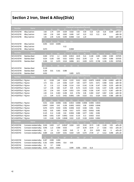|                         |                           |                |               |        |           |              |           | <b>Chemical Composition(Percent)</b>  |        |        |       |            | Unit Size        |
|-------------------------|---------------------------|----------------|---------------|--------|-----------|--------------|-----------|---------------------------------------|--------|--------|-------|------------|------------------|
| Number                  | Name                      | $\mathsf{C}$   | Si.           | Mn     | P.        | S            | Cr        | <b>Ni</b>                             | Mo     | V      | Cu    | Mg         | (mm)             |
| NCS HS92744             | Alloy Cast Iron           | 3.58           | 1.74          | 0.44   | 0.034     | 0.018        | 0.50      | 0.59                                  | 0.18   | 0.20   | 0.26  | 0.039      | ø30×27           |
| <b>NCS HS 92745</b>     | Alloy Cast Iron           | 3.69           | 1.50          | 0.49   | 0.063     | 0.049        | 0.47      | 0.23                                  | 0.22   | 0.11   | 0.34  |            | ø30×30           |
| <b>NCS HS 92746</b>     | Alloy Cast Iron           | 3.36           | 2.44          | 0.231  | 0.040     | 0.0060       | 0.16      | 2.24                                  |        |        |       | 0.033      | ø30×30           |
|                         |                           |                |               |        |           |              |           |                                       |        |        |       |            |                  |
|                         |                           | Ti.            | B             | Sn     | Sb        | Ce           |           |                                       |        |        |       |            |                  |
| NCS HS 92744            | Alloy Cast Iron           | 0.055          | 0.019         | 0.0045 |           |              |           |                                       |        |        |       |            |                  |
| <b>NCS HS 92745</b>     | Alloy Cast Iron           |                |               |        | 0.12      |              |           |                                       |        |        |       |            |                  |
| <b>NCS HS 92746</b>     | Alloy Cast Iron           | 0.073          |               |        |           | 0.0060       |           |                                       |        |        |       |            |                  |
| Number                  | Name                      |                |               |        |           |              |           | <b>Chemical Composition (Percent)</b> |        |        |       |            | <b>Unit Size</b> |
|                         |                           | $\mathsf{C}$   | Si.           | Mn     | P         | S.<br>0.0013 | Cr        | Ni.                                   | Cu     | Mo     | V     | <b>Nb</b>  | (mm)             |
| <b>NCS HS 93743</b>     | <b>Stainless Steel</b>    | 0.044          | 0.723         | 1.2    | 0.035     |              | 18.45     | 9.21                                  | 0.148  | 0.405  | 0.068 | 0.504      | D37X35           |
| <b>NCS HS 93744</b>     | <b>Stainless Steel</b>    | 0.014          | 0.185         | 0.85   | 0.021     | 0.0031       | 19.62     | 23.45                                 | 1.23   | 4.4    | 0.054 | 0.086      | D37X35           |
| <b>NCS HS 93745</b>     | <b>Stainless Steel</b>    | 0.206          | 0.3           | 0.474  | 0.014     | 0.0036       | 10.5      | 0.639                                 | 0.072  | 0.748  | 0.196 | 0.353      | D37X35           |
|                         |                           | Co             | Ti.           | Alt    | W         | Sn           | ${\sf N}$ |                                       |        |        |       |            |                  |
| <b>NCS HS 93743</b>     | <b>Stainless Steel</b>    | 0.118          |               |        |           |              |           |                                       |        |        |       |            |                  |
| <b>NCS HS 93744</b>     | <b>Stainless Steel</b>    | 0.169          | 0.01          | 0.161  | 0.086     |              |           |                                       |        |        |       |            |                  |
| <b>NCS HS 93745</b>     | <b>Stainless Steel</b>    | 0.032          |               |        |           | 0.005        | 0.071     |                                       |        |        |       |            |                  |
|                         |                           |                |               |        |           |              |           | <b>Chemical Composition(Percent)</b>  |        |        |       |            | Unit Size        |
| Number                  | Name                      | $\mathsf{C}$   | Si.           | Mn     | P         | S            | Ni.       | Cr                                    | Cu     | Mo     | V     | $\rm Ti$ . | (mm)             |
| NCS HS28705a-1 Pig Iron |                           | 4.3            | 0.228         | 1.48   | 0.014     | 0.153        | 0.012     | 0.022                                 | 0.0079 | 0.0035 | 0.558 | 0.0093     | ø30×30           |
| NCS HS28705a-2 Pig Iron |                           | 3.73           | 0.61          | 1.34   | 0.056     | 0.147        | 0.06      | 0.077                                 | 0.071  | 0.071  | 0.489 | 0.032      | ø30×30           |
| NCS HS28705a-3 Pig Iron |                           | 3.5            | 1.32          | 1.12   | 0.188     | 0.114        | 0.18      | 0.142                                 | 0.136  | 0.147  | 0.356 | 0.225      | ø30×30           |
| NCS HS28705a-4 Pig Iron |                           | 3.27           | 1.96          | 0.85   | 0.147     | 0.09         | 0.371     | 0.233                                 | 0.233  | 0.261  | 0.257 | 0.248      | ø30×30           |
| NCS HS28705a-5 Pig Iron |                           | 2.91           | 2.54          | 0.65   | 0.104     | 0.053        | 0.54      | 0.382                                 | 0.326  | 0.347  | 0.173 | 0.287      | ø30×30           |
| NCS HS28705a-6 Pig Iron |                           | 2.44           | 3.31          | 0.403  | 0.298     | 0.03         | 0.792     | 0.46                                  | 0.404  | 0.427  | 0.067 | 0.342      | ø30×30           |
| NCS HS28705a-7 Pig Iron |                           | 1.72           | 3.94          | 0.172  | 0.452     | 0.0091       | 0.99      | 0.525                                 | 0.51   | 0.524  | 0.016 | 0.586      | ø30×30           |
|                         |                           |                |               |        |           |              |           |                                       |        |        |       |            |                  |
|                         |                           | Alt            | Als           | Sn     | Co        | Pb           | B         | Sb                                    | Zn     | As     |       |            |                  |
| NCS HS28705a-1 Pig Iron |                           | 0.031          | 0.028         | 0.0006 | 0.082     | 0.0015       | 0.0008    | 0.0006                                | 0.0006 | 0.0033 |       |            |                  |
| NCS HS28705a-2 Pig Iron |                           | 0.0047         | 0.004         | 0.43   | 0.108     | 0.0002       | 0.0031    | 0.08                                  | 0.0009 | 0.0046 |       |            |                  |
| NCS HS28705a-3 Pig Iron |                           | 0.076          | 0.074         | 0.033  | 0.056     | 0.0046       | 0.019     | 0.038                                 | 0.001  | 0.061  |       |            |                  |
| NCS HS28705a-4 Pig Iron |                           | 0.052          | 0.05          | 0.065  | 0.038     | 0.017        | 0.075     | 0.052                                 | 0.0016 | 0.082  |       |            |                  |
| NCS HS28705a-5 Pig Iron |                           | 0.125          | 0.12          | 0.108  | 0.02      | 0.0042       | 0.088     | 0.077                                 | 0.002  | 0.046  |       |            |                  |
| NCS HS28705a-6 Pig Iron |                           | 0.065          | 0.061         | 0.187  | 0.0061    | 0.016        | 0.133     | 0.13                                  | 0.0025 | 0.015  |       |            |                  |
| NCS HS28705a-7 Pig Iron |                           | 0.19           | 0.182         | 0.294  | 0.0048    | 0.022        | 0.225     | 0.228                                 | 0.0034 | 0.0061 |       |            |                  |
| <b>Number</b>           | Name                      |                |               |        |           |              |           | <b>Chemical Composition(Percent)</b>  |        |        |       |            | <b>Unit Size</b> |
|                         |                           | $\overline{C}$ | Si.           | Mn     | S.        | Cu           | Fe        | Cr                                    | Mo     | Co     | V     | W          | (mm)             |
| NCS HS35740             | Corrosion-resistant alloy | 0.026          | 0.493         | 1.27   | $0.0018*$ | 0.024        | 4.03      | 15.62                                 | 19.72  | 2.49   | 0.149 | 3.59       | ø35 x 20         |
| <b>NCS HS35741</b>      | Corrosion-resistant alloy | 0.046          | 1.22          | 0.909  | 0.016     |              | 2.97      | 16.46                                 | 18.44  | 1.7    | 0.282 | 4.02       | ø35 x 20         |
| NCS HS35742             | Corrosion-resistant alloy | 0.2            | $1.4\,$       | 0.1    | 0.035     | 0.45         | 8         | 20                                    | 15.9   | 0.055  | 0.62  | 6          | ø35 x 20         |
| NCS HS35743             | Corrosion-resistant alloy | 0.084          | 1.01          | 0.597  | 0.031     | 0.019        | 5.94      | 0.375                                 | 27.94  | 1.7    | 0.212 | 0.096      | ø35 x 20         |
|                         |                           |                | $\mathsf{Al}$ | N      | $Ni*$     | P            | <b>Nb</b> | $Zr^{\star}$                          | Ni     |        |       |            |                  |
| NCS HS35740             | Corrosion-resistant alloy | Ti.<br>0.267   | 0.008         | 0.004  |           |              |           |                                       |        |        |       |            |                  |
| <b>NCS HS35741</b>      | Corrosion-resistant alloy |                |               | 0.0091 |           | 0.05         |           |                                       |        |        |       |            |                  |
| NCS HS35742             | Corrosion-resistant alloy | 0.181<br>0.2   | 0.005<br>0.7  | 0.008  | 53.8      |              |           |                                       |        |        |       |            |                  |
|                         |                           |                |               |        |           |              |           |                                       |        |        |       |            |                  |
| <b>NCS HS35743</b>      | Corrosion-resistant alloy | 0.034          | 0.016         | 0.0013 |           | 0.049        | 0.056     | 0.016                                 | 61.8   |        |       |            |                  |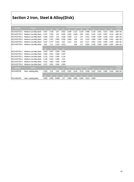| <b>Number</b>        | <b>Name</b>            |                |              |           |                      |        | <b>Chemical Composition (Percent)</b> |       |           |       |       |       |       | <b>Unit Size</b>    |
|----------------------|------------------------|----------------|--------------|-----------|----------------------|--------|---------------------------------------|-------|-----------|-------|-------|-------|-------|---------------------|
|                      |                        | $\overline{C}$ | Si           | Mn        | Р                    |        | Γr                                    | Ni    | <b>Mo</b> | Cu    |       | m     | W     | (mm)                |
| <b>NCS HS37702-1</b> | Medium-Low Alloy Steel | 0.957          | 0.146        | 2.07      | 0.053                | 0.009  | 0.127                                 | 0.124 | 0.498     | 0.134 | 0.061 | 0.013 | 0.055 | $\varphi$ 36×36     |
| <b>NCS HS37702-2</b> | Medium-Low Alloy Steel | 0.747          | 0.255        | 1.62      | 0.043                | 0.023  | 0.638                                 | 0.49  | 0.421     | 0.215 | 0.161 | 0.007 | 0.114 | $\varphi$ 36×36     |
| NCS HS37702-3        | Medium-Low Alloy Steel | 0.566          | 0.475        | 1.26      | 0.028                | 0.039  | 1.23                                  | 1.07  | 0.312     | 0.299 | 0.264 | 0.209 | 0.227 | $\varphi$ 36×36     |
| NCS HS37702-4        | Medium-Low Alloy Steel | 0.441          | 0.707        | 0.854     | 0.036                | 0.064  | 1.86                                  | 1.61  | 0.214     | 0.398 | 0.365 | 0.298 | 0.431 | $\varphi$ 36×36     |
| NCS HS37702-5        | Medium-Low Alloy Steel | 0.197          | 0.777        | 0.432     | 0.02                 | 0.111  | 2.54                                  | 2.52  | 0.117     | 0.452 | 0.453 | 0.065 | 0.397 | $\varnothing$ 36×36 |
| <b>NCS HS37702-6</b> | Medium-Low Alloy Steel | 0.03           | 1.11         | 0.143     | 0.012                |        | 2.98                                  | 2.17  | 0.063     | 0.526 | 0.563 | 0.024 | 0.507 | $\varnothing$ 36×36 |
|                      |                        |                |              |           |                      |        |                                       |       |           |       |       |       |       |                     |
|                      |                        | <b>Nb</b>      | N            | <b>As</b> | $\mathsf{Al}$        |        |                                       |       |           |       |       |       |       |                     |
| NCS HS37702-1        | Medium-Low Alloy Steel | 0.023          | 0.007        | 0.004     | 0.301                |        |                                       |       |           |       |       |       |       |                     |
| <b>NCS HS37702-2</b> | Medium-Low Alloy Steel | 0.064          | 0.012        | 0.008     | 0.297                |        |                                       |       |           |       |       |       |       |                     |
| NCS HS37702-3        | Medium-Low Alloy Steel | 0.116          | 0.014        | 0.006     | 0.124                |        |                                       |       |           |       |       |       |       |                     |
| <b>NCS HS37702-4</b> | Medium-Low Alloy Steel | 0.158          | 0.015        | 0.006     | 0.19                 |        |                                       |       |           |       |       |       |       |                     |
| <b>NCS HS37702-5</b> | Medium-Low Alloy Steel | 0.225          | 0.053        | 0.003     | 0.184                |        |                                       |       |           |       |       |       |       |                     |
| NCS HS37702-6        | Medium-Low Alloy Steel | 0.237          | 0.052        | 0.002     | 0.043                |        |                                       |       |           |       |       |       |       |                     |
|                      |                        |                |              |           |                      |        | <b>Chemical Composition (Percent)</b> |       |           |       |       |       |       | <b>Unit Size</b>    |
| <b>Number</b>        | <b>Name</b>            | C.             | Si.          | Mn        | P                    |        | Γī                                    |       | Mo        | Cu    | Ti    |       | Sn    | (mm)                |
| <b>NCS HS93750</b>   | Heat - resisting alloy | 0.365          | 2.34         | 0.94      | 0.025                | 0.001  | 24.56                                 | 19.19 | 0.038     | 0.022 | 0.016 | 0.082 | 0.016 | ø38×40              |
|                      |                        |                |              |           |                      |        |                                       |       |           |       |       |       |       |                     |
|                      |                        | $As*$          | $Al^{\star}$ | $B^*$     | <b>N<sub>b</sub></b> | $Sb^*$ | $Pb^*$                                | Co    | W         | N     |       |       |       |                     |
| NCS HS93750          | Heat - resisting alloy | 0.002          | 0.005        | 0.0005    | 1.37                 | 0.009  | 0.002                                 | 0.029 | 0.013     | 0.064 |       |       |       |                     |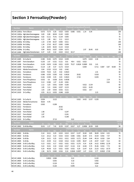| <b>Number</b>               | Name                                     | C                     | Si.          | Mn           | P             | S.          | Cr       | Cu     | Chemical Composition(Percent)<br>Al.         | Ca           | Fe                    |              |       |                | <b>Unit Size</b><br>(in g) |
|-----------------------------|------------------------------------------|-----------------------|--------------|--------------|---------------|-------------|----------|--------|----------------------------------------------|--------------|-----------------------|--------------|-------|----------------|----------------------------|
| NCS HC 11601a Ferro Silicon |                                          | 0.073                 | 73.75        | 0.26         | 0.023         | 0.003       | 0.085    | 0.031  | 1.14                                         | 0.34         |                       |              |       |                | 100                        |
|                             | NCS HC 11602a High Carbon Ferromanganese | 6.69                  | 0.08         | 68.94        | 0.143         | 0.005       |          |        |                                              |              |                       |              |       |                | 70                         |
|                             | NCS HC 11602b High Carbon Ferromanganese | 6.82                  | 0.111        | 75.41        | 0.134         | 0.005       |          |        |                                              |              |                       |              |       |                | 70                         |
|                             | NCS HC 11602c High Carbon Ferromanganese | 6.15                  | 1.88         | 66.2         | 0.11          | 0.013       |          |        |                                              |              |                       |              |       |                | 70                         |
| NCS HC 11603a Mn-Si Alloy   |                                          | 1.33                  | 17.49        | 65.67        | 0.065         | 0.011       |          |        |                                              |              |                       |              |       |                | 100                        |
| NCS HC 11603b Mn-Si Alloy   |                                          | 1.34                  | 17.63        | 66.37        | 0.065         | 0.008       |          |        |                                              |              |                       |              |       |                | 100                        |
| NCS HC 11603c Mn-Si Alloy   |                                          | 1.26                  | 18.45        | 66.65        | 0.115         | 0.018       |          |        |                                              |              |                       |              |       |                | 70                         |
| NCS HC 11604a Si-Ca Alloy   |                                          | 0.94                  | 56.02        | 0.037        | 0.054         | 0.073       |          |        | 1.97                                         | 30.45        | 6.93                  |              |       |                | 50                         |
| <b>NCS HC 11606</b>         | High Carbon Ferrochromium                | 6.37                  | 4.29         | 0.32         | 0.023         | 0.013       | 64.17    |        |                                              |              |                       |              |       |                | 100                        |
| <b>Number</b>               | <b>Name</b>                              |                       |              |              |               |             |          |        | <b>Chemical Composition(Percent)</b>         |              |                       |              |       |                | <b>Unit Size</b>           |
| <b>NCS HC 11605</b>         | Si-Ca-Ba-Sr                              | $\mathsf{C}$<br>0.385 | Si.<br>53.46 | Mn<br>0.075  | P<br>0.014    | S<br>0.039  | $\vee$   | As     | Cu<br>0.079                                  | Ni.<br>0.023 | $\mathsf{Al}$<br>2.34 | Ta           | TL.   | N <sub>b</sub> | (in g)<br>60               |
| <b>NCS HC 11607</b>         | Ferro Vanadium                           | 0.235                 | 1.67         | 0.321        | 0.121         | 0.01        | 49.4     | 0.021  | 0.022                                        |              |                       |              |       |                | 70                         |
| <b>NCS HC 11608</b>         | Ferro Vanadium                           | 0.109                 | 0.653        | 0.106        | 0.021         | 0.035       | 79.27    | 0.0024 | 0.0089                                       | 0.01         | 1.41                  |              |       |                | 70                         |
| <b>NCS HC 11609</b>         | Ferro Niobium                            | 0.114                 | 1.34         | 0.37         | 0.172         | 0.014       |          |        | 0.059                                        |              | 0.711                 | 0.087        | 0.87  | 64.89          | 70                         |
| <b>NCSHC11610</b>           | Nitride Ferrochrome                      | 0.04                  | 0.525        | 0.313        | 0.02          | 0.042       |          |        |                                              |              |                       |              |       |                | 70                         |
| <b>NCS HC 11611</b>         | Ferrosilicon                             | 0.035                 | 74.03        | 0.25         | 0.02          | 0.0023      |          |        |                                              |              | 1.41                  |              |       |                | 60                         |
| <b>NCS HC 11612</b>         | Ferroboron                               | 0.086                 | 0.353        | 0.305        | 0.02          | 0.0018      |          | 20.82  |                                              |              | 0.018                 |              |       |                | 70                         |
| <b>NCS HC 11613</b>         | Ferroboron                               | 0.181                 | 0.549        | 0.35         | 0.03          | 0.0023      |          | 17.65  |                                              |              | 0.035                 |              |       |                | 70                         |
| <b>NCS HC 11614</b>         | Ferro Phosphorus                         | 0.032                 | 0.6          | 0.638        | 25.81         | 0.0038      |          |        |                                              |              |                       |              | 2.14  |                | 70                         |
| <b>NCSHC11615</b>           | Ferro Phosphorus                         | 0.13                  | 0.382        | 1.07         | 21.49         | 0.061       |          |        |                                              |              |                       |              | 0.62  |                | 70                         |
| <b>NCS HC 11616</b>         | Ferro Nickel                             | 2.12                  | 3.25         | 0.051        | 0.039         | 0.283       |          |        | 0.022                                        | 13.34        |                       |              |       |                | 60                         |
| <b>NCS HC 11617</b>         | Ferro Nickel                             | 1.85                  | 3.11         | 0.041        | 0.037         | 0.213       |          |        | 0.021                                        | 16.45        |                       |              |       |                | 60                         |
| <b>NCS HC 11618</b>         | Ferro Nickel                             | 1.65                  | 2.54         | 0.053        | 0.032         | 0.211       |          |        | 0.021                                        | 10.7         |                       |              |       |                | 60                         |
| <b>NCSHC11619</b>           |                                          | 0.55                  | 61.11        | 0.053        | 0.048         | 0.029       |          |        |                                              |              | 2.15                  |              |       |                | 50                         |
|                             | Si-Ca Alloy                              |                       |              |              |               |             |          |        |                                              |              |                       |              |       |                |                            |
|                             |                                          | Cr                    | N            | Ca           | B             | Co          | Fe:      | Mg     | Ba                                           | TFe          | <b>Sr</b>             |              |       |                |                            |
| <b>NCS HC 11605</b>         | Si-Ca-Ba-Sr                              | 0.054                 |              | 13.22        |               |             |          | 0.022  | 14.02                                        | 13.57        | 0.235                 |              |       |                |                            |
| <b>NCS HC 11610</b>         | Nitride Ferrochrome                      | 58.83                 | 4.76         |              |               |             |          |        |                                              |              |                       |              |       |                |                            |
| <b>NCS HC 11611</b>         | Ferrosilicon                             | 0.063                 |              | 0.208        |               |             |          |        |                                              |              |                       |              |       |                |                            |
| <b>NCS HC 11612</b>         | Ferroboron                               |                       |              |              | 20.82         |             |          |        |                                              |              |                       |              |       |                |                            |
| <b>NCS HC 11613</b>         | Ferroboron                               |                       |              |              | 17.65         |             |          |        |                                              |              |                       |              |       |                |                            |
| <b>NCS HC 11616</b>         | Ferro Nickel                             | 1.98                  |              |              |               | 0.247       |          |        |                                              |              |                       |              |       |                |                            |
| <b>NCS HC 11617</b>         | <b>Ferro Nickel</b>                      | 1.87                  |              |              |               | 0.241       |          |        |                                              |              |                       |              |       |                |                            |
| <b>NCSHC11618</b>           | Ferro Nickel                             | 1.56                  |              |              |               | 0.198       |          |        |                                              |              |                       |              |       |                |                            |
| <b>NCSHC11619</b>           | Si-Ca Alloy                              |                       |              | 27.15        |               |             | 6.61     |        |                                              |              |                       |              |       |                |                            |
| <b>Number</b>               | Name                                     | Si.                   | Ca           | Ba           | $\mathsf{Al}$ | Mn          | P.       | r.     | <b>Chemical Composition(Percent)</b>         | Fe           |                       |              |       |                | <b>Unit Size</b><br>(in g) |
| NCS HC 13602 Si-Al-Ba-Alloy |                                          | 32.01                 | 1.17         | 7.41         | 32.55         | 0.197 0.017 |          | 0.27   | 0.0096 20.59                                 |              | 0.85                  |              |       |                | 50                         |
| <b>Number</b>               | Name                                     | $\mathsf{C}$          | Si           | Mn           | P             | S.          | Cr       | Cu     | <b>Chemical Composition (Percent)</b><br>Al. | Ca           | Fe                    | Ni.          | Ba    |                | <b>Unit Size</b><br>(in g) |
| <b>NCS HC 14602</b>         | Si-Al-Ba                                 | 0.14                  | 19.21        | 0.25         | 0.015         | 0.013       | 0.017    | 0.137  | 32.82                                        | 0.85         | 38.09                 | 0.014        | 6.52  |                | 70                         |
| <b>NCS HC 14603</b>         | Si-Al-Ba                                 | 0.13                  | 24.12        | 0.14         | 0.015         | 0.015       | 0.085    | 0.061  | 32.84                                        | 0.71         | 33.54                 | 0.042        | 7.57  |                | 70                         |
| <b>NCS HC 14604</b>         | Si-Al-Ba                                 | 0.24                  | 19.21        | 0.25         | 0.011         | 0.011       | 0.053    | 0.172  | 25.44                                        | 0.44         | 49.14                 | 0.018        | 2.64  |                | 70                         |
| <b>NCS HC 14605</b>         | Si-Al-Ba                                 | 0.13                  | 25.94        | 0.12         | 0.018         | 0.012       | 0.152    | 0.045  | 36.67                                        | 1.35         | 24.97                 | 0.167        | 9.12  |                | 60                         |
| <b>NCS HC 14608</b>         | Si-Al-Ca-Ba Alloy                        | 0.13                  | 0.021        | 0.17         | 0.022         | 0.021       | 0.021    | 0.176  | 9.14                                         | 8.28         | 14.22                 | 0.0061       | 12.39 |                | 60                         |
| <b>NCS HC 14609</b>         | Si-Al-Ca-Ba Alloy                        | 0.22                  | 33.41        | 0.33         | 0.018         | 0.017       | 0.116    | 0.32   | 14.46                                        | 5.74         | 35.46                 | 0.016        | 7.72  |                | 60                         |
| <b>NCS HC 14610</b>         | Si-Al-Ca-Ba Alloy                        | 0.24                  | 40.58        | 0.23         | 0.021         | 0.025       | 0.032    | 0.29   | 13.47                                        | 8.25         | 23.25                 | 0.012        | 10.70 |                | 60                         |
| <b>NCS HC 14611</b>         | Si-Al-Ca-Ba Alloy                        | 1.56                  | 56.74        | 0.065        | 0.016         | 0.14        | 0.0044   | 0.0097 | 1.47                                         | 13.61        | 5.77                  | 0.0020 17.00 |       |                | 60                         |
|                             |                                          |                       |              |              |               |             |          |        |                                              |              |                       |              |       |                |                            |
|                             |                                          | V                     | Co           | $\mathbf{T}$ | B             | Mo          | Mg       | Sn     | As                                           | $\circ$      | <b>Sr</b>             |              |       |                |                            |
| <b>NCS HC 14608</b>         | Si-Al-Ca-Ba Alloy                        |                       | 0.0022       | 0.084        |               |             | 0.21     |        |                                              |              | 0.132                 |              |       |                |                            |
| <b>NCS HC 14609</b>         | Si-Al-Ca-Ba Alloy                        |                       |              | 0.055        |               |             | $0.18\,$ |        |                                              |              | 0.092                 |              |       |                |                            |
| <b>NCS HC 14610</b>         | Si-Al-Ca-Ba Alloy                        |                       |              | 0.124        |               |             | 0.12     |        |                                              |              | 0.094                 |              |       |                |                            |
| <b>NCSHC14611</b>           | Si-Al-Ca-Ba Alloy                        |                       |              | 0.126        |               |             | 0.045    |        |                                              |              | 0.22                  |              |       |                |                            |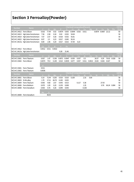| Number                                     | Name                                    | $\mathsf{C}$         | Si.          | Mn           | $\mathsf{P}$          | <sub>S</sub> | <b>Chemical Composition (Percent)</b><br>Cr | <b>Ni</b> | <b>Cu</b>             | Mg         | Al.    | Ca     | Ba          | <b>TFe</b>     | Unit Size<br>(in g) |
|--------------------------------------------|-----------------------------------------|----------------------|--------------|--------------|-----------------------|--------------|---------------------------------------------|-----------|-----------------------|------------|--------|--------|-------------|----------------|---------------------|
| <b>NCS HC 14612</b>                        | Ferro Silicon                           | 0.016                | 77.49        | 0.02         | 0.0074                | 0.003        | 0.0044                                      | 0.016     | 0.011                 |            | 0.0074 | 0.0067 | 22.12       |                | 60                  |
| NCS HC 14613                               | High Carbon Ferrochromium               | 7.56                 | 2.58         | 0.18         | 0.02                  | 0.032        | 54.04                                       |           |                       |            |        |        |             |                | 50                  |
|                                            | NCS HC 14614 High Carbon Ferrochromium  | 7.67                 | 2.57         | 0.28         | 0.018                 | 0.032        | 55.81                                       |           |                       |            |        |        |             |                | 50                  |
| <b>NCS HC 14615</b>                        | High Carbon Ferrochromium               | 8.07                 | 2.3          | 0.23         | 0.017                 | 0.045        | 56.16                                       |           |                       |            |        |        |             |                | 50                  |
|                                            | NCS HC 14615a High Carbon Ferrochromium | 8.00                 | 1.96         | 0.24         | 0.017                 | 0.015        | 57.44                                       | 0.23      |                       |            |        |        |             |                |                     |
|                                            |                                         | Co                   | Ti.          | B.           | $\vee$                | Fe           |                                             |           |                       |            |        |        |             |                |                     |
| NCS HC 14612 Ferro Silicon                 |                                         | 0.0012               | 0.011        | 0.0022       |                       |              |                                             |           |                       |            |        |        |             |                |                     |
|                                            | NCS HC 14615a High Carbon Ferrochromium |                      |              |              | 0.28                  | 31.46        |                                             |           |                       |            |        |        |             |                |                     |
| Number                                     | Name                                    |                      |              |              |                       |              | <b>Chemical Composition (Percent)</b>       |           |                       |            |        |        |             |                | <b>Unit Size</b>    |
|                                            |                                         | $\mathsf{C}$         | Si.          | Mn           | P                     | S.           | Cr                                          | Cu        | Ai.                   | Ca         | Fe     | Ni.    | -Ti         | Mo             | (in g)              |
| NCS HC 15601                               | Ferro Titanium                          | 0.057                | 1.47         | 0.106        | 0.0071                | 0.0047       | 0.039                                       | 0.037     | 0.3                   |            | 26.57  | 0.29   | 70.02       | 0.028          | 50                  |
| NCS HC 15602 Ferro Silicon                 |                                         | 0.0074               | 75.9         | 0.149        | 0.014                 | 0.0035       | 0.077                                       | 0.057     | 0.011                 | 0.0013     | 23.65  | 0.026  | 0.027       |                | 50                  |
|                                            |                                         | $\vee$               |              |              |                       |              |                                             |           |                       |            |        |        |             |                |                     |
|                                            | NCS HC 15601 Ferro Titanium             | 0.011                |              |              |                       |              |                                             |           |                       |            |        |        |             |                |                     |
|                                            | NCS HC 15602 Ferro Titanium             | 0.0036               |              |              |                       |              |                                             |           |                       |            |        |        |             |                |                     |
| <b>Number</b>                              | Name                                    |                      |              |              |                       |              | <b>Chemical Composition (Percent)</b>       |           |                       |            |        |        |             |                | <b>Unit Size</b>    |
| <b>NCS HC 18601</b>                        | Ferro Silicon                           | $\mathsf{C}$<br>0.19 | Si.<br>72.44 | Mn<br>0.205  | $\mathsf{P}$<br>0.019 | S<br>0.010   | Cr<br>0.109                                 | Cu        | $\mathsf{Al}$<br>2.16 | Ca<br>0.64 | Ni.    | TL.    | <b>Nb</b>   | T <sub>a</sub> | (ing)<br>50         |
|                                            |                                         |                      | 17.21        | 66.70        |                       | 0.025        |                                             |           |                       |            |        |        |             |                | 50                  |
| <b>NCS HC 18603</b><br><b>NCS HC 18604</b> | Si-Mn alloy<br>Ferro Titanium           | 1.70<br>0.065        | 4.68         | 2.67         | 0.183<br>0.043        | 0.013        |                                             | 0.117     |                       |            |        | 27.93  |             |                |                     |
| <b>NCS HC 18606</b>                        | Ferro Niobium                           | 0.070                | 1.09         |              |                       | 0.008        |                                             |           | 5.38                  |            |        |        |             |                | 50                  |
| <b>NCS HC 18608</b>                        | Ferro Vanadium                          | 0.403                | 0.76         | 0.29<br>0.26 | 0.159<br>0.049        | 0.043        |                                             |           | 1.35<br>0.158         |            |        | 0.78   | 66.24 0.084 |                | 50<br>50            |
|                                            |                                         |                      |              |              |                       |              |                                             |           |                       |            |        |        |             |                |                     |
|                                            |                                         | Mo                   | $\mathsf{V}$ |              |                       |              |                                             |           |                       |            |        |        |             |                |                     |
|                                            | NCS HC 18608 Ferro Vanadium             |                      | 48.93        |              |                       |              |                                             |           |                       |            |        |        |             |                |                     |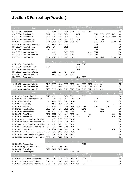| <b>Number</b>             | Name                                    | $\mathsf{C}$ | Si.           | Mn               | P               | Cr.                                   | Al        | Ca     | <b>Chemical Composition(Percent)</b><br>Fe. | S.             | $\vee$ | Sn     | TL.   | <b>Unit Size</b><br>(in g) |
|---------------------------|-----------------------------------------|--------------|---------------|------------------|-----------------|---------------------------------------|-----------|--------|---------------------------------------------|----------------|--------|--------|-------|----------------------------|
| <b>NCS HC 19602</b>       | Ferro Silicon                           | 0.12         | 69.47         | 0.308            | 0.027           | 0.077                                 | 2.45      | 2.47   | 23.81                                       |                |        |        |       | 50                         |
| <b>NCS HC 19604</b>       | Ferro Titanium                          | 0.041        | 3.46          | 1.59             | 0.051           |                                       | 10.64     |        |                                             | 0.011          | 0.158  | 0.056  | 43.82 | 100                        |
| <b>NCS HC 19605</b>       | Ferro Titanium                          | 0.032        | 4.20          | 0.81             | 0.032           |                                       | 8.58      |        |                                             | 0.009          | 0.303  | 0.061  | 38.78 | 100                        |
| <b>NCS HC 19606</b>       | Ferro Vanadium                          | 0.565        | 0.68          | 0.43             | 0.087           | 0.32                                  | 0.084     |        |                                             | 0.010          | 51.14  |        |       | 50                         |
| NCSHC19606a               | Ferrovanadium                           | 0.171        | 0.901         | 0.39             | 0.042           | 0.194                                 | 0.70      |        |                                             | 0.028          | 54.68  |        | 0.079 | 100                        |
| <b>NCS HC 19607</b>       | Silicon Manganese Alloy                 | $1.56\,$     | 18.41         | 66.2             | 0.126           |                                       |           |        |                                             | 0.022          |        |        |       | 50                         |
| <b>NCS HC 19608</b>       |                                         | 0.042        | 0.32          |                  | 0.032           |                                       |           |        |                                             | 0.073          |        |        |       | 50                         |
|                           | Ferro Molybdenum                        |              | $0.039*$      |                  | 0.041           |                                       |           |        |                                             | 0.085          |        |        |       |                            |
| <b>NCS HC 19609</b>       | Ferro Molybdenum                        | 0.039        |               |                  |                 |                                       |           |        |                                             | 0.014          |        |        |       | 25                         |
| <b>NCS HC 19610</b>       | Vanadium pentoxide                      |              | 0.40          |                  | 0.007           | 0.099                                 |           |        | 0.43                                        |                |        |        |       | 50                         |
| <b>NCS HC 19611</b>       | Vanadium pentoxide<br>Ferrovanadium     |              | 0.102<br>0.68 |                  | 0.010           | 0.018                                 |           |        | 0.061                                       | 0.011<br>0.041 |        |        | 0.025 | 50<br>100                  |
| <b>NCS HC 19612</b>       |                                         | 0.151        |               | 0.12             | 0.025           | 0.146                                 | 1.26      |        |                                             |                | 80.10  |        |       |                            |
|                           |                                         | <b>Cu</b>    | $V_2O_5$      | K <sub>2</sub> O | Na <sub>2</sub> | <b>As</b>                             | <b>Mo</b> | Ni.    |                                             |                |        |        |       |                            |
| <b>NCSHC19606a</b>        | Ferrovanadium                           |              |               |                  |                 |                                       | 0.0026    | 0.015  |                                             |                |        |        |       |                            |
| <b>NCS HC 19608</b>       | Ferro Molybdenum                        | 0.134        |               |                  |                 |                                       | 61.20     |        |                                             |                |        |        |       |                            |
| <b>NCS HC 19609</b>       | Ferro Molybdenum                        | 0.36         |               |                  |                 |                                       | 58.13     |        |                                             |                |        |        |       |                            |
| <b>NCS HC 19610</b>       | Vanadium pentoxide                      |              | 96.68         | 0.18             | 0.96            | < 0.001                               |           |        |                                             |                |        |        |       |                            |
|                           | NCS HC 19611 Vanadium pentoxide         |              | 98.80         | 0.14             | 1.03            | < 0.001                               |           |        |                                             |                |        |        |       |                            |
|                           | NCS HC 19612 Ferrovanadium              |              |               |                  |                 |                                       | 0.0016    | 0.008  |                                             |                |        |        |       |                            |
|                           |                                         |              |               |                  |                 | <b>Chemical Composition (Percent)</b> |           |        |                                             |                |        |        |       | <b>Unit Size</b>           |
| <b>Number</b>             | Name                                    | TV           | Si            | P                | S               | Mn                                    | Fe        | Cr     | TL.                                         | K              | Na     |        |       | (in g)                     |
| <b>NCS HC19613</b>        | Vanadium Pentoxide                      | 54.40        | 0.137         | 0.0078           | 0.192           | 0.055                                 | 0.30      | 0.128  | 0.063                                       | 0.11           | 0.31   |        |       | 25                         |
| NCS HC19613a              | Vanadium Pentoxide                      | 54.60        | 0.120         | 0.0065           | 0.160           | 0.030                                 | 0.183     | 0.133  | 0.042                                       | 0.11           | 0.27   |        |       | 25                         |
|                           | NCS HC19613b Vanadium Pentoxide         | 54.39        | 0.112         | 0.0074           | 0.172           | 0.018                                 | 0.119     | 0.147  | 0.022                                       | 0.11           | 0.25   |        |       | 25                         |
| <b>Number</b>             | Name                                    |              |               |                  |                 | <b>Chemical Composition (Percent)</b> |           |        |                                             |                |        |        |       | <b>Unit Size</b>           |
|                           |                                         | $\mathsf{C}$ | Si            | Mn               | P               | S                                     | Cr        | Cu     | AL                                          | TI.            | W      | B.     | Ca    | (in g)                     |
| NCS <sub>HC</sub> 25602a  | Ferromolybdenum                         | 0.020        | 0.20          |                  | 0.031           | 0.042                                 |           | 0.159  |                                             |                |        |        |       | 50                         |
| NCSHC 25603b              | High Carbon Ferro Chrome                | 7.37         | 1.27          | 0.31             | 0.020           | 0.015                                 | 65.27     |        |                                             | 0.104          |        |        |       | 50                         |
| NCSHC 25605a              | Si-Mn alloy                             | 1.09         | 18.28         | 66.3             | 0.145           | 0.0104                                |           |        |                                             | 0.18           |        | 0.0063 |       | 50                         |
| NCSHC 25605b              | Si-Mn Alloy                             |              | 14.20         | 69.77            | 0.153           | 0.0052                                |           |        |                                             |                |        |        | 2.21  | 50                         |
| NCSHC 25605c              | Si-Mn Alloy                             | 0.456        | 21.87         | 67.2             | 0.132           | 0.0076                                | 0.029     | 0.019  |                                             | 0.175          |        | 0.010  |       | 50                         |
| <b>NCSHC25606</b>         | Ferro Tungsten                          | 0.055        | 0.34          | 0.12             | (0.028)         | 0.048                                 |           | 0.043  |                                             |                | 76.66  |        |       | 50                         |
| NCSHC 25606a              | Ferro Tungsten                          | 0.036        | 0.34          | 0.102            | 0.033           | 0.052                                 |           | 0.079  |                                             |                | 76.24  |        |       | 50                         |
| NCSHC 25616               | Ferro Silicon                           | 0.081        | 76.74         | 0.17             | 0.02            | 0.004                                 | 0.14      |        | 1.80                                        |                |        |        | 0.30  | 50                         |
| NCS HC 25618              | Ferro Silicon                           | 0.066        | 76.42         | 0.14             | 0.025           | 0.003                                 | 0.097     |        | 0.78                                        |                |        |        | 0.19  | 50                         |
| NCS HC 25619a             | Medium Carbon Ferro Manganese           | 1.18         | 0.75          | 81.95            | 0.163           | 0.0018                                |           |        |                                             |                |        |        |       | 50                         |
| NCSHC 25619b              | Medium Carbon Ferro Manganese           | 1.2          | 0.75          | 81.74            | 0.163           | 0.0018                                |           |        |                                             |                |        |        |       | 50                         |
| <b>NCSHC 25620</b>        | Medium Carbon Ferro Manganese           | 1.50         | 0.94          | 80.48            | 0.153           | 0.0030                                |           |        |                                             |                |        |        |       | 50                         |
| <b>NCSHC25621</b>         | Medium Carbon Ferro Manganese           | 1.40         | 1.51          | 79.44            | 0.344           | 0.0029                                |           |        |                                             |                |        |        |       | 50                         |
| <b>NCSHC 25627</b>        | Ferro Silicon                           | 0.081        | 76.74         | 0.172            | 0.023           | 0.004                                 | 0.140     |        | 1.80                                        |                |        |        | 0.30  | 50                         |
| <b>NCSHC 25629</b>        | Low Carbon Ferro Manganese              | 0.300        | 0.63          | 84.28            | 0.196           | 0.0018                                |           |        |                                             |                |        |        |       | 50                         |
|                           | NCSHC 25629a Low Carbon Ferro Manganese | 0.31         | 1.06          | 81.68            | 0.196           | 0.0022                                |           |        |                                             |                |        |        |       | 50                         |
|                           | NCSHC25629b Low Carbon Ferro Manganese  | 0.560        | 0.96          | 80.79            | 0.169           | 0.0024                                |           |        |                                             |                |        |        |       | 50                         |
|                           |                                         |              |               |                  |                 |                                       |           |        |                                             |                |        |        |       |                            |
|                           |                                         | Co           | <b>Ni</b>     | $\vee$           | Fe              | Sn                                    | As        | Mo     |                                             |                |        |        |       |                            |
|                           | NCS HC 25602a Ferromolybdenum           |              |               |                  |                 |                                       |           | 62.19  |                                             |                |        |        |       |                            |
|                           | NCS HC 25603b High Carbon Ferro Chrome  | 0.044        | 0.39          | 0.138            | 24.90           |                                       |           |        |                                             |                |        |        |       |                            |
| NCS HC 25605c Si-Mn Alloy |                                         | 0.020        | 0.013         | 0.040            | 10.01           |                                       |           |        |                                             |                |        |        |       |                            |
|                           | NCS HC 25606a Ferro Tungsten            |              |               |                  |                 | 0.041                                 | 0.041     |        |                                             |                |        |        |       |                            |
| <b>Number</b>             | Name                                    | Cr           | Si.           | P                | $\mathsf{C}$    | S                                     | Mn        | $\vee$ | <b>Chemical Composition(Percent)</b><br>Ni. |                |        |        |       | <b>Unit Size</b>           |
| NCSHC25635a               | Low Carbon Ferrochromium                | 63.44        | 1.07          | 0.035            | 0.218           | 0.0033                                | 0.44      | 0.093  |                                             |                |        |        |       | $(\text{in } g)$<br>50     |
| NCSHC25636b               | Low Carbon Ferro Chrome                 | 67.76        | 0.28          | 0.026            | 0.048           | 0.0044                                | 0.298     |        | 0.331                                       |                |        |        |       | 50                         |
| NCSHC25651a               | Medium Carbon Ferrochromium             | 61.07        | 1.25          | 0.028            | 0.81            | 0.0028                                | 0.83      | 0.11   |                                             |                |        |        |       | 50                         |
|                           |                                         |              |               |                  |                 |                                       |           |        |                                             |                |        |        |       |                            |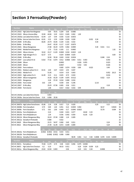| <b>Number</b>        | <b>Name</b>                                 | Cr      | <b>Si</b> | Mn            | P         | $\mathsf{C}$ | <b>Chemical Composition(Percent)</b><br>S            | Al.           | Ca        | $\overline{\text{Cu}}$   | Ni.          | B.           | m.    | N            | <b>Unit Size</b><br>(in g) |
|----------------------|---------------------------------------------|---------|-----------|---------------|-----------|--------------|------------------------------------------------------|---------------|-----------|--------------------------|--------------|--------------|-------|--------------|----------------------------|
|                      | NCS HC 25632 High Carbon Ferro Manganese    |         | 0.69      | 78.41         | 0.204     | 6.68         | 0.0086                                               |               |           |                          |              |              |       |              | 50                         |
|                      | NCS HC 25633 Silicon chrome Alloy           | 33.90   | 44.06     | 0.29          | 0.013     | 0.045        | 0.002                                                | 1.00          |           |                          |              |              |       |              | 50                         |
|                      | NCS HC 25635a Low Carbon Ferro Chrome       | 63.44   | 1.07      | 0.44          | 0.035     | 0.218        | 0.0033                                               |               |           |                          |              |              |       |              | 50                         |
|                      | NCS HC 25636a Extra Low Carbon Ferro Chrome | 62.81   | 0.32      | 0.39          | 0.028     | 0.028        | 0.028                                                |               |           | 0.032                    | 0.34         |              |       |              | 50                         |
| <b>NCS HC 25640</b>  | Si-Mn alloy                                 | 66.85   | 24.74     | 65.85         | 0.104     | 0.181        | 0.010                                                |               |           |                          | 0.30         |              |       |              | 50                         |
| <b>NCS HC 25640a</b> | Si-Mn Alloy                                 |         | 24.47     | 65.50         | 0.117     | 0.197        | 0.0079                                               |               |           |                          |              |              |       |              | 50                         |
| <b>NCS HC 25641</b>  | Silicox Manganese                           |         | 27.88     | 60.29         | 0.078     | 0.082        | 0.0069                                               |               |           |                          | 0.30         | 0.021        | 0.11  |              | 50                         |
| <b>NCS HC 25642</b>  | Nitrided Ferro Manganese                    |         | 1.70      | 71.02         | 0.183     | 1.11         | 0.0065                                               |               |           |                          |              |              |       | 1.92         | 50                         |
| <b>NCS HC 25643</b>  | Silicon chrome                              | 32.62   | 19.17     | 0.129         | 0.0083    | 0.018        | 0.0025                                               | 1.24          |           |                          |              |              |       |              | 50                         |
|                      | NCS HC 25644 High nitrogen Fe-Cr            | 62.57   | 0.75      |               | 0.024     | 0.0064       | 0.029                                                |               |           |                          |              |              |       | 8.69         | 50                         |
| <b>NCS HC 25646</b>  | Si-Mn alloy                                 |         | 32.90     | 59.34         | 0.043     | 0.018        | 0.0034                                               |               |           |                          |              | 0.048        | 0.24  |              | 50                         |
| <b>NCS HC 25647</b>  | Low carbon Fe-Si                            | 0.010   | 77.42     | 0.074         | 0.012     | 0.0068       | 0.003                                                | 0.011         | 0.003     |                          |              |              | 0.043 |              | 50                         |
| <b>NCS HC 25648</b>  | Silicon                                     |         |           |               | 0.0065    |              |                                                      | 0.026         | 0.055     |                          |              |              | 0.023 |              | 50                         |
| <b>NCS HC 25649</b>  | Silicon                                     |         |           |               | 0.0067    |              |                                                      | 0.032         | 0.06      |                          |              |              | 0.026 |              | 50                         |
|                      | NCS HC 25650 Ferro niobium                  |         |           |               | 0.085     | 0.074        | 0.028                                                | 0.89          |           | 0.023                    |              |              | 0.49  |              | 50                         |
|                      | NCS HC 25651 Medium carbon Fe-Cr            | 63.31   | 2.04      | 0.47          | 0.023     | 2.55         | 0.047                                                |               |           |                          |              |              |       |              | 50                         |
| <b>NCS HC 25652</b>  | Nitride Fe-Si                               |         | 51.85     |               | 0.014     | 0.35         | 0.003                                                |               |           |                          |              |              | 0.052 | 28.15        | 50                         |
|                      | NCS HC 25653 High carbon Fe-Cr              | 62.49   | 0.15      | 0.11          | 0.025     | 8.70         | 0.024                                                |               |           |                          |              |              | 0.016 |              | 50                         |
| NCS HC 25654         | Silicon manganese                           |         | 19.26     | 65.29         | 0.109     | 0.876        | 0.0122                                               |               |           |                          |              | 0.022        | 0.19  |              | 50                         |
| <b>NCS HC 25655</b>  | Manganese                                   |         | 0.28      | 97.43         | 0.018     | 0.080        | 0.016                                                |               |           |                          |              |              |       |              | 50                         |
| <b>NCS HC 25656</b>  | Ferro nickel                                | 3.63    | 1.04      |               | 0.039     | 3.06         | 0.246                                                |               |           |                          | 12.16        |              |       |              | 50                         |
| <b>NCS HC 25657</b>  | Si-Mn alloy                                 |         | 25.03     | 67.96         | 0.065     | 0.58         | 0.011                                                |               |           |                          |              |              | 0.18  |              | 50                         |
| <b>NCS HC 25658</b>  | Ferro boron                                 |         | 1.68      |               | 0.017     | 0.022        | 0.016                                                | 0.99          |           |                          |              | 20.58        |       |              | 50                         |
|                      |                                             |         |           |               |           |              |                                                      |               |           |                          |              |              |       |              |                            |
|                      |                                             | Co      | $\vee$    | Fe            |           |              |                                                      |               |           |                          |              |              |       |              |                            |
|                      | NCS HC 25635a Low Carbon Ferro Chrome       |         | 0.093     |               |           |              |                                                      |               |           |                          |              |              |       |              |                            |
|                      | NCS HC 25636a Extra Low Carbon Ferro Chrome | 0.16    | 0.098     | 35.56         |           |              |                                                      |               |           |                          |              |              |       |              |                            |
| <b>Number</b>        | Name                                        | Cr      | <b>Si</b> | Mn            | P         | $\mathsf{C}$ | <b>Chemical Composition(Percent)</b><br><sub>S</sub> | $Al^{\star}$  | <b>Mo</b> | <b>Cu</b>                | Ni.          | V            | Ti.   | $Zn^*$       | <b>Unit Size</b><br>(in g) |
|                      | NCS HC 26607b High Carbon Ferrochrome       | 65.86   | 2.18      | 0.38          | 0.017     | 7.23         | 0.020                                                |               |           |                          | 0.29         |              | 0.15  |              | 50                         |
|                      | NCS HC 26608b Ferro Vanadium                | 0.70    | 0.84      | 1.64          | 0.051     | 0.22         | 0.0044                                               | 0.002         |           |                          |              | 50.57        |       | 0.0024       | 50                         |
|                      | NCS HC 26608c Ferro Vanadium                | 0.71    | 0.81      | 2.00          | 0.043     | 0.17         |                                                      | 0.0040 0.0025 |           |                          |              | 53.78        |       | 0.004        | 50                         |
|                      | NCS HC 26610a Ferro Molybdenum              |         | 0.10      |               | 0.044     | 0.021        | 0.077                                                |               | 64.84     | 0.33                     |              |              |       |              | 50                         |
|                      | NCS HC 26610b Ferro Molybdenum              |         | 1.54      |               | 0.036     | 0.042        | 0.059                                                |               | 61.85     | 0.29                     |              |              |       |              | 50                         |
|                      | NCS HC 26611b Silicon Manganese Alloy       |         | 18.24     | 67.44         | 0.080     | 1.24         | 0.009                                                |               |           |                          |              |              |       |              | 50                         |
|                      | NCS HC 26612a Vanadium Pentoxide            |         | 0.080     |               | 0.022     |              |                                                      |               |           |                          |              |              |       |              | 25                         |
| <b>NCS HC 26620</b>  | Silicon Manganese Alloy                     |         | 19.15     | 54.97         | 0.060     | 0.40         | 0.011                                                |               |           |                          |              |              | 0.24  |              | 50                         |
| <b>NCS HC 26621</b>  | Silicon Manganese Alloy                     |         | 27.49     | 61.49         | 0.072     | 0.039        | 0.009                                                |               |           |                          |              |              | 0.24  |              | 50                         |
|                      |                                             |         |           |               |           |              |                                                      |               |           |                          |              |              |       |              |                            |
|                      |                                             | Pb      | Sn        | <b>Sb</b>     | <b>As</b> | W.           | $V_2O_5$                                             | $S^*$         |           | $K_2O$ Na <sub>2</sub> O | $As*$        | Fe           | Al    | $Mo^{\star}$ |                            |
|                      | NCS HC 26610a Ferro Molybdenum              | (0.002) | (0.002)   | (0.01)        | 0.015     | 0.011        |                                                      |               |           |                          |              |              |       |              |                            |
|                      | NCS HC 26610b Ferro Molybdenum              |         | (0.008)   | (0.002)       | 0.008     | 0.060        |                                                      |               |           |                          |              |              |       |              |                            |
|                      | NCS HC 26612a Vanadium Pentoxide            |         |           |               |           |              | 98.99                                                | 0.001         | 0.12      | 0.58                     | 0.0008 0.078 |              |       | 0.015 0.0009 |                            |
| Number               | Name                                        | Si.     | Mn        | $\mathsf{Al}$ | Cr        | P.           | <b>Chemical Composition(Percent)</b><br>Ca           | $\mathsf{C}$  | S.        | Ti.                      | Ni.          | $Mo^{\star}$ |       |              | <b>Unit Size</b>           |
| <b>NCS HC 25627a</b> | Ferrosilicon                                | 74.58   | 0.179     | 0.74          | 0.48      | 0.023        | 0.056                                                | 0.075         | 0.0038    |                          |              |              |       |              | (in g)<br>50               |
| NCS HC 26607c        | High-Carbon Ferro Chromium                  | 0.2     | 0.19      |               | 69.53     | 0.011        |                                                      | 8.28          | 0.024     | 0.039                    | 0.25         |              |       |              | 50                         |
| <b>NCS HC 26621a</b> | Silicon Manganese Alloy                     | 23.02   | 63.94     | 0.003         |           | 0.06         |                                                      | 0.29          | 0.01      | 0.34                     |              | 0.0008       |       |              | 50                         |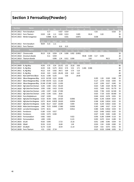|                                            |                                             |                 |                  |                                |                   |       |             | <b>Chemical Composition(Percent)</b>  |                  |                      |                |                |                  |                  | <b>Unit Size</b> |
|--------------------------------------------|---------------------------------------------|-----------------|------------------|--------------------------------|-------------------|-------|-------------|---------------------------------------|------------------|----------------------|----------------|----------------|------------------|------------------|------------------|
| <b>Number</b>                              | Name                                        | $\overline{C}$  | Si.              | Mn                             | P                 | S     | Cr          | Cu.                                   | Al.              | m                    | Fe.            | $\vee$         | <b>Mo</b>        | As               | (in g)           |
| <b>NCS HC 26612</b>                        | Ferro Vanadium                              |                 | 0.17             |                                | 0.027             | 0.014 |             |                                       |                  |                      | 0.16           |                |                  | 0.016            | 25               |
| <b>NCS HC 26613</b>                        | Ferro Titanium                              | 0.019           | 1.84             | 1.11                           | 0.020             | 0.013 |             | 0.005                                 |                  | 30.24                |                | 0.20           |                  |                  | 50               |
| <b>NCS HC 26615</b>                        | Nitride manganese                           |                 | 0.0086           | 91.56                          |                   | 0.031 |             | 0.0071                                |                  |                      | 0.038          |                |                  |                  | 50               |
|                                            |                                             |                 |                  |                                |                   |       |             |                                       |                  |                      |                |                |                  |                  |                  |
|                                            |                                             | $V_2O_3$        | $K_2O$           | Na <sub>2</sub> O              | Alt               | Also  |             |                                       |                  |                      |                |                |                  |                  |                  |
| <b>NCS HC 26612</b>                        | Ferro Vanadium                              | 98.09           | 0.15             | 1.11                           |                   |       |             |                                       |                  |                      |                |                |                  |                  |                  |
| <b>NCS HC 26613</b>                        | Ferro Titanium                              |                 |                  |                                | 8.16              | 8.10  |             |                                       |                  |                      |                |                |                  |                  |                  |
| <b>Number</b>                              | Name                                        |                 |                  |                                |                   |       |             | <b>Chemical Composition (Percent)</b> |                  |                      |                |                |                  |                  | <b>Unit Size</b> |
|                                            |                                             | $Cr_2O_3$       | SiO <sub>2</sub> | Fe <sub>3</sub> O <sub>3</sub> | Crs               | T.C   | T.S         | As                                    | ZrO <sub>2</sub> | $\overline{A}I_2O_3$ | CaO            | <b>MgO</b>     | TiO <sub>2</sub> |                  | (in g)           |
| <b>NCS HC 26617</b>                        | Chrome oxide                                | 96.19           | 0.26             | 0.054                          | 1.34              | 0.006 | 0.002       | (0.0001)                              |                  |                      |                |                |                  |                  | 20               |
| <b>NCS HC 26618</b>                        | Zirconium dioxide                           |                 | 0.11             | 0.054                          |                   |       |             |                                       | 99.48            | 0.009                | 0.17           | 0.093          |                  |                  | 20               |
| <b>NCS HC 26619</b>                        | Titanium dioxide                            |                 |                  | 0.006                          | 1.34              | 0.011 | 0.006       |                                       |                  | 0.65                 |                |                | 98.21            |                  | 20               |
| <b>Number</b>                              | Name                                        | Si.             | Mn               |                                |                   | Ca    |             | Chemical Composition(Percent)<br>RE   |                  | La                   | P              | $\subset$      | $\overline{S}$   | Cr               | <b>Unit Size</b> |
| <b>NCS HC 28609</b>                        |                                             | 43.90           | 0.70             | TI.<br>0.54                    | Fe<br>(31.67)     | 1.01  | Mg<br>10.20 | 8.66                                  | Ce.              |                      |                |                |                  |                  | (in g)<br>80     |
| <b>NCS HC 28610</b>                        | R <sub>E</sub> -Mg Alloy                    | 42.05           | 0.46             | 0.275                          | (43.4)            | 0.76  | 5.52        | 3.71                                  | (1.86)           |                      |                |                |                  |                  | 80               |
|                                            | $R_F$ -Mg Alloy                             | 43.22           | 0.55             | 0.362                          |                   | 0.84  | 5.70        | 5.10                                  |                  | (0.88)               |                |                |                  |                  | 80               |
| <b>NCS HC 28611</b><br><b>NCS HC 28612</b> | $R_F$ -Mg Alloy                             | 43.44           | 0.63             | 0.435                          | (40.7)<br>(36.43) | 0.90  | 8.25        | 6.42                                  |                  |                      |                |                |                  |                  | 80               |
| <b>NCS HC 28615</b>                        | $R_F$ -Mg Alloy<br>Rare-earth Ferro Silicon | 41.02           | 0.390            | 0.235                          |                   | 5.60  |             | 20.00                                 |                  |                      |                |                |                  |                  | 100              |
| <b>NCS HC 28616</b>                        |                                             | 14.33           | 62.530           | 0.222                          | 20,000            |       |             |                                       |                  |                      | 0.205          | 2.28           | 0.020            | 0.060            | 50               |
| <b>NCS HC 28617</b>                        | Silicon Manganese Alloy                     |                 | 64.970           | 0.221                          | 15.160            |       |             |                                       |                  |                      | 0.127          | 1.570          | 0.018            | 0.055            | 50               |
|                                            | Silicon Manganese Alloy                     | 17.590          | 67.400           | 0.255                          | 11.650            |       |             |                                       |                  |                      | 0.107          | 1.050          | 0.017            |                  | 50               |
| <b>NCS HC 28618</b>                        | Silicon Manganese Alloy                     | 19.340<br>4.250 |                  | 0.412                          | 30.220            |       |             |                                       |                  |                      |                | 7.280          | 0.024            | 0.045            | 50               |
| <b>NCS HC 28619</b>                        | High-Carbon Ferro Chromium                  |                 | 0.300            |                                |                   |       |             |                                       |                  |                      | 0.023          |                |                  | 56.760           |                  |
| <b>NCS HC 28620</b>                        | High-Carbon Ferro Chromium                  | 3.950<br>1.450  | 0.382            | 0.423                          | 31.410<br>27.090  |       |             |                                       |                  |                      | 0.022<br>0.026 | 7.600          | 0.031            | 55.770<br>62.540 | 50<br>50         |
| <b>NCS HC 28621</b>                        | High-Carbon Ferro Chromium                  |                 | 0.307<br>0.340   | 0.166<br>0.261                 | 28.65             |       |             |                                       |                  |                      | 0.025          | 7.780          | 0.033            | 60.000           | 50               |
| <b>NCS HC 28622</b>                        | High-Carbon Ferro Chromium                  | 2.430           |                  |                                |                   |       |             |                                       |                  |                      |                | 7.720          | 0.033            |                  |                  |
| <b>NCS HC 28624</b>                        | Ferro Molybdenum                            | 0.367           | 0.039<br>65.98   | 0.081                          | 37.220            |       | 0.0006      |                                       |                  |                      | 0.044          | 0.019<br>6.140 | 0.078<br>0.0034  | 0.052<br>0.014   | 50<br>50         |
| <b>NCS HC 28625</b>                        | HighCarbon Ferro Manganese                  | 0.525           |                  |                                | 26.420            |       |             |                                       |                  |                      | 0.805          |                |                  |                  |                  |
| <b>NCS HC 28626</b>                        | HighCarbon Ferro Manganese                  | 0.073           | 66.44            | 0.0035                         | 26.620<br>26,600  |       | 0.0054      |                                       |                  |                      | 0.268          | 6.260<br>6.230 | 0.0014<br>0.0023 | 0.032<br>0.026   | 50<br>50         |
| <b>NCS HC 28627</b>                        | HighCarbon Ferro Manganese                  | 0.208           | 66.27            | 0.027                          |                   |       | 0.004       |                                       |                  |                      | 0.428          |                |                  |                  |                  |
| <b>NCS HC 28628</b>                        | Medium Carbon Ferromanganese                | 1.840           | 76.55            | 0.0065                         | 17.860            |       | 0.0036      |                                       |                  |                      | 0.265          | 1.840          | 0.017            | 0.124            | 50               |
| <b>NCS HC 28629</b>                        | Low Carbon Ferromanganese                   | 0.475           | 82.61            |                                | 16.470            |       | 0.0012      |                                       |                  |                      | 0.080          | 0.296          | 0.0022           | 0.033            | 50               |
| <b>NCS HC 28631</b>                        | Ferroboron                                  | 0.180           | 0.310            | 0.017                          |                   |       |             |                                       |                  |                      | 0.025          | 0.400          | 0.0023           | 0.025            | 50               |
| <b>NCS HC 28632</b>                        | Ferroboron                                  | 0.650           | 0.575            | 0.030                          |                   |       |             |                                       |                  |                      | 0.027          | 0.190          | 0.002            | 0.260            | 50               |
| <b>NCS HC 28633</b>                        | Ferrovanadium                               | 0.682           | 0.663            |                                |                   |       | 0.022       |                                       |                  |                      | 0.056          | 0.285          | 0.0044           | 0.110            | 50               |
| <b>NCS HC 28634</b>                        | Ferrovanadium                               | 1.890           | 0.365            |                                |                   |       | 0.115       |                                       |                  |                      | 0.093          | 0.475          | 0.014            | 0.289            | 50               |
| <b>NCS HC 28635</b>                        | SiCaAl                                      | 43.60           | 0.095            |                                | 17.53             |       | 15.18       |                                       |                  |                      | 0.051          | 1.000          | 0.040            | 0.054            | 50               |
| <b>NCS HC 28636</b>                        | SiBaAl                                      | 50.36           | 0.110            |                                | 16.68             |       | 1.44        |                                       |                  |                      | 0.016          | 0.34           | 0.038            | 0.083            | 50               |
| <b>NCS HC 28637</b>                        | SiCaBaAl                                    | 52.76           | 0.150            |                                | 10.54             |       | 11.10       |                                       |                  |                      | 0.024          | 0.63           | 0.073            | 0.031            | 50               |
| <b>NCS HC 28638</b>                        | Ferro Titanium                              | 4.51            | 0.362            | 27.34                          |                   |       |             |                                       |                  |                      | 0.015          | 0.033          | 0.0048           | 0.055            | 50               |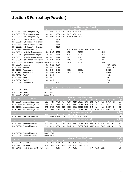|                         |                                    |                               |              |              |               |                          |                           | <b>Chemical Composition (Percent)</b> |                          |           |                     |               |               |             |                        |
|-------------------------|------------------------------------|-------------------------------|--------------|--------------|---------------|--------------------------|---------------------------|---------------------------------------|--------------------------|-----------|---------------------|---------------|---------------|-------------|------------------------|
|                         |                                    | <b>Ni</b>                     | Cu.          | V            | Co            | As                       | <b>Sb</b>                 | Pb                                    | W                        | <b>Mo</b> | Sn                  | Zn            | $\mathsf{Al}$ | B           |                        |
| <b>NCS HC 28616</b>     | Silicon Manganese Alloy            | 0.167                         | 0.080        | 0.095        | 0.048         | 0.015                    | 0.003                     | 0.001                                 |                          |           |                     |               |               |             |                        |
| <b>NCS HC 28617</b>     | Silicon Manganese Alloy            | 0.092                         | 0.096        | 0.060        | 0.035         | 0.010                    | 0.001                     | 0.001                                 |                          |           |                     |               |               |             |                        |
| <b>NCS HC 28618</b>     | Silicon Manganese Alloy            | 0.036                         | 0.051        | 0.063        | 0.017         | 0.0099 0.0004 0.0001     |                           |                                       |                          |           |                     |               |               |             |                        |
| <b>NCS HC 28619</b>     | High-Carbon Ferro Chromium         |                               |              | 0.203        |               |                          |                           |                                       |                          |           |                     |               |               |             |                        |
| <b>NCS HC 28620</b>     | High-Carbon Ferro Chromium         |                               |              | 0.175        |               |                          |                           |                                       |                          |           |                     |               |               |             |                        |
| <b>NCS HC 28621</b>     | High-Carbon Ferro Chromium         |                               |              | 0.138        |               |                          |                           |                                       |                          |           |                     |               |               |             |                        |
| <b>NCS HC 28622</b>     | High-Carbon Ferro Chromium         |                               |              | 0.153        |               |                          |                           |                                       |                          |           |                     |               |               |             |                        |
| <b>NCS HC 28624</b>     | Ferro Molybdenum                   | 0.144                         | 1.070        |              |               |                          |                           | 0.0078 0.0059 0.0022 0.047            |                          |           | 61.00 0.0026        |               |               |             |                        |
| <b>NCS HC 28625</b>     | High Carbon Ferro Manganese        | 0.032                         | 0.065        | 0.055        |               | 0.0047                   |                           | 0.0092                                |                          |           |                     | 0.0082        |               |             |                        |
| <b>NCS HC 28626</b>     | High Carbon Ferro Manganese        | 0.109                         | 0.072        | 0.133        |               | 0.0015                   |                           | 0.106                                 |                          |           |                     | 0.026         |               |             |                        |
| <b>NCS HC 28627</b>     | High Carbon Ferro Manganese        | 0.087                         | 0.070        | 0.110        |               | 0.055                    |                           | 0.077                                 |                          |           |                     | 0.022         |               |             |                        |
| <b>NCS HC 28628</b>     | Medium Carbon Ferromanganese 0.132 |                               | 0.152        | 0.100        |               | 0.055                    |                           | 1.300                                 |                          |           |                     | 0.0017        |               |             |                        |
| <b>NCS HC 28629</b>     | Low Carbon Ferromanganese 0.0032   |                               | 0.127        | 0.041        |               | 0.017                    |                           | 0.126                                 |                          |           |                     | 0.011         |               |             |                        |
| NCS HC 28631 Ferroboron |                                    | 0.013                         | 0.015        | 0.009        |               |                          |                           |                                       |                          |           |                     |               | 0.036         | 18.92       |                        |
| <b>NCS HC 28632</b>     | Ferroboron                         | 0.056                         | 0.050        | 0.010        |               |                          |                           |                                       |                          |           |                     |               | 0.185         | 19.33       |                        |
| <b>NCS HC 28633</b>     | Ferrovanadium                      | 0.011                         | 0.054        | 54.02        |               | 0.0017                   |                           | 0.0001                                |                          |           |                     |               | 0.0026        |             |                        |
| <b>NCS HC 28634</b>     | Ferrovanadium                      | 0.067                         | 0.064        | 47.32        |               | 0.024                    |                           | 0.0004                                |                          |           |                     |               | 0.0061        |             |                        |
| <b>NCS HC 28635</b>     | SiCaAl                             | 0.026                         | 0.046        |              |               |                          |                           |                                       |                          |           |                     |               | 16.63         |             |                        |
| <b>NCS HC 28636</b>     | SiBaAl                             | 0.021                         | 0.032        |              |               |                          |                           |                                       |                          |           |                     |               | 4.07          |             |                        |
| <b>NCS HC 28637</b>     | SiCaBaAl                           | 0.007                         | 0.017        |              |               |                          |                           |                                       |                          |           |                     |               | 5.42          |             |                        |
| <b>NCS HC 28638</b>     | Ferro Titanium                     |                               |              | 0.15         |               |                          |                           |                                       |                          |           |                     |               | 7.82          |             |                        |
|                         |                                    |                               |              |              |               |                          |                           |                                       |                          |           |                     |               |               |             |                        |
|                         |                                    | Ba                            | Sr.          | $V_2O_5$     |               | $K_2O$ Na <sub>2</sub> O | N                         | $O^{\star}$                           |                          |           |                     |               |               |             |                        |
| <b>NCS HC 28635</b>     | SiCaAl                             | 1.640                         | 0.022        |              |               |                          |                           |                                       |                          |           |                     |               |               |             |                        |
| <b>NCS HC 28636</b>     | SiBaAl                             | 24.260                        | 0.095        |              |               |                          |                           |                                       |                          |           |                     |               |               |             |                        |
| <b>NCS HC 28637</b>     | SiCaBaAl                           | 15.330 0.042                  |              |              |               |                          |                           |                                       |                          |           |                     |               |               |             |                        |
| <b>Number</b>           | Name                               |                               |              |              |               |                          |                           | <b>Chemical Composition (Percent)</b> |                          |           |                     |               |               |             | <b>Unit Size</b>       |
|                         |                                    | $\mathsf{C}$                  | N            | V            | Si.           | Mn                       | P.                        | S.                                    | Cr                       | Fe        | Ca                  | $\mathsf{Al}$ | As            | $O^{\star}$ | (in g)                 |
| <b>NCS HC 28639</b>     | Vanadium Nitrogen Alloy            | 9.22                          | 9.44         | 77.58        | 0.4           | 0.0091                   |                           | 0.147 0.0025 0.0032                   |                          | 1.95      | 0.066               | 0.24          | 0.0074        | 0.5         | 25                     |
| <b>NCS HC 28640</b>     | Vanadium Nitrogen Alloy            | 6.01                          | 13.31        | 76.73        | 0.4           |                          |                           | 0.0045 0.142 0.0019                   | 0.019                    | 1.76      | 0.1                 | 0.28          | 0.012         | 0.7         | 25                     |
| <b>NCS HC 28641</b>     | Vanadium Nitrogen Alloy            | 5.71                          | 14.13        | 78.04        | 0.26          | 0.0065                   |                           | 0.012 0.0013                          | 0.082                    | 0.65      | 0.064               | 0.26          | 0.0014        | 0.6         | 25                     |
| <b>NCS HC 28642</b>     | Vanadium Nitrogen Alloy            | 3.39                          | 16.64        | 77.73        | 0.23          | 0.005                    | 0.01                      | 0.0016 0.082                          |                          | 0.57      | 0.044               | 0.24          | 0.0012        | 0.6         | 25                     |
| Number                  | Name                               |                               |              |              |               |                          |                           | <b>Chemical Composition (Percent)</b> |                          |           |                     |               |               |             | <b>Unit Size</b>       |
|                         | Vanadium Pentoxide                 | V <sub>2</sub> O <sub>1</sub> | Si           | P.           | Fe            | $K_2O$                   | Na <sub>2</sub> O<br>0.81 | S.                                    | As<br>0.011 0.0013       |           |                     |               |               |             | (in g)                 |
| <b>NCS HC 28643</b>     |                                    | 98.44                         | 0.054        | 0.0056       | 0.23          | 0.14                     |                           | <b>Chemical Composition (Percent)</b> |                          |           |                     |               |               |             | 25<br><b>Unit Size</b> |
| <b>Number</b>           | Name                               | Mo                            | $\mathsf{C}$ | Si.          | Mn            | P.                       | $\varsigma$               | Cr.                                   | Ni                       | Cп        | W                   | <b>Sn</b>     | <b>As</b>     | Sb          | (in g)                 |
|                         | NCS HC 28644 Ferro Molybdenum      | 59.36                         | 0.017        | 0.11         | 0.004         | 0.037                    | 0.127                     | 0.0072 0.016                          |                          | 0.133     | 0.144               | 0.04          | 0.116         | 0.017       | 50                     |
|                         | NCS HC 28645 Ferro Molybdenum      | 57.44                         | 0.014        | 0.033 0.003  |               | 0.047                    | 0.11                      |                                       | 0.0065 0.017 0.167 0.164 |           |                     | 0.049         | 0.152         | 0.013       | 50                     |
|                         |                                    |                               |              |              |               |                          |                           |                                       |                          |           |                     |               |               |             |                        |
|                         |                                    | Pb                            | Fe           |              |               |                          |                           |                                       |                          |           |                     |               |               |             |                        |
|                         | NCS HC 28644 Ferro Molybdenum      | 0.0015 39.87                  |              |              |               |                          |                           |                                       |                          |           |                     |               |               |             |                        |
|                         | NCS HC 28645 Ferro Molybdenum      | 0.0017 41.78                  |              |              |               |                          |                           |                                       |                          |           |                     |               |               |             |                        |
| <b>Number</b>           | Name                               |                               |              |              |               |                          |                           | <b>Chemical Composition (Percent)</b> |                          |           |                     |               |               |             | <b>Unit Size</b>       |
|                         |                                    | Si.                           | Ca           | $\mathsf{P}$ | $\mathsf{Al}$ | $\mathsf{C}$             | S                         | $\circ$                               | $Fe*$                    | Cr        | Mn                  | Ni            |               |             | (in g)                 |
| NCS HC35610             | Si-Ca Alloy                        | 61.36                         | 31.28        | 0.022        | 1.22          | 0.31                     | 0.025                     | 0.88                                  | 3.68                     |           |                     |               |               |             | 50                     |
| NCS HC35611             | Si-Ca Alloy                        | 64.82                         | 27.98        | 0.021        | 1.13          | 0.23                     | 0.011                     | 0.78                                  | 4.18                     |           |                     |               |               |             | 50                     |
| NCS HC37622             | Middle-Carbon Ferro Chromium 0.642 |                               |              | 0.016        |               | 2.74                     | 0.031                     |                                       |                          |           | 63.75  0.119  0.217 |               |               |             | 50                     |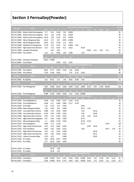| <b>Number</b>                              | Name                                                         |              | Si.          |                | $\mathsf{C}$ | S             | N.        | Chemical Composition (Percent)              |          |                       |                   |        |               | <b>Unit Size</b>          |
|--------------------------------------------|--------------------------------------------------------------|--------------|--------------|----------------|--------------|---------------|-----------|---------------------------------------------|----------|-----------------------|-------------------|--------|---------------|---------------------------|
|                                            |                                                              | Mn           |              | P              |              | 0.0022        |           | Cr                                          | $V_2O_5$ | Fe                    | Na <sub>2</sub> O | K, O   |               | (in g)                    |
| <b>NCS HC 35601</b><br><b>NCS HC 35602</b> | Medium Carbon Ferromanganese<br>Medium Carbon Ferromanganese | 77.7<br>79.4 | 0.91<br>1.26 | 0.169<br>0.159 | 1.81<br>1.36 | 0.0022        |           |                                             |          |                       |                   |        |               | 50<br>50                  |
| <b>NCS HC 35603</b>                        | Medium Carbon Ferromanganese                                 | 83.92        | 1.08         | 0.153          | 0.61         | 0.0024        |           |                                             |          |                       |                   |        |               | 50                        |
| <b>NCS HC 35604</b>                        | Silicon Manganese Alloy                                      | 62.42        | 27.2         | 0.07           | 0.076        | 0.0096        |           |                                             |          |                       |                   |        |               | 50                        |
| <b>NCS HC 35605</b>                        | Silicon Manganese Alloy                                      | 66.93        | 18.7         | 0.142          | 1.13         | 0.014         |           |                                             |          |                       |                   |        |               | 50                        |
| <b>NCS HC 35606</b>                        | Nitrided Ferro Manganese                                     | 75.78        | 1.25         | 0.147          | 0.8          | 0.0082        | 5.63      |                                             |          |                       |                   |        |               | 50                        |
| <b>NCS HC 35607</b>                        | High-Carbon FerroChromium                                    | 0.22         | 1.18         | 0.037          | 8.12         | 0.022         |           | 56.54                                       |          |                       |                   |        |               | 50                        |
| <b>NCS HC 35608</b>                        | Vanadium Pentoxide                                           |              | 0.18         | 0.03           |              |               |           |                                             | 98.05    | 0.12                  | 0.42              | 0.17   |               | 50                        |
| <b>NCS HC 35609</b>                        | <b>Ferro Nickel</b>                                          | 0.16         | 2.3          | 0.054          | 2.58         | 0.288         |           | 2.25                                        |          |                       |                   |        |               | 50                        |
|                                            |                                                              |              |              |                |              |               |           |                                             |          |                       |                   |        |               |                           |
|                                            |                                                              | As           | $S^{\star}$  | Cu             | Co           | Ni            |           |                                             |          |                       |                   |        |               |                           |
| <b>NCS HC 35608</b>                        | Vanadium Pentoxide                                           | 0.0011       | 0.0009       |                |              |               |           |                                             |          |                       |                   |        |               |                           |
| <b>NCS HC35609</b>                         | <b>Ferro Nickel</b>                                          |              |              | 0.023          | 0.29         | 10.01         |           |                                             |          |                       |                   |        |               |                           |
|                                            |                                                              |              |              |                |              |               |           | <b>Chemical Composition (Percent)</b>       |          |                       |                   |        |               | <b>Unit Size</b>          |
| <b>Number</b>                              | <b>Name</b>                                                  | Si.          | Mn           | P              | Cr           | $\mathsf{Al}$ | Fe.       | Ca                                          |          |                       |                   |        |               | (in g)                    |
| <b>NCS HC 37601</b>                        | Ferro Silicon                                                | 68.91        | 0.177        | 0.024          | 0.142        | 2.18          | 26.88     |                                             |          |                       |                   |        |               | 80                        |
| NCS HC 37602 Ferro Silicon                 |                                                              | 73.29        | 0.140        | 0.022          |              | 2.74          | 21.37     | 0.616                                       |          |                       |                   |        |               | 80                        |
| <b>Number</b>                              | Name                                                         |              |              |                |              |               |           | <b>Chemical Composition (Percent)</b>       |          |                       |                   |        |               | <b>Unit Size</b>          |
|                                            |                                                              | Ca           | Si.          | Mn             | -Til         | Fe            | <b>RE</b> | Mg                                          |          |                       |                   |        |               | (in g)                    |
| $NCS$ HC 39601 $R_F$ -Mg Alloy             |                                                              | 3.21         | 40.31        | 2.72           | 1.50         | 20.81         | 20.09     | 9.50                                        |          |                       |                   |        |               | 75                        |
| <b>Number</b>                              | Name                                                         |              |              |                |              |               |           | <b>Chemical Composition (Percent)</b>       |          |                       |                   |        |               | <b>Unit Size</b>          |
|                                            |                                                              | $\mathsf{C}$ | Si           | Mn             | P.           | S.            | Cr        | Ni                                          | Cu       | V                     | Co                | Sn     |               | (in g)                    |
|                                            | NCS HC 41601 Ferro Manganese                                 | 0.86         | 0.948        | 83.35          | 0.180        | 0.003         | 0.335     | 0.080                                       | 0.107    | 0.03                  | 0.145             | 0.0019 |               | 150                       |
|                                            |                                                              | <b>As</b>    | Sb           | <b>Pb</b>      | N            | Zn            | Fe        | <b>Bi</b>                                   |          |                       |                   |        |               |                           |
|                                            | NCS HC 41601 Ferro Manganese                                 | 0.048        | 0.015        | 0.068          | 0.018        | 0.12          | 13.48     | 0.00005                                     |          |                       |                   |        |               |                           |
|                                            |                                                              |              |              |                |              |               |           |                                             |          |                       |                   |        |               |                           |
|                                            |                                                              |              |              |                |              |               |           |                                             |          |                       |                   |        |               |                           |
| Number                                     | Name                                                         | $\mathsf{C}$ | Si.          | P              | S            | Cu            | Mo        | <b>Chemical Composition (Percent)</b><br>Mn | Ti.      | Cr                    | B                 | V      | $\mathsf{Al}$ | (in g)                    |
| <b>NCS HC 37603</b>                        | Ferro Molybdenum                                             | 0.054        | 0.30         | 0.046          | 0.071        | 0.126         | 61.41     |                                             |          |                       |                   |        |               | 50                        |
| <b>NCS HC 37604</b>                        | Ferro Molybdenum                                             | 0.044        | 0.71         | 0.046          | 0.069        | 0.117         | 57.65     |                                             |          |                       |                   |        |               | 50                        |
| <b>NCS HC 37605</b>                        | Si-Mn Alloy                                                  | 1.55         | 17.67        | 0.14           | 0.024        |               |           | 65.64                                       |          |                       |                   |        |               | 50                        |
|                                            | NCS HC 37606b Silicon Manganese Alloy                        | 2.26         | 13.87        | 0.42           | 0.040        |               |           | 60.13                                       | 0.25     |                       |                   |        |               | 50                        |
| <b>NCS HC 37607</b>                        | Low carbon ferro Chrome                                      | 0.086        | 1.39         | 0.034          | 0.005        |               |           | 0.35                                        |          | 64.32                 |                   |        |               | 40                        |
| <b>NCS HC 37608</b>                        | Low carbon ferro Chrome                                      | 0.243        | 0.99         | 0.039          | 0.019        |               |           | 0.34                                        |          | 64.06                 |                   |        |               | 40                        |
| <b>NCS HC 37609</b>                        | High carbon ferro Chrome                                     | 8.49         | 2.15         | 0.024          | 0.015        |               |           | 0.20                                        | 0.24     | 61.54                 |                   |        |               | 50                        |
| <b>NCS HC 37611</b>                        | High Carbon Ferro manganese                                  | 6.57         | 0.64         | 0.382          | 0.009        |               |           | 65.75                                       |          |                       |                   |        |               | 50                        |
| <b>NCS HC 37612</b>                        | Silicon Manganese Alloy                                      | 1.1          | 18.96        | 0.178          | 0.016        |               |           | 67.02                                       | 0.276    |                       |                   |        |               | <b>Unit Size</b><br>50    |
|                                            | NCS HC 37614 Ferro Manganese                                 | 0.939        | 1.71         | 0.130          |              |               |           | 81.11                                       |          |                       |                   | 0.075  |               | 100                       |
|                                            | NCS HC 37615 High Carbon Ferrochrome                         | 8.78         | 0.78         | 0.023          | 0.025        |               |           |                                             | 0.097    | 63.50                 |                   |        |               | 50                        |
|                                            | NCS HC 37616 Ferro Vanadium                                  | 0.081        | 0.50         | 0.016          | 0.012        |               |           | 0.58                                        |          |                       |                   | 49.72  | 5.18          | 50                        |
|                                            | NCS HC 37617 High Carbon Ferrochrome                         | 8.32         | 1.91         | 0.021          | 0.040        |               |           |                                             |          | 59.35                 |                   |        |               | 50                        |
|                                            | NCS HC 37618 High Carbon Ferrochrome                         | 8.44         | 0.30         | 0.026          | 0.026        |               |           |                                             |          | 69.12                 |                   |        |               | 50                        |
|                                            | NCS HC 37619 Carbon Chromium Alloy                           | 12.53        | 0.22         |                | 0.008        |               |           |                                             |          | 83.83                 |                   |        |               | 50                        |
| NCS HC 37620 Si-Ca Alloy                   |                                                              | 0.68         | 60.09        | 0.017          | 0.033        |               |           |                                             |          |                       |                   |        |               | 50                        |
| NCS HC 37621 Si-Ca Alloy                   |                                                              | 0.71         | 60.19        | 0.031          | 0.020        |               |           |                                             |          |                       |                   |        |               | 50                        |
|                                            |                                                              |              |              |                |              |               |           |                                             |          |                       |                   |        |               |                           |
|                                            |                                                              |              | Ca           | Als            |              |               |           |                                             |          |                       |                   |        |               |                           |
| NCS HC 37620 Si-Ca Alloy                   |                                                              |              | 30.70        | 1.09           |              |               |           |                                             |          |                       |                   |        |               |                           |
| NCS HC 37621 Si-Ca Alloy                   |                                                              |              | 25.25        | 1.55           |              |               |           |                                             |          |                       |                   |        |               |                           |
| <b>Number</b>                              | Name                                                         | $\mathsf{C}$ | $\mathsf{S}$ |                |              | P             | Cr        | Chemical Composition(%)<br>Ni.              | Cu       |                       |                   | Ca     | -Ti           |                           |
| NCS HC 93616 Ferrosilicon                  |                                                              | 0.208        | 0.0033       | Si.<br>73.61   | Mn<br>0.237  | 0.023         | 0.022     | 0.0069                                      | 0.019    | $\mathsf{Al}$<br>2.14 | Fe<br>21.06       | 2.05   | 0.121         | Unit Size<br>(in g)<br>50 |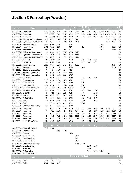| <b>Number</b>               | Name                                   |              |                |           |       |                |                | <b>Chemical Composition(Percent)</b> |       |       |           |                                |       | <b>Unit Size</b>           |
|-----------------------------|----------------------------------------|--------------|----------------|-----------|-------|----------------|----------------|--------------------------------------|-------|-------|-----------|--------------------------------|-------|----------------------------|
|                             |                                        | $\mathsf{C}$ | S              | Si.       | Mn    | P.             | Cr             | Al.                                  | Cal   | Fe i  | Cu        | Ni.                            | Ti.   | (in g)                     |
| <b>NCS HC 93601</b>         | Ferrosilicon                           | 0.148        | 0.0026         | 75.46     | 0.588 | 0.021          | 0.044          | 1.4                                  | 1.15  | 20.23 | 0.019     | 0.0093                         | 0.097 | 50                         |
| <b>NCS HC 93602</b>         | Ferrosilicon                           | 0.196        | 0.0052         | 74.8      | 11.09 | 0.024          | 0.052          | 1.28                                 | 0.986 | 20.96 | 0.013     | 0.0071                         | 0.106 | 50                         |
| <b>NCS HC 93603</b>         | Ferrosilicon                           | 0.095        | 0.0023         | 76.53     | 0.281 | 0.019          | 0.043          | 1.52                                 | 1.373 | 19.07 | 0.025     | 0.012                          | 0.085 | 50                         |
| <b>NCS HC 93604</b>         | Micro Carbon Ferrochrome               | 0.038        | 0.015          | 0.466     | 0.103 | 0.022          | 68.13          |                                      |       |       |           | 0.26                           | 0.016 | 50                         |
| <b>NCS HC 93605</b>         | High Carbon Ferrochromium              | 8            | 0.037          | 2.94      | 0.308 | 0.037          | 59.71          |                                      |       |       |           | 0.312                          | 0.41  | 50                         |
| <b>NCS HC 93606</b>         | Ferro Molybdenum                       | 0.073        | 0.044          | 0.19      |       | 0.037          |                |                                      |       |       | 0.494     |                                |       | 50                         |
| <b>NCS HC 93607</b>         | Ferro Niobium                          | 0.101        | 0.013          | 1.04      |       | 0.194          |                | 1.5                                  |       |       | 0.038     |                                | 0.585 | 50                         |
| <b>NCS HC 93608</b>         | Ferro Titanium                         | 0.095        | 0.015          | 0.3       | 0.255 | 0.014          |                | 3                                    |       |       | 0.281     |                                | 32.22 | 50                         |
| <b>NCS HC 93609</b>         | High Carbon Ferrochromium              | 8.36         | 0.068          | 1.15      | 0.207 | 0.023          | 58.28          |                                      |       |       |           |                                |       | 50                         |
| <b>NCS HC 93610</b>         | High Carbon Ferrochromium              | 7.99         | 0.03           | 0.26      | 0.225 | 0.018          | 70.15          |                                      |       |       |           |                                |       | 50                         |
|                             | NCS HC 93611 High Carbon Ferrochromium | 8.13         | 0.059          | 0.92      | 0.21  | 0.022          | 60.42          |                                      |       |       |           |                                |       | 50                         |
| NCS HC 93612 Si-Ca Alloy    |                                        | 2.44         | 0.1325         | 5.31      |       | 0.019          |                | 1.88                                 | 28.25 | 6.08  |           |                                |       | 50                         |
| NCS HC 93613 Si-Ca Alloy    |                                        | 1.30         | 0.088          | 56.2      |       | 0.018          |                | 1.77                                 | 31.67 | 5.58  |           |                                |       | 50                         |
|                             | NCS HC 93622 Ferro Phosphorus          | 0.228        | 0.017          | 0.156     | 0.70  | 27.50          | 0.226          |                                      |       |       |           |                                | 0.53  | 50                         |
| <b>NCS HC 93623</b>         | Ferroboron                             | 0.45         | 0.0044         | 0.44      |       | 0.025          |                | 0.083                                |       |       |           |                                | 0.019 | 50                         |
| <b>NCS HC 93624</b>         | Silicon Manganese Alloy                | 1.79         | 0.024          | 16.87     | 64.86 | 0.120          |                |                                      |       |       |           |                                |       | 50                         |
| <b>NCS HC 93625</b>         | Silicon Manganese Alloy                | 1.66         | 0.026          | 17.19     | 65.74 | 0.151          |                |                                      |       |       |           |                                |       | 50                         |
|                             | NCS HC 93626 Silicon Manganese Alloy   | 1.91         | 0.020          | 16.42     | 63.80 | 0.097          |                |                                      |       |       |           |                                |       | 50                         |
| NCS HC 93627 Si-Ca Alloy    |                                        | 1.02         | 0.045          | 57.43     |       | 0.030          |                | 1.76                                 | 28.02 | 6.94  |           |                                |       | 50                         |
| <b>NCS HC 93628</b>         | Ferro Vanadium                         | 0.130        | 0.016          | 0.730     | 0.474 | 0.042          |                | 6.10                                 |       |       |           |                                |       | 30                         |
| NCS HC 93628a               | Ferro Vanadium                         | 0.152        | 0.017          | 0.730     | 0.475 | 0.043          |                | 6.03                                 |       |       |           |                                |       | 30                         |
| <b>NCS HC 93629</b>         | Ferro Vanadium                         | 0.032        | 0.014          | 0.86      | 0.046 | 0.036          |                | 1.33                                 |       |       |           |                                |       | 25                         |
| <b>NCS HC 93630</b>         | Vanadium Nitride Alloy                 | 3.96         | 0.0014         | 0.061     | 0.082 | 0.0075         |                | 0.164                                |       |       |           |                                |       | 25                         |
|                             | NCS HC 93631 Si-Ca-Ba-Al Alloy         | 0.78         | 0.044          | 37.19     | 0.43  | 0.032          |                | 13.46                                | 5.16  | 27.56 |           |                                |       | 50                         |
| NCS HC 93632 Si-Ba Alloy    |                                        | 0.99         | 0.13           | 47.56     | 0.16  | 0.024          |                | 2.78                                 |       | 11.75 |           |                                |       | 50                         |
| <b>NCS HC 93633</b>         | Si-Al Alloy                            | 0.45         | 0.022          | 28.31     | 0.426 | 0.023          |                | 29.67                                |       | 37.44 |           |                                |       | 50                         |
| NCS HC 93634 Si-Ba-Ca Alloy |                                        | 0.64         | 0.204          | 52.62     | 0.104 | 0.022          |                | 1.82                                 | 14.08 | 12.97 |           |                                |       | 50                         |
| NCS HC 93635 SiAlFe         |                                        | 1.90         | 0.015          | 27.36     | 0.18  | 0.072          |                | 38.51                                |       | 26.23 |           |                                |       | 50                         |
| NCS HC 93636 SiAlFe         |                                        | 0.11         | 0.0071         | 26.11     | 1.70  | 0.021          |                | 36.22                                |       |       |           |                                |       | 50                         |
| <b>NCS HC 93637</b>         | Silicon Manganese Alloy                | 1.80         | 0.023          | 17.54     | 65.70 | 0.023          |                |                                      |       |       |           |                                |       | 100                        |
| <b>NCS HC 93638</b>         | Ferrosilicon                           | 0.9          | 0.037          | 65.74     | 0.182 | 0.025          | 0.099          | 1.27                                 | 3.15  | 18.67 | 0.054     | 0.029                          | 0.131 | 50                         |
| <b>NCS HC 93639</b>         | Ferrosilicon                           | 0.73         | 0.01           | 41.29     | 0.256 | 0.03           | 0.11           | 2.4                                  | 0.28  | 52.26 | 0.132     | 0.056                          | 0.209 | 50                         |
| <b>NCS HC 93640</b>         | Ferrosilicon                           | 1.12         | 0.055          | 63.21     | 0.15  | 0.022          | 0.088          | 1.33                                 | 4.4   | 16.85 | 0.069     | 0.024                          | 0.125 | 50                         |
| <b>NCS HC 93641</b>         | Ferrosilicon                           | 0.44         | 0.013          | 71.2      | 0.242 | 0.028          | 0.089          | 1.21                                 | 1.26  | 22.07 | 0.033     | 0.035                          | 0.137 | 50                         |
| <b>NCS HC 93642</b>         | Ferrosilicon                           | 0.56         | 0.013          | 73.39     | 0.216 | 0.032          | 0.084          | 1.12                                 | 1.14  | 18.96 | 0.032     | 0.046                          | 0.135 | 50                         |
| <b>NCS HC 93643</b>         | Nitrided Ferro Silicon                 | 0.52         | 0.019          | 49.67     |       | 0.018          |                | 0.72                                 | 0.45  | 15.08 |           |                                | 0.071 | 50                         |
|                             |                                        |              |                |           |       |                |                |                                      |       |       |           |                                |       |                            |
|                             |                                        | Mo           | Sb             | <b>Nb</b> | Ta    | $\overline{B}$ | $\overline{M}$ | N                                    | Ba    | Mg    | <b>Sr</b> | Si <sub>3</sub> N <sub>4</sub> |       |                            |
|                             | NCS HC 93606 Ferro Molybdenum          | 56.12        | 0.036          |           |       |                |                |                                      |       |       |           |                                |       |                            |
|                             | NCS HC 93607 Ferro Niobium             |              |                | 64.6      | 0.097 |                |                |                                      |       |       |           |                                |       |                            |
| NCS HC 93623 Ferroboron     |                                        |              |                |           |       | 18.69          |                |                                      |       |       |           |                                |       |                            |
|                             | NCS HC 93628 Ferro Vanadium            |              |                |           |       |                | 50.24          |                                      |       |       |           |                                |       |                            |
|                             | NCS HC 93628a Ferro Vanadium           |              |                |           |       |                | 50.09          |                                      |       |       |           |                                |       |                            |
|                             | NCS HC 93629 Ferro Vanadium            |              |                |           |       |                | 80.90          |                                      |       |       |           |                                |       |                            |
|                             | NCS HC 93630 Vanadium Nitride Alloy    |              |                |           |       |                | 77.73          | 14.57                                |       |       |           |                                |       |                            |
|                             | NCS HC 93631 Si-Ca-Ba-Al Alloy         |              |                |           |       |                |                |                                      | 10.00 | 0.098 |           |                                |       |                            |
| NCS HC 93632 Si-Ba Alloy    |                                        |              |                |           |       |                |                |                                      | 27.54 |       |           |                                |       |                            |
| NCS HC 93634 Si-Ba-Ca Alloy |                                        |              |                |           |       |                |                |                                      | 14.14 | 0.051 | 0.063     |                                |       |                            |
|                             | NCS HC 93643 Nitrided Ferro Silicon    |              |                |           |       |                |                |                                      |       |       |           | 29.65                          |       |                            |
| Number                      | Name                                   | Si           | $\overline{A}$ | Fe        |       |                |                | Chemical Composition(%)              |       |       |           |                                |       | <b>Unit Size</b><br>(in g) |
| NCS HC 93614 SiAlFe         |                                        | 33.75        | 31.91          | 27.84     |       |                |                |                                      |       |       |           |                                |       | 50                         |
| NCS HC 93615 SiAlFe         |                                        | 29.87        | 34.80          | 30.47     |       |                |                |                                      |       |       |           |                                |       | 50                         |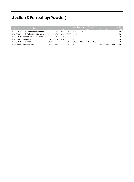| <b>Number</b> |                                         |       |           |       |       | <b>Chemical Composition (Percent)</b> |       |      |      |           |           |           | <b>Unit Size</b> |
|---------------|-----------------------------------------|-------|-----------|-------|-------|---------------------------------------|-------|------|------|-----------|-----------|-----------|------------------|
|               | <b>Name</b>                             |       | <b>Si</b> | Mn    |       |                                       | /Cr   | Al.  | Ca   | <b>Mo</b> | <b>As</b> | <b>Cu</b> | (in g)           |
| NCS HC93644   | High-Carbon Ferro Chromium              | 8.15  | 2.65      | 0.267 | 0.023 | 0.023                                 | 55.31 |      |      |           |           |           | 50               |
|               | NCS HC93645 High-Carbon Ferro Manganese | 6.24  | 0.68      | 64.42 | 0.209 | 0.014                                 |       |      |      |           |           |           | 50               |
| NCS HC93646   | Middle-Carbon Ferro Manganese           | 1.79  | 1.75      | 76.82 | 0.207 | 0.014                                 |       |      |      |           |           |           | 50               |
| NCS HC93647   | Mn-Si Alloy                             | 1.65  | 17.3      | 66.65 | 0.135 | 0.015                                 |       |      |      |           |           |           | 50               |
| NCS HC93648   | Ferrosilicon                            | 0.083 | 72.31     |       | 0.019 | 0.0021                                | 0.165 | 1.37 | 1.28 |           |           |           | 50               |
| NCS HC93649   | Ferro Molvbdenum                        | 0.066 | 0.12      |       | 0.026 | 0.137                                 |       |      |      | 54.37     | 0.12      | 0.309     | 50               |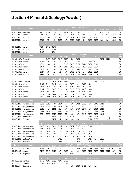|                           |                                |                          |                           |                    |                  |                                | <b>Chemical Composition(Percent)</b>         |               |                   |                                                               |                   |                                |                    |           | <b>Unit Size</b>           |
|---------------------------|--------------------------------|--------------------------|---------------------------|--------------------|------------------|--------------------------------|----------------------------------------------|---------------|-------------------|---------------------------------------------------------------|-------------------|--------------------------------|--------------------|-----------|----------------------------|
| <b>Number</b>             | Name                           | <b>TFe</b>               | SiO <sub>2</sub>          | $Al_2O_3$          | <b>MnO</b>       | FeO                            | P.                                           | S.            | Cu                | K <sub>2</sub> O                                              | Na <sub>2</sub> O | MgO                            | CaO                | <b>Pb</b> | (in g)                     |
| <b>NCS DC 11001</b>       | Magnetite                      | 44.73                    | 18.22                     | 0.75               | 0.20             | 12.91                          | 0.013                                        | 1.50          |                   |                                                               |                   | 4.18                           | 7.14               |           | 60                         |
| <b>NCS DC 11013</b>       | Iron ore                       | 34.07                    | 48.27                     | 0.74               | 0.093            | 20.15                          | 0.054                                        | 0.118         | 0.0031            | 0.165                                                         | 0.065             | 2.86                           | 0.99               | 0.028     | 70                         |
| <b>NCS DC 11017</b>       | Iron ore                       | 63.33                    | 5.56                      | 1.13               | 0.086            | 1.76                           | 0.011                                        | 0.003         | 0.0045            | 0.115                                                         | 0.07              | 1.3                            | 1.05               | 0.0006    | 70                         |
| <b>NCS DC 11018</b>       | Iron ore                       | 56.02                    | 4.5                       | 2.20               | 0.355            | 7.78                           | 56.02                                        | 0.023         | 0.0044            | 0.038                                                         | 0.057             | 2.87                           | 9.89               | 0.0031    | 70                         |
|                           |                                |                          |                           |                    |                  |                                |                                              |               |                   |                                                               |                   |                                |                    |           |                            |
| <b>NCS DC 11013</b>       | Iron ore                       | Z <sub>n</sub><br>0.0045 | TiO <sub>2</sub><br>0.043 | As<br>0.0003       |                  |                                |                                              |               |                   |                                                               |                   |                                |                    |           |                            |
| <b>NCS DC 11017</b>       | Iron ore                       | 0.0059                   |                           | 0.0006             |                  |                                |                                              |               |                   |                                                               |                   |                                |                    |           |                            |
| <b>NCS DC 11018</b>       | Iron ore                       | 0.065                    |                           | 0.0014             |                  |                                |                                              |               |                   |                                                               |                   |                                |                    |           |                            |
|                           |                                |                          |                           |                    |                  |                                | <b>Chemical Composition (Percent)</b>        |               |                   |                                                               |                   |                                |                    |           | <b>Unit Size</b>           |
| <b>Number</b>             | Name                           | <b>TFe</b>               | SiO <sub>2</sub>          | $Al_2O_3$          | CaO              | MgO                            | P.                                           | S             | <b>FeO</b>        | Cu                                                            | $\mathsf{C}$      | Fe <sub>2</sub> O <sub>3</sub> | L.O.               |           | $\overline{(\text{in }g)}$ |
| NCS DC 11003a Dolomite    |                                |                          | 0.098                     | 0.083              | 31.49            | 21.06                          | 0.0016                                       | 0.011         |                   |                                                               |                   | 0.024                          | 46.71              |           | 70                         |
| NCS DC 11004a Iron ore    |                                | 54.86                    | 8.27                      | 2.85               | 0.63             | 0.524                          | 0.119                                        | 0.258         | 1.17              | 0.068                                                         | 0.31              |                                |                    |           | 60                         |
| NCS DC 11005a Iron ore    |                                | 63.34                    | 3.36                      | 0.52               | 0.12             | 0.146                          | 0.016                                        | 0.107         | 0.07#             | 0.034                                                         | 0.119             |                                |                    |           | 60                         |
| NCS DC 11006a Iron ore    |                                | 54.74                    | 8.53                      | 1.48               | 1.02             | 0.657                          | 0.036                                        | 0.439         | 3.9               | 0.102                                                         | 0.227             |                                |                    |           | 60                         |
| NCS DC 11007a Iron ore    |                                | 52.24                    | 10.2                      | 6.84               | 0.561            | 0.606                          | 0.346                                        | 0.094         | 4.21              | 0.015                                                         | 0.549             |                                |                    |           | 60                         |
| NCS DC 11008a Iron ore    |                                | 57.54                    | 7.08                      | 2.14               | 1.25             | 0.75                           | 0.073                                        | 0.442         | 8.42              | 0.095                                                         | 0.204             |                                |                    |           | 60                         |
| NCS DC 11009a Iron ore    |                                | 61.96                    | 4.92                      | 0.914              | 0.375            | 0.364                          | 0.027                                        | 0.212         | 15.13             | 0.063                                                         | 0.128             |                                |                    |           | 60                         |
|                           |                                | Pb                       | Zn                        | Na <sub>2</sub> O  | $K_2O$           | <b>MnO</b>                     | <b>As</b>                                    | <b>TiO</b>    | BaO               | Co                                                            | Tī                | <b>Sr</b>                      |                    |           |                            |
| NCS DC 11003a Dolomite    |                                |                          |                           | 0.017              | 0.0030           | 0.061                          |                                              |               |                   |                                                               | 0.0043            | 0.021                          |                    |           |                            |
| NCS DC 11004a Iron ore    |                                | 0.101                    | 0.144                     | 0.047              | 0.26             | 1.04                           | 0.096                                        | 0.12          | $0.86*$           | 0.0054                                                        |                   |                                |                    |           |                            |
| NCS DC 11005a Iron ore    |                                | 0.035                    | 0.026                     | 0.02               | 0.07             | 0.84                           | 0.0044                                       | 0.034         | $0.62*$           | 0.0031                                                        |                   |                                |                    |           |                            |
| NCS DC 11006a Iron ore    |                                | 0.182                    | 0.3                       | 0.048              | 0.214            | 1.31                           | 0.215                                        | 0.154         | $1.08*$           | 0.0086                                                        |                   |                                |                    |           |                            |
| NCS DC 11007a Iron ore    |                                | 0.034                    | 0.066                     | 0.093              | 0.61             | 0.194                          | 0.051                                        | 0.237         | $0.028*$          | 0.0043                                                        |                   |                                |                    |           |                            |
| NCS DC 11008a Iron ore    |                                | 0.192                    | 0.362                     | 0.042              | 0.24             | 0.623                          | 0.291                                        | 0.199         | $0.42*$           | 0.011                                                         |                   |                                |                    |           |                            |
| NCS DC 11009a Iron ore    |                                | 0.042                    | 0.054                     | 0.024              | 0.093            | 0.947                          | 0.011                                        | 0.447         | $0.71*$           | 0.0061                                                        |                   |                                |                    |           |                            |
| Number                    | <b>Name</b>                    | TMn                      | MnO <sub>2</sub>          | <b>TFe</b>         | SiO <sub>2</sub> | Al <sub>2</sub> O <sub>3</sub> | <b>Chemical Composition (Percent)</b><br>CaO | <b>MgO</b>    | TiO <sub>2</sub>  | K <sub>2</sub> O                                              | Na <sub>2</sub> O | Cr                             | Fe <sub>O</sub>    |           | <b>Unit Size</b><br>(in g) |
| <b>NCS DC 11019</b>       | Manganese ore                  | 18.36                    | 25.59                     | 8.89               | 21.94            | 5.66                           | 2.83                                         | 0.611         | 0.206             | 1.04                                                          | 0.045             | 0.012                          |                    |           | 60                         |
| <b>NCS DC 11020</b>       | Manganese ore                  | 22.31                    | 30.34                     | 9.66               | 28.11            | 7.69                           | 2.36                                         | 1.72          | 0.27              | 1.11                                                          | 0.056             | 0.026                          |                    |           | 60                         |
| <b>NCS DC 11021</b>       | Manganese ore                  | 26.53                    | 36.6                      | 11.01              | 22.1             | 6.99                           | 2.31                                         | 0.774         | 0.247             | 1.01                                                          | 0.064             | 0.019                          |                    |           | 60                         |
| <b>NCS DC 11022</b>       | Manganese ore                  | 29.48                    | 41.76                     | 10.22              | 19.84            | 6.49                           | 1.82                                         | 0.65          | 0.224             | 0.89                                                          | 0.062             | 0.018                          |                    |           | 60                         |
| <b>NCS DC 11023</b>       | Manganese ore                  | 35.54                    | 52.73                     | 10.25              | 13.03            | 3.8                            | 2.34                                         | 0.78          | 0.143             | 0.396                                                         | 0.053             | 0.0053                         |                    |           | 60                         |
| <b>NCS DC 11024</b>       | Sintered Ore                   |                          |                           | 55.37              | 5.64             | 2.19                           | 10.76                                        | 2.14          |                   | 0.082                                                         | 0.045             |                                | (8.20)             |           | 70                         |
| <b>NCS DC 11025</b>       | Pellet Ore                     |                          |                           | 61.37              | 6.59             | 1.35                           | 1.04                                         | 0.80          |                   | 0.111                                                         | 0.105             |                                | (1.92)             |           | 70                         |
|                           |                                |                          |                           | $\mathsf{V}$       | P.               |                                |                                              |               |                   |                                                               |                   |                                |                    |           |                            |
| NCS DC 11019              |                                | Νi                       | <b>Cu</b>                 |                    |                  | Pb                             | <b>As</b><br>0.031                           | Zn<br>0.118   | BaO<br>0.43       | S<br>0.114                                                    | <b>MnO</b>        | TiO.                           |                    |           |                            |
| <b>NCS DC 11020</b>       | Manganese ore<br>Manganese ore | 0.049<br>0.089           | 0.014<br>0.021            | 0.014<br>0.02      | 0.202<br>0.171   | 0.08<br>0.12                   | 0.034                                        | 0.1           | 0.54              | 0.109                                                         |                   |                                |                    |           |                            |
|                           | NCS DC 11021 Manganese ore     | 0.073                    | 0.021                     | 0.02               | 0.163            | 0.124                          | 0.052                                        | 0.164         | 0.8               | 0.084                                                         |                   |                                |                    |           |                            |
|                           | NCS DC 11022 Manganese ore     | 0.072                    | 0.018                     | 0.02               | 0.15             | 0.107                          | 0.062                                        | 0.143         | 1.04              | 0.082                                                         |                   |                                |                    |           |                            |
| <b>NCS DC 11023</b>       | Manganese ore                  | 0.023                    | 0.011                     | 0.016              | 0.105            | 0.058                          | 0.112                                        | 0.066         | 1.62              | 0.052                                                         |                   |                                |                    |           |                            |
| NCS DC 11024 Sintered Ore |                                |                          |                           |                    | 0.056            |                                |                                              | 0.0062        |                   | 0.017                                                         | 0.36              | 0.125                          |                    |           |                            |
| NCS DC 11025 Pellet Ore   |                                |                          |                           |                    | 0.093            |                                |                                              | 0.012         |                   | 0.021                                                         | 0.120             | 1.61                           |                    |           |                            |
| Number                    | Name                           |                          |                           |                    |                  |                                | <b>Chemical Composition (Percent)</b>        |               |                   |                                                               |                   |                                |                    |           | <b>Unit Size</b>           |
| NCS DC11012a Iron Ore     |                                | TFe                      | SiO <sub>2</sub><br>2.62  | <b>MnO</b><br>1.16 | $Al_2O_3$        | CaO                            | MgO                                          | $K_2O$        | Na <sub>2</sub> O | TiO <sub>2</sub><br>0.188                                     | P<br>0.0019       | <b>Cu</b><br>0.0085            | <b>As</b><br>0.026 | S<br>0.57 | (in g)                     |
| <b>NCS DC11033</b>        | Limonite                       | 62.86<br>51.13           | 10.43                     | 0.222              | 0.85<br>3.73     | 2.17<br>0.085                  | 2.41<br>0.11                                 | 0.057<br>0.21 | 0.016<br>0.013    | 0.229                                                         | 0.067             | 0.219                          | 0.074              | 0.67      | 60<br>60                   |
| NCS DC11034 Serpentine    |                                |                          | 40.07                     | 0.122              | 0.97             | 2.37                           | 39.52                                        |               |                   | 0.096                                                         |                   |                                |                    | 0.024     | 35                         |
|                           |                                |                          |                           |                    |                  |                                |                                              |               |                   |                                                               |                   |                                |                    |           |                            |
|                           |                                | Zn                       | Bi                        | Sn                 | P <sub>b</sub>   | FeO                            | $\mathsf{C}$                                 |               |                   | $P_2O_5$ $Cr_2O_3$ TFe(Fe <sub>2</sub> O <sub>3</sub> ) L.O.I |                   |                                |                    |           |                            |
| NCS DC11012a Iron Ore     |                                | 0.149                    | 0.0012                    | 0.113              | 0.0024           | 27.22                          |                                              |               |                   |                                                               |                   |                                |                    |           |                            |
| NCS DC11033               | Limonite                       | 0.283                    | 0.023                     | 0.0023             | 0.116            | (0.46)                         |                                              |               |                   |                                                               |                   |                                |                    |           |                            |
| NCS DC11034 Serpentine    |                                |                          |                           |                    |                  |                                | 0.65                                         | 0.024         | 0.422             | 7.86                                                          | 8.83              |                                |                    |           |                            |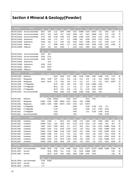| (in g)<br>66.67<br>6.08<br>0.32<br>0.097<br>0.046<br>0.017<br>0.0083<br>0.016<br>0.0077<br>0.27<br>0.491<br>0.25<br>70<br>NCS DC11014a<br>Iron ore concentrate<br>0.011<br>70<br>NCS DC11015a<br>69.47<br>0.64<br>0.323<br>0.67<br>0.222<br>0.094<br>0.22<br>0.0068<br>0.28<br>0.51<br>0.26<br>Iron ore concentrate<br>67.55<br>0.783<br>0.098<br>0.076<br>0.014<br>0.505<br>70<br>NCS DC11016a<br>3.08<br>0.356<br>0.42<br>0.048<br>0.272<br>0.25<br>Iron ore concentrate<br>56.64<br>2.12<br>0.02<br>0.059<br>0.074<br>70<br>NCS DC11024a<br>Sintered ore<br>5.04<br>10.3<br>1.21<br>0.088<br>0.311<br>0.195<br>NCS DC11024b<br>55.08<br>5.45<br>1.11<br>9.98<br>3.56<br>0.035<br>0.017<br>0.088<br>0.072<br>0.67<br>0.559<br>70<br>Sintered ore<br>0.113<br>62.4<br>7.7<br>0.839<br>0.651<br>0.0023<br>0.075<br>0.191<br>70<br>NCS DC11025a<br>Pellet ore<br>1.17<br>0.017<br>0.094<br>0.199<br>0.028<br>65.53<br>3.01<br>0.61<br>0.545<br>$\overline{2}$<br>0.014<br>0.011<br>0.087<br>0.221<br>0.046<br>0.088<br>70<br>NCS DC11025b<br>Pellet ore<br>FeO<br>Zn<br>26.3<br>NCS DC11014a<br>0.027<br>Iron ore concentrate<br>NCS DC11015a<br>0.029<br>27.41<br>Iron ore concentrate<br>NCS DC11016a<br>0.028<br>26.57<br>Iron ore concentrate<br>8.16<br>NCS DC11024a<br>Sintered ore<br>NCS DC11024b<br>Sintered ore<br>0.049<br>10.19<br>Pellet ore<br>(0.97)<br>NCS DC11025a<br>0.013<br>NCS DC11025b<br>Pellet ore<br>(0.82)<br>$(\times 10^{2})$<br><b>Number</b><br>Name<br><b>MnO</b><br>SiO <sub>2</sub><br>$Al_2O_3$<br>K <sub>2</sub> O<br>Cr<br>Ni.<br><b>TMn</b><br><b>MgO</b><br>TiO <sub>2</sub><br>Na <sub>2</sub> O<br><b>TFe</b><br>CaO<br>(in g)<br>0.76<br><b>NCS DC11026</b><br>Nickel ore<br>18.01<br>39.80<br>15.86<br>0.041<br>0.007<br>0.068<br>1.74<br>35<br>2.93<br>0.89<br><b>NCS DC11027</b><br>5.07<br>6.16<br>0.12<br>0.15<br>0.0074<br>0.011<br>70<br>48.93<br>72.89<br>3.20<br>0.10<br>1.32<br>0.19<br>Mangnaese<br>7.76<br>0.23<br>1.76<br>70<br><b>NCS DC11028</b><br>42.44<br>62.66<br>9.08<br>5.56<br>0.17<br>0.11<br>0.25<br>0.011<br>0.0077<br>Mangnaese<br>4.06<br>4.99<br>2.02<br>13.54<br>0.0081<br>0.023<br>70<br>NCS DC11029<br>V Ti Magnetite<br>51.67<br>0.52<br>49.12<br>5.52<br>5.1<br>2.3<br>12.8<br>0.023<br>70<br><b>NCS DC11030</b><br>V Ti Magnetite<br>1.16<br>0.073<br>2.6<br>NCS DC11031<br>46.74<br>8.19<br>12.24<br>0.021<br>70<br>V Ti Magnetite<br>5.49<br>1.18<br>0.057<br>70.69<br>0.293<br>0.32<br>0.535<br>0.012<br>70<br><b>NCS DC11032</b><br>0.066<br>0.045<br>0.01<br>Iron ore concentrate<br>V<br>P.<br>Pb<br>S<br>MnO<br>Cu<br>Co<br>Zn<br><b>BaO</b><br>$V_2O_5$<br>FeO<br>0.010<br>0.011<br><b>NCS DC11026</b><br>Nickel ore<br>(0.0021)<br>0.037<br>0.017<br>0.43<br>NCS DC11027<br>0.0084<br>0.0067<br>0.041<br>0.089<br>0.0063<br>0.017<br>0.015<br>0.99<br>Mangnaese<br>0.066<br>0.0073<br><b>NCS DC11028</b><br>0.0056<br>0.042<br>0.0072<br>0.014<br>0.013<br>0.32<br>Mangnaese<br>NCS DC11029<br>0.046<br>0.045<br>0.259<br>0.59<br>27.3<br>V Ti Magnetite<br>0.238<br>NCS DC11030<br>0.179<br>0.044<br>0.382<br>0.24<br>26.44<br>V Ti Magnetite<br>0.553<br><b>NCS DC11031</b><br>0.101<br>0.041<br>0.21<br>0.539<br>24.39<br>V Ti Magnetite<br>0.226<br>0.03<br><b>NCS DC11032</b><br>0.012<br>0.258<br>27.98<br>Iron ore concentrate<br>$(\times 10^{2})$<br><b>Number</b><br><b>Name</b><br>P<br>S<br>Al <sub>2</sub> O <sub>3</sub><br>K <sub>2</sub> O<br>Na <sub>2</sub> O<br><b>MnO</b><br>L.O.<br>CaO<br>Fe <sub>2</sub> O <sub>3</sub><br><b>MgO</b><br>SiO <sub>2</sub><br>TiO <sub>2</sub><br>(in g) _<br><b>NCS DC11035</b><br>0.025<br>0.029<br>$\mathbf 1$<br>49.13<br>0.55<br>0.299<br>2.76<br>0.014<br>4.39<br>0.043<br>0.055<br>41.5<br>50<br>Limestone<br>0.0044<br>0.012<br>0.55<br>33.92<br>0.013<br>0.05<br>50<br><b>NCS DC11036</b><br>0.41<br>0.178<br>16.76<br>3.14<br>0.028<br>44.7<br>Limestone<br>NCS DC11037<br>Limestone<br>0.003<br>0.013<br>0.402<br>48.26<br>0.2<br>0.172<br>4.95<br>0.011<br>2.46<br>0.021<br>0.0096<br>43.28<br>50<br>NCS DC11038<br>0.0034<br>0.014<br>52.83<br>0.012<br>0.0096<br>50<br>0.33<br>0.197<br>0.137<br>1.64<br>1.66<br>0.016<br>43.05<br>Limestone<br>NCS DC11039<br>0.0041<br>0.014<br>0.466<br>51.66<br>0.225<br>0.203<br>0.009<br>2.24<br>0.022<br>0.0087<br>42.82<br>50<br>Limestone<br>2.07<br>NCS DC11040<br>0.0068<br>51.12<br>0.33<br>0.013<br>0.012<br>43.58<br>50<br>Limestone<br>0.048<br>0.29<br>0.16<br>3.26<br>1.06<br>0.015<br>NCS DC11041<br>0.0024<br>0.022<br>52.75<br>0.124<br>0.099<br>2.1<br>0.009<br>1.36<br>0.013<br>0.0057<br>43.42<br>50<br>0.24<br>Limestone<br>NCS DC11042<br>0.0024<br>Limestone<br>0.016<br>0.33<br>50.14<br>0.194<br>0.145<br>3.53<br>0.009<br>2.3<br>0.018<br>0.0098<br>43.17<br>50<br>0.022<br>43.99<br>NCS DC11043<br>0.0059<br>0.036<br>0.363<br>46.26<br>0.36<br>0.167<br>7.03<br>0.013<br>0.017<br>50<br>Limestone<br>1.67<br>$(\times 10^{-2})$<br><b>Number</b><br>Name<br>$Al_2O_3$<br>Zn<br>SiO <sub>2</sub><br>FeO<br>P<br>S<br>TiO <sub>2</sub><br>$K_2O$<br>MgO<br><b>TFe</b><br>MnO<br>Na <sub>2</sub> O<br>(in g)<br>68.96<br>3.98<br>0.0277<br>0.0174<br>0.0068<br>NCS DC 13019c<br>Iron Concentrate<br>0.0030<br>0.174<br>0.049<br>28.98<br>0.010<br>0.0060<br>0.268<br>50<br><b>NCS DC 13033</b><br>35.36<br>0.0064<br>0.007<br>0.20<br>50<br>Iron Ore<br>48.50<br>0.11<br>0.125<br>5.18<br>0.022<br>0.54<br>0.584<br>0.047<br><b>NCS DC 13034</b><br>58.70<br>14.47<br>0.061<br>26.09<br>0.014<br>0.30<br>50<br>Iron Ore<br>CaO<br>P <sub>b</sub><br>0.196<br>0.0052<br>NCS DC 13019c<br>Iron Concentrate<br><b>NCS DC 13033</b><br>0.13<br>Iron Ore<br><b>NCS DC 13034</b><br>Iron Ore<br>1.77 | Number | Name | <b>TFe</b> | SiO- | $Al_2O_3$ | CaO | <b>MgO</b> | P. | $(\times 10^{-2})$<br>S. | $K_2O$ | Na <sub>2</sub> O | MnO | TiO <sub>2</sub> | $V_2O_5$ | Unit Size |
|-------------------------------------------------------------------------------------------------------------------------------------------------------------------------------------------------------------------------------------------------------------------------------------------------------------------------------------------------------------------------------------------------------------------------------------------------------------------------------------------------------------------------------------------------------------------------------------------------------------------------------------------------------------------------------------------------------------------------------------------------------------------------------------------------------------------------------------------------------------------------------------------------------------------------------------------------------------------------------------------------------------------------------------------------------------------------------------------------------------------------------------------------------------------------------------------------------------------------------------------------------------------------------------------------------------------------------------------------------------------------------------------------------------------------------------------------------------------------------------------------------------------------------------------------------------------------------------------------------------------------------------------------------------------------------------------------------------------------------------------------------------------------------------------------------------------------------------------------------------------------------------------------------------------------------------------------------------------------------------------------------------------------------------------------------------------------------------------------------------------------------------------------------------------------------------------------------------------------------------------------------------------------------------------------------------------------------------------------------------------------------------------------------------------------------------------------------------------------------------------------------------------------------------------------------------------------------------------------------------------------------------------------------------------------------------------------------------------------------------------------------------------------------------------------------------------------------------------------------------------------------------------------------------------------------------------------------------------------------------------------------------------------------------------------------------------------------------------------------------------------------------------------------------------------------------------------------------------------------------------------------------------------------------------------------------------------------------------------------------------------------------------------------------------------------------------------------------------------------------------------------------------------------------------------------------------------------------------------------------------------------------------------------------------------------------------------------------------------------------------------------------------------------------------------------------------------------------------------------------------------------------------------------------------------------------------------------------------------------------------------------------------------------------------------------------------------------------------------------------------------------------------------------------------------------------------------------------------------------------------------------------------------------------------------------------------------------------------------------------------------------------------------------------------------------------------------------------------------------------------------------------------------------------------------------------------------------------------------------------------------------------------------------------------------------------------------------------------------------------------------------------------------------------------------------------------------------------------------------------------------------------------------------------------------------------------------------------------------------------------------------------------------------------------------------------------------------------------------------------------------------------------------------------------------------------------------------------------------------------------------------------------------------------------------------------------------------------------------------------------------------------------------------------------------------------------------------------------------------------------------------------------------------------------------------------------------------------------------------------------------------------------------------------------------------------------------------------------|--------|------|------------|------|-----------|-----|------------|----|--------------------------|--------|-------------------|-----|------------------|----------|-----------|
|                                                                                                                                                                                                                                                                                                                                                                                                                                                                                                                                                                                                                                                                                                                                                                                                                                                                                                                                                                                                                                                                                                                                                                                                                                                                                                                                                                                                                                                                                                                                                                                                                                                                                                                                                                                                                                                                                                                                                                                                                                                                                                                                                                                                                                                                                                                                                                                                                                                                                                                                                                                                                                                                                                                                                                                                                                                                                                                                                                                                                                                                                                                                                                                                                                                                                                                                                                                                                                                                                                                                                                                                                                                                                                                                                                                                                                                                                                                                                                                                                                                                                                                                                                                                                                                                                                                                                                                                                                                                                                                                                                                                                                                                                                                                                                                                                                                                                                                                                                                                                                                                                                                                                                                                                                                                                                                                                                                                                                                                                                                                                                                                                                                                                                                   |        |      |            |      |           |     |            |    |                          |        |                   |     |                  |          |           |
| <b>Unit Size</b><br>Unit Size<br>Unit Size                                                                                                                                                                                                                                                                                                                                                                                                                                                                                                                                                                                                                                                                                                                                                                                                                                                                                                                                                                                                                                                                                                                                                                                                                                                                                                                                                                                                                                                                                                                                                                                                                                                                                                                                                                                                                                                                                                                                                                                                                                                                                                                                                                                                                                                                                                                                                                                                                                                                                                                                                                                                                                                                                                                                                                                                                                                                                                                                                                                                                                                                                                                                                                                                                                                                                                                                                                                                                                                                                                                                                                                                                                                                                                                                                                                                                                                                                                                                                                                                                                                                                                                                                                                                                                                                                                                                                                                                                                                                                                                                                                                                                                                                                                                                                                                                                                                                                                                                                                                                                                                                                                                                                                                                                                                                                                                                                                                                                                                                                                                                                                                                                                                                        |        |      |            |      |           |     |            |    |                          |        |                   |     |                  |          |           |
|                                                                                                                                                                                                                                                                                                                                                                                                                                                                                                                                                                                                                                                                                                                                                                                                                                                                                                                                                                                                                                                                                                                                                                                                                                                                                                                                                                                                                                                                                                                                                                                                                                                                                                                                                                                                                                                                                                                                                                                                                                                                                                                                                                                                                                                                                                                                                                                                                                                                                                                                                                                                                                                                                                                                                                                                                                                                                                                                                                                                                                                                                                                                                                                                                                                                                                                                                                                                                                                                                                                                                                                                                                                                                                                                                                                                                                                                                                                                                                                                                                                                                                                                                                                                                                                                                                                                                                                                                                                                                                                                                                                                                                                                                                                                                                                                                                                                                                                                                                                                                                                                                                                                                                                                                                                                                                                                                                                                                                                                                                                                                                                                                                                                                                                   |        |      |            |      |           |     |            |    |                          |        |                   |     |                  |          |           |
|                                                                                                                                                                                                                                                                                                                                                                                                                                                                                                                                                                                                                                                                                                                                                                                                                                                                                                                                                                                                                                                                                                                                                                                                                                                                                                                                                                                                                                                                                                                                                                                                                                                                                                                                                                                                                                                                                                                                                                                                                                                                                                                                                                                                                                                                                                                                                                                                                                                                                                                                                                                                                                                                                                                                                                                                                                                                                                                                                                                                                                                                                                                                                                                                                                                                                                                                                                                                                                                                                                                                                                                                                                                                                                                                                                                                                                                                                                                                                                                                                                                                                                                                                                                                                                                                                                                                                                                                                                                                                                                                                                                                                                                                                                                                                                                                                                                                                                                                                                                                                                                                                                                                                                                                                                                                                                                                                                                                                                                                                                                                                                                                                                                                                                                   |        |      |            |      |           |     |            |    |                          |        |                   |     |                  |          |           |
|                                                                                                                                                                                                                                                                                                                                                                                                                                                                                                                                                                                                                                                                                                                                                                                                                                                                                                                                                                                                                                                                                                                                                                                                                                                                                                                                                                                                                                                                                                                                                                                                                                                                                                                                                                                                                                                                                                                                                                                                                                                                                                                                                                                                                                                                                                                                                                                                                                                                                                                                                                                                                                                                                                                                                                                                                                                                                                                                                                                                                                                                                                                                                                                                                                                                                                                                                                                                                                                                                                                                                                                                                                                                                                                                                                                                                                                                                                                                                                                                                                                                                                                                                                                                                                                                                                                                                                                                                                                                                                                                                                                                                                                                                                                                                                                                                                                                                                                                                                                                                                                                                                                                                                                                                                                                                                                                                                                                                                                                                                                                                                                                                                                                                                                   |        |      |            |      |           |     |            |    |                          |        |                   |     |                  |          |           |
|                                                                                                                                                                                                                                                                                                                                                                                                                                                                                                                                                                                                                                                                                                                                                                                                                                                                                                                                                                                                                                                                                                                                                                                                                                                                                                                                                                                                                                                                                                                                                                                                                                                                                                                                                                                                                                                                                                                                                                                                                                                                                                                                                                                                                                                                                                                                                                                                                                                                                                                                                                                                                                                                                                                                                                                                                                                                                                                                                                                                                                                                                                                                                                                                                                                                                                                                                                                                                                                                                                                                                                                                                                                                                                                                                                                                                                                                                                                                                                                                                                                                                                                                                                                                                                                                                                                                                                                                                                                                                                                                                                                                                                                                                                                                                                                                                                                                                                                                                                                                                                                                                                                                                                                                                                                                                                                                                                                                                                                                                                                                                                                                                                                                                                                   |        |      |            |      |           |     |            |    |                          |        |                   |     |                  |          |           |
|                                                                                                                                                                                                                                                                                                                                                                                                                                                                                                                                                                                                                                                                                                                                                                                                                                                                                                                                                                                                                                                                                                                                                                                                                                                                                                                                                                                                                                                                                                                                                                                                                                                                                                                                                                                                                                                                                                                                                                                                                                                                                                                                                                                                                                                                                                                                                                                                                                                                                                                                                                                                                                                                                                                                                                                                                                                                                                                                                                                                                                                                                                                                                                                                                                                                                                                                                                                                                                                                                                                                                                                                                                                                                                                                                                                                                                                                                                                                                                                                                                                                                                                                                                                                                                                                                                                                                                                                                                                                                                                                                                                                                                                                                                                                                                                                                                                                                                                                                                                                                                                                                                                                                                                                                                                                                                                                                                                                                                                                                                                                                                                                                                                                                                                   |        |      |            |      |           |     |            |    |                          |        |                   |     |                  |          |           |
|                                                                                                                                                                                                                                                                                                                                                                                                                                                                                                                                                                                                                                                                                                                                                                                                                                                                                                                                                                                                                                                                                                                                                                                                                                                                                                                                                                                                                                                                                                                                                                                                                                                                                                                                                                                                                                                                                                                                                                                                                                                                                                                                                                                                                                                                                                                                                                                                                                                                                                                                                                                                                                                                                                                                                                                                                                                                                                                                                                                                                                                                                                                                                                                                                                                                                                                                                                                                                                                                                                                                                                                                                                                                                                                                                                                                                                                                                                                                                                                                                                                                                                                                                                                                                                                                                                                                                                                                                                                                                                                                                                                                                                                                                                                                                                                                                                                                                                                                                                                                                                                                                                                                                                                                                                                                                                                                                                                                                                                                                                                                                                                                                                                                                                                   |        |      |            |      |           |     |            |    |                          |        |                   |     |                  |          |           |
|                                                                                                                                                                                                                                                                                                                                                                                                                                                                                                                                                                                                                                                                                                                                                                                                                                                                                                                                                                                                                                                                                                                                                                                                                                                                                                                                                                                                                                                                                                                                                                                                                                                                                                                                                                                                                                                                                                                                                                                                                                                                                                                                                                                                                                                                                                                                                                                                                                                                                                                                                                                                                                                                                                                                                                                                                                                                                                                                                                                                                                                                                                                                                                                                                                                                                                                                                                                                                                                                                                                                                                                                                                                                                                                                                                                                                                                                                                                                                                                                                                                                                                                                                                                                                                                                                                                                                                                                                                                                                                                                                                                                                                                                                                                                                                                                                                                                                                                                                                                                                                                                                                                                                                                                                                                                                                                                                                                                                                                                                                                                                                                                                                                                                                                   |        |      |            |      |           |     |            |    |                          |        |                   |     |                  |          |           |
|                                                                                                                                                                                                                                                                                                                                                                                                                                                                                                                                                                                                                                                                                                                                                                                                                                                                                                                                                                                                                                                                                                                                                                                                                                                                                                                                                                                                                                                                                                                                                                                                                                                                                                                                                                                                                                                                                                                                                                                                                                                                                                                                                                                                                                                                                                                                                                                                                                                                                                                                                                                                                                                                                                                                                                                                                                                                                                                                                                                                                                                                                                                                                                                                                                                                                                                                                                                                                                                                                                                                                                                                                                                                                                                                                                                                                                                                                                                                                                                                                                                                                                                                                                                                                                                                                                                                                                                                                                                                                                                                                                                                                                                                                                                                                                                                                                                                                                                                                                                                                                                                                                                                                                                                                                                                                                                                                                                                                                                                                                                                                                                                                                                                                                                   |        |      |            |      |           |     |            |    |                          |        |                   |     |                  |          |           |
|                                                                                                                                                                                                                                                                                                                                                                                                                                                                                                                                                                                                                                                                                                                                                                                                                                                                                                                                                                                                                                                                                                                                                                                                                                                                                                                                                                                                                                                                                                                                                                                                                                                                                                                                                                                                                                                                                                                                                                                                                                                                                                                                                                                                                                                                                                                                                                                                                                                                                                                                                                                                                                                                                                                                                                                                                                                                                                                                                                                                                                                                                                                                                                                                                                                                                                                                                                                                                                                                                                                                                                                                                                                                                                                                                                                                                                                                                                                                                                                                                                                                                                                                                                                                                                                                                                                                                                                                                                                                                                                                                                                                                                                                                                                                                                                                                                                                                                                                                                                                                                                                                                                                                                                                                                                                                                                                                                                                                                                                                                                                                                                                                                                                                                                   |        |      |            |      |           |     |            |    |                          |        |                   |     |                  |          |           |
|                                                                                                                                                                                                                                                                                                                                                                                                                                                                                                                                                                                                                                                                                                                                                                                                                                                                                                                                                                                                                                                                                                                                                                                                                                                                                                                                                                                                                                                                                                                                                                                                                                                                                                                                                                                                                                                                                                                                                                                                                                                                                                                                                                                                                                                                                                                                                                                                                                                                                                                                                                                                                                                                                                                                                                                                                                                                                                                                                                                                                                                                                                                                                                                                                                                                                                                                                                                                                                                                                                                                                                                                                                                                                                                                                                                                                                                                                                                                                                                                                                                                                                                                                                                                                                                                                                                                                                                                                                                                                                                                                                                                                                                                                                                                                                                                                                                                                                                                                                                                                                                                                                                                                                                                                                                                                                                                                                                                                                                                                                                                                                                                                                                                                                                   |        |      |            |      |           |     |            |    |                          |        |                   |     |                  |          |           |
|                                                                                                                                                                                                                                                                                                                                                                                                                                                                                                                                                                                                                                                                                                                                                                                                                                                                                                                                                                                                                                                                                                                                                                                                                                                                                                                                                                                                                                                                                                                                                                                                                                                                                                                                                                                                                                                                                                                                                                                                                                                                                                                                                                                                                                                                                                                                                                                                                                                                                                                                                                                                                                                                                                                                                                                                                                                                                                                                                                                                                                                                                                                                                                                                                                                                                                                                                                                                                                                                                                                                                                                                                                                                                                                                                                                                                                                                                                                                                                                                                                                                                                                                                                                                                                                                                                                                                                                                                                                                                                                                                                                                                                                                                                                                                                                                                                                                                                                                                                                                                                                                                                                                                                                                                                                                                                                                                                                                                                                                                                                                                                                                                                                                                                                   |        |      |            |      |           |     |            |    |                          |        |                   |     |                  |          |           |
|                                                                                                                                                                                                                                                                                                                                                                                                                                                                                                                                                                                                                                                                                                                                                                                                                                                                                                                                                                                                                                                                                                                                                                                                                                                                                                                                                                                                                                                                                                                                                                                                                                                                                                                                                                                                                                                                                                                                                                                                                                                                                                                                                                                                                                                                                                                                                                                                                                                                                                                                                                                                                                                                                                                                                                                                                                                                                                                                                                                                                                                                                                                                                                                                                                                                                                                                                                                                                                                                                                                                                                                                                                                                                                                                                                                                                                                                                                                                                                                                                                                                                                                                                                                                                                                                                                                                                                                                                                                                                                                                                                                                                                                                                                                                                                                                                                                                                                                                                                                                                                                                                                                                                                                                                                                                                                                                                                                                                                                                                                                                                                                                                                                                                                                   |        |      |            |      |           |     |            |    |                          |        |                   |     |                  |          |           |
|                                                                                                                                                                                                                                                                                                                                                                                                                                                                                                                                                                                                                                                                                                                                                                                                                                                                                                                                                                                                                                                                                                                                                                                                                                                                                                                                                                                                                                                                                                                                                                                                                                                                                                                                                                                                                                                                                                                                                                                                                                                                                                                                                                                                                                                                                                                                                                                                                                                                                                                                                                                                                                                                                                                                                                                                                                                                                                                                                                                                                                                                                                                                                                                                                                                                                                                                                                                                                                                                                                                                                                                                                                                                                                                                                                                                                                                                                                                                                                                                                                                                                                                                                                                                                                                                                                                                                                                                                                                                                                                                                                                                                                                                                                                                                                                                                                                                                                                                                                                                                                                                                                                                                                                                                                                                                                                                                                                                                                                                                                                                                                                                                                                                                                                   |        |      |            |      |           |     |            |    |                          |        |                   |     |                  |          |           |
|                                                                                                                                                                                                                                                                                                                                                                                                                                                                                                                                                                                                                                                                                                                                                                                                                                                                                                                                                                                                                                                                                                                                                                                                                                                                                                                                                                                                                                                                                                                                                                                                                                                                                                                                                                                                                                                                                                                                                                                                                                                                                                                                                                                                                                                                                                                                                                                                                                                                                                                                                                                                                                                                                                                                                                                                                                                                                                                                                                                                                                                                                                                                                                                                                                                                                                                                                                                                                                                                                                                                                                                                                                                                                                                                                                                                                                                                                                                                                                                                                                                                                                                                                                                                                                                                                                                                                                                                                                                                                                                                                                                                                                                                                                                                                                                                                                                                                                                                                                                                                                                                                                                                                                                                                                                                                                                                                                                                                                                                                                                                                                                                                                                                                                                   |        |      |            |      |           |     |            |    |                          |        |                   |     |                  |          |           |
|                                                                                                                                                                                                                                                                                                                                                                                                                                                                                                                                                                                                                                                                                                                                                                                                                                                                                                                                                                                                                                                                                                                                                                                                                                                                                                                                                                                                                                                                                                                                                                                                                                                                                                                                                                                                                                                                                                                                                                                                                                                                                                                                                                                                                                                                                                                                                                                                                                                                                                                                                                                                                                                                                                                                                                                                                                                                                                                                                                                                                                                                                                                                                                                                                                                                                                                                                                                                                                                                                                                                                                                                                                                                                                                                                                                                                                                                                                                                                                                                                                                                                                                                                                                                                                                                                                                                                                                                                                                                                                                                                                                                                                                                                                                                                                                                                                                                                                                                                                                                                                                                                                                                                                                                                                                                                                                                                                                                                                                                                                                                                                                                                                                                                                                   |        |      |            |      |           |     |            |    |                          |        |                   |     |                  |          |           |
|                                                                                                                                                                                                                                                                                                                                                                                                                                                                                                                                                                                                                                                                                                                                                                                                                                                                                                                                                                                                                                                                                                                                                                                                                                                                                                                                                                                                                                                                                                                                                                                                                                                                                                                                                                                                                                                                                                                                                                                                                                                                                                                                                                                                                                                                                                                                                                                                                                                                                                                                                                                                                                                                                                                                                                                                                                                                                                                                                                                                                                                                                                                                                                                                                                                                                                                                                                                                                                                                                                                                                                                                                                                                                                                                                                                                                                                                                                                                                                                                                                                                                                                                                                                                                                                                                                                                                                                                                                                                                                                                                                                                                                                                                                                                                                                                                                                                                                                                                                                                                                                                                                                                                                                                                                                                                                                                                                                                                                                                                                                                                                                                                                                                                                                   |        |      |            |      |           |     |            |    |                          |        |                   |     |                  |          |           |
|                                                                                                                                                                                                                                                                                                                                                                                                                                                                                                                                                                                                                                                                                                                                                                                                                                                                                                                                                                                                                                                                                                                                                                                                                                                                                                                                                                                                                                                                                                                                                                                                                                                                                                                                                                                                                                                                                                                                                                                                                                                                                                                                                                                                                                                                                                                                                                                                                                                                                                                                                                                                                                                                                                                                                                                                                                                                                                                                                                                                                                                                                                                                                                                                                                                                                                                                                                                                                                                                                                                                                                                                                                                                                                                                                                                                                                                                                                                                                                                                                                                                                                                                                                                                                                                                                                                                                                                                                                                                                                                                                                                                                                                                                                                                                                                                                                                                                                                                                                                                                                                                                                                                                                                                                                                                                                                                                                                                                                                                                                                                                                                                                                                                                                                   |        |      |            |      |           |     |            |    |                          |        |                   |     |                  |          |           |
|                                                                                                                                                                                                                                                                                                                                                                                                                                                                                                                                                                                                                                                                                                                                                                                                                                                                                                                                                                                                                                                                                                                                                                                                                                                                                                                                                                                                                                                                                                                                                                                                                                                                                                                                                                                                                                                                                                                                                                                                                                                                                                                                                                                                                                                                                                                                                                                                                                                                                                                                                                                                                                                                                                                                                                                                                                                                                                                                                                                                                                                                                                                                                                                                                                                                                                                                                                                                                                                                                                                                                                                                                                                                                                                                                                                                                                                                                                                                                                                                                                                                                                                                                                                                                                                                                                                                                                                                                                                                                                                                                                                                                                                                                                                                                                                                                                                                                                                                                                                                                                                                                                                                                                                                                                                                                                                                                                                                                                                                                                                                                                                                                                                                                                                   |        |      |            |      |           |     |            |    |                          |        |                   |     |                  |          |           |
|                                                                                                                                                                                                                                                                                                                                                                                                                                                                                                                                                                                                                                                                                                                                                                                                                                                                                                                                                                                                                                                                                                                                                                                                                                                                                                                                                                                                                                                                                                                                                                                                                                                                                                                                                                                                                                                                                                                                                                                                                                                                                                                                                                                                                                                                                                                                                                                                                                                                                                                                                                                                                                                                                                                                                                                                                                                                                                                                                                                                                                                                                                                                                                                                                                                                                                                                                                                                                                                                                                                                                                                                                                                                                                                                                                                                                                                                                                                                                                                                                                                                                                                                                                                                                                                                                                                                                                                                                                                                                                                                                                                                                                                                                                                                                                                                                                                                                                                                                                                                                                                                                                                                                                                                                                                                                                                                                                                                                                                                                                                                                                                                                                                                                                                   |        |      |            |      |           |     |            |    |                          |        |                   |     |                  |          |           |
|                                                                                                                                                                                                                                                                                                                                                                                                                                                                                                                                                                                                                                                                                                                                                                                                                                                                                                                                                                                                                                                                                                                                                                                                                                                                                                                                                                                                                                                                                                                                                                                                                                                                                                                                                                                                                                                                                                                                                                                                                                                                                                                                                                                                                                                                                                                                                                                                                                                                                                                                                                                                                                                                                                                                                                                                                                                                                                                                                                                                                                                                                                                                                                                                                                                                                                                                                                                                                                                                                                                                                                                                                                                                                                                                                                                                                                                                                                                                                                                                                                                                                                                                                                                                                                                                                                                                                                                                                                                                                                                                                                                                                                                                                                                                                                                                                                                                                                                                                                                                                                                                                                                                                                                                                                                                                                                                                                                                                                                                                                                                                                                                                                                                                                                   |        |      |            |      |           |     |            |    |                          |        |                   |     |                  |          |           |
|                                                                                                                                                                                                                                                                                                                                                                                                                                                                                                                                                                                                                                                                                                                                                                                                                                                                                                                                                                                                                                                                                                                                                                                                                                                                                                                                                                                                                                                                                                                                                                                                                                                                                                                                                                                                                                                                                                                                                                                                                                                                                                                                                                                                                                                                                                                                                                                                                                                                                                                                                                                                                                                                                                                                                                                                                                                                                                                                                                                                                                                                                                                                                                                                                                                                                                                                                                                                                                                                                                                                                                                                                                                                                                                                                                                                                                                                                                                                                                                                                                                                                                                                                                                                                                                                                                                                                                                                                                                                                                                                                                                                                                                                                                                                                                                                                                                                                                                                                                                                                                                                                                                                                                                                                                                                                                                                                                                                                                                                                                                                                                                                                                                                                                                   |        |      |            |      |           |     |            |    |                          |        |                   |     |                  |          |           |
|                                                                                                                                                                                                                                                                                                                                                                                                                                                                                                                                                                                                                                                                                                                                                                                                                                                                                                                                                                                                                                                                                                                                                                                                                                                                                                                                                                                                                                                                                                                                                                                                                                                                                                                                                                                                                                                                                                                                                                                                                                                                                                                                                                                                                                                                                                                                                                                                                                                                                                                                                                                                                                                                                                                                                                                                                                                                                                                                                                                                                                                                                                                                                                                                                                                                                                                                                                                                                                                                                                                                                                                                                                                                                                                                                                                                                                                                                                                                                                                                                                                                                                                                                                                                                                                                                                                                                                                                                                                                                                                                                                                                                                                                                                                                                                                                                                                                                                                                                                                                                                                                                                                                                                                                                                                                                                                                                                                                                                                                                                                                                                                                                                                                                                                   |        |      |            |      |           |     |            |    |                          |        |                   |     |                  |          |           |
|                                                                                                                                                                                                                                                                                                                                                                                                                                                                                                                                                                                                                                                                                                                                                                                                                                                                                                                                                                                                                                                                                                                                                                                                                                                                                                                                                                                                                                                                                                                                                                                                                                                                                                                                                                                                                                                                                                                                                                                                                                                                                                                                                                                                                                                                                                                                                                                                                                                                                                                                                                                                                                                                                                                                                                                                                                                                                                                                                                                                                                                                                                                                                                                                                                                                                                                                                                                                                                                                                                                                                                                                                                                                                                                                                                                                                                                                                                                                                                                                                                                                                                                                                                                                                                                                                                                                                                                                                                                                                                                                                                                                                                                                                                                                                                                                                                                                                                                                                                                                                                                                                                                                                                                                                                                                                                                                                                                                                                                                                                                                                                                                                                                                                                                   |        |      |            |      |           |     |            |    |                          |        |                   |     |                  |          |           |
|                                                                                                                                                                                                                                                                                                                                                                                                                                                                                                                                                                                                                                                                                                                                                                                                                                                                                                                                                                                                                                                                                                                                                                                                                                                                                                                                                                                                                                                                                                                                                                                                                                                                                                                                                                                                                                                                                                                                                                                                                                                                                                                                                                                                                                                                                                                                                                                                                                                                                                                                                                                                                                                                                                                                                                                                                                                                                                                                                                                                                                                                                                                                                                                                                                                                                                                                                                                                                                                                                                                                                                                                                                                                                                                                                                                                                                                                                                                                                                                                                                                                                                                                                                                                                                                                                                                                                                                                                                                                                                                                                                                                                                                                                                                                                                                                                                                                                                                                                                                                                                                                                                                                                                                                                                                                                                                                                                                                                                                                                                                                                                                                                                                                                                                   |        |      |            |      |           |     |            |    |                          |        |                   |     |                  |          |           |
|                                                                                                                                                                                                                                                                                                                                                                                                                                                                                                                                                                                                                                                                                                                                                                                                                                                                                                                                                                                                                                                                                                                                                                                                                                                                                                                                                                                                                                                                                                                                                                                                                                                                                                                                                                                                                                                                                                                                                                                                                                                                                                                                                                                                                                                                                                                                                                                                                                                                                                                                                                                                                                                                                                                                                                                                                                                                                                                                                                                                                                                                                                                                                                                                                                                                                                                                                                                                                                                                                                                                                                                                                                                                                                                                                                                                                                                                                                                                                                                                                                                                                                                                                                                                                                                                                                                                                                                                                                                                                                                                                                                                                                                                                                                                                                                                                                                                                                                                                                                                                                                                                                                                                                                                                                                                                                                                                                                                                                                                                                                                                                                                                                                                                                                   |        |      |            |      |           |     |            |    |                          |        |                   |     |                  |          |           |
|                                                                                                                                                                                                                                                                                                                                                                                                                                                                                                                                                                                                                                                                                                                                                                                                                                                                                                                                                                                                                                                                                                                                                                                                                                                                                                                                                                                                                                                                                                                                                                                                                                                                                                                                                                                                                                                                                                                                                                                                                                                                                                                                                                                                                                                                                                                                                                                                                                                                                                                                                                                                                                                                                                                                                                                                                                                                                                                                                                                                                                                                                                                                                                                                                                                                                                                                                                                                                                                                                                                                                                                                                                                                                                                                                                                                                                                                                                                                                                                                                                                                                                                                                                                                                                                                                                                                                                                                                                                                                                                                                                                                                                                                                                                                                                                                                                                                                                                                                                                                                                                                                                                                                                                                                                                                                                                                                                                                                                                                                                                                                                                                                                                                                                                   |        |      |            |      |           |     |            |    |                          |        |                   |     |                  |          |           |
|                                                                                                                                                                                                                                                                                                                                                                                                                                                                                                                                                                                                                                                                                                                                                                                                                                                                                                                                                                                                                                                                                                                                                                                                                                                                                                                                                                                                                                                                                                                                                                                                                                                                                                                                                                                                                                                                                                                                                                                                                                                                                                                                                                                                                                                                                                                                                                                                                                                                                                                                                                                                                                                                                                                                                                                                                                                                                                                                                                                                                                                                                                                                                                                                                                                                                                                                                                                                                                                                                                                                                                                                                                                                                                                                                                                                                                                                                                                                                                                                                                                                                                                                                                                                                                                                                                                                                                                                                                                                                                                                                                                                                                                                                                                                                                                                                                                                                                                                                                                                                                                                                                                                                                                                                                                                                                                                                                                                                                                                                                                                                                                                                                                                                                                   |        |      |            |      |           |     |            |    |                          |        |                   |     |                  |          |           |
|                                                                                                                                                                                                                                                                                                                                                                                                                                                                                                                                                                                                                                                                                                                                                                                                                                                                                                                                                                                                                                                                                                                                                                                                                                                                                                                                                                                                                                                                                                                                                                                                                                                                                                                                                                                                                                                                                                                                                                                                                                                                                                                                                                                                                                                                                                                                                                                                                                                                                                                                                                                                                                                                                                                                                                                                                                                                                                                                                                                                                                                                                                                                                                                                                                                                                                                                                                                                                                                                                                                                                                                                                                                                                                                                                                                                                                                                                                                                                                                                                                                                                                                                                                                                                                                                                                                                                                                                                                                                                                                                                                                                                                                                                                                                                                                                                                                                                                                                                                                                                                                                                                                                                                                                                                                                                                                                                                                                                                                                                                                                                                                                                                                                                                                   |        |      |            |      |           |     |            |    |                          |        |                   |     |                  |          |           |
|                                                                                                                                                                                                                                                                                                                                                                                                                                                                                                                                                                                                                                                                                                                                                                                                                                                                                                                                                                                                                                                                                                                                                                                                                                                                                                                                                                                                                                                                                                                                                                                                                                                                                                                                                                                                                                                                                                                                                                                                                                                                                                                                                                                                                                                                                                                                                                                                                                                                                                                                                                                                                                                                                                                                                                                                                                                                                                                                                                                                                                                                                                                                                                                                                                                                                                                                                                                                                                                                                                                                                                                                                                                                                                                                                                                                                                                                                                                                                                                                                                                                                                                                                                                                                                                                                                                                                                                                                                                                                                                                                                                                                                                                                                                                                                                                                                                                                                                                                                                                                                                                                                                                                                                                                                                                                                                                                                                                                                                                                                                                                                                                                                                                                                                   |        |      |            |      |           |     |            |    |                          |        |                   |     |                  |          |           |
|                                                                                                                                                                                                                                                                                                                                                                                                                                                                                                                                                                                                                                                                                                                                                                                                                                                                                                                                                                                                                                                                                                                                                                                                                                                                                                                                                                                                                                                                                                                                                                                                                                                                                                                                                                                                                                                                                                                                                                                                                                                                                                                                                                                                                                                                                                                                                                                                                                                                                                                                                                                                                                                                                                                                                                                                                                                                                                                                                                                                                                                                                                                                                                                                                                                                                                                                                                                                                                                                                                                                                                                                                                                                                                                                                                                                                                                                                                                                                                                                                                                                                                                                                                                                                                                                                                                                                                                                                                                                                                                                                                                                                                                                                                                                                                                                                                                                                                                                                                                                                                                                                                                                                                                                                                                                                                                                                                                                                                                                                                                                                                                                                                                                                                                   |        |      |            |      |           |     |            |    |                          |        |                   |     |                  |          |           |
|                                                                                                                                                                                                                                                                                                                                                                                                                                                                                                                                                                                                                                                                                                                                                                                                                                                                                                                                                                                                                                                                                                                                                                                                                                                                                                                                                                                                                                                                                                                                                                                                                                                                                                                                                                                                                                                                                                                                                                                                                                                                                                                                                                                                                                                                                                                                                                                                                                                                                                                                                                                                                                                                                                                                                                                                                                                                                                                                                                                                                                                                                                                                                                                                                                                                                                                                                                                                                                                                                                                                                                                                                                                                                                                                                                                                                                                                                                                                                                                                                                                                                                                                                                                                                                                                                                                                                                                                                                                                                                                                                                                                                                                                                                                                                                                                                                                                                                                                                                                                                                                                                                                                                                                                                                                                                                                                                                                                                                                                                                                                                                                                                                                                                                                   |        |      |            |      |           |     |            |    |                          |        |                   |     |                  |          |           |
|                                                                                                                                                                                                                                                                                                                                                                                                                                                                                                                                                                                                                                                                                                                                                                                                                                                                                                                                                                                                                                                                                                                                                                                                                                                                                                                                                                                                                                                                                                                                                                                                                                                                                                                                                                                                                                                                                                                                                                                                                                                                                                                                                                                                                                                                                                                                                                                                                                                                                                                                                                                                                                                                                                                                                                                                                                                                                                                                                                                                                                                                                                                                                                                                                                                                                                                                                                                                                                                                                                                                                                                                                                                                                                                                                                                                                                                                                                                                                                                                                                                                                                                                                                                                                                                                                                                                                                                                                                                                                                                                                                                                                                                                                                                                                                                                                                                                                                                                                                                                                                                                                                                                                                                                                                                                                                                                                                                                                                                                                                                                                                                                                                                                                                                   |        |      |            |      |           |     |            |    |                          |        |                   |     |                  |          |           |
|                                                                                                                                                                                                                                                                                                                                                                                                                                                                                                                                                                                                                                                                                                                                                                                                                                                                                                                                                                                                                                                                                                                                                                                                                                                                                                                                                                                                                                                                                                                                                                                                                                                                                                                                                                                                                                                                                                                                                                                                                                                                                                                                                                                                                                                                                                                                                                                                                                                                                                                                                                                                                                                                                                                                                                                                                                                                                                                                                                                                                                                                                                                                                                                                                                                                                                                                                                                                                                                                                                                                                                                                                                                                                                                                                                                                                                                                                                                                                                                                                                                                                                                                                                                                                                                                                                                                                                                                                                                                                                                                                                                                                                                                                                                                                                                                                                                                                                                                                                                                                                                                                                                                                                                                                                                                                                                                                                                                                                                                                                                                                                                                                                                                                                                   |        |      |            |      |           |     |            |    |                          |        |                   |     |                  |          |           |
|                                                                                                                                                                                                                                                                                                                                                                                                                                                                                                                                                                                                                                                                                                                                                                                                                                                                                                                                                                                                                                                                                                                                                                                                                                                                                                                                                                                                                                                                                                                                                                                                                                                                                                                                                                                                                                                                                                                                                                                                                                                                                                                                                                                                                                                                                                                                                                                                                                                                                                                                                                                                                                                                                                                                                                                                                                                                                                                                                                                                                                                                                                                                                                                                                                                                                                                                                                                                                                                                                                                                                                                                                                                                                                                                                                                                                                                                                                                                                                                                                                                                                                                                                                                                                                                                                                                                                                                                                                                                                                                                                                                                                                                                                                                                                                                                                                                                                                                                                                                                                                                                                                                                                                                                                                                                                                                                                                                                                                                                                                                                                                                                                                                                                                                   |        |      |            |      |           |     |            |    |                          |        |                   |     |                  |          |           |
|                                                                                                                                                                                                                                                                                                                                                                                                                                                                                                                                                                                                                                                                                                                                                                                                                                                                                                                                                                                                                                                                                                                                                                                                                                                                                                                                                                                                                                                                                                                                                                                                                                                                                                                                                                                                                                                                                                                                                                                                                                                                                                                                                                                                                                                                                                                                                                                                                                                                                                                                                                                                                                                                                                                                                                                                                                                                                                                                                                                                                                                                                                                                                                                                                                                                                                                                                                                                                                                                                                                                                                                                                                                                                                                                                                                                                                                                                                                                                                                                                                                                                                                                                                                                                                                                                                                                                                                                                                                                                                                                                                                                                                                                                                                                                                                                                                                                                                                                                                                                                                                                                                                                                                                                                                                                                                                                                                                                                                                                                                                                                                                                                                                                                                                   |        |      |            |      |           |     |            |    |                          |        |                   |     |                  |          |           |
|                                                                                                                                                                                                                                                                                                                                                                                                                                                                                                                                                                                                                                                                                                                                                                                                                                                                                                                                                                                                                                                                                                                                                                                                                                                                                                                                                                                                                                                                                                                                                                                                                                                                                                                                                                                                                                                                                                                                                                                                                                                                                                                                                                                                                                                                                                                                                                                                                                                                                                                                                                                                                                                                                                                                                                                                                                                                                                                                                                                                                                                                                                                                                                                                                                                                                                                                                                                                                                                                                                                                                                                                                                                                                                                                                                                                                                                                                                                                                                                                                                                                                                                                                                                                                                                                                                                                                                                                                                                                                                                                                                                                                                                                                                                                                                                                                                                                                                                                                                                                                                                                                                                                                                                                                                                                                                                                                                                                                                                                                                                                                                                                                                                                                                                   |        |      |            |      |           |     |            |    |                          |        |                   |     |                  |          |           |
|                                                                                                                                                                                                                                                                                                                                                                                                                                                                                                                                                                                                                                                                                                                                                                                                                                                                                                                                                                                                                                                                                                                                                                                                                                                                                                                                                                                                                                                                                                                                                                                                                                                                                                                                                                                                                                                                                                                                                                                                                                                                                                                                                                                                                                                                                                                                                                                                                                                                                                                                                                                                                                                                                                                                                                                                                                                                                                                                                                                                                                                                                                                                                                                                                                                                                                                                                                                                                                                                                                                                                                                                                                                                                                                                                                                                                                                                                                                                                                                                                                                                                                                                                                                                                                                                                                                                                                                                                                                                                                                                                                                                                                                                                                                                                                                                                                                                                                                                                                                                                                                                                                                                                                                                                                                                                                                                                                                                                                                                                                                                                                                                                                                                                                                   |        |      |            |      |           |     |            |    |                          |        |                   |     |                  |          |           |
|                                                                                                                                                                                                                                                                                                                                                                                                                                                                                                                                                                                                                                                                                                                                                                                                                                                                                                                                                                                                                                                                                                                                                                                                                                                                                                                                                                                                                                                                                                                                                                                                                                                                                                                                                                                                                                                                                                                                                                                                                                                                                                                                                                                                                                                                                                                                                                                                                                                                                                                                                                                                                                                                                                                                                                                                                                                                                                                                                                                                                                                                                                                                                                                                                                                                                                                                                                                                                                                                                                                                                                                                                                                                                                                                                                                                                                                                                                                                                                                                                                                                                                                                                                                                                                                                                                                                                                                                                                                                                                                                                                                                                                                                                                                                                                                                                                                                                                                                                                                                                                                                                                                                                                                                                                                                                                                                                                                                                                                                                                                                                                                                                                                                                                                   |        |      |            |      |           |     |            |    |                          |        |                   |     |                  |          |           |
|                                                                                                                                                                                                                                                                                                                                                                                                                                                                                                                                                                                                                                                                                                                                                                                                                                                                                                                                                                                                                                                                                                                                                                                                                                                                                                                                                                                                                                                                                                                                                                                                                                                                                                                                                                                                                                                                                                                                                                                                                                                                                                                                                                                                                                                                                                                                                                                                                                                                                                                                                                                                                                                                                                                                                                                                                                                                                                                                                                                                                                                                                                                                                                                                                                                                                                                                                                                                                                                                                                                                                                                                                                                                                                                                                                                                                                                                                                                                                                                                                                                                                                                                                                                                                                                                                                                                                                                                                                                                                                                                                                                                                                                                                                                                                                                                                                                                                                                                                                                                                                                                                                                                                                                                                                                                                                                                                                                                                                                                                                                                                                                                                                                                                                                   |        |      |            |      |           |     |            |    |                          |        |                   |     |                  |          |           |
|                                                                                                                                                                                                                                                                                                                                                                                                                                                                                                                                                                                                                                                                                                                                                                                                                                                                                                                                                                                                                                                                                                                                                                                                                                                                                                                                                                                                                                                                                                                                                                                                                                                                                                                                                                                                                                                                                                                                                                                                                                                                                                                                                                                                                                                                                                                                                                                                                                                                                                                                                                                                                                                                                                                                                                                                                                                                                                                                                                                                                                                                                                                                                                                                                                                                                                                                                                                                                                                                                                                                                                                                                                                                                                                                                                                                                                                                                                                                                                                                                                                                                                                                                                                                                                                                                                                                                                                                                                                                                                                                                                                                                                                                                                                                                                                                                                                                                                                                                                                                                                                                                                                                                                                                                                                                                                                                                                                                                                                                                                                                                                                                                                                                                                                   |        |      |            |      |           |     |            |    |                          |        |                   |     |                  |          |           |
|                                                                                                                                                                                                                                                                                                                                                                                                                                                                                                                                                                                                                                                                                                                                                                                                                                                                                                                                                                                                                                                                                                                                                                                                                                                                                                                                                                                                                                                                                                                                                                                                                                                                                                                                                                                                                                                                                                                                                                                                                                                                                                                                                                                                                                                                                                                                                                                                                                                                                                                                                                                                                                                                                                                                                                                                                                                                                                                                                                                                                                                                                                                                                                                                                                                                                                                                                                                                                                                                                                                                                                                                                                                                                                                                                                                                                                                                                                                                                                                                                                                                                                                                                                                                                                                                                                                                                                                                                                                                                                                                                                                                                                                                                                                                                                                                                                                                                                                                                                                                                                                                                                                                                                                                                                                                                                                                                                                                                                                                                                                                                                                                                                                                                                                   |        |      |            |      |           |     |            |    |                          |        |                   |     |                  |          |           |
|                                                                                                                                                                                                                                                                                                                                                                                                                                                                                                                                                                                                                                                                                                                                                                                                                                                                                                                                                                                                                                                                                                                                                                                                                                                                                                                                                                                                                                                                                                                                                                                                                                                                                                                                                                                                                                                                                                                                                                                                                                                                                                                                                                                                                                                                                                                                                                                                                                                                                                                                                                                                                                                                                                                                                                                                                                                                                                                                                                                                                                                                                                                                                                                                                                                                                                                                                                                                                                                                                                                                                                                                                                                                                                                                                                                                                                                                                                                                                                                                                                                                                                                                                                                                                                                                                                                                                                                                                                                                                                                                                                                                                                                                                                                                                                                                                                                                                                                                                                                                                                                                                                                                                                                                                                                                                                                                                                                                                                                                                                                                                                                                                                                                                                                   |        |      |            |      |           |     |            |    |                          |        |                   |     |                  |          |           |
|                                                                                                                                                                                                                                                                                                                                                                                                                                                                                                                                                                                                                                                                                                                                                                                                                                                                                                                                                                                                                                                                                                                                                                                                                                                                                                                                                                                                                                                                                                                                                                                                                                                                                                                                                                                                                                                                                                                                                                                                                                                                                                                                                                                                                                                                                                                                                                                                                                                                                                                                                                                                                                                                                                                                                                                                                                                                                                                                                                                                                                                                                                                                                                                                                                                                                                                                                                                                                                                                                                                                                                                                                                                                                                                                                                                                                                                                                                                                                                                                                                                                                                                                                                                                                                                                                                                                                                                                                                                                                                                                                                                                                                                                                                                                                                                                                                                                                                                                                                                                                                                                                                                                                                                                                                                                                                                                                                                                                                                                                                                                                                                                                                                                                                                   |        |      |            |      |           |     |            |    |                          |        |                   |     |                  |          |           |
|                                                                                                                                                                                                                                                                                                                                                                                                                                                                                                                                                                                                                                                                                                                                                                                                                                                                                                                                                                                                                                                                                                                                                                                                                                                                                                                                                                                                                                                                                                                                                                                                                                                                                                                                                                                                                                                                                                                                                                                                                                                                                                                                                                                                                                                                                                                                                                                                                                                                                                                                                                                                                                                                                                                                                                                                                                                                                                                                                                                                                                                                                                                                                                                                                                                                                                                                                                                                                                                                                                                                                                                                                                                                                                                                                                                                                                                                                                                                                                                                                                                                                                                                                                                                                                                                                                                                                                                                                                                                                                                                                                                                                                                                                                                                                                                                                                                                                                                                                                                                                                                                                                                                                                                                                                                                                                                                                                                                                                                                                                                                                                                                                                                                                                                   |        |      |            |      |           |     |            |    |                          |        |                   |     |                  |          |           |
|                                                                                                                                                                                                                                                                                                                                                                                                                                                                                                                                                                                                                                                                                                                                                                                                                                                                                                                                                                                                                                                                                                                                                                                                                                                                                                                                                                                                                                                                                                                                                                                                                                                                                                                                                                                                                                                                                                                                                                                                                                                                                                                                                                                                                                                                                                                                                                                                                                                                                                                                                                                                                                                                                                                                                                                                                                                                                                                                                                                                                                                                                                                                                                                                                                                                                                                                                                                                                                                                                                                                                                                                                                                                                                                                                                                                                                                                                                                                                                                                                                                                                                                                                                                                                                                                                                                                                                                                                                                                                                                                                                                                                                                                                                                                                                                                                                                                                                                                                                                                                                                                                                                                                                                                                                                                                                                                                                                                                                                                                                                                                                                                                                                                                                                   |        |      |            |      |           |     |            |    |                          |        |                   |     |                  |          |           |
|                                                                                                                                                                                                                                                                                                                                                                                                                                                                                                                                                                                                                                                                                                                                                                                                                                                                                                                                                                                                                                                                                                                                                                                                                                                                                                                                                                                                                                                                                                                                                                                                                                                                                                                                                                                                                                                                                                                                                                                                                                                                                                                                                                                                                                                                                                                                                                                                                                                                                                                                                                                                                                                                                                                                                                                                                                                                                                                                                                                                                                                                                                                                                                                                                                                                                                                                                                                                                                                                                                                                                                                                                                                                                                                                                                                                                                                                                                                                                                                                                                                                                                                                                                                                                                                                                                                                                                                                                                                                                                                                                                                                                                                                                                                                                                                                                                                                                                                                                                                                                                                                                                                                                                                                                                                                                                                                                                                                                                                                                                                                                                                                                                                                                                                   |        |      |            |      |           |     |            |    |                          |        |                   |     |                  |          |           |
|                                                                                                                                                                                                                                                                                                                                                                                                                                                                                                                                                                                                                                                                                                                                                                                                                                                                                                                                                                                                                                                                                                                                                                                                                                                                                                                                                                                                                                                                                                                                                                                                                                                                                                                                                                                                                                                                                                                                                                                                                                                                                                                                                                                                                                                                                                                                                                                                                                                                                                                                                                                                                                                                                                                                                                                                                                                                                                                                                                                                                                                                                                                                                                                                                                                                                                                                                                                                                                                                                                                                                                                                                                                                                                                                                                                                                                                                                                                                                                                                                                                                                                                                                                                                                                                                                                                                                                                                                                                                                                                                                                                                                                                                                                                                                                                                                                                                                                                                                                                                                                                                                                                                                                                                                                                                                                                                                                                                                                                                                                                                                                                                                                                                                                                   |        |      |            |      |           |     |            |    |                          |        |                   |     |                  |          |           |
|                                                                                                                                                                                                                                                                                                                                                                                                                                                                                                                                                                                                                                                                                                                                                                                                                                                                                                                                                                                                                                                                                                                                                                                                                                                                                                                                                                                                                                                                                                                                                                                                                                                                                                                                                                                                                                                                                                                                                                                                                                                                                                                                                                                                                                                                                                                                                                                                                                                                                                                                                                                                                                                                                                                                                                                                                                                                                                                                                                                                                                                                                                                                                                                                                                                                                                                                                                                                                                                                                                                                                                                                                                                                                                                                                                                                                                                                                                                                                                                                                                                                                                                                                                                                                                                                                                                                                                                                                                                                                                                                                                                                                                                                                                                                                                                                                                                                                                                                                                                                                                                                                                                                                                                                                                                                                                                                                                                                                                                                                                                                                                                                                                                                                                                   |        |      |            |      |           |     |            |    |                          |        |                   |     |                  |          |           |
|                                                                                                                                                                                                                                                                                                                                                                                                                                                                                                                                                                                                                                                                                                                                                                                                                                                                                                                                                                                                                                                                                                                                                                                                                                                                                                                                                                                                                                                                                                                                                                                                                                                                                                                                                                                                                                                                                                                                                                                                                                                                                                                                                                                                                                                                                                                                                                                                                                                                                                                                                                                                                                                                                                                                                                                                                                                                                                                                                                                                                                                                                                                                                                                                                                                                                                                                                                                                                                                                                                                                                                                                                                                                                                                                                                                                                                                                                                                                                                                                                                                                                                                                                                                                                                                                                                                                                                                                                                                                                                                                                                                                                                                                                                                                                                                                                                                                                                                                                                                                                                                                                                                                                                                                                                                                                                                                                                                                                                                                                                                                                                                                                                                                                                                   |        |      |            |      |           |     |            |    |                          |        |                   |     |                  |          |           |
|                                                                                                                                                                                                                                                                                                                                                                                                                                                                                                                                                                                                                                                                                                                                                                                                                                                                                                                                                                                                                                                                                                                                                                                                                                                                                                                                                                                                                                                                                                                                                                                                                                                                                                                                                                                                                                                                                                                                                                                                                                                                                                                                                                                                                                                                                                                                                                                                                                                                                                                                                                                                                                                                                                                                                                                                                                                                                                                                                                                                                                                                                                                                                                                                                                                                                                                                                                                                                                                                                                                                                                                                                                                                                                                                                                                                                                                                                                                                                                                                                                                                                                                                                                                                                                                                                                                                                                                                                                                                                                                                                                                                                                                                                                                                                                                                                                                                                                                                                                                                                                                                                                                                                                                                                                                                                                                                                                                                                                                                                                                                                                                                                                                                                                                   |        |      |            |      |           |     |            |    |                          |        |                   |     |                  |          |           |
|                                                                                                                                                                                                                                                                                                                                                                                                                                                                                                                                                                                                                                                                                                                                                                                                                                                                                                                                                                                                                                                                                                                                                                                                                                                                                                                                                                                                                                                                                                                                                                                                                                                                                                                                                                                                                                                                                                                                                                                                                                                                                                                                                                                                                                                                                                                                                                                                                                                                                                                                                                                                                                                                                                                                                                                                                                                                                                                                                                                                                                                                                                                                                                                                                                                                                                                                                                                                                                                                                                                                                                                                                                                                                                                                                                                                                                                                                                                                                                                                                                                                                                                                                                                                                                                                                                                                                                                                                                                                                                                                                                                                                                                                                                                                                                                                                                                                                                                                                                                                                                                                                                                                                                                                                                                                                                                                                                                                                                                                                                                                                                                                                                                                                                                   |        |      |            |      |           |     |            |    |                          |        |                   |     |                  |          |           |
|                                                                                                                                                                                                                                                                                                                                                                                                                                                                                                                                                                                                                                                                                                                                                                                                                                                                                                                                                                                                                                                                                                                                                                                                                                                                                                                                                                                                                                                                                                                                                                                                                                                                                                                                                                                                                                                                                                                                                                                                                                                                                                                                                                                                                                                                                                                                                                                                                                                                                                                                                                                                                                                                                                                                                                                                                                                                                                                                                                                                                                                                                                                                                                                                                                                                                                                                                                                                                                                                                                                                                                                                                                                                                                                                                                                                                                                                                                                                                                                                                                                                                                                                                                                                                                                                                                                                                                                                                                                                                                                                                                                                                                                                                                                                                                                                                                                                                                                                                                                                                                                                                                                                                                                                                                                                                                                                                                                                                                                                                                                                                                                                                                                                                                                   |        |      |            |      |           |     |            |    |                          |        |                   |     |                  |          |           |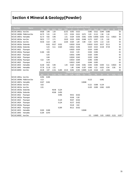|                               |             |            |                  |           |                                |            | <b>Chemical Composition (Percent)</b> |                   |        |        |                   |            |                  |          | <b>Unit Size</b> |
|-------------------------------|-------------|------------|------------------|-----------|--------------------------------|------------|---------------------------------------|-------------------|--------|--------|-------------------|------------|------------------|----------|------------------|
| Number                        | <b>Name</b> | <b>TFe</b> | SiO <sub>2</sub> | $Al_2O_3$ | <b>MnO</b>                     | FeO        | P.                                    | S.                | Cu.    | $K_2O$ | Na <sub>2</sub> O | <b>MgO</b> | $\overline{CaO}$ | Ni.      | (in g)           |
| NCS DC 14001a Iron Ore        |             | 64.88      | 3.48             | 1.59      |                                | (0.37)     | 0.055                                 | 0.015             |        | 0.085  | 0.012             | 0.044      | 0.080            |          | 50               |
| NCS DC 14004b Pellet Iron Ore |             | 62.79      | 5.31             | 1.32      |                                | 0.72       | 0.016                                 | 0.012             | 0.071  | 0.25   | 0.112             | 1.58       | 1.16             |          | 50               |
| NCS DC 14007a Hematite        |             | 61.73      | 9.82             | 0.48      |                                | 1.51       | 0.024                                 | 0.036             | 0.061  | 0.056  | 0.0056            | 0.055      | 0.11             | 0.0023   | 50               |
| NCS DC 14010a Iron Ore        |             | 58.52      | 7.77             | 2.71      |                                | 19.03      | 0.019                                 | 0.092             | 0.048  | 0.272  | 0.057             | 1.31       | 1.82             |          | 50               |
| NCS DC 14013a Iron Ore        |             | 55.56      | 8.10             | 1.98      |                                | 22.60      | 0.029                                 | 1.84              | 0.40   | 0.33   | 0.075             | 2.13       | 3.33             |          | 50               |
| NCS DC 14019a Dolomite        |             |            | 0.021            | 0.017     | 0.032                          |            | 0.0010                                | 0.018             |        | 0.0010 | 0.023             | 20.37      | 32.11            |          | 50               |
| NCS DC 14020a Dolomite        |             |            | 0.25             | 0.11      | 0.020                          |            | 0.0012                                | 0.046             |        | 0.019  | 0.015             | 15.38      | 37.59            |          | 50               |
| <b>NCS DC 14022</b>           | Fluorspar   |            | 4.72             |           |                                |            | 0.0025                                | 0.029             |        | 0.019  | 0.005             |            |                  |          | 65               |
| <b>NCS DC 14022a</b>          | Fluorspar   | 0.166      | 3.06             |           |                                |            | 0.014                                 | 0.35              |        | 0.026  | 0.006             |            |                  |          | 65               |
| <b>NCS DC 14023</b>           | Fluorspar   |            | 8.35             |           |                                |            | 0.0031                                | 0.090             |        | 0.026  | 0.005             |            |                  |          | 65               |
| <b>NCS DC 14024</b>           | Fluorspar   |            | 6.84             |           |                                |            | 0.0024                                | 0.043             |        | 0.029  | 0.006             |            |                  |          | 65               |
| NCS DC 14024a                 | Fluorspar   | 0.22       | 5.44             |           |                                |            | 0.0014                                | 0.009             |        | 0.040  | 0.006             |            |                  |          | 65               |
| <b>NCS DC 14025</b>           | Fluorspar   |            | 14.15            |           |                                |            | 0.0013                                | 0.045             |        | 0.044  | 0.005             |            |                  |          | 65               |
| <b>NCS DC 14033</b>           | Hematite    | 61.68      | 9.82             | 0.48      |                                | 1.43       | 0.024                                 | 0.036             | 0.061  | 0.055  | 0.006             | 0.054      | 0.11             | 0.0023   | 50               |
| <b>NCS DC 14043</b>           | Hematite    | 57.78      | 11.18            | 1.52      |                                |            | 1.48                                  | 0.046             | 0.187  | 0.066  | 0.22              | 0.023      | 0.54             | 0.56     | 50               |
| NCS DC14005C Iron Ore         |             | 64.38      | 3.97             | 1.311     | 0.269                          | 25.33      | 0.042                                 | 0.353             | 0.0005 | 0.134  | 0.018             | 1.33       | 1.052            |          | 50               |
|                               |             |            |                  |           |                                |            | Chemical Composition(Percent)         |                   |        |        |                   |            |                  |          |                  |
|                               |             | Mn         | TI.              | L.O.      | Fe <sub>2</sub> O <sub>3</sub> | <b>SrO</b> | CaF <sub>2</sub>                      | CaCO <sub>2</sub> | Co     | TiO-   | <b>Pb</b>         | Zn         | As               | $V_2O_5$ | $Cr_2O_3$        |
| NCS DC 14001a Iron Ore        |             | 0.056      | 0.044            |           |                                |            |                                       |                   |        |        |                   |            |                  |          |                  |
| NCS DC 14004b Pellet Iron Ore |             | 0.13       |                  |           |                                |            |                                       |                   |        | 0.113  |                   | 0.042      |                  |          |                  |
| NCS DC 14007a Hematite        |             | 0.027      | 0.041            |           |                                |            |                                       |                   | 0.0048 |        |                   |            |                  |          |                  |
| NCS DC 14010a Iron Ore        |             | 0.63       |                  |           |                                |            |                                       |                   |        | 0.121  | 0.008             | 0.134      |                  |          |                  |
| NCS DC 14013a Iron Ore        |             | 0.31       |                  |           |                                |            |                                       |                   |        | 0.103  | 0.009             | 0.062      | 0.035            |          |                  |
| NCS DC 14019a Dolomite        |             |            |                  | 46.98     | 0.224                          |            |                                       |                   |        |        |                   |            |                  |          |                  |
| NCS DC 14020a Dolomite        |             |            |                  | 45.88     | 0.459                          |            |                                       |                   |        |        |                   |            |                  |          |                  |
| <b>NCS DC 14022</b>           | Fluorspar   |            |                  |           | 0.096                          |            | 94.91                                 | (0.02)            |        |        |                   |            |                  |          |                  |
| NCS DC 14022a                 | Fluorspar   |            |                  |           |                                |            | 93.68                                 | 0.30              |        |        |                   |            |                  |          |                  |
| <b>NCS DC 14023</b>           | Fluorspar   |            |                  |           | 0.124                          |            | 90.87                                 | (0.02)            |        |        |                   |            |                  |          |                  |
| <b>NCS DC 14024</b>           | Fluorspar   |            |                  |           | 0.124                          |            | 92.57                                 | (0.02)            |        |        |                   |            |                  |          |                  |
| <b>NCS DC 14024a</b>          | Fluorspar   |            |                  |           |                                |            | 93.28                                 | 0.62              |        |        |                   |            |                  |          |                  |
| <b>NCS DC 14025</b>           | Fluorspar   |            |                  |           | 0.209                          |            | 85.21                                 | (0.02)            |        |        |                   |            |                  |          |                  |
| <b>NCS DC 14033</b>           | Hematite    | 0.026      | 0.048            |           |                                |            |                                       |                   | 0.0048 |        |                   |            |                  |          |                  |
| <b>NCS DC 14043</b>           | Hematite    | 0.104      | 0.070            |           |                                |            |                                       |                   |        |        |                   |            |                  |          |                  |
| NCS DC14005C Iron Ore         |             |            |                  |           |                                |            |                                       |                   |        | 0.5    | 0.0005            | 0.03       | $0.0023$ $0.221$ |          | 0.037            |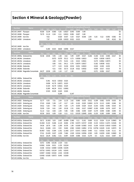| <b>Number</b>                                      | Name                                | CaF <sub>2</sub> | SiO <sub>2</sub>                      | CaCO <sub>2</sub>           | S.                             | P.           | K-O        | <b>Chemical Composition (Percent)</b><br>Na <sub>2</sub> O | TFe           | $Al_2O_3$        | FeO              | TiO <sub>2</sub> |                      | CaO               | <b>Unit Size</b> |
|----------------------------------------------------|-------------------------------------|------------------|---------------------------------------|-----------------------------|--------------------------------|--------------|------------|------------------------------------------------------------|---------------|------------------|------------------|------------------|----------------------|-------------------|------------------|
| <b>NCS DC 14047</b>                                |                                     | 65.80            | 31.04                                 | 0.060                       | 0.26                           | 0.0027       | 0.093      | 0.009                                                      | 0.49          |                  |                  |                  | MgO                  |                   | (in g)<br>65     |
|                                                    | Fluospor                            | 76.79            | 21.10                                 | 0.34                        |                                | 0.0021       | 0.081      | 0.007                                                      | 0.40          |                  |                  |                  |                      |                   | 65               |
| <b>NCS DC 14048</b>                                | Fluospor                            |                  |                                       |                             | 0.11                           |              |            |                                                            |               |                  |                  |                  |                      |                   | 65               |
| <b>NCS DC 14049</b>                                | Iron Ore                            |                  | 4.62                                  |                             | 0.020                          | 0.037        | 0.33       | 0.027                                                      | 63.86         | 2.04             | 0.25             | 0.12             | 0.056                | 0.082             |                  |
| <b>NCS DC 14050</b>                                | Limestone                           |                  | 7.97                                  |                             | 0.039                          | 0.0033       | 0.021      | 0.015                                                      |               | 0.36             |                  |                  | 9.45                 | 42.62             | 50               |
|                                                    |                                     | Mn               | Fe <sub>2</sub> O <sub>3</sub>        | MnO                         | L.O.                           | m            | Sr         |                                                            |               |                  |                  |                  |                      |                   |                  |
| <b>NCS DC 14049</b>                                | Iron Ore                            | 0.17             |                                       |                             |                                |              |            |                                                            |               |                  |                  |                  |                      |                   |                  |
| <b>NCS DC 14050</b>                                | Limestone                           |                  | 0.260                                 | 0.015                       | 38.80                          | 0.0096       | 0.017      |                                                            |               |                  |                  |                  |                      |                   |                  |
|                                                    |                                     |                  |                                       |                             |                                |              |            | <b>Chemical Composition (Percent)</b>                      |               |                  |                  |                  |                      |                   | <b>Unit Size</b> |
| <b>Number</b>                                      | Name                                | TFe              | FeO                                   | SiO <sub>2</sub>            | $Al_2O_3$                      | CaO          | MgO        | MnO                                                        | P.            | TiO <sub>2</sub> | $S_{-}$          | $K_2O$           | Na <sub>2</sub> O    | Cu                | (in g)           |
| NCS DC 14009a Sintered Ore                         |                                     | 55.58            | 20.06                                 | 9.95                        | 2.38                           | 3.62         | 5.99       | 0.097                                                      | 0.017         | 0.266            | 0.106            | 0.316            | 0.068                | 0.017             | 50               |
| NCS DC 14014b Limestone                            |                                     |                  |                                       | 0.073                       | 0.079                          | 55.12        | 0.73       | 0.0058                                                     | 0.0013        |                  | 0.010            | 0.0030 0.0075    |                      |                   | 50               |
| NCS DC 14015b Limestone                            |                                     |                  |                                       | 2.06                        | 0.74                           | 51.41        | 2.31       | 0.013                                                      | 0.0021        |                  | 0.273            | 0.0062 0.0073    |                      |                   | 50               |
| NCS DC 14017b Limestone                            |                                     |                  |                                       | 0.85                        | 0.61                           | 54.11        | 0.79       | 0.0074 0.0017                                              |               |                  | 0.182            | 0.0038           | 0.021                |                   | 50               |
| NCS DC 14018b Dolomite                             |                                     |                  |                                       | 0.77                        | 0.23                           | 31.96        | 19.92      | 0.031                                                      | 0.0023        |                  | 0.010            | 0.030            | 0.033                |                   | 70               |
| NCS DC 14020b Dolomite                             |                                     |                  |                                       | 4.21                        | 0.92                           | 35.73        | 15.28      | 0.022                                                      | 0.0032        |                  | 0.030            | 0.017            | 0.015                |                   | 70               |
|                                                    | NCS DC 14028d Magnetite Concentrate | 64.37            | 20.96                                 | 2.95                        | 1.10                           | 1.17         | 1.30       |                                                            | 0.013         |                  | 0.371            | 0.036            | 0.017                |                   | 100              |
|                                                    |                                     |                  |                                       |                             |                                |              |            |                                                            |               |                  |                  |                  |                      |                   |                  |
|                                                    |                                     | Z <sub>n</sub>   | Fe <sub>2</sub> O <sub>3</sub>        | L.O.                        | -Ti                            | <b>Sr</b>    | Mn         |                                                            |               |                  |                  |                  |                      |                   |                  |
| NCS DC 14009a Sintered Ore                         |                                     | 0.011            |                                       |                             |                                |              |            |                                                            |               |                  |                  |                  |                      |                   |                  |
| NCS DC 14014b Limestone                            |                                     |                  | 0.341                                 | 43.53                       | 0.0010                         | 0.025        |            |                                                            |               |                  |                  |                  |                      |                   |                  |
| NCS DC 14015b Limestone                            |                                     |                  | 0.838                                 | 41.79                       | 0.0071                         | 0.023        |            |                                                            |               |                  |                  |                  |                      |                   |                  |
| NCS DC 14017b Limestone                            |                                     |                  | 0.319                                 | 42.79                       | 0.0021                         | 0.024        |            |                                                            |               |                  |                  |                  |                      |                   |                  |
| NCS DC 14018b Dolomite                             |                                     |                  | 0.269                                 | 46.24                       | 0.011                          | 0.0081       |            |                                                            |               |                  |                  |                  |                      |                   |                  |
| NCS DC 14020b Dolomite                             |                                     |                  | 0.533                                 | 42.69                       | 0.025                          | 0.026        |            |                                                            |               |                  |                  |                  |                      |                   |                  |
|                                                    |                                     |                  |                                       |                             |                                |              |            |                                                            |               |                  |                  |                  |                      |                   |                  |
|                                                    |                                     |                  |                                       |                             | 0.294                          |              | 0.147      |                                                            |               |                  |                  |                  |                      |                   |                  |
|                                                    | NCS DC 14028d Magnetite Concentrate |                  |                                       |                             |                                |              |            | <b>Chemical Composition(Percent)</b>                       |               |                  |                  |                  |                      |                   | <b>Unit Size</b> |
| <b>Number</b>                                      | Name                                | <b>TFe</b>       | <b>FeO</b>                            | SiO <sub>2</sub>            | Al <sub>2</sub> O <sub>3</sub> | CaO          | <b>MgO</b> | P.                                                         | S.            | Cu.              | Mn               | TL.              | K <sub>2</sub> O     | Na <sub>2</sub> O | (in g)           |
| <b>NCS DC 14202</b>                                | Sintering ore                       | 52.77            | 6.55                                  | 7.51                        | 2.54                           | 11.33        | 2.02       | 0.060                                                      | 0.033         | 0.012            | 0.199            | 0.062            | 0.078                | 0.033             | 50               |
| <b>NCS DC 14203</b>                                | Sintering ore                       | 57.63            | 10.80                                 | 5.38                        | 1.37                           | 8.17         | 1.65       | 0.102                                                      | 0.025         | 0.0063           | 0.174            | 0.113            | 0.065                | 0.046             | 50               |
| <b>NCS DC 14204</b>                                | Sintering ore                       | 54.62            | 9.26                                  | 7.94                        | 1.49                           | 9.29         | 1.74       | 0.039                                                      | 0.024         | 0.014            | 0.193            | 0.092            | 0.046                | 0.019             | 50               |
| <b>NCS DC 14205</b>                                | Sintering ore                       | 53.99            | 9.34                                  | 6.61                        | 2.69                           | 10.28        | 2.31       | 0.061                                                      | 0.017         | 0.0087           | 0.190            | 0.099            | 0.078                | 0.037             | 50               |
| <b>NCS DC 14206</b>                                | Sintering ore                       | 51.13            | 9.22                                  | 8.58                        | 2.44                           | 9.46         | 4.40       | 0.066                                                      | 0.059         | 0.007            | 0.179            | 0.094            | 0.080                | 0.040             | 50               |
| <b>NCS DC 14208</b>                                | Iron Ore                            | 65.56            | 26.01                                 | 6.09                        | 0.28                           | 0.11         | 0.11       |                                                            | 0.0155 0.0045 | 0.001            | 0.135            | 0.283            | 0.009                | 0.006             | 50               |
|                                                    |                                     |                  |                                       |                             |                                |              |            | <b>Chemical Composition (Percent)</b>                      |               |                  |                  |                  |                      |                   | <b>Unit Size</b> |
| <b>Number</b>                                      | <b>Name</b>                         | TFe              | <b>FeO</b>                            | SiO <sub>2</sub>            | $\mathsf{Al}_2\mathsf{O}_3$    | CaO          | <b>MgO</b> | <sub>S</sub>                                               | P.            | MnO              | TiO <sub>2</sub> | $V_2O_5$         | K <sub>2</sub> O     | Na <sub>2</sub> O | (in g)           |
| NCS DC14201a Sintered Ore                          |                                     | 50.71            | 10.363                                | 5.03                        | 1.907                          | 10.899       | 3.366      | 0.11                                                       | 0.161         | 0.669            | 0.112            | 0.024            | 0.114                | 0.0963            | 50               |
| NCS DC14202a Sintered Ore                          |                                     | 53.364           | 9.133                                 | 5.646                       | 2.119                          | 8.606        | 2.783      |                                                            | 0.0373 0.0727 | 0.549            | 0.133            |                  | 0.0313 0.1071 0.0326 |                   | 50               |
| NCS DC14203a Sintered Ore                          |                                     | 54.58            | 18.76                                 | 5.85                        | 1.269                          | 8.578        | 1.98       |                                                            | 0.0269 0.0383 | 0.415            | 0.109            |                  | 0.0319 0.0919 0.0265 |                   | 50               |
| NCS DC14204a Sintered Ore                          |                                     |                  | 54.21 10.606                          | 4.53                        | 0.93                           | 9.604        | 2.965      |                                                            | 0.0443 0.0852 | 0.716            |                  | 0.0756 0.0229    | 0.102                | 0.0973            | 50               |
| NCS DC14205a Sintered Ore                          |                                     | 50.967 7.832     |                                       | 5.504                       | 1.351                          | 11.065       | 2.577      |                                                            | 0.0371 0.0616 | 0.495            | 0.11             | 0.0316           | 0.106                | 0.111             | 50               |
| NCS DC14206a Sintered Ore                          |                                     |                  | 57.61 23.435                          | 3.637                       | 1.039                          | 7.464        | 1.929      |                                                            | 0.0316 0.0956 | 0.505            | 0.09             | 0.0259           | 0.083                | 0.0683            | 50               |
| NCS DC14208a Iron Ore                              |                                     | 66.53            | 26.34                                 | 6.062                       | 0.31                           | 0.097        | 0.039      | 0.008                                                      | 0.015         | 0.279            | 0.5              | 0.231            | 0.015                | 0.007             | 50               |
|                                                    |                                     |                  |                                       |                             |                                |              |            |                                                            |               |                  |                  |                  |                      |                   |                  |
|                                                    |                                     | Cu               | Pb                                    | As                          | Zn                             | $Cr_2O_3$    |            |                                                            |               |                  |                  |                  |                      |                   |                  |
| NCS DC14201a Sintered Ore                          |                                     | 0.072            | 0.046                                 | 0.0136                      | 1.519                          | 0.02         |            |                                                            |               |                  |                  |                  |                      |                   |                  |
| NCS DC14202a Sintered Ore                          |                                     |                  | 0.0581 0.034                          | 0.011                       |                                | 1.155 0.0224 |            |                                                            |               |                  |                  |                  |                      |                   |                  |
| NCS DC14203a Sintered Ore                          |                                     | 0.038            |                                       | 0.0152 0.0084 0.4296 0.0245 |                                |              |            |                                                            |               |                  |                  |                  |                      |                   |                  |
| NCS DC14204a Sintered Ore                          |                                     |                  | 0.0716  0.0431  0.0124  1.651  0.0241 |                             |                                |              |            |                                                            |               |                  |                  |                  |                      |                   |                  |
| NCS DC14205a Sintered Ore                          |                                     |                  | 0.0507 0.0282 0.0102 1.016            |                             |                                | 0.0198       |            |                                                            |               |                  |                  |                  |                      |                   |                  |
| NCS DC14206a Sintered Ore<br>NCS DC14208a Iron Ore |                                     | 0.001            | 0.0436 0.0185 0.0073 0.645 0.0269     |                             |                                |              |            |                                                            |               |                  |                  |                  |                      |                   |                  |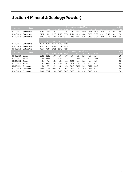| <b>Number</b>      | <b>Name</b>  |           |                |                                |           |           |       | Chemical Composition(Percent)         |        |          |        |          |        |                   | Unit Size |
|--------------------|--------------|-----------|----------------|--------------------------------|-----------|-----------|-------|---------------------------------------|--------|----------|--------|----------|--------|-------------------|-----------|
|                    |              | TFe       | FeO            | SiO <sub>2</sub>               | $Al_2O_3$ | CaO       | MgO   |                                       |        | MnO      | TiO    | $V_2O_6$ | $K_2O$ | Na <sub>2</sub> O | (in g)    |
| <b>NCS DC14217</b> | Sintered Ore | 50.53     | 9.867          | 4.84                           | 1.12      | 10.811    | 4.03  | 0.0474                                | 0.0826 | 0.667    | 0.0758 | 0.0225   | 0.106  | 0.0983            | 50        |
| <b>NCS DC14218</b> | Sintered Ore | 57.57     | 4.8            | 6.293                          | 2.329     | 3.534     | 2.324 | 0.0261                                | 0.0343 | 0.209    | 0.196  | 0.05     | 0.176  | 0.0911            | 50        |
| <b>NCS DC14219</b> | Sintered Ore | 54.63     | 9.305          | 5.03                           | 1.284     | 8.322     | 2.845 | 0.0422                                | 0.07   | 0.588    | 0.102  | 0.0319   | 0.122  | 0.0978            | 50        |
|                    |              |           |                |                                |           |           |       |                                       |        |          |        |          |        |                   |           |
|                    |              | <b>Cu</b> | P <sub>b</sub> | As                             | Zn        | $Cr_2O_3$ |       |                                       |        |          |        |          |        |                   |           |
| NCS DC14217        | Sintered Ore | 0.0698    | 0.0438         | 0.0137                         | 1.483     | 0.0235    |       |                                       |        |          |        |          |        |                   |           |
| <b>NCS DC14218</b> | Sintered Ore | 0.0272    | 0.0113         | 0.0036                         | 0.117     | 0.0193    |       |                                       |        |          |        |          |        |                   |           |
| <b>NCS DC14219</b> | Sintered Ore | 0.0647    | 0.0376         | 0.011                          | 1.242     | 0.0231    |       |                                       |        |          |        |          |        |                   |           |
|                    |              |           |                |                                |           |           |       | <b>Chemical Composition (Percent)</b> |        |          |        |          |        |                   | Unit Size |
| <b>Number</b>      | <b>Name</b>  | SiO,      | $Al_2O_3$      | Fe <sub>2</sub> O <sub>2</sub> | CaO       | MgO       | K,O   | Ja-O                                  | TiO    | $P_2O_5$ | L.O.   |          |        |                   | (in g)    |
| NCS DC14220        | Bauxite      | 26.56     | 63.53          | 1.97                           | 0.98      | 1.93      | 0.35  | 0.21                                  | 2.59   | 0.26     | 1.39   |          |        |                   | 50        |
| INCS DC14221       | Bauxite      | 10.07     | 83.61          | 1.71                           | 0.45      | 0.18      | 0.2   | 0.036                                 | 3.27   | 0.22     | 0.098  |          |        |                   | 50        |
| <b>NCS DC14222</b> | Bauxite      | 6.01      | 87.5           | 1.61                           | 0.58      | 0.12      | 0.087 | 0.15                                  | 3.14   | 0.13     | 0.61   |          |        |                   | 50        |
| <b>NCS DC14223</b> | Bauxite      | 6.97      | 88.34          | 1.24                           | 0.29      | 0.4       | 0.078 | 0.28                                  | 1.57   | 0.11     | 0.66   |          |        |                   | 50        |
| <b>NCS DC14224</b> | Corundum     | 0.68      | 96             | 0.21                           | 0.31      | 0.28      | 0.048 | 0.014                                 | 2.28   | 0.024    | (0.04) |          |        |                   | 50        |
| <b>NCS DC14225</b> | Corundum     | 0.061     | 99.04          | 0.043                          | 0.029     | 0.012     | 0.002 | 0.45                                  | 0.024  | 0.016    | 0.29   |          |        |                   | 50        |
| NCS DC14226        | Corundum     | 0.061     | 99.02          | 0.04                           | 0.028     | 0.013     | 0.003 | 0.43                                  | 0.02   | 0.013    | 0.34   |          |        |                   | 50        |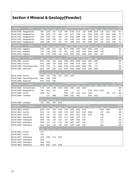| <b>Number</b>              | <b>Name</b>                      | <b>TFe</b>       | SiO <sub>2</sub>  | $Al_2O_3$                      | CaO        | <b>MgO</b>      | P        | <b>Chemical Composition (Percent)</b><br>S. | K <sub>2</sub> O | Na <sub>2</sub> O | <b>TMn</b>        | TiO <sub>2</sub> | MnO <sub>2</sub> | As                 | <b>Unit Size</b><br>(in g) |
|----------------------------|----------------------------------|------------------|-------------------|--------------------------------|------------|-----------------|----------|---------------------------------------------|------------------|-------------------|-------------------|------------------|------------------|--------------------|----------------------------|
| <b>NCS DC 14209</b>        | Manganese Ore                    | 8.83             | 21.83             | 5.57                           | 12.70      | 0.60            | 0.199    | 0.115                                       | 1.04             | 0.046             | 18.26             | 0.20             | 25.41            | 0.031              | 50                         |
| <b>NCS DC 14210</b>        | Manganese Ore                    | 9.66             | 28.05             | 7.47                           | 2.46       | 1.67            | 0.171    | 0.100                                       | 1.11             | 0.061             | 22.09             | 0.26             | 30.28            | 0.034              | 50                         |
| <b>NCS DC 14211</b>        | Manganese Ore                    | 10.96            | 21.85             | 6.91                           | 2.30       | 0.74            | 0.163    | 0.084                                       | 0.99             | 0.059             | 26.25             | 0.24             | 36.87            | 0.051              | 50                         |
| <b>NCS DC 14212</b>        | Manganese Ore                    | 10.16            | 19.80             | 6.48                           | 1.87       | 0.65            | 0.149    | 0.079                                       | 0.86             | 0.058             | 29.40             | 0.22             | 42.13            | 0.059              | 50                         |
|                            |                                  |                  |                   |                                |            |                 |          | 0.053                                       |                  |                   |                   |                  |                  |                    | 50                         |
| <b>NCS DC 14213</b>        | Manganese Ore                    | 10.28            | 13.04             | 3.77                           | 2.47       | 0.75            | 0.104    | <b>Chemical Composition(Percent)</b>        | 0.40             | 0.056             | 35.71             | 0.14             | 53.06            | 0.107              | <b>Unit Size</b>           |
| <b>Number</b>              | Name                             | SiO <sub>2</sub> | $Al_2O_3$         | Fe <sub>2</sub> O <sub>2</sub> | CaO        | <b>MgO</b>      | $P_2O_5$ | <b>MnO</b>                                  | $K_2O^*$         | Na <sub>2</sub> O | TiO <sub>2</sub>  | L.O.             |                  |                    | (in g)                     |
| <b>NCS DC 14214</b>        | Magnesia                         | 0.595            | 0.507             | 0.53                           | 1.24       | 96.75           | 0.058    | 0.052                                       | 0.005            | 0.025             | 0.019             | 0.19             |                  |                    | 50                         |
| <b>NCS DC 14215</b>        | Magnesia                         | 2.09             | 0.26              | 0.819                          | 1.63       | 94.1            | 0.125    | 0.052                                       | 0.005            | 0.009             | 0.018             | 0.89             |                  |                    | 50                         |
| <b>NCS DC 14216</b>        | Magnesia                         | 6.55             | 0.714             | 0.799                          | 2.42       | 87.26           | 0.037    | 0.051                                       | 0.009            | 0.034             | 0.027             | 2.07             |                  |                    | 50                         |
|                            |                                  |                  |                   |                                |            |                 |          | <b>Chemical Composition (Percent)</b>       |                  |                   |                   |                  |                  |                    | <b>Unit Size</b>           |
| <b>Number</b>              | <b>Name</b>                      | <b>TFe</b>       | SiO <sub>2</sub>  | $Al_2O_3$                      | <b>MnO</b> | P.              | S.       | Cu.                                         | TiO <sub>2</sub> | <b>MgO</b>        | CaO               |                  |                  |                    | (in g)                     |
| <b>NCS DC 15001</b>        | Iron Ore                         | 62.52            | 4.88              | 2.66                           | 0.061      | 0.056           |          | 0.0152 0.0016                               | 0.104            | 0.044             | 0.023             |                  |                  |                    | 100                        |
| NCS DC 15002a Iron Ore     |                                  | 55.81            | 13.00             | 1.93                           | 0.026      | 0.011           | 0.469    | 0.134                                       | 0.083            | 0.36              | 1.10              |                  |                  |                    | 50                         |
|                            | NCS DC 15004 Zhao-Cheng Iron Ore | 47.86            | 27.95             | 1.12                           | 0.082      | 0.032           | 0.235    | 0.0023                                      | 0.068            | 0.96              | 1.72              |                  |                  |                    | 100                        |
| NCS DC 15005 Import Iron   |                                  | 62.36            | 4.69              | 2.56                           | 0.112      | 0.073           | 0.022    | 0.0019                                      | 0.113            | 0.062             | 0.050             |                  |                  |                    | 100                        |
|                            |                                  |                  |                   |                                |            |                 |          |                                             |                  |                   |                   |                  |                  |                    |                            |
|                            |                                  | K <sub>2</sub> O | Na <sub>2</sub> O | Fe <sub>O</sub>                | As         | <b>Pb</b>       | Zn       |                                             |                  |                   |                   |                  |                  |                    |                            |
| NCS DC 15002a Iron Ore     |                                  | 0.433            | 0.33              | 1.86                           | 0.23       | 0.319           | 0.161    |                                             |                  |                   |                   |                  |                  |                    |                            |
|                            | NCS DC 15004 Zhao-Cheng Iron Ore | 0.062            | 0.043             | 21.99                          |            |                 |          |                                             |                  |                   |                   |                  |                  |                    |                            |
| <b>NCS DC 15005</b>        | Import Iron                      | 0.015            | 0.015             | 0.48                           |            |                 |          |                                             |                  |                   |                   |                  |                  |                    |                            |
|                            |                                  |                  |                   |                                |            |                 |          | <b>Chemical Composition (Percent)</b>       |                  |                   |                   |                  |                  | Acid               | <b>Unit Size</b>           |
| <b>Number</b>              | <b>Name</b>                      | TFe              | SiO <sub>2</sub>  | $\mathsf{Al}_2\mathsf{O}_3$    | Mn         | P               | S.       | <b>MgO</b>                                  | <b>FeO</b>       | CaO               | MnO               | TMn              |                  | $B_2O_3$ insoluble | (in g)                     |
| <b>NCS DC 16002</b>        | Iron Concentrate                 | 71.79            | 0.36              | 0.069                          | 0.053      | 0.0022          | 0.055    | 0.038                                       | 28.69            |                   |                   |                  |                  |                    | 100                        |
| <b>NCS DC 16004</b>        | Manganese ore                    | 3.65             | 10.76             | 1.21                           |            | 0.314           |          | 1.11                                        |                  | 15.95             | 44.24             | 30.16            |                  |                    | 60                         |
| <b>NCS DC 16005</b>        | Iron ore                         | 52.98            | 4.51              |                                |            | 0.016           | 1.242    | 11.64                                       | 26.13            | 0.149             |                   |                  | 5.65             | 4.72               | 100                        |
| <b>NCS DC 16006</b>        | Limestone                        |                  | 3.72              | 0.885                          |            | 0.0054          | 0.101    | 4.55                                        |                  | 65.20             | 0.013             |                  |                  |                    | 15                         |
|                            |                                  |                  |                   |                                |            |                 |          |                                             |                  |                   |                   |                  |                  |                    |                            |
|                            |                                  | K <sub>2</sub> O | Na <sub>2</sub> O | Fe <sub>2</sub> O <sub>3</sub> | L.O.       |                 |          |                                             |                  |                   |                   |                  |                  |                    |                            |
| <b>NCS DC 16006</b>        | Limestone                        | 0.19             | 0.021             | 0.46                           | 25.06      |                 |          |                                             |                  |                   |                   |                  |                  |                    |                            |
| <b>Number</b>              | <b>Name</b>                      |                  |                   |                                |            |                 |          | <b>Chemical Composition (Percent)</b>       |                  |                   |                   |                  |                  |                    | <b>Unit Size</b>           |
|                            |                                  | <b>TFe</b>       | SiO <sub>2</sub>  | $\mathsf{Al}_2\mathsf{O}_3$    | <b>MnO</b> | Fe <sub>O</sub> | P.       | S.                                          | TiO <sub>2</sub> | $K_2O$            | Na <sub>2</sub> O | <b>MgO</b>       | CaO              |                    | (in g)                     |
| <b>NCS DC 18011</b>        | Iron Ore                         | 61.80            | 4.52              | 3.05                           | 0.170      | 0.30            | 0.076    | 0.022                                       | 0.134            |                   |                   | 0.102            | 0.051            |                    | 100                        |
| <b>NCS DC 18012</b>        | Iron Ore                         | 55.51            | 7.62              | 5.54                           | 0.455      | 9.04            | 0.376    | 0.023                                       | 0.129            | 0.069             |                   | 0.67             | 0.42             |                    | 100                        |
| <b>NCS DC 18014</b>        | Iron Ore                         | 65.87            | 3.15              | 1.39                           | 0.042      | 0.43            | 0.073    | 0.021                                       | 0.061            | 0.197             |                   | 0.023            |                  |                    | 100                        |
| <b>NCS DC 18017</b>        | Sintering ore                    | 48.44            | 8.40              | 2.98                           | 0.81       | 11.17           | 0.065    | 0.155                                       | 0.23             |                   |                   | 2.32             |                  |                    | 100                        |
| <b>NCS DC 18018</b>        | Sintering ore                    | 54.90            | 5.81              | 2.34                           | 0.29       | 7.87            | 0.064    | 0.036                                       | 0.50             |                   |                   | 2.41             |                  |                    | 100                        |
| NCS DC 18019 Sintering ore |                                  | 54.03            | 6.11              | 2.57                           | 0.70       | 7.98            | 0.073    | 0.027                                       | 0.24             |                   |                   | 2.71             |                  |                    | 100                        |
| NCS DC 18020 Sintering ore |                                  | 41.81            | 10.21             | 3.23                           | 1.80       | 21.87           | 0.159    | 0.302                                       | 0.50             |                   |                   | 4.85             |                  |                    | 100                        |
|                            |                                  |                  |                   |                                |            |                 |          |                                             |                  |                   |                   |                  |                  |                    |                            |
|                            |                                  | CaO              | As                | Zn                             | <b>Pb</b>  |                 |          |                                             |                  |                   |                   |                  |                  |                    |                            |
| NCS DC 18014 Iron Ore      |                                  | 0.15             |                   |                                |            |                 |          |                                             |                  |                   |                   |                  |                  |                    |                            |
| NCS DC 18015 Iron Ore      |                                  | 9.25             |                   |                                |            |                 |          |                                             |                  |                   |                   |                  |                  |                    |                            |
| NCS DC 18017 Sintering ore |                                  | 15.52            | 0.030             | 0.13                           | 0.061      |                 |          |                                             |                  |                   |                   |                  |                  |                    |                            |
| NCS DC 18018 Sintering ore |                                  | 10.36            |                   |                                |            |                 |          |                                             |                  |                   |                   |                  |                  |                    |                            |
| NCS DC 18019 Sintering ore |                                  | 10.50            | 0.021             |                                |            |                 |          |                                             |                  |                   |                   |                  |                  |                    |                            |
| NCS DC 18020 Sintering ore |                                  | 18.30            |                   | 0.051 0.223 0.208              |            |                 |          |                                             |                  |                   |                   |                  |                  |                    |                            |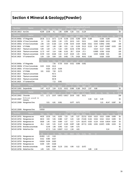|                             |                                     |                  |                  |                  |                   |                               |            |            | <b>Chemical Composition(Percent)</b>  |                |               |         |        |       | <b>Unit Size</b> |
|-----------------------------|-------------------------------------|------------------|------------------|------------------|-------------------|-------------------------------|------------|------------|---------------------------------------|----------------|---------------|---------|--------|-------|------------------|
| <u>Number</u>               | Name                                | <b>TFe</b>       | SiO <sub>2</sub> | $Al_2O_3$        | <b>MnO</b>        | P.                            | TiO.       | <b>MgO</b> | CaO                                   |                |               |         |        |       | $(\text{in } g)$ |
| <b>NCS DC 19013</b>         | Iron Ore                            | 42.89            | 22.08            | 4.1              | 1.66              | 0.099                         | 0.26       | 0.51       | 0.124                                 |                |               |         |        |       | 50               |
|                             |                                     |                  |                  |                  |                   |                               |            |            | <b>Chemical Composition (Percent)</b> |                |               |         |        |       | <b>Unit Size</b> |
| Numb <u>er</u>              | <b>Name</b>                         | SiO <sub>2</sub> | $Al_2O_3$        | CaO              | MgO               | V <sub>2</sub> O <sub>1</sub> | FeO        | <b>MnO</b> | <b>TFe</b>                            | K <sub>0</sub> | $Cr_2O_3$     | P       | S.     | Zn    | (in g)           |
| NCS DC19008a                | V-Ti Magnetite                      | 28.36            | 11.11            | 10.71            | 11.79             | 0.158                         | 13.92      | 0.268      | 18.54                                 | 0.189          |               | 0.108   | 0.285  |       | 100              |
|                             | NCS DC 19003b V-Ti Iron Concentrate | 1.4              | 3.36             | 0.055            | 1.34              | 0.78                          | 26.53      | 0.43       | 59.51                                 |                | 0.042         | 0.0049  | 0.013  | 0.028 | 70               |
|                             | NCS DC 19003c V-Ti-Iron Concentrate | 2.96             | 3.33             | 0.326            | 3.14              | 0.708                         | 33.43      | 0.434      | 56.68                                 | 0.012          | 0.033         | 0.0042  | 0.406  |       | 100              |
| <b>NCS DC 19016</b>         | V-Ti Pellet                         | 6.43             | 3.07             | 1.08             | 1.88              | 0.51                          | 1.01       | 0.199      | 55.23                                 | 0.123          | 0.34          | 0.037   | 0.0087 | 0.033 | 100              |
| <b>NCS DC 19017</b>         | Titanium concentrate                | 5.99             | 1.64             | 1.75             | 5.18              | 0.09                          | 32.56      | 0.709      | 29.12                                 |                | 0.014         | 0.117   | 0.008  |       | 100              |
| <b>NCS DC 19018</b>         | Titanium concentrate                | 11.73            | 4.47             | 3.14             | 6.88              | 0.101                         | 29.7       | 0.524      | 27.3                                  |                | 0.0085        | 0.558   | 0.028  |       | 100              |
| <b>NCS DC 19019</b>         | Titanium concentrate                | 0.578            | 0.53             | 0.028            | 0.32              | 0.137                         | 25.05      | 1.55       | 34.56                                 |                | 0.054         | 0.0048  | 0.01   |       | 100              |
| <b>NCS DC 19020</b>         | V-Ti sintered Ore                   | 5.50             | 3.28             | 9.94             | 3.05              | 0.481                         | 7.76       | 0.426      | 49.42                                 | 0.166          |               | 0.028   | 0.026  |       | 100              |
|                             |                                     |                  |                  |                  |                   |                               |            |            |                                       |                |               |         |        |       |                  |
|                             |                                     | Co               | Ni.              | TiO <sub>2</sub> | Na <sub>2</sub> O | $Co^*$                        | $Cu*$      | $Ni*$      | $Cr^{\star}$                          |                |               |         |        |       |                  |
| NCS DC19008a V-Ti Magnetite |                                     |                  |                  | 7.56             | 0.735             | 0.010                         | 0.012      | 0.008      | 0.002                                 |                |               |         |        |       |                  |
|                             | NCS DC 19003b V-Ti Iron Concentrate | 0.015            | 0.014            | 10.21            |                   |                               |            |            |                                       |                |               |         |        |       |                  |
|                             | NCS DC 19003c V-Ti-Iron Concentrate |                  | 0.025            | 10.25            | 0.036             |                               |            |            |                                       |                |               |         |        |       |                  |
| <b>NCS DC 19016</b>         | V-Ti Pellet                         | 0.01             | 0.021            | 7.69             | 0.173             |                               |            |            |                                       |                |               |         |        |       |                  |
| <b>NCS DC 19017</b>         | Titanium concentrate                |                  |                  | 45.71            |                   |                               |            |            |                                       |                |               |         |        |       |                  |
| <b>NCS DC 19018</b>         | Titanium concentrate                |                  |                  | 33.94            |                   |                               |            |            |                                       |                |               |         |        |       |                  |
| <b>NCS DC 19019</b>         | Titanium concentrate                |                  |                  | 49.78            |                   |                               |            |            |                                       |                |               |         |        |       |                  |
| <b>NCS DC 19020</b>         | V-Ti sintered Ore                   |                  |                  | 7.12             | 0.061             |                               |            |            |                                       |                |               |         |        |       |                  |
| <b>Number</b>               | <b>Name</b>                         | <b>TFe</b>       | SiO <sub>2</sub> | $Al_2O_3$        | <b>MnO</b>        | P.                            | S.         | TiO-       | Chemical Composition(Percent)         | CaO            | L.O.          |         |        |       | <b>Unit Size</b> |
| <b>NCS DC 21001</b>         | Serpentinite                        | 5.47             | 41.37            | 3.34             | 0.131             | 0.012                         | 0.066      | 0.180      | <b>MgO</b><br>34.25                   | 2.97           | 8.86          |         |        |       | (in g)<br>50     |
|                             |                                     |                  |                  |                  |                   |                               |            |            | <b>Chemical Composition (Percent)</b> |                |               |         |        |       | <b>Unit Size</b> |
| Number                      | Name                                | <b>TFe</b>       | SiO <sub>2</sub> | $Al_2O_3$        | P.                | S.                            | <b>MgO</b> | CaO        | $Cr_2O_3$                             | Ca             | $\mathsf{Al}$ | Fe      | Mn     | TL.   | (in g)           |
| <b>NCS DC 25002</b>         | Chromite                            | 9.71             | 11.71            | 10.97            | 0.0072 0.0017     |                               | 20.59      | 0.82       | 36.31                                 |                |               |         |        |       | 100              |
| <b>NCS DC 25007</b>         | Silicon used in                     |                  |                  |                  |                   |                               |            |            |                                       | 0.34           | 0.24          | 0.39    |        |       | 50               |
|                             | Industry                            |                  |                  |                  |                   |                               |            |            |                                       |                |               |         |        |       |                  |
| <b>NCS DC 25008</b>         | Manganese Ores                      |                  | 9.51             | 6.81             | 0.091             |                               | 0.077      | 0.071      |                                       |                |               | 3.21    | 45.47  | 0.087 | 50               |
|                             |                                     | B                |                  |                  |                   |                               |            |            |                                       |                |               |         |        |       |                  |
| <b>NCS DC 25008</b>         | Manganese Ores                      | 0.0018           |                  |                  |                   |                               |            |            |                                       |                |               |         |        |       |                  |
|                             |                                     |                  |                  |                  |                   |                               |            |            | <b>Chemical Composition (Percent)</b> |                |               |         |        |       | <b>Unit Size</b> |
| Number                      | Name                                | TMn              | <b>TFe</b>       | SiO <sub>2</sub> | P.                | CaO                           | <b>MgO</b> | $Al_2O_3$  | MnO <sub>2</sub>                      | m.             | Zn            | Pb.     | Co     | Cu    | (in g)           |
| <b>NCS DC 26701</b>         | Manganese ore                       | 44.95            | 10.50            | 5.41             | 0.033             | 7.53                          | 1.05       | 0.37       | (32.31)                               | 0.010          | 0.013         | 0.013   | 0.008  | 0.009 | 50               |
| <b>NCS DC 26702</b>         | Manganese ore                       | 48.53            | 4.93             | 5.56             | 0.080             | 0.37                          | 0.25       | 3.28       | (72.64)                               | 0.102          | 0.016         | 0.012   | 0.014  | 0.005 | 50               |
| <b>NCS DC 26703</b>         | Manganese ore                       | 58.80            | 1.45             | 5.63             | 0.009             | 0.37                          | 0.17       | 0.74       | (62.07)                               | 0.025          | 0.219         | 0.018   | 0.0014 | 0.024 | 50               |
| <b>NCS DC 26704</b>         | Manganese ore                       | 45.2             | 6.03             | 5.55             | 0.127             | 0.103                         | 0.097      | 6.88       | (67.71)                               | 0.092          | 0.052         | (0.007) | 0.096  | 0.033 | 50               |
|                             | NCS DC 26705 Ilmenite concentrate   |                  | 31.40            | 1.98             | 0.045             | 0.16                          | 0.84       | 0.75       |                                       |                |               |         |        |       | 40               |
| <b>NCS DC 26706</b>         | Nickel Iron Ore                     |                  | 47.72            | 5.16             | 0.0027            | 0.13                          | 2.34       | 4.65       |                                       |                |               |         | 0.14   |       | 25               |
|                             |                                     |                  |                  |                  |                   |                               |            |            |                                       |                |               |         |        |       |                  |
|                             |                                     | Ni.              | $\mathsf{C}$     | S                | TiO <sub>2</sub>  | FeO                           | <b>MnO</b> | $V_2O_5$   | $Cr_2O_3$                             | Mn             | Cr            |         |        |       |                  |
|                             | NCS DC 26701 Manganese ore          | (0.002)          | 1.22             | 0.18             |                   |                               |            |            |                                       |                |               |         |        |       |                  |
| <b>NCS DC 26702</b>         | Manganese ore                       | 0.012            | 0.085            | 0.017            |                   |                               |            |            |                                       |                |               |         |        |       |                  |
|                             | NCS DC 26703 Manganese ore          | 0.0024           | 0.034            | 0.003            |                   |                               |            |            |                                       |                |               |         |        |       |                  |
| <b>NCS DC 26704</b>         | Manganese ore                       | 0.039            | 0.09             | 0.028            |                   |                               |            |            |                                       |                |               |         |        |       |                  |
| <b>NCS DC 26705</b>         | Ilmenite concentrate                |                  | 0.043            | 0.004            | 51.35             | 23.81                         | 0.90       | 0.22       | (0.07)                                |                |               |         |        |       |                  |
|                             | NCS DC 26706 Nickel Iron Ore        | 1.05             | 0.25             | 0.12             |                   |                               |            |            |                                       | 0.89           | 2.34          |         |        |       |                  |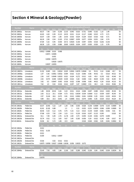| Number               | Name         | TFe              | SiO <sub>2</sub> | $Al_2O_3$        | MnO                                                   | Fe <sub>O</sub> | <b>Chemical Composition</b> (Percent)<br>P. | S.         | TiO <sub>2</sub>  | K <sub>2</sub> O | Na <sub>2</sub> O | <b>MgO</b>                     | CaO               | Mn     | Unit Size        |
|----------------------|--------------|------------------|------------------|------------------|-------------------------------------------------------|-----------------|---------------------------------------------|------------|-------------------|------------------|-------------------|--------------------------------|-------------------|--------|------------------|
| <b>NCS DC 28002a</b> | Iron ore     | 60.37            | 7.40             | 3.54             | 0.236                                                 | 21.03           | 0.043                                       | 0.016      | 0.751             | 0.090            | 0.102             | 1.23                           | 1.49              |        | (in g) l<br>50   |
| <b>NCS DC 28003a</b> | Iron ore     | 62.65            | 4.20             | 0.39             | 0.113                                                 | 24.53           | 0.011                                       | 0.114      | 0.117             | 0.040            | 0.013             | 4.73                           | 0.71              |        | 50               |
| <b>NCS DC 28003b</b> | Iron ore     | 63.07            | 3.38             | 0.64             | 1.08                                                  | 23.93           | 0.016                                       | 0.024      | 0.224             | 0.025            | 0.016             | 4.82                           | 0.71              |        | 50               |
| NCS DC 28005a        | Iron ore     | 66.18            | 2.90             | 0.54             | 0.103                                                 | 27.01           | 0.0067                                      | 0.059      | 0.077             | 0.054            | 0.031             | 2.64                           | 0.74              |        | 50               |
| <b>NCS DC 28005b</b> | Iron ore     | 67.84            | 5.32             | 0.45             | 0.030                                                 | 29.72           | 0.0025                                      | 0.106      | 0.097             | 0.055            | 0.018             | 0.202                          | 0.155             |        | 50               |
| <b>NCS DC 28005c</b> | Iron ore     | 68.38            | 2.25             | 0.58             | 0.086                                                 | 28.80           | 0.0035                                      | 0.034      | 0.057             | 0.050            | 0.026             | 1.15                           | 0.78              |        | 50               |
|                      |              |                  |                  |                  |                                                       |                 |                                             |            |                   |                  |                   |                                |                   |        |                  |
|                      |              | <b>As</b>        | Cu               | Z <sub>n</sub>   | Cr                                                    |                 |                                             |            |                   |                  |                   |                                |                   |        |                  |
| NCS DC 28002a        | Iron ore     |                  | 0.0012 0.0080    | 0.016            | 0.068                                                 |                 |                                             |            |                   |                  |                   |                                |                   |        |                  |
| NCS DC 28003a        | Iron ore     |                  | 0.0071 0.0085    |                  |                                                       |                 |                                             |            |                   |                  |                   |                                |                   |        |                  |
| <b>NCS DC 28003b</b> | Iron ore     |                  |                  | 0.055            |                                                       |                 |                                             |            |                   |                  |                   |                                |                   |        |                  |
| <b>NCS DC 28005a</b> | Iron ore     |                  |                  | 0.0050 0.0070    |                                                       |                 |                                             |            |                   |                  |                   |                                |                   |        |                  |
| <b>NCS DC 28005b</b> | Iron ore     |                  |                  |                  | 0.0020 0.0075                                         |                 |                                             |            |                   |                  |                   |                                |                   |        |                  |
| <b>NCS DC 28005c</b> | Iron ore     |                  |                  | 0.0037 0.0055    |                                                       |                 |                                             |            |                   |                  |                   |                                |                   |        |                  |
|                      |              |                  |                  |                  |                                                       |                 | <b>Chemical Composition (Percent)</b>       |            |                   |                  |                   |                                |                   |        | <b>Unit Size</b> |
| Number               | Name         | SiO <sub>2</sub> | $Al_2O_3$        | <b>MnO</b>       | P                                                     | S               | TiO <sub>2</sub>                            | $K_2O$     | Na <sub>2</sub> O | <b>MgO</b>       | CaO               | Fe <sub>2</sub> O <sub>2</sub> | SrO               | L.O.1  | (in g)           |
| NCS DC 28007a        | Limestone    | 0.132            | 0.045            | 0.01             | 0.0014                                                | 0.025           | 0.0041                                      |            | 0.0076 0.0044     | 0.5              | 55.31             | 0.14                           | 0.048             | 43.7   | 50               |
| <b>NCS DC 28008a</b> | Limestone    | 1.07             | 0.36             | 0.0061           | 0.0032                                                | 0.004           | 0.022                                       | 0.125      | 0.006             | 8.96             | 44.42             | 0.3                            | 0.023             | 44.32  | 50               |
| <b>NCS DC 28009a</b> | Limestone    | 2.56             | 0.47             |                  | 0.0049 0.0033                                         | 0.021           | 0.024                                       | 0.272      | 0.012             | 6.65             | 45.9              | 0.235                          | 0.02              | 43.48  | 50               |
| <b>NCS DC 28009b</b> | Limestone    | 2.92             | 0.473            | 0.004            | 0.0029                                                | 0.034           | 0.022                                       | 0.28       | 0.008             | 4.42             | 48.69             | 0.195                          | 0.02              | 42.85  | 50               |
| <b>NCS DC 28010a</b> | Limestone    | 3.42             | 0.5              | 0.0047           | 0.003                                                 | 0.018           | 0.022                                       | 0.308      | 0.008             | 8.08             | 44.02             | 0.24                           | 0.018             | 43.16  | 50               |
| <b>NCS DC 28011a</b> | Limestone    | 7.62             | 1.9              | 0.02             | 0.016                                                 | 0.012           | 0.097                                       | 0.47       | 0.0083            | 4.51             | 44.3              | 1.01                           | 0.012             | 39.86  | 50               |
|                      |              |                  |                  |                  |                                                       |                 | <b>Chemical Composition(Percent)</b>        |            |                   |                  |                   |                                |                   |        | <b>Unit Size</b> |
| <b>Number</b>        | Name         | SiO <sub>2</sub> | CaO              | <b>MgO</b>       | Fe <sub>2</sub> O <sub>3</sub>                        | $Al_2O_2$       | <b>MnO</b>                                  | P.         | TiO <sub>2</sub>  | <b>SrO</b>       | K <sub>2</sub> O  | Na <sub>2</sub> O              | S.                | L.O.   | (in g)           |
| <b>NCS DC 28012a</b> | Dolomite     | 1.48             | 30.94            | 20.92            | 0.26                                                  | 0.23            | 0.011                                       | 0.014      | 0.008             | 0.007            | 0.085             | 0.012                          | 0.003             | 45.58  | 50               |
| <b>NCS DC 28013a</b> | Dolomite     | 2.65             | 31.12            | 19.1             | 0.504                                                 | 0.73            | 0.011                                       | 0.0034     | 0.034             | 0.0064           | 0.13              | 0.034                          | 0.007             | 45.49  | 50               |
| <b>NCS DC 28014a</b> | Dolomite     | 2.97             | 31.46            | 18.6             | 0.472                                                 | 0.81            | 0.012                                       | 0.0061     | 0.041             | 0.0058           | 0.29              | 0.021                          | 0.019             | 44.94  | 50               |
| <b>NCS DC 28015a</b> | Dolomite     | 4.89             | 33.6             | 15.5             | 0.641                                                 | 1.4             | 0.0085                                      | 0.011      | 0.074             | 0.006            | 0.35              | 0.019                          | 0.013             | 43.24  | 50               |
|                      |              |                  |                  |                  |                                                       |                 | <b>Chemical Composition (Percent)</b>       |            |                   |                  |                   |                                |                   |        | <b>Unit Size</b> |
| <b>Number</b>        | Name         | TFe              | FeO              | SiO <sub>2</sub> | $Al_2O_3$                                             | CaO             | <b>MgO</b>                                  | MnO        | P.                | TiO,             | S.                | K <sub>2</sub> O               | Na <sub>2</sub> O | Cu     | (in g)           |
| <b>NCS DC 28020a</b> | Pellet Ore   | 63.07            | (0.04)           | 5.22             | 1.47                                                  | 1.34            | 0.96                                        | 0.303      | 0.028             | 0.258            | 0.0084            | 0.078                          | 0.103             | 0.0089 | 50               |
| <b>NCS DC 28020b</b> | Pellet Ore   | 61.81            | (0.18)           | 6.88             |                                                       | 1.3             | $\mathbf{1}$                                | 0.31       | 0.032             | 0.251            | 0.0055            | 0.066                          | 0.099             | 0.0089 | 50               |
| NCS DC 28020c        | Pellet Ore   | 60.46            | 0.33             | 6.12             | 0.76                                                  | 0.75            | 5.15                                        | 0.13       | 0.013             | 0.154            | 0.029             | 0.081                          | 0.036             | 0.01   | 50               |
| <b>NCS DC 28021a</b> | Pellet Ore   | 57.88            | 6.53             | 7.92             | 2.54                                                  | 3.15            | 3.11                                        | 0.126      | 0.016             | 0.207            | 0.115             | 0.265                          |                   | 0.018  | 50               |
| <b>NCS DC 28023a</b> | Sintered Ore | 53.1             | 7.49             | 6.49             | 2.76                                                  | 11.78           | 2.69                                        | 0.74       | 0.059             | 0.144            | 0.042             | 0.079                          | 0.049             |        | 50               |
| <b>NCS DC 28023b</b> | Sintered Ore | 53.74            | 8.52             | 7.11             | 3.05                                                  | 9.67            | 3.45                                        | 0.185      | 0.036             | 0.29             | 0.022             | 0.145                          | 0.09              | 0.017  | 50               |
| NCS DC28023c         | Sintered Ore | 53.96            | 8.2              | 5.72             | 1.08                                                  | 13.5            | 3.24                                        |            | 0.018             | 0.064            | 0.062             | 0.05                           | 0.041             | 0.0062 | 50               |
|                      |              |                  |                  |                  |                                                       |                 |                                             |            |                   |                  |                   |                                |                   |        |                  |
|                      |              | Zn               | V                | As               | Pb                                                    | Cr              | $\sqrt{2}$                                  | Co         | Mn                |                  |                   |                                |                   |        |                  |
| NCS DC 28020a        | Pellet Ore   | 0.012            |                  |                  |                                                       |                 |                                             |            |                   |                  |                   |                                |                   |        |                  |
| NCS DC 28020b        | Pellet Ore   | 0.012            | 0.155            |                  |                                                       |                 |                                             |            |                   |                  |                   |                                |                   |        |                  |
| NCS DC 28020c        | Pellet Ore   | 0.012            |                  |                  |                                                       |                 |                                             |            |                   |                  |                   |                                |                   |        |                  |
| <b>NCS DC 28021a</b> | Pellet Ore   | 0.039            |                  |                  | 0.0012 0.0047                                         |                 |                                             |            |                   |                  |                   |                                |                   |        |                  |
| NCS DC 28023a        | Sintered Ore |                  |                  |                  |                                                       |                 |                                             |            |                   |                  |                   |                                |                   |        |                  |
| <b>NCS DC 28023b</b> | Sintered Ore | 0.018            |                  | 0.02             | 0.012                                                 | 0.021           |                                             |            |                   |                  |                   |                                |                   |        |                  |
| <b>NCS DC 28023c</b> | Sintered Ore |                  |                  |                  | 0.0075 0.0058 0.0027 0.0008 0.0036 0.056 0.0033 0.073 |                 |                                             |            |                   |                  |                   |                                |                   |        |                  |
| Number               | Name         |                  |                  |                  |                                                       |                 | <b>Chemical Composition (Percent)</b>       |            |                   |                  |                   |                                |                   |        | <b>Unit Size</b> |
|                      |              | TFe              | FeO              | SiO <sub>2</sub> | $\mathsf{Al}_2\mathsf{O}_3$                           | CaO             | <b>MgO</b>                                  | <b>MnO</b> | P.                | TiO <sub>2</sub> | S.                | K <sub>2</sub> O               | Na <sub>2</sub> O | Cu     | (in g)           |
| <b>NCS DC 28046a</b> | Sintered Ore | 55.49            | 7.93             | 4.85             | 1.84                                                  | 11.66           | 2.83                                        | 0.289      | 0.045             | 0.109            | 0.04              | 0.045                          | 0.034             | 0.0034 | 50               |
|                      |              |                  |                  |                  |                                                       |                 |                                             |            |                   |                  |                   |                                |                   |        |                  |
|                      |              | Z <sub>n</sub>   |                  |                  |                                                       |                 |                                             |            |                   |                  |                   |                                |                   |        |                  |
| NCS DC 28046a        | Sintered Ore | 0.0078           |                  |                  |                                                       |                 |                                             |            |                   |                  |                   |                                |                   |        |                  |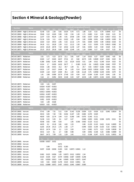| <b>Number</b>          | Name                 | <b>TFe</b> | FeO           | SiO <sub>2</sub> | $Al_2O_3$    | CaO              | MgO        | Chemical Composition(Percent)<br>Ni.                | Cr         | Co    | TiO <sub>2</sub> | Mn               | P                 | S            | <b>Unit Size</b><br>(in g) |
|------------------------|----------------------|------------|---------------|------------------|--------------|------------------|------------|-----------------------------------------------------|------------|-------|------------------|------------------|-------------------|--------------|----------------------------|
| <b>NCS DC 28064</b>    | High Cr, Ni Iron ore | 51.48      | 0.25          | 2.30             | 5.65         | 0.014            | 0.70       | 0.72                                                | 1.80       | 0.10  | 0.15             | 0.70             | 0.0045            | 0.17         | 50                         |
| <b>NCS DC 28065</b>    | High Cr, Ni Iron ore | 39.68      | 0.10          | 10.00            | 9.98         | 0.30             | 2.54       | 1.30                                                | 1.71       | 0.085 | 0.14             | 0.59             | 0.010             | 0.23         | 50                         |
| <b>NCS DC 28066</b>    | High Cr, Ni Iron ore | 12.97      | 0.33          | 46.34            | 1.40         | 0.41             | 19.98      | 2.00                                                | 0.58       | 0.037 | 0.024            | 0.23             | 0.0017            | 0.012        | 50                         |
| <b>NCS DC 28067</b>    | High Cr, Ni Iron ore | 51.36      | 0.26          | 3.11             | 4.16         | 0.022            | 1.05       | 0.94                                                | 2.00       | 0.098 | 0.091            | 0.80             | 0.0055            | 0.095        | 50                         |
| <b>NCS DC 28068</b>    | High Cr, Ni Iron ore | 16.83      | 0.10          | 34.93            | 2.06         | 0.16             | 21.32      | 1.74                                                | 0.81       | 0.064 | 0.043            | 0.40             | 0.0018            | 0.025        | 50                         |
| <b>NCS DC 28069</b>    | High Cr, Ni Iron ore | 34.18      | 0.11          | 18.28            | 2.39         | 0.12             | 12.12      | 1.50                                                | 1.48       | 0.13  | 0.030            | 0.78             | 0.0015            | 0.082        | 50                         |
| <b>NCS DC 28070</b>    | High Cr, Ni Iron ore | 19.43      | 10.20         | 28.78            | 7.10         | 20.02            | 11.58      | 1.07                                                | 0.81       | 0.055 | 0.24             | 0.50             | 0.024             | 0.35         | 50                         |
| <b>NCS DC 28071</b>    | High Cr, Ni Iron ore | 25.15      | 20.15         | 29.18            | 6.68         | 11.80            | 12.48      | 1.41                                                | 1.16       | 0.066 | 0.17             | 0.54             | 0.017             | 0.22         | 50                         |
|                        |                      |            |               |                  |              |                  |            | <b>Chemical Composition (Percent)</b>               |            |       |                  |                  |                   |              | <b>Unit Size</b>           |
| <b>Number</b>          | Name                 | S          | Ni.           | -TI              | <b>TFe</b>   | SiO <sub>2</sub> | $Al_2O_2$  | CaO                                                 | <b>MgO</b> | Cr    | Cu               | Mn               | Co                | Zn           | (in g)                     |
| <b>NCS DC 28072</b>    | Nickel ore           | 2.51       | 5.71          | 0.15             | 23.73        | 21.1             | 3.91       | 6.47                                                | 1.14       | 0.015 | 0.27             | 0.037            | 0.042             | 4.65         | 50                         |
| <b>NCS DC 28073</b>    | Nickel ore           | 0.024      | 1.17          | 0.024            | 18.57        | 37.41            | 2.9        | 0.82                                                | 20.75      | 0.95  | 0.0049           | 0.327            | 0.042             | 0.019        | 50                         |
| <b>NCS DC 28074</b>    | Nickel ore           | 0.288      | 0.892         | 0.145            | 46.99        | 2.52             | 10.29      | 0.033                                               | 0.51       | 1.84  | 0.012            | 0.149            | 0.014             | 0.023        | 50                         |
| <b>NCS DC 28075</b>    | Nickel ore           | 0.014      | 1.7           | 0.039            | 14.92        | 38.77            | 2          | 0.385                                               | 21.05      | 0.8   | 0.0025           | 0.294            | 0.043             | 0.019        | 50                         |
| <b>NCS DC 28076</b>    | Nickel ore           | 0.016      | 1.86          | 0.015            | 15.2         | 34.7             | 1.04       | 0.1                                                 | 25.7       | 0.92  | 0.0017           | 0.282            | 0.065             | 0.021        | 50                         |
| <b>NCS DC 28077</b>    | Nickel ore           | 0.016      | 1.97          | 0.017            | 14.84        | 36               | 1.03       | 0.14                                                | 25.49      | 0.823 | 0.0016           | 0.263            | 0.06              | 0.021        | 50                         |
| <b>NCS DC 28078</b>    | Nickel ore           | 0.034      | 2.18          | 0.027            | 14.89        | 39.2             | 1.59       | 0.46                                                | 21.28      | 0.76  | 0.0058           | 0.254            | 0.055             | 0.079        | 50                         |
| <b>NCS DC 28079</b>    | Nickel ore           | 1.41       | 3.98          | 0.098            | 20.74        | 27.48            | 3.55       | 4.54                                                | 8.67       | 0.364 | 0.169            | 0.147            | 0.041             | 2.85         | 50                         |
| <b>NCS DC 28080</b>    | Nickel ore           | 0.18       | 1.3           | 0.092            | 34.55        | 15.48            | 6.53       | 0.07                                                | 10.54      | 1.38  | 0.0071           | 0.192            | 0.033             | 0.022        | 50                         |
|                        |                      |            |               |                  |              |                  |            |                                                     |            |       |                  |                  |                   |              |                            |
|                        |                      | Pb         | P.            | Cd               |              |                  |            |                                                     |            |       |                  |                  |                   |              |                            |
| <b>NCS DC 28072</b>    | Nickel ore           | 0.04       | 1.61          | 0.047            |              |                  |            |                                                     |            |       |                  |                  |                   |              |                            |
| <b>NCS DC 28073</b>    | Nickel ore           | 0.0024     | < 0.007       | < 0.0015         |              |                  |            |                                                     |            |       |                  |                  |                   |              |                            |
| <b>NCS DC 28074</b>    | Nickel ore           | 0.0023     | 0.03          | < 0.0020         |              |                  |            |                                                     |            |       |                  |                  |                   |              |                            |
| <b>NCS DC 28075</b>    | Nickel ore           | 0.0013     | 0.0043        | < 0.0015         |              |                  |            |                                                     |            |       |                  |                  |                   |              |                            |
| <b>NCS DC 28076</b>    | Nickel ore           | 0.0016     | < 0.007       | < 0.0015         |              |                  |            |                                                     |            |       |                  |                  |                   |              |                            |
| <b>NCS DC 28077</b>    | Nickel ore           | 0.0015     | 0.0043        | < 0.0015         |              |                  |            |                                                     |            |       |                  |                  |                   |              |                            |
| <b>NCS DC 28078</b>    | Nickel ore           | 0.002      | 0.029         | < 0.0015         |              |                  |            |                                                     |            |       |                  |                  |                   |              |                            |
| <b>NCS DC 28079</b>    | Nickel ore           | 0.03       | 1.08          | 0.028            |              |                  |            |                                                     |            |       |                  |                  |                   |              |                            |
| <b>NCS DC 28080</b>    | Nickel ore           | 0.0019     | 0.02          | < 0.0025         |              |                  |            |                                                     |            |       |                  |                  |                   |              |                            |
| <b>Number</b>          | <b>Name</b>          | <b>TFe</b> | FeO           | SiO <sub>2</sub> | $Al_2O_3$    | CaO              | <b>MgO</b> | <b>Chemical Composition (Percent)</b><br><b>MnO</b> | P.         | TiO,  | S                | K <sub>2</sub> O | Na <sub>2</sub> O | As           | <b>Unit Size</b>           |
| <b>NCS DC 28081</b>    | Iron ore             | 57.41      | 1.89          | 7.31             | 5.11         | 0.34             | 0.142      | 0.228                                               | 0.054      | 0.23  | 0.018            | 0.15             | 0.045             | 0.0014       | (in g)<br>50               |
| <b>NCS DC 28082</b>    | Iron ore             | 49.53      | 0.05          | 7.44             | 7.45         | 0.032            | 0.107      | 3.39                                                | 0.083      | 0.370 | 0.029            |                  |                   |              | 50                         |
| NCS DC 28082a Iron ore |                      | 48.00      | 0.05          | 12.74            | 3.44         | 0.15             | 0.268      | 3.40                                                | 0.076      | 0.146 | 0.111            |                  |                   |              | 50                         |
| <b>NCS DC 28082b</b>   | Iron ore             | 51.98      | 0.15          | 9.35             | 3.4          | 0.27             | 0.27       |                                                     | 0.068      | 0.093 | 0.041            | 0.304            | 0.076             | 0.011        | 50                         |
| <b>NCS DC 28083</b>    | Iron ore             | 50.98      | 8.92          | 9.40             | 5.03         |                  | 1.05       | 0.306                                               | 0.963      | 0.125 | 0.112            |                  |                   |              | 50                         |
| <b>NCS DC 28091</b>    | Iron ore             | 44.95      | 0.2           | 13.18            | 3.81         | 4.02             | 1.53       |                                                     | 0.08       | 0.139 | 0.122            | 0.421            | 0.141             | 0.0095       | 50                         |
| NCS DC 28092 Iron ore  |                      | 52.85      | 14.34         | 14.13            | 2.76         | 2.38             | 1.77       |                                                     | 0.049      | 0.635 | 0.144            | 0.333            | 0.33              | 0.0033       | 50                         |
| NCS DC 28093 Iron ore  |                      | 60.15      | 14.74         | 5.34             | 1.2          | 2.23             | 2.63       |                                                     | 0.14       | 0.082 | 0.271            | 0.13             | 0.109             | 0.0028       | 50                         |
| NCS DC 28094 Iron ore  |                      | 54.41      | 3.19          | 8.1              | 2.7          | 0.88             | 0.98       |                                                     | 0.09       | 0.092 | 0.108            | 0.25             | 0.086             | 0.0089       | 50                         |
| NCS DC 28095 Iron ore  |                      | 58.67      | 14.71         | 7.09             | 1.51         | 2.29             | 2.42       |                                                     | 0.12       | 0.198 | 0.247            | 0.172            |                   | 0.151 0.0031 | 50                         |
|                        |                      |            |               |                  |              |                  |            |                                                     |            |       |                  |                  |                   |              |                            |
|                        |                      | Cu         | Zn            | Cr               | $\mathsf{C}$ | P <sub>b</sub>   | V          | Co                                                  | Mn         |       |                  |                  |                   |              |                            |
| NCS DC 28081 Iron ore  |                      |            | 0.0038 0.0027 | 0.032            |              |                  |            |                                                     |            |       |                  |                  |                   |              |                            |
| NCS DC 28082 Iron ore  |                      |            |               |                  | 0.071        |                  |            |                                                     |            |       |                  |                  |                   |              |                            |
| NCS DC 28082a Iron ore |                      |            | 0.49          |                  | 0.072        | 0.283            |            |                                                     |            |       |                  |                  |                   |              |                            |
| NCS DC 28082b Iron ore |                      | 0.037      | 0.028         | 0.0036           | 0.203        | 0.02             |            | 0.0073 0.0041                                       | 1.12       |       |                  |                  |                   |              |                            |
| NCS DC 28083 Iron ore  |                      |            |               |                  | 0.89         |                  |            |                                                     |            |       |                  |                  |                   |              |                            |
| NCS DC 28091 Iron ore  |                      | 0.062      | 0.015         | 0.0056           | 1.05         |                  |            | 0.0073 0.012 0.0052                                 | 1.54       |       |                  |                  |                   |              |                            |
| NCS DC 28092 Iron ore  |                      | 0.014      | 0.034         | 0.027            | 0.474        | 0.0056           |            | 0.087 0.0044 0.248                                  |            |       |                  |                  |                   |              |                            |
| NCS DC 28093 Iron ore  |                      | 0.01       | 0.0026        | 0.0013           | 0.46         | 0.0005           | 0.036      | 0.0073                                              | 0.047      |       |                  |                  |                   |              |                            |
| <b>NCS DC 28094</b>    | Iron ore             | 0.03       | 0.02          | 0.0029           | 0.278        | 0.014            | 0.015      | 0.0051                                              | 0.8        |       |                  |                  |                   |              |                            |
| NCS DC 28095 Iron ore  |                      | 0.011      | 0.0089        | 0.0072           | 0.457        | 0.0015           |            | 0.045 0.0067                                        | 0.085      |       |                  |                  |                   |              |                            |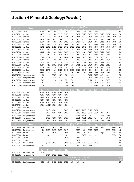| <b>Number</b>       | <b>Name</b>                                   |                     |                  |                                     |                  |             |                   | Chemical Composition(Percent)          |             |               |             |                  |                   |        | <b>Unit Size</b>             |
|---------------------|-----------------------------------------------|---------------------|------------------|-------------------------------------|------------------|-------------|-------------------|----------------------------------------|-------------|---------------|-------------|------------------|-------------------|--------|------------------------------|
| <b>NCS DC 28021</b> | Pellet                                        | <b>TFe</b><br>59.95 | FeO<br>4.20      | SiO <sub>2</sub><br>7.89            | CaO<br>1.75      | MgO<br>1.82 | $Al_2O_3$<br>2.16 | TT.<br>0.084                           | Mn<br>0.113 | P.<br>0.019   | S.<br>0.048 | K <sub>2</sub> O | Na <sub>2</sub> O | Cu     | (in g) $\overline{a}$<br>100 |
| <b>NCS DC 28024</b> | Iron Ore                                      | 61.53               | 0.24             | 3.43                                | 0.118            | 0.109       | 2.12              | 0.052                                  | 0.276       | 0.068         | 0.038       | 0.026            | 0.034             | 0.0014 | 50                           |
| <b>NCS DC 28025</b> | Iron Ore                                      | 62.11               | 0.58             | 2.92                                | 0.021            | 0.101       | 2.06              | 0.051                                  | 0.65        | 0.067         | 0.013       | 0.023            | 0.013             | 0.0018 | 50                           |
| <b>NCS DC 28026</b> | Iron Ore                                      | 62.27               | 0.59             | 4.2                                 | 0.144            | 0.156       | 2.39              | 0.055                                  | 0.17        | 0.078         | 0.02        | 0.023            | 0.024             | 0.0015 | 50                           |
| <b>NCS DC 28027</b> | Iron Ore                                      | 66.34               | 0.07             | 1.02                                | 0.02             | 0.063       | 1.42              | 0.057                                  | 0.48        | 0.034         | 0.0071      | 0.013            | 0.0055            | 0.0085 | 50                           |
| <b>NCS DC 28028</b> | Iron Ore                                      | 66.47               | 0.58             | 1.79                                | 0.028            | 0.091       | 1.36              | 0.046                                  | 0.137       | 0.055         | 0.0066      | 0.014            | 0.005             | 0.0014 | 50                           |
| <b>NCS DC 28029</b> | Iron Ore                                      | 72.01               | 28.63            | 0.158                               | 0.025            | 0.042       | 0.095             | 0.028                                  | 0.043       | 0.0013        | 0.0028      | 0.0068           | 0.0008            | 0.0007 | 70                           |
| <b>NCS DC 28030</b> | Iron Ore                                      | 60.82               | 0.21             | 3.45                                | 0.035            | 0.112       | 2.27              | 0.056                                  | 0.298       | 0.073         | 0.041       | 0.022            | 0.026             |        | 70                           |
| <b>NCS DC 28031</b> | Iron Ore                                      | 61.82               | 0.55             | 2.94                                | 0.024            | 0.085       | 2.26              | 0.054                                  | 0.61        | 0.073         | 0.012       | 0.024            | 0.012             |        | 70                           |
| <b>NCS DC 28032</b> | Iron Ore                                      | 68.29               | 0.24             | 0.85                                | 0.074            | 0.025       | 0.74              | 0.050                                  | 0.096       | 0.028         | 0.0028      | 0.0063           | 0.015             |        | 70                           |
| <b>NCS DC 28034</b> | Iron Ore                                      | 53.42               | 15.27            | 5.22                                | 0.31             | 11.21       | 0.57              | 0.044                                  | 0.065       | 0.018         | 0.192       | 0.086            | 0.25              |        | 70                           |
| <b>NCS DC 28035</b> | Iron Ore                                      | 65.66               | 0.54             | 1.92                                | 0.056            | 0.102       | 1.64              | 0.048                                  | 0.135       | 0.060         | 0.022       | 0.018            | 0.007             |        | 70                           |
| <b>NCS DC 28036</b> | Iron Ore                                      | 59.71               | 0.62             | 5.18                                | 0.317            | 0.233       | 2.76              | 0.066                                  | 0.192       | 0.078         | 0.090       | 0.042            | 0.086             |        | 70                           |
| <b>NCS DC 28037</b> | Iron Ore                                      | 66.54               | 0.21             | 0.962                               | 0.031            | 0.054       | 1.43              | 0.051                                  | 0.482       | 0.034         | 0.0071      | 0.012            | 0.015             |        | 70                           |
| <b>NCS DC 28038</b> | Iron Ore                                      | 55.19               | 6.23             | 6.79                                | 9.19             | 2.22        | 1.83              | 0.123                                  | 0.222       | 0.057         | 0.028       | 0.070            | 0.057             |        | 70                           |
| <b>NCS DC 28039</b> | Iron Ore                                      | 72.02               | 28.78            | 0.14                                | 0.026            | 0.043       | 0.095             | 0.029                                  | 0.043       | 0.0016        | 0.0030      | 0.0064           | 0.0008            |        | 70                           |
| <b>NCS DC 28040</b> | Iron Ore                                      | 58.04               | 3.11             | 5.06                                | 4.41             | 1.17        | 2.04              | 0.084                                  | 0.269       | 0.063         | 0.038       | 0.048            | 0.039             |        | 70                           |
| <b>NCS DC 28041</b> | Manganese Ores                                | 0.85                |                  | 56.03                               | 2.07             | 0.6         | 8.25              |                                        |             | 0.011         | 0.012       | 3.74             | 0.48              |        | 50                           |
| <b>NCS DC 28042</b> | Manganese Ores                                | 10.62               |                  | 24.73                               | 6.2              | 3.14        | 2.8               |                                        |             | 0.074         | 0.044       | 0.83             | 0.049             |        | 50                           |
| <b>NCS DC 28043</b> | Manganese Ores                                | 10.68               |                  | 17.3                                | 1.15             | 0.7         | 6.4               |                                        |             | 0.171         | 0.1         | 0.65             | 0.058             |        | 50                           |
| <b>NCS DC 28044</b> | Manganese Ores                                | 6.9                 |                  | 17.7                                | 3.3              | 1.29        | 2.08              |                                        |             | 0.105         | 0.021       | 0.49             | 0.076             |        | 50                           |
| <b>NCS DC 28045</b> | Manganese Ores                                | 2.75                |                  | 16                                  | 0.195            | 0.182       | 2.35              |                                        |             | 0.23          | 0.0086      | 1.48             | 0.034             |        | 50                           |
|                     |                                               |                     |                  |                                     |                  |             |                   |                                        |             |               |             |                  |                   |        |                              |
|                     |                                               | Co                  | As               | <b>Pb</b>                           | Cr               | Zn          | $B_2O_3$          | <b>TMn</b>                             | MnO         | TiO-          | <b>BaO</b>  | <b>Ni</b>        | $\mathbf{V}$      |        |                              |
| <b>NCS DC 28024</b> | Iron Ore                                      | 0.0009              | 0.0011           | 0.0008                              | 0.0054           | 0.002       |                   |                                        |             |               |             |                  |                   |        |                              |
| <b>NCS DC 28025</b> | Iron Ore                                      | 0.0015              |                  | 0.0011 0.0008 0.0038 0.0026         |                  |             |                   |                                        |             |               |             |                  |                   |        |                              |
| <b>NCS DC 28026</b> | Iron Ore                                      | 0.001               |                  | 0.0013 0.0004 0.0027 0.0026         |                  |             |                   |                                        |             |               |             |                  |                   |        |                              |
| <b>NCS DC 28027</b> | Iron Ore                                      | 0.0009              |                  | 0.0004 0.0013 0.0015 0.0032         |                  |             |                   |                                        |             |               |             |                  |                   |        |                              |
| <b>NCS DC 28028</b> | Iron Ore                                      | 0.0008              |                  | 0.0012 0.0013                       | 0.003            | 0.0044      |                   |                                        |             |               |             |                  |                   |        |                              |
| <b>NCS DC 28029</b> | Iron Ore                                      |                     |                  | 0.0008 0.00012 0.0002 0.0062 0.0026 |                  |             |                   |                                        |             |               |             |                  |                   |        |                              |
| <b>NCS DC 28034</b> | Iron Ore                                      |                     |                  |                                     |                  |             | 3.62              |                                        |             |               |             |                  |                   |        |                              |
| <b>NCS DC 28041</b> | <b>Manganese Ores</b>                         |                     | 0.013            | 0.0025                              |                  | 0.015       |                   | 14.45                                  | 20.66       | 0.177         | 0.064       |                  |                   |        |                              |
| <b>NCS DC 28042</b> | Manganese Ores                                |                     | 0.032            | 0.0066                              | 0.0023           | 0.012       |                   | 22.18                                  | 18.35       | 0.123         | 0.164       | 0.0044 0.0044    |                   |        |                              |
| <b>NCS DC 28043</b> | Manganese Ores                                |                     | 0.089            | 0.11                                | 0.013            | 0.235       |                   | 30.99                                  | 45.61       | 0.215         | 1.11        | 0.083            | 0.019             |        |                              |
| <b>NCS DC 28044</b> | Manganese Ores                                |                     | 0.039            | 0.0083                              | 0.0018           | 0.027       |                   | 36.31                                  | 45.01       | 0.085         | 0.41        | 0.01             | 0.0075            |        |                              |
| <b>NCS DC 28045</b> | Manganese Ores                                |                     | 0.042            | 0.011                               | 0.038            | 0.07        |                   | 44.97<br>Chemical composition(percent) | 67.67       | 0.105         | 0.058       | 0.079            | 0.018             |        | <b>Unit Size</b>             |
| Number              | Name                                          | TFe                 | SiO <sub>·</sub> | Sb                                  | S                | Cu          | MgO               | As                                     | Pb          | $\mathsf{Zn}$ | Bi          | Ag               | WO-               | Sn     | (in g)                       |
|                     | NCS DC 35001 Tin Concentrate                  | 21.33               |                  | 0.024                               | 0.183            |             |                   | 0.574                                  | 2.89        | 0.264         | 0.034       | 0.00255          |                   | 45.80  | 100                          |
|                     | NCS DC 35002 Tin Concentrate                  | 9.53                | 0.930            | 0.016                               | 0.090            | 0.043       |                   | 0.306                                  | 1.62        | 0.120         | 0.020       |                  | 0.182             | 62.49  | 100                          |
| <b>NCS DC 35008</b> | Tin Ore                                       | 22.62               |                  | 0.013                               |                  | 0.037       |                   | 0.084                                  | 2.07        | 0.51          |             | 19.8(g/t)        |                   | 0.125  | 60                           |
| <b>NCS DC 35009</b> | Tin Ore                                       |                     | 4.99             |                                     |                  | 1.09        |                   | 2.17                                   | 0.095       | 1.49          | 1.20        |                  |                   | 0.930  | 60                           |
| NCS DC 35011 Sn Ore |                                               |                     |                  |                                     |                  | 0.077       |                   | 0.046                                  |             |               |             |                  |                   |        | 70                           |
| NCS DC 35012 Sn Ore |                                               |                     |                  |                                     |                  | 0.109       |                   | 0.097                                  |             |               |             |                  |                   |        | 70                           |
|                     | NCS DC 35014 Tin Concentrate                  |                     | (1.10)           | 0.019                               |                  | 0.067       | (0.13)            | 0.414                                  | 2.20        | 0.196         | 0.028       |                  |                   |        | 100                          |
|                     | NCS DC 35015 Manganese Ore                    | 3.97                |                  |                                     |                  | 0.006       |                   | 0.015                                  |             | 0.015 0.0036  |             |                  |                   |        | 80                           |
|                     |                                               |                     |                  |                                     |                  |             |                   |                                        |             |               |             |                  |                   |        |                              |
|                     |                                               | Fe                  | Ni.              | Co                                  | MnO <sub>2</sub> | <b>TMn</b>  |                   |                                        |             |               |             |                  |                   |        |                              |
| <b>NCS DC 35015</b> | NCS DC 35014 Tin Concentrate<br>Manganese Ore | 14.77               | 0.014            | 0.025                               | 68.28            | 49.00       |                   |                                        |             |               |             |                  |                   |        |                              |
|                     |                                               |                     |                  |                                     |                  |             |                   | Chemical composition (percent)         |             |               |             |                  |                   |        | <b>Unit Size</b>             |
| Number              | Name                                          | Zn                  | P <sub>b</sub>   | Fe                                  | Cd               | As          | SiO <sub>2</sub>  | CaO                                    | <b>MgO</b>  |               |             |                  |                   |        | (in g) $-$                   |
| <b>NCS DC 35017</b> | Zinc Concentrate                              | 46.93               | 1.69             | 0.432                               | 0.199            | 0.013       | 6.65              | 2.65                                   | 1.46        |               |             |                  |                   |        | 50                           |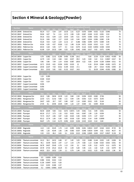|                      |                      |                  |                  |                  |                                |           |            | <b>Chemical Composition(Percent)</b>                                 |                   |         |           |                   |                   |           | <b>Unit Size</b>           |
|----------------------|----------------------|------------------|------------------|------------------|--------------------------------|-----------|------------|----------------------------------------------------------------------|-------------------|---------|-----------|-------------------|-------------------|-----------|----------------------------|
| <b>Number</b>        | Name                 | TFe              | FeO              | SiO <sub>2</sub> | $Al_2O_3$                      | CaO       | MgO        | Mn                                                                   | ш                 | P       | S         | K, O              | Na <sub>2</sub> O |           | (in g)                     |
| <b>NCS DC 28046</b>  | Sintered Ore         | 56.14            | 9.17             | 5.54             | 2.07                           | 10.35     | 2.21       | 0.227                                                                | 0.076             | 0.064   | 0.032     | 0.125             | 0.048             |           | 70                         |
| <b>NCS DC 28047</b>  | Sintered Ore         | 50.04            | 8.07             | 7.6              | 2.11                           | 13.72     | 2.08       | 0.39                                                                 | 0.067             | 0.028   | 0.125     | 0.091             | 0.53              |           | 70                         |
| <b>NCS DC 28048</b>  | Sintered Ore         | 54.16            | 8.52             | 6.04             | 2.23                           | 10.93     | 3.05       | 0.21                                                                 | 0.075             | 0.068   | 0.052     | 0.076             | 0.19              |           | 70                         |
| <b>NCS DC 28049</b>  | Sintered Ore         | 52.16            | 8.06             | 6.92             | 2.17                           | 13.05     | 1.63       | 0.44                                                                 | 0.067             | 0.024   | 0.096     | 0.082             | 0.38              |           | 70                         |
| <b>NCS DC 28050</b>  | Sintered Ore         | 53.26            | 9.53             | 6.24             | 2.24                           | 11.31     | 2.7        | 0.286                                                                | 0.082             | 0.049   | 0.075     | 0.084             | 0.44              |           | 70                         |
| <b>NCS DC 28051</b>  | Pellet Iron Ore      | 63.56            | 0.35             | 4.57             | 0.926                          | 1.12      | 1.48       | 0.134                                                                | 0.071             | 0.018   | 0.015     | 0.13              | 0.07              |           | 70                         |
| <b>NCS DC 28052</b>  | Pellet Iron Ore      | 64.53            | 0.28             | 5.65             | 0.77                           | 0.3       | 0.32       | 0.075                                                                | 0.122             | 0.025   | 0.0053    | 0.038             | 0.054             |           | 70                         |
| <b>NCS DC 28053</b>  | Pellet Iron Ore      | 61.68            | 0.24             | 10.32            | 0.84                           | 0.33      | 0.38       | 0.042                                                                | 0.063             | 0.017   | 0.02      | 0.071             | 0.046             |           | 70                         |
| <b>Number</b>        | Name                 | Cu               | S                | MgO              | As                             | Zn        | Pb.        | <b>Chemical Composition(Percent)</b><br>Ag(g/t)                      | Sb.               | Au(g/t) | Fe        | Mn                | Cd                | Ni.       | <b>Unit Size</b><br>(in g) |
| <b>NCS DC 28054</b>  | Copper Ore           | 6.78             | 0.082            | 12.51            | 0.209                          | 0.456     | 0.106      | 126.1                                                                |                   | 0.05    | 15.39     | 0.124             | 0.0021            | < 0.005   | 50                         |
| <b>NCS DC 28055</b>  | Copper Ore           | 12.79            | 1.54             | 0.18             | 4.68                           | 0.64      | 0.037      | 85.9                                                                 | 0.25              | 0.04    | 3.22      | 0.11              | 0.0067            | 0.017     | 50                         |
| <b>NCS DC 28056</b>  | Copper Ore           | 8.46             | 0.86             | 7.04             | 2.14                           | 0.503     | 0.087      | 109.9                                                                | 0.22              | 0.05    | 10.44     | 0.169             | 0.0064            | 0.011     | 50                         |
| <b>NCS DC 28057</b>  | Copper Concentrate   | 10.71            | 25.05            | 4.01             | 0.034                          | 0.052     | 0.019      | 12                                                                   |                   | 6.16    | 29.34     | 0.084             | < 0.001           | 0.072     | 20                         |
| <b>NCS DC 28058</b>  | Copper Concentrate   | 20.56            | 22.87            | 7.63             | 0.012                          | 0.194     | 0.015      | 17.1                                                                 |                   | 4.68    | 24.7      | 0.013             | < 0.001           | 0.093     | 20                         |
| <b>NCS DC 28059</b>  | Copper Concentrate   | 16.6             | 23.92            | 5.81             | 0.02                           | 0.131     | 0.017      | 14.8                                                                 |                   | 5.1     | 26.39     | 0.044             | < 0.001           | 0.082     | 20                         |
|                      |                      |                  |                  |                  |                                |           |            |                                                                      |                   |         |           |                   |                   |           |                            |
| <b>NCS DC 28054</b>  | Copper Ore           | F.<br>1.15       | Bi.<br>0.283     |                  |                                |           |            |                                                                      |                   |         |           |                   |                   |           |                            |
| <b>NCS DC 28055</b>  |                      | 0.028            | 0.023            |                  |                                |           |            |                                                                      |                   |         |           |                   |                   |           |                            |
| <b>NCS DC 28056</b>  | Copper Ore           | 0.53             | 0.19             |                  |                                |           |            |                                                                      |                   |         |           |                   |                   |           |                            |
| <b>NCS DC 28057</b>  | Copper Ore           | 0.036            |                  |                  |                                |           |            |                                                                      |                   |         |           |                   |                   |           |                            |
| <b>NCS DC 28058</b>  | Copper Concentrate   | 0.056            |                  |                  |                                |           |            |                                                                      |                   |         |           |                   |                   |           |                            |
|                      | Copper Concentrate   | 0.052            |                  |                  |                                |           |            |                                                                      |                   |         |           |                   |                   |           |                            |
| <b>NCS DC 28059</b>  | Copper Concentrate   |                  |                  |                  |                                |           |            | <b>Chemical Composition(Percent)</b>                                 |                   |         |           |                   |                   |           | <b>Unit Size</b>           |
| <b>Number</b>        | <b>Name</b>          | <b>TMn</b>       | <b>TFe</b>       | SiO <sub>2</sub> | $Al_2O_3$                      | CaO       | <b>MgO</b> | $K_2O$                                                               | Na <sub>2</sub> O | S.      | P         | MnO <sub>2</sub>  |                   |           | (in g)                     |
| <b>NCS DC 28060</b>  | Manganese Ore        | 18.22            | 5.86             | 38.94            | 10.39                          | 1.22      | 0.84       | 2.34                                                                 | 0.054             | 0.025   | 0.082     | 27.06             |                   |           | 50                         |
| <b>NCS DC 28061</b>  | Manganese Ore        | 22.93            | 6.71             | 31.42            | 9.88                           | 1.11      | 0.94       | 1.95                                                                 | 0.053             | 0.23    | 0.073     | 33.45             |                   |           | 50                         |
| <b>NCS DC 28062</b>  | Manganese Ore        | 34.67            | 8.05             | 10.7             | 9.97                           | 0.48      | 0.87       | 1.14                                                                 | 0.063             | 0.011   | 0.05      | 51.64             |                   |           | 50                         |
| <b>NCS DC 28063</b>  | Manganese Ore        | 27.45            | 8.1              | 20.96            | 10.05                          | 0.99      | 1.16       | 1.57                                                                 | 0.064             | 0.6     | 0.059     | 39.38             |                   |           | 50                         |
| Number               | <b>Name</b>          | CaF <sub>2</sub> | SiO <sub>2</sub> | CaCO,            | Fe <sub>2</sub> O <sub>z</sub> | S.        | P          | <b>Chemical Composition (Percent)</b><br>$K_2O$                      | Na <sub>2</sub> O | MgO     | $Al_2O_3$ | Mn                |                   |           | <b>Unit Size</b><br>(in g) |
| <b>NCS DC 28084</b>  | Fluorspar            | 46.59            | 28.89            | 9.08             | 0.52                           | 0.071     | 0.0071     | 0.34                                                                 | 0.061             | 5.51    | 0.99      | 0.051             |                   |           | 50                         |
| <b>NCS DC 28085</b>  | Fluorspar            | 60.16            | 27.17            | 3.73             | 1.32                           | 0.52      | 0.021      | 0.41                                                                 | 0.067             | 1.99    | 1.29      | 0.034             |                   |           | 50                         |
| <b>NCS DC 28086</b>  | Fluorspar            | 73.73            | 19.27            | 2.06             | 0.87                           | 0.28      | 0.023      | 0.38                                                                 | 0.054             | 0.73    | 1.07      | 0.027             |                   |           | 50                         |
| <b>NCS DC 28087</b>  | Fluorspar            | 83.12            | 13.74            | 1.06             | 0.36                           | 0.05      | 0.018      | 0.28                                                                 | 0.031             | 0.14    | 0.69      | 0.0099            |                   |           | 50                         |
| <b>NCS DC 28088</b>  | Fluorspar            | 96.87            | 1.76             | 0.14             | 0.173                          | 0.092     | 0.015      | 0.036                                                                | 0.019             | 0.015   | 0.14      | 0.04              |                   |           | 50                         |
| Number               | Name                 |                  |                  |                  |                                |           |            | <b>Chemical Composition (Percent)</b>                                |                   |         |           |                   |                   |           | <b>Unit Size</b>           |
|                      |                      | SiO <sub>2</sub> | CaO              | MgO              | Fe <sub>3</sub> O <sub>3</sub> | $Al_2O_3$ | MnO        | $P_2O_6$                                                             | TiO               | SrO.    | $K_2O$    | Na <sub>2</sub> O | $\mathcal{L}$     | L.O.1     | (in g)                     |
| <b>NCS DC 28089</b>  | Magnesite            | 4.13             | 1.52             | 43.45            | 1.74                           | 1.14      | 0.095      | 0.036                                                                | 0.041             | 0.0013  | 0.037     | 0.018             | 0.015             | 47.35     | 50                         |
| <b>NCS DC 28089a</b> | Magnesite            | 4.95             | 1.26             | 43.44            | 1.66                           | 1.46      | 0.083      | 0.037                                                                | 0.048             | 0.0014  | 0.044     | 0.02              | 0.015             | 46.57     | 50                         |
| <b>NCS DC 28090</b>  | Magnesite            | 0.32             | 0.53             | 46.4             | 0.65                           | 0.1       | 0.016      | 0.013                                                                | 0.006             | 0.0005  | 0.005     | 0.017             | 0.0027            | 51.58     | 50                         |
| <b>Number</b>        | Name                 | TiO <sub>2</sub> | TFe              | Fe <sub>O</sub>  | $\overline{SiO}_2$             | CaO       | <b>MgO</b> | <b>Chemical Composition (Percent)</b><br>$\mathsf{Al}_2\mathsf{O}_3$ | MnO               | S       | $P_2O_5$  | $K_2O$            | Na <sub>2</sub> O | $Cr_2O_3$ | <b>Unit Size</b><br>(in g) |
| <b>NCS DC28096</b>   | Titanium concentrate | 14.12            | 50.2             | 24.52            | 6.88                           | 0.7       | 2.45       | 3.29                                                                 | 0.52              | 0.089   | 0.144     | 0.052             | 1.09              | 0.058     | 50                         |
| NCS DC28097          | Titanium concentrate | 45.1             | 33.49            | 36.43            | 2.97                           | 1.17      | 1.53       | 1.79                                                                 | 0.68              | 1.13    | 0.188     | 0.025             | 0.053             | 0.051     | 50                         |
| <b>NCS DC28098</b>   | Titanium concentrate | 36.78            | 34.87            | 35.49            | 6.78                           | 1.13      | 2.92       | 3.2                                                                  | 0.65              | 0.39    | 0.22      | 0.079             | 0.11              | 0.079     | 50                         |
| NCS DC28099          | Titanium concentrate | 25.78            | 27.53            | 24.22            | 16.25                          | 4.5       | 2.34       | 6.28                                                                 | 0.46              | 2.21    | 1.82      | 0.24              | 1.52              | 0.079     | 50                         |
| <b>NCS DC28100</b>   | Titanium concentrate | 44.93            | 32.9             | 18.52            | 2.34                           | $1.1\,$   | 0.79       | 1.44                                                                 | 1.01              | 0.011   | 0.25      | 0.06              | 0.033             | 1.96      | 50                         |
|                      |                      |                  |                  |                  |                                |           |            |                                                                      |                   |         |           |                   |                   |           |                            |
| NCS DC28096          | Titanium concentrate | $V_2O_5$         | Cu<br>0.0059     | Ni.              | $\mathsf{C}$                   |           |            |                                                                      |                   |         |           |                   |                   |           |                            |
| NCS DC28097          |                      | 0.5<br>0.086     | 0.016            | 0.009<br>0.022   | 0.18<br>0.32                   |           |            |                                                                      |                   |         |           |                   |                   |           |                            |
|                      | Titanium concentrate |                  |                  |                  |                                |           |            |                                                                      |                   |         |           |                   |                   |           |                            |
| <b>NCS DC28098</b>   | Titanium concentrate | 0.136            | 0.0047           | 0.015            | 0.26                           |           |            |                                                                      |                   |         |           |                   |                   |           |                            |
| <b>NCS DC28099</b>   | Titanium concentrate | 0.14             | 0.033            | 0.048            | 0.37                           |           |            |                                                                      |                   |         |           |                   |                   |           |                            |
| <b>NCS DC28100</b>   | Titanium concentrate | 0.2              |                  | 0.0041 0.0081    | 0.037                          |           |            |                                                                      |                   |         |           |                   |                   |           |                            |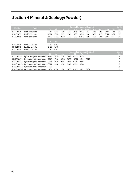| <b>Number</b>        | <b>Name</b>                     |       |       |           |                |            |        | <b>Chemical Composition (Percent)</b> |                  |                             |            |      | <b>Unit Size</b> |
|----------------------|---------------------------------|-------|-------|-----------|----------------|------------|--------|---------------------------------------|------------------|-----------------------------|------------|------|------------------|
|                      |                                 | S.    | Pb    | Cu        | Z <sub>n</sub> | <b>TFe</b> | As.    | Ag(g/t)                               | SiO <sub>2</sub> | $\mathsf{Al}_2\mathsf{O}_3$ | <b>MgO</b> | CaO  | (in g)           |
| NCS DC28178          | Lead Concentrate                | 3.94  | 42.84 | 0.35      | 1.53           | 15.38      | 0.816  | 933                                   | 6.55             | 2.01                        | 0.412      | 1.73 | 25               |
| NCS DC28179          | Lead Concentrate                | 15.71 | 57.44 | 0.29      | 2.33           | 3.08       | 0.019  | 240                                   | 3.52             | 1.13                        | 0.374      | 4.86 | 25               |
| NCS DC28180          | Lead Concentrate                | 14.22 | 73.42 | 0.058     | 2.68           | 1.7        | 0.0013 | 250                                   | 1.81             | 0.54                        | 0.042      | 0.3  | 25               |
|                      |                                 |       |       |           |                |            |        |                                       |                  |                             |            |      |                  |
|                      |                                 | Mn    | Cd    |           |                |            |        |                                       |                  |                             |            |      |                  |
| NCS DC28178          | Lead Concentrate                | 0.345 | 0.005 |           |                |            |        |                                       |                  |                             |            |      |                  |
| NCS DC28179          | Lead Concentrate                | 0.427 | 0.019 |           |                |            |        |                                       |                  |                             |            |      |                  |
| NCS DC28180          | Lead Concentrate                | 0.57  | 0.022 |           |                |            |        |                                       |                  |                             |            |      |                  |
|                      |                                 |       |       |           |                |            |        | <b>Chemical Composition (Percent)</b> |                  |                             |            |      | <b>Unit Size</b> |
|                      |                                 | St    | Sa    | <b>As</b> |                | <b>Pb</b>  | Zn     | Co                                    |                  |                             |            |      | (in g)           |
| <b>NCS DC28181-1</b> | Pyrites and Pyrites concentrate | 39.52 | 38.74 | 7.8       | 0.064          | 0.712      | 0.075  |                                       |                  |                             |            |      | 5                |
| NCS DC28181-2        | Pyrites and Pyrites concentrate | 19.68 | 17.25 | 0.018     | 0.055          | < 0.005    | 0.014  | 0.377                                 |                  |                             |            |      | 5                |
| NCS DC28181-3        | Pyrites and Pyrites concentrate | 29.95 | 29.16 | 0.267     | 0.068          | 0.225      | 0.106  |                                       |                  |                             |            |      | 5                |
| NCS DC28181-4        | Pyrites and Pyrites concentrate | 35.21 | 34.48 | 4.96      | 0.06           | 0.479      | 0.088  |                                       |                  |                             |            |      | 5                |
| NCS DC28181-5        | Pyrites and Pyrites concentrate | 28.38 |       |           |                |            |        |                                       |                  |                             |            |      | 5                |
| <b>NCS DC28181-6</b> | Pyrites and Pyrites concentrate | 28.4  | 47.24 | 0.3       | 0.036          | 0.469      | 1.61   | 0.034                                 |                  |                             |            |      | 5                |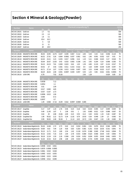| <b>Number</b>       | <b>Name</b>                                      | Au         |                         |                  |                  |                                |       | Chemical Composition(g/T)                                 |           |                  |                  |                   |                   |              | <b>Unit Size</b>           |
|---------------------|--------------------------------------------------|------------|-------------------------|------------------|------------------|--------------------------------|-------|-----------------------------------------------------------|-----------|------------------|------------------|-------------------|-------------------|--------------|----------------------------|
| <b>NCS DC 28101</b> | Gold ore                                         | 1.7        | Ag<br>4.2               |                  |                  |                                |       |                                                           |           |                  |                  |                   |                   |              | (in g)<br>500              |
| <b>NCS DC 28102</b> | Gold ore                                         | 2.5        | 2.2                     |                  |                  |                                |       |                                                           |           |                  |                  |                   |                   |              | 500                        |
| <b>NCS DC 28103</b> | Gold ore                                         | 1.8        | 3.1                     |                  |                  |                                |       |                                                           |           |                  |                  |                   |                   |              | 500                        |
|                     |                                                  |            |                         |                  |                  |                                |       |                                                           |           |                  |                  |                   |                   |              |                            |
| <b>NCS DC 28104</b> | Gold ore                                         | 63.4       | 62.2                    |                  |                  |                                |       |                                                           |           |                  |                  |                   |                   |              | 250                        |
| <b>NCS DC 28105</b> | Gold ore                                         | 5          | 5.8                     |                  |                  |                                |       |                                                           |           |                  |                  |                   |                   |              | 500                        |
| <b>NCS DC 28106</b> | Gold ore                                         | 11         | 11                      |                  |                  |                                |       |                                                           |           |                  |                  |                   |                   |              | 500                        |
| <b>NCS DC 28107</b> | Gold ore                                         | 20         | 20.4                    |                  |                  |                                |       |                                                           |           |                  |                  |                   |                   |              | 250                        |
| <b>Number</b>       | Name                                             | <b>TFe</b> | Fe <sub>O</sub>         | SiO <sub>2</sub> | S                | P.                             | TI.   | <b>Chemical Composition (Percent)</b><br>TiO <sub>2</sub> | $Al_2O_3$ | <b>MgO</b>       | K <sub>2</sub> O | Na <sub>2</sub> O | Mn                | Cu           | <b>Unit Size</b><br>(in g) |
| <b>NCS DC 28108</b> | MAGNETIC IRON ORE                                | 46.93      | 19.95                   | 14.75            | 0.637            | 0.039                          | 0.067 | 0.112                                                     | 2.05      | 5.54             | 0.33             | 0.22              | 0.058             | 0.119        | 70                         |
| <b>NCS DC 28109</b> | MAGNETIC IRON ORE                                | 66.52      | 27.91                   | 3.26             | 0.064            | 0.0062                         | 0.037 | 0.061                                                     | 0.62      | 1.96             | 0.091            | 0.032             | 0.07              | 0.01         | 70                         |
| <b>NCS DC 28110</b> | MAGNETIC IRON ORE                                | 62.63      | 23.21                   | 3.15             | 0.255            | 0.017                          | 0.096 | 0.16                                                      | 1.19      | 5.21             | 0.068            | 0.023             | 0.17              | 0.018        | 70                         |
| <b>NCS DC 28111</b> | MAGNETIC IRON ORE                                | 50.94      | 20.67                   | 13.83            | 0.43             | 0.033                          | 0.065 | 0.108                                                     | 1.42      | 3.95             | 0.204            | 0.14              | 0.098             | 0.305        | 70                         |
| <b>NCS DC 28112</b> | MAGNETIC IRON ORE                                | 56.23      | 24.15                   | 7.81             | 0.369            | 0.023                          | 0.62  | 1.03                                                      | 1.39      | 4.89             | 0.133            | 0.07              | 0.132             | 0.527        | 70                         |
| <b>NCS DC 28113</b> | MAGNETIC IRON ORE                                | 64.42      | 27                      | 3.56             | 0.381            | 0.011                          | 0.315 | 0.522                                                     | 0.9       | 3.28             | 0.099            | 0.034             | 0.109             | 0.047        | 70                         |
| <b>NCS DC 28114</b> | <b>MAGNETIC IRON ORE</b>                         | 65.71      | 27.14                   | 2.07             | 0.158            | 0.013                          | 0.418 | 0.697                                                     | 0.83      | 3.33             | 0.048            | 0.015             | 0.127             | 0.016        | 70                         |
| <b>NCS DC 28115</b> | MAGNETIC IRON ORE                                | 68.29      | 28.25                   | 2.08             | 0.041            | 0.0047                         | 0.034 | 0.057                                                     | 0.43      | 1.25             | 0.06             | 0.021             | 0.061             | 0.0065       | 70                         |
| <b>NCS DC 28116</b> | <b>LEAD ORE</b>                                  | 6.78       |                         | 7.92             | 19.26            |                                |       |                                                           | 2.56      | 1.28             |                  |                   | 0.029             | 0.85         | 25                         |
|                     |                                                  | Zn         | As                      | CaO              | Pb               | Ag                             | Cd    | <b>Sb</b>                                                 | <b>Bi</b> |                  |                  |                   |                   |              |                            |
| <b>NCS DC 28108</b> | <b>MAGNETIC IRON ORE</b>                         | 0.0038     |                         | 7.12             |                  |                                |       |                                                           |           |                  |                  |                   |                   |              |                            |
| <b>NCS DC 28109</b> | MAGNETIC IRON ORE                                | 0.0052     |                         | 1.1              |                  |                                |       |                                                           |           |                  |                  |                   |                   |              |                            |
| <b>NCS DC 28110</b> | <b>MAGNETIC IRON ORE</b>                         | 0.01       |                         | 1.09             |                  |                                |       |                                                           |           |                  |                  |                   |                   |              |                            |
|                     | <b>MAGNETIC IRON ORE</b>                         |            |                         |                  |                  |                                |       |                                                           |           |                  |                  |                   |                   |              |                            |
| <b>NCS DC 28111</b> |                                                  | 0.017      | 0.083                   | 4.85             |                  |                                |       |                                                           |           |                  |                  |                   |                   |              |                            |
| <b>NCS DC 28112</b> | MAGNETIC IRON ORE                                | 0.037      | 0.167                   | 2.73             |                  |                                |       |                                                           |           |                  |                  |                   |                   |              |                            |
| <b>NCS DC 28113</b> | MAGNETIC IRON ORE                                | 0.0096     | 0.013                   | 1.06             |                  |                                |       |                                                           |           |                  |                  |                   |                   |              |                            |
| <b>NCS DC 28114</b> | MAGNETIC IRON ORE                                | 0.008      |                         | 0.72             |                  |                                |       |                                                           |           |                  |                  |                   |                   |              |                            |
| NCS DC 28115        | MAGNETIC IRON ORE                                | 0.0037     |                         | 0.7              |                  |                                |       |                                                           |           |                  |                  |                   |                   |              |                            |
| <b>NCS DC 28116</b> | <b>LEAD ORE</b>                                  | 1.44       | 0.068                   | 17.16            | 15.09            | 0.022                          |       | 0.0097 0.0084<br><b>Chemical Composition (Percent)</b>    | 0.085     |                  |                  |                   |                   |              | <b>Unit Size</b>           |
| <b>Number</b>       | Name                                             | St.d       | Ad                      | Vd               | SiO <sub>2</sub> | Fe <sub>3</sub> O <sub>2</sub> | CaO   | <b>MgO</b>                                                | $Al_2O_3$ | TiO <sub>2</sub> | <b>MnO</b>       | K <sub>2</sub> O  | Na <sub>2</sub> O | $P_2O_5$     | (in g)                     |
| NCS DC 28117        | Graphite                                         | 0.17       | 3.47                    | 1.33             | 1.76             | 0.46                           | 0.19  | 0.18                                                      | 0.63      | 0.014            | 0.005            | 0.17              | 0.009             | 0.004        | 50                         |
| <b>NCS DC 28118</b> | Graphite                                         | 0.49       | 11.45                   | 1.87             | 5                | 1.98                           | 0.91  | 1                                                         | 1.92      | 0.085            | 0.021            | 0.19              | 0.088             | 0.007        | 50                         |
| <b>NCS DC 28119</b> | Graphite                                         | 0.02       | 29                      | 2.88             | 15.66            | 2.09                           | 0.23  | 0.55                                                      | 8.13      | 0.44             | 0.032            | 1.33              | 0.28              | 0.087        | 50                         |
| <b>NCS DC 28120</b> | Graphite Ore                                     | 1.06       | 95.62                   | 2.22             | 52.73            | 5.34                           | 11.81 | 8.79                                                      | 10.93     | 0.39             | 0.048            | 2.39              | 1.5               | 0.083        | 50                         |
| <b>NCS DC 28121</b> | Graphite Ore                                     | 0.99       | 90.65                   | 2.48             | 50.28            | 5                              | 11.12 | 8.43                                                      | 10.72     | 0.36             | 0.047            | 2.32              | 1.38              | 0.083        | 50                         |
|                     |                                                  |            |                         |                  |                  |                                |       | <b>Chemical Composition (Percent)</b>                     |           |                  |                  |                   |                   |              | <b>Unit Size</b>           |
| <b>Number</b>       | <b>Name</b>                                      | TFe        | $TiO2$ SiO <sub>2</sub> |                  | $Al_2O_3$        | CaO                            | MgO   |                                                           |           | $V_2O_5$         |                  | $Cr_2O_3$ FeO     | <b>MnO</b>        | N            | $\overline{(\text{in g})}$ |
|                     | NCS DC 28122 Vanadium-titanium-Magnetic Iron Ore | 56.26      | 14.48                   | 1.72             | 2.73             | 0.42                           | 2.22  | 0.014                                                     | 0.061     | 0.56             | 0.076            | 29.22             |                   | 0.546 0.0058 | 70                         |
| <b>NCS DC 28123</b> | Vanadium-titanium-Magnetic Iron Ore 54.89        |            | 9.63                    | 7.44             | 1.20             | 4.06                           | 0.83  | 0.203                                                     | 0.081     | 0.251            | 0.018            | 26.56             | 0.331             | 0.0041       | 70                         |
| <b>NCS DC 28124</b> | Vanadium-titanium-Magnetic Iron Ore 55.23        |            | 11.71                   | 5.15             | 1.80             | 2.54                           | 1.42  | 0.118                                                     | 0.074     | 0.368            | 0.040            | 27.48             | 0.421             | 0.0044       | 70                         |
| <b>NCS DC 28125</b> | Vanadium-titanium-Magnetic Iron Ore 50.16        |            | 13.92                   | 7.16             | 3.33             | 1.69                           | 2.78  | 0.015                                                     | 0.080     | 0.623            | 0.068            | 26.05             | 0.50              | 0.0063       | 70                         |
| NCS DC 28126        | Vanadium-titanium-Magnetic Iron Ore 58.18        |            | 12.24                   | 1.59             | 2.18             | 0.366                          | 1.90  | 0.016                                                     | 0.052     | 0.834            | 0.055            | 29.06             | 0.481             | 0.0053       | 70                         |
| NCS DC 28127        | Vanadium-titanium-Magnetic Iron Ore 52.26        |            | 10.32                   | 8.10             | 2.98             | 1.88                           | 2.50  | 0.014                                                     | 0.092     | 0.715            | 0.040            | 25.80             | 0.411             | 0.0058       | 70                         |
|                     |                                                  |            |                         |                  |                  |                                |       |                                                           |           |                  |                  |                   |                   |              |                            |
| <b>NCS DC 28122</b> | Vanadium-titanium-Magnetic Iron Ore 0.0048       | Cu         | Co<br>0.010             | Zn<br>0.061      |                  |                                |       |                                                           |           |                  |                  |                   |                   |              |                            |
|                     |                                                  |            |                         | 0.0085           |                  |                                |       |                                                           |           |                  |                  |                   |                   |              |                            |
| <b>NCS DC 28123</b> | Vanadium-titanium-Magnetic Iron Ore 0.0070       |            | 0.0066                  |                  |                  |                                |       |                                                           |           |                  |                  |                   |                   |              |                            |
| <b>NCS DC 28124</b> | Vanadium-titanium-Magnetic Iron Ore 0.0061 0.010 |            |                         | 0.028            |                  |                                |       |                                                           |           |                  |                  |                   |                   |              |                            |
| <b>NCS DC 28125</b> | Vanadium-titanium-Magnetic Iron Ore 0.0065       |            | 0.015                   | 0.055            |                  |                                |       |                                                           |           |                  |                  |                   |                   |              |                            |
| <b>NCS DC 28126</b> | Vanadium-titanium-Magnetic Iron Ore 0.0042       |            | 0.015                   | 0.050            |                  |                                |       |                                                           |           |                  |                  |                   |                   |              |                            |
| <b>NCS DC 28127</b> | Vanadium-titanium-Magnetic Iron Ore 0.0058       |            | 0.012                   | 0.040            |                  |                                |       |                                                           |           |                  |                  |                   |                   |              |                            |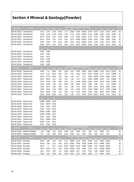|                           |                     |                     |                          |                                |                                |              | <b>Chemical Composition (Percent)</b> |             |                   |                   |                     |                          |                     |                  | <b>Unit Size</b>      |
|---------------------------|---------------------|---------------------|--------------------------|--------------------------------|--------------------------------|--------------|---------------------------------------|-------------|-------------------|-------------------|---------------------|--------------------------|---------------------|------------------|-----------------------|
| <b>Number</b>             | <b>Name</b>         | $Cr_2O_3$           | <b>TFe</b>               | SiO <sub>2</sub>               | $\mathsf{Al}_2\mathsf{O}_3$    | CaO          | <b>MgO</b>                            | S.          | P.                | TI.               | V                   | Mn                       | Ni.                 | $K_2O$           | (in g) $\overline{a}$ |
| <b>NCS DC 28128</b>       | Chromite Ore        | 27.55               | 9.76                     | 12.55                          | 18.94                          | 1.27         | 20.48                                 | 0.035       | 0.0029            | 0.145             | 0.077               | 0.114                    | 0.169               | 0.043            | 50                    |
| <b>NCS DC 28129</b>       | Chromite Ore        | 33.00               | 12.90                    | 12.19                          | 13.94                          | 1.00         | 17.27                                 | 0.021       | 0.0030            | 0.136             | 0.089               | 0.180                    | 0.162               | 0.035            | 50                    |
| <b>NCS DC 28130</b>       | Chromite Ore        | 46.74               | 20.34                    | 0.79                           | 14.53                          | 0.053        | 9.79                                  | 0.003       | 0.0027            | 0.373             | 0.215               | 0.156                    | 0.092               | 0.014            | 50                    |
| NCS DC 28131 Chromite Ore |                     | 45.10               | 19.66                    | 2.93                           | 13.70                          | 0.18         | 10.37                                 | 0.0029      | 0.0033            | 0.344             | 0.207               | 0.150                    | 0.094               | 0.015            | 50                    |
| NCS DC 28132 Chromite Ore |                     | 36.50               | 14.83                    | 7.70                           | 16.22                          | 0.69         | 15.32                                 | 0.022       | 0.0028            | 0.244             | 0.143               | 0.133                    | 0.134               | 0.033            | 50                    |
| NCS DC 28133 Chromite Ore |                     | 40.20               | 16.74                    | 4.73                           | 15.97                          | 0.46         | 13.41                                 | 0.017       | 0.0037            | 0.294             | 0.162               | 0.142                    | 0.121               | 0.023            | 50                    |
|                           |                     |                     |                          |                                |                                |              |                                       |             |                   |                   |                     |                          |                     |                  |                       |
|                           |                     | Co                  | Zn                       |                                |                                |              |                                       |             |                   |                   |                     |                          |                     |                  |                       |
| <b>NCS DC 28128</b>       | Chromite Ore        | 0.016               | 0.049                    |                                |                                |              |                                       |             |                   |                   |                     |                          |                     |                  |                       |
| <b>NCS DC 28129</b>       | Chromite Ore        | 0.027               | 0.102                    |                                |                                |              |                                       |             |                   |                   |                     |                          |                     |                  |                       |
| <b>NCS DC 28130</b>       | Chromite Ore        | 0.025               | 0.071                    |                                |                                |              |                                       |             |                   |                   |                     |                          |                     |                  |                       |
| NCS DC 28131 Chromite Ore |                     | 0.025               | 0.065                    |                                |                                |              |                                       |             |                   |                   |                     |                          |                     |                  |                       |
| NCS DC 28132 Chromite Ore |                     | 0.022               | 0.058                    |                                |                                |              |                                       |             |                   |                   |                     |                          |                     |                  |                       |
| NCS DC 28133 Chromite Ore |                     | 0.022               | 0.065                    |                                |                                |              |                                       |             |                   |                   |                     |                          |                     |                  |                       |
| <b>Number</b>             | Name                |                     |                          |                                |                                |              | Chemical Composition (Percent)        |             |                   |                   |                     |                          |                     | Ni.              | <b>Unit Size</b>      |
| <b>NCS DC 28134</b>       | Titanium Ore        | <b>TFe</b><br>14.85 | TiO <sub>2</sub><br>7.11 | SiO <sub>2</sub><br>38.43      | $Al_2O_3$<br>8.67              | CaO<br>12.39 | <b>MgO</b><br>6.33                    | S.<br>0.196 | P.<br>0.883       | $V_2O_5$<br>0.062 | $Cr_2O_3$<br>0.0084 | Fe <sub>O</sub><br>12.45 | <b>MnO</b><br>0.216 | 0.0037           | (in g)<br>50          |
| <b>NCS DC 28135</b>       | Titanium Ore        | 15.07               | 6.14                     | 42.61                          | 8.82                           | 9.87         | 6.78                                  | 0.021       | 0.232             | 0.092             | 0.0095              | 12.77                    | 0.187               | 0.0098           | 50                    |
| <b>NCS DC 28136</b>       | Titanium Ore        | 26.50               | 27.23                    | 14.41                          | 2.31                           | 9.49         | 2.34                                  | 4.77        | 1.07              | 0.066             | 0.0078              | 23.62                    | 0.802               | 0.013            | 50                    |
| <b>NCS DC 28137</b>       | <b>Titanium Ore</b> | 30.31               | 40.66                    | 9.21                           | 1.35                           | 4.78         | 1.30                                  | 1.52        | 0.117             | 0.068             | 0.0064              | 33.33                    | 1.20                | 0.0084           | 50                    |
| <b>NCS DC 28138</b>       | Titanium Ore        | 34.79               | 47.82                    | 2.65                           | 0.68                           | 0.68         | 2.11                                  | 0.184       | 0.0076            | 0.095             |                     | 39.14                    | 0.652               |                  | 50                    |
| <b>NCS DC 28139</b>       |                     | 22.04               | 55.68                    |                                |                                |              | 1.09                                  | 0.025       | 0.047             |                   | 0.014<br>2.80       | 9.15                     |                     | 0.0029<br>0.0007 | 50                    |
|                           | Titanium Ore        |                     |                          | 1.54                           | 2.30                           | 0.070        |                                       |             |                   | 0.266             |                     |                          | 1.26                |                  |                       |
| <b>NCS DC 28140</b>       | <b>Titanium Ore</b> | 33.02               | 45.73                    | 4.85                           | 0.95                           | 2.23         | 1.68                                  | 0.74        | 0.048             | 0.203             | 0.012               | 36.68                    | 0.882               | 0.0051           | 50                    |
| <b>NCS DC 28141</b>       | Titanium Ore        | 33.58               | 45.61                    | 4.16                           | 0.867                          | 1.65         | 1.74                                  | 0.536       | 0.047             | 0.188             | 0.0067              | 37.51                    | 0.799               | 0.0046           | 50                    |
| <b>NCS DC 28142</b>       | Titanium Ore        | 30.23               | 50.06                    | 2.04                           | 1.30                           | 0.68         | 1.52                                  | 0.172       | 0.048             | 0.700             | 0.84                | 28.85                    | 0.875               | 0.0021           | 50                    |
| NCS DC 28143 Titanium Ore |                     | 29.29               | 35.60                    | 10.41                          | 1.65                           | 6.25         | 1.55                                  | 2.76        | 0.476             | 0.505             | 0.0077              | 29.34                    | 1.02                | 0.011            | 50                    |
|                           |                     | Cu                  | Co                       | Z <sub>n</sub>                 |                                |              |                                       |             |                   |                   |                     |                          |                     |                  |                       |
| <b>NCS DC 28134</b>       | Titanium Ore        | 0.0082              | 0.0052                   | 0.019                          |                                |              |                                       |             |                   |                   |                     |                          |                     |                  |                       |
| <b>NCS DC 28135</b>       | Titanium Ore        | 0.016               | 0.0079                   | 0.018                          |                                |              |                                       |             |                   |                   |                     |                          |                     |                  |                       |
| <b>NCS DC 28136</b>       | Titanium Ore        | 0.038               | 0.015                    | 0.015                          |                                |              |                                       |             |                   |                   |                     |                          |                     |                  |                       |
| <b>NCS DC 28137</b>       | Titanium Ore        | 0.022               | 0.010                    | 0.014                          |                                |              |                                       |             |                   |                   |                     |                          |                     |                  |                       |
| <b>NCS DC 28138</b>       | Titanium Ore        | 0.0056              | 0.0087                   | 0.016                          |                                |              |                                       |             |                   |                   |                     |                          |                     |                  |                       |
| <b>NCS DC 28139</b>       | Titanium Ore        | 0.0093              | 0.0026                   | 0.017                          |                                |              |                                       |             |                   |                   |                     |                          |                     |                  |                       |
| <b>NCS DC 28140</b>       | Titanium Ore        | 0.013               | 0.051                    | 0.016                          |                                |              |                                       |             |                   |                   |                     |                          |                     |                  |                       |
| <b>NCS DC 28141</b>       | Titanium Ore        | 0.011               | 0.0098                   | 0.015                          |                                |              |                                       |             |                   |                   |                     |                          |                     |                  |                       |
| NCS DC 28142              | Titanium Ore        | 0.0073              | 0.011                    | 0.017                          |                                |              |                                       |             |                   |                   |                     |                          |                     |                  |                       |
| <b>NCS DC 28143</b>       | Titanium Ore        | 0.027               | 0.013                    | 0.016                          |                                |              |                                       |             |                   |                   |                     |                          |                     |                  |                       |
|                           |                     |                     |                          |                                |                                |              | Chemical Composition(g/T)             |             |                   |                   |                     |                          |                     |                  | <b>Unit Size</b>      |
| <b>Number</b>             | Name                | CaO                 | <b>MgO</b>               | Fe <sub>2</sub> O <sub>3</sub> | SiO <sub>2</sub>               | $Al_2O_3$    | <b>MnO</b>                            | S.          | $P_2O_5$          | K <sub>2</sub> O  | Na <sub>2</sub> O   | TiO <sub>2</sub>         | L.O.                |                  | (in g)                |
| <b>NCS DC 28144</b>       | Potassium Feldspar  | 1.05                | 0.329                    | 1.04                           | 69.12                          | 13.84        | 0.03                                  | 0.584       | 0.02              | 3.84              | 4.72                | 0.089                    | 1.61                |                  | 50                    |
| <b>NCS DC 28145</b>       | Potassium Feldspar  | 5.77                | 3.39                     | 0.88                           | 59.33                          | 12.14        | 0.026                                 | 0.41        | 0.017             | 3.46              | 4.05                | 0.071                    | 8.13                |                  | 50                    |
| Number                    | Name                |                     |                          |                                |                                |              | Chemical Composition(g/T)             |             |                   |                   |                     |                          |                     |                  | <b>Unit Size</b>      |
|                           |                     | CaF <sub>2</sub>    | SiO <sub>2</sub>         | CaCO <sub>3</sub>              | Fe <sub>2</sub> O <sub>3</sub> | S.           | P.                                    | $K_2O$      | Na <sub>2</sub> Q | <b>MgO</b>        | $Al_2O_3$           | <b>MnO</b>               | TiO <sub>2</sub>    |                  | (in g)                |
| <b>NCS DC 28146</b>       | Fluorspar           | 94.39               | 4.65                     | 0.14                           | 0.28                           | 0.13         | 0.0036                                | 0.012       | 0.006             | 0.003             | 0.113               | 0.005                    | 0.0019              |                  | 50                    |
| <b>NCS DC 28147</b>       | Fluorspar           | 90.28               | 8.34                     | 0.15                           | 0.34                           | 0.155        | 0.0041                                | 0.064       | 0.008             | 0.0049            | 0.317               | 0.0046                   | 0.003               |                  | 50                    |
| <b>NCS DC 28148</b>       | Fluorspar           | 96.31               | 3                        | 0.17                           | 0.163                          | 0.025        | 0.0043                                | 0.014       | 0.008             | 0.0022            | 0.09                |                          | $0.0024$ $(0.001)$  |                  | 50                    |
| <b>NCS DC 28149</b>       | Fluorspar           | 87.45               | 10.03                    | 0.21                           | 0.38                           | 0.198        | 0.0052                                | 0.153       | 0.009             | 0.012             | 0.63                |                          | 0.0049 0.0054       |                  | 50                    |
| <b>NCS DC 28150</b>       | Fluorspar           | 80.3                | 15.52                    | 0.25                           | 0.47                           | 0.184        | 0.0076                                | 0.57        | 0.03              | 0.03              | 1.69                | 0.0094                   | 0.014               |                  | 50                    |
| NCS DC 28151 Fluorspar    |                     | 79.24               | 15.8                     | 0.98                           | 0.59                           | 0.103        | 0.011                                 | 0.54        | 0.078             | 0.096             | 1.71                | 0.044                    | 0.025               |                  | 50                    |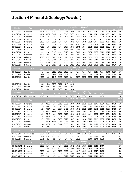|                      |                         |                  |                  |                                |                                        |                                         |                                                |                      |                      |                           |                     |                   |                  |          | <b>Unit Size</b>                    |
|----------------------|-------------------------|------------------|------------------|--------------------------------|----------------------------------------|-----------------------------------------|------------------------------------------------|----------------------|----------------------|---------------------------|---------------------|-------------------|------------------|----------|-------------------------------------|
| <b>Number</b>        | <b>Name</b>             | CaO              | <b>MgO</b>       | Fe <sub>2</sub> O <sub>3</sub> | SiO <sub>2</sub>                       | $Al_2O_3$                               | <b>Chemical Composition(g/T)</b><br><b>MnO</b> | S.                   | P.                   | $K_2O$                    | Na <sub>2</sub> O   | <b>SrO</b>        | TiO <sub>2</sub> | LO.      | (in g)                              |
| <b>NCS DC 28152</b>  | Limestone               | 46.71            | 6.55             | 0.25                           | 2.42                                   | 0.374                                   | 0.0046                                         | 0.042                | 0.0017               | 0.05                      | 0.011               | 0.016             | 0.023            | 43.22    | 50                                  |
| <b>NCS DC 28153</b>  | Limestone               | 41.81            | 10.37            | 0.417                          | 2.35                                   | 0.543                                   | 0.007                                          | 0.05                 | 0.0032               | 0.074                     | 0.011               | 0.014             | 0.031            | 43.81    | 50                                  |
| <b>NCS DC 28154</b>  | Limestone               | 50.61            | 2.88             | 0.289                          | 3.02                                   | 0.622                                   | 0.0054                                         | 0.055                | 0.0028               | 0.164                     | 0.026               | 0.024             | 0.032            | 41.92    | 50                                  |
| <b>NCS DC 28155</b>  | Limestone               | 46.09            | 5.98             | 0.187                          | 4.6                                    | 0.283                                   | 0.0046                                         | 0.033                | 0.0016               | 0.038                     | 0.01                | 0.02              | 0.015            | 42.55    | 50                                  |
| <b>NCS DC 28156</b>  | Limestone               | 51.22            | 2.43             | 0.181                          | 3.32                                   | 0.34                                    | 0.0042                                         | 0.03                 | 0.0019               | 0.094                     | 0.0074              | 0.021             | 0.02             | 42.26    | 50                                  |
| <b>NCS DC 28157</b>  | Limestone               | 53.79            | 1.17             | 0.151                          | 1.32                                   | 0.225                                   | 0.0037                                         | 0.02                 | 0.0027               | 0.066                     | 0.0058              | 0.018             | 0.014            | 43.22    | 50                                  |
| <b>NCS DC 28158</b>  | Limestone               | 48.56            | 4.31             | 0.302                          | 3.99                                   | 0.657                                   | 0.0055                                         | 0.044                | 0.0044               | 0.184                     | 0.028               | 0.022             | 0.051            | 41.7     | 50                                  |
| <b>NCS DC 28159</b>  | Limestone               | 51.95            | 1.23             | 0.296                          | 2.36                                   | 0.811                                   | 0.0077                                         | 0.016                | 0.0017               | 0.165                     | 0.009               | 0.02              | 0.036            | 42.39    | 50                                  |
| <b>NCS DC 28160</b>  | Limestone               | 54.2             | 0.82             | 0.146                          | 0.96                                   | 0.328                                   | 0.0049                                         | 0.019                | 0.0019               | 0.084                     | 0.006               | 0.018             | 0.016            | 43.27    | 50                                  |
| <b>NCS DC 28161</b>  | Limestone               | 53.76            | 1.5              | 0.143                          | 0.835                                  | 0.242                                   | 0.0058                                         | 0.018                | 0.0012               | 0.048                     | 0.006               | 0.017             | 0.011            | 43.37    | 50                                  |
| <b>NCS DC 28162</b>  | Dolomite                | 28.73            | 19.76            | 0.475                          | 8.42                                   | 1.2                                     | 0.02                                           | 0.072                | 0.0028               | 0.039                     | 0.033               | 0.019             | 0.036            | 40.56    | 50                                  |
| <b>NCS DC 28163</b>  | Dolomite                | 30.22            | 20.85            | 0.244                          | 1.87                                   | 0.205                                   | 0.015                                          | 0.038                | 0.0015               | 0.018                     | 0.012               | 0.013             | 0.0079           | 45.31    | 50                                  |
| <b>NCS DC 28164</b>  | Dolomite                | 30.15            | 20.91            | 0.248                          | 2.16                                   | 0.25                                    | 0.016                                          | 0.039                | 0.0013               | 0.027                     | 0.011               | 0.013             | 0.012            | 45.04    | 50                                  |
| <b>NCS DC 28165</b>  | Dolomite                | 29.5             | 20.43            | 0.357                          | 5.22                                   | 0.706                                   | 0.018                                          | 0.056                | 0.002                | 0.033                     | 0.023               | 0.016             | 0.021            | 43.07    | 50                                  |
| <b>Number</b>        | Name                    |                  |                  |                                |                                        |                                         | <b>Chemical Composition (Percent)</b>          |                      |                      |                           |                     |                   |                  |          | <b>Unit Size</b>                    |
|                      |                         | $Al_2O_3$        | SiO <sub>2</sub> | Fe <sub>2</sub> O <sub>3</sub> | $P_2O_5$                               | <b>MnO</b>                              | TiO,                                           | CaO                  | MgO                  | $K_2O$                    | Na <sub>2</sub> O   | $\mathsf{C}$      | S.               | Cr       | (in g)                              |
| <b>NCS DC 28166</b>  | Bauxite                 | 44.5             | 5.17             | 22.16                          | 0.075                                  | 0.026                                   | 1.66                                           | 0.18                 | 0.03                 | 0.03                      | 0.015               | 0.21              | 0.043            | 0.019    | 50                                  |
| <b>NCS DC 28167</b>  | Bauxite                 | 43.38            | 7.45             | 22.69                          | 0.057                                  | 0.044                                   | 1.35                                           | 0.52                 | 0.051                | 0.023                     | 0.025               | 0.22              | 0.058            | 0.014    | 50                                  |
| <b>NCS DC 28168</b>  | <b>Bauxite</b>          | 45.75            | 4.88             | 19.43                          | 0.183                                  | 0.028                                   | 3.96                                           | 0.087                | 0.035                | 0.025                     | 0.023               | 0.203             | 0.014            | 0.062    | 50                                  |
|                      |                         |                  |                  |                                |                                        |                                         |                                                |                      |                      |                           |                     |                   |                  |          |                                     |
| <b>NCS DC 28166</b>  |                         | $\vee$           | Ga<br>0.0028     | L.O.<br>25.35                  | <b>Zr</b><br>0.011                     | Sc.<br>0.0047                           | Zn<br>< 0.005                                  |                      |                      |                           |                     |                   |                  |          |                                     |
| <b>NCS DC 28167</b>  | Bauxite<br>Bauxite      | 0.06<br>0.059    | 0.0027           | 23.59                          | 0.0057                                 |                                         | 0.0052 0.0051                                  |                      |                      |                           |                     |                   |                  |          |                                     |
| <b>NCS DC 28168</b>  |                         | 0.1              | 0.0071           | 25                             | 0.038                                  | 0.0021                                  | 0.0018                                         |                      |                      |                           |                     |                   |                  |          |                                     |
|                      | Bauxite                 |                  |                  |                                |                                        |                                         | Chemical Composition(Percent)                  |                      |                      |                           |                     |                   |                  |          | <b>Unit Size</b>                    |
| <b>Number</b>        | <b>Name</b>             | $\overline{Zn}$  | S                | Fe                             | SiO <sub>2</sub>                       | <b>Pb</b>                               | Сu                                             | As                   | Cd                   | Αg                        | CaO                 | MgO               |                  |          | (in g)                              |
| <b>NCS DC 28169</b>  | <b>Zinc Concertrate</b> | 43.46            | 26.7             | 6.79                           | 5.95                                   | 2.66                                    | 0.265                                          | 0.0014               | 0.309                | 0.0048                    | 2.05                | 0.158             |                  |          | 25                                  |
|                      |                         |                  |                  |                                |                                        |                                         | Chemical Composition(g/T)                      |                      |                      |                           |                     |                   |                  |          | <b>Unit Size</b>                    |
| <b>Number</b>        | <b>Name</b>             | SiO <sub>2</sub> | CaO              | MgO                            | Fe <sub>2</sub> O <sub>3</sub>         | $Al_2O_3$                               | <b>MnO</b>                                     | P                    | TiO <sub>2</sub>     | <b>SrO</b>                | $K_2O$              | Na <sub>2</sub> O | S.               | L.O.     | (in g)                              |
| <b>NCS DC 28170</b>  | Limestone               | 1.46             | 48.32            | 5.49                           | 0.218                                  | 0.383                                   | 0.0050                                         | 0.0028               | 0.023                | 0.028                     | 0.145               | 0.007             | 0.005            | 43.68    | 50                                  |
| <b>NCS DC 28171</b>  | Limestone               | 2.20             | 43.96            | 8.84                           | 0.290                                  | 0.47                                    | 0.0064                                         | 0.0035               | 0.024                | 0.020                     | 0.196               | 0.0080            | 0.006            | 43.82    | 50                                  |
| <b>NCS DC 28171b</b> | Limestone               | 2.23             | 49.64            | 4.13                           | 0.187                                  | 0.462                                   | 0.0039                                         | 0.0032               | 0.022                | 0.019                     | 0.272               | 0.012             | 0.035            | 43.18    | 50                                  |
| <b>NCS DC 28172</b>  | Limestone               | 4.70             | 37.44            | 12.97                          | 0.300                                  | 0.523                                   | 0.0055                                         | 0.0034               | 0.030                | 0.017                     | 0.28                | 0.013             | 0.013            | 43.43    | 50                                  |
| <b>NCS DC 28173</b>  | Limestone               | 0.29             | 55.43            | 0.22                           | 0.057                                  | 0.078                                   | 0.0068                                         | 0.0013               | 0.0051               | 0.02                      | 0.024               | 0.007             | 0.031            | 43.69    | 50                                  |
| <b>NCS DC 28174</b>  | Limestone               | 0.66             | 53.08            | 2.24                           | 0.103                                  | 0.18                                    | 0.0052                                         | 0.0012               | 0.0080               | 0.020                     | 0.044               | 0.005             | 0.024            | 43.75    | 50                                  |
| <b>NCS DC 28175</b>  | Limestone               | 0.70             | 55.04            | 0.30                           | 0.035                                  | 0.220                                   | 0.0047                                         | 0.0021               | 0.0068               | 0.018                     | 0.042               | 0.006             | 0.015            | 43.34    | 50                                  |
| <b>NCS DC 28175b</b> | Limestone               | 0.76             | 41.91            | 11.15                          | 0.316                                  | 0.272                                   | 0.013                                          | 0.0023               | 0.011                | 0.0066                    | 0.041               | 0.003             | 0.002            | 44.86    | 50                                  |
| <b>NCS DC 28176</b>  | Limestone               | 0.86             | 48.92            | 5.40                           | 0.241                                  | 0.360                                   |                                                | 0.0051 0.0029        | 0.022                | 0.029                     | 0.125               | 0.008             | 0.008            | 43.90    | 50                                  |
| <b>NCS DC 28177</b>  | Limestone               | 1.25             | 54.43            | 0.50                           | 0.179                                  |                                         | 0.195  0.0070  0.0018  0.010  0.024            |                      |                      |                           | 0.048               | 0.007             | 0.012            | 43.10    | 50                                  |
| <b>Number</b>        | Name                    |                  |                  |                                |                                        |                                         | Chemical Composition(g/T)                      |                      |                      |                           |                     |                   |                  |          | <b>Unit Size</b>                    |
|                      |                         | TFe              | CaO              | MgO                            | SiO <sub>2</sub>                       | $Al_2O_3$                               | S.                                             | P                    | <b>MnO</b>           | TiO <sub>2</sub>          | Mn                  | Cu                | $Cr_2O_3$        | $V_2O_5$ | (in g)                              |
| <b>NCS DC 28241</b>  | V-Ti magnetite          | 63.97<br>53.34   | 0.94             | 1.74                           | 3.98                                   | 1.09                                    | 0.04                                           | 0.017                | 0.197                | 2.59                      |                     |                   | 0.42             | 0.55     | 100                                 |
| <b>NCS DC 28242</b>  |                         |                  | 0.43             | 0.13                           | 8.71                                   | 1.78                                    | 1.88<br>0.98                                   | 0.126<br>0.121       |                      | 0.087<br>0.049            | 0.199<br>0.143      | 0.076             |                  |          | 100<br>100                          |
|                      | Hematite                |                  |                  |                                |                                        |                                         |                                                |                      |                      |                           |                     |                   |                  |          |                                     |
| <b>NCS DC 28243</b>  | Hematite                | 55.71            | 0.3              | 0.1                            | 6.97                                   | 1.07                                    |                                                |                      |                      |                           |                     | 0.068             |                  |          |                                     |
| <b>Number</b>        | Name                    |                  |                  |                                |                                        |                                         | Chemical Composition( $g/T$ )<br>S.            | P.                   |                      |                           |                     |                   |                  |          | <b>Unit Size</b>                    |
| <b>NCS DC 28244</b>  | Limestone               | CaO<br>51.32     | MgO<br>2.94      | SiO <sub>2</sub><br>1.49       | Al <sub>2</sub> O <sub>3</sub><br>0.39 | Fe <sub>2</sub> O <sub>3</sub><br>0.171 |                                                | 0.0082 0.0022 0.0026 | <b>MnO</b>           | TiO <sub>2</sub><br>0.018 | <b>SrO</b><br>0.018 | L.0.1<br>43.47    |                  |          | $(\mathsf{in} \, \mathrm{g})$<br>50 |
| <b>NCS DC 28245</b>  | Limestone               |                  | 1.9              | 0.37                           | 0.17                                   | 0.125                                   | 0.014                                          |                      | 0.0015 0.0092 0.0085 |                           | 0.024               | 43.93             |                  |          | 50                                  |
| <b>NCS DC 28246</b>  | Limestone               | 53.4<br>54.92    | 0.37             | 0.47                           | 0.203                                  | 0.107                                   | 0.01                                           |                      | 0.0017 0.0081 0.0092 |                           | 0.017               | 43.54             |                  |          | 50                                  |
| <b>NCS DC 28247</b>  | Limestone               | 47.82            | 6.13             | 0.7                            | 0.222                                  | 0.201                                   | 0.014                                          |                      | 0.0066 0.0095        | 0.013                     | 0.018               | 44.46             |                  |          | 50                                  |
| <b>NCS DC 28248</b>  | Limestone               | 45.88            | 7.68             | 0.76                           | 0.24                                   | 0.229                                   | 0.016                                          | 0.0078               | 0.01                 | 0.014                     | 0.018               | 44.51             |                  |          | 50                                  |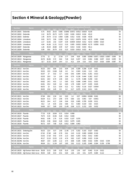| <b>Number</b>                                  | <b>Name</b>                                          | SiO <sub>2</sub> | CaO               |                  |                  | $MgO$ Fe <sub>2</sub> O <sub>3</sub> Al <sub>2</sub> O <sub>3</sub> | MnO             | <b>Chemical Composition(Percent)</b><br>P             | S.               |                | $L.O.1$ TiO <sub>2</sub> SrO |       |          |       | <b>Unit Size</b><br>(in g) |
|------------------------------------------------|------------------------------------------------------|------------------|-------------------|------------------|------------------|---------------------------------------------------------------------|-----------------|-------------------------------------------------------|------------------|----------------|------------------------------|-------|----------|-------|----------------------------|
| NCS DC 28201 Dolomite                          |                                                      | 6.75             | 30.62             | 20.53            | 0.085            |                                                                     |                 | 0.0048 0.0072 0.0012 0.0019                           |                  | 41.00          |                              |       |          |       | 50                         |
| <b>NCS DC 28202</b>                            | Dolomite                                             | 2.12             | 30.79             | 20.73            | 0.275            | 0.203                                                               | 0.026           | 0.0013                                                | 0.016            | 45.22          |                              |       |          |       | 50                         |
| <b>NCS DC 28203</b>                            | Dolimite                                             | 1.45             | 34.74             | 17.16            | 0.404            | 0.286                                                               | 0.012           | 0.016                                                 | 0.028            | 45.58          |                              |       |          |       | 50                         |
| <b>NCS DC 28204</b>                            | Limestone                                            | 0.83             | 50.72             | 3.96             | 0.208            | 0.18                                                                | 0.012           | 0.0076                                                | 0.016            | 43.70          | 0.006                        | 0.046 |          |       | 50                         |
| <b>NCS DC 28205</b>                            | Limestone                                            | 2.17             | 52.42             | 1.92             | 0.197            | 0.39                                                                |                 | 0.0054 0.0019                                         | 0.012            | 42.53          | 0.0093                       | 0.023 |          |       | 50                         |
| <b>NCS DC 28206</b>                            | Limestone                                            | 4.64             | 41.66             | 11.31            | 0.112            | 0.16                                                                | 0.005           |                                                       | 0.0032 0.0093    | 41.70          | 0.0056                       | 0.015 |          |       | 50                         |
| <b>NCS DC 28207</b>                            | Dolomite                                             | 1.26             | 30.33             | 20.88            | 0.44             | 0.27                                                                | 0.013           | 0.018                                                 | 0.033            | 46.11          |                              |       |          |       | 50                         |
| <b>NCS DC 28208</b>                            | Dolomite                                             | 0.99             | 30.8              | 20.79            | 0.32             | 0.23                                                                | 0.019           | 0.0013                                                | 0.022            | 46.2           |                              |       |          |       | 50                         |
|                                                |                                                      |                  |                   |                  |                  |                                                                     |                 | <b>Chemical Composition (Percent)</b>                 |                  |                |                              |       |          |       | <b>Unit Size</b>           |
| <b>Number</b>                                  | Name                                                 | TM <sub>n</sub>  | MnO <sub>2</sub>  | <b>TFe</b>       | SiO <sub>2</sub> | $Al_2O_2$                                                           | CaO             | MgO                                                   | TiO <sub>2</sub> | Cu             | Zn                           | Ni .  | S.       | P     | (in g)                     |
| <b>NCS DC 28209</b>                            | Manganese                                            | 27.76            | 21                | 12               | 17.54            | 1.77                                                                | 5.44            | 4.08                                                  | 0.085            |                | 0.0066 0.0071 0.0025 0.0067  |       |          | 0.069 | 50                         |
| <b>NCS DC 28210</b>                            | Manganese                                            | 44.76            | 66.46             | 5.72             | 4.62             | 7.28                                                                | 0.24            | 0.257                                                 | 0.34             | 0.062          | 0.088                        | 0.057 | 0.014    | 0.099 | 50                         |
| NCS DC 28211 Manganese                         |                                                      | 32.7             | 32.32             | 10.47            | 14.4             | 3.3                                                                 | 4.21            | 3.04                                                  | 0.16             | 0.02           | 0.027                        | 0.016 | 0.009    | 0.087 | 50                         |
| <b>Number</b>                                  | Name                                                 |                  |                   |                  |                  |                                                                     |                 | <b>Chemical Composition (Percent)</b>                 |                  |                |                              |       |          |       | <b>Unit Size</b>           |
|                                                |                                                      | TFe              | FeO               | SiO <sub>2</sub> | $Al_2O_3$        | CaO                                                                 | <b>MgO</b>      | MnO                                                   | TiO <sub>2</sub> | S.             | $\mathsf{P}$                 |       |          |       | (in g)                     |
| NCS DC 28212 Iron Ore                          |                                                      | 56.25            | 26.9              | 8.86             | 2.53             | 8.04                                                                | 1.96            | 0.289                                                 | 0.208            | 0.197          | 0.032                        |       |          |       | 50                         |
| NCS DC 28213 Iron Ore                          |                                                      | 50.92            | 19.9              | 13.68            | 3.28             | 6.9                                                                 | 3.4             | 0.943                                                 | 0.241            | 0.13           | 0.05                         |       |          |       | 50                         |
| NCS DC 28214 Iron Ore<br>NCS DC 28215 Iron Ore |                                                      | 65.97<br>63.93   | 27<br>26.9        | 5.02<br>5.9      | 0.7<br>1.09      | 0.43<br>2.06                                                        | 0.45<br>0.79    | 0.094<br>0.136                                        | 0.541<br>0.444   | 0.291<br>0.282 | 0.013<br>0.017               |       |          |       | 50<br>50                   |
|                                                |                                                      |                  |                   |                  |                  |                                                                     |                 |                                                       |                  |                | 0.02                         |       |          |       |                            |
| NCS DC 28216 Iron Ore<br>NCS DC 28217 Iron Ore |                                                      | 62.01<br>64.82   | 26.9<br>24.5      | 6.74<br>4.91     | 1.46<br>1.3      | 3.65<br>0.85                                                        | $1.1\,$<br>0.31 | 0.176<br>0.088                                        | 0.388<br>0.949   | 0.258<br>0.011 | 0.053                        |       |          |       | 50<br>50                   |
| <b>NCS DC 28218</b>                            |                                                      | 64.81            | 25.4              | 5.04             | 0.8              | 0.65                                                                | 1.78            | 0.084                                                 | 0.477            | 0.035          | 0.026                        |       |          |       | 50                         |
| <b>NCS DC 28219</b>                            | Iron Ore<br>Iron Ore                                 | 68.55            | 23                | 3.21             | 0.54             | 0.21                                                                | 0.2             | 0.052                                                 | 0.116            | 0.027          | 0.0054                       |       |          |       | 50                         |
| NCS DC 28220 Iron Ore                          |                                                      | 69.05            | 23.8              | 2.45             | 0.5              | 0.2                                                                 | 0.17            | 0.079                                                 | 0.313            | 0.011          | 0.01                         |       |          |       | 50                         |
|                                                |                                                      |                  |                   |                  |                  |                                                                     |                 | <b>Chemical Composition(Percent)</b>                  |                  |                |                              |       |          |       | <b>Unit Size</b>           |
| <b>Number</b>                                  | <b>Name</b>                                          | TFe              | FeO               | SiO <sub>2</sub> | $Al_2O_3$        | CaO                                                                 | <b>MgO</b>      | <b>MnO</b>                                            | TiO <sub>2</sub> | $\mathsf{P}$   | $\mathsf{S}$                 |       |          |       | (ing)                      |
| NCS DC 28221 Iron Ore                          |                                                      | 67.84            | 28.8              | 2.34             | 0.6              | 0.63                                                                | 1.4             | 0.07                                                  |                  | 0.0061 0.0046  | 0.041                        |       |          |       | 50                         |
| <b>NCS DC 28222</b>                            | Iron Ore                                             | 66.64            | 0.11              | 27.9             | 2.96             | 0.76                                                                | 0.86            | 1.62                                                  | 0.091            | 0.07           | 0.0051                       |       |          |       | 50                         |
| NCS DC 28223 Iron Ore                          |                                                      | 66.31            | 24.4              | 4.17             | 1.04             | 0.64                                                                | 0.26            | 0.085                                                 | 0.709            | 0.039          | 0.011                        |       |          |       | 50                         |
| NCS DC 28224 Iron Ore                          |                                                      | 63.2             | 1.4               | 6.55             | 1.02             | 0.86                                                                | 0.5             | 0.083                                                 | 0.319            | 0.02           | 0.015                        |       |          |       | 50                         |
| NCS DC 28225 Iron Ore                          |                                                      | 54.96            | 10.7              | 5.89             | 2.93             | 11.49                                                               | 0.98            | 0.171                                                 | 0.152            | 0.05           | 0.032                        |       |          |       | 50                         |
| <b>Number</b>                                  | <b>Name</b>                                          | CaF <sub>2</sub> | CaCO <sub>3</sub> | SiO <sub>2</sub> | <b>TFe</b>       | Mn                                                                  | S.              | <b>Chemical Composition (Percent)</b><br>$\mathsf{P}$ |                  |                |                              |       |          |       | <b>Unit Size</b><br>(in g) |
| <b>NCS DC 28226</b>                            | Fluorite                                             | 77.33            | 0.20              | 18.04            | 0.31             | 0.014                                                               | 0.068           |                                                       |                  |                |                              |       |          |       | 50                         |
| <b>NCS DC 28227</b>                            | Fluorite                                             | 78.75            | 0.33              | 19.36            | 0.28             | 0.012                                                               | 0.028           |                                                       |                  |                |                              |       |          |       | 50                         |
| <b>NCS DC 28228</b>                            | Fluorite                                             | 94.81            | 0.99              | 2.76             | 0.26             | 0.010                                                               | 0.107           | 0.076                                                 |                  |                |                              |       |          |       | 50                         |
| <b>NCS DC 28229</b>                            | Fluorite                                             | 85.56            | 0.58              | 10.62            | 0.28             | 0.013                                                               | 0.079           | 0.045                                                 |                  |                |                              |       |          |       | 50                         |
| NCS DC 28230 Fluorite                          |                                                      | 90.72            | 0.87              | 7.68             | 0.25             | 0.012                                                               | 0.084           | 0.063                                                 |                  |                |                              |       |          |       | 50                         |
| <b>Number</b>                                  | Name                                                 | TFe              | Fe <sub>O</sub>   | SiO <sub>2</sub> | $Al_2O_3$        | CaO                                                                 | MgO             | <b>Chemical Composition (Percent)</b><br><b>MnO</b>   | TiO <sub>2</sub> | P.             | $S_{\perp}$                  |       | $Cu$ $C$ |       | <b>Unit Size</b><br>(in g) |
| NCS DC 28231 Sintering Ore                     |                                                      | 56.53            | 22.9              | 5.57             | 1.90             | 11.46                                                               | 1.75            | 0.202                                                 | 0.103            | 0.027          | 0.063                        |       |          |       | 50                         |
| NCS DC 28232 Iron Ore                          |                                                      | 67.42            | 27.40             | 1.80             | 0.78             | 0.61                                                                | 2.43            | 0.132                                                 | 0.069            | 0.0065         | 0.318                        |       |          |       | 50                         |
| NCS DC 28233 Iron Ore                          |                                                      | 53.35            | 17.20             | 9.42             | 0.70             | 2.13                                                                | 8.83            | 0.203                                                 | 0.052            | 0.012          | 0.083                        |       |          |       | 50                         |
| NCS DC 28234a Iron Ore                         |                                                      | 45.17            | 15.10             | 15.55            | 1.33             | 4.74                                                                | 9.82            | 0.167                                                 | 0.090            | 0.023          | 0.104                        |       |          |       | 50                         |
| NCS DC 28234b Iron Ore                         |                                                      | 48.87            | 15.9              | 12.85            | 1.12             | 3.75                                                                | 8.88            | 0.185                                                 | 0.083            | 0.022          | 0.095                        | 0.015 | 0.544    |       | 50                         |
| NCS DC 28234c Iron Ore                         |                                                      | 49.64            | 21.1              | 11.54            | 1.87             | 5.85                                                                | 5.81            | 0.112                                                 | 0.105            | 0.040          | 0.504                        | 0.156 | 0.798    |       | 50                         |
| Number                                         | Name                                                 |                  |                   |                  |                  |                                                                     |                 | <b>Chemical Composition (Percent)</b>                 |                  |                |                              |       |          |       | <b>Unit Size</b>           |
|                                                |                                                      | TFe              | SiO <sub>2</sub>  | $Al_2O_3$        | CaO              | MgO                                                                 | Cr              | <b>Ni</b>                                             | Mn               | TT.            | Co.                          | S     |          |       | (in g)                     |
|                                                | NCS DC 28235 High Chromium - Nickel - Iron ore 38.38 |                  | 15.21             | 2.89             | 0.20             | 8.16                                                                | 1.50            | 1.36                                                  | 0.67             | 0.042          | 0.114                        | 0.012 |          |       | 50                         |
|                                                | NCS DC 28236 High Chromium - Nickel - Iron ore 49.05 |                  | 3.60              | 6.53             | 0.51             | 0.64                                                                | 1.66            | 1.02                                                  | 0.51             | 0.075          | 0.069                        | 0.112 |          |       | 50                         |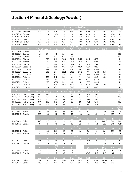|                          |                   |                |                               |                             |                  |                       | <b>Chemical Composition (Percent)</b> |                  |                  |                                                  |                | <b>Unit Size</b>       |
|--------------------------|-------------------|----------------|-------------------------------|-----------------------------|------------------|-----------------------|---------------------------------------|------------------|------------------|--------------------------------------------------|----------------|------------------------|
| Number                   | Name              | <b>TFe</b>     | <b>FeO</b>                    | SiO <sub>2</sub>            | $Al_2O_2$        | CaO                   | <b>MgO</b>                            | <b>MnO</b>       | TiO <sub>2</sub> | P.                                               | S              | (in g)                 |
| <b>NCS DC 28237</b>      | Sinter Ore        | 55.24          | 13.80                         | 6.45                        | 2.80             | 10.80                 | 1.22                                  | 0.205            | 0.157            | 0.048                                            | 0.068          | 50                     |
| <b>NCS DC 28238</b>      | Sinter Ore        | 51.72          | 16.36                         | 10.74                       | 3.56             | 9.07                  | 2.95                                  | 0.650            | 0.229            | 0.053                                            | 0.084          | 50                     |
| NCS DC 28239a Pellet Ore |                   | 62.14          | 0.77                          | 6.32                        | 1.36             | 1.09                  | 2.13                                  | 0.082            | 0.267            | 0.020                                            | 0.010          | 50                     |
| NCS DC 28239b Pellet Ore |                   | 63.78          | 0.77                          | 5.29                        | 0.98             | 0.85                  | 1.59                                  | 0.065            | 0.18             | 0.016                                            | 0.0086         | 50                     |
| NCS DC 28240a Pellet Ore |                   |                |                               |                             |                  |                       |                                       | 0.040            |                  |                                                  | 0.0066         | 50                     |
|                          |                   | 66.18          | 0.78                          | 3.81                        | 0.43             | 0.51                  | 0.79                                  |                  | 0.048            | 0.010                                            |                |                        |
| NCS DC 28240b Pellet Ore |                   | 64.58          | 0.78                          | 4.79                        | 0.80             | 0.73                  | 1.33                                  | 0.057            | 0.136            | 0.014                                            | 0.0080         | 50<br><b>Unit Size</b> |
| Number                   | Name              |                | $Au(\mu g/g)$ Ag( $\mu g/g$ ) | Cu(%)                       | $Pb(\%)$         | $Zn(\%)$              | <b>Chemical Composition</b><br>As(%)  | $Sb(\%)$         | Hg(mg/g)         | $Cd(\% )$                                        |                | (in g)                 |
| NCS DC 29101 Gold ore    |                   | 0.64           |                               |                             |                  |                       |                                       |                  |                  |                                                  |                | 500                    |
| NCS DC 29102 Gold ore    |                   | 4.3            | 37.4                          | 0.3                         | 1.61             | 0.22                  |                                       |                  |                  |                                                  |                | 500                    |
| <b>NCS DC 29103</b>      | Gold ore          | 20             | 18                            | 0.12                        | 0.61             | 0.1                   |                                       |                  |                  |                                                  |                | 500                    |
| <b>NCS DC 29104</b>      | Silver ore        |                | 50.3                          | 0.19                        | $*83.8$          | $*84.9$               | 0.027                                 | 0.012            | (3.85)           |                                                  |                | 50                     |
| NCS DC 29105             | Silver ore        |                | 138.1                         | 0.5                         | 0.02             | $*67.6$               | 0.073                                 | 0.032            | (10.1)           |                                                  |                | 50                     |
|                          |                   |                |                               |                             |                  |                       |                                       |                  |                  |                                                  |                |                        |
| <b>NCS DC 29106</b>      | <b>Silver ore</b> |                | 199                           | 0.68                        | 0.01             | 0.011                 | 0.078                                 | 0.05             | (18)             |                                                  |                | 50                     |
| NCS DC 29107 Copper ore  |                   |                | 6.1                           | 0.29                        | $*34.5$          | 0.01                  | $*41.4$                               | *23.4            | (0.15)           |                                                  |                | 50                     |
| <b>NCS DC 29108</b>      | Copper ore        |                | 14.9                          | 0.9                         | $*80$            | 0.02                  | $*76.6$                               | $*11.7$          | (0.028)          |                                                  |                | 50                     |
| NCS DC 29109             | Copper ore        |                | 59.9                          | 3.84                        | 0.024            | 0.083                 | 0.046                                 | $*71$            | (0.043)          | $*5.68$                                          |                | 50                     |
| <b>NCS DC 29110</b>      | Copper ore        |                | 120                           | 8.53                        | 0.027            | 0.19                  | 0.02                                  | $*35.3$          | (0.039)          | $*13.5$                                          |                | 50                     |
| NCS DC 29111 Pb-Zn ore   |                   |                | 12.9                          | 0.02                        | 0.48             | 4.94                  | $*90$                                 | $*9.0$           | (12.6)           | 0.019                                            |                | 50                     |
| NCS DC 29112 Pb-Zn ore   |                   |                | 362                           | 0.1                         | 2.93             | 0.51                  | 0.082                                 | 0.011            | (0.233)          |                                                  |                | 50                     |
| <b>NCS DC 29113</b>      | Pb-Zn ore         |                | 103                           | 0.075                       | 2.19             | 1.54                  | 0.04                                  | $*38.3$          | (0.074)          |                                                  |                | 50                     |
| NCS DC 29114 Pb-Zn ore   |                   |                | 367.9                         | 0.071                       | 22.96            | 16.22                 | 0.138                                 | 0.044            | (270)            | 0.066                                            |                | 50                     |
| NCS DC 29115 Pb-Zn ore   |                   |                | 5.3                           | 0.021                       | 1.25             | 30.19                 | $*95$                                 | $*20.5$          | (84.8)           | 0.119                                            |                | 50                     |
| <b>Number</b>            | Name              |                |                               |                             |                  |                       | <b>Chemical Composition</b>           |                  |                  |                                                  |                | <b>Unit Size</b>       |
|                          |                   | $Pt(x10^{-6})$ | $Pd(x10^{-6})$                | $Ru(x10^{-9})$              | $Rh(x10^{-9})$   | Ir(x10 <sup>9</sup> ) | $Os(x10^{-9})$                        | $Cu(x10^{-2})$   | $Ni(x10^{-2})$   |                                                  |                | (in g)                 |
| <b>NCS DC 29116</b>      | Platinum Group    | 2.43           | 1.68                          | 1.5                         | 1.9              | 1.6                   | 1.9                                   | 3.58             | 1.78             |                                                  |                | 500                    |
| NCS DC 29117             | Platinum Group    | 10.61          | 0.6                           | 4.2                         | 3.6              | 4.4                   | 3.7                                   | 3.01             | 1.76             |                                                  |                | 500                    |
| NCS DC 29118             | Platinum Group    | 0.9            | 0.7                           | 3.5                         | 3.2              | 3.2                   | 3                                     | 3.25             | 1.76             |                                                  |                | 500                    |
| NCS DC 29119             | Platinum Group    | 4.44           | 1.33                          | 0.71                        | 1.4              | 1.9                   | 1.6                                   | 0.62             | 0.053            |                                                  |                | 500                    |
| <b>NCS DC 29120</b>      | Platinum Group    | 0.38           | 0.4                           | 7.8                         | 18               | 23.6                  | 8.2                                   | 0.11             | 0.22             |                                                  |                | 500                    |
| <b>Number</b>            | Name              |                |                               |                             |                  |                       | $\overline{\mu$ g/g                   |                  |                  |                                                  |                | <b>Unit Size</b>       |
|                          |                   | Ag             | As                            | $\, {\bf B} \,$             | Ba               | Be                    | Bi.                                   | Cd               | Ce               | Co                                               | Cr             | (in g)                 |
| <b>NCS DC36012</b>       | Perlite           | 0.053          | 0.59                          | 26                          | 164              | 8.5                   | 0.18                                  | 0.07             | 37               | 0.33                                             | $-2.3$         | 70                     |
| <b>NCS DC36013</b>       | Sepiolite         | 0.15           | 2.3                           | 6.9                         | 72               | 3.6                   | 0.18                                  | $-1.8$           | 39               | 15                                               | 116            | 70                     |
|                          |                   |                |                               |                             |                  |                       | $\overline{\mu g/g}$                  |                  |                  |                                                  |                |                        |
|                          |                   | Cs             | Cu                            | Dy                          | Er               | Eu.                   | Ga                                    | Gd               | Hf               | Hg                                               | H <sub>O</sub> | ln                     |
| <b>NCS DC36012</b>       | Perlite           | 13.8           | $-1.9$                        | 2                           | 1.46             | 0.29                  | 22                                    | 2                | 4.3              | $(3.4)$ **                                       | 0.44           | 0.04                   |
| NCS DC36013              | Sepiolite         | 4              | 25                            | 3.3                         | 1.8              | 0.8                   | 5.9                                   | 4                | $-1.2$           | 0.16                                             | 0.66           | 0.027                  |
|                          |                   |                | Li.                           |                             |                  |                       | $\mu$ g/g                             |                  |                  |                                                  |                |                        |
|                          |                   | La             |                               | Lu.                         | M <sub>O</sub>   | Nb                    | Nd                                    | Ni.              | P <sub>b</sub>   | Pr                                               | <b>Rb</b>      | S                      |
| NCS DC36012 Perlite      |                   | 21             | 8.3                           | 0.31                        | 4.8              | 30                    | 12.4                                  | $1.5\,$          | 46               | 3.9                                              | 334            | $-38$                  |
| NCS DC36013              | Sepiolite         | 30             | 55                            | 0.26                        | $-0.25$          | 3.9                   | 24                                    | 57               | 8.7              | 6                                                | $20\,$         | $-136$                 |
|                          |                   |                |                               |                             |                  |                       | $\mu$ g/g                             |                  |                  |                                                  | $\cup$         | V                      |
| NCS DC36012              |                   | Sb             | Sc                            | Sm                          | Sn               | Sr.                   | Ta                                    | Tb               | <b>Th</b>        | Tm                                               |                |                        |
|                          | Perlite           | $-0.08$        | 3.4                           | 2.3                         | 2.2              | 118                   | 3                                     | 0.34             | 35               | 0.25                                             | 19             | $-2.6$                 |
| NCS DC36013              | Sepiolite         | $-0.57$        | 5.6                           | 4.3                         | $1.2\,$          | 49                    | 0.3                                   | 0.62             | 3.8              | 0.27                                             | 5.3            | 81                     |
|                          |                   | W              | Y                             | $\mu$ g/g<br>Y <sub>b</sub> | Zn               | Zr                    |                                       | SiO <sub>2</sub> | $Al_2O_3$        | $\frac{0}{0}$<br>TFe <sub>2</sub> O <sub>2</sub> | FeO            | MgO                    |
| NCS DC36012 Perlite      |                   | 1.9            |                               |                             | 40               | 91                    |                                       | 72.72            |                  |                                                  |                |                        |
|                          | Sepiolite         |                | 14                            | 1.8                         |                  | 43                    |                                       |                  | 12.69            | 0.62                                             | 0.07           | 0.25                   |
| NCS DC36013              |                   | 0.5            | 23                            | $1.6\,$                     | 105              |                       | $\%$                                  | 63.55            | 4.45             | 1.46                                             | $-0.1$         | 18                     |
|                          |                   | CaO            | Na <sub>2</sub> O             | K <sub>2</sub> O            | TiO <sub>2</sub> | $P_2O_5$              | MnO                                   | L.O.I.           | TC.              | CO <sub>2</sub>                                  | $H_2O+$        |                        |
| NCS DC36012 Perlite      |                   | 0.82           | 3.03                          | 4.65                        | 0.079            | 0.004                 | 0.051                                 | 4.97             | 0.028            | $-0.045$                                         | 4.91           |                        |
| NCS DC36013              | Sepiolite         | 2.56           | 0.12                          | 0.32                        | $0.18\,$         | 0.41                  | 0.022                                 | 8.55             | 0.63             |                                                  | 6.39           |                        |
|                          |                   |                |                               |                             |                  |                       |                                       |                  |                  | 1.63                                             |                |                        |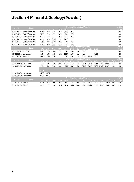|                         |                   |                  |                 |                                |                  |            |            | <b>Chemical Composition (Percent)</b> |                   |                  |          |                 |                               |       | Unit Size                     |
|-------------------------|-------------------|------------------|-----------------|--------------------------------|------------------|------------|------------|---------------------------------------|-------------------|------------------|----------|-----------------|-------------------------------|-------|-------------------------------|
| <b>Number</b>           | Name              | <b>TFe</b>       | <b>SiFe</b>     | <b>SFe</b>                     | <b>MFe</b>       | <b>OFe</b> | <b>CFe</b> |                                       |                   |                  |          |                 |                               |       | (in g)                        |
| <b>NCS DC 47010</b>     | State Of Irom Ore | 44.67            | (1.3)           | 0.9                            | 10.0             | (16.5)     | 15.6       |                                       |                   |                  |          |                 |                               |       | 100                           |
| NCS DC 47011            | State Of Irom Ore | 52.96            | (0.8)           | 0.7                            | 46.9             | (2.6)      | 2.0        |                                       |                   |                  |          |                 |                               |       | 100                           |
| <b>NCS DC 47012</b>     | State Of Irom Ore | 43.73            | (0.7)           | 6.4                            | 30.0             | (2.2)      | 4.5        |                                       |                   |                  |          |                 |                               |       | 100                           |
| NCS DC 47013            | State Of Irom Ore | 48.76            | (2.9)           | (0.04)                         | 0.8              | (44.7)     | 0.3        |                                       |                   |                  |          |                 |                               |       | 100                           |
| <b>NCS DC 47014</b>     | State Of Irom Ore | 26.90            | (4.8)           | (0.08)                         | 18.5             | (2.8)      | 0.8        |                                       |                   |                  |          |                 |                               |       | 100                           |
| <b>NCS DC 47015</b>     | State Of Irom Ore | 35.85            | (1.3)           | (0.03)                         | 33.8             | (0.3)      | 0.3        |                                       |                   |                  |          |                 |                               |       | 100                           |
| <b>Number</b>           | Name              |                  |                 |                                |                  |            |            | <b>Chemical Composition (Percent)</b> |                   |                  |          |                 |                               |       | <b>Unit Size</b>              |
|                         |                   | SiO <sub>2</sub> | $Al_2O_3$       | Fe <sub>2</sub> O <sub>3</sub> | TiO <sub>2</sub> | CaO        | <b>MgO</b> | K <sub>2</sub> O                      | Na <sub>2</sub> O | CaF <sub>2</sub> | L.O.     |                 |                               |       | $(\mathsf{in} \, \mathrm{g})$ |
| <b>NCS DC 62001</b>     | Iron Ore          | 33.06            | 5.16            | 48.86                          | 0.24             | 2.56       | 1.00       | 2.51                                  | 0.17              |                  | 5.45     |                 |                               |       | 20                            |
| <b>NCS DC 62002</b>     | Limestone         | 2.86             | 0.56            | 0.45                           | 0.02             | 50.94      | 2.69       | 0.11                                  | 0.14              |                  | 41.99    |                 |                               |       | 20                            |
| <b>NCS DC 62003</b>     | Fluorite          | 23.52            | 2.50            | 0.63                           |                  | 0.50       | 0.03       | 1.21                                  | 0.32              | 67.22            | 0.62     |                 |                               |       | 20                            |
| <b>Number</b>           | Name              |                  |                 |                                |                  |            |            | <b>Chemical Composition (Percent)</b> |                   |                  |          |                 |                               |       | Unit Size                     |
|                         |                   | SiO <sub>2</sub> | $Al_2O_3$       | Fe <sub>2</sub> O <sub>3</sub> | TiO <sub>2</sub> | CaO        | MgO        | K <sub>2</sub> O                      | Na <sub>2</sub> O | <b>MnO</b>       | $P_3O_5$ | SO-             | Cl                            | fSiO. | (in g)                        |
| NCS DC 60109a           | Limestone         | 4.05             | 0.94            | 0.58                           | 0.052            | 50.09      | 1.79       | 0.42                                  | 0.027             | 0.014            | 0.033    | 0.054           | 0.0062                        | 2.02  | 50                            |
| NCS DC 60110a Limestone |                   | 2.25             | 0.6             | 0.38                           | 0.03             | 47.07      | 5.81       | 0.2                                   | 0.016             | 0.012            | 0.037    | 0.032           | 0.0054                        | 1.21  | 50                            |
|                         |                   |                  |                 |                                |                  |            |            |                                       |                   |                  |          |                 |                               |       |                               |
|                         |                   | L.O.             | CO <sub>2</sub> |                                |                  |            |            |                                       |                   |                  |          |                 |                               |       |                               |
| NCS DC 60109a Limestone |                   | 41.53            | (41.32)         |                                |                  |            |            |                                       |                   |                  |          |                 |                               |       |                               |
| NCS DC 60110a           | Limestone         | 43.22            | (43.02)         |                                |                  |            |            |                                       |                   |                  |          |                 |                               |       |                               |
| <b>Number</b>           | Name              |                  |                 |                                |                  |            |            | <b>Chemical Composition (Percent)</b> |                   |                  |          |                 |                               |       | <b>Unit Size</b>              |
|                         |                   | SiO.             | $Al_2O_3$       | Fe <sub>3</sub> O <sub>2</sub> | CaO              | <b>MgO</b> | $K_2O$     | Na <sub>2</sub> O                     | TiO               | <b>MnO</b>       | $P_2O_5$ | SO <sub>2</sub> | H <sub>2</sub> O <sup>2</sup> | L.O.I | (in g)                        |
| NCS DC 60122a           | Kaolin            | 43.41            | 34.77           | 1.5                            | 0.038            | 0.069      | 0.78       | 0.045                                 | 0.25              | 0.002            | 0.21     | 5.51            | 13.24                         | 17.31 | 50                            |
| NCS DC 60123a Kaolin    |                   | 45.3             | 37.7            | 0.35                           | 0.064            | 0.021      | 0.042      | 0.045                                 | 0.06              | 0.0018           | 0.16     | 0.76            | 15.26                         | 14.81 | 50                            |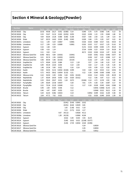| <b>Chemical Composition (Percent)</b>                                                                                                              |            |                                       |            | <b>Unit Size</b> |
|----------------------------------------------------------------------------------------------------------------------------------------------------|------------|---------------------------------------|------------|------------------|
| <b>Number</b><br>Name<br>SiO <sub>2</sub><br>$Al_2O_3$<br><b>MnO</b><br>$P_2O_5$<br>Fe <sub>2</sub> O <sub>3</sub><br>FeO<br>S.<br>SO <sub>2</sub> | TiO,       | K <sub>2</sub> O<br>Na <sub>2</sub> O | <b>MgO</b> | CaO<br>(in g)    |
| 0.14<br>10.55<br>49.98<br>26.27<br>0.052<br>(0.080)<br><b>NCS DC 60102</b><br>Clay<br>0.049                                                        | 0.70       | 0.060<br>0.79                         | 0.46       | 50<br>0.13       |
| <b>NCS DC 60104</b><br>0.33<br>53.67<br>31.32<br>0.020<br>0.053<br>Clay<br>(0.052)<br>0.023                                                        | 0.030      | 1.15<br>2.55                          | 0.083      | 50<br>1.80       |
| 13.28<br>0.088<br>(0.80)<br>0.106<br><b>NCS DC 60105</b><br>Clay<br>4.64<br>66.64<br>0.027                                                         | 0.66       | 2.50<br>1.81                          | 1.84       | 3.23<br>60       |
| <b>NCS DC 60106</b><br>69.53<br>14.82<br>0.024<br>0.043<br>Shale<br>5.67<br>(0.40)<br>0.028                                                        | 0.68       | 3.76<br>0.20                          | 0.67       | 0.22<br>60       |
| 0.0067<br>0.0081<br><b>NCS DC 60107a</b><br>0.11<br>1.09<br>0.24<br>0.018<br>Limestone                                                             | 0.010      | 0.084<br>0.017                        | 0.81       | 50<br>54.03      |
| 0.33<br>0.0061<br><b>NCS DC 60108a</b><br>0.17<br>2.09<br>0.0089<br>0.016<br>Limestone                                                             | 0.015      | 0.17<br>0.017                         | 2.25       | 51.61<br>50      |
| <b>NCS DC 60112</b><br>0.16<br>1.68<br>0.34<br>51.91<br>Gypsum                                                                                     | 0.016      | 0.094<br>0.065                        | 1.74       | 39.24<br>50      |
| <b>NCS DC 60114</b><br>37.64<br>0.38<br>4.16<br>1.14<br>Gypsum                                                                                     | 0.058      | 0.014<br>0.23                         | 3.19       | 30.28<br>50      |
| <b>NCS DC 60115</b><br>Gypsum<br>0.11<br>0.63<br>0.14<br>40.72                                                                                     | 0.010      | 0.026<br>0.014                        | 2.47       | 32.30<br>60      |
| <b>NCS DC 60116</b><br>Siliceous Sand Ore<br>0.093<br>98.51<br>0.84<br>(0.0016)<br>(0.0041)                                                        | 0.020      | 0.061<br>0.021                        | 0.066      | 0.077<br>60      |
| <b>NCS DC 60117</b><br>Siliceous Sand Ore<br>0.21<br>95.74<br>2.36<br>(0.0033)<br>(0.0076)                                                         | 0.036      | 0.67<br>0.25                          | 0.098      | 0.17<br>60       |
| <b>NCS DC 60118</b><br>Siliceous Sand Ore<br>0.48<br>89.59<br>5.48<br>(0.010)<br>(0.014)                                                           | 0.102      | 2.07<br>1.09                          | 0.16       | 0.34<br>60       |
| <b>NCS DC 60119</b><br>Graphite Ore<br>6.73<br>49.84<br>12.93<br>0.084<br>0.13<br>1.18                                                             | 0.57       | 2.54<br>1.60                          | 6.10       | 9.37<br>60       |
| <b>NCS DC 60120</b><br>Graphite Ore<br>6.99<br>49.34<br>13.03<br>0.054<br>0.14<br>2.59                                                             | 0.64       | 2.17<br>1.56                          | 5.35       | 5.34<br>50       |
| 10.34<br>5.60<br>0.022<br>0.16<br><b>NCS DC 60121</b><br>Graphite Ore<br>1.48<br>0.14                                                              | 0.55       | 0.99<br>0.23                          | 0.50       | 0.74<br>50       |
| 54.55<br>0.0032<br>0.099<br>0.53<br><b>NCS DC 60122</b><br>Kaolin<br>0.50<br>31.41<br>(0.026)                                                      | 0.69       | 0.015<br>0.34                         | 0.12       | 0.052<br>50      |
| <b>NCS DC 60123</b><br>Kaolin<br>0.72<br>44.55<br>38.62<br>0.0054<br>(0.33)<br>0.21<br>0.12                                                        | 0.39       | 0.049<br>0.069                        | 0.068      | 0.16<br>50       |
| <b>NCS DC 60124</b><br>Siliceous Lime<br>0.10<br>50.50<br>0.39<br>0.096<br>0.28<br>0.052<br>(0.010)                                                | 0.022      | 0.052<br>0.14                         | 0.95       | 50<br>40.39      |
| <b>NCS DC 60125</b><br>60.64<br>20.05<br>0.050<br>0.28<br>0.020<br>Nephelimite<br>1.37<br>(0.011)                                                  | 0.12       | 5.06<br>8.97                          | 0.13       | 0.52<br>50       |
| <b>NCS DC 60126</b><br>39.42<br>29.67<br>0.031<br>1.24<br>0.072<br>Nephelimite<br>0.33<br>(0.064)                                                  | 0.14       | 4.72<br>12.59                         | 0.92       | 5.98<br>50       |
| 66.84<br>0.0037<br>0.20<br>0.61<br><b>NCS DC 60127</b><br>Pyrophyllite<br>1.94<br>23.58                                                            | 0.70       | 0.34<br>0.38                          | 0.087      | 0.17<br>50       |
| <b>NCSDC60128</b><br>0.22<br>70.34<br>22.20<br>0.0040<br>0.11<br>0.17<br>Pyrophyllite                                                              | 0.18       | 0.028<br>0.043                        | 0.041      | 0.066<br>50      |
| <b>NCS DC 60129</b><br><b>Brucite</b><br>0.49<br>2.69<br>0.053<br>0.036<br>0.12                                                                    |            | 0.0041<br>0.0066                      | 61.43      | 2.51<br>50       |
| 0.033<br>0.12<br><b>NCS DC 60130</b><br><b>Brucite</b><br>0.40<br>4.47<br>0.067                                                                    |            | 0.0066<br>0.013                       | 56.21      | 6.18<br>50       |
| 0.082<br>0.0015<br><b>NCS DC 60131</b><br>0.29<br>62.03<br>0.14<br>Talcum                                                                          | 0.0052     | 0.009<br>0.022                        | 31.89      | 0.38<br>50       |
| <b>NCS DC 60132</b><br>47.71<br>7.62<br>0.021<br>0.11<br>Talcum<br>2.64                                                                            | 0.52       | 0.026<br>0.049                        | 29.50      | 2.39<br>50       |
| fsio <sub><math>2</math></sub> *<br>$H2O+$<br>CO <sub>1</sub><br>$\overline{c}$<br>L.O.<br>Vdatile<br>Co<br>Ash                                    | <b>SrO</b> | $Cr_2O_2$ A.U.M*                      |            |                  |
| <b>NCS DC 60102</b><br>Clay<br>(0.041)<br>(9.64)<br>0.0041<br>10.62                                                                                |            |                                       |            |                  |
| (8.64)<br>0.0029<br>8.81<br><b>NCSDC 60104</b><br>Clay<br>(0.051)                                                                                  |            |                                       |            |                  |
| 5.10<br><b>NCS DC 60105</b><br>Clay<br>1.65<br>(3.38)<br>0.011                                                                                     |            |                                       |            |                  |
| 0.014<br>4.17<br><b>NCS DC 60106</b><br>Shale<br>0.13<br>(3.71)                                                                                    |            |                                       |            |                  |
| <b>NCS DC 60107a</b><br>(43.12)<br>0.0028<br>43.12<br>Limestone<br>0.67                                                                            |            |                                       |            |                  |
| 0.0066<br>42.84<br><b>NCS DC 60108a</b><br>Limestone<br>1.38<br>(42.59)                                                                            |            |                                       |            |                  |
| <b>NCS DC 60112</b><br>0.033<br>4.55<br>(4.02)<br>0.39<br>Gypsum                                                                                   | (0.27)     |                                       |            |                  |
| (22.88)<br><b>NCSDC 60114</b><br>(5.80)<br>16.62<br>0.013<br>Gypsum                                                                                | (0.077)    |                                       |            |                  |
| <b>NCS DC 60115</b><br>17.95<br>0.0032<br>23.60<br>Gypsum<br>(5.44)                                                                                | (0.096)    |                                       |            |                  |
| <b>NCS DC 60116</b><br>Siliceous Sand Ore<br>0.24                                                                                                  |            | 0.00034                               |            |                  |
| <b>NCS DC 60117</b><br>Siliceous Sand Ore<br>0.35                                                                                                  |            | 0.00054                               |            |                  |
| 0.53<br><b>NCSDC 60118</b><br>Siliceous Sand Ore                                                                                                   |            | 0.0012                                |            |                  |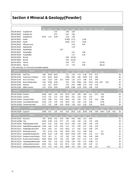| NCSDC 60119                |                                                                                    |                                | Ash Vdatile      | Co<br>2.91                     | fsio <sub>2</sub> $*$ | CO <sub>2</sub><br>3.60 | $H2O+$<br>2.60                                | <b>Cl</b>         | L.O.                                  | <b>SrO</b>        |                   | $Cr_2O_3$ A.U.M* |       |                                             |                  |
|----------------------------|------------------------------------------------------------------------------------|--------------------------------|------------------|--------------------------------|-----------------------|-------------------------|-----------------------------------------------|-------------------|---------------------------------------|-------------------|-------------------|------------------|-------|---------------------------------------------|------------------|
| <b>NCS DC 60120</b>        | Graphite Ore<br>Graphite Ore                                                       |                                |                  | 9.91                           |                       | 0.67                    | 2.80                                          |                   |                                       |                   |                   |                  |       |                                             |                  |
| NCSDC60121                 | Graphite Ore                                                                       | 20.78                          | 2.72             | 76.50                          |                       | 0.28                    | 1.98                                          |                   |                                       |                   |                   |                  |       |                                             |                  |
|                            |                                                                                    |                                |                  |                                |                       |                         |                                               |                   |                                       |                   |                   |                  |       |                                             |                  |
| <b>NCS DC 60122</b>        | Kaolin                                                                             |                                |                  |                                |                       | (0.026)                 | 11.72                                         |                   | 11.94                                 |                   |                   |                  |       |                                             |                  |
| NCSDC60123                 | Kaolin                                                                             |                                |                  |                                |                       | (0.06)                  | 14.77                                         |                   | 15.00                                 |                   |                   |                  |       |                                             |                  |
| NCSDC60124                 | Siliceous Lime                                                                     |                                |                  |                                |                       |                         | 2.34                                          |                   | 6.93                                  |                   |                   |                  |       |                                             |                  |
| <b>NCS DC 60125</b>        | Nephelimite                                                                        |                                |                  |                                |                       |                         | 1.78                                          |                   |                                       |                   |                   |                  |       |                                             |                  |
| <b>NCS DC 60126</b>        | Nephelimite                                                                        |                                |                  |                                | 2.97                  |                         |                                               |                   |                                       |                   |                   |                  |       |                                             |                  |
| NCSDC60127<br>NCS DC 60128 | Pyrophyllite<br>Pyrophyllite                                                       |                                |                  |                                |                       |                         | 4.15<br>5.17                                  |                   | 5.48<br>6.34                          |                   |                   |                  |       |                                             |                  |
| NCS DC 60129               | <b>Brucite</b>                                                                     |                                |                  |                                |                       | 8.08                    | (25.24)                                       |                   |                                       |                   |                   |                  |       |                                             |                  |
| <b>NCS DC 60130</b>        | <b>Brucite</b>                                                                     |                                |                  |                                |                       | 9.95                    | (23.22)                                       |                   |                                       |                   |                   |                  |       |                                             |                  |
| <b>NCS DC 60131</b>        | Talcum                                                                             |                                |                  |                                |                       | 0.34                    | 4.73                                          |                   | 5.14                                  |                   |                   | (92.78)          |       |                                             |                  |
| <b>NCS DC 60132</b>        | Talcum                                                                             |                                |                  |                                |                       | 2.17                    | 7.34                                          |                   | 9.40                                  |                   |                   |                  |       |                                             |                  |
|                            | *fsio <sub>2</sub> is free SiO <sub>2</sub> ; A. U. M is acid-unsolvable material. |                                |                  |                                |                       |                         |                                               |                   |                                       |                   |                   | (83.13)          |       |                                             |                  |
|                            |                                                                                    |                                |                  |                                |                       |                         |                                               |                   | <b>Chemical Composition(Percent)</b>  |                   |                   |                  |       |                                             | <b>Unit Size</b> |
| <b>Number</b>              | Name                                                                               | Fe <sub>2</sub> O <sub>3</sub> | SiO <sub>2</sub> | $Al_2O_3$                      | SO <sub>3</sub>       | TiO <sub>2</sub>        | $K_2O$                                        | Na <sub>2</sub> O | <b>MgO</b>                            | CaO               | L.O.1             | $B_2O_3$         | F     |                                             | (in g)           |
| <b>NCSDC 61101</b>         | Soff Clay                                                                          | 0.86                           | 55.90            | 28.57                          |                       | 1.21                    | 1.54                                          | 1.74              | 0.30                                  | 0.70              | 8.72              |                  |       |                                             | 50               |
| NCSDC61102                 | Potassium Feldspar                                                                 | 0.19                           | 66.26            | 18.63                          |                       | 0.048                   | 9.60                                          | 3.69              | 0.054                                 | 0.76              | 0.86              |                  |       |                                             | 50               |
| NCSDC61103                 | Na-Ca-Si Glass                                                                     | 0.18                           | 71.25            | 2.56                           | 0.17                  | 0.057                   | 1.10                                          | 13.77             | 3.98                                  | 6.37              | 0.44              |                  |       |                                             | 50               |
| NCSDC61104                 | <b>Boron Silicate Glass</b>                                                        | 0.34                           | 53.98            | 14.50                          |                       | 0.19                    | 0.59                                          | 0.096             | 4.40                                  | 16.54             | 0.26              | 8.87             | 0.54  |                                             | 50               |
| <b>NCSDC61105</b>          | Alumine                                                                            | 1.18                           | 8.17             | 85.07                          |                       | 3.76                    | 0.44                                          | 0.080             | 0.21                                  | 0.24              | 0.29              |                  |       |                                             | 50               |
| <b>NCSDC61106</b>          | Albite Cement                                                                      | 0.10                           | 67.96            | 19.62                          |                       | 0.054                   | 0.098                                         | 11.26             | 0.015                                 | 0.48              | 0.36              |                  |       |                                             | 50               |
| <b>Number</b>              | Name                                                                               |                                |                  |                                |                       |                         |                                               |                   | <b>Chemical Composition(Percent)</b>  |                   |                   |                  |       |                                             | <b>Unit Size</b> |
|                            |                                                                                    | Si <sub>O</sub> .              | $Al_2O_3$        | Fe <sub>2</sub> O <sub>3</sub> | TiO <sub>2</sub>      | CaO                     | <b>MgO</b>                                    | SO <sub>2</sub>   | $K_2O$                                | Na <sub>2</sub> O | I.R               | L.O.             |       |                                             | (in g)           |
| NCS DC 62101b Porland      |                                                                                    | 20.88                          | 4.48             | 2.64                           | 0.32                  | 62.76                   | 2.05                                          | 2.98              | 0.66                                  | 0.11              | 0.75              | 3.00             |       |                                             | 20               |
| NCS DC 62102a Cement       |                                                                                    | 21.19                          | 5.31             | 3.17                           | 0.32                  | 58.67                   | 2.91                                          | 2.33              | 0.91                                  | 0.14              |                   | 4.50             |       |                                             | 20               |
|                            | NCS DC 62103a Cement Clinker                                                       | 21.91                          | 4.80             | 4.12                           | 0.24                  | 64.42                   | 1.81                                          | 0.39              | 1.07                                  | 0.14              | 0.16              | 0.80             |       |                                             | 20               |
|                            | NCS DC 62104a Cement Black Raw Meal                                                | 14.26                          | 3.70             | 2.45                           | 0.24                  | 38.70                   | 1.61                                          | 0.39              | 0.70                                  | 0.28              |                   | 37.40            |       |                                             | 20               |
|                            | NCS DC 62105a Cement raw meal                                                      | 11.77                          | 3.27             | 2.09                           | 0.19                  | 43.94                   | 1.58<br><b>Chemical Composition (Percent)</b> | 0.10              | 0.59                                  | 0.10              |                   | 36.18            |       | Adhered Crystallized Indissoluble Unit Size | 20               |
| <b>Number</b>              | Name                                                                               | L.O.                           | SiO <sub>2</sub> | $Al_2O_3$                      | $\mathsf{Fe_2O_3}$    | TiO.                    | CaO                                           | MgO               | SO <sub>2</sub>                       | K, O              | Na <sub>2</sub> O | water            | water | material                                    | (in g)           |
| <b>NCS DC 62106</b>        | Gypsum                                                                             | 24.48                          | 6.37             | 1.87                           | 0.57                  | 0.10                    | 29.32                                         | 6.26              | 30.36                                 | 0.38              | 0.08              | micro            | 11.56 | 9.01                                        | 20               |
|                            |                                                                                    |                                |                  |                                |                       |                         |                                               |                   | <b>Chemical Composition (Percent)</b> |                   |                   |                  |       |                                             | <b>Unit Size</b> |
| Number                     | Name                                                                               | SiO <sub>2</sub>               | $Al_2O_3$        | Fe <sub>2</sub> O <sub>3</sub> | TiO <sub>2</sub>      | CaO                     | MgO                                           | $K_2O$            | Na <sub>2</sub> O                     | L.O.              | SO <sub>3</sub>   | S.               | l.R   |                                             | (in g)           |
| <b>NCS DC 62107</b>        | Alumina                                                                            | 4.97                           | 83.90            | 3.91                           | 4.19                  | 0.99                    | 0.46                                          | 0.38              | 0.11                                  | 0.44              |                   |                  |       |                                             | 20               |
| NCS DC 62108b Clay         |                                                                                    | 65.00                          | 15.48            | 6.16                           | 0.77                  | 1.47                    | 1.60                                          | 2.40              | 1.10                                  | 5.55              | 0.06              |                  |       |                                             | 20               |
| <b>NCS DC 62109</b>        | Portland pozzolanic cement                                                         | 32.67                          | 6.52             | 3.54                           | 0.16                  | 47.57                   | 1.86                                          | 1.43              | 0.85                                  | 2.44              | 2.59              |                  |       |                                             | 20               |
| <b>NCS DC 62110</b>        | Portland blast-furnace slag cement                                                 | 23.48                          | 6.26             | 2.39                           | 0.43                  | 57.4                    | 3.31                                          | 0.59              | 0.17                                  | 3.68              | 2.02              |                  |       |                                             | 20               |
| <b>NCS DC 62111</b>        | Portland flay ash cement                                                           | 24.31                          | 8.93             | 4.9                            | 0.33                  | 46.52                   | 1.9                                           | 0.61              | 0.32                                  | 9.09              | 2.47              |                  |       |                                             | 20               |
| <b>NCS DC 62112</b>        | Aluminate cement                                                                   | 7.95                           | 51.15            | 1.91                           | 2.03                  | 34.56                   | 0.63                                          | 0.13              | 0.04                                  | 0.68              |                   | $0.1\,$          |       |                                             | 20               |
| <b>NCS DC 62113</b>        | Granulated balst-furnace slag for cement                                           | 34.93                          | 12.23            | 1.26                           | 1.06                  | 35.62                   | 10.66                                         | 0.54              | 0.42                                  | 1.05              | 1.17              | 0.61             |       |                                             | 20               |
|                            |                                                                                    |                                |                  |                                |                       |                         |                                               |                   |                                       |                   |                   |                  |       |                                             |                  |
| NCS DC 62114               | Pozzolana in cement industry                                                       | 57.53                          | 24.2             | $5.1\,$                        | 1.07                  | 2.83                    | 1.24                                          | 3.05              | 1.42                                  | 2.99              | 0.08              |                  |       |                                             | 20               |
| <b>NCS DC 62115</b>        | fly ash cement industry                                                            | 48.93                          | 36.62            | 4.37                           | 1.46                  | 4.42                    | 0.84                                          | 0.57              | 0.17                                  | 1.76              | 0.35              |                  |       |                                             | 20               |
| <b>NCS DC 62116</b>        | Composite portland cement                                                          | 16.34                          | 4.01             | 2.22                           | 0.22                  | 57.86                   | 2.28                                          | 0.55              | 0.11                                  | 13.86             | 2.3               |                  |       |                                             | 20               |
| <b>NCS DC 62117</b>        | white portland cement<br>moderate heat portland cement                             | 20.49                          | 4.61             | 0.26<br>4.12                   | 0.12                  | 65.71                   | 0.14                                          | 0.05              | 0.05                                  | 6.43              | 1.9<br>2.27       |                  |       |                                             | 20               |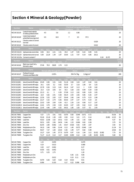| <b>Number</b>         | <b>Name</b>                                                        | Pozzolana or coal ash |                                 |                                | Slag                           |                  | <b>Limestone</b> |                   | <b>Chemical Composition(Percent)</b><br>$CO2$ (not solved slag) |                   | $Cl-$  |           |                  |                                                 | <b>Unit Size</b><br>(in g)      |
|-----------------------|--------------------------------------------------------------------|-----------------------|---------------------------------|--------------------------------|--------------------------------|------------------|------------------|-------------------|-----------------------------------------------------------------|-------------------|--------|-----------|------------------|-------------------------------------------------|---------------------------------|
| <b>NCS DC 62119</b>   | Contet of mixed materials<br>of ordinary portland cement           | 4.5                   |                                 | 5.8                            |                                | 1.2              |                  | 0.98              |                                                                 |                   |        |           |                  |                                                 | 20                              |
| <b>NCS DC 62120</b>   | Contet of mixed materials of<br>portland blast-furnace slag cement | 0.5                   |                                 |                                | 18.5                           |                  | 7                | 3.5               | 97.5                                                            |                   |        |           |                  |                                                 | 20                              |
| NCSDC 62121           | Chloride content of cement<br>raw meal                             |                       |                                 |                                |                                |                  |                  |                   |                                                                 |                   | 0.029  |           |                  |                                                 | 20                              |
| <b>NCS DC 62122</b>   | Chloride content of cement                                         |                       |                                 |                                |                                |                  |                  |                   |                                                                 |                   | 0.012  |           |                  |                                                 | 20                              |
| <b>Number</b>         | Name                                                               | SiO <sub>2</sub>      | $Al_2O_3$                       | Fe <sub>2</sub> O <sub>3</sub> | TiO <sub>2</sub>               | CaO              | MgO              | SO <sub>3</sub>   | <b>Chemical Composition(Percent)</b><br>$K_2O$                  | Na <sub>2</sub> O | L.O.   | F.        | CaF <sub>2</sub> |                                                 | <b>Unit Size</b><br>(in g)      |
| <b>NCS DC 62123</b>   | Sulphoaluminate cement clinker                                     | 8.56                  | 32.6                            | 2.21                           | 1.51                           | 43.4             | 1.37             | 9.55              | 0.22                                                            | 0.09              | 0.41   |           |                  |                                                 | 20                              |
| NCS DC 62124          | Sulphoaluminate cement raw meal                                    | 5.09                  | 22.29                           | 1.34                           | 1.07                           | 33.05            | 1.21             | 7.07              | 0.14                                                            | 0.06              | 28.21  |           |                  |                                                 | 20                              |
|                       | NCS DC 62125a Cement contain F                                     |                       |                                 |                                |                                |                  |                  |                   |                                                                 |                   |        | 0.18      | (0.37)           |                                                 | 20                              |
| <b>Number</b>         | Name                                                               |                       |                                 |                                |                                |                  |                  |                   | <b>Chemical Composition (Percent)</b>                           |                   |        |           |                  |                                                 | <b>Unit Size</b>                |
|                       |                                                                    | Loss                  | TCaCO                           | CaO                            | Fe <sub>2</sub> O <sub>3</sub> | F.               |                  |                   |                                                                 |                   |        |           |                  |                                                 | (in g) $\overline{\phantom{a}}$ |
| <b>NCS DC 62126</b>   | Black raw meal CaCo <sub>3</sub><br>titrmetric value               | 37.46                 | 70.9                            | 38.89                          | 2.74                           | 0.15             |                  |                   |                                                                 |                   |        |           |                  |                                                 | 20                              |
| <b>Number</b>         | Name                                                               |                       | Remain after through 80 ymsieve |                                |                                |                  |                  | Blaine            | <b>Chemical Composition (Percent)</b><br>Density                |                   |        |           |                  |                                                 | <b>Unit Size</b><br>(in g)      |
| NCSDC 62127           | <b>Portland Cement</b><br>Fineness and Blaine Std                  |                       |                                 | 2.03%                          |                                |                  |                  | 354.7 $m^2$ /kg   | $3.16$ g/cm <sup>3</sup>                                        |                   |        |           |                  |                                                 | 200                             |
| <b>Number</b>         | Name                                                               | SiO <sub>2</sub>      | $Al_2O_3$                       | Fe <sub>2</sub> O <sub>3</sub> | TiO <sub>2</sub>               | CaO              | <b>MgO</b>       | SO <sub>2</sub>   | <b>Chemical Composition(Percent)</b><br>K <sub>2</sub> O        | Na <sub>2</sub> O | L.O.   |           |                  |                                                 | <b>Unit Size</b><br>(in g)      |
| <b>NCSDC 62128C1</b>  | Series of Cement for XRF Analysis                                  | 25.49                 | 6.96                            | 3.31                           | 0.43                           | 51.18            | 3.94             | 3.24              | 1.07                                                            | 0.42              | 3.61   |           |                  |                                                 | 20                              |
| <b>NCSDC 62128C2</b>  | Series of Cement for XRF Analysis                                  | 24.1                  | 6.93                            | 3.2                            | 0.42                           | 53.59            | 3.7              | 3.18              | 1.06                                                            | 0.4               | 3.25   |           |                  |                                                 | 20                              |
| <b>NCS DC 62128C3</b> | Series of Cement for XRF Analysis                                  | 23.78                 | 6.56                            | 3.19                           | 0.41                           | 54.14            | 3.47             | 3.13              | $\mathbf{1}$                                                    | 0.39              | 3.82   |           |                  |                                                 | 20                              |
| <b>NCSDC 62128C4</b>  | Series of Cement for XRF Analysis                                  | 23.3                  | 6.33                            | 3.05                           | 0.4                            | 55.5             | 3.28             | 2.92              | 0.94                                                            | 0.34              | 3.58   |           |                  |                                                 | 20                              |
| NCS DC 62128C5        | Series of Cement for XRF Analysis                                  | 23.13                 | 6.1                             | 3                              | 0.39                           | 57.08            | 3.13             | 2.82              | 0.89                                                            | 0.29              | 3.05   |           |                  |                                                 | 20                              |
| <b>NCSDC 62128C6</b>  | Series of Cement for XRF Analysis                                  | 22.8                  | 5.82                            | 2.91                           | 0.38                           | 58.14            | 2.93             | 2.66              | 0.85                                                            | 0.26              | 2.97   |           |                  |                                                 | 20                              |
| <b>NCSDC 62128C7</b>  | Series of Cement for XRF Analysis                                  | 22.56                 | 5.55                            | 2.83                           | 0.37                           | 59.44            | 2.66             | 2.44              | 0.79                                                            | 0.23              | 2.86   |           |                  |                                                 | 20                              |
| <b>NCSDC 62128C8</b>  | Series of Cement for XRF Analysis                                  | 22.27                 | 5.32                            | 2.74                           | 0.36                           | 60.63            | 2.47             | 2.37              | 0.75                                                            | 0.19              | 2.8    |           |                  |                                                 | 20                              |
| NCS DC 62128C9        | Series of Cement for XRF Analysis                                  | 22.02                 | 5.09                            | 2.69                           | 0.34                           | 61.5             | 2.26             | 2.16              | 0.68                                                            | 0.17              | 2.87   |           |                  |                                                 | 20                              |
| NCSDC 62128C10        | Series of Cement for XRF Analysis                                  | 21.81                 | 4.78                            | 2.58                           | 0.33                           | 62.65            | 2.07             | 2.05              | 0.62                                                            | 0.13              | 2.84   |           |                  |                                                 | 20                              |
|                       | NCS DC 62128C11 Series of Cement for XRF Analysis                  | 21.45                 | 4.46                            | 2.49                           | 0.32                           | 64.01            | 1.85             | 1.83              | 0.57                                                            | 0.1               | 2.65   |           |                  |                                                 | 20                              |
| Number                | Name                                                               | SiO <sub>2</sub>      | $\mathsf{Al}_2\mathsf{O}_3$     | Mg                             | CaO                            | TiO <sub>2</sub> | MnO              | Na <sub>2</sub> O | <b>Chemical Composition(Percent)</b><br>$K_2O$                  | S.                | Li.    | <b>Rb</b> | <b>Ba</b>        | <b>TFe</b><br>(Fe <sub>2</sub> O <sub>3</sub> ) | <b>Unit Size</b><br>(in g)      |
| NCS DC 70001          | Copper Ore                                                         | 9.27                  | 1.73                            | 3.91                           | 9.61                           | 0.079            | 0.60             | 0.044             | 0.071                                                           | 0.72              |        |           |                  | 55.58                                           | 50                              |
| <b>NCS DC 70002</b>   | Copper Ore                                                         | 53.26                 | 15.18                           | 1.30                           | 4.95                           | 0.50             | 0.12             | 3.21              | 2.71                                                            | 0.14              |        |           | (0.08)           | 12.25                                           | 50                              |
| <b>NCS DC 70003</b>   | Lead Ore                                                           | 43.63                 | 12.88                           | 1.62                           | 19.51                          | 0.53             | 1.40             | 1.61              | 1.42                                                            | 0.86              |        |           |                  | 4.37                                            | 50                              |
| NCSDC70004            | Lead Ore                                                           | 30.51                 | 8.95                            | 2.06                           | 34.56                          | 0.44             | 1.53             | 0.066             | 0.82                                                            | 0.38              |        |           |                  | 3.79                                            | 50                              |
| <b>NCS DC 70005</b>   | Zinc Ore                                                           | 82.95                 | 2.80                            | 0.082                          | 1.91                           | 0.017            | 0.026            | 0.56              | 0.99                                                            | 2.87              |        |           |                  | 3.50                                            | 50                              |
| NCSDC 70006           | Molybdenum Ore                                                     | 34.10                 | 3.46                            | 0.86                           | 31.44                          | 0.13             | 1.40             | 0.075             | 0.046                                                           | 1.64              |        |           |                  | 21.34                                           | 50                              |
| <b>NCS DC 70007</b>   | Molybdenum Ore                                                     | 46.67                 | 7.27                            | 1.83                           | 23.03                          | 0.36             | 1.49             | 0.77              | 0.82                                                            | 0.48              |        |           |                  | 14.66                                           | 50                              |
| <b>NCS DC 70008</b>   | Tungsten Ore                                                       | 13.27                 | 8.24                            | 1.45                           | 37.73                          | 0.079            | 0.97             | 0.16              | 1.94                                                            | 3.12              | (0.02) | (0.08)    |                  | 7.79                                            | 50                              |
| NCS DC 70009          | Tungsten Ore                                                       | 71.27                 | 11.15                           | 0.14                           | 4.17                           | 0.044            | 0.090            | 0.12              | 1.58                                                            | 1.90              | (0.03) | (0.05)    |                  | 5.60                                            | 50                              |
|                       |                                                                    | Cu                    | Pb                              | Zn                             | As                             | Sn               | W                | Mo                | F.                                                              |                   |        |           |                  |                                                 |                                 |
| NCSDC70001            | Copper Ore                                                         | 1.15                  |                                 | 0.059                          |                                |                  |                  |                   | 0.079                                                           |                   |        |           |                  |                                                 |                                 |
| NCSDC70002            | Copper Ore                                                         | 0.19                  |                                 | 0.013                          |                                |                  |                  |                   | 0.080                                                           |                   |        |           |                  |                                                 |                                 |
| NCSDC 70003           | Lead Ore                                                           | 0.20                  | 4.17                            | 0.062                          |                                |                  |                  |                   | 0.27                                                            |                   |        |           |                  |                                                 |                                 |
| NCSDC70004            | Lead Ore                                                           | 0.035                 | 0.61                            | 0.092                          |                                |                  |                  |                   | 0.23                                                            |                   |        |           |                  |                                                 |                                 |
| NCS DC 70005          | Zinc Ore                                                           | 0.71                  | 0.25                            | 2.75                           |                                |                  |                  |                   | 1.20                                                            |                   |        |           |                  |                                                 |                                 |
| <b>NCS DC 70006</b>   | Molybdenum Ore                                                     |                       |                                 |                                |                                |                  | 0.36             | 1.51              | 4.08                                                            |                   |        |           |                  |                                                 |                                 |
| NCSDC70007            | Molybdenum Ore                                                     |                       |                                 | 0.012                          |                                |                  | 0.10             | 0.11              | 1.33                                                            |                   |        |           |                  |                                                 |                                 |
| <b>NCS DC 70008</b>   | Tungsten Ore                                                       | 0.079                 | 0.26                            | 0.29                           | 0.18                           | 0.14             | 0.015            |                   | 9.91                                                            |                   |        |           |                  |                                                 |                                 |
| <b>NCS DC 70009</b>   | Tungsten Ore                                                       | 0.096                 |                                 | 0.103                          |                                | 0.17             |                  | 0.22 0.098        | 4.84                                                            |                   |        |           |                  |                                                 |                                 |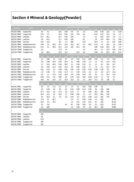|                     |                        |             |                  |            |             |            |              | Chemical Composition(µg/g)       |              |              |                   |              |              |                |      |
|---------------------|------------------------|-------------|------------------|------------|-------------|------------|--------------|----------------------------------|--------------|--------------|-------------------|--------------|--------------|----------------|------|
| <b>Number</b>       | Name                   | Ag          | As               | CLI        | Ga          | Ge         | H.           | Pb                               | <b>Sc</b>    | Zn           | Cd                | Sb           | Ce.          | <b>Dv</b>      | Eu.  |
| <b>NCS DC 70001</b> | Copper Ore             | 3.9         | 4.2              |            | 22.6        | 0.89       | (9)          | 9.1                              | 1.8          |              | 0.42              | 0.36         | 13.2         | $1.1\,$        | 0.28 |
| <b>NCS DC 70002</b> | Copper Ore             | 0.70        | 1.5              |            | 22.6        | 0.93       | (15)         | 13.0                             | 5.4          |              | 0.14              | 0.23         | 72.6         | 2.4            | 1.3  |
| <b>NCS DC 70003</b> | Lead Ore               | 14.7        | 85.1             |            | 16.7        | 0.90       | (19)         |                                  | 7.5          |              | 3.2               | 39.3         | 78.3         | 3.0            | 1.2  |
| <b>NCS DC 70004</b> | Lead Ore               | 5.6         | 43.2             |            | 11.7        | 0.93       | (18)         |                                  | 8.1          |              | 2.6               | 12.0         | 66.8         | 3.1            | 0.82 |
| <b>NCS DC 70005</b> | Zinc Ore               | 13.5        | 12.4             |            | 8.0         | 1.4        | (86)         |                                  | 0.33         |              | 29.3              | 1.1          | 2.3          | 0.47           | 0.06 |
| <b>NCS DC 70006</b> | Molybdenum Ore         | 0.09        | 1.6              | 93.6       | 25.1        | 19.0       | (3.2)        | 18.7                             | 3.4          | 65.5         | 0.12              | 1.2          | 20.8         | 1.8            | 0.59 |
| <b>NCS DC 70007</b> | Molybdenum Ore         | 0.12        | 1.0              | 48.6       | 23.1        | 12.4       | (13)         | 26.1                             | 8.4          |              | 0.09              | 0.26         | 60.3         | 5.8            | 1.5  |
| <b>NCS DC 70008</b> | <b>Tungslen Ore</b>    | 8.3         |                  |            | 17.8        | 2.5        |              |                                  | 1.8          |              | 26.1              | 5.1          | 10.0         | 0.46           | 0.15 |
| <b>NCS DC 70009</b> | Tungslen Ore           | 1.8         | 69.9             |            | 16.5        | 11.2       |              | 81.2                             | 5.4          |              | 0.94              | 3.1          | 60.3         | 20.7           | 0.17 |
|                     |                        |             |                  |            |             |            |              | Chemical Composition( $\mu$ g/g) |              |              |                   |              |              |                |      |
|                     |                        | Gd          | H <sub>o</sub>   | La         | Lu.         | <b>Nd</b>  | Sm           | <b>Tb</b>                        | Tm           | Yb.          | Er.               | Pr.          | Y            | Co             |      |
| <b>NCS DC 70001</b> | Copper Ore             | 1.1         | 0.26             | 7.5        | 0.16        | 4.7        | 1.0          | 0.21                             | 0.11         | 0.89         | 0.78              | 1.4          | 7.3          | 76.0           |      |
| <b>NCS DC 70002</b> | Copper Ore             | 3.6         | 0.48             | 40.3       | 0.20        | 29.4       | 5.1          | 0.48                             | 0.18         | 1.2          | 1.3               | 8.1          | 11.8         | 16.9           |      |
| <b>NCS DC 70003</b> | Lead Ore               | 3.7         | 0.61             | 40.5       | 0.24        | 28.2       | 5.1          | 0.58                             | 0.23         | 1.5          | 1.5               | 8.1          | 15.4         | 14.7           |      |
| <b>NCS DC 70004</b> | Lead Ore               | 3.6         | 0.65             | 31.2       | 0.25        | 23.4       | 4.6          | 0.60                             | 0.26         | 1.7          | 1.6               | 6.2          | 16.2         | 15.7           |      |
| <b>NCS DC 70005</b> | Zinc Ore               | 0.31        | 0.13             | 1.3        | 0.08        | 0.92       | 0.36         | 0.10                             | 0.05         | 0.42         | 0.28              | 0.30         | 4.5          | 8.7            |      |
| <b>NCS DC 70006</b> | Molybdenum Ore         | 1.9         | 0.36             | 7.1        | 0.16        | 11.3       | 2.1          | 0.34                             | 0.14         | 1.0          | 1.0               | 3.0          | 11.4         | 11.8           |      |
| <b>NCS DC 70007</b> | Molybdenum Ore         | 5.8         | 1.2              | 37.4       | 0.41        | 29.8       | 6.4          | 0.98                             | 0.44         | 2.8          | 3.2               | 7.4          | 34.2         | 13.5           |      |
| <b>NCS DC 70008</b> | Tungslen Ore           | 0.64        | 0.11             | 5.0        | 0.06        | 4.0        | 0.79         | 0.15                             | 0.04         | 0.28         | 0.23              | 1.1          | 2.8          | 2.7            |      |
| <b>NCS DC 70009</b> | Tungslen Ore           | 14.8        | 4.5              | 23.7       | 2.4         | 32.9       | 12.5         | 3.3                              | 2.2          | 14.9         | 13.1              | 7.9          | 128          | 3.7            |      |
|                     |                        |             |                  |            |             |            |              | Chemical Composition(µg/g)       |              |              |                   |              |              |                |      |
| <b>NCS DC 70001</b> |                        | Ni.<br>9.6  | <b>Bi</b><br>1.5 | Sn         | W.          | Mo<br>1.4  | $\ln$<br>1.4 | Se                               | Te           | Ti.          | <b>Th</b><br>0.90 | Cr           | Rb           | R <sub>r</sub> |      |
| <b>NCS DC 70002</b> | Copper Ore             | 5.6         | 0.43             | 11.1       | 4.1         |            |              | 5.1                              | 0.62         | 0.06         |                   | (7)          |              |                |      |
| <b>NCS DC 70003</b> | Copper Ore<br>Lead Ore | 27.7        | 15.6             | 3.8        | 3.9         | 2.4        | 0.25<br>0.12 | 0.89<br>1.7                      | 0.13<br>3.9  | 0.36<br>0.43 | 8.8               | (10)         | (94)         |                |      |
| <b>NCS DC 70004</b> | Lead Ore               |             |                  | 3.0<br>2.9 | 17.6        | 1.6<br>1.3 |              |                                  | 1.2          |              | 10.2              | (29)         | (55)         |                |      |
| <b>NCS DC 70005</b> | Zinc Ore               | 34.5<br>5.5 | 12.5<br>56.4     | 6.1        | 30.6<br>3.4 | 2.8        | 0.09<br>0.23 | 0.81<br>2.3                      | 0.17         | 1.0<br>0.49  | 10.5              | (41)<br>(62) | (74)<br>(73) |                |      |
| <b>NCS DC 70006</b> |                        | 17.8        | 2.2              | 86.7       |             |            | 2.9          | 2.1                              | 0.40         | 0.06         | (1.1)<br>2.3      |              |              |                |      |
| <b>NCS DC 70007</b> | Molybdenum Ore         |             | 1.0              | 33.2       |             |            | 1.3          | 0.27                             |              | 0.21         | 9.7               | (24)         |              | (0.35)         |      |
| <b>NCS DC 70008</b> | Molybdenum Ore         | 20.9        | 110              |            |             | 4.2        | 8.7          | 0.39                             | 0.14<br>0.66 | 5.0          | 2.2               | (35)         |              | (0.12)         |      |
|                     | <b>Tungslen Ore</b>    | 4.1         | 680              |            |             |            | 1.3          | 0.96                             | 2.9          | 1.8          |                   | (6.5)        |              | (0.12)         |      |
| <b>NCS DC 70009</b> | Tungslen Ore           | 2.8         |                  |            |             |            |              | Chemical Composition(ug/g)       |              |              | 28.3              | (30)         |              | (0.08)         |      |
|                     |                        | Cs          |                  |            |             |            |              |                                  |              |              |                   |              |              |                |      |
| <b>NCS DC 70002</b> | Copper Ore             | (10)        |                  |            |             |            |              |                                  |              |              |                   |              |              |                |      |
| <b>NCS DC 70003</b> | Lead Ore               | (6)         |                  |            |             |            |              |                                  |              |              |                   |              |              |                |      |
| <b>NCS DC 70004</b> | Lead Ore               | (2.3)       |                  |            |             |            |              |                                  |              |              |                   |              |              |                |      |
| <b>NCS DC 70008</b> | Tungslen Ore           | (36)        |                  |            |             |            |              |                                  |              |              |                   |              |              |                |      |
| <b>NCS DC 70009</b> | Tungslen Ore           | (41)        |                  |            |             |            |              |                                  |              |              |                   |              |              |                |      |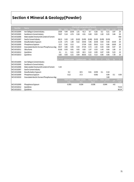| <b>Number</b>      | Name                                         |                  |           |                                |                  | <b>Chemical Composition (Percent)</b> |                 |                   |        |                   |           | Unit Size          |
|--------------------|----------------------------------------------|------------------|-----------|--------------------------------|------------------|---------------------------------------|-----------------|-------------------|--------|-------------------|-----------|--------------------|
|                    |                                              | SiO <sub>2</sub> | $Al_2O_3$ | Fe <sub>2</sub> O <sub>3</sub> | TiO <sub>2</sub> | CaO                                   | <b>MgO</b>      | SO <sub>2</sub>   | $K_2O$ | Na <sub>2</sub> O | L.O.      | $(in\overline{g})$ |
| NCS DC62004        | Iron Tailings in Cement Industry             | 19.69            | 4.44      | 16.95                          | 1.01             | 41.3                                  | 8.7             | 0.28              | 0.2    | 0.21              | 3.97      | 20                 |
| NCS DC62005        | Sandstone in Cement Industry                 | 78.07            | 5.14      | 4.74                           | 0.28             | 4.51                                  | 0.69            | 0.03              | 1.02   | 0.25              | 3.46      | 20                 |
| NCS DC62006        | Water-soluble Chromium(VI) content of Cement |                  |           |                                |                  |                                       |                 |                   |        |                   |           | 450                |
| NCS DC62007        | Sand in Cement Industry                      | 98.13            | 0.43      | 1.02                           | (0.02)           | (0.09)                                | (0.06)          | (0.03)            | (0.09) | (0.03)            |           | 20                 |
| NCS DC62008        | Desulfurization Gypsum                       | 11.35            | 3.75      | 1.08                           | 0.22             | 29.46                                 | 5.06            | 26.96             | 0.64   | 0.56              | 19.59     | 20                 |
| NCS DC62009        | Phosphorus Gypsum                            | 13.3             | 0.42      | 0.12                           |                  | 27.94                                 | 0.02            | 39.01             | 0.11   | 0.06              | 18.69     | 20                 |
| NCS DC62010        | Granulated electric furnace Phosphorous slag | 39.47            | 3.85      | 0.95                           | 0.33             | 47.03                                 | 0.72            | 1.02              | 0.44   | 0.08              | 0.07      | 20                 |
| NCS DC62011        | Silica fume                                  | 91.85            | 0.93      | 0.61                           | 0.02             | 0.83                                  | 1.07            | 0.53              | 1.43   | 0.66              | 1.85      | 15                 |
| NCS DC62012        | <b>Quicklime</b>                             | 6.1              | 1.1       | 0.21                           | 0.05             | 82.5                                  | 0.22            | 0.09              | 0.07   | 0.06              | 9.23      | 10                 |
| NCS DC62013        | <b>Ouicklime</b>                             | 3.83             | 0.93      | 0.21                           | 0.04             | 86.65                                 | 0.21            | 0.13              | 0.06   | 0.06              | 7.39      | 10                 |
|                    |                                              |                  |           |                                |                  |                                       |                 |                   |        |                   |           |                    |
|                    |                                              | $Cr^{6+(mg/kg)}$ |           | Adhered water                  |                  | Crystallized water                    | SO <sub>2</sub> | Cl                | F.     | $P_2O_5$          | <b>Ss</b> | F                  |
| NCS DC62004        | Iron Tailings in Cement Industry             |                  |           |                                |                  |                                       |                 |                   |        |                   |           |                    |
| NCS DC62005        | Sandstone in Cement Industry                 |                  |           |                                |                  |                                       |                 |                   |        |                   |           |                    |
| NCS DC62006        | Water-soluble Chromium(VI) content of Cement | 5.33             |           |                                |                  |                                       |                 |                   |        |                   |           |                    |
| NCS DC62007        | Sand in Cement Industry                      |                  |           |                                |                  |                                       |                 |                   |        |                   |           |                    |
| NCS DC62008        | Desulfurization Gypsum                       |                  |           | 0.2                            |                  | 10.5                                  | 0.61            | 0.059             | 0.1    | 0.18              |           |                    |
| NCS DC62009        | Phosphorus Gypsum                            |                  |           | 0.12                           |                  | 17.3                                  |                 | 0.002             |        | 0.99              | 0.1       | $-0.09$            |
| <b>NCS DC62010</b> | Granulated electric furnace Phosphorous slag |                  |           |                                |                  |                                       |                 |                   |        | 3.68              |           |                    |
|                    |                                              |                  |           | Water soluble                  |                  | Water soluble                         |                 | Water soluble     |        | Water soluble     | pH        | Effective          |
|                    |                                              |                  |           | $P_2O_5$                       |                  | $K_2O$                                |                 | Na <sub>2</sub> O |        | F                 |           | CaO                |
| NCS DC62009        | Phosphorus Gypsum                            |                  |           | $-0.393$                       |                  | $-0.034$                              |                 | $-0.038$          |        | $-0.044$          | $-4.6$    |                    |
| NCS DC62012        | <b>Ouicklime</b>                             |                  |           |                                |                  |                                       |                 |                   |        |                   |           | 74.33              |
| NCS DC62013        | <b>Ouicklime</b>                             |                  |           |                                |                  |                                       |                 |                   |        |                   |           | 80.24              |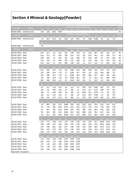|                            |              |                |                        |            |                |                 |           |                  | <b>Chemical Composition (Percent)</b> |            |              |                     |                                                             |           | <b>Unit Size</b> |
|----------------------------|--------------|----------------|------------------------|------------|----------------|-----------------|-----------|------------------|---------------------------------------|------------|--------------|---------------------|-------------------------------------------------------------|-----------|------------------|
| <b>Number</b>              | Name         | S <sub>b</sub> | S.                     | Cu         | P <sub>b</sub> | $A\sigma$       | As        | Ga               | Шī                                    | Cd         | Ce:          | Dv.                 | Eu i                                                        | Ni.       | (in g)           |
| <b>NCS DC 70013</b>        | Antimony Ore | 1.81           | 1.02                   | 0.012      | 0.037          |                 |           |                  |                                       |            |              |                     |                                                             |           | 50               |
| <b>Number</b>              | Name         |                |                        |            |                |                 |           |                  | Chemical Composition(µg/g)            |            |              |                     |                                                             |           | <b>Unit Size</b> |
|                            | Antimony Ore | Ag             | As<br>25.3             | Cu<br>51.3 | Ga<br>9.1      | Li.<br>22.8     | Cd<br>2.6 | Ce<br>59.7       | Dy.<br>3.7                            | Eu<br>0.88 | Bi<br>(0.26) | Ni.<br>3.2          | Co<br>2.2                                                   | Sn<br>3.0 | (in g)           |
| <b>NCS DC 70013</b>        |              | 7.3            |                        |            |                |                 |           |                  |                                       |            |              |                     |                                                             |           |                  |
|                            |              | <b>Nb</b>      |                        |            |                |                 |           |                  |                                       |            |              |                     |                                                             |           |                  |
| <b>NCS DC 70013</b>        | Antimony Ore | 5.4            |                        |            |                |                 |           |                  |                                       |            |              |                     |                                                             |           |                  |
| <b>Number</b>              | Name         |                |                        |            |                |                 |           |                  | Chemical Composition(µg/g)            |            |              |                     |                                                             |           | <b>Unit Size</b> |
|                            |              | Ag             | As                     | $Au^*$     | $\overline{B}$ | Ba              | Be        | Bi               | <b>Br</b>                             | Cd         | Cl           | Co                  | Cr                                                          | Cs        | (in g)           |
| NCS DC 70316               | Rock         | 0.07           | 13.7                   | 1.8        | 56.1           | 476             | 2.43      | 0.30             | 1.9                                   | 0.10       | 56.7         | 14.7                | 139                                                         | 13.7      | 60               |
| <b>NCS DC 70317</b>        | Rock         | 0.32           | 37.3                   | 6.2        | 30.0           | 369             | 2.67      | 1.22             | 0.9                                   | 0.57       | 69.1         | 9.8                 | 39.8                                                        | 17.2      | 60               |
| <b>NCS DC 70318</b>        | Rock         | 0.06           | 18.0                   | 1.4        | 30.6           | 437             | 3.32      | 0.49             | 0.9                                   | 0.10       | 207          | 6.7                 | 47.6                                                        | 20.2      | 60               |
| <b>NCS DC 70319</b>        | Rock         | 0.21           | 19.6                   | 1.2        | 66.2           | 470             | 2.31      | 0.80             | 1.4                                   | 0.19       | 244          | 7.6                 | 22.6                                                        | 15.0      | 60               |
| <b>NCS DC 70320</b>        | Rock         | 0.14           | 12.3                   | 1.1        | 41.5           | 483             | 2.56      | 0.70             | 1.1                                   | 0.17       | 152          | 7.3                 | 24.4                                                        | 13.0      | 60               |
|                            |              | Cu             | F.                     | Ga         | Ge             | Hf              | Hg        | Li.              | Mn                                    | Mo         | <b>Nb</b>    | Ni.                 | P                                                           | Pb        |                  |
| <b>NCS DC 70316</b>        | Rock         | 23.1           | 440                    | 18.5       | 1.22           | 8.8             | 0.043     | 41.9             | 668                                   | 0.83       | 15.3         | 75.3                | 571                                                         | 24.0      |                  |
| <b>NCS DC 70317</b>        | Rock         | 247            | 424                    | 14.4       | 1.19           | 5.7             | 0.034     | 29.7             | 614                                   | 6.6        | 12.0         | 20.8                | 389                                                         | 127       |                  |
| <b>NCS DC 70318</b>        | Rock         | 16.2           | 456                    | 16.3       | 1.33           | 6.7             | 0.030     | 36.6             | 422                                   | 0.59       | 14.7         | 16.9                | 420                                                         | 35.8      |                  |
| <b>NCS DC 70319</b>        | Rock         | 151            | 459                    | 15.8       | 1.13           | 9.5             | 0.028     | 26.1             | 527                                   | 7.0        | 16.1         | 9.5                 | 484                                                         | 46.8      |                  |
| <b>NCS DC 70320</b>        | Rock         | 49.0           | 505                    | 16.9       | 1.12           | 5.5             | 0.012     | 25.6             | 451                                   | 2.7        | 10.5         | 11.1                | 564                                                         | 45.4      |                  |
|                            |              |                |                        |            |                |                 |           |                  |                                       |            |              |                     |                                                             |           |                  |
|                            |              | Pb             | Sc                     | Sb         | Se             | Sn              | Sr        | Ta               | Te                                    | Th         | Ti(%)        | T <sub>1</sub>      | $\cup$                                                      | V         |                  |
| <b>NCS DC 70316</b>        | Rock         | 117            | 11.7                   | 1.10       | 0.16           | 3.2             | 113       | 1.3              | 0.05                                  | 15.5       | 0.451        | 0.67                | 2.5                                                         | 87.7      |                  |
| <b>NCS DC 70317</b>        | Rock         | 141            | 6.5                    | 4.44       | 0.19           | 3.3             | 185       | 1.1              | 0.21                                  | 17.5       | 0.217        | 0.96                | 3.4                                                         | 45.7      |                  |
| <b>NCS DC 70318</b>        | Rock         | 180            | 7.3                    | 0.84       | 0.05           | 3.8             | 165       | 1.8              | (0.03)                                | 25.1       | 0.253        | $1.0\,$             | 4.8                                                         | 52.5      |                  |
| <b>NCS DC 70319</b>        | Rock         | 154            | 6.2                    | 2.70       | 0.18           | 2.7             | 256       | 1.8              | 0.10                                  | 25.5       | 0.344        | 1.1                 | 4.8                                                         | 74.7      |                  |
| <b>NCS DC 70320</b>        | Rock         | 136            | 6.0                    | 1.27       | 0.11           | 2.0             | 404       | 1.2              | 0.07                                  | 16.7       | 0.274        | 0.91                | 3.6                                                         | 59.4      |                  |
|                            |              | W              |                        |            |                |                 | $Pd^*$    | $Pt^{\star}$     | S                                     | La         |              |                     | <b>Nd</b>                                                   | Sm        |                  |
| <b>NCS DC 70316</b>        | Rock         | 2.3            | Z <sub>n</sub><br>80.9 | Zr<br>299  | (0.7)          | $\ln$<br>(0.06) | (0.6)     | (0.4)            | (157)                                 | 48.2       | Ce<br>93.4   | Pr.<br>10.9         | 41.9                                                        | 8.11      |                  |
| <b>NCS DC 70317</b>        | Rock         | 9.2            | 116                    | 188        | (0.4)          | (0.07)          | (0.3)     | (0.4)            | (117)                                 | 37.9       | 72.0         | 7.89                | 29.0                                                        | 5.39      |                  |
| <b>NCS DC 70318</b>        | Rock         | 4.1            | 54.1                   | 225        | (0.3)          | (0.04)          | (0.4)     | (0.3)            | (48)                                  | 47.8       | 89.6         | 9.78                | 35.8                                                        | 6.62      |                  |
| <b>NCS DC 70319</b>        | Rock         | 9.3            | 62.9                   | 299        | (0.3)          | (0.04)          | (0.3)     | (0.3)            | (400)                                 | 42.6       | 78.1         | 8.57                | 30.6                                                        | 5.42      |                  |
| <b>NCS DC 70320</b>        | Rock         | 4.2            | 61.1                   | 184        | (0.3)          | (0.04)          | (0.3)     | (0.3)            | (183)                                 | 32.5       | 60.5         | 6.94                | 25.7                                                        | 4.49      |                  |
|                            |              |                |                        |            |                |                 |           |                  |                                       |            |              |                     |                                                             |           |                  |
|                            |              | Eu             | Gd                     | Tb.        | <b>Dy</b>      | H <sub>o</sub>  | Er.       | <b>Tm</b>        | Yo                                    | Lu.        | Y            | $SiO2$ <sup>*</sup> | $Al_2O_3^*$ Fe <sub>2</sub> O <sub>3</sub> (T) <sup>*</sup> |           |                  |
| <b>NCS DC 70316</b>        | Rock         | 1.58           | 7.11                   | 1.08       | 6.10           | 1.20            | 3.54      | 0.54             | 3.47                                  | 0.52       | 32.7         | 68.50               | 14.42                                                       | 4.81      |                  |
| NCS DC 70317 Rock          |              | 0.96           | 4.90                   | 0.76       | 4.24           | 0.83            | 2.47      | 0.38             | 2.46                                  | 0.36       | 23.0         | 64.22               | 10.84                                                       | 3.07      |                  |
| <b>NCS DC 70318</b>        | Rock         | 1.07           | 5.83                   | 0.91       | 4.92           | 0.97            | 2.90      | 0.46             | 2.83                                  | 0.44       | 26.5         | 73.37               | 12.73                                                       | 3.19      |                  |
| <b>NCS DC 70319</b>        | Rock         | 0.97           | 4.57                   | 0.70       | 3.91           | 0.79            | 2.39      | 0.38             | 2.55                                  | 0.39       | 21.6         | 71.23               | 13.22                                                       | 4.11      |                  |
| NCS DC 70320 Rock          |              | 0.96           | 3.74                   | 0.54       | 2.94           | 0.58            | 1.64      | 0.25             | 1.63                                  | 0.25       | 15.3         | 70.36               | 13.95                                                       | 3.20      |                  |
|                            |              | $MgO^{\star}$  | $CaO*$                 | $Na2O*$    | $K_2O^*$       | $TiO3*$         | $MnO^*$   | $P_2O_5^{\star}$ |                                       |            |              |                     |                                                             |           |                  |
| NCS DC 70316 Rock          |              | 1.74           | 0.53                   | 1.66       | 2.66           | 0.753           | 0.087     | 0.134            |                                       |            |              |                     |                                                             |           |                  |
| NCS DC 70317 Rock          |              | 0.87           | 8.19                   | 1.74       | 2.86           | 0.366           | 0.079     | 0.090            |                                       |            |              |                     |                                                             |           |                  |
| NCS DC 70318 Rock          |              | 1.07           | 1.32                   | 2.09       | 3.56           | 0.422           | 0.055     | 0.097            |                                       |            |              |                     |                                                             |           |                  |
| NCS DC 70319 Rock          |              | 0.70           | 1.40                   | 2.72       | 3.65           | 0.589           | 0.069     | 0.111            |                                       |            |              |                     |                                                             |           |                  |
| NCS DC 70320 Rock          |              | 0.93           | 2.40                   | 3.26       | 3.18           | 0.461           | 0.059     | 0.129            |                                       |            |              |                     |                                                             |           |                  |
| Value with * is in percent |              |                |                        |            |                |                 |           |                  |                                       |            |              |                     |                                                             |           |                  |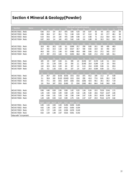| <b>Number</b>              |      | Name | Ag            | As     | $Au^*$    | B              | Ba      | Be        | Bi.                   | Chemical Composition(µg/g)<br><b>Br</b> | Cd             | Cl        | Co           | Cr        | Cs                                                                                     | Unit Size<br>$(\text{in }g)$ |
|----------------------------|------|------|---------------|--------|-----------|----------------|---------|-----------|-----------------------|-----------------------------------------|----------------|-----------|--------------|-----------|----------------------------------------------------------------------------------------|------------------------------|
| NCS DC 70321 Rock          |      |      | 0.06          | 14.3   | 0.4       | 19.7           | 875     | 3.60      | 0.33                  | 0.8                                     | 0.07           | 82        | 4.4          | 16.5      | 16.2                                                                                   | 60                           |
| NCS DC 70322 Rock          |      |      | 0.08          | 28.8   | 0.7       | 28.1           | 711     | 2.48      | 0.29                  | 0.7                                     | 0.12           | 93        | 6.0          | 17.7      | 48.1                                                                                   | 60                           |
| NCS DC 70323 Rock          |      |      | 0.10          | 54.6   | 2.9       | 134            | 475     | 3.88      | 0.48                  | 1.3                                     | 0.08           | 71        | 13.2         | 59.0      | 42.5                                                                                   | 60                           |
| NCS DC 70324 Rock          |      |      | 0.07          | 24.9   | 1.4       | 143            | 472     | 5.62      | 0.45                  | 0.9                                     | 0.08           | 63        | 10.3         | 55.2      | 16.6                                                                                   | 60                           |
|                            |      |      |               |        |           |                |         |           |                       |                                         |                |           |              |           |                                                                                        |                              |
|                            |      |      | <b>Ou</b>     | F.     | Ga        | Ge             | Hf      | Hg        | Li.                   | Mn                                      | Mo             | <b>Nb</b> | Ni.          | P         | <b>Pb</b>                                                                              |                              |
| NCS DC 70321 Rock          |      |      | 10.8          | 452    | 16.5      | 1.02           | 6.1     | 0.008     | 25.7                  | 258                                     | 0.60           | 10.1      | 8.8          | 459       | 48.9                                                                                   |                              |
| NCS DC 70322 Rock          |      |      | 10.7          | 415    | 15.5      | 1.18           | 6.9     | 0.017     | 26.7                  | 430                                     | 0.65           | 10.9      | 8.5          | 455       | 36.3                                                                                   |                              |
| NCS DC 70323 Rock          |      |      | 44.0          | 555    | 17.1      | 1.66           | 6.3     | 0.066     | 69.8                  | 608                                     | 0.66           | 15.5      | 37.2         | 542       | 27.7                                                                                   |                              |
| NCS DC 70324 Rock          |      |      | 27.7          | 457    | 17.6      | 1.63           | 7.4     | 0.053     | 66.8                  | 392                                     | 0.65           | 17.2      | 27.8         | 625       | 32.1                                                                                   |                              |
|                            |      |      |               |        |           |                |         |           |                       |                                         |                |           |              |           | V                                                                                      |                              |
|                            |      |      | Pb            | Sc     | Sb        | Se             | Sn      | <b>Sr</b> | Ta                    | Te                                      | T <sub>n</sub> | $Ti(\%)$  | $\mathbf{T}$ | $\cup$    |                                                                                        |                              |
| NCS DC 70321 Rock          |      |      | 229           | 3.9    | 0.67      | 0.04           | 2.1     | 340       | 1.0                   | (0.03)                                  | 317            | 0.170     | 1.42         | 5.1       | 31.5                                                                                   |                              |
| NCS DC 70322 Rock          |      |      | 170           | 5.5    | 2.34      | 0.05           | 2.0     | 250       | 1.1                   | (0.04)                                  | 19.9           | 0.249     | 1.26         | 3.5       | 50.6                                                                                   |                              |
| NCS DC 70323 Rock          |      |      | 110           | 10.5   | 10.4      | 0.39           | 4.6     | 327       | 1.2                   | 0.15                                    | 15.6           | 0.339     | 0.66         | 2.1       | 85.0                                                                                   |                              |
| NCS DC 70324 Rock          |      |      | 131           | 9.3    | 1.55      | 0.33           | 6.4     | 157       | 1.4                   | 0.07                                    | 14.9           | 0.364     | 0.69         | 2.3       | 77.3                                                                                   |                              |
|                            |      |      | W             | Zn     | Zr        | a pr           | ln      | $Pd^*$    | $Pt^*$                | S                                       | La             | Ce.       | Pr           | <b>Nd</b> | Sm                                                                                     |                              |
| NCS DC 70321 Rock          |      |      | 2.5           | 39.7   | 210       | (0.23)         | (0.03)  | (0.3)     | (0.2)                 | (57)                                    | 63.2           | 109       | 11.2         | 37        | 5.69                                                                                   |                              |
| <b>NCS DC 70322</b>        | Rock |      | 3.1           | 50.8   | 243       | (0.22)         | (0.042) | (0.3)     | (0.4)                 | (59)                                    | 41.6           | 77.6      | 8.61         | 30.2      | 5.26                                                                                   |                              |
| NCS DC 70323 Rock          |      |      | 6.5           | 77.1   | 210       | (0.5)          | (0.07)  | (0.8)     | (0.6)                 | (528)                                   | 42.6           | 90.1      | 10.1         | 36.3      | 7.19                                                                                   |                              |
| NCS DC 70324 Rock          |      |      | 2.6           | 76.4   | 247       | (0.5)          | (0.06)  | (7)       | (0.4)                 | (160)                                   | 40.0           | 84.4      | 9.42         | 34.8      | 6.69                                                                                   |                              |
|                            |      |      |               |        |           |                |         |           |                       |                                         |                |           |              |           |                                                                                        |                              |
|                            |      |      | Eu            | Gd     | <b>Tb</b> | D <sub>V</sub> | Ho      | Er.       | <b>Tm</b>             | Yb                                      | La             | Y         | $SiO2*$      |           | $\mathsf{Al}_2\mathsf{O}_3^{\star}$ Fe <sub>2</sub> $\mathsf{O}_3(\mathsf{T})^{\star}$ |                              |
| NCS DC 70321 Rock          |      |      | 0.98          | 4.40   | 0.59      | 2.95           | 0.58    | 1.62      | 0.25                  | 1.54                                    | 0.24           | 15.5      | 73.59        | 13.41     | 1.71                                                                                   |                              |
| NCS DC 70322 Rock          |      |      | 1.05          | 4.43   | 0.64      | 3.49           | 0.69    | 1.99      | 0.32                  | 1.96                                    | 0.30           | 18.6      | 73.67        | 12.57     | 2.85                                                                                   |                              |
| NCS DC 70323 Rock          |      |      | 1.40          | 6.58   | 1.01      | 5.56           | 1.06    | 2.98      | 0.44                  | 2.67                                    | 0.38           | 29.5      | 60.95        | 11.89     | 5.47                                                                                   |                              |
| NCS DC 70324 Rock          |      |      | 1.29          | 6.05   | 0.93      | 5.10           | 0.99    | 2.75      | 0.41                  | 2.57                                    | 0.37           | 25.9      | 70.16        | 12.79     | 4.82                                                                                   |                              |
|                            |      |      |               |        |           |                |         |           |                       |                                         |                |           |              |           |                                                                                        |                              |
|                            |      |      | $MgO^{\star}$ | $CaO*$ | $Na2O*$   | $K_2O^*$       | $TiO2*$ | $MnO^*$   | $P_2O_5$ <sup>*</sup> |                                         |                |           |              |           |                                                                                        |                              |
| NCS DC 70321 Rock          |      |      | 0.49          | 1.53   | 2.69      | 4.33           | 0.290   | 0.034     | 0.105                 |                                         |                |           |              |           |                                                                                        |                              |
| NCS DC 70322               | Rock |      | 0.62          | 1.38   | 2.50      | 3.87           | 0.421   | 0.056     | 0.104                 |                                         |                |           |              |           |                                                                                        |                              |
| NCS DC 70323 Rock          |      |      | 0.78          | 7.77   | 1.09      | 2.01           | 0.558   | 0.078     | 0.124                 |                                         |                |           |              |           |                                                                                        |                              |
| NCS DC 70324 Rock          |      |      | 0.62          | 2.29   | 1.48      | 2.67           | 0.616   | 0.051     | 0.142                 |                                         |                |           |              |           |                                                                                        |                              |
| Value with * is in percent |      |      |               |        |           |                |         |           |                       |                                         |                |           |              |           |                                                                                        |                              |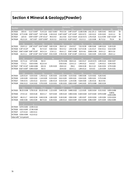|               |                                    |                                       |                                       |                     |                 | Elements <sup>(10-6)</sup>                        |                                                                         |                   |                 |                              | <b>Unit Size</b> |
|---------------|------------------------------------|---------------------------------------|---------------------------------------|---------------------|-----------------|---------------------------------------------------|-------------------------------------------------------------------------|-------------------|-----------------|------------------------------|------------------|
| <b>Number</b> | Ag                                 | As                                    | Bi.                                   | Cd                  | Co              | Cu                                                | Ga                                                                      | Ge                | ln              | Mo                           | (in g)           |
| DC70325       | $103\pm6$                          | $0.111* \pm 0.007*$                   | $71.4 \pm 2.8$                        | $0.021* \pm 0.001*$ | 79.5 ± 3.8      | $3.40* \pm 0.07*$ 11.68 $\pm 0.96$                |                                                                         | 1.414 1.05 -- 1.5 | $5.60 \pm 0.42$ | $54.8 \pm 3.0$               | 50               |
| DC70326       | $8.77 \pm 0.96$                    | $0.050* \pm 0.007*$                   | $5.67 \pm 0.48$                       | $2.18 \pm 0.22$     |                 | $0.140* \pm 0.007*$ 1.25* $\pm 0.05*$             | $6.03 \pm 0.72$                                                         | $1.02 \pm 0.12$   | $0.35 \pm 0.03$ | $12.4 \pm 1.2$               | 50               |
| DC70327       | $125 + 8$                          |                                       | $0.055* \pm 0.007*$ 1.78* $\pm 0.11*$ | 44.5±4.4            | $18.1 \pm 0.8$  | $0.211* \pm 0.014*$ 15.32 $\pm$ 0.72              |                                                                         | $2.76 \pm 0.26$   | $6.11 \pm 0.40$ | $0.361* \pm 0.019*$          | 50               |
| DC70328       | $43.2 \pm 2.6$                     | $0.92* \pm 0.05*$                     | $0.033* \pm 0.003*$                   | $31.0 \pm 3.2$      |                 | $2.62 \pm 0.22$ $0.229 \pm 0.011 \times 10^{-10}$ | $13.2 \pm 1.1$                                                          | $1.22 \pm 0.08$   | 36.7±3.2        | 75±4                         | 50               |
|               |                                    |                                       |                                       |                     |                 |                                                   |                                                                         |                   |                 |                              |                  |
|               | Ni.                                | <b>Pb</b>                             | <b>Sb</b>                             | Sc                  | Se              | S <sub>n</sub>                                    | Te                                                                      | Th.               | T               | $\cup$                       |                  |
| DC70325       | $23.8 \pm 1.2$                     |                                       | 2.96*±0.07* 0.014*±0.002*             | $3.82 \pm 0.34$     | $29.6 \pm 1.8$  | $15.4 \pm 0.7$                                    | $7.01 \pm 0.39$                                                         | $4.96 \pm 0.46$   | $1.84 \pm 0.16$ | $3.18 \pm 0.20$              |                  |
| DC70326       | $5.30* \pm 0.19*$                  | (78)                                  | 35.7±3.4                              | $9.08 \pm 0.62$     | $59.5 \pm 5.2$  | $2.49 \pm 0.38$                                   | $4.27 \pm 0.36$                                                         | $1.31 \pm 0.17$   | $0.92 \pm 0.11$ | $0.32 \pm 0.04$              |                  |
| DC70327       |                                    | $0.065* \pm 0.004*$ 0.68* $\pm 0.05*$ | $34.5 \pm 1.4$                        | $17.8 \pm 1.1$      | $45.6 \pm 1.7$  | $0.056* \pm 0.008*$                               | $82.9 \pm 4.6$                                                          | 18.86±0.96        | $10.0 \pm 1.2$  | $68.5 \pm 3.6$               |                  |
| DC70328       | $10.2 \pm 1.1$                     |                                       | $2.08* \pm 0.04* 0.012* \pm 0.001*$   | $0.91 \pm 0.09$     | $3.78 \pm 0.36$ | $9.56* \pm 0.40*$                                 | $0.34 \pm 0.11$                                                         | $0.83 \pm 0.09$   | $0.45 \pm 0.04$ | $29.8 \pm 1.2$               |                  |
|               | W                                  | $Zn^*$                                | Zr                                    | Re                  | La l            | Ce                                                | Pr.                                                                     | Nd                | Sm              | Eu                           |                  |
| DC70325       | $15.7 \pm 1.6$                     | $3.47 \pm 0.06$                       | $96\pm4$                              |                     | 15.74±0.96      | $30.8 \pm 2.6$                                    | $3.42 \pm 0.17$                                                         | $13.14 \pm 0.72$  | $2.49 \pm 0.19$ | $0.58 + 0.07$                |                  |
| DC70326       | $7.7 \pm 1.1$                      | $0.023 \pm 0.002$                     | $42.2 \pm 3.4$                        |                     | $5.93 \pm 0.42$ | $12.9 \pm 1.3$                                    | $1.49 \pm 0.12$                                                         | $6.4 \pm 0.7$     | $1.34 \pm 0.11$ | $0.34 \pm 0.03$              |                  |
|               | DC70327 7.96*±0.32* 0.248±0.008    |                                       | $101\pm6$                             | $0.35 \pm 0.03$     | $29.8 \pm 2.0$  | (58.1)                                            | $8.58 \pm 0.38$                                                         | $34.1 \pm 1.8$    | $9.26 \pm 0.54$ | $0.79 \pm 0.08$              |                  |
|               | DC70328 0.032*±0.007* 0.640±0.024  |                                       | 50±5                                  |                     | $10.4 \pm 0.8$  | $16.9 \pm 1.1$                                    | $1.84 \pm 0.13$                                                         | $5.9 \pm 0.5$     | $1.10 \pm 0.09$ | $0.14 \pm 0.01$              |                  |
|               |                                    |                                       |                                       |                     |                 |                                                   |                                                                         |                   |                 |                              |                  |
|               | Gd                                 | T <sub>b</sub>                        | D <sub>V</sub>                        | H <sub>O</sub>      | Er.             | Tm                                                | Yb                                                                      | Lu.               | $- Y$           |                              |                  |
| DC70325       | $2.20 \pm 0.14$                    | $0.33 \pm 0.03$                       | $1.78 \pm 0.12$                       | $0.35 \pm 0.03$     | $1.01 \pm 0.06$ | $0.15 \pm 0.02$                                   | $0.98 + 0.06$                                                           | $0.15 \pm 0.02$   | $9.26 \pm 0.42$ |                              |                  |
| DC70326       | $1.20 \pm 0.09$                    | $0.20 \pm 0.02$                       | $1.14 \pm 0.09$                       | $0.23 \pm 0.02$     | $0.61 \pm 0.05$ | $0.09 + 0.01$                                     | $0.54 \pm 0.05$                                                         | $0.09 \pm 0.01$   | $5.75 \pm 0.46$ |                              |                  |
| DC70327       | 7.44 ± 0.72                        | $1.55 \pm 0.13$                       | $10.3 \pm 0.5$                        | $2.06 \pm 0.14$     | $6.53 \pm 0.34$ | $1.14 \pm 0.06$                                   | $9.28 \pm 0.60$                                                         | $1.36 \pm 0.16$   | $66.3 \pm 4.6$  |                              |                  |
| DC70328       | $0.96 \pm 0.13$                    | $0.14 \pm 0.02$                       | $0.70 \pm 0.05$                       | $0.13 \pm 0.01$     | $0.39 + 0.03$   | $0.065 \pm 0.007$                                 | $0.44 \pm 0.03$                                                         | $0.073 \pm 0.008$ | $3.60 \pm 0.34$ |                              |                  |
|               |                                    |                                       |                                       |                     |                 | Main content <sup>(10-2)</sup>                    |                                                                         |                   |                 |                              |                  |
|               | SiO <sub>2</sub>                   | $Al_2O_3$                             | $TFe_2O_3$                            | MgO                 | CaO             | Na <sub>2</sub> O                                 | $K_2O$                                                                  | TiO <sub>2</sub>  | MnO             | $P_2O_5$                     |                  |
| DC70325       | 38.15±0.98                         | $5.78 \pm 0.16$                       | 20.10 ± 0.42                          | $1.12 \pm 0.05$     | $5.44 \pm 0.26$ | $0.648 \pm 0.022$                                 | $1.12 \pm 0.05$                                                         | $0.263 \pm 0.014$ | $0.31 \pm 0.02$ | $0.055 \pm 0.008$            |                  |
| DC70326       | $27.9 \pm 1.8$                     | $4.03 \pm 0.28$                       | $30.0 \pm 1.7$                        | $9.67 \pm 0.64$     | $3.49 \pm 0.24$ |                                                   | $0.485 \pm 0.032$ $0.320 \pm 0.024$ $0.327 \pm 0.024$ $0.070 \pm 0.009$ |                   |                 | $0.067\Delta$<br>0.055-0.096 |                  |
| DC70327       | $48.2 \pm 1.7$                     | $8.43 \pm 0.34$                       | $8.44 \pm 0.36$                       | $1.06 \pm 0.05$     | $9.18 \pm 0.40$ | $0.96 + 0.04$                                     | $1.85 \pm 0.07$                                                         | $0.222 \pm 0.016$ | $1.20 \pm 0.06$ | $0.153 \pm 0.014$            |                  |
| DC70328       | $0.98 + 0.06$                      | $0.45 \pm 0.04$                       | $68.7 \pm 2.6$                        | $0.35 \pm 0.02$     | $1.69 \pm 0.13$ |                                                   | $0.023 \pm 0.007$ $0.017 \pm 0.003$ $0.046 \pm 0.007$                   |                   | $0.47 \pm 0.04$ | $0.052 \pm 0.005$            |                  |
|               |                                    |                                       |                                       |                     |                 |                                                   |                                                                         |                   |                 |                              |                  |
|               | F.                                 | $\mathcal{S}$                         |                                       |                     |                 |                                                   |                                                                         |                   |                 |                              |                  |
| DC70325       | $0.074 \pm 0.003$ 13.99 $\pm$ 0.32 |                                       |                                       |                     |                 |                                                   |                                                                         |                   |                 |                              |                  |
| DC70326       |                                    | $0.021 \pm 0.003$ 17.36 $\pm$ 0.60    |                                       |                     |                 |                                                   |                                                                         |                   |                 |                              |                  |
| DC70327       | $2.37 \pm 0.14$                    | $2.40 \pm 0.11$                       |                                       |                     |                 |                                                   |                                                                         |                   |                 |                              |                  |
| DC70328       | $0.036 \pm 0.004$                  | $4.12 \pm 0.12$                       |                                       |                     |                 |                                                   |                                                                         |                   |                 |                              |                  |
|               | Value with * is in percent         |                                       |                                       |                     |                 |                                                   |                                                                         |                   |                 |                              |                  |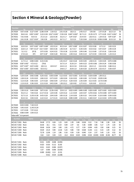| Elements <sup>(10-6)</sup><br><b>Number</b><br>Cd<br>Ag<br>$\mathsf{As}$<br>Bi.<br>Cu<br>Ga<br>Ge<br>Co                                                                                                                                            | <b>Unit Size</b><br>Mo<br>ln<br>(in g)                                      |
|----------------------------------------------------------------------------------------------------------------------------------------------------------------------------------------------------------------------------------------------------|-----------------------------------------------------------------------------|
| 15.22*±0.96*<br>12.86±0.94<br>DC70329<br>$0.67 + 0.08$<br>$2.18 \pm 0.22$<br>$2.01 \pm 0.28$<br>$162 + 11$<br>$1.45 \pm 0.17$<br>$0.39 + 0.06$                                                                                                     | $2.37 \pm 0.28$<br>$18.2 \pm 1.8$<br>50                                     |
| DC70330<br>3.10 $\pm$ 0.38 0.012* $\pm$ 0.001*<br>94.6 ± 4.6<br>$0.056* \pm 0.003*$<br>17.69 ± 0.94 0.044* ± 0.003*<br>$30.7 \pm 1.9$<br>15.35±0.75                                                                                                | $0.77 \pm 0.09$ $0.012^* \pm 0.001^*$<br>50                                 |
| DC70331<br>$7.01 \pm 0.66$<br>55.0 ± 3.6<br>$27.2 \pm 1.8$<br>$2.02 \pm 0.36$<br>$33.2 \pm 1.7$<br>$0.29* \pm 0.02*$<br>$15.4 \pm 0.9$<br>$1.82 \pm 0.11$                                                                                          | $1.29 \pm 0.32$<br>$9.09* \pm 0.28*$<br>50                                  |
| DC70332<br>$2.61 \pm 0.38$<br>$0.212* \pm 0.014*$<br>$5.56 \pm 0.58$<br>$1.45 \pm 0.13$<br>$26.7 \pm 1.7$<br>$52.3 \pm 2.6$<br>$7.10 \pm 0.64$<br>$2.23 \pm 0.16$                                                                                  | $0.038 \pm 0.008$<br>$10.3 \pm 1.8$<br>50                                   |
|                                                                                                                                                                                                                                                    |                                                                             |
| Ni<br>Se<br>Pb<br><b>Sb</b><br>Sc<br>Sn<br>Te<br>Th                                                                                                                                                                                                | $\cup$<br>$\mathbb{I}$                                                      |
| $0.015* \pm 0.002*$ 0.050* $\pm 0.004*$<br>DC70329<br>$10.0 \pm 0.6$<br>$1.02 \pm 0.14$<br>$45.3 \pm 4.4$<br>$0.051* \pm 0.008*$<br>$0.51 \pm 0.07$<br>$0.52 \pm 0.06$                                                                             | $8.7 \pm 1.0$<br>$3.02 \pm 0.32$                                            |
| DC70330<br>$16.8 \pm 1.4$<br>$7.90* \pm 0.15* 0.011* \pm 0.001*$<br>$4.85 \pm 0.36$<br>$1.96 \pm 0.34$<br>$16.7 \pm 0.7$<br>$0.34 \pm 0.05$<br>$4.53 \pm 0.62$                                                                                     | $0.97 + 0.07$<br>$2.99 \pm 0.34$                                            |
| DC70331<br>$51.1 \pm 3.2$<br>(97.8)<br>$2.97 \pm 0.58$<br>$9.24 \pm 0.52$<br>7.55±0.38<br>12.12±0.58<br>$1.09 \pm 0.46$<br>$5.11 \pm 0.60$                                                                                                         | $1.37 \pm 0.16$<br>$3.20 \pm 0.30$                                          |
| $94.5 \pm 8.2$<br>$3.27 \pm 0.54$<br>DC70332<br>17.4±2.6<br>(97)<br>$8.55*$ ±0.36*<br>$4.38 \pm 0.28$<br>$2.04 \pm 0.22$<br>$0.44 \pm 0.19$                                                                                                        | $0.50 \pm 0.05$<br>$1.23 \pm 0.13$                                          |
|                                                                                                                                                                                                                                                    |                                                                             |
| <b>W</b><br>Zr<br>La<br>Ce.<br><b>Nd</b><br>$Zn^*$<br>Re<br>Pr                                                                                                                                                                                     | Sm<br>Eu                                                                    |
| DC70329<br>$11.7 \pm 1.2$<br>$0.040 \pm 0.003$<br>$4.15 \pm 0.36$<br>$1.91 \pm 0.17$<br>$3.62 \pm 0.28$<br>$0.43 \pm 0.05$<br>$1.58 \pm 0.15$                                                                                                      | $0.34 \pm 0.05$<br>$0.073 \pm 0.008$                                        |
| $0.028* \pm 0.002*$<br>DC70330<br>$4.72 \pm 0.12$<br>(79.8)<br>$16.7 \pm 1.4$<br>$31.8 \pm 2.4$<br>$3.69 \pm 0.23$<br>13.43±0.86                                                                                                                   | $2.59 \pm 0.24$<br>$0.58 + 0.08$                                            |
| DC70331<br>$0.037* \pm 0.007*$<br>$0.027 \pm 0.002$<br>$102 \pm 11$<br>$10.9 + 0.7$<br>$24.4 \pm 1.9$<br>$44.3 \pm 3.8$<br>$5.59 \pm 0.26$<br>$20.0 \pm 1.5$                                                                                       | $3.52 \pm 0.50$<br>$0.88 \pm 0.12$                                          |
| DC70332<br>$0.031* \pm 0.003*$<br>$0.027 \pm 0.003$<br>$53.5 \pm 5.2$<br>$14.8 \pm 1.7$<br>$25.8 \pm 1.8$<br>$3.18 \pm 0.20$<br>12.29±0.74                                                                                                         | $2.52 \pm 0.17$<br>$0.50 \pm 0.07$                                          |
| Gd<br>H <sub>O</sub><br>Yb<br>Lu.<br><b>Tb</b><br>D <sub>V</sub><br>Er.<br><b>Tm</b>                                                                                                                                                               | Y.                                                                          |
| DC70329<br>$0.29 \pm 0.04$<br>$0.042 \pm 0.008$<br>$0.20 \pm 0.02$<br>$0.035 \pm 0.004$<br>$0.12 \pm 0.03$<br>$0.017 \pm 0.003$<br>$0.10 + 0.02$<br>$0.019 \pm 0.004$                                                                              | $1.09 \pm 0.11$                                                             |
| DC70330<br>$2.28 \pm 0.18$<br>$0.33 \pm 0.03$<br>$1.86 \pm 0.10$<br>$0.37 + 0.03$<br>$1.08 \pm 0.04$<br>$0.16 \pm 0.02$<br>$1.08 + 0.08$<br>$0.17 + 0.02$                                                                                          | 10.09±0.46                                                                  |
| DC70331<br>$3.13 \pm 0.28$<br>$0.46 \pm 0.05$<br>$2.37 \pm 0.28$<br>$0.48 + 0.04$<br>$1.37 \pm 0.13$<br>$0.20 \pm 0.03$<br>$1.35 \pm 0.09$<br>$0.21 \pm 0.03$                                                                                      | 13.73±0.98                                                                  |
| $1.30 \pm 0.11$<br>DC70332<br>$2.13 \pm 0.19$<br>$0.36 \pm 0.03$<br>$2.21 \pm 0.18$<br>$0.45 \pm 0.04$<br>$0.20 \pm 0.02$<br>$1.27 \pm 0.11$<br>$0.20 \pm 0.03$                                                                                    | $12.3 \pm 1.0$                                                              |
| Main content <sup>(10-2)</sup>                                                                                                                                                                                                                     |                                                                             |
| $Al_2O_3$<br>Na <sub>2</sub> O<br>SiO <sub>2</sub><br>MgO<br>Ca <sub>O</sub><br>K <sub>2</sub> O<br>$TFe_2O_3$<br>TiO <sub>2</sub>                                                                                                                 | <b>MnO</b><br>$P_2O_5$                                                      |
| DC70329<br>$2.30 \pm 0.16$<br>$0.44 \pm 0.08$<br>$3.87 \pm 0.26$<br>12.20±0.82<br>$23.9 \pm 1.6$<br>$0.022 \pm 0.003$<br>$0.049 \pm 0.005$<br>$0.020 \pm 0.005$ 0.027 $\pm$ 0.002                                                                  | $0.025 \pm 0.003$                                                           |
| DC70330<br>$43.2 \pm 1.2$<br>$7.04 \pm 0.26$<br>13.17±0.32<br>$1.20 \pm 0.06$<br>$6.24 \pm 0.22$<br>$1.11 \pm 0.04$<br>$1.83 \pm 0.07$<br>$0.276 \pm 0.022$ $0.170 \pm 0.008$                                                                      | $0.077 \pm 0.004$                                                           |
| DC70331<br>$6.43 \pm 0.28$<br>$52.7 \pm 1.8$<br>11.05 ± 0.38<br>$2.04 \pm 0.09$<br>$3.85 \pm 0.18$<br>$2.14 \pm 0.09$<br>$2.28 \pm 0.10$<br>$0.41 \pm 0.04$                                                                                        | $0.110 \pm 0.008$<br>$0.169 \pm 0.028$                                      |
| $0.180 \pm 0.017$ $0.112 \pm 0.010$<br>DC70332<br>$65.4 \pm 3.6$<br>$4.94 \pm 0.30$<br>$2.22 \pm 0.14$<br>$2.17 \pm 0.15$<br>$4.24 \pm 0.26$<br>$0.089 \pm 0.009$<br>$1.55 \pm 0.11$                                                               | $0.070 \pm 0.006$                                                           |
|                                                                                                                                                                                                                                                    |                                                                             |
| F<br>S                                                                                                                                                                                                                                             |                                                                             |
| DC70329<br>$0.015 \pm 0.002$<br>$7.18 \pm 0.19$                                                                                                                                                                                                    |                                                                             |
| DC70330<br>$0.45 \pm 0.03$<br>$11.45 \pm 0.24$                                                                                                                                                                                                     |                                                                             |
| DC70331<br>$0.37 + 0.08$<br>7.97±0.22                                                                                                                                                                                                              |                                                                             |
| DC70332<br>$0.060 \pm 0.004$<br>$3.59 \pm 0.15$                                                                                                                                                                                                    |                                                                             |
| Value with * is in percent                                                                                                                                                                                                                         |                                                                             |
| <b>Chemical Composition (Percent)</b><br>Name<br><b>Number</b><br>SiO <sub>2</sub><br>$\mathsf{Al}_2\mathsf{O}_3$<br>Fe <sub>2</sub> O <sub>3</sub><br>FeO<br><b>MgO</b><br>$P_2O_3$<br>CaO<br>TiO <sub>2</sub><br><b>MnO</b><br>Na <sub>2</sub> O | <b>Unit Size</b><br>H <sub>2</sub> O<br>CO <sub>2</sub><br>$K_2O$<br>(in g) |
| 54.48<br>17.72<br>6.04<br>0.018<br><b>NCS DC 71301</b><br>Rock<br>1.23<br>0.65<br>1.39<br>0.48<br>0.12<br>7.16                                                                                                                                     | 50<br>7.48<br>2.38<br>0.26                                                  |
| NCS DC 71302 Rock<br>63.06<br>16.1<br>4.51<br>0.19<br>0.84<br>2.47<br>0.8<br>0.089<br>3.06<br>0.36                                                                                                                                                 | 5.17<br>1.79<br>1.03<br>50                                                  |
| NCS DC 71303 Rock<br>16.56<br>59.68<br>2.64<br>3.08<br>2.81<br>4.72<br>0.77<br>0.34<br>0.094<br>4.05                                                                                                                                               | 50<br>3.50<br>0.15<br>0.88                                                  |
| NCS DC 71304 Rock<br>35.69<br>14.14<br>9.90<br>5.25<br>7.69<br>0.193<br>13.36<br>9.86<br>0.028<br>2.11                                                                                                                                             | 0.12<br>50<br>0.15<br>1.09                                                  |
| 0.045<br>NCS DC 71305 Rock<br>72.78<br>12.96<br>1.14<br>0.16<br>0.59<br>0.30<br>0.14<br>2.57<br>1.86                                                                                                                                               | 5.43<br>1.18<br>0.52<br>50                                                  |
| NCS DC 71306 Rock<br>0.62<br>0.10<br>0.04<br>0.15<br>21.8<br>30.02<br>0.015<br>0.006<br>0.010<br>(0.003)                                                                                                                                           | 0.038<br>(0.34)<br>46.77<br>50                                              |
|                                                                                                                                                                                                                                                    |                                                                             |
| S<br><b>CL</b><br>- F -<br>C(T)                                                                                                                                                                                                                    |                                                                             |
| NCS DC 71301 Rock<br>0.011<br>0.059<br>0.048<br>(0.093)                                                                                                                                                                                            |                                                                             |
| NCS DC 71302 Rock<br>0.023<br>0.016<br>0.112<br>(0.29)                                                                                                                                                                                             |                                                                             |
| NCS DC 71303 Rock<br>0.011<br>0.023<br>0.084<br>(0.057)                                                                                                                                                                                            |                                                                             |
| NCS DC 71304 Rock<br>0.37<br>0.006<br>0.006<br>(0.039)                                                                                                                                                                                             |                                                                             |
| NCS DC 71305 Rock<br>(0.002)<br>0.009<br>0.13<br>(0.15)                                                                                                                                                                                            |                                                                             |
| NCS DC 71306 Rock<br>0.012<br>0.014<br>(12.88)                                                                                                                                                                                                     |                                                                             |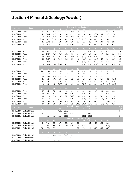|                     |                              |            |                |           |                  |                   |                 |           | Chemical Composition( $\mu$ g/g)            |            |                   |                  |                   |            | <b>Unit Size</b>                                |
|---------------------|------------------------------|------------|----------------|-----------|------------------|-------------------|-----------------|-----------|---------------------------------------------|------------|-------------------|------------------|-------------------|------------|-------------------------------------------------|
| <b>Number</b>       | Name                         | Ta.        | Te             | Th.       | TL.              | $\cup$            | $A\sigma$       | As:       | W                                           | B.         | <b>Ba</b>         | Cu.              | Zr                | Ga         | (in g)                                          |
| <b>NCS DC 71301</b> | Rock                         | 1.96       | 0.012          | 79.3      | 0.76             | 14.6              | (0.033)         | 6.27      | 1.24                                        | 31.8       | 251               | 11.8             | $0.154*$          | 35.8       |                                                 |
| <b>NCS DC 71302</b> | Rock                         | 1.42       | (0.007)        | 16.7      | 1.02             | 3.04              | 0.17            | 5.96      | 1.62                                        | 10.8       | 1053              | 9.1              | 335               | 19.8       |                                                 |
| <b>NCS DC 71303</b> | Rock                         | 0.62       | 0.011          | 10.9      | 0.39             | 1.40              | 0.066           | 0.4       | 0.19                                        | 3.92       | $0.190*$          | 8.8              | 224               | 20.8       |                                                 |
| <b>NCS DC 71304</b> | Rock                         | (0.56)     | 0.010          | (0.28)    | 0.07             | (0.086)           | 0.05            | (0.21)    | (0.10)                                      | 1.84       | 86.2              | 28.3             | 29                | 23.7       |                                                 |
| <b>NCS DC 71305</b> | Rock                         | 2.41       | (0.0009)       | (27.1)    | 0.83             | 4.83              | 0.08            | 0.7       | 1.10                                        | 3.5        | 506               | 10.9             | 403               | 20.5       |                                                 |
| <b>NCS DC 71306</b> | Rock                         | (0.18)     | (0.012)        | 0.11      | (0.070)          | 0.16              | 0.04            | 0.23      | 0.11                                        | 20.5       | 44.3              | 30.2             | 3.0               | (0.21)     |                                                 |
|                     |                              |            |                | Li.       |                  |                   |                 |           |                                             |            |                   |                  |                   |            | $\vee$                                          |
| NCS DC 71301 Rock   |                              | Ge<br>0.95 | Hg<br>0.005    | 32.9      | <b>Pb</b><br>196 | <b>Sc</b><br>2.22 | Sr.<br>$0.016*$ | Zn<br>112 | Br<br>1.21                                  | Cd<br>0.07 | <b>Sb</b><br>0.15 | <b>Ce</b><br>242 | <b>Dy</b><br>4.70 | Eu<br>2.35 | 179                                             |
| <b>NCS DC 71302</b> | Rock                         | 1.11       | 0.014          | 17.5      | 97.7             | 7.52              | 318             | 164       | (0.55)                                      | 0.61       | 1.34              | 117              | 5.32              | 1.96       | 64.3                                            |
| <b>NCS DC 71303</b> | Rock                         | 1.00       | 0.035          | 16.2      | 19.8             | 10.3              | 1198            | 85.4      | (0.34)                                      | 0.08       | 0.06              | 112              | 3.20              | 1.91       | 104                                             |
| <b>NCS DC 71304</b> | Rock                         | 1.06       | (0.005)        | 1.94      | (5.16)           | 22.5              | 612             | 118       | (0.32)                                      | 0.09       | (0.04)            | 4.2              | 1.11              | 0.74       | 768                                             |
| <b>NCS DC 71305</b> | Rock                         | 1.17       | 0.005          | 12.7      | 33.3             | 5.15              | 43.0            | 86.3      | (0.25)                                      | 0.14       | 0.38              | 163              | 8.19              | 1.18       | 3.8                                             |
| <b>NCS DC 71306</b> | Rock                         | 0.15       | (0.004)        | 2.30      | (4.44)           | 0.098             | 27.0            | 11.7      | 0.84                                        | 0.07       | (0.04)            | 3.58             | 0.19              | 0.05       | (21)                                            |
|                     |                              |            |                |           |                  |                   |                 |           |                                             |            |                   |                  |                   |            |                                                 |
|                     |                              | Gd         | H <sub>O</sub> | La        | Lu.              | Nd                | Sm              | Tb.       | Tm                                          | Yb         | Er.               | <b>Pr</b>        | Y                 | Be         |                                                 |
| <b>NCS DC 71301</b> | Rock                         | 7.0        | 0.96           | 14.9      | 0.43             | 65.1              | 9.7             | 1.02      | 0.46                                        | 2.56       | 2.48              | 22.5             | 24.7              | 17.2       |                                                 |
| <b>NCS DC 71302</b> | Rock                         | 6.54       | 1.10           | 62.5      | 0.49             | 47.2              | 8.63            | 0.99      | 0.5                                         | 3.15       | 2.93              | 13.2             | 28.0              | 3.64       |                                                 |
| <b>NCS DC 71303</b> | Rock                         | 5.09       | 0.60           | 60.5      | 0.24             | 48.1              | 7.74            | 0.68      | 0.26                                        | 1.56       | 1.57              | 13.2             | 15.5              | 2.11       |                                                 |
| <b>NCS DC 71304</b> | Rock                         | 1.31       | 0.20           | 1.71      | 0.06             | 4.10              | 1.22            | 0.20      | 0.09                                        | 0.36       | 0.47              | 0.84             | 4.9               | (0.98)     |                                                 |
| <b>NCS DC 71305</b> | Rock                         | 9.47       | 1.64           | 82.7      | 0.67             | 64.5              | 11.7            | 1.51      | 0.73                                        | 4.51       | 4.31              | 18.4             | 42.5              | 4.09       |                                                 |
| <b>NCS DC 71306</b> | Rock                         | 0.18       | 0.04           | 1.34      | 0.019            | 1.39              | 0.25            | 0.05      | (0.040)                                     | 0.09       | 0.09              | (0.44)           | (1.40)            | (0.22)     |                                                 |
|                     |                              |            |                |           |                  |                   |                 |           |                                             |            |                   |                  |                   |            |                                                 |
|                     |                              | Bi         | Co             | Cr        | Cs               | Hf.               | n.              | $\ln$     | Mo                                          | <b>Nb</b>  | Ni.               | P <sub>b</sub>   | Se                | Sn         |                                                 |
| NCS DC 71301 Rock   |                              | 0.37       | 4.59           | 3.6       | 2.05             | 34.0              | 0.14            | 0.15      | 0.26                                        | 66.9       | 1.75              | 130              | 0.05              | 6.50       |                                                 |
| <b>NCS DC 71302</b> | Rock                         | 0.09       | 7.9            | 7.7       | 7.16             | 7.5               | 0.07            | 0.11      | 0.95                                        | 20.8       | 12.6              | 183              | 0.03              | 3.12       |                                                 |
| <b>NCS DC 71303</b> | Rock                         | 0.05       | 15.6           | 37.6      | 0.97             | 5.2               | (0.078)         | 0.08      | 0.47                                        | 10.6       | 24.4              | 70.1             | 0.03              | 1.44       |                                                 |
| <b>NCS DC 71304</b> | Rock                         | 0.04       | 93.0           | 14.5      | (0.17)           | 0.65              | 0.08            | 0.12      | (0.94)                                      | 9.3        | 69                | (4.79)           | 0.26              | 0.89       |                                                 |
| <b>NCS DC 71305</b> | Rock                         | 0.06       | 2.40           | 7.3       | 3.34             | 10.8              | (0.093)         | 0.09      | 2.46                                        | 34.3       | 64.5              | 213              | 0.040             | 3.35       |                                                 |
| <b>NCS DC 71306</b> | Rock                         | 0.03       | 3.88           | 2.6       | 0.07             | (0.10)            | 0.23            | (0.066)   | (0.024)                                     | (2.77)     | 241               | (1.42)           | 0.08              | 0.53       |                                                 |
| <b>Number</b>       | Name                         | Aσ         | Cd             | Cu        | Fe               | S                 | Sh              | Sn        | <b>Chemical Composition (Percent)</b><br>7n | Pb         |                   |                  |                   |            | <b>Unit Size</b><br>$\left( \text{in }g\right)$ |
| <b>NCS DC 71307</b> | <b>Sulfied Mineral</b>       |            |                |           | 46.08            | 52.72             |                 |           |                                             |            |                   |                  |                   |            | 5                                               |
| <b>NCS DC 71309</b> | <b>Sulfied Mineral</b>       | 0.97       |                |           |                  | 13.30             | 0.43            | 0.11      |                                             | 84.26      |                   |                  |                   |            | 5                                               |
| <b>NCS DC 71310</b> | <b>Sulfied Mineral</b>       |            | 0.15           | 0.10      | 2.14             | 32.33             |                 |           | 62.51                                       | 0.099      |                   |                  |                   |            | 5                                               |
|                     |                              |            |                |           |                  |                   |                 |           | Chemical Composition (µg/g)                 |            |                   |                  |                   |            |                                                 |
|                     |                              | Ag         | As             | <b>Bi</b> | Cd               | Co                | Ga              | Ge        | $\ln$                                       | Sb         | Se                | Sn               | Te                |            |                                                 |
| <b>NCS DC 71307</b> | <b>Sulfied Mineral</b>       | 0.59       | (14.4)         | 2.9       | 0.71             | (3.9)             | 0.44            | (0.2)     |                                             | 1.1        | 5.8               | (2.7)            | 0.95              |            |                                                 |
| <b>NCS DC 71309</b> | <b>Sulfied Mineral</b>       |            | 5.3            | 1.4       | 16.5             | (0.4)             | (0.3)           | 1.47      | 0.29                                        |            |                   |                  | (0.07)            |            |                                                 |
| <b>NCS DC 71310</b> | <b>Sulfied Mineral</b>       | 5.0        | (3.3)          | 6.1       |                  | 491               | 251             | 6.0       | 21.0                                        | 249        | (3.0)             | (0.2)            | (0.3)             |            |                                                 |
|                     |                              |            |                |           |                  |                   |                 |           |                                             |            |                   |                  |                   |            |                                                 |
|                     |                              | Zn         | Ti.            | Mn        | Ni.              | <b>Pb</b>         | Cu              | Fe        |                                             |            |                   |                  |                   |            |                                                 |
| <b>NCS DC 71307</b> | <b>Sulfied Mineral</b>       | 219        |                | 28.9      | 34.0             | (23.4)            | 431             |           |                                             |            |                   |                  |                   |            |                                                 |
| <b>NCS DC 71309</b> | <b>Sulfied Mineral</b>       | 533        | 0.65           |           |                  |                   | 62.4            | 127       |                                             |            |                   |                  |                   |            |                                                 |
|                     | NCS DC 71310 Sulfied Mineral |            |                | 169       | 43.2             |                   |                 |           |                                             |            |                   |                  |                   |            |                                                 |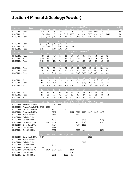|                     |                                     |                                |                   |                  |             |                                                                    |            |                   | <b>Chemical Composition(Percent)</b> |                  |                                |                  |           | <b>Unit Size</b> |
|---------------------|-------------------------------------|--------------------------------|-------------------|------------------|-------------|--------------------------------------------------------------------|------------|-------------------|--------------------------------------|------------------|--------------------------------|------------------|-----------|------------------|
| <b>Number</b>       | <b>Name</b>                         | $Al_2O_2$                      | CaO               | <b>FeO</b>       | $K_2O$      | Na <sub>2</sub> O                                                  | <b>MgO</b> | Mn                | $P_2O_5$                             | SiO <sub>2</sub> | Fe <sub>2</sub> O <sub>3</sub> | TiO <sub>2</sub> | LOI       | (in g)           |
| NCS DC 71311 Rock   |                                     | 13.21                          | 7.83              | 7.24             | 1.49        | 3.17                                                               | 5.08       | 0.16              | 0.55                                 | 49.88            | 13.40                          | 2.94             | 2.30      | 70               |
| NCS DC 71312 Rock   |                                     | 3.73                           | 12.64             | 3.71             | 0.49        | (0.10)                                                             | 17.56      | 0.09              | 0.30                                 | 35.88            | 6.53                           | 0.71             | 20.73     | 70               |
| NCS DC 71313 Rock   |                                     | 13.19                          | (0.10)            | (0.04)           | 6.22        | 1.6                                                                | 0.13       | 0.013             | 0.18                                 | 76.40            | 0.24                           | 0.61             | 1.27      | 70               |
|                     |                                     |                                |                   |                  |             |                                                                    |            |                   |                                      |                  |                                |                  |           |                  |
|                     |                                     | CO <sub>2</sub>                | Cl                | F.               | $H2O+$      | SO <sub>2</sub>                                                    | Ba         |                   |                                      |                  |                                |                  |           |                  |
| NCS DC 71311 Rock   |                                     | (0.11)                         | (0.04)            | (0.07)           | (2.44)      | 0.44                                                               |            |                   |                                      |                  |                                |                  |           |                  |
| NCS DC 71312 Rock   |                                     | (16.78)                        | (0.04)            | (0.11)           | (4.47)      | 0.68                                                               | 0.177      |                   |                                      |                  |                                |                  |           |                  |
| NCS DC 71313 Rock   |                                     | (0.05)                         |                   | (0.03)           | (1.02)      | 0.07                                                               |            |                   |                                      |                  |                                |                  |           |                  |
| <b>Number</b>       | Name                                | Ag                             | As                | B                | Ba          | <b>Be</b>                                                          | Bi         | Cd                | Chemical Composition(µg/g)<br>Ce     | Co               | Cr                             | Cs               | Cu        |                  |
| NCS DC 71311 Rock   |                                     | 0.33                           | 5.1               | 17.0             | 614         | 1.5                                                                | 0.39       | 0.39              | 78.1                                 | 37.5             | 109                            | 1.7              | 82.6      |                  |
| NCS DC 71312 Rock   |                                     | (0.06)                         | 3.5               | (31.8)           |             | 1.3                                                                | (0.10)     | 0.46              | 12.7                                 | 40.0             | 776                            | 5.2              | 26.2      |                  |
| NCS DC 71313 Rock   |                                     | (0.09)                         | 3.1               | (1.9)            | 728         | 1.3                                                                | (0.07)     | 0.15              | (5.0)                                | (1.5)            | 4.8                            | 1.8              | 4.2       |                  |
|                     |                                     |                                |                   |                  |             |                                                                    |            |                   |                                      |                  |                                |                  |           |                  |
|                     |                                     | Dy                             | Er.               | <b>Eu</b>        | Ga          | Gd                                                                 | Ge         | <b>Hf</b>         | Hg                                   | Ho               | La                             | Li.              | Lu        |                  |
| NCS DC 71311 Rock   |                                     | 5.5                            | 2.6               | 3.5              | 21.2        | 7.2                                                                | 1.5        | 9.2               | 0.017                                | $1.2\phantom{0}$ | 38.1                           | 20.8             | 0.34      |                  |
| NCS DC 71312 Rock   |                                     | 2.6                            | 1.2               | 1.6              | 7.1         | 4.7                                                                | 0.89       | 4.9               | 0.010                                | 0.49             | 69.8                           | 75.7             | 0.16      |                  |
| NCS DC 71313 Rock   |                                     | 0.20                           | 0.12              | (0.16)           | 13.5        | 0.22                                                               | 1.48       | (0.80)            | (0.008)                              | (0.04)           | (3.3)                          | 14.4             | 0.03      |                  |
|                     |                                     |                                |                   |                  |             |                                                                    |            |                   |                                      |                  |                                |                  |           |                  |
| NCS DC 71311 Rock   |                                     | Mo<br>1.4                      | <b>Nb</b><br>25.3 | Nd               | Ni.<br>55.3 | Pb<br>33.0                                                         | Pr<br>10.6 | <b>Rb</b><br>47.4 | Sb<br>2.3                            | Sc               | Se                             | <b>Sm</b>        | Sn<br>2.0 |                  |
| NCS DC 71312 Rock   |                                     | 1.4                            | 56.8              | 42.8<br>49.0     | 542         | 20.7                                                               | 13.8       | 28.4              | (0.22)                               | 27.1<br>10.9     | (0.19)<br>0.10                 | 8.6<br>6.5       | 1.7       |                  |
| NCS DC 71313 Rock   |                                     | 0.29                           | 14.6              | 1.51             | (1.6)       | 34.6                                                               | 0.48       | 155               | 0.64                                 | (2.85)           | (0.015)                        | (0.24)           | 3.5       |                  |
|                     |                                     |                                |                   |                  |             |                                                                    |            |                   |                                      |                  |                                |                  |           |                  |
|                     |                                     | <b>Sr</b>                      | Ta                | <b>Tb</b>        | <b>Th</b>   | Tm                                                                 | $\cup$     | V                 | W                                    | $\mathbf{Y}$     | Yb                             | Zn               | Zr        |                  |
| NCS DC 71311 Rock   |                                     | 470                            | 1.8               | 1.1              | 4.9         | 0.36                                                               | 1.2        | 268               | 1.4                                  | 24.5             | 2.2                            | 160              | 352       |                  |
| NCS DC 71312 Rock   |                                     | 262                            | 3.9               | 0.54             | 10.8        | 0.17                                                               | 2.2        | 89.4              | 2.4                                  | 11.6             | 1.1                            | 190              | 175       |                  |
| NCS DC 71313 Rock   |                                     | 45.5                           | 1.3               | (0.04)           | 0.66        | (0.02)                                                             | (0.75)     | (44.5)            | 3.2                                  | 1.6              | 0.21                           | 20.3             | 22.6      |                  |
| <b>Number</b>       | Name                                |                                |                   |                  |             |                                                                    |            |                   | Chemical Composition(Percent)        |                  |                                |                  |           |                  |
|                     |                                     | No <sub>2</sub> O <sub>3</sub> | K <sub>2</sub> O  | SiO <sub>2</sub> | ZnO         | PbO                                                                | $B_2O_3$   | $Al_2O_3$         | <b>MgO</b>                           | TiO <sub>2</sub> | Fe <sub>2</sub> O <sub>3</sub> | CaO              |           |                  |
|                     | NCS DC 71401    Zinc Oxide for EPMA |                                |                   | (0.04)           | 99.80       |                                                                    |            | (0.10)            |                                      |                  |                                |                  |           |                  |
| <b>NCS DC 71402</b> | Potassium Niobat for EPMA           | 74.10                          | 25.89             |                  |             |                                                                    |            |                   |                                      |                  |                                |                  |           |                  |
| <b>NCS DC 71403</b> | Lead Glass for EPMA                 |                                | 3.12              | 32.70            |             | 64.4                                                               |            |                   |                                      |                  |                                |                  |           |                  |
| <b>NCS DC 71404</b> | Boron Glass for EPMA                |                                |                   | 37.11            |             |                                                                    | (11.21)    | 35.24             | 10.28                                | (0.42)           | (0.44)                         | (0.77)           |           |                  |
| NCS DC 71405        | Kyanite for EPMA                    |                                |                   | 37.06            |             |                                                                    |            | 62.70             |                                      |                  |                                |                  |           |                  |
|                     | NCS DC 71406 Pyrite for EPMA        |                                |                   |                  |             |                                                                    |            |                   |                                      |                  |                                |                  |           |                  |
|                     | NCS DC 71407 Olivine for EPMA       |                                |                   | 40.73            |             |                                                                    |            |                   | 50.05                                |                  |                                | (0.04)           |           |                  |
|                     | NCS DC 71408 Feldspar for EPMA      |                                | 4.51              | 65.97            |             |                                                                    |            | 19.88             | (0.02)                               |                  |                                | 0.89             |           |                  |
|                     | NCS DC 71409 Chromite for EPMA      |                                |                   | (0.15)           |             |                                                                    |            | (7.36)            | 12.38                                |                  |                                |                  |           |                  |
|                     | NCS DC 71410 Quartz for EPMA        |                                |                   | 99.98            |             |                                                                    |            |                   |                                      |                  |                                |                  |           |                  |
|                     | NCS DC 71411 Garnet for EPMA        |                                |                   | 36.31            |             |                                                                    |            | 20.05             | 0.08                                 |                  |                                | 10.21            |           |                  |
|                     |                                     |                                | $Na2O$ $Cr2O3$    |                  |             | MnO Fe <sub>2</sub> O <sub>3</sub> TFe <sub>2</sub> O <sub>3</sub> | <b>FeO</b> | Fe                | S                                    | $P_2O_5$         |                                |                  |           |                  |
| NCS DC 71404        | Boron Glass for EPMA                | (1.27)                         |                   |                  |             |                                                                    |            |                   |                                      | (0.025)          |                                |                  |           |                  |
| <b>NCS DC 71405</b> | Kyanite for EPMA                    |                                |                   |                  |             |                                                                    |            |                   |                                      |                  |                                |                  |           |                  |
|                     | NCS DC 71406 Pyrite for EPMA        |                                |                   |                  |             |                                                                    |            |                   | 53.19                                |                  |                                |                  |           |                  |
|                     | NCS DC 71407 Olivine for EPMA       |                                |                   | (0.17)           |             |                                                                    | 8.67       |                   |                                      |                  |                                |                  |           |                  |
| <b>NCS DC 71408</b> | Feldspar for EPMA                   | 7.08                           |                   |                  |             |                                                                    |            |                   |                                      |                  |                                |                  |           |                  |
|                     | NCS DC 71409 Chromite for EPMA      |                                | 64.34             | (0.10)           | (1.68)      |                                                                    | 14.04      |                   |                                      |                  |                                |                  |           |                  |
| <b>NCS DC 71410</b> | Quartz for EPMA                     |                                |                   |                  |             |                                                                    | (0.02)     |                   |                                      |                  |                                |                  |           |                  |
|                     | NCS DC 71411 Garnet for EPMA        |                                |                   | 29.71            |             | (15.25)                                                            | 13.4       |                   |                                      |                  |                                |                  |           |                  |
|                     |                                     |                                |                   |                  |             |                                                                    |            |                   |                                      |                  |                                |                  |           |                  |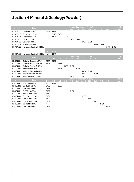|                                     |                            |                  |                                         |                |       |            |       |       | <b>Chemical Composition (Percent)</b>                                                                                                                                                                                                                                                  |                 |       |                     |       | <b>Unit Size</b>           |
|-------------------------------------|----------------------------|------------------|-----------------------------------------|----------------|-------|------------|-------|-------|----------------------------------------------------------------------------------------------------------------------------------------------------------------------------------------------------------------------------------------------------------------------------------------|-----------------|-------|---------------------|-------|----------------------------|
| <b>Number</b>                       | Name                       | Pb               | S                                       | Z <sub>n</sub> | Hg    | <b>BaO</b> | SO-   | PbO   | CO <sub>2</sub>                                                                                                                                                                                                                                                                        | WO <sub>3</sub> | CaO   | $Nb_2O_3$ $Ta_2O_3$ |       | $\overline{(\text{in g})}$ |
| NCSDC71412                          | Galena for EPMA            | 86.35            | 13.44                                   |                |       |            |       |       |                                                                                                                                                                                                                                                                                        |                 |       |                     |       |                            |
| NCSDC71413                          | Sphalerite for EPMA        |                  | 32.76                                   | 66.33          |       |            |       |       |                                                                                                                                                                                                                                                                                        |                 |       |                     |       |                            |
| NCSDC71414                          | Cinnabar for EPMA          |                  | 13.63                                   |                | 86.00 |            |       |       |                                                                                                                                                                                                                                                                                        |                 |       |                     |       |                            |
| NCSDC71415                          | <b>Barite for EPMA</b>     |                  |                                         |                |       | 65.56      | 34.28 |       |                                                                                                                                                                                                                                                                                        |                 |       |                     |       |                            |
| NCSDC71416                          | Cerusite for EPMA          |                  |                                         |                |       |            |       | 83.36 | (16.82)                                                                                                                                                                                                                                                                                |                 |       |                     |       |                            |
| NCSDC71417                          | Scheelite for EPMA         |                  |                                         |                |       |            |       |       |                                                                                                                                                                                                                                                                                        | 80.45           | 19.39 |                     |       |                            |
| NCSDC71418                          | Manganocolumbite for EPMA  |                  |                                         |                |       |            |       |       |                                                                                                                                                                                                                                                                                        |                 |       | 54.74               | 25.92 |                            |
|                                     |                            |                  |                                         |                |       |            |       |       |                                                                                                                                                                                                                                                                                        |                 |       |                     |       |                            |
|                                     |                            | FeO              | MnO                                     |                |       |            |       |       |                                                                                                                                                                                                                                                                                        |                 |       |                     |       |                            |
| <b>NCSDC71418</b>                   | Manganocolumbite for EPMA  | 6.65             | 12.47                                   |                |       |            |       |       | <b>Chemical Composition (Percent)</b>                                                                                                                                                                                                                                                  |                 |       |                     |       | <b>Unit Size</b>           |
| <b>Number</b>                       | Name                       | Cd               | Te                                      | Se:            | Ga    | As         | Zn    | In.   | S <sub>b</sub>                                                                                                                                                                                                                                                                         | P.              |       |                     |       | (in g)                     |
| NCS DC 71419                        | Cadmium Telluride for EPMA | 46.87            | 53.39                                   |                |       |            |       |       |                                                                                                                                                                                                                                                                                        |                 |       |                     |       |                            |
| NCS DC 71420                        | Cadmium Selenide for EPMA  | 58.48            |                                         | 40.88          |       |            |       |       |                                                                                                                                                                                                                                                                                        |                 |       |                     |       |                            |
| <b>NCS DC 71421</b>                 | Cadmium Arsenide for EPMA  |                  |                                         |                | 48.07 | 51.95      |       |       |                                                                                                                                                                                                                                                                                        |                 |       |                     |       |                            |
| NCS DC 71422                        | Zinc Selenide for EPMA     |                  |                                         | 54.44          |       |            | 45.38 |       |                                                                                                                                                                                                                                                                                        |                 |       |                     |       |                            |
| NCS DC 71423                        | Indium Antimonide for EPMA |                  |                                         |                |       |            |       | 48.59 | 51.45                                                                                                                                                                                                                                                                                  |                 |       |                     |       |                            |
| NCS DC 71424                        | Indium Phosphide for EPMA  |                  |                                         |                |       |            |       | 78.51 |                                                                                                                                                                                                                                                                                        | 21.12           |       |                     |       |                            |
| NCS DC 71425                        | Indium Arsenide for EPMA   |                  |                                         |                |       | 39.60      |       | 60.97 |                                                                                                                                                                                                                                                                                        |                 |       |                     |       |                            |
| <b>Number</b>                       | Name                       |                  |                                         |                |       |            |       |       | <b>Chemical Composition (Percent)</b>                                                                                                                                                                                                                                                  |                 |       |                     |       | <b>Unit Size</b>           |
|                                     | Sc P 5014 for EPMA         | $P_2O_5$<br>85.6 | Sc <sub>2</sub> O <sub>3</sub><br>16.42 |                |       |            |       |       | La <sub>2</sub> O <sub>3</sub> Ce <sub>2</sub> O <sub>3</sub> Pr <sub>2</sub> O <sub>3</sub> Nd <sub>2</sub> O <sub>3</sub> Sm <sub>2</sub> O <sub>3</sub> Gd <sub>2</sub> O <sub>3</sub> Ho <sub>2</sub> O <sub>3</sub> Yb <sub>2</sub> O <sub>3</sub> Lu <sub>2</sub> O <sub>3</sub> |                 |       |                     |       | (in g)                     |
| NCS DC 71426                        | La P 5014 for EPMA         | 67.70            |                                         | 31.25          |       |            |       |       |                                                                                                                                                                                                                                                                                        |                 |       |                     |       |                            |
| NCS DC 71427<br>NCS DC 71428        | Ce P 5014 for EPMA         | 68.32            |                                         |                | 31.7  |            |       |       |                                                                                                                                                                                                                                                                                        |                 |       |                     |       |                            |
| NCS DC 71429                        | Pr P 5014 for EPMA         | 68.67            |                                         |                |       | 31.83      |       |       |                                                                                                                                                                                                                                                                                        |                 |       |                     |       |                            |
| <b>NCS DC 71430</b>                 | Nd P 5014 for EPMA         | 68.12            |                                         |                |       |            | 32.2  |       |                                                                                                                                                                                                                                                                                        |                 |       |                     |       |                            |
|                                     | Sm P 5014 for EPMA         |                  |                                         |                |       |            |       |       |                                                                                                                                                                                                                                                                                        |                 |       |                     |       |                            |
| NCS DC 71431<br><b>NCS DC 71432</b> | Gd P 5014 for EPMA         | 68.87<br>66.6    |                                         |                |       |            |       | 32.07 | 33.71                                                                                                                                                                                                                                                                                  |                 |       |                     |       |                            |
| <b>NCS DC 71433</b>                 | Ho P 5014 for EPMA         | 65.37            |                                         |                |       |            |       |       |                                                                                                                                                                                                                                                                                        | 34.52           |       |                     |       |                            |
| NCS DC 71434                        | Yb P 5014 for EPMA         | 64.1             |                                         |                |       |            |       |       |                                                                                                                                                                                                                                                                                        |                 | 35.88 |                     |       |                            |
|                                     |                            |                  |                                         |                |       |            |       |       |                                                                                                                                                                                                                                                                                        |                 |       |                     |       |                            |
| <b>NCS DC 71435</b>                 | Lu P 5014 for EPMA         | 63.44            |                                         |                |       |            |       |       |                                                                                                                                                                                                                                                                                        |                 |       | 36.08               |       |                            |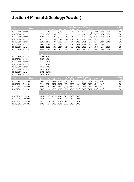| <b>Number</b>       | Name     | <b>TFe</b> | SiO <sub>2</sub> | $Al_2O_3$ | FeO                            | <b>MgO</b>      | CaO   | <b>Chemical Composition (Percent)</b><br>Na <sub>2</sub> O | K <sub>2</sub> O  | H <sub>2</sub> O | <sub>S</sub> | P.              | -Ti   | <b>Unit Size</b><br>(in g) |
|---------------------|----------|------------|------------------|-----------|--------------------------------|-----------------|-------|------------------------------------------------------------|-------------------|------------------|--------------|-----------------|-------|----------------------------|
| <b>NCS DC 73001</b> | Iron ore | 20.17      | 60.86            | 3.57      | (7.49)                         | 1.68            | 2.84  | 0.28                                                       | 0.53              | (1.18)           | 0.051        | 0.045           | 0.085 | 50                         |
| <b>NCS DC 73002</b> | Iron ore | 30.34      | 43.68            | 3.43      | 5.8                            | 1.44            | 2.17  | 0.18                                                       | 0.85              | (2.08)           | 0.066        | 0.094           | 0.091 | 50                         |
| <b>NCS DC 73003</b> | Iron ore | 40.51      | 33.93            |           |                                |                 | 2.00  |                                                            |                   |                  | 0.95         | 0.032           | 0.067 | 50                         |
|                     |          |            |                  | 2.27      | (14.5)                         | 2.22            |       | 0.16                                                       | 0.27              | (1.37)           |              |                 | 0.083 |                            |
| NCS DC 73004        | Iron ore | 49.50      | 16.30            | 2.58      | 7.66                           | 0.98            | 0.91  | 0.035                                                      | 0.92              | (2.1)            | 0.065        | 0.138           |       | 50                         |
| <b>NCS DC 73005</b> | Iron ore | 56.60      | 11.48            | 0.99      | 20.05                          | 3.62            | 1.36  | 0.058                                                      | 0.071             | (1.63)           | 2.44         | 0.017           | 0.043 | 50                         |
| <b>NCS DC 73006</b> | Iron ore | 61.46      | 6.65             | 1.68      | (0.35)                         | 0.77            | 0.52  | 0.081                                                      | 0098              | (0.046)          | 0.0067       | 0.019           | 1.12  | 50                         |
| NCS DC 73007        | Iron ore | 62.51      | 10.93            | 1.02      | 21.54                          | 0.28            | 0.18  | 0.016                                                      | 0.038             | (0.41)           | 0.0058       | 0.11            | 0.059 | 50                         |
| <b>NCS DC 73009</b> | Iron ore | 66.87      | 5.05             | 0.99      | 23.14                          | 0.22            | 0.14  | 0.012                                                      | 0.030             | (0.44)           | 0.0055       | (0.011)         | 0.059 | 50                         |
|                     |          | Mn         | Cu               |           |                                |                 |       |                                                            |                   |                  |              |                 |       |                            |
| <b>NCS DC 73001</b> | Iron ore | 0.168      | 0.0028           |           |                                |                 |       |                                                            |                   |                  |              |                 |       |                            |
| <b>NCS DC 73002</b> | Iron ore | 0.200      | 0.0023           |           |                                |                 |       |                                                            |                   |                  |              |                 |       |                            |
| <b>NCS DC 73003</b> | Iron ore | 0.122      | 0.028            |           |                                |                 |       |                                                            |                   |                  |              |                 |       |                            |
| NCS DC 73004        | Iron ore | 0.198      | 0.0014           |           |                                |                 |       |                                                            |                   |                  |              |                 |       |                            |
| <b>NCS DC 73005</b> | Iron ore | 0.076      | 0.068            |           |                                |                 |       |                                                            |                   |                  |              |                 |       |                            |
| <b>NCS DC 73006</b> | Iron ore | 0.072      | 0.0028           |           |                                |                 |       |                                                            |                   |                  |              |                 |       |                            |
|                     |          |            |                  |           |                                |                 |       |                                                            |                   |                  |              |                 |       |                            |
| <b>NCS DC 73007</b> | Iron ore | 0.061      | (0.0015)         |           |                                |                 |       |                                                            |                   |                  |              |                 |       |                            |
| <b>NCS DC 73009</b> | Iron ore | 0.071      | 0.0015           |           |                                |                 |       |                                                            |                   |                  |              |                 |       | <b>Unit Size</b>           |
| <b>Number</b>       | Name     | $Cr_2O_3$  | SiO <sub>2</sub> | $Al_2O_3$ | Fe <sub>2</sub> O <sub>3</sub> | Fe <sub>O</sub> | MgO   | <b>Chemical Composition (Percent)</b><br>CaO               | Na <sub>2</sub> O | K <sub>2</sub> O | $H2O+$       | CO <sub>2</sub> |       | (in g)                     |
| <b>NCS DC 73010</b> | Chromite | 17.59      | 20.30            | 11.86     | 10.52                          | (8.68)          | 28.12 | 0.44                                                       | (0.13)            | 0.046            | (10.7)       | (0.6)           |       | 50                         |
| <b>NCS DC 73011</b> | Chromite | 34.44      | 12.24            | 11.37     | 11.81                          | (8.5)           | 23.32 | 0.32                                                       | 0.073             | 0.026            | (6.4)        | (0.46)          |       | 50                         |
| <b>NCS DC 73012</b> | Chromite | 46.56      | 5.06             | 11.60     | 15.34                          | (12.0)          | 17.92 | 0.46                                                       | 0.018             | (0.010)          | 2.5          | (1.2)           |       | 50                         |
| <b>NCS DC 73013</b> | Chromite | 57.80      | 1.10             | 10.53     | 13.70                          | (8.3)           | 16.45 | (0.13)                                                     | (0.016)           | (0.004)          | (0.59)       | (0.14)          |       | 50                         |
|                     |          |            |                  |           |                                |                 |       |                                                            |                   |                  |              |                 |       |                            |
|                     |          | S.         | <b>Ni</b>        | Co        | P                              | -Ti             | Mn    | V                                                          |                   |                  |              |                 |       |                            |
| <b>NCS DC 73010</b> | Chromite | 0.037      | 0.188            | 0.0124    | 0.0031                         | 0.085           | 0.088 | 0.043                                                      |                   |                  |              |                 |       |                            |
| <b>NCS DC 73011</b> | Chromite | 0.024      | 0.175            | 0.14      | 0.0020                         | 0.100           | 0.090 | 0.044                                                      |                   |                  |              |                 |       |                            |
| <b>NCS DC 73012</b> | Chromite | 0.076      | 0.134            | 0.016     | (0.0013)                       | 0.070           | 0.135 | 0.064                                                      |                   |                  |              |                 |       |                            |
| <b>NCS DC 73013</b> | Chromite | (0.005)    | 0.16             | 0.016     | (0.0012)                       | 0.122           | 0.097 | 0.048                                                      |                   |                  |              |                 |       |                            |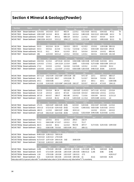|                     |                                                                                                                                     |                  |                                 |                                                                  |                                 | Chemical Composition( $\mu$ g/g)            |                                                                 |                                     |                                                   |                     | <b>Unit Size</b> |
|---------------------|-------------------------------------------------------------------------------------------------------------------------------------|------------------|---------------------------------|------------------------------------------------------------------|---------------------------------|---------------------------------------------|-----------------------------------------------------------------|-------------------------------------|---------------------------------------------------|---------------------|------------------|
| <b>Number</b>       | Name                                                                                                                                | Αg               | <b>As</b>                       | B                                                                | Ba                              | <b>Be</b>                                   | Bi                                                              | Br                                  | Cd                                                | Ce                  | (in g)           |
| <b>NCS DC 73014</b> | Stream Sediment 0.14±0.01                                                                                                           |                  | $14.3 \pm 0.9$                  | 53±7                                                             | 455土9                           | $2.2 \pm 0.1$                               | $0.51 \pm 0.03$                                                 | $0.8 + 0.2$                         | $0.34 \pm 0.02$                                   | 47土2                | 70               |
| <b>NCS DC 73015</b> | Stream Sediment 0.050±0.007 3.6±0.4                                                                                                 |                  |                                 | 48土6                                                             | $600 \pm 20$                    | $3.6 \pm 0.4$                               | $0.48 \pm 0.03$                                                 |                                     | $0.61 \pm 0.13$ $0.093 \pm 0.009$                 | $24 \pm 2$          | 70               |
|                     | NCS DC73016a Stream sediments 0.79±0.09                                                                                             |                  | 53±4                            | 84±11                                                            | 698±24                          | $3.0 + 0.3$                                 | $2.1 \pm 0.2$                                                   | $4.8 + 0.7$                         | $4.9 + 0.4$                                       | 63±4                |                  |
| <b>NCS DC 73017</b> | Stream Sediment 0.044±0.014 4.4±0.3                                                                                                 |                  |                                 | $5.5 \pm 1.2$                                                    | 1054±17                         | $1.6 + 0.1$                                 | $0.33 \pm 0.04$                                                 | $1.0 + 0.2$                         | $0.095 \pm 0.010$                                 | $32 \pm 2$          | 70               |
|                     |                                                                                                                                     |                  |                                 |                                                                  |                                 | Chemical Composition(µg/g)                  |                                                                 |                                     |                                                   |                     |                  |
|                     |                                                                                                                                     | CL.              | Co                              | Cr                                                               | Cs                              | Cu.                                         | Dv.                                                             | $Er =$                              | Eu                                                | F.                  |                  |
| <b>NCS DC 73014</b> | Stream Sediment 53±5                                                                                                                |                  | $10.2 \pm 0.4$                  | $61\pm4$                                                         | $5.8 \pm 0.3$                   | $132 + 5$                                   | $4.1 \pm 0.3$                                                   | $2.5 \pm 0.2$                       | $1.20 \pm 0.06$ 550 $\pm$ 21                      |                     |                  |
| NCSDC73015          | Stream Sediment $33\pm3$                                                                                                            |                  | $4.4 \pm 0.2$                   | $21 + 33$                                                        | $7.2 \pm 0.2$                   | $7.2 \pm 0.52$                              | $1.7 + 0.1$                                                     | $0.93 + 0.09$                       | $0.62 \pm 0.03$ 279 $\pm 8$                       |                     |                  |
|                     | NCS DC73016a Stream sediments 78 ± 11                                                                                               |                  | 9±1                             | 34土4                                                             | $6.1 \pm 0.5$                   | $32 \pm 2$                                  | $5.0 \pm 0.4$                                                   | $3.0 + 0.4$                         | $1.0 + 0.2$                                       | 450±41              |                  |
| NCSDC73017          | Stream Sediment (30)                                                                                                                |                  | $12.5 \pm 0.9$                  | $8.4 \pm 1.2$                                                    | $1.5 + 0.2$                     | $3.9 + 0.6$                                 | $1.3 \pm 0.1$                                                   | $0.8 + 0.1$                         | $0.54 \pm 0.05$ 131 $\pm$ 20                      |                     |                  |
|                     |                                                                                                                                     | Ga               | Gd                              | Ge                                                               | Hf.                             | Chemical Composition(µg/g)<br>Hg            | Ho                                                              |                                     | ln.                                               | La                  |                  |
| NCS DC 73014        | Stream Sediment 14.6 ± 0.6                                                                                                          |                  | $4.1 \pm 0.2$                   | $1.87 \pm 0.14$ 3.8 $\pm$ 0.8                                    |                                 |                                             | $0.018 \pm 0.006$ $0.83 \pm 0.08$                               | $0.47 \pm 0.08$ $0.14 \pm 0.01$     |                                                   | $24 \pm 1$          |                  |
| NCSDC 73015         | Stream Sediment 12.4 ± 0.5                                                                                                          |                  | $1.7 \pm 0.1$                   | $1.64 \pm 0.14$ $2.1 \pm 0.4$                                    |                                 | (0.007)                                     | $0.33 \pm 0.02$                                                 |                                     | $0.27 \pm 0.08$ $0.018 \pm 0.004$ $13.9 \pm 1.0$  |                     |                  |
|                     | NCS DC73016a Stream sediments 17±2                                                                                                  |                  | $5.3 \pm 0.5$                   | $1.2 + 0.2$                                                      | $5.6 \pm 0.8$                   | $0.12 \pm 0.01$                             | $1.0\pm0.2$                                                     | $2.1 \pm 0.3$                       | $0.15 \pm 0.03$                                   | 35±2                |                  |
| <b>NCS DC 73017</b> | Stream Sediment 12.0 ± 0.6                                                                                                          |                  | $1.4 \pm 0.1$                   | $1.21 \pm 0.07$ $2.7 \pm 0.5$                                    |                                 |                                             | $0.016 \pm 0.005$ $0.26 \pm 0.03$                               | $0.46 \pm 0.10$                     | (0.014)                                           | $11.8 \pm 0.6$      |                  |
|                     |                                                                                                                                     |                  |                                 |                                                                  |                                 | Chemical Composition( $\mu$ g/g)            |                                                                 |                                     |                                                   |                     |                  |
|                     |                                                                                                                                     | Li               | Lu.                             | Mn                                                               | Mo                              | N                                           | N <sub>b</sub>                                                  | Nd                                  | <b>Ni</b>                                         | P                   |                  |
| NCSDC73014          | Stream Sediment 20.7 ± 2.0                                                                                                          |                  |                                 | $0.42 \pm 0.04$ $0.142 \pm 0.004$ $0.94 \pm 0.04$ 150            |                                 |                                             | $9.4 \pm 07$                                                    | $22 + 1$                            | $18.9 \pm 0.7$                                    | $568 + 17$          |                  |
| <b>NCS DC 73015</b> | Stream Sediment $40 \pm 2$                                                                                                          |                  | $0.16 \pm 0.02$ 290 $\pm 7$     |                                                                  | $0.33 \pm 0.04$ 79              |                                             | $5.1 \pm 0.7$                                                   | $9.8 + 0.4$                         | $7.0 \pm 0.6$                                     | 335±15              |                  |
|                     | NCS DC73016a Stream sediments $24 \pm 1$                                                                                            |                  | $0.50 \pm 0.06$                 |                                                                  | $1.4 \pm 0.2$                   |                                             | $12\pm2$                                                        | $30 \pm 1$                          | $16 \pm 1$                                        | $0.108 \pm 0.006$   |                  |
| NCSDC73017          | Stream Sediment $8.1 \pm 0.8$                                                                                                       |                  |                                 | $0.14 \pm 0.03$ $0.122 \pm 0.004$ * $0.64 \pm 0.05$ $218 \pm 27$ |                                 |                                             | $9.5 \pm 0.7$                                                   | $8.9 + 1.0$                         | $4.7 \pm 0.5$                                     | 234±13              |                  |
|                     |                                                                                                                                     |                  |                                 |                                                                  |                                 | Chemical Composition( $\mu$ g/g)            |                                                                 |                                     |                                                   |                     |                  |
| NCSDC73014          | Stream Sediment 210±6                                                                                                               | <b>Pb</b>        | Pr<br>$5.9 + 0.4$               | <b>Rb</b><br>96±4                                                | S.<br>432±60                    | <b>Sb</b><br>$1.18 \pm 0.07$ $11.4 \pm 0.3$ | $S_{C}$                                                         | Se<br>$0.47 \pm 0.10$ 4.5 $\pm$ 0.2 | Sm                                                | Sn<br>$2.5 \pm 0.4$ |                  |
| NCSDC 73015         | Stream Sediment $31\pm23$                                                                                                           |                  | $2.9 \pm 0.3$                   | $118 + 3$                                                        | $87 \pm 10$                     | $0.16 \pm 0.03$ 4.9 $\pm 0.4$               |                                                                 | $0.053 \pm 0.013$ 1.9 $\pm$ 0.1     |                                                   | $2.3 \pm 0.2$       |                  |
|                     | NCS DC73016a Stream sediments 267±9                                                                                                 |                  | $8.0 + 0.7$                     | 138±7                                                            | $692 \pm 80$                    | $2.0 \pm 0.2$                               | $7.1 \pm 0.6$                                                   | $0.36 \pm 0.04$                     | $5.8 \pm 0.3$                                     | $11.5 \pm 1.0$      |                  |
| NCSDC73017          | Stream Sediment $22 \pm 1$                                                                                                          |                  | $2.5 \pm 0.4$                   | $81 \pm 2$                                                       | $66 \pm 10$                     | $0.29 \pm 0.03$ 2.1 $\pm 0.2$               |                                                                 | $0.072 \pm 0.009$ 1.6 $\pm$ 0.1     |                                                   | 1.0                 |                  |
|                     |                                                                                                                                     |                  |                                 |                                                                  |                                 | Chemical Composition( $\mu$ g/g)            |                                                                 |                                     |                                                   |                     |                  |
|                     |                                                                                                                                     | Sr.              | Ta                              | T <sub>b</sub>                                                   | Te                              | Th.                                         | $Ti(\%)$                                                        | TI.                                 | <b>Tm</b>                                         | $-$ U               |                  |
| NCSDC73014          | Stream Sediment 171±5                                                                                                               |                  |                                 | $0.65 \pm 0.07$ $0.68 \pm 0.05$                                  | (0.05)                          | $8.3 \pm 0.9$                               | $0.23 \pm 0.01$                                                 | $0.91 \pm 0.07$ $0.4 \pm 0.04$      |                                                   | $2.2 \pm 0.2$       |                  |
| NCSDC 73015         | Stream Sediment 253 ± 13                                                                                                            |                  |                                 | $0.72 \pm 0.10$ $0.29 \pm 0.02$                                  | (0.02)                          | $4.1 \pm 0.6$                               | $0.146 \pm 0.011$ $0.83 \pm 0.08$ $0.16 \pm 0.02$ $1.9 \pm 0.1$ |                                     |                                                   |                     |                  |
|                     | NCS DC73016a Stream sediments 148±5                                                                                                 |                  | $1.1 \pm 0.2$                   | $0.84 \pm 0.07$ -0.064                                           |                                 | $10.9 + 1.0$                                |                                                                 | $1.6 \pm 0.2$                       | $0.5 \pm 0.1$                                     | $4.8 \pm 0.3$       |                  |
| <b>NCS DC 73017</b> | Stream Sediment 167±10                                                                                                              |                  |                                 | $0.81 \pm 0.14$ $0.22 \pm 0.02$ (0.03)                           |                                 | $5.4 \pm 0.6$                               | $0.151 \pm 0.014$ $0.44 \pm 0.06$ $0.13 \pm 0.02$ $1.1 \pm 0.1$ |                                     |                                                   |                     |                  |
|                     |                                                                                                                                     | V                | W                               | Y.                                                               |                                 |                                             | Chemical Composition(µg/g)                                      |                                     |                                                   |                     |                  |
| NCSDC73014          | Stream Sediment 77±3                                                                                                                |                  | $2.0 \pm 0.1$                   | 23±2                                                             | Yb<br>$2.6 \pm 0.3$             | Zn<br>209±6                                 | Zr<br>132土4                                                     | $Mn^*$                              | $N^*$                                             | $Ti^{\star}$        |                  |
| NCSDC73015          | Stream Sediment $31 \pm 1$                                                                                                          |                  | $0.66 \pm 0.08$ 9.7 $\pm$ 0.7   |                                                                  | $1.0 + 0.1$                     | 27±2                                        | $71 \pm 7$                                                      |                                     |                                                   |                     |                  |
|                     | NCS DC73016a Stream sediments 48±5                                                                                                  |                  | $3.6 + 0.5$                     | 30±2                                                             | $3.2 + 0.4$                     | $962 + 42$                                  | 187±7                                                           |                                     | $0.17 \pm 0.01$ $0.25 \pm 0.02$ $0.249 \pm 0.010$ |                     |                  |
|                     | NCSDC 73017 Stream Sediment 28±2                                                                                                    |                  | $0.58 \pm 0.06$ 7.0 $\pm$ 0.6   |                                                                  | $0.83 \pm 0.04$ 19 $\pm 2$      |                                             | $100 + 11$                                                      |                                     |                                                   |                     |                  |
|                     |                                                                                                                                     |                  |                                 |                                                                  |                                 |                                             | Chemical Composition(%)                                         |                                     |                                                   |                     |                  |
|                     |                                                                                                                                     | SiO <sub>2</sub> | $Al_2O_3$                       | TFe <sub>2</sub> O <sub>3</sub>                                  | $C_{\text{org}}$                | L.O.l.                                      |                                                                 |                                     |                                                   |                     |                  |
| NCSDC73014          | Stream Sediment 69.40±0.29 11.06±0.13 7.00±0.10                                                                                     |                  |                                 |                                                                  |                                 |                                             |                                                                 |                                     |                                                   |                     |                  |
| <b>NCS DC 73015</b> | Stream Sediment 74.33 ± 0.23 11.65 ± 0.13 1.79 ± 0.05                                                                               |                  |                                 |                                                                  |                                 |                                             |                                                                 |                                     |                                                   |                     |                  |
|                     | NCS DC73016a Stream sediments 62.72 ± 0.37 12.97 ± 0.34 3.90 ± 0.16 - 3.82                                                          |                  |                                 |                                                                  |                                 | 10.66±0.54                                  |                                                                 |                                     |                                                   |                     |                  |
| <b>NCS DC 73017</b> | Stream Sediment 77.42 ± 0.22 11.44 ± 0.13 1.86 ± 0.05                                                                               |                  |                                 |                                                                  |                                 |                                             |                                                                 |                                     |                                                   |                     |                  |
|                     |                                                                                                                                     |                  |                                 |                                                                  |                                 |                                             | Chemical Composition(%)                                         |                                     |                                                   |                     |                  |
|                     |                                                                                                                                     | FeO              | MgO                             | CaO                                                              | Na <sub>2</sub> O               | $K_2O$                                      | $H2O+$                                                          | CO <sub>2</sub>                     | Corg                                              | TC                  |                  |
| NCSDC73014          | Stream Sediment (1.83)                                                                                                              |                  | $1.70 \pm 0.03$ 2.96 $\pm$ 0.04 |                                                                  | $1.40 \pm 0.02$ $2.35 \pm 0.03$ |                                             | $2.31 \pm 0.09$                                                 | (0.76)                              | $0.28 \pm 0.03$                                   | (0.48)              |                  |
| <b>NCS DC 73015</b> | Stream Sediment (0.57)                                                                                                              |                  | $0.71 \pm 0.04$ 2.85 $\pm$ 0.08 |                                                                  | $2.85 \pm 0.04$ 2.96 $\pm$ 0.05 |                                             | $0.98 \pm 0.13$                                                 | (1.34)                              | (0.08)                                            | (0.46)              |                  |
|                     | NCS DC73016a Stream sediments -2.16                                                                                                 |                  | $1.70 \pm 0.06$ $1.26 \pm 0.04$ |                                                                  | $2.02 \pm 0.07$ 3.28 $\pm$ 0.11 |                                             | $-3.71$                                                         |                                     |                                                   | $4.29 \pm 0.17$     |                  |
|                     | NCSDC 73017 Stream Sediment (0.2)                                                                                                   |                  | $0.18 \pm 0.03$ 0.85 $\pm$ 0.06 |                                                                  | $2.53 \pm 0.04$ 3.89 $\pm$ 0.06 |                                             | (1)                                                             | (0.11)                              | $0.20 \pm 0.02$                                   | (0.25)              |                  |
|                     | Note:value with*is in percent; value with **is calculated value; value in () is for reference only. Value behind" ± "is uncertainty |                  |                                 |                                                                  |                                 |                                             |                                                                 |                                     |                                                   |                     |                  |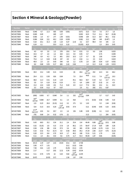| Ag<br><b>As</b><br>B<br>Ce<br>Cl<br>Cr<br>Cs<br><b>Ba</b><br>Be<br>Bi.<br>Co<br>$\overline{(\text{in g})}$<br>Br.<br>C <sub>d</sub><br>0.061<br>NCSDC73035<br>Rock<br>0.046<br>4.7<br>11.5<br>605<br>0.99<br>0.071<br>52.0<br>72.9<br>7.6<br>27.7<br>1.8<br>Rock<br>0.069<br>649<br>62.9<br>96.7<br><b>NCS DC73036</b><br>0.49<br>1.37<br>0.092<br>71.0<br>21.1<br>(0.28)<br>Rock<br>277<br>1.99<br>104<br>51.0<br>38.7<br>98.1<br>0.52<br>NCSDC73037<br>0.085<br>1.8<br>4.7<br>0.031<br>0.098<br>Rock<br>49.2<br>12.2<br>1.4<br><b>NCSDC73038</b><br>0.086<br>0.84<br>(11)<br>0.28<br>0.030<br>0.082<br>244<br>149<br>$(0.49^*)$<br>23.7<br>2.2<br>NCSDC73039<br>Rock<br>0.18<br>31.3<br>118<br>1.10<br>0.27<br>3.2<br>48.4<br>185<br>10.1<br>(1.4)<br>4.9<br>35.9<br>6.1<br>0.13<br>0.10<br>(0.035)<br>42.9<br>20.6<br>0.43<br><b>NCS DC73040</b><br>Rock<br>0.24<br>2.3<br>Chemical Composition(µg/g)<br>$Hg^{\star\star}$<br>F.<br>H <sub>O</sub><br>ln<br>Cu<br>Er.<br>Eu<br>Ga<br>Gd<br>Hf<br>Dy<br>Ge<br>1.5<br>NCSDC73035<br>Rock<br>4.9<br>4.9<br>3.0<br>278<br>10.6<br>5.4<br>0.51<br>3.3<br>9.9<br>1.06<br>0.025<br>NCSDC73036<br>Rock<br>33.5<br>3.7<br>2.0<br>1.6<br>424<br>21.5<br>4.9<br>0.95<br>4.7<br>0.75<br>0.049<br>4.3<br>3.3<br>9.7<br>NCSDC73037<br>Rock<br>240<br>8.9<br>801<br>25.0<br>1.27<br>(5)<br>1.66<br>0.104<br>10.3<br>NCSDC73038<br>0.38<br>4.9<br>3.5<br>0.23<br>0.023<br>Rock<br>75.6<br>1.2<br>0.63<br>197<br>$1.2\phantom{0}$<br>0.92<br>1.1<br>NCSDC73039<br>Rock<br>2.2<br>0.78<br>2.9<br>0.54<br>0.032<br>40.9<br>2.5<br>1.6<br>0.43<br>544<br>6.8<br>220<br>0.37<br>NCSDC73040<br>0.88<br>0.55<br>0.17<br>(1.6)<br>0.66<br>1.4<br>12.2<br>0.015<br>Rock<br>8.6<br>(80)<br>0.18<br>1.03<br>Chemical Composition(ug/g)<br>$\mathop{\rm Li}\nolimits$<br>Lu.<br>Ni.<br>La<br>Mn<br>Mo<br><b>Nd</b><br>P<br>P <sub>b</sub><br>Rb<br>N.<br><b>Nb</b><br>Pr.<br>$13.5^{\text{A}}$<br>0.21<br>252<br>68.2<br>NCSDC73035<br>Rock<br>30.0<br>15.2<br>0.40<br>0.33<br>(6)<br>26.6<br>12.3<br>6.6<br>$12.8 - 15.5$<br>$8.5^{\text{A}}$<br>44.8<br>33.4<br>19.3<br><b>NCSDC73036</b><br>Rock<br>29.4<br>12.1<br>0.30<br>816<br>0.64<br>7.0<br>0.11<br>7.4<br>$12.8 - 15.5$<br>0.14<br>6.2<br>NCSDC73037<br>Rock<br>48.0<br>11.3<br>0.51<br>1.19<br>45.1<br>56.6<br>69.7<br>0.19<br>13.7<br>27.1<br>6.9<br>NCSDC73038<br>Rock<br>5.8<br>5.9<br>0.10<br>0.14<br>0.19<br>5.5<br>6.4<br>1269<br>227<br>(3.3)<br>$1.6\phantom{0}$<br>71.2<br>NCSDC73039<br>Rock<br>0.28<br>141<br>0.22<br>6.9<br>77.4<br>661<br>10.2<br>3.1<br>32.0<br>13.2<br>12.6<br>11.4<br>2.9<br>3.5<br>0.59<br>0.12<br>67<br>0.67<br>8.1<br>NCSDC73040<br>Rock<br>(50)<br>15.1<br>0.87<br>Chemical Composition(µg/g)<br>S<br>Sb<br>Sc<br>Se<br>Sm<br><b>Tb</b><br><b>Th</b><br>$\top$<br>TU.<br>Sn<br><b>Sr</b><br>Te<br>Ta<br>$0.42^{\triangle}$<br>0.040<br>0.84<br>0.43<br>NCSDC73035<br>Rock<br>(690)<br>0.093<br>6.7<br>5.4<br>1.1<br>252<br>3.7<br>0.17<br>$0.37 - 0.66$<br>$326^{\text{A}}$<br>NCSDC73036<br>Rock<br>0.080<br>16.7<br>0.094<br>6.1<br>1.5<br>818<br>0.71<br>(0.02)<br>0.58<br>0.40<br>0.10<br>314~414<br>3.2<br>3.2<br>NCSDC73037<br>Rock<br>115<br>0.23<br>26.6<br>(0.15)<br>11.6<br>271<br>1.63<br>5.5<br>2.44<br>(0.06)<br>$1.32$ <sup><math>\triangle</math></sup><br>514<br>0.20<br>0.21<br>NCSDC73038<br>Rock<br>0.13<br>10.6<br>(0.9)<br>37.9<br>(0.04)<br>0.95<br>0.25<br>(0.05)<br>$1.29 - 1.58$<br>$0.73*$<br>NCSDC73039<br>2.01<br>5.4<br>29.7<br>2.3<br>1.6<br>156<br>0.39<br>(0.06)<br>0.13<br>1.80<br>Rock<br>0.48<br>4.1<br>$0.64 - 0.76*$<br>(1)<br>0.68<br>0.32<br>0.76<br>0.13<br>264<br>NCSDC73040<br>Rock<br>(76)<br>2.4<br>1.1<br>(0.05)<br>Chemical Composition(µg/g)<br>$\cup$<br>V<br>W<br>Y<br>$MgO^{\star}$<br>Yb<br>$Al_2O_3$ <sup>*</sup><br>$FeO*$<br><b>Tm</b><br>$SiO2$ <sup>*</sup><br>TFe <sub>2</sub> O <sub>3</sub><br>Zn<br>Zr.<br>$1.69^{\triangle}$<br>0.88<br>0.43<br>68.0<br>33.2<br>0.54<br>31.1<br>8.88<br>(0.5)<br>NCSDC73035<br>Rock<br>2.4<br>33.4<br>114<br>46.40<br>$1.66 - 2.02$<br>NCSDC73036<br>0.32<br>(0.25)<br>115<br>$0.15\,$<br>17.8<br>$1.8\,$<br>86.2<br>173<br>58.47<br>17.14<br>6.85<br>3.89<br>3.26<br>Rock<br>NCSDC73037<br>0.58<br>1.56<br>0.54<br>37.5<br>3.4<br>142<br>365<br>47.95<br>6.16<br>5.11<br>Rock<br>389<br>12.68<br>13.76<br>NCSDC73038<br>Rock<br>0.10<br>0.32<br>5.9<br>0.58<br>89.0<br>37.24<br>2.80<br>13.27<br>4.76<br>32.26<br>70.3<br>(0.17)<br>39.2<br>NCSDC73039<br>Rock<br>0.28<br>12.5<br>0.70<br>16.9<br>1.7<br>46.2<br>71.51<br>5.21<br>1.79<br>2.62<br>614<br>108<br>1.9<br>0.53<br>5.6<br>0.74<br>11.7<br>94.34<br>NCSDC73040<br>Rock<br>0.11<br>28.1<br>53.3<br>1.87<br>0.66<br>(0.05)<br>Chemical Composition(µg/g)<br>$H_2O^{**}$<br>$CaO*$<br>$K_2O$<br>$TC^*$<br>Na <sub>2</sub> O<br>CO <sub>2</sub><br>$Corg*$<br>$LOI^{\star}$<br>NCSDC73035<br>Rock<br>20.13<br>1.19<br>2.27<br>(2.5)<br>15.03<br>(0.1)<br>4.25<br>17.48<br>NCSDC73036<br>Rock<br>5.90<br>4.77<br>1.51<br>(0.1)<br>(0.15)<br>0.68<br>NCSDC73037<br>Rock<br>7.58<br>3.61<br>1.19<br>(0.25)<br>2.55<br>2.79<br>(0.11)<br>NCSDC73038<br>Rock<br>2.17<br>0.17<br>(8.6)<br>(1.3)<br>0.34<br>(0.42)<br>10.34<br>$5.97^{\textstyle \bullet}$<br>NCSDC73039<br>Rock<br>4.11<br>0.70<br>0.78<br>5.25<br>4.82<br>12.09<br>(2)<br>$5.87 - 6.05$ |               |      |        |        |       |      | Chemical Composition( $\mu$ g/g) |      |  |  | <b>Unit Size</b> |
|-------------------------------------------------------------------------------------------------------------------------------------------------------------------------------------------------------------------------------------------------------------------------------------------------------------------------------------------------------------------------------------------------------------------------------------------------------------------------------------------------------------------------------------------------------------------------------------------------------------------------------------------------------------------------------------------------------------------------------------------------------------------------------------------------------------------------------------------------------------------------------------------------------------------------------------------------------------------------------------------------------------------------------------------------------------------------------------------------------------------------------------------------------------------------------------------------------------------------------------------------------------------------------------------------------------------------------------------------------------------------------------------------------------------------------------------------------------------------------------------------------------------------------------------------------------------------------------------------------------------------------------------------------------------------------------------------------------------------------------------------------------------------------------------------------------------------------------------------------------------------------------------------------------------------------------------------------------------------------------------------------------------------------------------------------------------------------------------------------------------------------------------------------------------------------------------------------------------------------------------------------------------------------------------------------------------------------------------------------------------------------------------------------------------------------------------------------------------------------------------------------------------------------------------------------------------------------------------------------------------------------------------------------------------------------------------------------------------------------------------------------------------------------------------------------------------------------------------------------------------------------------------------------------------------------------------------------------------------------------------------------------------------------------------------------------------------------------------------------------------------------------------------------------------------------------------------------------------------------------------------------------------------------------------------------------------------------------------------------------------------------------------------------------------------------------------------------------------------------------------------------------------------------------------------------------------------------------------------------------------------------------------------------------------------------------------------------------------------------------------------------------------------------------------------------------------------------------------------------------------------------------------------------------------------------------------------------------------------------------------------------------------------------------------------------------------------------------------------------------------------------------------------------------------------------------------------------------------------------------------------------------------------------------------------------------------------------------------------------------------------------------------------------------------------------------------------------------------------------------------------------------------------------------------------------------------------------------------------------------------------------------------------------------------------------------------------------------------------------------------------------------------------------------------------------------------------------------------------------------------------------------------------------------------------------------------------------------------------------------------------------------------------------------------------------------------------------------------------------------------------------------------------------------------------------------------------------------------------------------------------------------------------------------------------------------------------------|---------------|------|--------|--------|-------|------|----------------------------------|------|--|--|------------------|
|                                                                                                                                                                                                                                                                                                                                                                                                                                                                                                                                                                                                                                                                                                                                                                                                                                                                                                                                                                                                                                                                                                                                                                                                                                                                                                                                                                                                                                                                                                                                                                                                                                                                                                                                                                                                                                                                                                                                                                                                                                                                                                                                                                                                                                                                                                                                                                                                                                                                                                                                                                                                                                                                                                                                                                                                                                                                                                                                                                                                                                                                                                                                                                                                                                                                                                                                                                                                                                                                                                                                                                                                                                                                                                                                                                                                                                                                                                                                                                                                                                                                                                                                                                                                                                                                                                                                                                                                                                                                                                                                                                                                                                                                                                                                                                                                                                                                                                                                                                                                                                                                                                                                                                                                                                                                                                                               | <b>Number</b> | Name |        |        |       |      |                                  |      |  |  |                  |
|                                                                                                                                                                                                                                                                                                                                                                                                                                                                                                                                                                                                                                                                                                                                                                                                                                                                                                                                                                                                                                                                                                                                                                                                                                                                                                                                                                                                                                                                                                                                                                                                                                                                                                                                                                                                                                                                                                                                                                                                                                                                                                                                                                                                                                                                                                                                                                                                                                                                                                                                                                                                                                                                                                                                                                                                                                                                                                                                                                                                                                                                                                                                                                                                                                                                                                                                                                                                                                                                                                                                                                                                                                                                                                                                                                                                                                                                                                                                                                                                                                                                                                                                                                                                                                                                                                                                                                                                                                                                                                                                                                                                                                                                                                                                                                                                                                                                                                                                                                                                                                                                                                                                                                                                                                                                                                                               |               |      |        |        |       |      |                                  |      |  |  |                  |
|                                                                                                                                                                                                                                                                                                                                                                                                                                                                                                                                                                                                                                                                                                                                                                                                                                                                                                                                                                                                                                                                                                                                                                                                                                                                                                                                                                                                                                                                                                                                                                                                                                                                                                                                                                                                                                                                                                                                                                                                                                                                                                                                                                                                                                                                                                                                                                                                                                                                                                                                                                                                                                                                                                                                                                                                                                                                                                                                                                                                                                                                                                                                                                                                                                                                                                                                                                                                                                                                                                                                                                                                                                                                                                                                                                                                                                                                                                                                                                                                                                                                                                                                                                                                                                                                                                                                                                                                                                                                                                                                                                                                                                                                                                                                                                                                                                                                                                                                                                                                                                                                                                                                                                                                                                                                                                                               |               |      |        |        |       |      |                                  |      |  |  |                  |
|                                                                                                                                                                                                                                                                                                                                                                                                                                                                                                                                                                                                                                                                                                                                                                                                                                                                                                                                                                                                                                                                                                                                                                                                                                                                                                                                                                                                                                                                                                                                                                                                                                                                                                                                                                                                                                                                                                                                                                                                                                                                                                                                                                                                                                                                                                                                                                                                                                                                                                                                                                                                                                                                                                                                                                                                                                                                                                                                                                                                                                                                                                                                                                                                                                                                                                                                                                                                                                                                                                                                                                                                                                                                                                                                                                                                                                                                                                                                                                                                                                                                                                                                                                                                                                                                                                                                                                                                                                                                                                                                                                                                                                                                                                                                                                                                                                                                                                                                                                                                                                                                                                                                                                                                                                                                                                                               |               |      |        |        |       |      |                                  |      |  |  |                  |
|                                                                                                                                                                                                                                                                                                                                                                                                                                                                                                                                                                                                                                                                                                                                                                                                                                                                                                                                                                                                                                                                                                                                                                                                                                                                                                                                                                                                                                                                                                                                                                                                                                                                                                                                                                                                                                                                                                                                                                                                                                                                                                                                                                                                                                                                                                                                                                                                                                                                                                                                                                                                                                                                                                                                                                                                                                                                                                                                                                                                                                                                                                                                                                                                                                                                                                                                                                                                                                                                                                                                                                                                                                                                                                                                                                                                                                                                                                                                                                                                                                                                                                                                                                                                                                                                                                                                                                                                                                                                                                                                                                                                                                                                                                                                                                                                                                                                                                                                                                                                                                                                                                                                                                                                                                                                                                                               |               |      |        |        |       |      |                                  |      |  |  |                  |
|                                                                                                                                                                                                                                                                                                                                                                                                                                                                                                                                                                                                                                                                                                                                                                                                                                                                                                                                                                                                                                                                                                                                                                                                                                                                                                                                                                                                                                                                                                                                                                                                                                                                                                                                                                                                                                                                                                                                                                                                                                                                                                                                                                                                                                                                                                                                                                                                                                                                                                                                                                                                                                                                                                                                                                                                                                                                                                                                                                                                                                                                                                                                                                                                                                                                                                                                                                                                                                                                                                                                                                                                                                                                                                                                                                                                                                                                                                                                                                                                                                                                                                                                                                                                                                                                                                                                                                                                                                                                                                                                                                                                                                                                                                                                                                                                                                                                                                                                                                                                                                                                                                                                                                                                                                                                                                                               |               |      |        |        |       |      |                                  |      |  |  |                  |
|                                                                                                                                                                                                                                                                                                                                                                                                                                                                                                                                                                                                                                                                                                                                                                                                                                                                                                                                                                                                                                                                                                                                                                                                                                                                                                                                                                                                                                                                                                                                                                                                                                                                                                                                                                                                                                                                                                                                                                                                                                                                                                                                                                                                                                                                                                                                                                                                                                                                                                                                                                                                                                                                                                                                                                                                                                                                                                                                                                                                                                                                                                                                                                                                                                                                                                                                                                                                                                                                                                                                                                                                                                                                                                                                                                                                                                                                                                                                                                                                                                                                                                                                                                                                                                                                                                                                                                                                                                                                                                                                                                                                                                                                                                                                                                                                                                                                                                                                                                                                                                                                                                                                                                                                                                                                                                                               |               |      |        |        |       |      |                                  |      |  |  |                  |
|                                                                                                                                                                                                                                                                                                                                                                                                                                                                                                                                                                                                                                                                                                                                                                                                                                                                                                                                                                                                                                                                                                                                                                                                                                                                                                                                                                                                                                                                                                                                                                                                                                                                                                                                                                                                                                                                                                                                                                                                                                                                                                                                                                                                                                                                                                                                                                                                                                                                                                                                                                                                                                                                                                                                                                                                                                                                                                                                                                                                                                                                                                                                                                                                                                                                                                                                                                                                                                                                                                                                                                                                                                                                                                                                                                                                                                                                                                                                                                                                                                                                                                                                                                                                                                                                                                                                                                                                                                                                                                                                                                                                                                                                                                                                                                                                                                                                                                                                                                                                                                                                                                                                                                                                                                                                                                                               |               |      |        |        |       |      |                                  |      |  |  |                  |
|                                                                                                                                                                                                                                                                                                                                                                                                                                                                                                                                                                                                                                                                                                                                                                                                                                                                                                                                                                                                                                                                                                                                                                                                                                                                                                                                                                                                                                                                                                                                                                                                                                                                                                                                                                                                                                                                                                                                                                                                                                                                                                                                                                                                                                                                                                                                                                                                                                                                                                                                                                                                                                                                                                                                                                                                                                                                                                                                                                                                                                                                                                                                                                                                                                                                                                                                                                                                                                                                                                                                                                                                                                                                                                                                                                                                                                                                                                                                                                                                                                                                                                                                                                                                                                                                                                                                                                                                                                                                                                                                                                                                                                                                                                                                                                                                                                                                                                                                                                                                                                                                                                                                                                                                                                                                                                                               |               |      |        |        |       |      |                                  |      |  |  |                  |
|                                                                                                                                                                                                                                                                                                                                                                                                                                                                                                                                                                                                                                                                                                                                                                                                                                                                                                                                                                                                                                                                                                                                                                                                                                                                                                                                                                                                                                                                                                                                                                                                                                                                                                                                                                                                                                                                                                                                                                                                                                                                                                                                                                                                                                                                                                                                                                                                                                                                                                                                                                                                                                                                                                                                                                                                                                                                                                                                                                                                                                                                                                                                                                                                                                                                                                                                                                                                                                                                                                                                                                                                                                                                                                                                                                                                                                                                                                                                                                                                                                                                                                                                                                                                                                                                                                                                                                                                                                                                                                                                                                                                                                                                                                                                                                                                                                                                                                                                                                                                                                                                                                                                                                                                                                                                                                                               |               |      |        |        |       |      |                                  |      |  |  |                  |
|                                                                                                                                                                                                                                                                                                                                                                                                                                                                                                                                                                                                                                                                                                                                                                                                                                                                                                                                                                                                                                                                                                                                                                                                                                                                                                                                                                                                                                                                                                                                                                                                                                                                                                                                                                                                                                                                                                                                                                                                                                                                                                                                                                                                                                                                                                                                                                                                                                                                                                                                                                                                                                                                                                                                                                                                                                                                                                                                                                                                                                                                                                                                                                                                                                                                                                                                                                                                                                                                                                                                                                                                                                                                                                                                                                                                                                                                                                                                                                                                                                                                                                                                                                                                                                                                                                                                                                                                                                                                                                                                                                                                                                                                                                                                                                                                                                                                                                                                                                                                                                                                                                                                                                                                                                                                                                                               |               |      |        |        |       |      |                                  |      |  |  |                  |
|                                                                                                                                                                                                                                                                                                                                                                                                                                                                                                                                                                                                                                                                                                                                                                                                                                                                                                                                                                                                                                                                                                                                                                                                                                                                                                                                                                                                                                                                                                                                                                                                                                                                                                                                                                                                                                                                                                                                                                                                                                                                                                                                                                                                                                                                                                                                                                                                                                                                                                                                                                                                                                                                                                                                                                                                                                                                                                                                                                                                                                                                                                                                                                                                                                                                                                                                                                                                                                                                                                                                                                                                                                                                                                                                                                                                                                                                                                                                                                                                                                                                                                                                                                                                                                                                                                                                                                                                                                                                                                                                                                                                                                                                                                                                                                                                                                                                                                                                                                                                                                                                                                                                                                                                                                                                                                                               |               |      |        |        |       |      |                                  |      |  |  |                  |
|                                                                                                                                                                                                                                                                                                                                                                                                                                                                                                                                                                                                                                                                                                                                                                                                                                                                                                                                                                                                                                                                                                                                                                                                                                                                                                                                                                                                                                                                                                                                                                                                                                                                                                                                                                                                                                                                                                                                                                                                                                                                                                                                                                                                                                                                                                                                                                                                                                                                                                                                                                                                                                                                                                                                                                                                                                                                                                                                                                                                                                                                                                                                                                                                                                                                                                                                                                                                                                                                                                                                                                                                                                                                                                                                                                                                                                                                                                                                                                                                                                                                                                                                                                                                                                                                                                                                                                                                                                                                                                                                                                                                                                                                                                                                                                                                                                                                                                                                                                                                                                                                                                                                                                                                                                                                                                                               |               |      |        |        |       |      |                                  |      |  |  |                  |
|                                                                                                                                                                                                                                                                                                                                                                                                                                                                                                                                                                                                                                                                                                                                                                                                                                                                                                                                                                                                                                                                                                                                                                                                                                                                                                                                                                                                                                                                                                                                                                                                                                                                                                                                                                                                                                                                                                                                                                                                                                                                                                                                                                                                                                                                                                                                                                                                                                                                                                                                                                                                                                                                                                                                                                                                                                                                                                                                                                                                                                                                                                                                                                                                                                                                                                                                                                                                                                                                                                                                                                                                                                                                                                                                                                                                                                                                                                                                                                                                                                                                                                                                                                                                                                                                                                                                                                                                                                                                                                                                                                                                                                                                                                                                                                                                                                                                                                                                                                                                                                                                                                                                                                                                                                                                                                                               |               |      |        |        |       |      |                                  |      |  |  |                  |
|                                                                                                                                                                                                                                                                                                                                                                                                                                                                                                                                                                                                                                                                                                                                                                                                                                                                                                                                                                                                                                                                                                                                                                                                                                                                                                                                                                                                                                                                                                                                                                                                                                                                                                                                                                                                                                                                                                                                                                                                                                                                                                                                                                                                                                                                                                                                                                                                                                                                                                                                                                                                                                                                                                                                                                                                                                                                                                                                                                                                                                                                                                                                                                                                                                                                                                                                                                                                                                                                                                                                                                                                                                                                                                                                                                                                                                                                                                                                                                                                                                                                                                                                                                                                                                                                                                                                                                                                                                                                                                                                                                                                                                                                                                                                                                                                                                                                                                                                                                                                                                                                                                                                                                                                                                                                                                                               |               |      |        |        |       |      |                                  |      |  |  |                  |
|                                                                                                                                                                                                                                                                                                                                                                                                                                                                                                                                                                                                                                                                                                                                                                                                                                                                                                                                                                                                                                                                                                                                                                                                                                                                                                                                                                                                                                                                                                                                                                                                                                                                                                                                                                                                                                                                                                                                                                                                                                                                                                                                                                                                                                                                                                                                                                                                                                                                                                                                                                                                                                                                                                                                                                                                                                                                                                                                                                                                                                                                                                                                                                                                                                                                                                                                                                                                                                                                                                                                                                                                                                                                                                                                                                                                                                                                                                                                                                                                                                                                                                                                                                                                                                                                                                                                                                                                                                                                                                                                                                                                                                                                                                                                                                                                                                                                                                                                                                                                                                                                                                                                                                                                                                                                                                                               |               |      |        |        |       |      |                                  |      |  |  |                  |
|                                                                                                                                                                                                                                                                                                                                                                                                                                                                                                                                                                                                                                                                                                                                                                                                                                                                                                                                                                                                                                                                                                                                                                                                                                                                                                                                                                                                                                                                                                                                                                                                                                                                                                                                                                                                                                                                                                                                                                                                                                                                                                                                                                                                                                                                                                                                                                                                                                                                                                                                                                                                                                                                                                                                                                                                                                                                                                                                                                                                                                                                                                                                                                                                                                                                                                                                                                                                                                                                                                                                                                                                                                                                                                                                                                                                                                                                                                                                                                                                                                                                                                                                                                                                                                                                                                                                                                                                                                                                                                                                                                                                                                                                                                                                                                                                                                                                                                                                                                                                                                                                                                                                                                                                                                                                                                                               |               |      |        |        |       |      |                                  |      |  |  |                  |
|                                                                                                                                                                                                                                                                                                                                                                                                                                                                                                                                                                                                                                                                                                                                                                                                                                                                                                                                                                                                                                                                                                                                                                                                                                                                                                                                                                                                                                                                                                                                                                                                                                                                                                                                                                                                                                                                                                                                                                                                                                                                                                                                                                                                                                                                                                                                                                                                                                                                                                                                                                                                                                                                                                                                                                                                                                                                                                                                                                                                                                                                                                                                                                                                                                                                                                                                                                                                                                                                                                                                                                                                                                                                                                                                                                                                                                                                                                                                                                                                                                                                                                                                                                                                                                                                                                                                                                                                                                                                                                                                                                                                                                                                                                                                                                                                                                                                                                                                                                                                                                                                                                                                                                                                                                                                                                                               |               |      |        |        |       |      |                                  |      |  |  |                  |
|                                                                                                                                                                                                                                                                                                                                                                                                                                                                                                                                                                                                                                                                                                                                                                                                                                                                                                                                                                                                                                                                                                                                                                                                                                                                                                                                                                                                                                                                                                                                                                                                                                                                                                                                                                                                                                                                                                                                                                                                                                                                                                                                                                                                                                                                                                                                                                                                                                                                                                                                                                                                                                                                                                                                                                                                                                                                                                                                                                                                                                                                                                                                                                                                                                                                                                                                                                                                                                                                                                                                                                                                                                                                                                                                                                                                                                                                                                                                                                                                                                                                                                                                                                                                                                                                                                                                                                                                                                                                                                                                                                                                                                                                                                                                                                                                                                                                                                                                                                                                                                                                                                                                                                                                                                                                                                                               |               |      |        |        |       |      |                                  |      |  |  |                  |
|                                                                                                                                                                                                                                                                                                                                                                                                                                                                                                                                                                                                                                                                                                                                                                                                                                                                                                                                                                                                                                                                                                                                                                                                                                                                                                                                                                                                                                                                                                                                                                                                                                                                                                                                                                                                                                                                                                                                                                                                                                                                                                                                                                                                                                                                                                                                                                                                                                                                                                                                                                                                                                                                                                                                                                                                                                                                                                                                                                                                                                                                                                                                                                                                                                                                                                                                                                                                                                                                                                                                                                                                                                                                                                                                                                                                                                                                                                                                                                                                                                                                                                                                                                                                                                                                                                                                                                                                                                                                                                                                                                                                                                                                                                                                                                                                                                                                                                                                                                                                                                                                                                                                                                                                                                                                                                                               |               |      |        |        |       |      |                                  |      |  |  |                  |
|                                                                                                                                                                                                                                                                                                                                                                                                                                                                                                                                                                                                                                                                                                                                                                                                                                                                                                                                                                                                                                                                                                                                                                                                                                                                                                                                                                                                                                                                                                                                                                                                                                                                                                                                                                                                                                                                                                                                                                                                                                                                                                                                                                                                                                                                                                                                                                                                                                                                                                                                                                                                                                                                                                                                                                                                                                                                                                                                                                                                                                                                                                                                                                                                                                                                                                                                                                                                                                                                                                                                                                                                                                                                                                                                                                                                                                                                                                                                                                                                                                                                                                                                                                                                                                                                                                                                                                                                                                                                                                                                                                                                                                                                                                                                                                                                                                                                                                                                                                                                                                                                                                                                                                                                                                                                                                                               |               |      |        |        |       |      |                                  |      |  |  |                  |
|                                                                                                                                                                                                                                                                                                                                                                                                                                                                                                                                                                                                                                                                                                                                                                                                                                                                                                                                                                                                                                                                                                                                                                                                                                                                                                                                                                                                                                                                                                                                                                                                                                                                                                                                                                                                                                                                                                                                                                                                                                                                                                                                                                                                                                                                                                                                                                                                                                                                                                                                                                                                                                                                                                                                                                                                                                                                                                                                                                                                                                                                                                                                                                                                                                                                                                                                                                                                                                                                                                                                                                                                                                                                                                                                                                                                                                                                                                                                                                                                                                                                                                                                                                                                                                                                                                                                                                                                                                                                                                                                                                                                                                                                                                                                                                                                                                                                                                                                                                                                                                                                                                                                                                                                                                                                                                                               |               |      |        |        |       |      |                                  |      |  |  |                  |
|                                                                                                                                                                                                                                                                                                                                                                                                                                                                                                                                                                                                                                                                                                                                                                                                                                                                                                                                                                                                                                                                                                                                                                                                                                                                                                                                                                                                                                                                                                                                                                                                                                                                                                                                                                                                                                                                                                                                                                                                                                                                                                                                                                                                                                                                                                                                                                                                                                                                                                                                                                                                                                                                                                                                                                                                                                                                                                                                                                                                                                                                                                                                                                                                                                                                                                                                                                                                                                                                                                                                                                                                                                                                                                                                                                                                                                                                                                                                                                                                                                                                                                                                                                                                                                                                                                                                                                                                                                                                                                                                                                                                                                                                                                                                                                                                                                                                                                                                                                                                                                                                                                                                                                                                                                                                                                                               |               |      |        |        |       |      |                                  |      |  |  |                  |
|                                                                                                                                                                                                                                                                                                                                                                                                                                                                                                                                                                                                                                                                                                                                                                                                                                                                                                                                                                                                                                                                                                                                                                                                                                                                                                                                                                                                                                                                                                                                                                                                                                                                                                                                                                                                                                                                                                                                                                                                                                                                                                                                                                                                                                                                                                                                                                                                                                                                                                                                                                                                                                                                                                                                                                                                                                                                                                                                                                                                                                                                                                                                                                                                                                                                                                                                                                                                                                                                                                                                                                                                                                                                                                                                                                                                                                                                                                                                                                                                                                                                                                                                                                                                                                                                                                                                                                                                                                                                                                                                                                                                                                                                                                                                                                                                                                                                                                                                                                                                                                                                                                                                                                                                                                                                                                                               |               |      |        |        |       |      |                                  |      |  |  |                  |
|                                                                                                                                                                                                                                                                                                                                                                                                                                                                                                                                                                                                                                                                                                                                                                                                                                                                                                                                                                                                                                                                                                                                                                                                                                                                                                                                                                                                                                                                                                                                                                                                                                                                                                                                                                                                                                                                                                                                                                                                                                                                                                                                                                                                                                                                                                                                                                                                                                                                                                                                                                                                                                                                                                                                                                                                                                                                                                                                                                                                                                                                                                                                                                                                                                                                                                                                                                                                                                                                                                                                                                                                                                                                                                                                                                                                                                                                                                                                                                                                                                                                                                                                                                                                                                                                                                                                                                                                                                                                                                                                                                                                                                                                                                                                                                                                                                                                                                                                                                                                                                                                                                                                                                                                                                                                                                                               |               |      |        |        |       |      |                                  |      |  |  |                  |
|                                                                                                                                                                                                                                                                                                                                                                                                                                                                                                                                                                                                                                                                                                                                                                                                                                                                                                                                                                                                                                                                                                                                                                                                                                                                                                                                                                                                                                                                                                                                                                                                                                                                                                                                                                                                                                                                                                                                                                                                                                                                                                                                                                                                                                                                                                                                                                                                                                                                                                                                                                                                                                                                                                                                                                                                                                                                                                                                                                                                                                                                                                                                                                                                                                                                                                                                                                                                                                                                                                                                                                                                                                                                                                                                                                                                                                                                                                                                                                                                                                                                                                                                                                                                                                                                                                                                                                                                                                                                                                                                                                                                                                                                                                                                                                                                                                                                                                                                                                                                                                                                                                                                                                                                                                                                                                                               |               |      |        |        |       |      |                                  |      |  |  |                  |
|                                                                                                                                                                                                                                                                                                                                                                                                                                                                                                                                                                                                                                                                                                                                                                                                                                                                                                                                                                                                                                                                                                                                                                                                                                                                                                                                                                                                                                                                                                                                                                                                                                                                                                                                                                                                                                                                                                                                                                                                                                                                                                                                                                                                                                                                                                                                                                                                                                                                                                                                                                                                                                                                                                                                                                                                                                                                                                                                                                                                                                                                                                                                                                                                                                                                                                                                                                                                                                                                                                                                                                                                                                                                                                                                                                                                                                                                                                                                                                                                                                                                                                                                                                                                                                                                                                                                                                                                                                                                                                                                                                                                                                                                                                                                                                                                                                                                                                                                                                                                                                                                                                                                                                                                                                                                                                                               |               |      |        |        |       |      |                                  |      |  |  |                  |
|                                                                                                                                                                                                                                                                                                                                                                                                                                                                                                                                                                                                                                                                                                                                                                                                                                                                                                                                                                                                                                                                                                                                                                                                                                                                                                                                                                                                                                                                                                                                                                                                                                                                                                                                                                                                                                                                                                                                                                                                                                                                                                                                                                                                                                                                                                                                                                                                                                                                                                                                                                                                                                                                                                                                                                                                                                                                                                                                                                                                                                                                                                                                                                                                                                                                                                                                                                                                                                                                                                                                                                                                                                                                                                                                                                                                                                                                                                                                                                                                                                                                                                                                                                                                                                                                                                                                                                                                                                                                                                                                                                                                                                                                                                                                                                                                                                                                                                                                                                                                                                                                                                                                                                                                                                                                                                                               |               |      |        |        |       |      |                                  |      |  |  |                  |
|                                                                                                                                                                                                                                                                                                                                                                                                                                                                                                                                                                                                                                                                                                                                                                                                                                                                                                                                                                                                                                                                                                                                                                                                                                                                                                                                                                                                                                                                                                                                                                                                                                                                                                                                                                                                                                                                                                                                                                                                                                                                                                                                                                                                                                                                                                                                                                                                                                                                                                                                                                                                                                                                                                                                                                                                                                                                                                                                                                                                                                                                                                                                                                                                                                                                                                                                                                                                                                                                                                                                                                                                                                                                                                                                                                                                                                                                                                                                                                                                                                                                                                                                                                                                                                                                                                                                                                                                                                                                                                                                                                                                                                                                                                                                                                                                                                                                                                                                                                                                                                                                                                                                                                                                                                                                                                                               |               |      |        |        |       |      |                                  |      |  |  |                  |
|                                                                                                                                                                                                                                                                                                                                                                                                                                                                                                                                                                                                                                                                                                                                                                                                                                                                                                                                                                                                                                                                                                                                                                                                                                                                                                                                                                                                                                                                                                                                                                                                                                                                                                                                                                                                                                                                                                                                                                                                                                                                                                                                                                                                                                                                                                                                                                                                                                                                                                                                                                                                                                                                                                                                                                                                                                                                                                                                                                                                                                                                                                                                                                                                                                                                                                                                                                                                                                                                                                                                                                                                                                                                                                                                                                                                                                                                                                                                                                                                                                                                                                                                                                                                                                                                                                                                                                                                                                                                                                                                                                                                                                                                                                                                                                                                                                                                                                                                                                                                                                                                                                                                                                                                                                                                                                                               |               |      |        |        |       |      |                                  |      |  |  |                  |
|                                                                                                                                                                                                                                                                                                                                                                                                                                                                                                                                                                                                                                                                                                                                                                                                                                                                                                                                                                                                                                                                                                                                                                                                                                                                                                                                                                                                                                                                                                                                                                                                                                                                                                                                                                                                                                                                                                                                                                                                                                                                                                                                                                                                                                                                                                                                                                                                                                                                                                                                                                                                                                                                                                                                                                                                                                                                                                                                                                                                                                                                                                                                                                                                                                                                                                                                                                                                                                                                                                                                                                                                                                                                                                                                                                                                                                                                                                                                                                                                                                                                                                                                                                                                                                                                                                                                                                                                                                                                                                                                                                                                                                                                                                                                                                                                                                                                                                                                                                                                                                                                                                                                                                                                                                                                                                                               |               |      |        |        |       |      |                                  |      |  |  |                  |
|                                                                                                                                                                                                                                                                                                                                                                                                                                                                                                                                                                                                                                                                                                                                                                                                                                                                                                                                                                                                                                                                                                                                                                                                                                                                                                                                                                                                                                                                                                                                                                                                                                                                                                                                                                                                                                                                                                                                                                                                                                                                                                                                                                                                                                                                                                                                                                                                                                                                                                                                                                                                                                                                                                                                                                                                                                                                                                                                                                                                                                                                                                                                                                                                                                                                                                                                                                                                                                                                                                                                                                                                                                                                                                                                                                                                                                                                                                                                                                                                                                                                                                                                                                                                                                                                                                                                                                                                                                                                                                                                                                                                                                                                                                                                                                                                                                                                                                                                                                                                                                                                                                                                                                                                                                                                                                                               |               |      |        |        |       |      |                                  |      |  |  |                  |
|                                                                                                                                                                                                                                                                                                                                                                                                                                                                                                                                                                                                                                                                                                                                                                                                                                                                                                                                                                                                                                                                                                                                                                                                                                                                                                                                                                                                                                                                                                                                                                                                                                                                                                                                                                                                                                                                                                                                                                                                                                                                                                                                                                                                                                                                                                                                                                                                                                                                                                                                                                                                                                                                                                                                                                                                                                                                                                                                                                                                                                                                                                                                                                                                                                                                                                                                                                                                                                                                                                                                                                                                                                                                                                                                                                                                                                                                                                                                                                                                                                                                                                                                                                                                                                                                                                                                                                                                                                                                                                                                                                                                                                                                                                                                                                                                                                                                                                                                                                                                                                                                                                                                                                                                                                                                                                                               |               |      |        |        |       |      |                                  |      |  |  |                  |
|                                                                                                                                                                                                                                                                                                                                                                                                                                                                                                                                                                                                                                                                                                                                                                                                                                                                                                                                                                                                                                                                                                                                                                                                                                                                                                                                                                                                                                                                                                                                                                                                                                                                                                                                                                                                                                                                                                                                                                                                                                                                                                                                                                                                                                                                                                                                                                                                                                                                                                                                                                                                                                                                                                                                                                                                                                                                                                                                                                                                                                                                                                                                                                                                                                                                                                                                                                                                                                                                                                                                                                                                                                                                                                                                                                                                                                                                                                                                                                                                                                                                                                                                                                                                                                                                                                                                                                                                                                                                                                                                                                                                                                                                                                                                                                                                                                                                                                                                                                                                                                                                                                                                                                                                                                                                                                                               |               |      |        |        |       |      |                                  |      |  |  |                  |
|                                                                                                                                                                                                                                                                                                                                                                                                                                                                                                                                                                                                                                                                                                                                                                                                                                                                                                                                                                                                                                                                                                                                                                                                                                                                                                                                                                                                                                                                                                                                                                                                                                                                                                                                                                                                                                                                                                                                                                                                                                                                                                                                                                                                                                                                                                                                                                                                                                                                                                                                                                                                                                                                                                                                                                                                                                                                                                                                                                                                                                                                                                                                                                                                                                                                                                                                                                                                                                                                                                                                                                                                                                                                                                                                                                                                                                                                                                                                                                                                                                                                                                                                                                                                                                                                                                                                                                                                                                                                                                                                                                                                                                                                                                                                                                                                                                                                                                                                                                                                                                                                                                                                                                                                                                                                                                                               |               |      |        |        |       |      |                                  |      |  |  |                  |
|                                                                                                                                                                                                                                                                                                                                                                                                                                                                                                                                                                                                                                                                                                                                                                                                                                                                                                                                                                                                                                                                                                                                                                                                                                                                                                                                                                                                                                                                                                                                                                                                                                                                                                                                                                                                                                                                                                                                                                                                                                                                                                                                                                                                                                                                                                                                                                                                                                                                                                                                                                                                                                                                                                                                                                                                                                                                                                                                                                                                                                                                                                                                                                                                                                                                                                                                                                                                                                                                                                                                                                                                                                                                                                                                                                                                                                                                                                                                                                                                                                                                                                                                                                                                                                                                                                                                                                                                                                                                                                                                                                                                                                                                                                                                                                                                                                                                                                                                                                                                                                                                                                                                                                                                                                                                                                                               |               |      |        |        |       |      |                                  |      |  |  |                  |
|                                                                                                                                                                                                                                                                                                                                                                                                                                                                                                                                                                                                                                                                                                                                                                                                                                                                                                                                                                                                                                                                                                                                                                                                                                                                                                                                                                                                                                                                                                                                                                                                                                                                                                                                                                                                                                                                                                                                                                                                                                                                                                                                                                                                                                                                                                                                                                                                                                                                                                                                                                                                                                                                                                                                                                                                                                                                                                                                                                                                                                                                                                                                                                                                                                                                                                                                                                                                                                                                                                                                                                                                                                                                                                                                                                                                                                                                                                                                                                                                                                                                                                                                                                                                                                                                                                                                                                                                                                                                                                                                                                                                                                                                                                                                                                                                                                                                                                                                                                                                                                                                                                                                                                                                                                                                                                                               |               |      |        |        |       |      |                                  |      |  |  |                  |
|                                                                                                                                                                                                                                                                                                                                                                                                                                                                                                                                                                                                                                                                                                                                                                                                                                                                                                                                                                                                                                                                                                                                                                                                                                                                                                                                                                                                                                                                                                                                                                                                                                                                                                                                                                                                                                                                                                                                                                                                                                                                                                                                                                                                                                                                                                                                                                                                                                                                                                                                                                                                                                                                                                                                                                                                                                                                                                                                                                                                                                                                                                                                                                                                                                                                                                                                                                                                                                                                                                                                                                                                                                                                                                                                                                                                                                                                                                                                                                                                                                                                                                                                                                                                                                                                                                                                                                                                                                                                                                                                                                                                                                                                                                                                                                                                                                                                                                                                                                                                                                                                                                                                                                                                                                                                                                                               |               |      |        |        |       |      |                                  |      |  |  |                  |
|                                                                                                                                                                                                                                                                                                                                                                                                                                                                                                                                                                                                                                                                                                                                                                                                                                                                                                                                                                                                                                                                                                                                                                                                                                                                                                                                                                                                                                                                                                                                                                                                                                                                                                                                                                                                                                                                                                                                                                                                                                                                                                                                                                                                                                                                                                                                                                                                                                                                                                                                                                                                                                                                                                                                                                                                                                                                                                                                                                                                                                                                                                                                                                                                                                                                                                                                                                                                                                                                                                                                                                                                                                                                                                                                                                                                                                                                                                                                                                                                                                                                                                                                                                                                                                                                                                                                                                                                                                                                                                                                                                                                                                                                                                                                                                                                                                                                                                                                                                                                                                                                                                                                                                                                                                                                                                                               |               |      |        |        |       |      |                                  |      |  |  |                  |
|                                                                                                                                                                                                                                                                                                                                                                                                                                                                                                                                                                                                                                                                                                                                                                                                                                                                                                                                                                                                                                                                                                                                                                                                                                                                                                                                                                                                                                                                                                                                                                                                                                                                                                                                                                                                                                                                                                                                                                                                                                                                                                                                                                                                                                                                                                                                                                                                                                                                                                                                                                                                                                                                                                                                                                                                                                                                                                                                                                                                                                                                                                                                                                                                                                                                                                                                                                                                                                                                                                                                                                                                                                                                                                                                                                                                                                                                                                                                                                                                                                                                                                                                                                                                                                                                                                                                                                                                                                                                                                                                                                                                                                                                                                                                                                                                                                                                                                                                                                                                                                                                                                                                                                                                                                                                                                                               |               |      |        |        |       |      |                                  |      |  |  |                  |
|                                                                                                                                                                                                                                                                                                                                                                                                                                                                                                                                                                                                                                                                                                                                                                                                                                                                                                                                                                                                                                                                                                                                                                                                                                                                                                                                                                                                                                                                                                                                                                                                                                                                                                                                                                                                                                                                                                                                                                                                                                                                                                                                                                                                                                                                                                                                                                                                                                                                                                                                                                                                                                                                                                                                                                                                                                                                                                                                                                                                                                                                                                                                                                                                                                                                                                                                                                                                                                                                                                                                                                                                                                                                                                                                                                                                                                                                                                                                                                                                                                                                                                                                                                                                                                                                                                                                                                                                                                                                                                                                                                                                                                                                                                                                                                                                                                                                                                                                                                                                                                                                                                                                                                                                                                                                                                                               |               |      |        |        |       |      |                                  |      |  |  |                  |
|                                                                                                                                                                                                                                                                                                                                                                                                                                                                                                                                                                                                                                                                                                                                                                                                                                                                                                                                                                                                                                                                                                                                                                                                                                                                                                                                                                                                                                                                                                                                                                                                                                                                                                                                                                                                                                                                                                                                                                                                                                                                                                                                                                                                                                                                                                                                                                                                                                                                                                                                                                                                                                                                                                                                                                                                                                                                                                                                                                                                                                                                                                                                                                                                                                                                                                                                                                                                                                                                                                                                                                                                                                                                                                                                                                                                                                                                                                                                                                                                                                                                                                                                                                                                                                                                                                                                                                                                                                                                                                                                                                                                                                                                                                                                                                                                                                                                                                                                                                                                                                                                                                                                                                                                                                                                                                                               |               |      |        |        |       |      |                                  |      |  |  |                  |
|                                                                                                                                                                                                                                                                                                                                                                                                                                                                                                                                                                                                                                                                                                                                                                                                                                                                                                                                                                                                                                                                                                                                                                                                                                                                                                                                                                                                                                                                                                                                                                                                                                                                                                                                                                                                                                                                                                                                                                                                                                                                                                                                                                                                                                                                                                                                                                                                                                                                                                                                                                                                                                                                                                                                                                                                                                                                                                                                                                                                                                                                                                                                                                                                                                                                                                                                                                                                                                                                                                                                                                                                                                                                                                                                                                                                                                                                                                                                                                                                                                                                                                                                                                                                                                                                                                                                                                                                                                                                                                                                                                                                                                                                                                                                                                                                                                                                                                                                                                                                                                                                                                                                                                                                                                                                                                                               |               |      |        |        |       |      |                                  |      |  |  |                  |
|                                                                                                                                                                                                                                                                                                                                                                                                                                                                                                                                                                                                                                                                                                                                                                                                                                                                                                                                                                                                                                                                                                                                                                                                                                                                                                                                                                                                                                                                                                                                                                                                                                                                                                                                                                                                                                                                                                                                                                                                                                                                                                                                                                                                                                                                                                                                                                                                                                                                                                                                                                                                                                                                                                                                                                                                                                                                                                                                                                                                                                                                                                                                                                                                                                                                                                                                                                                                                                                                                                                                                                                                                                                                                                                                                                                                                                                                                                                                                                                                                                                                                                                                                                                                                                                                                                                                                                                                                                                                                                                                                                                                                                                                                                                                                                                                                                                                                                                                                                                                                                                                                                                                                                                                                                                                                                                               |               |      |        |        |       |      |                                  |      |  |  |                  |
|                                                                                                                                                                                                                                                                                                                                                                                                                                                                                                                                                                                                                                                                                                                                                                                                                                                                                                                                                                                                                                                                                                                                                                                                                                                                                                                                                                                                                                                                                                                                                                                                                                                                                                                                                                                                                                                                                                                                                                                                                                                                                                                                                                                                                                                                                                                                                                                                                                                                                                                                                                                                                                                                                                                                                                                                                                                                                                                                                                                                                                                                                                                                                                                                                                                                                                                                                                                                                                                                                                                                                                                                                                                                                                                                                                                                                                                                                                                                                                                                                                                                                                                                                                                                                                                                                                                                                                                                                                                                                                                                                                                                                                                                                                                                                                                                                                                                                                                                                                                                                                                                                                                                                                                                                                                                                                                               |               |      |        |        |       |      |                                  |      |  |  |                  |
|                                                                                                                                                                                                                                                                                                                                                                                                                                                                                                                                                                                                                                                                                                                                                                                                                                                                                                                                                                                                                                                                                                                                                                                                                                                                                                                                                                                                                                                                                                                                                                                                                                                                                                                                                                                                                                                                                                                                                                                                                                                                                                                                                                                                                                                                                                                                                                                                                                                                                                                                                                                                                                                                                                                                                                                                                                                                                                                                                                                                                                                                                                                                                                                                                                                                                                                                                                                                                                                                                                                                                                                                                                                                                                                                                                                                                                                                                                                                                                                                                                                                                                                                                                                                                                                                                                                                                                                                                                                                                                                                                                                                                                                                                                                                                                                                                                                                                                                                                                                                                                                                                                                                                                                                                                                                                                                               | NCSDC73040    | Rock | (0.07) | (0.03) | (0.7) | 1.56 | 1.67                             | 2.56 |  |  |                  |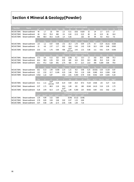|                    |                 |                   |           |                                 |                 |                                     | Chemical Composition(ug/g)         |                      |            |          |                   |                                 |                  |                | <b>Unit Size</b> |
|--------------------|-----------------|-------------------|-----------|---------------------------------|-----------------|-------------------------------------|------------------------------------|----------------------|------------|----------|-------------------|---------------------------------|------------------|----------------|------------------|
| Number             | Name            | $Ag^{\star\star}$ | <b>As</b> | B.                              | Ba              | <b>Be</b>                           | Bi                                 | <b>Br</b>            | Cd         | Ce       | Cl                | Co                              | Cr               | Cs             | (in g)           |
| NCSDC73041         | Stream sediment | 40                | 1.7       | (3)                             | 704             | 2.3                                 | 0.11                               | (0.8)                | 0.029      | 32       | 24                | 2.7                             | (3.7)            | 1.7            |                  |
| NCSDC73043         | Stream sediment | 66                | 32.2      | 55.4                            | 460             | 2.6                                 | 0.42                               | (1.3)                | 0.22       | 80       | 26                | 12.9                            | 66               | 16.0           |                  |
| <b>NCS DC73045</b> | Stream sediment | 856               | 48.4      | 65.5                            | 0.135           | 1.4                                 | 0.26                               |                      | (32)       | 50       | 99                | 9.0                             | 43.3             | 7.6            |                  |
|                    |                 |                   |           |                                 |                 |                                     | Chemical Composition( $\mu$ g/g)   |                      |            |          |                   |                                 |                  |                |                  |
|                    |                 | Cu                | Dv        | Er.                             | Eu.             | F.                                  | Ga                                 | Gd                   | Ge         | Hf       | $Hg^{\star\star}$ | H <sub>O</sub>                  |                  | $\ln$          |                  |
| NCSDC73041         | Stream sediment | 2.8               | 1.2       | 0.67                            | 0.68            | 172                                 | 16.3                               | 1.70                 | 0.94       | 2.75     | 4.7               | 0.24                            | (0.21)           | 0.020          |                  |
| <b>NCS DC73043</b> | Stream sediment | 21                | 4.8       | 2.57                            | 1.17            | 632                                 | 18.8                               | 5.43                 | 1.42       | 5.30     | 18.3              | 0.90                            | 0.48             | 0.063          |                  |
| NCSDC73045         | Stream sediment | 23.8              | 3.1       | 1.76                            | 0.88            | 438                                 | $10.8^{\triangle}$<br>10.4~14.3    | 3.43                 | 1.31       | 5.98     | 111               | 0.61                            | 0.34             | 0.036          |                  |
|                    |                 |                   |           |                                 |                 |                                     | Chemical Composition(µg/g)         |                      |            |          |                   |                                 |                  |                |                  |
|                    |                 | La                | Li.       | Lu.                             | Mn              | Mo                                  | N                                  | <b>N<sub>b</sub></b> | <b>Nd</b>  | Ni.      | P.                | P <sub>b</sub>                  | Pr.              | Rb             |                  |
| NCSDC73041         | Stream sediment | 17.0              | 8.4       | 0.12                            | 322             | 0.42                                | (130)                              | 6.2                  | 13.3       | 2.3      | 332               | 20.5                            | 3.68             | 75.3           |                  |
| NCSDC73043         | Stream sediment | 40.4              | 38.0      | 0.35                            | 519             | 0.55                                | 689                                | 14.6                 | 33.5       | 36.5     | 498               | 35.0                            | 9.24             | 154            |                  |
| NCSDC73045         | Stream sediment | 25.3              | 47.2      | 0.28                            | 691             | 2.75                                | 420                                | 9.7                  | 21.5       | 21.8     | 356               | 0.269                           | 5.86             | 79.0           |                  |
|                    |                 |                   |           |                                 |                 |                                     | Chemical Composition(µg/g)         |                      |            |          |                   |                                 |                  |                |                  |
| <b>NCS DC73041</b> | Stream sediment | S                 | Sb        | Sc<br>1.99                      | Se<br>0.038     | Sm<br>2.14                          | Sn                                 | <b>Sr</b><br>413     | Ta<br>0.48 | Tb       | Te                | Th.                             | $Ti*$            | $\top$<br>0.47 |                  |
|                    | Stream sediment | (61)<br>122       | 0.13      |                                 |                 |                                     | 1.21                               |                      |            | 0.25     | (0.016)           | 6.30                            | 0.128            |                |                  |
| NCSDC73043         |                 |                   | 2.52      | 12.7                            | 0.146           | 6.25                                | 3.46                               | 78.0                 | 1.18       | 0.86     | 0.040             | 16.6                            | 0.368            | 0.90           |                  |
| NCSDC73045         | Stream sediment | 0.552             | 1.22      | 6.87                            |                 | 3.92                                | 2.01<br>Chemical Composition(µg/g) | 0.343                | 0.78       | 0.56     | 0.032             | 8.39                            | 0.265            | 6.18           |                  |
|                    |                 | <b>Tm</b>         | $\cup$    | $\mathbf{V}$                    | W               |                                     | Yb                                 | Zn                   | <b>Zr</b>  | $SiO2$ * | $Al_2O_3^{\star}$ | TFe <sub>2</sub> O <sub>3</sub> | FeO <sup>'</sup> | MgO*           |                  |
| NCSDC73041         | Stream sediment | 0.11              | 1.11      | $19.8^{\triangle}$<br>16.8~20.6 | 0.28            | 8.14                                | 0.69                               | 25.0                 | 87.6       | 72.20    | 14.86             | 1.46                            | 0.27             | 0.22           |                  |
| NCSDC73043         | Stream sediment | 0.37              | 1.71      | 88.9                            | 2.18            | 26.6                                | 2.49                               | 101                  | 180        | 63.48    | 14.10             | 5.16                            | 2.35             | 1.73           |                  |
| <b>NCS DC73045</b> | Stream sediment | 0.28              | 2.09      | 62.3                            | 1.19            | $16.8^{\triangle}$<br>$16.1 - 19.5$ | 1.80                               | 0.260                | 223        | 69.66    | 8.84              | 3.52                            | 0.82             | 1.25           |                  |
|                    |                 |                   |           |                                 |                 |                                     | Chemical Composition(µg/g)         |                      |            |          |                   |                                 |                  |                |                  |
|                    |                 | $CaO*$            | $Na2O*$   | $K_2O^*$                        | $H_2O^{+\star}$ | $CO2$ <sup>*</sup>                  | Corg <sup>*</sup>                  | $TC^*$               | [O]        |          |                   |                                 |                  |                |                  |
| NCSDC73041         | Stream sediment | 1.35              | 4.99      | 3.22                            | 0.80            |                                     | (0.09)                             | (0.12)               | (0.98)     |          |                   |                                 |                  |                |                  |
| NCSDC73043         | Stream sediment | 3.78              | 0.83      | 3.04                            | 3.48            | 3.02                                | 0.57                               | 1.33                 | 6.84       |          |                   |                                 |                  |                |                  |
| NCSDC73045         | Stream sediment | 5.07              | 0.58      | 1.85                            | (2.7)           | (3.9)                               | 0.46                               | 1.30                 | 7.16       |          |                   |                                 |                  |                |                  |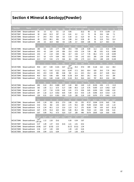|                    |                 |                                          |                            |              |                 |                    | Chemical Composition(ug/g)         |           |           |           |                                     |                                 |               |              | <b>Unit Size</b> |
|--------------------|-----------------|------------------------------------------|----------------------------|--------------|-----------------|--------------------|------------------------------------|-----------|-----------|-----------|-------------------------------------|---------------------------------|---------------|--------------|------------------|
| Number             | Name            | Ag**                                     | <b>As</b>                  | B.           | Ba              | <b>Be</b>          | Bi                                 | <b>Br</b> | Cd        | Ce        | Cl                                  | Co                              | Cr            | Cs           | (in g)           |
| NCSDC73046         | Stream sediment | 83                                       | 3.5                        | 8.2          | 311             | 1.8                | 0.06                               |           | (0.2)     | 98        | 32                                  | 57.9                            | 0.109         | 1.3          |                  |
| NCSDC73047         | Stream sediment | 90                                       | 14.8                       | 61.9         | 337             | 2.0                | 0.41                               | 6.3       | 4.3       | 79        | 36                                  | 19.6                            | 144           | 7.2          |                  |
| NCSDC73048         | Stream sediment | 67                                       | 24.9                       | 74.5         | 318             | 1.6                | 0.30                               | 1.6       | 0.23      | 59        | 41                                  | 11.3                            | 43.1          | 5.7          |                  |
| NCSDC73049         | Stream sediment | 89                                       | 33.9                       | 80.1         | 456             | 6.4                | 3.98                               | 6.4       | 0.38      | 85        | 56                                  | 12.8                            | 70.0          | 21.4         |                  |
| <b>NCS DC73050</b> | Stream sediment | 149                                      | 3.5                        | 10.4         | 926             | 4.6                | 1.06                               | 3.7       | 0.60      | 138       | 55                                  | 12.7                            | 36.5          | 6.5          |                  |
|                    |                 |                                          |                            |              |                 |                    | Chemical Composition( $\mu$ g/g)   |           |           |           |                                     |                                 |               |              |                  |
|                    |                 | Cu                                       | D <sub>V</sub>             | Er.          | Eu-             | F.                 | Ga                                 | Gd        | Ge        | Hf        | $Hg^{\star\star}$                   | Ho                              | n.            | ln           |                  |
| NCSDC73046         | Stream sediment | 186                                      | 6.6                        | 3.25         | 2.77            | 558                | 20.6                               | 7.99      | 1.38      | 6.69      | 12.2                                | 1.21                            | 0.31          | 0.086        |                  |
| NCSDC73047         | Stream sediment | 39.9                                     | 4.6                        | 2.64         | 1.00            | 856                | 15.0                               | 4.59      | 1.34      | 7.09      | 148                                 | 0.91                            | 4.31          | 0.060        |                  |
| <b>NCS DC73048</b> | Stream sediment | 14.6                                     | 3.7                        | 2.14         | 0.85            | 581                | 10.7                               | 3.92      | 1.17      | 7.35      | 86.2                                | 0.72                            | 1.36          | 0.039        |                  |
| <b>NCS DC73049</b> | Stream sediment | 25.7                                     | 8.6                        | 4.74         | 0.84            | 663                | 17.4                               | 7.69      | 1.42      | 10.5      | 266                                 | 1.58                            | 3.95          | 0.093        |                  |
| <b>NCS DC73050</b> | Stream sediment | 22.3                                     | 9.7                        | 5.52         | 1.72            | 616                | 28.4<br>Chemical Composition(µg/g) | 9.85      | 1.79      | 12.4      | 63.1                                | 1.88                            | 2.95          | 0.130        |                  |
|                    |                 | La                                       | $\mathop{\rm Li}\nolimits$ | Lu           | Mn              | Mo                 | ${\sf N}$                          | <b>Nb</b> | <b>Nd</b> | Ni.       | P                                   | Pb                              | Pr.           | Rb           |                  |
|                    |                 |                                          |                            |              |                 |                    | 229 <sup>4</sup>                   |           |           |           |                                     |                                 |               |              |                  |
| <b>NCS DC73046</b> | Stream sediment | 49.8                                     | 14.7                       | 0.40         | 0.141           | 0.67               | 222~283                            | 35.3      | 47.8      | 349       | 0.118                               | (12)                            | 12.2          | 30.0         |                  |
| NCSDC73047         | Stream sediment | 34.2                                     | 41.2                       | 0.42         | 0.111           | 10.0               | 0.247                              | 17.2      | 28.3      | 60.4      | 620                                 | 29.0                            | 7.70          | 84.0         |                  |
| <b>NCS DC73048</b> | Stream sediment | 29.5                                     | 19.9                       | 0.34         | 486             | 0.68               | 318                                | 12.1      | 24.5      | 19.2      | 224                                 | 24.7                            | 6.69          | 82.2         |                  |
| NCS DC73049        | Stream sediment | 40.0                                     | 92.9                       | 0.86         | 638             | 4.88               | 0.136                              | 18.4      | 38.5      | 28.1      | 410                                 | 35.7                            | 10.3          | 204          |                  |
| <b>NCS DC73050</b> | Stream sediment | 71.8                                     | 43.6                       | 0.84         | 0.144           | 2.59               | 0.142                              | 35.3      | 56.8      | 16.0      | 787                                 | 85.0                            | 15.8          | 264          |                  |
|                    |                 |                                          |                            |              |                 |                    | Chemical Composition(µg/g)         |           |           |           |                                     |                                 |               |              |                  |
|                    |                 | S                                        | Sb                         | Sc.          | Se:             | Sm                 | Sn                                 | <b>Sr</b> | Ta        | <b>Tb</b> | Te                                  | Th.                             | $Ti^{\star}$  | $\mathbf{T}$ |                  |
| NCSDC73046         | Stream sediment | (69)                                     | 0.22                       | 29.5         | 0.089           | 8.97               | 2.42                               | 363       | 2.40      | 1.23      | (0.03)                              | 4.96                            | 1.71          | $-0.15$      |                  |
| NCSDC73047         | Stream sediment | 363                                      | 1.90                       | 11.1         | 8.75            | 5.17               | 3.08                               | 84.3      | 1.25      | 0.76      | 0.059                               | 12.0                            | 0.452         | 0.87         |                  |
| NCS DC73048        | Stream sediment | 84                                       | 2.27                       | 7.10         | 0.159           | 4.45               | 2.41                               | 17.9      | 0.96      | 0.65      | 0.030                               | 9.81                            | 0.308         | 0.52         |                  |
| NCS DC73049        | Stream sediment | 207                                      | 1.18                       | 11.4         | 0.652           | 8.65               | 9.39                               | 19.3      | 4.55      | 1.35      | 0.046                               | 25.9                            | 0.313         | 1.33         |                  |
| <b>NCS DC73050</b> | Stream sediment | 229                                      | 0.31                       | 12.0         | 0.261           | 10.8               | 5.19                               | 138       | 3.18      | 1.63      | 0.076                               | 27.5                            | 0.461         | 1.55         |                  |
|                    |                 | <b>Tm</b>                                | $\cup$                     | $\mathbf{V}$ | W               | Y                  | Chemical Composition(µg/g)<br>Yb   | Zn        | Zr        | $SiO2$ *  | $\mathsf{Al}_2\mathsf{O}_3^{\star}$ | TFe <sub>2</sub> O <sub>3</sub> | $MgO^{\star}$ | $CaO*$       |                  |
| <b>NCS DC73046</b> | Stream sediment | 0.45                                     | 1.24                       | 332          | (0.5)           | 27.9               | 2.66                               | 115       | 252       | 47.27     | 10.84                               | 12.91                           | 8.82          | 7.42         |                  |
| NCSDC73047         | Stream sediment | 0.42                                     | 5.91                       | 302          | 1.92            | 26.4               | 2.72                               | 94.2      | 264       | 70.49     | 10.83                               | 4.64                            | 1.03          | 1.14         |                  |
| <b>NCSDC73048</b>  | Stream sediment | 0.35                                     | 2.34                       | 60.1         | 2.15            | 21.8               | 2.23                               | 51.7      | 275       | 82.85     | 7.90                                | 3.05                            | 0.67          | (0.13)       |                  |
| <b>NCS DC73049</b> | Stream sediment | 0.87                                     | 8.79                       | 91.8         | 18.9            | 48.3               | 5.80                               | 85.2      | 346       | 73.54     | 11.40                               | 4.08                            | 0.96          | 0.21         |                  |
| <b>NCS DC73050</b> | Stream sediment | 0.87                                     | 5.99                       | 74.1         | 4.73            | 52.8               | 5.57                               | 189       | 449       | 59.79     | 18.85                               | 5.26                            | 0.83          | 0.60         |                  |
|                    |                 |                                          |                            |              |                 |                    | Chemical Composition(µg/g)         |           |           |           |                                     |                                 |               |              |                  |
|                    |                 | $Na2O*$                                  | $K_2O^*$                   | FeO*         | $H_2O+^{\star}$ | $CO2$ <sup>*</sup> | $Corg*$                            | TC*       | LOI       |           |                                     |                                 |               |              |                  |
| <b>NCS DC73046</b> | Stream sediment | $1.62$ <sup><math>\triangle</math></sup> | 1.12                       | 2.20         | (5.6)           |                    | 0.30                               | 0.34      | 5.87      |           |                                     |                                 |               |              |                  |
|                    |                 | $1.38 - 1.66$                            |                            |              |                 |                    |                                    |           |           |           |                                     |                                 |               |              |                  |
| NCSDC73047         | Stream sediment | 0.37                                     | 1.49                       | 1.57         | 4.53            | (0.3)              | 2.21                               | 2.41      | 8.52      |           |                                     |                                 |               |              |                  |
| <b>NCS DC73048</b> | Stream sediment | (0.08)                                   | 2.07                       | (0.33)       | 2.15            |                    | (0.17)                             | (0.21)    | 2.34      |           |                                     |                                 |               |              |                  |
| NCSDC73049         | Stream sediment | 0.36                                     | 2.27                       | 1.65         | 3.90            |                    | 1.39                               | 1.45      | 6.26      |           |                                     |                                 |               |              |                  |
| <b>NCS DC73050</b> | Stream sediment | 0.96                                     | 3.94                       | (1.5)        | 6.04            |                    | 1.47                               | 1.50      | 8.35      |           |                                     |                                 |               |              |                  |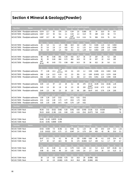| Chemical Composition(µg/g)<br>Number<br><b>Name</b><br>Ag<br>As<br>B<br><b>Be</b><br>Bi.<br><b>Br</b><br>Cd<br>Ce<br>Cl<br>Ba<br>Co                                                                                                                                                                  | Cs                              |
|------------------------------------------------------------------------------------------------------------------------------------------------------------------------------------------------------------------------------------------------------------------------------------------------------|---------------------------------|
|                                                                                                                                                                                                                                                                                                      | Cr<br>(in g)                    |
| Floodplain sediments<br>0.074<br>12.7<br>55<br>574<br>0.34<br>0.066<br>82<br>34<br>16.9<br><b>NCS DC73054</b><br>2.4<br>2.6                                                                                                                                                                          | 79<br>8.9                       |
| <b>NCS DC73055</b><br>Floodplain sediments<br>0.067<br>13.7<br>50<br>70<br>284<br>13.0<br>511<br>2.1<br>0.34<br>2.3<br>0.14                                                                                                                                                                          | 7.9<br>68                       |
| $0.38^{\triangle}$<br><b>NCS DC73056</b><br>Floodplain sediments<br>13.7<br>49<br>558<br>2.4<br>11.6<br>0.16<br>74<br>906<br>15.6<br>0.087<br>$0.38 - 0.40$                                                                                                                                          | 76<br>8.6                       |
| Chemical Composition(ug/g)                                                                                                                                                                                                                                                                           |                                 |
| H <sub>O</sub><br>D <sub>V</sub><br>Er.<br>F.<br>Ga<br>Gd<br>Hf<br>Hg<br>Cu<br>Eu<br>Ge                                                                                                                                                                                                              | ln<br>an a                      |
| <b>NCS DC73054</b><br>Floodplain sediments<br>5.4<br>3.1<br>548<br>18.9<br>6.0<br>1.49<br>0.026<br>1.10<br>26<br>1.4<br>7.4                                                                                                                                                                          | 3.8<br>0.063                    |
| 25<br>0.019<br><b>NCS DC73055</b><br>Floodplain sediments<br>5.0<br>2.8<br>1.3<br>16.3<br>5.3<br>1.31<br>1.00<br>610<br>6.4<br>32<br>19.2<br>5.5<br>5.0<br>0.053<br><b>NCS DC73056</b><br>Floodplain sediments<br>5.0<br>2.8<br>1.4<br>710<br>1.34<br>1.00                                           | 0.058<br>1.02<br>0.065<br>2.3   |
| Chemical Composition(ug/g)                                                                                                                                                                                                                                                                           |                                 |
| Li<br>Lu.<br>P<br>Pb<br>La<br>Mn<br>Mo<br><b>Nb</b><br><b>Nd</b><br>Νi<br>N                                                                                                                                                                                                                          | <b>Rb</b><br><b>Pr</b>          |
| <b>NCS DC73054</b><br>Floodplain sediments<br>40<br>40<br>841<br>0.39<br>418<br>16.7<br>36<br>37<br>287<br>26<br>0.48                                                                                                                                                                                | 9.2<br>108                      |
| 38<br>22<br><b>NCS DC73055</b><br>Floodplain sediments<br>39<br>0.44<br>664<br>0.72<br>464<br>14.0<br>33<br>32<br>657                                                                                                                                                                                | 8.4<br>100                      |
| $40^{\triangle}$<br>Floodplain sediments<br>45<br>0.43<br>773<br>0.98<br>850<br>14.3<br>35<br>38<br>622<br>26<br><b>NCS DC73056</b><br>39~42                                                                                                                                                         | 9.0<br>111                      |
| Chemical Composition(µg/g)                                                                                                                                                                                                                                                                           |                                 |
| S.<br>Sb<br><b>Sc</b><br><b>Th</b><br>Se<br>Sm<br>Sn<br><b>Sr</b><br>Te<br>Ta<br>Tb                                                                                                                                                                                                                  | T<br>$Ti^{\star}$               |
| $0.11$ <sup><math>\triangle</math></sup><br>6.8<br><b>NCS DC73054</b><br>Floodplain sediments<br>77<br>1.08<br>13.3<br>3.6<br>115<br>1.2<br>0.98<br>0.046<br>13.6<br>$0.10 - 0.11$                                                                                                                   | 0.463<br>0.68                   |
| 268<br>1.14<br>12.5<br>0.19<br>6.2<br>2.9<br>201<br>1.0<br>0.89<br>(0.043)<br>12.5<br><b>NCS DC73055</b><br>Floodplain sediments                                                                                                                                                                     | 0.68<br>0.374                   |
| 431<br>6.5<br>3.2<br>202<br>1.0<br>0.051<br>Floodplain sediments<br>1.08<br>14.0<br>0.21<br>0.91<br>12.8<br><b>NCS DC73056</b>                                                                                                                                                                       | 0.68<br>0.394                   |
| Chemical Composition(µg/g)<br>V<br>W<br>U<br>Y<br>$SiO2$ *                                                                                                                                                                                                                                           | $FeO*$                          |
| Yb<br>Zr<br>$Al_2O_3^{\star}$<br>TFe <sub>2</sub> O <sub>3</sub><br>Tm<br>Zn<br>Floodplain sediments<br>2.0<br>29<br>3.2<br>270<br>67.33<br>14.49<br>5.52<br><b>NCS DC73054</b><br>0.49<br>2.3<br>97<br>64                                                                                           | $MgO^{\star}$<br>(0.36)<br>1.34 |
| 59.68<br><b>NCS DC73055</b><br>Floodplain sediments<br>2.4<br>83<br>1.8<br>26<br>2.9<br>69<br>220<br>12.62<br>4.73<br>0.45                                                                                                                                                                           | 1.20<br>2.24                    |
| 59.61~59.77                                                                                                                                                                                                                                                                                          |                                 |
| Floodplain sediments<br>0.44<br>2.3<br>96<br>2.0<br>26<br>2.8<br>86<br>180<br>56.47<br>14.45<br>5.76<br><b>NCS DC73056</b><br>Chemical Composition(µg/g)                                                                                                                                             | 1.34<br>2.66                    |
| $CaO*$<br>$Na2O*$<br>$K_2O^*$<br>$H_2O^{+*}$<br>CO <sub>2</sub><br><b>LOL</b><br>$TC^*$<br>Corg*                                                                                                                                                                                                     |                                 |
| <b>NCS DC73054</b><br>Floodplain sediments<br>1.09<br>1.26<br>2.07<br>(5.2)<br>(0.3)<br>0.31<br>(5.6)                                                                                                                                                                                                |                                 |
| Floodplain sediments<br>6.91<br>8.65<br><b>NCS DC73055</b><br>1.62<br>2.40<br>3.73<br>4.77<br>(0.4)<br>1.72                                                                                                                                                                                          |                                 |
| Floodplain sediments<br>0.79<br>1.87<br>9.62<br><b>NCS DC73056</b><br>5.65<br>1.55<br>2.68<br>(4.7)<br>4.00                                                                                                                                                                                          |                                 |
| <b>Chemical Composition (Percent)</b><br>Name<br><b>Number</b>                                                                                                                                                                                                                                       | <b>Unit Size</b>                |
| $Al_2O_3$<br>SiO <sub>2</sub><br>FeQ<br>F.<br><b>MgO</b><br>CaO<br>Na <sub>2</sub> O<br>$K_2O$<br>$H2O+$<br>CO <sub>2</sub><br>$TE$ <sub>(Fe<sub>2</sub>O<sub>3</sub>)</sub><br>3.52<br>3.22<br>0.0183<br>NCS DC 73304 Rock<br>90.36<br>(0.62)<br>0.082<br>0.30<br>0.061<br>0.65<br>(0.99)<br>(0.18) | (in g)<br>70                    |
| NCS DC 73305 Rock<br>18.82<br>0.129<br>59.23<br>(1.38)<br>2.01<br>0.60<br>0.35<br>4.16<br>(5.6)<br>(0.077)<br>7.60                                                                                                                                                                                   | 70                              |
|                                                                                                                                                                                                                                                                                                      |                                 |
| LOI<br>$\overline{\text{org}} \cdot C$<br>P<br>TI.                                                                                                                                                                                                                                                   |                                 |
| NCS DC 73304 Rock<br>0.0970<br>0.158<br>(0.04)<br>(1.10)                                                                                                                                                                                                                                             |                                 |
| NCS DC 73305 Rock<br>(5.95)<br>0.395<br>(0.15)<br>0.0690                                                                                                                                                                                                                                             |                                 |
| Chemical Composition( $\mu$ g/g)<br>Number<br>Name<br>$\cup$<br>W<br>Ag<br>As<br>B<br>Te<br>Th<br>TI.<br>Ba<br>Cu<br>Ta                                                                                                                                                                              | Zr<br>Ga<br>Ge                  |
| NCS DC 73304 Rock<br>(0.42)<br>0.038<br>7.0<br>(0.36)<br>0.062<br>9.1<br>1.16<br>34<br>143<br>19.0<br>2.1                                                                                                                                                                                            | 214<br>5.3<br>1.16              |
| NCS DC 73305 Rock<br>(1.0)<br>(0.022)<br>0.71<br>1.5<br>0.047<br>0.79<br>154<br>450<br>42<br>12.8<br>$1.4\,$                                                                                                                                                                                         | 96<br>25.6<br>3.1               |
|                                                                                                                                                                                                                                                                                                      |                                 |
| Li .<br>Hg<br>Pb.<br>Sc<br>Sr.<br>Mn<br>Cd<br>S <sub>b</sub><br>Zn<br>Ce<br>Dy.                                                                                                                                                                                                                      | Gd<br>V<br>Eu i                 |
| 0.60<br>NCS DC 73304 Rock<br>$(8.4)^*$<br>11.1<br>7.6<br>4.2<br>58<br>20<br>155<br>0.060<br>48<br>4.1<br>$9.7*$                                                                                                                                                                                      | 4.5<br>1.02<br>33.4             |
| NCS DC 73305 Rock<br>44<br>8.7<br>18.5<br>90<br>55<br>(0.003)<br>0.17<br>5.1<br>173<br>109                                                                                                                                                                                                           | 1.7<br>6.7<br>87                |
| Y<br>Lu.<br><b>Nd</b><br>Ho<br>La<br>Tb<br>Yb.<br>Er.<br>Pr<br>Sm<br>Tm                                                                                                                                                                                                                              | Be<br>-Bi<br>CO                 |
| NCS DC 73304 Rock<br>21.5<br>0.75<br>21<br>0.30<br>$1.1\,$<br>0.79<br>0.32<br>1.92<br>2.0<br>5.4<br>21                                                                                                                                                                                               | 0.97<br>(0.18)<br>6.4           |
| NCS DC 73305 Rock<br>0.98<br>0.41<br>0.43<br>2.6<br>2.7<br>62<br>48<br>2.0<br>1.02<br>13.6<br>26                                                                                                                                                                                                     | 3.0<br>0.23<br>21               |
| Hf<br>Cr<br>$\ln$<br>Mo<br>N <sub>b</sub><br>Ni.<br>R <sub>b</sub><br>Se<br><sub>c</sub>                                                                                                                                                                                                             |                                 |
| Cs<br>NCS DC 73304 Rock<br>5.9<br>(42)<br>$1.8\,$<br>6.6<br>(0.026)<br>0.76<br>16.6<br>29<br>(0.098)<br>20                                                                                                                                                                                           |                                 |
| NCS DC 73305 Rock<br>99<br>14<br>2.9<br>(0.082)<br>(0.084)<br>(40)<br>0.35<br>14.3<br>36.8<br>205                                                                                                                                                                                                    |                                 |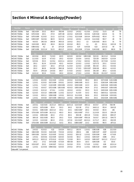| <b>Number</b>              | Name |                   |                   |                   |                 |                | Chemical Composition(µg/g) |                 |                   |                 |                                   | <b>Unit Size</b> |
|----------------------------|------|-------------------|-------------------|-------------------|-----------------|----------------|----------------------------|-----------------|-------------------|-----------------|-----------------------------------|------------------|
|                            |      | Ag                | As                | B                 | Ba              | <b>Be</b>      | Bi                         | Br              | Cd                | Ce              | Cl                                | (in g)           |
| <b>NCS DC 73319a</b>       | Soil | $0.81 \pm 0.04$   | 33±3              | 69±4              | 700±40          | $3.3 \pm 0.3$  | $1.4 + 0.2$                | $4.1 \pm 0.6$   | $2.5 \pm 0.2$     | 71±5            | $-87$                             | 70               |
| <b>NCS DC 73320a</b>       | Soil | $0.072 \pm 0.010$ | $18 \pm 1$        | 27±4              | 1187±38         | $2.6 \pm 0.2$  | $0.29 + 0.05$              | $4.6 + 0.6$     | $0.20 \pm 0.02$   | 123±6           | $-51$                             | 70               |
| NCS DC 73321a              | Soil | $0.075 \pm 0.009$ | $6.2 + 0.5$       | $21 \pm 2$        | 1117±32         | $1.7 + 0.1$    | $0.21 \pm 0.04$            | $3.8 + 0.4$     | $0.079 \pm 0.012$ | 45±4            | $-73$                             | 70               |
| NCS DC 73322a              | Soil | $0.059 \pm 0.007$ | $9.6 + 0.6$       | 88±9              | $312 \pm 15$    | $2.4 \pm 0.2$  | $1.8 + 0.2$                | $2.8 + 0.4$     | $0.11 \pm 0.02$   | 99±7            | $-30$                             | 70               |
| <b>NCS DC 73323a</b>       | Soil | $4.6 \pm 0.3$     | 242±16            | $108 + 8$         | 343±15          | $1.8 + 0.2$    | 23±2                       | $-1.5$          | $0.16 \pm 0.03$   | 85±5            | $-31$                             | 70               |
| NCS DC 73324a              | Soil | $0.24 \pm 0.04$   | 88±5              | $28 \pm 4$        | $181 \pm 21$    | $6.9 + 0.4$    | 89±5                       | $\hbox{-}1.1$   | $-0.5$            | $85 + 11$       | $110 + 14$                        | 70               |
| NCS DC 73325a              | Soil | $0.080 \pm 0.012$ | $-4.2$            | $-19$             | 237±24          | $2.9 + 0.3$    | $-0.37$                    | $6.4 + 0.8$     | $-0.23$           | $113 + 13$      | $-54$                             | 70               |
| <b>NCS DC 73326a</b>       | Soil | $0.067 \pm 0.006$ | $13.2 \pm 1.4$    | 51±5              | 492±17          | $2.0 + 0.2$    | $0.31 \pm 0.04$            | $3.7 + 0.4$     | $0.14 \pm 0.02$   | 68±5            | 68±6                              | 70               |
|                            |      |                   |                   |                   |                 |                | Chemical Composition(µg/g) |                 |                   |                 |                                   |                  |
|                            |      | Co                | Cr                | Cs                | Cu              | Dy.            | Er.                        | Eu.             | F.                | Ga              | Gd                                |                  |
| <b>NCS DC 73319a</b>       | Soil | $10.3 \pm 0.6$    | 44±3              | $7.2 \pm 0.5$     | 42±5            | $6.0 + 0.5$    | $3.8 + 0.4$                | $0.89 \pm 0.08$ | $513 \pm 21$      | $18.1 \pm 1.4$  | $5.5 + 0.4$                       |                  |
| <b>NCS DC 73320a</b>       | Soil | $11.1 \pm 0.5$    | $52 \pm 4$        | $4.7 + 0.3$       | 20±2            | $4.5 \pm 0.4$  | $2.5 + 0.4$                | $1.8 + 0.2$     | 723±39            | 14.8±0.9        | $6.2 + 0.4$                       |                  |
| <b>NCS DC 73321a</b>       | Soil | $6.9 + 0.6$       | 35±3              | $3.2 + 0.2$       | $13.4 \pm 1.1$  | $2.8 + 0.3$    | $1.7 + 0.2$                | $0.8 + 0.2$     | 354±31            | $15.7 \pm 0.8$  | $3.1 \pm 0.3$                     |                  |
| NCS DC 73322a              | Soil | $20 \pm 1$        | $81 \pm 4$        | $12.5 \pm 0.9$    | 43±2            | $4.4 + 0.4$    | $2.5 \pm 0.3$              | $1.2 + 0.2$     | 1127±72           | $23 \pm 1$      | $5.5 \pm 0.3$                     |                  |
| <b>NCS DC 73323a</b>       | Soil | $18 \pm 2$        | $113+7$           | $18\pm2$          | $147 + 10$      | $5.1 \pm 0.4$  | $3.2 + 0.3$                | $1.0 + 024$     | $601 \pm 25$      | $25 \pm 1$      | $4.5 \pm 0.6$                     |                  |
| <b>NCS DC 73324a</b>       | Soil | 20±2              | $86 \pm 8$        | $9.4 + 0.8$       | $358 + 18$      | $5.4 \pm 0.5$  | $3.7 + 0.5$                | $0.39 + 0.07$   | 1526±82           | 40±4            | $4.2 \pm 0.5$                     |                  |
| <b>NCS DC 73325a</b>       | Soil | 93±4              | 379±24            | $2.9 + 0.6$       | 84±7            | $5.7 \pm 0.5$  | $2.4 \pm 0.3$              | $3.0 + 0.5$     | 341±39            | 39±2            | $8.3 \pm 0.6$                     |                  |
| <b>NCS DC 73326a</b>       | Soil | $12.3 \pm 1.0$    | 65±4              | $7.3 \pm 0.5$     | $24 \pm 2$      | $4.9 + 0.4$    | $2.7 + 0.3$                | $1.2 + 0.2$     | 555±26            | $15.1 \pm 0.7$  | $5.5 \pm 0.5$                     |                  |
|                            |      |                   |                   |                   |                 |                | Chemical Composition(µg/g) |                 |                   |                 |                                   |                  |
|                            |      | Ge                | Hf.               | Hg                | H <sub>o</sub>  |                | In                         | La              | H.                | Lu.             | $Mn^*$                            |                  |
| <b>NCS DC 73319a</b>       | Soil | $1.3 + 0.2$       | $6.5 \pm 0.5$     | $0.31 \pm 0.03$   | $1.3 + 0.2$     | $2.0 + 0.2$    | $0.12 \pm 0.02$            | 39±2            | $28 \pm 2$        | $0.57 \pm 0.06$ | $0.131 \pm 0.006$                 |                  |
| <b>NCS DC 73320a</b>       | Soil | $1.2 + 0.1$       | $6.3 + 0.5$       | $0.017 \pm 0.004$ | $0.9 + 0.1$     | $2.6 \pm 0.3$  | $0.048 \pm 0.005$          | $61 \pm 3$      | $22 \pm 1$        | $0.38 + 0.04$   | $0.092 \pm 0.003$                 |                  |
| NCS DC 73321a              | Soil | $1.2 + 0.1$       | $7.1 \pm 0.7$     | $0.116 \pm 0.005$ | $0.58 + 0.06$   | $2.5 \pm 0.3$  | $0.033 \pm 0.004$          | $21 \pm 3$      | $18 \pm 1$        |                 | $0.28 \pm 0.04$ $0.033 \pm 0.001$ |                  |
| NCS DC 73322a              | Soil | $1.7 + 0.2$       | $6.9 + 0.7$       | $0.072 \pm 0.006$ | $0.85 \pm 0.08$ | $4.0 + 0.3$    | $0.095 \pm 0.006$          | $54 \pm 4$      | 27±2              |                 | $0.40 \pm 0.07$ $0.030 \pm 0.001$ |                  |
| NCS DC 73323a              | Soil | $2.3 \pm 0.3$     | $8.3 \pm 1.0$     | $0.7 + 0.1$       | $1.1 \pm 0.2$   | $2.8 + 0.3$    | $1.4 + 0.2$                | 35±3            | $51 \pm 3$        | $0.49 + 0.04$   | $0.051 \pm 0.002$                 |                  |
| NCS DC 73324a              | Soil | $6.2 + 0.5$       | $6.5 + 1.0$       | $0.086 \pm 0.008$ | $1.1 \pm 0.2$   | $13.2 \pm 2.7$ | $4.1 \pm 0.9$              | $31 \pm 2$      | 43±2              | $0.80 \pm 0.11$ | $0.23 \pm 0.01$                   |                  |
| <b>NCS DC 73325a</b>       | Soil | $1.5 \pm 0.2$     | $8.9 + 1.1$       | $0.058 \pm 0.008$ | $1.0 + 0.2$     | $19.0 \pm 2.2$ | $0.11 \pm 0.01$            | 56土6            | 23±2              | $0.30 \pm 0.04$ | $0.19 + 0.01$                     |                  |
| <b>NCS DC 73326a</b>       | Soil | $1.3 + 0.1$       | $6.9 + 0.8$       | $0.027 \pm 0.005$ | $0.98 + 0.12$   | $1.6 + 0.2$    | $0.053 \pm 0.005$          | 35±3            | 33±2              | $0.42 \pm 0.04$ | $0.063 \pm 0.002$                 |                  |
|                            |      |                   |                   |                   |                 |                | Chemical Composition(µg/g) |                 |                   |                 |                                   |                  |
|                            |      | Mo                | $N^*$             | Nb                | Nd              | Ni.            | P                          | Pb              | Pr                | Rb              | S                                 |                  |
| <b>NCS DC 73319a</b>       | Soil | $2.0 \pm 0.2$     | $0.32 \pm 0.03$   | $15.3 \pm 1.4$    | $30.8 \pm 1.3$  | $16.9 \pm 1.5$ | $0.23 \pm 0.02^*$          | 339±12          | $8.5 \pm 0.7$     | 137±9           | 726±94                            |                  |
| <b>NCS DC 73320a</b>       | Soil | $1.6 + 0.1$       | $0.075 \pm 0.006$ | $35 + 4$          | 55±3            | $24 \pm 2$     | $512 + 30$                 | 27±2            | $14.8 \pm 1.2$    | 95±4            | 316±23                            |                  |
| <b>NCS DC 73321a</b>       | Soil | $0.5 + 0.1$       | $0.085 \pm 0.004$ | $10.6 \pm 1.0$    | 19±2            | $15 \pm 1$     | $0.042 \pm 0.002$ *        | $28 \pm 2$      | $4.9 + 0.4$       | 85±6            | $-146$                            |                  |
| <b>NCS DC 73322a</b>       | Soil | $0.70 + 0.06$     | $0.073 \pm 0.004$ | $16.1 \pm 1.2$    | 40±3            | $36 \pm 2$     | $0.031 \pm 0.003*$         | $37\pm3$        | $11.2 \pm 0.9$    | $152 \pm 5$     | 130±19                            |                  |
| NCS DC 73323a              | Soil | $2.3 \pm 0.2$     | $0.059 \pm 0.005$ | 20±2              | 27±3            | $38 \pm 2$     | 353±40                     | $245 + 14$      | $7.3 \pm 0.6$     | 142±6           | 839±37                            |                  |
| <b>NCS DC 73324a</b>       | Soil | $169 + 10$        | $0.021 \pm 0.003$ | $38\pm3$          | 20±2            | 75±6           | $0.024 \pm 0.004*$         | 478±16          | $5.6 \pm 0.7$     | $118 + 13$      | 534±73                            |                  |
| NCS DC 73325a              | Soil | $3.2 + 0.3$       | $0.13 \pm 0.02$   | 80±4              | 47±5            | $217 + 8$      | $0.21 \pm 0.02$ *          | $18.3 \pm 2.1$  | $11.7 \pm 1.7$    | $28 \pm 3$      | 432±45                            |                  |
| <b>NCS DC 73326a</b>       | Soil | $0.76 \pm 0.06$   | $0.06 \pm 0.004$  | $13.1 \pm 1.2$    | $31 \pm 2$      | 30±2           | $0.068 \pm 0.003*$         | $21 \pm 2$      | $8.0 + 0.6$       | 96±5            | 187±21                            |                  |
|                            |      |                   |                   |                   |                 |                | Chemical Composition(µg/g) |                 |                   |                 |                                   |                  |
|                            |      | Sb                | Sc                | Se                | Sm              | Sn             | Sr                         | Ta              | Tb                | Te              | Th                                |                  |
| <b>NCS DC 73319a</b>       | Soil | $2.4 \pm 0.3$     | $8.3 + 0.3$       | $-0.22$           | $5.9 + 0.4$     | $9.8 \pm 1.1$  | $192 + 9$                  | $1.3 \pm 0.1$   | $0.98 + 0.09$     | $-0.06$         | $13.1 \pm 0.9$                    |                  |
| NCS DC 73320a              | Soil | $0.86 \pm 0.08$   | $9.5 \pm 0.5$     | $0.26 \pm 0.03$   | $7.9 + 0.4$     | $2.0 \pm 0.2$  | 248±6                      | $-0.86$         | $0.89 + 0.07$     | $-0.037$        | $13.3 \pm 0.9$                    |                  |
| <b>NCS DC 73321a</b>       | Soil | $0.69 + 0.06$     | $5.6 \pm 0.4$     | $0.12 \pm 0.03$   | $3.5 \pm 0.2$   | $2.6 \pm 0.2$  | $325 + 12$                 | $1.2 + 0.2$     | $0.50 \pm 0.04$   | $-0.04$         | $6.7 + 0.8$                       |                  |
| NCS DC 73322a              | Soil | $1.4 \pm 0.2$     | $15.9 \pm 0.6$    | $0.31 \pm 0.04$   | $6.8 + 0.5$     | $5.6 \pm 0.6$  | $58\pm2$                   | $1.4 + 0.2$     | $0.84 \pm 0.07$   | $-0.085$        | 19±2                              |                  |
| NCS DC 73323a              | Soil | $14.9 \pm 1.3$    | $16.9 \pm 1.2$    | $0.75 \pm 0.12$   | $4.5 \pm 0.3$   | $7.2 \pm 0.8$  | $39\pm3$                   | $1.6 + 0.3$     | $0.80 \pm 0.07$   | $6.6 \pm 1.3$   | $17.2 \pm 1.7$                    |                  |
| <b>NCS DC 73324a</b>       | Soil | $14\pm2$          | 17 <sub>±2</sub>  | $0.47 + 0.08$     | $4.7 + 0.4$     | 439±58         | 30±4                       | $16 \pm 3$      | $0.84 \pm 0.09$   | $-0.5$          | 35±6                              |                  |
| NCS DC 73325a              | Soil | $0.53 + 0.07$     | 25±2              | $0.34 \pm 0.07$   | $9.3 \pm 1.1$   | $5.0 \pm 0.4$  | $37\pm 5$                  | $5.7 \pm 0.9$   | $1.2 \pm 0.2$     | $-0.06$         | $10.5 \pm 1.4$                    |                  |
| NCS DC 73326a              | Soil | $1.2 + 0.2$       | $11.5 \pm 0.6$    | $0.098 \pm 0.022$ | $6.0 + 0.5$     | $2.9 + 0.2$    | 197±6                      | $1.1 \pm 0.1$   | $0.86 \pm 0.10$   | $-0.034$        | $12.2 \pm 0.9$                    |                  |
| Data with * is in percent. |      |                   |                   |                   |                 |                |                            |                 |                   |                 |                                   |                  |
|                            |      |                   |                   |                   |                 |                |                            |                 |                   |                 |                                   |                  |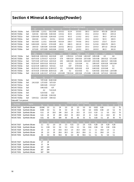|                                              |                           | $Ti*$                                             | TI.             |         | <b>Tm</b>                     | $\cup$             |      | $\vee$             | Chemical Composition(µg/g)<br>$\overline{\mathsf{W}}$ |      | Y.                | Yb              | Zn              |         | Zr                                                                  |                  |
|----------------------------------------------|---------------------------|---------------------------------------------------|-----------------|---------|-------------------------------|--------------------|------|--------------------|-------------------------------------------------------|------|-------------------|-----------------|-----------------|---------|---------------------------------------------------------------------|------------------|
| <b>NCS DC 73319a</b>                         | Soil                      | $0.326 \pm 0.009$                                 | $1.2 + 0.1$     |         | $0.61 \pm 0.06$               | $6.0 + 0.3$        |      | 61±4               | $3.5 \pm 0.5$                                         |      | 38±3              | $3.8 + 0.4$     | 475±30          |         | $218 + 10$                                                          |                  |
| NCS DC 73320a                                | Soil                      | $0.28 \pm 0.02$                                   | $0.63 \pm 0.06$ |         | $0.38 + 0.03$                 | $1.9 + 0.2$        |      | 65±5               | $1.9 + 0.3$                                           |      | 25±2              | $2.5 \pm 0.3$   | 58±3            |         | 219±13                                                              |                  |
| <b>NCS DC 73321a</b>                         | Soil                      | $0.228 \pm 0.010$                                 | $0.51 \pm 0.05$ |         | $0.28 + 0.03$                 | $1.2 + 0.2$        |      | 45±3               | $1.1 \pm 0.2$                                         |      | $16\pm2$          | $1.8 + 0.3$     | 39±3            |         | 247±15                                                              |                  |
| <b>NCS DC 73322a</b>                         | Soil                      | $0.46 \pm 0.02$                                   | $1.0 + 0.1$     |         | $0.4 + 0.1$                   | $3.0 + 0.3$        |      | $125 \pm 6$        | $2.9 + 0.3$                                           |      | 23±2              | $2.6 \pm 0.3$   | 92±3            |         | 234±5                                                               |                  |
|                                              |                           |                                                   |                 |         |                               |                    |      |                    |                                                       |      |                   |                 |                 |         |                                                                     |                  |
| NCS DC 73323a                                | Soil                      | $0.61 \pm 0.03$                                   | $1.1 + 0.1$     |         | $0.50 \pm 0.05$               | $4.0 + 0.4$        |      | 136±7              | $7.4 \pm 0.6$                                         |      | 29±2              | $3.2 + 0.3$     | 172±7           |         | 272±9                                                               |                  |
| NCS DC 73324a                                | Soil                      | $0.434 \pm 0.019$                                 | $3.6 + 0.4$     |         | $0.70 + 0.09$                 | $28 \pm 2$         |      | $108 + 5$          | $132 + 13$                                            |      | 33±4              | $5.2 \pm 0.6$   | 1529±79         |         | 156±5                                                               |                  |
| NCS DC 73325a                                | Soil                      | $2.06 \pm 0.10$                                   | $0.30 + 0.04$   |         | $0.33 \pm 0.06$               | $2.6 + 0.2$        |      | 240±11             | $2.3 + 0.4$                                           |      | 25±3              | $2.0 + 0.3$     | $187 + 13$      |         | 370±20                                                              |                  |
| <b>NCS DC 73326a</b>                         | Soil                      | $0.37 + 0.02$                                     | $0.57 \pm 0.05$ |         | $0.43 \pm 0.04$               | $2.3 + 0.3$        |      | 80±3               | $1.8 + 0.2$                                           |      | $26 \pm 1$        | $2.8 + 0.3$     | 66±3            |         | $241 \pm 6$                                                         |                  |
|                                              |                           | SiO <sub>2</sub>                                  | $Al_2O_3$       |         |                               |                    |      | CaO                | Chemical Composition(%)                               |      | Na <sub>2</sub> O | $K_2O$          | $H_2O+$         |         |                                                                     |                  |
| <b>NCS DC 73319a</b>                         | Soil                      | 56.60±0.46 12.92±0.21                             |                 |         | $TFe_2O_3$<br>$4.41 \pm 0.20$ | FeO<br>$-2.25$     |      | $2.78 \pm 0.11$    | MgO<br>$1.17 \pm 0.04$                                |      | $1.65 \pm 0.07$   | $2.85 \pm 0.08$ | $-4.3$          |         | Corg.<br>$-6.8$                                                     |                  |
| <b>NCS DC 73320a</b>                         | Soil                      | 65.97±0.55 11.70±0.17 4.22±0.14                   |                 |         |                               | $-0.78$            |      | $4.00 \pm 0.14$    | $1.40 \pm 0.03$                                       |      | $2.67 \pm 0.06$   | $3.03 \pm 0.08$ | $2.85 \pm 0.22$ |         | $0.71 \pm 0.05$                                                     |                  |
| NCS DC 73321a                                | Soil                      | 72.97±0.40 12.97±0.14 2.63±0.10                   |                 |         |                               | $-0.55$            |      | $0.84 \pm 0.03$    | $0.61 + 0.02$                                         |      | $2.54 \pm 0.07$   | $2.91 \pm 0.06$ | $2.66 \pm 0.17$ |         | $0.65 \pm 0.06$                                                     |                  |
| NCS DC 73322a                                | Soil                      | 63.33±0.47 16.93±0.18 6.92±0.15                   |                 |         |                               |                    |      |                    | $1.33 \pm 0.04$                                       |      |                   | $3.00 \pm 0.07$ | $6.39 \pm 0.36$ |         | $0.42 \pm 0.04$                                                     |                  |
| NCS DC 73323a                                | Soil                      | 61.52 $\pm$ 0.39 16.88 $\pm$ 0.15                 |                 |         | $9.8 + 0.21$                  | $-0.43$<br>$-0.19$ |      | $-0.13$<br>$-0.07$ | $0.70 + 0.02$                                         |      | $-0.1$<br>$-0.1$  | $2.14 \pm 0.06$ | $7.02 \pm 0.37$ |         | $-0.2$                                                              |                  |
|                                              |                           | 45.35±0.33 26.63±0.14 12.39±0.17                  |                 |         |                               |                    |      | $0.13 \pm 0.02$    |                                                       |      |                   |                 | 12.9±0.48       |         | $-0.2$                                                              |                  |
| <b>NCS DC 73324a</b>                         | Soil                      | 33.73±0.35 27.39±0.50 18.03±0.15                  |                 |         |                               | $-0.1$<br>$-1.46$  |      | $-0.2$             | $0.20 \pm 0.02$                                       |      | $-0.14$<br>$-0.1$ | $0.44 \pm 0.02$ |                 |         |                                                                     |                  |
| <b>NCS DC 73325a</b><br><b>NCS DC 73326a</b> | Soil<br>Soil              | 60.12 $\pm$ 0.30 11.81 $\pm$ 0.17 4.37 $\pm$ 0.14 |                 |         |                               | $1.23 \pm 0.09$    |      | 7.59±0.14          | $0.31 \pm 0.02$<br>$2.00 \pm 0.04$                    |      | $1.71 \pm 0.06$   | $2.30 \pm 0.05$ | $3.47 \pm 0.13$ |         | $0.35 \pm 0.02$ $13.61 \pm 0.63$ $1.18 \pm 0.08$<br>$0.50 \pm 0.05$ |                  |
|                                              |                           |                                                   |                 |         |                               |                    |      |                    | Chemical Composition(%)                               |      |                   |                 |                 |         |                                                                     |                  |
|                                              |                           | CO <sub>2</sub>                                   | TC.             |         | L.O.I.                        |                    |      |                    |                                                       |      |                   |                 |                 |         |                                                                     |                  |
| NCS DC 73319a                                | Soil                      |                                                   | 7.87±0.26       |         | 15.82±0.64                    |                    |      |                    |                                                       |      |                   |                 |                 |         |                                                                     |                  |
| <b>NCS DC 73320a</b>                         | Soil                      | $2.41 \pm 0.20$                                   | $1.37 \pm 0.03$ |         | 5.87±0.34                     |                    |      |                    |                                                       |      |                   |                 |                 |         |                                                                     |                  |
| NCS DC 73321a                                | Soil                      |                                                   | $0.69 \pm 0.05$ |         | $3.72 \pm 0.27$               |                    |      |                    |                                                       |      |                   |                 |                 |         |                                                                     |                  |
| <b>NCS DC 73322a</b>                         | Soil                      |                                                   | $0.46 \pm 0.03$ |         | $-6.97$                       |                    |      |                    |                                                       |      |                   |                 |                 |         |                                                                     |                  |
| NCS DC 73323a                                | Soil                      |                                                   | $-0.2$          |         | $7.22 \pm 0.25$               |                    |      |                    |                                                       |      |                   |                 |                 |         |                                                                     |                  |
| NCS DC 73324a                                | Soil                      |                                                   | $0.23 \pm 0.02$ |         | $-13.22$                      |                    |      |                    |                                                       |      |                   |                 |                 |         |                                                                     |                  |
| <b>NCS DC 73325a</b>                         | Soil                      |                                                   | $1.30 \pm 0.06$ |         | 15.36±0.92                    |                    |      |                    |                                                       |      |                   |                 |                 |         |                                                                     |                  |
| <b>NCS DC 73326a</b>                         | Soil                      | $5.34 \pm 0.21$                                   | $1.91 \pm 0.07$ |         | $8.98 \pm 0.32$               |                    |      |                    |                                                       |      |                   |                 |                 |         |                                                                     |                  |
| Data with * is in percent.                   |                           |                                                   |                 |         |                               |                    |      |                    |                                                       |      |                   |                 |                 |         |                                                                     |                  |
|                                              |                           |                                                   |                 |         |                               |                    |      |                    | Chemical Composition(µg/g)                            |      |                   |                 |                 |         |                                                                     | <b>Unit Size</b> |
| <b>Number</b>                                | Name                      |                                                   | Ag              | As      | B                             | Ba                 | Cu   | Li.                | P <sub>b</sub>                                        | Sr.  | Zn                | Cd              | Sb              | Ce.     | Zr                                                                  | (in g)           |
| NCSDC73327                                   | Synthetic Silicate        |                                                   | (0.034)         | 2.0     | 2.1                           | 24                 | 2.0  | 15                 | 2.5                                                   | 5.0  | 3.0               | 0.022           | 0.28            |         | 2.2                                                                 | 70               |
| NCSDC73328                                   | Synthetic Silicate        |                                                   | 0.064           | 5.0     | 5.1                           | 54                 | 5.0  | 18                 | 5.5                                                   | 8.0  | 6.0               | 0.052           | 0.58            | 2.0     | 5.2                                                                 | 70               |
| NCS DC 73329                                 | Synthetic Silicate        |                                                   | 0.11            | 10      | 10.0                          | 104                | 10.0 | 23                 | 10.5                                                  | 13   | 11.0              | 0.10            | 1.1             | 5.0     | 10.2                                                                | 70               |
| NCSDC73330                                   | Synthetic Silicate        |                                                   | 0.21            | 20      | 20                            | 204                | 20.0 | 33                 | 20.5                                                  | 23   | 21                | 0.20            | 2.1             | 10.0    | 20                                                                  | 70               |
| NCSDC73331                                   | <b>Synthetic Silicate</b> |                                                   | 0.51            | 50      | 50                            | 504                | 50   | 63                 | 50                                                    | 53   | 51                | 0.50            | 5.1             | 20      | 50                                                                  | 70               |
|                                              |                           |                                                   |                 |         |                               |                    |      |                    |                                                       |      |                   |                 |                 |         |                                                                     |                  |
|                                              |                           |                                                   | La              | Yb      | Y                             | Co                 | Cr   | Mo                 | <b>Nb</b>                                             | Ni.  | <b>Bi</b>         | Sn              | V               | W       | <b>Be</b>                                                           |                  |
| NCS DC 73327                                 | <b>Synthetic Silicate</b> |                                                   | 2.1             | 0.2     | 2.0                           | 2.6                | 2.3  | 0.21               | 2.3                                                   | 2.6  | 0.31              | 0.28            | 2.8             | 0.20    | 0.26                                                                |                  |
| NCS DC 73328                                 | Synthetic Silicate        |                                                   | 5.1             | 0.50    | 5.0                           | 5.6                | 5.3  | 0.51               | 5.3                                                   | 5.6  | 0.61              | 0.58            | 5.8             | 0.50    | 0.56                                                                |                  |
| NCS DC 73329                                 | Synthetic Silicate        |                                                   | 10              | $1.0\,$ | 10                            | 10.6               | 10.3 | $1.0\,$            | 10.3                                                  | 10.6 | $1.1\,$           | $1.1\,$         | 10.8            | $1.0\,$ | $1.1\,$                                                             |                  |
| <b>NCS DC 73330</b>                          | Synthetic Silicate        |                                                   | 20              | 2.0     | 20                            | 20.6               | 20.3 | 2.0                | 20.3                                                  | 20.6 | 2.1               | 2.1             | 20.8            | 2.0     | $2.1\,$                                                             |                  |
| <b>NCSDC73331</b>                            | Synthetic Silicate        |                                                   | 50              | 5.0     | 50                            | 50.6               | 50   | 5.0                | 50                                                    | 50.6 | 5.1               | 5.1             | 51              | 5.0     | 5.1                                                                 |                  |
|                                              |                           |                                                   |                 |         |                               |                    |      |                    |                                                       |      |                   |                 |                 |         |                                                                     |                  |
|                                              |                           |                                                   | Mn              | TI.     |                               |                    |      |                    |                                                       |      |                   |                 |                 |         |                                                                     |                  |
| NCSDC73327                                   | Synthetic Silicate        |                                                   | 27              | 24      |                               |                    |      |                    |                                                       |      |                   |                 |                 |         |                                                                     |                  |
| NCS DC 73328                                 | Synthetic Silicate        |                                                   | 57              | 54      |                               |                    |      |                    |                                                       |      |                   |                 |                 |         |                                                                     |                  |
| NCSDC73329                                   | Synthetic Silicate        |                                                   | 107             | 104     |                               |                    |      |                    |                                                       |      |                   |                 |                 |         |                                                                     |                  |
| <b>NCS DC 73330</b>                          | Synthetic Silicate        |                                                   | 207             | 204     |                               |                    |      |                    |                                                       |      |                   |                 |                 |         |                                                                     |                  |
| <b>NCSDC73331</b>                            | Synthetic Silicate        |                                                   | 507             | 504     |                               |                    |      |                    |                                                       |      |                   |                 |                 |         |                                                                     |                  |
|                                              |                           |                                                   |                 |         |                               |                    |      |                    |                                                       |      |                   |                 |                 |         |                                                                     |                  |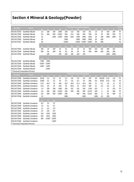|                    |                                 |                   |           |           |           |           |           | Chemical Composition( $\mu$ g/g) |                  |            |           |                |            |           | <b>Unit Size</b> |
|--------------------|---------------------------------|-------------------|-----------|-----------|-----------|-----------|-----------|----------------------------------|------------------|------------|-----------|----------------|------------|-----------|------------------|
| <b>Number</b>      | Name                            | Ag                | As        | B         | Ba        | Cu        | H.        | P <sub>b</sub>                   | <b>Sr</b>        | Zn         | Cd        | S <sub>b</sub> | Ce.        | Zr        | (in g)           |
| <b>NCS DC73332</b> | Synthetic Silicate              | 1.0               | 100       | 100       | 1000      | 100       | 113       | 100                              | 103              | 101        | 1.0       | 10             | 100        | 100       | 70               |
| <b>NCS DC73334</b> | <b>Synthetic Silicate</b>       | 5.0               | 500       | 500       | $0.500*$  | 500       | 513       | 500                              | 500              | 500        | 5.0       | 50             | 500        | 500       | 70               |
| <b>NCS DC73335</b> | Synthetic Silicate              | 10                |           | 1000      | $1.000*$  | 1000      | 1010      | 1000                             | 1000             | 1000       | 10        | 100            | 1000       | 1000      | 70               |
| <b>NCS DC73336</b> | Synthetic Silicate              | 20                |           |           |           | 2000      |           | 2000                             | 2000             | 2000       | 20        | 200            |            |           | 70               |
| NCS DC73337        | Synthetic Silicate              | 50                |           |           |           | $0.500*$  |           | $0.500*$                         | $0.500*$         | $0.500*$   | 50        | 500            |            |           | 70               |
|                    |                                 |                   |           |           |           |           |           |                                  |                  |            |           |                |            |           |                  |
|                    |                                 | La                | Yb        | Y         | <b>Bi</b> | Sn        | <b>Be</b> | Mo                               | W                | <b>Nb</b>  | Co        | Ni.            | Cr         | $\vee$    |                  |
| <b>NCS DC73332</b> | Synthetic Silicate              | 100               | 10        | 100       | 10        | 10        | 10        | 10                               | 10               | 100        | 101       | 101            | 100        | 101       |                  |
| <b>NCS DC73334</b> | Synthetic Silicate              | 500               | 50        | 500       | 50        | 50        | 50        | 50                               | 50               | 500        | 500       | 500            | 500        | 500       |                  |
| <b>NCS DC73335</b> | Synthetic Silicate              |                   | 100       |           | 100       | 100       | 100       | 100                              | 100              |            |           |                | 1000       | 1000      |                  |
|                    |                                 |                   |           |           |           |           |           |                                  |                  |            |           |                |            |           |                  |
|                    |                                 | Mn                | Ti.       |           |           |           |           |                                  |                  |            |           |                |            |           |                  |
| <b>NCS DC73332</b> | Synthetic Silicate              | 1000              | 1000      |           |           |           |           |                                  |                  |            |           |                |            |           |                  |
| <b>NCS DC73334</b> | Synthetic Silicate              | $0.500*$          | $0.500*$  |           |           |           |           |                                  |                  |            |           |                |            |           |                  |
| <b>NCS DC73335</b> | Synthetic Silicate              | $1.000*$          | $1.000*$  |           |           |           |           |                                  |                  |            |           |                |            |           |                  |
| <b>NCS DC73336</b> | Synthetic Silicate              |                   | $2.000*$  |           |           |           |           |                                  |                  |            |           |                |            |           |                  |
|                    | * Chemical Composition:Percent  |                   |           |           |           |           |           |                                  |                  |            |           |                |            |           |                  |
| <b>Number</b>      | Name                            |                   |           |           |           |           |           | Chemical Composition(µg/g)       |                  |            |           | Cd             |            |           | <b>Unit Size</b> |
| <b>NCS DC73338</b> | Synthetic Limestone             | Ag                | As<br>2.2 | B.<br>2.2 | Ba<br>24  | Cu<br>2.2 | Ga<br>2.8 | Πi<br>3.2                        | <b>Pb</b><br>2.4 | Sr.<br>170 | Zn<br>3.0 | (0.023)        | Sb<br>0.21 | Ce<br>2.8 | (in g)<br>70     |
| <b>NCS DC73339</b> | Synthetic Limestone             | (0.03)<br>0.060   | 5.2       | 5.2       | 54        | 5.2       | 5.8       | 6.2                              | 5.4              | 200        | 6.0       | 0.053          | 0.51       | 5.8       | 70               |
|                    |                                 |                   | 10.2      |           |           |           |           |                                  |                  |            |           |                |            | 11        | 70               |
| <b>NCS DC73340</b> | Synthetic Limestone             | 0.11              |           | 10        | 104       | 10.2      | 10.8      | 11.2                             | 10.4             | 250        | $11\,$    | 0.1            | $1.0\,$    |           |                  |
| <b>NCS DC73341</b> | Synthetic Limestone             | 0.21              | 20        | 20        | 204       | 20        | 20.8      | 21                               | 20.4             | 350        | 21        | 0.2            | 2.0        | 21        | 70               |
| NCS DC73343        | Synthetic Limestone             | 1.0               | 100       | 100       | 1000      | 100       | 101       | 101                              | 100              | 1150       | 101       | $\mathbf{1}$   | 10         | 101       | 70               |
| NCS DC73344        | Synthetic Limestone             | 2.0               | 200       | 200       | $0.200*$  | 200       | 200       | 200                              | 200              | $0.215*$   | 200       | $\overline{2}$ | 20         | 200       | 70               |
| <b>NCS DC73345</b> | Synthetic Limestone             | 5.0               | 500       | 500       | $0.500*$  | 500       |           | 500                              | 500              | $0.515*$   | 500       | 5              | 50         | 500       | 70               |
| NCS DC73346        | Synthetic Limestone             | 10                |           |           |           | 1000      |           |                                  | 1000             |            | 1000      | 10             | 100        |           | 70               |
|                    |                                 | Zr                | Ti.       | Mn        |           |           |           |                                  |                  |            |           |                |            |           |                  |
| <b>NCS DC73338</b> | Synthetic Limestone             | 4.0               | 31        | 37        |           |           |           |                                  |                  |            |           |                |            |           |                  |
| <b>NCS DC73339</b> | Synthetic Limestone             | 7.0               | 61        | 67        |           |           |           |                                  |                  |            |           |                |            |           |                  |
| <b>NCS DC73340</b> | Synthetic Limestone             | $12 \overline{ }$ | 111       | 117       |           |           |           |                                  |                  |            |           |                |            |           |                  |
| <b>NCS DC73341</b> | Synthetic Limestone             | 22                | 210       | 217       |           |           |           |                                  |                  |            |           |                |            |           |                  |
| <b>NCS DC73343</b> | Synthetic Limestone             | 102               | 1010      | 1020      |           |           |           |                                  |                  |            |           |                |            |           |                  |
| NCS DC73344        | Synthetic Limestone             | 202               | 2010      | 2020      |           |           |           |                                  |                  |            |           |                |            |           |                  |
|                    |                                 |                   |           |           |           |           |           |                                  |                  |            |           |                |            |           |                  |
| NCS DC73345        | Synthetic Limestone             | 500               | $0.500*$  | $0.500*$  |           |           |           |                                  |                  |            |           |                |            |           |                  |
| NCS DC73346        | Synthetic Limestone             |                   |           | $1.000*$  |           |           |           |                                  |                  |            |           |                |            |           |                  |
|                    | * Chemical Composition: Percent |                   |           |           |           |           |           |                                  |                  |            |           |                |            |           |                  |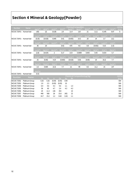| <b>Number</b>       | Name           | $Ag(10^{-9})$       | Al $(10^{-2})$      |      | $As(10^{-6})$ | $B(10^{-6})$           |       | $Ba(10^{-6})$                             | Chemical Composition<br>$Be(10^{-9})$ | $Bi(10^{9})$        | $Br(10^{-6})$                                                | $Ca(10^{-2})$      | $Cd(10^{-9})$          | <b>Unit Size</b><br>(in g) |
|---------------------|----------------|---------------------|---------------------|------|---------------|------------------------|-------|-------------------------------------------|---------------------------------------|---------------------|--------------------------------------------------------------|--------------------|------------------------|----------------------------|
| NCS DC 73347a       | Human hair     | (50)                | (2)                 |      | (0.28)        | 2.9                    |       | 11.4                                      | 110                                   | 21                  | (1.1)                                                        | 0.145              | 0.07                   | 6                          |
|                     |                |                     |                     |      |               |                        |       |                                           |                                       |                     |                                                              |                    |                        |                            |
|                     |                | $Ce(10^{-6})$       | $Cl(10^{-2})$       |      | $Co(10^{-6})$ | $Cr(10^{-6})$          |       | $Cs(10^{-6})$                             | $Cu(10^{-6})$                         | $Dv(10^{-9})$       | $Er(10^9)$                                                   | $Eu(10^{-9})$      | $F(10^{-6})$           |                            |
| NCS DC 73347a       | Human hair     | (0.35)              | (0.018)             |      | 0.045         | 0.41                   |       | (0.003)                                   | 14.3                                  | 20                  | 14                                                           | 3.7                | (11)                   |                            |
|                     |                |                     |                     |      |               |                        |       |                                           |                                       |                     |                                                              |                    |                        |                            |
| NCS DC 73347a       | Human hair     | $Fe(10^{-6})$<br>36 | $Gd(10^{-9})$<br>20 |      | $Ge(10^{-9})$ | $Hf(10^{-6})$<br>(0.6) |       | $Hg(10^{-9})$<br>670                      | $Ho(10^{9})$<br>4.6                   | $1(10^{-6})$<br>0.8 | $K(10^{-2})$<br>(0.002)                                      | $La(10-6)$<br>0.16 | $Li(10^{-6})$<br>(1.6) |                            |
|                     |                |                     |                     |      |               |                        |       |                                           |                                       |                     |                                                              |                    |                        |                            |
|                     |                | Lu $(10^{9})$       | $Mg(10^{-2})$       |      | $Mn(10^{6})$  | $Mo(10^{6})$           |       | $N(10^{-2})$                              | $Na(10^{2})$                          | $N d(10^{-6})$      | $Ni(10^{6})$                                                 | $P(10^{-2})$       | $Pb(10^{-6})$          |                            |
| NCS DC 73347a       | Human hair     | (2.8)               | (0.014)             |      | 2             | 0.17                   |       | 13.9                                      | 0.0089                                | 0.093               | 0.43                                                         | 0.014              | 5.7                    |                            |
|                     |                |                     |                     |      |               |                        |       |                                           |                                       |                     |                                                              |                    |                        |                            |
|                     |                | $Pr(10^9)$          | $Rb(10^{-6})$       |      | $S(10^{-2})$  | $Sb(10^{-6})$          |       | $Sc(10^{6})$                              | $Se(10^{-6})$                         | $Si(10^{-2})$       | $\overline{\mathsf{S}}\mathsf{m}(\overline{10^{\text{-9}}})$ | $Sn(10^{-6})$      | $Sr(10^{-6})$          |                            |
| NCS DC 73347a       | Human hair     | 25                  | (0.06)              |      | 4.19          | (0.065)                |       | (0.018)                                   | 0.58                                  | (0.06)              | 19                                                           | (0.2)              | 7.7                    |                            |
|                     |                | $Tb(10^{-9})$       | $Th(10^{-6})$       |      | $T1(10^{-6})$ | $Ti(10^{-9})$          |       | $\overline{\mathrm{Im} (10^{\text{-}9})}$ | $U(10^{5})$                           | $V(10^{-6})$        | $Y(10^{-6})$                                                 | $Yb(10^{-9})$      | $Zn(10^{-6})$          |                            |
| NCS DC 73347a       | Human hair     | 3.3                 | 0.064               |      | (3.3)         | 7.7                    |       | 21                                        | 99                                    | 0.5                 | 11.2                                                         | 15                 | 137                    |                            |
|                     |                |                     |                     |      |               |                        |       |                                           |                                       |                     |                                                              |                    |                        |                            |
|                     |                | Ash(%               |                     |      |               |                        |       |                                           |                                       |                     |                                                              |                    |                        |                            |
| NCS DC 73347a       | Human hair     | (5.5)               |                     |      |               |                        |       |                                           |                                       |                     |                                                              |                    |                        |                            |
| Number              | Name           |                     | Pt.                 | Pd   | Ir.           | OS                     | Au    | Rh                                        | Chemical Composition(µg/kg)           |                     |                                                              |                    |                        | <b>Unit Size</b>           |
| NCSDC 73352         | Platinum Group |                     | 0.26                | 0.26 | (0.04)        | (0.05)                 | 0.90  |                                           |                                       |                     |                                                              |                    |                        | (in g)<br>500              |
| <b>NCS DC 73353</b> | Platinum Group |                     | 1.6                 | 2.3  | (0.05)        | (0.05)                 | 10    |                                           |                                       |                     |                                                              |                    |                        | 500                        |
| NCSDC73354          | Platinum Group |                     | 6.4                 | 4.6  | 4.3           | 9.6                    | 1.1   | 1.3                                       |                                       |                     |                                                              |                    |                        | 500                        |
| NCSDC73355          | Platinum Group |                     | 58                  | 60   | 4.7           | 2.4                    | 4.3   | 4.3                                       |                                       |                     |                                                              |                    |                        | 500                        |
| <b>NCS DC 73356</b> | Platinum Group |                     | 20                  | 11.3 | 136           | 353                    |       | 10                                        |                                       |                     |                                                              |                    |                        | 500                        |
| NCSDC73357          | Platinum Group |                     | 440                 | 568  | 28            | 15.6                   | (45)  | 22                                        |                                       |                     |                                                              |                    |                        | 500                        |
| <b>NCS DC 73358</b> | Platinum Group |                     | 14.7                | 15.2 | 1.2           | 0.64                   | (1.8) | 1.1                                       |                                       |                     |                                                              |                    |                        | 500                        |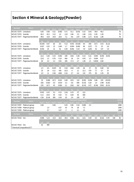|                                            |                        |                  |                             |               |            |                |                         | <b>Chemical Composition (Percent)</b>                    |                           |            |                 |                   |                  |              | <b>Unit Size</b>           |
|--------------------------------------------|------------------------|------------------|-----------------------------|---------------|------------|----------------|-------------------------|----------------------------------------------------------|---------------------------|------------|-----------------|-------------------|------------------|--------------|----------------------------|
| <b>Number</b>                              | Name                   | SiO <sub>2</sub> | $\mathsf{Al}_2\mathsf{O}_3$ | $TFe_2O_3$    | FeO        | <b>MgO</b>     | CaO                     | Na <sub>2</sub> O                                        | $K_2O$                    | $H2O+$     | CO <sub>2</sub> | LOI               |                  |              | (in g)                     |
| <b>NCS DC 73375</b>                        | Limestone              | 6.65             | 0.68                        | 0.21          | (0.06)     | 0.71           | 51.1                    | (0.03)                                                   | 0.15                      | (0.4)      | 39.8            | 40.2              |                  |              | 70                         |
| <b>NCS DC 73376</b>                        | Gramite                | 66.3             | 16.3                        | 3.12          | 1.6        | 1.63           | 2.66                    | 5.3                                                      | 2.60                      | (1.0)      | 0.35            | 1.28              |                  |              | 70                         |
| <b>NCS DC 73377</b>                        | Plagioclase Bornblende | 49.6             | 13.8                        | 14.8          | 10.8       | 7.2            | 9.6                     | 2.07                                                     | 0.48                      | (1.7)      | (0.16)          | 1.06              |                  |              | 70                         |
|                                            |                        | Ag               | As                          | B             | Ba         | <b>Be</b>      | Bi.                     | Chemical Composition( $\mu$ g/g)<br>Cd                   | Ce                        | Cl         | Co              | Cr                | Cs               |              |                            |
| <b>NCS DC 73375</b>                        | Limestone              | (0.024)          | 0.67                        | (6)           | 8.6        | 0.13           | 0.032                   | (0.018)                                                  | 4.6                       | (30)       | (0.7)           | (3.3)             | (0.12)           |              |                            |
| <b>NCS DC 73376</b>                        | Gramite                | 0.027            | 0.25                        | 15            | 1140       | 1.7            | 0.094                   | (0.06)                                                   | 48                        | (127)      | 7.5             | 23                | 2.6              |              |                            |
| <b>NCS DC 73377</b>                        | Plagioclase Bornblende | (0.05)           | 25                          | 12            | 62         | 0.34           | (0.06)                  | 0.14                                                     | 7.8                       | (120)      | 52              | 137               | 1.9              |              |                            |
|                                            |                        |                  |                             |               |            |                |                         |                                                          |                           |            |                 |                   |                  |              |                            |
|                                            |                        | <b>Cu</b>        | Dy                          | Er            | Eu         | $\mathbb{R}^+$ | Ga                      | Gd                                                       | Ge                        | Hf         | Hg              | Hc                | $\ln$            |              |                            |
| <b>NCS DC 73375</b>                        | Limestone              | (2.2)            | 0.28                        | 0.15          | 0.082      | 240            | (0.8)                   | 0.36                                                     | 0.13                      | 0.21       | 0.005           | (0.04)            | (0.03)           |              |                            |
| <b>NCS DC 73376</b>                        | Gramite                | (2.6)            | 1.5                         | 0.76          | 0.10       | 660            | 18                      | 2.4                                                      | 0.93                      | 3.3        | 0.004           | 0.27              |                  |              |                            |
| <b>NCS DC 73377</b>                        | Plagioclase Bornblende | 84               | 3.5                         | 2.3           | 0.92       | 206            | 17.3                    | 2.7                                                      | 1.46                      | 1.5        | 0.0032          | 0.84              |                  |              |                            |
|                                            |                        |                  |                             |               |            |                |                         |                                                          |                           |            |                 |                   |                  |              |                            |
|                                            | Limestone              | La               | Li.<br>4.5                  | Lu.           | Mn         | Mo             | <b>Nb</b>               | <b>Nd</b>                                                | Ni.                       | P          | Pb              | Pr.               | <b>Rb</b><br>4.0 |              |                            |
| <b>NCS DC 73375</b><br><b>NCS DC 73376</b> | Gramite                | 2.3<br>25        | 24                          | 0.023<br>0.11 | 30<br>430  | 0.18<br>(0.3)  | (0.8)<br>$\overline{4}$ | 1.95<br>21                                               | (4)<br>12.2               | 57<br>570  | (5)<br>7.7      | 0.60<br>5.7       | 57               |              |                            |
| <b>NCS DC 73377</b>                        | Plagioclase Bornblende | 2.9              | 11                          | 0.38          | 1600       | 0.16           | 2.7                     | 6.4                                                      | 119                       | 375        | (9)             | 1.25              | 30               |              |                            |
|                                            |                        |                  |                             |               |            |                |                         |                                                          |                           |            |                 |                   |                  |              |                            |
|                                            |                        | S                | Sb                          | <b>Sc</b>     | Se         | Sm             | Sn                      | Sr                                                       | Ta                        | <b>Tb</b>  | Th.             | -Ti               | $\mathbf{T}$     |              |                            |
| <b>NCS DC 73375</b>                        | Limestone              | 35               | 0.068                       | (0.7)         | 0.021      | 0.40           | (0.5)                   | 110                                                      | (0.05)                    | 0.054      | 0.86            | 233               | (0.033)          |              |                            |
| <b>NCS DC 73376</b>                        | Gramite                | (50)             | 0.063                       | 5.0           | 0.019      | 3.3            | 0.8                     | 690                                                      | (0.33)                    | 0.29       | 1.9             | 1780              | (0.20)           |              |                            |
| <b>NCS DC 73377</b>                        | Plagioclase Bornblende | (70)             | (0.7)                       | 43            | 0.083      | 2.1            | (0.8)                   | 142                                                      | (0.14)                    | 0.57       | (0.34)          | 5530              | (0.11)           |              |                            |
|                                            |                        |                  |                             |               |            |                |                         |                                                          |                           |            |                 |                   |                  |              |                            |
|                                            |                        | <b>Tm</b>        | $\cup$                      | $\vee$        | W          | Y              | Yb                      | Zn                                                       | <b>Zr</b>                 |            |                 |                   |                  |              |                            |
| <b>NCS DC 73375</b>                        | Limestone              | 0.022            | 0.23                        | 5.2           | 0.13       | (1.8)          | 0.15                    | (7)                                                      | (11)                      |            |                 |                   |                  |              |                            |
| <b>NCS DC 73376</b>                        | Gramite                | 0.11             | (0.4)                       | 45            | 0.42       | 7.4            | 0.69                    | 46                                                       | (90)                      |            |                 |                   |                  |              |                            |
| <b>NCS DC 73377</b>                        | Plagioclase Bornblende | 0.36             | (0.14)                      | 300           | 0.34       | 20             | 2.4                     | 100                                                      | 57                        |            |                 |                   |                  |              |                            |
| <b>Number</b>                              | Name                   |                  |                             |               |            |                |                         | <b>Chemical Composition</b>                              |                           |            |                 |                   |                  |              | <b>Unit Size</b>           |
|                                            |                        | $Pt(10^9)$       | $Pt(10^6)$                  | $Pd(10^{9})$  | $Pd(10^6)$ | $Os(10^9)$     | Ru(10 <sup>9</sup> )    | $Ir(10-9)$                                               | $Rh(10^{9})$ $Au(10^{9})$ |            |                 |                   |                  |              | (in g)                     |
| <b>NCS DC 73397</b>                        | Platinum group         | 0.66             |                             | 0.66          |            | 0.25           | 0.66                    | 0.16                                                     | 0.066                     | 2.3        |                 |                   |                  |              | 1000                       |
| <b>NCS DC 73398</b>                        | Platinum group         |                  | 1.9                         |               | 0.57       | 43             | 74                      | 28                                                       | 7.3                       |            |                 |                   |                  |              | 1000                       |
| <b>NCS DC 73399</b>                        | Platinum group         |                  | 5.7                         |               | 1.67       | $\overline{2}$ | $\overline{2}$          | 2.1                                                      | 1.5                       |            |                 |                   |                  |              | 1000                       |
| <b>Number</b>                              | <b>Name</b>            | Cu               | Pb                          | Zn            | Fe         | S              | Mn                      | <b>Chemical Composition(Percent)</b><br>SiO <sub>2</sub> | $Al_2O_3$                 | <b>MgO</b> | CaO             | Na <sub>2</sub> O | K <sub>2</sub> O | $Ag^{\star}$ | <b>Unit Size</b><br>(in g) |
| <b>NCS DC 73510</b>                        | Ore                    | 0.096            | 5.13                        | 13.9          | 19.6       | 29.0           | 0.066                   | 14.1                                                     | (2.5)                     | 0.59       | 6.5             | (0.03)            | 0.78             | 148          | 50                         |
|                                            |                        |                  |                             |               |            |                |                         |                                                          |                           |            |                 |                   |                  |              |                            |
|                                            |                        | $Ca*$            | Od*                         |               |            |                |                         |                                                          |                           |            |                 |                   |                  |              |                            |
| NCS DC 73510 Ore                           |                        | 62               | 400                         |               |            |                |                         |                                                          |                           |            |                 |                   |                  |              |                            |
| *Chemical Composition(10 <sup>-6</sup> )   |                        |                  |                             |               |            |                |                         |                                                          |                           |            |                 |                   |                  |              |                            |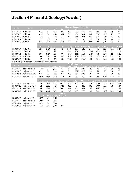|                          |                                                                      |               |              |                          |                                             |                  | Chemical Composition(mg/g)  |                             |               |                  |                      |                                    | <b>Unit Size</b> |
|--------------------------|----------------------------------------------------------------------|---------------|--------------|--------------------------|---------------------------------------------|------------------|-----------------------------|-----------------------------|---------------|------------------|----------------------|------------------------------------|------------------|
| <b>Number</b>            | Name                                                                 | Ni(%)         | Co           | S(%)                     | Ag                                          | <b>As</b>        | C <sub>d</sub>              | Cr                          | Cu            | Mn               | P.                   | Pb                                 | (in g)           |
| NCSDC73514               | Nickel Ore                                                           | 0.11          | 49           | 0.74                     | 0.56                                        | 5.3              | 0.28                        | 790                         | 330           | 960              | 728                  | 21                                 | 50               |
| NCSDC73515               | Nickel Ore                                                           | 0.33          | 104          | 1.53                     | 0.75                                        | 5.1              | 0.34                        | $0.13*$                     | 681           | $0.11*$          | 485                  | 25                                 | 50               |
| NCSDC73516               | Nickel Ore                                                           | 1.02          | 262          | 3.78                     | 1.1                                         | 5.4              | 0.44                        | $0.12*$                     | $0.16*$       | $0.11*$          | 829                  | 25                                 | 50               |
| <b>NCS DC 73517</b>      | Nickel Ore                                                           | 5.93          | $0.13*$      | 18.14                    | 9.3                                         | 25               | 2.5                         | (720)                       | $1.52*$       | 614              | 266                  | 77                                 | 50               |
| <b>NCS DC 73518</b>      | Nickel Ore                                                           | 9.01          | $0.20*$      | 27.83                    | 15.2                                        | 37               | 4                           | (457)                       | $2.47*$       | 295              | (130)                | 116                                | 50               |
|                          |                                                                      |               |              |                          |                                             |                  |                             |                             |               |                  |                      |                                    |                  |
|                          |                                                                      | Sc.           | Ti.          | $\vee$                   | Zn                                          | $SiO2(\%)$       | $Al_2O_2(%)$                | $Fe_2O_3(\%)$               | MgO(%)        | CaO(%)           | Na <sub>2</sub> O(%) | K, O(%)                            | $H_2O(%)$        |
| NCSDC73514               | Nickel Ore                                                           | 15.6          | $0.42*$      | 102                      | 79                                          | 54.89            | 12.21                       | 8.58                        | 9.67          | 4.6              | 2.16                 | 1.51                               | 3.37             |
| <b>NCS DC 73515</b>      | Nickel Ore                                                           | 15.8          | $0.32*$      | 93                       | 77                                          | 52.29            | 9.09                        | 10.71                       | 14.56         | 4.02             | 1.59                 | 1                                  | 3.78             |
| NCSDC73516               | Nickel Ore                                                           | 17.6          | $0.41*$      | 112                      | 77                                          | 46.85            | 8.65                        | 14.69                       | 14.45         | 4.7              | 1.55                 | 0.9                                | 3.21             |
| NCSDC73517               | Nickel Ore                                                           | 9.1           | $0.14*$      | 61                       | 102                                         | 27.4             | 4.06                        | 34.71                       | 9.88          | 2.55             | 0.69                 | 0.34                               | 2.4              |
| NCSDC73518               | Nickel Ore                                                           | 2.5           | 422          | (30)                     | 134                                         | 14.13            | 1.04                        | 48.37                       | 6.3           | 1.16             | 0.22                 | 0.06                               | 1.65             |
|                          | Note: Date in () is for reference only. value with* means in percent |               |              |                          |                                             |                  |                             |                             |               |                  |                      |                                    |                  |
| <b>Number</b>            | Name                                                                 |               |              |                          |                                             |                  | <b>Chemical Composition</b> |                             |               |                  |                      |                                    | <b>Unit Size</b> |
|                          |                                                                      | $Mo(\% )$     | S(%)         | $\overline{Ag(\mu g/g)}$ | $As( \mu g/g)$                              | $Bi( \mu g / g)$ |                             | $Cd(\mu g/g)$ $Co(\mu g/g)$ | $Cr(\mu g/g)$ | $Cu( \mu g / g)$ | $\sqrt{Ge(\mu g/g)}$ | $Mn(\%)$                           | (in g)           |
| NCSDC73519               | Molybdenum Ore<br>Molybdenum Ore                                     | 0.066         | 0.38<br>0.44 | (0.11)<br>0.10           | 5.2<br>4.8                                  | 6.9<br>7.4       | 0.50                        | 13.3<br>12.9                | 23<br>23      | 46<br>46         | 6.2<br>6.0           | 0.92                               | 50               |
| NCSDC73520<br>NCSDC73521 |                                                                      | 0.15<br>0.54  | 0.68         | 0.13                     | 4.7                                         | 8.2              | 0.52<br>0.52                | 13.2                        | 23            | 48               | 6.2                  | 0.91<br>0.91                       | 50<br>50         |
|                          | Molybdenum Ore                                                       | 50.08         | 33.72        |                          |                                             | 86               | 0.20                        | 10.2                        | 30            | 266              |                      | 0.15                               | 50               |
| NCSDC73522               | Molybdenum Ore                                                       |               |              | (2.1)                    | (2.2)                                       |                  |                             |                             |               |                  | (0.67)               |                                    |                  |
|                          |                                                                      | $Ni(\mu g/g)$ | $P(\mu g/g)$ | $Pb(\mu g/g)$            | $Re(\mu g/g)$ Sb $(\mu g/g)$ Sn $(\mu g/g)$ |                  |                             | $W(\mu g/g)$                | $Zn(\mu g/g)$ | $SiO2(\%)$       | $Al_2O_3(%)$         | Fe <sub>2</sub> O <sub>3</sub> (%) | MgO(%)           |
| NCSDC73519               | Molybdenum Ore                                                       | 54            | 1160         | 9.1                      | (0.07)                                      | 0.58             | 4.7                         | 489                         | 357           | 57.23            | 5.20                 | 10.05                              | 4.29             |
| <b>NCS DC 73520</b>      | Molybdenum Ore                                                       | 52            | 1231         | 10.5                     | 0.12                                        | 0.60             | 4.5                         | 518                         | 365           | 57.47            | 5.20                 | 9.89                               | 4.37             |
| NCSDC73521               | Molybdenum Ore                                                       | 52            | 1210         | 13.7                     | 0.31                                        | 0.73             | 4.7                         | 557                         | 360           | 56.87            | 5.12                 | 9.88                               | 4.35             |
| <b>NCS DC 73522</b>      | Molybdenum Ore                                                       | (20)          | (130)        | 316                      | 23                                          | 13.2             | (11.9)                      | 732                         | 68            | 7.58             | (1.16)               | 1.23                               | 1.96             |
|                          |                                                                      |               |              |                          | Total oil and                               |                  |                             |                             |               |                  |                      |                                    |                  |
|                          |                                                                      | CaO(%)        | $Na_2O(%)$   | $K_2O(%)$                | water $(\% )$                               |                  |                             |                             |               |                  |                      |                                    |                  |
| NCSDC73519               | Molybdenum Ore                                                       | 18.37         | 0.90         | 0.66                     |                                             |                  |                             |                             |               |                  |                      |                                    |                  |
| NCSDC73520               | Molybdenum Ore                                                       | 18.13         | 0.91         | 0.66                     |                                             |                  |                             |                             |               |                  |                      |                                    |                  |
| NCS DC 73521             | Molybdenum Ore                                                       | 18.09         | 0.90         | 0.66                     |                                             |                  |                             |                             |               |                  |                      |                                    |                  |
| NCS DC 73522             | Molybdenum Ore                                                       | 1.95          | (0.21)       | (0.06)                   | 0.85                                        |                  |                             |                             |               |                  |                      |                                    |                  |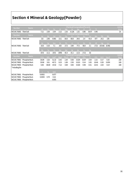| <b>Number</b>           | <b>Name</b>       |               |                  |                |            |                                 |           | <b>Chemical Composition (Percent)</b> |                  |           |                 |                  |                   | Unit Size        |
|-------------------------|-------------------|---------------|------------------|----------------|------------|---------------------------------|-----------|---------------------------------------|------------------|-----------|-----------------|------------------|-------------------|------------------|
|                         |                   | $\mathsf{Al}$ | Ca               | Fe i           | K          | Mg                              | N         | <b>Na</b>                             | D.               | Si        | -Ti             |                  |                   | (in g)           |
| <b>NCS DC 78302</b>     | <b>Tibet Soil</b> | 7.11          | 2.59             | 3.34           | 2.12       | 1.53                            | 0.128     | 1.52                                  | 0.86             | 30.57     | 0.40            |                  |                   | 15               |
| <b>Number</b>           | Name              |               |                  |                |            |                                 |           | Chemical Composition(µg/g)            |                  |           |                 |                  |                   |                  |
|                         |                   | As            | <b>Be</b>        | Cd             | Co         | Ce                              | Cr        | Cu                                    | Eu.              | La        | Mn              | P <sub>b</sub>   | <b>Rb</b>         |                  |
| <b>NCS DC 78302</b>     | <b>Tibet Soil</b> | 3.8           | 2.96             | 0.081          | 13.1       | 83.6                            | 60.8      | 24.6                                  | 1.4              | 41.9      | 677             | 14.2             | 135               |                  |
|                         |                   |               |                  |                |            |                                 |           |                                       |                  |           |                 |                  |                   |                  |
|                         |                   | Sc            | Se               | Sm             | <b>Sr</b>  | Th.                             | $\cup$    | $\vee$                                | Zn               | Yb        | Hf              | Hg               | Lu.               |                  |
| <b>NCS DC 78302</b>     | <b>Tibet Soil</b> | 10.8          | 0.16             | 7.1            | 163        | 17.5                            | 3.84      | 77.5                                  | 58.0             | 3.1       | (7.3)           | (0.018)          | (0.48)            |                  |
|                         |                   |               |                  |                |            |                                 |           |                                       |                  |           |                 |                  |                   |                  |
|                         |                   | <b>Sb</b>     | Ta               | T <sub>b</sub> | Ba         | <b>Nd</b>                       | Ni.       | <b>Br</b>                             | Cs               | <b>Dy</b> |                 |                  |                   |                  |
| NCS DC 78302 Tibet Soil |                   | (0.4)         | (1.1)            | (0.9)          | (509)      | 42.3                            | 31.1      | (1.3)                                 | (7.3)            | (5)       |                 |                  |                   |                  |
|                         |                   |               |                  |                |            |                                 |           | <b>Chemical Composition (Percent)</b> |                  |           |                 |                  |                   | <b>Unit Size</b> |
| <b>Number</b>           | Name              |               | SiO <sub>2</sub> | $CaO*$         | <b>MgO</b> | TFe <sub>2</sub> O <sub>3</sub> | $Al_2O_3$ | <b>MnO</b>                            | TiO <sub>2</sub> | F.        | CO <sub>2</sub> | K <sub>2</sub> O | Na <sub>2</sub> O |                  |
|                         |                   | $P_2O_5$      |                  |                |            |                                 |           |                                       |                  |           |                 |                  |                   | (in g)           |
| <b>NCS DC 79001</b>     | Phosphat Rock     | 36.89         | 3.26             | 51.32          | 0.43       | 1.04                            | 0.58      | 0.024                                 | 0.037            | 3.54      | 2.15            | 0.17             | 0.33              | 100              |
| <b>NCS DC 79002</b>     | Phosphat Rock     | 20.86         | 3.61             | 40.71          | 8.19       | 1.08                            | 2.58      | 0.015                                 | 0.14             | 2.05      | 18.46           | 0.28             | 0.059             | 100              |
| <b>NCS DC 79003</b>     | Phosphat Rock     | 6.06          | 38.80            | 19.42          | 7.12       | 3.08                            | 4.06      | 0.026                                 | 0.48             | 0.51      | 16.41           | 2.63             | 0.14              | 100              |
| * Including Sro         |                   |               |                  |                |            |                                 |           |                                       |                  |           |                 |                  |                   |                  |
|                         |                   |               |                  |                |            |                                 |           |                                       |                  |           |                 |                  |                   |                  |
|                         |                   |               | Ts               | SrO            |            |                                 |           |                                       |                  |           |                 |                  |                   |                  |
| NCSDC 79001             | Phosphat Rock     | 0.0052        |                  | 0.077          |            |                                 |           |                                       |                  |           |                 |                  |                   |                  |
| <b>NCS DC 79002</b>     | Phosphat Rock     | 0.0059        | 0.79             | 0.16           |            |                                 |           |                                       |                  |           |                 |                  |                   |                  |
|                         |                   |               |                  |                |            |                                 |           |                                       |                  |           |                 |                  |                   |                  |
| NCSDC 79003             | Phosphat Rock     |               |                  | 0.055          |            |                                 |           |                                       |                  |           |                 |                  |                   |                  |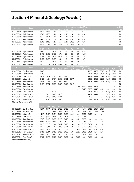|                                          |                             |                  |                                |                                 |                   |                  | <b>Chemical Composition (Percent)</b> |                   |                 |                  |           |                   |        |       | <b>Unit Size</b> |
|------------------------------------------|-----------------------------|------------------|--------------------------------|---------------------------------|-------------------|------------------|---------------------------------------|-------------------|-----------------|------------------|-----------|-------------------|--------|-------|------------------|
| <b>Number</b>                            | Name                        | SiO <sub>2</sub> | $AL_2O_2$                      | TFe <sub>2</sub> O <sub>2</sub> | <b>MgO</b>        | CaO              | Na <sub>2</sub> O                     | K <sub>2</sub> O  | TIO,            |                  |           |                   |        |       | (in g)           |
| <b>NCS DC 85107</b>                      | Agriculture soil            | 65.37            | 15.06                          | 4.98                            | 1.62              | 1.68             | 2.48                                  | 2.72              | 0.74            |                  |           |                   |        |       | 70               |
| <b>NCS DC 85108</b>                      | Agriculture soil            | 63.06            | 12.76                          | 4.49                            | 2.01              | 4.57             | 1.69                                  | 2.43              | 0.68            |                  |           |                   |        |       | 70               |
| <b>NCS DC 85109</b>                      | Agriculture soil            | 53.72            | 14.74                          | 5.72                            | 2.09              | 7.93             | 0.99                                  | 2.72              | 0.65            |                  |           |                   |        |       | 70               |
| <b>NCS DC 85110</b>                      | Agriculture soil            | 61.03            | 16.21                          | 6.20                            | 1.90              | 0.84             | 0.99                                  | 2.45              | 0.92            |                  |           |                   |        |       | 70               |
| <b>NCS DC 85111</b>                      | Agriculture soil            | 69.68            | 14.58                          | 5.21                            | 0.54              | (0.22)           | (0.090)                               | 1.08              | 0.96            |                  |           |                   |        |       | 70               |
| <b>NCS DC 85112</b>                      | Agriculture soil            | 83.34            | 8.89                           | 1.35                            | (0.20)            | (0.16)           | (0.038)                               | 0.65              | 0.22            |                  |           |                   |        |       | 70               |
|                                          |                             |                  |                                |                                 |                   |                  |                                       |                   |                 |                  |           |                   |        |       |                  |
|                                          |                             | <b>MNO</b>       | $P_2O_5$                       | S                               | L.O.L             | $Cu*$            | $Zn^*$                                | $B^*$             | $Mo*$           |                  |           |                   |        |       |                  |
| <b>NCS DC 85107</b>                      | Agriculture soil            | 0.094            | 0.120                          | (0.013)                         | 4.83              | 24               | 67                                    | 34                | 0.80            |                  |           |                   |        |       |                  |
| <b>NCS DC 85108</b>                      | Agriculture soil            | 0.077            | 0.162                          | (0.017)                         | 7.71              | 25               | 68                                    | 54                | (0.82)          |                  |           |                   |        |       |                  |
| <b>NCS DC 85109</b>                      | Agriculture soil            | 0.106            | 0.197                          | (0.019)                         | 11.17             | 29               | 96                                    | 75                | 1.53            |                  |           |                   |        |       |                  |
| <b>NCS DC 85110</b>                      | Agriculture soil            | 0.050            | 0.098                          | (0.033)                         | 9.01              | 42               | 93                                    | 65                | 0.73            |                  |           |                   |        |       |                  |
| <b>NCS DC 85111</b>                      | Agriculture soil            | 0.029            | 0.122                          | (0.014)                         | 7.52              | 32               | 81                                    | 71                | 1.47            |                  |           |                   |        |       |                  |
| <b>NCS DC 85112</b>                      | Agriculture soil            | 0.015            | 0.124                          | (0.014)                         | 4.86              | 2.8              | 22                                    | (20)              | 1.15            |                  |           |                   |        |       |                  |
| <b>Number</b>                            | Name                        |                  |                                |                                 |                   |                  | <b>Chemical Composition (Percent)</b> |                   |                 |                  |           |                   |        |       | <b>Unit Size</b> |
|                                          |                             | <b>BeO</b>       | LI <sub>2</sub> O              | Rb <sub>2</sub> O               | Cs <sub>2</sub> O | $TA_2O_5$        | Nb <sub>2</sub> O <sub>2</sub>        | $ZrO-$            | HfO <sub></sub> | SIO <sub>2</sub> | $Al_2O_2$ | TFeO <sub>2</sub> | FeO    | CaO   | (in g)           |
| <b>NCS DC 86301</b>                      | Beryllium Ore               | 0.060            |                                |                                 |                   |                  |                                       |                   |                 | 73.80            | 14.85     | 0.515             | (0.17) | 0.577 | 70               |
| <b>NCS DC 86302</b>                      | Beryllium Ore               | 0.359            |                                |                                 |                   |                  |                                       |                   |                 | 73.77            | 14.83     | 0.591             | (0.18) | 0.578 | 70               |
| <b>NCS DC 86303</b>                      | Lithium Ore                 | 0.017            | 0.459                          | 0.145                           | 0.036             | 48.4*            | $26.5*$                               |                   |                 | 74.21            | 14.79     | 0.391             | (0.06) | 0.335 | 70               |
| <b>NCS DC 86304</b>                      | Lithium Ore                 | 0.026            | 2.28                           | 0.734                           | 0.178             | 0.011            | $60.7*$                               |                   |                 | 64.70            | 19.23     | 0.299             | (0.02) | 0.076 | 70               |
| <b>NCS DC 86305</b>                      | <b>Tantalium Ore</b>        | 0.033            | 0.791                          | 0.245                           | 0.064             | 87.3*            | 42.1                                  |                   |                 | 75.03            | 14.32     | 0.322             | (0.02) | 0.107 | 70               |
| <b>NCS DC 86306</b>                      | <b>Tantalium Ore</b>        | 0.033            | 0.777                          | 0.239                           | 0.065             | 0.069            | 0.043                                 |                   |                 |                  |           |                   |        |       | 70               |
| <b>NCS DC 86307</b>                      | Zirconium Ore               |                  |                                |                                 |                   |                  |                                       | 0.187             | 42.9*           | 65.36            | 14.75     | 4.78              | 1.83   | 2.69  | 70               |
| <b>NCS DC 86308</b>                      | Zirconium Ore               |                  |                                |                                 |                   |                  |                                       | 1.27              | 0.026           | 65.56            | 14.76     | 4.67              | 1.83   | 2.64  | 70               |
| <b>NCS DC 86309</b>                      | Rare-Earth Ore              |                  |                                | $5.71*$                         |                   |                  |                                       |                   |                 | 67.31            | 19.08     | 3.49              | (0.07) | 0.03  | 70               |
| <b>NCS DC 86310</b>                      | Rare-Earth Ore              |                  | 0.015                          | 0.069                           | $17.9*$           |                  |                                       |                   |                 | 74.61            | 14.72     | 1.16              | 0.053  | 0.03  | 70               |
|                                          | NCS DC 86311 Rare-Earth Ore |                  | 0.015                          | 0.068                           | $17.9*$           |                  |                                       |                   |                 | 74.28            | 14.6      | 1.13              | (0.04) | 0.03  | 70               |
|                                          | NCS DC 86312 Rare-Earth Ore |                  | $40.0*$                        | 0.011                           | 5.66*             |                  |                                       |                   |                 | 66.77            | 19.02     | 3.45              | (0.07) | 0.029 | 70               |
| *Chemical Composition(10 <sup>-6</sup> ) |                             |                  |                                |                                 |                   |                  |                                       |                   |                 |                  |           |                   |        |       |                  |
|                                          |                             | $RE_2O_3$        | La <sub>2</sub> O <sub>3</sub> | <b>MgO</b>                      | <b>MnO</b>        | TiO <sub>2</sub> | $K_2O$                                | Na <sub>2</sub> O | $P_2O_5$        | F.               | $H2O*$    | L.O.              |        |       |                  |
| <b>NCS DC 86301</b>                      | Beryllium Ore               | $75.8*$          | $6.97*$                        | 0.070                           | 0.029             | 0.015            | 4.08                                  | 4.79              | (0.01)          | 0.019            | 0.607     | 0.687             |        |       |                  |
| <b>NCS DC 86302</b>                      | Beryllium Ore               |                  | 7.74                           | 0.069                           | 0.035             | 0.015            | 3.87                                  | 4.66              | 0.013           | 0.040            | 0.596     | 0.732             |        |       |                  |
| <b>NCS DC 86303</b>                      | Lithium Ore                 | $47.1*$          | $5.03*$                        | 0.054                           | 0.069             | 0.018            | 3.16                                  | 4.19              | 0.169           | 0.676            | 1.06      | 1.49              |        |       |                  |
| <b>NCS DC 86304</b>                      | Lithium Ore                 | $15.2*$          | $(2.1)^*$                      | 0.036                           | 0.252             | 0.028            | 4.79                                  | 2.34              | 0.236           | 3.16             | 2.34      | 4.11              |        |       |                  |
| <b>NCS DC 86305</b>                      | <b>Tantalium Ore</b>        | $18.3*$          | $3.09*$                        | 0.050                           | 0.113             | 0.028            | 2.05                                  | 3.62              | 0.350           | 1.34             | 1.50      | 2.20              |        |       |                  |
| <b>NCS DC 86306</b>                      | <b>Tantalium Ore</b>        | 44.9*            | $6.84*$                        | 0.048                           | 0.143             | 0.032            | 2.02                                  | 3.69              | 0.344           | 1.34             | 1.53      | 2.20              |        |       |                  |
| <b>NCS DC 86307</b>                      | Zirconium Ore               | 0.018            | $36.3*$                        | 2.08                            | 0.082             | 0.420            | 3.35                                  | 3.80              | 0.166           | 0.081            | 1.34      | 1.57              |        |       |                  |
| <b>NCS DC 86308</b>                      | Zirconium Ore               | 0.022            | $38.0*$                        | 2.01                            | 0.083             | 0.411            | 3.33                                  | 3.72              | 0.169           | 0.083            | 1.3       | 1.51              |        |       |                  |
| <b>NCS DC 86309</b>                      | Rare-Earth Ore              | 0.093            | 0.031                          | 0.227                           | 0.070             | 0.539            | 2.12                                  | 0.063             | 0.029           | 0.016            | 6.55      | 6.69              |        |       |                  |
| <b>NCS DC 86310</b>                      | Rare-Earth Ore              | 0.086            | $19.9*$                        | 0.080                           | 0.016             | 0.022            | 4.94                                  | 0.157             | (0.003)         | 0.034            | 3.61      | 3.70              |        |       |                  |
|                                          | NCS DC 86311 Rare-Earth Ore | 0.493            | 0.010                          | 0.080                           | 0.016             | (0.02)           | 4.87                                  | 0.155             | (0.002)         | 0.034            | 3.66      | 3.78              |        |       |                  |
|                                          | NCS DC 86312 Rare-Earth Ore | 0.787            | 0.276                          | 0.226                           | 0.068             | 0.532            | 2.09                                  | 0.062             | 0.03            | 0.014            | 6.64      | 6.82              |        |       |                  |
| *Cherical Composition(10 <sup>-6</sup> ) |                             |                  |                                |                                 |                   |                  |                                       |                   |                 |                  |           |                   |        |       |                  |
|                                          |                             |                  |                                |                                 |                   |                  |                                       |                   |                 |                  |           |                   |        |       |                  |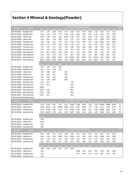| <b>Number</b>       | Name                          |                                                                                |                                 |                                    |                                         |                                |                                                  |                                | Chemical Composition(µg/g)                                |                  |                                                                                                                |                                |            |                                | <b>Unit Size</b>           |
|---------------------|-------------------------------|--------------------------------------------------------------------------------|---------------------------------|------------------------------------|-----------------------------------------|--------------------------------|--------------------------------------------------|--------------------------------|-----------------------------------------------------------|------------------|----------------------------------------------------------------------------------------------------------------|--------------------------------|------------|--------------------------------|----------------------------|
|                     |                               | CeO <sub>2</sub>                                                               | Pr <sub>6</sub> O <sub>11</sub> | Nd <sub>2</sub> O <sub>3</sub>     | $\overline{Sm}_2O_3$                    | Eu <sub>2</sub> O <sub>3</sub> | $Gd_2O_3$                                        | Tb <sub>4</sub> O <sub>7</sub> | $Dy_2O_3$                                                 | $HO_2O_3$        | Er <sub>2</sub> O <sub>3</sub>                                                                                 | Tm <sub>2</sub> O <sub>3</sub> | $Yb_2O_3$  | La <sub>2</sub> O <sub>3</sub> | $\overline{(\text{in }g)}$ |
| <b>NCS DC 86301</b> | Beryllium Ore                 | 14.7                                                                           | 1.70                            | 6.68                               | 2.53                                    | 0.14                           | 3.64                                             | 0.75                           | 4.53                                                      | 0.85             | 2.16                                                                                                           | 0.33                           | 2.27       | 0.32                           |                            |
| <b>NCS DC 86302</b> | Beryllium Ore                 | 15.2                                                                           | 1.91                            | 7.52                               | 2.73                                    | 0.14                           | 3.84                                             | 0.80                           | 4.63                                                      | 0.91             | 2.20                                                                                                           | 0.36                           | 2.37       | 0.38                           |                            |
| <b>NCS DC 86303</b> | Lithium Ore                   | 8.98                                                                           | 1.30                            | 4.96                               | 1.60                                    | (0.14)                         | 2.09                                             | 0.42                           | 2.47                                                      | 0.43             | 1.16                                                                                                           | 0.18                           | 1.28       | 0.18                           |                            |
| <b>NCS DC 86304</b> | Lithium Ore                   | 2.56                                                                           | 0.61                            | 2.56                               | 0.63                                    | 0.13                           | 0.72                                             | 0.13                           | 0.63                                                      | (0.12)           | 0.27                                                                                                           | 0.039                          | 0.23       | 0.030                          |                            |
| <b>NCS DC 86305</b> | <b>Tantalium Ore</b>          | 3.63                                                                           | 0.82                            | 3.27                               | 0.75                                    | 0.16                           | 0.83                                             | 0.14                           | 0.65                                                      | 0.12             | 0.28                                                                                                           | 0.041                          | 0.23       | 0.031                          |                            |
| <b>NCS DC 86306</b> | <b>Tantalium Ore</b>          | 16.9                                                                           | 2.17                            | 6.54                               | 1.44                                    | 0.18                           | 1.22                                             | 0.21                           | 1.11                                                      | 0.22             | 0.57                                                                                                           | 0.11                           | 0.94       | 0.15                           |                            |
| <b>NCS DC 86307</b> | Zirconium Ore                 | 71.9                                                                           | 7.87                            | 27.2                               | 4.70                                    | 1.22                           | 3.40                                             | 0.53                           | 2.89                                                      | 0.58             | 1.78                                                                                                           | 0.30                           | 2.16       | 0.37                           |                            |
| <b>NCS DC 86308</b> | Zirconium Ore                 | 75.9                                                                           | 7.91                            | 27.0                               | 4.93                                    | 1.22                           | (4.1)                                            | 0.76                           | 4.71                                                      | 1.36             | 4.82                                                                                                           | 0.94                           | 7.74       | 1.54                           |                            |
| <b>NCS DC 86309</b> | Rare-Earth Ore                | 91.2                                                                           | 50.1                            | $0.017*$                           | 33.8                                    | 8.10                           | 32.1                                             | 5.34                           | 28.4                                                      | 5.69             | (16)                                                                                                           | 2.40                           | 14.1       | 2.06                           |                            |
| <b>NCS DC 86310</b> | Rare-Earth Ore                | 21.9                                                                           | 6.32                            | 27.9                               | 15.3                                    | 0.37                           | 32.9                                             | 8.03                           | 56.9                                                      | 12.1             | 36.6                                                                                                           | 5.60                           | 36.0       | 5.67                           |                            |
| <b>NCS DC 86311</b> | Rare-Earth Ore                | 34.1                                                                           | (45)                            | $0.022*$                           | $0.015*$                                | 1.83                           | $(0.03)^*$                                       | 56.2                           | $0.037*$                                                  | 76.3             | $0.022*$                                                                                                       | 32.6                           | $0.021*$   | 30.8                           |                            |
| <b>NCS DC 86312</b> | Rare-Earth Ore                | $0.023*$                                                                       | $0.054*$                        | $0.186*$                           | $0.033*$                                | 76.6                           | $0.026*$                                         | 40.5                           | $0.021*$                                                  | 42.3             | $0.011*$                                                                                                       | 15.1                           | 97.0       | 13.7                           |                            |
|                     |                               | $Y_2O_3$                                                                       | $Sc_2O_3$                       | W                                  | Mo                                      | Sn                             | <b>Th</b>                                        |                                |                                                           |                  |                                                                                                                |                                |            |                                |                            |
| <b>NCS DC 86301</b> | Beryllium Ore                 | 29.2                                                                           | 1.66                            | 1.30                               | 0.41                                    |                                |                                                  |                                |                                                           |                  |                                                                                                                |                                |            |                                |                            |
| <b>NCS DC 86302</b> | Beryllium Ore                 | 28.5                                                                           | 3.4                             | 5.46                               | 1.25                                    |                                |                                                  |                                |                                                           |                  |                                                                                                                |                                |            |                                |                            |
| <b>NCS DC 86303</b> | Lithium Ore                   | 17.0                                                                           | 0.98                            | 8.87                               |                                         | (32)                           |                                                  |                                |                                                           |                  |                                                                                                                |                                |            |                                |                            |
| <b>NCS DC 86304</b> | Lithium Ore                   | 3.51                                                                           | 0.44                            | 43.7                               |                                         | 95.4                           |                                                  |                                |                                                           |                  |                                                                                                                |                                |            |                                |                            |
| <b>NCS DC 86305</b> | <b>Tantalium Ore</b>          | 3.76                                                                           | 0.63                            | 16.4                               |                                         | (52)                           |                                                  |                                |                                                           |                  |                                                                                                                |                                |            |                                |                            |
| <b>NCS DC 86306</b> | <b>Tantalium Ore</b>          | 5.22                                                                           | 6.09                            | $0.02*$                            |                                         | (64)                           |                                                  |                                |                                                           |                  |                                                                                                                |                                |            |                                |                            |
| <b>NCS DC 86307</b> | Zirconium Ore                 | 19.5                                                                           | 14.1                            |                                    |                                         |                                | 7.95                                             |                                |                                                           |                  |                                                                                                                |                                |            |                                |                            |
| <b>NCS DC 86308</b> | Zirconium Ore                 | 42.7                                                                           | 14.5                            |                                    |                                         |                                | 15.0                                             |                                |                                                           |                  |                                                                                                                |                                |            |                                |                            |
| <b>NCS DC 86309</b> | Rare-Earth Ore                | $(0.02)^*$                                                                     |                                 |                                    |                                         |                                | 24.4                                             |                                |                                                           |                  |                                                                                                                |                                |            |                                |                            |
| <b>NCS DC 86310</b> | Rare-Earth Ore                | $0.057*$                                                                       | 9.26                            |                                    |                                         |                                | 40.0                                             |                                |                                                           |                  |                                                                                                                |                                |            |                                |                            |
| <b>NCS DC 86311</b> | Rare-Earth Ore                | $0.312*$                                                                       | 8.96                            |                                    |                                         |                                | 38.8                                             |                                |                                                           |                  |                                                                                                                |                                |            |                                |                            |
| <b>NCS DC 86312</b> | Rare-Earth Ore                | $0.125*$                                                                       | 11.6                            |                                    |                                         |                                | 23.8                                             |                                |                                                           |                  |                                                                                                                |                                |            |                                |                            |
|                     | *Chemical Composition Percent |                                                                                |                                 |                                    |                                         |                                |                                                  |                                |                                                           |                  |                                                                                                                |                                |            |                                |                            |
| <b>Number</b>       | <b>Name</b>                   | SiO <sub>2</sub>                                                               |                                 | $Al_2O_3$ Fe <sub>2</sub> $O_3(T)$ | <b>FeO</b>                              | CaO                            |                                                  | <b>MnO</b>                     | <b>Chemical Composition (Percent)</b><br>TiO <sub>2</sub> | K <sub>2</sub> O |                                                                                                                | $P_2O_5$                       | $F -$      | $H2O+$                         | <b>Unit Size</b>           |
| NCS DC 86313        | Beryllium Ore                 | 71.97                                                                          | 15.55                           | 0.47                               | 0.15                                    | 0.52                           | <b>MgO</b><br>0.083                              | 0.020                          | 0.010                                                     | 3.28             | Na <sub>2</sub> O<br>3.63                                                                                      | (0.018)                        | 0.0088     | (0.63)                         | (in g)<br>70               |
| NCS DC 86314        | Lithium Ore                   | 53.92                                                                          | 24.53                           | 0.30                               | (0.043)                                 | 0.063                          | 0.027                                            | 0.40                           | 0.029                                                     | 7.75             | 1.08                                                                                                           | 0.13                           | 5.08       | (2.77)                         | 70                         |
| <b>NCS DC 86315</b> | <b>Tantalum Ore</b>           | 72.34                                                                          | 14.58                           | 0.68                               | 0.26                                    | 0.71                           | 0.093                                            | 0.45                           | 0.039                                                     | 4.11             | 4.40                                                                                                           | (0.040)                        | 0.019      | 0.56                           | 70                         |
| NCS DC 86316        | Zirconium Ore                 | 70.73                                                                          | (14.57)                         | 0.38                               | 0.10                                    | 0.63                           | 0.079                                            | 0.021                          | 0.64                                                      | 3.90             | 4.20                                                                                                           | 0.040                          | 0.027      | 0.49                           | 70                         |
|                     |                               |                                                                                |                                 |                                    |                                         |                                |                                                  |                                |                                                           |                  |                                                                                                                |                                |            |                                |                            |
|                     |                               | L.O.                                                                           |                                 |                                    |                                         |                                |                                                  |                                |                                                           |                  |                                                                                                                |                                |            |                                |                            |
| <b>NCS DC 86313</b> | Beryllium Ore                 | 0.86                                                                           |                                 |                                    |                                         |                                |                                                  |                                |                                                           |                  |                                                                                                                |                                |            |                                |                            |
| <b>NCS DC 86314</b> | Lithium Ore                   | (5.34)                                                                         |                                 |                                    |                                         |                                |                                                  |                                |                                                           |                  |                                                                                                                |                                |            |                                |                            |
| <b>NCS DC 86315</b> | <b>Tantalum Ore</b>           | 0.61                                                                           |                                 |                                    |                                         |                                |                                                  |                                |                                                           |                  |                                                                                                                |                                |            |                                |                            |
|                     | NCS DC 86316    Zirconium Ore | 0.56                                                                           |                                 |                                    |                                         |                                |                                                  |                                |                                                           |                  |                                                                                                                |                                |            |                                |                            |
| <b>Number</b>       | Name                          |                                                                                |                                 |                                    |                                         |                                |                                                  |                                | Chemical Composition( $\mu$ g/g)                          |                  |                                                                                                                |                                |            |                                | <b>Unit Size</b>           |
| <b>NCS DC 86313</b> | Beryllium Ore                 | $\Sigma$ RE <sub>x</sub> O <sub>y</sub> La <sub>2</sub> O <sub>3</sub><br>63.6 | 6.08                            | CeO <sub>2</sub><br>13.1           | Pr <sub>6</sub> O <sub>11</sub><br>1.58 | 5.96                           | $Nd_2O_3$ Sm <sub>2</sub> O <sub>3</sub><br>1.99 | $Eu_2O_3$<br>0.11              | 2.83                                                      | 0.57             | $Gd_2O_3$ Tb <sub>4</sub> O <sub>7</sub> Dy <sub>2</sub> O <sub>3</sub> Ho <sub>2</sub> O <sub>3</sub><br>3.62 | 0.67                           | 1.95       | $Er_2O_3$ $Tm_2O_3$<br>0.29    | (in g)                     |
| <b>NCS DC 86314</b> | Lithium Ore                   | 0.56                                                                           | 0.10                            | 0.50                               | 0.094                                   | 0.24                           | 0.038                                            | 0.10                           | 0.56                                                      | 0.10             | 0.50                                                                                                           | 0.094                          | 0.24       | 0.038                          |                            |
| <b>NCS DC 86315</b> | Tantalum Ore                  | 81.0                                                                           | 7.65                            | 16.5                               | 1.91                                    | 7.84                           | 2.48                                             | 0.13                           | 3.47                                                      | 0.72             | 4.72                                                                                                           | 0.88                           | 2.65       | 0.38                           |                            |
|                     |                               |                                                                                |                                 |                                    |                                         |                                |                                                  |                                |                                                           |                  |                                                                                                                |                                |            |                                |                            |
|                     | NCS DC 86316    Zirconium Ore | 515                                                                            | 69.2                            | 146                                | 15.7                                    | 53.4                           | 10.1                                             | 0.55                           | 9.92                                                      | 2.02             | 14.9                                                                                                           | 3.66                           | 16.4       | 2.84                           |                            |
|                     |                               | $Yb_2O_3$                                                                      | Lu <sub>2</sub> O <sub>3</sub>  | $Y_2O_3$                           | $Sc_2O_3$                               | Mo                             | <b>BeO</b>                                       | $Lu_2O_3$                      | $Y_2O_3$                                                  | $Sc_2O_3$        | W                                                                                                              | Rb <sub>2</sub> O              | <b>BeO</b> | Li <sub>2</sub> O              |                            |
| <b>NCS DC 86313</b> | Beryllium Ore                 | 1.88                                                                           | 0.25                            | 23.0                               | 1.91                                    | 3.37                           | $3.02*$                                          |                                |                                                           |                  |                                                                                                                |                                |            |                                |                            |
| <b>NCS DC 86314</b> | Lithium Ore                   | 0.22                                                                           |                                 |                                    |                                         |                                |                                                  | 0.036                          | 3.06                                                      | 0.31             | 79.0                                                                                                           | $1.24*$                        | 164        | $3.89*$                        |                            |
| <b>NCS DC 86315</b> | Tantalum Ore                  | 2.37                                                                           |                                 |                                    |                                         |                                |                                                  | 0.37                           | 29.9                                                      | 21.4             | 2.14                                                                                                           | 244                            | 12.5       | 106                            |                            |
|                     | NCS DC 86316    Zirconium Ore | 25.9                                                                           |                                 |                                    |                                         |                                |                                                  |                                |                                                           |                  |                                                                                                                |                                |            |                                |                            |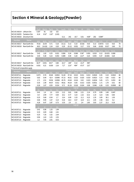|                            |                     | Cs <sub>2</sub> O              | $Nb_2O_5$                               | Ta <sub>2</sub> O <sub>5</sub>     | <b>Sn</b>        |                                          | $Lu_2O_2$ $Y_2O_2$             | $SC_2O_2$                      | W                              | ZrO <sub>2</sub>  | Th.                            | HfO-              |                                |                               |                  |
|----------------------------|---------------------|--------------------------------|-----------------------------------------|------------------------------------|------------------|------------------------------------------|--------------------------------|--------------------------------|--------------------------------|-------------------|--------------------------------|-------------------|--------------------------------|-------------------------------|------------------|
| <b>NCS DC 86314</b>        | Lithium Ore         | $0.30*$                        | 81                                      | 132                                | 152              |                                          |                                |                                |                                |                   |                                |                   |                                |                               |                  |
| <b>NCS DC 86355</b>        | <b>Tantalum Ore</b> | 8.14                           | $0.52*$                                 | $1.02*$                            | (2.65)           |                                          |                                |                                |                                |                   |                                |                   |                                |                               |                  |
| <b>NCS DC 86316</b>        | Zirconium Ore       |                                |                                         |                                    |                  | 6.11                                     | 142                            | 10.7                           | 5.01                           | $4.68*$           | 202                            | $0.084*$          |                                |                               |                  |
| <b>Number</b>              | Name                |                                |                                         |                                    |                  |                                          | Chemical Composition(%)        |                                |                                |                   |                                |                   |                                |                               | <b>Unit Size</b> |
|                            |                     | SiO <sub>2</sub>               | $Al_2O_3$                               | Fe <sub>2</sub> O <sub>3</sub> (T) | <b>FeO</b>       | CaO                                      | MgO                            | MnO                            | TiO-                           | K <sub>2</sub> O  | Na <sub>2</sub> O              | $P_2O_5$          | F.                             | H <sub>2</sub> O <sup>2</sup> | (in g)           |
| <b>NCS DC 86317</b>        | Rare Earth Ore      | 70.92                          | 16.59                                   | 0.71                               | 0.18             | (0.11)                                   | 0.13                           | 0.10                           | (0.018)                        | 4.03              | 0.13                           | (0.0073)          | 0.15                           | 4.63                          | 70               |
| <b>NCS DC 86318</b>        | Rare Earth Ore      | 66.9                           | (14.26)                                 | 2.24                               | 0.20             | 0.29                                     | (0.11)                         | 0.052                          | 0.17                           | 5.52              | 0.66                           | (0.020)           | 0.017                          | 3.60                          | 70               |
|                            |                     | L.O.                           | $\Sigma$ RE <sub>2</sub> O <sub>3</sub> | La <sub>2</sub> O <sub>3</sub>     | CeO <sub>2</sub> |                                          | Nd <sub>2</sub> O <sub>3</sub> | Sm <sub>2</sub> O <sub>3</sub> | Eu <sub>2</sub> O <sub>3</sub> | $Gd_2O_3$         | Tb <sub>4</sub> O <sub>7</sub> |                   | Ho <sub>2</sub> O <sub>3</sub> | $Er_2O_3$                     |                  |
| <b>NCS DC 86317</b>        | Rare Earth Ore      | 5.42                           | 1.83                                    | 0.25                               | 0.021            | Pr <sub>6</sub> O <sub>11</sub><br>0.066 | 0.24                           | 0.066                          | $9.56*$                        | 0.091             | 0.019                          | $Dy_2O_3$<br>0.12 | (0.023)                        | 0.068                         |                  |
| <b>NCS DC 86318</b>        | Rare Earth Ore      | 5.43                           | 4.30                                    | 0.23                               | 0.053            | 0.089                                    | 0.40                           | 0.20                           | $21.9*$                        | 0.25              | 0.055                          | 0.37              | (0.064)                        | 0.20                          |                  |
|                            |                     |                                |                                         |                                    |                  |                                          |                                |                                |                                |                   |                                |                   |                                |                               |                  |
|                            |                     | Tm <sub>2</sub> O <sub>3</sub> | $Yb_2O_3$                               | Lu <sub>2</sub> O <sub>3</sub>     | $Y_2O_3$         | Sc <sub>2</sub> O <sub>3</sub>           | Cs <sub>2</sub> O              | Rb <sub>2</sub> O              | <b>Th</b>                      | Li <sub>2</sub> O |                                |                   |                                |                               |                  |
| <b>NCS DC 86317</b>        | Rare Earth Ore      | 82.9*                          | 0.051                                   | $64.5*$                            | 0.80             | $10.1*$                                  | 148*                           | 0.12                           | $21.0*$                        | 396*              |                                |                   |                                |                               |                  |
| <b>NCS DC 86318</b>        | Rare Earth Ore      | 0.031                          | 0.21                                    | 0.030                              | 2.16             | $7.2*$                                   | $12.6*$                        | 404*                           | 67.0*                          | $121*$            |                                |                   |                                |                               |                  |
| *Chemical Composition µg/g |                     |                                |                                         |                                    |                  |                                          |                                |                                |                                |                   |                                |                   |                                |                               |                  |
|                            |                     |                                |                                         |                                    |                  |                                          | Chemical Composition(%)        |                                |                                |                   |                                |                   |                                |                               | <b>Unit Size</b> |
| <b>Number</b>              | <b>Name</b>         | $Al_2O_3$                      | CaO                                     | CO <sub>2</sub>                    | $K_2O$           | LOI                                      | <b>MgO</b>                     | <b>MnO</b>                     | Na <sub>2</sub> O              | $P_2O_5$          | S                              | SiO <sub>2</sub>  | $TF_2O_3$                      | TiO <sub>2</sub>              | (in g)           |
| NCS DC87111                | Magnesite           | 0.073                          | 0.76                                    | 45.84                              | 0.0052           | 51.04                                    | 47.16                          | 0.013                          | 0.011                          | 0.013             | 0.0024                         | 0.35              | 0.19                           | 0.0024                        | 80               |
| NCS DC87112                | Magnesite           | 0.83                           | 0.44                                    | 42.4                               | 0.0048           | 47.15                                    | 45.61                          | 0.015                          | 0.025                          | 0.019             | 0.0023                         | 5.15              | 0.65                           | 0.021                         | 80               |
| NCS DC87113                | Magnesite           | 1.71                           | 2.51                                    | 39.96                              | 0.0098           | 45.76                                    | 43.64                          | 0.016                          | 0.02                           | 0.023             | 0.0034                         | 5.45              | 0.71                           | 0.053                         | 80               |
| <b>NCS DC87114</b>         | Magnesite           | 0.35                           | 1.99                                    | 44.97                              | 0.012            | 49.81                                    | 44.24                          | 0.05                           | 0.013                          | 0.025             | 0.0031                         | 1.71              | 1.79                           | 0.01                          | 80               |
| <b>NCS DC87115</b>         | Magnesite           | 0.26                           | 1.67                                    | 8.59                               | 0.014            | 9.71                                     | 81.26                          | 0.018                          | 0.024                          | 0.08              | 0.048                          | 6.28              | 0.33                           | 0.0098                        | 80               |
|                            |                     |                                |                                         |                                    |                  |                                          |                                | $(\mu g/g)$                    |                                |                   |                                |                   |                                |                               |                  |
|                            |                     | As                             | Ba                                      | Ce                                 | Co               | Cr                                       | Cu                             | La                             | Li.                            | Ni                | Pb                             | Sc                | Sr.                            | <b>Th</b>                     |                  |
| NCS DC87111                | Magnesite           | 0.41                           | 1.4                                     | 1.6                                | 0.53             | 2.12                                     | 0.81                           | 0.66                           | 2.21                           | 2.14              | 0.79                           | 0.99              | 3.49                           | 0.047                         |                  |
| <b>NCS DC87112</b>         | Magnesite           | 0.4                            | 2.99                                    | 7.77                               | 0.69             | 10.2                                     | 0.77                           | 3.23                           | 2.16                           | 8.31              | 1.14                           | 3.23              | 5.06                           | 0.85                          |                  |
| <b>NCS DC87113</b>         | Magnesite           | 0.25                           | 5.68                                    | 8.54                               | 1.7              | 13.4                                     | 0.99                           | 3.33                           | 11.2                           | 9.23              | 1.35                           | 3.09              | 30.1                           | 1.95                          |                  |
| <b>NCS DC87114</b>         | Magnesite           | 0.68                           | 9.99                                    | 1.67                               | 3.14             | 4.16                                     | 16.4                           | 0.57                           | 12.8                           | 12.1              | 1.05                           | 1.58              | 10.6                           | 0.2                           |                  |
| <b>NCS DC87115</b>         | Magnesite           | 4.28                           | 6.47                                    | 2.87                               | 0.73             | 3.33                                     | 2.9                            | 1.1                            | 2.4                            | 2.85              | 3.03                           | 2.27              | 22.2                           | 0.18                          |                  |
|                            |                     | $\cup$                         | $\vee$                                  | $\mathsf{Y}$                       | Zn               |                                          |                                | $(\mu g/g)$                    |                                |                   |                                |                   |                                |                               |                  |
| NCS DC87111                | Magnesite           | 0.41                           | 0.96                                    | 1.25                               | 1.94             |                                          |                                |                                |                                |                   |                                |                   |                                |                               |                  |
| NCS DC87112                | Magnesite           | 0.33                           | 4.09                                    | 6.68                               | 2.41             |                                          |                                |                                |                                |                   |                                |                   |                                |                               |                  |
| NCS DC87113                | Magnesite           | 0.25                           | 7.26                                    | 3.32                               | 2.64             |                                          |                                |                                |                                |                   |                                |                   |                                |                               |                  |
| <b>NCS DC87114</b>         | Magnesite           | 0.96                           | 1.63                                    | 3.25                               | 2.55             |                                          |                                |                                |                                |                   |                                |                   |                                |                               |                  |
| NCS DC87115                | Magnesite           | 1.2                            | 7.95                                    | 2.01                               | 8.53             |                                          |                                |                                |                                |                   |                                |                   |                                |                               |                  |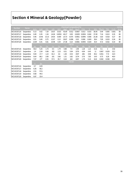| Number             | <b>Name</b> |           |       |                 |       |                  |       |             | Chemical Composition(%) |          |       |                  |            |                  |                | <b>Unit Size</b> |
|--------------------|-------------|-----------|-------|-----------------|-------|------------------|-------|-------------|-------------------------|----------|-------|------------------|------------|------------------|----------------|------------------|
|                    |             | $Al_2O_3$ | CaO   | CO <sub>2</sub> | LOI   | K <sub>2</sub> O | MgO   | <b>MnO</b>  | Na <sub>2</sub> O       | $P_2O_5$ | S.    | SiO <sub>2</sub> | $TFe_2O_3$ | TiO <sub>2</sub> | $Cr_2O_3$      | (in g)           |
| NCS DC87116        | Serpentine  | 0.13      | 0.62  | 7.29            | 19.07 | 0.015            | 43.09 | 0.012       | 0.0067                  | 0.013    | 0.015 | 36.45            | 0.44       | 0.005            | 0.001          | 80               |
| NCS DC87117        | Serpentine  | 0.49      | 0.35  | 1.34            | 14.04 | 0.0052           | 40.17 | 0.09        | 0.0039                  | 0.0054   | 0.042 | 37.49            | 7.16       | 0.013            | 0.35           | 80               |
| NCS DC87118        | Serpentine  | 0.46      | 19.46 | 15.15           | 24.05 | 0.009            | 23.73 | 0.075       | 0.0061                  | 0.0095   | 0.006 | 25.38            | 5.83       | 0.018            | 0.27           | 80               |
| NCS DC87119        | Serpentine  | 0.91      | 0.49  | 0.75            | 12.67 | 0.13             | 39.87 | 0.098       | 0.03                    | 0.006    | 0.043 | 38.4             | 7.09       | 0.019            | 0.34           | 80               |
| NCS DC87120        | Serpentine  | 13.84     | 6.41  | 0.81            | 10.98 | 0.34             | 27.38 | 0.23        | 0.0081                  | 0.0055   | 0.024 | 35.4             | 4.72       | 0.032            | 0.33           | 80               |
|                    |             |           |       |                 |       |                  |       | $(\mu g/g)$ |                         |          |       |                  |            |                  |                |                  |
|                    |             | As        | Ba    | Ce              | Co    | Cu               | La    | Li          | <b>Ni</b>               | Pb       | Sc    | <b>Sr</b>        | <b>Th</b>  | $\cup$           | $\overline{V}$ |                  |
| NCS DC87116        | Serpentine  | 56.8      | 5.25  | 1.73            | 0.5   | 1.74             | 0.88  | 7.9         | 1.98                    | 1.28     | 1.22  | 8.16             | 0.1        | 2                | 3.92           |                  |
| NCS DC87117        | Serpentine  | 1.4       | 2.54  | 0.98            | 102   | 2.23             | 0.51  | 5.04        | 2276                    | 4.94     | 6.45  | 11               | 0.067      | 0.029            | 32.2           |                  |
| NCS DC87118        | Serpentine  | 9.04      | 17.7  | 1.23            | 81.3  | 3.6              | 1.38  | 4.53        | 1937                    | 206      | 4.98  | 40.2             | 0.051      | 7.72             | 32.9           |                  |
| NCS DC87119        | Serpentine  | 0.64      | 88.2  | 2.08            | 101   | 3.66             | 1.31  | 3.82        | 2174                    | 3.76     | 7.85  | 14.9             | 0.75       | 0.28             | 40.9           |                  |
| NCS DC87120        | Serpentine  | 7.07      | 177   | 0.55            | 57.5  | 35.7             | 0.24  | 163         | 1057                    | 1.79     | 5.14  | 62.8             | 0.042      | 0.038            | 32.9           |                  |
|                    |             |           |       |                 |       |                  |       | $(\mu g/g)$ |                         |          |       |                  |            |                  |                |                  |
|                    |             | Y         | Zn    |                 |       |                  |       |             |                         |          |       |                  |            |                  |                |                  |
| NCS DC87116        | Serpentine  | 0.7       | 4.03  |                 |       |                  |       |             |                         |          |       |                  |            |                  |                |                  |
| NCS DC87117        | Serpentine  | 0.26      | 58.2  |                 |       |                  |       |             |                         |          |       |                  |            |                  |                |                  |
| NCS DC87118        | Serpentine  | 2.51      | 57.6  |                 |       |                  |       |             |                         |          |       |                  |            |                  |                |                  |
| NCS DC87119        | Serpentine  | 0.68      | 44.5  |                 |       |                  |       |             |                         |          |       |                  |            |                  |                |                  |
| <b>NCS DC87120</b> | Serpentine  | 0.87      | 33.4  |                 |       |                  |       |             |                         |          |       |                  |            |                  |                |                  |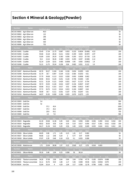| <b>Number</b>                | Name                             | Certified value                |                                |                  |                  |                                |                              | Chemical Composition( $\mu$ g/g)                                        |                  |                |                 |                   |                  | <b>Unit Size</b><br>(in g)                     |
|------------------------------|----------------------------------|--------------------------------|--------------------------------|------------------|------------------|--------------------------------|------------------------------|-------------------------------------------------------------------------|------------------|----------------|-----------------|-------------------|------------------|------------------------------------------------|
| <b>NCS DC 90001</b>          | Ag in Silver ore                 | 46.9                           |                                |                  |                  |                                |                              |                                                                         |                  |                |                 |                   |                  | 50                                             |
| <b>NCS DC 90002</b>          | Ag in Silver ore                 | 112                            |                                |                  |                  |                                |                              |                                                                         |                  |                |                 |                   |                  | 50                                             |
| <b>NCS DC 90003</b>          | Ag in Silver ore                 | 298                            |                                |                  |                  |                                |                              |                                                                         |                  |                |                 |                   |                  | 50                                             |
| <b>NCS DC 90004</b>          | Ag in Silver ore                 | 446                            |                                |                  |                  |                                |                              |                                                                         |                  |                |                 |                   |                  | 50                                             |
| <b>NCS DC 90005</b>          | Ag in Silver ore                 | 559                            |                                |                  |                  |                                |                              |                                                                         |                  |                |                 |                   |                  | 50                                             |
| <b>NCS DC 90006</b>          | Ag in Silver ore                 | 732                            |                                |                  |                  |                                |                              |                                                                         |                  |                |                 |                   |                  | 50                                             |
|                              |                                  |                                |                                |                  |                  |                                |                              | <b>Chemical Composition (Percent)</b>                                   |                  |                |                 |                   |                  | <b>Unit Size</b>                               |
| Number                       | Name                             | F.                             | $\mathsf{Al}$                  | <b>Na</b>        | SiO <sub>2</sub> | Fe <sub>2</sub> O <sub>3</sub> | SO <sub>4</sub> <sup>2</sup> | $P_2O_5$                                                                | CaO              | L.O.I          |                 |                   |                  | (in g)                                         |
| NCS DC 91001 Cryolite        |                                  | 55.45                          | 17.34                          | 21.75            | 0.087            | 0.053                          | 0.233                        | 0.0034                                                                  | (0.606)          | 4.53           |                 |                   |                  | 100                                            |
| NCS DC 91002 Cryolite        |                                  | 54.66                          | 15.18                          | 26.32            | 0.211            | 0.032                          | 0.199                        | 0.025                                                                   | (0.597)          | 2.97           |                 |                   |                  | 100                                            |
| <b>NCS DC 91003</b>          | Cryolite                         | 53.89                          | 13.65                          | 29.29            | 0.363            | 0.036                          | 0.205                        | 0.013                                                                   | (0.719)          | 2.25           |                 |                   |                  | 100                                            |
| NCS DC 91004 Cryolite        |                                  | 53.2                           | 13.16                          | 30.26            | 0.389            | 0.033                          | 0.293                        | 0.037                                                                   | (0.508)          | 2.12           |                 |                   |                  | 100                                            |
| <b>NCS DC 91005</b>          | Cryolite                         | 52.14                          | 12.69                          | 32.01            | 0.485            | 0.0098                         | 0.45                         | 0.065                                                                   | (0.0062)         | 1.4            |                 |                   |                  | 100                                            |
| <b>NCS DC 91006</b>          | Cryolite                         | 51.21                          | 11.75                          | 33.24            | 0.238            | 0.04                           | 0.683                        | 0.051                                                                   | 0.112            | 1.6            |                 |                   |                  | 100                                            |
| <b>Number</b>                | Name                             | F.                             | $\mathsf{Al}$                  | Na               | SiO <sub>2</sub> | FeO                            | SO <sub>1</sub>              | <b>Chemical Composition(Percent)</b><br>PO                              | L.O.             |                |                 |                   |                  | <b>Unit Size</b><br>$\overline{(\text{in g})}$ |
| <b>NCS DC 91007</b>          | Alaminum fluoride                | 60.76                          | 30.27                          | 0.104            | 0.146            | 0.156                          | 0.654                        | 0.0295                                                                  | 6.00             |                |                 |                   |                  | 100                                            |
| <b>NCS DC 91008</b>          | Alaminum fluoride                | 61.79                          | 30.7                           | 0.097            | 0.104            | 0.132                          | 0.585                        | 0.0253                                                                  | 4.61             |                |                 |                   |                  | 100                                            |
| <b>NCS DC 91009</b>          | Alaminum fluoride                | 57.79                          | 34.68                          | 0.113            | 0.015            | 0.028                          | 0.093                        | 0.0008                                                                  | 0.662            |                |                 |                   |                  | 100                                            |
| <b>NCS DC 91010</b>          | Alaminum fluoride                | 60.96                          | 30.52                          | 0.125            | 0.251            | 0.126                          | 0.748                        | 0.0265                                                                  | 5.48             |                |                 |                   |                  | 100                                            |
| <b>NCS DC 91011</b>          | Alaminum fluoride                | 61.51                          | 32.28                          | 0.121            | 0.429            | 0.021                          | 0.627                        | 0.1317                                                                  | 0.754            |                |                 |                   |                  | 100                                            |
|                              | NCS DC 91012 Alaminum fluoride   | 59.74                          | 33.93                          | 0.126            | 0.016            | 0.037                          | 0.136                        | 0.0027                                                                  | 0.547            |                |                 |                   |                  | 100                                            |
| <b>NCS DC 91013</b>          | Alaminum fluoride                | 60.88                          | 33.12                          | 0.315            | 0.017            | 0.02                           | 0.098                        | 0.0013                                                                  | 0.467            |                |                 |                   |                  | 100                                            |
| <b>NCS DC 91014</b>          | Alaminum fluoride                | 57.72                          | 34.76                          | 0.113            | 0.014            | 0.015                          | 0.104                        | 0.0007                                                                  | 0.64             |                |                 |                   |                  | 100                                            |
| <b>NCS DC 91015</b>          | Alaminum fluoride                | 59.99                          | 30.7                           | 0.111            | 0.301            | 0.107                          | 0.702                        | 0.0247                                                                  | 5.61             |                |                 |                   |                  | 100                                            |
|                              | NCS DC 91016 Alaminum fluoride   | 64.97                          | 31.92                          | 0.028            | 0.196            | 0.025                          | 0.076                        | 0.0275                                                                  | 1.25             |                |                 |                   |                  | 100                                            |
|                              |                                  |                                |                                |                  |                  |                                |                              |                                                                         |                  |                |                 |                   |                  |                                                |
|                              |                                  |                                |                                |                  |                  |                                |                              |                                                                         |                  |                |                 |                   |                  |                                                |
| <b>Number</b>                | <b>Name</b>                      | $Au(ng/g)$ $Au(g/T)$ $Ag(g/T)$ |                                |                  |                  |                                |                              | Chemical Composition                                                    |                  |                |                 |                   |                  | <b>Unit Size</b><br>(in g)                     |
| <b>NCS DC 93003</b>          | Gold Ore                         | 3.4                            |                                |                  |                  |                                |                              |                                                                         |                  |                |                 |                   |                  | 500                                            |
| <b>NCS DC 93004</b>          | Gold Ore                         | 52                             |                                |                  |                  |                                |                              |                                                                         |                  |                |                 |                   |                  | 500                                            |
| <b>NCS DC 93006</b>          | Gold Ore                         |                                | 57.2                           | 43.4             |                  |                                |                              |                                                                         |                  |                |                 |                   |                  | 1000                                           |
| <b>NCS DC 93007</b>          | Gold Ore                         |                                | 37.3                           | 26.2             |                  |                                |                              |                                                                         |                  |                |                 |                   |                  | 1000                                           |
| <b>NCS DC 93008</b>          | Gold Ore                         |                                | 20.9                           | 63.1             |                  |                                |                              |                                                                         |                  |                |                 |                   |                  | 750                                            |
| <b>NCS DC 93009</b>          | Gold Ore                         |                                | 2.5                            | 7.8              |                  |                                |                              |                                                                         |                  |                |                 |                   |                  | 500                                            |
| <b>Number</b>                | Name                             |                                |                                |                  |                  |                                |                              | <b>Chemical Composition (Percent)</b>                                   |                  |                |                 |                   |                  | <b>Unit Size</b>                               |
|                              |                                  | TFe                            | FeO                            | SiO <sub>2</sub> | $Al_2O_3$        | CaO                            | <b>MgO</b>                   | Mn                                                                      | TiO <sub>2</sub> | P              | S               | Na <sub>2</sub> O | K <sub>2</sub> O | (in g)                                         |
| <b>NCS DC 93023</b>          | Magnetite                        | 61.34                          | 29.68                          | 12.36            | 0.45             | 0.64                           | (0.6)                        | 0.056                                                                   | 0.064            | 0.036          | 0.494           | 0.012             | 0.018            | 100                                            |
| <b>NCS DC 93024</b>          | Magnetite                        | 68.02                          | 30.50                          | 4.58             | 0.34             | 0.35                           | 0.19                         | 0.017                                                                   | 0.056            | 0.017          | 0.301           | 0.012             | 0.018            | 100                                            |
| NCS DC 93025 Magnetite       |                                  | 64.17                          | 31.34                          | 9.43             | 0.29             | 0.56                           | 0.49                         | 0.032                                                                   | 0.049            | 0.033          | 0.624           | 0.011             | 0.012            | 100                                            |
| <b>Number</b>                | Name                             | SiC                            | Fe <sub>2</sub> O <sub>3</sub> | F.C.             | F.Si             | SiO <sub>2</sub>               | $Al_2O_3$                    | <b>Chemical Composition(Percent)</b><br>CaO                             | <b>MgO</b>       |                |                 |                   |                  | <b>Unit Size</b>                               |
| NCS DC 93026 Silicon Carbide |                                  | 84.09                          | 0.86                           | 1.71             | 1.45             | 6.15                           | 1.41                         | 0.17                                                                    | 0.082            |                |                 |                   |                  | $\overline{(\text{in g})}$<br>50               |
| <b>NCS DC 93027</b>          | Silicon Carbide                  | 90.86                          | 1.12                           | 3.48             | 0.24             | $\overline{2}$                 | 0.77                         | 0.47                                                                    | 0.039            |                |                 |                   |                  | 50                                             |
| NCS DC 93028 Silicon Carbide |                                  | 97.87                          | 0.39                           | 0.48             | 0.18             | 0.55                           | 0.1                          | 0.055                                                                   | 0.008            |                |                 |                   |                  | 50                                             |
|                              |                                  |                                |                                |                  |                  |                                |                              | <b>Chemical Composition (Percent)</b>                                   |                  |                |                 |                   |                  | Unit Size                                      |
| Number                       | Name                             | Ni.                            | Fe                             | SiO <sub>2</sub> | $Al_2O_3$        | CaO                            | <b>MgO</b>                   | Mn                                                                      | Cr               | S              | P               |                   |                  | (in g)                                         |
| NCS DC 93030 Nickel iron ore |                                  | 1.71                           | 15.04                          | 36.98            | 1.57             | 0.15                           | 23.80                        | 0.27                                                                    | 0.78             | 0.018          | 0.003           |                   |                  | 50                                             |
| <b>Number</b>                | <b>Name</b>                      | Si.                            | Fe                             | Si <sub>e</sub>  | $\mathsf{Al}$    | Ca                             | N                            | <b>Chemical Composition (Percent)</b><br>Si <sub>3</sub> N <sub>4</sub> |                  |                |                 |                   |                  | <b>Unit Size</b><br>(in g)                     |
| <b>NCS DC93031</b>           | Silicon Nitride                  | 59.16                          | 0.48                           | 1.04             | 0.23             | 0.098                          | 36                           | 90.14                                                                   |                  |                |                 |                   |                  | 50                                             |
|                              |                                  |                                |                                |                  |                  |                                |                              | <b>Chemical Composition (Percent)</b>                                   |                  |                |                 |                   |                  | <b>Unit Size</b>                               |
| Number                       | Name                             | TFe                            | FeO                            | SiO <sub>2</sub> | $Al_2O_3$        | CaO                            | <b>MgO</b>                   | <b>MnO</b>                                                              | TiO <sub>2</sub> | S              | P               | $V_2O_5$          |                  | $\overline{(\text{in g})}$                     |
| <b>NCS DC93032</b>           | Titanium concentrate             | 34.26                          | 37.08                          | 2.08             | 0.64             | 0.64                           | 3.04                         | 0.766                                                                   | 47.79            | 0.185          | 0.0074          | 0.088             |                  | 100                                            |
| NCS DC93033<br>NCS DC93034   | Titanium concentrate<br>Iron Ore | 31.11<br>52.84                 | 35.76<br>33.14                 | 4.03<br>4        | 1.08<br>4.29     | 1.17<br>1.04                   | 5.36<br>3.17                 | 0.698<br>0.356                                                          | 45.96<br>12.78   | 0.201<br>0.786 | 0.0032<br>0.002 | 0.075<br>0.561    |                  | 100<br>100                                     |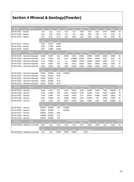|                     |                                     |                  |                                |                   |                  | Chemical Composition(µg/g)                     |            |                     |                   |                   |                | <b>Unit Size</b>           |
|---------------------|-------------------------------------|------------------|--------------------------------|-------------------|------------------|------------------------------------------------|------------|---------------------|-------------------|-------------------|----------------|----------------------------|
| <b>Number</b>       | Name                                | SiO <sub>2</sub> | Fe <sub>2</sub> O <sub>3</sub> | $Al_2O_3$         | TiO <sub>2</sub> | CaO                                            | <b>MgO</b> | TS.                 | Na <sub>2</sub> O | $K_2O$            | MnO            | (in g)                     |
| <b>NCS DC 91017</b> | <b>Bauxite</b>                      | 3.16             | 2.01                           | 71.14             | 3.04             | 0.75                                           | 0.090      | 0.031               | 0.022             | 0.477             | 0.0036         | 50                         |
| <b>NCS DC 91018</b> | Bauxite                             | 8.02             | 6.06                           | 64.53             | 2.59             | 0.26                                           | 0.246      | 0.040               | 0.030             | 0.22              | 0.012          | 50                         |
| <b>NCS DC 91019</b> | Bauxite                             | 6.31             | 16.11                          | 57.15             | 2.65             | 0.089                                          | 0.235      | 0.033               | 0.031             | 1.00              | 0.021          | 50                         |
|                     |                                     |                  |                                |                   |                  |                                                |            |                     |                   |                   |                |                            |
|                     |                                     | $P_2O_5$         | Ga <sub>2</sub> O <sub>2</sub> | ZnO               |                  |                                                |            |                     |                   |                   |                |                            |
| <b>NCS DC 91017</b> | Bauxite                             | 0.221            | 0.0114                         | 0.0018            |                  |                                                |            |                     |                   |                   |                |                            |
| <b>NCS DC 91018</b> | <b>Bauxite</b>                      | 0.185            | 0.0106                         | 0.0040            |                  |                                                |            |                     |                   |                   |                |                            |
| <b>NCS DC 91019</b> | Bauxite                             | 0.077            | 0.0088                         | 0.0036            |                  |                                                |            |                     |                   |                   |                |                            |
| <b>Number</b>       | Name                                | SiO <sub>2</sub> | Fe <sub>2</sub> O <sub>3</sub> | Na <sub>2</sub> O | K <sub>2</sub> O | Chemical Composition(µg/g)<br>TiO <sub>2</sub> | $V_2O_5$   | $P_2O_5$            | ZnO               | Li <sub>2</sub> O | CaO            | <b>Unit Size</b><br>(in g) |
| <b>NCS DC 91020</b> | Aluminium Hydroxide                 | 0.0089           | 0.0047                         | 0.19              | 0.0004           | 0.0013                                         | 0.00013    | 0.00009             | 0.00044           | 0.0002            | 0.0069         | 50                         |
| <b>NCS DC 91021</b> | Aluminium Hydroxide                 | 0.02             | 0.0035                         | 0.34              | 0.017            | (0.00008)                                      | 0.00013    | 0.00015             | 0.00042           | 0.011             | 0.015          | 50                         |
| <b>NCS DC 91022</b> | Aluminium Hydroxide                 | 0.112            | 0.0062                         | 1.4               | 0.1              | 0.00054                                        | 0.00027    | 0.00029             | 0.00026           | 0.0027            | 0.017          | 50                         |
| <b>NCS DC 91023</b> | Aluminium Hydroxide                 | 0.037            | 0.0037                         | 0.55              | 0.03             | 0.0011                                         | 0.00017    | 0.0002              | 0.00041           | 0.0012            | 0.009          | 50                         |
| <b>NCS DC 91024</b> | Aluminium Hydroxide                 | 0.083            | 0.0033                         | 0.68              | 0.038            | 0.00014                                        | 0.00021    | 0.00028             | 0.00031           | 0.0079            | 0.017          | 50                         |
|                     |                                     |                  |                                |                   |                  |                                                |            |                     |                   |                   |                |                            |
|                     |                                     | MgO              | Cr <sub>2</sub> O <sub>3</sub> | L.O.              | CuO              |                                                |            |                     |                   |                   |                |                            |
| <b>NCS DC 91020</b> | Aluminium Hydroxide                 | 0.0014           | (0.0001)                       | 34.26             | (0.0001)         |                                                |            |                     |                   |                   |                |                            |
| <b>NCS DC 91021</b> | Aluminium Hydroxide                 | 0.0012           | (0.0001)                       | 34.26             |                  |                                                |            |                     |                   |                   |                |                            |
| <b>NCS DC 91022</b> | Aluminium Hydroxide                 | 0.0048           | (0.0001)                       | 33.7              |                  |                                                |            |                     |                   |                   |                |                            |
| <b>NCS DC 91023</b> | Aluminium Hydroxide                 | 0.0019           | (0.0001)                       | 34.23             |                  |                                                |            |                     |                   |                   |                |                            |
| <b>NCS DC 91024</b> | Aluminium Hydroxide                 | 0.0023           | (0.0001)                       | 34.14             |                  |                                                |            |                     |                   |                   |                |                            |
| <b>Number</b>       | <b>Name</b>                         |                  |                                |                   |                  | Chemical Composition(µg/g)                     |            |                     |                   |                   |                | <b>Unit Size</b>           |
|                     |                                     | SiO <sub>2</sub> | Fe <sub>2</sub> O <sub>3</sub> | Na <sub>2</sub> O | $K_2O$           | TiO <sub>2</sub>                               | CaO        | ZnO                 | Li <sub>2</sub> O | MgO               | $V_2O_5$       | (in g)                     |
| <b>NCS DC 91025</b> | Alumina                             | 0.044            | 0.022                          | 0.27              | 0.014            | 0.0027                                         | 0.022      | 0.0049              | 0.048             | 0.009             | 0.00034        | 50                         |
| <b>NCS DC 91026</b> | Alumina                             | 0.025            | 0.0044                         | 0.43              | 0.019            | 0.00019                                        | 0.016      | 0.0005              | 0.016             | 0.0024            | 0.00097        | 50                         |
| <b>NCS DC 91027</b> | Alumina                             | 0.034            | 0.0087                         | 0.18              | 0.0026           | 0.0035                                         | 0.02       | 0.00027             | 0.0089            | 0.0018            | 0.0019         | 50                         |
| <b>NCS DC 91028</b> | Alumina                             | 0.047            | 0.0094                         | 0.31              | 0.0056           | 0.0042                                         | 0.021      | $-0.00013$          | 0.01              | 0.0012            | 0.0034         | 50                         |
| <b>NCS DC 91029</b> | Alumina                             | 0.041            | 0.014                          | 0.22              | 0.0077           | 0.0033                                         | 0.023      | 0.0026              | 0.027             | 0.006             | 0.00095        | 50                         |
|                     |                                     | $P_2O_5$         | $Cr_2O_2$                      | L.O.              | CuO              |                                                |            |                     |                   |                   |                |                            |
| <b>NCS DC 91025</b> | Alumina                             | 0.00052          | (0.0002)                       | 0.49              | (0.0002)         |                                                |            |                     |                   |                   |                |                            |
| <b>NCS DC 91026</b> | Alumina                             | 0.00022          | (0.0003)                       | $\mathbf{1}$      | (<0.0001)        |                                                |            |                     |                   |                   |                |                            |
| <b>NCS DC 91027</b> | Alumina                             | 0.00095          | (0.0002)                       | 0.042             |                  |                                                |            |                     |                   |                   |                |                            |
| <b>NCS DC 91028</b> | Alumina                             | 0.00098          | (0.0002)                       | 0.16              |                  |                                                |            |                     |                   |                   |                |                            |
| <b>NCS DC 91029</b> | Alumina                             | 0.00076          | (0.0002)                       | 0.29              |                  |                                                |            |                     |                   |                   |                |                            |
| <b>Number</b>       | Name                                |                  |                                |                   |                  | Chemical Composition(µg/g)                     |            |                     |                   |                   |                | <b>Unit Size</b>           |
|                     |                                     | Mo               | SiO <sub>2</sub>               | CaO               | Cu               | Fe <sub>2</sub> O <sub>3</sub>                 | MgO        | Mn                  | Pb                | W                 | Z <sub>n</sub> | (in g)                     |
|                     | NCS DC93010a Molybdenum Concentrate | 55.54            | 2.56                           | 0.95              | 0.06             | 1.44                                           | 0.47       | 0.033               | 0.044             | 0.12              | 0.014          | 50                         |
|                     |                                     | $Al_2O_3$        | $\mathsf{C}$                   | <b>Bi</b>         | P.               | <b>Re</b>                                      |            | Total oil and water |                   |                   |                |                            |
|                     | NCS DC93010a Molybdenum Concentrate | 0.23             | 0.34                           | 0.0052            | 0.0055           | 0.0026                                         |            | (0.34)              |                   |                   |                |                            |
|                     |                                     |                  |                                |                   |                  |                                                |            |                     |                   |                   |                |                            |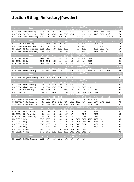## Section 5 Slag, Refractory(Powder)

|                     |                                    |                  |                  |                                |              |                                |                  |                   | <b>Chemical Composition (Percent)</b>      |                   |                  |                   |                   |           | <b>Unit Size</b>        |
|---------------------|------------------------------------|------------------|------------------|--------------------------------|--------------|--------------------------------|------------------|-------------------|--------------------------------------------|-------------------|------------------|-------------------|-------------------|-----------|-------------------------|
| <b>Number</b>       | Name                               | SiO <sub>2</sub> | <b>MnO</b>       | $P_2O_5$                       | S            | TiO <sub>2</sub>               | CaO              | MgO               | $K_2O$                                     | Na <sub>2</sub> O | $Al_2O_3$        | <b>TFe</b>        | F.                | $Cr_2O_2$ | (in g)                  |
|                     | NCS HC 11801 Blast Furnace Slag    | 34.31            | 0.34             | 0.012                          | 0.97         | 1.52                           | 39.02            | 8.12              | 0.47                                       | 0.41              | 13.83            | 0.411             | (0.062)           |           | 60                      |
|                     | NCS HC 11802 Blast Furnace Slag    | 32.25            | 0.51             | 0.0074                         | 0.95         | 0.706                          | 40.07            | 9.17              | 0.43                                       | 0.47              | 14.46            | 0.262             | (0.14)            |           | 60                      |
|                     | NCS HC 11803 Electric Furnace Slag | 53.43            | 0.35             | 0.006                          | 0.034        | 0.079                          | 5.55             | 28.96             | 0.19                                       | 0.2               | 3.15             | 5.75              | (0.033)           | 0.77      | 60                      |
| <b>Number</b>       | Name                               |                  |                  |                                |              |                                |                  |                   | <b>Chemical Composition (Percent)</b>      |                   |                  |                   |                   |           | Unit Size               |
|                     |                                    | <b>TFe</b>       | SiO <sub>2</sub> | $Al_2O_3$                      | MnO          | FeO                            | S.               | TiO <sub>2</sub>  | <b>MgO</b>                                 | CaO               | <b>TCa</b>       | $P_2O_3$          | F.                | CaF       | (in g)                  |
| <b>NCS HC 13804</b> | <b>Converter Slag</b>              | 13.38            | 14.91            | 1.78                           | 1.86         | 12.33                          |                  | 0.42              | 9.28                                       |                   | 37.64            | 1.02              |                   | 1.41      | 50                      |
| <b>NCS HC 13805</b> | Open Hearth Slag                   | 34.33            | 8.91             | 3.92                           | 2.01         | 36.55                          |                  | 0.32              | 21.15                                      |                   |                  | 0.87              |                   |           | 50                      |
| <b>NCS HC 13806</b> | Electric Furnace Slag              | 13.11            | 21.35            | 4.00                           | 13.16        | 15.25                          |                  | 0.18              | 15.18                                      |                   | 16.22            | 0.125             | 0.17              |           | 50                      |
| <b>NCS HC 13807</b> | Electric Furnace Slag              | 2.26             | 24.77            | 8.72                           | 2.39         | 1.89                           |                  | 0.25              | 15.60                                      |                   | 28.87            | 0.030             | 0.82              |           | 50                      |
| <b>Number</b>       | Name                               |                  |                  |                                |              |                                |                  |                   | Chemical Composition(Percent)              |                   |                  |                   |                   |           | <b>Unit Size</b>        |
|                     | Mullite                            | SiO <sub>2</sub> | $Al_2O_3$        | Fe <sub>2</sub> O <sub>3</sub> | CaO          | <b>MgO</b>                     | K <sub>2</sub> O | Na <sub>2</sub> O | TiO <sub>2</sub>                           | P.                |                  |                   |                   |           | (in g)                  |
| <b>NCS HC 14807</b> | Mullite                            | 51.43            | 43.62            | 1.14                           | 0.23         | 0.21                           | 1.62             | 0.46              | 0.65                                       | 0.062             |                  |                   |                   |           | 60                      |
| <b>NCS HC 14808</b> | Mullite                            | 37.41<br>21.81   | 57.47<br>72.39   | 0.46                           | 0.15<br>0.19 | 0.14<br>0.42                   | 1.69<br>0.24     | 0.46<br>0.16      | 1.45<br>3.64                               | 0.022<br>0.043    |                  |                   |                   |           | 60<br>60                |
| <b>NCS HC 14809</b> |                                    |                  |                  | 0.93                           |              |                                |                  |                   | <b>Chemical Composition (Percent)</b>      |                   |                  |                   |                   |           | <b>Unit Size</b>        |
| <b>Number</b>       | Name                               | <b>TFe</b>       | SiO <sub>2</sub> | $Al_2O_3$                      | <b>MnO</b>   | FeO                            | S                | TiO.              | <b>MgO</b>                                 | CaO               | K <sub>2</sub> O | Na <sub>2</sub> O | P                 |           | (in g)                  |
| <b>NCS HC 15803</b> | <b>Blast Furnace Slag</b>          | 1.76             | 35.00            | 13.93                          | 0.175        | 2.16                           | 0.98             | 0.51              | 5.61                                       | 39.66             | 0.42             | 0.26              | 0.0066            |           | 80                      |
|                     |                                    |                  |                  |                                |              |                                |                  |                   | <b>Chemical Composition(Percent)</b>       |                   |                  |                   |                   |           | <b>Unit Size</b>        |
| <b>Number</b>       | Name                               | $\overline{C}$   | SiO-             | Mn                             | P.           | S                              | Fe               |                   |                                            |                   |                  |                   |                   |           | (in g)                  |
| <b>NCS HC 15804</b> | Manganese-rich slag                | 0.014            | 25.16            | 44.42                          | 0.0032       | 0.32                           | 0.22             |                   |                                            |                   |                  |                   |                   |           | 100                     |
| Number              | Name                               |                  |                  |                                |              |                                |                  |                   | <b>Chemical Composition (Percent)</b>      |                   |                  |                   |                   |           | <b>Unit Size</b>        |
|                     |                                    | <b>TFe</b>       | SiO <sub>2</sub> | $Al_2O_3$                      | CaO          | <b>MgO</b>                     | <b>MnO</b>       | TiO <sub>2</sub>  | $P_2O_5$                                   | S.                | <b>TCa</b>       |                   |                   |           | (in g)                  |
| <b>NCS HC 18806</b> | <b>Blast Furnace Slag</b>          | 0.60             | 32.75            | 14.11                          | 38.84        | 8.46                           | 0.30             | 2.63              | 0.008                                      | 1.13              |                  |                   |                   |           | 100                     |
| <b>NCS HC 18807</b> | <b>Blast Furnace Slag</b>          | 1.10             | 33.04            | 16.48                          | 35.77        | 8.77                           | 0.74             | 0.73              | 0.009                                      | 0.90              |                  |                   |                   |           | 100                     |
| <b>NCS HC 18808</b> | Converter slag                     | 24.55            | 13.44            | 1.25                           |              | 11.66                          | 3.34             | 2.22              | 2.00                                       | 0.13              | 24.10            |                   |                   |           | 100                     |
| <b>NCS HC 18809</b> | Slag                               | 0.30             | 16.50            | 21.94                          |              | 6.55                           | 0.18             | 1.03              | 0.024                                      | 0.69              | 35.21            |                   |                   |           | 100                     |
| <b>Number</b>       | Name                               |                  |                  |                                |              |                                |                  |                   | <b>Chemical Composition (Percent)</b>      |                   |                  |                   |                   |           | Unit Size               |
|                     |                                    | <b>TFe</b>       | SiO <sub>2</sub> | $Al_2O_3$                      | <b>MnO</b>   | P.                             | S.               | TiO <sub>2</sub>  | <b>MgO</b>                                 | CaO               | $V_2O_5$         | K <sub>2</sub> O  | Na <sub>2</sub> O |           | (in g)                  |
| <b>NCS HC 19805</b> | V Ti Blast Furnace Slag            | 0.80             | 22.67            | 13.85                          | 0.74         |                                | 0.234            |                   | 9.05                                       | 25.57             | 0.44             |                   |                   |           | 100                     |
| NCS HC 19805a       | V Ti Blast Furnace Slag            | 2.31             | 26.30            | 14.46                          | 0.757        | 0.0060                         | 0.390            | 19.98             | 8.82                                       | 25.37             | 0.347            | 0.740             | 0.258             |           | 100                     |
| NCS HC 19805b       | V Ti Blast Furnace Slag            | 1.28             | 25.41            | 13.55                          | 0.607        | 0.0036                         | 0.477            | 22.35             | 7.48                                       | 27.28             | 0.272            |                   |                   |           | 100<br><b>Unit Size</b> |
| <b>Number</b>       | Name                               | <b>TFe</b>       | SiO <sub>2</sub> | AI <sub>2</sub> O <sub>3</sub> | CaO          | MgO                            | <b>MnO</b>       | P                 | <b>Chemical Composition (Percent)</b><br>S | $V_2O_e$          | TiO <sub>2</sub> | $Cr_1O_2$         |                   |           | (in g)                  |
| <b>NCS HC 19813</b> | High-Titanium Slag                 | 6.43             | 5.50             | 2.64                           | 1.52         | 5.28                           | 1.08             |                   | 0.118                                      |                   | 77.66            |                   |                   |           | 100                     |
| <b>NCS HC 19814</b> | High-Titanium Slag                 | 1.08             | 4.13             | 3.04                           | 1.83         | 7.27                           | 0.74             |                   | 0.247                                      |                   | 84.94            |                   |                   |           | 100                     |
| <b>NCS HC 19815</b> | High-Titanium Slag                 | 1.02             | 1.92             | 2.62                           | 0.287        | 2.67                           | 1.21             |                   | 0.166                                      |                   | 94.69            |                   |                   |           | 100                     |
| <b>NCS HC 19817</b> | V Slag                             | 30.48            | 16.90            | 3.84                           | 1.96         | 3.34                           | 6.87             | 0.054             | 0.054                                      | 16.18             | 10.87            | 2.40              |                   |           | 100                     |
| <b>NCS HC 19818</b> | V Slag                             | 28.96            | 15.93            | 4.05                           | 1.57         | 3.28                           | 7.80             | 0.037             | 0.053                                      | 17.69             | 11.53            | 3.03              |                   |           | 100                     |
| <b>NCS HC 19819</b> | V Slag                             | 30.08            | 15.79            | 4.15                           | 1.79         | 3.41                           | 8.36             | 0.026             | 0.201                                      | 2.20              | 11.37            | 2.60              |                   |           | 100                     |
| <b>NCS HC 19820</b> | V Slag                             | 32.30            | 16.47            | 3.98                           | 2.12         | 3.37                           | 7.36             | 0.040             | 0.195                                      | 1.78              | 10.80            | 2.00              |                   |           | 100                     |
| <b>NCS HC 19821</b> | V Ti Slag                          | 0.695            | 1.13             | 56.53                          | 9.01         | 27.14                          | 0.081            | 0.013             | 0.013                                      | 3.18              |                  |                   |                   |           | 100                     |
| <b>NCS HC 19822</b> | V Ti Slag                          | 0.442            | 0.570            | 65.99                          | 10.20        | 18.20                          | 0.060            | 0.006             | 0.013                                      | 3.41              |                  |                   |                   |           | 100                     |
|                     |                                    |                  |                  |                                |              |                                |                  |                   | <b>Chemical Composition (Percent)</b>      |                   |                  |                   |                   |           | <b>Unit Size</b>        |
| <b>Number</b>       | Name                               | Mn               | Fe               | P.                             | SiO-         | AI <sub>2</sub> O <sub>3</sub> | CaO              | MgO               | S                                          |                   |                  |                   |                   |           | (in g)                  |
| NCS HC 25801        | Rich Slag-Manganese                | 35.31            | 1.77             | 0.56                           | 33.47        | 1.91                           | 7.79             | 3.99              | 0.66                                       |                   |                  |                   |                   |           | 50                      |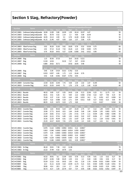## Section 5 Slag, Refractory(Powder)

|                            |                                             |                     |                     |                   |                             |                                     |                         |                                       |                    |                  |                   |                  |                                | <b>Unit Size</b>           |
|----------------------------|---------------------------------------------|---------------------|---------------------|-------------------|-----------------------------|-------------------------------------|-------------------------|---------------------------------------|--------------------|------------------|-------------------|------------------|--------------------------------|----------------------------|
| <b>Number</b>              | Name                                        |                     |                     |                   |                             |                                     |                         | <b>Chemical Composition (Percent)</b> |                    |                  |                   |                  |                                |                            |
|                            |                                             | SiO <sub>2</sub>    | <b>TCa</b>          | Na <sub>2</sub> O | $Al_2O_3$                   | MgO                                 | FC                      | TC.                                   | $\mathsf{F}^\star$ |                  |                   |                  |                                | (in g)                     |
| <b>NCS HC 26801</b>        | Continuous Casting mold powder              | 18.96               | 12.89               | 9.86              | 16.99                       | 1.39                                | 18.14                   | 19.97                                 | 4.47               |                  |                   |                  |                                | 50                         |
| <b>NCS HC 26803</b>        | Continuous Casting mold powder              | 30.1                | 30.78               | 0.52              | 2.14                        | 1.3                                 | 4.06                    | 5.98                                  | 10.59              |                  |                   |                  |                                | 50                         |
|                            | NCS HC 26804 Continuous Casting mold powder | 34.95               | 19.13               | 4.99              | 5.3                         | 0.78                                | 14.49                   | 15.86                                 | 5.15               |                  |                   |                  |                                | 50                         |
|                            | NCS HC 26805 Continuous Casting mold powder | 41.31               | 21.46               | 4.07              | 6.93                        | 3.26                                | 1.57                    | 3.06                                  | 4.79               |                  |                   |                  |                                | 50                         |
| Number                     | Name                                        |                     |                     |                   |                             |                                     |                         | <b>Chemical Composition</b> (Percent) |                    |                  |                   |                  |                                | <b>Unit Size</b>           |
|                            |                                             | <b>TFe</b>          | CaO                 | SiO <sub>2</sub>  | MgO                         | $Al_2O_3$                           | MnO                     | TiO,                                  | $P_2O_5$           | S.               |                   |                  |                                | (in g)                     |
| <b>NCS HC 28803</b>        | <b>Blast Furnace Slag</b>                   | 0.92                | 36.26               | 31.82             | 9.92                        | 16.85                               | 0.78                    | 0.52                                  | 0.018              | 0.75             |                   |                  |                                | 60                         |
| <b>NCS HC 28804</b>        | <b>Blast Furnace Slag</b>                   | 2.01                | 37.13               | 31.18             | 7.52                        | 16.26                               | 1.23                    | 0.58                                  | 0.043              | 0.79             |                   |                  |                                | 60                         |
| <b>NCS HC 28805</b>        | <b>Blast Furnace Slag</b>                   | 0.76                | 39.20               | 34.91             | 9.27                        | 12.80                               | 0.090                   | 0.42                                  | 0.012              | 0.90             |                   |                  |                                | 60                         |
| <b>Number</b>              | Name                                        |                     |                     |                   |                             |                                     |                         | Chemical Composition(Percent)         |                    |                  |                   |                  |                                | <b>Unit Size</b>           |
|                            |                                             | $\mathsf S$         | SiO <sub>2</sub>    | CaO               | TCa                         | <b>MgO</b>                          | $\text{Al}_2\text{O}_3$ | <b>TFe</b>                            |                    |                  |                   |                  |                                | (in g)                     |
| <b>NCS HC 28806</b>        | Slag                                        | 1.15                | 30.36               | 37.53             |                             | 10.8                                | 16.92                   | 0.211                                 |                    |                  |                   |                  |                                | 50                         |
| <b>NCS HC 28807</b>        | Slag                                        | 0.134               | 14.54               |                   | 32.32                       | 7.27                                | 3.67                    | 13.54                                 |                    |                  |                   |                  |                                | 50                         |
| <b>NCS HC 28808</b>        | Slag                                        | 0.885               | 29.62               | 35.71             |                             | 10.92                               | 18.05                   | 0.48                                  |                    |                  |                   |                  |                                | 50                         |
|                            |                                             |                     |                     |                   |                             |                                     |                         |                                       |                    |                  |                   |                  |                                |                            |
|                            |                                             | $K_2O$              | Na <sub>2</sub> O   | MnO               | $P_2O_5$                    | TiO <sub>2</sub>                    | FeO                     | F.                                    |                    |                  |                   |                  |                                |                            |
| NCS HC 28806 Slag          |                                             | 0.46                | 0.39                | 0.414             | 0.013                       | 0.762                               | 0.35                    |                                       |                    |                  |                   |                  |                                |                            |
| <b>NCS HC 28807</b>        | Slag                                        | 0.033               | 0.057               | 4.06              | 1.72                        | 1.13                                | 10.44                   | 0.76                                  |                    |                  |                   |                  |                                |                            |
| <b>NCS HC 28808</b>        | Slag                                        | 0.42                | 0.36                | 0.542             | 0.027                       | 0.753                               | 0.55                    |                                       |                    |                  |                   |                  |                                |                            |
|                            |                                             |                     |                     |                   |                             |                                     |                         | <b>Chemical Composition</b> (Percent) |                    |                  |                   |                  |                                | <b>Unit Size</b>           |
| Number                     | Name                                        |                     |                     | SiO <sub>2</sub>  | MgO                         |                                     |                         |                                       |                    | S.               |                   |                  |                                |                            |
| <b>NCS HC 28809</b>        | <b>Converter Slag</b>                       | <b>TFe</b><br>13.50 | <b>TCa</b><br>32.65 | 15.40             | 7.75                        | $\mathsf{Al}_2\mathsf{O}_3$<br>4.38 | <b>MnO</b><br>2.30      | TiO <sub>2</sub><br>1.02              | $P_2O_5$<br>1.67   | 0.195            |                   |                  |                                | (in g)<br>60               |
|                            |                                             |                     |                     |                   |                             |                                     |                         |                                       |                    |                  |                   |                  |                                |                            |
|                            | NCS HC 28810 Converter Slag                 | 16.52               | 33.35               | 14.45             | 7.1                         | 1.76                                | 2.78                    | 1.25                                  | 1.60               | 0.120            |                   |                  |                                | 60                         |
| <b>Number</b>              | Name                                        |                     |                     |                   |                             |                                     |                         | Chemical Composition(Percent)         |                    |                  |                   |                  |                                | Unit Size                  |
|                            |                                             | $Al_2O_3$           | CaO                 | MgO               | $P_2O_5$                    | Fe <sub>2</sub> O <sub>3</sub>      | TiO <sub>2</sub>        | <b>MnO</b>                            | SiO <sub>2</sub>   | K <sub>2</sub> O | Na <sub>2</sub> O | L.O.L            | $\mathsf{C}$                   | (in g)                     |
| NCS HC 28811 Bauxite       |                                             | 46.52               | 0.69                | 0.37              | 0.35                        | 14.01                               | 1.36                    | 0.13                                  | 22.96              | 0.25             | 0.1               | 12.75            | 0.2                            | 50                         |
| NCS HC 28812 Bauxite       |                                             | 60.41               | 0.51                | 0.26              | 0.3                         | 9.69                                | 2.22                    | 0.082                                 | 17.82              | 0.22             | 0.07              | 7.96             | 0.14                           | 50                         |
| <b>NCS HC 28813</b>        | Bauxite                                     | 70.28               | 0.37                | 0.18              | 0.25                        | 6.64                                | 2.85                    | 0.053                                 | 14.2               | 0.2              | 0.051             | 4.57             | 0.099                          | 50                         |
| <b>NCS HC 28814</b>        | Bauxite                                     | 83.07               | 0.22                | 0.088             | 0.18                        | 2.71                                | 3.64                    | 0.011                                 | 9.69               | 0.17             | 0.022             | 0.15             | 0.05                           | 50                         |
| <b>NCS HC 28815</b>        | Bauxite                                     | 88.55               | 0.15                | 0.073             | 0.23                        | 1.75                                | 3.69                    |                                       |                    | 0.11             | 0.017             |                  | 0.018                          | 50                         |
| <b>Number</b>              | Name                                        |                     |                     |                   |                             |                                     |                         | <b>Chemical Composition (Percent)</b> |                    |                  |                   |                  |                                | <b>Unit Size</b>           |
|                            |                                             | TFe                 | SiO <sub>2</sub>    | CaO               | <b>MgO</b>                  | $Al_2O_3$                           | FeO                     | MnO                                   | TiO <sub>2</sub>   | S                | $P_2O_5$          | K <sub>2</sub> O | Na <sub>2</sub> O <sub>3</sub> | (in g)                     |
| <b>NCS HC 28816</b>        | Coverter Slag                               | 18.66               | 12.8                | 45.02             | 8.23                        | 2.07                                | 14.24                   | 2.75                                  | 0.7                | 0.12             | 1.99              | 0.033            | 0.13                           | 50                         |
| <b>NCS HC 28817</b>        | <b>Coverter Slag</b>                        | 19.96               | 17.71               | 36.43             | 8.51                        | 1.64                                | 14.49                   | 3.46                                  | 1.04               | 0.034            | 1.95              | 0.083            | 0.076                          | 50                         |
| <b>NCS HC 28818</b>        | <b>Coverter Slag</b>                        | 21.04               | 18.81               | 37.31             | 5.23                        | 1.56                                | 17.01                   | 3.79                                  | 1.11               | 0.034            | 1.86              | 0.082            | 0.046                          | 50                         |
| <b>NCS HC 28819</b>        | <b>Coverter Slag</b>                        | 16.84               | 22.21               | 37.01             | 6.89                        | 1.93                                | 14.02                   | 5.02                                  | 0.97               | 0.056            | 2.7               | 0.087            | 0.046                          | 50                         |
| <b>NCS HC 28820</b>        | Coverter Slag                               | 16.56               | 12.35               | 45.44             | 6.91                        | 1.52                                | 13.87                   | 2.29                                  | 0.65               | 0.12             | 2.28              | 0.032            | 0.091                          | 50                         |
| NCS HC 28821 Coverter Slag |                                             | 15.33               | 14.17               | 44.45             | 7.01                        | 2.76                                | 11.43                   | 2.4                                   | 0.65               | 0.17             | 2.21              | 0.1              | 0.13                           | 50                         |
|                            |                                             |                     |                     |                   |                             |                                     |                         |                                       |                    |                  |                   |                  |                                |                            |
|                            |                                             | $Cr_2O_2$ $V_2O_5$  |                     | $A \subset$       | Ph.                         | 7n                                  | - E -                   | Cd                                    |                    |                  |                   |                  |                                |                            |
| NCS HC 28816 Coverter Slag |                                             | 0.076               | 0.122               |                   | 0.0002 0.0002 0.0011        |                                     | 0.12                    | $0.0001*$                             |                    |                  |                   |                  |                                |                            |
| NCS HC 28817 Coverter Slag |                                             | 0.063               | 0.346               | 0.0003            |                             | 0.0003 0.0014                       | 0.059                   | $0.0001*$                             |                    |                  |                   |                  |                                |                            |
| NCS HC 28818 Coverter Slag |                                             | 0.079               | 0.35                | 0.0003            | 0.0003 0.0014               |                                     | 0.043                   | $0.0001*$                             |                    |                  |                   |                  |                                |                            |
| NCS HC 28819 Coverter Slag |                                             | 0.105               | 0.2                 |                   | 0.0001 0.0003 0.0003        |                                     | 0.16                    | $0.0001*$                             |                    |                  |                   |                  |                                |                            |
| NCS HC 28820 Coverter Slag |                                             | 0.089               | 0.229               |                   | 0.0002 0.0035               | 0.003                               | 0.18                    | $0.0001*$                             |                    |                  |                   |                  |                                |                            |
| NCS HC 28821 Coverter Slag |                                             | 0.12                | 0.186               |                   | 0.0003 0.0074               | 0.01                                | 0.39                    | $0.0001*$                             |                    |                  |                   |                  |                                |                            |
|                            |                                             |                     |                     |                   |                             |                                     |                         | <b>Chemical Composition(Percent)</b>  |                    |                  |                   |                  |                                | <b>Unit Size</b>           |
| <b>Number</b>              | Name                                        | FeO                 | SiO <sub>2</sub>    | $Al_2O_3$         | CaO                         | Sn                                  |                         |                                       |                    |                  |                   |                  |                                | (in g)                     |
| NCS HC 35801 Sn Slag       |                                             | 46.18               | 19.61               | 7.36              | 4.12                        | 11.96                               |                         |                                       |                    |                  |                   |                  |                                | 70                         |
| NCS HC 35802 Sn Slag       |                                             | 22.22               | 37.49               | 9.32              | 19.76                       | 2.32                                |                         |                                       |                    |                  |                   |                  |                                | 70                         |
|                            |                                             |                     |                     |                   |                             |                                     |                         | <b>Chemical Composition (Percent)</b> |                    |                  |                   |                  |                                | <b>Unit Size</b>           |
| <b>Number</b>              | Name                                        | CaO                 | SiO <sub>2</sub>    | MgO               | $\mathsf{Al}_2\mathsf{O}_3$ | <b>TFe</b>                          | FeO                     | MnO                                   | TiO <sub>2</sub>   | $P_2O_5$         | $S_{\perp}$       | K <sub>2</sub> O | Na <sub>2</sub> O              | $\overline{(\text{in g})}$ |
| <b>NCS HC93801</b>         | Slag                                        | 42.52               | 34.91               | 8.1               | 12.09                       | 0.63                                | 0.78                    | 0.13                                  | 0.56               | 0.01             | 1.15              | 0.52             | 0.27                           | 50                         |
| <b>NCS HC93802</b>         | Slag                                        | 25.87               | 22.96               | 5.98              | 30.29                       | 2.39                                | 3.31                    | 1.5                                   | 9.44               | 0.08             | 0.56              | 0.36             | 0.17                           | 50                         |
| <b>NCS HC93803</b>         | Slag                                        | 55.59               | 12.22               | 6.91              | 18.02                       | 1.05                                | 0.61                    | 2.18                                  | 2.78               | 0.036            | 0.021             | 0.069            | 0.034                          | 50                         |
| NCS HC93804                | Slag                                        | 22.3                | 31.11               | 16.36             | 4.18                        | 10.99                               | 11.73                   | 5.21                                  | 6.01               | 0.503            | 0.095             | 0.128            | 0.051                          | 50                         |
| NCS HC93805                | Slag                                        | 30.86               | 42.4                | 20.5              | 2.14                        | 1.7                                 | 1.94                    | 0.2                                   | 1.95               | 0.038            | 0.023             | 0.24             | 0.061                          | 50                         |
|                            |                                             |                     |                     | 3.39              |                             |                                     |                         |                                       | 0.88               | 0.022            |                   | 0.052            | 0.047                          | 50                         |
| NCS HC93806                | Slag                                        | 50.73               | 8.17                |                   | 23.79                       | 9.67                                | 7.37                    | 0.45                                  |                    |                  | 0.032             |                  |                                |                            |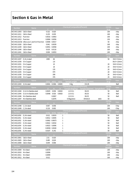### Section 6 Gas in Metal

|                            |                                             |                  |                |                            | Chemical Composition(Percent)                            |                   |             | <b>Unit Size</b>                       |                      |
|----------------------------|---------------------------------------------|------------------|----------------|----------------------------|----------------------------------------------------------|-------------------|-------------|----------------------------------------|----------------------|
| <b>Number</b>              | Name                                        | $\mathsf{C}$     | S.             |                            |                                                          |                   |             | (in g)                                 | Form                 |
| <b>NCS NS 11003</b>        | C&S in Steel                                | 0.322            | 0.020          |                            |                                                          |                   |             | 100                                    | chip                 |
| NCS NS 11011 C&S in Steel  |                                             | 0.235            | 0.039          |                            |                                                          |                   |             | 100                                    | chip                 |
| NCS NS 11012 Pure Iron     |                                             |                  | 0.0016 0.0063  |                            |                                                          |                   |             | 100                                    | chip                 |
| NCS NS 11013 Pure Iron     |                                             |                  | 0.0066 0.0056  |                            |                                                          |                   |             | 150                                    | chip                 |
|                            | NCS NS11015b Ultra-Low C and S in Pure Iron | 0.0006 0.0017    |                |                            |                                                          |                   |             | 50                                     | chip                 |
| NCS NS 11026 C&S in Steel  |                                             | 0.041            | 0.0039         |                            |                                                          |                   |             | 100                                    | chip                 |
| NCS NS 11039 C&S in Steel  |                                             |                  | 0.0051 0.0058  |                            |                                                          |                   |             | 100                                    | chip                 |
| NCS NS 11040 C&S in Steel  |                                             | 0.019            | 0.0116         |                            |                                                          |                   |             | 100                                    | chip                 |
| NCS NS 11041 C&S in Steel  |                                             | 0.004            | 0.0053         |                            |                                                          |                   |             | 100                                    | chip                 |
| <b>Number</b>              | Name                                        | N                | $\circ$        |                            | Chemical Composition( $\mu$ g/g)                         |                   |             | <b>Unit Size</b><br>(in g)             | Form                 |
| <b>NCS NS 11037</b>        | O, N, in steel                              | 1090             | 66             |                            |                                                          |                   |             | 50                                     | $D4.0 \times 5.0$ mm |
| <b>NCS NS 11030</b>        | O in Copper                                 |                  | 2.8            |                            |                                                          |                   |             |                                        | $D6.0 \times 110$ mm |
| NCS NS 11031 O in Copper   |                                             |                  | 10             |                            |                                                          |                   |             | 20                                     | $D4.8\times 6.5$ mm  |
| NCS NS 11032 O in Copper   |                                             |                  | 18             |                            |                                                          |                   |             | 20                                     | $D4.8\times 6.5$ mm  |
| NCS NS 11033 O in Copper   |                                             |                  | 135            |                            |                                                          |                   |             | 20                                     | $D4.8\times 6.5$ mm  |
| NCS NS 11035 O in Copper   |                                             |                  | 479            |                            |                                                          |                   |             | 20                                     | $D4.8\times 6.5$ mm  |
| <b>NCS NS 11036</b>        | O in Copper                                 |                  | 208            |                            |                                                          |                   |             | 20                                     | $D4.8\times 6.5$ mm  |
| NCS NS 11038 O in Copper   |                                             |                  | 376            |                            |                                                          |                   |             | 25                                     | $D4.8\times 6.5$ mm  |
| <b>Number</b>              | Name                                        | O(%)             | $N(\%)$        | $H(\% )$                   | <b>Chemical Composition (Percent)</b><br>Sample weight   | Sample size (mm)  |             | Unit Size<br>(in g)                    | Form                 |
| <b>NCS NS 11043</b>        | O, N in steel                               | 0.0041           | 0.0381         | 0.00005                    | 0.5g                                                     | D <sub>6.35</sub> |             |                                        | Ball                 |
| <b>Number</b>              | Name                                        | $\overline{O}$   | N              | $H^+$                      | <b>Chemical Composition(Percent)</b><br>Sample Weight(g) | Sample Size(mm)   | Sample form | <b>Unit Size</b><br>(in g)             | Form                 |
| <b>NCS NS 11044</b>        | O, N, H in Stainless steel                  | 0.0025           | 0.058          | 0.00020                    | $1.0 \pm 0.1$                                            | D6.35             |             | 50                                     | Ball                 |
| <b>NCS NS 11045</b>        | O, N, H in Stainless steel                  | 0.0048           | 0.026          | 0.00020                    | $1.0 \pm 0.1$                                            | D6.35             |             | 50                                     | Ball                 |
| <b>NCS NS 11046</b>        | N in Stainless steel                        |                  | 0.0067         |                            | $1.0 + 0.1$                                              | D6.35             |             | 50                                     | Ball                 |
|                            | NCS NS 11047 N in Stainless steel           |                  | 0.2076         |                            | 0.50g/piece                                              | D4.0x5.0          | stick       | 50                                     |                      |
|                            |                                             |                  |                |                            | <b>Chemical Composition (Percent)</b>                    |                   |             | Unit Size                              |                      |
| <b>Number</b>              | Name                                        | $\mathsf{C}$     | S              |                            |                                                          |                   |             | (in g)                                 | Form                 |
| <b>NCS NS 11048</b>        | C, S in steel                               | 0.067            | 0.058          |                            |                                                          |                   |             | 100                                    | Chip                 |
| NCS NS 11049 C, S in steel |                                             | 0.116            | 0.002          |                            |                                                          |                   |             | 100                                    | Chip                 |
| <b>Number</b>              | Name                                        |                  |                | $O(%)$ N(%) Ball Weight(g) | <b>Chemical Composition(Percent)</b>                     |                   |             | <b>Unit Size</b><br>(in g)             | Form                 |
| <b>NCS NS11050</b>         | O, N in steel                               | 0.012            | 0.0019         | 1                          |                                                          |                   |             | 50                                     | Ball                 |
| <b>NCS NS11051</b>         | O, N in steel                               |                  | 0.0012 0.0045  | $\mathbf 1$                |                                                          |                   |             | 50                                     | Ball                 |
| <b>NCS NS11052</b>         | O, N in steel                               |                  | 0.0062 0.00075 | 1                          |                                                          |                   |             | 50                                     | Ball                 |
| NCS NS11053 O, N in steel  |                                             |                  | 0.0022 0.0032  | $\mathbf 1$                |                                                          |                   |             | 50                                     | Ball                 |
| NCS NS11054 O, N in steel  |                                             |                  | 0.0023 0.0096  | 1                          |                                                          |                   |             | 50                                     | Ball                 |
| NCS NS11055 O, N in steel  |                                             |                  | 0.00058 0.0028 | 1                          |                                                          |                   |             | 50                                     | Ball                 |
| <b>NCS NS11056</b>         | O, N in steel                               | $0.0107$ $0.142$ |                | $\mathbf 1$                |                                                          |                   |             | 50                                     | Ball                 |
| <b>Number</b>              | <b>Name</b>                                 | C                | S              |                            | <b>Chemical Composition (Percent)</b>                    |                   |             | <b>Unit Size</b><br>(in g)             | Form                 |
| NCS NS 13001 C&S in Steel  |                                             | 2.51             | 0.020          |                            |                                                          |                   |             | 100                                    | chip                 |
| NCS NS 13005 C&S in Steel  |                                             | 0.485            | 0.024          |                            |                                                          |                   |             | 100                                    | chip                 |
| <b>NCS NS 13008</b>        | C&S in Steel                                | 0.644            | 0.068          |                            |                                                          |                   |             | 100                                    | chip                 |
| Number                     | Name                                        | N                |                |                            | <b>Chemical Composition(Percent)</b>                     |                   |             | <b>Unit Size</b><br><i>(gorpellet)</i> | Form                 |
| NCS NS 13009 N in Steel    |                                             | 0.0078           |                |                            |                                                          |                   |             | 100                                    | chip                 |
| NCS NS 13010 N in Steel    |                                             | 0.0096           |                |                            |                                                          |                   |             | 100                                    | chip                 |
| NCS NS 13011 N in Steel    |                                             | 0.0099           |                |                            |                                                          |                   |             | 100                                    | chip                 |
| NCS NS 13012 N in Steel    |                                             | 0.012            |                |                            |                                                          |                   |             | 100                                    | chip                 |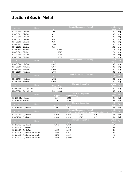| <b>Number</b>                |                          | Name | $\mathsf{C}$ | S               |                    | <b>Chemical Composition(Percent)</b>  |                          | <b>Unit Size</b>              | Form        |
|------------------------------|--------------------------|------|--------------|-----------------|--------------------|---------------------------------------|--------------------------|-------------------------------|-------------|
| NCS NS 13020 C in Steel      |                          |      | 0.1          |                 |                    |                                       |                          | (in g )<br>100                | chip        |
| NCS NS 13021 C in Steel      |                          |      | 0.21         |                 |                    |                                       |                          | 100                           | chip        |
| NCS NS 13022 C in Steel      |                          |      | 0.37         |                 |                    |                                       |                          | 100                           | chip        |
| NCS NS 13023 C in Steel      |                          |      | 0.48         |                 |                    |                                       |                          | 100                           | chip        |
| NCS NS 13024 C in Steel      |                          |      | 0.59         |                 |                    |                                       |                          |                               |             |
| NCS NS 13025 C in Steel      |                          |      | 0.725        |                 |                    |                                       |                          | 100<br>100                    | chip        |
| NCS NS 13026 C in Steel      |                          |      | 0.81         |                 |                    |                                       |                          | 100                           | chip        |
|                              |                          |      |              |                 |                    |                                       |                          |                               | chip        |
| NCS NS 13027 Sin Steel       |                          |      |              | 0.0105<br>0.017 |                    |                                       |                          | 70<br>70                      | chip        |
| NCS NS 13028 Sin Steel       |                          |      |              |                 |                    |                                       |                          |                               | chip        |
| NCS NS 13029 Sin Steel       |                          |      |              | 0.037           |                    |                                       |                          | 70<br>70                      | chip        |
| NCS NS 13032 Sin Steel       |                          |      |              | 0.096           |                    | <b>Chemical Composition(Percent)</b>  |                          | <b>Unit Size</b>              | chip        |
| Number                       |                          | Name | N            |                 |                    |                                       |                          | (in g or)                     | Form        |
| <b>NCS NS 13033</b>          | N in Steel               |      | 0.0043       |                 |                    |                                       |                          | 100                           | chip        |
| <b>NCS NS 13034</b>          | N in Steel               |      | 0.0044       |                 |                    |                                       |                          | 100                           | chip        |
| <b>NCS NS 13036</b>          | N in Steel               |      | 0.0064       |                 |                    |                                       |                          | 100                           | chip        |
| NCS NS 13037 N in Steel      |                          |      | 0.0067       |                 |                    |                                       |                          | 100                           | chip        |
| <b>Number</b>                |                          | Name | N            |                 |                    | <b>Chemical Composition (Percent)</b> |                          | <b>Unit Size</b><br>(in g or) | Form        |
| NCS NS 14001 N in Steel      |                          |      | 0.0081       |                 |                    |                                       |                          | 100                           | chip        |
| <b>NCS NS 14003</b>          | N in Steel               |      | 0.0048       |                 |                    |                                       |                          | 100                           | chip        |
| Number                       |                          | Name | C(%)         | $S(\%)$         |                    | <b>Chemical Composition</b>           |                          | <b>Unit Size</b><br>(in g)    | Form        |
| <b>NCS NS 16001</b>          | C.S in pig iron          |      | 2.02         | 0.0014          |                    |                                       |                          | 100                           | chip        |
| NCS NS 16002 C.S in pig iron |                          |      | 3.60         | 0.0186          |                    |                                       |                          | 100                           | chip        |
| Number                       |                          | Name |              |                 |                    | <b>Chemical Composition</b>           |                          | <b>Unit Size</b>              |             |
|                              |                          |      |              | [H] ppm         | Weight of ball (g) |                                       |                          | (in g)                        | Form        |
| NCS NS 20001a H in steel     |                          |      |              | 6.00            | 1.034              |                                       |                          | 20                            | ball        |
| NCS NS 20025b H in steel     |                          |      |              | 1.1             | 1.034              |                                       |                          | 20                            | ball        |
| <b>Number</b>                |                          | Name |              | O ppm           | N ppm              | <b>Chemical Composition</b>           |                          | <b>Unit Size</b><br>(in g)    | <b>Form</b> |
| NCS NS 20035b O, N in steel  |                          |      |              | 22              | 61                 |                                       |                          | 50                            | ball        |
| <b>Number</b>                |                          | Name |              |                 |                    | <b>Chemical Composition(Percent)</b>  |                          | <b>Unit Size</b>              | Form        |
|                              |                          |      |              | O(%)            | $N(\%)$            | Mass of the ball (g)                  | Diameter of the ball(mm) | (in g)                        |             |
| <b>NCS NS 20049</b>          | O, N in steel            |      |              | 0.0058          | 0.0040             | 1.056                                 | 6.35                     | 50                            | ball        |
| <b>NCS NS 20050</b>          | O, N in steel            |      |              | 0.0166          | 0.0026             | 1.047                                 | 6.35                     | 50                            | ball        |
| <b>Number</b>                |                          | Name |              | $\circ$         | $\overline{N}$     | <b>Chemical Composition</b>           |                          | <b>Unit Size</b><br>(in g)    | Form        |
| <b>NCS NS 18018</b>          | O, N in Steel            |      |              | 0.0043          | 0.0136             |                                       |                          | 50                            |             |
| <b>NCS NS 18019</b>          | O, N in Steel            |      |              |                 | 0.0135             |                                       |                          | 50                            |             |
| <b>NCS NS 18020</b>          | O, N in Steel            |      |              | 0.0029          | 0.0018             |                                       |                          | 50                            |             |
| <b>NCS NS 18021</b>          | O, N in pure iron powder |      |              | 0.188           | 0.0077             |                                       |                          | 25                            |             |
| <b>NCS NS 18022</b>          | O, N in pure iron powder |      |              | 0.205           | 0.0029             |                                       |                          | 25                            |             |
| <b>NCS NS 18023</b>          | O, N in pure iron powder |      |              | 0.543           | (0.0065)           |                                       |                          | 25                            |             |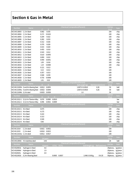|                             |                                          |                   |                |                                                                   | <b>Chemical Composition(Percent)</b>  |                     |                               | <b>Unit Size</b>           |             |
|-----------------------------|------------------------------------------|-------------------|----------------|-------------------------------------------------------------------|---------------------------------------|---------------------|-------------------------------|----------------------------|-------------|
| <b>Number</b>               | <b>Name</b>                              | $\mathsf{C}$      | S.             |                                                                   |                                       |                     |                               | (in g)                     | <b>Form</b> |
| <b>NCS NS 18003</b>         | C, S in Steel                            | 0.082             | 0.035          |                                                                   |                                       |                     |                               | 100                        | chip        |
| <b>NCS NS 18004</b>         | C, S in Steel                            | 0.171             | 0.0102         |                                                                   |                                       |                     |                               | 100                        | chip        |
| <b>NCS NS 18005</b>         | C, S in Steel                            | 0.204             | 0.022          |                                                                   |                                       |                     |                               | 100                        | chip        |
| <b>NCS NS 18006</b>         | C, S in Steel                            | 0.282             | 0.033          |                                                                   |                                       |                     |                               | 100                        | chip        |
| <b>NCS NS 18007</b>         | C, S in Steel                            | 0.312             | 0.026          |                                                                   |                                       |                     |                               | 100                        | chip        |
| <b>NCS NS 18008</b>         | C, S in Steel                            | 0.376             | 0.028          |                                                                   |                                       |                     |                               | 100                        | chip        |
| <b>NCS NS 18009</b>         | C, S in Steel                            | 0.415             | 0.020          |                                                                   |                                       |                     |                               | 100                        | chip        |
| NCS NS 18010 C, S in Steel  |                                          | 0.455             | 0.019          |                                                                   |                                       |                     |                               | 100                        | chip        |
| NCS NS 18011 C, S in Steel  |                                          | 0.543             | 0.012          |                                                                   |                                       |                     |                               | 100                        | chip        |
| NCS NS 18012 C, S in Steel  |                                          | 0.610             | 0.0095         |                                                                   |                                       |                     |                               | 100                        | chip        |
| NCS NS 18013 C, S in Steel  |                                          | 0.890             | 0.022          |                                                                   |                                       |                     |                               | 100                        | chip        |
| NCS NS 18014 C, S in Steel  |                                          | 0.990             | 0.0041         |                                                                   |                                       |                     |                               | 100                        | chip        |
| NCS NS 18015 C, S in Steel  |                                          | 1.09              | 0.018          |                                                                   |                                       |                     |                               | 100                        | chip        |
| NCS NS 18016 C, S in Steel  |                                          | 1.19              | 0.0080         |                                                                   |                                       |                     |                               | 100                        | chip        |
| NCS NS 18024 C, S in Steel  |                                          | 0.121             | 0.013          |                                                                   |                                       |                     |                               | 100                        |             |
| NCS NS 18025 C, S in Steel  |                                          | 0.15              | 0.013          |                                                                   |                                       |                     |                               | 100                        |             |
| NCS NS 18026 C, S in Steel  |                                          | 0.357             | 0.013          |                                                                   |                                       |                     |                               | 100                        |             |
| NCS NS 18027 C, S in Steel  |                                          | 0.586             | 0.039          |                                                                   |                                       |                     |                               | 100                        |             |
| <b>NCS NS 18028</b>         | C, S in Steel                            | 0.755             | 0.0098         |                                                                   |                                       |                     |                               | 100                        |             |
| <b>NCS NS 18029</b>         | C, S in Steel                            | 1.01              | 0.02           |                                                                   | <b>Chemical Composition (Percent)</b> |                     |                               | 100<br><b>Unit Size</b>    |             |
| <b>Number</b>               | Name                                     | $\circ$           | N              |                                                                   |                                       | Ball weight (g)     | Ball diameter(mm)             | (in g)                     | Form        |
|                             | NCS NS 21003b O and N in Bearing Steel   | 0.0012            | 0.0055         |                                                                   |                                       | $1.0673 \pm 0.0010$ | 6.26                          | 50                         | ball        |
|                             | NCS NS 21004a O and N in Bearing Steel   | 0.0022 0.0044     |                |                                                                   |                                       | $1.0673 \pm 0.0010$ | 6.26                          | 50                         | ball        |
| NCS NS 21004b O, N in steel |                                          | 0.0025 0.0038     |                |                                                                   |                                       | 1.0                 |                               | 50                         |             |
| <b>Number</b>               | Name                                     | $\circ$           | N              | $\mathsf{H}% _{\mathsf{H}}^{\ast}=\mathsf{H}_{\mathsf{H}}^{\ast}$ | <b>Chemical Composition (Percent)</b> |                     |                               | <b>Unit Size</b><br>(in g) | Form        |
|                             | NCS NS 21012-1 O, N, H in Titanium Alloy | 0.076             | 0.0090         | 0.0010                                                            |                                       |                     |                               |                            | bar         |
|                             | NCS NS 21012-2 O, N, H in Titanium Alloy | 0.096             | 0.0052 0.0009  |                                                                   |                                       |                     |                               |                            | bar         |
| <b>Number</b>               | Name                                     | N                 |                |                                                                   | <b>Chemical Composition (Percent)</b> |                     |                               | <b>Unit Size</b><br>(in g) | Form        |
| NCS NS 21013-1 N in Steel   |                                          | 0.075             |                |                                                                   |                                       |                     |                               | 100                        | chip        |
| NCS NS 21013-2 N in Steel   |                                          | 0.175             |                |                                                                   |                                       |                     |                               | 100                        | chip        |
| NCS NS 21013-3 N in Steel   |                                          | 0.222             |                |                                                                   |                                       |                     |                               | 100                        | chip        |
| NCS NS 21013-4 N in Steel   |                                          | 0.313             |                |                                                                   |                                       |                     |                               | 100                        | chip        |
| NCS NS 21013-5 N in Steel   |                                          | 0.540             |                |                                                                   |                                       |                     |                               | 100                        | chip        |
| NCS NS 21013-6 N in Steel   |                                          | 0.66              |                |                                                                   |                                       |                     |                               | 100                        | chip        |
| Number                      | Name                                     | $\mathsf{C}$      | $\overline{S}$ |                                                                   | <b>Chemical Composition (Percent)</b> |                     |                               | <b>Unit Size</b><br>(in g) | Form        |
| <b>NCS NS 21014</b>         | C, S in steel                            | 0.0021 0.0052     |                |                                                                   |                                       |                     |                               | 100                        |             |
| <b>NCS NS 21015</b>         | C, S in steel                            | $0.0010$ $0.0015$ |                |                                                                   |                                       |                     |                               | 100                        |             |
| NCS NS 21015a C, S in steel |                                          | 0.0012 0.0017     |                |                                                                   |                                       |                     |                               | 100                        |             |
|                             |                                          |                   |                |                                                                   | <b>Chemical Composition</b>           |                     |                               | <b>Unit Size</b>           |             |
| <b>Number</b>               | Name                                     |                   | $[H]$ ppm      |                                                                   |                                       |                     |                               | (in g)                     | Form        |
|                             | NCS NS 20042 H in stainless steel        | 3.55              |                |                                                                   | <b>Chemical Composition(Percent)</b>  |                     |                               | 20                         | ball        |
| <b>Number</b>               | Name                                     | H(ppm)            |                | $O(96)$ N(%)                                                      |                                       |                     | Ball Weight (g) Ball size(mm) | <b>Unit Size</b>           | Form        |
| NCS NS20001b                | Hydrogen in Steel                        |                   | 6.6            |                                                                   |                                       |                     |                               | 20 pieces,                 | 1g/piece    |
| NCS NS20006d                | Hydrogen in Steel                        | 1.9               |                |                                                                   |                                       |                     |                               | 20pieces, 1g/piece         |             |
| NCS NS20025c                | Hydrogen in Steel                        | 0.9               |                |                                                                   |                                       |                     |                               | 20pieces, 1g/piece         |             |
| NCS NS21002d                | O, N in Bearing Steel                    |                   |                | 0.0005 0.0057                                                     |                                       | $1.048 \pm 0.001$ g | D6.35                         | 50pieces,                  | 1g/piece    |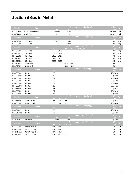| <b>Number</b>        |                        | Name        |              | $\circ$       |                   | N             | Chemical Composition(µg/g)                        | <b>Unit Size</b><br>(in g)         | Form |
|----------------------|------------------------|-------------|--------------|---------------|-------------------|---------------|---------------------------------------------------|------------------------------------|------|
| <b>NCS NS 21002</b>  | O N in Stainless Steel |             |              | $8.4 + 0.6$   |                   | $57 \pm 1$    |                                                   | 50 Pieces                          | ball |
| <b>NCS NS 21006</b>  | O N in G Cr15          |             |              | 94.3          |                   | 264           |                                                   | 50 Pieces                          | ball |
|                      |                        |             |              |               |                   |               | <b>Chemical Composition (Percent)</b>             | <b>Unit Size</b>                   |      |
| <b>Number</b>        |                        | Name        |              | $\mathsf{C}$  |                   | S             |                                                   | (in g)                             | Form |
| <b>NCS NS 28004</b>  | C S in Steel           |             |              | 0.416         |                   | 0.022         |                                                   | 100                                | chip |
| <b>NCS NS 28005</b>  | C S in Steel           |             |              | 0.462         |                   | 0.0096        |                                                   | 100                                | chip |
| <b>Number</b>        |                        | Name        | $\mathsf{C}$ | S             | $\circ$           |               | <b>Chemical Composition(Percent)</b><br>mass(g/p) | <b>Unit Size</b><br>(in g)         | Form |
| <b>NCS NS 28021</b>  | C S in Steel           |             | 0.16         | 0.028         |                   |               |                                                   | 100                                | chip |
| <b>NCS NS 28025</b>  | C S in Steel           |             | 0.330        | 0.024         |                   |               |                                                   | 100                                | chip |
| <b>NCS NS 28027</b>  | C S in Steel           |             | 0.523        | 0.017         |                   |               |                                                   | 100                                | chip |
| <b>NCS NS 28029</b>  | C S in Steel           |             | 0.465        | 0.020         |                   |               |                                                   | 100                                | chip |
| <b>NCS NS 28031</b>  | C S in Steel           |             | 0.985        | 0.012         |                   |               |                                                   | 100                                | chip |
| <b>NCS NS 28040</b>  | O, N in steel          |             |              |               |                   | 0.0125 0.0021 | 1                                                 | 50                                 |      |
| <b>NCS NS 28041</b>  | O, N in steel          |             |              |               |                   | 0.0015 0.0042 | $\mathbf 1$                                       | 50                                 |      |
|                      |                        |             |              |               |                   |               | Chemical Composition(µg/g)                        | <b>Unit Size</b>                   |      |
| <b>Number</b>        |                        | Name        | $[H]$        |               |                   |               |                                                   | (in g)                             | Form |
| <b>NCS NS 35001</b>  | H in steel             |             | 2.9          |               |                   |               |                                                   | 20 pieces                          |      |
| <b>NCS NS 35001a</b> | H in steel             |             | 3.0          |               |                   |               |                                                   | 20 pieces                          |      |
| <b>NCS NS 35002</b>  | H in steel             |             | 7.2          |               |                   |               |                                                   | 20 pieces                          |      |
| <b>NCS NS 35003</b>  | H in steel             |             | 0.8          |               |                   |               |                                                   | 20 pieces                          |      |
| <b>NCS NS 35003a</b> | H in steel             |             | 0.9          |               |                   |               |                                                   | 20 pieces                          |      |
| <b>NCS NS 35003b</b> | H in steel             |             | 1.3          |               |                   |               |                                                   | 20 pieces                          |      |
| <b>NCS NS 35004</b>  | H in steel             |             | 1.8          |               |                   |               |                                                   | 20 pieces                          |      |
| <b>NCS NS 35005</b>  | H in steel             |             | 2.2          |               |                   |               |                                                   | 20 pieces                          |      |
| <b>NCS NS 35006</b>  | H in steel             |             | 4.1          |               |                   |               |                                                   | 20 pieces                          |      |
| <b>Number</b>        |                        | Name        |              |               |                   |               | Chemical Composition(µg/g)                        | Unit Size                          | Form |
|                      |                        |             | $\Omega$     | N             | H                 |               |                                                   | (in g)                             |      |
| <b>NCS NS 35007</b>  | O, N, H in steel       |             | 33           | 305           | 5.8               |               |                                                   | 20 pieces                          |      |
| <b>NCS NS 35008</b>  | O, N, H in steel       |             | 38           | 330           | 1.6               |               |                                                   | 20 pieces                          |      |
| <b>Number</b>        |                        | Name        |              |               |                   |               | Chemical Composition(µg/g)                        | <b>Unit Size</b><br>$(in \varrho)$ | Form |
| <b>NCS NS35009</b>   | H in steel             |             | 0.5          |               |                   |               |                                                   | 20 pieces                          |      |
| <b>NCS NS35009a</b>  | H in steel             |             | 0.6          |               |                   |               |                                                   | 20 pieces                          |      |
| <b>Number</b>        |                        | <b>Name</b> | O(%)         |               |                   | $N(\%)$       | <b>Chemical Composition (Percent)</b>             | Unit Size<br>(in g)                | Form |
| <b>NCS NS 41007</b>  | O N in steel           |             |              | 0.0029        |                   | 0.0037        |                                                   | 20 pieces                          |      |
| <b>Number</b>        |                        | Name        | O            |               | $N$ mass( $g/p$ ) |               | <b>Chemical Composition (Percent)</b>             | <b>Unit Size</b><br>(in g)         | Form |
| <b>NCS NS 28036</b>  | O and N in Steel       |             |              | 0.0065 0.0067 | $\mathbf{1}$      |               |                                                   | 50                                 | ball |
| <b>NCS NS 28037</b>  | O and N in Steel       |             |              | 0.0035 0.0081 | $\mathbf{1}$      |               |                                                   | 50                                 | ball |
| <b>NCS NS 28037a</b> | O and N in Steel       |             |              | 0.0043 0.0100 | $\mathbf{1}$      |               |                                                   | 50                                 | ball |
| <b>NCS NS 28038</b>  | O and N in Steel       |             |              | 0.0037 0.0253 | 0.5               |               |                                                   | 50                                 | ball |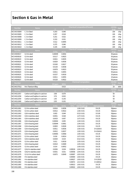|                     |                                 |              |             |         | <b>Chemical Composition (Percent)</b> |                   | Unit Size                   |       |
|---------------------|---------------------------------|--------------|-------------|---------|---------------------------------------|-------------------|-----------------------------|-------|
| <b>Number</b>       | Name                            | $\mathsf{C}$ | S           |         |                                       |                   | $(\textsf{in}\ \textsf{g})$ | Form  |
| <b>NCS NS 93004</b> | C. S in Steel                   | 0.293        | 0.040       |         |                                       |                   | 100                         | chip  |
| <b>NCS NS 93005</b> | C. S in Steel                   | 0.357        | 0.018       |         |                                       |                   | 100                         | chip  |
| <b>NCS NS 93008</b> | C. S in Steel                   | 0.251        | 0.022       |         |                                       |                   | 100                         | chip  |
| <b>NCS NS 93009</b> | C. S in Steel                   | 0.310        | 0.031       |         |                                       |                   | 100                         | chip  |
| <b>NCS NS 93011</b> | C. S in Steel                   | 0.512        | 0.0095      |         |                                       |                   | 100                         | chip  |
| <b>NCS NS 93012</b> | C. S in Steel                   | 0.375        | 0.046       |         |                                       |                   | 100                         | chip  |
| <b>NCS NS 93014</b> | C. S in Steel                   | 0.195        | 0.030       |         |                                       |                   | 100                         | chip  |
| <b>Number</b>       | Name                            | O(%)         | N(%)        |         | <b>Chemical Composition (Percent)</b> |                   | <b>Unit Size</b><br>(in g)  | Form  |
| NCS NS93017         | O, N in steel                   | 0.00049      | 0.0042      |         |                                       |                   | 50 pieces                   |       |
| <b>NCS NS93018</b>  | O, N in steel                   | 0.0117       | 0.0023      |         |                                       |                   | 50 pieces                   |       |
| <b>NCS NS93019</b>  | O, N in steel                   | 0.0021       | 0.0035      |         |                                       |                   | 50 pieces                   |       |
| <b>NCS NS93020</b>  | O, N in steel                   | 0.0029       | 0.0036      |         |                                       |                   | 50 pieces                   |       |
| <b>NCS NS93021</b>  | O, N in steel                   | 0.0160       | 0.0017      |         |                                       |                   | 50 pieces                   |       |
| <b>NCS NS93022</b>  | O, N in steel                   | 0.0130       | 0.0038      |         |                                       |                   | 50 pieces                   |       |
| <b>NCS NS93023</b>  | O, N in steel                   | 0.0078       | 0.0023      |         |                                       |                   | 50 pieces                   |       |
| NCS NS93024         | O, N in steel                   | 0.0011       | 0.0055      |         |                                       |                   | 50 pieces                   |       |
| <b>NCS NS93025</b>  | O, N in steel                   | 0.0157       | 0.0018      |         |                                       |                   | 10 pieces                   |       |
| <b>NCS NS93026</b>  | O, N in steel                   | 0.0011       | 0.0055      |         |                                       |                   | 10 pieces                   |       |
| <b>NCS NS93027</b>  | O, N in steel                   | 0.0120       | 0.0022      |         |                                       |                   | 50 pieces                   |       |
|                     |                                 |              |             |         | <b>Chemical Composition</b>           |                   | <b>Unit Size</b>            |       |
| <b>Number</b>       | Name                            | [H] ppm      | $N(\%)$     |         |                                       |                   | (in g)                      | Form  |
| <b>NCS NS 57012</b> | N in Titanium Alloy             |              | 0.013       |         |                                       |                   | 10                          | stick |
| <b>Number</b>       | Name                            | $\mathsf{C}$ | $\mathsf S$ |         | <b>Chemical Composition (Percent)</b> |                   | <b>Unit Size</b><br>(in g)  | Form  |
| <b>NCS NS11057</b>  | Carbon and Sulphur in cast iron | 3.98         | 0.079       |         |                                       |                   | 50                          |       |
| <b>NCS NS11058</b>  | Carbon and Sulphur in cast iron | 3.76         | 0.022       |         |                                       |                   | 50                          |       |
| <b>NCS NS11059</b>  | Carbon and Sulphur in cast iron | 1.95         | 0.143       |         |                                       |                   | 50                          |       |
| <b>NCS NS11060</b>  | Carbon and Sulphur in cast iron | 2.93         | 0.101       |         |                                       |                   | 50                          |       |
| <b>Number</b>       | Name                            |              |             |         | <b>Chemical Composition (Percent)</b> |                   | <b>Unit Size</b>            | Form  |
|                     |                                 | O(9/6)       | N(%)        | $H(\%)$ | Ball Weight (g)                       | Ball size(mm)     | (in g)                      |       |
| <b>NCS NS11061</b>  | O, N in carbon steel            | 0.0016       | 0.0036      |         | $1.06 \pm 0.01$                       | D6.35             | 50piece                     |       |
| <b>NCS NS11062</b>  | O, N in carbon steel            | 0.0012       | 0.0022      |         | $1.06 \pm 0.01$                       | D6.35             | 50piece                     |       |
| <b>NCS NS11063</b>  | O,N in stainless steel          | 0.003        | 0.044       |         | $0.52 \pm 0.01$                       | D <sub>5.00</sub> | 50piece                     |       |
| <b>NCS NS11064</b>  | O,N in stainless steel          | 0.0051       | 0.028       |         | $1.07 \pm 0.01$                       | D <sub>6.35</sub> | 50piece                     |       |
| <b>NCS NS11065</b>  | O,N in stainless steel          | 0.0019       | 0.007       |         | $1.07 \pm 0.01$                       | D <sub>6.35</sub> | 50piece                     |       |
| <b>NCS NS11066</b>  | O,N in bearing steel            | 0.00042      | 0.005       |         | $1.04 \pm 0.01$                       | D <sub>6.35</sub> | 50piece                     |       |
| <b>NCS NS11067</b>  | O,N in bearing steel            | 0.00044      | 0.0061      |         | $1.04 \pm 0.01$                       | D <sub>6.35</sub> | 50piece                     |       |
| <b>NCS NS11068</b>  | O,N in bearing steel            | 0.0003       | 0.0028      |         | $1.04 \pm 0.01$                       | D 6.35            | 50piece                     |       |
| <b>NCS NS11069</b>  | O,N in bearing steel            | 0.0011       | 0.0036      |         | $1.00 \pm 0.01$                       | D4.20x9.6         | 50piece                     |       |
| <b>NCS NS11070</b>  | O,N in bearing steel            | 0.0012       | 0.0037      |         | $1.00 \pm 0.01$                       | D4.20x9.6         | 50piece                     |       |
| <b>NCS NS11071</b>  | O,N in bearing steel            | 0.00065      | 0.0068      |         | $1.00 \pm 0.01$                       | D 6.35            | 50piece                     |       |
| <b>NCS NS11072</b>  | O, N in carbon steel            | 0.018        | 0.0014      |         | $1.07 \pm 0.01$                       | D <sub>6.35</sub> | 50piece                     |       |
| <b>NCS NS11073</b>  | O,N in stainless steel          | 0.0034       | 0.019       |         | $0.52 \pm 0.01$                       | D 5.00            | 50piece                     |       |
| <b>NCS NS11074</b>  | O, N in carbon steel            | 0.011        | 0.0018      |         | $1.05 \pm 0.01$                       | D <sub>6.35</sub> | 50piece                     |       |
| <b>NCS NS11075</b>  | O,N in bearing steel            | 0.0014       | 0.0089      |         | $1.05 \pm 0.01$                       | D <sub>6.35</sub> | 50piece                     |       |
| <b>NCS NS11076</b>  | O, N in carbon steel            | 0.014        | 0.0052      |         | $1.00 \pm 0.01$                       | D 6.35            | 50piece                     |       |
| <b>NCS NS11077</b>  | O,N,H in stainless steel        | 0.0036       | 0.034       | 0.00018 | $1.04 + 0.01$                         | D <sub>6.35</sub> | 50piece                     |       |
| <b>NCS NS11078</b>  | O,N,H in stainless steel        | 0.0031       | 0.031       | 0.00058 | $1.04 + 0.01$                         | D <sub>6.35</sub> | 50piece                     |       |
| <b>NCS NS11079</b>  | O, N, H in carbon steel         | 0.0075       | 0.0049      | 0.00007 | $1.05 \pm 0.01$                       | D <sub>6.35</sub> | 50piece                     |       |
| <b>NCS NS11080</b>  | H in stainless steel            |              |             | 0.00064 | $1.06 \pm 0.01$                       | D 6.35            | 20piece                     |       |
| <b>NCS NS11081</b>  | H in stainless steel            |              |             | 0.00027 | $1.00 \pm 0.01$                       | D4.10X10          | 20piece                     |       |
| <b>NCS NS11082</b>  | H in stainless steel            |              |             | 0.00072 | $1.01 \pm 0.01$                       | D 3.80X12         | 20piece                     |       |
| <b>NCS NS11083</b>  | H in stainless steel            |              |             | 0.00013 | $1.06 \pm 0.01$                       | D 6.35            | 20piece                     |       |
| <b>NCS NS11084</b>  | H in stainless steel            |              |             | 0.00022 | $1.06 \pm 0.01$                       | D <sub>6.35</sub> | 20piece                     |       |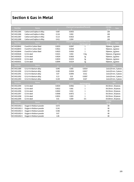|                      |                             |                   |        | <b>Chemical Composition (Percent)</b> | <b>Unit Size</b>                |
|----------------------|-----------------------------|-------------------|--------|---------------------------------------|---------------------------------|
| <b>Number</b>        | Name                        | $\overline{C}$    |        |                                       | Form<br>(in g)                  |
| <b>NCS NS11085</b>   | Carbon and Sulphur in Alloy | 0.087             | 0.0053 |                                       | 100                             |
| <b>NCS NS11086</b>   | Carbon and Sulphur in Alloy | 0.116             | 0.002  |                                       | 100                             |
| <b>NCS NS11087</b>   | Carbon and Sulphur in Alloy | 0.113             | 0.0023 |                                       | 100                             |
| <b>NCS NS11088</b>   | Carbon and Sulphur in Alloy | 0.411             | 0.004  |                                       | 100                             |
| <b>Number</b>        | Name                        |                   |        | <b>Chemical Composition(Percent)</b>  | <b>Unit Size</b><br><b>Form</b> |
| NCS NS28042          | O and N in Carbon Steel     | $\circ$<br>0.0033 | 0.0047 | Ball Weight (g)                       | $(in \varrho)$                  |
|                      | O and N in Carbon Steel     |                   |        | 1                                     | 50pieces, 1g/piece              |
| <b>NCS NS28043</b>   | O and N in Carbon Steel     | 0.0021            | 0.0034 | $\mathbf{1}$<br>$\mathbf{1}$          | 50pieces, 1g/piece              |
| <b>NCS NS28044</b>   |                             | 0.0023            | 0.0026 |                                       | 50pieces, 1g/piece              |
| <b>NCS NS93028</b>   | O, N in steel               | 0.0221            | 0.002  | 0.5g                                  | 50pieces, 0.5g/piece            |
| <b>NCS NS93029</b>   | O, N in steel               | 0.0024            | 0.0826 | 1g                                    | 50pieces, 1g/piece              |
| <b>NCS NS93030</b>   | O, N in steel               | 0.0033            | 0.0233 | 1g                                    | 50pieces, 1g/piece              |
| <b>NCS NS93031</b>   | O, N in steel               | 0.0044            | 0.0214 | 1g                                    | 50pieces, 1g/piece              |
| <b>Number</b>        | Name                        | $\circ$           | N      | H                                     | <b>Size</b>                     |
| <b>NCS NS11089</b>   | O, N, H in titanium alloy   | 0.045             | 0.005  | 0.0014                                | 2x2x120 mm, 5 pieces            |
| <b>NCS NS11090</b>   | O, N, H in titanium alloy   | 0.285             | 0.0034 | 0.0017                                | 2x2x120 mm, 5 pieces            |
| <b>NCS NS11091</b>   | O, N, H in titanium alloy   | 0.07              | 0.0095 | 0.012                                 | 2x2x120 mm, 5 pieces            |
| <b>NCS NS11092</b>   | O, N, H in titanium alloy   | 0.13              | 0.03   | 0.0097                                | 2x2x120 mm, 5 pieces            |
| <b>NCS NS11093</b>   | O, N, H in titanium alloy   | 0.144             | 0.0097 | 0.027                                 | 2x2x120 mm, 5 pieces            |
| <b>Number</b>        | Name                        |                   |        |                                       | <b>Size</b>                     |
|                      |                             | O(9/6)            | N(%)   | Ball Weight(g)                        |                                 |
| <b>NCS NS11094</b>   | O, N in steel               | 0.0019            | 0.0062 | 1                                     | D6.35mm, 50 pieces              |
| <b>NCS NS11095</b>   | O, N in steel               | 0.0022            | 0.081  | $\mathbf{1}$                          | D6.35mm, 50 pieces              |
| <b>NCS NS11096</b>   | O, N in steel               | 0.0042            | 0.022  | $\mathbf{1}$                          | D6.35mm, 50 pieces              |
| <b>NCS NS11097</b>   | O, N in steel               | 0.0008            | 0.0072 | $\mathbf{1}$                          | D6.35mm, 50 pieces              |
| <b>NCS NS11098</b>   | O, N in steel               | 0.0031            | 0.003  | $\mathbf{1}$                          | D6.35mm, 50 pieces              |
| <b>NCS NS11099</b>   | O, N in steel               | 0.01              | 0.069  | 0.5                                   | D5.00mm, 50 pieces              |
| <b>Number</b>        | Name                        | $\circ$           |        |                                       | <b>Unit Size</b><br>(in g)      |
| <b>NCS NS51002-1</b> | Oxygen in Niobium powder    | 0.073             |        |                                       | 80                              |
| <b>NCS NS51002-2</b> | Oxygen in Niobium powder    | 0.141             |        |                                       | 80                              |
| <b>NCS NS51002-3</b> | Oxygen in Niobium powder    | 0.366             |        |                                       | 80                              |
| <b>NCS NS51002-4</b> | Oxygen in Niobium powder    | 0.67              |        |                                       | 80                              |
| NCS NS51002-5        | Oxygen in Niobium powder    | 1.06              |        |                                       | 80                              |
|                      |                             |                   |        |                                       |                                 |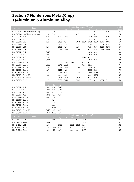|                                              |                                     |        |               |       |       |       |        |       | <b>Chemical Composition(Percent)</b> |       |       |       | <b>Unit Size</b> |
|----------------------------------------------|-------------------------------------|--------|---------------|-------|-------|-------|--------|-------|--------------------------------------|-------|-------|-------|------------------|
| <b>Number</b>                                | Name                                | Cu     | Sn            | Zn    | Mg    | P.    | Ni.    | Cr    | Mn                                   | Fe    | TL.   | Si.   | (in g)           |
|                                              | NCS HC 28933 Low Tin Aluminum Alloy | 2.53   | 7.05          |       |       |       | 1.88   |       |                                      | 0.32  |       | 0.56  | 75               |
|                                              | NCS HC 28934 Low Tin Aluminum Alloy | 1.52   | 7.40          |       |       |       | 0.77   |       |                                      | 0.31  |       | 3.83  | 75               |
| NCS HC 28938 ZL202                           |                                     | 9.91   |               | 0.23  | 0.076 |       |        |       | 0.192                                | 0.575 |       | 0.50  | 75               |
| NCS HC 28939 ZL203                           |                                     | 3.91   |               | 0.235 |       |       |        |       | 0.187                                | 0.57  |       | 0.52  | 75               |
| NCS HC 28942 LD6                             |                                     | 2.28   |               | 0.053 | 0.65  |       | 0.0048 | 0.037 | 0.423                                | 0.397 | 0.076 | 0.476 | 50               |
| <b>NCS HC 28944</b>                          | LD <sub>8</sub>                     | 2.29   |               | 0.065 | 1.33  |       | 1.38   |       | 0.081                                | 1.17  | 0.055 | 0.99  | 100              |
| NCS HC 28945 LD9                             |                                     | 3.41   |               | 0.073 | 0.60  |       | 1.73   |       | 0.22                                 | 0.70  | 0.024 | 0.575 | 50               |
| NCS HC 28951 LY16                            |                                     | 7.44   |               | 0.166 | 0.076 |       | 0.032  |       | 0.63                                 | 0.247 | 0.146 | 0.196 | 100              |
| NCS HC 28959 AL-2                            |                                     | 0.073  |               |       |       |       |        |       | 0.0050                               | 0.35  |       |       | 90               |
| NCS HC 28960 AL-1                            |                                     | 0.0082 |               |       |       |       |        |       | 0.0020                               | 0.20  |       |       | 70               |
| NCS HC 28961 AL-3                            |                                     | 0.115  |               |       |       |       |        | 0.010 | 0.79                                 |       |       |       | 70               |
| NCS HC 28963 AL-0                            |                                     | 0.011  |               |       |       |       |        |       | 0.0029                               | 0.18  |       |       | 70               |
| NCS HC 28966 ZL103A                          |                                     | 1.79   |               | 0.200 | 0.345 | 0.012 |        | 0.32  | 0.23                                 |       |       |       | 75               |
| NCS HC 28967 ZL104A                          |                                     | 0.300  |               | 0.242 | 0.280 |       |        | 0.35  | 0.175                                |       |       |       | 75               |
| NCS HC 28968 ZL105A                          |                                     | 1.62   |               | 0.264 | 0.425 |       | 0.099  |       | 0.164                                | 0.22  |       |       | 50               |
| NCS HC 28969 ZL106A                          |                                     | 1.74   |               | 0.213 | 0.27  |       |        |       | 0.362                                | 0.28  |       |       | 75               |
| NCS HC 28970 ZL108A                          |                                     | 1.42   |               | 0.157 | 0.39  |       | 0.027  |       | 0.378                                | 0.275 |       |       | 100              |
| NCS HC 28971 ZL108+RE                        |                                     | 1.88   |               | 0.23  | 0.56  |       |        |       | 0.60                                 | 0.224 |       |       | 100              |
| NCS HC 28973 ZL108A+RE                       |                                     | 1.71   |               | 0.593 | 0.697 |       | 0.0245 |       | 0.44                                 | 0.39  |       |       | 100              |
| NCS HC 28974 ZL107                           |                                     | 3.73   |               | 0.385 | 0.071 |       | 0.048  |       | 0.062                                | 0.51  | 0.005 | 7.03  | 50               |
|                                              |                                     |        |               |       |       |       |        |       |                                      |       |       |       |                  |
|                                              |                                     | TL.    | Si.           | RE.   |       |       |        |       |                                      |       |       |       |                  |
| NCS HC 28959 AL-2                            |                                     | 0.0015 | 0.52          | 0.075 |       |       |        |       |                                      |       |       |       |                  |
| NCS HC 28960 AL-1                            |                                     | 0.0015 | 0.20          | 0.143 |       |       |        |       |                                      |       |       |       |                  |
| NCS HC 28961 AL-3                            |                                     | 0.0025 | 0.79          | 0.163 |       |       |        |       |                                      |       |       |       |                  |
| NCS HC 28963 AL-0                            |                                     | 0.0022 | 0.15          | 0.92  |       |       |        |       |                                      |       |       |       |                  |
| NCS HC 28966 ZL103A                          |                                     | 0.0032 | 5.96          |       |       |       |        |       |                                      |       |       |       |                  |
| NCS HC 28967 ZL104A<br>NCS HC 28968 ZL105A   |                                     |        | 9.38<br>5.68  |       |       |       |        |       |                                      |       |       |       |                  |
| NCS HC 28969 ZL106A                          |                                     |        |               |       |       |       |        |       |                                      |       |       |       |                  |
|                                              |                                     |        | 8.35          |       |       |       |        |       |                                      |       |       |       |                  |
| NCS HC 28970 ZL108A<br>NCS HC 28971 ZL108+RE |                                     | 0.026  | 10.14<br>9.74 | 0.72  |       |       |        |       |                                      |       |       |       |                  |
|                                              |                                     | 0.0105 |               | 1.06  |       |       |        |       |                                      |       |       |       |                  |
| NCS HC 28973 ZL108A+RE                       |                                     |        | 11.70         |       |       |       |        |       | <b>Chemical Composition(Percent)</b> |       |       |       | <b>Unit Size</b> |
| <b>Number</b>                                | Name                                | Cu     | Zn            | Mg    | Ni.   | As    | TL.    | SI    |                                      |       |       |       | (in g)           |
| NCS HC 41913 LD7                             |                                     | 2.18   | 0.0094        | 1.58  | 1.15  | 1.22  | 0.12   | 0.094 |                                      |       |       |       | 100              |
| NCS HC 41915 Al-00                           |                                     | 0.0034 |               |       |       | 0.106 |        | 0.099 |                                      |       |       |       | 100              |
| NCS HC 41916 LD2                             |                                     | 1.07   |               | 0.758 |       | 0.332 | 0.080  | 1.05  |                                      |       |       |       | 100              |
| NCS HC 41917 ZL103                           |                                     | 2.55   | 0.097         | 0.55  |       | 0.33  |        | 5.66  |                                      |       |       |       | 100              |
| NCS HC 41918 ZL108                           |                                     | 1.29   | 0.2           | 0.74  |       | 0.23  | 0.01   | 11.87 |                                      |       |       |       | 100              |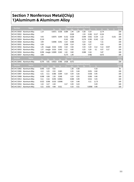| <b>Number</b>       | <b>Name</b>    |       |              |               |           |                |                 |      | <b>Chemical Composition (Percent)</b> |        |       |       |           |       | <b>Unit Size</b> |
|---------------------|----------------|-------|--------------|---------------|-----------|----------------|-----------------|------|---------------------------------------|--------|-------|-------|-----------|-------|------------------|
|                     |                | Cu    |              | <b>Sn</b>     | Pb        | Z <sub>n</sub> | Mg <sub>1</sub> | Ni.  | Mn                                    | Fe     | Ti.   | Si.   | <b>Be</b> | Zr    | $(\text{in }g)$  |
| <b>NCS HC 50920</b> | Aluminum Alloy | 1.14  |              | 0.0071        | 0.038     | 0.084          | 1.44            | 1.04 | 0.38                                  | 0.19   |       | 12.74 |           |       | 100              |
| <b>NCS HC 50922</b> | Aluminum Alloy |       |              |               |           |                | 0.028           |      | 1.53                                  | 0.282  | 0.117 | 0.216 |           |       | 100              |
| <b>NCS HC 50923</b> | Aluminum Alloy | 4.43  |              | 0.0075        | 0.044     | 0.152          | 0.028           |      | 0.094                                 | 0.662  | 0.154 | 1.22  |           | 0.101 | 100              |
| <b>NCS HC 50924</b> | Aluminum Alloy | 0.114 |              |               |           | 0.141          | 4.96            |      | 0.274                                 | 0.392  | 0.142 | 1.22  |           |       | 100              |
| <b>NCS HC 50928</b> | Aluminum Alloy | 3.99  |              | 0.0096        | 0.041     | 0.19           | 0.085           |      | 0.23                                  | 0.26   |       | 7.21  |           |       | 100              |
| <b>NCS HC 50931</b> | Aluminum Alloy | 0.28  |              |               |           | 12.80          | 0.14            |      | 0.26                                  | 0.27   |       | 6.93  |           |       | 100              |
| <b>NCS HC 50932</b> | Aluminum Alloy | 1.45  | margin 0.016 |               | 0.042     | 0.18           | 0.58            |      | 0.33                                  | 0.20   | 0.12  | 5.12  | 0.037     |       | 100              |
| <b>NCS HC 50933</b> | Aluminum Allov | 1.57  | margin       | 0.016         | 0.043     | 0.12           | 0.60            |      | 0.25                                  | 0.26   | 0.1   | 9.57  | 0.17      |       | 100              |
| <b>NCS HC 50934</b> | Aluminum Alloy | 0.096 |              | margin 0.0085 | 0.043     | 1.62           | 0.60            |      | 0.088                                 | 0.18   |       | 5.87  |           |       | 100              |
| <b>NCS HC 50937</b> | Aluminum Alloy | 3.98  |              |               |           | 0.175          | 1.49            |      |                                       | 0.482  |       | 0.673 |           |       | 100              |
|                     |                |       |              |               |           |                |                 |      | <b>Chemical Composition (Percent)</b> |        |       |       |           |       | <b>Unit Size</b> |
| <b>Number</b>       | <b>Name</b>    | Cu    | Sn           | Fe.           | As.       | Sb             | <b>Bi</b>       |      |                                       |        |       |       |           |       | $(\text{in g})$  |
| <b>NCS HC 50942</b> | Aluminum Alloy | 0.376 | 9.81         | 0.0023        | 0.068     | 14.88          | 0.072           |      |                                       |        |       |       |           |       | 100              |
|                     |                |       |              |               |           |                |                 |      | <b>Chemical Composition (Percent)</b> |        |       |       |           |       | <b>Unit Size</b> |
| <b>Number</b>       | <b>Name</b>    | Cu.   | Zn           | Mg            | <b>Ni</b> | Cr             | Mn              | Fe   | <b>Sb</b>                             | -Ti    | Si.   |       |           |       | (in g)           |
| <b>NCS HC 53902</b> | Aluminum Alloy | 0.095 | 0.10         | 0.02          |           |                | 1.38            | 0.38 |                                       |        | 0.18  |       |           |       | 50               |
| <b>NCS HC 53906</b> | Aluminum Alloy | 4.12  | 0.25         | 0.52          | 0.083     |                | 0.35            | 0.44 |                                       | 0.051  | 0.60  |       |           |       | 100              |
| <b>NCS HC 53907</b> | Aluminum Alloy | 6.31  | 0.11         | 0.086         | 0.094     | 0.19           | 0.39            | 0.26 |                                       | 0.038  | 0.45  |       |           |       | 100              |
| <b>NCS HC 53908</b> | Aluminum Alloy | 0.098 | 0.08         | 2.30          | 0.048     |                | 0.29            | 0.55 |                                       | 0.096  | 0.40  |       |           |       | 100              |
| <b>NCS HC 53913</b> | Aluminum Alloy | 0.11  | 0.16         | 0.055         | 0.0061    |                | 0.080           | 0.49 |                                       | 0.012  | 5.55  |       |           |       | 100              |
| <b>NCS HC 53914</b> | Aluminum Alloy | 0.015 | 0.096        | 0.010         | 0.0048    |                | 0.20            | 0.48 |                                       | 0.11   | 11.75 |       |           |       | 100              |
| <b>NCS HC 53916</b> | Aluminum Alloy | 1.52  | 6.17         | 2.44          |           | 0.17           | 0.39            | 0.23 |                                       |        | 0.29  |       |           |       | 100              |
| <b>NCS HC 53917</b> | Aluminum Alloy | 0.21  | 0.053        | 4.98          | 0.011     |                | 0.16            | 0.51 |                                       | 0.0098 | 0.40  |       |           |       | 100              |
|                     |                |       |              |               |           |                |                 |      |                                       |        |       |       |           |       |                  |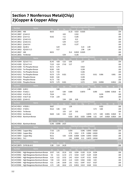#### Section 7 Nonferrous Metal(Chip) 2)Copper & Copper Alloy

| <b>Number</b>                                     | Name                             |               |                      |                |                   |            | <b>Chemical Composition(Percent)</b>  |           |               |             |           |               | <b>Unit Size</b>                               |
|---------------------------------------------------|----------------------------------|---------------|----------------------|----------------|-------------------|------------|---------------------------------------|-----------|---------------|-------------|-----------|---------------|------------------------------------------------|
|                                                   |                                  | Cu            | AI                   | Sn             | Zn                | P<br>0.023 | Fe.<br>0.0105                         | <b>Si</b> |               |             |           |               | (in g)                                         |
| NCS HC 28901 H68                                  |                                  | 68.55         |                      | 4.02           | 31.33             | 0.322      |                                       |           |               |             |           |               | 100<br>100                                     |
| NCS HC 28907 Q Sn4-0.3<br>NCS HC 28910 Q Sn7-0.2  |                                  | 92.62         |                      | 7.11           |                   | 0.185      |                                       |           |               |             |           |               | 100                                            |
| NCS HC 28911 Q Sn6.5-0.1                          |                                  |               |                      | 6.25           |                   | 0.21       |                                       |           |               |             |           |               | 100                                            |
|                                                   |                                  |               |                      | 6.44           |                   | 0.137      |                                       |           |               |             |           |               |                                                |
|                                                   |                                  |               |                      | 6.35           |                   | 0.137      |                                       |           |               |             |           |               | 100                                            |
| NCS HC 28913 Q Sn6.5-0.4<br>NCS HC 28920 ZQ Al9-2 |                                  |               | 8.29                 |                |                   |            | 0.14                                  | 2.09      |               |             |           |               | 100<br>100                                     |
|                                                   |                                  |               | 9.17                 |                |                   |            | 2.98                                  | 1.64      |               |             |           |               | 100                                            |
| NCS HC 28922 ZQ A10-3-1.5                         |                                  |               |                      |                |                   |            | 0.0023 0.0105                         |           |               |             |           |               |                                                |
| NCS HC 28927 H68<br>NCS HC 28931 Tin Bronze       |                                  | 68.52         |                      | 6.54           | 31.4              | 0.136      |                                       |           |               |             |           |               | 100<br>100                                     |
|                                                   |                                  |               |                      |                |                   |            | <b>Chemical Composition (Percent)</b> |           |               |             |           |               | <b>Unit Size</b>                               |
| <b>Number</b>                                     | Name                             | Cu            | Sn                   | Pb             | Z <sub>n</sub>    | S.         | P.                                    | Ni.       | Fe            | Sb          | Bi.       | Si.           | (in g)                                         |
| NCS HC 41904 ZQ Sn3-7-5-1                         |                                  | 81.45         | 4.08                 | 6.16           | 6.96              |            | 1.07                                  |           |               |             |           |               | 100                                            |
| NCS HC 41905 ZQ Sn17-4-4                          |                                  | 72.25         | 4.24                 | 17.62          | 5.37              |            |                                       |           |               |             |           |               | 100                                            |
|                                                   | NCS HC 41909 Tin-Phosphor Bronze | 93.72         | 5.79                 |                |                   |            | 0.423                                 |           |               |             |           |               | 150                                            |
|                                                   | NCS HC 41910 Tin-Phosphor Bronze | 92.85         | 6.82                 |                |                   |            | 0.238                                 |           |               |             |           |               | 100                                            |
|                                                   | NCS HC 41911 Tin-Phosphor Bronze | 91.73         | 7.93                 |                |                   |            | 0.106                                 |           |               |             |           |               | 100                                            |
|                                                   | NCS HC 41912 Tin-Phosphor Bronze | 93.70         | 5.79                 | 0.021          |                   |            | 0.372                                 |           | 0.011         | 0.006       |           | 0.001         | 100                                            |
|                                                   | NCS HC 41924 Phosphor Bronze     | 92.85         | 6.82                 |                |                   |            | 0.238                                 |           |               |             |           |               | 150                                            |
| <b>NCS HC 41925</b>                               | Phosphor Bronze                  | 91.73         | 7.92                 |                |                   |            | 0.106                                 |           |               |             |           |               | 150                                            |
|                                                   | NCS HC 41926 Phosphor Bronze     | 93.70         | 5.79                 | 0.021          |                   |            | 0.372                                 |           | 0.011         | 0.0058      |           | 0.0012        | 150                                            |
| <b>Number</b>                                     | Name                             |               |                      |                |                   |            | <b>Chemical Composition (Percent)</b> |           |               |             |           |               | <b>Unit Size</b>                               |
|                                                   |                                  | Cu            | AI                   | Sn             | <b>Pb</b>         | Zn         | P                                     | Mn        | Fe            | As          | Sb        | Bi            | (in g)                                         |
| <b>NCS HC 43909</b>                               | Q AI9-2                          |               | 9.80                 |                |                   |            |                                       | 2.46      |               |             |           |               | 80                                             |
| NCS HC 43914 H Sn62-1                             |                                  | 61.67         |                      | 0.89           | 0.089             |            | 0.0070                                |           | 0.090         |             |           | 0.0048 0.0018 | 60                                             |
| NCS HC 43918 H Sn70-1A                            |                                  | 70.04         |                      | 0.91           |                   |            |                                       |           |               | 0.039       |           |               | 100                                            |
| NCS HC 43919 H AI177-2A                           |                                  | 77.39         | 2.04                 |                |                   |            |                                       |           |               | 0.044       |           |               | 100                                            |
| NCS HC 43925 Q Sn6-6-2                            |                                  |               |                      | 5.94           | 2.90              | 6.06       |                                       |           |               |             |           |               | 50                                             |
| <b>Number</b>                                     | Name                             |               |                      |                |                   |            | <b>Chemical Composition(Percent)</b>  |           |               |             |           |               | <b>Unit Size</b>                               |
| NCS HC 45913 H Pb59-1                             |                                  | Cu<br>58.87   | AI                   | Sn             | <b>Pb</b><br>1.30 | Zn         | Mg                                    | P.        | Mn            | Fe<br>0.022 | <b>Sb</b> | Bi.           | (in g)<br>100                                  |
| NCS HC 45914 H Te59-1                             |                                  | 59.22         | 0.46                 | 0.54           |                   |            |                                       |           | 0.73          | 0.88        |           |               | 100                                            |
| NCS HC 45915 Tin Bronze                           |                                  |               |                      | 3.55           | 1.97              | 3.92       |                                       |           |               |             |           |               | 100                                            |
| NCS HC 45916 Iron Bronze                          |                                  | 58.00         | 0.26                 | 0.54           | 0.19              |            |                                       | 0.0076    | 0.73          | 0.89        |           | 0.0091 0.0024 | 50                                             |
|                                                   | NCS HC 45918 Aluminum Bronze     |               |                      |                | 0.019             | 20.81      | 0.033                                 | 0.0048    | 0.32          | 0.47        | 0.0020    | 0.0019        | 100                                            |
|                                                   |                                  |               |                      |                |                   |            |                                       |           |               |             |           |               |                                                |
|                                                   |                                  | Si.           | As                   | Ni             |                   |            |                                       |           |               |             |           |               |                                                |
|                                                   | NCS HC 45918 Aluminum Bronze     | 0.146         | 0.0098               | 14.87          |                   |            |                                       |           |               |             |           |               |                                                |
| Number                                            | Name                             |               |                      |                |                   |            | <b>Chemical Composition (Percent)</b> |           |               |             |           |               | Unit Size                                      |
|                                                   |                                  | Cu            | $\mathsf{Al}\xspace$ | Sn             | Pb.               | P          | Fe                                    | <b>Sb</b> | Bi            |             |           |               | $\overline{(\text{in g})}$                     |
| NCS HC 50902 Copper Alloy                         |                                  | 77.05         | 2.35                 |                | 0.054             |            | 0.046                                 | 0.0043    | 0.0020        |             |           |               | 100                                            |
| NCS HC 50904 Copper Alloy                         |                                  | 57.54         |                      |                | 0.78              | 0.012      | 0.78                                  |           | 0.0082 0.0020 |             |           |               | 100                                            |
| NCS HC 50907 Copper Alloy                         |                                  | 90.31         |                      | 0.50           | 0.035             | 0.0064     | 0.044                                 |           | 0.0043 0.0020 |             |           |               | 100                                            |
| NCS HC 50911 74-3                                 |                                  | 74.54         |                      |                | 2.82              | 0.0069     | 0.11                                  |           | 0.0070 0.0018 |             |           |               | 100                                            |
| Number                                            | Name                             | Cu            | Sn                   | S <sub>b</sub> |                   |            | <b>Chemical Composition (Percent)</b> |           |               |             |           |               | <b>Unit Size</b><br>$\overline{(\text{in g})}$ |
| <b>NCS HC 28979</b>                               | Ch Pb Sb 14-5                    | 0.38          | 5.14                 | 14.20          |                   |            |                                       |           |               |             |           |               | 100                                            |
| <b>Number</b>                                     | Name                             |               |                      |                |                   |            | <b>Chemical Composition (Percent)</b> |           |               |             |           |               | <b>Unit Size</b>                               |
|                                                   |                                  | $\mathsf{Al}$ | Fe                   | Mn             | Ni.               | Pb         | Si.                                   | Zn        | C.            |             |           |               | (in g)                                         |
| NCS HC93901                                       | High Manganese Aluminum Bronze   | 10.97         | 5.41                 | 10.16          | 3.02              | 0.034      | 0.183                                 | 0.114     | 0.034         |             |           |               | 100                                            |
| NCS HC93902                                       | High Manganese Aluminum Bronze   | 9.6           | 4.21                 | 11.53          | 2.72              | 0.018      | 0.107                                 | 0.224     | 0.029         |             |           |               | 100                                            |
| NCS HC93903                                       | High Manganese Aluminum Bronze   | 8.16          | 3.22                 | 13.52          | 2.42              | 0.014      | 0.147                                 | 0.312     | 0.025         |             |           |               | 100                                            |
| NCS HC93904                                       | High Manganese Aluminum Bronze   | 7.84          | 3.16                 | 14.53          | 2.14              | 0.025      | 0.062                                 | 0.464     | 0.03          |             |           |               | 100                                            |
| NCS HC93905                                       | High Manganese Aluminum Bronze   | 6.51          | 2.46                 | 16.69          | 1.81              | 0.011      | 0.047                                 | 0.517     | 0.027         |             |           |               | 100                                            |
| NCS HC93906                                       | High Manganese Aluminum Bronze   | 4.73          | 1.85                 | 18.62          | 1.53              | 0.0012     | 0.013                                 | 0.628     | 0.011         |             |           |               | 100                                            |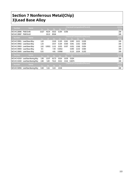#### Section 7 Nonferrous Metal(Chip) 3)Lead Base Alloy

| <b>Number</b>       | Name                    |           |           |                |                |           |                |               | Chemical Composition(Percent)         | Unit Size        |
|---------------------|-------------------------|-----------|-----------|----------------|----------------|-----------|----------------|---------------|---------------------------------------|------------------|
|                     |                         | Cu        | Sn        | P <sub>b</sub> | <b>Sb</b>      | Bi.       |                |               |                                       | (in g)           |
| <b>NCS HC 28986</b> | Pb60 Sn40               | 0.027     | 40.54     | 59.02          | 0.354          | 0.056     |                |               |                                       | 100              |
| <b>NCS HC 28987</b> | Pb90 Sn10               |           | 10.12     | 89.84          |                |           |                |               |                                       | 100              |
| <b>Number</b>       | <b>Name</b>             |           |           |                |                |           |                |               | Chemical Composition (Percent)        | <b>Unit Size</b> |
|                     |                         | <b>Cu</b> | Al.       | <b>Sn</b>      | Z <sub>n</sub> | Fe.       | As:            | <sub>Sb</sub> | Bi                                    | (in g)           |
| <b>NCS HC 39901</b> | Lead Base Alloy         | 1.63      |           | 15.69          | 0.105          | 0.041     | 0.065          | 16.01         | 0.028                                 | 100              |
| <b>NCS HC 39902</b> | Lead Base Alloy         | 1.25      |           | 19.57          | 0.104          | 0.030     | 0.041          | 13.81         | 0.038                                 | 100              |
| <b>NCS HC 39903</b> | Lead Base Alloy         | 2.62      | 0.0021    | 11.01          | 0.035          | 0.037     | 0.052          | 13.86         | 0.054                                 | 100              |
| NCS HC 39904        | Lead Base Alloy         | 0.5       |           | 7.44           | 0.0052         |           | 0.095          | 12.02         | 0.069                                 | 100              |
| <b>NCS HC 39905</b> | Lead Base Alloy         | 0.31      |           | 4.81           | 0.0068         |           | 0.115          | 10.04         | 0.103                                 | 100              |
|                     |                         |           |           |                |                |           |                |               | <b>Chemical Composition (Percent)</b> | <b>Unit Size</b> |
| <b>Number</b>       | <b>Name</b>             | <b>Cu</b> | <b>Sn</b> | <b>Pb</b>      | As             | <b>Sb</b> | B <sub>l</sub> |               |                                       | (in g)           |
| NCS HC 41919        | Lead Base Bearing Alloy | 1.98      | 15.97     | 65.73          | 0.014          | 16.09     | 0.024          |               |                                       | 100              |
| NCS HC 41920        | Lead Base Bearing Alloy | 2.88      | 5.69      | 76.22          | 0.012          | 15.02     | 0.0075         |               |                                       | 100              |
| <b>Number</b>       |                         |           |           |                |                |           |                |               | <b>Chemical Composition (Percent)</b> | <b>Unit Size</b> |
|                     | Name                    | Cu        | Sn        | As             | <b>Sb</b>      |           |                |               |                                       | (in g)           |
| <b>NCS HC 50956</b> | Lead Base Bearing Alloy | 0.38      | 5.16      | 0.15           | 15.94          |           |                |               |                                       | 100              |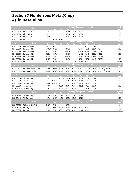#### Section 7 Nonferrous Metal(Chip) 4)Tin Base Alloy

| <b>Number</b>                           | Name                                  |         |                |           |                |                | <b>Chemical Composition(Percent)</b>               |        |           |        |               | <b>Unit Size</b>                        |
|-----------------------------------------|---------------------------------------|---------|----------------|-----------|----------------|----------------|----------------------------------------------------|--------|-----------|--------|---------------|-----------------------------------------|
|                                         |                                       | Cu      | Sn             | <b>Pb</b> | As             | Sb             | Bi                                                 |        |           |        |               | $(\text{in } g)$                        |
| <b>NCS HC 28988</b>                     | Ch Sn Sb4-4                           | 4.54    |                |           | 0.020          | 4.93           | 0.006                                              |        |           |        |               | 100                                     |
| <b>NCS HC 28989</b>                     | Ch Sn Sb8-4                           | 4.9     |                |           | 0.016          | 8.07           | 0.085                                              |        |           |        |               | 100                                     |
| <b>NCS HC 28990</b>                     | Ch Sn Sb9-7                           | 8.00    |                |           | 0.027          | 9.00           | 0.008                                              |        |           |        |               | 100                                     |
| <b>NCS HC 28994</b>                     | Pb50 Sn50                             |         | 51.15          | 48.80     |                |                |                                                    |        |           |        |               | 100                                     |
| <b>Number</b>                           | <b>Name</b>                           | Cu      | Sn             | Pb        | Zn             | Fe             | <b>Chemical Composition (Percent)</b><br><b>As</b> | Sb     | Bi.       | Ag     |               | <b>Unit Size</b><br>$(in \overline{g})$ |
|                                         | NCS HC 35902 Tin-Lead Solder          | 0.030   | 50.12          |           |                |                |                                                    | 0.232  | 0.046     |        |               | 100                                     |
| <b>NCS HC 35903</b>                     | <b>Tin-Lead Solder</b>                | 0.00090 | 30.12          |           | (0.000083)     |                | 0.0034                                             | 1.73   | 0.127     | 0.047  |               | 100                                     |
|                                         | NCS HC 35904 Tin-Lead Solder          | 0.0024  | 39.84          |           | (0.000086)     |                | 0.0019                                             | 0.809  | 0.024     | 1.08   |               | 100                                     |
|                                         | NCS HC 35905 Tin-Lead Solder          | 0.0019  | 49.72          |           | (0.000086)     |                | 0.0032                                             | 0.409  | 0.021     | 3.61   |               | 100                                     |
|                                         | NCS HC 35907 Tin-Lead Solder          | 0.0062  | 89.81          |           | (0.000040)     |                | 0.013                                              | 0.036  | 0.0200    | 0.0024 |               | 100                                     |
|                                         | Tin-Lead Solder                       | 0.029   | 3.66           |           | 0.000080       |                | 0.011                                              | 6.59   | 0.0045    | 0.0032 |               | 100                                     |
| <b>NCS HC 35908</b><br>NCS HC 35910 Tin |                                       | 0.029   | 99.79          | 0.076     |                | 0.0092         | 0.018                                              | 0.052  | 0.021     |        |               | stick200                                |
|                                         |                                       |         |                |           |                |                | Chemical Composition(Percent)                      |        |           |        |               | <b>Unit Size</b>                        |
| <b>Number</b>                           | Name                                  | Ag      | Cu             | <b>Bi</b> | S <sub>b</sub> | P <sub>b</sub> | Fe                                                 | As     | Cd        | Ni.    | $\mathsf{Al}$ | (in g)                                  |
|                                         | NCS HC 35912 Tin-Silver-Copper Solder | 0.284   | 0.590          | 0.048     | 0.096          | 0.043          | 0.0037                                             | 0.0002 | 0.0020    | 0.0008 | (0.0004)      | 50                                      |
|                                         | NCS HC 35913 Tin-Copper Solder        | 0.087   | 0.557          | 0.047     | 0.086          | 0.042          | 0.0085                                             | 0.0019 | 0.0020    | 0.071  | (0.0004)      | 50                                      |
|                                         |                                       |         |                |           |                |                | <b>Chemical Composition(Percent)</b>               |        |           |        |               | <b>Unit Size</b>                        |
| <b>Number</b>                           | Name                                  | Cu      | Al             | Zn        | Mn             | Fe             | As                                                 | Sb     | <b>Bi</b> |        |               | (in g)                                  |
| <b>NCS HC 39906</b>                     | Tin Base Alloy                        | 2.07    |                | 0.0028    | 18.36          | 0.049          | 0.036                                              | 13.54  | 0.029     |        |               | 100                                     |
| <b>NCS HC 39907</b>                     | Tin Base Alloy                        | 3.55    | 0.0036         |           | 9.30           | 0.038          | 0.070                                              | 12.03  | 0.064     |        |               | 100                                     |
| <b>NCS HC 39908</b>                     | Tin Base Alloy                        | 6.36    | 0.0029         | 0.0021    | 12.17          | 0.063          | 0.100                                              | 9.62   | 0.089     |        |               | 100                                     |
| <b>NCS HC 39909</b>                     | Tin Base Alloy                        | 6.97    |                | 0.0035    | 0.20           | 0.064          | 0.102                                              | 7.95   | 0.079     |        |               | 100                                     |
| <b>NCS HC 39910</b>                     | Tin Base Alloy                        | 4.64    |                | 0.0087    | 0.41           | 0.120          |                                                    | 5.94   | 0.099     |        |               | 100                                     |
|                                         |                                       |         |                |           |                |                | <b>Chemical Composition (Percent)</b>              |        |           |        |               | <b>Unit Size</b>                        |
| <b>Number</b>                           | Name                                  | Cu      | Sn             | Pb        | As             | Sb             | <b>Bi</b>                                          |        |           |        |               | (in g)                                  |
| <b>NSC HC 41921</b>                     | Tin Base Alloy                        | 4.06    | 86.61          | 1.32      | 0.018          | 7.87           | 0.014                                              |        |           |        |               | 100                                     |
| <b>NSC HC41922</b>                      | Tin Base Alloy                        | 6.72    | 80.27          | 1.20      | 0.020          | 11.81          | 0.012                                              |        |           |        |               | 100                                     |
|                                         |                                       |         |                |           |                |                | <b>Chemical Composition (Percent)</b>              |        |           |        |               | <b>Unit Size</b>                        |
| <b>Number</b>                           | Name                                  | Cu      | P <sub>b</sub> | Zn        | Fe             | As             | Sb                                                 | Bi.    |           |        |               | $(\overline{\mathsf{ing}})$             |
|                                         | NSC HC 50945     Z Ch Sn Sb D12-3-10  | 0.409   | 9.90           |           | 0.069          |                |                                                    |        |           |        |               | 90                                      |
| <b>NSC HC 50947</b>                     | <b>Tin Alloy</b>                      | 7.11    | 0.323          | 0.0046    | 0.073          | 0.065          | 9.14                                               | 0.073  |           |        |               | 100                                     |
| NSC HC 50949 Tin Alloy                  |                                       | 4.09    | 9.90           | 0.0021    | 0.069          | 0.069          | 12.10                                              | 0.064  |           |        |               | 100                                     |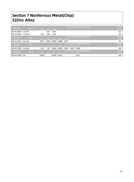#### Section 7 Nonferrous Metal(Chip) 5)Zinc Alloy

|                             |             |           |                  |                |                               |                     |       |        | Chemical Composition(Percent) | Unit Size        |
|-----------------------------|-------------|-----------|------------------|----------------|-------------------------------|---------------------|-------|--------|-------------------------------|------------------|
| <b>Number</b>               | <b>Name</b> | <b>Cu</b> | Al.              | Mg             |                               |                     |       |        |                               | (in g)           |
| NCS HC 28974 Z Zn Al4       |             |           | 4.84             | 0.083          |                               |                     |       |        |                               | 100              |
| NCS HC 28975     Z Zn Al4-1 |             | 1.56      | 4.48             | 0.074          |                               |                     |       |        |                               | 100              |
| <b>Number</b>               | Name        |           |                  |                |                               |                     |       |        | Chemical Composition(Percent) | Unit Size        |
|                             |             | Zn        | P <sub>b</sub> O | Mn             | CdO                           | $\blacksquare$ LO.I |       |        |                               | (in g)           |
| NCS HC 35911    Zinc oxit   |             | 99.67     |                  |                | 0.0019 0.000051 0.00066 0.387 |                     |       |        |                               | 30               |
| <b>Number</b>               | <b>Name</b> |           |                  |                |                               |                     |       |        | Chemical Composition(Percent) | Unit Size        |
|                             |             | Cu        | Al.              | Sn             | P <sub>b</sub>                | Mg                  | Fe i  | - Cd   |                               | (in g)           |
| <b>NCS HC 50955</b>         | Zinc Allov  | 3.93      | 7.49             | 0.0049         | 0.0092                        | 0.048               | 0.058 | 0.0056 |                               | 100              |
| <b>Number</b>               | Name        |           |                  |                |                               |                     |       |        | Chemical Composition(Percent) | <b>Unit Size</b> |
|                             |             | <b>Cu</b> | <b>Sn</b>        | P <sub>b</sub> | Fe i                          | As:                 | -Sb   | - Cd   |                               | (in g)           |
| NCS HC 52904 Zinc           |             | 0.00012   |                  | 0.0029 0.0011  |                               |                     |       | 0.011  |                               | 200              |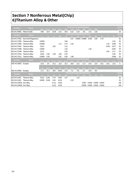#### Section 7 Nonferrous Metal(Chip) 6)Titanium Alloy & Other

|                         |                       |                                |                   |                                 |                                |                                |                                | Chemical Composition(µg/g)            |                                |                                |                                |                                |                                |                                | <b>Unit Size</b> |
|-------------------------|-----------------------|--------------------------------|-------------------|---------------------------------|--------------------------------|--------------------------------|--------------------------------|---------------------------------------|--------------------------------|--------------------------------|--------------------------------|--------------------------------|--------------------------------|--------------------------------|------------------|
| <b>Number</b>           | <b>Name</b>           | CeO <sub>2</sub>               | $Pr_{6}O_{11}$    | Tb <sub>4</sub> O <sub>7</sub>  | $Dy_2O_3$                      | SiO <sub>2</sub><br>(Basé)     | CaO                            | Fe <sub>2</sub> O <sub>2</sub>        | <b>NiO</b>                     | CuO                            | PbO                            |                                |                                |                                | (in g)           |
| <b>NCS HC 44901</b>     | Yttrium Oxide         | 4.80                           | 10.4              | 10.50                           | 21.6                           | 34.0                           | 8.15                           | 6.19                                  | 9.8                            | 1.51                           | 2.81                           |                                |                                |                                | 10               |
| <b>Number</b>           | Name                  |                                |                   |                                 |                                |                                |                                | <b>Chemical Composition (Percent)</b> |                                |                                |                                |                                |                                |                                | <b>Unit Size</b> |
|                         |                       | $\overline{C}$                 | <b>Si</b>         | Cr                              | <b>Mo</b>                      | Al                             | 7r                             | <b>Ni</b>                             | <b>CU</b>                      | Mn                             | RE.                            | Zn                             |                                | Fe                             | (in g)           |
| <b>NCS HC 57901</b>     | Rare-Earth Magnesium  |                                |                   |                                 |                                |                                | 0.57                           |                                       | 0.00093 0.00089                | 0.028                          | 0.85                           | 5.76                           |                                |                                | 50               |
| <b>NCS HC 57905</b>     | <b>Titanium Alloy</b> | 0.0093                         |                   |                                 |                                | 5.60                           |                                |                                       |                                |                                |                                |                                |                                | 0.24                           | 50               |
| <b>NCS HC 57906</b>     | <b>Titanium Alloy</b> | 0.00060                        |                   |                                 | 1.71                           | 6.79                           | 2.18                           |                                       |                                |                                |                                |                                | 2.25                           | 0.040                          | 50               |
| <b>NCS HC 57907</b>     | <b>Titanium Alloy</b> | 0.015                          |                   | 2.95                            |                                | 3.13                           |                                |                                       |                                |                                |                                |                                | 14.99                          | 0.077                          | 50               |
| <b>NCS HC 57908</b>     | <b>Titanium Alloy</b> | 0.0063                         |                   |                                 |                                | 1.82                           |                                |                                       |                                | 1.20                           |                                |                                |                                | 0.041                          | 50               |
| <b>NCS HC 57909</b>     | <b>Titanium Alloy</b> | 0.013                          |                   |                                 |                                | 6.20                           |                                |                                       |                                |                                |                                |                                | 4.02                           | 0.17                           | 50               |
| <b>NCS HC 57910</b>     | <b>Titanium Alloy</b> | 0.018                          | 0.30              | 1.49                            | 2.66                           | 6.33                           |                                |                                       |                                |                                |                                |                                |                                | 0.46                           | 50               |
| <b>NCS HC 57911</b>     | <b>Titanium Alloy</b> | 0.0084                         | 0.29              |                                 | 3.41                           | 6.66                           | 1.80                           |                                       |                                |                                |                                |                                |                                | 0.048                          | 50               |
|                         |                       |                                |                   |                                 |                                |                                |                                | Chemical Composition(µg/g)            |                                |                                |                                |                                |                                |                                | <b>Unit Size</b> |
| <b>Number</b>           | Name                  | La <sub>2</sub> O <sub>3</sub> | CeO <sub>·</sub>  | Pr <sub>a</sub> O <sub>11</sub> | Nd <sub>2</sub> O <sub>2</sub> | Sm <sub>2</sub> O <sub>2</sub> | Gd <sub>2</sub> O <sub>2</sub> | $Tb_4O_7$                             | Dv <sub>2</sub> O <sub>2</sub> | Ho <sub>3</sub> O <sub>3</sub> | Er <sub>2</sub> O <sub>3</sub> | Tm <sub>2</sub> O <sub>2</sub> | Yb <sub>2</sub> O <sub>3</sub> | Lu <sub>2</sub> O <sub>2</sub> | (in g)           |
| <b>NSC HC 63901</b>     | Europia               | 12.8                           | 3.4               | 15.2                            | 11.8                           | 15.3                           | 16.8                           | 12.2                                  | 11.3                           | 15.0                           | 12.6                           | 10.2                           | 16.3                           | 11.6                           | 5                |
|                         |                       |                                |                   |                                 |                                |                                |                                |                                       |                                |                                |                                |                                |                                |                                |                  |
|                         |                       | $Y_2O_3$                       | Na <sub>2</sub> O | SiO <sub>2</sub><br>(Acid)      | $SiO2$<br>(Base)               | CaO                            | Fe <sub>2</sub> O <sub>3</sub> | <b>Nio</b>                            | CuO                            | ZnO                            | PbO <sub>2</sub>               |                                |                                |                                |                  |
| NSC HC 63901 Europia    |                       | 17.2                           | 31.1              | 30.0                            | (40.5)                         | 13.0                           | 7.2                            | 9.6                                   | 6.7                            | 15.6                           | 8.0                            |                                |                                |                                |                  |
| <b>Number</b>           | Name                  |                                |                   |                                 |                                |                                |                                | <b>Chemical Composition (Percent)</b> |                                |                                |                                |                                |                                |                                | <b>Unit Size</b> |
|                         |                       | $\mathsf{C}$                   | <b>Si</b>         | $\mathsf{Al}$                   | Fe.                            | Mo                             |                                | Zr.                                   | Cd                             | <b>Pb</b>                      | Cu                             | Sn                             |                                |                                | (in g)           |
| NCS HC11901             | <b>Titanium Alloy</b> | 0.012                          | 0.261             | 6.74                            | 0.097                          | 3.37                           |                                | 1.52                                  |                                |                                |                                |                                |                                |                                | 20               |
| NCS HC11902             | <b>Titanium Alloy</b> | 0.0093                         | 0.018             | 6.24                            | 0.191                          |                                | 4.19                           |                                       |                                |                                |                                |                                |                                |                                | 20               |
| NCS HC11903a Zinc Alloy |                       |                                |                   | 0.111                           | 0.032                          |                                |                                |                                       | 0.005                          | 0.0041                         | 0.0046 0.0047                  |                                |                                |                                | 100              |
| NCS HC11903b Zinc Alloy |                       |                                |                   | 0.112                           | 0.033                          |                                |                                |                                       | 0.0045                         |                                | 0.0042 0.0043 0.0042           |                                |                                |                                | 100              |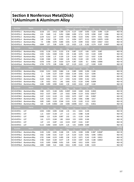|                       |                 |       |       |        |       |           |        | <b>Chemical Composition(Percent)</b>        |       |           |           |           | <b>Unit Size</b>         |
|-----------------------|-----------------|-------|-------|--------|-------|-----------|--------|---------------------------------------------|-------|-----------|-----------|-----------|--------------------------|
| <b>Number</b>         | <b>Name</b>     | Si.   | Fe    | Cu     | Mn    | Mg        | Ni.    | Zn                                          | Ti.   | Pb        | Sn        | <b>Sr</b> | (mm)                     |
| NCS HS 49701c-1       | Aluminium Alloy | 10.38 | 1.02  | 0.413  | 0.309 | 0.178     | 0.137  | 0.387                                       | 0.055 | 0.226     | 0.096     | 0.129     | $\Phi$ 62×30             |
| NCS HS 49701c-2       | Aluminium Alloy | 6.91  | 0.840 | 1.41   | 0.452 | 0.888     | 0.099  | 0.711                                       | 0.078 | 0.098     | 0.047     | 0.086     | $\Phi$ 62×30             |
| NCS HS 49701c-3       | Aluminium Alloy | 12.64 | 0.212 | 2.07   | 0.540 | 0.753     | 0.066  | 0.216                                       | 0.042 | 0.074     | 0.021     | 0.062     | $\Phi$ 62×30             |
| NCS HS 49701c-4       | Aluminium Alloy | 3.49  | 0.324 | 3.56   | 0.970 | 1.21      | 0.054  | 0.977                                       | 0.112 | 0.033     | 0.0079    | 0.039     | $\Phi$ 62×30             |
| NCS HS 49701c-5       | Aluminium Alloy | 7.9   | 0.486 | 0.076  | 0.800 | 0.041     | 0.174  | 0.049                                       | 0.022 | 0.014     | 0.0027    | 0.023     | $\Phi$ 62×30             |
| NCS HS 49701c-6       | Aluminium Alloy | 0.894 | 1.37  | 5.08   | 0.078 | 1.53      | 0.025  | 1.33                                        | 0.182 | 0.174     | 0.107     | 0.0057    | $\Phi$ 62×30             |
| Number                | Name            |       |       |        |       |           |        | <b>Chemical Composition(Percent)</b>        |       |           |           |           | <b>Unit Size</b>         |
|                       |                 | Si.   | Fe    | Cu     | Mn    | Mg        | Cr     | Ni.                                         | Zn    | Ti.       | Zr        |           | (mm)                     |
| NCS HS 49702a-1       | Aluminium Alloy | 0.352 | 0.136 | 0.191  | 0.153 | 0.78      | 0.087  | 0.137                                       | 6.66  | 0.070     | 0.087     |           | $\Phi$ 62×30             |
| NCS HS 49702a-2       | Aluminium Alloy | 0.455 | 0.261 | 0.684  | 0.501 | 2.95      | 0.186  | 0.076                                       | 4.53  | 0.104     | 0.059     |           | $\Phi$ 62×30             |
| NCS HS 49702a-3       | Aluminium Alloy | 0.275 | 0.358 | 1.37   | 0.329 | 2.19      | 0.143  | 0.037                                       | 5.15  | 0.037     | 0.106     |           | $\Phi$ 62×30             |
| NCS HS 49702a-4       | Aluminium Alloy | 0.168 | 0.584 | 2.09   | 0.664 | 1.40      | 0.262  | 0.128                                       | 2.83  | 0.156     | 0.154     |           | $\Phi$ 62×30             |
| NCS HS 49702a-5       | Aluminium Alloy | 0.078 | 0.430 | 1.54   | 0.819 | 0.274     | 0.367  | 0.205                                       | 8.3   | 0.0061    | 0.0085    |           | $\Phi$ 62×30             |
| NCS HS 49702a-6       | Aluminium Alloy | 0.756 | 0.770 | 2.88   | 0.066 | 4.07      | 0.129  | 0.015                                       | 1.27  | 0.260     | 0.203     |           | $\Phi$ 62×30             |
| Number                | Name            | Si.   | Fe    | Cu     | Mn    | Mg        | Cr     | <b>Chemical Composition(Percent)</b><br>Ni. | Zn    | TL.       |           |           | <b>Unit Size</b><br>(mm) |
| NCS HS 49703b-1       | Aluminium Alloy | 0.526 | 0.212 | 0.035  | 0.864 | 1.16      | 0.085  | 0.059                                       | 0.294 | 0.108     |           |           | $\Phi$ 62×30             |
| NCS HS 49703b-2       | Aluminium Alloy | $1\,$ | 0.344 | 0.237  | 0.507 | 0.658     | 0.144  | 0.042                                       | 0.217 | 0.049     |           |           | $\Phi$ 62×30             |
| NCS HS 49703b-3       | Aluminium Alloy | 1.28  | 0.432 | 0.522  | 0.234 | 0.911     | 0.340  | 0.030                                       | 0.091 | 0.028     |           |           | $\Phi$ 62×30             |
| NCS HS 49703b-4       | Aluminium Alloy | 0.224 | 0.652 | 0.730  | 1.17  | 0.442     | 0.232  | 0.094                                       | 0.162 | 0.072     |           |           | $\Phi$ 62×30             |
| NCS HS 49703b-5       | Aluminium Alloy | 1.59  | 0.822 | 0.011  | 1.48  | 0.081     | 0.311  | 0.120                                       | 0.040 | 0.0094    |           |           | $\Phi$ 62×30             |
| NCS HS 49703b-6       | Aluminium Alloy | 0.048 | 0.099 | 0.990  | 0.043 | 1.50      | 0.043  | 0.016                                       | 0.367 | 0.160     |           |           | $\Phi$ 62×30             |
|                       |                 |       |       |        |       |           |        | <b>Chemical Composition (Percent)</b>       |       |           |           |           | Unit Size                |
| <b>Number</b>         | Name            | Si.   | Fe    | Cu     | Mn    | Mg        | Ni.    | Zn                                          | Ti.   | Pb        |           |           | (mm)                     |
| NCS HS 49704b-1       | Aluminium Alloy | 0.588 | 0.671 | 0.184  | 0.851 | 0.0097    | 0.024  | 0.028                                       | 0.018 | 0.0043    |           |           | $\Phi$ 62×30             |
| NCS HS 49704b-2       | Aluminium Alloy | 0.423 | 0.537 | 0.097  | 1.20  | 0.032     | 0.049  | 0.114                                       | 0.032 | $0.0027*$ |           |           | $\Phi$ 62×30             |
| NCS HS 49704b-3       | Aluminium Alloy | 0.287 | 0.313 | 0.129  | 1.52  | 0.052     | 0.075  | 0.047                                       | 0.06  | 0.0067    |           |           | $\Phi$ 62×30             |
| NCS HS 49704b-4       | Aluminium Alloy | 0.145 | 0.242 | 0.057  | 1.93  | 0.073     | 0.109  | 0.081                                       | 0.088 | 0.017     |           |           | $\Phi$ 62×30             |
| NCS HS 49704b-5       | Aluminium Alloy | 0.695 | 0.803 | 0.228  | 0.544 | 0.101     | 0.152  | 0.165                                       | 0.123 | 0.019     |           |           | $\Phi$ 62×30             |
| NCS HS 49704b-6       | Aluminium Alloy | 0.05  | 0.149 | 0.0063 | 2.38  | 0.006     | 0.0046 | 0.017                                       | 0.01  | 0.0011    |           |           | $\Phi$ 62×30             |
| <b>Number</b>         | Name            |       |       |        |       |           |        | <b>Chemical Composition (Percent)</b>       |       |           |           |           | <b>Unit Size</b>         |
|                       |                 | Fe    | Si    | Mn     | Mg    | <b>Ni</b> | Cu     | TI.                                         | Zn    |           |           |           | (mm)                     |
| <b>NCS HS 49705-1</b> | LD7             | 0.454 | 0.904 | 0.095  | 0.428 | 1.55      | 4.51   | 0.021                                       | 0.140 |           |           |           | $\Phi$ 62×30             |
| NCS HS 49705-2        | LD7             | 1.21  | 0.657 | 0.138  | 1.37  | 1.12      | 2.51   | 0.088                                       | 0.238 |           |           |           | $\Phi$ 62×30             |
| NCS HS 49705-3        | LD7             | 0.900 | 1.22  | 0.239  | 0.897 | 2.02      | 1.51   | 0.120                                       | 0.334 |           |           |           | $\Phi$ 62×30             |
| NCS HS 49705-4        | LD7             | 1.61  | 0.371 | 0.184  | 1.80  | 0.624     | 3.33   | 0.055                                       | 0.166 |           |           |           | $\Phi$ 62×30             |
| <b>NCS HS 49705-5</b> | LD7             | 1.87  | 1.53  | 0.287  | 2.26  | 0.153     | 0.927  | 0.161                                       | 0.367 |           |           |           | $\Phi$ 62×30             |
| NCS HS 49705-6        | LD7             | 0.115 | 0.090 | 0.054  | 0.074 | 2.25      | 5.55   | 0.00095                                     | 0.084 |           |           |           | $\Phi$ 62×30             |
| Number                | Name            |       |       |        |       |           |        | <b>Chemical Composition (Percent)</b>       |       |           |           |           | Unit Size                |
|                       |                 | Si.   | Fe i  | Cu     | Mn    | Mg        | Cr     | Ni.                                         | Zn    | TL.       | Na        |           | (mm)                     |
| NCS HS 49706a-1       | Aluminium Alloy | 0.238 | 0.202 | 0.045  | 0.168 | 3.95      | 0.252  | 0.038                                       | 0.098 | $0.300*$  | $0.0028*$ |           | $\Phi$ 62×30             |
| NCS HS 49706a-2       | Aluminium Alloy | 0.462 | 0.340 | 0.101  | 0.327 | 2.24      | 0.219  | 0.233                                       | 0.052 | 0.046     | 0.00011   |           | $\Phi$ 62×30             |
| NCS HS 49706a-3       | Aluminium Alloy | 0.702 | 0.444 | 0.153  | 0.495 | 2.90      | 0.123  | 0.071                                       | 0.143 | 0.149     | 0.0011    |           | $\Phi$ 62×30             |
| NCS HS 49706a-4       | Aluminium Alloy | 0.788 | 0.624 | 0.184  | 0.677 | 1.39      | 0.314  | 0.097                                       | 0.235 | 0.188     | 0.00014   |           | $\Phi$ 62×30             |
| NCS HS 49706a-5       | Aluminium Alloy | 0.102 | 0.093 | 0.0085 | 0.051 | 5.09      | 0.042  | 0.011                                       | 0.030 | 0.019     |           |           | $\Phi$ 62×30             |
| NCS HS 49706a-6       | Aluminium Alloy | 0.898 | 0.684 | 0.21   | 0.826 | 0.611     | 0.359  | 0.122                                       | 0.306 | 0.215     |           |           | $\Phi$ 62×30             |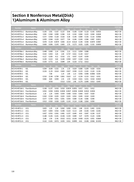|                        |                 |        |                |         |           | <b>Chemical Composition(Percent)</b>               |               |           |         |                 |                | <b>Unit Size</b>             |
|------------------------|-----------------|--------|----------------|---------|-----------|----------------------------------------------------|---------------|-----------|---------|-----------------|----------------|------------------------------|
| <b>Number</b>          | <b>Name</b>     | Si     | Fe             | Cu      | Mn        | Mg                                                 | Cr            | Ni        | Zn      | Ti.             | <b>Be</b>      | (mm)                         |
| NCS HS 49707a-1        | Aluminium Alloy | 0.195  | 0.301          | 0.167   | 0.137     | 8.46                                               | 0.106         | 0.164     | 0.118   | 0.142           | 0.0033         | $\Phi$ 62×30                 |
| NCS HS 49707a-2        | Aluminium Alloy | 0.304  | 0.364          | 0.090   | 0.366     | 5.33                                               | 0.192         | 0.060     | 0.225   | 0.044           | 0.0028         | $\Phi$ 62×30                 |
| NCS HS 49707a-3        | Aluminium Alloy | 0.377  | 0.458          | 0.128   | 0.526     | 6.38                                               | 0.140         | 0.089     | 0.156   | 0.116           | 0.0068         | $\Phi$ 62×30                 |
| NCS HS 49707a-4        | Aluminium Alloy | 0.459  | 0.584          | 0.229   | 0.677     | 7.04                                               | 0.246         | 0.169     | 0.586   | 0.087           | 0.0011         | $\Phi$ 62×30                 |
| NCS HS 49707a-5        | Aluminium Alloy | 0.078  | 0.134          | 0.0074  | 0.065     | 10.14                                              | 0.0123        | 0.146     | 0.038   | 0.0070          | 0.0087         | $\Phi$ 62×30                 |
| <b>NCS HS 49707a-6</b> | Aluminium Alloy | 0.600  | 0.696          | 0.243   | 0.865     | 3.76                                               | 0.273         | 0.035     | 0.285   |                 | 0.192 0.00056  | $\Phi$ 62×30                 |
| Number                 | Name            |        |                |         |           | <b>Chemical Composition(Percent)</b>               |               |           |         |                 |                | <b>Unit Size</b>             |
|                        |                 | Si.    | Fe.            | CLI     | Mn        | Mg                                                 | Ni.           | Zn        | Ti      |                 |                | (mm)                         |
| NCS HS 49708a-1        | Aluminium Alloy | 0.448  | 0.690          | 2.14    | 0.341     | 2.15                                               | 0.111         | 0.054     | 0.088   |                 |                | $\Phi$ 62×30                 |
| <b>NCS HS 49708a-2</b> | Aluminium Alloy | 0.525  | 0.453          | 3.25    | 1.00      | 0.737                                              | 0.021         | 0.134     | 0.017   |                 |                | $\Phi$ 62×30                 |
| NCS HS 49708a-3        | Aluminium Alloy | 0.127  | 0.350          | 4.11    | 0.532     | 1.51                                               | 0.037         | 0.147     | 0.039   |                 |                | $\Phi$ 62×30                 |
| NCS HS 49708a-4        | Aluminium Alloy | 0.230  | 0.213          | 5.82    | 0.240     | 0.950                                              | 0.057         | 0.320     | 0.181   |                 |                | $\Phi$ 62×30                 |
| NCS HS 49708a-5        | Aluminium Alloy | 0.103  | 0.772          | 1.21    | 0.084     | 2.64                                               | 0.210         | 0.712     | 0.013   |                 |                | $\Phi$ 62×30                 |
| <b>Number</b>          | <b>Name</b>     |        |                |         |           | <b>Chemical Composition (Percent)</b>              |               |           |         |                 |                | <b>Unit Size</b>             |
|                        | <b>XZL</b>      | Fe     | Si.            | Mn      | Mg        | Ni.                                                | Cu.           | Ti.       | Zn      | Sn.             | Pb<br>0.016    | (mm)                         |
| NCS HS 49709-1         | <b>XZL</b>      | 0.504  | 10.89<br>11.35 | 0.252   | 1.35      | 1.33                                               | 0.624         | 0.080     | 0.209   | 0.020           | 0.136          | $\Phi$ 62×30<br>$\Phi$ 62×30 |
| <b>NCS HS 49709-2</b>  | <b>XZL</b>      | 0.216  | 7.08           | 0.614   | 0.843     | 0.827                                              | 0.930         | 0.115     | 0.165   | 0.120<br>0.0085 |                |                              |
| <b>NCS HS 49709-3</b>  | <b>XZL</b>      |        |                | 0.790   | 1.14      | 1.00                                               | 1.13          | 0.056     | 0.098   |                 | 0.039<br>0.031 | $\Phi$ 62×30                 |
| <b>NCS HS 49709-4</b>  |                 | 0.310  | 12.48          |         | 0.801     | 0.623                                              | 1.27          | 0.139     | 0.133   | 0.012           |                | $\Phi$ 62×30                 |
| <b>NCS HS 49709-5</b>  | <b>XZL</b>      | 0.082  | 8.69           | 0.094   | 1.55      | 1.59                                               | 0.410         | 0.021     | 0.251   | 0.018           | 0.0025         | $\Phi$ 62×30                 |
| <b>NCS HS 49709-6</b>  | <b>XZL</b>      |        | 14.56          |         | 0.513     | 0.353                                              | 1.46          | 0.179     | 0.049   | 0.013           | 0.043          | $\Phi$ 62×30                 |
| <b>Number</b>          | <b>Name</b>     | Si     | Fe             | Cu      | Mn        | <b>Chemical Composition</b> (Percent)<br>$M\sigma$ | <b>Ni</b>     | Zn        | Tì.     | Ga              |                | <b>Unit Size</b><br>(mm)     |
| NCS HS 49710d-1        | Pure Aluminum   | 0.168  | 0.137          | 0.010   | 0.010     |                                                    | 0.0074 0.0051 | 0.017     | 0.011   | 0.012           |                | $\Phi$ 62×30                 |
| NCS HS 49710d-2        | Pure Aluminum   | 0.052  | 0.058          | 0.0052  | 0.0030    | 0.0027                                             | 0.0036        | 0.0044    | 0.0010  | 0.0034          |                | $\Phi$ 62×30                 |
| NCS HS 49710d-3        | Pure Aluminum   | 1.18   | 1.20           | 0.093   | 0.054     | 0.068                                              | 0.033         | 0.083     | 0.037   | 0.020           |                | $\Phi$ 62×30                 |
| NCS HS 49710d-4        | Pure Aluminum   | 0.363  | 0.334          | 0.035   | 0.025     | 0.025                                              | 0.052         | 0.045     | 0.018   | 0.029           |                | $\Phi$ 62×30                 |
| NCS HS 49710d-5        | Pure Aluminum   | 0.577  | 0.709          | 0.051   | 0.091     | 0.043                                              | 0.089         | 0.136     | 0.086   | 0.040           |                | $\Phi$ 62×30                 |
| NCS HS 49710d-6        | Pure Aluminum   | 0.913  | 0.920          | 0.028   | 0.205     | 0.143                                              | 0.114         | 0.188     | 0.064   | 0.050           |                | $\Phi$ 62×30                 |
|                        |                 |        |                |         |           | <b>Chemical Composition (Percent)</b>              |               |           |         |                 |                | <b>Unit Size</b>             |
| <b>Number</b>          | Name            | Fe.    | Si             | Mn      | $M\sigma$ | Cr                                                 | Ni.           | <b>Cu</b> | TI.     | Zn              | Zr             | (mm)                         |
| <b>NCS HS 49711-1</b>  | LY11            | 0.825  | 1.25           | 1.24    | 0.692     | 0.092                                              | 0.161         | 1.88      | (0.121) | 0.401           | (0.191)        | $\Phi$ 62×30                 |
| <b>NCS HS 49711-2</b>  | LY11            | 0.657  | 0.893          | 0.932   | 0.298     | 0.223                                              | 0.113         | 2.89      | (0.169) | 0.343           | (0.250)        | $\Phi$ 62×30                 |
| <b>NCS HS 49711-3</b>  | LY11            | 0.427  | 0.552          | 0.561   | 0.481     | 0.157                                              | 0.045         | 4.03      | 0.047   | 0.236           | 0.137          | $\Phi$ 62×30                 |
| <b>NCS HS 49711-4</b>  | LY11            | 0.188  | 0.236          | 0.241   | (0.108)   | 0.193                                              | 0.089         | 5.47      | 0.078   | 0.125           | 0.048          | $\Phi$ 62×30                 |
| <b>NCS HS49711-5</b>   | LY11            | (1.08) | 1.59           | (1.54)  | (0.922)   | (0.311)                                            | (0.220)       | 0.658     | (0.225) | 0.051           | 0.0064         | $\Phi$ 62×30                 |
| NCS HS 49711-6         | LY11            | 0.122  | 0.101          | (0.071) | 0.035     | 0.011                                              | 0.0095        | 6.61      | (0.108) | (0.566)         | (0.319)        | $\Phi$ 62×30                 |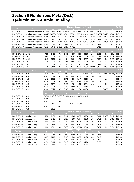|                       |                              |           |           |                |        |                                             |        |           |                |                 |                           |           | Unit Size                |
|-----------------------|------------------------------|-----------|-----------|----------------|--------|---------------------------------------------|--------|-----------|----------------|-----------------|---------------------------|-----------|--------------------------|
| Number                | <b>Name</b>                  | Si.       | Mg        | Mn             | Fe     | <b>Chemical Composition (Percent)</b><br>Cu | Zn     | Νi        | Cr             | m               | Zr                        | Ga        | (mm)                     |
| NCS HS 49715a-1       | Aluminum Concentrate 0.00098 |           | 0.0025    | 0.00007        |        | 0.00083 0.00088 0.00040 0.00025             |        |           |                |                 | 0.00053 0.00011 (0.00026) |           | $\Phi$ 40 $\times$ 35    |
| NCS HS 49715a-2       | Aluminum Concentrate         | 0.0015    | 0.00039   | 0.0019         | 0.0016 | 0.00017                                     | 0.0025 | 0.0026    |                | 0.00097 0.00084 | 0.0025                    | 0.0032    | $\Phi$ 40 $\times$ 35    |
| NCS HS 49715a-3       | Aluminum Concentrate         | 0.010     | 0.0079    | 0.0066         | 0.012  | 0.0061                                      | 0.0073 | 0.0063    | 0.0040         | 0.0030          | 0.0053                    | 0.0082    | $\Phi$ 40 $\times$ 35    |
| NCS HS 49715a-4       | Aluminum Concentrate         | 0.031     | 0.0092    | 0.010          | 0.033  | 0.012                                       | 0.011  | 0.011     | 0.0069         | 0.012           | 0.014                     | 0.011     | $\Phi$ 40 $\times$ 35    |
| NCS HS 49715a-5       | Aluminum Concentrate         | 0.0073    | 0.0052    | 0.0041         | 0.0091 | 0.0033                                      | 0.0047 | 0.0059    | 0.0018         | 0.0021          | 0.0057                    | 0.0012    | $\Phi$ 40 $\times$ 35    |
| NCS HS 49715a-6       | Aluminum Concentrate         | 0.044     | 0.014     | 0.012          | 0.063  | 0.014                                       | 0.016  | 0.042     | 0.015          | 0.017           | 0.019                     | 0.015     | $\Phi$ 40 $\times$ 35    |
| NCS HS 49715a-7       | Aluminum Concentrate         | 0.111     | 0.0022    | 0.0030         | 0.397  | 0.0020                                      |        |           |                | 0.012           |                           |           | $\Phi$ 40 $\times$ 35    |
|                       |                              |           |           |                |        | <b>Chemical Composition (Percent)</b>       |        |           |                |                 |                           |           | <b>Unit Size</b>         |
| <b>Number</b>         | <b>Name</b>                  | Si.       | Mg        | Mn             | Fe     | Cu                                          | Zn     | <b>Sn</b> | P <sub>b</sub> | Ni              | Ti.                       | <b>Sr</b> | (mm)                     |
| NCS HS 49716b-1       | ADC12                        | 7.53      | 0.478     | 0.702          | 0.665  | 0.505                                       | 3.04   | 0.096     | 0.011          | 0.152           | 0.018                     | 0.0021    | $\Phi$ 62×30             |
| NCS HS 49716b-2       | ADC12                        | 8.87      | 0.145     | 0.558          | 1.33   | 3.35                                        | 0.794  | 0.129     | 0.028          | 0.266           | 0.0093                    | 0.0053    | $\Phi$ 62×30             |
| NCS HS 49716b-3       | ADC12                        | 10.79     | 0.211     | 0.363          | 1.01   | 2.58                                        | 1.25   | 0.197     | 0.056          | 0.318           | 0.045                     | 0.111     | $\Phi$ 62×30             |
| NCS HS 49716b-4       | ADC12                        | 11.98     | 0.294     | 0.265          | 0.855  | 1.95                                        | 1.89   | 0.242     | 0.076          | 0.473           | 0.013                     | 0.038     | $\Phi$ 62×30             |
| NCS HS 49716b-5       | ADC12                        | 13.82     | 0.392     | 0.108          | 0.289  | 1.19                                        | 2.42   | 0.310     | 0.129          | 0.647           | 0.020                     | 0.029     | $\Phi$ 62×30             |
| NCS HS 49716b-6       | ADC12                        | 6.27      | 0.064     | 0.052          | 1.92   | 4.21                                        | 0.330  | 0.054     | 0.0041         | 0.079           | 0.0060                    | 0.0002    | $\Phi$ 62×30             |
| Number                | Name                         |           |           |                |        | <b>Chemical Composition(Percent)</b>        |        |           |                |                 |                           |           | Unit Size                |
|                       |                              | <b>Cu</b> | Mg        | Mn             | Fe     | Si                                          | Zn     | Tĭ        | Ni.            | V               | P <sub>b</sub>            | Sn        | (mm)                     |
| NCS HS 49717-1        | <b>DL18</b>                  | 0.0026    | 0.0032    | 0.0006         | 0.062  | 0.051                                       | 0.0016 | 0.0095    | 0.0026         | 0.0002          | 0.0046                    | (0.0001)  | $\Phi$ 62×30             |
| <b>NCS HS 49717-2</b> | <b>DL18</b>                  | 0.015     | 0.011     | 0.017          | 0.193  | 0.194                                       | 0.030  | 0.036     | 0.014          | 0.237           |                           | 0.171     | $\Phi$ 62×30             |
| <b>NCS HS 49717-3</b> | DL18                         | 0.031     | 0.031     | 0.034          | 0.371  | 0.344                                       | 0.067  | 0.013     | 0.030          |                 | 0.123                     |           | $\Phi$ 62×30             |
| NCS HS 49717-4        | <b>DL18</b>                  | 0.104     | 0.093     | 0.046          | 0.940  | 0.933                                       | 0.096  | 0.054     | 0.050          | 0.121           |                           | 0.119     | $\Phi$ 62×30             |
| NCS HS 49717-5        | <b>DL18</b>                  | 0.076     | (0.056)   | 0.108          | 0.612  | 0.634                                       | 1.05   | 0.081     | 0.075          |                 | 0.066                     |           | $\Phi$ 62×30             |
| NCS HS 49717-6        | <b>DL18</b>                  | 0.134     | 0.127     | 0.142          | 0.748  | 0.789                                       | 0.522  | 0.114     | 0.104          | 0.027           |                           | 0.071     | $\Phi$ 62×30             |
| NCS HS 49717-7        | <b>DL18</b>                  | 0.048     | 0.021     | 0.070          | 0.505  | 0.491                                       | 1.50   | (0.138)   | 0.133          |                 | 0.0052                    |           | $\Phi$ 62×30             |
|                       |                              |           |           |                |        |                                             |        |           |                |                 |                           |           |                          |
|                       |                              | <b>Sb</b> | Ga        | C <sub>d</sub> | Ca     | $\overline{B}$                              | Ce     | Nd        |                |                 |                           |           |                          |
| NCS HS 49717-1        | <b>DL18</b>                  | (0.0004)  | (0.00024) | (0.0008)       |        | $(0.00005)$ $(0.0014)$ $0.00031$ $0.0002$   |        |           |                |                 |                           |           |                          |
| <b>NCS HS 49717-2</b> | <b>DL18</b>                  | 0.040     |           | 0.105          |        |                                             |        |           |                |                 |                           |           |                          |
| <b>NCS HS 49717-4</b> | <b>DL18</b>                  | 0.043     |           | 0.048          |        |                                             |        |           |                |                 |                           |           |                          |
| <b>NCS HS 49717-5</b> | <b>DL18</b>                  |           | 0.0085    |                |        | (0.0047)                                    | 0.0080 |           |                |                 |                           |           |                          |
| <b>NCS HS 49717-6</b> | <b>DL18</b>                  | 0.097     |           | 0.011          |        |                                             |        |           |                |                 |                           |           |                          |
| NCS HS 49717-7        | <b>DL18</b>                  |           | 0.032     |                |        | <b>Chemical Composition(Percent)</b>        |        |           |                |                 |                           |           | <b>Unit Size</b>         |
| <b>Number</b>         | <b>Name</b>                  | Si.       | Fe        | Cu             | Mn     | Mg                                          | Zn     | Ti.       | Pb.            | Sn              | <b>Be</b>                 | Zr        | (mm)                     |
| NCS HS 49718-1        | Aluminium Alloy              | 6.03      | 0.194     | 0.303          | 0.411  | 0.095                                       | 0.375  | 0.008     | 0.020          | 0.011           | 0.0086                    | 0.047     | $\Phi$ 62×30             |
| NCS HS 49718-2        | Aluminium Alloy              | 6.36      | 0.413     | 0.254          | 0.317  | 0.207                                       | 0.257  | 0.188     | 0.031          | 0.021           | 0.013                     | 0.085     | $\Phi$ 62×30             |
| NCS HS 49718-3        | Aluminium Alloy              | 7.15      | 0.654     | 0.412          | 0.248  | 0.301                                       | 0.225  | 0.132     | 0.063          | 0.031           | 0.017                     | 0.162     | $\Phi$ 62×30             |
|                       |                              | 7.55      |           |                | 0.165  | 0.401                                       | 0.061  | 0.088     |                | 0.048           | 0.024                     | 0.191     | $\Phi$ 62×30             |
| NCS HS 49718-4        | Aluminium Alloy              |           | 0.911     | 0.158          |        |                                             |        |           | 0.088          |                 |                           |           |                          |
| NCS HS 49718-5        | Aluminium Alloy              | 8.19      | 1012      | 0.065          | 0.070  | 0.501                                       | 0.0068 | 0.043     | 0.123          | 0.061           | 0.055                     | 0.174     | $\Phi$ 62×30             |
| <b>Number</b>         | Name                         | Si.       | Fe        | Cu             | Mn     | Chemical Composition(Percent)<br><b>Mg</b>  | Cr     | Zn        | Ti .           | Ni.             |                           |           | <b>Unit Size</b><br>(mm) |
| NCS HS 49719-1        | Aluminium Alloy              | 0.352     | 0.098     | 0.099          | 0.094  | 0.745                                       | 0.374  | 0.088     | 0.046          | 0.011           |                           |           | $\Phi$ 62×30             |
| NCS HS 49719-2        | Aluminium Alloy              | 0.547     | 0.215     | 0.200          | 0.198  | 0.580                                       | 0.275  | 0.126     | 0.092          | 0.042           |                           |           | $\Phi$ 62×30             |
| NCS HS 49719-3        | Aluminium Alloy              | 0.654     | 0.294     | 0.328          | 0.289  | 0.647                                       | 0.236  | 0.181     | 0.109          | 0.062           |                           |           | $\Phi$ 62×30             |
| NCS HS 49719-4        | Aluminium Alloy              | 0.794     | 0.411     | 0.435          | 0.410  | 0.395                                       | 0.145  | 0.223     | 0.142          | 0.100           |                           |           | $\Phi$ 62×30             |
| NCS HS 49719-5        | Aluminium Alloy              | 0.972     | 0.517     | 0.540          | 0.539  | 0.277                                       | 0.072  | 0.277     | 0.173          | 0.138           |                           |           | $\Phi$ 62×30             |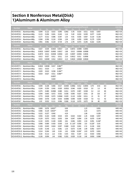|                       |                                                                    |                |                |                          |                |               | <b>Chemical Composition(Percent)</b>       |                   |              |                |                |           | <b>Unit Size</b>                               |
|-----------------------|--------------------------------------------------------------------|----------------|----------------|--------------------------|----------------|---------------|--------------------------------------------|-------------------|--------------|----------------|----------------|-----------|------------------------------------------------|
| <b>Number</b>         | Name                                                               | Si             | Fe             | <b>Cu</b>                | Mn             | Mg            | Zn                                         | Ti                | Ni.          | Cr             | Zr             |           | (mm)                                           |
| NCS HS 49720-1        | Aluminium Alkly                                                    | 0.044          | 0.122          | 0.015                    | 0.095          | 0.842         | 5.78                                       | 0.010             | 0.011        | 0.021          | 0.067          |           | $\Phi$ 62×30                                   |
| NCS HS 49720-2        | Aluminium Alkly                                                    | 0.115          | 0.206          | 0.041                    | 0.243          | 1.16          | 5.20                                       | 0.019             | 0.039        | 0.077          | 0.104          |           | $\Phi$ 62×30                                   |
| <b>NCS HS 49720-3</b> | Aluminium Alkly                                                    | 0.177          | 0.312          | 0.086                    | 0.397          | 1.35          | 4.41                                       | 0.035             | 0.067        | 0.119          | 0.138          |           | $\Phi$ 62×30                                   |
| <b>NCS HS 49720-4</b> | Aluminium Alkly                                                    | 0.284          | 0.396          | 0.116                    | 0.556          | 1.94          | 3.50                                       | 0.059             | 0.099        | 0.179          | 0.204          |           | $\Phi$ 62×30                                   |
| <b>NCS HS 49720-5</b> | Aluminium Alkly                                                    | 0.401          | 0.481          | 0.119                    | 0.719          | 1.76          | 2.78                                       | 0.073             | 0.145        | 0.222          | 0.235          |           | $\Phi$ 62×30                                   |
| Number                | Name                                                               |                |                |                          |                |               | Chemical Composition(Percent)              |                   |              |                |                |           | Unit Size                                      |
|                       |                                                                    | Si.            | Fe             | Cu                       | Mn             | Mg            | Zn                                         | TT                | Ni.          |                |                |           | (mm)                                           |
| NCS HS 49726-1        | Aluminium Alloy                                                    | 0.027          | 0.034          | 0.0025                   | 0.0017         | 1.20          | 0.0072                                     | 0.0090            | 0.0093       |                |                |           | $\Phi$ 62×30                                   |
| <b>NCS HS 49726-2</b> | Aluminium Alloy                                                    | 0.0033         | 0.0097         | 0.0065                   | 0.0017         | 1.88          | 0.013                                      | 0.00084           | 0.00088      |                |                |           | Φ62×30                                         |
| NCS HS 49726-3        | Aluminium Alloy                                                    | 0.0073         | 0.012          | 0.0038                   | 0.0042         | 1.63          | 0.0047                                     | 0.0042            | 0.0036       |                |                |           | $\Phi$ 62×30                                   |
| NCS HS 49726-4        | Aluminium Alloy                                                    | 0.013          | 0.027          | 0.011                    | 0.011          | 2.10<br>2.13  | 0.0012                                     | 0.011             | 0.0098       |                |                |           | Φ62×30                                         |
| NCS HS 49726-5        | Aluminium Alloy                                                    | 0.015          | 0.0040         | 0.012                    | 0.0013         |               | 0.0024                                     | 0.00060           | 0.00028      |                |                |           | Φ62×30<br>Unit Size                            |
| <b>Number</b>         | Name                                                               | Pb             | Cd             | <b>As</b>                | Cu             |               | <b>Chemical Composition (Percent)</b>      |                   |              |                |                |           | (mm)                                           |
| NCS HS 49727-1        | Aluminium Alloy                                                    | 0.0022         | 0.0038         | 0.017                    | $0.082**$      |               |                                            |                   |              |                |                |           | $\Phi$ 62×30                                   |
| <b>NCS HS 49727-2</b> | Aluminium Alloy                                                    | 0.011          | 0.019          | $\overline{\phantom{a}}$ | $0.469**$      |               |                                            |                   |              |                |                |           | $\Phi$ 62×30                                   |
| NCS HS 49727-3        | Aluminium Alloy                                                    | 0.029          | 0.010          | 0.038                    | $0.284***$     |               |                                            |                   |              |                |                |           | Φ62×30                                         |
| <b>NCS HS 49727-4</b> | Aluminium Alloy                                                    | 0.019          | 0.027          | 0.011                    | $0.080**$      |               |                                            |                   |              |                |                |           | Φ62×30                                         |
| <b>NCS HS 49727-5</b> | Aluminium Alloy                                                    |                |                | 0.0057                   |                |               |                                            |                   |              |                |                |           | Φ62×30                                         |
| NCS HS 49727-6        | Aluminium Alloy                                                    |                |                | 0.024                    |                |               |                                            |                   |              |                |                |           | $\Phi$ 62×30                                   |
|                       |                                                                    |                |                |                          |                |               | <b>Chemical Composition(Percent)</b>       |                   |              |                |                |           | Unit Size                                      |
| Number                | Name                                                               | Si%            | Fe%            | Cu%                      | Mn%            | $Mg\%$        | Ni%                                        | Zn%               | Ti%          | Be<br>ppm      | Li<br>ppm      | cd<br>ppn | (mm)                                           |
| NCS HS 49728-1        | Aluminium Alloy                                                    | 0.044          | 0.108          | 0.066                    | 0.017          | 0.0030        | 0.0082                                     | 0.012             | 0.0054       | 0.79           | 0.53           | 8.4       | $\Phi$ 62×30                                   |
| NCS HS 49728-2        | Aluminium Alloy                                                    | 0.104          | 0.359          | 0.042                    | 0.020          | 0.0016        | 0.046                                      | 0.029             | 0.018        | 3.0            | 1.6            | 45        | $\Phi$ 62×30                                   |
| NCS HS 49728-3        | Aluminium Alloy                                                    | 0.375          | 0.480          | 0.0080                   | 0.080          | 0.011         | 0.070                                      | 0.087             | 0.038        | 3.2            | 2.0            | 80        | $\Phi$ 62×30                                   |
| NCS HS 49728-4        | Aluminium Alloy                                                    | 0.594          | 0.665          | 0.072                    | 0.032          | 0.036         | 0.095                                      | 0.027             | 0.031        | 20             | 8.8            | 67        | $\Phi$ 62×30                                   |
| NCS HS 49728-5        | Aluminium Alloy                                                    | 0.772          | 0.828          | 0.072                    | 0.0066         | 0.029         | 0.110                                      | 0.050             | 0.011        | 12             | 55             | 97        | Φ62×30                                         |
| <b>NCS HS 49728-6</b> | Aluminium Alloy                                                    | 0.650          | 0.478          | 0.100                    | 0.033          | 0.0086        | 0.098                                      | 0.030             | 0.028        | 7.8            | 4.2            | 42        | Φ62×30                                         |
| NCS HS 49728-7        | Aluminium Alloy                                                    | 1.03           | 0.932          | 0.111                    | 0.096          | 0.046         | 0.118                                      | 0.079             | 0.075        | 26             | 48             | 223       | $\Phi$ 62×30                                   |
| <b>Number</b>         | Name                                                               | Si.            | Fe             | Cu                       | Mn             | Mg            | <b>Chemical Composition(Percent)</b><br>Cr | Zn                | Пi           | Ti.            | Zr             |           | <b>Unit Size</b><br>(mm)                       |
| NCS HS 49729-1        |                                                                    |                |                |                          |                |               |                                            |                   |              |                |                |           | $\Phi$ 45 $\times$ 40                          |
|                       |                                                                    |                |                |                          |                |               |                                            |                   |              |                |                |           |                                                |
|                       | Aluminium Alloy                                                    | 0.069          | 0.076          | $0.0025**$               |                | 6.00          |                                            |                   | 1.23         |                | 0.091          |           |                                                |
| NCS HS 49729-2        | Aluminium Alloy                                                    | 0.086          | 0.129          | $0.0019**$               |                | 5.49          |                                            |                   | 2.25         |                | 0.073          |           | $\Phi$ 45 $\times$ 40                          |
| NCS HS 49729-3        | Aluminium Alloy                                                    | 0.222          | 0.227          | 0.042                    |                | 4.29          |                                            |                   | 1.98         |                | 0.109          |           | $\Phi$ 45 $\times$ 40                          |
| NCS HS 49729-4        | Aluminium Alloy                                                    | 0.056          | 0.163          | 0.040                    | 0.015          | 4.95          | 0.023                                      | 0.022             | 1.35         | 0.026          | 0.057          |           | $\Phi$ 45 $\times$ 40                          |
| <b>NCS HS 49729-5</b> | Aluminium Alloy                                                    | 0.129          | 0.075          | 0.012                    | 0.053          | 3.84          | 0.047                                      | 0.094             | 1.50         | 0.079          | 0.140          |           | Φ45×40                                         |
| <b>NCS HS 49729-6</b> | Aluminium Alloy                                                    | 0.132          | 0.055          | 0.100                    | 0.045          | 3.81          | 0.046                                      | 0.093             | 1.54         | 0.091          | $0.168*$       |           | $\Phi$ 45 $\times$ 40<br>$\Phi$ 45 $\times$ 40 |
| NCS HS 49729-7        | Aluminium Alloy                                                    | 0.098          | 0.089          | 0.420                    | 0.030          | 2.18          | $0.126*$                                   | 0.058             | 1.03         | $0.128*$       | 0.143          |           |                                                |
| NCS HS 49729-8        | Aluminium Alloy                                                    | 0.025          | 0.043          | 0.824                    | 0.097          | 0.680         | 0.103                                      | 0.041             | 2.52         | 0.134          | 0.042          |           | $\Phi$ 45 $\times$ 40                          |
| NCS HS 49729-9        | Aluminium Alloy                                                    | 0.150          | 0.148          | 1.11                     | 0.081          | 1.33          | 0.073                                      | 0.146             | 1.99         | 0.092          | 0.077          |           | $\Phi$ 45 $\times$ 40                          |
|                       | NCS HS 49729-10 Aluminium Alloy<br>NCS HS 49729-11 Aluminium Alloy | 0.214<br>0.118 | 0.264<br>0.112 | 1.60<br>1.22             | 0.138<br>0.032 | 1.62<br>0.193 | 0.058<br>0.021                             | $0.204*$<br>0.107 | 1.63<br>2.12 | 0.070<br>0.010 | 0.061<br>0.082 |           | Φ45×40<br>$\Phi$ 45 $\times$ 40                |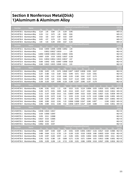|                                  |                                    |                |                |                                 |                |                |                 |                 | <b>Chemical Composition (Percent)</b> |                  |                   |                     |                |                  | <b>Unit Size</b>             |
|----------------------------------|------------------------------------|----------------|----------------|---------------------------------|----------------|----------------|-----------------|-----------------|---------------------------------------|------------------|-------------------|---------------------|----------------|------------------|------------------------------|
| <b>Number</b>                    | Name                               | Ag             | Cu             | Mg                              | Li.            | Ti.            | <b>Zr</b>       |                 |                                       |                  |                   |                     |                |                  | (mm)                         |
| NCS HS 49730-1                   | Aluminium Alloy                    | 0.224          | 2.45           | 0.584                           | 1.76           | 0.104          | 0.045           |                 |                                       |                  |                   |                     |                |                  | Φ45×25                       |
| <b>NCS HS 49730-2</b>            | Aluminium Alloy                    | 0.234          | 3.12           | 0.473                           | 1.28           | 0.092          | 0.061           |                 |                                       |                  |                   |                     |                |                  | Φ45×25                       |
| NCS HS 49730-3                   | Aluminium Alloy                    | 0.425          | 3.83           | 0.417                           | 0.387          | 0.025          | 0.097           |                 |                                       |                  |                   |                     |                |                  | Φ45×25                       |
| NCS HS 49730-4                   | Aluminium Alloy                    | 0.455          | 4.57           | 0.274                           | 1.23           | 0.052          | 0.126           |                 |                                       |                  |                   |                     |                |                  | Φ45×25                       |
| NCS HS 49730-5                   | Aluminium Alloy                    | 0.59           | 5.43           | 0.190                           | 0.954          | 0.027          | 0.142           |                 |                                       |                  |                   |                     |                |                  | Φ45×25                       |
| <b>Number</b>                    | Name                               |                |                |                                 |                |                |                 |                 | <b>Chemical Composition (Percent)</b> |                  |                   |                     |                |                  | <b>Unit Size</b>             |
|                                  |                                    | Ga             | Li.            | Cd                              | B              | Co             | Mg              |                 |                                       |                  |                   |                     |                |                  | (mm)                         |
| NCS HS 49732-1                   | Aluminium Alloy                    | 0.018          | 0.0054         | 0.0045                          | 0.0058         | 0.0052         | 1.04            |                 |                                       |                  |                   |                     |                |                  | Φ62×30                       |
| NCS HS 49732-2                   | Aluminium Alloy                    |                |                | 0.00012 0.00022*                | 0.0010         |                | 1.09            |                 |                                       |                  |                   |                     |                |                  | Φ62×30                       |
| <b>NCS HS 49732-3</b>            | Aluminium Alloy                    | 0.0093         |                | 0.00058 0.00023 0.0011 0.00025  |                |                | 0.092           |                 |                                       |                  |                   |                     |                |                  | Φ62×30                       |
| NCS HS 49732-4                   | Aluminium Alloy                    | 0.0097         | 0.039          | 0.019                           | 0.0032         | 0.0037         | 0.106           |                 |                                       |                  |                   |                     |                |                  | Φ62×30                       |
| <b>NCS HS 49732-5</b>            | Aluminium Alloy                    | 0.411          |                | 0.00010 0.00012 0.0015 0.00013* |                |                | 2.67            |                 |                                       |                  |                   |                     |                |                  | $\Phi$ 62×30                 |
| NCS HS 49732-6                   | Aluminium Alloy                    | 0.069          | 0.0042         | 0.052                           | 0.00067 0.0098 |                | 0.629           |                 |                                       |                  |                   |                     |                |                  | Φ62×30                       |
| NCS HS 49732-7                   | Aluminium Alloy                    | 0.040          | 0.0023         | 0.0015                          | 0.0040 0.0111  |                | 2.01            |                 |                                       |                  |                   |                     |                |                  | $\Phi$ 62×30                 |
| <b>Number</b>                    | Name                               |                |                |                                 |                |                |                 |                 | <b>Chemical Composition (Percent)</b> |                  |                   |                     |                |                  | <b>Unit Size</b>             |
|                                  |                                    | Si             | Fe             | Cu                              | Mn             | Mg             | Zn              | ш               | Νi                                    | Zr               | $\vee$            |                     |                |                  | (mm)                         |
| NCS HS 49733-1                   | Aluminium Alloy                    | 0.358          | 0.455          | 4.76                            | 0.476          | 0.0020         | $0.007*$        | 0.0037          | 0.0038                                | 0.038            | 0.027             |                     |                |                  | Φ62×30                       |
| NCS HS 49733-2                   | Aluminium Alloy                    | 0.257          | 0.380          | 5.53                            | 0.387          | 0.021          | 0.049           | 0.071           | 0.017                                 | 0.103            | 0.061             |                     |                |                  | Φ62×30                       |
| NCS HS 49733-3                   | Aluminium Alloy                    | 0.198          | 0.302          | 6.21                            | 0.318          | 0.040          | 0.105           | 0.160           | 0.041                                 | 0.157            | 0.175             |                     |                |                  | $\Phi$ 62×30                 |
| NCS HS 49733-4                   | Aluminium Alloy                    | 0.159          | 0.199          | 6.64                            | 0.161          | 0.062          | 0.157           | 0.123           | 0.069                                 | 0.236            | 0.116             |                     |                |                  | Φ62×30                       |
| NCS HS 49733-5                   | Aluminium Alloy                    | 0.106          | 0.105          | 6.97                            | 0.090          | 0.126          | 0.189           | $0.154*$        | 0.090                                 | 0.197            | 0.170             |                     |                |                  | Φ62×30                       |
| Number                           | Name                               |                |                |                                 |                |                |                 |                 | <b>Chemical Composition (Percent)</b> |                  |                   |                     |                |                  | <b>Unit Size</b>             |
|                                  |                                    |                |                |                                 |                |                |                 |                 |                                       |                  |                   |                     |                |                  |                              |
|                                  |                                    | Si             | Fe             | Cu                              | Mn             | Mg             | <b>Ni</b>       | Zn              | Cr                                    | m                | <b>Zr</b>         | B                   | <b>Sc</b>      | Be               | (mm)                         |
| NCS HS 49734-1                   | Aluminium Alloy                    | 0.246          | 0.361          | 0.013                           | 1.11           | 4.85           | 0.013           | 0.101           | 0.214                                 | 0.0094           | 0.035             | 0.0010              | 0.031          | 0.00011          | Φ45×30                       |
| <b>NCS HS 49734-2</b>            | Aluminium Alloy                    | 0.206          | 0.273          | 0.051                           | 0.849          | 6.28           | 0.014           | 0.029           | 0.127                                 | 0.062            | 0.162             | 0.0020              | 0.103          | 0.0012           | Φ45×30                       |
| NCS HS 49734-3                   | Aluminium Alloy                    | 0.131          | 0.197          | 0.029                           | 0.413          | 5.61           | 0.0097          | 0.044           | 0.023                                 | 0.029            | 0.092             | 0.0027              | 0.181          | 0.0034           | Φ45×30                       |
| NCS HS 49734-4                   | Aluminium Alloy                    | 0.050          | 0.155          | 0.072                           | 0.140          | 7.11           | 0.035           | 0.135           | 0.134                                 | 0.178            | 0.220             | 0.0084              | 0.236          | 0.0051           | Φ45×30                       |
| <b>NCS HS 49734-5</b>            | Aluminium Alloy                    | 0.100          | 0.299          | 0.097                           | 0.783          | 7.30<br>5.19   | 0.108<br>0.0066 | 0.076<br>0.0080 | 0.066<br>$0.014*$                     | 0.079<br>0.040   | 0.055<br>$0.097*$ | 0.0060              | 0.257          | 0.00051          | Φ45×30                       |
| NCS HS 49734-6                   | Aluminium Alloy                    | 0.049          | 0.089<br>0.089 | 0.012<br>0.011                  | 0.341<br>0.306 | 4.52           | 0.0058          | 0.0074          | $0.013*$                              | 0.039            | 0.088             |                     | 0.349          | 0.0013<br>0.0011 | Φ45×30<br>Φ45×30             |
| NCS HS 49734-7                   | Aluminium Alloy                    | 0.046          |                |                                 |                |                |                 |                 |                                       |                  |                   |                     | 0.535          |                  | <b>Unit Size</b>             |
| <b>Number</b>                    | Name                               | <b>Hg</b>      | Pb             | Cd                              |                |                |                 |                 | <b>Chemical Composition (Percent)</b> |                  |                   |                     |                |                  |                              |
| <b>NCS HS49735-1</b>             | Aluminium Alloy                    | 0.0038         | 0.0023         | 0.0017                          |                |                |                 |                 |                                       |                  |                   |                     |                |                  | (mm)<br>$\Phi$ 62×30         |
| <b>NCS HS49735-2</b>             | Aluminium Alloy                    | 0.039          | 0.0060         | 0.0047                          |                |                |                 |                 |                                       |                  |                   |                     |                |                  | Φ62×30                       |
| NCS HS49735-3                    | Aluminium Alloy                    | 0.059          | 0.011          | 0.0088                          |                |                |                 |                 |                                       |                  |                   |                     |                |                  | Φ62×30                       |
| <b>NCS HS49735-4</b>             | Aluminium Alloy                    | 0.0027         | 0.010          | 0.0085                          |                |                |                 |                 |                                       |                  |                   |                     |                |                  | Φ62×30                       |
| <b>NCS HS49735-5</b>             | Aluminium Alloy                    | 0.0039         | 0.019          | 0.017                           |                |                |                 |                 |                                       |                  |                   |                     |                |                  | $\Phi$ 62×30                 |
| <b>NCS HS49735-6</b>             | Aluminium Alloy                    | 0.0062         | 0.035          | 0.037                           |                |                |                 |                 |                                       |                  |                   |                     |                |                  | Φ62×30                       |
| Number                           | Name                               |                |                |                                 |                |                |                 |                 | <b>Chemical Composition (Percent)</b> |                  |                   |                     |                |                  | <b>Unit Size</b>             |
|                                  |                                    | Si             | Fe             | Cu                              | Mn             | Mg             | Zn              | TT              | Ni                                    | Cd               | $\vee$            | <b>Na</b>           | Ga             | Pb               | (mm)                         |
| NCS HS 49736-1                   | Aluminium Alloy                    | 0.658          | 0.847          | 0.030                           | 0.687          | 1.39           | 0.052           | 0.039           |                                       | 0.0041 0.00017   | 0.102             | $0.0012*$           | 0.020          | 0.0085           | Φ62×30                       |
| <b>NCS HS 49736-2</b>            | Aluminium Alloy                    | 0.488          | 0.664          | 0.111                           | 0.795          | 1.19           | 0.109           | 0.105           | 0.018                                 | 0.0028           | 0.068             | 0.00025             | 0.034          | 0.016            | Φ62×30                       |
| NCS HS 49736-3                   | Aluminium Alloy                    | 0.194          | 0.497          | 0.203                           | 0.957          | 1.16           | 0.206           | 0.091           | 0.055                                 | 0.0042           | 0.056             | 0.00055             | 0.059          | 0.011            | Φ62×30                       |
| NCS HS 49736-4<br>NCS HS 49736-5 | Aluminium Alloy<br>Aluminium Alloy | 0.342<br>0.056 | 0.332<br>0.209 | 0.380<br>0.298                  | 1.05<br>1.18   | 0.869<br>0.712 | 0.271<br>0.330  | 0.156<br>0.201  | 0.071<br>0.086                        | 0.0044<br>0.0058 | 0.033<br>0.018    | 0.0013<br>$0.0016*$ | 0.086<br>0.096 | 0.0051<br>0.0016 | $\Phi$ 62×30<br>$\Phi$ 62×30 |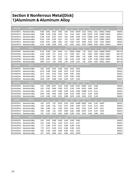|                       |                 |       |       |          |        |       |                | <b>Chemical Composition (Percent)</b>       |                |                |       |                   |                 | <b>Unit Size</b>         |
|-----------------------|-----------------|-------|-------|----------|--------|-------|----------------|---------------------------------------------|----------------|----------------|-------|-------------------|-----------------|--------------------------|
| <b>Number</b>         | Name            | Si.   | Fe    | Cu       | Mn     | Mg    | Cr             | Ni.                                         | Z <sub>n</sub> | P <sub>b</sub> | Ti.   | Cd                | Na              | (mm)                     |
| NCS HS 49737-1        | Aluminium Alloy | 0.039 | 0.091 | 0.019    | 0.092  | 5.94  | 0.010          | 0.0070                                      | 0.327          | 0.0011         | 0.011 |                   | 0.00011 0.00020 | <b>Φ62Χ30</b>            |
| NCS HS 49737-2        | Aluminium Alloy | 0.086 | 0.238 | 0.168    | 0.478  | 5.16  | 0.110          | 0.022                                       | 0.258          | 0.0075         | 0.129 |                   | 0.0068 0.00076  | <b>Φ62Χ30</b>            |
| NCS HS 49737-3        | Aluminium Alloy | 0.138 | 0.314 | 0.072    | 0.370  | 4.56  | 0.067          | 0.044                                       | 0.197          | 0.0068         | 0.074 |                   | 0.0053 0.0014   | <b>Φ62Χ30</b>            |
| <b>NCS HS 49737-4</b> | Aluminium Alloy | 0.214 | 0.397 | 0.105    | 0.221  | 3.76  | 0.173          | 0.067                                       | 0.105          | 0.015          | 0.175 | 0.0087            | $0.0010*$       | <b>Φ62Χ30</b>            |
| NCS HS 49737-5        | Aluminium Alloy | 0.296 | 0.471 | 0.209    | 0.601  | 2.94  | 0.220          | 0.107                                       | 0.050          | 0.023          | 0.235 |                   | 0.019 0.00039*  | <b>Φ62Χ30</b>            |
| <b>NCS HS 49737-6</b> | Aluminium Alloy | 0.116 | 0.284 | 0.056    | 0.342  | 4.25  | 0.041          | 0.022                                       | 0.055          | 0.0034         | 0.041 |                   | 0.0011 0.00013  | <b>Φ62Χ30</b>            |
| <b>Number</b>         | Name            |       |       |          |        |       |                | <b>Chemical Composition (Percent)</b>       |                |                |       |                   |                 | <b>Unit Size</b>         |
|                       |                 | Si.   | Fe    | Cu       | Mn     | Mg    | Cr             | Ni                                          | Zn             | TI.            | Zr    | Ca                | <b>Na</b>       | (mm)                     |
| NCS HS 49738-1        | Aluminium Alloy | 0.147 | 0.283 | 1.83     | 0.043  | 3.17  | 0.0026         | 0.0043                                      | 7.24           | 0.014          | 0.019 |                   | 0.00048 0.00070 | $\Phi$ 62×30             |
| NCS HS 49738-2        | Aluminium Alloy | 0.130 | 0.239 | 2.17     | 0.110  | 2.75  | 0.036          | 0.037                                       | 6.42           | 0.050          | 0.092 | 0.0023            | 0.0027          | $\Phi$ 62×30             |
| <b>NCS HS 49738-3</b> | Aluminium Alloy | 0.082 | 0.184 | 2.95     | 0.147  | 2.11  | 0.059          | 0.062                                       | 5.35           | 0.086          | 0.162 | 0.00023 0.000077* |                 | $\Phi$ 62×30             |
| <b>NCS HS 49738-4</b> | Aluminium Alloy | 0.019 | 0.041 | 3.48     | 0.207  | 1.88  | 0.101          | 0.104                                       | 4.60           | 0.134          | 0.198 |                   | 0.0010 0.00014  | $\Phi$ 62×30             |
| NCS HS 49738-5        | Aluminium Alloy | 0.055 | 0.113 | 2.43     | 0.254  | 1.40  | 0.130          | 0.133                                       | 3.95           | 0.164          | 0.207 |                   | 0.0012 0.0011   | $\Phi$ 62×30             |
| <b>Number</b>         | Name            |       |       |          |        |       |                | <b>Chemical Composition (Percent)</b>       |                |                |       |                   |                 | <b>Unit Size</b>         |
|                       |                 | Si.   | Fe.   | Cu       | Mn     | Mg    | Zn             | m                                           |                |                |       |                   |                 | (mm)                     |
| NCS HS49739-1         | Aluminium Alloy | 8.90  | 0.655 | 0.041    | 0.348  | 0.043 | 0.021          | 0.032                                       |                |                |       |                   |                 | <b>Φ62Χ30</b>            |
| <b>NCS HS49739-2</b>  | Aluminium Alloy | 10.32 | 0.490 | 0.543    | 0.456  | 0.079 | 0.129          | 0.078                                       |                |                |       |                   |                 | <b>Φ62Χ30</b>            |
| NCS HS49739-3         | Aluminium Alloy | 10.71 | 0.417 | 0.233    | 0.541  | 0.093 | 0.067          | 0.092                                       |                |                |       |                   |                 | <b>Φ62Χ30</b>            |
| <b>NCS HS49739-4</b>  | Aluminium Alloy | 12.33 | 0.342 | 0.314    | 0.237  | 0.130 | 0.092          | 0.196                                       |                |                |       |                   |                 | <b>Φ62Χ30</b>            |
| NCS HS49739-5         | Aluminium Alloy | 14.28 | 0.247 | 0.468    | 0.150  | 0.163 | 0.157          | 0.195                                       |                |                |       |                   |                 | Φ62X30                   |
| Number                | Name            | Si.   | Fe.   | Cu       | Mn     | Mg    | Zn             | <b>Chemical Composition (Percent)</b><br>Pb | Sn             | Ti.            | Zr    |                   |                 | <b>Unit Size</b><br>(mm) |
| NCS HS 49740-1        | Aluminium Alloy | 6.92  | 0.090 | $0.017*$ | 0.101  | 0.538 | 0.295          | $0.010*$                                    | $0.0096*$      | 0.027          | 0.028 |                   |                 | <b>Φ62Χ30</b>            |
| NCS HS 49740-2        | Aluminium Alloy | 8.24  | 0.165 | 0.049    | 0.395  | 0.371 | 0.136          | 0.105                                       | $0.018*$       | 0.069          | 0.207 |                   |                 | <b>Φ62Χ30</b>            |
| NCS HS 49740-3        | Aluminium Alloy | 9.21  | 0.435 | 0.079    | 0.608  | 0.303 | 0.234          | 0.046                                       | 0.0068         | 0.175          | 0.111 |                   |                 | <b>Φ62Χ30</b>            |
| <b>NCS HS 49740-4</b> | Aluminium Alloy | 10.02 | 0.392 | 0.081    | 0.240  | 0.183 | 0.215          | 0.085                                       | 0.013          | 0.135          | 0.078 |                   |                 | <b>Φ62Χ30</b>            |
| NCS HS 49740-5        | Aluminium Alloy | 11.30 | 0.269 | 0.132    | 0.512  | 0.089 | 0.079          | 0.129                                       | 0.018          | 0.275          | 0.150 |                   |                 | <b>Φ62Χ30</b>            |
|                       |                 |       |       |          |        |       |                | <b>Chemical Composition (Percent)</b>       |                |                |       |                   |                 | <b>Unit Size</b>         |
| <b>Number</b>         | <b>Name</b>     | Si.   | Fe.   | Cu       | Mn     | Mg    | Z <sub>n</sub> | P <sub>b</sub>                              | Sn             | TT.            | Zr    | Be                |                 | (mm)                     |
| NCS HS 49741-1        | Aluminium Alloy | 4.36  | 0.475 | 2.52     | 0.0187 | 0.163 | 0.010          | 0.0090                                      | $0.0063*$      | 0.041          | 0.181 | 0.0047            |                 | <b>Φ62Χ30</b>            |
| NCS HS 49741-2        | Aluminium Alloy | 3.69  | 0.364 | 2.01     | 0.134  | 0.317 | 0.067          | 0.029                                       | 0.017          | 0.118          | 0.172 | 0.021             |                 | <b>Φ62Χ30</b>            |
| NCS HS 49741-3        | Aluminium Alloy | 4.89  | 0.294 | 1.45     | 0.245  | 0.421 | 0.151          | 0.051                                       | 0.019          | 0.154          | 0.107 | 0.011             |                 | <b>Φ62Χ30</b>            |
| <b>NCS HS 49741-4</b> | Aluminium Alloy | 5.05  | 0.186 | 1.02     | 0.347  | 0.600 | 0.201          | 0.088                                       | $0.014*$       | 0.175          | 0.137 | 0.014             |                 | Φ62X30                   |
| NCS HS 49741-5        | Aluminium Alloy | 5.67  | 0.110 | 0.514    | 0.497  | 0.686 | 0.305          | 0.142                                       | 0.022          | 0.234          | 0.040 | 0.014             |                 | Φ62X30                   |
| <b>Number</b>         | Name            |       |       |          |        |       |                | <b>Chemical Composition (Percent)</b>       |                |                |       |                   |                 | <b>Unit Size</b>         |
|                       |                 | Si.   | Fe    | Cu       | Mn     | Mg    | Zn             | П                                           |                |                |       |                   |                 | (mm)                     |
| NCS HS 49742-1        | Aluminium Alloy | 6.03  | 0.076 | 0.080    | 0.040  | 0.140 | 0.038          | 0.083                                       |                |                |       |                   |                 | <b>Φ62Χ30</b>            |
| <b>NCS HS 49742-2</b> | Aluminium Alloy | 6.53  | 0.238 | 0.131    | 0.130  | 0.211 | 0.121          | 0.127                                       |                |                |       |                   |                 | <b>Φ62Χ30</b>            |
| NCS HS 49742-3        | Aluminium Alloy | 7.17  | 0.396 | 0.179    | 0.211  | 0.290 | 0.206          | 0.136                                       |                |                |       |                   |                 | <b>Φ62Χ30</b>            |
| <b>NCS HS 49742-4</b> | Aluminium Alloy | 7.79  | 0.571 | 0.243    | 0.313  | 0.381 | 0.304          | 0.219                                       |                |                |       |                   |                 | <b>Φ62Χ30</b>            |
| <b>NCS HS 49742-5</b> | Aluminium Alloy | 8.00  | 0.758 | 0.295    | 0.404  | 0.494 | 0.422          | 0.223                                       |                |                |       |                   |                 | <b>Φ62Χ30</b>            |
| NCS HS 49742-6        | Aluminium Alloy | 5.57  | 0.076 | 0.065    | 0.011  | 0.584 | 0.013          | 0.0070                                      |                |                |       |                   |                 | <b>Φ62Χ30</b>            |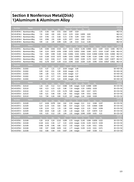|                                  |                                    |              |                |                 |                |                | <b>Chemical Composition(Percent)</b>        |                  |                 |                 |                |                 |                |                 | <b>Unit Size</b>         |
|----------------------------------|------------------------------------|--------------|----------------|-----------------|----------------|----------------|---------------------------------------------|------------------|-----------------|-----------------|----------------|-----------------|----------------|-----------------|--------------------------|
| <b>Number</b>                    | Name                               | Si.          | Fe             | <b>Cu</b>       | Mn             | Mg             | Zn                                          | Ni.              | P <sub>b</sub>  | Sn              |                |                 |                |                 | (mm)                     |
| NCS HS 49744-1                   | Aluminium Alloy                    | 6.78         | 0.166          | 4.64            | 0.531          | 0.063          | 0.097                                       | 0.024            |                 |                 |                |                 |                |                 | Φ62×30                   |
| <b>NCS HS 49744-2</b>            | Aluminium Alloy                    | 7.55         | 0.443          | 4.00            | 0.451          | 0.124          | 0.374                                       | 0.024            | 0.0059          | 0.043           |                |                 |                |                 | Φ62×30                   |
| <b>NCS HS 49744-3</b>            | Aluminium Alloy                    | 8.54         | 0.706          | 3.31            | 0.326          | 0.172          | 0.736                                       | 0.244            | 0.019           | 0.072           |                |                 |                |                 | Φ62×30                   |
| <b>NCS HS 49744-4</b>            | Aluminium Alloy                    | 9.10         | 0.998          | 2.92            | 0.204          | 0.239          | 0.977                                       | 0.414            | 0.065           | 0.113           |                |                 |                |                 | Φ62×30                   |
| <b>NCS HS 49744-5</b>            | Aluminium Alloy                    | 9.99         | 1.32           | 2.49            | 0.099          | 0.292          | 1.08                                        | 0.515            | 0.112           | 0.146           |                |                 |                |                 | Φ62×30                   |
| <b>Number</b>                    | Name                               |              |                |                 |                |                | <b>Chemical Composition (Percent)</b>       |                  |                 |                 |                |                 |                |                 | <b>Unit Size</b>         |
|                                  |                                    | Si           | Fe             | Cu              | Mn             | Mg             | Cr                                          | Ni               | Zn              | m               | P <sub>b</sub> | Sn              | Sr.            | Ca              | (mm)                     |
| NCS HS 49745-1                   | Aluminium Alloy                    | 5.45         | 0.064          | 0.063<br>0.0074 | 0.010<br>0.056 | 0.617<br>0.500 | 0.012<br>0.070                              | 0.0014<br>0.0053 | 0.146           | 0.0083<br>0.049 | 0.012<br>0.073 | 0.097<br>0.014  | 0.016          | 0.065<br>0.036  | $\Phi$ 62×30<br>Φ62×30   |
| <b>NCS HS 49745-2</b>            | Aluminium Alloy                    | 5.94         | 0.214          |                 |                |                |                                             |                  | 0.069           |                 |                |                 | $0.144*$       |                 |                          |
| NCS HS 49745-3                   | Aluminium Alloy<br>Aluminium Alloy | 7.63         | 0.049          | 0.098           | 0.160          | 0.426          | 0.0081                                      | 0.016            | 0.0091<br>0.098 | 0.018           | 0.0060         | 0.0058<br>0.088 | 0.031          | 0.0083<br>0.017 | Φ62×30<br>Φ62×30         |
| NCS HS 49745-4<br>NCS HS 49745-5 |                                    | 6.93         | 0.108<br>0.220 | 0.015<br>0.042  | 0.075<br>0.117 | 0.096<br>0.198 | 0.051<br>0.030                              | 0.0065<br>0.029  | 0.039           | 0.148<br>0.179  | 0.100<br>0.027 | 0.046           | 0.101<br>0.067 | 0.0077          | $\Phi$ 62×30             |
| <b>NCS HS 49745-6</b>            | Aluminium Alloy<br>Aluminium Alloy | 6.62<br>8.62 | 0.278          | 0.027           | 0.109          | 0.313          | 0.040                                       | 0.020            | 0.034           | 0.105           | 0.045          | 0.033           | $0.0033*$      | 0.0021          | $\Phi$ 62×30             |
|                                  |                                    |              |                |                 |                |                | <b>Chemical Composition (Percent)</b>       |                  |                 |                 |                |                 |                |                 | <b>Unit Size</b>         |
| <b>Number</b>                    | Name                               | Fe           | Si             | Mn              | Ni             | Cu             | $\mathsf{Al}$                               | Zn               |                 |                 |                |                 |                |                 | (mm)                     |
| NCS HS 50704-1                   | ZLD202                             | 0.15         | 0.37           | 1.21            | 1.27           | 10.00          | margin                                      | 0.49             |                 |                 |                |                 |                |                 | 50×40×30                 |
| NCS HS 50704-2                   | ZLD202                             | 0.49         | 0.26           | 0.51            | 0.38           | 10.00          | margin                                      | 1.70             |                 |                 |                |                 |                |                 | 50×40×30                 |
| NCS HS 50704-3                   | ZLD202                             | 0.99         | 1.00           | 0.21            | 0.78           | 10.00          | margin                                      | 0.17             |                 |                 |                |                 |                |                 | 50×40×30                 |
| <b>NCS HS 50704-4</b>            | ZLD202                             | 0.29         | 1.70           | 0.77            | 0.15           | 10.00          | margin                                      | 0.28             |                 |                 |                |                 |                |                 | $50\times40\times30$     |
| NCS HS 50704-5                   | ZLD202                             | 1.38         | 0.67           | 0.33            | 0.24           | 10.00          | margin                                      | 0.91             |                 |                 |                |                 |                |                 | $50\times40\times30$     |
| <b>Number</b>                    | Name                               |              |                |                 |                |                | Chemical Composition(Percent)               |                  |                 |                 |                |                 |                |                 | <b>Unit Size</b>         |
|                                  |                                    | Fe           | Si             | Mn              | Mg             | <b>Ni</b>      | Cu                                          | $\overline{A}$   | Zn              | Sn              | Pb             |                 |                |                 | (mm)                     |
| NCS HS 50705-1                   | ZLD110                             | 1.16         | 3.25           | 0.12            | 0.13           | 0.068          | 8.48                                        | margin           | 0.124           | 0.0080          | 0.099          |                 |                |                 | $30\times35\times50$     |
| NCS HS 50705-2                   | ZLD110                             | 0.81         | 4.13           | 0.15            | 0.25           | 0.48           | 7.19                                        | margin           | 0.18            | 0.0052          | 0.018          |                 |                |                 | $30\times35\times50$     |
| NCS HS 50705-3                   | ZLD110                             | 1.30         | 5.13           | 0.73            | 0.39           | 0.176          | 5.89                                        | margin           | 0.69            | 0.017           | 0.071          |                 |                |                 | $30\times35\times50$     |
| <b>NCS HS 50705-4</b>            | ZLD110                             | 0.50         | 6.21           | 0.46            | 0.58           | 0.30           | 4.81                                        | margin           | 0.44            | 0.011           | 0.042          |                 |                |                 | $30\times35\times50$     |
| NCS HS 50705-5                   | ZLD110                             | 0.21         | 7.84           | 0.26            | 0.89           | 0.125          | 3.97                                        | margin           | 0.26            | 0.028           | 0.028          |                 |                |                 | $30\times35\times50$     |
| <b>Number</b>                    | Name                               | Fe           | Si             | Mn              | Mg             | <b>Ni</b>      | <b>Chemical Composition (Percent)</b><br>Cu | $\mathsf{A}$     | Ti.             | Zn              | Sn             | Pb              |                |                 | <b>Unit Size</b><br>(mm) |
| NCS HS 50707-1                   | <b>ZLD109</b>                      | 0.17         | 14.06          | 0.078           | 0.64           | 0.62           | 0.34                                        | margin           | 0.11            | 0.12            | 0.044          | 0.037           |                |                 | $30\times35\times50$     |
| NCS HS 50707-2                   | ZLD109                             | 0.24         | 12.35          | 0.43            | 0.83           | 0.86           | 0.57                                        | margin           | 0.14            | 0.43            | 0.0064         | 0.089           |                |                 | $30\times35\times50$     |
| NCS HS 50707-3                   | ZLD109                             | 0.39         | 11.61          | 0.21            | 1.19           | 1.00           | 0.82                                        | margin           | 0.19            | 0.19            | 0.016          | 0.058           |                |                 | $30\times35\times50$     |
| NCS HS 50707-4                   | ZLD109                             | 0.58         | 10.64          | 0.28            | 1.28           | 1.58           | 1.18                                        | margin           | 0.26            | 0.37            | 0.0074         | 0.14            |                |                 | $30\times35\times50$     |
| NCS HS 50707-5                   | ZLD109                             | 0.91         | 9.25           | 0.12            | 1.95           | 2.04           | 1.91                                        | margin           | 0.049           | 0.050           | 0.031          | 0.21            |                |                 | $30\times35\times50$     |
|                                  |                                    |              |                |                 |                |                | <b>Chemical Composition (Percent)</b>       |                  |                 |                 |                |                 |                |                 | <b>Unit Size</b>         |
| <b>Number</b>                    | Name                               | Fe           | Si             | Mn              | Mg             | <b>Ni</b>      | Cu                                          | $\mathsf{Al}$    | Tī              | Zn              | Sn             | Pb              |                |                 | (mm)                     |
| NCS HS 50708-1                   | <b>ZLD108</b>                      | 0.28         | 14.18          | 0.24            | 0.315          | 0.099          | 0.70                                        | margin           | 0.145           | 0.084           | 0.0056         | 0.022           |                |                 | $30\times35\times50$     |
| NCS HS 50708-2                   | <b>ZLD108</b>                      | 0.324        | 12.61          | 0.36            | 1.17           | 0.19           | 1.015                                       | margin           | 0.156           | 0.235           | 0.0173         | 0.034           |                |                 | $30\times35\times50$     |
| NCS HS 50708-3                   | <b>ZLD108</b>                      | 0.406        | 11.49          | 0.48            | 0.86           | 0.317          | 1.42                                        | margin           | 0.18            | 0.106           | 0.011          | 0.052           |                |                 | $30\times35\times50$     |
| NCS HS 50708-4                   | <b>ZLD108</b>                      | 0.90         | 9.97           | 0.644           | 0.655          | 0.42           | 1.77                                        | margin           | 0.105           | 0.133           | 0.021          | 0.071           |                |                 | $30\times35\times50$     |
| NCS HS 50708-5                   | <b>ZLD108</b>                      | 0.62         | 8.88           | 0.98            | 0.43           | 0.607          | 2.40                                        | margin           |                 | 0.487           | 0.038          | 0.12            |                |                 | $30 \times 35 \times 50$ |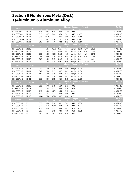|                       |        |       |       |       |       |           | <b>Chemical Composition (Percent)</b>       |           |        |                | <b>Unit Size</b>             |
|-----------------------|--------|-------|-------|-------|-------|-----------|---------------------------------------------|-----------|--------|----------------|------------------------------|
| <b>Number</b>         | Name   | Cu    | Mg    | Mn    | Fe    | Si        | Zn                                          | Sn        |        |                | (mm)                         |
| NCS HS 50709a-1       | ZLD101 | 0.086 | 0.090 | 0.091 | 0.29  | 11.93     | 0.14                                        |           |        |                | 35×35×40                     |
| NCS HS 50709a-2       | ZLD101 | 0.18  | 0.17  | 0.44  | 0.78  | 9.01      | 0.17                                        | 0.0075    |        |                | $35 \times 35 \times 40$     |
| NCS HS 50709a-3       | ZLD101 | 0.48  | 0.074 |       | 0.17  | 9.99      | 0.30                                        | 0.012     |        |                | $35 \times 35 \times 40$     |
| NCS HS 50709a-4       | ZLD101 | 0.29  | 0.31  | 0.24  | 1.12  | 6.28      | 0.10                                        | 0.0041    |        |                | $35\times35\times40$         |
| NCS HS 50709a-5       | ZLD101 | 0.82  | 0.48  | 0.7   | 0.42  | 5.32      | 0.50                                        | 0.019     |        |                | $35\times35\times40$         |
| <b>Number</b>         | Name   |       |       |       |       |           | <b>Chemical Composition(Percent)</b>        |           |        |                | <b>Unit Size</b>             |
|                       |        | Fe    | Si.   | Mn    | Mg    | <b>Cu</b> | $\overline{A}$                              | Zn        | Sn     | P <sub>b</sub> | (mm)                         |
| NCS HS 50710-1        | ZLD203 |       | 2.05  | 0.052 | 0.017 | 4.47      | margin                                      | 0.070     | 0.006  | 0.020          | $30\times35\times50$         |
| <b>NCS HS 50710-2</b> | ZLD203 | 0.37  | 1.44  | 0.15  | 0.096 | 4.47      | margin                                      | 0.091     | 0.022  | 0.025          | $30\times35\times50$         |
| NCS HS 50710-3        | ZLD203 | 0.31  | 0.86  | 0.084 | 0.018 | 4.50      | margin                                      | 0.30      | 0.014  | 0.043          | $30\times35\times50$         |
| NCS HS 50710-4        | ZLD203 | 0.56  | 0.49  | 0.25  | 0.035 | 4.48      | margin                                      | 0.16      | 0.012  | 0.072          | $30\times35\times50$         |
| NCS HS 50710-5        | ZLD203 | 0.81  | 0.34  | 0.13  | 0.068 | 4.45      | margin                                      | 0.30      |        | 0.13           | $30\times35\times50$         |
| NCS HS 50710-6        | ZLD203 | 0.27  | 1.32  | 0.19  | 0.062 | 4.56      | margin                                      | 0.14      | 0.0095 | 0.028          | $30\times35\times50$         |
| Number                | Name   |       |       |       |       |           | Chemical Composition(Percent)               |           |        |                | Unit Size                    |
|                       |        | Fe    | Si.   | Mn    | Mg    | Cu        | $\mathsf{Al}$                               | Zn        |        |                | (mm)                         |
| NCS HS 50711-1        | ZLD401 | 0.43  | 7.00  | 0.38  | 0.10  | 0.68      | margin                                      | 11.00     |        |                | $30\times35\times50$         |
| NCS HS 50711-2        | ZLD401 | 0.67  | 7.00  | 0.19  | 0.17  | 0.89      | margin                                      | 11.00     |        |                | $30\times35\times50$         |
| NCS HS 50711-3        | ZLD401 | 1.01  | 7.00  | 0.28  | 0.20  | 0.24      | margin                                      | 11.00     |        |                | $30\times35\times50$         |
| NCS HS 50711-4        | ZLD401 | 0.24  | 7.00  | 0.56  | 0.40  | 0.42      | margin                                      | 11.00     |        |                | $30\times35\times50$         |
| NCS HS 50711-5        | ZLD401 | 0.15  | 7.00  | 0.95  | 0.65  | 0.15      | margin                                      | 11.00     |        |                | $30\times35\times50$         |
| <b>Number</b>         | Name   | Cu    | Mg    | Mn    | Fe    | Si        | <b>Chemical Composition (Percent)</b><br>Zn |           |        |                | <b>Unit Size</b>             |
| NCS HS 50712-1        | ZLD203 | 0.28  | 3.78  | 0.48  | 1.00  | 1.73      | 0.41                                        |           |        |                | (mm)<br>$30\times35\times50$ |
| NCS HS 50712-2        | ZLD203 | 0.17  | 4.34  | 0.32  | 0.70  | 0.85      | 0.22                                        |           |        |                | $30\times35\times50$         |
| NCS HS 50712-3        | ZLD203 | 1.10  | 5.30  | 0.172 | 0.46  | 1.13      | 0.164                                       |           |        |                | $30\times35\times50$         |
| NCS HS 50712-4        | ZLD203 | 0.055 | 6.57  | 0.11  | 0.29  | 0.65      | 0.11                                        |           |        |                | $30\times35\times50$         |
| NCS HS 50712-5        | ZLD203 | 0.036 | 7.68  | 0.063 | 0.17  | 0.48      | 0.071                                       |           |        |                | $30\times35\times50$         |
|                       |        |       |       |       |       |           | <b>Chemical Composition (Percent)</b>       |           |        |                | <b>Unit Size</b>             |
| <b>Number</b>         | Name   | Si    | Mg    | Mn    | Fe    | Cu        | Zn                                          | <b>Ni</b> |        |                | (mm)                         |
| NCS HS 50713-1        | ZL3    | 6.50  | 0.30  | 0.14  | 0.12  | 5.42      | 0.18                                        | 0.088     |        |                | $30\times35\times40$         |
| <b>NCS HS 50713-2</b> | ZL3    | 5.31  | 0.52  | 0.090 | 0.22  | 7.30      | 0.12                                        | 0.42      |        |                | $30\times35\times40$         |
| NCS HS 50713-3        | ZL3    | 4.27  | 0.19  | 0.23  | 0.26  | 9.01      | 0.59                                        | 0.61      |        |                | $30\times35\times40$         |
| <b>NCS HS 50713-4</b> | ZL3    | 8.27  |       | 0.68  | 0.44  | 4.30      | 0.90                                        | 0.052     |        |                | $30\times35\times40$         |
| NCS HS 50713-5        | ZL3    | 6.40  | 0.67  | 0.42  | 0.68  | 6.18      | 0.37                                        |           |        |                | $30\times35\times40$         |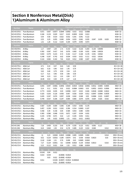| <b>Number</b>         | Name           | Fe               | Si          | Mn          | Mg                 | <b>Ni</b>    | <b>Chemical Composition(Percent)</b><br>Cu | -Ti           | Zn           | Sn             | Pb             | RE.    | Unit Size<br>(mm)             |
|-----------------------|----------------|------------------|-------------|-------------|--------------------|--------------|--------------------------------------------|---------------|--------------|----------------|----------------|--------|-------------------------------|
| NCS HS 53703-1        | Pure Aluminum  | 0.071            | 0.067       | 0.0077      | 0.0044             | 0.0092       | 0.015                                      | 0.012         | 0.0088       |                |                |        | $\Phi$ 38×32                  |
| NCS HS 53703-2        | Pure Aluminum  | 0.166            | 0.133       | 0.029       | 0.017              | 0.019        | 0.0093                                     | 0.026         | 0.013        |                |                |        | Φ38×32                        |
| <b>NCS HS 53703-3</b> | Pure Aluminum  | 0.59             | 0.58        | 0.014       | 0.022              | 0.032        | 0.291                                      | 0.041         | 0.122        |                |                |        | Φ38×32                        |
| NCS HS 53703-4        | Pure Aluminum  | 0.35             | 0.29        | 0.055       | 0.040              | 0.054        | 0.033                                      | 0.062         | 0.035        | 0.047          | 0.035          | 0.029  | Φ38×32                        |
| NCS HS 53703-5        | Pure Aluminum  | 1.31             | 1.28        | 0.112       | 0.103              | 0.100        | 0.079                                      | 0.093         | 0.073        |                |                |        | Φ38×32                        |
|                       |                |                  |             |             |                    |              | <b>Chemical Composition (Percent)</b>      |               |              |                |                |        | <b>Unit Size</b>              |
| <b>Number</b>         | <b>Name</b>    | Fe               | Si.         | Mn          | Mg                 | Ni           | Cu                                         | Ti.           | Zn           | Cr             | <b>Be</b>      |        | (mm)                          |
| <b>NCS HS53704-1</b>  | Al Alloy       | 1.17             | 0.907       | 1.04        | 1.71               | 0.153        | 0.222                                      | 0.218         | 0.293        | 0.130          | 0.000498       |        | Φ38×32                        |
| <b>NCS HS53704-2</b>  | Al Alloy       | 0.392            | 0.587       | 0.417       | 3.41               | 0.076        | 0.083                                      | 0.100         | 0.031        | 0.066          | 0.000158       |        | Φ38×32                        |
| <b>NCS HS53704-3</b>  | Al Alloy       | 0.654            | 0.379       | 0.215       | 4.72               | 0.102        | 0.117                                      | 0.168         | 0.178        | 0.391          | 0.00528        |        | Φ38×32                        |
| <b>NCS HS53704-4</b>  | Al Alloy       | 0.248            | 0.187       | 0.742       | 6.62               | 0.034        | 0.033                                      | 0.021         | 0.111        | 0.022          | 0.00146        |        | Φ38×32                        |
| <b>NCS HS53704-5</b>  | Al Alloy       | 0.122            | 0.082       | 0.102       | 7.81               | 0.023        | 0.012                                      | 0.060         | 0.047        | 0.183          | 0.00315        |        | $\Phi$ 38×32                  |
| Number                | Name           | Si.              | Mg          | Mn          | Fe                 | Cu           | <b>Chemical Composition(Percent)</b><br>Zn |               |              |                |                |        | <b>Unit Size</b>              |
| NCS HS 57701-1        | AlSi6 Cu4      | 4.71             | 0.19        | 0.57        | 0.41               | 5.28         | 0.59                                       |               |              |                |                |        | (mm)<br>45×33×28              |
| NCS HS 57701-2        | AlSi6 Cu4      | 8.61             | 0.18        | 0.40        | 0.63               | 1.45         | 0.79                                       |               |              |                |                |        | 45×33×28                      |
| NCS HS 57701-3        | AlSi6 Cu4      | 5.63             | 0.40        | 0.79        | 0.50               | 3.54         | 1.25                                       |               |              |                |                |        | 45×33×28                      |
| NCS HS 57701-4        | AlSi6 Cu4      | 6.17             | 0.21        | 0.46        | 0.56               | 3.98         | 0.30                                       |               |              |                |                |        | 45×33×28                      |
| <b>NCS HS 57701-5</b> | AlSi6 Cu4      | 9.49             | 0.23        | 0.21        | 1.01               | 0.99         | 0.77                                       |               |              |                |                |        | 45×33×28                      |
| NCS HS 57701-6        | AlSi6 Cu4      | 10.40            | 0.53        | 0.30        | 0.79               | 2.27         | 1.16                                       |               |              |                |                |        | 45×33×28                      |
|                       |                |                  |             |             |                    |              | <b>Chemical Composition (Percent)</b>      |               |              |                |                |        | Unit Size                     |
| <b>Number</b>         | Name           | Fe               | Si          | Zn          | Cu                 | Mg           | Mn                                         | m             | Ga           | $\vee$         | Cr             | B      | (mm)                          |
| NCS HS 91701-1        | Pure Aluminum  | 0.055            | 0.047       | 0.0081      | 0.0056             | 0.0024       | 0.0019                                     | 0.0018        | 0.0042       | 0.0012         | 0.0005         | 0.0005 | $\Phi$ 60 $\times$ 33         |
| NCS HS 91701-2        | Pure Aluminum  | 0.14             | 0.11        | 0.031       | 0.01               | 0.022        | 0.0084                                     | 0.0063        | 0.03         | 0.0052         | 0.0015         | 0.0006 | $\Phi$ 60 $\times$ 33         |
| NCS HS 91701-3        | Pure Aluminum  | 0.773            | 0.634       | 0.035       | 0.03               | 0.0096       | 0.017                                      | 0.015         | 0.026        | 0.0028         | 0.0048         | 0.0022 | $\Phi$ 60 $\times$ 33         |
| NCS HS 91701-4        | Pure Aluminum  | 0.325            | 0.203       | 0.126       | 0.058              | 0.067        | 0.026                                      | 0.029         | 0.012        | 0.0047         | 0.0099         | 0.0039 | $\Phi$ 60 $\times$ 33         |
| NCS HS 91701-5        | Pure Aluminum  | 0.435            | 0.347       | 0.074       | 0.097              | 0.038        | 0.042                                      | 0.048         | 0.05         | 0.0086         | 0.015          | 0.0097 | $\Phi$ 60 $\times$ 33         |
| NCS HS 91701-6        | Pure Aluminum  | 0.744            | 0.537       | 0.106       | 0.147              | 0.069        | 0.065                                      | 0.079         | 0.076        | 0.029          | 0.025          | 0.016  | Φ60×33                        |
| <b>Number</b>         | Name           |                  |             |             |                    |              | <b>Chemical Composition (Percent)</b>      |               |              |                |                |        | <b>Unit Size</b>              |
| NCS HS 91702-1        | Aluminum Alloy | Fe<br>0.587      | Si<br>0.109 | Zn<br>0.004 | Cu<br>0.306        | Mg<br>0.189  | Mn<br>0.414                                | TI.<br>0.002  | Cr<br>0.176  |                |                |        | (mm)<br>$\Phi$ 60 $\times$ 33 |
| NCS HS 91702-2        | Aluminum Alloy | 0.457            | 0.199       | 0.012       | 0.202              | 0.396        | 0.314                                      | 0.0065        | 0.107        |                |                |        | $\Phi$ 60 $\times$ 33         |
| NCS HS 91702-3        | Aluminum Alloy | 0.358            | 0.39        | 0.158       | 0.05               | 0.589        | 0.053                                      | 0.085         | 0.054        |                |                |        | $\Phi$ 60 $\times$ 33         |
| NCS HS 91702-4        | Aluminum Alloy | 0.365            | 0.586       | 0.048       | 0.101              | 0.871        | 0.207                                      | 0.034         | 0.031        |                |                |        | $\Phi$ 60 $\times$ 33         |
| NCS HS 91702-5        | Aluminum Alloy | 0.155            | 0.785       | 0.071       | 0.02               | 1.23         | 0.105                                      | 0.053         | 0.011        |                |                |        | $\Phi$ 60 $\times$ 33         |
| NCS HS 91702-6        | Aluminum Alloy | 0.09             | 1.05        | 0.022       | 0.0092             | 1.51         | 0.021                                      | 0.011         | 0.0052       |                |                |        | $\Phi$ 60 $\times$ 33         |
|                       | Name           |                  |             |             |                    |              | <b>Chemical Composition (Percent)</b>      |               |              |                |                |        | <b>Unit Size</b>              |
| <b>Number</b>         |                | Si.              | Fe          | Cu          | Mg                 | Zn           | Mn                                         | m             | <b>Sn</b>    | P <sub>b</sub> | Zr             | Ni.    | (mm)                          |
| NCS HS 11901          | Aluminum Alloy | 7.18             | 0.459       | 0.210       | 0.43               | 0.179        | 0.335                                      | 0.123         | 0.011        | 0.056          | 0.117          |        | $\Phi$ 50 $\times$ 30         |
| <b>NCS HS 11902</b>   | Aluminum Alloy | 8.24             | 0.464       | 1.50        | 0.52               | 0.178        | 0.485                                      | 0.225         | 0.010        | 0.048          |                | 0.012  | $\Phi$ 50×30                  |
| Number                | Name           | Si.              | Fe          | Cu          |                    |              | <b>Chemical Composition (Percent)</b>      |               |              |                |                | Ca     | Unit Size                     |
| <b>NCS HS11723-1</b>  | Aluminum Alloy | $11\phantom{.0}$ | 0.23        | 0.0028      | Mg<br>0.0025       | Zn<br>0.0088 | Mn<br>0.005                                | Ti.<br>0.0085 | Ni.<br>0.004 | Zr             | S <sub>b</sub> | 0.014  | (mm)<br>$D50 \times 35$ mm    |
| <b>NCS HS11723-2</b>  | Aluminum Alloy | 8.52             | 0.219       | 0.0016      | 0.289              | 0.0074       | 0.41                                       | 0.038         | 0.0026       | 0.0023         |                | 0.03   | $D50 \times 35$ mm            |
| NCS HS11723-3         | Aluminum Alloy | 11.82            | 0.168       | 1.51        | 0.76               | 0.008        | 0.63                                       | 0.0085        | 0.0043       |                |                |        | $D50 \times 35$ mm            |
| <b>NCS HS11723-4</b>  | Aluminum Alloy | 7.27             | 0.124       | 0.0051      | 0.6                | 0.0048       | 0.0025                                     | 0.139         | 0.0028       | 0.0013         |                | 0.015  | $D50 \times 35$ mm            |
| NCS HS11723-5         | Aluminum Alloy | 5.15             | 0.112       | 0.021       | 0.64               | 1.52         | 0.011                                      | 0.088         | 0.0034       |                | 0.14           |        | $D50 \times 35$ mm            |
|                       |                |                  |             |             |                    |              |                                            |               |              |                |                |        |                               |
|                       |                | Ga               | <b>Sr</b>   | V           | <b>Pb</b>          | Sn           | Be                                         |               |              |                |                |        |                               |
| NCS HS11723-1         | Aluminum Alloy | 0.0142           | 0.04        | 0.012       |                    |              |                                            |               |              |                |                |        |                               |
| <b>NCS HS11723-2</b>  | Aluminum Alloy | 0.014            | 0.034       |             | $(0.0008)$ <0.001# |              |                                            |               |              |                |                |        |                               |
| NCS HS11723-3         | Aluminum Alloy |                  | 0.03        | 0.012       | $(0.0008)$ <0.001# |              |                                            |               |              |                |                |        |                               |
| <b>NCS HS11723-4</b>  | Aluminum Alloy | 0.011            |             | 0.0106      |                    |              | $(0.0007)$ <0.001# <0.00002#               |               |              |                |                |        |                               |
| NCS HS11723-5         | Aluminum Alloy |                  |             | 0.013       | $(0.0009)$ <0.001# |              |                                            |               |              |                |                |        |                               |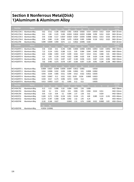| <b>Number</b>        | <b>Name</b>     |           |                   |                |        |        |        | <b>Chemical Composition (Percent)</b>       |        |        |        |        | <b>Unit Size</b>         |
|----------------------|-----------------|-----------|-------------------|----------------|--------|--------|--------|---------------------------------------------|--------|--------|--------|--------|--------------------------|
|                      |                 | Si.       | Mg                | Fe             | Cu     | Mn     | Zn     | Ni                                          | m      | Cr     | Ga     | V      | (mm)                     |
| <b>NCS HS11724-1</b> | Aluminum Alloy  | 0.62      | 0.512             | 0.108          | 0.0023 | 0.002  | 0.0018 | 0.0026                                      | 0.014  | 0.0019 | 0.013  | 0.024  | $D60\times 20$ mm        |
| <b>NCS HS11724-2</b> | Aluminum Alloy  | 0.61      | 0.98              | 0.125          | 0.266  | 0.0032 | 0.0024 | 0.0033                                      | 0.0088 | 0.058  | 0.012  | 0.022  | $D60 \times 20$ mm       |
| <b>NCS HS11724-3</b> | Aluminum Alloy  | 0.45      | 0.568             | 0.117          | 0.0037 | 0.0024 | 0.0027 | 0.0035                                      | 0.0088 | 0.0021 | 0.013  | 0.018  | $D60 \times 20$ mm       |
| <b>NCS HS11724-4</b> | Aluminum Alloy  | 0.94      | 0.881             | 0.126          | 0.046  | 0.479  | 0.0018 | 0.005                                       | 0.0086 | 0.126  | 0.012  | 0.023  | $D60\times 20$ mm        |
| NCS HS11794          | Aluminum Alloy  | 0.099     | 0.0044            | 0.494          | 0.071  | 1.11   | 0.0022 | 0.0046                                      | 0.026  |        |        |        | $D50\times 20$ mm        |
| Number               | Name            | Si.       | Fe                | Cu             | Mg     | Mn     | Zn     | <b>Chemical Composition</b> (Percent)<br>Sn | Pb     | Ni.    | Ti.    | Cr     | <b>Unit Size</b><br>(mm) |
| <b>NCS HS28707-1</b> | Aluminum Alloy  | 5.56      | 0.026             | 0.01           | 0.196  | 0.085  | 0.0064 | 0.0058                                      | 0.0053 | 0.0053 | 0.024  | 0.0051 | $\Phi$ 60 $\times$ 30mm  |
| <b>NCS HS28707-2</b> | Aluminum Alloy  | 7.22      | 0.214             | 0.051          | 0.288  | 0.121  | 0.09   | 0.084                                       | 0.044  | 0.045  | 0.043  | 0.019  | $\Phi$ 60 $\times$ 30mm  |
| <b>NCS HS28707-3</b> | Aluminum Alloy  | 6.83      | 0.068             | 0.093          | 0.357  | 0.049  | 0.032  | 0.017                                       | 0.014  | 0.011  | 0.088  | 0.01   | $\Phi$ 60×30mm           |
| <b>NCS HS28707-4</b> | Aluminum Alloy  | 6.9       | 0.09              | 0.139          | 0.416  | 0.022  | 0.098  | 0.025                                       | 0.06   | 0.029  | 0.146  | 0.031  | $\Phi$ 60×30mm           |
| <b>NCS HS28707-5</b> | Aluminum Alloy  | 6.26      | 0.373             | 0.191          | 0.497  | 0.207  | 0.148  | 0.036                                       | 0.101  | 0.067  | 0.153  | 0.096  | $\Phi$ 60×30mm           |
| <b>NCS HS28707-6</b> | Aluminum Alloy  | 7.82      | 0.483             | 0.275          | 0.578  | 0.307  | 0.338  | 0.057                                       | 0.138  | 0.091  | 0.184  | 0.108  | $\Phi$ 60×30mm           |
|                      |                 |           |                   |                |        |        |        |                                             |        |        |        |        |                          |
|                      |                 | <b>Sr</b> | Ca                | $\overline{V}$ | Ga     | Zr     | Cd     | <b>Be</b>                                   | B      | Þ      |        |        |                          |
| <b>NCS HS28707-1</b> | Aluminum Alloy  | 0.0064    | 0.0027            | 0.0049         | 0.0054 | 0.0047 | 0.0013 | 0.0061                                      |        | 0.0018 |        |        |                          |
| <b>NCS HS28707-2</b> | Aluminum Alloy  | 0.016     | 0.0006            | 0.032          | 0.059  | 0.006  | 0.0061 | 0.01                                        | 0.0006 | 0.0062 |        |        |                          |
| NCS HS28707-3        | Aluminum Alloy  | 0.043     | 0.034             | 0.085          | 0.011  | 0.044  | 0.012  | 0.022                                       | 0.0021 | 0.0035 |        |        |                          |
| <b>NCS HS28707-4</b> | Aluminum Alloy  | 0.025     | 0.0067            | 0.12           | 0.021  | 0.021  | 0.035  | 0.034                                       | 0.0005 | 0.0023 |        |        |                          |
| <b>NCS HS28707-5</b> | Aluminum Alloy  | 0.034     | 0.017             | 0.175          | 0.096  | 0.072  | 0.058  | 0.12                                        |        | 0.0033 |        |        |                          |
| <b>NCS HS28707-6</b> | Aluminum Alloy  | 0.013     | 0.0053            | 0.157          | 0.2    | 0.065  | 0.12   | 0.21                                        |        | 0.0035 |        |        |                          |
| Number               | Name            |           |                   |                |        |        |        | <b>Chemical Composition (Percent)</b>       |        |        |        |        | <b>Unit Size</b>         |
|                      |                 | Si        | Fe                | Mn             | Cr     | Ni     | Cu     | Mg                                          | Zn     | $\vee$ | Ti.    | Zr     | (mm)                     |
| NCS HS41762          | Aluminium Alloy | 0.12      | 0.15              | 0.006          | 0.18   | 0.004  | 0.003  | 2.56                                        | 0.008  |        |        |        | $\Phi$ 42 $\times$ 38mm  |
| NCS HS41763          | Aluminium Alloy | 0.84      | 0.2               | 0.51           | 0.015  | 0.01   | 0.081  | 0.95                                        | 0.066  | 0.014  | 0.011  |        | Φ42×32mm                 |
| NCS HS41764          | Aluminium Alloy | 0.05      | 0.18              | 0.04           | 0.2    | 0.004  | 1.57   | 2.38                                        | 5.62   |        | 0.024  |        | Φ42×38mm                 |
| <b>NCS HS53721</b>   | Aluminium Alloy | 0.269     | 0.271             | 0.356          | 0.154  | 0.051  | 0.154  | 1.51                                        | 4.89   | 0.085  | 0.123  | 0.191  | Φ55×40mm                 |
| <b>NCS HS53722</b>   | Aluminium Alloy | 0.274     | 0.397             | 0.308          | 0.198  | 0.042  | 1.62   | 2.45                                        | 6.24   |        | 0.08   |        | Φ55×40mm                 |
| NCS HS93749          | Aluminium Alloy | 11.82     | 0.168             | 0.627          |        | 0.0043 | 1.51   | 0.76                                        | 0.008  | 0.012  | 0.0085 | 0.03   | $\Phi$ 50 $\times$ 35mm  |
|                      |                 | Sn        | <b>Pb</b>         |                |        |        |        |                                             |        |        |        |        |                          |
| NCS HS93749          | Aluminium Alloy |           | < 0.001# (0.0006) |                |        |        |        |                                             |        |        |        |        |                          |
|                      |                 |           |                   |                |        |        |        |                                             |        |        |        |        |                          |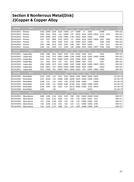#### Section 8 Nonferrous Metal(Disk) 2)Copper & Copper Alloy

| <b>Number</b>         | Name               |        |        |                |           |           |           | <b>Chemical Composition (Percent)</b>       |           |               |               |           |                | <b>Unit Size</b>      |
|-----------------------|--------------------|--------|--------|----------------|-----------|-----------|-----------|---------------------------------------------|-----------|---------------|---------------|-----------|----------------|-----------------------|
|                       |                    | Fe.    | P.     | Zn             | <b>Sn</b> | Sb        | Pb        | Bi                                          | Cu        | Ni.           | Si.           | Mn        | $\overline{A}$ | (mm)                  |
| NCS HS 28703-1        | Pb brass           | 0.028  | 0.0043 | 23.99          | 0.019     | 0.0036    | 2.77      | 0.0009                                      | 73        | 0.003         |               | 0.0048    |                | $\Phi$ 35×28          |
| <b>NCS HS 28703-2</b> | Pb brass           | 0.036  | 0.012  | 33.45          | 0.32      | 0.0034    | 1.87      | 0.0015                                      | 64.43     | 0.0023        | 0.0012        | 0.174     | 0.015          | $\Phi$ 35×28          |
| <b>NCS HS 28703-3</b> | Pb brass           | 0.047  | 0.0042 | 38.79          | 0.108     | 0.0061    | 0.766     | 0.0015                                      | 60.28     | 0.0019        |               | 0.0046    |                | $\Phi$ 35×28          |
| <b>NCS HS 28703-4</b> | Pb brass           | 0.167  | 0.011  | 38.85          | 0.102     | 0.0077    | 1.5       | 0.0024                                      | 59.14     | 0.0027        | 0.0016        | 0.031     | 0.064          | $\Phi$ 35×28          |
| <b>NCS HS 28703-5</b> | Pb brass           | 0.11   | 0.02   | 39.59          | 0.269     | 0.013     | 1.81      | 0.0025                                      | 58.07     | 0.0025        |               | 0.029     | 0.034          | $\Phi$ 35×28          |
| <b>NCS HS 28703-6</b> | Pb brass           | 0.037  | 0.044  | 41.76          | 0.478     | 0.022     | 0.581     | 0.001                                       | 59.62     | 0.0023        |               | 0.05      | 0.271          | $\Phi$ 35×28          |
| <b>NCS HS 28703-7</b> | Pb brass           | 0.502  | 0.02   | 34.92          | 0.75      | 0.029     | 3.06      | 0.0083                                      | 59.55     | 0.0035 0.0077 |               | 0.464     | 0.364          | $\Phi$ 35×28          |
| <b>Number</b>         | Name               | Fe.    | P      | Z <sub>n</sub> | Sn        | <b>Sb</b> | <b>Pb</b> | <b>Chemical Composition (Percent)</b><br>Bi | <b>Cu</b> | Ni.           | <b>Si</b>     | <b>As</b> |                | <b>Unit Size</b>      |
| NCS HS 28704-1        | Copper alloy       | 0.288  | 0.084  | 39.01          | 0.0047    | 0.023     | 0.318     | 0.0016                                      | 59.89     | 0.015         |               | 0.043     |                | (mm)<br>$\Phi$ 35×28  |
| <b>NCS HS 28704-2</b> | Copper alloy       | 0.116  | 0.039  | 37.53          | 0.0051    | 0.0046    | 0.108     | 0.0028                                      | 61.88     | 0.0032        | 0.0029        | 0.0038    |                | $\Phi$ 35×28          |
| <b>NCS HS 28704-3</b> | Copper alloy       | 0.052  | 0.011  | 30.44          | 0.0081    | 0.0072    | 0.018     | 0.0043                                      | 69.08     | 0.006         |               | 0.0094    |                | $\Phi$ 35×28          |
| <b>NCS HS 28704-4</b> | Copper alloy       | 0.11   | 0.013  | 18.75          | 0.01      | 0.01      | 0.017     | 0.0084                                      | 80.9      | 0.013         |               | 0.027     |                | $\Phi$ 35×28          |
| <b>NCS HS 28704-5</b> | Copper alloy       | 0.028  | 0.0052 | 14.79          | 0.011     | 0.0091    | 0.029     | 0.0066                                      | 85.06     | 0.0045        | 0.0019        | 0.0079    |                | $\Phi$ 35×28          |
| <b>NCS HS 28704-6</b> | Copper alloy       | 0.024  | 0.0071 | 9.76           | 0.0010    | 0.0031    | 0.0084    | 0.0054                                      | 90.02     | 0.0045        |               | 0.0019    |                | $\Phi$ 35×28          |
| <b>NCS HS 28704-7</b> | Copper alloy       | 0.012  | 0.0046 | 4.02           | 0.0010    | 0.0013    | 0.0028    | 0.0019                                      | 95.9      | 0.0047        | 0.0024 0.0021 |           |                | $\Phi$ 35×28          |
|                       |                    |        |        |                |           |           |           | <b>Chemical Composition (Percent)</b>       |           |               |               |           |                | <b>Unit Size</b>      |
| <b>Number</b>         | Name               | Fe     | Si     | Mn             | P         | $M\sigma$ | Cu        | <b>As</b>                                   | <b>Sb</b> | Pb            | Bi            |           |                | (mm)                  |
| <b>NCS HS 43708-1</b> | <b>Monel Metal</b> | (2.33) | 0.035  | 1.12           | 0.011     | 0.012     | (28.64)   | 0.030                                       | 0.0014    | 0.0021        | 0.0011        |           |                | $23\times28\times70$  |
| <b>NCS HS 43708-2</b> | <b>Monel Metal</b> | (2.67) | 0.0225 | 1.16           | 0.0048    | 0.096     | (28.06)   | 0.0076                                      | 0.0018    | 0.0026        | 0.0016        |           |                | 23×28×70              |
| <b>NCS HS 43708-3</b> | <b>Monel Metal</b> | (2.48) | 0.21   | 1.53           | 0.014     | 0.40      | (27.69)   | 0.049                                       | 0.0063    |               | 0.0028        |           |                | $23\times28\times70$  |
| <b>NCS HS 43708-4</b> | <b>Monel Metal</b> | (2.42) | 0.035  | 1.31           | 0.0054    | 0.042     | (27.85)   | 0.015                                       | 0.0040    | 0.0056        | 0.0047        |           |                | 23×28×70              |
| <b>NCS HS 43708-5</b> | <b>Monel Metal</b> | (2.42) | 0.078  | 1.58           | 0.020     | 0.19      | (28.11)   | 0.0063                                      | 0.0026    | 0.010         | 0.0079        |           |                | $23\times28\times70$  |
| NCS HS 43708-6        | <b>Monel Metal</b> | (2.36) |        | 1.40           |           |           | (28.29)   |                                             |           | 0.0013        |               |           |                | $23\times28\times70$  |
| <b>Number</b>         | Name               |        |        |                |           |           |           | <b>Chemical Composition (Percent)</b>       |           |               |               |           |                | <b>Unit Size</b>      |
|                       |                    | Fe     | Si.    | Mn             | P         | Ni.       | Zn        | Sn                                          | <b>As</b> | Sh            | Pb            |           |                | (mm)                  |
| <b>NCS HS 43709-1</b> | Silicon Bronze     | 0.089  | (2.83) | (1.21)         | 0.015     | 0.075     | 0.90      | 0.50                                        | 0.0010    | 0.00104       | 0.0102        |           |                | $\Phi$ 30 $\times$ 57 |
| NCS HS 43709-2        | Silicon Bronze     | 0.16   | (3.03) | (1.21)         | 0.026     | 0.13      | 0.55      | 0.30                                        | 0.0017    | 0.0017        | 0.017         |           |                | $\Phi$ 30 $\times$ 57 |
| <b>NCS HS 43709-3</b> | Silicon Bronze     | 0.21   | (3.04) | (1.24)         | 0.036     | 0.18      | 0.36      | 0.19                                        | 0.0026    | 0.0025        | 0.024         |           |                | $\Phi$ 30 $\times$ 57 |
| <b>NCS HS 43709-4</b> | Silicon Bronze     | 0.34   | (3.04) | (1.25)         | 0.56      | 0.26      | 0.23      | 0.12                                        | 0.0042    | 0.0042        | 0.036         |           |                | $\Phi$ 30 $\times$ 57 |
| NCS HS 43709-5        | Silicon Bronze     | 0.56   | (2.93) | (1.17)         | 0.088     | 0.41      | 0.16      | 0.070                                       |           | 0.0068 0.0066 | 0.059         |           |                | $\Phi$ 30 $\times$ 57 |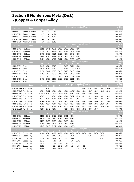#### Section 8 Nonferrous Metal(Disk) 2)Copper & Copper Alloy

| Number                      | Name            | Fe        | Mn            | $\mathsf{Al}$        |                              |                       |                | <b>Chemical Composition (Percent)</b>                                  |        |                      |                                                |                      |        | <b>Unit Size</b><br>(mm) |
|-----------------------------|-----------------|-----------|---------------|----------------------|------------------------------|-----------------------|----------------|------------------------------------------------------------------------|--------|----------------------|------------------------------------------------|----------------------|--------|--------------------------|
| NCS HS 43712-1              | Aluminum Bronze | 4.94      | 2.63          | 7.76                 |                              |                       |                |                                                                        |        |                      |                                                |                      |        | $\Phi$ 32×45             |
| <b>NCS HS 43712-2</b>       | Aluminum Bronze | 4.17      | 2.92          | 8.78                 |                              |                       |                |                                                                        |        |                      |                                                |                      |        | $\Phi$ 32×45             |
| <b>NCS HS 43712-3</b>       | Aluminum Bronze | 3.51      | 2.01          | 9.75                 |                              |                       |                |                                                                        |        |                      |                                                |                      |        | $\Phi$ 32×45             |
| NCS HS 43712-4              | Aluminum Bronze | 2.45      | 1.37          | 11.75                |                              |                       |                |                                                                        |        |                      |                                                |                      |        | $\Phi$ 32×45             |
| <b>NCS HS 43712-5</b>       | Aluminum Bronze | 1.63      | 0.61          | 10.85                |                              |                       |                |                                                                        |        |                      |                                                |                      |        | $\Phi$ 32×45             |
|                             |                 |           |               |                      |                              |                       |                | <b>Chemical Composition (Percent)</b>                                  |        |                      |                                                |                      |        | <b>Unit Size</b>         |
| <b>Number</b>               | <b>Name</b>     | Fe        | P             | Cu                   | As                           | S <sub>b</sub>        | <b>Pb</b>      | Bi                                                                     |        |                      |                                                |                      |        | (mm)                     |
| NCS HS 43714-1              | H68, Brass      | 0.251     | 0.041         | (65.73)              | 0.016                        | 0.025                 | 0.013          | 0.0084                                                                 |        |                      |                                                |                      |        | $\Phi$ 32×40             |
| <b>NCS HS 43714-2</b>       | H68, Brass      | 0.138     | 0.024         | (68.37)              | 0.046                        | 0.0046                | 0.028          | 0.0016                                                                 |        |                      |                                                |                      |        | $\Phi$ 32×40             |
| NCS HS 43714-3              | H68, Brass      | 0.078     | 0.012         | (67.24)              | 0.126                        | 0.0084                | 0.042          | 0.0030                                                                 |        |                      |                                                |                      |        | $\Phi$ 32×40             |
| <b>NCS HS 43714-4</b>       | H68, Brass      | 0.041     | 0.0087        | (65.66)              | 0.078                        | 0.014                 | 0.079          | 0.0048                                                                 |        |                      |                                                |                      |        | $\Phi$ 32 $\times$ 40    |
| <b>NCS HS 43714-5</b>       | H68, Brass      | 0.024     | 0.0054        | (68.60)              | 0.027                        | 0.0025                | 0.139          | 0.00073                                                                |        |                      |                                                |                      |        | $\Phi$ 32×40             |
| <b>Number</b>               | Name            |           |               |                      |                              |                       |                | <b>Chemical Composition (Percent)</b>                                  |        |                      |                                                |                      |        | <b>Unit Size</b>         |
|                             |                 | Fe i      | P             | Cu                   | As                           | <b>Sb</b>             | P <sub>b</sub> | Bi                                                                     |        |                      |                                                |                      |        | (mm)                     |
| NCS HS 43715-1              | <b>Brass</b>    | 0.046     | 0.0092        | 60.03                |                              | 0.016                 | 0.074          | 0.0049                                                                 |        |                      |                                                |                      |        | $\Phi$ 35 $\times$ 23    |
| <b>NCS HS 43715-2</b>       | <b>Brass</b>    | 0.018     | 0.0046        | 62.40                |                              | 0.0026                | 0.132          | 0.00075                                                                |        |                      |                                                |                      |        | $\Phi$ 35 $\times$ 23    |
| NCS HS 43715-3              | <b>Brass</b>    | 0.251     | 0.041         | 65.73                | 0.016                        | 0.025                 | 0.013          | 0.0088                                                                 |        |                      |                                                |                      |        | $\Phi$ 35 $\times$ 23    |
| <b>NCS HS 43715-4</b>       | <b>Brass</b>    | 0.153     | 0.022         | 68.73                | 0.048                        | 0.0051                | 0.028          | 0.0016                                                                 |        |                      |                                                |                      |        | Φ35×23                   |
| NCS HS 43715-5              | <b>Brass</b>    | 0.338     | 0.013         | 58.96                | 0.088                        | 0.011                 | 0.391          | 0.0030                                                                 |        |                      |                                                |                      |        | $\Phi$ 35×23             |
| <b>NCS HS 43715-6</b>       | <b>Brass</b>    | 0.473     | 0.038         | 71.88                | 0.129                        | 0.020                 | 0.251          | 0.0061                                                                 |        |                      |                                                |                      |        | $\Phi$ 35×23             |
| <b>NCS HS 43715-7</b>       | <b>Brass</b>    |           | 0.062         | 55.39                |                              |                       | 0.563          |                                                                        |        |                      |                                                |                      |        | $\Phi$ 35×23             |
| <b>Number</b>               | <b>Name</b>     | <b>Pb</b> | Fe            | Bi.                  | S <sub>b</sub>               | As.                   | <b>Sn</b>      | <b>Chemical Composition(Percent)</b><br>N1                             | Zn.    | P                    | S.                                             | Se                   | Te:    | <b>Unit Size</b><br>(mm) |
| NCS HS 43716a-1 Pure Copper |                 |           | 0.0022        |                      |                              |                       |                |                                                                        | 0.0015 | 0.02                 | 0.0013                                         | 0.0013               | 0.0016 | $\Phi$ 40 $\times$ 40    |
| NCS HS 43716a-2 Pure Copper |                 | 0.0016    | 0.007         |                      |                              |                       |                | 0.0006 0.0021 0.0013 0.00097 0.0025 0.0024 0.0017 0.0021 0.0013 0.0016 |        |                      |                                                |                      |        | $\Phi$ 40 $\times$ 40    |
| NCS HS 43716a-4 Pure Copper |                 |           |               |                      |                              |                       |                | 0.00097 0.0032 0.00095 0.00098 0.0032 0.0037 0.0011 0.0087             |        | 0.0088               | 0.0019                                         |                      |        | $\Phi$ 40 $\times$ 40    |
| NCS HS 43716a-5 Pure Copper |                 | 0.0079    |               |                      | 0.0017 0.0052 0.0052         |                       | 0.007          |                                                                        |        |                      | 0.0118  0.0182  0.0103  0.0050  0.0051  0.0052 |                      |        | $\Phi$ 40 $\times$ 40    |
| NCS HS 43716a-6 Pure Copper |                 | 0.0154    | 0.0475 0.0059 |                      | 0.0077 0.0083                |                       | 0.0142         | 0.009                                                                  |        |                      | 0.0222 0.0047 0.0071 0.0082                    |                      |        | $\Phi$ 40 $\times$ 40    |
| NCS HS 43716a-7 Pure Copper |                 | 0.0445    | 0.0652        | 0.019                | 0.021                        | 0.025                 | 0.0489         |                                                                        |        |                      | 0.0423 0.0443 0.0414 0.0044 0.0109             |                      | 0.012  | $\Phi$ 40 $\times$ 40    |
| NCS HS 43716a-8 Pure Copper |                 |           |               | 0.0312 0.0198 0.0093 | 0.0108                       |                       |                | 0.0136 0.0183 0.0242 0.0331 0.0299                                     |        |                      | 0.0063                                         | 0.007                | 0.0054 | $\Phi$ 40 $\times$ 40    |
| NCS HS 43716a-9 Pure Copper |                 | 0.0558    |               |                      | 0.0062 0.0078 0.0139         |                       | 0.0689         |                                                                        |        | 0.0687 0.0247 0.0587 |                                                | 0.0091 0.0104 0.0087 |        | $\Phi$ 40 $\times$ 40    |
| NCS HS43716a-10 Pure Copper |                 | 0.0057    | 0.142         | 0.0019               |                              |                       |                | 0.0201 0.0592 0.0527 0.0512 0.0336 0.0077                              |        |                      |                                                |                      |        | $\Phi$ 40 $\times$ 40    |
| <b>Number</b>               | Name            |           |               |                      |                              |                       |                | Chemical Composition(Percent)                                          |        |                      |                                                |                      |        | <b>Unit Size</b>         |
|                             |                 | Cu        | Fe            | Pb.                  | S <sub>b</sub>               | P.                    | Bi             |                                                                        |        |                      |                                                |                      |        | (mm)                     |
| NCS HS 43717-1              | H62, Brass      | (61.96)   | 0.242         | 0.022                | 0.025                        | 0.061                 | 0.0081         |                                                                        |        |                      |                                                |                      |        | $\Phi$ 35 $\times$ 40    |
| NCS HS 43717-2              | H62, Brass      | (61.71)   | 0.131         | 0.042                | 0.0046                       | 0.035                 | 0.0015         |                                                                        |        |                      |                                                |                      |        | $\Phi$ 35 $\times$ 40    |
| NCS HS 43717-3              | H62, Brass      | (61.33)   | 0.076         | 0.255                | 0.0083                       | 0.018                 | 0.0029         |                                                                        |        |                      |                                                |                      |        | Φ35×40                   |
| NCS HS 43717-4              | H62, Brass      | (60.63)   | 0.046         | 0.074                | 0.016                        | 0.092                 | 0.0049         |                                                                        |        |                      |                                                |                      |        | $\Phi$ 35 $\times$ 40    |
| NCS HS 43717-5 H62, Brass   |                 | 62.40     | 0.018         | 0.132                |                              | 0.0026 0.0046 0.00075 |                |                                                                        |        |                      |                                                |                      |        | $\Phi$ 35×40             |
| <b>Number</b>               | Name            | Cu        | Ag            | Sn                   | Ni                           | Fe                    | Si             | <b>Chemical Composition (Percent)</b><br>Zn                            |        |                      | Cd                                             | Cr                   |        | <b>Unit Size</b><br>(mm) |
| NCS HS 43720-1              | Copper alloy    | 99.995    | 0.0011        |                      | $< 0.0002$ $< 0.0002$ 0.0003 |                       |                | $< 0.0002$ $< 0.0002$ $< 0.0002$ 0.0003                                |        |                      | < 0.0002                                       | 0.001                |        | $\Phi$ 35×25             |
| NCS HS 43720-2              | Copper alloy    | 98.5      | 0.092         | 0.059                | 0.039                        | 0.11                  | 0.034          | 0.12                                                                   |        | 0.04                 |                                                | 0.075                |        | $\Phi$ 35×25             |
| NCS HS43720-3 Copper alloy  |                 | 98.77     | 0.003         | 0.002                | 0.053                        | 0.1                   | 0.042          |                                                                        |        |                      |                                                | 0.81                 |        | $\Phi$ 35×25             |
| <b>NCS HS43720-4</b>        | Copper alloy    | 59.79     |               | 0.42                 | 0.39                         |                       | 1.04           | 35.49                                                                  |        |                      |                                                |                      |        | $\Phi$ 35×25             |
| NCS HS43720-5 Copper alloy  |                 | 78.22     |               | 0.26                 | 4.46                         | 3.34                  | 0.3            | 0.73                                                                   |        |                      |                                                |                      |        | $\Phi$ 35×25             |
| NCS HS43720-6               | Copper alloy    | 66.53     |               | 0.1                  | 29.45                        | 1.08                  | 0.25           | 0.58                                                                   | 0.1    |                      |                                                |                      |        | $\Phi$ 35×25             |
| NCS HS43720-7 Copper alloy  |                 | 85.43     |               | 0.059                | 11.07                        | 1.18                  | 0.1            | 0.42                                                                   | 0.008  |                      |                                                |                      |        | $\Phi$ 35×25             |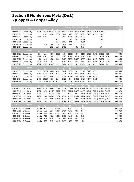#### Section 8 Nonferrous Metal(Disk) 2)Copper & Copper Alloy

| <b>Number</b>         | Name              |        |                |                 |                |          | <b>Chemical Composition</b> (Percent)        |           |           |           |          |           |           | <b>Unit Size</b>                               |
|-----------------------|-------------------|--------|----------------|-----------------|----------------|----------|----------------------------------------------|-----------|-----------|-----------|----------|-----------|-----------|------------------------------------------------|
|                       |                   | Zr     | Mg             | Co              | Mn             | Sb       | <b>Al</b>                                    | As.       | P         | <b>Se</b> | Te       | <b>Bi</b> |           | (mm)                                           |
| NCS HS 43720-1        | Copper alloy      | 0.0003 | 0.0003         | < 0.0002        | < 0.0001       | < 0.0002 | < 0.0002                                     | 0.0003    | 0.0006    | < 0.0002  | < 0.0002 | < 0.0002  |           |                                                |
| NCS HS 43720-2        | Copper alloy      |        | 0.005          | 0.095           | 0.059          | 0.061    | 0.12                                         | 0.29      | 0.071     | 0.006     | 0.059    | 0.035     |           |                                                |
| NCS HS 43720-3        | Copper alloy      | 0.13   | 0.081          |                 |                | 0.006    | 0.019                                        | 0.015     | 0.001     |           |          | 0.001     |           |                                                |
| NCS HS 43720-4        | Copper alloy      |        |                |                 | 0.57           |          | 1.16                                         | 0.023     | 0.025     |           |          | 0.005     |           |                                                |
| NCS HS 43720-5        | Copper alloy      |        |                |                 | 2.97           | 0.006    | 9.44                                         |           | 0.018     |           |          |           |           |                                                |
| NCS HS 43720-6        | Copper alloy      |        | 0.07           | 0.49            | 1.06           | 0.021    | 0.19                                         |           | 0.012     |           |          |           |           |                                                |
| NCS HS 43720-7        | Copper alloy      |        |                | 0.59            | 1.09           | 0.006    |                                              | 0.024     | 0.01      |           |          | 0.006     |           |                                                |
| <b>Number</b>         | Name              |        |                |                 |                |          | <b>Chemical Composition</b> (Percent)        |           |           |           |          |           |           | <b>Unit Size</b>                               |
|                       |                   | Sn     | Zn             | Pb              | Fe             | Ni.      | Bi                                           | <b>Sb</b> | P.        | <b>As</b> | Mg       | S         | Co        | (mm                                            |
| NCS HS 43722-1        | Copper alloy      | 0.1    | 0.294          | 0.098           | 0.536          | 0.05     | 0.0005                                       | 0.006     | 0.195     | 0.028     | 0.073    | 0.0056    | 0.024     | $\Phi$ 40 $\times$ 45                          |
| NCS HS 43722-2        | Copper alloy      | 0.048  | 0.047          | 0.05            | 1.37           | 0.03     | 0.005                                        | 0.0021    | 0.051     | 0.0094    | 0.2      | 0.0028    | 0.048     | $\Phi$ 40×45                                   |
| NCS HS 43722-3        | Copper alloy      | 0.03   | 0.122          | 0.031           | 2.25           | 0.009    | 0.0022                                       | 0.0022    | 0.027     | 0.0043    | 0.015    | 0.0009    | 0.1       | $\Phi$ 40×45                                   |
| NCS HS 43722-4        | Copper alloy      | 0.015  | 0.0031         | 0.01            | 2.61           | 0.0024   | 0.011                                        | 0.021     | 0.111     | 0.002     | 0.084    | 0.0009    | 0.14      | $\Phi$ 40×45                                   |
| NCS HS 43722-5        | Copper alloy      | 0.0054 | 0.027          | 0.0063          | 2.37           | 0.001    | 0.022                                        | 0.011     | 0.0054    | 0.02      | 0.011    | 0.0019    | 0.01      | $\Phi$ 40 $\times$ 45                          |
| <b>Number</b>         | Name              |        |                |                 |                |          | <b>Chemical Composition(Percent)</b>         |           |           |           |          |           |           | <b>Unit Size</b>                               |
|                       |                   | Sn     | P <sub>b</sub> | Fe              | Ni.            | Bi.      | Sb                                           | P         | <b>Cu</b> | <b>As</b> | S        |           |           | (mm)                                           |
| NCS HS 43723-1        | Copper alloy      | 1.038  | 0.0054         | 0.448           | 0.98           | 3.002    | 0.0022                                       | 0.015     | 59.387    | 0.029     | 0.0011   |           |           | $\Phi$ 40 $\times$ 45                          |
| NCS HS 43723-2        | Copper alloy      | 0.306  | 0.105          | 0.093           | 0.32           | 0.414    | 0.03                                         | 0.0088    | 60.903    | 0.015     | 0.0015   |           |           | $\Phi$ 40 $\times$ 45                          |
| NCS HS 43723-3        | Copper alloy      | 0.518  | 0.0161         | 0.137           | 2.13           | 1.561    | 0.014                                        | 0.087     | 60.088    | 0.0054    | 0.012    |           |           | $\Phi$ 40 $\times$ 45                          |
| NCS HS 43723-4        | Copper alloy      | 2.007  | 0.0209         | 0.645           | 2.94           | 0.826    | 0.1                                          | 0.0039    | 60.14     | 0.0097    | 0.015    |           |           | $\Phi$ 40×45                                   |
| NCS HS 43723-5        | Copper alloy      | 3.02   | 0.0059         | 0.0113          | 0.11           | 0.108    | 0.0047                                       | 0.0016    | 61.642    | 0.002     | 0.0018   |           |           | $\Phi$ 40 $\times$ 45                          |
| <b>Number</b>         | <b>Name</b>       |        |                |                 |                |          | <b>Chemical Composition (Percent)</b>        |           |           |           |          |           |           | <b>Unit Size</b>                               |
| <b>NCS HS 43724-1</b> | <b>Lead Brass</b> | Cu     | Pb             | Fe              | Ni.            | Mn       | $\mathsf{Al}$                                | <b>Si</b> | <b>Sn</b> | Bi.       | Sb       | P.        | S.        | (mm)                                           |
|                       |                   | 59.984 | 0.414          | 0.205<br>0.0426 | 0.474          | 0.119    | 0.0749                                       | 0.0049    | 0.0099    | (0.0110)  | (0.0056) | (0.00077) | (0.00077) | $\Phi$ 40 $\times$ 20<br>$\Phi$ 40 $\times$ 20 |
| <b>NCS HS 43724-2</b> | <b>Lead Brass</b> | 57.767 | 0.760          |                 | 0.795          | 0.184    | 0.0116                                       | 0.0093    | 0.0979    | (0.0050)  | (0.0021) | (0.0015)  | (0.0015)  |                                                |
| NCS HS 43724-3        | <b>Lead Brass</b> | 57.089 | 1.421          | 0.0104          | 0.347          |          | 0.177                                        | 0.0520    | 0.192     | (0.0030)  | (0.0116) | (0.00099) | (0.00099) | $\Phi$ 40 $\times$ 20                          |
| NCS HS 43724-4        | <b>Lead Brass</b> | 58.641 | 1.810          | (0.703)         | 0.104          | 0.0188   | 0.452                                        | (0.0070)  | 0.293     | (0.0049)  | (0.0102) | (0.00060) | (0.00060) | $\Phi$ 40×20                                   |
| NCS HS 43724-5        | <b>Lead Brass</b> | 58.761 | 2.396          | 0.107           | 0.0286         | 0.0517   | 0.761                                        | 0.209     | 0.689     | (0.0010)  | (0.0048) | (0.0010)  | (0.0010)  | $\Phi$ 40×20                                   |
| <b>NCS HS 43724-6</b> | <b>Lead Brass</b> | 59.597 | 1.393          | 0.613           | 0.386          | 0.0345   | 0.262                                        | 0.0424    | 0.206     | (0.0030)  | (0.0291) | (0.00094) | (0.00094) | $\Phi$ 40 $\times$ 20                          |
| <b>Number</b>         | Name              | Cu.    | Sn             | Ni.             | $\overline{A}$ | Fe       | <b>Chemical Composition (Percent)</b><br>Pb. | P         | Zn        |           |          |           |           | <b>Unit Size</b><br>(mm)                       |
| NCS HS 45721-1        | Sn Bronze         | remain | 4.06           | 0.31            | 0.00096        | 0.116    | 0.072                                        | 0.33      | 0.22      |           |          |           |           | $\Phi$ 39×30                                   |
| NCS HS 45721-2        | Sn Bronze         | remain | 5.39           | 0.24            | 0.00096        | 0.014    | 0.091                                        | 0.062     | 0.47      |           |          |           |           | $\Phi$ 39×30                                   |
| NCS HS 43715-3        | Sn Bronze         | remain | 6.34           | 0.178           | 0.00085        | 0.034    | 0.031                                        | 0.154     | 0.43      |           |          |           |           | $\Phi$ 39×30                                   |
| <b>NCS HS 45721-4</b> | Sn Bronze         | remain | 7.16           | 0.118           | 0.00098        | 0.063    | 0.013                                        | 0.218     | 0.33      |           |          |           |           | $\Phi$ 39×30                                   |
| NCS HS 45721-5        | Sn Bronze         | remain | 8.27           | 0.053           | 0.004          | 0.089    | 0.049                                        | 0.289     | 0.24      |           |          |           |           | $\Phi$ 39×30                                   |
| NCS HS 45721-6        | Sn Bronze         | remain | 6.52           | 0.18            | 0.0013         | 0.019    | 0.02                                         | 0.31      | 34        |           |          |           |           | $\Phi$ 39×30                                   |
|                       |                   |        |                |                 |                |          |                                              |           |           |           |          |           |           |                                                |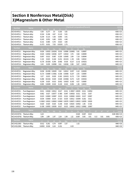#### Section 8 Nonferrous Metal(Disk) 3)Magnesium & Other Metal

|                                         |                       |                |               |                |               |                  | <b>Chemical Composition (Percent)</b> |               |                    |              |             |       |       | <b>Unit Size</b>                               |
|-----------------------------------------|-----------------------|----------------|---------------|----------------|---------------|------------------|---------------------------------------|---------------|--------------------|--------------|-------------|-------|-------|------------------------------------------------|
| <b>Number</b>                           | Name                  | Fe.            | Si.           | $\mathsf{Al}$  | $\mathsf{C}$  | $\vee$           |                                       |               |                    |              |             |       |       | (mm)                                           |
| NCS HS 44701-1                          | Titanium alloy        | 0.39           | 0.277         | 3.9            | 0.158         | 5.65             |                                       |               |                    |              |             |       |       | $\Phi$ 36×25                                   |
| NCS HS 44701-2                          | Titanium alloy        | 0.314          | 0.196         | 4.67           | 0.119         | 5.01             |                                       |               |                    |              |             |       |       | $\Phi$ 36×25                                   |
| NCS HS 44701-3                          | Titanium alloy        | 0.239          | 0.115         | 5.38           | 0.095         | 3.41             |                                       |               |                    |              |             |       |       | $\Phi$ 36×25                                   |
| <b>NCS HS 44701-4</b>                   | Titanium alloy        | 0.143          | 0.052         | 6.48           | 0.051         | 4.46             |                                       |               |                    |              |             |       |       | $\Phi$ 36×25                                   |
| NCS HS 44701-5                          | Titanium alloy        | 0.131          | 0.085         | 6.78           | 0.023         | 3.85             |                                       |               |                    |              |             |       |       | $\Phi$ 36×25                                   |
| NCS HS 44701-6                          | Titanium alloy        | 0.073          | 0.031         | 7.03           | 0.0193        | 2.75             |                                       |               |                    |              |             |       |       | $\Phi$ 36×25                                   |
| <b>Number</b>                           | Name                  |                |               |                |               |                  | <b>Chemical Composition(Percent)</b>  |               |                    |              |             |       |       | <b>Unit Size</b>                               |
|                                         |                       | S1             | Fe.           | Cu             | Mn            | Ni.              | Zn                                    | $\mathsf{Al}$ | Be                 |              |             |       |       | (mm)                                           |
| NCS HS 49722-1                          | Magnesiam Alloy       | 0.026          | 0.0025        | (0.0024)       | 0.016         | 0.0006           | (0.0069)                              | 5.81          | 0.00007            |              |             |       |       | $\Phi$ 45 $\times$ 25                          |
| NCS HS 49722-2                          | Magnesiam Alloy       | 0.024          | 0.0042        | 0.0036         | 0.077         | 0.0010           | 3.76                                  | 4.68          | 0.00009            |              |             |       |       | $\Phi$ 45 $\times$ 25                          |
| <b>NCS HS 49722-3</b>                   | Magnesiam Alloy       | 0.097          | 0.013         | 0.087          | 0.339         | 0.0045           | 2.99                                  | 7.18          | 0.00044            |              |             |       |       | $\Phi$ 45 $\times$ 25                          |
| <b>NCS HS 49722-4</b>                   | Magnesiam Alloy       | 0.28           | 0.023         | 0.164          | 0.231         | (0.013)          | 1.94                                  | 6.96          | 0.0010             |              |             |       |       | $\Phi$ 45 $\times$ 25                          |
| NCS HS4 9722-5                          | Magnesiam Alloy       | 0.176          | (0.020)       | 0.295          | (0.68)        | 0.018            | 0.217                                 | 11.52         | (0.0023)           |              |             |       |       | $\Phi$ 45 $\times$ 25                          |
| <b>NCS HS 49722-6</b>                   | Magnesiam Alloy       | 0.43           | 0.039         | 0.0098         | 0.61          | 0.0036           | 0.98                                  | 9.07          | 0.0029             |              |             |       |       | $\Phi$ 45 $\times$ 25                          |
| <b>Number</b>                           | Name                  | Si.            |               |                |               |                  | <b>Chemical Composition (Percent)</b> |               |                    |              |             |       |       | <b>Unit Size</b>                               |
|                                         |                       |                | Fe<br>(0.039) | Cu<br>0.0029   | Mn            | Ni.              | Z <sub>n</sub><br>0.057               | Al.           | <b>Be</b>          |              |             |       |       | (mm)                                           |
| NCS HS 49723-1<br><b>NCS HS 49723-2</b> | Magnesiam Alloy       | 0.034<br>0.173 | 0.0089        | 0.0081         | 0.92<br>0.338 | 0.0012<br>0.0008 | 0.237                                 | 6.10<br>2.55  | (0.0020)<br>0.0009 |              |             |       |       | $\Phi$ 45 $\times$ 25<br>$\Phi$ 45 $\times$ 25 |
| <b>NCS HS 49723-3</b>                   | Magnesiam Alloy       | 0.27           | 0.015         | 0.020          |               |                  | 0.171                                 | 7.33          | 0.00015            |              |             |       |       | $\Phi$ 45 $\times$ 25                          |
|                                         | Magnesiam Alloy       |                |               |                | 0.182         | (0.0015)         |                                       |               |                    |              |             |       |       |                                                |
| <b>NCS HS 49723-4</b>                   | Magnesiam Alloy       | 0.286          | (0.016)       | 0.020          | 0.428         | (0.0068)         | 0.271                                 | 6.29          | (0.0010)           |              |             |       |       | $\Phi$ 45 $\times$ 25                          |
| NCS HS 49723-5                          | Magnesiam Alloy       | 0.239<br>0.065 | 0.025         | 0.013          | (0.65)        | 0.0025<br>0.010  | 0.105<br>0.492                        | 4.57<br>1.36  | 0.0009<br>0.0033   |              |             |       |       | $\Phi$ 45 $\times$ 25<br>$\Phi$ 45 $\times$ 25 |
| <b>NCS HS 49723-6</b>                   | Magnesiam Alloy       |                | 0.0049        | 0.010          | 0.130         |                  | <b>Chemical Composition (Percent)</b> |               |                    |              |             |       |       | <b>Unit Size</b>                               |
| <b>Number</b>                           | Name                  | Si.            | Fe            | Cu.            | Mn            | Zn               | Ti                                    | Νi            | Al                 | Pb.          |             |       |       | (mm)                                           |
| NCS HS 49725-1                          | Pure Magnesium        | 0.011          | 0.0028        | 0.0012         | 0.017         | 0.011            | 0.00027 0.00035                       |               | 0.011              | 0.0052       |             |       |       | $\Phi$ 45 $\times$ 25                          |
| <b>NCS HS 49725-2</b>                   | Pure Magnesium        | 0.062          | 0.027         | 0.0077         | 0.085         | 0.047            | 0.00018                               | 0.011         | 0.531              | 0.037        |             |       |       | $\Phi$ 45 $\times$ 25                          |
| NCS HS 49725-3                          | Pure Magnesium        | 0.023          | 0.0083        | 0.0087         | 0.019         | 0.012            | 0.000062 0.0021                       |               | 0.017              | 0.0067       |             |       |       | $\Phi$ 45 $\times$ 25                          |
| <b>NCS HS 49725-4</b>                   | Pure Magnesium        | 0.034          | 0.0069        | 0.014          | 0.023         | 0.019            | 0.0012                                | 0.0044        | 0.262              | 0.012        |             |       |       | $\Phi$ 45 $\times$ 25                          |
| NCS HS 49725-5                          | Pure Magnesium        | 0.0063         | 0.0022        | 0.00063 0.0060 |               |                  | 0.0076 0.000072 0.00033 0.0059        |               |                    | 0.0020       |             |       |       | $\Phi$ 45 $\times$ 25                          |
| NCS HS 49725-6                          | Pure Magnesium        | 0.020          | 0.020         | 0.025          | 0.148         | 0.025            | 0.0025                                | 0.0052        | 1.06               | 0.018        |             |       |       | $\Phi$ 45 $\times$ 25                          |
| NCS HS 49725-7                          | Pure Magnesium        | 0.030          | 0.0055        | 0.0039         | 0.017         | 0.013            | 0.00010 0.0013 0.0082                 |               |                    | 0.0067       |             |       |       | $\Phi$ 45 $\times$ 25                          |
|                                         |                       |                |               |                |               |                  | <b>Chemical Composition(Percent)</b>  |               |                    |              |             |       |       | <b>Unit Size</b>                               |
| <b>Number</b>                           | Name                  | $\mathsf{Al}$  | Mo            | <b>Nb</b>      | Sn            | Zr               | Cr                                    | Si            | Fe                 | $\mathsf{C}$ | $O^{\star}$ | $N^*$ | $H^*$ | $\vee$<br>(mm)                                 |
| NCS HS 93741                            | <b>Titanium Alloy</b> | 6.24           |               |                |               |                  |                                       | 0.024         | 0.047              | 0.013        |             |       |       | 4.08 036×25                                    |
| <b>NCS HS 93742</b>                     | Titanium Alloy        | 5.99           | 2.89          | 1.97           | 2.24          | 1.99             | 1.22                                  | 0.067         | 0.05               | 0.01         | 0.13        | 0.01  | 0.001 | $\Phi$ 36×25                                   |
|                                         |                       |                |               |                |               |                  | <b>Chemical Composition (Percent)</b> |               |                    |              |             |       |       | <b>Unit Size</b>                               |
| <b>Number</b>                           | Name                  | $\mathsf{C}$   | Si.           | $\mathsf{Al}$  | Fe            | Mo               | $\vee$                                | Zr            |                    |              |             |       |       | (mm)                                           |
| <b>NCS HS11903</b>                      | <b>Titanium Alloy</b> | 0.012          | 0.261         | 6.74           | 0.097         | 3.37             |                                       | 1.52          |                    |              |             |       |       | $\Phi$ 40 $\times$ 30                          |
| NCS HS11904                             | <b>Titanium Allov</b> | 0.0093         | 0.018         | 6.24           | 0.191         |                  | 4.19                                  |               |                    |              |             |       |       | $\Phi$ 40 $\times$ 30                          |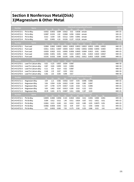#### Section 8 Nonferrous Metal(Disk) 3)Magnesium & Other Metal

| <b>Number</b>         | Name                   |               |           |         |           | <b>Chemical Composition(Percent)</b>        |         |           |         |         |         | <b>Unit Size</b>         |
|-----------------------|------------------------|---------------|-----------|---------|-----------|---------------------------------------------|---------|-----------|---------|---------|---------|--------------------------|
|                       |                        | <b>As</b>     | <b>Bi</b> | Sn      | Ag        | Sb                                          | Cd      | Pb        |         |         |         | (mm)                     |
| NCS HS 45723-1        | Pb-Sn Alloy            | 0.0032        | 0.0053    | 0.884   | 0.0022    | 0.02                                        | 0.0038  | remain    |         |         |         | $D45 \times 25$          |
| <b>NCS HS 45723-2</b> | Pb-Sn Alloy            | 0.0087        | 0.0191    | 2.02    | 0.0068    | 0.056                                       | 0.0042  | remain    |         |         |         | $D45 \times 25$          |
| <b>NCS HS 45723-3</b> | Pb-Sn Alloy            | 0.013         | 0.034     | 3.05    | 0.0112    | 0.093                                       | 0.0091  | remain    |         |         |         | $D45 \times 25$          |
| <b>NCS HS 45723-4</b> | Pb-Sn Alloy            | 0.02          | 0.0491    | 4.16    | 0.0156    | 0.137                                       | 0.0126  | remain    |         |         |         | $D45 \times 25$          |
| <b>Number</b>         | Name                   | <b>Cu</b>     | Ag        | Bi      | As        | <b>Chemical Composition (Percent)</b><br>Sb | Sn      | Zn        | Ni.     | Cd      | $Fe*$   | <b>Unit Size</b><br>(mm) |
| <b>NCS HS 52702-1</b> | Pure Lead              | 0.0004        | 0.0002    | 0.00055 | 0.00012   | 0.00025                                     | 0.00015 | 0.00015   | 0.00015 | 0.0001  | 0.00025 | $\Phi$ 40 $\times$ 25    |
| <b>NCS HS 52702-2</b> | Pure Lead              | 0.0011        | 0.0011    | 0.0047  | 0.00043   | 0.0017                                      | 0.0002  | 0.00032   | 0.00063 | 0.00055 | 0.0003  | $\Phi$ 40 $\times$ 25    |
| NCS HS 52702-3        | Pure Lead              | 0.0029        | 0.0025    | 0.021   | 0.00092   | 0.0056                                      | 0.00025 | 0.0004    | 0.0015  | 0.001   | 0.0003  | $\Phi$ 40 $\times$ 25    |
| <b>NCS HS 52702-4</b> | Pure Lead              | 0.0056        | 0.0051    | 0.041   | 0.0053    | 0.023                                       | 0.00075 | 0.001     | 0.0019  | 0.0019  | 0.00027 | $\Phi$ 40 $\times$ 25    |
| <b>NCS HS 52702-5</b> | Pure Lead              | 0.0142        | 0.0102    | 0.069   | 0.0145    | 0.058                                       | 0.0012  | 0.0012    | 0.0033  | 0.0029  | 0.0005  | $\Phi$ 40 $\times$ 25    |
| <b>Number</b>         | Name                   |               |           |         |           | <b>Chemical Composition (Percent)</b>       |         |           |         |         |         | <b>Unit Size</b>         |
|                       |                        | Ca            | Sn        | AI      | Bi.       | Ag                                          |         |           |         |         |         | (mm)                     |
| NCS HS 52703-1        | Lead-Tin-Calcium alloy | 0.021         | 0.125     | 0.0037  | 0.0034    | 0.0087                                      |         |           |         |         |         | $\Phi$ 48×30             |
| <b>NCS HS 52703-2</b> | Lead-Tin-Calcium alloy | 0.067         | 0.626     | 0.0093  | 0.013     | 0.0065                                      |         |           |         |         |         | $\Phi$ 48×30             |
| NCS HS 52703-3        | Lead-Tin-Calcium alloy | 0.111         | 0.95      | 0.014   | 0.022     | 0.0087                                      |         |           |         |         |         | $\Phi$ 48 $\times$ 30    |
| NCS HS 52703-4        | Lead-Tin-Calcium alloy | 0.168         | 1.35      | 0.027   | 0.033     | 0.012                                       |         |           |         |         |         | $\Phi$ 48 $\times$ 30    |
| <b>NCS HS 52703-5</b> | Lead-Tin-Calcium alloy | 0.302         | 1.63      | 0.036   | 0.048     | 0.017                                       |         |           |         |         |         | $\Phi$ 48 $\times$ 30    |
| <b>Number</b>         | Name                   |               |           |         |           | <b>Chemical Composition (Percent)</b>       |         |           |         |         |         | <b>Unit Size</b>         |
|                       |                        | $\mathsf{Al}$ | Zn        | Mn      | <b>Be</b> | <b>Si</b>                                   | Fe      | <b>Cu</b> | Ni.     |         |         | (mm)                     |
| <b>NCS HS 91711-1</b> | Magnesiam Alloy        | 3.04          | 1.21      | 0.082   | 0.0032    | 0.037                                       | 0.035   | 0.0096    | 0.0006  |         |         | $\Phi$ 40 $\times$ 25    |
| <b>NCS HS 91711-2</b> | Magnesiam Alloy        | 5.06          | 0.954     | 0.256   | 0.0022    | 0.100                                       | 0.028   | 0.085     | 0.0047  |         |         | $\Phi$ 40 $\times$ 25    |
| NCS HS 91711-3        | Magnesiam Alloy        | 6.97          | 0.709     | 0.374   | 0.0017    | 0.183                                       | 0.018   | 0.151     | 0.0096  |         |         | $\Phi$ 40 $\times$ 25    |
| NCS HS 91711-4        | Magnesiam Alloy        | 9.00          | 0.463     | 0.567   | 0.0013    | 0.285                                       | 0.010   | 0.222     | 0.015   |         |         | $\Phi$ 40 $\times$ 25    |
| NCS HS 91711-5        | Magnesiam Alloy        | 10.39         | 0.201     | (0.71)  | 0.0007    | 0.411                                       | 0.0081  | 0.307     | 0.019   |         |         | $\Phi$ 40 $\times$ 25    |
| <b>Number</b>         | Name                   |               |           |         |           | Chemical Composition(Percent)               |         |           |         |         |         | <b>Unit Size</b>         |
|                       |                        | Cd            | Se        | Te      | Sb        | <b>As</b>                                   | Sn      | Cu        | Bi      | Zn      | Ag      | (mm)                     |
| NCS HS 45722-1        | Pb-Sb Alloy            | 0.00055       | 0.0065    | 0.0056  | 0.315     | 0.0023                                      | 0.0022  | 0.012     | 0.0036  | 0.0004  | 0.0051  | $\Phi$ 45 $\times$ 25    |
| NCS HS45722-2         | Pb-Sb Alloy            | 0.004         | 0.012     | 0.012   | 1.46      | 0.011                                       | 0.0014  | 0.057     | 0.012   | 0.0011  | 0.011   | $\Phi$ 45 $\times$ 25    |
| <b>NCS HS 45722-3</b> | Pb-Sb Alloy            | 0.0061        | 0.015     | 0.045   | 3.02      | 0.022                                       | 0.033   | 0.085     | 0.035   | 0.00075 | 0.051   | $\Phi$ 45 $\times$ 25    |
| <b>NCS HS 45722-4</b> | Pb-Sb Alloy            | 0.0082        | 0.0036    | 0.055   | 5.02      | 0.04                                        | 0.057   | 0.12      | 0.056   | 0.0058  | 0.21    | $\Phi$ 45 $\times$ 25    |
| NCS HS 45722-5        | Pb-Sb Alloy            | 0.02          | 0.0032    | 0.065   | 7.05      | 0.175                                       | 0.362   | 0.253     | 0.088   | 0.015   | 0.43    | $\Phi$ 45 $\times$ 25    |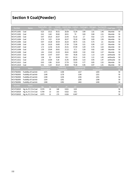| <b>Number</b>      | Name                     | <b>Total Sulfur</b><br>(%) | Ash<br>(9/0) | Volatile<br>Matter (%) | Calorific Value<br>(MJ/kg) | Carbon<br>(9/6) | <b>Hydrogen</b><br>(%) | Nitrogen<br>(9/0) | <b>True Specific</b><br>Gravity (20°C | Coal Type  | Unit Size<br>(g) |
|--------------------|--------------------------|----------------------------|--------------|------------------------|----------------------------|-----------------|------------------------|-------------------|---------------------------------------|------------|------------------|
| <b>NCS FC11001</b> | Coal                     | 0.25                       | 10.21        | 30.31                  | 28.38                      | 72.34           | 3.99                   | 1.01              | 1.48                                  | bitumite   | 50               |
| <b>NCS FC11002</b> | Coal                     | 0.41                       | 6.44         | 30.82                  | 28.51                      | 74              | 3.83                   | 0.84              | 1.51                                  | bitumite   | 50               |
| <b>NCS FC11003</b> | Coal                     | 0.47                       | 20.25        | 26.57                  | 22.43                      | 61.32           | 2.7                    | 0.62              | 1.73                                  | bitumite   | 50               |
| NCS FC11004        | Coal                     | 0.78                       | 9.23         | 32.28                  | 26.57                      | 70.18           | 3.56                   | 0.83              | 1.56                                  | bitumite   | 50               |
| <b>NCS FC11005</b> | Coal                     | 0.97                       | 10.28        | 30.54                  | 26.25                      | 69.75           | 3.31                   | 0.75              | 1.6                                   | bitumite   | 50               |
| <b>NCS FC11006</b> | Coal                     | 1.56                       | 16.26        | 18.85                  | 27.39                      | 71.06           | 3.21                   | 0.99              | 1.57                                  | bitumite   | 50               |
| <b>NCS FC11007</b> | Coal                     | 1.72                       | 12.56        | 31.55                  | 25.31                      | 67.09           | 3.29                   | 0.76              | 1.63                                  | bitumite   | 50               |
| <b>NCS FC11008</b> | Coal                     | 1.59                       | 25.64        | 28.81                  | 22.12                      | 57.2            | 3.28                   | 0.82              | 1.68                                  | bitumite   | 50               |
| <b>NCS FC11009</b> | Coal                     | 1.81                       | 15.63        | 23.29                  | 26.61                      | 69.09           | 3.32                   | 0.92              | 1.57                                  | bitumite   | 50               |
| <b>NCS FC11010</b> | Coal                     | 0.44                       | 13.47        | 10.67                  | 30.4                       | 78.36           | 3.23                   | 1.13              | 1.54                                  | anthracite | 50               |
| <b>NCS FC11011</b> | Coal                     | 1.08                       | 9.2          | 10.49                  | 32.2                       | 82.11           | 3.41                   | 1.21              | 1.45                                  | anthracite | 50               |
| <b>NCS FC11012</b> | Coal                     | 1.55                       | 10.84        | 9.28                   | 31.45                      | 80.98           | 3.23                   | 0.95              | 1.47                                  | anthracite | 50               |
| <b>NCS FC11013</b> | Coal                     | 0.63                       | 6.96         | 32.63                  | 27.78                      | 72.03           | 3.77                   | 0.85              | 1.52                                  | bitumite   | 50               |
| <b>NCS FC11014</b> | Coal                     | 0.41                       | 6.19         | 34.14                  | 30.54                      | 76.38           | 4.46                   | 0.97              | 1.41                                  | bitumite   | 50               |
| <b>Number</b>      | Name                     | Deformation                |              |                        | Softening                  |                 | Hemisphering           |                   | Fluid                                 |            | <b>Unit Size</b> |
|                    |                          | temperature                |              |                        | Temperature                |                 | Temperature            |                   | temperature                           |            | (g)              |
| <b>NCS FS82002</b> | Fusibility of Coal Ash   | 1171                       |              |                        | 1198                       |                 | 1217                   |                   | 1265                                  |            | 50               |
| <b>NCS FS82003</b> | Fusibility of Coal Ash   | 1148                       |              |                        | 1178                       |                 | 1196                   |                   | 1251                                  |            | 50               |
| <b>NCS FS82004</b> | Fusibility of Coal Ash   | 1198                       |              |                        | 1236                       |                 | 1256                   |                   | 1291                                  |            | 50               |
| <b>NCS FS82005</b> | Fusibility of Coal Ash   | 1164                       |              |                        | 1201                       |                 | 1245                   |                   | 1298                                  |            | 50               |
| <b>NCS FS82006</b> | Fusibility of Coal Ash   | 1348                       |              |                        | 1392                       |                 | 1402                   |                   | 1430                                  |            | 50               |
| <b>Number</b>      | Name                     | Hg                         | As           | F.                     | $P^*$                      | $Cl^{\star}$    |                        |                   |                                       |            | Unit Size<br>(g) |
| <b>NCS FC82023</b> | Hg, As, P, F, Cl in Coal | 0.576                      | 16           | 148                    | 0.021                      | 0.03            |                        |                   |                                       |            | 50               |
| <b>NCS FC82024</b> | Hg, As, P, F, Cl in Coal | 0.794                      | 13           | 153                    | 0.022                      | 0.01            |                        |                   |                                       |            | 50               |
| <b>NCS FC82025</b> | Hg, As, P, F, Cl in Coal | 0.975                      | 21           | 179                    | 0.026                      | 0.047           |                        |                   |                                       |            | 50               |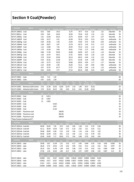| <b>Number</b>                               | Name                              | Total Sulfur      | Ash               |                                          | Volatile matter |                  | Chemical Composition(Percent)<br>Calorific Value Catbon Hydrogen Nitrogen |                      |                     |                               | True Specific Gravity |                   | Coal Type  | <b>Unit Size</b><br>(in g) |
|---------------------------------------------|-----------------------------------|-------------------|-------------------|------------------------------------------|-----------------|------------------|---------------------------------------------------------------------------|----------------------|---------------------|-------------------------------|-----------------------|-------------------|------------|----------------------------|
| NCS FC 28001L Coal                          |                                   | 0.52              | 9.80              |                                          | 24.10           |                  | 31.70                                                                     | 78.77                | 4.33                | 1.32                          | 1.32                  |                   | bitumite   | 50                         |
| <b>NCS FC 28001m</b>                        | Coal                              | 0.56              | 9.60              |                                          | 24.03           |                  | 32.09                                                                     | 79.24                | 4.35                | 1.31                          | 1.31                  |                   | bitumite   | 50                         |
| <b>NCS FC 28002j</b>                        | Coal                              | 1.61              | 23.69             |                                          | 30.22           |                  | 23.75                                                                     | 60.00                | 3.67                | 1.07                          | 1.07                  |                   | bitumite   | 50                         |
| NCS FC 28003f Coal                          |                                   | 0.28              | 16.27             |                                          | 6.51            |                  | 26.38                                                                     | 78.10                | 0.93                | 0.23                          | 0.23                  |                   | anthracite | 50                         |
| NCS FC 28003g Coal                          |                                   | 0.39              | 24.38             |                                          | 5.39            |                  | 23.93                                                                     | 70.95                | 0.76                | 0.30                          | 0.30                  |                   | anthracite | 50                         |
| NCS FC 28004e Coal                          |                                   | 1.00              | 28.07             |                                          | 4.97            |                  | 23.78                                                                     | 66.70                | 1.43                | 0.72                          | 0.72                  |                   | anthracite | 50                         |
| NCS FC 28004f                               | Coal                              | 1.13              | 13.80             |                                          | 7.02            |                  | 29.43                                                                     | 79.13                | 2.23                | 1.13                          | 1.13                  |                   | anthracite | 50                         |
| NCS FC 28005e Coal                          |                                   | 1.76              | 14.28             |                                          | 8.69            |                  | 29.61                                                                     | 77.83                | 2.73                | 0.85                          | 0.85                  |                   | anthracite | 50                         |
| <b>NCS FC 28006j</b>                        | Coal                              | 0.88              | 17.44             |                                          | 30.99           |                  | 26.88                                                                     | 66.99                | 4.07                | 1.19                          | 1.19                  |                   | bitumite   | 50                         |
| NCS FC 28007g Coal                          |                                   | 1.83              | 14.70             |                                          | 34.51           | 27.51            |                                                                           | 68.05                | 4.20                | 1.20                          | 1.20                  |                   | bitumite   | 50                         |
| NCS FC 28008e Coal                          |                                   | 2.78              | 15.54             |                                          | 35.09           |                  | 28.13                                                                     | 68.22                | 4.44                | 1.22                          | 1.22                  |                   | bitumite   | 50                         |
| NCS FC 28009f Coal                          |                                   | 4.34              | 25.42             |                                          | 21.68           |                  | 24.71                                                                     | 61.46                | 3.34                | 1.06                          | 1.06                  |                   | bitumite   | 50                         |
| NCS FC 28010e Coal                          |                                   | 1.36              | 15.75             |                                          | 33.22           |                  | 26.80                                                                     | 66.92                | 4.09                | 1.17                          | 1.17                  |                   | bitumite   | 50                         |
| NCS FC 28011d Coal                          |                                   | 2.23              | 20.40             |                                          | 6.39            |                  | 26.35                                                                     | 72.11                | 1.84                | 0.85                          | 0.85                  |                   | anthracite | 50                         |
| NCS FC 28012c Coal                          |                                   | 3.07              | 19.70             |                                          | 10.77           | 27.37            |                                                                           | 70.39                | 2.90                | 1.10                          | 1.10                  |                   | anthracite | 50                         |
| NCS FC 28017a Coal                          |                                   | 0.26              | 14.56             |                                          | 5.77            | 27.12            |                                                                           | 80.19                | 0.98                | 0.23                          | 0.23                  |                   | anthracite | 50                         |
| Number                                      | Name                              |                   |                   |                                          |                 |                  | <b>Chemical Composition</b> (Percent)                                     |                      |                     |                               |                       |                   |            | <b>Unit Size</b>           |
|                                             |                                   | Ts                | Ash               | Volatile                                 |                 |                  |                                                                           |                      |                     |                               |                       |                   |            | (in g)                     |
| <b>NCS FC 59001</b>                         | Coke                              | 0.63              | 7.22              | 1.39                                     |                 |                  |                                                                           |                      |                     |                               |                       |                   |            | 60                         |
| <b>NCS FC 59002</b>                         | Coke                              | 0.47              | 12.62<br>$A_{ad}$ | 1.50<br>$A_d$                            | $V_{ad}$        |                  |                                                                           |                      | $O_{\text{grad}}$   | $Q_{\text{gr.d.}}$            |                       |                   |            | 60<br><b>Unit Size</b>     |
| <b>Number</b>                               | Name                              | $M_{ad}$<br>(9/0) | (9/0)             | (%)                                      | (%)             | $V_d$<br>(%)     | $\mathsf{S}_\mathsf{t}{}_\mathsf{ad}$<br>(9/0)                            | $S_{\rm t.d}$<br>(%) | $(MJ/kg)$ $(MJ/kg)$ |                               |                       |                   |            | (in g)                     |
| <b>NCS FC 62001</b>                         | <b>Bituminous Coal for Cement</b> | 3.76              | 21.58             | 22.42                                    | 22.90           | 23.79            | 1.43                                                                      | 1.49                 | 24.37               | 25.32                         |                       |                   |            | 20                         |
| <b>NCS FC 62002</b>                         | Anthracite Coal for Cement        | 3.70              | 25.18             | 26.15                                    | 5.81            | 6.03             | 0.21                                                                      | 0.22                 | 22.36               | 23.22                         |                       |                   |            | 20                         |
| <b>Number</b>                               | Name                              |                   |                   |                                          |                 |                  | <b>Chemical Composition (Percent)</b>                                     |                      |                     |                               |                       |                   |            | <b>Unit Size</b>           |
|                                             |                                   | $As*$             | P                 | <b>Cl</b>                                | $F^*$           |                  |                                                                           |                      |                     |                               |                       |                   |            | (mm)                       |
| <b>NCS FC 82001</b>                         | Coal                              | 15                | 0.031             |                                          |                 |                  |                                                                           |                      |                     |                               |                       |                   |            | 50                         |
| <b>NCS FC 82002</b><br><b>NCS FC 82003</b>  | Coal<br>Coal                      | 34<br>51          | 0.007<br>0.092    |                                          |                 |                  |                                                                           |                      |                     |                               |                       |                   |            | 50<br>50                   |
| <b>NCS FC 82004</b>                         | Coal                              |                   |                   | 0.010                                    |                 |                  |                                                                           |                      |                     |                               |                       |                   |            | 50                         |
| <b>NCS FC 82005</b>                         | Coal                              |                   |                   | 0.057                                    |                 |                  |                                                                           |                      |                     |                               |                       |                   |            | 50                         |
| <b>NCS FC 82006</b>                         | Coal                              |                   |                   | 0.110                                    |                 |                  |                                                                           |                      |                     |                               |                       |                   |            | 50                         |
| <b>NCS FC 82007</b>                         | Fluorine in coal                  |                   |                   |                                          | 248.00          |                  |                                                                           |                      |                     |                               |                       |                   |            | 50                         |
| <b>NCS FC 82008</b>                         | Fluorine in coal                  |                   |                   |                                          | 864.00          |                  |                                                                           |                      |                     |                               |                       |                   |            | 50                         |
| <b>NCS FC 82009</b>                         | Fluorine in coal                  |                   |                   |                                          | 1496.00         |                  |                                                                           |                      |                     |                               |                       |                   |            | 50                         |
| *Mass Fraction Substance(10 <sup>-6</sup> ) |                                   |                   |                   |                                          |                 |                  |                                                                           |                      |                     |                               |                       |                   |            |                            |
|                                             |                                   |                   |                   |                                          |                 |                  | <b>Chemical Composition (Percent)</b>                                     |                      |                     |                               |                       |                   |            | <b>Unit Size</b>           |
| <b>Number</b>                               | Name                              | SiO <sub>2</sub>  |                   | $Al_2O_2$ Fe <sub>2</sub> O <sub>2</sub> | CaO             | MgO -            | SO <sub>2</sub>                                                           | TiO <sub>2</sub>     | $K_2O$              | $Na2O$ $P2O5$                 |                       |                   |            | (in g)                     |
| NCS FC 82012a Coal Ash                      |                                   | 46.99             | 29.45             | 7.95                                     | 8.73            | 1.03             | 0.69                                                                      | 1.28                 | 1.16                | 0.79                          | 0.28                  |                   |            | 30                         |
| NCS FC 82013a Coal Ash                      |                                   | 41.11             | 28.54             | 13.43                                    | 5.30            | 0.71             | 5.10                                                                      | 2.62                 | 1.61                | 0.25                          | 0.11                  |                   |            | 30                         |
| NCS FC 82014a Coal Ash                      |                                   | 54.68             | 28.09             | 6.04                                     | 5.15            | 1.05             | 0.49                                                                      | 1.14                 | 1.44                | 0.52                          | 0.38                  |                   |            | 30                         |
| NCS FC 82015a Coal Ash                      |                                   | 59.66             | 22.90             | 6.55                                     | 4.01            | 1.31             | 0.40                                                                      | 1.13                 | 1.53                | 0.78                          | 0.55                  |                   |            | 30                         |
| NCS FC 82017a Coal Ash                      |                                   | 25.60             | 10.40             | 7.17                                     | 39.62           | 3.71             | 9.04                                                                      | 0.48                 | 0.78                | 0.83                          | 0.04                  |                   |            | 30                         |
| <b>Number</b>                               | <b>Name</b>                       | Qgr,d(MJ/kg)      | St.d              | Ad                                       | Vd              | SiO <sub>2</sub> | <b>Chemical Composition (Percent)</b><br>Al <sub>2</sub> O <sub>3</sub>   | CaO                  | MgO                 | F <sub>2</sub> O <sub>3</sub> | TiO <sub>2</sub>      | Na <sub>2</sub> O | $K_2O$     | <b>Unit Size</b><br>(in g) |
| NCS FC 28019                                | coke                              | 29.08             | 0.67              | 11.64                                    | 1.31            | 5.52             | 4.17                                                                      | 0.45                 | 0.094               | 0.55                          | 0.18                  | 0.08              | 0.058      | 50                         |
| <b>NCS FC 28020</b>                         | coke                              | 28.26             | 0.76              | 14.42                                    | 1.78            | 6.52             | 4.95                                                                      | 0.52                 | 0.15                | 1.22                          | 0.22                  | 0.05              | 0.079      | 50                         |
| <b>NCS FC 28022</b>                         | coke                              | 29.10             | 0.81              | 11.90                                    | 1.68            | 5.63             | 3.98                                                                      | 0.55                 | 0.16                | 0.63                          | 0.18                  | 0.084             | 0.069      | 50                         |
| <b>NCS FC 28023</b>                         | coke                              | 27.56             | 1.44              | 16.20                                    | 1.80            | 8.17             | 5.28                                                                      | 0.57                 | 0.097               | 0.96                          | 0.20                  | 0.067             | 0.11       | 50                         |
|                                             |                                   |                   |                   |                                          |                 |                  |                                                                           |                      |                     |                               |                       |                   |            |                            |
|                                             |                                   | <b>MnO</b>        | <b>SrO</b>        | P                                        | Cr              | Ni               | Cu                                                                        | V                    | Pb                  | As                            | C                     |                   |            |                            |
| NCS FC 28019                                | coke                              | 0.0049            | 0.01              | 0.027                                    | 0.0015          | 0.001            | 0.0018                                                                    | 0.0027               | 0.0009              | 0.0001                        | 0.024                 |                   |            |                            |
| <b>NCS FC 28020</b>                         | coke                              | 0.0052            | 0.017             | 0.037                                    | 0.0022          | 0.0008           | 0.0027                                                                    | 0.0038               | 0.0011              | 0.00014                       | 0.02                  |                   |            |                            |
| <b>NCS FC 28022</b>                         | coke                              | 0.013             | 0.011             | 0.018                                    | 0.0022          | 0.0008           | 0.002                                                                     | 0.0032               | 0.0008              | 0.0002                        | 0.049                 |                   |            |                            |
| <b>NCS FC 28023</b>                         | coke                              | 0.0044            | 0.0084            | 0.018                                    | 0.0021          | 0.001            | 0.0018                                                                    | 0.0037               |                     | 0.0008 0.00024                | 0.022                 |                   |            |                            |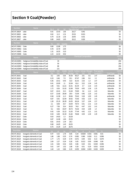| <b>Number</b>       | Name                                | St, d               | Ad                          | Vd       | Qgr,d(MJ/kg) |       | <b>Chemical Composition(Percent)</b><br>P.         |         |         |                                |            | <b>Unit Size</b><br>(mm)   |
|---------------------|-------------------------------------|---------------------|-----------------------------|----------|--------------|-------|----------------------------------------------------|---------|---------|--------------------------------|------------|----------------------------|
| <b>NCS FC 28024</b> | coke                                | 0.41                | 15.43                       | 1.98     |              | 28.17 | 0.041                                              |         |         |                                |            | 50                         |
| <b>NCS FC 28025</b> | coke                                | 0.62                | 11.5                        | 1.31     |              | 29.32 | 0.021                                              |         |         |                                |            | 50                         |
| <b>NCS FC 28026</b> | coke                                | 0.79                | 12.18                       | 1.36     | 28.95        |       | 0.031                                              |         |         |                                |            | 50                         |
| <b>NCS FC 28027</b> | coke                                | 0.89                | 14.83                       | 1.65     | 28.12        |       | 0.026                                              |         |         |                                |            | 50                         |
|                     |                                     |                     |                             |          |              |       | <b>Chemical Composition (Percent)</b>              |         |         |                                |            | <b>Unit Size</b>           |
| <b>Number</b>       | Name                                | Ts                  | Ash                         | Volatile |              |       |                                                    |         |         |                                |            | (in g)                     |
| <b>NCS FC 93001</b> | Coke                                | 0.60                | 12.88                       | 1.75     |              |       |                                                    |         |         |                                |            | 50                         |
| <b>NCS FC 93002</b> | Coke                                | 0.78                | 13.70                       | 2.00     |              |       |                                                    |         |         |                                |            | 50                         |
| <b>NCS FC 93005</b> | Coke                                | 1.31                | 16.55                       | 3.10     |              |       |                                                    |         |         |                                |            | 50                         |
| <b>NCS FC 93006</b> | Coke                                | 2.15                | 21.53                       | 4.92     |              |       |                                                    |         |         |                                |            | 50                         |
| Number              | Name                                |                     |                             |          |              |       | <b>Chemical Composition</b>                        |         |         |                                |            | <b>Unit Size</b>           |
|                     |                                     |                     | <b>CertIfied Value(HGI)</b> |          |              |       |                                                    |         |         |                                |            | (in g)                     |
| <b>NCS AG 82001</b> | Hadgrove Grindability Index of Coal |                     | 34                          |          |              |       |                                                    |         |         |                                |            | 250                        |
| <b>NCS AG 82002</b> | Hadgrove Grindability Index of Coal |                     | 59                          |          |              |       |                                                    |         |         |                                |            | 250                        |
| <b>NCS AG 82003</b> | Hadgrove Grindability Index of Coal |                     | 88                          |          |              |       |                                                    |         |         |                                |            | 250                        |
| <b>NCS AG 82004</b> | Hadgrove Grindability Index of Coal | <b>Total Sulfur</b> | 121<br>Ash                  |          |              |       |                                                    |         |         |                                |            | 250                        |
| <b>Number</b>       | Name                                | (%)                 | (%)                         | (9/0)    | (MJ/kg)      | (9/0) | Volatile Calorific Carbon Hydrogen Nitrogen<br>(%) | (%)     |         | True specific<br>Gravity(20°C) | Coal Type  | <b>Unit Size</b><br>(in g) |
| <b>NCS FC 28101</b> | Coal                                | 0.2                 | 3.95                        | 6.64     | 34.34        | 90.27 | 3.01                                               | 0.6     | 1.47    |                                | anthracite | 50                         |
| <b>NCS FC 28102</b> | Coal                                | 0.19                | 6.46                        | 7.9      | 33.1         | 87.47 | 2.86                                               | 0.6     | 1.5     |                                | anthracite | 50                         |
| <b>NCS FC 28103</b> | Coal                                | 0.36                | 10.51                       | 9.45     | 31.8         | 81.55 | 3.33                                               | 1.3     | 1.47    |                                | anthracite | 50                         |
| <b>NCS FC 28104</b> | Coal                                | 0.41                | 10.09                       | 11       | 32.04        | 81.6  | 3.52                                               | 1.34    | 1.45    |                                | anthracite | 50                         |
| <b>NCS FC 28105</b> | Coal                                | 1.06                | 9.61                        | 12.21    | 32.31        | 81.54 | 3.7                                                | 1.16    | 1.43    |                                | anthracite | 50                         |
| <b>NCS FC 28106</b> | Coal                                | 1.72                | 8.56                        | 31.92    | 32.98        | 79.09 | 4.95                                               | 1.38    | 1.35    |                                | bitumite   | 50                         |
| <b>NCS FC 28107</b> | Coal                                | 0.67                | 10.41                       | 15.3     | 31.64        | 79.89 | 3.8                                                | 1.12    | 1.43    |                                | bitumite   | 50                         |
| <b>NCS FC 28108</b> | Coal                                | 0.57                | 13.68                       | 30.84    | 29.9         | 72.94 | 4.46                                               | 1.26    | 1.42    |                                | bitumite   | 50                         |
| <b>NCS FC 28109</b> | Coal                                | 0.58                | 11.98                       | 11.3     | 30.66        | 79.42 | 3.28                                               | 1.09    | 1.49    |                                | anthracite | 50                         |
| <b>NCS FC 28110</b> | Coal                                | 0.87                | 8.42                        | 32.94    | 30.92        | 75.96 | 4.56                                               | 1.33    | 1.41    |                                | bitumite   | 50                         |
| <b>NCS FC 28111</b> | Coal                                | 1.28                | 25.19                       | 28.39    | 24.35        | 60.24 | 3.37                                               | 1.04    | 1.57    |                                | bitumite   | 50                         |
| <b>NCS FC 28112</b> | Coal                                | 2.1                 | 8.08                        | 33.7     | 33.04        | 78.75 | 5.01                                               | 1.31    | 1.33    |                                | bitumite   | 50                         |
| <b>NCS FC 28113</b> | Coal                                | 0.27                | 7.06                        | 33.4     | 30.03        | 74.8  | 4.47                                               | 1.02    | 1.41    |                                | bitumite   | 50                         |
| <b>NCS FC 28114</b> | Coal                                | 0.2                 | 4.66                        | 33.07    | 30.73        | 76.36 | 4.54                                               | 1.08    | $1.4\,$ |                                | bitumite   | 50                         |
| <b>NCS FC 28115</b> | Coal                                | 0.42                | 6.38                        | 32.22    | 31.05        | 77.44 | 4.42                                               | 1.21    | 1.41    |                                | bitumite   | 50                         |
| <b>NCS FC 28116</b> | Coal                                | 0.54                | 6.08                        | 32.34    | 31.82        | 78.68 | 4.59                                               | 1.34    | 1.39    |                                | bitumite   | 50                         |
| <b>NCS FC 28117</b> | Coke                                | 0.63                | 14.83                       | 1.3      | 28.28        |       |                                                    |         |         |                                |            | 50                         |
| <b>NCS FC 28118</b> | Coke                                | 0.87                | 12.08                       | 1.66     | 29.25        |       |                                                    |         |         |                                |            | 50                         |
| <b>NCS FC 28119</b> | Coke                                | 0.81                | 14.43                       | 1.34     | 28.3         |       |                                                    |         |         |                                |            | 50                         |
| <b>NCS FC 28120</b> | Coke                                | 0.68                | 14.05                       | 1.43     | 28.55        |       |                                                    |         |         |                                |            | 50                         |
| <b>NCS FC 28121</b> | Coke                                | 0.75                | 13.29                       | 1.14     | 28.76        |       |                                                    |         |         |                                |            | 50                         |
|                     |                                     |                     |                             |          |              |       | <b>Chemical Composition (Percent)</b>              |         |         |                                |            | <b>Unit Size</b>           |
| Number              | Name                                | Si.                 | $\mathsf{Al}\xspace$        | Fe       | Ca           | Mg    | P                                                  | $K_{-}$ | Na      | $\top$                         |            | (in g) l                   |
| <b>NCS FC 28122</b> | Inorganic elements in Coal          | 0.47                | 0.25                        | 1.79     | 0.85         | 0.24  | 0.0029                                             | 0.016   | 0.081   | 0.01                           |            | 50                         |
| <b>NCS FC 28123</b> | Inorganic elements in Coal          | 1.86                | 1.88                        | 0.35     | 0.74         | 0.081 | 0.066                                              | 0.026   | 0.11    | 0.096                          |            | 50                         |
| <b>NCS FC 28124</b> | Inorganic elements in Coal          | 1.77                | 1.75                        | 0.34     | 0.79         | 0.071 | 0.044                                              | 0.02    | 0.13    | 0.079                          |            | 50                         |
| <b>NCS FC 28125</b> | Inorganic elements in Coal          | 2.69                | 2.27                        | 0.24     | 0.28         | 0.05  | 0.013                                              | 0.09    | 0.048   | 0.09                           |            | 50                         |
| <b>NCS FC 28126</b> | Inorganic elements in Coal          | 1.01                | 0.83                        | 0.32     | 0.65         | 0.06  | 0.019                                              | 0.01    | 0.034   | 0.046                          |            | 50                         |
| <b>NCS FC 28127</b> | Inorganic elements in Coal          | 5.61                | 3.47                        | 1.02     | 1.88         | 0.28  | 0.01                                               | 0.29    | 0.052   | 0.018                          |            | 50                         |
| <b>NCS FC 28128</b> | Inorganic elements in Coal          | 1.64                | 1.22                        | 0.86     | 0.19         | 0.059 | 0.0044                                             | 0.043   | 0.026   | 0.059                          |            | 50                         |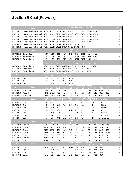|                     |                            |                            |                                |                                |                               |                                | Chemical Composition(Percent)         |                  |                             |                                        |            |                 | <b>Unit Size</b>           |
|---------------------|----------------------------|----------------------------|--------------------------------|--------------------------------|-------------------------------|--------------------------------|---------------------------------------|------------------|-----------------------------|----------------------------------------|------------|-----------------|----------------------------|
| <b>Number</b>       | Name                       | $\vee$                     | Mn                             | Cu                             | Co                            | Ni.                            | Zn                                    | Cr               | Cd                          | Pb.                                    |            |                 | (in g)                     |
| <b>NCS FC 28122</b> | Inorganic elements in Coal | 0.0001                     | 0.022                          | 0.0002                         | 0.0008                        | 0.0008                         |                                       | 0.0002           | (0.0001)                    | 0.0002                                 |            |                 | 50                         |
| <b>NCS FC 28123</b> | Inorganic elements in Coal | 0.0012                     | 0.003                          |                                | 0.0012 0.0004                 | 0.0008                         | (0.001)                               | 0.001            | (0.0001)                    | 0.0016                                 |            |                 | 50                         |
| <b>NCS FC 28124</b> | Inorganic elements in Coal | 0.0011                     | 0.0016                         |                                | 0.0012 0.0004 0.0008          |                                |                                       |                  | $0.0007$ (<0.0001) $0.0016$ |                                        |            |                 | 50                         |
| <b>NCS FC 28125</b> | Inorganic elements in Coal | 0.0033                     | 0.0009                         | 0.0017                         | 0.0011 0.0018                 |                                |                                       |                  | $0.0005$ (<0.0001) $0.0016$ |                                        |            |                 | 50                         |
| <b>NCS FC 28126</b> | Inorganic elements in Coal | 0.0011                     | 0.008                          | 0.0008                         | 0.0003                        | 0.0005                         |                                       | 0.0005           | 0.0002                      |                                        |            |                 | 50                         |
| <b>NCS FC 28127</b> | Inorganic elements in Coal | 0.006                      | 0.019                          | 0.0023                         | 0.0009                        | 0.0016                         | 0.004                                 | 0.0023           |                             |                                        |            |                 | 50                         |
| <b>NCS FC 28128</b> | Inorganic elements in Coal | 0.0028                     | 0.0026                         |                                | 0.0012 0.0004                 | 0.0008                         | (<0.001)                              | 0.0008           |                             |                                        |            |                 | 50                         |
| Number              |                            |                            |                                |                                |                               |                                | <b>Chemical Composition (Percent)</b> |                  |                             |                                        |            |                 | <b>Unit Size</b>           |
|                     | <b>Name</b>                | Si.                        | $\mathsf{Al}$                  | Fe                             | Ca                            | Mg                             | P                                     | K.               | Na                          | Ti.                                    |            |                 | (in g)                     |
| <b>NCS FC 28129</b> | Element in coke            | 2.97                       | 2.35                           | 0.75                           | 0.6                           | 0.11                           | 0.02                                  | 0.093            | 0.13                        | 0.12                                   |            |                 | 50                         |
| <b>NCS FC 28130</b> | Element in coke            | 2.35                       | 1.96                           | 0.63                           | 0.52                          | 0.11                           | 0.022                                 | 0.061            | 0.063                       | 0.099                                  |            |                 | 50                         |
| <b>NCS FC 28131</b> | Element in coke            | 3.22                       | 2.72                           | 0.51                           | 0.29                          | 0.046                          | 0.015                                 | 0.094            | 0.05                        | 0.12                                   |            |                 | 50                         |
|                     |                            | V                          | Mn                             | Cu                             | Co                            | Ni.                            | Zn                                    | Cr               | Cd                          | Pb                                     |            |                 |                            |
| <b>NCS FC 28129</b> | Element in coke            | 0.0041                     | 0.021                          | 0.0021                         | 0.0007                        | 0.0015                         | 0.0011                                | 0.0015           |                             | 0.0014                                 |            |                 |                            |
| <b>NCS FC 28130</b> | Element in coke            | 0.0034                     | 0.015                          | 0.0017                         | 0.0006                        | 0.0012                         | 0.0011                                |                  | $0.0012$ <0.0001            |                                        |            |                 |                            |
| <b>NCS FC 28131</b> | Element in coke            | 0.0027                     | 0.008                          | 0.0016                         | 0.0007                        |                                | 0.0013 0.0018                         |                  | $0.0011$ <0.0001            |                                        |            |                 |                            |
|                     |                            | <b>Total Sulfur</b>        | Ash                            |                                | Volatile Calorific            | P.                             |                                       |                  |                             |                                        |            |                 | <b>Unit Size</b>           |
| Number              | Name                       | (9/0)                      | (9/0)                          | (9/0)                          | (MJ/kg)                       | (9/0)                          |                                       |                  |                             |                                        |            |                 | (in g)                     |
| <b>NCS FC 28132</b> | coke                       | 0.50                       | 11.39                          | 2.80                           | 30.23                         | 0.016                          |                                       |                  |                             |                                        |            |                 | 50                         |
| <b>NCS FC 28133</b> | coke                       | 1.00                       | 12.30                          | 1.79                           | 29.18                         | 0.024                          |                                       |                  |                             |                                        |            |                 | 50                         |
| <b>NCS FC 28134</b> | coke                       | 1.19                       | 12.70                          | 1.95                           | 29.04                         | 0.024                          |                                       |                  |                             |                                        |            |                 | 50                         |
|                     | Name                       |                            |                                |                                |                               |                                | Chemical Composition(Percent)         |                  |                             |                                        |            |                 | <b>Unit Size</b>           |
| Number              |                            | SiO <sub>2</sub>           | $Al_2O_3$                      | Fe <sub>2</sub> O <sub>3</sub> | CaO                           | <b>MgO</b>                     | $P_2O_5$                              | $K_2O$           | Na <sub>2</sub> O           | TiO <sub>2</sub>                       | $V_2O_5$   | MnO             | (in g)                     |
| <b>NCS FC 28135</b> | Ash of Coke                | 42.87                      | 29.95                          | 7.23                           | 5.67                          | 1.25                           | 0.31                                  | 1.51             | 2.36                        | 1.44                                   | 0.049      | 0.18            | 5                          |
| <b>NCS FC 28136</b> | Ash of Coke                | 41.61                      | 30.666                         | 7.51                           | 6                             | $1.5\,$                        | 0.41                                  | 1.22             | 1.36                        | 1.41                                   | 0.05       | 0.16            | 5                          |
| <b>NCS FC 28137</b> | Ash of Coke                | 47.81                      | 35.62                          | 5.02                           | 2.82                          | 0.53                           | 0.24                                  | 1.57             | 0.94                        | 1.41                                   | 0.033      | 0.07            | 5                          |
| <b>Number</b>       | Name                       | <b>Total Sulfur</b><br>(%) | Ash<br>(9/0)                   | (9/0)                          | Volatile Calorific<br>(MJ/kg) | (0/0)                          | Catbon Hydrogen Nitrogen<br>(9/0)     | (%)              |                             | <b>TRUE Specific</b><br>Gravity(20°C)" |            | Coal Type       | Unit Size                  |
| <b>NCS FC 28138</b> | Coal                       | 1.42                       | 44.23                          | 11.11                          | 18.59                         | 47.12                          | 2.48                                  | 0.75             |                             | 1.79                                   |            | anthracite      | (in g)<br>50               |
| <b>NCS FC 28139</b> | Coal                       | 1.34                       | 22.8                           | 18.09                          | 27.27                         | 67.41                          | 3.68                                  | 1.05             |                             | 1.51                                   |            | bitumite        | 50                         |
| <b>NCS FC 28140</b> | Coal                       | 1.29                       | 25.88                          | 30.31                          | 22.71                         | 58.12                          | 3.4                                   | 1.04             |                             | 1.62                                   |            | bitumite        | 50                         |
| <b>NCS FC 28141</b> | Coal                       | 3.04                       | 29.13                          | 9.99                           | 23.72                         | 60.53                          | 2.73                                  | 0.86             |                             | 1.68                                   |            | anthracite      | 50                         |
| <b>NCS FC 28142</b> | Coal                       | 4.54                       | 34.45                          | 12.38                          | 22.18                         | 55.14                          | 2.79                                  | 0.85             |                             | 1.71                                   |            | bitumite        | 50                         |
| <b>NCS FC 28143</b> | Coal                       | 6.62                       | 33.01                          | 11.1                           | 21.92                         | 54.74                          | 2.53                                  | 0.76             |                             | 1.78                                   | anthracite |                 | 50                         |
| <b>NCS FC 28144</b> | Coal                       | 1.56                       | 73.37                          | 9.44                           | 6.77                          | 18.01                          | 1.45                                  | 0.28             |                             | 2.29                                   |            | coal waste rock | 50                         |
|                     |                            |                            |                                |                                |                               |                                | <b>Chemical Composition (Percent)</b> |                  |                             |                                        |            |                 | <b>Unit Size</b>           |
| Number              | Name                       | SiO-                       | AI <sub>2</sub> O <sub>3</sub> | Fe <sub>2</sub> O <sub>3</sub> | CaO                           | <b>MgO</b>                     | P,O.                                  | K.O              | Na <sub>2</sub> O           | TiO <sub>2</sub>                       | $V_2O_5$   | <b>MnO</b>      | (in g)                     |
| NCS FC 28145        | Coal ash                   | 15.66                      | 7.34                           | 39.61                          | 18.37                         | 6.05                           | 0.1                                   | 0.6              | 3.37                        | 0.26                                   | 0.0042     | 0.44            | 5                          |
| <b>NCS FC 28146</b> | Coal ash                   | 37.86                      | 33.71                          | 4.74                           | 9.9                           | 1.27                           | 1.44                                  | 0.6              | 2.9                         | 1.56                                   | 0.02       | 0.037           | 5                          |
| <b>NCS FC 28147</b> | Coal ash                   | 37.52                      | 32.78                          | 4.81                           | 10.97                         | 1.17                           | $\mathbf{1}$                          | 0.48             | 3.5                         | 1.34                                   | 0.019      | 0.02            | 5                          |
| <b>NCS FC 28148</b> | Coal ash                   | 48.03                      | 35.8                           | 2.81                           | 3.27                          | 0.69                           | 0.25                                  | 1.81             | 1.08                        | 1.29                                   | 0.049      | 0.0073          | 5                          |
| <b>NCS FC 28149</b> | Coal ash                   | 35.54                      | 25.92                          | 7.56                           | 14.92                         | 1.63                           | 0.72                                  | 0.39             | 1.51                        | 1.3                                    | 0.032      | 0.017           | 5                          |
| <b>NCS FC 28150</b> | Coal ash                   | 47.64                      | 26.03                          | 5.79                           | 10.44                         | 1.87                           | 0.091                                 | 2.81             | 0.56                        | 1.24                                   | 0.042      | 0.097           | 5                          |
| <b>NCS FC 28151</b> | Coal ash                   | 43.42                      | 28.53                          | 15.18                          | 3.33                          | 1.21                           | 0.12                                  | 1.29             | 0.87                        | 1.25                                   | 0.062      | 0.042           | 5                          |
| Number              | Name                       |                            |                                |                                |                               |                                | <b>Chemical Composition (Percent)</b> |                  |                             |                                        |            |                 | <b>Unit Size</b>           |
|                     |                            | SiO <sub>2</sub>           | CaO                            | <b>MgO</b>                     | $Al_2O_3$                     | Fe <sub>2</sub> O <sub>3</sub> | SO <sub>3</sub>                       | TiO <sub>2</sub> | K <sub>2</sub> O            | Na <sub>2</sub> O                      | $P_2O_5$   |                 | $\overline{(\text{in g})}$ |
| <b>NCS FC28038</b>  | Coal Ash                   | 21.22                      | 15.69                          | 5.09                           | 10.72                         | 35.34                          | 7.46                                  | 0.44             | 0.22                        | 1.84                                   | 0.16       |                 | 20                         |
| NCS FC28039         | Coal Ash                   | 52.6                       | 8.04                           | 1.16                           | 27.37                         | 7.43                           | 0.46                                  | 0.76             | 0.83                        | 0.28                                   | 0.32       |                 | 20                         |
| NCS FC28040         | Coal Ash                   | 56.22                      | 8.6                            | 1.4                            | 20.88                         | 8.7                            | 0.51                                  | 0.66             | 1.25                        | 0.52                                   | 0.36       |                 | 20                         |
| NCS FC28041         | Coal Ash                   | 45.42                      | 7.2                            | 1.15                           | 35.96                         | 5.15                           | $0.08*$                               | 1.32             | 0.7                         | 0.82                                   | 0.89       |                 | 20                         |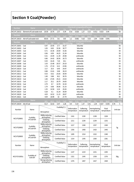| <b>Number</b>        | <b>Name</b>                | Si.                           | $\mathsf{Al}$                  | Fe                             | Ca    | Mg                         | P.       | <b>Chemical Composition(Percent)</b><br>K.        | Na                | V                           | Mn       | TI.                  | Unit Size                              |
|----------------------|----------------------------|-------------------------------|--------------------------------|--------------------------------|-------|----------------------------|----------|---------------------------------------------------|-------------------|-----------------------------|----------|----------------------|----------------------------------------|
| <b>NCS FC 28152</b>  | Element of Coal waste rock | 20.59                         | 10.76                          | 2.57                           | 0.34  | 0.53                       | 0.026    | 1.27                                              | 0.15              | 0.012                       | 0.023    | 0.44                 | (in g)<br>50                           |
|                      |                            |                               |                                |                                |       |                            |          | <b>Chemical Composition(Percent)</b>              |                   |                             |          |                      | Unit Size                              |
| <b>Number</b>        | Name                       | SiO <sub>2</sub>              | AI <sub>2</sub> O <sub>3</sub> | Fe <sub>2</sub> O <sub>3</sub> | CaO   | <b>MgO</b>                 | $P_2O_6$ | KgO                                               | Na <sub>2</sub> O | TiO <sub>2</sub>            | $V_2O_5$ | MnO                  | (in g)                                 |
| <b>NCS FC 28153</b>  | Ash of Coal waste rock     | 60.03                         | 27.71                          | 5.01                           | 0.65  | 1.2                        | 0.082    | 4.18                                              | 0.53              | 1.04                        | 0.028    | 0.041                | 5                                      |
| <b>Number</b>        | Name                       | St.d                          | Ad                             | Vd                             |       | Qgr, d(MJ/kg)              |          | <b>Chemical Composition(Percent)</b><br>Coal Type |                   |                             |          |                      | <b>Unit Size</b><br>(in g)             |
| <b>NCS FC 28201</b>  | Coal                       | 0.47                          | 10.45                          | 17.7                           | 31.57 |                            |          | bitumite                                          |                   |                             |          |                      | 50                                     |
| <b>NCS FC 28202</b>  | Coal                       | 1.05                          | 8.65                           | 33.36                          | 30.77 |                            |          | bitumite                                          |                   |                             |          |                      | 50                                     |
| <b>NCS FC 28203</b>  | Coal                       | 0.71                          | 10.36                          | 20.69                          | 31.66 |                            |          | bitumite                                          |                   |                             |          |                      | 50                                     |
| <b>NCS FC 28204</b>  | Coal                       | 0.96                          | 8.09                           | 34.25                          | 31.34 |                            |          | bitumite                                          |                   |                             |          |                      | 50                                     |
| <b>NCS FC 28205</b>  | Coal                       | 0.31                          | 14.49                          | 11.39                          | 29.98 |                            |          | anthracite                                        |                   |                             |          |                      | 50                                     |
| <b>NCS FC 28206</b>  | Coal                       | 0.86                          | 14.42                          | 28.56                          | 26.73 |                            |          | bitumite                                          |                   |                             |          |                      | 50                                     |
| <b>NCS FC 28207</b>  | Coal                       | 0.43                          | 16.26                          | 7.26                           | 26.1  |                            |          | anthracite                                        |                   |                             |          |                      | 50                                     |
| <b>NCS FC 28208</b>  | Coal                       | 1.03                          | 15.48                          | 20.57                          | 29.19 |                            |          | bitumite                                          |                   |                             |          |                      | 50                                     |
| <b>NCS FC 28209</b>  | Coal                       | 1.76                          | 27.33                          | 8.21                           | 23.96 |                            |          | anthracite                                        |                   |                             |          |                      | 50                                     |
| <b>NCS FC 28210</b>  | Coal                       | 3.17                          | 25.9                           | 8.40                           | 24.47 |                            |          | anthracite                                        |                   |                             |          |                      | 50                                     |
| <b>NCS FC 28211</b>  | Coal                       | 0.88                          | 13.41                          | 9.08                           | 30.23 |                            |          | anthracite                                        |                   |                             |          |                      | 50                                     |
| <b>NCS FC 28212</b>  | Coal                       | 0.53                          | 8.52                           | 25.65                          | 30.94 |                            |          | bitumite                                          |                   |                             |          |                      | 50                                     |
| <b>NCS FC 28213</b>  | Coal                       | 1.49                          | 9.88                           | 36.2                           | 30.76 |                            |          | bitumite                                          |                   |                             |          |                      | 50                                     |
| <b>NCS FC 28214</b>  | Coal                       | 1.66                          | 27.85                          | 29.21                          | 23.63 |                            |          | bitumite                                          |                   |                             |          |                      | 50                                     |
| <b>NCS FC 28215</b>  | Coal                       | 2.17                          | 25.2                           | 28.79                          | 24.83 |                            |          | bitumite                                          |                   |                             |          |                      | 50                                     |
| <b>NCS FC 28216</b>  | Coal                       | 2.79                          | 8.7                            | 10.78                          | 32.34 |                            |          | anthracite                                        |                   |                             |          |                      | 50                                     |
| <b>NCS FC 28217</b>  | Coal                       | 1.79                          | 8.68                           | 36.06                          | 31.33 |                            |          | bitumite                                          |                   |                             |          |                      | 50                                     |
| <b>NCS FC 28218</b>  | Coal                       | 1.35                          | 14.58                          | 6.16                           | 29.26 |                            |          | anthracite                                        |                   |                             |          |                      | 50                                     |
| <b>NCS FC 28219</b>  | Coal                       | 0.28                          | 6.1                            | 31.24                          | 30.09 |                            |          | bitumite                                          |                   |                             |          |                      | 50                                     |
| <b>NCS FC 28220</b>  | Coal                       | 4.03                          | 16.52                          | 11.15                          | 28.67 |                            |          | anthracite                                        |                   |                             |          |                      | 50                                     |
| <b>NCS FC 28221</b>  | Coal                       | 4.04                          | 18.98                          | 32                             | 27.79 |                            |          | bitumite                                          |                   |                             |          |                      | 50                                     |
| <b>Number</b>        | Name                       | SiO <sub>2</sub>              | $Al_2O_3$                      | Fe <sub>2</sub> O <sub>3</sub> | CaO   | <b>MgO</b>                 | $P_2O_5$ | <b>Chemical Composition (Percent)</b><br>$K_2O$   | Na <sub>2</sub> O | TiO <sub>2</sub>            | $V_2O_5$ | <b>MnO</b>           | Unit Size<br>SO <sub>2</sub><br>(in g) |
| <b>NCS FC 28154</b>  | Ash of Coal                | 53.17                         | 32.02                          | 6.47                           | 2.28  | 0.9                        | 0.19     | 1.37                                              | 0.41              | 1.34                        | 0.027    | 0.035                | 0.78<br>5                              |
|                      |                            |                               |                                | Fusibility(°C)                 |       |                            |          |                                                   |                   |                             |          |                      |                                        |
| Number               | Name                       |                               |                                |                                |       | Deformation<br>temperature |          | Softening<br>temperature                          |                   | Hemisphering<br>temperature |          | Fluid<br>temperature | Unit size                              |
|                      |                            | Atmosphere                    |                                |                                |       |                            |          |                                                   |                   |                             |          |                      |                                        |
|                      |                            | Mildly reducing               |                                | <b>Certified Value</b>         |       | 1161                       |          | 1190                                              |                   | 1198                        |          | 1204                 |                                        |
| <b>NCS FS28001</b>   | Fusibility<br>of Coal Ash  | atmosphere<br>Oxidizing       |                                |                                |       |                            |          |                                                   |                   |                             |          |                      |                                        |
|                      |                            | atmosphere                    |                                | <b>Certified Value</b>         |       | 1211                       |          | 1230                                              |                   | 1239                        |          | 1252                 |                                        |
|                      | Fusibility                 | Mildly reducing<br>atmosphere |                                | <b>Certified Value</b>         |       | 1217                       |          | 1340                                              |                   | 1357                        |          | 1369                 |                                        |
| <b>NCS FS28002</b>   | of Coal Ash                | Oxidizing                     |                                | <b>Certified Value</b>         |       | 1356                       |          | 1408                                              |                   | 1420                        |          | 1445                 | 5g                                     |
|                      |                            | atmosphere<br>Mildly reducing |                                |                                |       |                            |          |                                                   |                   |                             |          |                      |                                        |
| <b>NCS FS28003</b>   | Fusibility                 | atmosphere                    |                                | <b>Certified Value</b>         |       | 1285                       |          | 1314                                              |                   | 1322                        |          | 1340                 |                                        |
|                      | of Coal Ash                | Oxidizing<br>atmosphere       |                                | <b>Certified Value</b>         |       | 1314                       |          | 1345                                              |                   | 1360                        |          | 1381                 |                                        |
|                      |                            |                               |                                | Fusibility(°C)                 |       |                            |          |                                                   |                   |                             |          |                      |                                        |
| Number               | Name                       |                               |                                |                                |       | Deformation<br>temperature |          | Softening<br>temperature                          |                   | Hemisphering<br>temperature |          | Fluid<br>temperature | Unit size                              |
|                      |                            | Atmosphere                    |                                |                                |       |                            |          |                                                   |                   |                             |          |                      |                                        |
|                      |                            | Mildly reducing<br>atmosphere |                                | Certified Value                |       | 1147                       |          | 1219                                              |                   | 1251                        |          | 1305                 |                                        |
|                      | Fusibility of              | Oxidizing                     |                                |                                |       |                            |          |                                                   |                   |                             |          |                      |                                        |
| <b>NCS FS 91001c</b> | coal ash                   | atmosphere                    |                                | <b>Certified Value</b>         |       | 1321                       |          | 1345                                              |                   | 1358                        |          | 1376                 | 30g                                    |
|                      |                            | Strong reducing<br>atmosphere |                                | <b>Certified Value</b>         |       | 1376                       |          | 1407                                              |                   | 1427                        |          | 1464                 |                                        |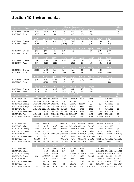| <b>Number</b>            |             |                         |                                                     |                        |                                                                                 | <b>Chemical Composition</b> |                                                                            |                     |                                                                 |                                                   | <b>Unit Size</b>                                   |
|--------------------------|-------------|-------------------------|-----------------------------------------------------|------------------------|---------------------------------------------------------------------------------|-----------------------------|----------------------------------------------------------------------------|---------------------|-----------------------------------------------------------------|---------------------------------------------------|----------------------------------------------------|
|                          | <b>Name</b> | $Al(10^{-2})$           | $As(10^{-6})$                                       | $B(10^{-6})$           | $Ba(10^{-6})$                                                                   | $Be(10^{-9})$               | $\overline{Bi(10^{-9})}$                                                   | $Br(10^{-6})$       |                                                                 |                                                   | (in g)                                             |
| <b>NCS ZC 73016</b>      | Chicken     | 0.016                   | 0.109                                               | 0.76                   | 1.5                                                                             | (1.3)                       | 1.3                                                                        | 1.6                 |                                                                 |                                                   | 35                                                 |
| NCS ZC 73017 Apple       |             | 0.007                   | 0.02                                                | 19                     | 2.5                                                                             | (1.0)                       | (2.5)                                                                      | (0.2)               |                                                                 |                                                   | 35                                                 |
|                          |             | $Ca(10^{2})$            | $Cd(10^9)$                                          | $Ce(10^{-6})$          | $Cl(10^{-2})$                                                                   | $Co(10^{-6})$               | $Cr(10^{-6})$                                                              | $Cs(10^{-6})$       | $Cu(10^{-6})$                                                   | $Dy(10^9)$                                        |                                                    |
| NCS ZC 73016 Chicken     |             | 0.022                   | (5)                                                 | 0.06                   | 0.153                                                                           | (0.010)                     | 0.59                                                                       | 0.07                | 1.46                                                            | $1.1\,$                                           |                                                    |
| NCS ZC 73017 Apple       |             | 0.049                   | 5.8                                                 | 0.025                  | (0.0080)                                                                        | 0.026                       | 0.3                                                                        | (0.02)              | 2.5                                                             | (1.1)                                             |                                                    |
|                          |             |                         |                                                     |                        |                                                                                 |                             |                                                                            |                     |                                                                 |                                                   |                                                    |
|                          |             | $Er(10^9)$              | $Er(10^9)$                                          | $Fe(10^{-6})$          | Gd(10 <sup>9</sup> )                                                            | $Ge(10^{9})$                | $Hf(10^6)$                                                                 | $Hg(10^9)$          | Ho(10 <sup>9</sup> )                                            | $1(10^{-6})$                                      |                                                    |
| NCS ZC 73016 Chicken     |             | (0.8)                   | (0.7)                                               | 31                     | (1.4)                                                                           | (2)                         |                                                                            | 3.6                 | (0.26)                                                          | (0.08)                                            |                                                    |
| NCS ZC 73017 Apple       |             | (0.65)                  | (0.7)                                               | 16                     | 0.95                                                                            |                             |                                                                            | (2)                 | (0.25)                                                          | 0.12                                              |                                                    |
|                          |             |                         |                                                     |                        |                                                                                 |                             |                                                                            |                     |                                                                 |                                                   |                                                    |
|                          |             | $K(10^{-2})$            | $La(10^{-6})$                                       | $Li(10^{-6})$          | $Lu(10^{-9})$                                                                   | $Mg(10^{-2})$               | $Mn(10-6)$                                                                 | $Mo(10^{-6})$       | $N(10^{-2})$                                                    | $Na(10^{-6})$                                     |                                                    |
| NCS ZC 73016 Chicken     |             | 1.46                    | 0.024                                               | 0.034                  | (0.10)                                                                          | 0.128                       | 1.65                                                                       | 0.11                | 14.8                                                            | 0.144                                             |                                                    |
| NCS ZC 73017 Apple       |             | 0.77                    | 0.014                                               | 0.115                  |                                                                                 | 0.039                       | 2.7                                                                        | 0.08                | 0.31                                                            | 0.116                                             |                                                    |
|                          |             | $Nb(10^{-6})$           | $N d(10^{-6})$                                      | $Ni(10^{-6})$          | $P(10^2)$                                                                       | $Pb(10^{-6})$               | $Pr(10^9)$                                                                 | $Rb(10^6)$          | $S(10^{-2})$                                                    | $Sb(10^{-6})$                                     |                                                    |
| NCS ZC 73016 Chicken     |             | (0.006)                 | 0.0095                                              | 0.15                   | 0.96                                                                            | 0.11                        | 2.8                                                                        | 33                  | 0.86                                                            |                                                   |                                                    |
| NCS ZC 73017 Apple       |             |                         | (0.006)                                             | 0.14                   | 0.066                                                                           | 0.084                       | 1.8                                                                        | 5                   | 0.063                                                           | (0.006)                                           |                                                    |
|                          |             |                         |                                                     |                        |                                                                                 |                             |                                                                            |                     |                                                                 |                                                   |                                                    |
|                          |             | $Sc(10^9)$              | $Se(10^{-6})$                                       | $Si(10^{-2})$          | $Sm(10^{-9})$                                                                   | $Sr(10^{-6})$               | $Tb(10^{-9})$                                                              | $Th(10^9)$          | $Ti(10^{5})$                                                    | $T1(10^{-9})$                                     |                                                    |
| NCS ZC 73016 Chicken     |             | (4.5)                   | 0.49                                                | (0.013)                | 1.3                                                                             | 0.64                        | (0.23)                                                                     | (4.5)               |                                                                 | (14)                                              |                                                    |
| NCS ZC 73017 Apple       |             |                         | (0.018)                                             | 0.005                  | 1.5                                                                             | 6.9                         |                                                                            | 4                   |                                                                 | (1.8)                                             |                                                    |
|                          |             |                         |                                                     |                        |                                                                                 |                             |                                                                            |                     |                                                                 |                                                   |                                                    |
| NCS ZC 73016 Chicken     |             | $Tm(10^{-9})$<br>(0.11) | $U(10^{9})$<br>(3)                                  | $V(10^{-6})$<br>(0.06) | $Y(10^{6})$<br>0.007                                                            | $Yb(10^{9})$<br>(0.7)       | $Zn(10^{-6})$<br>26                                                        | Ash(%<br>(5.0)      |                                                                 |                                                   |                                                    |
| <b>NCS ZC 73017</b>      | Apple       | (0.12)                  | 8.2                                                 | (0.028)                | 0.008                                                                           | (0.66)                      | 2.1                                                                        | (2.4)               |                                                                 |                                                   |                                                    |
|                          |             |                         |                                                     |                        |                                                                                 | Content $(106)$             |                                                                            |                     |                                                                 |                                                   | Unit Size                                          |
| <b>Number</b>            | Name        | Ag                      | $Al^{\star}$                                        | As                     | B                                                                               | Ba                          | $Be^{**}$                                                                  | $Bi***$             | Br                                                              | $Ca*$                                             | (in g)                                             |
| NCS ZC73008a Rice        |             |                         | $0.004 \pm 0.001$ $0.015 \pm 0.001$ $0.08 \pm 0.01$ |                        | $0.7 + 0.2$                                                                     | $0.15 \pm 0.03$             | (0.7)                                                                      | (1.4)               |                                                                 | $0.007 \pm 0.001$                                 | 30                                                 |
| NCS ZC73009a Wheat       |             |                         | $0.002 \pm 0.001$ $0.013 \pm 0.003$ $0.04 \pm 0.01$ |                        | $-0.6$                                                                          | $2.3 + 0.2$                 |                                                                            | $1.7 \pm 0.6$       |                                                                 | $0.030 \pm 0.002$                                 | 30                                                 |
| NCS ZC73012a Cabbage     |             |                         | $0.003 \pm 0.001$ $0.018 \pm 0.004$ $0.05 \pm 0.01$ |                        | $26 \pm 3$                                                                      | $6.3 + 0.6$                 | $1.2 \pm 0.4$                                                              | (2)                 | (4)                                                             | $0.55 \pm 0.02$                                   | 25                                                 |
| NCS ZC73013a Spinage     |             |                         | $0.018 \pm 0.002$ $0.16 \pm 0.03$ $0.54 \pm 0.06$   |                        | $30.6 \pm 4.2$                                                                  | $10.9 + 1.7$                | 40±7                                                                       | $16\pm 3$           | $9.6 + 2.7$                                                     | $0.88 + 0.09$                                     | 20                                                 |
| NCS ZC73014a Tea         |             |                         | $0.010 \pm 0.002$ $0.25 \pm 0.02$ $0.10 \pm 0.02$   |                        | $12.6 \pm 0.8$                                                                  | 32±3                        | 50 <sub>±8</sub>                                                           | 13±2                | (3)                                                             | $0.47 \pm 0.02$                                   | 25                                                 |
| NCS ZC73015a Milk Powder |             |                         | (0.01)                                              | $0.03 \pm 0.01$        | $2.7 \pm 0.4$                                                                   | $0.59 \pm 0.06$             | (0.5)                                                                      | (10)                | (6)                                                             | $0.94 \pm 0.03$                                   | 30                                                 |
| NCS ZC73029a Rice        |             | $0.003 \pm 0.001$       | (0.02)                                              |                        | $0.12 \pm 0.02$ $0.72 \pm 0.13$ $0.31 \pm 0.07$                                 |                             | (0.6)                                                                      | (1.30)              | (0.50)                                                          | $0.007 \pm 0.002$                                 | 30                                                 |
| NCS ZC73036a Green tea   |             |                         | $0.008 \pm 0.002$ $0.12 \pm 0.02$ $0.16 \pm 0.02$   |                        | $11\pm2$                                                                        | 32±3                        | 12±2                                                                       | 31±5                | $3.1 \pm 0.8$                                                   | $0.34\#(0.32-0.37)$                               | 25                                                 |
|                          |             | $Cd**$                  |                                                     |                        |                                                                                 |                             |                                                                            |                     |                                                                 |                                                   | $Eu**$                                             |
| NCS ZC73008a Rice        |             | $53\pm4$                | Ce<br>$0.004 \pm 0.002$                             | $Cl^*$                 | Co<br>$0.006 \pm 0.002$                                                         | Cr<br>$-0.08$               | Cs<br>$0.003 \pm 0.001$                                                    | Cu<br>$3.0 \pm 0.2$ | $Dv^{\star\star}$<br>$0.32 \pm 0.08$                            | $Er^{\star\star}$<br>$0.19 \pm 0.05$              | (0.2)                                              |
| NCS ZC73009a Wheat       |             | $21 \pm 3$              | (0.01)                                              |                        |                                                                                 |                             | $(0.08)$ $0.006 \pm 0.001$ $0.09 \pm 0.03$ $0.007 \pm 0.001$ $3.0 \pm 0.3$ |                     | $0.7 + 0.1$                                                     | $0.32 \pm 0.06$                                   |                                                    |
| NCS ZC73012a Cabbage     |             | $21 \pm 3$              | $0.02 \pm 0.01$                                     | (0.4)                  |                                                                                 |                             | $0.06 \pm 0.01$ $0.49 \pm 0.08$ $0.14 \pm 0.01$                            | $3.1 \pm 0.2$       | $1.1 \pm 0.3$                                                   | $0.53 \pm 0.12$                                   | (2)                                                |
| NCS ZC73013a Spinage     |             | 190±20                  | $1.5 \pm 0.2$                                       |                        | $0.49 + 0.03$                                                                   | $9.0 \pm 1.3$               | $0.23 \pm 0.04$ 10.4 $\pm$ 0.8                                             |                     | $85 + 10$                                                       | $42 \pm 6$                                        | $26 \pm 3$                                         |
| NCS ZC73014a Tea         |             | 46±5                    |                                                     |                        | $1.3 \pm 0.2$ 0.050 $\pm$ 0.004 0.28 $\pm$ 0.02 0.79 $\pm$ 0.11 0.19 $\pm$ 0.02 |                             |                                                                            | $8.3 \pm 0.5$       | 130±20                                                          | $80 + 10$                                         | 27#(25-29)                                         |
| NCS ZC73015a Milk Powder |             | (2)                     | $(5)$ **                                            |                        | (0.04)                                                                          | (0.2)                       | $0.035 \pm 0.003$ $0.50 \pm 0.11$                                          |                     | (0.20)                                                          | (0.1)                                             | (0.3)                                              |
| NCS ZC73029a Rice        |             | 320±40                  | $(3)$ **                                            |                        | $0.010 \pm 0.002$                                                               | (0.08)                      | $0.023 \pm 0.003$ 2.4 $\pm$ 0.2                                            |                     | 0.25#(0.20-0.37) $0.18 \pm 0.05$ 0.14 $\pm 0.05$                |                                                   |                                                    |
| NCS ZC73036a Green tea   |             | 200±20                  |                                                     |                        | $0.51 \pm 0.07$ $0.05 \pm 0.01$ $0.23 \pm 0.02$                                 | $0.6 + 0.1$                 | $0.42 \pm 0.05$ 13.2 $\pm$ 0.9                                             |                     | $54\pm8$                                                        | 33±5                                              | 20±4                                               |
|                          |             |                         |                                                     |                        |                                                                                 |                             |                                                                            |                     |                                                                 |                                                   |                                                    |
|                          |             | F.                      | Fe                                                  | $Gd^{\star\star}$      | $Ge^{**}$                                                                       | $Hg^{\star\star}$           | $Ho^{**}$                                                                  |                     | $K^{\star}$                                                     | La                                                | Li.                                                |
| NCS ZC73008a Rice        |             |                         | $4.0 + 0.8$                                         | (0.3)                  | (1.8)                                                                           | $4.2 \pm 0.6$               | (0.1)                                                                      |                     | $0.090 \pm 0.005$                                               | $(2.6)$ **                                        | $0.016 \pm 0.004$                                  |
| NCS ZC73009a Wheat       |             |                         | 25±2                                                | $1.0 + 0.3$            | (1.4)                                                                           | (1.6)                       | (0.2)                                                                      |                     |                                                                 | $0.22 \pm 0.01$ $0.013 \pm 0.003$ $0.03 \pm 0.01$ |                                                    |
| NCS ZC73012a Cabbage     |             |                         | 56±5                                                | $1.1 \pm 0.2$          | (3)                                                                             | $2.1 \pm 0.7$               | $0.22 \pm 0.05$                                                            | $0.7 + 0.2$         |                                                                 | $1.49 \pm 0.04$ $0.02 \pm 0.01$ $0.33 \pm 0.04$   |                                                    |
| NCS ZC73013a Spinage     |             | (13)                    | $0.093 \pm 0.007$ *                                 | $120 \pm 10$           | $21 \pm 8$                                                                      | $21 \pm 5$                  | $16 \pm 3$                                                                 | $0.6 \pm 0.2$       | $4.0 + 0.2$                                                     | $0.8 + 0.1$                                       | $3.8 \pm 0.5$                                      |
| NCS ZC73014a Tea         |             |                         | 149土7                                               | 140±20                 | 13±5                                                                            | $8\pm1$                     | 28±4                                                                       | (0.2)               |                                                                 | $1.45 \pm 0.05$ $1.01 \pm 0.08$ $0.25 \pm 0.02$   |                                                    |
| NCS ZC73015a Milk Powder |             |                         | $5.1 \pm 1.9$                                       | (0.2)                  |                                                                                 | (1.5)                       | (0.06)                                                                     | $2.6 \pm 0.9$       |                                                                 |                                                   | $1.16 \pm 0.05$ $4.6 \pm 1.4$ ** $0.077 \pm 0.012$ |
| NCS ZC73029a Rice        |             |                         | $4.5 \pm 1.1$                                       | (0.3)                  | (2)                                                                             | $3.5 \pm 0.8$               | (0.07)                                                                     | (0.1)               | $0.083 \pm 0.008$                                               | $(1.7)$ **                                        | $0.019 \pm 0.005$                                  |
| NCS ZC73036a Green tea   |             | (155)                   | $161 \pm 18$                                        | 58土7                   | $7.5 \pm 1.6$                                                                   | $7.3 \pm 0.7$               | $11\pm2$                                                                   |                     | $0.16 \pm 0.06$ $1.31 \pm 0.05$ $0.34 \pm 0.04$ $0.20 \pm 0.03$ |                                                   |                                                    |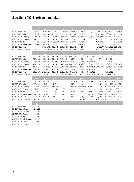|                                             | $Lu**$                 | $Mg^{\star}$                                          | Mn                                                  | Mo              | $N^*$                                    | Na                        | <b>Nb</b>         | <b>Nd</b>                                    | Ni.               | $P^*$                                                              |
|---------------------------------------------|------------------------|-------------------------------------------------------|-----------------------------------------------------|-----------------|------------------------------------------|---------------------------|-------------------|----------------------------------------------|-------------------|--------------------------------------------------------------------|
| NCS ZC73008a Rice                           | (0.04)                 | $0.013 \pm 0.001$ $11.1 \pm 0.7$                      |                                                     |                 | $0.42 \pm 0.04$ 1.30 $\pm$ 0.05          | $11.8 \pm 1.6$            | $(1.3)$ **        | $1.0 \pm 0.3$ **                             |                   | $0.21 \pm 0.02$ $0.078 \pm 0.003$                                  |
| NCS ZC73009a Wheat                          | (0.07)                 | $0.062 \pm 0.004$ $10.0 \pm 0.4$                      |                                                     | $0.31 \pm 0.02$ | $2.1 \pm 0.1$                            | 37±5                      |                   | $0.005 \pm 0.001$                            | (0.08)            | $0.18 + 0.01$                                                      |
| NCS ZC73012a Cabbage                        |                        | $0.11 \pm 0.04$ $0.22 \pm 0.01$                       | $21 \pm 1$                                          | $0.58 + 0.05$   | $2.4 \pm 0.2$                            | $0.75 \pm 0.07*$          | (0.01)            | $0.007 \pm 0.002$                            | $0.5 + 0.2$       | $0.34 \pm 0.02$                                                    |
| NCS ZC73013a Spinage                        | $5.4 \pm 1.2$          | $0.99 \pm 0.07$                                       | 80±4                                                | $0.65 \pm 0.08$ | $3.9 + 0.3$                              | $1.8 \pm 0.07*$           |                   | $0.65 \pm 0.09$                              | $1.9 \pm 0.2$     | $0.41 \pm 0.02$                                                    |
| NCS ZC73014a Tea                            | 16±3                   |                                                       | $0.18 \pm 0.01$ $0.125 \pm 0.004$ * $0.04 \pm 0.01$ |                 | $3.4 + 0.3$                              | $22.6 \pm 6.7$            |                   | $0.66 \pm 0.08$                              |                   | $0.24 \pm 0.01$                                                    |
| NCS ZC73015a Milk Powder                    | (0.04)                 | $0.094 \pm 0.005$ $0.36 \pm 0.11$ $0.32 \pm 0.02$     |                                                     |                 | (4)                                      | $0.32 \pm 0.02$ *         |                   | $0.9 \pm 0.2$ **                             |                   | $0.77 \pm 0.06$                                                    |
| NCS ZC73029a Rice                           |                        | $0.017 \pm 0.001$ 9.6 $\pm$ 0.4                       |                                                     | $0.56 \pm 0.04$ | $1.3 + 0.1$                              | (14)                      |                   | $1.0\pm0.2***$                               |                   | $0.27 \pm 0.03$ 0.087 $\pm$ 0.006                                  |
| NCS ZC73036a Green tea                      | 6 <sub>±1</sub>        | $0.150 \pm 0.005$ $0.117 \pm 0.004$ $0.053 \pm 0.012$ |                                                     |                 | $3.7 + 0.3$                              | 15±4                      | (0.15)            | $0.25 \pm 0.04$                              | $4.4 \pm 0.3$     | $0.27 + 0.02$                                                      |
|                                             |                        |                                                       |                                                     |                 |                                          |                           |                   |                                              |                   |                                                                    |
|                                             | Pb                     | $Pr^{\star\star}$                                     | Rb                                                  | $S^{\star}$     | Sb                                       | $Sc**$                    | Se                | Si.                                          | $Sm^{\star\star}$ | Sn                                                                 |
| NCS ZC73008a Rice                           | $0.10 + 0.02$          | $0.5 + 0.2$                                           | $1.8 + 0.2$                                         |                 | $0.10 \pm 0.01$ $0.009 \pm 0.003$        | (6)                       | $0.036 \pm 0.008$ | 48±15                                        | $0.3 + 0.1$       |                                                                    |
| NCS ZC73009a Wheat                          | $0.09 + 0.03$          | $1.2 + 0.3$                                           | $3.2 + 0.3$                                         | $0.15 \pm 0.01$ | $(6)$ **                                 | (11)                      | (0.03)            | (75)                                         | $0.9 + 0.2$       |                                                                    |
| NCS ZC73012a Cabbage                        | $0.13 \pm 0.05$        | $1.6 + 0.3$                                           | $15.7 \pm 1.1$                                      | $0.62 \pm 0.03$ | (0.01)                                   | 14.7±5.3                  | $0.05 \pm 0.02$   |                                              | $1.4 + 0.4$       |                                                                    |
| NCS ZC73013a Spinage                        | $1.07 \pm 0.09$        | 170±30                                                | $31 \pm 2$                                          |                 | $0.44 \pm 0.03$ $0.038 \pm 0.007$        | 180±40                    | (0.09)            | $0.49 \pm 0.15$ *                            | 130±20            | $0.062 \pm 0.007$                                                  |
| NCS ZC73014a Tea                            | $1.09 \pm 0.13$        | 160#(150-180)                                         | 45.9±3.3                                            |                 | $0.26 \pm 0.02$ $0.05 \pm 0.01$          | 89±17                     |                   | $0.09 \pm 0.04$ $0.04 \pm 0.01$ <sup>*</sup> | 120±20            | $0.06 \pm 0.01$                                                    |
| NCS ZC73015a Milk Powder                    | (0.05)                 | (0.50)                                                | $10.6 \pm 0.6$                                      | $0.25 \pm 0.01$ | (0.004)                                  | (28)                      | $0.24 \pm 0.03$   |                                              | (0.3)             | (0.010)                                                            |
| NCS ZC73029a Rice                           |                        | $0.08 \pm 0.02$ $0.40 \pm 0.13$                       | $4.0 + 0.3$                                         |                 | $0.11 \pm 0.01$ $0.007 \pm 0.003$        | (60)                      | $0.06 \pm 0.01$   |                                              | $0.32 \pm 0.12$   |                                                                    |
| NCS ZC73036a Green tea                      | $1.6 \pm 0.2$          | 64±7                                                  | $81 \pm 6$                                          |                 | $0.23 \pm 0.03$ $0.055 \pm 0.007$        | $54 + 10$                 |                   | $0.09 \pm 0.03$ $0.08 \pm 0.01$ *            | 54±6              | $0.11 \pm 0.02$                                                    |
|                                             |                        |                                                       |                                                     |                 |                                          |                           |                   |                                              |                   |                                                                    |
|                                             |                        |                                                       |                                                     |                 |                                          |                           |                   |                                              | Y.                |                                                                    |
|                                             | Sr.<br>$0.15 \pm 0.03$ | $Tb^{**}$<br>$0.07 + 0.03$                            | Th**                                                | Ti.             | $\overline{\Pi}^{**}$<br>$0.23 \pm 0.05$ | $Tm^{\star\star}$         | $U^{\star\star}$  | $\vee$<br>(0.02)                             | $0.21 \pm 0.05$   | $Yb***$<br>$0.19 \pm 0.05$                                         |
| NCS ZC73008a Rice<br>NCS ZC73009a Wheat     | $2.6 + 0.2$            |                                                       | (1)                                                 |                 |                                          | (0.05)                    | (0.8)             |                                              |                   |                                                                    |
| NCS ZC73012a Cabbage                        | $57 \pm 2$             | (0.2)<br>$0.3 + 0.1$                                  | (1.5)<br>$2.8 + 0.8$                                |                 | (0.3)<br>$4.8 \pm 1.1$                   | (0.07)<br>$0.08 \pm 0.02$ | $100\pm 20$       | (0.04)<br>(0.1)                              |                   | $0.19 \pm 0.04$ $0.28 \pm 0.04$<br>$0.28 \pm 0.05$ $0.48 \pm 0.13$ |
| NCS ZC73013a Spinage                        | 120±7                  | 17 <sup>±</sup> 3                                     | 220±70                                              | (37)            | 44±10                                    | $5.5 \pm 1.4$             | $47 + 12$         | (20)                                         | $0.7 + 0.1$       | 36±5                                                               |
| NCS ZC73014a Tea                            | $13.7 \pm 0.7$         | $21 \pm 2$                                            | 33.4±7.2                                            | (11)            | $47\pm8$                                 | $14\pm2$                  | $13\pm2$          | $0.3 + 0.1$                                  | $2.0 \pm 0.2$     | $100 + 20$                                                         |
| NCS ZC73015a Milk Powder                    | $6.2 \pm 0.8$          | (0.06)                                                | (2)                                                 | (3.5)           | (0.3)                                    |                           | $1.6 + 0.6$       | (0.04)                                       |                   | $0.12 \pm 0.02$ $0.07 \pm 0.03$                                    |
| NCS ZC73029a Rice                           | $0.17 + 0.04$          | $0.07 + 0.02$                                         | (0.8)                                               |                 | (0.2)                                    | (0.04)                    | (0.6)             | (0.02)                                       |                   | $0.17 \pm 0.03$ $0.13 \pm 0.03$                                    |
| NCS ZC73036a Green tea                      | $14.0 \pm 1.3$         | 9±1                                                   | $25 \pm 8$                                          | (11)            | $57 + 11$                                | $5.4 + 0.9$               | $8.2 \pm 1.5$     | $0.26 \pm 0.03$ $0.51 \pm 0.05$              |                   | 36±5                                                               |
|                                             |                        |                                                       |                                                     |                 |                                          |                           |                   |                                              |                   |                                                                    |
|                                             | Zn                     |                                                       |                                                     |                 |                                          |                           |                   |                                              |                   |                                                                    |
| NCS ZC73008a Rice                           | $13.3 \pm 1.2$         |                                                       |                                                     |                 |                                          |                           |                   |                                              |                   |                                                                    |
| NCS ZC73009a Wheat                          | $12.3 \pm 1.5$         |                                                       |                                                     |                 |                                          |                           |                   |                                              |                   |                                                                    |
| NCS ZC73012a Cabbage                        | $12.3 \pm 1.1$         |                                                       |                                                     |                 |                                          |                           |                   |                                              |                   |                                                                    |
| NCS ZC73013a Spinage                        | 42±4                   |                                                       |                                                     |                 |                                          |                           |                   |                                              |                   |                                                                    |
| NCS ZC73014a Tea                            | 27±3                   |                                                       |                                                     |                 |                                          |                           |                   |                                              |                   |                                                                    |
| NCS ZC73015a Milk Powder                    | 32±3                   |                                                       |                                                     |                 |                                          |                           |                   |                                              |                   |                                                                    |
| NCS ZC73029a Rice<br>NCS ZC73036a Green tea | $12.4 \pm 1.2$<br>26±3 |                                                       |                                                     |                 |                                          |                           |                   |                                              |                   |                                                                    |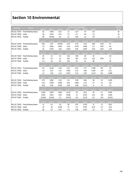| <b>Number</b>       | Name                | $Ag(10^{-9})$ | Al $(10^{-2})$ | $As(10^{-6})$ | $B(10^{-6})$  | <b>Chemical Composition</b><br>$Ba(10^{-6})$ | $Be(10^{-9})$ | $Bi(10^{-9})$ |               |               | <b>Unit Size</b><br>(in g) |
|---------------------|---------------------|---------------|----------------|---------------|---------------|----------------------------------------------|---------------|---------------|---------------|---------------|----------------------------|
| <b>NCS ZC 73019</b> | Fresh Kindney beans | (5)           | 0.043          | 0.15          | 21            | 11.4                                         | 14            | 4.8           |               |               | 35                         |
| <b>NCS ZC 73020</b> | Garlic              | (5)           | 0.021          | 0.31          | 7.5           | 4.1                                          | 4.4           | 13            |               |               | 35                         |
| <b>NCS ZC 73022</b> | Scallop             | (8)           | 0.0156         | 3.6           | 12            | 0.62                                         | 3.2           | 3.8           |               |               | 12                         |
|                     |                     |               |                |               |               |                                              |               |               |               |               |                            |
|                     |                     | $Br(10^{-6})$ | $Ca(10^{-2})$  | $Cd(10^{-6})$ | $Ce(10^{-6})$ | $Cl(10^{-2})$                                | $Co(10^{-6})$ | $Cr(10^{6})$  | $Cs(10^{-6})$ | $Cu(10^{-6})$ |                            |
| <b>NCS ZC 73019</b> | Fresh Kindney beans | 0.62          | 0.67           | (0.020)       | 0.35          | 0.14                                         | 0.29          | 0.66          | 0.036         | 8.7           |                            |
| <b>NCS ZC 73020</b> | Garlic              | 1.9           | 0.081          | 0.062         | 0.16          | 0.075                                        | 0.056         | 0.3           | 0.025         | 4.6           |                            |
| <b>NCS ZC 73022</b> | Scallop             | 32            | 0.075          | 1.06          | 0.053         | 0.81                                         | 0.047         | 0.28          | 0.014         | 1.34          |                            |
|                     |                     |               |                |               |               |                                              |               |               |               |               |                            |
|                     |                     | $Dy(10^{-9})$ | $Er(10^{-9})$  | $Eu(10^{-9})$ | $F(10^{-6})$  | $Fe(10^{-6})$                                | $Gd(10^{-9})$ | $Ge(10^{-9})$ | $Hf(10^{-6})$ | $Hg(10^{-9})$ |                            |
| <b>NCS ZC 73019</b> | Fresh Kindney beans | 23            | 12             | 7.2           | (15)          | 330                                          | 28            | 14            |               | 3.8           |                            |
| <b>NCS ZC 73020</b> | Garlic              | 8.9           | 4.2            | 3.2           | (35)          | 205                                          | 11.4          | (12)          | (0.04)        | 4             |                            |
| <b>NCS ZC 73022</b> | Scallop             | 5.3           | 3.3            | 0.9           | (13)          | 41                                           | 5.2           | (8)           |               | 40            |                            |
|                     |                     | $Ho(10^9)$    | $1(10^{-6})$   | $K(10^{-2})$  | $La(10^{-6})$ | $Li(10^{-6})$                                | $Lu(10^{-9})$ | $Mg(10^{-2})$ | $Mn(10^{-6})$ | $Mo(10^{-6})$ |                            |
| <b>NCS ZC 73019</b> | Fresh Kindney beans | 4.5           | (0.14)         | 2.26          | 0.17          | 0.31                                         | 1.77          | 0.336         | 29.5          | 4.9           |                            |
| <b>NCS ZC 73020</b> | Garlic              | 1.6           | 0.57           | 1.14          | 0.092         | 0.13                                         | 0.58          | 0.105         | 13.4          | 0.21          |                            |
| <b>NCS ZC 73022</b> | Scallop             | 1.2           | 1.83           | 1.15          | 0.037         | 0.13                                         | 0.49          | 0.174         | 19.2          | 0.066         |                            |
|                     |                     |               |                |               |               |                                              |               |               |               |               |                            |
|                     |                     | $N(10^{-2})$  | $Na(10^{-2})$  | $Nd(10^{-6})$ | $Ni(10^{6})$  | $P(10^{-2})$                                 | $Pb(10^{-6})$ | $Pr(10^{-9})$ | $Rb(10^6)$    | $S(10^{2})$   |                            |
| <b>NCS ZC 73019</b> | Fresh Kindney beans | 2.79          | 0.081          | 0.14          | 4.4           | 0.38                                         | 0.66          | 38            | 9.5           | 0.195         |                            |
| <b>NCS ZC 73020</b> | Garlic              | 3.22          | 0.095          | 0.066         | 0.92          | 0.466                                        | 0.72          | 17            | 6.5           | 1.01          |                            |
| <b>NCS ZC 73022</b> | Scallop             | 12.8          | 0.46           | 0.025         | 0.29          | 0.88                                         | (0.12)        | 6             | $5.1\,$       | 1.5           |                            |
|                     |                     |               |                |               |               |                                              |               |               |               |               |                            |
|                     |                     | $Sb(10^{-6})$ | $Sc(10^{-6})$  | $Se(10^{-6})$ | $Si(10^{-2})$ | $Sm(10^{-9})$                                | $Sn(10^{-6})$ | $Sr(10^{-6})$ | $Tb(10^9)$    | $Th(10^{-6})$ |                            |
| <b>NCS ZC 73019</b> | Fresh Kindney beans | 0.028         | 0.067          | 0.043         | (0.27)        | 29                                           | (0.2)         | 55            | 4.1           | 0.055         |                            |
| <b>NCS ZC 73020</b> | Garlic              | 0.023         | 0.021          | 0.39          | (0.08)        | 13                                           | (0.07)        | 12.3          | 1.66          | 0.024         |                            |
| <b>NCS ZC 73022</b> | Scallop             | (0.014)       | (0.012)        | 1.5           | (0.013)       | 4.8                                          | (0.13)        | 6.5           | 0.84          | (0.012)       |                            |
|                     |                     |               |                |               |               |                                              |               |               |               |               |                            |
|                     |                     | $Ti(10^{-6})$ | $T1(10^{-6})$  | $Tm(10^{-9})$ | $U(10^{-9})$  | $V(10^{-6})$                                 | $Y(10^{-6})$  | $Yb(10^{-9})$ | $Zn(10^{-6})$ | Ash(%)        |                            |
| <b>NCS ZC 73019</b> | Fresh Kindney beans | 21            | 4.2            | 1.8           | 90            | 0.51                                         | 0.155         | 11            | 32            | (6.9)         |                            |
| <b>NCS ZC 73020</b> | Garlic              | 10            | 20             | (0.65)        | 75            | 0.2                                          | 0.057         | (4.2)         | 21.7          | (3.4)         |                            |
| <b>NCS ZC 73022</b> | Scallop             | (6)           | 2.5            | 0.52          | 7.3           | 0.36                                         | 0.107         | 3.2           | 75            | (4.5)         |                            |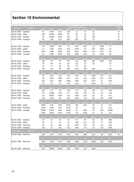| <b>Number</b>           | Name      |                                 |                 |                              |                            | <b>Chemical Composition</b> |                |               |               |               | <b>Unit Size</b> |
|-------------------------|-----------|---------------------------------|-----------------|------------------------------|----------------------------|-----------------------------|----------------|---------------|---------------|---------------|------------------|
|                         |           | $Ag(10^9)$                      | $Al(10^{-2})$   | $As(10^{-6})$                | $B(10^{-6})$               | $Ba(10^{-6})$               | $Be(10^{-9})$  | $Bi(10^{-9})$ |               |               | (in g)           |
| <b>NCS ZC 73023</b>     | Spirulina | 42                              | 0.033           | 0.22                         | (2.8)                      | 11                          | 21             | 81            |               |               | $12\,$           |
| <b>NCS ZC 73024</b>     | Pollen    | (5.8)                           | (0.045)         | 0.095                        | 85                         | 2.9<br>35                   | 10             | $4.4\,$       |               |               | 12<br>$12\,$     |
| <b>NCS ZC 73025</b>     | Ginseng   | (4)                             | (0.036)<br>0.18 | (0.03)                       | 10.5                       |                             | 5.3<br>50      | (2.4)<br>14   |               |               | 35               |
| <b>NCS ZC 73026</b>     | Huang-qi  | (8)                             |                 | 0.57                         | 16.8                       | 20.5                        |                |               |               |               |                  |
|                         |           | $Br(10^{-6})$                   | $Ca(10^{-2})$   | $Cd(10^{-6})$                | $Ce(10^{-6})$              | $Cl(10^{-2})$               | $Co(10^{-6})$  | $Cr(10^{-6})$ | $Cs(10^{-6})$ | $Cu(10^{-6})$ |                  |
| <b>NCS ZC 73023</b>     | Spirulina | 4.8                             | 0.158           | 0.37                         | 7.2                        | 0.49                        | 0.41           | 1.5           | 0.034         | 7.7           |                  |
| <b>NCS ZC 73024</b>     | pollen    | $1.1\,$                         | 0.308           | 0.037                        | 0.35                       | 0.033                       | 0.1            | 0.51          | 0.061         | 8.2           |                  |
| <b>NCS ZC 73025</b>     | Gineseng  | (0.27)                          | 0.406           | 0.033                        | 0.06                       | 0.023                       | 0.072          | 0.13          | 0.017         | 5.9           |                  |
| <b>NCS ZC 73026</b>     | Huang-qi  | 2.6                             | 0.456           | 0.042                        | 2.03                       | 0.042                       | 0.44           | $2.2\,$       | 0.235         | 8.5           |                  |
|                         |           | $Dy(10^9)$                      | $Er(10^9)$      | $Eu(10^9)$                   | $F(10^{-6})$               | $Fe(10^{6})$                | $Gd(10^{-9})$  | $Ge(10^{9})$  | $Hf(10^{-6})$ | $Hg(10^{9})$  |                  |
| <b>NCS ZC 73023</b>     | Spirulina | 186                             | 78              | 87                           | (37)                       | $0.11\,$                    | 355            | (36)          | (0.03)        | (15)          |                  |
| <b>NCS ZC 73024</b>     | pollen    | 20                              | 10.8            | 6.2                          | (12)                       | 212                         | 27             | (8)           |               | 3.2           |                  |
| <b>NCS ZC 73025</b>     | Gineseng  | 3.2                             | 1.7             | (8)                          | (9)                        | 55                          | 5.5            |               |               | 4             |                  |
| <b>NCS ZC 73026</b>     | Huang-qi  | 122                             | 60              | 32                           | (20)                       | 0.113                       | 160            | (26)          |               | (12)          |                  |
|                         |           |                                 |                 |                              |                            |                             |                |               |               |               |                  |
|                         |           | $Ho(10^{9})$                    | $1(10^{-6})$    | $K(10^{-2})$                 | $La(10^{-6})$              | $Li(10^{-6})$               | $Lu(10^{-9})$  | $Mg(10^{-2})$ | $Mn(10^{-6})$ | $Mo(10^{-6})$ |                  |
| <b>NCS ZC 73023</b>     | Spirulina | 33                              | 0.54            | 1.41                         | 4.8                        | 0.24                        | 9.5            | 0.287         | 31.7          | 0.3           |                  |
| <b>NCS ZC 73024</b>     | pollen    | 3.8                             | (0.16)          | 0.585                        | 0.17                       | 0.21                        | 1.22           | 0.163         | 22.7          | 0.42          |                  |
| <b>NCS ZC 73025</b>     | Gineseng  | 0.67                            | (0.1)           | 0.96                         | 0.045                      | 0.087                       | (0.3)          | 0.137         | 21            | 0.18          |                  |
| <b>NCS ZC 73026</b>     | Huang-qi  | 23                              | 0.3             | 0.7                          | 1.07                       | 1.25                        | 9              | 0.228         | 33            | 5.7           |                  |
|                         |           | $N(10^{-2})$                    | $Na(10^{-2})$   | $Nd(10^{-6})$                | $Ni(10^{6})$               | $P(10^{2})$                 | $Pb(10^{-6})$  | $Pr(10^9)$    | $Rb(10^{-6})$ | $S(10^{2})$   |                  |
| <b>NCS ZC 73023</b>     | Spirulina | 10.6                            | 1.9             | 2.4                          | 1.44                       | 1.17                        | 2.8            | 705           | $1.5\,$       | 0.78          |                  |
| <b>NCS ZC 73024</b>     | pollen    | 4.3                             | (0.009)         | 0.14                         | 0.5                        | 0.65                        | 0.25           | 38            | 6.4           | 0.38          |                  |
| <b>NCS ZC 73025</b>     | Gineseng  | 1.9                             | 0.0077          | 0.024                        | $1.11\,$                   | 0.263                       | 0.12           | 6.5           | 4.1           | 0.11          |                  |
| <b>NCS ZC 73026</b>     | Huang-qi  | 2.35                            | 0.145           | 0.9                          | 2.26                       | 0.225                       | 1.44           | 231           | 10.5          | 0.193         |                  |
|                         |           |                                 |                 |                              |                            |                             |                |               |               |               |                  |
|                         |           | $Sb(10^{-6})$                   | $Sc(10^{-6})$   | $Se(10^{-6})$                | $Si(10^{-2})$              | $Sm(10^{9})$                | $Sn(10^{-6})$  | $Sr(10^{-6})$ | $Tb(10^9)$    | $Th(10^{-6})$ |                  |
| <b>NCS ZC 73024</b>     | pollen    | 0.083                           | 0.25            | 0.24                         | (0.23)                     | 354                         | (0.2)          | 36            | 41            | 0.17          |                  |
| <b>NCS ZC 73025</b>     | Gineseng  | 0.014                           | 0.068           | 0.03                         | (0.15)                     | $30\,$                      |                | 13.2          | 3.7           | 0.53          |                  |
| <b>NCS ZC 73026</b>     | Huang-qi  | (0.008)                         | (0.017)         | 0.012                        | (0.034)                    | 4.5                         | (0.02)         | 33            | 0.65          | (0.008)       |                  |
|                         |           | 0.063                           | (0.30)          | 0.071                        | (0.71)                     | 172                         | (0.10)         | 51            | 22            | 0.3           |                  |
|                         |           | $\overline{\text{Ti}}(10^{-6})$ | $T1(10^{-6})$   | $\overline{\text{Im}(10^9)}$ | $\overline{U(10^{-9})}$    | $V(10^{-6})$                | $Y(10^{-6})$   | $Yb(10^9)$    | $Zn(10^{-6})$ | $Ash$ $%$     |                  |
| <b>NCS ZC 73023</b>     | Spirulina | 34                              | 51              | 10                           | 31                         | 0.7                         | 0.9            | 62            | 42            | (8.8)         |                  |
| <b>NCS ZC 73024</b>     | pollen    | 20                              | $11\,$          | 1.4                          | 12                         | 0.46                        | 0.12           | 9.8           | 31            | (3.2)         |                  |
| NCS ZC 73025            | Gineseng  | 5.8                             | 8.2             | (0.3)                        | 3.5                        | 0.073                       | 0.16           | 1.8           | 11.1          | (3.0)         |                  |
| NCS ZC 73026 Huang-qi   |           | 102                             | 51              | 8.8                          | 122                        | 2.56                        | 0.6            | 62            | 22.3          | (5.16)        |                  |
| Number                  | Name      |                                 |                 |                              | Chemical Composition(ug/g) |                             |                |               |               |               | Unit Size        |
|                         |           | $K^{\star}$                     | $Na*$           | $P^*$                        | $Cl^*$                     | Ca                          | Mg             | Cu            | Zn            | Mn            | (in g)           |
| NCS ZC 71001 Beef Liver |           | 1.05                            | 0.22            | 1.30                         | 0.29                       | 189                         | 668            | 91.6          | 192           | 8.92          | 25               |
|                         |           | Fe                              | Se              | Mo                           | Sr                         | Co                          | $S^*$          | Ni .          | $\mathsf{Al}$ | <b>Br</b>     |                  |
| NCS ZC 71001 Beef Liver |           | 346                             | 0.56            | 3.76                         | 0.53                       | 0.254                       | (1.27)         | (0.28)        | (12)          | (5.6)         |                  |
|                         |           |                                 |                 |                              |                            |                             |                |               |               |               |                  |
|                         |           | <b>Ba</b>                       | Cd              | Hg                           | <b>Rb</b>                  | P <sub>b</sub>              | $\mathbb{F}$ . | $\top$        |               |               |                  |
| NCS ZC 71001 Beef Liver |           | (3.4)                           | (0.388)         | (0.18)                       | (26)                       | (0.54)                      | (17)           | (0.63)        |               |               |                  |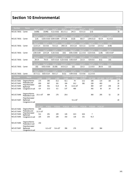| <b>Number</b>       | <b>Name</b>                           | $Ag(10^{-9})$                   | Al $(10^{-2})$                  | $As(10^{-6})$                           | $B(10^{-6})$                    | <b>Chemical Composition</b><br>$Ba(10^{-6})$ | $Be(10^9)$                  | $Bi(10^{-9})$                   |                      |                       | <b>Unit Size</b><br>(in g) |
|---------------------|---------------------------------------|---------------------------------|---------------------------------|-----------------------------------------|---------------------------------|----------------------------------------------|-----------------------------|---------------------------------|----------------------|-----------------------|----------------------------|
| <b>NCS ZC 73031</b> | Carrot                                | (0.006)                         | (0.046)                         | $0.11 \pm 0.02$                         | $18.1 \pm 1.1$                  | $24 \pm 3$                                   | $6.5 \pm 1.5$               | (2.5)                           |                      |                       | 35                         |
|                     |                                       |                                 |                                 |                                         |                                 |                                              |                             |                                 |                      |                       |                            |
|                     |                                       | $Br(10^{-6})$                   | $Ca(10^{-2})$                   | $Cd(10^{-6})$                           | $Ce(10^{6})$                    | $Cl(10^{-2})$                                | $Co(10^{-9})$               | $Cr(10^{-6})$                   | $Cs(10^{-9})$        | $Cu(10^{-6})$         |                            |
| NCS ZC 73031 Carrot |                                       | (2.4)                           |                                 | $0.255 \pm 0.010$ $0.034 \pm 0.004$     | $177 + 38$                      | (0.23)                                       | 66土7                        | $1.04 \pm 0.13$                 | 42±4                 | $4.1 \pm 0.3$         |                            |
|                     |                                       | $Dv(10^{9})$                    | $Er(10-9)$                      | $Eu(10-9)$                              | $Fe(10^{-6})$                   | $Gd(10^{9})$                                 | $Ge(10^{9})$                | $He(10-9)$                      | Ho(10 <sup>9</sup> ) | $1(10^6)$             |                            |
| <b>NCS ZC 73031</b> | Carrot                                | $11.0 \pm 1.4$                  | $5.6 + 0.6$                     | $7.6 + 2.3$                             | 148±15                          | $14.5 \pm 2.8$                               | $6.6 + 1.5$                 | $3.2 + 0.8$                     | $2.0 + 0.2$          | (0.08)                |                            |
|                     |                                       |                                 |                                 |                                         |                                 |                                              |                             |                                 |                      |                       |                            |
|                     |                                       | $K(10^{-2})$                    | $La(10^9)$                      | $\frac{1}{2}$ $\frac{1}{2}$ $(10^{-6})$ | Lu $(10^9)$                     | $Mg(10^{-2})$                                | $Mn(10^{-6})$               | $Mo(10^{-6})$                   | $N(10^{-2})$         | $Na(10^{2})$          |                            |
| NCS ZC 73031 Carrot |                                       | $1.08 \pm 0.04$                 | $114 + 24$                      | $0.16 \pm 0.02$                         | (0.8)                           | $0.091 \pm 0.003$                            | $12.1 \pm 0.5$              | $0.10 + 0.01$                   | (1.06)               | $0.65 \pm 0.03*$      |                            |
|                     |                                       |                                 |                                 |                                         |                                 |                                              |                             |                                 |                      |                       |                            |
| <b>NCS ZC 73031</b> | Carrot                                | $Nb(10^9)$<br>$24 \pm 4$        | $Nd(10^{9})$<br>79±9            | $Ni(10^{6})$<br>$0.67 + 0.10$           | $P(10^{-2})$<br>$0.23 \pm 0.02$ | $Pb(10^6)$<br>$0.43 \pm 0.07$                | $Pr(10^9)$<br>$21 \pm 3$    | $Rb(10^{-6})$<br>$6.9 + 0.5$    | $S(10^{2})$<br>(0.1) | $Sb(10^{-9})$<br>(15) |                            |
|                     |                                       |                                 |                                 |                                         |                                 |                                              |                             |                                 |                      |                       |                            |
|                     |                                       | $Sc(10^{-9})$                   | $Se(10^{-6})$                   | $Si(10^{-2})$                           | $Sm(10^{-9})$                   | $Sn(10^{-9})$                                | $Sr(10^{-6})$               | $Tb(10^{-9})$                   | $Th(10^{-9})$        | $Ti(10^{-6})$         |                            |
| NCS ZC 73031 Carrot |                                       | (32)                            | $0.031 \pm 0.010$               | (0.156)                                 | $14.3 \pm 2.3$                  | (22)                                         | $22 + 2$                    | $2.1 \pm 0.5$                   | $28 \pm 6$           | (12)                  |                            |
|                     |                                       |                                 |                                 |                                         |                                 |                                              |                             |                                 |                      |                       |                            |
| NCS ZC 73031 Carrot |                                       | $T1(10^{-9})$<br>$10.7 \pm 2.1$ | $Tm(10^{9})$<br>$0.83 \pm 0.14$ | $U(10^{-9})$<br>$9.8 + 1.7$             | $V(10^{-6})$<br>(0.21)          | $Y(10^{6})$<br>$0.09 + 0.02$                 | $Yb(10^9)$<br>$5.5 \pm 0.8$ | $Zn(10^{-6})$<br>$11.2 \pm 0.5$ |                      |                       |                            |
|                     |                                       |                                 |                                 |                                         |                                 | Chemical Composition(ug/g)                   |                             |                                 |                      |                       | <b>Unit Size</b>           |
| <b>Number</b>       | Name                                  | $a - 666$                       | <b>B-666</b>                    | $v - 666$                               | $\delta$ -666                   | PCB <sub>28</sub>                            | <b>PCB52</b> *              | P.P'-DDE                        | $PP'$ -DDD           | $O.P'$ -DDT           | $\overline{(\text{in g})}$ |
| <b>NCS ZC71002</b>  | Organochlorine                        | 175                             | 395                             | 33.2                                    | 42.1                            | 74                                           | 13.2                        | 108                             | 114                  | 160                   | 20                         |
| <b>NCS ZC71003</b>  | Pesticides and<br>Polychlorinated     | 650                             | 907                             | 161                                     | 104                             | 16.2                                         | 382                         | 228                             | 493                  |                       | 20                         |
| <b>NCS ZC71004</b>  | <b>Biphenyls</b>                      | 229                             | 561                             | 51.8                                    | 49                              | $11.8 \times 10^{2}$                         |                             | 369                             | 107                  | 146                   | 20                         |
| <b>NCS ZC71005</b>  | Congeners in soil                     | 8.4                             | 15.5                            | 6.5                                     | $3.9*$                          | 400                                          |                             | 342                             | 36                   | 24                    | 20                         |
|                     |                                       |                                 |                                 |                                         |                                 |                                              |                             |                                 |                      |                       |                            |
| NCS ZC71006         | Organochlorine<br>Pesticides in soil  | $23.1 \times 10^{2}$            | 684                             | 176                                     | 20.6                            |                                              |                             | 360                             | 295                  | 52                    | 20                         |
|                     | Polychlorinated                       |                                 |                                 |                                         |                                 |                                              |                             |                                 |                      |                       |                            |
| <b>NCS ZC71007</b>  | <b>Biphenyls</b>                      |                                 |                                 |                                         |                                 | $9.1 \times 10^{2}$                          |                             |                                 |                      |                       | 20                         |
|                     | Congeners in soil                     |                                 |                                 |                                         |                                 |                                              |                             |                                 |                      |                       |                            |
|                     |                                       | P,P'-DDT                        | <b>PCB52</b>                    | <b>PCB101</b>                           | <b>PCB118</b>                   | <b>PCB153</b>                                | <b>PCB138</b>               | <b>PCB180</b>                   | <b>PCB138*</b>       |                       |                            |
| <b>NCS ZC71002</b>  | Organochlorine                        | 609                             |                                 |                                         |                                 |                                              |                             |                                 |                      |                       |                            |
| <b>NCS ZC71003</b>  | Pesticides and                        | $21.2 \times 10^{2}$            |                                 |                                         |                                 |                                              |                             |                                 |                      |                       |                            |
| NCS ZC71004         | Polychlorinated<br>Biphenyls          | 511                             | 291                             | 109                                     | 126                             | 16.5                                         | 18.6                        | $\overline{7}$                  |                      |                       |                            |
| <b>NCS ZC71005</b>  | Congeners in soil                     | 225                             | 253                             | 230                                     | 192                             | 118                                          | 151                         | 41.3                            |                      |                       |                            |
|                     |                                       |                                 |                                 |                                         |                                 |                                              |                             |                                 |                      |                       |                            |
| <b>NCS ZC71006</b>  | Organochlorine                        | 232                             |                                 |                                         |                                 |                                              |                             |                                 |                      |                       |                            |
|                     | Pesticides in soil<br>Polychlorinated |                                 |                                 |                                         |                                 |                                              |                             |                                 |                      |                       |                            |
| <b>NCS ZC71007</b>  | Biphenyls                             |                                 | $6.2 \times 10^{2}$             | $5.6 \times 10^{2}$                     | 396                             | 276                                          |                             | 102                             | 384                  |                       |                            |
|                     | Congeners in soil                     |                                 |                                 |                                         |                                 |                                              |                             |                                 |                      |                       |                            |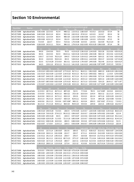| 41±4<br>448±12<br>67 <sub>±4</sub><br><b>Agricultural Soils</b><br>$0.56 \pm 0.06$<br>$22.5 \pm 0.5$<br>$2.15 \pm 0.11$ $1.68 \pm 0.07$<br>$4.5 \pm 0.3$<br>$2.02 \pm 0.10$<br>50<br><b>NCS ZC71008</b><br>83.4±2.4<br>60±4<br>$502 \pm 16$<br>50<br><b>NCS ZC71009</b><br><b>Agricultural Soils</b><br>$0.44 \pm 0.04$<br>$2.62 \pm 0.12$ 47.8 ± 2.4<br>$6.0 \pm 0.5$<br>$14.2 \pm 0.7$<br>83±4<br>66土4<br>50<br><b>NCS ZC71010</b><br><b>Agricultural Soils</b><br>$0.91 \pm 0.11$<br>$12.5 \pm 0.4$<br>480±20<br>$2.32 \pm 0.09$ 0.58 $\pm$ 0.08<br>$5.2 \pm 0.5$<br>$0.276 \pm 0.029$<br>79±5<br>92±4<br>$1.8 + 0.5$<br>87±5<br>50<br><b>NCS ZC71011</b><br><b>Agricultural Soils</b><br>$0.259 \pm 0.020$<br>$41.9 \pm 1.3$<br>351土9<br>$1.55 \pm 0.06$ $1.99 \pm 0.09$<br>$0.276 \pm 0.012$<br>$7.5 + 0.9$<br>$222 + 7$<br>50±3<br>713±21<br>$1.8 + 0.6$<br>$0.62 \pm 0.04$<br>$70.2 \pm 2.9$<br>50<br><b>NCS ZC71012</b><br><b>Agricultural Soils</b><br>$1.75 \pm 0.08$<br>$6.0\pm0.5$<br>70±4<br><b>Agricultural Soils</b><br>$0.128 \pm 0.019$<br>$19.3 \pm 1.1$<br>386±12<br>$2.79 \pm 0.14$ 0.62 $\pm$ 0.05 4.55 $\pm$ 0.29<br>$0.398 \pm 0.020$<br>$87 + 4$<br>50<br><b>NCS ZC71013</b><br>Gd<br>Cr<br>Ga<br><b>Cl</b><br>Co<br>Cu<br><b>Eu</b><br>E.<br><b>Dv</b><br>Er.<br>76±5<br>4.13±0.23 2.36±0.10 1.14±0.03<br>$13.2 \pm 0.6$<br><b>Agricultural Soils</b><br>$94\pm 6$<br>$13.4 \pm 0.6$<br>70±5<br>$532 \pm 26$<br>$4.55 \pm 0.23$<br><b>NCS ZC71008</b><br>$6.15 \pm 0.26$<br><b>NCS ZC71009</b><br><b>Agricultural Soils</b><br>69±6<br>14.4±0.5<br>92±4<br>$69.8 \pm 2.1$<br>$5.63 \pm 0.18$ 3.15 $\pm$ 0.05 1.48 $\pm$ 0.06<br>$566 \pm 10$<br>$19.5\pm0.6$<br><b>Agricultural Soils</b><br>119±7<br>78.2±2.9<br>104 <sup>±</sup> 5<br>$5.53\pm0.14$ $3.10\pm0.12$ $1.44\pm0.04$<br>$520 \pm 21$<br>$16.7 \pm 0.6$<br>$6.03 \pm 0.28$<br><b>NCS ZC71010</b><br>$13.7 \pm 0.5$<br>69±3<br><b>NCS ZC71011</b><br><b>Agricultural Soils</b><br>45土4<br>$13.4 \pm 0.5$<br>$59.0 \pm 2.6$<br>$5.04 \pm 0.21$ 2.99 $\pm$ 0.11 1.16 $\pm$ 0.04<br>$353 + 17$<br>$12.6 \pm 0.8$<br>$5.27 \pm 0.28$<br>$4.20 \pm 0.27$<br><b>NCS ZC71012</b><br><b>Agricultural Soils</b><br>52±5<br>$27.5 \pm 0.9$<br>$301 \pm 11$<br>$3.23 \pm 0.16$ 1.79 $\pm$ 0.07 1.44 $\pm$ 0.05<br>762±45<br>$21.5 \pm 1.0$<br>$9.17 \pm 0.29$<br>34土5<br>5.41±0.25 3.16±0.15 1.40±0.06 0.128*±0.009*<br>$5.8 + 0.4$<br><b>NCS ZC71013</b><br><b>Agricultural Soils</b><br>87.0±1.5<br>$53.1 \pm 1.3$<br>$21.8 \pm 1.0$<br>$23.9 \pm 1.0$<br>N(%)<br>Hg<br>Ho<br>Li.<br>Mn<br><b>Mo</b><br>Ge<br>La<br>Lu.<br>$1.33 \pm 0.10$ 0.205 $\pm$ 0.013 0.83 $\pm$ 0.07 2.77 $\pm$ 0.13<br>$36.7 \pm 1.1$<br>38.4±2.1<br>$0.361 \pm 0.023$<br>$648 + 13$<br>$4.28 \pm 0.19$ $0.281 \pm 0.010$<br><b>NCS ZC71008</b><br><b>Agricultural Soils</b><br><b>NCS ZC71009</b><br><b>Agricultural Soils</b><br>$1.61 \pm 0.14$ $0.62 \pm 0.04$ $1.12 \pm 0.07$ $2.19 \pm 0.10$<br>$45.5 \pm 2.3$<br>$46.7 \pm 1.8$<br>$0.459 \pm 0.021$<br>$438 + 12$<br>$1.1 \pm 0.4$<br>$0.276 \pm 0.009$<br>1.48±0.07 3.44±0.25 1.09±0.07 1.58±0.11<br><b>NCS ZC71010</b><br><b>Agricultural Soils</b><br>$42.7 \pm 2.4$<br>$41.1 \pm 1.9$<br>$0.456 \pm 0.026$<br>$517 + 14$<br>$0.63 \pm 0.06$ 0.218 $\pm$ 0.008<br>Agricultural Soils<br>$42.3 \pm 2.2$<br><b>NCS ZC71011</b><br>$1.35 \pm 0.12$ 0.074 $\pm$ 0.006 1.02 $\pm$ 0.04 1.11 $\pm$ 0.10<br>$29.9 \pm 1.0$<br>$0.45 \pm 0.03$<br>$424 \pm 13$<br>$1.40 \pm 0.09$ 0.120 $\pm$ 0.004<br>1.35±0.07 0.087±0.010 0.63±0.04 1.37±0.15<br>$40.3 \pm 1.5$<br>$0.272 \pm 0.015$<br>725±23<br>$613**+19**$<br><b>NCS ZC71012</b><br><b>Agricultural Soils</b><br>$18.7 \pm 1.0$<br>26.4±1.7<br>$0.49 \pm 0.04$ $0.117 \pm 0.004$ $1.42 \pm 0.09$ $0.154 \pm 0.005$<br><b>NCS ZC71013</b><br><b>Agricultural Soils</b><br>$1.72 \pm 0.07$ 0.133 $\pm$ 0.014 1.12 $\pm$ 0.07 3.54 $\pm$ 0.28<br>$43.0 \pm 2.6$<br>49.0±2.4<br><b>Nb</b><br><b>Nd</b><br><b>Ni</b><br>P.<br>Pr.<br>Rb<br>S<br>Sb<br>Sc<br>P <sub>b</sub><br>$28.7 \pm 1.2$<br>28.7±1.3<br>887±23<br>92±5<br>$7.7 + 0.4$<br>78±5<br>$0.111* \pm 0.004*$<br>$3.4 + 0.4$<br>$10.0 + 0.5$<br><b>Agricultural Soils</b><br>$11.5 \pm 0.3$<br><b>NCS ZC71008</b><br>37.8±1.5<br>372±19<br>$15.4 \pm 1.2$<br><b>NCS ZC71009</b><br>Agricultural Soils<br>$17.0 \pm 0.9$<br>$40.9 \pm 1.6$<br>660±22<br>$10.0 \pm 0.4$<br>$114 + 4$<br>$502 \pm 12$<br>$22.1 \pm 1.9$<br>Agricultural Soils<br>153±6<br>$101 + 4$<br>$12.6 \pm 0.5$<br><b>NCS ZC71010</b><br>$16.4 \pm 0.8$<br>$36.9 \pm 1.5$<br>$34.7 \pm 1.2$<br>$833 \pm 13$<br>$9.9 + 0.3$<br>447±16<br>$2.03 \pm 0.25$<br>Agricultural Soils<br>$19.5 \pm 1.4$<br>34.2±1.6<br>$19.2 \pm 0.7$<br>420±14<br>$42.4 \pm 2.1$<br>$9.3 + 0.5$<br>$72 + 4$<br>364±28<br>$1.62 \pm 0.08$<br>$9.3 \pm 0.6$<br><b>NCS ZC71011</b><br>$7.3 + 0.3$<br>$0.106* \pm 0.004*$<br>340±11<br>$8.0 + 0.4$<br>$27.3 \pm 2.2$<br><b>NCS ZC71012</b><br><b>Agricultural Soils</b><br>$14.8 \pm 0.6$<br>$29.1 \pm 1.5$<br>$9.9 + 0.4$<br>$109 + 5$<br>$0.301* \pm 0.021*$<br>$37.1 \pm 1.8$<br>43.9±1.2<br>863±25<br>$40.9 \pm 2.0$<br>$9.9 + 0.5$<br>129±8<br>$2.08 + 0.22$<br>$16.2 \pm 0.7$<br><b>NCS ZC71013</b><br><b>Agricultural Soils</b><br>$18.1 \pm 1.0$<br>$222 \pm 21$<br>$\vee$<br>Se,<br>Sn<br><b>Sr</b><br>Sm<br><b>Tb</b><br>П<br>Th.<br>TI.<br><b>Tm</b><br>1.96±0.18 5.40±0.20<br>$7.6 + 0.5$<br>$0.74 \pm 0.05$<br>$11.0 \pm 0.7$<br>$1.26 \pm 0.05$ 0.363 $\pm$ 0.023 3.19 $\pm$ 0.22<br>$86.6 \pm 2.9$<br><b>NCS ZC71008</b><br><b>Agricultural Soils</b><br>236土4<br>$112 + 4$<br><b>Agricultural Soils</b><br>$1.86 \pm 0.18$ 7.03 $\pm$ 0.25<br>$27.9 \pm 2.3$<br>$99.3 \pm 2.2$<br>$0.99 + 0.07$<br>$15.0 \pm 0.7$<br>$1.28 \pm 0.06$ 0.479 $\pm$ 0.022 2.93 $\pm$ 0.09<br>54土5<br>$95.1 \pm 2.6$<br><b>NCS ZC71010</b><br><b>Agricultural Soils</b><br>$0.44 \pm 0.04$ 6.95 $\pm$ 0.20<br>$103 + 3$<br>$0.97 + 0.07$<br>$13.5 \pm 0.6$<br>$0.65 \pm 0.04$ 0.47 $\pm$ 0.03 2.64 $\pm$ 0.14<br>$81.4 \pm 2.9$<br>Agricultural Soils<br>$0.412 \pm 0.028$ 6.20 $\pm$ 0.29<br>$5.1 \pm 0.5$<br>$72.1 \pm 1.8$<br>$0.85 \pm 0.04$<br>$13.5 \pm 0.7$<br>$0.536 \pm 0.023$ $0.461 \pm 0.025$ $2.86 \pm 0.12$<br>91±5<br><b>NCS ZC71012</b><br><b>Agricultural Soils</b><br>2.82±0.21 5.08±0.26<br>$10.0 \pm 0.6$<br>$260 + 5$<br>$0.606 \pm 0.024$<br>$9.9 + 0.4$<br>$0.977 \pm 0.023$ $0.274 \pm 0.018$ 3.19 $\pm$ 0.12<br>132±4<br><b>Agricultural Soils</b><br>$0.52 \pm 0.07$<br>$6.7\pm0.4$<br>$11.0 \pm 1.3$<br>$120 + 3$<br>$0.93 \pm 0.04$ 14.6 $\pm$ 0.7 0.94 $\pm$ 0.04 0.49 $\pm$ 0.04 3.73 $\pm$ 0.13<br>W<br>Yb<br>$\text{Al}_2\text{O}_3$ (%) TFe <sub>2</sub> O <sub>3</sub> (%) MgO (%)<br>Y<br>Zn<br>Zr<br>F (water soluble) $SiO2(\%)$<br>23.7±1.4 2.30±0.07<br>$201 \pm 6$<br>$10.31 \pm 0.11$ $4.83 \pm 0.07$ $1.24 \pm 0.04$<br><b>NCS ZC71008</b><br>Agricultural Soils<br>$4.6 \pm 0.5$<br>169±5<br>$8.3 \pm 1.2$<br>43.85 ± 0.27<br>$221 \pm 7$<br><b>NCS ZC71009</b><br>Agricultural Soils<br>$2.56 \pm 0.10$<br>$30.0 \pm 1.2$ 3.01 $\pm$ 0.08<br>$232 + 7$<br>$8.7 \pm 1.1$<br>62.54 ± 0.22  15.41 $\pm$ 0.09  5.24 $\pm$ 0.11  0.932 $\pm$ 0.023<br>270±7<br><b>NCS ZC71010</b><br>Agricultural Soils<br>$2.31 \pm 0.12$ $29.1 \pm 1.4$ $2.95 \pm 0.15$<br>230±7<br>$6.8 + 0.8$<br>66.9±0.4 13.17±0.12 4.97±0.14 0.973±0.020<br>Agricultural Soils<br>$3.13 \pm 0.19$ $28.1 \pm 1.1$ $2.92 \pm 0.12$<br>77.1±0.4 9.45±0.10 3.89±0.08 0.512±0.011<br><b>NCS ZC71011</b><br>89.7±2.5<br>377±17<br>$1.89 \pm 0.28$<br>Agricultural Soils<br>$4.63 \pm 0.25$<br>$16.7 \pm 1.0$ 1.76 $\pm$ 0.10<br>222±11<br>61.5 ± 0.5 15.30 ± 0.14 9.06 ± 0.20 0.783 ± 0.019<br><b>NCS ZC71012</b><br>260±7<br>$1.53 \pm 0.23$<br>$212 + 12$<br>$4.3 + 0.6$<br>61.5 ± 0.6 16.27 ± 0.14 7.23 ± 0.12 1.223 ± 0.015<br><b>NCS ZC71013</b><br>Agricultural Soils<br>$2.28 \pm 0.13$ $28.8 \pm 1.6$ $3.13 \pm 0.18$<br>$117 + 4$<br>CaO $(%)$ Na <sub>2</sub> O $(%)$ K <sub>2</sub> O $(%)$<br>TC(%)<br>Corg (%)<br>Ti (%)<br>15.0±0.5  0.709±0.013  1.628±0.019  7.90±0.28  4.73±0.24  0.315±0.007<br><b>NCS ZC71008</b><br><b>Agricultural Soils</b><br>Agricultural Soils<br><b>NCS ZC71009</b><br>$1.000 \pm 0.025$ $1.00 \pm 0.04$ $1.78 \pm 0.04$ $2.81 \pm 0.13$ $2.75 \pm 0.15$ $0.493 \pm 0.020$<br>Agricultural Soils<br><b>NCS ZC71010</b><br>$1.085 \pm 0.018$ $1.19 \pm 0.04$ $1.732 \pm 0.018$ $2.45 \pm 0.11$ $2.36 \pm 0.10$ $0.476 \pm 0.020$<br><b>NCS ZC71011</b><br>Agricultural Soils<br>$0.412 \pm 0.010$ $0.475 \pm 0.012$ $1.45 \pm 0.04$ $1.11 \pm 0.06$ $1.07 \pm 0.06$ $0.571 \pm 0.029$<br>Agricultural Soils<br>$1.420 \pm 0.028$ $1.11 \pm 0.04$ $3.11 \pm 0.06$ $0.62 \pm 0.04$ $0.59 \pm 0.04$ $0.410 \pm 0.020$<br><b>Agricultural Soils</b><br>$1.28 \pm 0.03$ 0.35 $\pm$ 0.04 2.62 $\pm$ 0.06 1.29 $\pm$ 0.07 1.12 $\pm$ 0.04 0.546 $\pm$ 0.017 | Number             | Name | Ag | As | B | Ba | Chemical Composition(ug/g)<br>Be | Br | Cd | Ce i | <b>Unit Size</b><br>(in g) |
|--------------------------------------------------------------------------------------------------------------------------------------------------------------------------------------------------------------------------------------------------------------------------------------------------------------------------------------------------------------------------------------------------------------------------------------------------------------------------------------------------------------------------------------------------------------------------------------------------------------------------------------------------------------------------------------------------------------------------------------------------------------------------------------------------------------------------------------------------------------------------------------------------------------------------------------------------------------------------------------------------------------------------------------------------------------------------------------------------------------------------------------------------------------------------------------------------------------------------------------------------------------------------------------------------------------------------------------------------------------------------------------------------------------------------------------------------------------------------------------------------------------------------------------------------------------------------------------------------------------------------------------------------------------------------------------------------------------------------------------------------------------------------------------------------------------------------------------------------------------------------------------------------------------------------------------------------------------------------------------------------------------------------------------------------------------------------------------------------------------------------------------------------------------------------------------------------------------------------------------------------------------------------------------------------------------------------------------------------------------------------------------------------------------------------------------------------------------------------------------------------------------------------------------------------------------------------------------------------------------------------------------------------------------------------------------------------------------------------------------------------------------------------------------------------------------------------------------------------------------------------------------------------------------------------------------------------------------------------------------------------------------------------------------------------------------------------------------------------------------------------------------------------------------------------------------------------------------------------------------------------------------------------------------------------------------------------------------------------------------------------------------------------------------------------------------------------------------------------------------------------------------------------------------------------------------------------------------------------------------------------------------------------------------------------------------------------------------------------------------------------------------------------------------------------------------------------------------------------------------------------------------------------------------------------------------------------------------------------------------------------------------------------------------------------------------------------------------------------------------------------------------------------------------------------------------------------------------------------------------------------------------------------------------------------------------------------------------------------------------------------------------------------------------------------------------------------------------------------------------------------------------------------------------------------------------------------------------------------------------------------------------------------------------------------------------------------------------------------------------------------------------------------------------------------------------------------------------------------------------------------------------------------------------------------------------------------------------------------------------------------------------------------------------------------------------------------------------------------------------------------------------------------------------------------------------------------------------------------------------------------------------------------------------------------------------------------------------------------------------------------------------------------------------------------------------------------------------------------------------------------------------------------------------------------------------------------------------------------------------------------------------------------------------------------------------------------------------------------------------------------------------------------------------------------------------------------------------------------------------------------------------------------------------------------------------------------------------------------------------------------------------------------------------------------------------------------------------------------------------------------------------------------------------------------------------------------------------------------------------------------------------------------------------------------------------------------------------------------------------------------------------------------------------------------------------------------------------------------------------------------------------------------------------------------------------------------------------------------------------------------------------------------------------------------------------------------------------------------------------------------------------------------------------------------------------------------------------------------------------------------------------------------------------------------------------------------------------------------------------------------------------------------------------------------------------------------------------------------------------------------------------------------------------------------------------------------------------------------------------------------------------------------------------------------------------------------------------------------------------------------------------------------------------------------------------------------------------------------------------------------------------------------------------------------------------------------------------------------------------------------------------------------------------------------------------------------------------------------------------------------------------------------------------------------------------------------------------------------------------------------------------------------------------------------------------------------------------------------------------------------------------------------------------------------------------------------------------------------------------------------------------------------------------------------------------------------------------------------------------------------------------------------------------------------------------------------------------------------------------------------------------------------------------------------------------------------------------------------------------------------------------------------------------------------------------------------------------------------------------------------------------------------------------------------------------------------------------------------------------------------------------------------------------------------------------------------------------------------------------------------------------------------------------|--------------------|------|----|----|---|----|----------------------------------|----|----|------|----------------------------|
|                                                                                                                                                                                                                                                                                                                                                                                                                                                                                                                                                                                                                                                                                                                                                                                                                                                                                                                                                                                                                                                                                                                                                                                                                                                                                                                                                                                                                                                                                                                                                                                                                                                                                                                                                                                                                                                                                                                                                                                                                                                                                                                                                                                                                                                                                                                                                                                                                                                                                                                                                                                                                                                                                                                                                                                                                                                                                                                                                                                                                                                                                                                                                                                                                                                                                                                                                                                                                                                                                                                                                                                                                                                                                                                                                                                                                                                                                                                                                                                                                                                                                                                                                                                                                                                                                                                                                                                                                                                                                                                                                                                                                                                                                                                                                                                                                                                                                                                                                                                                                                                                                                                                                                                                                                                                                                                                                                                                                                                                                                                                                                                                                                                                                                                                                                                                                                                                                                                                                                                                                                                                                                                                                                                                                                                                                                                                                                                                                                                                                                                                                                                                                                                                                                                                                                                                                                                                                                                                                                                                                                                                                                                                                                                                                                                                                                                                                                                                                                                                                                                                                                                                                                                                                                                                                                                                                                                                                                                                                                                                                                                                                                                                                                                                                                                                                                                                                                                                                                                                                                                                                                                                                                                                                                                                                                                                                                                                                                              |                    |      |    |    |   |    |                                  |    |    |      |                            |
|                                                                                                                                                                                                                                                                                                                                                                                                                                                                                                                                                                                                                                                                                                                                                                                                                                                                                                                                                                                                                                                                                                                                                                                                                                                                                                                                                                                                                                                                                                                                                                                                                                                                                                                                                                                                                                                                                                                                                                                                                                                                                                                                                                                                                                                                                                                                                                                                                                                                                                                                                                                                                                                                                                                                                                                                                                                                                                                                                                                                                                                                                                                                                                                                                                                                                                                                                                                                                                                                                                                                                                                                                                                                                                                                                                                                                                                                                                                                                                                                                                                                                                                                                                                                                                                                                                                                                                                                                                                                                                                                                                                                                                                                                                                                                                                                                                                                                                                                                                                                                                                                                                                                                                                                                                                                                                                                                                                                                                                                                                                                                                                                                                                                                                                                                                                                                                                                                                                                                                                                                                                                                                                                                                                                                                                                                                                                                                                                                                                                                                                                                                                                                                                                                                                                                                                                                                                                                                                                                                                                                                                                                                                                                                                                                                                                                                                                                                                                                                                                                                                                                                                                                                                                                                                                                                                                                                                                                                                                                                                                                                                                                                                                                                                                                                                                                                                                                                                                                                                                                                                                                                                                                                                                                                                                                                                                                                                                                                              |                    |      |    |    |   |    |                                  |    |    |      |                            |
|                                                                                                                                                                                                                                                                                                                                                                                                                                                                                                                                                                                                                                                                                                                                                                                                                                                                                                                                                                                                                                                                                                                                                                                                                                                                                                                                                                                                                                                                                                                                                                                                                                                                                                                                                                                                                                                                                                                                                                                                                                                                                                                                                                                                                                                                                                                                                                                                                                                                                                                                                                                                                                                                                                                                                                                                                                                                                                                                                                                                                                                                                                                                                                                                                                                                                                                                                                                                                                                                                                                                                                                                                                                                                                                                                                                                                                                                                                                                                                                                                                                                                                                                                                                                                                                                                                                                                                                                                                                                                                                                                                                                                                                                                                                                                                                                                                                                                                                                                                                                                                                                                                                                                                                                                                                                                                                                                                                                                                                                                                                                                                                                                                                                                                                                                                                                                                                                                                                                                                                                                                                                                                                                                                                                                                                                                                                                                                                                                                                                                                                                                                                                                                                                                                                                                                                                                                                                                                                                                                                                                                                                                                                                                                                                                                                                                                                                                                                                                                                                                                                                                                                                                                                                                                                                                                                                                                                                                                                                                                                                                                                                                                                                                                                                                                                                                                                                                                                                                                                                                                                                                                                                                                                                                                                                                                                                                                                                                                              |                    |      |    |    |   |    |                                  |    |    |      |                            |
|                                                                                                                                                                                                                                                                                                                                                                                                                                                                                                                                                                                                                                                                                                                                                                                                                                                                                                                                                                                                                                                                                                                                                                                                                                                                                                                                                                                                                                                                                                                                                                                                                                                                                                                                                                                                                                                                                                                                                                                                                                                                                                                                                                                                                                                                                                                                                                                                                                                                                                                                                                                                                                                                                                                                                                                                                                                                                                                                                                                                                                                                                                                                                                                                                                                                                                                                                                                                                                                                                                                                                                                                                                                                                                                                                                                                                                                                                                                                                                                                                                                                                                                                                                                                                                                                                                                                                                                                                                                                                                                                                                                                                                                                                                                                                                                                                                                                                                                                                                                                                                                                                                                                                                                                                                                                                                                                                                                                                                                                                                                                                                                                                                                                                                                                                                                                                                                                                                                                                                                                                                                                                                                                                                                                                                                                                                                                                                                                                                                                                                                                                                                                                                                                                                                                                                                                                                                                                                                                                                                                                                                                                                                                                                                                                                                                                                                                                                                                                                                                                                                                                                                                                                                                                                                                                                                                                                                                                                                                                                                                                                                                                                                                                                                                                                                                                                                                                                                                                                                                                                                                                                                                                                                                                                                                                                                                                                                                                                              |                    |      |    |    |   |    |                                  |    |    |      |                            |
|                                                                                                                                                                                                                                                                                                                                                                                                                                                                                                                                                                                                                                                                                                                                                                                                                                                                                                                                                                                                                                                                                                                                                                                                                                                                                                                                                                                                                                                                                                                                                                                                                                                                                                                                                                                                                                                                                                                                                                                                                                                                                                                                                                                                                                                                                                                                                                                                                                                                                                                                                                                                                                                                                                                                                                                                                                                                                                                                                                                                                                                                                                                                                                                                                                                                                                                                                                                                                                                                                                                                                                                                                                                                                                                                                                                                                                                                                                                                                                                                                                                                                                                                                                                                                                                                                                                                                                                                                                                                                                                                                                                                                                                                                                                                                                                                                                                                                                                                                                                                                                                                                                                                                                                                                                                                                                                                                                                                                                                                                                                                                                                                                                                                                                                                                                                                                                                                                                                                                                                                                                                                                                                                                                                                                                                                                                                                                                                                                                                                                                                                                                                                                                                                                                                                                                                                                                                                                                                                                                                                                                                                                                                                                                                                                                                                                                                                                                                                                                                                                                                                                                                                                                                                                                                                                                                                                                                                                                                                                                                                                                                                                                                                                                                                                                                                                                                                                                                                                                                                                                                                                                                                                                                                                                                                                                                                                                                                                                              |                    |      |    |    |   |    |                                  |    |    |      |                            |
|                                                                                                                                                                                                                                                                                                                                                                                                                                                                                                                                                                                                                                                                                                                                                                                                                                                                                                                                                                                                                                                                                                                                                                                                                                                                                                                                                                                                                                                                                                                                                                                                                                                                                                                                                                                                                                                                                                                                                                                                                                                                                                                                                                                                                                                                                                                                                                                                                                                                                                                                                                                                                                                                                                                                                                                                                                                                                                                                                                                                                                                                                                                                                                                                                                                                                                                                                                                                                                                                                                                                                                                                                                                                                                                                                                                                                                                                                                                                                                                                                                                                                                                                                                                                                                                                                                                                                                                                                                                                                                                                                                                                                                                                                                                                                                                                                                                                                                                                                                                                                                                                                                                                                                                                                                                                                                                                                                                                                                                                                                                                                                                                                                                                                                                                                                                                                                                                                                                                                                                                                                                                                                                                                                                                                                                                                                                                                                                                                                                                                                                                                                                                                                                                                                                                                                                                                                                                                                                                                                                                                                                                                                                                                                                                                                                                                                                                                                                                                                                                                                                                                                                                                                                                                                                                                                                                                                                                                                                                                                                                                                                                                                                                                                                                                                                                                                                                                                                                                                                                                                                                                                                                                                                                                                                                                                                                                                                                                                              |                    |      |    |    |   |    |                                  |    |    |      |                            |
|                                                                                                                                                                                                                                                                                                                                                                                                                                                                                                                                                                                                                                                                                                                                                                                                                                                                                                                                                                                                                                                                                                                                                                                                                                                                                                                                                                                                                                                                                                                                                                                                                                                                                                                                                                                                                                                                                                                                                                                                                                                                                                                                                                                                                                                                                                                                                                                                                                                                                                                                                                                                                                                                                                                                                                                                                                                                                                                                                                                                                                                                                                                                                                                                                                                                                                                                                                                                                                                                                                                                                                                                                                                                                                                                                                                                                                                                                                                                                                                                                                                                                                                                                                                                                                                                                                                                                                                                                                                                                                                                                                                                                                                                                                                                                                                                                                                                                                                                                                                                                                                                                                                                                                                                                                                                                                                                                                                                                                                                                                                                                                                                                                                                                                                                                                                                                                                                                                                                                                                                                                                                                                                                                                                                                                                                                                                                                                                                                                                                                                                                                                                                                                                                                                                                                                                                                                                                                                                                                                                                                                                                                                                                                                                                                                                                                                                                                                                                                                                                                                                                                                                                                                                                                                                                                                                                                                                                                                                                                                                                                                                                                                                                                                                                                                                                                                                                                                                                                                                                                                                                                                                                                                                                                                                                                                                                                                                                                                              |                    |      |    |    |   |    |                                  |    |    |      |                            |
|                                                                                                                                                                                                                                                                                                                                                                                                                                                                                                                                                                                                                                                                                                                                                                                                                                                                                                                                                                                                                                                                                                                                                                                                                                                                                                                                                                                                                                                                                                                                                                                                                                                                                                                                                                                                                                                                                                                                                                                                                                                                                                                                                                                                                                                                                                                                                                                                                                                                                                                                                                                                                                                                                                                                                                                                                                                                                                                                                                                                                                                                                                                                                                                                                                                                                                                                                                                                                                                                                                                                                                                                                                                                                                                                                                                                                                                                                                                                                                                                                                                                                                                                                                                                                                                                                                                                                                                                                                                                                                                                                                                                                                                                                                                                                                                                                                                                                                                                                                                                                                                                                                                                                                                                                                                                                                                                                                                                                                                                                                                                                                                                                                                                                                                                                                                                                                                                                                                                                                                                                                                                                                                                                                                                                                                                                                                                                                                                                                                                                                                                                                                                                                                                                                                                                                                                                                                                                                                                                                                                                                                                                                                                                                                                                                                                                                                                                                                                                                                                                                                                                                                                                                                                                                                                                                                                                                                                                                                                                                                                                                                                                                                                                                                                                                                                                                                                                                                                                                                                                                                                                                                                                                                                                                                                                                                                                                                                                                              |                    |      |    |    |   |    |                                  |    |    |      |                            |
|                                                                                                                                                                                                                                                                                                                                                                                                                                                                                                                                                                                                                                                                                                                                                                                                                                                                                                                                                                                                                                                                                                                                                                                                                                                                                                                                                                                                                                                                                                                                                                                                                                                                                                                                                                                                                                                                                                                                                                                                                                                                                                                                                                                                                                                                                                                                                                                                                                                                                                                                                                                                                                                                                                                                                                                                                                                                                                                                                                                                                                                                                                                                                                                                                                                                                                                                                                                                                                                                                                                                                                                                                                                                                                                                                                                                                                                                                                                                                                                                                                                                                                                                                                                                                                                                                                                                                                                                                                                                                                                                                                                                                                                                                                                                                                                                                                                                                                                                                                                                                                                                                                                                                                                                                                                                                                                                                                                                                                                                                                                                                                                                                                                                                                                                                                                                                                                                                                                                                                                                                                                                                                                                                                                                                                                                                                                                                                                                                                                                                                                                                                                                                                                                                                                                                                                                                                                                                                                                                                                                                                                                                                                                                                                                                                                                                                                                                                                                                                                                                                                                                                                                                                                                                                                                                                                                                                                                                                                                                                                                                                                                                                                                                                                                                                                                                                                                                                                                                                                                                                                                                                                                                                                                                                                                                                                                                                                                                                              |                    |      |    |    |   |    |                                  |    |    |      |                            |
|                                                                                                                                                                                                                                                                                                                                                                                                                                                                                                                                                                                                                                                                                                                                                                                                                                                                                                                                                                                                                                                                                                                                                                                                                                                                                                                                                                                                                                                                                                                                                                                                                                                                                                                                                                                                                                                                                                                                                                                                                                                                                                                                                                                                                                                                                                                                                                                                                                                                                                                                                                                                                                                                                                                                                                                                                                                                                                                                                                                                                                                                                                                                                                                                                                                                                                                                                                                                                                                                                                                                                                                                                                                                                                                                                                                                                                                                                                                                                                                                                                                                                                                                                                                                                                                                                                                                                                                                                                                                                                                                                                                                                                                                                                                                                                                                                                                                                                                                                                                                                                                                                                                                                                                                                                                                                                                                                                                                                                                                                                                                                                                                                                                                                                                                                                                                                                                                                                                                                                                                                                                                                                                                                                                                                                                                                                                                                                                                                                                                                                                                                                                                                                                                                                                                                                                                                                                                                                                                                                                                                                                                                                                                                                                                                                                                                                                                                                                                                                                                                                                                                                                                                                                                                                                                                                                                                                                                                                                                                                                                                                                                                                                                                                                                                                                                                                                                                                                                                                                                                                                                                                                                                                                                                                                                                                                                                                                                                                              |                    |      |    |    |   |    |                                  |    |    |      |                            |
|                                                                                                                                                                                                                                                                                                                                                                                                                                                                                                                                                                                                                                                                                                                                                                                                                                                                                                                                                                                                                                                                                                                                                                                                                                                                                                                                                                                                                                                                                                                                                                                                                                                                                                                                                                                                                                                                                                                                                                                                                                                                                                                                                                                                                                                                                                                                                                                                                                                                                                                                                                                                                                                                                                                                                                                                                                                                                                                                                                                                                                                                                                                                                                                                                                                                                                                                                                                                                                                                                                                                                                                                                                                                                                                                                                                                                                                                                                                                                                                                                                                                                                                                                                                                                                                                                                                                                                                                                                                                                                                                                                                                                                                                                                                                                                                                                                                                                                                                                                                                                                                                                                                                                                                                                                                                                                                                                                                                                                                                                                                                                                                                                                                                                                                                                                                                                                                                                                                                                                                                                                                                                                                                                                                                                                                                                                                                                                                                                                                                                                                                                                                                                                                                                                                                                                                                                                                                                                                                                                                                                                                                                                                                                                                                                                                                                                                                                                                                                                                                                                                                                                                                                                                                                                                                                                                                                                                                                                                                                                                                                                                                                                                                                                                                                                                                                                                                                                                                                                                                                                                                                                                                                                                                                                                                                                                                                                                                                                              |                    |      |    |    |   |    |                                  |    |    |      |                            |
|                                                                                                                                                                                                                                                                                                                                                                                                                                                                                                                                                                                                                                                                                                                                                                                                                                                                                                                                                                                                                                                                                                                                                                                                                                                                                                                                                                                                                                                                                                                                                                                                                                                                                                                                                                                                                                                                                                                                                                                                                                                                                                                                                                                                                                                                                                                                                                                                                                                                                                                                                                                                                                                                                                                                                                                                                                                                                                                                                                                                                                                                                                                                                                                                                                                                                                                                                                                                                                                                                                                                                                                                                                                                                                                                                                                                                                                                                                                                                                                                                                                                                                                                                                                                                                                                                                                                                                                                                                                                                                                                                                                                                                                                                                                                                                                                                                                                                                                                                                                                                                                                                                                                                                                                                                                                                                                                                                                                                                                                                                                                                                                                                                                                                                                                                                                                                                                                                                                                                                                                                                                                                                                                                                                                                                                                                                                                                                                                                                                                                                                                                                                                                                                                                                                                                                                                                                                                                                                                                                                                                                                                                                                                                                                                                                                                                                                                                                                                                                                                                                                                                                                                                                                                                                                                                                                                                                                                                                                                                                                                                                                                                                                                                                                                                                                                                                                                                                                                                                                                                                                                                                                                                                                                                                                                                                                                                                                                                                              |                    |      |    |    |   |    |                                  |    |    |      |                            |
|                                                                                                                                                                                                                                                                                                                                                                                                                                                                                                                                                                                                                                                                                                                                                                                                                                                                                                                                                                                                                                                                                                                                                                                                                                                                                                                                                                                                                                                                                                                                                                                                                                                                                                                                                                                                                                                                                                                                                                                                                                                                                                                                                                                                                                                                                                                                                                                                                                                                                                                                                                                                                                                                                                                                                                                                                                                                                                                                                                                                                                                                                                                                                                                                                                                                                                                                                                                                                                                                                                                                                                                                                                                                                                                                                                                                                                                                                                                                                                                                                                                                                                                                                                                                                                                                                                                                                                                                                                                                                                                                                                                                                                                                                                                                                                                                                                                                                                                                                                                                                                                                                                                                                                                                                                                                                                                                                                                                                                                                                                                                                                                                                                                                                                                                                                                                                                                                                                                                                                                                                                                                                                                                                                                                                                                                                                                                                                                                                                                                                                                                                                                                                                                                                                                                                                                                                                                                                                                                                                                                                                                                                                                                                                                                                                                                                                                                                                                                                                                                                                                                                                                                                                                                                                                                                                                                                                                                                                                                                                                                                                                                                                                                                                                                                                                                                                                                                                                                                                                                                                                                                                                                                                                                                                                                                                                                                                                                                                              |                    |      |    |    |   |    |                                  |    |    |      |                            |
|                                                                                                                                                                                                                                                                                                                                                                                                                                                                                                                                                                                                                                                                                                                                                                                                                                                                                                                                                                                                                                                                                                                                                                                                                                                                                                                                                                                                                                                                                                                                                                                                                                                                                                                                                                                                                                                                                                                                                                                                                                                                                                                                                                                                                                                                                                                                                                                                                                                                                                                                                                                                                                                                                                                                                                                                                                                                                                                                                                                                                                                                                                                                                                                                                                                                                                                                                                                                                                                                                                                                                                                                                                                                                                                                                                                                                                                                                                                                                                                                                                                                                                                                                                                                                                                                                                                                                                                                                                                                                                                                                                                                                                                                                                                                                                                                                                                                                                                                                                                                                                                                                                                                                                                                                                                                                                                                                                                                                                                                                                                                                                                                                                                                                                                                                                                                                                                                                                                                                                                                                                                                                                                                                                                                                                                                                                                                                                                                                                                                                                                                                                                                                                                                                                                                                                                                                                                                                                                                                                                                                                                                                                                                                                                                                                                                                                                                                                                                                                                                                                                                                                                                                                                                                                                                                                                                                                                                                                                                                                                                                                                                                                                                                                                                                                                                                                                                                                                                                                                                                                                                                                                                                                                                                                                                                                                                                                                                                                              |                    |      |    |    |   |    |                                  |    |    |      |                            |
|                                                                                                                                                                                                                                                                                                                                                                                                                                                                                                                                                                                                                                                                                                                                                                                                                                                                                                                                                                                                                                                                                                                                                                                                                                                                                                                                                                                                                                                                                                                                                                                                                                                                                                                                                                                                                                                                                                                                                                                                                                                                                                                                                                                                                                                                                                                                                                                                                                                                                                                                                                                                                                                                                                                                                                                                                                                                                                                                                                                                                                                                                                                                                                                                                                                                                                                                                                                                                                                                                                                                                                                                                                                                                                                                                                                                                                                                                                                                                                                                                                                                                                                                                                                                                                                                                                                                                                                                                                                                                                                                                                                                                                                                                                                                                                                                                                                                                                                                                                                                                                                                                                                                                                                                                                                                                                                                                                                                                                                                                                                                                                                                                                                                                                                                                                                                                                                                                                                                                                                                                                                                                                                                                                                                                                                                                                                                                                                                                                                                                                                                                                                                                                                                                                                                                                                                                                                                                                                                                                                                                                                                                                                                                                                                                                                                                                                                                                                                                                                                                                                                                                                                                                                                                                                                                                                                                                                                                                                                                                                                                                                                                                                                                                                                                                                                                                                                                                                                                                                                                                                                                                                                                                                                                                                                                                                                                                                                                                              |                    |      |    |    |   |    |                                  |    |    |      |                            |
|                                                                                                                                                                                                                                                                                                                                                                                                                                                                                                                                                                                                                                                                                                                                                                                                                                                                                                                                                                                                                                                                                                                                                                                                                                                                                                                                                                                                                                                                                                                                                                                                                                                                                                                                                                                                                                                                                                                                                                                                                                                                                                                                                                                                                                                                                                                                                                                                                                                                                                                                                                                                                                                                                                                                                                                                                                                                                                                                                                                                                                                                                                                                                                                                                                                                                                                                                                                                                                                                                                                                                                                                                                                                                                                                                                                                                                                                                                                                                                                                                                                                                                                                                                                                                                                                                                                                                                                                                                                                                                                                                                                                                                                                                                                                                                                                                                                                                                                                                                                                                                                                                                                                                                                                                                                                                                                                                                                                                                                                                                                                                                                                                                                                                                                                                                                                                                                                                                                                                                                                                                                                                                                                                                                                                                                                                                                                                                                                                                                                                                                                                                                                                                                                                                                                                                                                                                                                                                                                                                                                                                                                                                                                                                                                                                                                                                                                                                                                                                                                                                                                                                                                                                                                                                                                                                                                                                                                                                                                                                                                                                                                                                                                                                                                                                                                                                                                                                                                                                                                                                                                                                                                                                                                                                                                                                                                                                                                                                              |                    |      |    |    |   |    |                                  |    |    |      |                            |
|                                                                                                                                                                                                                                                                                                                                                                                                                                                                                                                                                                                                                                                                                                                                                                                                                                                                                                                                                                                                                                                                                                                                                                                                                                                                                                                                                                                                                                                                                                                                                                                                                                                                                                                                                                                                                                                                                                                                                                                                                                                                                                                                                                                                                                                                                                                                                                                                                                                                                                                                                                                                                                                                                                                                                                                                                                                                                                                                                                                                                                                                                                                                                                                                                                                                                                                                                                                                                                                                                                                                                                                                                                                                                                                                                                                                                                                                                                                                                                                                                                                                                                                                                                                                                                                                                                                                                                                                                                                                                                                                                                                                                                                                                                                                                                                                                                                                                                                                                                                                                                                                                                                                                                                                                                                                                                                                                                                                                                                                                                                                                                                                                                                                                                                                                                                                                                                                                                                                                                                                                                                                                                                                                                                                                                                                                                                                                                                                                                                                                                                                                                                                                                                                                                                                                                                                                                                                                                                                                                                                                                                                                                                                                                                                                                                                                                                                                                                                                                                                                                                                                                                                                                                                                                                                                                                                                                                                                                                                                                                                                                                                                                                                                                                                                                                                                                                                                                                                                                                                                                                                                                                                                                                                                                                                                                                                                                                                                                              |                    |      |    |    |   |    |                                  |    |    |      |                            |
|                                                                                                                                                                                                                                                                                                                                                                                                                                                                                                                                                                                                                                                                                                                                                                                                                                                                                                                                                                                                                                                                                                                                                                                                                                                                                                                                                                                                                                                                                                                                                                                                                                                                                                                                                                                                                                                                                                                                                                                                                                                                                                                                                                                                                                                                                                                                                                                                                                                                                                                                                                                                                                                                                                                                                                                                                                                                                                                                                                                                                                                                                                                                                                                                                                                                                                                                                                                                                                                                                                                                                                                                                                                                                                                                                                                                                                                                                                                                                                                                                                                                                                                                                                                                                                                                                                                                                                                                                                                                                                                                                                                                                                                                                                                                                                                                                                                                                                                                                                                                                                                                                                                                                                                                                                                                                                                                                                                                                                                                                                                                                                                                                                                                                                                                                                                                                                                                                                                                                                                                                                                                                                                                                                                                                                                                                                                                                                                                                                                                                                                                                                                                                                                                                                                                                                                                                                                                                                                                                                                                                                                                                                                                                                                                                                                                                                                                                                                                                                                                                                                                                                                                                                                                                                                                                                                                                                                                                                                                                                                                                                                                                                                                                                                                                                                                                                                                                                                                                                                                                                                                                                                                                                                                                                                                                                                                                                                                                                              |                    |      |    |    |   |    |                                  |    |    |      |                            |
|                                                                                                                                                                                                                                                                                                                                                                                                                                                                                                                                                                                                                                                                                                                                                                                                                                                                                                                                                                                                                                                                                                                                                                                                                                                                                                                                                                                                                                                                                                                                                                                                                                                                                                                                                                                                                                                                                                                                                                                                                                                                                                                                                                                                                                                                                                                                                                                                                                                                                                                                                                                                                                                                                                                                                                                                                                                                                                                                                                                                                                                                                                                                                                                                                                                                                                                                                                                                                                                                                                                                                                                                                                                                                                                                                                                                                                                                                                                                                                                                                                                                                                                                                                                                                                                                                                                                                                                                                                                                                                                                                                                                                                                                                                                                                                                                                                                                                                                                                                                                                                                                                                                                                                                                                                                                                                                                                                                                                                                                                                                                                                                                                                                                                                                                                                                                                                                                                                                                                                                                                                                                                                                                                                                                                                                                                                                                                                                                                                                                                                                                                                                                                                                                                                                                                                                                                                                                                                                                                                                                                                                                                                                                                                                                                                                                                                                                                                                                                                                                                                                                                                                                                                                                                                                                                                                                                                                                                                                                                                                                                                                                                                                                                                                                                                                                                                                                                                                                                                                                                                                                                                                                                                                                                                                                                                                                                                                                                                              |                    |      |    |    |   |    |                                  |    |    |      |                            |
|                                                                                                                                                                                                                                                                                                                                                                                                                                                                                                                                                                                                                                                                                                                                                                                                                                                                                                                                                                                                                                                                                                                                                                                                                                                                                                                                                                                                                                                                                                                                                                                                                                                                                                                                                                                                                                                                                                                                                                                                                                                                                                                                                                                                                                                                                                                                                                                                                                                                                                                                                                                                                                                                                                                                                                                                                                                                                                                                                                                                                                                                                                                                                                                                                                                                                                                                                                                                                                                                                                                                                                                                                                                                                                                                                                                                                                                                                                                                                                                                                                                                                                                                                                                                                                                                                                                                                                                                                                                                                                                                                                                                                                                                                                                                                                                                                                                                                                                                                                                                                                                                                                                                                                                                                                                                                                                                                                                                                                                                                                                                                                                                                                                                                                                                                                                                                                                                                                                                                                                                                                                                                                                                                                                                                                                                                                                                                                                                                                                                                                                                                                                                                                                                                                                                                                                                                                                                                                                                                                                                                                                                                                                                                                                                                                                                                                                                                                                                                                                                                                                                                                                                                                                                                                                                                                                                                                                                                                                                                                                                                                                                                                                                                                                                                                                                                                                                                                                                                                                                                                                                                                                                                                                                                                                                                                                                                                                                                                              |                    |      |    |    |   |    |                                  |    |    |      |                            |
|                                                                                                                                                                                                                                                                                                                                                                                                                                                                                                                                                                                                                                                                                                                                                                                                                                                                                                                                                                                                                                                                                                                                                                                                                                                                                                                                                                                                                                                                                                                                                                                                                                                                                                                                                                                                                                                                                                                                                                                                                                                                                                                                                                                                                                                                                                                                                                                                                                                                                                                                                                                                                                                                                                                                                                                                                                                                                                                                                                                                                                                                                                                                                                                                                                                                                                                                                                                                                                                                                                                                                                                                                                                                                                                                                                                                                                                                                                                                                                                                                                                                                                                                                                                                                                                                                                                                                                                                                                                                                                                                                                                                                                                                                                                                                                                                                                                                                                                                                                                                                                                                                                                                                                                                                                                                                                                                                                                                                                                                                                                                                                                                                                                                                                                                                                                                                                                                                                                                                                                                                                                                                                                                                                                                                                                                                                                                                                                                                                                                                                                                                                                                                                                                                                                                                                                                                                                                                                                                                                                                                                                                                                                                                                                                                                                                                                                                                                                                                                                                                                                                                                                                                                                                                                                                                                                                                                                                                                                                                                                                                                                                                                                                                                                                                                                                                                                                                                                                                                                                                                                                                                                                                                                                                                                                                                                                                                                                                                              |                    |      |    |    |   |    |                                  |    |    |      |                            |
|                                                                                                                                                                                                                                                                                                                                                                                                                                                                                                                                                                                                                                                                                                                                                                                                                                                                                                                                                                                                                                                                                                                                                                                                                                                                                                                                                                                                                                                                                                                                                                                                                                                                                                                                                                                                                                                                                                                                                                                                                                                                                                                                                                                                                                                                                                                                                                                                                                                                                                                                                                                                                                                                                                                                                                                                                                                                                                                                                                                                                                                                                                                                                                                                                                                                                                                                                                                                                                                                                                                                                                                                                                                                                                                                                                                                                                                                                                                                                                                                                                                                                                                                                                                                                                                                                                                                                                                                                                                                                                                                                                                                                                                                                                                                                                                                                                                                                                                                                                                                                                                                                                                                                                                                                                                                                                                                                                                                                                                                                                                                                                                                                                                                                                                                                                                                                                                                                                                                                                                                                                                                                                                                                                                                                                                                                                                                                                                                                                                                                                                                                                                                                                                                                                                                                                                                                                                                                                                                                                                                                                                                                                                                                                                                                                                                                                                                                                                                                                                                                                                                                                                                                                                                                                                                                                                                                                                                                                                                                                                                                                                                                                                                                                                                                                                                                                                                                                                                                                                                                                                                                                                                                                                                                                                                                                                                                                                                                                              |                    |      |    |    |   |    |                                  |    |    |      |                            |
|                                                                                                                                                                                                                                                                                                                                                                                                                                                                                                                                                                                                                                                                                                                                                                                                                                                                                                                                                                                                                                                                                                                                                                                                                                                                                                                                                                                                                                                                                                                                                                                                                                                                                                                                                                                                                                                                                                                                                                                                                                                                                                                                                                                                                                                                                                                                                                                                                                                                                                                                                                                                                                                                                                                                                                                                                                                                                                                                                                                                                                                                                                                                                                                                                                                                                                                                                                                                                                                                                                                                                                                                                                                                                                                                                                                                                                                                                                                                                                                                                                                                                                                                                                                                                                                                                                                                                                                                                                                                                                                                                                                                                                                                                                                                                                                                                                                                                                                                                                                                                                                                                                                                                                                                                                                                                                                                                                                                                                                                                                                                                                                                                                                                                                                                                                                                                                                                                                                                                                                                                                                                                                                                                                                                                                                                                                                                                                                                                                                                                                                                                                                                                                                                                                                                                                                                                                                                                                                                                                                                                                                                                                                                                                                                                                                                                                                                                                                                                                                                                                                                                                                                                                                                                                                                                                                                                                                                                                                                                                                                                                                                                                                                                                                                                                                                                                                                                                                                                                                                                                                                                                                                                                                                                                                                                                                                                                                                                                              |                    |      |    |    |   |    |                                  |    |    |      |                            |
|                                                                                                                                                                                                                                                                                                                                                                                                                                                                                                                                                                                                                                                                                                                                                                                                                                                                                                                                                                                                                                                                                                                                                                                                                                                                                                                                                                                                                                                                                                                                                                                                                                                                                                                                                                                                                                                                                                                                                                                                                                                                                                                                                                                                                                                                                                                                                                                                                                                                                                                                                                                                                                                                                                                                                                                                                                                                                                                                                                                                                                                                                                                                                                                                                                                                                                                                                                                                                                                                                                                                                                                                                                                                                                                                                                                                                                                                                                                                                                                                                                                                                                                                                                                                                                                                                                                                                                                                                                                                                                                                                                                                                                                                                                                                                                                                                                                                                                                                                                                                                                                                                                                                                                                                                                                                                                                                                                                                                                                                                                                                                                                                                                                                                                                                                                                                                                                                                                                                                                                                                                                                                                                                                                                                                                                                                                                                                                                                                                                                                                                                                                                                                                                                                                                                                                                                                                                                                                                                                                                                                                                                                                                                                                                                                                                                                                                                                                                                                                                                                                                                                                                                                                                                                                                                                                                                                                                                                                                                                                                                                                                                                                                                                                                                                                                                                                                                                                                                                                                                                                                                                                                                                                                                                                                                                                                                                                                                                                              |                    |      |    |    |   |    |                                  |    |    |      |                            |
|                                                                                                                                                                                                                                                                                                                                                                                                                                                                                                                                                                                                                                                                                                                                                                                                                                                                                                                                                                                                                                                                                                                                                                                                                                                                                                                                                                                                                                                                                                                                                                                                                                                                                                                                                                                                                                                                                                                                                                                                                                                                                                                                                                                                                                                                                                                                                                                                                                                                                                                                                                                                                                                                                                                                                                                                                                                                                                                                                                                                                                                                                                                                                                                                                                                                                                                                                                                                                                                                                                                                                                                                                                                                                                                                                                                                                                                                                                                                                                                                                                                                                                                                                                                                                                                                                                                                                                                                                                                                                                                                                                                                                                                                                                                                                                                                                                                                                                                                                                                                                                                                                                                                                                                                                                                                                                                                                                                                                                                                                                                                                                                                                                                                                                                                                                                                                                                                                                                                                                                                                                                                                                                                                                                                                                                                                                                                                                                                                                                                                                                                                                                                                                                                                                                                                                                                                                                                                                                                                                                                                                                                                                                                                                                                                                                                                                                                                                                                                                                                                                                                                                                                                                                                                                                                                                                                                                                                                                                                                                                                                                                                                                                                                                                                                                                                                                                                                                                                                                                                                                                                                                                                                                                                                                                                                                                                                                                                                                              |                    |      |    |    |   |    |                                  |    |    |      |                            |
|                                                                                                                                                                                                                                                                                                                                                                                                                                                                                                                                                                                                                                                                                                                                                                                                                                                                                                                                                                                                                                                                                                                                                                                                                                                                                                                                                                                                                                                                                                                                                                                                                                                                                                                                                                                                                                                                                                                                                                                                                                                                                                                                                                                                                                                                                                                                                                                                                                                                                                                                                                                                                                                                                                                                                                                                                                                                                                                                                                                                                                                                                                                                                                                                                                                                                                                                                                                                                                                                                                                                                                                                                                                                                                                                                                                                                                                                                                                                                                                                                                                                                                                                                                                                                                                                                                                                                                                                                                                                                                                                                                                                                                                                                                                                                                                                                                                                                                                                                                                                                                                                                                                                                                                                                                                                                                                                                                                                                                                                                                                                                                                                                                                                                                                                                                                                                                                                                                                                                                                                                                                                                                                                                                                                                                                                                                                                                                                                                                                                                                                                                                                                                                                                                                                                                                                                                                                                                                                                                                                                                                                                                                                                                                                                                                                                                                                                                                                                                                                                                                                                                                                                                                                                                                                                                                                                                                                                                                                                                                                                                                                                                                                                                                                                                                                                                                                                                                                                                                                                                                                                                                                                                                                                                                                                                                                                                                                                                                              |                    |      |    |    |   |    |                                  |    |    |      |                            |
|                                                                                                                                                                                                                                                                                                                                                                                                                                                                                                                                                                                                                                                                                                                                                                                                                                                                                                                                                                                                                                                                                                                                                                                                                                                                                                                                                                                                                                                                                                                                                                                                                                                                                                                                                                                                                                                                                                                                                                                                                                                                                                                                                                                                                                                                                                                                                                                                                                                                                                                                                                                                                                                                                                                                                                                                                                                                                                                                                                                                                                                                                                                                                                                                                                                                                                                                                                                                                                                                                                                                                                                                                                                                                                                                                                                                                                                                                                                                                                                                                                                                                                                                                                                                                                                                                                                                                                                                                                                                                                                                                                                                                                                                                                                                                                                                                                                                                                                                                                                                                                                                                                                                                                                                                                                                                                                                                                                                                                                                                                                                                                                                                                                                                                                                                                                                                                                                                                                                                                                                                                                                                                                                                                                                                                                                                                                                                                                                                                                                                                                                                                                                                                                                                                                                                                                                                                                                                                                                                                                                                                                                                                                                                                                                                                                                                                                                                                                                                                                                                                                                                                                                                                                                                                                                                                                                                                                                                                                                                                                                                                                                                                                                                                                                                                                                                                                                                                                                                                                                                                                                                                                                                                                                                                                                                                                                                                                                                                              |                    |      |    |    |   |    |                                  |    |    |      |                            |
|                                                                                                                                                                                                                                                                                                                                                                                                                                                                                                                                                                                                                                                                                                                                                                                                                                                                                                                                                                                                                                                                                                                                                                                                                                                                                                                                                                                                                                                                                                                                                                                                                                                                                                                                                                                                                                                                                                                                                                                                                                                                                                                                                                                                                                                                                                                                                                                                                                                                                                                                                                                                                                                                                                                                                                                                                                                                                                                                                                                                                                                                                                                                                                                                                                                                                                                                                                                                                                                                                                                                                                                                                                                                                                                                                                                                                                                                                                                                                                                                                                                                                                                                                                                                                                                                                                                                                                                                                                                                                                                                                                                                                                                                                                                                                                                                                                                                                                                                                                                                                                                                                                                                                                                                                                                                                                                                                                                                                                                                                                                                                                                                                                                                                                                                                                                                                                                                                                                                                                                                                                                                                                                                                                                                                                                                                                                                                                                                                                                                                                                                                                                                                                                                                                                                                                                                                                                                                                                                                                                                                                                                                                                                                                                                                                                                                                                                                                                                                                                                                                                                                                                                                                                                                                                                                                                                                                                                                                                                                                                                                                                                                                                                                                                                                                                                                                                                                                                                                                                                                                                                                                                                                                                                                                                                                                                                                                                                                                              |                    |      |    |    |   |    |                                  |    |    |      |                            |
|                                                                                                                                                                                                                                                                                                                                                                                                                                                                                                                                                                                                                                                                                                                                                                                                                                                                                                                                                                                                                                                                                                                                                                                                                                                                                                                                                                                                                                                                                                                                                                                                                                                                                                                                                                                                                                                                                                                                                                                                                                                                                                                                                                                                                                                                                                                                                                                                                                                                                                                                                                                                                                                                                                                                                                                                                                                                                                                                                                                                                                                                                                                                                                                                                                                                                                                                                                                                                                                                                                                                                                                                                                                                                                                                                                                                                                                                                                                                                                                                                                                                                                                                                                                                                                                                                                                                                                                                                                                                                                                                                                                                                                                                                                                                                                                                                                                                                                                                                                                                                                                                                                                                                                                                                                                                                                                                                                                                                                                                                                                                                                                                                                                                                                                                                                                                                                                                                                                                                                                                                                                                                                                                                                                                                                                                                                                                                                                                                                                                                                                                                                                                                                                                                                                                                                                                                                                                                                                                                                                                                                                                                                                                                                                                                                                                                                                                                                                                                                                                                                                                                                                                                                                                                                                                                                                                                                                                                                                                                                                                                                                                                                                                                                                                                                                                                                                                                                                                                                                                                                                                                                                                                                                                                                                                                                                                                                                                                                              |                    |      |    |    |   |    |                                  |    |    |      |                            |
|                                                                                                                                                                                                                                                                                                                                                                                                                                                                                                                                                                                                                                                                                                                                                                                                                                                                                                                                                                                                                                                                                                                                                                                                                                                                                                                                                                                                                                                                                                                                                                                                                                                                                                                                                                                                                                                                                                                                                                                                                                                                                                                                                                                                                                                                                                                                                                                                                                                                                                                                                                                                                                                                                                                                                                                                                                                                                                                                                                                                                                                                                                                                                                                                                                                                                                                                                                                                                                                                                                                                                                                                                                                                                                                                                                                                                                                                                                                                                                                                                                                                                                                                                                                                                                                                                                                                                                                                                                                                                                                                                                                                                                                                                                                                                                                                                                                                                                                                                                                                                                                                                                                                                                                                                                                                                                                                                                                                                                                                                                                                                                                                                                                                                                                                                                                                                                                                                                                                                                                                                                                                                                                                                                                                                                                                                                                                                                                                                                                                                                                                                                                                                                                                                                                                                                                                                                                                                                                                                                                                                                                                                                                                                                                                                                                                                                                                                                                                                                                                                                                                                                                                                                                                                                                                                                                                                                                                                                                                                                                                                                                                                                                                                                                                                                                                                                                                                                                                                                                                                                                                                                                                                                                                                                                                                                                                                                                                                                              |                    |      |    |    |   |    |                                  |    |    |      |                            |
|                                                                                                                                                                                                                                                                                                                                                                                                                                                                                                                                                                                                                                                                                                                                                                                                                                                                                                                                                                                                                                                                                                                                                                                                                                                                                                                                                                                                                                                                                                                                                                                                                                                                                                                                                                                                                                                                                                                                                                                                                                                                                                                                                                                                                                                                                                                                                                                                                                                                                                                                                                                                                                                                                                                                                                                                                                                                                                                                                                                                                                                                                                                                                                                                                                                                                                                                                                                                                                                                                                                                                                                                                                                                                                                                                                                                                                                                                                                                                                                                                                                                                                                                                                                                                                                                                                                                                                                                                                                                                                                                                                                                                                                                                                                                                                                                                                                                                                                                                                                                                                                                                                                                                                                                                                                                                                                                                                                                                                                                                                                                                                                                                                                                                                                                                                                                                                                                                                                                                                                                                                                                                                                                                                                                                                                                                                                                                                                                                                                                                                                                                                                                                                                                                                                                                                                                                                                                                                                                                                                                                                                                                                                                                                                                                                                                                                                                                                                                                                                                                                                                                                                                                                                                                                                                                                                                                                                                                                                                                                                                                                                                                                                                                                                                                                                                                                                                                                                                                                                                                                                                                                                                                                                                                                                                                                                                                                                                                                              |                    |      |    |    |   |    |                                  |    |    |      |                            |
|                                                                                                                                                                                                                                                                                                                                                                                                                                                                                                                                                                                                                                                                                                                                                                                                                                                                                                                                                                                                                                                                                                                                                                                                                                                                                                                                                                                                                                                                                                                                                                                                                                                                                                                                                                                                                                                                                                                                                                                                                                                                                                                                                                                                                                                                                                                                                                                                                                                                                                                                                                                                                                                                                                                                                                                                                                                                                                                                                                                                                                                                                                                                                                                                                                                                                                                                                                                                                                                                                                                                                                                                                                                                                                                                                                                                                                                                                                                                                                                                                                                                                                                                                                                                                                                                                                                                                                                                                                                                                                                                                                                                                                                                                                                                                                                                                                                                                                                                                                                                                                                                                                                                                                                                                                                                                                                                                                                                                                                                                                                                                                                                                                                                                                                                                                                                                                                                                                                                                                                                                                                                                                                                                                                                                                                                                                                                                                                                                                                                                                                                                                                                                                                                                                                                                                                                                                                                                                                                                                                                                                                                                                                                                                                                                                                                                                                                                                                                                                                                                                                                                                                                                                                                                                                                                                                                                                                                                                                                                                                                                                                                                                                                                                                                                                                                                                                                                                                                                                                                                                                                                                                                                                                                                                                                                                                                                                                                                                              | NCS ZC71009        |      |    |    |   |    |                                  |    |    |      |                            |
|                                                                                                                                                                                                                                                                                                                                                                                                                                                                                                                                                                                                                                                                                                                                                                                                                                                                                                                                                                                                                                                                                                                                                                                                                                                                                                                                                                                                                                                                                                                                                                                                                                                                                                                                                                                                                                                                                                                                                                                                                                                                                                                                                                                                                                                                                                                                                                                                                                                                                                                                                                                                                                                                                                                                                                                                                                                                                                                                                                                                                                                                                                                                                                                                                                                                                                                                                                                                                                                                                                                                                                                                                                                                                                                                                                                                                                                                                                                                                                                                                                                                                                                                                                                                                                                                                                                                                                                                                                                                                                                                                                                                                                                                                                                                                                                                                                                                                                                                                                                                                                                                                                                                                                                                                                                                                                                                                                                                                                                                                                                                                                                                                                                                                                                                                                                                                                                                                                                                                                                                                                                                                                                                                                                                                                                                                                                                                                                                                                                                                                                                                                                                                                                                                                                                                                                                                                                                                                                                                                                                                                                                                                                                                                                                                                                                                                                                                                                                                                                                                                                                                                                                                                                                                                                                                                                                                                                                                                                                                                                                                                                                                                                                                                                                                                                                                                                                                                                                                                                                                                                                                                                                                                                                                                                                                                                                                                                                                                              |                    |      |    |    |   |    |                                  |    |    |      |                            |
|                                                                                                                                                                                                                                                                                                                                                                                                                                                                                                                                                                                                                                                                                                                                                                                                                                                                                                                                                                                                                                                                                                                                                                                                                                                                                                                                                                                                                                                                                                                                                                                                                                                                                                                                                                                                                                                                                                                                                                                                                                                                                                                                                                                                                                                                                                                                                                                                                                                                                                                                                                                                                                                                                                                                                                                                                                                                                                                                                                                                                                                                                                                                                                                                                                                                                                                                                                                                                                                                                                                                                                                                                                                                                                                                                                                                                                                                                                                                                                                                                                                                                                                                                                                                                                                                                                                                                                                                                                                                                                                                                                                                                                                                                                                                                                                                                                                                                                                                                                                                                                                                                                                                                                                                                                                                                                                                                                                                                                                                                                                                                                                                                                                                                                                                                                                                                                                                                                                                                                                                                                                                                                                                                                                                                                                                                                                                                                                                                                                                                                                                                                                                                                                                                                                                                                                                                                                                                                                                                                                                                                                                                                                                                                                                                                                                                                                                                                                                                                                                                                                                                                                                                                                                                                                                                                                                                                                                                                                                                                                                                                                                                                                                                                                                                                                                                                                                                                                                                                                                                                                                                                                                                                                                                                                                                                                                                                                                                                              | <b>NCS ZC71011</b> |      |    |    |   |    |                                  |    |    |      |                            |
|                                                                                                                                                                                                                                                                                                                                                                                                                                                                                                                                                                                                                                                                                                                                                                                                                                                                                                                                                                                                                                                                                                                                                                                                                                                                                                                                                                                                                                                                                                                                                                                                                                                                                                                                                                                                                                                                                                                                                                                                                                                                                                                                                                                                                                                                                                                                                                                                                                                                                                                                                                                                                                                                                                                                                                                                                                                                                                                                                                                                                                                                                                                                                                                                                                                                                                                                                                                                                                                                                                                                                                                                                                                                                                                                                                                                                                                                                                                                                                                                                                                                                                                                                                                                                                                                                                                                                                                                                                                                                                                                                                                                                                                                                                                                                                                                                                                                                                                                                                                                                                                                                                                                                                                                                                                                                                                                                                                                                                                                                                                                                                                                                                                                                                                                                                                                                                                                                                                                                                                                                                                                                                                                                                                                                                                                                                                                                                                                                                                                                                                                                                                                                                                                                                                                                                                                                                                                                                                                                                                                                                                                                                                                                                                                                                                                                                                                                                                                                                                                                                                                                                                                                                                                                                                                                                                                                                                                                                                                                                                                                                                                                                                                                                                                                                                                                                                                                                                                                                                                                                                                                                                                                                                                                                                                                                                                                                                                                                              |                    |      |    |    |   |    |                                  |    |    |      |                            |
|                                                                                                                                                                                                                                                                                                                                                                                                                                                                                                                                                                                                                                                                                                                                                                                                                                                                                                                                                                                                                                                                                                                                                                                                                                                                                                                                                                                                                                                                                                                                                                                                                                                                                                                                                                                                                                                                                                                                                                                                                                                                                                                                                                                                                                                                                                                                                                                                                                                                                                                                                                                                                                                                                                                                                                                                                                                                                                                                                                                                                                                                                                                                                                                                                                                                                                                                                                                                                                                                                                                                                                                                                                                                                                                                                                                                                                                                                                                                                                                                                                                                                                                                                                                                                                                                                                                                                                                                                                                                                                                                                                                                                                                                                                                                                                                                                                                                                                                                                                                                                                                                                                                                                                                                                                                                                                                                                                                                                                                                                                                                                                                                                                                                                                                                                                                                                                                                                                                                                                                                                                                                                                                                                                                                                                                                                                                                                                                                                                                                                                                                                                                                                                                                                                                                                                                                                                                                                                                                                                                                                                                                                                                                                                                                                                                                                                                                                                                                                                                                                                                                                                                                                                                                                                                                                                                                                                                                                                                                                                                                                                                                                                                                                                                                                                                                                                                                                                                                                                                                                                                                                                                                                                                                                                                                                                                                                                                                                                              | <b>NCS ZC71013</b> |      |    |    |   |    |                                  |    |    |      |                            |
|                                                                                                                                                                                                                                                                                                                                                                                                                                                                                                                                                                                                                                                                                                                                                                                                                                                                                                                                                                                                                                                                                                                                                                                                                                                                                                                                                                                                                                                                                                                                                                                                                                                                                                                                                                                                                                                                                                                                                                                                                                                                                                                                                                                                                                                                                                                                                                                                                                                                                                                                                                                                                                                                                                                                                                                                                                                                                                                                                                                                                                                                                                                                                                                                                                                                                                                                                                                                                                                                                                                                                                                                                                                                                                                                                                                                                                                                                                                                                                                                                                                                                                                                                                                                                                                                                                                                                                                                                                                                                                                                                                                                                                                                                                                                                                                                                                                                                                                                                                                                                                                                                                                                                                                                                                                                                                                                                                                                                                                                                                                                                                                                                                                                                                                                                                                                                                                                                                                                                                                                                                                                                                                                                                                                                                                                                                                                                                                                                                                                                                                                                                                                                                                                                                                                                                                                                                                                                                                                                                                                                                                                                                                                                                                                                                                                                                                                                                                                                                                                                                                                                                                                                                                                                                                                                                                                                                                                                                                                                                                                                                                                                                                                                                                                                                                                                                                                                                                                                                                                                                                                                                                                                                                                                                                                                                                                                                                                                                              |                    |      |    |    |   |    |                                  |    |    |      |                            |
|                                                                                                                                                                                                                                                                                                                                                                                                                                                                                                                                                                                                                                                                                                                                                                                                                                                                                                                                                                                                                                                                                                                                                                                                                                                                                                                                                                                                                                                                                                                                                                                                                                                                                                                                                                                                                                                                                                                                                                                                                                                                                                                                                                                                                                                                                                                                                                                                                                                                                                                                                                                                                                                                                                                                                                                                                                                                                                                                                                                                                                                                                                                                                                                                                                                                                                                                                                                                                                                                                                                                                                                                                                                                                                                                                                                                                                                                                                                                                                                                                                                                                                                                                                                                                                                                                                                                                                                                                                                                                                                                                                                                                                                                                                                                                                                                                                                                                                                                                                                                                                                                                                                                                                                                                                                                                                                                                                                                                                                                                                                                                                                                                                                                                                                                                                                                                                                                                                                                                                                                                                                                                                                                                                                                                                                                                                                                                                                                                                                                                                                                                                                                                                                                                                                                                                                                                                                                                                                                                                                                                                                                                                                                                                                                                                                                                                                                                                                                                                                                                                                                                                                                                                                                                                                                                                                                                                                                                                                                                                                                                                                                                                                                                                                                                                                                                                                                                                                                                                                                                                                                                                                                                                                                                                                                                                                                                                                                                                              |                    |      |    |    |   |    |                                  |    |    |      |                            |
|                                                                                                                                                                                                                                                                                                                                                                                                                                                                                                                                                                                                                                                                                                                                                                                                                                                                                                                                                                                                                                                                                                                                                                                                                                                                                                                                                                                                                                                                                                                                                                                                                                                                                                                                                                                                                                                                                                                                                                                                                                                                                                                                                                                                                                                                                                                                                                                                                                                                                                                                                                                                                                                                                                                                                                                                                                                                                                                                                                                                                                                                                                                                                                                                                                                                                                                                                                                                                                                                                                                                                                                                                                                                                                                                                                                                                                                                                                                                                                                                                                                                                                                                                                                                                                                                                                                                                                                                                                                                                                                                                                                                                                                                                                                                                                                                                                                                                                                                                                                                                                                                                                                                                                                                                                                                                                                                                                                                                                                                                                                                                                                                                                                                                                                                                                                                                                                                                                                                                                                                                                                                                                                                                                                                                                                                                                                                                                                                                                                                                                                                                                                                                                                                                                                                                                                                                                                                                                                                                                                                                                                                                                                                                                                                                                                                                                                                                                                                                                                                                                                                                                                                                                                                                                                                                                                                                                                                                                                                                                                                                                                                                                                                                                                                                                                                                                                                                                                                                                                                                                                                                                                                                                                                                                                                                                                                                                                                                                              |                    |      |    |    |   |    |                                  |    |    |      |                            |
|                                                                                                                                                                                                                                                                                                                                                                                                                                                                                                                                                                                                                                                                                                                                                                                                                                                                                                                                                                                                                                                                                                                                                                                                                                                                                                                                                                                                                                                                                                                                                                                                                                                                                                                                                                                                                                                                                                                                                                                                                                                                                                                                                                                                                                                                                                                                                                                                                                                                                                                                                                                                                                                                                                                                                                                                                                                                                                                                                                                                                                                                                                                                                                                                                                                                                                                                                                                                                                                                                                                                                                                                                                                                                                                                                                                                                                                                                                                                                                                                                                                                                                                                                                                                                                                                                                                                                                                                                                                                                                                                                                                                                                                                                                                                                                                                                                                                                                                                                                                                                                                                                                                                                                                                                                                                                                                                                                                                                                                                                                                                                                                                                                                                                                                                                                                                                                                                                                                                                                                                                                                                                                                                                                                                                                                                                                                                                                                                                                                                                                                                                                                                                                                                                                                                                                                                                                                                                                                                                                                                                                                                                                                                                                                                                                                                                                                                                                                                                                                                                                                                                                                                                                                                                                                                                                                                                                                                                                                                                                                                                                                                                                                                                                                                                                                                                                                                                                                                                                                                                                                                                                                                                                                                                                                                                                                                                                                                                                              |                    |      |    |    |   |    |                                  |    |    |      |                            |
|                                                                                                                                                                                                                                                                                                                                                                                                                                                                                                                                                                                                                                                                                                                                                                                                                                                                                                                                                                                                                                                                                                                                                                                                                                                                                                                                                                                                                                                                                                                                                                                                                                                                                                                                                                                                                                                                                                                                                                                                                                                                                                                                                                                                                                                                                                                                                                                                                                                                                                                                                                                                                                                                                                                                                                                                                                                                                                                                                                                                                                                                                                                                                                                                                                                                                                                                                                                                                                                                                                                                                                                                                                                                                                                                                                                                                                                                                                                                                                                                                                                                                                                                                                                                                                                                                                                                                                                                                                                                                                                                                                                                                                                                                                                                                                                                                                                                                                                                                                                                                                                                                                                                                                                                                                                                                                                                                                                                                                                                                                                                                                                                                                                                                                                                                                                                                                                                                                                                                                                                                                                                                                                                                                                                                                                                                                                                                                                                                                                                                                                                                                                                                                                                                                                                                                                                                                                                                                                                                                                                                                                                                                                                                                                                                                                                                                                                                                                                                                                                                                                                                                                                                                                                                                                                                                                                                                                                                                                                                                                                                                                                                                                                                                                                                                                                                                                                                                                                                                                                                                                                                                                                                                                                                                                                                                                                                                                                                                              |                    |      |    |    |   |    |                                  |    |    |      |                            |
|                                                                                                                                                                                                                                                                                                                                                                                                                                                                                                                                                                                                                                                                                                                                                                                                                                                                                                                                                                                                                                                                                                                                                                                                                                                                                                                                                                                                                                                                                                                                                                                                                                                                                                                                                                                                                                                                                                                                                                                                                                                                                                                                                                                                                                                                                                                                                                                                                                                                                                                                                                                                                                                                                                                                                                                                                                                                                                                                                                                                                                                                                                                                                                                                                                                                                                                                                                                                                                                                                                                                                                                                                                                                                                                                                                                                                                                                                                                                                                                                                                                                                                                                                                                                                                                                                                                                                                                                                                                                                                                                                                                                                                                                                                                                                                                                                                                                                                                                                                                                                                                                                                                                                                                                                                                                                                                                                                                                                                                                                                                                                                                                                                                                                                                                                                                                                                                                                                                                                                                                                                                                                                                                                                                                                                                                                                                                                                                                                                                                                                                                                                                                                                                                                                                                                                                                                                                                                                                                                                                                                                                                                                                                                                                                                                                                                                                                                                                                                                                                                                                                                                                                                                                                                                                                                                                                                                                                                                                                                                                                                                                                                                                                                                                                                                                                                                                                                                                                                                                                                                                                                                                                                                                                                                                                                                                                                                                                                                              |                    |      |    |    |   |    |                                  |    |    |      |                            |
|                                                                                                                                                                                                                                                                                                                                                                                                                                                                                                                                                                                                                                                                                                                                                                                                                                                                                                                                                                                                                                                                                                                                                                                                                                                                                                                                                                                                                                                                                                                                                                                                                                                                                                                                                                                                                                                                                                                                                                                                                                                                                                                                                                                                                                                                                                                                                                                                                                                                                                                                                                                                                                                                                                                                                                                                                                                                                                                                                                                                                                                                                                                                                                                                                                                                                                                                                                                                                                                                                                                                                                                                                                                                                                                                                                                                                                                                                                                                                                                                                                                                                                                                                                                                                                                                                                                                                                                                                                                                                                                                                                                                                                                                                                                                                                                                                                                                                                                                                                                                                                                                                                                                                                                                                                                                                                                                                                                                                                                                                                                                                                                                                                                                                                                                                                                                                                                                                                                                                                                                                                                                                                                                                                                                                                                                                                                                                                                                                                                                                                                                                                                                                                                                                                                                                                                                                                                                                                                                                                                                                                                                                                                                                                                                                                                                                                                                                                                                                                                                                                                                                                                                                                                                                                                                                                                                                                                                                                                                                                                                                                                                                                                                                                                                                                                                                                                                                                                                                                                                                                                                                                                                                                                                                                                                                                                                                                                                                                              |                    |      |    |    |   |    |                                  |    |    |      |                            |
|                                                                                                                                                                                                                                                                                                                                                                                                                                                                                                                                                                                                                                                                                                                                                                                                                                                                                                                                                                                                                                                                                                                                                                                                                                                                                                                                                                                                                                                                                                                                                                                                                                                                                                                                                                                                                                                                                                                                                                                                                                                                                                                                                                                                                                                                                                                                                                                                                                                                                                                                                                                                                                                                                                                                                                                                                                                                                                                                                                                                                                                                                                                                                                                                                                                                                                                                                                                                                                                                                                                                                                                                                                                                                                                                                                                                                                                                                                                                                                                                                                                                                                                                                                                                                                                                                                                                                                                                                                                                                                                                                                                                                                                                                                                                                                                                                                                                                                                                                                                                                                                                                                                                                                                                                                                                                                                                                                                                                                                                                                                                                                                                                                                                                                                                                                                                                                                                                                                                                                                                                                                                                                                                                                                                                                                                                                                                                                                                                                                                                                                                                                                                                                                                                                                                                                                                                                                                                                                                                                                                                                                                                                                                                                                                                                                                                                                                                                                                                                                                                                                                                                                                                                                                                                                                                                                                                                                                                                                                                                                                                                                                                                                                                                                                                                                                                                                                                                                                                                                                                                                                                                                                                                                                                                                                                                                                                                                                                                              |                    |      |    |    |   |    |                                  |    |    |      |                            |
|                                                                                                                                                                                                                                                                                                                                                                                                                                                                                                                                                                                                                                                                                                                                                                                                                                                                                                                                                                                                                                                                                                                                                                                                                                                                                                                                                                                                                                                                                                                                                                                                                                                                                                                                                                                                                                                                                                                                                                                                                                                                                                                                                                                                                                                                                                                                                                                                                                                                                                                                                                                                                                                                                                                                                                                                                                                                                                                                                                                                                                                                                                                                                                                                                                                                                                                                                                                                                                                                                                                                                                                                                                                                                                                                                                                                                                                                                                                                                                                                                                                                                                                                                                                                                                                                                                                                                                                                                                                                                                                                                                                                                                                                                                                                                                                                                                                                                                                                                                                                                                                                                                                                                                                                                                                                                                                                                                                                                                                                                                                                                                                                                                                                                                                                                                                                                                                                                                                                                                                                                                                                                                                                                                                                                                                                                                                                                                                                                                                                                                                                                                                                                                                                                                                                                                                                                                                                                                                                                                                                                                                                                                                                                                                                                                                                                                                                                                                                                                                                                                                                                                                                                                                                                                                                                                                                                                                                                                                                                                                                                                                                                                                                                                                                                                                                                                                                                                                                                                                                                                                                                                                                                                                                                                                                                                                                                                                                                                              |                    |      |    |    |   |    |                                  |    |    |      |                            |
|                                                                                                                                                                                                                                                                                                                                                                                                                                                                                                                                                                                                                                                                                                                                                                                                                                                                                                                                                                                                                                                                                                                                                                                                                                                                                                                                                                                                                                                                                                                                                                                                                                                                                                                                                                                                                                                                                                                                                                                                                                                                                                                                                                                                                                                                                                                                                                                                                                                                                                                                                                                                                                                                                                                                                                                                                                                                                                                                                                                                                                                                                                                                                                                                                                                                                                                                                                                                                                                                                                                                                                                                                                                                                                                                                                                                                                                                                                                                                                                                                                                                                                                                                                                                                                                                                                                                                                                                                                                                                                                                                                                                                                                                                                                                                                                                                                                                                                                                                                                                                                                                                                                                                                                                                                                                                                                                                                                                                                                                                                                                                                                                                                                                                                                                                                                                                                                                                                                                                                                                                                                                                                                                                                                                                                                                                                                                                                                                                                                                                                                                                                                                                                                                                                                                                                                                                                                                                                                                                                                                                                                                                                                                                                                                                                                                                                                                                                                                                                                                                                                                                                                                                                                                                                                                                                                                                                                                                                                                                                                                                                                                                                                                                                                                                                                                                                                                                                                                                                                                                                                                                                                                                                                                                                                                                                                                                                                                                                              |                    |      |    |    |   |    |                                  |    |    |      |                            |
|                                                                                                                                                                                                                                                                                                                                                                                                                                                                                                                                                                                                                                                                                                                                                                                                                                                                                                                                                                                                                                                                                                                                                                                                                                                                                                                                                                                                                                                                                                                                                                                                                                                                                                                                                                                                                                                                                                                                                                                                                                                                                                                                                                                                                                                                                                                                                                                                                                                                                                                                                                                                                                                                                                                                                                                                                                                                                                                                                                                                                                                                                                                                                                                                                                                                                                                                                                                                                                                                                                                                                                                                                                                                                                                                                                                                                                                                                                                                                                                                                                                                                                                                                                                                                                                                                                                                                                                                                                                                                                                                                                                                                                                                                                                                                                                                                                                                                                                                                                                                                                                                                                                                                                                                                                                                                                                                                                                                                                                                                                                                                                                                                                                                                                                                                                                                                                                                                                                                                                                                                                                                                                                                                                                                                                                                                                                                                                                                                                                                                                                                                                                                                                                                                                                                                                                                                                                                                                                                                                                                                                                                                                                                                                                                                                                                                                                                                                                                                                                                                                                                                                                                                                                                                                                                                                                                                                                                                                                                                                                                                                                                                                                                                                                                                                                                                                                                                                                                                                                                                                                                                                                                                                                                                                                                                                                                                                                                                                              |                    |      |    |    |   |    |                                  |    |    |      |                            |
|                                                                                                                                                                                                                                                                                                                                                                                                                                                                                                                                                                                                                                                                                                                                                                                                                                                                                                                                                                                                                                                                                                                                                                                                                                                                                                                                                                                                                                                                                                                                                                                                                                                                                                                                                                                                                                                                                                                                                                                                                                                                                                                                                                                                                                                                                                                                                                                                                                                                                                                                                                                                                                                                                                                                                                                                                                                                                                                                                                                                                                                                                                                                                                                                                                                                                                                                                                                                                                                                                                                                                                                                                                                                                                                                                                                                                                                                                                                                                                                                                                                                                                                                                                                                                                                                                                                                                                                                                                                                                                                                                                                                                                                                                                                                                                                                                                                                                                                                                                                                                                                                                                                                                                                                                                                                                                                                                                                                                                                                                                                                                                                                                                                                                                                                                                                                                                                                                                                                                                                                                                                                                                                                                                                                                                                                                                                                                                                                                                                                                                                                                                                                                                                                                                                                                                                                                                                                                                                                                                                                                                                                                                                                                                                                                                                                                                                                                                                                                                                                                                                                                                                                                                                                                                                                                                                                                                                                                                                                                                                                                                                                                                                                                                                                                                                                                                                                                                                                                                                                                                                                                                                                                                                                                                                                                                                                                                                                                                              |                    |      |    |    |   |    |                                  |    |    |      |                            |
|                                                                                                                                                                                                                                                                                                                                                                                                                                                                                                                                                                                                                                                                                                                                                                                                                                                                                                                                                                                                                                                                                                                                                                                                                                                                                                                                                                                                                                                                                                                                                                                                                                                                                                                                                                                                                                                                                                                                                                                                                                                                                                                                                                                                                                                                                                                                                                                                                                                                                                                                                                                                                                                                                                                                                                                                                                                                                                                                                                                                                                                                                                                                                                                                                                                                                                                                                                                                                                                                                                                                                                                                                                                                                                                                                                                                                                                                                                                                                                                                                                                                                                                                                                                                                                                                                                                                                                                                                                                                                                                                                                                                                                                                                                                                                                                                                                                                                                                                                                                                                                                                                                                                                                                                                                                                                                                                                                                                                                                                                                                                                                                                                                                                                                                                                                                                                                                                                                                                                                                                                                                                                                                                                                                                                                                                                                                                                                                                                                                                                                                                                                                                                                                                                                                                                                                                                                                                                                                                                                                                                                                                                                                                                                                                                                                                                                                                                                                                                                                                                                                                                                                                                                                                                                                                                                                                                                                                                                                                                                                                                                                                                                                                                                                                                                                                                                                                                                                                                                                                                                                                                                                                                                                                                                                                                                                                                                                                                                              | <b>NCS ZC71012</b> |      |    |    |   |    |                                  |    |    |      |                            |
|                                                                                                                                                                                                                                                                                                                                                                                                                                                                                                                                                                                                                                                                                                                                                                                                                                                                                                                                                                                                                                                                                                                                                                                                                                                                                                                                                                                                                                                                                                                                                                                                                                                                                                                                                                                                                                                                                                                                                                                                                                                                                                                                                                                                                                                                                                                                                                                                                                                                                                                                                                                                                                                                                                                                                                                                                                                                                                                                                                                                                                                                                                                                                                                                                                                                                                                                                                                                                                                                                                                                                                                                                                                                                                                                                                                                                                                                                                                                                                                                                                                                                                                                                                                                                                                                                                                                                                                                                                                                                                                                                                                                                                                                                                                                                                                                                                                                                                                                                                                                                                                                                                                                                                                                                                                                                                                                                                                                                                                                                                                                                                                                                                                                                                                                                                                                                                                                                                                                                                                                                                                                                                                                                                                                                                                                                                                                                                                                                                                                                                                                                                                                                                                                                                                                                                                                                                                                                                                                                                                                                                                                                                                                                                                                                                                                                                                                                                                                                                                                                                                                                                                                                                                                                                                                                                                                                                                                                                                                                                                                                                                                                                                                                                                                                                                                                                                                                                                                                                                                                                                                                                                                                                                                                                                                                                                                                                                                                                              | <b>NCS ZC71013</b> |      |    |    |   |    |                                  |    |    |      |                            |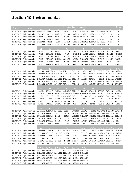| <b>Number</b>      | <b>Name</b>               | Αg                                | <b>As</b>                                                         | B.                                                | Ba                  | Chemical Composition(ug/g)<br>Be                                                                      |                                                 | Br                              | Cd                                                                                    | Ce              | <b>Unit Size</b><br>(in g)                                           |
|--------------------|---------------------------|-----------------------------------|-------------------------------------------------------------------|---------------------------------------------------|---------------------|-------------------------------------------------------------------------------------------------------|-------------------------------------------------|---------------------------------|---------------------------------------------------------------------------------------|-----------------|----------------------------------------------------------------------|
| <b>NCS ZC71014</b> | <b>Agricultural Soils</b> | $0.088 \pm 0.011$                 | $8.8 + 0.4$                                                       | $38.2 \pm 2.2$                                    | $592 + 21$          |                                                                                                       | $1.75 \pm 0.11$ 0.259 $\pm$ 0.014               | $5.2 \pm 0.4$                   | $0.238 \pm 0.015$                                                                     | $56.5 \pm 2.7$  | 50                                                                   |
| <b>NCS ZC71015</b> | <b>Agricultural Soils</b> | $5.4 \pm 0.5$                     | 398±19                                                            | $64.1 \pm 2.3$                                    | $713 + 19$          | $1.90 \pm 0.12$ $10.9 \pm 0.7$                                                                        |                                                 | $4.5 \pm 0.4$                   | $2.14 \pm 0.08$                                                                       | 70土4            | 50                                                                   |
| NCS ZC71016        | Agricultural Soils        | $0.46 \pm 0.05$                   | $13.8 \pm 0.9$                                                    | $29.8 \pm 2.3$                                    | $863 \pm 16$        |                                                                                                       | $1.99 \pm 0.09$ 0.559 $\pm$ 0.028               | $5.1 \pm 0.5$                   | $2.71 \pm 0.19$                                                                       | $73.8 \pm 2.8$  | 50                                                                   |
| <b>NCS ZC71017</b> | Agricultural Soils        | $0.162 \pm 0.014$                 | $6.2 + 0.3$                                                       | $26.2 \pm 2.2$                                    | 515±20              |                                                                                                       | 3.70±0.17 0.77±0.05 3.93±0.17 0.293±0.016       |                                 |                                                                                       | $135 + 8$       | 50                                                                   |
| NCS ZC71018        | <b>Agricultural Soils</b> | $1.61 \pm 0.18$                   | 349±24                                                            | 65±5                                              | $511 \pm 23$        |                                                                                                       | 2.12±0.13 3.29±0.21 2.83±0.19 2.58±0.12         |                                 |                                                                                       | 83±7            | 50                                                                   |
| <b>NCS ZC71019</b> | <b>Agricultural Soils</b> | $2.21 \pm 0.24$                   | $8.9 + 0.5$                                                       | $11.5 \pm 1.0$                                    | $521 \pm 29$        | $2.25 \pm 0.14$                                                                                       | $9.6 \pm 0.6$                                   | $2.1 \pm 0.3$                   | $0.636 \pm 0.027$                                                                     | $61 \pm 5$      | 50                                                                   |
|                    |                           |                                   |                                                                   |                                                   |                     |                                                                                                       |                                                 |                                 |                                                                                       |                 |                                                                      |
|                    |                           | Cl                                | Co                                                                | Cr                                                | Cu                  | D <sub>V</sub>                                                                                        | Er.                                             | Eu-                             | F                                                                                     | Ga              | Gd                                                                   |
| <b>NCS ZC71014</b> | <b>Agricultural Soils</b> | 91±7                              | $10.1 \pm 0.4$                                                    | $60.6 \pm 2.1$                                    | $21.7 \pm 0.9$      |                                                                                                       | 3.79±0.15 2.19±0.09 1.12±0.05                   |                                 | 450±29                                                                                | $14.2 \pm 0.9$  | $4.20 \pm 0.21$                                                      |
| NCS ZC71015        | <b>Agricultural Soils</b> | <b>74±6</b>                       | $15.0 \pm 0.9$                                                    | $65.3 \pm 2.5$                                    | 76土4                |                                                                                                       | $4.59 \pm 0.15$ 2.64 $\pm$ 0.10 1.36 $\pm$ 0.06 |                                 | $504 + 25$                                                                            | $15.5 \pm 1.1$  | $5.04 \pm 0.20$                                                      |
| <b>NCS ZC71016</b> | <b>Agricultural Soils</b> | 98±7                              | $12.5 \pm 0.5$                                                    | $60.0 \pm 2.3$                                    | 244±21              |                                                                                                       | 3.87±0.14 2.11±0.05 1.41±0.06                   |                                 | 757±59                                                                                | $16.0 \pm 0.9$  | $4.77 \pm 0.26$                                                      |
| <b>NCS ZC71017</b> | Agricultural Soils        | <b>74</b> ±7                      | $11.7 \pm 0.5$                                                    | $39.9 \pm 2.6$                                    | $56.3 \pm 2.8$      | $6.7 \pm 0.5$                                                                                         |                                                 | $3.68 \pm 0.23$ $1.69 \pm 0.10$ | 547±19                                                                                | $24.2 \pm 1.1$  | $7.8 + 0.6$                                                          |
| <b>NCS ZC71018</b> | Agricultural Soils        | 54土5                              | $16.1 \pm 0.6$                                                    | $215 \pm 12$                                      | 244±11              |                                                                                                       | 4.39±0.26 2.55±0.15 1.21±0.08                   |                                 | 441±22                                                                                | $15.8 \pm 0.7$  | $4.8 + 0.4$                                                          |
| <b>NCS ZC71019</b> | Agricultural Soils        | 52±3                              | $8.74 \pm 0.28$                                                   | $43.5 \pm 2.0$                                    | <b>74±4</b>         |                                                                                                       | $3.43 \pm 0.22$ $2.04 \pm 0.13$ $0.87 \pm 0.06$ |                                 | 440±21                                                                                |                 | 14.7±0.7 3.65±0.25                                                   |
|                    |                           | Ge                                | Hg                                                                | Ho                                                |                     | La                                                                                                    | H.                                              | Lu                              | Mn                                                                                    | <b>Mo</b>       | N(%)                                                                 |
| <b>NCS ZC71014</b> | <b>Agricultural Soils</b> |                                   | $1.22 \pm 0.12$ 0.052 $\pm$ 0.005 0.76 $\pm$ 0.04 2.72 $\pm$ 0.17 |                                                   |                     | $30.5 \pm 1.8$                                                                                        | 23.9±1.3                                        | $0.339 \pm 0.017$               | $503 + 17$                                                                            |                 | $0.54 \pm 0.04$ $0.107 \pm 0.005$                                    |
| <b>NCS ZC71015</b> | <b>Agricultural Soils</b> |                                   | $1.40 \pm 0.10$ $0.101 \pm 0.009$ $0.92 \pm 0.04$ $2.38 \pm 0.10$ |                                                   |                     | $36.5 \pm 1.9$                                                                                        | $33.3 \pm 1.7$                                  | $0.406 \pm 0.017$               | $0.104* \pm 0.004*$                                                                   |                 | $1.30 \pm 0.12$ 0.126 $\pm$ 0.006                                    |
| <b>NCS ZC71016</b> | <b>Agricultural Soils</b> | $1.27 \pm 0.09$                   |                                                                   | $0.061 \pm 0.007$ $0.76 \pm 0.04$ $2.73 \pm 0.18$ |                     | 39.5±1.8                                                                                              | 23.7±1.1                                        | $0.314 \pm 0.017$               | 864±20                                                                                |                 | $2.53 \pm 0.08$ 0.243 $\pm$ 0.008                                    |
| <b>NCS ZC71017</b> | <b>Agricultural Soils</b> |                                   | $1.40 \pm 0.07$ 0.157 $\pm$ 0.014 1.26 $\pm$ 0.12 1.79 $\pm$ 0.12 |                                                   |                     | $69.8 \pm 2.9$                                                                                        | $25.1 \pm 1.3$                                  | $0.57 \pm 0.04$                 | 498±18                                                                                |                 | $2.49 \pm 0.12$ 0.170 $\pm$ 0.006                                    |
| <b>NCS ZC71018</b> | Agricultural Soils        |                                   | $1.69 \pm 0.08$ 0.231 $\pm$ 0.022 0.90 $\pm$ 0.06 1.96 $\pm$ 0.10 |                                                   |                     | 46土4                                                                                                  | $43.3 \pm 1.7$                                  | $0.396 \pm 0.023$               | 417±19                                                                                |                 | $2.67 \pm 0.10$ 0.149 $\pm$ 0.006                                    |
| <b>NCS ZC71019</b> | <b>Agricultural Soils</b> |                                   | $2.09 \pm 0.10$ 0.085 $\pm$ 0.010 0.70 $\pm$ 0.05 2.86 $\pm$ 0.12 |                                                   |                     | $32.7 \pm 1.9$                                                                                        | $21.6 \pm 1.3$                                  |                                 | $0.340 \pm 0.023$ $0.297 \pm 0.010$ *                                                 | $7.3 + 0.3$     | 693**±22**                                                           |
|                    |                           |                                   |                                                                   |                                                   |                     |                                                                                                       |                                                 |                                 |                                                                                       |                 |                                                                      |
|                    |                           | <b>Nb</b>                         | Nd                                                                | Ni.                                               | P.                  | <b>Pb</b>                                                                                             | Pr.                                             | Rb                              | S.                                                                                    | <b>Sb</b>       | Sc                                                                   |
| <b>NCS ZC71014</b> | Agricultural Soils        | $10.9 + 0.6$                      | $26.1 \pm 1.3$                                                    | 23.9±0.9                                          | $0.105* \pm 0.004*$ | $23.2 \pm 1.2$                                                                                        | $7.0 + 0.3$                                     | 85.6±1.7                        | 238±37                                                                                | $0.69 + 0.04$   | $9.4 + 0.5$                                                          |
| <b>NCS ZC71015</b> | <b>Agricultural Soils</b> | $16.5 \pm 0.6$                    | $32.0 \pm 1.1$                                                    | $29.9 \pm 1.0$                                    | $0.110* \pm 0.004*$ | $0.105* \pm 0.004*$                                                                                   | $8.46 \pm 0.23$                                 | $98.1 \pm 2.3$                  | 470±31                                                                                | $6.3 \pm 0.4$   | $10.8 + 0.7$                                                         |
| <b>NCS ZC71016</b> | <b>Agricultural Soils</b> | $13.1 \pm 0.9$                    | $33.3 \pm 1.3$                                                    | $22.8 \pm 1.4$                                    | $0.339* \pm 0.008*$ | $50.9 \pm 1.2$                                                                                        | $8.9 + 0.4$                                     | $85.1 \pm 1.4$                  | 644±65                                                                                | $0.84 \pm 0.04$ | $9.7 + 0.6$                                                          |
| <b>NCS ZC71017</b> | <b>Agricultural Soils</b> | $24.2 \pm 1.0$                    | $53\pm4$                                                          | $17.2 \pm 0.9$                                    | $0.125* \pm 0.007*$ | 60±4                                                                                                  | 14.9±1.7                                        | 154±11                          | 308±23                                                                                | $0.72 \pm 0.06$ | $12.2 \pm 0.6$                                                       |
| <b>NCS ZC71018</b> | <b>Agricultural Soils</b> | $18.9 \pm 0.9$                    | $33.3 \pm 2.2$                                                    | $90.6 \pm 2.6$                                    | 607±14              | $166 \pm 11$                                                                                          | $9.3 \pm 1.2$                                   | 99±5                            | $281 \pm 16$                                                                          | $7.8 + 0.7$     | $11.5 \pm 0.5$                                                       |
| <b>NCS ZC71019</b> | Agricultural Soils        | $19.4 \pm 1.1$                    | $24.5 \pm 1.7$                                                    | $10.9 \pm 0.8$                                    | 430±17              | 467±21                                                                                                | $6.9 + 0.9$                                     | $127 + 5$                       | 468土49                                                                                | $0.59 + 0.07$   | $7.2 + 0.4$                                                          |
|                    |                           | Se                                | Sm                                                                | Sn                                                | Sr.                 | <b>T<sub>b</sub></b>                                                                                  | Th.                                             | TI                              | Tm                                                                                    |                 | $\mathsf{V}$                                                         |
| <b>NCS ZC71014</b> | <b>Agricultural Soils</b> |                                   | $0.259 \pm 0.016$ 4.92 $\pm 0.19$ 2.63 $\pm 0.19$                 |                                                   | $262 + 7$           | $0.667 \pm 0.025$                                                                                     | $8.1 \pm 0.5$                                   |                                 | $0.558 \pm 0.013$ $0.337 \pm 0.011$ $1.46 \pm 0.08$                                   |                 | $66.4 \pm 1.4$                                                       |
| <b>NCS ZC71015</b> | <b>Agricultural Soils</b> |                                   | $0.62 \pm 0.08$ 5.92 $\pm$ 0.19 2.95 $\pm$ 0.15                   |                                                   | $163 + 11$          | $0.81 \pm 0.05$                                                                                       | $9.9 + 0.7$                                     |                                 | $0.598 \pm 0.016$ $0.408 \pm 0.016$ $2.07 \pm 0.10$                                   |                 | 88±4                                                                 |
| <b>NCS ZC71016</b> | <b>Agricultural Soils</b> | $0.495 \pm 0.029$ 5.78 $\pm$ 0.19 |                                                                   | $2.3 \pm 0.4$                                     | 304土9               |                                                                                                       |                                                 |                                 | $0.710 \pm 0.023$ $7.52 \pm 0.27$ $0.699 \pm 0.018$ $0.321 \pm 0.018$ $1.93 \pm 0.13$ |                 | $76.1 \pm 2.0$                                                       |
| <b>NCS ZC71017</b> | Agricultural Soils        | $0.45 \pm 0.04$                   | $9.4 \pm 0.5$                                                     | $9.1 \pm 0.6$                                     | 80±4                | $1.22 \pm 0.09$                                                                                       |                                                 |                                 | 36.7±1.5 1.25±0.06 0.54±0.05                                                          | $10.1\pm0.5$    | $100\pm5$                                                            |
| <b>NCS ZC71018</b> | <b>Agricultural Soils</b> | $1.19 \pm 0.08$ 5.88 $\pm$ 0.28   |                                                                   | $5.6 \pm 0.4$                                     | 79±5                | $0.76 \pm 0.05$                                                                                       |                                                 |                                 | 15.7±0.7 0.83±0.05 0.394±0.027 4.27±0.18                                              |                 | 96±5                                                                 |
| <b>NCS ZC71019</b> | <b>Agricultural Soils</b> | $2.02 \pm 0.21$                   | 4.5 $\pm$ 0.4                                                     | $20.3 \pm 1.5$                                    | 74 <sup>±4</sup>    |                                                                                                       |                                                 |                                 | $0.60 \pm 0.08$ 13.9 $\pm$ 0.7 1.06 $\pm$ 0.05 0.326 $\pm$ 0.022 3.14 $\pm$ 0.17      |                 | 55土3                                                                 |
|                    |                           |                                   |                                                                   |                                                   |                     |                                                                                                       |                                                 |                                 |                                                                                       |                 |                                                                      |
|                    |                           | W.                                | $Y -$                                                             | Yb                                                | Zn                  | Zr                                                                                                    |                                                 |                                 |                                                                                       |                 | F (water soluble) $SiO_2$ (%) $Al_2O_3$ (%) $TFe_2O_3$ (%) $MgO$ (%) |
| <b>NCS ZC71014</b> | Agricultural Soils        |                                   | $1.39 \pm 0.12$ $20.4 \pm 1.1$ $2.17 \pm 0.09$                    |                                                   | $64.4 \pm 2.0$      | 246±10                                                                                                | $7.2 + 1.0$                                     |                                 |                                                                                       |                 | 67.41±0.26 11.77±0.10 3.68±0.07 1.85±0.08                            |
| <b>NCS ZC71015</b> | <b>Agricultural Soils</b> |                                   | 3.25 $\pm$ 0.14 23.9 $\pm$ 1.3 2.61 $\pm$ 0.08                    |                                                   | $269 + 8$           | 296±13                                                                                                | $8.7 + 1.0$                                     |                                 |                                                                                       |                 | 67.4 ± 0.4 11.94 ± 0.11 6.37 ± 0.15 1.53 ± 0.07                      |
| <b>NCS ZC71016</b> | Agricultural Soils        |                                   | $2.57 \pm 0.12$ $20.1 \pm 0.8$ $2.05 \pm 0.07$                    |                                                   | $302 + 9$           | 247±14                                                                                                | $3.3 \pm 0.7$                                   |                                 |                                                                                       |                 | 59.7±0.4 12.57±0.26 4.78±0.12 3.76±0.13                              |
| <b>NCS ZC71017</b> | Agricultural Soils        | 3.92±0.22 34.5±2.1                |                                                                   | $3.6 + 0.6$                                       | $133 \pm 8$         | 304±18                                                                                                | $5.1 \pm 0.7$                                   |                                 |                                                                                       |                 | 61.8 ± 0.4  18.52 ± 0.15  4.74 ± 0.11  0.609 ± 0.027                 |
| <b>NCS ZC71018</b> | Agricultural Soils        | $6.7 + 0.5$                       | $22.4 \pm 1.9$                                                    | $2.5 \pm 0.5$                                     | $261 \pm 12$        | 276±15                                                                                                | $2.2 \pm 0.5$                                   |                                 |                                                                                       |                 | 69.52±0.26 12.34±0.14 5.98±0.14 1.34±0.04                            |
| <b>NCS ZC71019</b> | Agricultural Soils        | $8.7 + 0.8$                       | $17.8 \pm 1.3$                                                    | $2.2 \pm 0.4$                                     | 224±12              | 287±20                                                                                                | $3.9 + 0.5$                                     |                                 |                                                                                       |                 | 72.28±0.24 10.52±0.13 6.54±0.20 0.697±0.022                          |
|                    |                           |                                   | CaO $(\%)$ Na <sub>2</sub> O $(\%)$ K <sub>2</sub> O $(\%)$       |                                                   | TC(%)               | Corg (%)                                                                                              | Ti (%)                                          |                                 |                                                                                       |                 |                                                                      |
| NCS ZC71014        | Agricultural Soils        |                                   |                                                                   |                                                   |                     | $3.65 \pm 0.10$ $2.17 \pm 0.07$ $2.39 \pm 0.10$ $1.56 \pm 0.11$ $1.04 \pm 0.04$ $0.330 \pm 0.012$     |                                                 |                                 |                                                                                       |                 |                                                                      |
| <b>NCS ZC71015</b> | <b>Agricultural Soils</b> |                                   |                                                                   |                                                   |                     | $1.22 \pm 0.06$ $1.52 \pm 0.07$ $3.17 \pm 0.07$ $1.23 \pm 0.06$ $1.18 \pm 0.05$ $0.495 \pm 0.015$     |                                                 |                                 |                                                                                       |                 |                                                                      |
| <b>NCS ZC71016</b> | Agricultural Soils        |                                   |                                                                   |                                                   |                     | 3.73±0.10 2.21±0.09 2.74±0.09 2.66±0.10 2.23±0.10 0.397±0.018                                         |                                                 |                                 |                                                                                       |                 |                                                                      |
| <b>NCS ZC71017</b> | Agricultural Soils        |                                   |                                                                   |                                                   |                     | $0.376 \pm 0.019$ $0.605 \pm 0.028$ $2.65 \pm 0.06$ $1.61 \pm 0.05$ $0.91 \pm 0.04$ $0.536 \pm 0.022$ |                                                 |                                 |                                                                                       |                 |                                                                      |
| <b>NCS ZC71018</b> | Agricultural Soils        |                                   |                                                                   |                                                   |                     | $0.414 \pm 0.023$ $0.470 \pm 0.017$ $1.79 \pm 0.06$ $1.44 \pm 0.05$ $0.79 \pm 0.04$ $0.492 \pm 0.026$ |                                                 |                                 |                                                                                       |                 |                                                                      |
| <b>NCS ZC71019</b> | <b>Agricultural Soils</b> |                                   |                                                                   |                                                   |                     | $1.51 \pm 0.05$ 0.428 $\pm$ 0.014 2.46 $\pm$ 0.07 0.84 $\pm$ 0.04 0.468 $\pm$ 0.024 0.306 $\pm$ 0.013 |                                                 |                                 |                                                                                       |                 |                                                                      |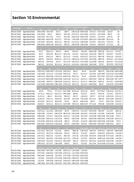| <b>Number</b>      | Name                      | Ag                                | As                                                | B.                                                                  | Ba                  | Chemical Composition(ug/g)<br>Be | Bî                                                                                                      | Br                              | Cd                                                  | Ce:                                                                     | <b>Unit Size</b><br>(in g)        |
|--------------------|---------------------------|-----------------------------------|---------------------------------------------------|---------------------------------------------------------------------|---------------------|----------------------------------|---------------------------------------------------------------------------------------------------------|---------------------------------|-----------------------------------------------------|-------------------------------------------------------------------------|-----------------------------------|
| <b>NCS ZC71020</b> | <b>Agricultural Soils</b> | $0.093 \pm 0.008$                 | $14.9 \pm 0.8$                                    | 63±7                                                                | 184土7               |                                  | $3.40 \pm 0.18$ 0.483 $\pm$ 0.025                                                                       | $4.6 \pm 0.3$                   | $0.57 \pm 0.03$                                     | 116 <sup>±</sup> 8                                                      | 50                                |
| <b>NCS ZC71021</b> | <b>Agricultural Soils</b> | $0.155 \pm 0.024$                 | 83±6                                              | $106 + 8$                                                           | $531 \pm 20$        |                                  | $2.57 \pm 0.17$ 0.611 $\pm$ 0.028                                                                       | $4.2 \pm 0.4$                   | $1.47 \pm 0.06$                                     | 98 <sub>±5</sub>                                                        | 50                                |
| <b>NCS ZC71022</b> | Agricultural Soils        | $0.16 \pm 0.02$                   | $55.7 \pm 2.4$                                    | 77±6                                                                | 471±20              |                                  | $3.83 \pm 0.25$ 0.85 $\pm$ 0.04                                                                         | $4.0 \pm 0.5$                   | $12.1 \pm 0.4$                                      | 107±6                                                                   | 50                                |
| <b>NCS ZC71023</b> | Agricultural Soils        | $0.094 \pm 0.005$ 4.45 $\pm$ 0.28 |                                                   | $23.3 \pm 1.1$                                                      | 733±18              |                                  | $1.78 \pm 0.06$ 0.173 $\pm$ 0.007 2.86 $\pm$ 0.13 0.130 $\pm$ 0.007                                     |                                 |                                                     | $59.3 \pm 2.9$                                                          | 50                                |
| <b>NCS ZC71024</b> | <b>Agricultural Soils</b> | $1.07 + 0.07$                     | $30.0 \pm 0.6$                                    | 44.6±1.8                                                            | 783±22              |                                  | $2.11 \pm 0.12$ $2.38 \pm 0.08$                                                                         | $9.0 + 0.4$                     | $26.2 \pm 0.9$                                      | 77.8 ± 2.4                                                              | 50                                |
| <b>NCS ZC71025</b> | <b>Agricultural Soils</b> | $0.399 \pm 0.022$ $9.88 \pm 0.28$ |                                                   | 34.9±2.0                                                            | 765±17              |                                  | $2.09 \pm 0.08$ 1.06 $\pm$ 0.04                                                                         | $5.5 \pm 0.4$                   | $1.99 \pm 0.07$                                     | $71.7 \pm 2.1$                                                          | 50                                |
|                    |                           |                                   |                                                   |                                                                     |                     |                                  |                                                                                                         |                                 |                                                     |                                                                         |                                   |
|                    |                           | <b>Cl</b>                         | Co                                                | Cr                                                                  | <b>Cu</b>           | <b>Dv</b>                        | Er.                                                                                                     | Eu.                             | F                                                   | Ga                                                                      | Gd                                |
| <b>NCS ZC71020</b> | Agricultural Soils        | 51±7                              | $32.8 \pm 1.2$                                    | $152 + 6$                                                           | 98±5                | $8.8 + 0.7$                      | $4.6 + 0.4$                                                                                             | $2.80 \pm 0.20$                 | 878±62                                              | $23.1 \pm 1.1$                                                          | $9.7 + 0.7$                       |
| <b>NCS ZC71021</b> | <b>Agricultural Soils</b> | $52+7$                            | $19.9 \pm 0.9$                                    | $86.1 \pm 2.7$                                                      | $32.6 \pm 2.0$      | $5.4 \pm 0.5$                    |                                                                                                         | $3.22 \pm 0.25$ 1.25 $\pm$ 0.10 | $960 \pm 76$                                        | $19.3 \pm 0.7$                                                          | $5.4 \pm 0.4$                     |
| <b>NCS ZC71022</b> | <b>Agricultural Soils</b> | $42 \pm 8$                        | $23.9 \pm 1.0$                                    | $106 + 4$                                                           | $52.2 \pm 2.6$      | $7.6 \pm 0.6$                    | $4.23 \pm 0.27$ $1.87 \pm 0.13$                                                                         |                                 | 883±56                                              | $25.8 \pm 1.0$                                                          | $8.0 + 0.6$                       |
| NCS ZC71023        | <b>Agricultural Soils</b> | 104 <sup>±</sup> 6                | $13.8 \pm 0.6$                                    | $82.8 \pm 2.2$                                                      | $25.2 \pm 1.6$      |                                  | $3.48 \pm 0.14$ $1.97 \pm 0.10$ $1.24 \pm 0.05$                                                         |                                 | 485±25                                              | $16.9 \pm 0.7$                                                          | $4.11 \pm 0.22$                   |
| <b>NCS ZC71024</b> | Agricultural Soils        | $410 + 32$                        | $13.4 \pm 0.4$                                    | $61\pm4$                                                            | $63.1 \pm 1.9$      |                                  | $4.42 \pm 0.12$ 2.57 $\pm$ 0.08 1.32 $\pm$ 0.06                                                         |                                 | $503 \pm 16$                                        | $16.6 \pm 0.7$                                                          | $5.11 \pm 0.22$                   |
| NCS ZC71025        | <b>Agricultural Soils</b> | $140 + 12$                        | $16.3 \pm 0.4$                                    | $95.2 \pm 2.3$                                                      | $54.2 \pm 2.0$      |                                  | $4.33 \pm 0.14$ 2.44 $\pm$ 0.06 1.40 $\pm$ 0.04                                                         |                                 | $521 \pm 18$                                        | $18.0 \pm 0.8$                                                          | $5.01 \pm 0.10$                   |
|                    |                           | Ge                                | Hg                                                | Ho                                                                  |                     | La                               | Li.                                                                                                     | Lu.                             | Mn                                                  | <b>Mo</b>                                                               | N(%)                              |
| <b>NCS ZC71020</b> | <b>Agricultural Soils</b> |                                   |                                                   | $1.59 \pm 0.12$ 0.249 $\pm$ 0.019 1.72 $\pm$ 0.16 1.85 $\pm$ 0.12   |                     | 60±4                             | 56土4                                                                                                    | $0.61 \pm 0.06$                 | $560 + 23$                                          |                                                                         | $3.62 \pm 0.28$ 0.268 $\pm$ 0.009 |
| <b>NCS ZC71021</b> | <b>Agricultural Soils</b> | $1.62 \pm 0.08$                   | 12.2±1.0                                          | $1.13 \pm 0.09$ $1.96 \pm 0.11$                                     |                     | 45±4                             | $52.1 \pm 2.7$                                                                                          | $0.51 \pm 0.05$                 |                                                     | $0.120* \pm 0.005*$ 2.37 $\pm 0.19$ 0.211 $\pm 0.004$                   |                                   |
| <b>NCS ZC71022</b> | <b>Agricultural Soils</b> |                                   |                                                   | $1.89 \pm 0.13$ 0.395 $\pm$ 0.020 1.53 $\pm$ 0.12 4.85 $\pm$ 0.18   |                     | $55.6 \pm 2.5$                   | 67 <sub>±4</sub>                                                                                        | $0.64 \pm 0.06$                 |                                                     | $0.675* \pm 0.021*$ 2.87 $\pm$ 0.27 0.158 $\pm$ 0.005                   |                                   |
| <b>NCS ZC71023</b> | Agricultural Soils        |                                   |                                                   | $1.21 \pm 0.14$ 0.029 $\pm$ 0.004 0.692 $\pm$ 0.028 1.63 $\pm$ 0.10 |                     | $31.1 \pm 1.4$                   | $21.8 \pm 1.3$                                                                                          | $0.305 \pm 0.014$               | 594±16                                              |                                                                         | $0.69 \pm 0.04$ 623** $\pm$ 29**  |
| <b>NCS ZC71024</b> | <b>Agricultural Soils</b> | $1.54 \pm 0.06$                   | $4.64 \pm 0.27$                                   | $0.88 \pm 0.04$ 2.54 $\pm$ 0.11                                     |                     | $41.5 \pm 1.3$                   | $35.1 \pm 1.7$                                                                                          | $0.404 \pm 0.017$               | $820 \pm 21$                                        | $14.1\pm0.7$                                                            | $0.129 \pm 0.004$                 |
| <b>NCS ZC71025</b> | <b>Agricultural Soils</b> |                                   |                                                   | $1.27 \pm 0.06$ 0.309 $\pm$ 0.018 0.86 $\pm$ 0.04 2.59 $\pm$ 0.13   |                     | $38.2 \pm 1.9$                   | $31.9 \pm 1.0$                                                                                          | $0.364 \pm 0.022$               | 848±16                                              |                                                                         | 1.35±0.07 0.170±0.007             |
|                    |                           |                                   | <b>Nd</b>                                         | Ni.                                                                 | P                   |                                  |                                                                                                         |                                 | S                                                   |                                                                         |                                   |
|                    |                           | <b>Nb</b>                         | 57 <sub>±4</sub>                                  |                                                                     |                     | P <sub>b</sub>                   | Pr.                                                                                                     | Rb<br>55±4                      |                                                     | Sb                                                                      | Sc                                |
| <b>NCS ZC71020</b> | <b>Agricultural Soils</b> | $52\pm8$<br>$19.7 \pm 1.2$        |                                                   | 77.7±2.1                                                            | $0.141* \pm 0.005*$ | $26.3 \pm 2.0$                   | $14.3 \pm 1.0$                                                                                          |                                 |                                                     | $0.117* \pm 0.011*$ 1.36 $\pm 0.12$<br>$6.3 + 0.5$                      | $22.2 \pm 0.7$<br>$13.4 \pm 0.7$  |
| <b>NCS ZC71021</b> | <b>Agricultural Soils</b> |                                   | 34.8±2.7                                          | $38.1 \pm 1.6$                                                      | $0.106* \pm 0.005*$ | 248±8                            | $9.5 \pm 0.7$                                                                                           | $131 + 8$                       | 437±24                                              |                                                                         |                                   |
| <b>NCS ZC71022</b> | Agricultural Soils        | $21.3 \pm 1.6$                    | 48 <sup>±4</sup>                                  | $56.1 \pm 2.6$                                                      | 704±15              | $215 + 7$                        | $12.8 \pm 0.9$                                                                                          | 147±7                           | 327±16                                              | $2.29 \pm 0.15$                                                         | $17.8 \pm 1.2$                    |
| <b>NCS ZC71023</b> | <b>Agricultural Soils</b> | $11.8 \pm 0.4$                    | $27.8 \pm 1.1$                                    | $29.9 \pm 0.9$                                                      | $811 + 20$          | $19.7 \pm 0.8$                   | $7.33 \pm 0.20$                                                                                         | $87.1 \pm 2.1$                  | $160 + 25$                                          | $0.41 \pm 0.04$                                                         | $10.8 + 0.4$                      |
| <b>NCS ZC71024</b> | <b>Agricultural Soils</b> | $14.3 \pm 0.5$                    | $34.3 \pm 1.1$                                    | $26.8 \pm 0.8$                                                      | $613 \pm 18$        | $182 + 5$                        | $9.66 \pm 0.26$                                                                                         | 99±4<br>$97.7 \pm 2.6$          | 677±25                                              | $2.87 \pm 0.14$                                                         | $9.8 \pm 0.5$                     |
| <b>NCS ZC71025</b> | Agricultural Soils        | $13.8 \pm 0.7$                    | $33.4 \pm 1.2$                                    | $38.3 \pm 1.4$                                                      | $0.152* \pm 0.005*$ | $53.9 \pm 1.6$                   | $8.85 \pm 0.27$                                                                                         |                                 | 379±28                                              | $1.95 \pm 0.06$                                                         | $11.9 \pm 0.5$                    |
|                    |                           | Se                                | Sm                                                | Sn                                                                  | <b>Sr</b>           | Tb.                              | Th.                                                                                                     | Ш                               | <b>Tm</b>                                           | U                                                                       | V                                 |
| <b>NCS ZC71020</b> | <b>Agricultural Soils</b> | $1.42 \pm 0.11$                   | $11.1 \pm 0.8$                                    | $3.60 \pm 0.20$                                                     | 96±4                | $1.58 \pm 0.11$                  | $11.5 \pm 0.5$                                                                                          | $0.43 \pm 0.04$                 | $0.68 + 0.07$                                       | $6.1 \pm 0.3$                                                           | 289±14                            |
| <b>NCS ZC71021</b> | <b>Agricultural Soils</b> | $0.659 \pm 0.029$                 | $6.4 + 0.5$                                       | 3.94±0.24                                                           | $80.3 \pm 2.8$      | $0.92 \pm 0.08$                  | $18.5 \pm 0.9$                                                                                          | $1.42 \pm 0.08$                 | $0.51 \pm 0.04$                                     | $4.74 \pm 0.20$                                                         | $112\pm6$                         |
| <b>NCS ZC71022</b> | <b>Agricultural Soils</b> | $0.598 \pm 0.026$                 | $9.3 \pm 0.7$                                     | $4.62 \pm 0.26$                                                     | $42.2 \pm 1.7$      | $1.31 \pm 0.09$                  | $19.7 \pm 0.9$                                                                                          |                                 | $1.15 \pm 0.09$ 0.66 $\pm$ 0.06 5.91 $\pm$ 0.28     |                                                                         | 175±7                             |
| <b>NCS ZC71023</b> | Agricultural Soils        | $0.143 \pm 0.020$                 | $5.06 \pm 0.13$ 2.22 $\pm$ 0.10                   |                                                                     | $343 + 8$           | $0.632 \pm 0.026$                | $8.0 \pm 0.5$                                                                                           |                                 | $0.528 \pm 0.020$ $0.306 \pm 0.015$ $1.49 \pm 0.06$ |                                                                         | $81.4 \pm 2.3$                    |
| <b>NCS ZC71024</b> | <b>Agricultural Soils</b> |                                   | $0.75 \pm 0.04$ 6.06 $\pm$ 0.15 4.53 $\pm$ 0.28   |                                                                     | $196 + 4$           | $0.79 \pm 0.04$                  | $11.4 \pm 0.5$                                                                                          |                                 | $0.865 \pm 0.019$ $0.395 \pm 0.016$ $2.26 \pm 0.06$ |                                                                         | <b>79±4</b>                       |
| NCS ZC71025        | <b>Agricultural Soils</b> |                                   | $0.451 \pm 0.022$ 6.03 $\pm$ 0.15 5.22 $\pm$ 0.16 |                                                                     | 267土6               | $0.781 \pm 0.019$                | $9.8 + 0.5$                                                                                             |                                 | $0.625 \pm 0.019$ $0.367 \pm 0.017$ $2.06 \pm 0.11$ |                                                                         | $91 \pm 4$                        |
|                    |                           | W                                 | Y.                                                | Yb                                                                  | Zn                  | Zr                               | F (water soluble) $SiO2$ (%)                                                                            |                                 |                                                     | $\text{Al}_2\text{O}_3$ (%) TFe <sub>2</sub> O <sub>3</sub> (%) MgO (%) |                                   |
| <b>NCS ZC71020</b> | Agricultural Soils        | $1.51 \pm 0.12$                   | $45.2 \pm 2.9$                                    | $4.2 + 0.4$                                                         | 185±4               | 369±20                           | $2.29 \pm 0.25$                                                                                         | $53.61 \pm 0.4$                 | $14.34 \pm 0.23$                                    | $12.09 \pm 0.23$                                                        | $0.906 \pm 0.016$                 |
| <b>NCS ZC71021</b> | Agricultural Soils        | $2.37 \pm 0.17$                   | $29.3 \pm 1.8$                                    | $3.26 \pm 0.26$                                                     | $201 \pm 6$         | 278±12                           | $2.3 + 0.4$                                                                                             | $63.8 \pm 0.4$                  |                                                     | 14.26±0.25 6.59±0.16                                                    | $1.12 \pm 0.04$                   |
| <b>NCS ZC71022</b> | Agricultural Soils        | $2.87 \pm 0.17$ 40.8 ± 2.5        |                                                   | $4.2 \pm 0.4$                                                       | 941±34              | 277±16                           | $1.91 \pm 0.29$                                                                                         |                                 | 55.9±0.4 17.68±0.28 9.77±0.10                       |                                                                         | $1.09 + 0.04$                     |
| <b>NCS ZC71023</b> | Agricultural Soils        | $1.02 \pm 0.07$ $18.0 \pm 0.5$    |                                                   | $1.93 \pm 0.06$                                                     | $62.7 \pm 1.9$      | 278±10                           | $6.1 \pm 0.9$                                                                                           |                                 | 66.9±0.4 14.08±0.18 4.81±0.08                       |                                                                         | $1.54 \pm 0.03$                   |
| <b>NCS ZC71024</b> | Agricultural Soils        | $3.28 \pm 0.20$                   | $23.3 \pm 0.6$                                    | $2.54 \pm 0.11$ $0.100* \pm 0.003*$                                 |                     | $335 \pm 6$                      | $10.9 + 1.6$                                                                                            |                                 | 66.9±0.5 13.26±0.04 4.42±0.08                       |                                                                         | $1.29 \pm 0.04$                   |
| <b>NCS ZC71025</b> | Agricultural Soils        |                                   | $2.06 \pm 0.12$ $22.7 \pm 0.7$ $2.36 \pm 0.09$    |                                                                     | 159±5               | 219±3                            | $6.2 + 0.5$                                                                                             |                                 | 63.1±0.4 14.15±0.08 5.37±0.10                       |                                                                         | $1.76 \pm 0.04$                   |
|                    |                           |                                   |                                                   |                                                                     |                     |                                  |                                                                                                         |                                 |                                                     |                                                                         |                                   |
|                    |                           |                                   | $CaO(%)$ Na <sub>2</sub> O (%)                    | K <sub>2</sub> O (%)                                                | TC(%)               | Corg (%)                         | Ti (%)                                                                                                  |                                 |                                                     |                                                                         |                                   |
| <b>NCS ZC71020</b> | <b>Agricultural Soils</b> |                                   | $0.541 \pm 0.016$ $0.187 \pm 0.010$               | $1.61 \pm 0.06$                                                     |                     | $3.85 \pm 0.13$ 2.10 $\pm$ 0.08  | $1.78 \pm 0.05$                                                                                         |                                 |                                                     |                                                                         |                                   |
| <b>NCS ZC71021</b> | <b>Agricultural Soils</b> |                                   |                                                   |                                                                     |                     |                                  | $0.377 \pm 0.017$ $0.168 \pm 0.012$ $3.25 \pm 0.09$ $2.02 \pm 0.11$ $1.12 \pm 0.04$ $0.570 \pm 0.011$   |                                 |                                                     |                                                                         |                                   |
| <b>NCS ZC71022</b> | Agricultural Soils        |                                   |                                                   |                                                                     |                     |                                  | $0.483 \pm 0.021$ $0.146 \pm 0.016$ $2.25 \pm 0.06$ $1.37 \pm 0.06$ $0.710 \pm 0.022$ $0.618 \pm 0.015$ |                                 |                                                     |                                                                         |                                   |
| <b>NCS ZC71023</b> | Agricultural Soils        | $2.15 \pm 0.04$                   |                                                   |                                                                     |                     |                                  | 3.216±0.010 2.57±0.04 0.66±0.04 0.368±0.017 0.372±0.010                                                 |                                 |                                                     |                                                                         |                                   |
| NCS ZC71024        | Agricultural Soils        | $1.67 \pm 0.05$                   |                                                   |                                                                     |                     |                                  | $1.99 \pm 0.05$ $2.66 \pm 0.07$ $1.60 \pm 0.07$ $0.84 \pm 0.04$ $0.431 \pm 0.008$                       |                                 |                                                     |                                                                         |                                   |
| <b>NCS ZC71025</b> | <b>Agricultural Soils</b> |                                   |                                                   |                                                                     |                     |                                  | $1.98 \pm 0.04$ $2.47 \pm 0.08$ $2.45 \pm 0.07$ $1.81 \pm 0.05$ $0.995 \pm 0.027$ $0.435 \pm 0.007$     |                                 |                                                     |                                                                         |                                   |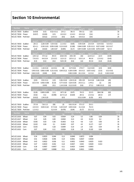| <b>Number</b>                              | Name              | $Ag(10^{-6})$             | Al $(10^{-2})$                                    | $As(10^{-6})$                                     | $B(10^{-6})$           | <b>Chemical Composition</b><br>$Ba(10^{-6})$ | $Be(10^{-9})$              | $Bi(10^{-9})$                                       |                                   |                   | <b>Unit Size</b><br>(in g) |
|--------------------------------------------|-------------------|---------------------------|---------------------------------------------------|---------------------------------------------------|------------------------|----------------------------------------------|----------------------------|-----------------------------------------------------|-----------------------------------|-------------------|----------------------------|
| <b>NCS ZC 73033</b>                        | Scallion          | (0.014)                   | (0.3)                                             | $0.52 \pm 0.11$                                   | 25±2                   | 36 <sub>±5</sub>                             | $59 + 11$                  | (13)                                                |                                   |                   | 35                         |
| <b>NCS ZC 73034</b>                        | Prawn             | (0.017)                   | (0.029)                                           | (2.5)                                             | $2.0 \pm 0.3$          | $2.3 + 0.3$                                  | $4.9 + 0.8$                | (5.4)                                               |                                   |                   | 12                         |
| <b>NCS ZC 73035</b>                        | Pork liver        |                           | (0.012)                                           | $1.4 + 0.3$                                       | (0.6)                  | (0.24)                                       | $0.9 + 0.3$                | (0.9)                                               |                                   |                   | 25                         |
|                                            |                   |                           |                                                   |                                                   |                        |                                              |                            |                                                     |                                   |                   |                            |
|                                            |                   | $Br(10^6)$                | $Ca(10^{-2})$                                     | $Cd(10^{-6})$                                     | $Ce(10^{-6})$          | $Cl(10^{-2})$                                | $Co(10^{-6})$              | $Cr(10^{-6})$                                       | $Cs(10^{6})$                      | $Cu(10^{-6})$     |                            |
| <b>NCS ZC 73033</b>                        | Scallion          | $20 \pm 2$                | $2.28 \pm 0.09$                                   | $0.19 \pm 0.02$                                   | $2.1 \pm 0.3$          | (0.85)                                       | $0.59 \pm 0.04$            | $2.6 \pm 0.4$                                       | $0.19 \pm 0.02$                   | $5.5 \pm 0.3$     |                            |
| <b>NCS ZC 73034</b>                        | Prawn             | $8.5 + 1.1$               |                                                   | $0.30 \pm 0.01$ $0.039 \pm 0.002$ $0.13 \pm 0.03$ |                        | (0.189)                                      |                            | $0.044 \pm 0.005$ $0.35 \pm 0.11$ $0.027 \pm 0.002$ |                                   | $10.3 \pm 0.7$    |                            |
| <b>NCS ZC 73035</b>                        | Pork liver        | (2.8)                     | (0.023)                                           | $1.00 + 0.07$                                     | (0.005)                | (0.17)                                       | $0.057 \pm 0.004$          |                                                     | $0.23 \pm 0.06$ 0.070 $\pm$ 0.007 | $52 \pm 3$        |                            |
|                                            |                   | $Dy(10^{-9})$             | $Er(10^{-9})$                                     | $Eu(10^{-9})$                                     | $Fe(10^{-6})$          | $Gd(10^{-9})$                                | $Ge(10^{-9})$              | $Hg(10^{-9})$                                       | $Ho(10^{9})$                      | $1(10^{-6})$      |                            |
| <b>NCS ZC 73033</b>                        | Scallion          | $119 + 12$                | $57 + 12$                                         | 39±4                                              | 1010±55                | $155 + 34$                                   | (32)                       | $12.0 \pm 2.3$                                      | 22±4                              | (0.44)            |                            |
| <b>NCS ZC 73034</b>                        | Prawn             | $7.9 + 0.5$               | $4.4 + 0.4$                                       | $2.5 \pm 0.3$                                     | $112\pm12$             | $10.5 \pm 1.2$                               | $6.0 + 1.4$                | 49±8                                                | $1.5 + 0.2$                       | (0.43)            |                            |
| <b>NCS ZC 73035</b>                        | Pork liver        | (0.3)                     | (0.2)                                             | (0.2)                                             | 519±34                 | (0.6)                                        | (12)                       | $45 \pm 8$                                          | (0.14)                            | (0.18)            |                            |
|                                            |                   |                           |                                                   |                                                   |                        |                                              |                            |                                                     |                                   |                   |                            |
|                                            |                   | $K(10^{-2})$              | $La(10^{-6})$                                     | $Li(10^{-6})$                                     | Lu $(10^{-9})$         | $Mg(10^{-2})$                                | $Mn(10^{-6})$              | $Mo(10^{-6})$                                       | $N(10^{-2})$                      | $Na(10^{-2})$     |                            |
| <b>NCS ZC 73033</b>                        | Scallion          | $2.1 \pm 0.1$             | $1.16 \pm 0.10$                                   | $1.6 + 0.2$                                       | (8)                    | $0.27 \pm 0.01$                              | $173 + 7$                  | $0.12 \pm 0.03$                                     | (2.9)                             | (0.03)            |                            |
| <b>NCS ZC 73034</b>                        | Prawn             |                           | $0.49 \pm 0.01$ $0.066 \pm 0.005$ $0.15 \pm 0.01$ |                                                   |                        | $0.64 \pm 0.21$ $0.169 \pm 0.006$            | $8.9 + 0.3$                | $0.037 \pm 0.012$                                   | (13.5)                            | $0.31 \pm 0.02$   |                            |
| <b>NCS ZC 73035</b>                        | Pork liver        | $0.66 \pm 0.03$           | (0.004)                                           | (0.02)                                            |                        | $0.063 \pm 0.004$                            | $10.1 \pm 0.4$             | $4.2 \pm 0.2$                                       | (11.2)                            | $0.163 \pm 0.010$ |                            |
|                                            |                   | $Nb(10^{-9})$             | $N d(10^{-6})$                                    | $Ni(10^{-6})$                                     | $P(10^{-2})$           | $Pb(10^6)$                                   | $Pr(10^9)$                 | $Rb(10^{-6})$                                       | $S(10^2)$                         | $Sb(10^9)$        |                            |
| <b>NCS ZC 73033</b>                        | Scallion          | (215)                     | $0.91 \pm 0.11$                                   | (1.9)                                             | $0.36 \pm 0.02$        | $1.34 \pm 0.16$                              | 235±29                     | $9.4 \pm 0.8$                                       | $0.46 \pm 0.04$                   | (45)              |                            |
| <b>NCS ZC 73034</b>                        | Prawn             | $16.5 \pm 4.0$            | $0.056 \pm 0.006$                                 | (0.23)                                            | $0.77 \pm 0.03$        | $0.20 \pm 0.05$                              | $14.5 \pm 1.1$             | $1.4 + 0.1$                                         | (1)                               | (16)              |                            |
| <b>NCS ZC 73035</b>                        | Pork liver        |                           | (0.003)                                           | (0.1)                                             | $1.14 \pm 0.06$        | $0.12 \pm 0.03$                              | (0.6)                      | $27 \pm 2$                                          | $0.80 + 0.12$                     | (12)              |                            |
|                                            |                   |                           |                                                   |                                                   |                        |                                              |                            |                                                     |                                   |                   |                            |
|                                            |                   | $Sc(10^{6})$              | $Se(10^{-6})$                                     | $Si(10^{-2})$                                     | $Sm(10^9)$             | $Sn(10^{-6})$                                | $Sr(10^{-6})$              | $Tb(10^9)$                                          | $Th(10^{-6})$                     | $Ti(10^{-6})$     |                            |
| <b>NCS ZC 73033</b>                        | Scallion          | (0.26)                    | $0.069 \pm 0.009$                                 | (1.1)                                             | $167 + 18$             | (0.07)                                       | 74±5                       | 22±5                                                | 364±58                            | (62)              |                            |
| <b>NCS ZC 73034</b>                        | Prawn             | (0.02)                    | (5.1)                                             | (0.048)                                           | $10.7 \pm 1.8$         | (0.024)                                      | 20±2                       | $1.5 \pm 0.2$                                       | 28 <sub>±8</sub>                  | (17)              |                            |
| <b>NCS ZC 73035</b>                        | Pork liver        | (0.012)                   | $1.54 \pm 0.29$                                   |                                                   | (0.5)                  |                                              | $0.51 \pm 0.04$            | (0.25)                                              | (4.5)                             |                   |                            |
|                                            |                   |                           |                                                   |                                                   |                        |                                              |                            |                                                     |                                   |                   |                            |
|                                            |                   | $Tl(10^9)$                | $Tm(10^{-9})$                                     | $U(10^{-9})$                                      | $V(10^{-6})$           | $Y(10^{-6})$                                 | $Yb(10^{-9})$              | $Zn(10^{-6})$                                       |                                   | $Ash$ $%$         |                            |
| <b>NCS ZC 73033</b><br><b>NCS ZC 73034</b> | Scallion<br>Prawn | $37\pm8$<br>$2.0 \pm 0.5$ | $7.8 + 1.5$<br>$0.69 + 0.18$                      | (50)<br>$9.7 \pm 0.8$                             | (3)<br>$0.24 \pm 0.07$ | $0.61 \pm 0.14$<br>$0.09 + 0.02$             | $57 + 17$<br>$4.1 \pm 0.8$ | $25 \pm 1$<br>76±4                                  |                                   |                   |                            |
| <b>NCS ZC 73035</b>                        | Pork liver        | $1.2 + 0.2$               |                                                   | $3.2 + 0.9$                                       | (0.078)                | (0.04)                                       | (0.17)                     | $211 \pm 11$                                        |                                   |                   |                            |
|                                            |                   |                           |                                                   |                                                   |                        | Composition (mg/kg)                          |                            |                                                     |                                   |                   | <b>Unit Size</b>           |
| <b>Number</b>                              | Name              | Cr                        | As                                                | Cd                                                | Hg                     | Pb                                           | Cu                         | Ni.                                                 | Se                                |                   | (in g)                     |
| <b>NCS ZC11016</b>                         | Wheat             | 0.07                      | 0.04                                              | 0.63                                              | 0.003#                 | 0.24                                         | 5.5                        | 0.48                                                | 0.04                              |                   | 35                         |
| NCS ZC11017                                | Wheat             | 0.22                      | 0.05                                              | 0.09                                              | 0.003#                 | 0.13                                         | 4.4                        | (0.15)                                              | 0.2                               |                   | 35                         |
| <b>NCS ZC11018</b>                         | Wheat             | (0.06)                    | 0.03                                              | 0.36                                              | (0.003)                | 0.16                                         | 4.8                        | 0.25                                                | 0.06                              |                   | 35                         |
| <b>NCS ZC11019</b>                         | Wheat             | (0.03)                    | 0.04                                              | 0.1                                               | (0.002)                | 0.07                                         | 4.5                        | (0.17)                                              | 0.07                              |                   | 35                         |
| <b>NCS ZC11020</b>                         | Corn              | (0.05)                    |                                                   | 0.28                                              | 0.004#                 | 0.19                                         | 2.4                        | 0.65                                                | 0.04                              |                   | 35                         |
| <b>NCS ZC11021</b>                         | Corn              | 0.07                      | 0.04                                              | 0.11                                              | 0.003#                 | 0.18                                         | 1.8                        | (0.18)                                              | 0.04                              |                   | 35                         |
|                                            |                   |                           |                                                   |                                                   |                        |                                              |                            |                                                     |                                   |                   |                            |
|                                            |                   | K                         | <b>Na</b>                                         | Ca                                                | Mg                     | Fe                                           | Zn                         | Mn                                                  | $\mathsf{Al}$                     |                   |                            |
| NCS ZC11016                                | Wheat             | 0.34                      | 0.0033                                            | 0.044                                             | 0.13                   | 0.0049                                       | 0.0073                     | 0.004                                               |                                   |                   |                            |
| NCS ZC11017                                | Wheat             | 0.41                      | 0.0028                                            | 0.046                                             | 0.14                   | 0.0061                                       | 0.0037                     | 0.0034                                              |                                   |                   |                            |
| <b>NCS ZC11018</b>                         | Wheat             | 0.43                      | 0.0022                                            | 0.036                                             | 0.11                   | 0.0052                                       | 0.0043                     | 0.0025                                              | 0.023                             |                   |                            |
| <b>NCS ZC11019</b><br><b>NCS ZC11020</b>   | Wheat<br>Corn     | 0.47                      | 0.0019<br>0.0007                                  | 0.042<br>0.0057                                   | 0.14                   | 0.0037<br>0.0025                             | 0.003<br>0.0043            | 0.0029<br>0.0003                                    | 0.013                             |                   |                            |
|                                            | Corn              | 0.38                      |                                                   |                                                   | 0.11                   |                                              |                            | 0.0005                                              |                                   |                   |                            |
| <b>NCS ZC11021</b>                         |                   | 0.45                      | 0.0007                                            | 0.0088                                            | 0.11                   | 0.0024                                       | 0.0021                     |                                                     |                                   |                   |                            |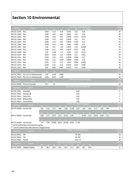|                          |                                                              |                |           |                       |               |          |                         | Chemical Composition(µg/g)            |         |              |        |       |           | <b>Unit Size</b>           |
|--------------------------|--------------------------------------------------------------|----------------|-----------|-----------------------|---------------|----------|-------------------------|---------------------------------------|---------|--------------|--------|-------|-----------|----------------------------|
| <b>Number</b>            | Name                                                         |                | Cr        | <b>TA<sub>S</sub></b> | Cd            | Hg       |                         | <b>Pb</b>                             |         | As inorganic |        |       |           | (in g)                     |
| NCS ZC 11001             | Rice                                                         |                | 0.064     | 0.23                  | 0.24          | 0.005    |                         | 0.12                                  | 0.18    |              |        |       |           | 35                         |
| <b>NCS ZC 11002</b>      | Rice                                                         |                | 0.056     | 0.25                  | 0.41          | 0.0041   |                         | 0.15                                  | 0.19    |              |        |       |           | 35                         |
| <b>NCS ZC 11003</b>      | Rice                                                         |                | 0.046     | 0.16                  | 0.32          | 0.0043   |                         | 0.071                                 | (0.13)  |              |        |       |           | 35                         |
| <b>NCS ZC 11004</b>      | Rice                                                         |                | 0.043     | 0.15                  | 0.42          | 0.0036   |                         | 0.11                                  | 0.12    |              |        |       |           | 35                         |
| <b>NCS ZC 11005</b>      | Rice                                                         |                | 0.040     | 0.19                  | 0.87          | 0.0033   |                         | 0.056                                 | 0.15    |              |        |       |           | 35                         |
| <b>NCS ZC 11006</b>      | Rice                                                         |                | 0.050     | 0.18                  | 0.48          | 0.004    |                         | 0.042                                 | 0.14    |              |        |       |           | 35                         |
| <b>NCS ZC 11007</b>      | Rice                                                         |                | 0.06      | 0.11                  | 1.28          | 0.0037   |                         | 0.10                                  | (0.084) |              |        |       |           | 35                         |
| <b>NCS ZC 11008</b>      | Rice                                                         |                | 0.045     | 0.11                  | 0.99          | 0.0037   |                         | 0.071                                 | 0.08    |              |        |       |           | 35                         |
| <b>NCS ZC 11009</b>      | Rice                                                         |                | 0.05      | 0.106                 | 1.72          | 0.004    |                         | 0.25                                  | 0.078   |              |        |       |           | 35                         |
| NCS ZC 11010             | Rice                                                         |                | 0.063     | 0.105                 | 2.16          | 0.0038   |                         | 0.11                                  | 0.081   |              |        |       |           | 35                         |
| NCS ZC 11011             | Rice                                                         |                | 0.053     | 0.16                  | 0.62          | 0.0038   |                         | 0.064                                 | 0.13    |              |        |       |           | 35                         |
| <b>NCS ZC 11012</b>      | Rice                                                         |                | 0.034     | 0.15                  | 0.030         | 0.0040   |                         | 0.062                                 | 0.13    |              |        |       |           | 35                         |
| <b>NCS ZC 11013</b>      | Rice                                                         |                | 0.052     | 0.12                  | 0.22          | 0.003    |                         | 0.049                                 | (0.082) |              |        |       |           | 35                         |
| <b>NCS ZC 11014</b>      | Rice                                                         |                | 0.050     | 0.12                  | 0.11          | 0.0027   |                         | 0.037                                 | 0.089   |              |        |       |           | 35                         |
| <b>NCS ZC 11015</b>      | Rice                                                         |                | 0.05      | 0.061                 | 0.007         | (0.0017) |                         | 0.11                                  | 0.046   |              |        |       |           | 35                         |
|                          |                                                              |                |           |                       |               |          |                         | Chemical Composition(µg/g)            |         |              |        |       |           | <b>Unit Size</b>           |
| <b>Number</b>            | Name                                                         |                | Pb        | Cd                    | Cr            |          |                         |                                       |         |              |        |       |           | (in g)                     |
| <b>NCS ZC 76024</b>      | Pb, Cd, Cr in wheat powder                                   |                | 1.63      | 0.074                 | 0.095         |          |                         |                                       |         |              |        |       |           | 30                         |
| <b>NCS ZC 76025</b>      | Pb, Cd, Cr in wheat powder                                   |                | 0.810     | 0.015                 | 0.105         |          |                         |                                       |         |              |        |       |           | 30                         |
| <b>Number</b>            | Name                                                         |                |           |                       |               |          |                         | Chemical Composition(ug/g)            |         |              |        |       |           | <b>Unit Size</b>           |
|                          |                                                              |                | <b>Pb</b> | As                    |               |          |                         |                                       |         |              |        |       |           | (in g)                     |
| <b>NCS ZC 83005</b>      | Pb, As in Cosmetic                                           |                | 37.2      | 9.0                   |               |          |                         |                                       |         |              |        |       |           | 10                         |
| <b>Number</b>            | <b>Name</b>                                                  |                |           |                       |               |          |                         | Chemical Composition(mg/mL)           |         |              |        |       |           | <b>Unit Size</b><br>(in mL |
| <b>NCS ZC 76011</b>      | Amaranth                                                     |                |           |                       |               |          |                         | 0.50                                  |         |              |        |       |           | 5                          |
| <b>NCS ZC 76012</b>      | Ponceau 4R                                                   |                |           |                       |               |          |                         | 0.50                                  |         |              |        |       |           | 5                          |
| <b>NCS ZC 76013</b>      | <b>Tartra Zine</b>                                           |                |           |                       |               |          |                         | 0.50                                  |         |              |        |       |           | $\mathbf 5$                |
| <b>NCS ZC 76014</b>      | <b>Brilliant Blue</b>                                        |                |           |                       |               |          |                         | 0.50                                  |         |              |        |       |           | 5                          |
| <b>NCS ZC 76015</b>      | Sunset Yellow                                                |                |           |                       |               |          |                         | 0.50                                  |         |              |        |       |           | 5                          |
|                          |                                                              |                |           |                       |               |          |                         | Chemical Composition(µg/g)            |         |              |        |       |           | <b>Unit Size</b>           |
| Number                   | Name                                                         | Zn             | Se        | Cr                    | Mg            | Mn       | As                      | Ca                                    | Fe i    | Cu           | Sr.    | Hg    | <b>Na</b> | (in g)                     |
| NCS ZC 81002b Human Hair |                                                              | 191            | 0.59      | 8.74                  | 248           | 3.83     | 0.198                   | 1537                                  | 160     | 33.6         | 8.17   | 1.06  | 445       | 7                          |
|                          |                                                              |                |           |                       |               |          |                         |                                       |         |              |        |       |           |                            |
|                          |                                                              | P <sub>b</sub> | Ni.       | Cd                    | $\mathsf{Al}$ | Co       | Mo                      | $Sc^*$                                | Br      | Sb           | K      | Ag    | Ba        |                            |
| NCS ZC 81002b Human Hair |                                                              | 3.83           | 5.77      | 0.072                 | 23.2          | 0.153    | 1.06                    |                                       | (0.59)  | 0.12         | (14.4) | 0.037 | 11.1      |                            |
|                          |                                                              |                |           | V                     | Cl            | La       | $S^{\star \star \star}$ |                                       |         |              |        |       |           |                            |
| NCS ZC 81002b Human Hair |                                                              | P<br>174       | 0.96      | (0.089)               | (48.2)        | (0.029)  |                         | Ti.                                   |         |              |        |       |           |                            |
|                          | * Unit of Certifiea Value of the element is µg/kg            |                |           |                       |               |          | (4.62)                  | (2.10)                                |         |              |        |       |           |                            |
|                          | ** Unit of Certified Value of the elencent is weight percent |                |           |                       |               |          |                         |                                       |         |              |        |       |           |                            |
|                          |                                                              |                |           |                       |               |          |                         | Range Concentration(mg/L)             |         |              |        |       |           | <b>Unit Size</b>           |
| <b>Number</b>            | <b>Name</b>                                                  |                |           |                       |               |          |                         |                                       |         |              |        |       |           | (in mL)                    |
| <b>NCS ZC 85301</b>      | COD                                                          |                |           |                       |               |          |                         | 70~200                                |         |              |        |       |           | 20                         |
| NCS ZC 85302 COD         |                                                              |                |           |                       |               |          |                         | $50 - 150$                            |         |              |        |       |           | 20                         |
| <b>NCS ZC 85303</b>      | Phenol                                                       |                |           |                       |               |          |                         | $0.01 - 1.5$                          |         |              |        |       |           | 20                         |
| Number                   | Name                                                         |                |           |                       |               |          |                         | <b>Chemical Composition (Percent)</b> |         |              |        |       |           | <b>Unit Size</b>           |
|                          |                                                              | Pb.            | Cd        | Ni                    | $Cr^{\star}$  | Co       | Cu                      | <b>Sb</b>                             | As      | Hg           |        |       |           | (in g)                     |
| <b>NCS ZC 93018</b>      | Metals in leather                                            | 94             | 86.6      | 95.5                  | 56.3          | 91.4     | 97.1                    | 89.6                                  | 90.7    | 93.5         |        |       |           | 2                          |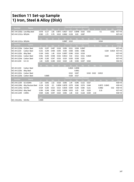| Number                             | Name                  |                |           |           |        |        |           | Chemical Composition(percent)               |           |             |        |           |        |        | <b>Unit Size</b>      |
|------------------------------------|-----------------------|----------------|-----------|-----------|--------|--------|-----------|---------------------------------------------|-----------|-------------|--------|-----------|--------|--------|-----------------------|
|                                    |                       | $\overline{C}$ | Si        | Mn        | P      | S      | Cr        | <b>Ni</b>                                   | Cu        | Alt         | $\vee$ | Ti.       | W      | Als    | (mm)                  |
| <b>NCS AH11302a</b>                | Low Alloy steel       | 0.078          | 0.117     | 1.85      | 0.0071 | 0.0027 | 0.017     | 0.0048                                      | 0.016     | 0.033       |        | 0.1       |        | 0.032  | Φ37×40                |
| NCS AH 11311a 60Si <sub>2</sub> Mn |                       | 0.583          | 1.72      | 0.78      | 0.013  | 0.0062 | 0.158     | 0.03                                        | 0.087     |             |        |           |        |        | $\Phi$ 37 $\times$ 40 |
|                                    |                       |                |           |           |        |        |           |                                             |           |             |        |           |        |        |                       |
|                                    |                       | Co             | <b>Nb</b> | Zr        | B      | Sn     | <b>As</b> | Sb                                          | <b>Pb</b> | <b>Bi</b>   | Mb     | Mo        |        |        |                       |
| NCS AH 11311a 60Si <sub>2</sub> Mn |                       |                |           |           |        | 0.0087 | 0.012     |                                             |           |             |        | 0.014     |        |        |                       |
| Number                             | Name                  |                |           |           |        |        |           | Chemical Composition(percent)               |           |             |        |           |        |        | <b>Unit Size</b>      |
|                                    |                       | $\mathsf{C}$   | -Si       | Mn        | P.     | S.     | Cr        | Ni.                                         | CLI       |             | Ti.    | Co        | Alt    | B      | $\ln$ g)              |
| <b>NCS AH 11316e</b>               | Carbon Steel          | 0.201          | 0.207     | 0.487     | 0.018  | 0.006  | 0.011     | 0.004                                       | 0.0047    |             |        |           |        |        | $\Phi$ 37 $\times$ 40 |
| <b>NCS AH 11319</b>                | Carbon Steel          | 0.101          | 0.249     | 0.400     | 0.043  | 0.030  | 0.068     | 0.066                                       | 0.086     |             |        |           | 0.264  | 0.0014 | Φ37×45                |
| NCS AH 11320c                      | <b>Alloy Steel</b>    | 0.164          | 0.401     | 1.46      | 0.014  | 0.0097 | 0.046     | 0.016                                       | 0.018     |             |        |           |        |        | $\Phi$ 37 $\times$ 40 |
| <b>NCS AH 11322c</b>               | Carbon Steel          | 0.461          | 0.293     | 0.598     | 0.016  | 0.0013 | 0.02      | 0.012                                       | 0.011     | 0.0029      |        |           | 0.024  |        | Φ37×45                |
| NCS AH 11324e                      | Carbon Steel          | 0.245          | 0.185     | 0.547     | 0.016  | 0.019  | 0.026     | 0.038                                       | 0.201     |             |        |           |        |        | $\Phi$ 37 $\times$ 40 |
| <b>NCS AH 11334</b>                | G Cr 15               | 1.02           | 0.250     | 0.340     | 0.015  | 0.023  | 1.48      | 0.036                                       | 0.037     | 0.022       |        |           |        |        | $D36 \times 50$       |
|                                    |                       |                |           |           |        |        |           |                                             |           |             |        |           |        |        |                       |
|                                    |                       | W              | Mo        | <b>Nb</b> | Zr     | Sb     | Sn        | As                                          | <b>Pb</b> | N           | Als    | Ca        |        |        |                       |
| <b>NCS AH 11319</b>                | Carbon Steel          |                |           |           |        |        | 0.0024    | 0.0058                                      |           |             |        |           |        |        |                       |
| NCS AH 11320c                      | <b>Alloy Steel</b>    |                |           |           |        |        |           | 0.0061                                      |           |             |        |           |        |        |                       |
| NCS AH 11322c                      | Carbon Steel          |                |           |           |        |        | 0.012     | 0.007                                       |           | 0.010 0.022 |        | 0.0013    |        |        |                       |
| <b>NCS AH 11324e</b>               | Carbon Steel          |                | 0.0085    |           |        |        | 0.028     | 0.017                                       |           |             |        |           |        |        |                       |
| Number                             | Name                  | $\overline{C}$ | Si.       | Mn        | P      | S.     | Cr        | <b>Chemical Composition (Percent)</b><br>Ni | Cu        | Mo          | W      | <b>As</b> | Sn     | Alt    | <b>Unit Size</b>      |
| <b>NCS AH 11339</b>                | GCr15SiMn             | 1.18           | 0.842     | 1.02      | 0.018  | 0.006  | 1.44      | 0.046                                       | 0.152     | 0.027       |        |           |        |        | $\ln$ g)<br>Φ38×40    |
|                                    |                       |                |           |           | 0.0094 | 0.0078 | 0.979     | 0.046                                       | 0.074     | 0.444       |        | 0.0073    | 0.0043 |        | $\Phi$ 38×40          |
| NCS AH11340c                       | Alloy Structure Steel | 0.134          | 0.239     | 0.5       |        |        |           |                                             |           |             |        |           |        |        |                       |
| NCS AH 11341c 42CrMo               |                       | 0.424          | 0.283     | 0.615     | 0.013  | 0.0035 | 0.984     | 0.185                                       | 0.085     | 0.221       |        | 0.0082    |        | 0.02   | Φ38×40                |
| NCS AH11341d Alloy Steel           |                       | 0.396          | 0.248     | 0.566     | 0.023  | 0.0056 | 0.953     | 0.05                                        | 0.05      | 0.029       |        | 0.16      |        |        | $\Phi$ 37×40          |
| <b>NCS AH 11344</b>                | CrWMn                 | 0.964          | 0.266     | 0.947     | 0.023  | 0.006  | 1.06      | 0.02                                        | 0.128     | 0.034       | 1.42   |           |        |        | Φ38×40                |
|                                    |                       |                |           |           |        |        |           |                                             |           |             |        |           |        |        |                       |
|                                    |                       | $Sn*$          |           |           |        |        |           |                                             |           |             |        |           |        |        |                       |
| NCS AH11341c 42CrMo                |                       | 0.0089         |           |           |        |        |           |                                             |           |             |        |           |        |        |                       |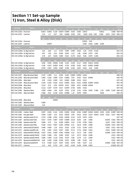| <b>Number</b>                                                                            | Name                              | $\mathsf{C}$         | Si                | Mn         | P.         | S             | <b>Chemical Composition (Percent)</b><br>Cr | Ni.          | Cu            | $\vee$               | W               | Mo     | Co      | Ti     | <b>Unit Size</b>         |
|------------------------------------------------------------------------------------------|-----------------------------------|----------------------|-------------------|------------|------------|---------------|---------------------------------------------|--------------|---------------|----------------------|-----------------|--------|---------|--------|--------------------------|
| NCS AH 11351c Pure iron                                                                  |                                   | 0.0017               | 0.0051            | 0.124      | 0.0079     | 0.0064        | 0.016                                       | 0.003        | 0.0071        |                      |                 | 0.0011 |         | 0.068  | (mm)<br>$\Phi$ 38×40     |
| <b>NCS AH 11353</b>                                                                      | Cast iron                         | 3.15                 | 2.3               | 0.47       | 0.02       | 0.0006        | 0.025                                       | 0.59         | 0.029         | 0.032                | 0.003           | 0.002  | 0.015   | 0.027  | $\Phi$ 30×25             |
|                                                                                          |                                   |                      |                   |            |            |               |                                             |              |               |                      |                 |        |         |        |                          |
|                                                                                          |                                   | <b>Nb</b>            | Sn                | <b>As</b>  | Sb         | $\mathsf{Al}$ | Pb                                          | Bi           | N             | Alt                  | B               | Mg     | La      | Ce     |                          |
| NCS AH 11351c Pure iron                                                                  |                                   |                      |                   |            |            |               |                                             |              | (0.001)       | 0.03                 |                 |        |         |        |                          |
| <b>NCS AH 11353</b>                                                                      | Cast iron                         |                      | 0.0037            |            |            |               |                                             |              | 0.003         | 0.023                | 0.004           | 0.029  |         |        |                          |
| <b>Number</b>                                                                            | Name                              |                      |                   |            |            |               | <b>Chemical Composition (Percent)</b>       |              |               |                      |                 |        |         |        | <b>Unit Size</b>         |
|                                                                                          |                                   | $\mathsf{C}$<br>2.25 | <b>Si</b><br>2.66 | Mn<br>1.17 | P<br>0.375 | S.<br>0.095   | Cr<br>0.493                                 | Ni.<br>0.623 | Cu<br>1.65    | Al.                  | $\vee$<br>0.518 |        |         |        | (mm)                     |
| NCS AH 11354a R <sub>E</sub> -Mg Cast Iron<br>NCS AH 11355a R <sub>F</sub> -Mg Cast Iron |                                   | 4.07                 | 1.45              | 0.22       | 0.054      | 0.041         | 2.12                                        | 1.46         | 0.266         | 0.072<br>0.073       | 0.09            |        |         |        | Φ31×24<br>$\Phi$ 31×24   |
| NCS AH 11356a R <sub>F</sub> -Mg Cast Iron                                               |                                   | 3.78                 | 2.47              | 0.618      | 0.084      | 0.021         | 0.175                                       | 0.522        | 0.68          | 0.079                | 0.265           |        |         |        | Φ31×24                   |
|                                                                                          |                                   |                      |                   |            |            |               |                                             |              |               |                      |                 |        |         |        |                          |
|                                                                                          |                                   | Sn                   | $\overline{B}$    | Mg         | Ti.        | Mo            | <b>W</b>                                    | <b>Nb</b>    | Co            | $La*$                | $Ce*$           |        |         |        |                          |
| NCS AH 11354a R <sub>F</sub> -Mg Cast Iron                                               |                                   | 0.046                | 0.055             | 0.0056     | 0.184      | 0.253         | 0.434                                       | 0.117        | 0.094         |                      | 0.0013 0.0033   |        |         |        |                          |
| NCS AH 11355a $RE$ -Mg Cast Iron                                                         |                                   | 0.146                | 0.013             | 0.0024     | 0.042      | 0.724         | 0.039                                       | 0.022        | 0.027         |                      | 0.0003 0.0006   |        |         |        |                          |
| NCS AH 11356a R <sub>E</sub> -Mg Cast Iron                                               |                                   | 0.076                | 0.041             | 0.054      | 0.085      | 0.344         | 0.105                                       | 0.037        | 0.032         | 0.02                 | 0.045           |        |         |        |                          |
| Number                                                                                   | Name                              |                      |                   |            |            |               | <b>Chemical Composition (Percent)</b>       |              |               |                      |                 |        |         |        | <b>Unit Size</b>         |
|                                                                                          |                                   | $\mathsf{C}$         | Si                | Mn         | P          | S.            | Cr                                          | Ni.          | Cu            | $\vee$               | TI.             | Mo     | Alt     | Co     | (mm)                     |
| NCS AH 11357                                                                             | Alloy Structure Steel             | 0.147                | 0.369             | 1.11       | 0.019      | 0.015         | 0.0091                                      | 0.0053       | 0.016         |                      |                 |        |         |        | $\Phi$ 38×40             |
| <b>NCS AH 11358</b>                                                                      | Alloy Structure Steel             | 0.402                | 0.226             | 0.690      | 0.011      | 0.0083        | 0.95                                        | 0.015        | 0.015         | 0.0045               |                 |        |         |        | Φ36×40                   |
| NCS AH11358c                                                                             | <b>Alloy Steel</b>                | 0.39                 | 0.243             | 0.583      | 0.02       | 0.0061        | 0.848                                       | 0.014        | 0.011         |                      |                 |        |         |        | Φ37×40                   |
| <b>NCS AH 11359</b>                                                                      | Alloy Structure Steel             | 0.225                | 0.220             | 0.616      | 0.013      | 0.0081        | 0.815                                       | 0.012        |               | 0.0081 0.0046 0.0032 |                 |        |         |        | $\Phi$ 37 $\times$ 40    |
| NCS AH11359b                                                                             | <b>Alloy Steel</b>                | 0.212                | 0.22              | 0.59       | 0.0074     | 0.013         | 0.803                                       | 0.011        | 0.0094 0.0034 |                      |                 |        |         |        | Φ37×40                   |
| NCS AH11359c                                                                             | <b>Alloy Steel</b>                | 0.212                | 0.247             | 0.579      | 0.017      | 0.0078        | 0.782                                       | 0.042        | 0.016         |                      |                 |        |         |        | Φ37×40                   |
| <b>NCS AH 11360</b>                                                                      | <b>Stainless Steel</b>            | 0.058                | 0.854             | 1.49       | 0.027      | 0.010         | 17.39                                       | 11.91        | 0.168         | 0.043                | 0.366           | 2.33   | 0.046   | 0.105  | Φ36×30                   |
| <b>NCS AH 11363</b>                                                                      | Alloy tool Steel                  | 0.482                | 0.63              | 0.158      | 0.021      | 0.0086        | 1.15                                        | 0.078        | 0.094         |                      |                 | 0.026  |         |        | Φ35×35                   |
|                                                                                          |                                   | W                    | Als               | As         |            |               |                                             |              |               |                      |                 |        |         |        |                          |
| NCS AH11359b                                                                             | <b>Alloy Steel</b>                |                      |                   | 0.0024     |            |               |                                             |              |               |                      |                 |        |         |        |                          |
| <b>NCS AH 11360</b>                                                                      | <b>Stainless Steel</b>            | 0.060                |                   |            |            |               |                                             |              |               |                      |                 |        |         |        |                          |
| <b>NCS AH 11363</b>                                                                      | Alloy tool Steel                  | 2.16                 |                   |            |            |               |                                             |              |               |                      |                 |        |         |        |                          |
|                                                                                          |                                   |                      |                   |            |            |               | <b>Chemical Composition (Percent)</b>       |              |               |                      |                 |        |         |        | <b>Unit Size</b>         |
| <b>Number</b>                                                                            | Name                              | $\mathsf{C}$         | Si                | Mn         | P.         | S.            | Ni                                          | Cr           | Cu            | $\overline{V}$       | Ca              | Als    | Alt     | Sn     | (mm)                     |
| <b>NCS AH 11364</b>                                                                      | Carbon Steel                      | 0.057                | 0.026             | 0.121      | 0.010      | 0.0032        | 0.010                                       | 0.016        | 0.0087        | 0.0010               | 0.0019          | 0.032  | 0.034   | 0.0097 | $\Phi$ 38×40             |
| <b>NCS AH 11365</b>                                                                      | line pipe steel                   | 0.054                | 0.266             | 1.53       | 0.011      | 0.0052        | 0.05                                        | 0.013        | 0.010         | 0.014                | 0.0015          | 0.019  | 0.021   | 0.017  | $\Phi$ 38×40             |
| <b>NCS AH 11366</b>                                                                      | stainless steel 2Cr13             | 0.176                | 0.388             | 0.501      | 0.024      | 0.0036        | 0.115                                       | 12.29        | 0.074         | 0.024                |                 |        |         |        | Φ37×30                   |
| <b>NCS AH 11367</b>                                                                      | stainless steel 316L              | 0.017                | 0.476             | 0.847      | 0.034      | 0.0008        | 10.23                                       | 16.65        | 1.09          | 0.066                |                 |        | (0.007) | 0.032  | $\Phi$ 38×30             |
| <b>NCS AH 11368</b>                                                                      | stainless steel 304               | 0.066                | 0.76              | 1.16       | 0.030      | 0.0091        | 8.23                                        | 17.49        | 0.355         | 0.061                |                 |        | 0.014   | 0.012  | $\Phi$ 38×30             |
| <b>NCS AH 11369</b>                                                                      | stainless steel 304L              | 0.026                | 0.522             | 0.857      | 0.033      | 0.0020        | 8.11                                        | 18.18        | 0.445         | 0.068                |                 |        | (0.004) |        | $0.013$ $\Phi$ 38×30     |
| <b>NCS AH 11370</b>                                                                      | stainless steel321(0Cr18Ni10Ti)   | 0.046                | 0.609             | 1.18       | 0.027      | 0.016         | 11.65                                       | 17.57        | 0.199         | 0.075                |                 |        | 0.053   |        | $0.011$ $\Phi$ 33×30     |
| <b>NCS AH 11371</b>                                                                      | stainless steel(9Cr18)            | 0.95                 | 0.487             | 0.315      | 0.027      | 0.003         | 0.171                                       | 17.70        | 0.064         | 0.022                |                 |        | 0.014   |        | $0.0063$ $\Phi$ 33×30    |
| <b>NCS AH 11372</b>                                                                      | stainless steel 630(OCr17Ni4CuNb) | 0.037                | 0.552             | 0.604      | 0.041      | 0.0056        | 4.12                                        | 15.73        | 3.46          | 0.067                |                 |        | (0.004) |        | $0.019$ $\Phi$ 38×30     |
| <b>NCS AH 11373</b>                                                                      | stainless steel(CrMnN)            | 0.160                | 0.484             | 5.56       | 0.040      | 0.035         | 5.21                                        | 13.72        | 0.520         | 0.046                |                 |        |         |        | $0.013$ $\Phi$ 38×30     |
| <b>NCS AH 11374</b>                                                                      | stainless steel(CrMnN)            | 0.085                | 0.458             | 11.03      | 0.032      | 0.014         | 0.68                                        | 13.79        | 1.16          | 0.056                |                 |        |         |        | $0.012$ $\Phi$ 38×30     |
| <b>NCS AH 11375</b>                                                                      | high speed tool steel(W6Mo5Cr4V2) | 0.84                 | 0.305             | 0.328      | 0.028      | 0.015         | 0.090                                       | 3.89         | 0.103         | 1.83                 |                 |        |         |        | $0.012$ $\Phi$ 38×30     |
| <b>NCS AH 11376</b>                                                                      | high speed tool steel(W18Cr4V)    | 0.72                 | 0.300             | 0.227      | 0.027      | 0.026         | 0.074                                       | 4.09         | 0.107         | 1.12                 |                 |        | (0.005) |        | $0.028$ $\Phi$ 33×30     |
| <b>NCS AH 11377</b>                                                                      | Cast iron                         | 2.13                 | 4.03              | 0.722      | 0.47       | 0.027         | 0.144                                       | 0.136        | 0.344         | 0.062                |                 |        |         |        | $0.0168$ $032 \times 19$ |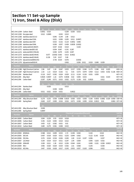|                              |                                                | As           | N            | W             | Co.          | <b>MO</b>   | <b>Nb</b>                             | TI.         | La    | Ce.         | Mg     | <b>Sb</b>         |              |               |                          |
|------------------------------|------------------------------------------------|--------------|--------------|---------------|--------------|-------------|---------------------------------------|-------------|-------|-------------|--------|-------------------|--------------|---------------|--------------------------|
| NCS AH 11364 Carbon Steel    |                                                | 0.0051       | 0.010        |               |              | 0.209       | 0.039                                 | 0.015       |       |             |        |                   |              |               |                          |
| NCS AH 11365 line pipe steel |                                                | 0.012        | 0.0085       |               | 0.032        | 0.013       |                                       |             |       |             |        |                   |              |               |                          |
|                              | NCS AH 11366 stainless steel 2Cr13             |              |              | 0.045         | 0.144        | 2.08        | 0.012                                 |             |       |             |        |                   |              |               |                          |
|                              | NCS AH 11367 stainless steel 316L              |              |              | 0.021         | 0.099        | 0.205       | 0.011                                 | (0.0007)    |       |             |        |                   |              |               |                          |
|                              | NCS AH 11368 stainless steel 304               |              |              | 0.015         | 0.152        | 0.119       | 0.0052                                | 0.006       |       |             |        |                   |              |               |                          |
|                              | NCS AH 11369 stainless steel 304L              |              |              | 0.036         | 0.057        | 0.438       | 0.0039                                | (0.002)     |       |             |        |                   |              |               |                          |
|                              | NCS AH 11370 stainless steel321(0Cr18Ni10Ti)   |              |              | 0.037         | 0.018        | 0.014       |                                       | 0.325       |       |             |        |                   |              |               |                          |
|                              | NCS AH 11371 stainless steel(9Cr18)            |              |              |               | 0.054 0.067  | 0.191 0.287 |                                       |             |       |             |        |                   |              |               |                          |
|                              | NCS AH 11372 stainless steel 630(OCr17Ni4CuNb) |              |              | 0.050         | 0.079        | 0.255       | 0.007                                 |             |       |             |        |                   |              |               |                          |
|                              | NCS AH 11373 stainless steel(CrMnN)            |              | 0.077        | (0.003) 0.063 |              | 0.013       | (0.002)                               |             |       |             |        |                   |              |               |                          |
|                              | NCS AH 11374 stainless steel(CrMnN)            |              | 0.136        | 5.93          | 0.017        | 5.08        |                                       |             |       |             |        |                   |              |               |                          |
|                              | NCS AH 11375 high speed tool steel(W6Mo5Cr4V2) |              |              | 17.45         | 0.019        | 0.076       |                                       | (0.003)     |       |             |        |                   |              |               |                          |
|                              | NCS AH 11376 high speed tool steel(W18Cr4V)    |              |              |               |              | 0.063       |                                       | 0.056 0.011 |       | 0.019       | 0.049  | 0.039             |              |               |                          |
| <b>Number</b>                | <b>Name</b>                                    |              |              |               |              |             | <b>Chemical Composition(Percent)</b>  |             |       |             |        |                   |              |               | <b>Unit Size</b>         |
|                              |                                                | $\mathsf{C}$ | Si.          | Mn            | P            | S.          | Cr                                    | Ni.         | Cu    | V           | Mo     | TL.               | <b>Nb</b>    | $\mathsf{Al}$ | (mm)                     |
|                              | NCS AH 11386 High Chromium Cast Iron           | 2.96         | 0.87         | 1.18          | 0.047        | 0.053       | 13.57                                 | 0.559       | 0.546 | 0.175       | 0.346  | 0.02              | 0.025        |               | Φ30×24                   |
|                              | NCS AH 11387 High Chromium Cast Iron           | 2.33         | 1.13         | 0.614         | 0.102        | 0.1         | 5.43                                  | 0.373       | 0.979 | 0.454       | 0.212  | 0.053             |              | 0.032 0.136   | $\Phi$ 30×24             |
| <b>NCS AH11394</b>           | <b>Stainless Steel</b>                         | 0.116        | 0.417        | 0.392         | 0.024        | 0.029       | 12.11                                 | 0.124       | 0.126 | 0.031       | 0.059  |                   |              |               | Φ37×35                   |
| NCS AH11395                  | <b>Alloy Steel</b>                             | 0.0025       | 0.0047       | 1.16          | 0.075        | 0.0038      | 0.02                                  | 0.005       | 0.015 |             |        | 0.021             | 0.019        |               | $\Phi$ 37×40             |
| <b>NCS AH11396</b>           | Carbon Steel                                   | 0.307        | 0.249        | 0.571         | 0.015        | 0.052       | 0.175                                 | 0.138       | 0.02  | 0.0019      |        | 0.012             |              |               | $\Phi$ 37 $\times$ 40    |
|                              |                                                | As.          | Co           | Als           | Alt          | N           | Ca                                    |             |       |             |        |                   |              |               |                          |
| <b>NCS AH11394</b>           | <b>Stainless Steel</b>                         |              | 0.026        |               |              | 0.013       |                                       |             |       |             |        |                   |              |               |                          |
| NCS AH11395                  | <b>Alloy Steel</b>                             |              |              | 0.038         | 0.039        |             |                                       |             |       |             |        |                   |              |               |                          |
| <b>NCS AH11396</b>           | Carbon Steel                                   | 0.011        | 0.021        | 0.019         | 0.021        |             | 0.0022                                |             |       |             |        |                   |              |               |                          |
|                              |                                                |              |              |               |              |             | <b>Chemical Composition (Percent)</b> |             |       |             |        |                   |              |               | <b>Unit Size</b>         |
| <b>Number</b>                | Name                                           | $\mathsf{C}$ | Si.          | Mn            | P            | S.          | Cr                                    | Ni.         | Cu    | <b>Mo</b>   | V      | Co                | Alt          | As            | (mm)                     |
| <b>NCS AH11399</b>           | Alloy Structure Steel                          | 0.279        | 0.253        | 0.558         | 0.0088       | 0.0019      | 0.938                                 | 0.033       | 0.058 | 0.166       | 0.0053 | 0.0082            | 0.029        | 0.0058        | $D38\times40$            |
| <b>NCS AH11400</b>           | <b>Spring Steel</b>                            | 0.665        | 0.257        | 0.909         | 0.016        | 0.016       | 0.073                                 | 0.038       | 0.099 | 0.018       | 0.0013 | 0.01              |              |               | $0.0063$ D37 $\times$ 40 |
|                              |                                                | Sn           |              |               |              |             |                                       |             |       |             |        |                   |              |               |                          |
| <b>NCS AH11399</b>           | Alloy Structure Steel                          | 0.004        |              |               |              |             |                                       |             |       |             |        |                   |              |               |                          |
| <b>NCS AH11400</b>           | <b>Spring Steel</b>                            | 0.0047       |              |               |              |             |                                       |             |       |             |        |                   |              |               |                          |
|                              |                                                |              |              |               |              |             | <b>Chemical Composition (Percent)</b> |             |       |             |        |                   |              |               | <b>Unit Size</b>         |
| <b>Number</b>                | <b>Name</b>                                    | $\mathsf{C}$ | Si.          | Mn            | P            | S.          | Ni.                                   | Cr          | Cu.   | Mo          |        |                   |              |               | (mm)                     |
| <b>NCS AH 18305</b>          | Carbon Steel                                   | 0.094        | 0.229        | 0.55          | 0.015        | 0.018       |                                       |             |       |             |        |                   |              |               | $\Phi$ 37×30             |
| <b>NCS AH 18306</b>          | Carbon Steel                                   | 0.196        | 0.223        | 0.465         | 0.014        | 0.012       |                                       |             |       |             |        |                   |              |               | Φ37×30                   |
| <b>NCS AH 18307</b>          | Carbon Steel                                   | 0.455        | 0.22         | 0.582         | 0.021        | 0.01        |                                       |             |       |             |        |                   |              |               | Φ37×30                   |
| <b>NCS AH 18310</b>          | <b>Carbon Steel</b>                            | 0.689        | 0.279        | 0.581         | 0.008        | 0.015       |                                       |             |       |             |        |                   |              |               | Φ37×30                   |
| Number                       | Name                                           |              |              |               |              |             | <b>Chemical Composition (Percent)</b> |             |       |             |        |                   |              |               | Unit Size                |
|                              |                                                | C            | $S_{\rm{c}}$ | Mn            | $\mathsf{P}$ | Si.         | Cr                                    | Ni .        | Mo    |             |        | $Cu$ $V$ $Al$ $B$ |              |               | (mm)                     |
| NCS AH 20304 60SiMnA         |                                                | 0.588        | 0.012        | 0.699         | 0.015        | 1.72        | 0.258                                 | 0.042       |       | 0.102       |        | 0.010             |              |               | Φ42×40                   |
| NCS AH 20305 50CrVA          |                                                | 0.497        | 0.018        | 0.629         | 0.011        | 0.253       | 0.944                                 | 0.062       |       | 0.122 0.143 |        | 0.020             |              |               | $\Phi$ 42×40             |
| NCS AH 20306 35CrMo          |                                                | 0.376        | 0.018        | 0.534         | 0.026        | 0.283       | 1.00                                  | 0.110       | 0.197 | 0.096       |        | 0.037             |              |               | $\Phi$ 42×40             |
| NCS AH 20307 12CrMoV         |                                                | 0.109        | 0.014        | 0.527         | 0.011        | 0.247       | 1.04                                  | 0.064       |       | 0.095       | 0.203  | 0.032             |              |               | $\Phi$ 42×40             |
| NCS AH 20308 20MnVB          |                                                | 0.208        | 0.011        | 1.36          | 0.012        | 0.256       | 0.044                                 | 0.041       |       | 0.085       | 0.101  |                   | 0.038 0.0023 |               | $\Phi$ 42×40             |
| NCS AH 20309 40Cr            |                                                | 0.406        | 0.020        | 0.629         | 0.019        | 0.302       | 1.01                                  | 0.068       |       | 0.105       |        | 0.030             |              |               | Φ42×40<br>$\Phi$ 42×40   |
| NCS AH 20310 42CrMo          |                                                | 0.407        | 0.018        | 0.628         | 0.017        | 0.243       | 0.953                                 | 0.057       | 0.163 | 0.096       |        | 0.022             |              |               |                          |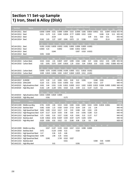| <b>Number</b>       | <b>Name</b>                             | $\mathsf{C}$ | Si.       | Mn             | P         | S               | Cr                   | Chemical Composition(Percent)<br><b>Mo</b>  | Сu        |                      | TL.           | $\mathsf{Al}$ | Ni.           | Nb            | <b>Unit Size</b><br>(mm) |
|---------------------|-----------------------------------------|--------------|-----------|----------------|-----------|-----------------|----------------------|---------------------------------------------|-----------|----------------------|---------------|---------------|---------------|---------------|--------------------------|
| NCS AH 20311 Steel  |                                         | 0.0058       | 0.0049    | 0.031          | 0.0069    | 0.0064          | 0.015                | (0.0004)                                    | 0.006     | 0.00014              | 0.00013       | 0.01          | 0.0047        | $($ <0.0015)  | $\Phi$ 35×40             |
| <b>NCS AH 20312</b> | Steel                                   | 0.011        | 0.179     | 0.19           | 0.049     | 0.0034          | 27.77                | 0.0095                                      | 0.022     | 0.032                |               | 0.046         | 0.34          | 0.11          | Φ35×40                   |
| <b>NCS AH 20313</b> | Steel                                   |              |           | 10.34          |           |                 | 8.52                 |                                             |           | 0.44                 | 0.91          | 0.83          | 6.51          |               | Φ35×40                   |
| NCS AH 20314 Steel  |                                         | 0.262        | 2.65      | 2.27           | 0.007     | 0.041           | 0.973                | 2.9                                         | 0.396     |                      | 0.019         |               | 25.14         |               | Φ35×40                   |
|                     |                                         |              |           |                |           |                 |                      |                                             |           |                      |               |               |               |               |                          |
|                     |                                         | B            | W         | ${\sf N}$      | <b>Pb</b> | Bi.             | Sb                   | <b>As</b>                                   | Sn        | Ca                   | Ce            |               |               |               |                          |
| <b>NCS AH 20311</b> | Steel                                   | < 0.001      | (<0.001)  | 0.0039         | (0.00015) | $($ $< 0.0001)$ | 0.0002               | 0.0006                                      | 0.0005    | $(0.0003)$           |               |               |               |               |                          |
| <b>NCS AH 20312</b> | Steel                                   | 0.0083       | 0.25      |                | 0.0042    |                 | 0.008                | 0.0031                                      | 0.0019    |                      |               |               |               |               |                          |
| <b>NCS AH 20313</b> | Steel                                   |              |           | 0.044          |           |                 |                      | 0.007                                       |           | $0.018$ $($ <0.0015) |               |               |               |               |                          |
| NCS AH 20314 Steel  |                                         | 0.001        | 0.028     |                |           |                 |                      |                                             |           |                      |               |               |               |               |                          |
| <b>Number</b>       | <b>Name</b>                             | $\mathsf{C}$ | Si.       | Mn             | P         | S               | Cr                   | <b>Chemical Composition (Percent)</b><br>Mo | Cu        | $\vee$               | Ti.           | $\mathsf{Al}$ | Ni.           | Nb            | <b>Unit Size</b><br>(mm) |
| <b>NCS AH 20315</b> | Carbon Steel                            | 0.015        | 0.632     | 1.91           | 0.0037    | 0.057           | 0.099                | 0.564                                       | 0.384     | 0.57                 | 0.026         | 0.013         | 0.55          | 0.099         | $\Phi$ 35×40             |
| <b>NCS AH 20316</b> | Carbon Steel                            | 0.92         | 0.091     | 0.075          | 0.047     | 0.0016          | 1.29                 | 0.016                                       | 0.04      | 0.0016               | 0.55          | 0.102         | 0.062         |               | $0.0006$ $\Phi$ 35×40    |
|                     |                                         |              |           |                |           |                 |                      |                                             |           |                      |               |               |               |               |                          |
|                     |                                         | B            | ${\sf W}$ | Bi             | Pb        | Zn              | Sb                   | $\mathsf{As}$                               | Sn        | Ca                   |               |               |               |               |                          |
| <b>NCS AH 20315</b> | Carbon Steel                            | 0.0009       | 0.076     | $($ $0.0005$ ) | (<0.0006) | $(0.004)$       | 0.0005               | 0.011                                       | 0.0018    | $(0.001)$            |               |               |               |               |                          |
| <b>NCS AH 20316</b> | Carbon Steel                            | 0.009        | 0.0019    | 0.0004         | 0.003     |                 | 0.0017 0.0043 0.0035 |                                             | 0.012     | $(0.001)$            |               |               |               |               |                          |
| Number              | Name                                    |              |           |                |           |                 |                      | <b>Chemical Composition (Percent)</b>       |           |                      |               |               |               |               | <b>Unit Size</b>         |
|                     |                                         | $\mathsf{C}$ | Si.       | Mn             | P         | S               | Ni.                  | Cr                                          | <b>Mo</b> | $\vee$               | Cu            | Alt           | $B^*$         | Ti*           | (mm)                     |
| <b>NCS AH 20317</b> | <b>SL9N590</b>                          | 0.072        | 0.30      | 1.13           | 0.006     | 0.021           | 8.84                 | 0.21                                        | 0.056     |                      | 0.048         | 0.026         |               |               | Φ40×45                   |
| <b>NCS AH 20318</b> | 20Mn23AlV                               | 0.220        | 0.31      | 23.92          | 0.016     | 0.0056          | 0.02                 | 0.054                                       |           | 0.124                | 0.016         | 2.57          |               |               | Φ40×45                   |
| <b>NCS AH20319</b>  | High phosphorus Steel                   | 0.002        | 0.44      | 0.501          | 0.108     | 0.0021          | 0.0095               | 0.013                                       | 0.002     | 0.0003               | 0.0033        | 0.0006        |               | 0.0005 0.0002 | $\Phi$ 40×40             |
| <b>NCS AH20320</b>  | High Alloy steel                        | 0.102        | 1.44      | 11.84          | 0.051     | 0.018           | 3.16                 | 14.99                                       | 2.11      | 0.137                | 0.125         | 0.2           |               |               | Φ38×36                   |
|                     |                                         | Co           | <b>Nb</b> | As             | Sn        | ${\sf N}$       |                      |                                             |           |                      |               |               |               |               |                          |
| <b>NCS AH20319</b>  | High phosphorus Steel 0.0016 0.0004     |              |           | 0.0029         | 0.0004    |                 |                      |                                             |           |                      |               |               |               |               |                          |
| <b>NCS AH20320</b>  | High Alloy steel                        |              | 0.361     |                |           | 0.175           |                      |                                             |           |                      |               |               |               |               |                          |
|                     |                                         |              |           |                |           |                 |                      | Chemical Composition(percent)               |           |                      |               |               |               |               | <b>Unit Size</b>         |
| <b>Number</b>       | Name                                    | $\mathsf{C}$ | S         | Mn             | P         | Si              | Cr                   | Ni                                          | Mo        | Cu                   | $\vee$        | Sb            | B             |               | (mm)                     |
| <b>NCS AH 21309</b> | Middle Low Alloy                        | 0.701        | 0.039     | 2.06           | 0.013     | 0.042           | 0.065                | 0.026                                       | 0.003     | 0.022                | 0.094         |               | 0.0034 0.0041 |               | Φ40×40                   |
| <b>NCS AH 21310</b> | <b>Stainless Steel</b>                  | 0.082        | 0.030     | 1.15           | 0.020     | 0.429           | 17.63                | 10.04                                       | 2.00      | 1.01                 | 1.04          |               |               |               | $\Phi$ 40 $\times$ 40    |
| <b>NCS AH 21311</b> | High Speed tool Steel                   | 0.856        | 0.005     | 0.312          | 0.017     | 0.33            | 3.93                 | 0.048                                       | 4.83      | 0.261                | 1.90          |               |               |               | Φ40×40                   |
| <b>NCS AH 21312</b> | High Manganese Steel                    | 0.297        | 0.117     | 16.24          | 0.033     | 0.48            | 0.69                 | 0.43                                        | 0.506     | 0.208                | 0.23          |               |               |               | Φ40×40                   |
| <b>NCS AH 21313</b> | High Speed tool Steel                   | 0.75         | 0.002     | 0.16           | 0.017     | 0.282           | 4.20                 | 0.041                                       | 0.10      | 0.137                | 0.17          |               |               |               | $\Phi$ 40×40             |
| <b>NCS AH 21314</b> | Stainless steel                         | 0.100        | 0.0022    | 19.56          | 0.0207    | 0.359           | 19.87                | 0.279                                       | 0.205     | 0.059                |               |               |               |               | Φ40×40                   |
| <b>NCS AH21315</b>  | High Alloy steel                        | 0.029        | 0.056     | 6.92           | 0.012     | 0.3             | 23.86                | 8.98                                        | 3.26      | 0.6                  | 0.38          |               |               |               | Φ38×36                   |
|                     |                                         |              |           |                |           |                 |                      |                                             |           |                      |               |               |               |               |                          |
|                     |                                         | Ti           | Sn        | Alt            | ${\sf W}$ | Co              | As                   | <b>Nb</b>                                   | Ta        | Ca                   | $\mathsf{Al}$ | N             | $B^*$         |               |                          |
| <b>NCS AH 20309</b> | Middle Low Alloy                        |              | 0.017     | 0.107          | 0.193     | 0.010           | 0.017                | 0.313                                       | 0.098     | 0.0009               |               |               |               |               |                          |
| <b>NCS AH 20310</b> | <b>Stainless Steel</b>                  | 0.472        |           | 0.129          | 0.438     | 0.22            |                      | 0.520                                       |           |                      |               |               |               |               |                          |
|                     | NCS AH 20311 High Speed tool Steel      | 0.17         |           | 0.36           | 6.25      | 4.86            |                      |                                             |           |                      |               |               |               |               |                          |
|                     | NCS AH 20312 High Manganese Steel 0.045 |              |           | 2.98           | 0.35      | 0.032           |                      |                                             |           |                      |               |               |               |               |                          |
|                     | NCS AH 20313 High Speed tool Steel      |              | 0.045     |                | 17.99     | 0.010           | 0.027                |                                             |           |                      |               |               |               |               |                          |
| <b>NCS AH 21314</b> | Stainless steel                         |              |           |                |           | 0.021           |                      |                                             |           |                      | 0.008         | 0.66          | < 0.0005      |               |                          |
| NCS AH21315         | High Alloy steel                        |              |           | 0.01           |           |                 |                      | 0.056                                       |           |                      |               | 0.075         |               |               |                          |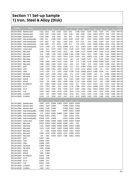| 0.322<br>0.613<br>0.83<br>0.018<br>8.63<br>0.016<br>0.023<br>0.027<br>0.019<br>$\Phi$ 40×35<br><b>NCS AH 28302</b><br>Stainless steel<br>0.017<br>0.148<br>0.014<br>0.47<br>0.397<br>Φ40×35<br><b>NCS AH 28303</b><br>0.329<br>0.433<br>0.018<br>0.027<br>11.95<br>2.66<br>0.026<br>0.016<br>0.0019<br>0.0073<br>0.08<br>0.057<br>Stainless steel<br>Φ40×35<br>Stainless steel<br>0.905<br>0.49<br>0.022<br>0.01<br>19.4<br>6.48<br>0.021<br>0.029<br>0.034<br>0.037<br>0.079<br>0.095<br><b>NCS AH 28304</b><br>0.193<br>0.392 2.41<br>0.508<br>0.019<br>0.022<br>10.09<br>0.247<br>1.09<br>0.015<br>0.0031<br>0.0057<br>0.093<br>0.019<br>Φ40×35<br><b>NCS AH 28305</b><br>Heat resisting alloy<br>0.02<br>Φ40×35<br>0.157<br>0.827<br>0.8<br>0.021<br>0.023<br>13.31<br>13.9<br>0.24<br>0.067<br>0.074<br>0.03<br>0.147<br><b>NCS AH 28307</b><br>Heat resisting alloy<br>0.865<br>0.37<br>0.019<br>0.025<br>17.3<br>1.33<br>0.023<br>0.021<br>0.0025<br>0.0061<br>0.074<br>0.051<br>Φ40×35<br><b>NCS AH 28308</b><br>Heat resisting alloy<br>0.182<br>$\Phi$ 40×35<br>0.178<br>0.542<br>2.37<br>0.023<br>0.0084<br>22.71<br>16.2<br>0.0071<br>0.031<br>0.045<br>0.053<br>0.058<br>0.186<br><b>NCS AH 28309</b><br>Heat resisting alloy<br>0.0071 040×35<br>0.21<br>0.373<br>0.019<br>0.015<br>0.129<br>0.137<br>0.024<br>0.0011<br>0.0018<br>0.0029<br>0.091<br><b>NCS AH 28310</b><br>Carbon steel<br>0.162<br>0.318<br>0.424<br>0.022<br>0.011<br>1.58<br>0.099<br>0.171<br>0.0034<br>0.807<br>0.824<br>0.116<br>0.0092 040×35<br><b>NCS AH 28311</b><br>Alloy steel<br>0.345<br>0.21<br>0.385<br>1.295<br>0.013<br>0.0208<br>0.169<br>0.099<br>0.015<br>0.011<br>0.054<br>0.061<br>0.101<br>$0.0064$ $\Phi$ 40×35<br>NCS AH 28312<br>Alloy steel<br>0.237<br>0.257<br>0.023<br>0.023<br>0.02<br>0.0023<br>0.101<br>0.106<br>0.354<br>0.0093 040×35<br><b>NCS AH 28313</b><br>Alloy steel<br>0.118<br>0.147<br>0.154<br>$\mathbf{1}$<br>0.701<br>0.013<br>0.012<br>1.91<br>1.29<br>0.446<br>0.377<br>0.01<br>0.012<br>0.091<br>$0.021$ $\Phi$ 40×35<br><b>NCS AH 28314</b><br>Alloy steel<br>0.397<br>$\Phi$ 40 $\times$ 35<br>0.464<br>0.444<br>0.016<br>0.021<br>1.64<br>1.73<br>0.426<br>0.218<br>0.0042<br>0.0087<br>0.097<br>0.024<br><b>NCS AH 28315</b><br>Alloy steel<br>0.249<br>$\Phi$ 40 $\times$ 35<br>0.862<br>0.583<br>0.014<br>0.012<br>2.06<br>0.382<br>0.35<br>0.014<br>0.018<br>0.095<br>0.021<br><b>NCS AH 28316</b><br>Alloy steel<br>0.384<br>1.32<br>0.196<br>0.107<br>0.298<br>0.029<br>0.038<br>0.11<br>0.13<br>0.0041<br>0.0015<br>0.017<br>0.019<br>0.119<br>0.0063 040×35<br><b>NCS AH 28317</b><br>Q235<br>0.2<br>0.0083 040×35<br><b>NCS AH 28318</b><br>CrMo<br>0.408<br>0.668<br>0.501<br>0.014<br>0.0013<br>1.51<br>0.115<br>0.112<br>0.0051<br>0.188<br>0.117<br>0.247<br>1.37<br>0.025<br>0.026<br>0.144<br>0.126<br>0.0058<br>0.0017<br>0.074<br>0.11<br>0.0044  Ф40×35<br><b>NCS AH 28319</b><br>16Mn<br>0.178<br>0.069<br>0.0085 040×35<br><b>NCS AH 28320</b><br>38CrMoAl<br>0.436<br>0.207<br>0.495<br>0.016<br>0.026<br>1.51<br>0.127<br>0.182<br>0.0037<br>1.06<br>1.1<br>0.096<br>0.557<br>38CrMoAl<br>0.357<br>0.502<br>0.014<br>0.0013<br>1.52<br>0.118<br>0.112<br>0.0051<br>0.56<br>0.118<br>0.0084 040×35<br>NCS AH 28321<br>0.411<br>0.582<br>1.72<br>1.03<br>0.024<br>0.02<br>0.301<br>0.304<br>0.017<br>0.0037<br>0.011<br>0.012<br>0.091<br>0.0091 040×35<br><b>NCS AH 28322</b><br>60Si <sub>2</sub> W<br>1.99<br><b>NCS AH 28323</b><br>0.615<br>0.868<br>0.025<br>0.036<br>0.095<br>0.119<br>0.019<br>0.0022<br>0.017<br>0.02<br>0.098<br>0.0056 040×35<br>60Si <sub>2</sub> W<br>$\Phi$ 40 $\times$ 35<br>0.37<br>0.862<br>0.889<br>0.018<br>0.016<br>10.83<br>0.17<br>0.015<br>0.017<br>0.014<br>0.02<br>0.275<br>0.022<br>NCS AH 28324<br>4Cr10NiCuTi<br>0.572<br>0.681<br>0.02<br>0.035<br>11.55<br>0.398<br>0.017<br>0.015<br>0.0048<br>0.015<br>0.078<br>0.034<br>Φ40×35<br>NCS AH 28325 1Cr13<br>0.151<br>0.077<br>0.039<br>$\Phi$ 40×35<br>NCS AH 28326 2Cr13<br>0.207<br>0.472<br>0.594<br>0.02<br>0.026<br>14.27<br>0.867<br>0.026<br>0.021<br>0.0017<br>0.0064<br>$\Phi$ 40 $\times$ 35<br><b>NCS AH 28327</b><br>0.693<br>0.933<br>0.019<br>0.014<br>18.52<br>0.176<br>0.013<br>0.028<br>0.011<br>0.015<br>0.095<br>0.034<br>Cr18<br>0.433<br>0.97<br>22.53<br>6.01<br>0.013<br>0.148<br>0.106<br>$\Phi$ 40 $\times$ 35<br><b>NCS AH 28328</b><br>Cr21Ni5Ti<br>0.129<br>0.599<br>0.048<br>0.012<br>0.037<br>0.144<br>0.089<br>0.017<br>22.23<br>18.25<br>0.0023<br>0.021<br>0.206<br>$\Phi$ 40 $\times$ 35<br>Cr23Ni18<br>0.124<br>1.19<br>0.934<br>0.021<br>0.035<br>0.053<br>0.062<br><b>NCS AH 28329</b><br>W<br>As<br>B<br>Sn<br><b>Sb</b><br>Zn<br>m.<br><b>NCS AH 28302</b><br>0.004<br>0.076<br>0.0054 0.0002<br>0.0037<br>0.0018<br>0.0034<br>Stainless steel<br>0.0049<br>Stainless steel<br>0.0031<br>0.029<br>0.0049<br>0.0016 0.0018<br><b>NCS AH 28303</b><br>Stainless steel<br>0.0052<br>0.206<br>0.0046<br>0.0028<br>0.0015 0.0016<br><b>NCS AH 28304</b><br><b>NCS AH 28305</b><br>0.0065<br>0.0032 0.0054<br>0.0047 0.0021 0.0009<br>Heat resisting alloy<br>2.75<br>0.0011 0.0041 0.0004<br>0.004<br>0.0004<br>0.005<br><b>NCS AH 28307</b><br>Heat resisting alloy<br>0.0032<br>0.0011 0.0051<br>0.004<br>0.0016<br>0.002<br><b>NCS AH 28308</b><br>Heat resisting alloy<br>0.0034<br>0.051<br>0.0038<br>0.0023<br>0.0006<br>0.0036<br><b>NCS AH 28309</b><br>Heat resisting alloy<br>0.0068 0.0002 0.0046<br><b>NCS AH 28310</b><br>Carbon steel<br>0.0047<br>0.0005<br>0.0019 0.0004<br>0.02<br><b>NCS AH 28311</b><br>0.0053<br>0.0036 0.0061 0.0003 0.0047<br>0.002<br>Alloy steel | Number | <b>Name</b> | $\mathsf{C}$ | Si. | Mn | P | S. | Cr | Ni. | <b>Chemical Composition (Percent)</b><br>Mo | V | Als | Alt | Cu. | Co | <b>Unit Size</b><br>(mm) |
|------------------------------------------------------------------------------------------------------------------------------------------------------------------------------------------------------------------------------------------------------------------------------------------------------------------------------------------------------------------------------------------------------------------------------------------------------------------------------------------------------------------------------------------------------------------------------------------------------------------------------------------------------------------------------------------------------------------------------------------------------------------------------------------------------------------------------------------------------------------------------------------------------------------------------------------------------------------------------------------------------------------------------------------------------------------------------------------------------------------------------------------------------------------------------------------------------------------------------------------------------------------------------------------------------------------------------------------------------------------------------------------------------------------------------------------------------------------------------------------------------------------------------------------------------------------------------------------------------------------------------------------------------------------------------------------------------------------------------------------------------------------------------------------------------------------------------------------------------------------------------------------------------------------------------------------------------------------------------------------------------------------------------------------------------------------------------------------------------------------------------------------------------------------------------------------------------------------------------------------------------------------------------------------------------------------------------------------------------------------------------------------------------------------------------------------------------------------------------------------------------------------------------------------------------------------------------------------------------------------------------------------------------------------------------------------------------------------------------------------------------------------------------------------------------------------------------------------------------------------------------------------------------------------------------------------------------------------------------------------------------------------------------------------------------------------------------------------------------------------------------------------------------------------------------------------------------------------------------------------------------------------------------------------------------------------------------------------------------------------------------------------------------------------------------------------------------------------------------------------------------------------------------------------------------------------------------------------------------------------------------------------------------------------------------------------------------------------------------------------------------------------------------------------------------------------------------------------------------------------------------------------------------------------------------------------------------------------------------------------------------------------------------------------------------------------------------------------------------------------------------------------------------------------------------------------------------------------------------------------------------------------------------------------------------------------------------------------------------------------------------------------------------------------------------------------------------------------------------------------------------------------------------------------------------------------------------------------------------------------------------------------------------------------------------------------------------------------------------------------------------------------------------------------------------------------------------------------------------------------------------------------------------------------------------------------------------------------------------------------------------------------------------------------------------------------------------------------------------------------------------------------------------------------------------------------------------------------------------------------------------------------------------------------------------------------------------------------------------------------------------------------------------------------------------------------------------------------------------------------------------------------------------------------------------------------------------------------------------------------------------------------------------------------------------------|--------|-------------|--------------|-----|----|---|----|----|-----|---------------------------------------------|---|-----|-----|-----|----|--------------------------|
|                                                                                                                                                                                                                                                                                                                                                                                                                                                                                                                                                                                                                                                                                                                                                                                                                                                                                                                                                                                                                                                                                                                                                                                                                                                                                                                                                                                                                                                                                                                                                                                                                                                                                                                                                                                                                                                                                                                                                                                                                                                                                                                                                                                                                                                                                                                                                                                                                                                                                                                                                                                                                                                                                                                                                                                                                                                                                                                                                                                                                                                                                                                                                                                                                                                                                                                                                                                                                                                                                                                                                                                                                                                                                                                                                                                                                                                                                                                                                                                                                                                                                                                                                                                                                                                                                                                                                                                                                                                                                                                                                                                                                                                                                                                                                                                                                                                                                                                                                                                                                                                                                                                                                                                                                                                                                                                                                                                                                                                                                                                                                                                                                                                                                    |        |             |              |     |    |   |    |    |     |                                             |   |     |     |     |    |                          |
|                                                                                                                                                                                                                                                                                                                                                                                                                                                                                                                                                                                                                                                                                                                                                                                                                                                                                                                                                                                                                                                                                                                                                                                                                                                                                                                                                                                                                                                                                                                                                                                                                                                                                                                                                                                                                                                                                                                                                                                                                                                                                                                                                                                                                                                                                                                                                                                                                                                                                                                                                                                                                                                                                                                                                                                                                                                                                                                                                                                                                                                                                                                                                                                                                                                                                                                                                                                                                                                                                                                                                                                                                                                                                                                                                                                                                                                                                                                                                                                                                                                                                                                                                                                                                                                                                                                                                                                                                                                                                                                                                                                                                                                                                                                                                                                                                                                                                                                                                                                                                                                                                                                                                                                                                                                                                                                                                                                                                                                                                                                                                                                                                                                                                    |        |             |              |     |    |   |    |    |     |                                             |   |     |     |     |    |                          |
|                                                                                                                                                                                                                                                                                                                                                                                                                                                                                                                                                                                                                                                                                                                                                                                                                                                                                                                                                                                                                                                                                                                                                                                                                                                                                                                                                                                                                                                                                                                                                                                                                                                                                                                                                                                                                                                                                                                                                                                                                                                                                                                                                                                                                                                                                                                                                                                                                                                                                                                                                                                                                                                                                                                                                                                                                                                                                                                                                                                                                                                                                                                                                                                                                                                                                                                                                                                                                                                                                                                                                                                                                                                                                                                                                                                                                                                                                                                                                                                                                                                                                                                                                                                                                                                                                                                                                                                                                                                                                                                                                                                                                                                                                                                                                                                                                                                                                                                                                                                                                                                                                                                                                                                                                                                                                                                                                                                                                                                                                                                                                                                                                                                                                    |        |             |              |     |    |   |    |    |     |                                             |   |     |     |     |    |                          |
|                                                                                                                                                                                                                                                                                                                                                                                                                                                                                                                                                                                                                                                                                                                                                                                                                                                                                                                                                                                                                                                                                                                                                                                                                                                                                                                                                                                                                                                                                                                                                                                                                                                                                                                                                                                                                                                                                                                                                                                                                                                                                                                                                                                                                                                                                                                                                                                                                                                                                                                                                                                                                                                                                                                                                                                                                                                                                                                                                                                                                                                                                                                                                                                                                                                                                                                                                                                                                                                                                                                                                                                                                                                                                                                                                                                                                                                                                                                                                                                                                                                                                                                                                                                                                                                                                                                                                                                                                                                                                                                                                                                                                                                                                                                                                                                                                                                                                                                                                                                                                                                                                                                                                                                                                                                                                                                                                                                                                                                                                                                                                                                                                                                                                    |        |             |              |     |    |   |    |    |     |                                             |   |     |     |     |    |                          |
|                                                                                                                                                                                                                                                                                                                                                                                                                                                                                                                                                                                                                                                                                                                                                                                                                                                                                                                                                                                                                                                                                                                                                                                                                                                                                                                                                                                                                                                                                                                                                                                                                                                                                                                                                                                                                                                                                                                                                                                                                                                                                                                                                                                                                                                                                                                                                                                                                                                                                                                                                                                                                                                                                                                                                                                                                                                                                                                                                                                                                                                                                                                                                                                                                                                                                                                                                                                                                                                                                                                                                                                                                                                                                                                                                                                                                                                                                                                                                                                                                                                                                                                                                                                                                                                                                                                                                                                                                                                                                                                                                                                                                                                                                                                                                                                                                                                                                                                                                                                                                                                                                                                                                                                                                                                                                                                                                                                                                                                                                                                                                                                                                                                                                    |        |             |              |     |    |   |    |    |     |                                             |   |     |     |     |    |                          |
|                                                                                                                                                                                                                                                                                                                                                                                                                                                                                                                                                                                                                                                                                                                                                                                                                                                                                                                                                                                                                                                                                                                                                                                                                                                                                                                                                                                                                                                                                                                                                                                                                                                                                                                                                                                                                                                                                                                                                                                                                                                                                                                                                                                                                                                                                                                                                                                                                                                                                                                                                                                                                                                                                                                                                                                                                                                                                                                                                                                                                                                                                                                                                                                                                                                                                                                                                                                                                                                                                                                                                                                                                                                                                                                                                                                                                                                                                                                                                                                                                                                                                                                                                                                                                                                                                                                                                                                                                                                                                                                                                                                                                                                                                                                                                                                                                                                                                                                                                                                                                                                                                                                                                                                                                                                                                                                                                                                                                                                                                                                                                                                                                                                                                    |        |             |              |     |    |   |    |    |     |                                             |   |     |     |     |    |                          |
|                                                                                                                                                                                                                                                                                                                                                                                                                                                                                                                                                                                                                                                                                                                                                                                                                                                                                                                                                                                                                                                                                                                                                                                                                                                                                                                                                                                                                                                                                                                                                                                                                                                                                                                                                                                                                                                                                                                                                                                                                                                                                                                                                                                                                                                                                                                                                                                                                                                                                                                                                                                                                                                                                                                                                                                                                                                                                                                                                                                                                                                                                                                                                                                                                                                                                                                                                                                                                                                                                                                                                                                                                                                                                                                                                                                                                                                                                                                                                                                                                                                                                                                                                                                                                                                                                                                                                                                                                                                                                                                                                                                                                                                                                                                                                                                                                                                                                                                                                                                                                                                                                                                                                                                                                                                                                                                                                                                                                                                                                                                                                                                                                                                                                    |        |             |              |     |    |   |    |    |     |                                             |   |     |     |     |    |                          |
|                                                                                                                                                                                                                                                                                                                                                                                                                                                                                                                                                                                                                                                                                                                                                                                                                                                                                                                                                                                                                                                                                                                                                                                                                                                                                                                                                                                                                                                                                                                                                                                                                                                                                                                                                                                                                                                                                                                                                                                                                                                                                                                                                                                                                                                                                                                                                                                                                                                                                                                                                                                                                                                                                                                                                                                                                                                                                                                                                                                                                                                                                                                                                                                                                                                                                                                                                                                                                                                                                                                                                                                                                                                                                                                                                                                                                                                                                                                                                                                                                                                                                                                                                                                                                                                                                                                                                                                                                                                                                                                                                                                                                                                                                                                                                                                                                                                                                                                                                                                                                                                                                                                                                                                                                                                                                                                                                                                                                                                                                                                                                                                                                                                                                    |        |             |              |     |    |   |    |    |     |                                             |   |     |     |     |    |                          |
|                                                                                                                                                                                                                                                                                                                                                                                                                                                                                                                                                                                                                                                                                                                                                                                                                                                                                                                                                                                                                                                                                                                                                                                                                                                                                                                                                                                                                                                                                                                                                                                                                                                                                                                                                                                                                                                                                                                                                                                                                                                                                                                                                                                                                                                                                                                                                                                                                                                                                                                                                                                                                                                                                                                                                                                                                                                                                                                                                                                                                                                                                                                                                                                                                                                                                                                                                                                                                                                                                                                                                                                                                                                                                                                                                                                                                                                                                                                                                                                                                                                                                                                                                                                                                                                                                                                                                                                                                                                                                                                                                                                                                                                                                                                                                                                                                                                                                                                                                                                                                                                                                                                                                                                                                                                                                                                                                                                                                                                                                                                                                                                                                                                                                    |        |             |              |     |    |   |    |    |     |                                             |   |     |     |     |    |                          |
|                                                                                                                                                                                                                                                                                                                                                                                                                                                                                                                                                                                                                                                                                                                                                                                                                                                                                                                                                                                                                                                                                                                                                                                                                                                                                                                                                                                                                                                                                                                                                                                                                                                                                                                                                                                                                                                                                                                                                                                                                                                                                                                                                                                                                                                                                                                                                                                                                                                                                                                                                                                                                                                                                                                                                                                                                                                                                                                                                                                                                                                                                                                                                                                                                                                                                                                                                                                                                                                                                                                                                                                                                                                                                                                                                                                                                                                                                                                                                                                                                                                                                                                                                                                                                                                                                                                                                                                                                                                                                                                                                                                                                                                                                                                                                                                                                                                                                                                                                                                                                                                                                                                                                                                                                                                                                                                                                                                                                                                                                                                                                                                                                                                                                    |        |             |              |     |    |   |    |    |     |                                             |   |     |     |     |    |                          |
|                                                                                                                                                                                                                                                                                                                                                                                                                                                                                                                                                                                                                                                                                                                                                                                                                                                                                                                                                                                                                                                                                                                                                                                                                                                                                                                                                                                                                                                                                                                                                                                                                                                                                                                                                                                                                                                                                                                                                                                                                                                                                                                                                                                                                                                                                                                                                                                                                                                                                                                                                                                                                                                                                                                                                                                                                                                                                                                                                                                                                                                                                                                                                                                                                                                                                                                                                                                                                                                                                                                                                                                                                                                                                                                                                                                                                                                                                                                                                                                                                                                                                                                                                                                                                                                                                                                                                                                                                                                                                                                                                                                                                                                                                                                                                                                                                                                                                                                                                                                                                                                                                                                                                                                                                                                                                                                                                                                                                                                                                                                                                                                                                                                                                    |        |             |              |     |    |   |    |    |     |                                             |   |     |     |     |    |                          |
|                                                                                                                                                                                                                                                                                                                                                                                                                                                                                                                                                                                                                                                                                                                                                                                                                                                                                                                                                                                                                                                                                                                                                                                                                                                                                                                                                                                                                                                                                                                                                                                                                                                                                                                                                                                                                                                                                                                                                                                                                                                                                                                                                                                                                                                                                                                                                                                                                                                                                                                                                                                                                                                                                                                                                                                                                                                                                                                                                                                                                                                                                                                                                                                                                                                                                                                                                                                                                                                                                                                                                                                                                                                                                                                                                                                                                                                                                                                                                                                                                                                                                                                                                                                                                                                                                                                                                                                                                                                                                                                                                                                                                                                                                                                                                                                                                                                                                                                                                                                                                                                                                                                                                                                                                                                                                                                                                                                                                                                                                                                                                                                                                                                                                    |        |             |              |     |    |   |    |    |     |                                             |   |     |     |     |    |                          |
|                                                                                                                                                                                                                                                                                                                                                                                                                                                                                                                                                                                                                                                                                                                                                                                                                                                                                                                                                                                                                                                                                                                                                                                                                                                                                                                                                                                                                                                                                                                                                                                                                                                                                                                                                                                                                                                                                                                                                                                                                                                                                                                                                                                                                                                                                                                                                                                                                                                                                                                                                                                                                                                                                                                                                                                                                                                                                                                                                                                                                                                                                                                                                                                                                                                                                                                                                                                                                                                                                                                                                                                                                                                                                                                                                                                                                                                                                                                                                                                                                                                                                                                                                                                                                                                                                                                                                                                                                                                                                                                                                                                                                                                                                                                                                                                                                                                                                                                                                                                                                                                                                                                                                                                                                                                                                                                                                                                                                                                                                                                                                                                                                                                                                    |        |             |              |     |    |   |    |    |     |                                             |   |     |     |     |    |                          |
|                                                                                                                                                                                                                                                                                                                                                                                                                                                                                                                                                                                                                                                                                                                                                                                                                                                                                                                                                                                                                                                                                                                                                                                                                                                                                                                                                                                                                                                                                                                                                                                                                                                                                                                                                                                                                                                                                                                                                                                                                                                                                                                                                                                                                                                                                                                                                                                                                                                                                                                                                                                                                                                                                                                                                                                                                                                                                                                                                                                                                                                                                                                                                                                                                                                                                                                                                                                                                                                                                                                                                                                                                                                                                                                                                                                                                                                                                                                                                                                                                                                                                                                                                                                                                                                                                                                                                                                                                                                                                                                                                                                                                                                                                                                                                                                                                                                                                                                                                                                                                                                                                                                                                                                                                                                                                                                                                                                                                                                                                                                                                                                                                                                                                    |        |             |              |     |    |   |    |    |     |                                             |   |     |     |     |    |                          |
|                                                                                                                                                                                                                                                                                                                                                                                                                                                                                                                                                                                                                                                                                                                                                                                                                                                                                                                                                                                                                                                                                                                                                                                                                                                                                                                                                                                                                                                                                                                                                                                                                                                                                                                                                                                                                                                                                                                                                                                                                                                                                                                                                                                                                                                                                                                                                                                                                                                                                                                                                                                                                                                                                                                                                                                                                                                                                                                                                                                                                                                                                                                                                                                                                                                                                                                                                                                                                                                                                                                                                                                                                                                                                                                                                                                                                                                                                                                                                                                                                                                                                                                                                                                                                                                                                                                                                                                                                                                                                                                                                                                                                                                                                                                                                                                                                                                                                                                                                                                                                                                                                                                                                                                                                                                                                                                                                                                                                                                                                                                                                                                                                                                                                    |        |             |              |     |    |   |    |    |     |                                             |   |     |     |     |    |                          |
|                                                                                                                                                                                                                                                                                                                                                                                                                                                                                                                                                                                                                                                                                                                                                                                                                                                                                                                                                                                                                                                                                                                                                                                                                                                                                                                                                                                                                                                                                                                                                                                                                                                                                                                                                                                                                                                                                                                                                                                                                                                                                                                                                                                                                                                                                                                                                                                                                                                                                                                                                                                                                                                                                                                                                                                                                                                                                                                                                                                                                                                                                                                                                                                                                                                                                                                                                                                                                                                                                                                                                                                                                                                                                                                                                                                                                                                                                                                                                                                                                                                                                                                                                                                                                                                                                                                                                                                                                                                                                                                                                                                                                                                                                                                                                                                                                                                                                                                                                                                                                                                                                                                                                                                                                                                                                                                                                                                                                                                                                                                                                                                                                                                                                    |        |             |              |     |    |   |    |    |     |                                             |   |     |     |     |    |                          |
|                                                                                                                                                                                                                                                                                                                                                                                                                                                                                                                                                                                                                                                                                                                                                                                                                                                                                                                                                                                                                                                                                                                                                                                                                                                                                                                                                                                                                                                                                                                                                                                                                                                                                                                                                                                                                                                                                                                                                                                                                                                                                                                                                                                                                                                                                                                                                                                                                                                                                                                                                                                                                                                                                                                                                                                                                                                                                                                                                                                                                                                                                                                                                                                                                                                                                                                                                                                                                                                                                                                                                                                                                                                                                                                                                                                                                                                                                                                                                                                                                                                                                                                                                                                                                                                                                                                                                                                                                                                                                                                                                                                                                                                                                                                                                                                                                                                                                                                                                                                                                                                                                                                                                                                                                                                                                                                                                                                                                                                                                                                                                                                                                                                                                    |        |             |              |     |    |   |    |    |     |                                             |   |     |     |     |    |                          |
|                                                                                                                                                                                                                                                                                                                                                                                                                                                                                                                                                                                                                                                                                                                                                                                                                                                                                                                                                                                                                                                                                                                                                                                                                                                                                                                                                                                                                                                                                                                                                                                                                                                                                                                                                                                                                                                                                                                                                                                                                                                                                                                                                                                                                                                                                                                                                                                                                                                                                                                                                                                                                                                                                                                                                                                                                                                                                                                                                                                                                                                                                                                                                                                                                                                                                                                                                                                                                                                                                                                                                                                                                                                                                                                                                                                                                                                                                                                                                                                                                                                                                                                                                                                                                                                                                                                                                                                                                                                                                                                                                                                                                                                                                                                                                                                                                                                                                                                                                                                                                                                                                                                                                                                                                                                                                                                                                                                                                                                                                                                                                                                                                                                                                    |        |             |              |     |    |   |    |    |     |                                             |   |     |     |     |    |                          |
|                                                                                                                                                                                                                                                                                                                                                                                                                                                                                                                                                                                                                                                                                                                                                                                                                                                                                                                                                                                                                                                                                                                                                                                                                                                                                                                                                                                                                                                                                                                                                                                                                                                                                                                                                                                                                                                                                                                                                                                                                                                                                                                                                                                                                                                                                                                                                                                                                                                                                                                                                                                                                                                                                                                                                                                                                                                                                                                                                                                                                                                                                                                                                                                                                                                                                                                                                                                                                                                                                                                                                                                                                                                                                                                                                                                                                                                                                                                                                                                                                                                                                                                                                                                                                                                                                                                                                                                                                                                                                                                                                                                                                                                                                                                                                                                                                                                                                                                                                                                                                                                                                                                                                                                                                                                                                                                                                                                                                                                                                                                                                                                                                                                                                    |        |             |              |     |    |   |    |    |     |                                             |   |     |     |     |    |                          |
|                                                                                                                                                                                                                                                                                                                                                                                                                                                                                                                                                                                                                                                                                                                                                                                                                                                                                                                                                                                                                                                                                                                                                                                                                                                                                                                                                                                                                                                                                                                                                                                                                                                                                                                                                                                                                                                                                                                                                                                                                                                                                                                                                                                                                                                                                                                                                                                                                                                                                                                                                                                                                                                                                                                                                                                                                                                                                                                                                                                                                                                                                                                                                                                                                                                                                                                                                                                                                                                                                                                                                                                                                                                                                                                                                                                                                                                                                                                                                                                                                                                                                                                                                                                                                                                                                                                                                                                                                                                                                                                                                                                                                                                                                                                                                                                                                                                                                                                                                                                                                                                                                                                                                                                                                                                                                                                                                                                                                                                                                                                                                                                                                                                                                    |        |             |              |     |    |   |    |    |     |                                             |   |     |     |     |    |                          |
|                                                                                                                                                                                                                                                                                                                                                                                                                                                                                                                                                                                                                                                                                                                                                                                                                                                                                                                                                                                                                                                                                                                                                                                                                                                                                                                                                                                                                                                                                                                                                                                                                                                                                                                                                                                                                                                                                                                                                                                                                                                                                                                                                                                                                                                                                                                                                                                                                                                                                                                                                                                                                                                                                                                                                                                                                                                                                                                                                                                                                                                                                                                                                                                                                                                                                                                                                                                                                                                                                                                                                                                                                                                                                                                                                                                                                                                                                                                                                                                                                                                                                                                                                                                                                                                                                                                                                                                                                                                                                                                                                                                                                                                                                                                                                                                                                                                                                                                                                                                                                                                                                                                                                                                                                                                                                                                                                                                                                                                                                                                                                                                                                                                                                    |        |             |              |     |    |   |    |    |     |                                             |   |     |     |     |    |                          |
|                                                                                                                                                                                                                                                                                                                                                                                                                                                                                                                                                                                                                                                                                                                                                                                                                                                                                                                                                                                                                                                                                                                                                                                                                                                                                                                                                                                                                                                                                                                                                                                                                                                                                                                                                                                                                                                                                                                                                                                                                                                                                                                                                                                                                                                                                                                                                                                                                                                                                                                                                                                                                                                                                                                                                                                                                                                                                                                                                                                                                                                                                                                                                                                                                                                                                                                                                                                                                                                                                                                                                                                                                                                                                                                                                                                                                                                                                                                                                                                                                                                                                                                                                                                                                                                                                                                                                                                                                                                                                                                                                                                                                                                                                                                                                                                                                                                                                                                                                                                                                                                                                                                                                                                                                                                                                                                                                                                                                                                                                                                                                                                                                                                                                    |        |             |              |     |    |   |    |    |     |                                             |   |     |     |     |    |                          |
|                                                                                                                                                                                                                                                                                                                                                                                                                                                                                                                                                                                                                                                                                                                                                                                                                                                                                                                                                                                                                                                                                                                                                                                                                                                                                                                                                                                                                                                                                                                                                                                                                                                                                                                                                                                                                                                                                                                                                                                                                                                                                                                                                                                                                                                                                                                                                                                                                                                                                                                                                                                                                                                                                                                                                                                                                                                                                                                                                                                                                                                                                                                                                                                                                                                                                                                                                                                                                                                                                                                                                                                                                                                                                                                                                                                                                                                                                                                                                                                                                                                                                                                                                                                                                                                                                                                                                                                                                                                                                                                                                                                                                                                                                                                                                                                                                                                                                                                                                                                                                                                                                                                                                                                                                                                                                                                                                                                                                                                                                                                                                                                                                                                                                    |        |             |              |     |    |   |    |    |     |                                             |   |     |     |     |    |                          |
|                                                                                                                                                                                                                                                                                                                                                                                                                                                                                                                                                                                                                                                                                                                                                                                                                                                                                                                                                                                                                                                                                                                                                                                                                                                                                                                                                                                                                                                                                                                                                                                                                                                                                                                                                                                                                                                                                                                                                                                                                                                                                                                                                                                                                                                                                                                                                                                                                                                                                                                                                                                                                                                                                                                                                                                                                                                                                                                                                                                                                                                                                                                                                                                                                                                                                                                                                                                                                                                                                                                                                                                                                                                                                                                                                                                                                                                                                                                                                                                                                                                                                                                                                                                                                                                                                                                                                                                                                                                                                                                                                                                                                                                                                                                                                                                                                                                                                                                                                                                                                                                                                                                                                                                                                                                                                                                                                                                                                                                                                                                                                                                                                                                                                    |        |             |              |     |    |   |    |    |     |                                             |   |     |     |     |    |                          |
|                                                                                                                                                                                                                                                                                                                                                                                                                                                                                                                                                                                                                                                                                                                                                                                                                                                                                                                                                                                                                                                                                                                                                                                                                                                                                                                                                                                                                                                                                                                                                                                                                                                                                                                                                                                                                                                                                                                                                                                                                                                                                                                                                                                                                                                                                                                                                                                                                                                                                                                                                                                                                                                                                                                                                                                                                                                                                                                                                                                                                                                                                                                                                                                                                                                                                                                                                                                                                                                                                                                                                                                                                                                                                                                                                                                                                                                                                                                                                                                                                                                                                                                                                                                                                                                                                                                                                                                                                                                                                                                                                                                                                                                                                                                                                                                                                                                                                                                                                                                                                                                                                                                                                                                                                                                                                                                                                                                                                                                                                                                                                                                                                                                                                    |        |             |              |     |    |   |    |    |     |                                             |   |     |     |     |    |                          |
|                                                                                                                                                                                                                                                                                                                                                                                                                                                                                                                                                                                                                                                                                                                                                                                                                                                                                                                                                                                                                                                                                                                                                                                                                                                                                                                                                                                                                                                                                                                                                                                                                                                                                                                                                                                                                                                                                                                                                                                                                                                                                                                                                                                                                                                                                                                                                                                                                                                                                                                                                                                                                                                                                                                                                                                                                                                                                                                                                                                                                                                                                                                                                                                                                                                                                                                                                                                                                                                                                                                                                                                                                                                                                                                                                                                                                                                                                                                                                                                                                                                                                                                                                                                                                                                                                                                                                                                                                                                                                                                                                                                                                                                                                                                                                                                                                                                                                                                                                                                                                                                                                                                                                                                                                                                                                                                                                                                                                                                                                                                                                                                                                                                                                    |        |             |              |     |    |   |    |    |     |                                             |   |     |     |     |    |                          |
|                                                                                                                                                                                                                                                                                                                                                                                                                                                                                                                                                                                                                                                                                                                                                                                                                                                                                                                                                                                                                                                                                                                                                                                                                                                                                                                                                                                                                                                                                                                                                                                                                                                                                                                                                                                                                                                                                                                                                                                                                                                                                                                                                                                                                                                                                                                                                                                                                                                                                                                                                                                                                                                                                                                                                                                                                                                                                                                                                                                                                                                                                                                                                                                                                                                                                                                                                                                                                                                                                                                                                                                                                                                                                                                                                                                                                                                                                                                                                                                                                                                                                                                                                                                                                                                                                                                                                                                                                                                                                                                                                                                                                                                                                                                                                                                                                                                                                                                                                                                                                                                                                                                                                                                                                                                                                                                                                                                                                                                                                                                                                                                                                                                                                    |        |             |              |     |    |   |    |    |     |                                             |   |     |     |     |    |                          |
|                                                                                                                                                                                                                                                                                                                                                                                                                                                                                                                                                                                                                                                                                                                                                                                                                                                                                                                                                                                                                                                                                                                                                                                                                                                                                                                                                                                                                                                                                                                                                                                                                                                                                                                                                                                                                                                                                                                                                                                                                                                                                                                                                                                                                                                                                                                                                                                                                                                                                                                                                                                                                                                                                                                                                                                                                                                                                                                                                                                                                                                                                                                                                                                                                                                                                                                                                                                                                                                                                                                                                                                                                                                                                                                                                                                                                                                                                                                                                                                                                                                                                                                                                                                                                                                                                                                                                                                                                                                                                                                                                                                                                                                                                                                                                                                                                                                                                                                                                                                                                                                                                                                                                                                                                                                                                                                                                                                                                                                                                                                                                                                                                                                                                    |        |             |              |     |    |   |    |    |     |                                             |   |     |     |     |    |                          |
|                                                                                                                                                                                                                                                                                                                                                                                                                                                                                                                                                                                                                                                                                                                                                                                                                                                                                                                                                                                                                                                                                                                                                                                                                                                                                                                                                                                                                                                                                                                                                                                                                                                                                                                                                                                                                                                                                                                                                                                                                                                                                                                                                                                                                                                                                                                                                                                                                                                                                                                                                                                                                                                                                                                                                                                                                                                                                                                                                                                                                                                                                                                                                                                                                                                                                                                                                                                                                                                                                                                                                                                                                                                                                                                                                                                                                                                                                                                                                                                                                                                                                                                                                                                                                                                                                                                                                                                                                                                                                                                                                                                                                                                                                                                                                                                                                                                                                                                                                                                                                                                                                                                                                                                                                                                                                                                                                                                                                                                                                                                                                                                                                                                                                    |        |             |              |     |    |   |    |    |     |                                             |   |     |     |     |    |                          |
|                                                                                                                                                                                                                                                                                                                                                                                                                                                                                                                                                                                                                                                                                                                                                                                                                                                                                                                                                                                                                                                                                                                                                                                                                                                                                                                                                                                                                                                                                                                                                                                                                                                                                                                                                                                                                                                                                                                                                                                                                                                                                                                                                                                                                                                                                                                                                                                                                                                                                                                                                                                                                                                                                                                                                                                                                                                                                                                                                                                                                                                                                                                                                                                                                                                                                                                                                                                                                                                                                                                                                                                                                                                                                                                                                                                                                                                                                                                                                                                                                                                                                                                                                                                                                                                                                                                                                                                                                                                                                                                                                                                                                                                                                                                                                                                                                                                                                                                                                                                                                                                                                                                                                                                                                                                                                                                                                                                                                                                                                                                                                                                                                                                                                    |        |             |              |     |    |   |    |    |     |                                             |   |     |     |     |    |                          |
|                                                                                                                                                                                                                                                                                                                                                                                                                                                                                                                                                                                                                                                                                                                                                                                                                                                                                                                                                                                                                                                                                                                                                                                                                                                                                                                                                                                                                                                                                                                                                                                                                                                                                                                                                                                                                                                                                                                                                                                                                                                                                                                                                                                                                                                                                                                                                                                                                                                                                                                                                                                                                                                                                                                                                                                                                                                                                                                                                                                                                                                                                                                                                                                                                                                                                                                                                                                                                                                                                                                                                                                                                                                                                                                                                                                                                                                                                                                                                                                                                                                                                                                                                                                                                                                                                                                                                                                                                                                                                                                                                                                                                                                                                                                                                                                                                                                                                                                                                                                                                                                                                                                                                                                                                                                                                                                                                                                                                                                                                                                                                                                                                                                                                    |        |             |              |     |    |   |    |    |     |                                             |   |     |     |     |    |                          |
|                                                                                                                                                                                                                                                                                                                                                                                                                                                                                                                                                                                                                                                                                                                                                                                                                                                                                                                                                                                                                                                                                                                                                                                                                                                                                                                                                                                                                                                                                                                                                                                                                                                                                                                                                                                                                                                                                                                                                                                                                                                                                                                                                                                                                                                                                                                                                                                                                                                                                                                                                                                                                                                                                                                                                                                                                                                                                                                                                                                                                                                                                                                                                                                                                                                                                                                                                                                                                                                                                                                                                                                                                                                                                                                                                                                                                                                                                                                                                                                                                                                                                                                                                                                                                                                                                                                                                                                                                                                                                                                                                                                                                                                                                                                                                                                                                                                                                                                                                                                                                                                                                                                                                                                                                                                                                                                                                                                                                                                                                                                                                                                                                                                                                    |        |             |              |     |    |   |    |    |     |                                             |   |     |     |     |    |                          |
|                                                                                                                                                                                                                                                                                                                                                                                                                                                                                                                                                                                                                                                                                                                                                                                                                                                                                                                                                                                                                                                                                                                                                                                                                                                                                                                                                                                                                                                                                                                                                                                                                                                                                                                                                                                                                                                                                                                                                                                                                                                                                                                                                                                                                                                                                                                                                                                                                                                                                                                                                                                                                                                                                                                                                                                                                                                                                                                                                                                                                                                                                                                                                                                                                                                                                                                                                                                                                                                                                                                                                                                                                                                                                                                                                                                                                                                                                                                                                                                                                                                                                                                                                                                                                                                                                                                                                                                                                                                                                                                                                                                                                                                                                                                                                                                                                                                                                                                                                                                                                                                                                                                                                                                                                                                                                                                                                                                                                                                                                                                                                                                                                                                                                    |        |             |              |     |    |   |    |    |     |                                             |   |     |     |     |    |                          |
|                                                                                                                                                                                                                                                                                                                                                                                                                                                                                                                                                                                                                                                                                                                                                                                                                                                                                                                                                                                                                                                                                                                                                                                                                                                                                                                                                                                                                                                                                                                                                                                                                                                                                                                                                                                                                                                                                                                                                                                                                                                                                                                                                                                                                                                                                                                                                                                                                                                                                                                                                                                                                                                                                                                                                                                                                                                                                                                                                                                                                                                                                                                                                                                                                                                                                                                                                                                                                                                                                                                                                                                                                                                                                                                                                                                                                                                                                                                                                                                                                                                                                                                                                                                                                                                                                                                                                                                                                                                                                                                                                                                                                                                                                                                                                                                                                                                                                                                                                                                                                                                                                                                                                                                                                                                                                                                                                                                                                                                                                                                                                                                                                                                                                    |        |             |              |     |    |   |    |    |     |                                             |   |     |     |     |    |                          |
|                                                                                                                                                                                                                                                                                                                                                                                                                                                                                                                                                                                                                                                                                                                                                                                                                                                                                                                                                                                                                                                                                                                                                                                                                                                                                                                                                                                                                                                                                                                                                                                                                                                                                                                                                                                                                                                                                                                                                                                                                                                                                                                                                                                                                                                                                                                                                                                                                                                                                                                                                                                                                                                                                                                                                                                                                                                                                                                                                                                                                                                                                                                                                                                                                                                                                                                                                                                                                                                                                                                                                                                                                                                                                                                                                                                                                                                                                                                                                                                                                                                                                                                                                                                                                                                                                                                                                                                                                                                                                                                                                                                                                                                                                                                                                                                                                                                                                                                                                                                                                                                                                                                                                                                                                                                                                                                                                                                                                                                                                                                                                                                                                                                                                    |        |             |              |     |    |   |    |    |     |                                             |   |     |     |     |    |                          |
|                                                                                                                                                                                                                                                                                                                                                                                                                                                                                                                                                                                                                                                                                                                                                                                                                                                                                                                                                                                                                                                                                                                                                                                                                                                                                                                                                                                                                                                                                                                                                                                                                                                                                                                                                                                                                                                                                                                                                                                                                                                                                                                                                                                                                                                                                                                                                                                                                                                                                                                                                                                                                                                                                                                                                                                                                                                                                                                                                                                                                                                                                                                                                                                                                                                                                                                                                                                                                                                                                                                                                                                                                                                                                                                                                                                                                                                                                                                                                                                                                                                                                                                                                                                                                                                                                                                                                                                                                                                                                                                                                                                                                                                                                                                                                                                                                                                                                                                                                                                                                                                                                                                                                                                                                                                                                                                                                                                                                                                                                                                                                                                                                                                                                    |        |             |              |     |    |   |    |    |     |                                             |   |     |     |     |    |                          |
|                                                                                                                                                                                                                                                                                                                                                                                                                                                                                                                                                                                                                                                                                                                                                                                                                                                                                                                                                                                                                                                                                                                                                                                                                                                                                                                                                                                                                                                                                                                                                                                                                                                                                                                                                                                                                                                                                                                                                                                                                                                                                                                                                                                                                                                                                                                                                                                                                                                                                                                                                                                                                                                                                                                                                                                                                                                                                                                                                                                                                                                                                                                                                                                                                                                                                                                                                                                                                                                                                                                                                                                                                                                                                                                                                                                                                                                                                                                                                                                                                                                                                                                                                                                                                                                                                                                                                                                                                                                                                                                                                                                                                                                                                                                                                                                                                                                                                                                                                                                                                                                                                                                                                                                                                                                                                                                                                                                                                                                                                                                                                                                                                                                                                    |        |             |              |     |    |   |    |    |     |                                             |   |     |     |     |    |                          |
| 0.0009 0.0056 0.0003 0.0054 0.0019 0.0006<br>NCS AH 28312<br>Alloy steel<br>0.161                                                                                                                                                                                                                                                                                                                                                                                                                                                                                                                                                                                                                                                                                                                                                                                                                                                                                                                                                                                                                                                                                                                                                                                                                                                                                                                                                                                                                                                                                                                                                                                                                                                                                                                                                                                                                                                                                                                                                                                                                                                                                                                                                                                                                                                                                                                                                                                                                                                                                                                                                                                                                                                                                                                                                                                                                                                                                                                                                                                                                                                                                                                                                                                                                                                                                                                                                                                                                                                                                                                                                                                                                                                                                                                                                                                                                                                                                                                                                                                                                                                                                                                                                                                                                                                                                                                                                                                                                                                                                                                                                                                                                                                                                                                                                                                                                                                                                                                                                                                                                                                                                                                                                                                                                                                                                                                                                                                                                                                                                                                                                                                                  |        |             |              |     |    |   |    |    |     |                                             |   |     |     |     |    |                          |
| NCS AH 28313 Alloy steel<br>0.013<br>0.109<br>0.0067 0.0003 0.0048 0.0023 0.0023                                                                                                                                                                                                                                                                                                                                                                                                                                                                                                                                                                                                                                                                                                                                                                                                                                                                                                                                                                                                                                                                                                                                                                                                                                                                                                                                                                                                                                                                                                                                                                                                                                                                                                                                                                                                                                                                                                                                                                                                                                                                                                                                                                                                                                                                                                                                                                                                                                                                                                                                                                                                                                                                                                                                                                                                                                                                                                                                                                                                                                                                                                                                                                                                                                                                                                                                                                                                                                                                                                                                                                                                                                                                                                                                                                                                                                                                                                                                                                                                                                                                                                                                                                                                                                                                                                                                                                                                                                                                                                                                                                                                                                                                                                                                                                                                                                                                                                                                                                                                                                                                                                                                                                                                                                                                                                                                                                                                                                                                                                                                                                                                   |        |             |              |     |    |   |    |    |     |                                             |   |     |     |     |    |                          |
| 1.2<br>0.0064 0.0013 0.0057 0.002 0.0014<br>NCS AH 28314 Alloy steel<br>0.081                                                                                                                                                                                                                                                                                                                                                                                                                                                                                                                                                                                                                                                                                                                                                                                                                                                                                                                                                                                                                                                                                                                                                                                                                                                                                                                                                                                                                                                                                                                                                                                                                                                                                                                                                                                                                                                                                                                                                                                                                                                                                                                                                                                                                                                                                                                                                                                                                                                                                                                                                                                                                                                                                                                                                                                                                                                                                                                                                                                                                                                                                                                                                                                                                                                                                                                                                                                                                                                                                                                                                                                                                                                                                                                                                                                                                                                                                                                                                                                                                                                                                                                                                                                                                                                                                                                                                                                                                                                                                                                                                                                                                                                                                                                                                                                                                                                                                                                                                                                                                                                                                                                                                                                                                                                                                                                                                                                                                                                                                                                                                                                                      |        |             |              |     |    |   |    |    |     |                                             |   |     |     |     |    |                          |
| 0.583<br>0.043<br>0.0087 0.0003 0.021 0.0056 0.0014<br>NCS AH 28315 Alloy steel                                                                                                                                                                                                                                                                                                                                                                                                                                                                                                                                                                                                                                                                                                                                                                                                                                                                                                                                                                                                                                                                                                                                                                                                                                                                                                                                                                                                                                                                                                                                                                                                                                                                                                                                                                                                                                                                                                                                                                                                                                                                                                                                                                                                                                                                                                                                                                                                                                                                                                                                                                                                                                                                                                                                                                                                                                                                                                                                                                                                                                                                                                                                                                                                                                                                                                                                                                                                                                                                                                                                                                                                                                                                                                                                                                                                                                                                                                                                                                                                                                                                                                                                                                                                                                                                                                                                                                                                                                                                                                                                                                                                                                                                                                                                                                                                                                                                                                                                                                                                                                                                                                                                                                                                                                                                                                                                                                                                                                                                                                                                                                                                    |        |             |              |     |    |   |    |    |     |                                             |   |     |     |     |    |                          |
| 1.44<br>0.061<br>0.0075 0.0014 0.006 0.0021 0.0016<br>NCS AH 28316 Alloy steel                                                                                                                                                                                                                                                                                                                                                                                                                                                                                                                                                                                                                                                                                                                                                                                                                                                                                                                                                                                                                                                                                                                                                                                                                                                                                                                                                                                                                                                                                                                                                                                                                                                                                                                                                                                                                                                                                                                                                                                                                                                                                                                                                                                                                                                                                                                                                                                                                                                                                                                                                                                                                                                                                                                                                                                                                                                                                                                                                                                                                                                                                                                                                                                                                                                                                                                                                                                                                                                                                                                                                                                                                                                                                                                                                                                                                                                                                                                                                                                                                                                                                                                                                                                                                                                                                                                                                                                                                                                                                                                                                                                                                                                                                                                                                                                                                                                                                                                                                                                                                                                                                                                                                                                                                                                                                                                                                                                                                                                                                                                                                                                                     |        |             |              |     |    |   |    |    |     |                                             |   |     |     |     |    |                          |
| 0.0017<br>0.001<br>NCS AH 28317 Q235                                                                                                                                                                                                                                                                                                                                                                                                                                                                                                                                                                                                                                                                                                                                                                                                                                                                                                                                                                                                                                                                                                                                                                                                                                                                                                                                                                                                                                                                                                                                                                                                                                                                                                                                                                                                                                                                                                                                                                                                                                                                                                                                                                                                                                                                                                                                                                                                                                                                                                                                                                                                                                                                                                                                                                                                                                                                                                                                                                                                                                                                                                                                                                                                                                                                                                                                                                                                                                                                                                                                                                                                                                                                                                                                                                                                                                                                                                                                                                                                                                                                                                                                                                                                                                                                                                                                                                                                                                                                                                                                                                                                                                                                                                                                                                                                                                                                                                                                                                                                                                                                                                                                                                                                                                                                                                                                                                                                                                                                                                                                                                                                                                               |        |             |              |     |    |   |    |    |     |                                             |   |     |     |     |    |                          |
| 0.021<br>NCS AH 28318 CrMo<br>0.0064                                                                                                                                                                                                                                                                                                                                                                                                                                                                                                                                                                                                                                                                                                                                                                                                                                                                                                                                                                                                                                                                                                                                                                                                                                                                                                                                                                                                                                                                                                                                                                                                                                                                                                                                                                                                                                                                                                                                                                                                                                                                                                                                                                                                                                                                                                                                                                                                                                                                                                                                                                                                                                                                                                                                                                                                                                                                                                                                                                                                                                                                                                                                                                                                                                                                                                                                                                                                                                                                                                                                                                                                                                                                                                                                                                                                                                                                                                                                                                                                                                                                                                                                                                                                                                                                                                                                                                                                                                                                                                                                                                                                                                                                                                                                                                                                                                                                                                                                                                                                                                                                                                                                                                                                                                                                                                                                                                                                                                                                                                                                                                                                                                               |        |             |              |     |    |   |    |    |     |                                             |   |     |     |     |    |                          |
| NCS AH 28319 16Mn<br>0.0066 0.002                                                                                                                                                                                                                                                                                                                                                                                                                                                                                                                                                                                                                                                                                                                                                                                                                                                                                                                                                                                                                                                                                                                                                                                                                                                                                                                                                                                                                                                                                                                                                                                                                                                                                                                                                                                                                                                                                                                                                                                                                                                                                                                                                                                                                                                                                                                                                                                                                                                                                                                                                                                                                                                                                                                                                                                                                                                                                                                                                                                                                                                                                                                                                                                                                                                                                                                                                                                                                                                                                                                                                                                                                                                                                                                                                                                                                                                                                                                                                                                                                                                                                                                                                                                                                                                                                                                                                                                                                                                                                                                                                                                                                                                                                                                                                                                                                                                                                                                                                                                                                                                                                                                                                                                                                                                                                                                                                                                                                                                                                                                                                                                                                                                  |        |             |              |     |    |   |    |    |     |                                             |   |     |     |     |    |                          |
| 0.0069 0.0023<br>NCS AH 28320 38CrMoAl                                                                                                                                                                                                                                                                                                                                                                                                                                                                                                                                                                                                                                                                                                                                                                                                                                                                                                                                                                                                                                                                                                                                                                                                                                                                                                                                                                                                                                                                                                                                                                                                                                                                                                                                                                                                                                                                                                                                                                                                                                                                                                                                                                                                                                                                                                                                                                                                                                                                                                                                                                                                                                                                                                                                                                                                                                                                                                                                                                                                                                                                                                                                                                                                                                                                                                                                                                                                                                                                                                                                                                                                                                                                                                                                                                                                                                                                                                                                                                                                                                                                                                                                                                                                                                                                                                                                                                                                                                                                                                                                                                                                                                                                                                                                                                                                                                                                                                                                                                                                                                                                                                                                                                                                                                                                                                                                                                                                                                                                                                                                                                                                                                             |        |             |              |     |    |   |    |    |     |                                             |   |     |     |     |    |                          |
| 0.0066<br>NCS AH 28321 38CrMoAl<br>0.005                                                                                                                                                                                                                                                                                                                                                                                                                                                                                                                                                                                                                                                                                                                                                                                                                                                                                                                                                                                                                                                                                                                                                                                                                                                                                                                                                                                                                                                                                                                                                                                                                                                                                                                                                                                                                                                                                                                                                                                                                                                                                                                                                                                                                                                                                                                                                                                                                                                                                                                                                                                                                                                                                                                                                                                                                                                                                                                                                                                                                                                                                                                                                                                                                                                                                                                                                                                                                                                                                                                                                                                                                                                                                                                                                                                                                                                                                                                                                                                                                                                                                                                                                                                                                                                                                                                                                                                                                                                                                                                                                                                                                                                                                                                                                                                                                                                                                                                                                                                                                                                                                                                                                                                                                                                                                                                                                                                                                                                                                                                                                                                                                                           |        |             |              |     |    |   |    |    |     |                                             |   |     |     |     |    |                          |
| 0.0037<br>NCS AH 28322 60Si <sub>2</sub> W<br>1.37                                                                                                                                                                                                                                                                                                                                                                                                                                                                                                                                                                                                                                                                                                                                                                                                                                                                                                                                                                                                                                                                                                                                                                                                                                                                                                                                                                                                                                                                                                                                                                                                                                                                                                                                                                                                                                                                                                                                                                                                                                                                                                                                                                                                                                                                                                                                                                                                                                                                                                                                                                                                                                                                                                                                                                                                                                                                                                                                                                                                                                                                                                                                                                                                                                                                                                                                                                                                                                                                                                                                                                                                                                                                                                                                                                                                                                                                                                                                                                                                                                                                                                                                                                                                                                                                                                                                                                                                                                                                                                                                                                                                                                                                                                                                                                                                                                                                                                                                                                                                                                                                                                                                                                                                                                                                                                                                                                                                                                                                                                                                                                                                                                 |        |             |              |     |    |   |    |    |     |                                             |   |     |     |     |    |                          |
| NCS AH 28323 60Si <sub>2</sub> W<br>0.682<br>0.0063<br>0.06                                                                                                                                                                                                                                                                                                                                                                                                                                                                                                                                                                                                                                                                                                                                                                                                                                                                                                                                                                                                                                                                                                                                                                                                                                                                                                                                                                                                                                                                                                                                                                                                                                                                                                                                                                                                                                                                                                                                                                                                                                                                                                                                                                                                                                                                                                                                                                                                                                                                                                                                                                                                                                                                                                                                                                                                                                                                                                                                                                                                                                                                                                                                                                                                                                                                                                                                                                                                                                                                                                                                                                                                                                                                                                                                                                                                                                                                                                                                                                                                                                                                                                                                                                                                                                                                                                                                                                                                                                                                                                                                                                                                                                                                                                                                                                                                                                                                                                                                                                                                                                                                                                                                                                                                                                                                                                                                                                                                                                                                                                                                                                                                                        |        |             |              |     |    |   |    |    |     |                                             |   |     |     |     |    |                          |
| NCS AH 28324 4Cr10NiCuTi<br>0.0053                                                                                                                                                                                                                                                                                                                                                                                                                                                                                                                                                                                                                                                                                                                                                                                                                                                                                                                                                                                                                                                                                                                                                                                                                                                                                                                                                                                                                                                                                                                                                                                                                                                                                                                                                                                                                                                                                                                                                                                                                                                                                                                                                                                                                                                                                                                                                                                                                                                                                                                                                                                                                                                                                                                                                                                                                                                                                                                                                                                                                                                                                                                                                                                                                                                                                                                                                                                                                                                                                                                                                                                                                                                                                                                                                                                                                                                                                                                                                                                                                                                                                                                                                                                                                                                                                                                                                                                                                                                                                                                                                                                                                                                                                                                                                                                                                                                                                                                                                                                                                                                                                                                                                                                                                                                                                                                                                                                                                                                                                                                                                                                                                                                 |        |             |              |     |    |   |    |    |     |                                             |   |     |     |     |    |                          |
| NCS AH 28325 1 Cr13<br>0.0049<br>0.036<br>NCS AH 28326 2Cr13<br>0.0044<br>0.01                                                                                                                                                                                                                                                                                                                                                                                                                                                                                                                                                                                                                                                                                                                                                                                                                                                                                                                                                                                                                                                                                                                                                                                                                                                                                                                                                                                                                                                                                                                                                                                                                                                                                                                                                                                                                                                                                                                                                                                                                                                                                                                                                                                                                                                                                                                                                                                                                                                                                                                                                                                                                                                                                                                                                                                                                                                                                                                                                                                                                                                                                                                                                                                                                                                                                                                                                                                                                                                                                                                                                                                                                                                                                                                                                                                                                                                                                                                                                                                                                                                                                                                                                                                                                                                                                                                                                                                                                                                                                                                                                                                                                                                                                                                                                                                                                                                                                                                                                                                                                                                                                                                                                                                                                                                                                                                                                                                                                                                                                                                                                                                                     |        |             |              |     |    |   |    |    |     |                                             |   |     |     |     |    |                          |
| NCS AH 28327 Cr18<br>0.0052<br>0.043                                                                                                                                                                                                                                                                                                                                                                                                                                                                                                                                                                                                                                                                                                                                                                                                                                                                                                                                                                                                                                                                                                                                                                                                                                                                                                                                                                                                                                                                                                                                                                                                                                                                                                                                                                                                                                                                                                                                                                                                                                                                                                                                                                                                                                                                                                                                                                                                                                                                                                                                                                                                                                                                                                                                                                                                                                                                                                                                                                                                                                                                                                                                                                                                                                                                                                                                                                                                                                                                                                                                                                                                                                                                                                                                                                                                                                                                                                                                                                                                                                                                                                                                                                                                                                                                                                                                                                                                                                                                                                                                                                                                                                                                                                                                                                                                                                                                                                                                                                                                                                                                                                                                                                                                                                                                                                                                                                                                                                                                                                                                                                                                                                               |        |             |              |     |    |   |    |    |     |                                             |   |     |     |     |    |                          |
| 0.011<br>0.853<br>NCS AH 28328 Cr21Ni5Ti                                                                                                                                                                                                                                                                                                                                                                                                                                                                                                                                                                                                                                                                                                                                                                                                                                                                                                                                                                                                                                                                                                                                                                                                                                                                                                                                                                                                                                                                                                                                                                                                                                                                                                                                                                                                                                                                                                                                                                                                                                                                                                                                                                                                                                                                                                                                                                                                                                                                                                                                                                                                                                                                                                                                                                                                                                                                                                                                                                                                                                                                                                                                                                                                                                                                                                                                                                                                                                                                                                                                                                                                                                                                                                                                                                                                                                                                                                                                                                                                                                                                                                                                                                                                                                                                                                                                                                                                                                                                                                                                                                                                                                                                                                                                                                                                                                                                                                                                                                                                                                                                                                                                                                                                                                                                                                                                                                                                                                                                                                                                                                                                                                           |        |             |              |     |    |   |    |    |     |                                             |   |     |     |     |    |                          |
| NCS AH 28329 Cr23Ni18<br>0.003<br>0.011                                                                                                                                                                                                                                                                                                                                                                                                                                                                                                                                                                                                                                                                                                                                                                                                                                                                                                                                                                                                                                                                                                                                                                                                                                                                                                                                                                                                                                                                                                                                                                                                                                                                                                                                                                                                                                                                                                                                                                                                                                                                                                                                                                                                                                                                                                                                                                                                                                                                                                                                                                                                                                                                                                                                                                                                                                                                                                                                                                                                                                                                                                                                                                                                                                                                                                                                                                                                                                                                                                                                                                                                                                                                                                                                                                                                                                                                                                                                                                                                                                                                                                                                                                                                                                                                                                                                                                                                                                                                                                                                                                                                                                                                                                                                                                                                                                                                                                                                                                                                                                                                                                                                                                                                                                                                                                                                                                                                                                                                                                                                                                                                                                            |        |             |              |     |    |   |    |    |     |                                             |   |     |     |     |    |                          |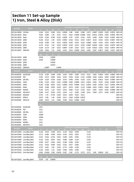|                     |                              |              |               |         |              |             |       | <b>Chemical Composition (Percent)</b> |           |        |        |               |       |           | <b>Unit Size</b>      |
|---------------------|------------------------------|--------------|---------------|---------|--------------|-------------|-------|---------------------------------------|-----------|--------|--------|---------------|-------|-----------|-----------------------|
| <b>Number</b>       | <b>Name</b>                  | $\mathsf{C}$ | Si.           | Mn      | $\mathsf{P}$ | $S_{-}$     | Cr    | Ni.                                   | Cu        | Mo     | V      | m.            | Alt   | As:       | (mm)                  |
| <b>NCS AH 28330</b> | 15CrMo                       | 0.164        | 0.222         | 0.540   | 0.011        | 0.0028      | 0.98  | 0.045                                 | 0.040     | 0.472  |        | 0.0067 0.0023 | 0.020 | 0.0078    | $\Phi$ 40 $\times$ 40 |
| NCS AH 28331        | Steel                        | 0.062        | 0.849         | 1.49    | 0.011        | 0.011       | 0.012 | 0.0040                                | 0.0098    | 0.001  |        | 0.0012 0.0019 | 0.002 | 0.0058    | $\Phi$ 40 $\times$ 40 |
| <b>NCS AH 28332</b> | Steel                        | 0.254        | 0.293         | 0.305   | 0.012        | 0.0020      | 0.93  | 0.183                                 | 0.016     | 0.205  | 0.040  | 0.030         | 0.033 | 0.0043    | $\Phi$ 40 $\times$ 40 |
| <b>NCS AH 28333</b> | Q460                         | 0.164        | 0.323         | 1.44    | 0.019        | 0.0091      | 0.016 | 0.012                                 | 0.015     | 0.0017 | 0.019  | 0.019         | 0.033 | 0.0067    | $\Phi$ 40×40          |
| <b>NCS AH 28334</b> | Q345                         | 0.158        | 0.309         | 1.45    | 0.017        | 0.0033      | 0.035 | 0.019                                 | 0.022     | 0.0085 | 0.030  | 0.018         | 0.035 | 0.0073    | $\Phi$ 40×40          |
| <b>NCS AH 28335</b> | Q550                         | 0.170        | 0.221         | 1.34    | 0.019        | 0.0079      | 0.224 | 0.013                                 | 0.016     | 0.0067 | 0.0025 | 0.020         | 0.025 | 0.0075    | $\Phi$ 40×40          |
| <b>NCS AH 28336</b> | Q690                         | 0.164        | 0.174         | 1.04    | 0.013        | 0.0067      | 0.194 | 0.014                                 | 0.017     | 0.108  | 0.0023 | 0.016         | 0.023 | 0.0076    | $\Phi$ 40×40          |
| <b>NCS AH 28337</b> | 20MnSiV                      | 0.250        | 0.435         | 1.31    | 0.022        | 0.015       | 0.013 | 0.0064                                | 0.014     | 0.001  | 0.047  | 0.0017        | 0.002 | 0.010     | Φ40×40                |
|                     |                              |              |               |         |              |             |       |                                       |           |        |        |               |       |           |                       |
|                     |                              | <b>Nb</b>    | Sn            | B.      | Co           |             |       |                                       |           |        |        |               |       |           |                       |
| <b>NCS AH 28333</b> | Q460                         | 0.018        |               | 0.0003  |              |             |       |                                       |           |        |        |               |       |           |                       |
| <b>NCS AH 28334</b> | Q345                         | 0.036        |               | 0.0008  |              |             |       |                                       |           |        |        |               |       |           |                       |
| <b>NCS AH 28335</b> | Q550                         |              |               | 0.0020  |              |             |       |                                       |           |        |        |               |       |           |                       |
| <b>NCS AH 28336</b> | Q690                         |              |               | 0.0014  |              |             |       |                                       |           |        |        |               |       |           |                       |
| <b>NCS AH 28337</b> | 20MnSiV                      |              | 0.0007        |         | 0.0044       |             |       |                                       |           |        |        |               |       |           |                       |
| <b>Number</b>       | Name                         |              |               |         |              |             |       | <b>Chemical Composition (Percent)</b> |           |        |        |               |       |           | <b>Unit Size</b>      |
|                     |                              | $\mathsf{C}$ | Si.           | Mn      | $\mathsf{P}$ | $S_{\perp}$ | Cr    | Ni.                                   | <b>Cu</b> | Mo     | V      | TI.           | Alt   | <b>As</b> | (mm)                  |
| NCS AH28338         | Q235(15#)                    | 0.129        | 0.254         | 0.468   | 0.030        | 0.035       | 0.063 | 0.050                                 | 0.153     | 0.011  | 0.002  | 0.0016        | 0.003 | 0.0082    | $\Phi$ 40×40          |
| NCS AH28339         | 45#                          | 0.453        | 0.272         | 0.604   | 0.022        | 0.016       | 0.044 | 0.039                                 | 0.141     | 0.0066 | 0.002  | 0.0012        | 0.005 | 0.0060    | $\Phi$ 40 $\times$ 40 |
| NCS AH28340         | 20CrMo                       | 0.204        | 0.226         | 0.503   | 0.020        | 0.019       | 0.909 | 0.050                                 | 0.181     | 0.192  | 0.003  | 0.0011        | 0.014 | 0.0080    | $\Phi$ 40×40          |
| <b>NCS AH28341</b>  | 15Mn                         | 0.166        | 0.216         | 0.815   | 0.012        | 0.0048      | 0.065 | 0.0089                                | 0.013     | 0.0011 | 0.002  | 0.014         | 0.028 | 0.0028    | $\Phi$ 40 $\times$ 40 |
| NCS AH28342         | 20Mn                         | 0.182        | 0.208         | 0.801   | 0.012        | 0.0064      | 0.033 | 0.0085                                | 0.012     | 0.0014 | 0.002  | 0.0019        | 0.017 | 0.0018    | $\Phi$ 40 $\times$ 40 |
| <b>NCS AH28343</b>  | 65Mn                         | 0.620        | 0.288         | 0.942   | 0.024        | 0.027       | 0.074 | 0.036                                 | 0.123     | 0.0064 | 0.003  | 0.0021        | 0.004 | 0.0067    | $\Phi$ 40 $\times$ 40 |
| NCS AH28344         | M20Mn                        | 0.195        | 0.272         | 1.18    | 0.015        | 0.015       | 0.083 | 0.132                                 | 0.222     | 0.017  | 0.001  | 0.024         | 0.042 | 0.0088    | $\Phi$ 40 $\times$ 40 |
| <b>NCS AH28345</b>  | 30CrMnTi                     | 0.266        | 0.317         | 0.929   | 0.013        | 0.014       | 1.13  | 0.082                                 | 0.148     | 0.011  | 0.004  | 0.071         | 0.020 | 0.0073    | Φ40×40                |
| <b>NCS AH28346</b>  | 60Si2Mn                      | 0.574        | 1.76          | 0.792   | 0.020        | 0.014       | 0.024 | 0.019                                 | 0.011     |        |        |               |       |           | $\Phi$ 40 $\times$ 40 |
| <b>NCS AH28347</b>  | ER50-6                       | 0.076        | 0.90          | 1.49    | 0.020        | 0.011       | 0.024 | 0.0059                                | 0.0076    |        |        |               |       |           | $\Phi$ 40 $\times$ 40 |
| <b>NCS AH28348</b>  | SAE1215                      | 0.065        | 0.013         | 1.31    | 0.056        | 0.364       | 0.023 | 0.0082                                | 0.010     |        |        |               |       |           | $\Phi$ 40×40          |
|                     |                              | Co           |               |         |              |             |       |                                       |           |        |        |               |       |           |                       |
| <b>NCS AH28338</b>  | Q235(15#)                    | 0.011        |               |         |              |             |       |                                       |           |        |        |               |       |           |                       |
| <b>NCS AH28339</b>  | 45#                          | 0.011        |               |         |              |             |       |                                       |           |        |        |               |       |           |                       |
| NCS AH28340         | 20CrMo                       | 0.013        |               |         |              |             |       |                                       |           |        |        |               |       |           |                       |
| NCS AH28341         | 15Mn                         | 0.0048       |               |         |              |             |       |                                       |           |        |        |               |       |           |                       |
| <b>NCS AH28342</b>  | 20Mn                         | 0.0040       |               |         |              |             |       |                                       |           |        |        |               |       |           |                       |
| <b>NCS AH28343</b>  | 65Mn                         | 0.011        |               |         |              |             |       |                                       |           |        |        |               |       |           |                       |
| NCS AH28344         | M20Mn                        | 0.011        |               |         |              |             |       |                                       |           |        |        |               |       |           |                       |
| NCS AH28345         | 30CrMnTi                     | 0.012        |               |         |              |             |       |                                       |           |        |        |               |       |           |                       |
|                     |                              |              |               |         |              |             |       | <b>Chemical Composition (Percent)</b> |           |        |        |               |       |           | Unit Size             |
| Number              | Name                         | $\mathsf{C}$ | S             | Mn      | $\mathsf P$  | Si          | Cr    | Ni.                                   | Mo        | Cu     | V      | B             | Nb    |           | (mm)                  |
| <b>NCS AH 93303</b> | Low Alloy Steel              | 0.120        | 0.014         | 0.258   | 0.013        | 0.120       | 0.022 | 0.034                                 |           | 0.122  |        |               |       |           | $\Phi$ 35 $\times$ 50 |
| <b>NCS AH 93304</b> | Low Alloy Steel              | 0.172        | 0.060         | 0.400   | 0.018        | 0.143       | 0.033 | 0.041                                 |           | 0.110  |        |               |       |           | Φ35×50                |
| <b>NCS AH 93305</b> | Low Alloy Steel              | 0.251        | 0.022         | 0.518   | 0.023        | 0.280       | 0.041 | 0.042                                 |           | 0.110  |        |               |       |           | $\Phi$ 35 $\times$ 50 |
| <b>NCS AH 93306</b> | Low Alloy Steel              | 0.310        | 0.031         | 0.870   | 0.051        | 0.480       | 0.280 | 0.120                                 |           | 0.355  |        |               |       |           | $\Phi$ 35 $\times$ 50 |
| <b>NCS AH 93307</b> | Low Alloy Steel              | 0.458        | 0.017         | 0.582   | 0.022        | 0.188       | 0.036 | 0.042                                 |           | 0.132  |        |               |       |           | $\Phi$ 35 $\times$ 50 |
| <b>NCS AH 93308</b> | Low Alloy Steel              | 0.512        | 0.010         | 0.690   | 0.022        | 0.352       | 0.077 | 0.060                                 |           | 0.154  |        |               |       |           | Φ35×50                |
| <b>NCS AH 93309</b> | Low Alloy Steel              | 0.375        | 0.047         | 1.84    | 0.053        | 0.770       | 0.290 | 0.290                                 |           | 0.225  |        |               |       |           | $\Phi$ 35×50          |
| <b>NCS AH 93310</b> | Low Alloy Steel              | 0.182        | 0.036         | 1.23    | 0.028        | 0.460       | 0.045 | 0.040                                 |           | 0.128  |        |               |       |           | $\Phi$ 35 $\times$ 50 |
| <b>NCS AH 93323</b> | Line Pipe Steel              | 0.042        | 0.0028        | 1.582   | 0.0078       | 0.187       | 0.04  | 0.175                                 | 0.272     | 0.172  | 0.04   | 0.00019       | 0.03  |           | Φ35×50                |
|                     |                              |              |               |         |              |             |       |                                       |           |        |        |               |       |           |                       |
|                     |                              | Ti.          | $\mathsf{Al}$ | Ca      |              |             |       |                                       |           |        |        |               |       |           |                       |
|                     | NCS AH 93323 Low Alloy Steel | 0.024        | 0.03          | 0.00034 |              |             |       |                                       |           |        |        |               |       |           |                       |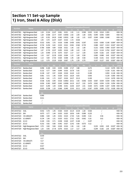|                    |                        |                |              |              |       |                |       | <b>Chemical Composition(Percent)</b>  |                   |       |        |          |       |               | Unit Size               |
|--------------------|------------------------|----------------|--------------|--------------|-------|----------------|-------|---------------------------------------|-------------------|-------|--------|----------|-------|---------------|-------------------------|
| Number             | Name                   | $\mathsf{C}$   | Si.          | Mn           | P     | S              | Cr    | Ni.                                   | <b>Mo</b>         | Cu    | V      | TL.      | W     | $\mathsf{Al}$ | (mm)                    |
| <b>NCS AH37301</b> | High Manganese Steel   | 1.24           | 0.314        | 12.47        | 0.061 | 0.021          | 1.91  | 1.11                                  | 0.500             | 0.023 | 0.162  | 0.014    | 0.301 |               | Φ36×36                  |
| <b>NCS AH37302</b> | High Manganese Steel   | 1.28           | 0.508        | 13.77        | 0.057 | 0.0056         | 2.42  | 2.09                                  | 1.00              | 0.041 | 0.049  | 0.056    | 0.004 |               | Φ36×36                  |
| <b>NCS AH37303</b> | High Manganese Steel   | 1.20           | 0.351        | 24.20        | 0.060 | 0.0031         | 1.86  | 1.65                                  | 1.01              | 0.037 | 0.049  | 0.066    | 0.040 |               | Φ36×36                  |
| <b>NCS AH37304</b> | High Manganese Steel   | 1.05           | 0.70         | 12.07        | 0.037 | 0.016          | 1.72  | 0.026                                 |                   |       | 0.014  |          |       |               | Φ36×36                  |
| <b>NCS AH37305</b> | High Manganese Steel   | 0.532          | 0.091        | 3.76         | 0.018 | 0.008          | 0.459 | 0.091                                 | 0.397             |       | 0.030  | 0.008    | 0.140 | $0.004*$      | Φ34×34                  |
| <b>NCS AH37306</b> | High Manganese Steel   | 0.734          | 0.254        | 6.02         | 0.019 | 0.012          | 0.941 | 0.582                                 | 0.735             |       | 0.088  | 0.027    | 0.313 | $0.010*$      | Φ34×34                  |
| NCS AH37307        | High Manganese Steel   | 0.780          | 0.609        | 9.84         | 0.028 | 0.021          | 1.56  | 1.62                                  | 1.08              |       | 0.232  | 0.092    | 0.494 | $0.019*$      | Φ34×34                  |
| <b>NCS AH37308</b> | High Manganese Steel   | 1.07           | 0.733        | 13.97        | 0.055 | 0.016          | 1.89  | 2.43                                  | 1.39              |       | 0.311  | 0.124    | 0.762 | $0.023*$      | Φ34×34                  |
| <b>NCS AH37309</b> | High Manganese Steel   | 1.25           | 0.949        | 17.76        | 0.075 | 0.027          | 2.17  | 3.17                                  | 1.69              |       | 0.294  | 0.182    | 1.05  | $0.020*$      | Φ34×34                  |
| <b>NCS AH37310</b> | High Manganese Steel   | 1.10           | 0.67         | 22.39        | 0.020 | 0.004          | 1.23  | 1.69                                  | 0.58              |       | 0.082  | 0.088    | 0.49  | $0.023*$      | Φ36×36                  |
| <b>NCS AH37311</b> | High Manganese Steel   | 1.13           | 0.69         | 17.93        | 0.020 | 0.008          | 1.45  | 1.68                                  | 0.58              |       | 0.108  | 0.101    | 0.53  | $0.019*$      | Φ36×36                  |
| <b>NCS AH37312</b> | High Manganese Steel   | 1.12           | 0.70         | 13.20        | 0.026 | 0.007          | 1.76  | 1.59                                  | 0.70              |       | 0.107  | 0.127    | 0.65  | $0.026*$      | Φ36×36                  |
|                    |                        |                |              |              |       |                |       | <b>Chemical Composition (Percent)</b> |                   |       |        |          |       |               | <b>Unit Size</b>        |
| <b>Number</b>      | Name                   | $\overline{C}$ | Si.          | Mn           | P     | S              | Cr    | Ni                                    | Mo                | Сu    | $\vee$ | W        | Co    | N.            | (mm)                    |
| <b>NCS AH37313</b> | <b>Stainless Steel</b> | 0.098          | 0.100        | 8.54         | 0.035 | 0.008          | 17.27 | 3.88                                  |                   | 0.272 |        |          | 0.114 | 0.076         | Φ36×36                  |
| <b>NCS AH37314</b> | <b>Stainless Steel</b> | 0.132          | 0.77         | 8.44         | 0.044 | 0.016          | 16.78 | 5.42                                  |                   | 1.115 |        |          | 0.150 | 0.101         | Φ36×36                  |
| <b>NCS AH37315</b> | <b>Stainless Steel</b> | 0.138          | 0.47         | 0.97         | 0.028 | 0.018          | 16.20 | 6.19                                  |                   | 0.189 |        |          | 0.093 | 0.128         | $\Phi$ 36×36            |
| <b>NCS AH37316</b> | <b>Stainless Steel</b> | 0.081          | 0.72         | 1.45         | 0.029 | 0.013          | 18.29 | 8.03                                  |                   | 0.093 |        |          | 0.139 | 0.069         | Φ36×36                  |
| <b>NCS AH37317</b> | <b>Stainless Steel</b> | 0.106          | 0.41         | 1.72         | 0.027 | 0.024          | 24.37 | 19.13                                 |                   | 0.100 |        |          | 0.114 | 0.078         | Φ36×36                  |
| <b>NCS AH37318</b> | <b>Stainless Steel</b> | 0.538          | 0.202        | 8.49         | 0.018 | 0.0063         | 20.31 | 3.50                                  | 0.056             | 0.033 | 0.067  | 0.034    | 0.034 | 0.463         | Φ36×36                  |
| <b>NCS AH37319</b> | <b>Stainless Steel</b> | 0.036          | 0.363        | 0.807        | 0.043 | 0.0096         | 16.19 | 10.27                                 | 2.02              | 0.479 | 0.062  | 0.054    | 0.159 | 0.054         | Φ36×36                  |
| <b>NCS AH37320</b> | <b>Stainless Steel</b> | 0.017          | 0.290        | 1.04         | 0.048 | 0.031          | 16.06 | 10.07                                 | 2.01              | 0.630 | 0.071  | 0.040    | 0.207 | 0.040         | Φ36×36                  |
| NCS AH37321        | <b>Stainless Steel</b> | 0.020          | 0.338        | 1.10         | 0.068 | 0.049          | 15.93 | 10.11                                 | 2.03              | 0.367 | 0.059  | 0.089    | 0.722 | 0.028         | Φ36×36                  |
|                    |                        |                |              |              |       |                |       |                                       |                   |       |        |          |       |               |                         |
|                    |                        | <b>Nb</b>      |              |              |       |                |       |                                       |                   |       |        |          |       |               |                         |
| <b>NCS AH37318</b> | <b>Stainless Steel</b> | 0.066          |              |              |       |                |       |                                       |                   |       |        |          |       |               |                         |
| <b>NCS AH37319</b> | <b>Stainless Steel</b> | 0.011          |              |              |       |                |       |                                       |                   |       |        |          |       |               |                         |
| <b>NCS AH37320</b> | <b>Stainless Steel</b> |                |              |              |       |                |       |                                       |                   |       |        |          |       |               |                         |
| <b>NCS AH37321</b> | <b>Stainless Steel</b> |                |              |              |       |                |       |                                       |                   |       |        |          |       |               |                         |
| <b>Number</b>      | Name                   | $\mathsf{C}$   | Si.          | Mn           | P.    | S              | Cr    | <b>Chemical Composition</b> (Percent) |                   | Cu.   | $\vee$ |          | W     | $\mathsf{Al}$ | <b>Unit Size</b>        |
| <b>NCS AH37322</b> | 316L                   | 0.032          | 0.78         | 1.45         | 0.026 | 0.019          | 16.14 | Ni.<br>10.30                          | Mo<br>2.28        | 0.026 |        | Ti       |       |               | (mm)<br>Φ36×36          |
| <b>NCS AH37323</b> | 304                    | 0.075          | 0.77         | 1.44         | 0.033 | 0.025          | 18.56 | 8.49                                  | 0.089             | 0.225 |        | $\prime$ |       |               | Φ36×36                  |
| <b>NCS AH37324</b> | OCr18Ni10Ti            | 0.086          | 0.84         |              | 0.032 | 0.014          | 17.45 | 9.26                                  | 0.040             | 0.16  |        | 0.56     |       |               | Φ36×36                  |
| <b>NCS AH37325</b> | 1Cr18Ni9Ti             | 0.134          | 1.06         | 1.45<br>1.51 | 0.033 | 0.021          | 17.01 | 8.56                                  | 0.062             | 0.16  |        | 0.61     |       |               | Φ36×36                  |
|                    |                        |                |              |              |       |                |       |                                       |                   |       |        |          |       |               | Φ36×36                  |
| <b>NCS AH37326</b> | 1Cr13                  | 0.144<br>0.232 | 0.56<br>0.82 | 0.71         | 0.038 | 0.028<br>0.027 | 12.07 | 0.184<br>0.68                         | $\prime$<br>0.073 | 0.207 |        |          |       |               | Φ36×36                  |
| <b>NCS AH37327</b> | 2Cr13                  |                |              | 0.80         | 0.042 |                | 12.42 |                                       |                   | 0.12  |        |          |       |               |                         |
| NCS AH37328        | High Manganese Steel   | 0.78           | 0.60         | 9.84         | 0.028 | 0.016          | 1.56  | 1.62                                  | 1.08              |       | 0.232  | 0.092    | 0.49  |               | $0.019* 0.36 \times 36$ |
| NCS AH37329        | High Manganese Steel   | 1.25           | 0.95         | 17.76        | 0.076 | 0.015          | 2.17  | 3.17                                  | 1.69              |       | 0.294  | 0.182    | 1.05  |               | $0.020* 0.36 \times 36$ |
|                    |                        | Co             |              |              |       |                |       |                                       |                   |       |        |          |       |               |                         |
| NCS AH37322 316L   |                        | 0.039          |              |              |       |                |       |                                       |                   |       |        |          |       |               |                         |
| NCS AH37323        | 304                    | 0.17           |              |              |       |                |       |                                       |                   |       |        |          |       |               |                         |
| NCS AH37324        | OCr18Ni10Ti            | 0.17           |              |              |       |                |       |                                       |                   |       |        |          |       |               |                         |
| <b>NCS AH37325</b> | 1Cr18Ni9Ti             | 0.16           |              |              |       |                |       |                                       |                   |       |        |          |       |               |                         |
| NCS AH37326        | 1Cr13                  | 0.017          |              |              |       |                |       |                                       |                   |       |        |          |       |               |                         |
| NCS AH37327        | 2Cr13                  | 0.030          |              |              |       |                |       |                                       |                   |       |        |          |       |               |                         |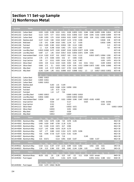#### Section 11 Set-up Sample 2) Nonferrous Metal

| <b>Number</b>                     | Name                                   |                       |                |               |              |                          |                 | Chemical Composition(Percent)                            |               |              |               |                            |                      |                          | <b>Unit Size</b>              |
|-----------------------------------|----------------------------------------|-----------------------|----------------|---------------|--------------|--------------------------|-----------------|----------------------------------------------------------|---------------|--------------|---------------|----------------------------|----------------------|--------------------------|-------------------------------|
| <b>NCS AH11101</b>                | Carbon Steel                           | $\mathsf{C}$<br>0.033 | Si.<br>0.029   | Mn<br>0.299   | P<br>0.019   | $S_{\parallel}$<br>0.011 | Cr<br>0.028     | Ni<br>0.0053 0.021                                       | Cu            | Als<br>0.046 | Alt<br>0.048  | As<br>0.0059               | Sn<br>0.006          | Mo<br>0.0014             | (mm)<br>$\Phi$ 37 $\times$ 40 |
| <b>NCS AH11102</b>                | Carbon Steel                           | 0.213                 | 0.075          | 0.77          |              |                          |                 | 0.013 0.0021 0.015 0.0056 0.017                          |               | 0.044        | 0.045         | 0.016                      | 0.0059 0.0009        |                          | $\Phi$ 37 $\times$ 40         |
| <b>NCS AH11103</b>                | Carbon Steel                           | 0.189                 | 0.055          | 0.76          | 0.018        |                          |                 | 0.0016 0.021 0.0057 0.015                                |               | 0.039        | 0.04          |                            | 0.011 0.0081 0.0009  |                          | $\Phi$ 37 $\times$ 40         |
| <b>NCS AH11104</b>                | Stainless steel                        | 0.237                 | 0.143          | 0.88          | 0.018        | 0.0027 11.55             |                 | 0.725                                                    | 0.048         |              |               |                            | 0.0028               | 0.98                     | $\Phi$ 37 $\times$ 40         |
| <b>NCS AH11105</b>                | Mold steel                             | 1.55                  | 0.41           | 0.384         | 0.018        | 0.001                    | 11.94           | 0.17                                                     | 0.035         |              |               |                            | 0.0016               | 0.846                    | $\Phi$ 37 $\times$ 40         |
| <b>NCS AH11106</b>                | <b>Tool</b> steel                      | 0.811                 | 0.285          | 0.365         | 0.022        | 0.0016                   | 3.98            | 0.114                                                    | 0.083         |              |               |                            |                      | 3.15                     | $\Phi$ 37 $\times$ 40         |
| <b>NCS AH11107</b>                | <b>Tool</b> steel                      | 1.1                   | 0.29           | 0.298         | 0.018        | 0.001                    | 3.79            | 0.215                                                    | 0.087         |              |               |                            |                      | 9.6                      | $\Phi$ 37 $\times$ 40         |
| <b>NCS AH11108</b>                | Low Alloy Steel                        | 0.0023                | 0.0082         | 0.475         |              | 0.042 0.0047             | 0.018           |                                                          | 0.0054 0.0077 | 0.038        | 0.038         |                            |                      |                          | $\Phi$ 37 $\times$ 40         |
| <b>NCS AH11109</b>                | Low Alloy Steel                        | 0.087                 | 1.17           | 1.96          | 0.014        | 0.0017                   | 0.015           |                                                          | 0.0055 0.0071 | 0.044        | 0.045         |                            |                      |                          | $\Phi$ 37 $\times$ 40         |
| <b>NCS AH11110</b>                | Heat resistant Steel                   | 0.114                 | 0.202          | 0.337         | 0.01         | 0.0017                   | 8.81            | 0.161                                                    | 0.112         |              |               | 0.0015 0.0071 0.0064 0.382 |                      |                          | $\Phi$ 37×40                  |
| <b>NCS AH11111</b>                | Gray Cast Iron                         | 3.78                  | 2.73           | 0.606         | 0.053        | 0.02                     | 0.7             | 0.856                                                    | 0.526         |              |               |                            | 0.032                | 0.359                    | $\Phi$ 31×30                  |
| <b>NCS AH11112</b>                | Gray Cast Iron                         | 3.95                  | 2.3            | 0.511         | 0.055        | 0.014                    | 0.251           | 0.141                                                    | 0.487         |              |               |                            | 0.055                | 0.474                    | $\Phi$ 31×30                  |
| <b>NCS AH11113</b>                | Silicon Steel                          | 0.055                 | 3.44           | 0.112         | 0.019        | 0.025                    | 0.053           | 0.04                                                     | 0.02          | 0.011        | 0.012         |                            | 0.049                | 0.0033                   | $\Phi$ 37×40                  |
| <b>NCS AH11114</b>                | Silicon Steel                          | 0.068                 | 2.71           | 0.1           | 0.023        | 0.003                    | 0.324           | 0.341                                                    | 0.013         |              | 0.0064 0.0073 | 0.003                      |                      | 0.056 0.0066             | $\Phi$ 37 $\times$ 40         |
| <b>NCS AH11115</b>                | <b>Alloy Steel</b>                     | 0.545                 | 1.24           | 0.717         | 0.0076       | 0.017                    | 0.703           |                                                          | 0.102 0.0067  |              |               | 0.0026                     |                      |                          | $\Phi$ 37 $\times$ 40         |
| <b>NCS AH11116</b>                | <b>Alloy Steel</b>                     | 0.145                 | 0.144          | 1.46          |              | 0.011 0.0006             |                 | 0.017 0.0068 0.012                                       |               | 1.5          | 1.5           |                            | 0.0017 0.0015 0.0032 |                          | $\Phi$ 37 $\times$ 40         |
|                                   |                                        |                       |                |               |              |                          |                 |                                                          |               |              |               |                            |                      |                          |                               |
|                                   |                                        | B                     | Ca             | $\vee$        | W            | Co                       | -Ti             | <b>Nb</b>                                                | N             | Sb           | Als#          | Zr#                        | $\mathsf{Al}$        | Mg                       | Bs<br>Bt                      |
| <b>NCS AH11101</b>                | Carbon Steel                           | 0.0002 0.0015         |                |               |              |                          |                 |                                                          |               |              |               |                            |                      |                          |                               |
| <b>NCS AH11102</b>                | Carbon Steel                           | 0.0004 0.0021         |                |               |              |                          |                 |                                                          |               |              |               |                            |                      |                          |                               |
| <b>NCS AH11103</b>                | Carbon Steel                           | 0.0003 0.0015         |                |               |              |                          |                 |                                                          |               |              |               |                            |                      |                          |                               |
| <b>NCS AH11104</b>                | Stainless steel                        |                       |                | 0.263         | 1.01         | 0.109                    |                 |                                                          |               |              |               |                            |                      |                          |                               |
| <b>NCS AH11105</b>                | Mold steel                             |                       |                | 0.819         | 0.088        | 0.034                    | 0.0058 0.061    |                                                          |               |              |               |                            |                      |                          |                               |
| <b>NCS AH11106</b>                | <b>Tool</b> steel<br><b>Tool steel</b> |                       |                | 1.55<br>1.14  | 8.73<br>1.27 | 0.136<br>7.94            |                 |                                                          |               |              |               |                            |                      |                          |                               |
| NCS AH11107<br><b>NCS AH11108</b> | Low Alloy Steel                        |                       | 0.0003 0.00013 |               |              |                          |                 | 0.0005 0.0092 0.0018                                     |               |              |               |                            |                      |                          |                               |
| <b>NCS AH11109</b>                | Low Alloy Steel                        | 0.00016 0.0004        |                |               |              |                          |                 | 0.0034 0.00015 0.0026                                    |               |              |               |                            |                      |                          |                               |
| <b>NCS AH11110</b>                | Heat resistant Steel                   | 0.0034                |                | 0.184         | 1.67         |                          |                 | $0.021$ $0.0004$ $0.048$ $0.047$ $0.0025$ <0.001 <0.0005 |               |              |               |                            |                      |                          |                               |
| <b>NCS AH11111</b>                | Gray Cast Iron                         |                       |                | 0.018         |              |                          | 0.117           |                                                          |               | 0.025        |               |                            | 0.042                | (0.034)                  |                               |
| <b>NCS AH11112</b>                | Gray Cast Iron                         |                       |                | 0.312         |              |                          | 0.117           |                                                          |               |              |               |                            | 0.014                | 0.032                    |                               |
| <b>NCS AH11113</b>                | Silicon Steel                          |                       |                | 0.097         |              |                          | 0.0033          | 0.072                                                    |               |              |               |                            |                      |                          | 0.0053 0.0034                 |
| <b>NCS AH11114</b>                | Silicon Steel                          |                       |                | 0.0033        |              |                          | 0.053           | 0.002                                                    |               |              |               |                            |                      |                          |                               |
| NCS AH11115                       | <b>Alloy Steel</b>                     |                       |                | 0.0017        |              |                          | 0.028           |                                                          |               |              |               |                            |                      |                          |                               |
| NCS AH11116                       | <b>Alloy Steel</b>                     |                       |                | 0.0013        |              |                          | 0.0037          |                                                          |               |              |               |                            |                      |                          |                               |
| Number                            | Name                                   | Cu.                   | Mg             | Mn            | Fe           | Si.                      | Z <sub>n</sub>  | Chemical Composition(percent)<br>Tī.                     | Ni.           | Zr           | B             | V                          | Pb.                  | $\overline{\mathsf{Sn}}$ | <b>Unit Size</b><br>(mm)      |
| <b>NCS AH 49301</b>               | Aluminum Alloy                         | 0.096                 | 0.252          | 0.076         | 0.188        | 7.30                     | 0.078           | 0.146                                                    |               |              |               |                            |                      |                          | $\Phi$ 62×30                  |
| <b>NCS AH 49302</b>               | Aluminum Alloy                         | 0.495                 | 0.029          | 0.487         | 0.769        | 11.30                    | 0.253           |                                                          |               |              |               |                            |                      |                          | $\Phi$ 62×30                  |
|                                   | NCS AH 49303 Aluminum Alloy            | 3.42                  | 0.169          |               | 0.314 0.872  | 8.27                     | 0.906           |                                                          |               |              |               |                            |                      |                          | $\Phi$ 62×30                  |
|                                   | NCS AH 49304 Aluminum Alloy            | 0.227                 | 1.45           | 0.066         | 0.678        | 10.24 0.170              |                 |                                                          |               |              |               |                            |                      |                          | $\Phi$ 62×30                  |
| <b>NCS AH 49305</b>               | Aluminum Alloy                         | 3.87                  | 1.77           | 0.680         | 0.419        | 0.314                    |                 | 0.272 0.078                                              | 0.036         |              |               |                            |                      |                          | $\Phi$ 62×30                  |
| <b>NCS AH 49306</b>               | Aluminum Alloy                         | 4.81                  | 0.036          | 0.718         | 0.237        | 0.233                    | 0.161           | 0.230                                                    |               |              |               |                            |                      |                          | $\Phi$ 62×30                  |
| <b>NCS AH 49307</b>               | Aluminum Alloy                         | 3.99                  |                |               | 0.204        | 7.18                     |                 |                                                          |               | 0.149        |               |                            |                      |                          | $\Phi$ 62×30                  |
| <b>NCS AH 49308</b>               | Aluminum Alloy                         | 6.01                  | 0.0171         |               | 0.213        |                          | $0.091$ $0.020$ | 0.107                                                    |               |              | 0.083         | 0.157                      |                      |                          | $\Phi$ 62×30                  |
|                                   |                                        |                       |                |               |              |                          |                 | Chemical Composition(percent)                            |               |              |               |                            |                      |                          | <b>Unit Size</b>              |
| Number                            | Name                                   | Cu                    | Mg             | Mn            | Fe           | Si.                      | Zn              | Ti                                                       | Ni.           | Cr           | Zr            | Pb                         | Sn                   |                          | (mm)                          |
| <b>NCS AH49322</b>                | Aluminum Alloy                         | 0.314                 | 0.111          | 0.337         | 0.737        | 12.31                    | 0.099           | 0.102                                                    | 0.062         |              | 0.052         | 0.05                       | 0.021                |                          | D45 $\times$ 35               |
| <b>NCS AH49323</b>                | Aluminum Alloy                         | 3.34                  | 0.19           | 0.366         | 0.93         | 8.98                     | 0.842           | 0.144                                                    | 0.284         | 0.05         |               | 0.055                      | 0.158                |                          | $D45 \times 35$               |
| <b>Number</b>                     | Name                                   | Cu                    | $\mathsf{Al}$  | Fe            | Mn           | Sn                       | P <sub>b</sub>  | Chemical Composition(percent)<br>Ni.                     | Si            | Sb           | P             | Zn                         | Ag                   | Bi.                      | <b>Unit Size</b><br>(mm)      |
| <b>NCS AH45301</b>                | Aluminum Brass                         | 66.59                 | 6.82           | 2.8           | 2.26         | 0.25                     | 0.47            | 0.5                                                      | 0.11          | 0.028        |               | 0.023 remain               |                      |                          | $\Phi$ 40×35                  |
| <b>NCS AH45302</b>                | Pure Copper                            |                       |                | 0.159         |              | 0.331                    | 0.074           | 0.228                                                    |               |              |               | 0.0992 0.0311 0.388        |                      | 0.013                    | $\Phi$ 38×35                  |
|                                   |                                        |                       |                |               |              |                          |                 |                                                          |               |              |               |                            |                      |                          |                               |
|                                   |                                        | S                     | Te             | Cd            | Cu+Ag        |                          |                 |                                                          |               |              |               |                            |                      |                          |                               |
| <b>NCS AH45302</b>                | Pure Copper                            | 0.525                 | 0.274          | 0.0622 98.203 |              |                          |                 |                                                          |               |              |               |                            |                      |                          |                               |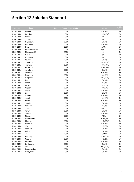### Section 12 Solution Standard

| <b>Number</b>       | Name                         | Nomonal Composition(µg/mL) | Medium                               | <b>Unit Size</b><br>(mL) |
|---------------------|------------------------------|----------------------------|--------------------------------------|--------------------------|
| <b>NCS AH 11401</b> | Lithium                      | 1000                       | HCI(10%)                             | 50                       |
| <b>NCS AH 11402</b> | Beryllium                    | 1000                       | HNO <sub>3</sub> (10%)               | 50                       |
| <b>NCS AH 11403</b> | Boron                        | 1000                       | $H_2O$                               | 50                       |
| <b>NCS AH 11404</b> | Sodium                       | 1000                       | $H_2O$                               | 50                       |
| <b>NCS AH 11405</b> | Magnesium                    | 1000                       | HCI(5%)                              | 50                       |
| <b>NCS AH 11406</b> | Aluminum                     | 1000                       | HCI(10%)                             | 50                       |
| <b>NCS AH 11407</b> | Silicon                      | 1000                       | Na <sub>2</sub> CO <sub>3</sub>      | 50                       |
| <b>NCS AH 11408</b> | Phosphorus(NH <sub>4</sub> ) | 1000                       | $H_2O$                               | $50\,$                   |
| <b>NCS AH 11409</b> | Phosphorus(K)                | 1000                       | $H_2O$                               | 50                       |
| <b>NCS AH 11410</b> | Sulfur                       | 1000                       | $H_2O$                               | 50                       |
| <b>NCS AH 11411</b> | Potassium                    | 1000                       | $H_2O$                               | 50                       |
| <b>NCS AH 11412</b> | Calcium                      | 1000                       | HCI(5%)                              | 50                       |
| <b>NCS AH 11413</b> | Scandium                     | 1000                       | HNO <sub>3</sub> (20%)               | 50                       |
| <b>NCS AH 11414</b> | Titanium                     | 1000                       | H <sub>2</sub> SO <sub>4</sub> (10%) | 50                       |
| <b>NCS AH 11415</b> | Vanadium                     | 1000                       | H <sub>2</sub> SO <sub>4</sub> (10%) | 50                       |
| <b>NCS AH 11416</b> | Vanadium                     | 1000                       | HCI(10%)                             | 50                       |
| <b>NCS AH 11417</b> | Cnromium                     | 1000                       | HCI(10%)                             | 50                       |
| <b>NCS AH 11418</b> | Manganese                    | 1000                       | H <sub>2</sub> SO <sub>4</sub> (5%)  | 50                       |
| <b>NCS AH 11419</b> | Manganese                    | 1000                       | HNO <sub>3</sub> (10%)               | 50                       |
| <b>NCS AH 11420</b> | Iron                         | 1000                       | HCI(10%)                             | 50                       |
| <b>NCS AH 11421</b> | Cobalt                       | 1000                       | HNO <sub>3</sub> (5%)                | 50                       |
| <b>NCS AH 11422</b> | Nickel                       | 1000                       | HNO <sub>3</sub> (5%)                | 50                       |
| <b>NCS AH 11423</b> | Copper                       | 1000                       | $H_2SO_4(5%)$                        | 50                       |
| <b>NCS AH 11424</b> |                              | 1000                       | HCI(10%)                             | 50                       |
| <b>NCS AH 11425</b> | Copper<br>Zinc               | 1000                       | HCI(10%)                             | 50                       |
| <b>NCS AH 11426</b> | Gallium                      | 1000                       | HCI(10%)                             |                          |
| <b>NCS AH 11427</b> | Arsenic                      | 1000                       |                                      | 50<br>50                 |
|                     |                              |                            | H <sub>2</sub> SO <sub>4</sub> (5%)  |                          |
| <b>NCS AH 11428</b> | Arsenic                      | 1000                       | HCI(10%)                             | 50                       |
| <b>NCS AH 11429</b> | Selenium                     | 1000                       | HCI(10%)                             | 50                       |
| <b>NCS AH 11430</b> | Rubidium                     | 1000                       | HNO <sub>3</sub> (5%)                | 50                       |
| <b>NCS AH 11431</b> | Strontium                    | 1000                       | $H_2O$                               | 50                       |
| <b>NCS AH 11432</b> | Yttrium                      | 1000                       | HCI(10%)                             | 50                       |
| <b>NCS AH 11433</b> | Ziconium                     | 1000                       | HCI(10%)                             | 50                       |
| <b>NCS AH 11434</b> | Niobium                      | 1000                       | HF(5%)                               | 50                       |
| <b>NCS AH 11435</b> | Molybdenum                   | 1000                       | $H_2SO_4(5%)$                        | $50\,$                   |
| <b>NCS AH 11437</b> | Rhodium                      | 1000                       | HNO <sub>3</sub> (10%)               | $50\,$                   |
| <b>NCS AH 11438</b> | Palladium                    | 1000                       | HCI(10%)                             | 50                       |
| <b>NCS AH 11439</b> | Silver                       | 1000                       | HNO <sub>3</sub> (5%)                | 50                       |
| <b>NCS AH 11440</b> | Cadmium                      | 1000                       | HCI(10%)                             | 50                       |
| <b>NCS AH 11441</b> | Indium                       | 1000                       | HCI(10%)                             | 50                       |
| <b>NCS AH 11442</b> | Tin                          | 1000                       | HCI(20%)                             | 50                       |
| <b>NCS AH 11443</b> | Antimony                     | 1000                       | $H_2SO_4(25%)$                       | 50                       |
| <b>NCS AH 11445</b> | Cesium                       | 1000                       | HNO <sub>3</sub> (5%)                | 50                       |
| <b>NCS AH 11446</b> | Beryllium                    | 1000                       | HCI(10%)                             | 50                       |
| <b>NCS AH 11447</b> | Lanthanum                    | 1000                       | HCI(10%)                             | 50                       |
| <b>NCS AH 11448</b> | Cerium                       | 1000                       | HNO <sub>3</sub> (10%)               | 50                       |
| <b>NCS AH 11449</b> | Praseodymium                 | 1000                       | HCI(10%)                             | 50                       |
| <b>NCS AH 11450</b> | Neodymium                    | 1000                       | HCI(10%)                             | 50                       |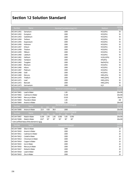### Section 12 Solution Standard

| <b>Number</b>                              | Name                                         |         |                 |                              |       |                     | Nominal Consistence(µg/mL)       | Medium                               | <b>Unit Size</b><br>(mL)    |
|--------------------------------------------|----------------------------------------------|---------|-----------------|------------------------------|-------|---------------------|----------------------------------|--------------------------------------|-----------------------------|
| NCS AH 11451                               | Samarium                                     |         |                 |                              |       | 1000                |                                  | HCI(10%)                             | 50                          |
| <b>NCS AH 11452</b>                        | Europium                                     |         |                 |                              |       | 1000                |                                  | HCI(10%)                             | 50                          |
| <b>NCS AH 11453</b>                        | Gadolinium                                   |         |                 |                              |       | 1000                |                                  | HCI(10%)                             | 50                          |
| <b>NCS AH 11454</b>                        | Terbium                                      |         |                 |                              |       | 1000                |                                  | HCI(10%)                             | 50                          |
| <b>NCS AH 11455</b>                        | Dysprosium                                   |         |                 |                              |       | 1000                |                                  | HCI(10%)                             | 50                          |
| NCS AH 11456                               | Holmium                                      |         |                 |                              |       | 1000                |                                  | HCI(10%)                             | 50                          |
| NCS AH 11457                               | Erbium                                       |         |                 |                              |       | 1000                |                                  | HCI(10%)                             | 50                          |
| <b>NCS AH 11458</b>                        | Thulium                                      |         |                 |                              |       | 1000                |                                  | HCI(10%)                             | 50                          |
| <b>NCS AH 11459</b>                        | Yttbium                                      |         |                 |                              |       | 1000                |                                  | HCI(10%)                             | 50                          |
| <b>NCS AH 11460</b>                        | Latetium                                     |         |                 |                              |       | 1000                |                                  | HCI(10%)                             | 50                          |
| <b>NCS AH 11461</b>                        | Hafnium                                      |         |                 |                              |       | 1000                |                                  | H <sub>2</sub> SO <sub>4</sub> (10%) | 50                          |
| <b>NCS AH 11462</b>                        | Tantalum                                     |         |                 |                              |       | 1000                |                                  | HF(20%)                              | 50                          |
| <b>NCS AH 11463</b>                        | Tungsten                                     |         |                 |                              |       | 1000                |                                  | NaOH(2%)                             | 50                          |
| <b>NCS AH 11464</b>                        | Rhenium                                      |         |                 |                              |       | 1000                |                                  | HCI(10%)                             | 50                          |
| <b>NCS AH 11466</b>                        | Irdium                                       |         |                 |                              |       | 1000                |                                  | HCI(10%)                             | 50                          |
| <b>NCS AH 11467</b>                        | Platinum                                     |         |                 |                              |       | 1000                |                                  | HCI(10%)                             | 50                          |
| <b>NCS AH 11468</b>                        | Gold                                         |         |                 |                              |       | 1000                |                                  | HCI(10%)                             | 50                          |
| <b>NCS AH 11469</b>                        | Mercury                                      |         |                 |                              |       | 1000                |                                  | HNO <sub>3</sub> (5%)                | 50                          |
| <b>NCS AH 11470</b>                        | Thallium                                     |         |                 |                              |       | 1000                |                                  | HNO <sub>3</sub> (20%)               | 50                          |
| NCS AH 11471                               | Lead                                         |         |                 |                              |       | 1000                |                                  | HNO <sub>3</sub> (10%)               | 50                          |
| <b>NCS AH 11472</b>                        | <b>Bismuth</b>                               |         |                 |                              |       | 1000                |                                  | HNO <sub>3</sub> (10%)               | 50                          |
| <b>NCS AH 11473</b>                        | Germanium                                    |         |                 |                              |       | 1000                |                                  | $H_2O$                               | 50                          |
| Number                                     | <b>Name</b>                                  |         |                 |                              |       |                     | Nominal Consistence(µg/g)        |                                      | <b>Unit Size</b>            |
|                                            |                                              |         |                 |                              |       |                     |                                  |                                      | (in mL)                     |
| <b>NCS AH 76401</b>                        | Lead in Water                                |         |                 |                              |       | 1.00                |                                  |                                      | 20or100                     |
| <b>NCS AH 76402</b>                        | Cadmium in Water                             |         |                 |                              |       | 0.100               |                                  |                                      | 20or100                     |
| <b>NCS AH 76403</b>                        | Mercury in Water                             |         |                 |                              |       | 0.010               |                                  |                                      | 20or50                      |
| <b>NCS AH 76404</b>                        | Fluoride in Water                            |         |                 |                              |       | 1.00                |                                  |                                      | 100                         |
| <b>NCS AH 76404</b>                        | Arsenic in Water                             |         |                 |                              |       | 0.50                |                                  |                                      | 20or100                     |
| <b>Number</b>                              | Name                                         | $Cl^+$  | NO <sub>3</sub> | SO <sub>4</sub> <sup>2</sup> |       |                     | Nominal Consistence(µg/g)        |                                      | <b>Unit Size</b><br>(in mL) |
| <b>NCS AH 76406</b>                        | Anions in Water                              | 22.0    | 4.50            | 38.0                         |       | 1000                |                                  |                                      | 20or100                     |
| <b>Number</b>                              | <b>Name</b>                                  | Cd      | Pb              | Cu                           | Cr    | Zn                  | Nominal Consistence(µg/g)<br>Ni. |                                      | <b>Unit Size</b><br>(in mL) |
| <b>NCS AH 76407</b>                        | Matal in Water                               | 0.100   | 1.00            | 1.00                         | 0.500 | 5.00                | 0.500                            |                                      | 20or100                     |
| <b>NCS AH 76408</b>                        | Matal in Water                               | $10.0*$ | $50*$           | $30*$                        | $50*$ | $90*$               | $60*$                            |                                      | 20or100                     |
|                                            | Unit Cerfified Value of the element is ng/g. |         |                 |                              |       |                     |                                  |                                      |                             |
| <b>Number</b>                              | Name                                         |         |                 |                              |       | Concentration(ug/g) |                                  |                                      | <b>Unit Size</b>            |
| <b>NCS AH 76409</b>                        | Silver in Water                              |         |                 |                              |       | 1000                |                                  |                                      | (in mL)                     |
| NCS AH 76410                               |                                              |         |                 |                              |       |                     |                                  |                                      | 20                          |
|                                            | Arsenic in Water                             |         |                 |                              |       | 1000                |                                  |                                      | 20                          |
| <b>NCS AH 76411</b><br><b>NCS AH 76412</b> | Cadmium in Water<br>Cobalt in Water          |         |                 |                              |       | 1000<br>1000        |                                  |                                      | 20                          |
|                                            |                                              |         |                 |                              |       |                     |                                  |                                      | 20                          |
| <b>NCS AH 76413</b>                        | Chromium in Water                            |         |                 |                              |       | 1000                |                                  |                                      | 20                          |
| <b>NCS AH 76414</b>                        | Copper in Water                              |         |                 |                              |       | 1000                |                                  |                                      | 20                          |
| NCS AH 76415                               | Iron in Water                                |         |                 |                              |       | 1000                |                                  |                                      | 20                          |
| NCS AH 76416                               | Mercury in Water                             |         |                 |                              |       | 1000                |                                  |                                      | 20                          |
| NCS AH 76417                               | Nicked in Water                              |         |                 |                              |       | 1000                |                                  |                                      | 20                          |
| <b>NCS AH 76418</b>                        | Lead in Water                                |         |                 |                              |       | 1000                |                                  |                                      | 20                          |
| <b>NCS AH 76419</b>                        | Zinc in Water                                |         |                 |                              |       | 1000                |                                  |                                      | 20                          |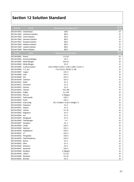### Section 12 Solution Standard

| <b>Number</b>                                    | Name                                | Mass Fraction of Substance $(10^{\circ})$       | <b>Unit Size</b><br>(in mL) |
|--------------------------------------------------|-------------------------------------|-------------------------------------------------|-----------------------------|
| NCS AH 76423 Gold Solution                       |                                     | 100.0                                           | 20                          |
|                                                  | NCS AH 76424 Lanthanum Solution     | 982.3                                           | 20                          |
|                                                  | NCS AH 76425 Cerium Solution        | 951.5                                           | 20                          |
|                                                  | NCS AH 76426 Samarium Solution      | 982.3                                           | 20                          |
|                                                  | NCS AH 76427 Europium Solution      | 982.3                                           | 20                          |
|                                                  | NCS AH 76428 Ytterbium Solution     | 982.3                                           | 20                          |
| <b>NCS AH 76429</b>                              | <b>Lutetium Solution</b>            | 982.3                                           | 20                          |
|                                                  | NCS AH 76430 Yttrium Solution       | 982.3                                           | 20                          |
| <b>Number</b>                                    | Name                                | Range Concentration(mg/L)                       | <b>Unit Size</b><br>(mL)    |
| NCS AH 85401 Arsenic                             |                                     | $0.1 - 0.8$                                     | 20                          |
|                                                  | NCS AH 85402 Ammonia Nitrogen       | $0.5 - 5$                                       | 20                          |
| <b>NCS AH 85403</b>                              | Nitrite Nitrogen                    | $0.05 - 0.2$                                    | 20                          |
| <b>NCS AH 85404</b>                              | Nitrite Nitrogen                    | $0.5 - 5$                                       | 20                          |
|                                                  | NCS AH 85405 Cu, Pb, Zn, Cd, Ni, Cr | Cu0.5~2,Pb0.5~2,Zn0.1~1,Cd0.1~1,Ni0.1~2,Cr0.1~2 | 20                          |
| NCS AH 85406 F, Cl, So <sub>4</sub> <sup>2</sup> |                                     | F0.2~5,Cl0.5~100,SO $_{4}^{2}$ -5~100           | 20                          |
| NCS AH 85407 Copper                              |                                     | $0.01 - 2$                                      | 20                          |
| <b>NCS AH 85408</b>                              | Lead                                | $0.01 - 2$                                      | 20                          |
| NCS AH 85409 Zinc                                |                                     | $0.01 - 2$                                      | 20                          |
| NCS AH 85140 Cadmium                             |                                     | $0.01 - 2$                                      | 20                          |
| NCS AH 85141 Nickel                              |                                     | $0.1 - 2$                                       | 20                          |
| NCS AH 85412 Chromium                            |                                     | $0.1 - 2$                                       | 20                          |
| NCS AH 85413 Fluorine                            |                                     | $0.2 - 5$                                       | 20                          |
| NCS AH 85414 Chlorine                            |                                     | $0.01 - 100$                                    | 20                          |
| NCS AH 85415 Sulfate                             |                                     | $0.1 - 100$                                     | 20                          |
| NCS AH 85416 Mercury                             |                                     | $6 - 20(\mu g/L)$                               | 20                          |
| NCS AH 85417 Total Cyanide                       |                                     | $0.05 - 1$                                      | 20                          |
| NCS AH 85418 Fe, Mn                              |                                     | $0.01 - 2$                                      | 20                          |
| NCS AH 85419 K, Na, Ca, Mg                       |                                     | K0.1~0.5, Na0.1~5, Ca0.1~10, Mg0.1~5            | 20                          |
| NCS AH 85420 Potassium                           |                                     | $0.1 - 5$                                       | 20                          |
| NCS AH 85421 Sodium                              |                                     | $0.1 - 5$                                       | 20                          |
| NCS AH 85422 Calcium                             |                                     | $0.1 - 10$                                      | 20                          |
| <b>NCS AH 85423</b>                              | Magneium                            | $0.2 - 5$                                       | 20                          |
| NCS AH 85424 Iron                                |                                     | $0.1 - 5$                                       | 20                          |
| NCS AH 85425 Manganese                           |                                     | $0.1 - 5$                                       | 20                          |
|                                                  | NCS AH 85426 Total Nitrogen         | $1 - 8$                                         | 20                          |
| NCS AH 85427 Vanadium                            |                                     | $0.1 - 1$                                       | 20                          |
| NCS AH 85428 Cobalt                              |                                     | $0.05 - 1$                                      | 20                          |
| NCS AH 85429 Selenium                            |                                     | $0.01 - 1$                                      | 20                          |
| NCS AH 85430 Molybdenum                          |                                     | $0.05 - 1$                                      | 20                          |
| NCS AH 85431 Cr <sup>6+</sup>                    |                                     | $0.01 - 5$                                      | 20                          |
| NCS AH 85432 Phosphrate                          |                                     | $0.05 - 5$                                      | 20                          |
|                                                  | NCS AH 85433 Total Phosphrous       | $0.05 - 5$                                      | 20                          |
| NCS AH 85434 Barium                              |                                     | $0.2 - 2$                                       | 20                          |
| NCS AH 85435 Silver                              |                                     | $0.2 - 1$                                       | 20                          |
| NCS AH 85436 Antimony                            |                                     | $0.5 - 2$                                       | 20                          |
| NCS AH 85437 Aluminum                            |                                     | $0.05 - 2$                                      |                             |
|                                                  |                                     |                                                 | 20                          |
| NCS AH 85438 Beryllium<br>NCS AH 85439 Lithium   |                                     | $5 - 20(\mu g/L)$<br>$0.2 - 2.0$                | 20                          |
| NCS AH 85440 Strontium                           |                                     | $0.3 - 10$                                      | 20                          |
|                                                  |                                     |                                                 | 20                          |
| NCS AH 85441 Bromine                             |                                     | $0.5 - 3$                                       | 20                          |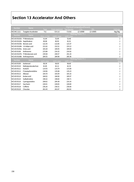### Section 13 Accelerator And Others

| <b>Number</b>             | <b>Name</b>                       | <b>Type</b>          | Grain size(mm)        | <b>Tap Density</b>   | Chemical Composition(Percent)<br>$C\%$ | S%            | Unit size        |
|---------------------------|-----------------------------------|----------------------|-----------------------|----------------------|----------------------------------------|---------------|------------------|
| NCSNC1111                 | Tungsten Accelerator              | T11                  | $0.9 - 1.6$           | $7.6 - 8.6$          | $\leq 0.0008$                          | $\leq 0.0005$ | 1kg/2kg          |
| <b>Number</b>             | Name                              |                      |                       |                      | Melting Point (°C)                     |               | Unit Size        |
|                           |                                   | $F=1, \triangle T=0$ | $0.20^{\circ}$ C /min | $1.0^{\circ}$ C /min |                                        |               | (in g)           |
| NCS AS 93101b             | P-Nitrotoluene                    | 51.64                | 52.09                 | 52.66                |                                        |               | 2                |
| NCS AS 93102b             | Naphthalene                       | 80.08                | 80.50                 | 81.01                |                                        |               | 2                |
| NCS AS 93103b             | Benzoic acid                      | 122.35               | 122.85                | 123.37               |                                        |               | 2                |
|                           | NCS AS 93104b 1.6-Adipic acid     | 151.62               | 152.51                | 153.12               |                                        |               | 2                |
| NCS AS 93105a Anisic acid |                                   | 183.28               | 184.05                | 184.64               |                                        |               | 2                |
| <b>NCS AS 93106</b>       | Anthracene                        | 215.88               | 216.32                | 216.92               |                                        |               | 2                |
|                           | NCS AS 93107b P-Nitrobenzoic acid | 239.58               | 240.57                | 241.33               |                                        |               | 2                |
|                           | NCS AS 93108b Anthraquinone       | 284.55               | 284.98                | 285.36               |                                        |               | $\overline{2}$   |
| <b>Number</b>             | Name                              |                      |                       |                      | Melting Point $(°C)$                   |               | <b>Unit Size</b> |
|                           |                                   | $0.2^{\circ}$ C /min | $0.5^{\circ}$ C /min  | $1.0^{\circ}$ C /min |                                        |               | (in g)           |
| <b>NCS AS 93109</b>       | Azobenzol                         | 68.34                | 68.50                 | 68.60                |                                        |               | 2                |
| <b>NCS AS 93110</b>       | Methylprotocatechuic              | 81.85                | 82.12                 | 82.33                |                                        |               | 2                |
| <b>NCS AS 93111</b>       | Acetanil                          | 114.55               | 114.74                | 115.00               |                                        |               | 2                |
| <b>NCS AS 93112</b>       | P-Acetophenetidine                | 134.96               | 135.08                | 135.23               |                                        |               | $\overline{2}$   |
| <b>NCS AS 93113</b>       | Albexan                           | 164.70               | 165.04                | 165.16               |                                        |               | 2                |
| <b>NCS AS 93114</b>       | Amber acid                        | 184.02               | 184.90                | 185.97               |                                        |               | 2                |
| <b>NCS AS 93115</b>       | Sulfadimidine                     | 198.32               | 198.60                | 198.71               |                                        |               | 2                |
| <b>NCS AS 93116</b>       | Cyanoguanidine                    | 208.62               | 209.38                | 210.16               |                                        |               | 2                |
| <b>NCS AS 93117</b>       | Saccharin                         | 228.41               | 228.65                | 228.84               |                                        |               | 2                |
| <b>NCS AS 93118</b>       | Coffeine                          | 236.26               | 236.51                | 236.60               |                                        |               | 2                |
| <b>NCS AS 93119</b>       | Chocolax                          | 261.43               | 261.67                | 262.61               |                                        |               | 2                |